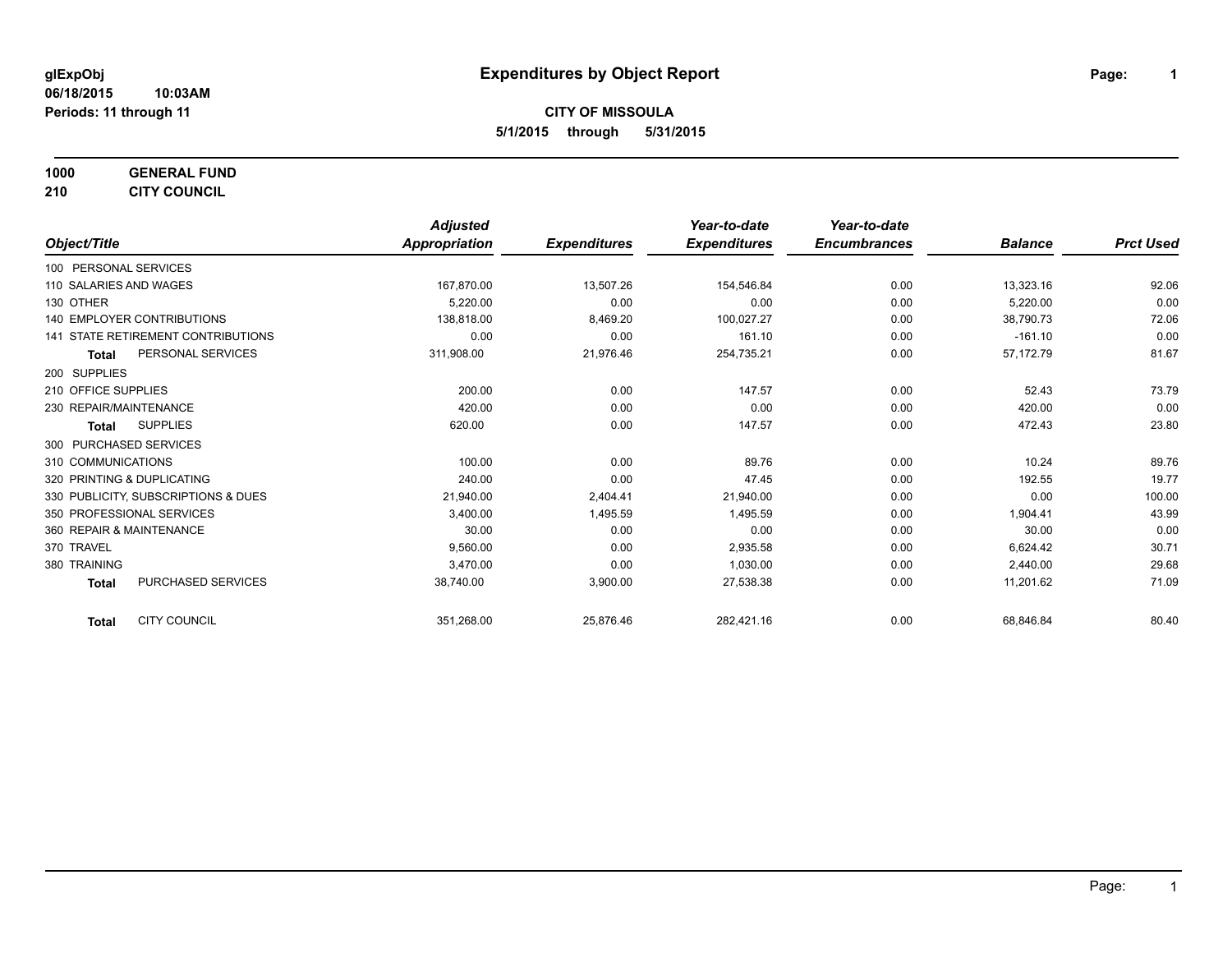**1000 GENERAL FUND**

**210 CITY COUNCIL**

|                                           | <b>Adjusted</b> |                     | Year-to-date        | Year-to-date        |                |                  |
|-------------------------------------------|-----------------|---------------------|---------------------|---------------------|----------------|------------------|
| Object/Title                              | Appropriation   | <b>Expenditures</b> | <b>Expenditures</b> | <b>Encumbrances</b> | <b>Balance</b> | <b>Prct Used</b> |
| 100 PERSONAL SERVICES                     |                 |                     |                     |                     |                |                  |
| 110 SALARIES AND WAGES                    | 167,870.00      | 13,507.26           | 154,546.84          | 0.00                | 13,323.16      | 92.06            |
| 130 OTHER                                 | 5,220.00        | 0.00                | 0.00                | 0.00                | 5,220.00       | 0.00             |
| 140 EMPLOYER CONTRIBUTIONS                | 138.818.00      | 8,469.20            | 100,027.27          | 0.00                | 38,790.73      | 72.06            |
| <b>141 STATE RETIREMENT CONTRIBUTIONS</b> | 0.00            | 0.00                | 161.10              | 0.00                | $-161.10$      | 0.00             |
| PERSONAL SERVICES<br>Total                | 311,908.00      | 21,976.46           | 254,735.21          | 0.00                | 57,172.79      | 81.67            |
| 200 SUPPLIES                              |                 |                     |                     |                     |                |                  |
| 210 OFFICE SUPPLIES                       | 200.00          | 0.00                | 147.57              | 0.00                | 52.43          | 73.79            |
| 230 REPAIR/MAINTENANCE                    | 420.00          | 0.00                | 0.00                | 0.00                | 420.00         | 0.00             |
| <b>SUPPLIES</b><br>Total                  | 620.00          | 0.00                | 147.57              | 0.00                | 472.43         | 23.80            |
| 300 PURCHASED SERVICES                    |                 |                     |                     |                     |                |                  |
| 310 COMMUNICATIONS                        | 100.00          | 0.00                | 89.76               | 0.00                | 10.24          | 89.76            |
| 320 PRINTING & DUPLICATING                | 240.00          | 0.00                | 47.45               | 0.00                | 192.55         | 19.77            |
| 330 PUBLICITY, SUBSCRIPTIONS & DUES       | 21,940.00       | 2,404.41            | 21,940.00           | 0.00                | 0.00           | 100.00           |
| 350 PROFESSIONAL SERVICES                 | 3,400.00        | 1,495.59            | 1,495.59            | 0.00                | 1,904.41       | 43.99            |
| 360 REPAIR & MAINTENANCE                  | 30.00           | 0.00                | 0.00                | 0.00                | 30.00          | 0.00             |
| 370 TRAVEL                                | 9,560.00        | 0.00                | 2,935.58            | 0.00                | 6,624.42       | 30.71            |
| 380 TRAINING                              | 3.470.00        | 0.00                | 1,030.00            | 0.00                | 2,440.00       | 29.68            |
| <b>PURCHASED SERVICES</b><br><b>Total</b> | 38,740.00       | 3,900.00            | 27,538.38           | 0.00                | 11,201.62      | 71.09            |
| <b>CITY COUNCIL</b><br><b>Total</b>       | 351,268.00      | 25,876.46           | 282,421.16          | 0.00                | 68,846.84      | 80.40            |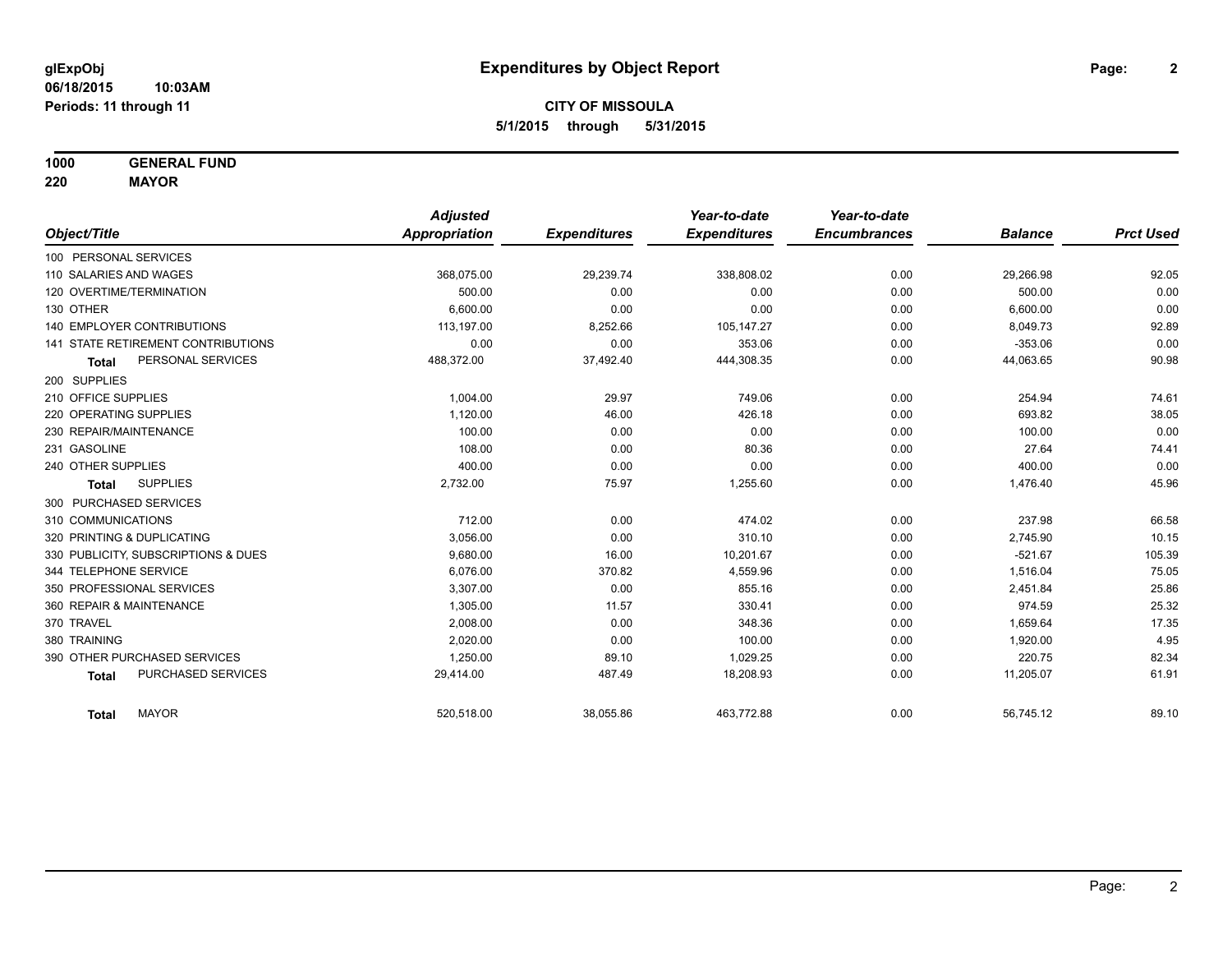**1000 GENERAL FUND**

**220 MAYOR**

|                                     | <b>Adjusted</b> |                     | Year-to-date        | Year-to-date        |                |                  |
|-------------------------------------|-----------------|---------------------|---------------------|---------------------|----------------|------------------|
| Object/Title                        | Appropriation   | <b>Expenditures</b> | <b>Expenditures</b> | <b>Encumbrances</b> | <b>Balance</b> | <b>Prct Used</b> |
| 100 PERSONAL SERVICES               |                 |                     |                     |                     |                |                  |
| 110 SALARIES AND WAGES              | 368,075.00      | 29,239.74           | 338,808.02          | 0.00                | 29,266.98      | 92.05            |
| 120 OVERTIME/TERMINATION            | 500.00          | 0.00                | 0.00                | 0.00                | 500.00         | 0.00             |
| 130 OTHER                           | 6.600.00        | 0.00                | 0.00                | 0.00                | 6,600.00       | 0.00             |
| <b>140 EMPLOYER CONTRIBUTIONS</b>   | 113,197.00      | 8,252.66            | 105,147.27          | 0.00                | 8,049.73       | 92.89            |
| 141 STATE RETIREMENT CONTRIBUTIONS  | 0.00            | 0.00                | 353.06              | 0.00                | $-353.06$      | 0.00             |
| PERSONAL SERVICES<br><b>Total</b>   | 488,372.00      | 37,492.40           | 444,308.35          | 0.00                | 44,063.65      | 90.98            |
| 200 SUPPLIES                        |                 |                     |                     |                     |                |                  |
| 210 OFFICE SUPPLIES                 | 1,004.00        | 29.97               | 749.06              | 0.00                | 254.94         | 74.61            |
| 220 OPERATING SUPPLIES              | 1,120.00        | 46.00               | 426.18              | 0.00                | 693.82         | 38.05            |
| 230 REPAIR/MAINTENANCE              | 100.00          | 0.00                | 0.00                | 0.00                | 100.00         | 0.00             |
| 231 GASOLINE                        | 108.00          | 0.00                | 80.36               | 0.00                | 27.64          | 74.41            |
| 240 OTHER SUPPLIES                  | 400.00          | 0.00                | 0.00                | 0.00                | 400.00         | 0.00             |
| <b>SUPPLIES</b><br><b>Total</b>     | 2,732.00        | 75.97               | 1,255.60            | 0.00                | 1,476.40       | 45.96            |
| 300 PURCHASED SERVICES              |                 |                     |                     |                     |                |                  |
| 310 COMMUNICATIONS                  | 712.00          | 0.00                | 474.02              | 0.00                | 237.98         | 66.58            |
| 320 PRINTING & DUPLICATING          | 3,056.00        | 0.00                | 310.10              | 0.00                | 2,745.90       | 10.15            |
| 330 PUBLICITY, SUBSCRIPTIONS & DUES | 9,680.00        | 16.00               | 10,201.67           | 0.00                | $-521.67$      | 105.39           |
| 344 TELEPHONE SERVICE               | 6.076.00        | 370.82              | 4,559.96            | 0.00                | 1,516.04       | 75.05            |
| 350 PROFESSIONAL SERVICES           | 3,307.00        | 0.00                | 855.16              | 0.00                | 2,451.84       | 25.86            |
| 360 REPAIR & MAINTENANCE            | 1,305.00        | 11.57               | 330.41              | 0.00                | 974.59         | 25.32            |
| 370 TRAVEL                          | 2,008.00        | 0.00                | 348.36              | 0.00                | 1,659.64       | 17.35            |
| 380 TRAINING                        | 2,020.00        | 0.00                | 100.00              | 0.00                | 1,920.00       | 4.95             |
| 390 OTHER PURCHASED SERVICES        | 1,250.00        | 89.10               | 1,029.25            | 0.00                | 220.75         | 82.34            |
| PURCHASED SERVICES<br><b>Total</b>  | 29,414.00       | 487.49              | 18,208.93           | 0.00                | 11,205.07      | 61.91            |
| <b>MAYOR</b><br><b>Total</b>        | 520,518.00      | 38,055.86           | 463,772.88          | 0.00                | 56,745.12      | 89.10            |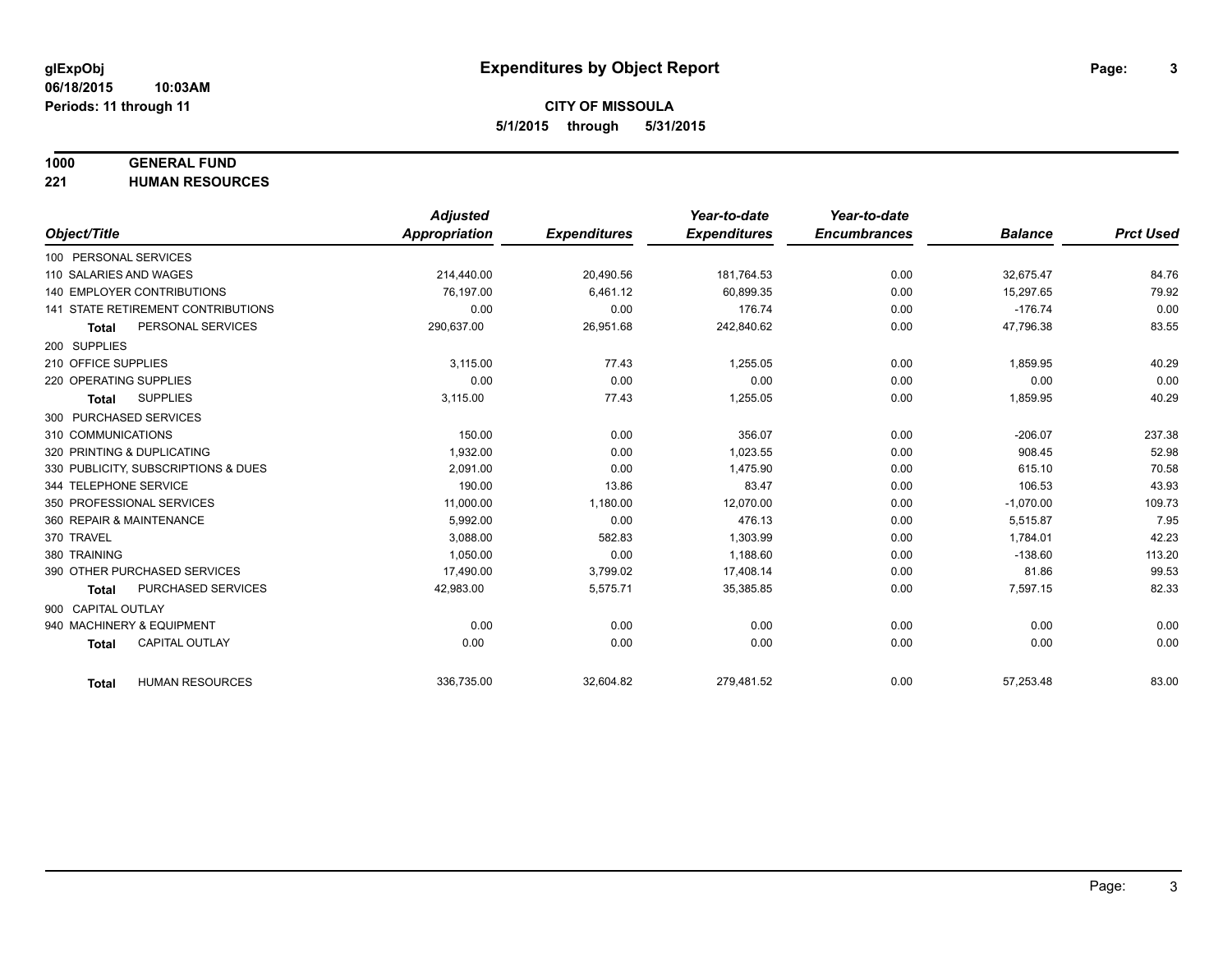#### **1000 GENERAL FUND**

**221 HUMAN RESOURCES**

|                                           | <b>Adjusted</b>      |                     | Year-to-date        | Year-to-date        |                |                  |
|-------------------------------------------|----------------------|---------------------|---------------------|---------------------|----------------|------------------|
| Object/Title                              | <b>Appropriation</b> | <b>Expenditures</b> | <b>Expenditures</b> | <b>Encumbrances</b> | <b>Balance</b> | <b>Prct Used</b> |
| 100 PERSONAL SERVICES                     |                      |                     |                     |                     |                |                  |
| 110 SALARIES AND WAGES                    | 214,440.00           | 20,490.56           | 181,764.53          | 0.00                | 32,675.47      | 84.76            |
| 140 EMPLOYER CONTRIBUTIONS                | 76.197.00            | 6,461.12            | 60,899.35           | 0.00                | 15,297.65      | 79.92            |
| <b>141 STATE RETIREMENT CONTRIBUTIONS</b> | 0.00                 | 0.00                | 176.74              | 0.00                | $-176.74$      | 0.00             |
| PERSONAL SERVICES<br><b>Total</b>         | 290,637.00           | 26,951.68           | 242,840.62          | 0.00                | 47,796.38      | 83.55            |
| 200 SUPPLIES                              |                      |                     |                     |                     |                |                  |
| 210 OFFICE SUPPLIES                       | 3,115.00             | 77.43               | 1,255.05            | 0.00                | 1,859.95       | 40.29            |
| 220 OPERATING SUPPLIES                    | 0.00                 | 0.00                | 0.00                | 0.00                | 0.00           | 0.00             |
| <b>SUPPLIES</b><br><b>Total</b>           | 3,115.00             | 77.43               | 1,255.05            | 0.00                | 1,859.95       | 40.29            |
| 300 PURCHASED SERVICES                    |                      |                     |                     |                     |                |                  |
| 310 COMMUNICATIONS                        | 150.00               | 0.00                | 356.07              | 0.00                | $-206.07$      | 237.38           |
| 320 PRINTING & DUPLICATING                | 1,932.00             | 0.00                | 1,023.55            | 0.00                | 908.45         | 52.98            |
| 330 PUBLICITY, SUBSCRIPTIONS & DUES       | 2.091.00             | 0.00                | 1,475.90            | 0.00                | 615.10         | 70.58            |
| 344 TELEPHONE SERVICE                     | 190.00               | 13.86               | 83.47               | 0.00                | 106.53         | 43.93            |
| 350 PROFESSIONAL SERVICES                 | 11,000.00            | 1,180.00            | 12,070.00           | 0.00                | $-1,070.00$    | 109.73           |
| 360 REPAIR & MAINTENANCE                  | 5.992.00             | 0.00                | 476.13              | 0.00                | 5,515.87       | 7.95             |
| 370 TRAVEL                                | 3,088.00             | 582.83              | 1,303.99            | 0.00                | 1,784.01       | 42.23            |
| 380 TRAINING                              | 1,050.00             | 0.00                | 1,188.60            | 0.00                | $-138.60$      | 113.20           |
| 390 OTHER PURCHASED SERVICES              | 17,490.00            | 3,799.02            | 17,408.14           | 0.00                | 81.86          | 99.53            |
| <b>PURCHASED SERVICES</b><br><b>Total</b> | 42,983.00            | 5,575.71            | 35,385.85           | 0.00                | 7,597.15       | 82.33            |
| 900 CAPITAL OUTLAY                        |                      |                     |                     |                     |                |                  |
| 940 MACHINERY & EQUIPMENT                 | 0.00                 | 0.00                | 0.00                | 0.00                | 0.00           | 0.00             |
| <b>CAPITAL OUTLAY</b><br><b>Total</b>     | 0.00                 | 0.00                | 0.00                | 0.00                | 0.00           | 0.00             |
|                                           |                      |                     |                     |                     |                |                  |
| <b>HUMAN RESOURCES</b><br><b>Total</b>    | 336,735.00           | 32,604.82           | 279,481.52          | 0.00                | 57,253.48      | 83.00            |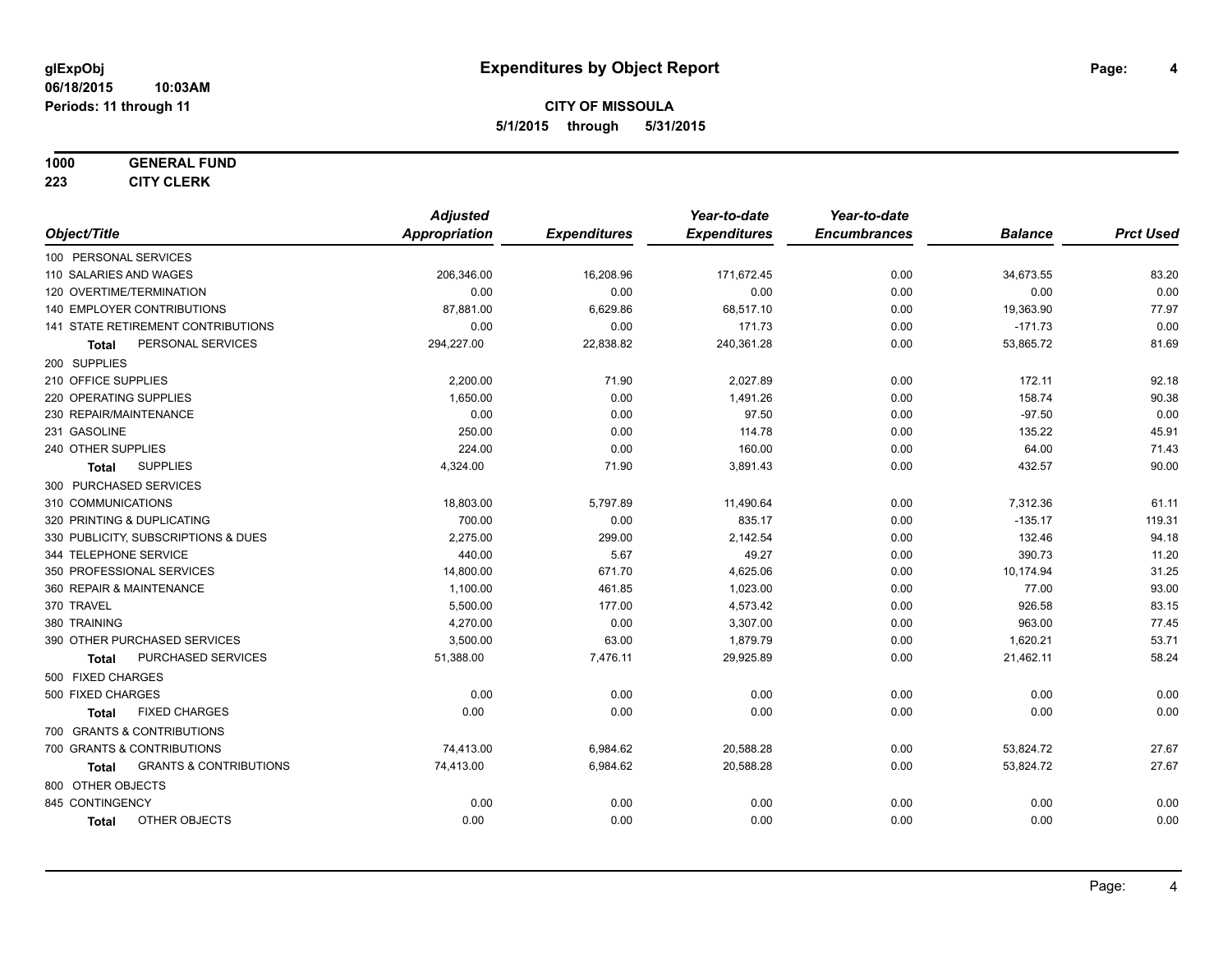#### **1000 GENERAL FUND**

**223 CITY CLERK**

|                                            | <b>Adjusted</b>      |                     | Year-to-date        | Year-to-date        |                |                  |
|--------------------------------------------|----------------------|---------------------|---------------------|---------------------|----------------|------------------|
| Object/Title                               | <b>Appropriation</b> | <b>Expenditures</b> | <b>Expenditures</b> | <b>Encumbrances</b> | <b>Balance</b> | <b>Prct Used</b> |
| 100 PERSONAL SERVICES                      |                      |                     |                     |                     |                |                  |
| 110 SALARIES AND WAGES                     | 206,346.00           | 16,208.96           | 171,672.45          | 0.00                | 34,673.55      | 83.20            |
| 120 OVERTIME/TERMINATION                   | 0.00                 | 0.00                | 0.00                | 0.00                | 0.00           | 0.00             |
| 140 EMPLOYER CONTRIBUTIONS                 | 87,881.00            | 6,629.86            | 68,517.10           | 0.00                | 19,363.90      | 77.97            |
| 141 STATE RETIREMENT CONTRIBUTIONS         | 0.00                 | 0.00                | 171.73              | 0.00                | $-171.73$      | 0.00             |
| PERSONAL SERVICES<br>Total                 | 294,227.00           | 22,838.82           | 240,361.28          | 0.00                | 53,865.72      | 81.69            |
| 200 SUPPLIES                               |                      |                     |                     |                     |                |                  |
| 210 OFFICE SUPPLIES                        | 2,200.00             | 71.90               | 2,027.89            | 0.00                | 172.11         | 92.18            |
| 220 OPERATING SUPPLIES                     | 1,650.00             | 0.00                | 1,491.26            | 0.00                | 158.74         | 90.38            |
| 230 REPAIR/MAINTENANCE                     | 0.00                 | 0.00                | 97.50               | 0.00                | $-97.50$       | 0.00             |
| 231 GASOLINE                               | 250.00               | 0.00                | 114.78              | 0.00                | 135.22         | 45.91            |
| 240 OTHER SUPPLIES                         | 224.00               | 0.00                | 160.00              | 0.00                | 64.00          | 71.43            |
| <b>SUPPLIES</b><br><b>Total</b>            | 4,324.00             | 71.90               | 3,891.43            | 0.00                | 432.57         | 90.00            |
| 300 PURCHASED SERVICES                     |                      |                     |                     |                     |                |                  |
| 310 COMMUNICATIONS                         | 18,803.00            | 5,797.89            | 11,490.64           | 0.00                | 7,312.36       | 61.11            |
| 320 PRINTING & DUPLICATING                 | 700.00               | 0.00                | 835.17              | 0.00                | $-135.17$      | 119.31           |
| 330 PUBLICITY, SUBSCRIPTIONS & DUES        | 2,275.00             | 299.00              | 2,142.54            | 0.00                | 132.46         | 94.18            |
| 344 TELEPHONE SERVICE                      | 440.00               | 5.67                | 49.27               | 0.00                | 390.73         | 11.20            |
| 350 PROFESSIONAL SERVICES                  | 14,800.00            | 671.70              | 4,625.06            | 0.00                | 10,174.94      | 31.25            |
| 360 REPAIR & MAINTENANCE                   | 1,100.00             | 461.85              | 1,023.00            | 0.00                | 77.00          | 93.00            |
| 370 TRAVEL                                 | 5,500.00             | 177.00              | 4,573.42            | 0.00                | 926.58         | 83.15            |
| 380 TRAINING                               | 4,270.00             | 0.00                | 3,307.00            | 0.00                | 963.00         | 77.45            |
| 390 OTHER PURCHASED SERVICES               | 3,500.00             | 63.00               | 1,879.79            | 0.00                | 1,620.21       | 53.71            |
| PURCHASED SERVICES<br><b>Total</b>         | 51,388.00            | 7,476.11            | 29,925.89           | 0.00                | 21,462.11      | 58.24            |
| 500 FIXED CHARGES                          |                      |                     |                     |                     |                |                  |
| 500 FIXED CHARGES                          | 0.00                 | 0.00                | 0.00                | 0.00                | 0.00           | 0.00             |
| <b>FIXED CHARGES</b><br>Total              | 0.00                 | 0.00                | 0.00                | 0.00                | 0.00           | 0.00             |
| 700 GRANTS & CONTRIBUTIONS                 |                      |                     |                     |                     |                |                  |
| 700 GRANTS & CONTRIBUTIONS                 | 74,413.00            | 6,984.62            | 20,588.28           | 0.00                | 53,824.72      | 27.67            |
| <b>GRANTS &amp; CONTRIBUTIONS</b><br>Total | 74,413.00            | 6,984.62            | 20,588.28           | 0.00                | 53,824.72      | 27.67            |
| 800 OTHER OBJECTS                          |                      |                     |                     |                     |                |                  |
| 845 CONTINGENCY                            | 0.00                 | 0.00                | 0.00                | 0.00                | 0.00           | 0.00             |
| OTHER OBJECTS<br><b>Total</b>              | 0.00                 | 0.00                | 0.00                | 0.00                | 0.00           | 0.00             |
|                                            |                      |                     |                     |                     |                |                  |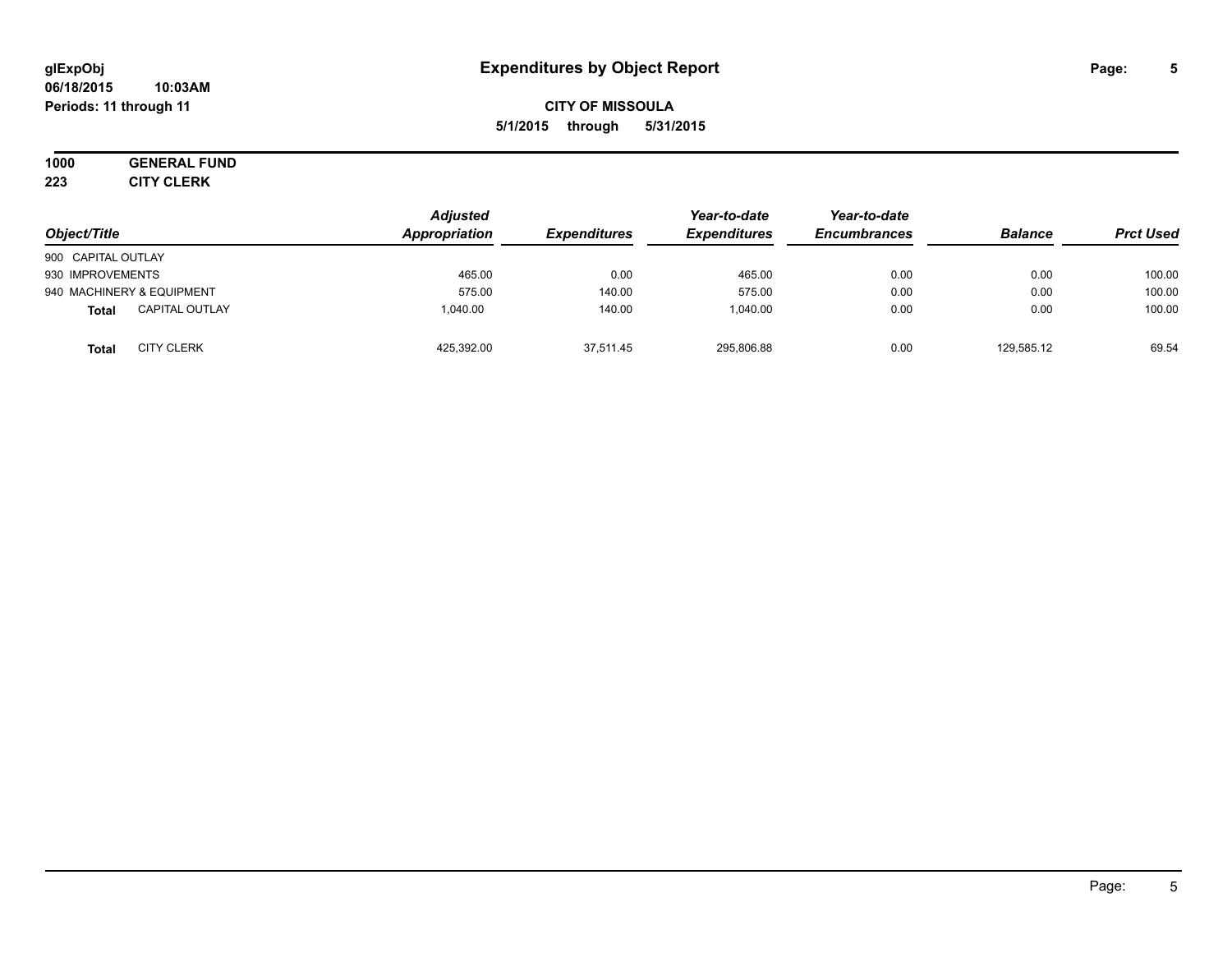#### **06/18/2015 10:03AM Periods: 11 through 11**

## **CITY OF MISSOULA 5/1/2015 through 5/31/2015**

# **1000 GENERAL FUND**

**223 CITY CLERK**

| Object/Title                          | <b>Adjusted</b><br>Appropriation | <b>Expenditures</b> | Year-to-date<br><b>Expenditures</b> | Year-to-date<br><b>Encumbrances</b> | <b>Balance</b> | <b>Prct Used</b> |
|---------------------------------------|----------------------------------|---------------------|-------------------------------------|-------------------------------------|----------------|------------------|
| 900 CAPITAL OUTLAY                    |                                  |                     |                                     |                                     |                |                  |
| 930 IMPROVEMENTS                      | 465.00                           | 0.00                | 465.00                              | 0.00                                | 0.00           | 100.00           |
| 940 MACHINERY & EQUIPMENT             | 575.00                           | 140.00              | 575.00                              | 0.00                                | 0.00           | 100.00           |
| <b>CAPITAL OUTLAY</b><br><b>Total</b> | 1.040.00                         | 140.00              | 1.040.00                            | 0.00                                | 0.00           | 100.00           |
| <b>CITY CLERK</b><br><b>Total</b>     | 425,392.00                       | 37,511.45           | 295,806.88                          | 0.00                                | 129,585.12     | 69.54            |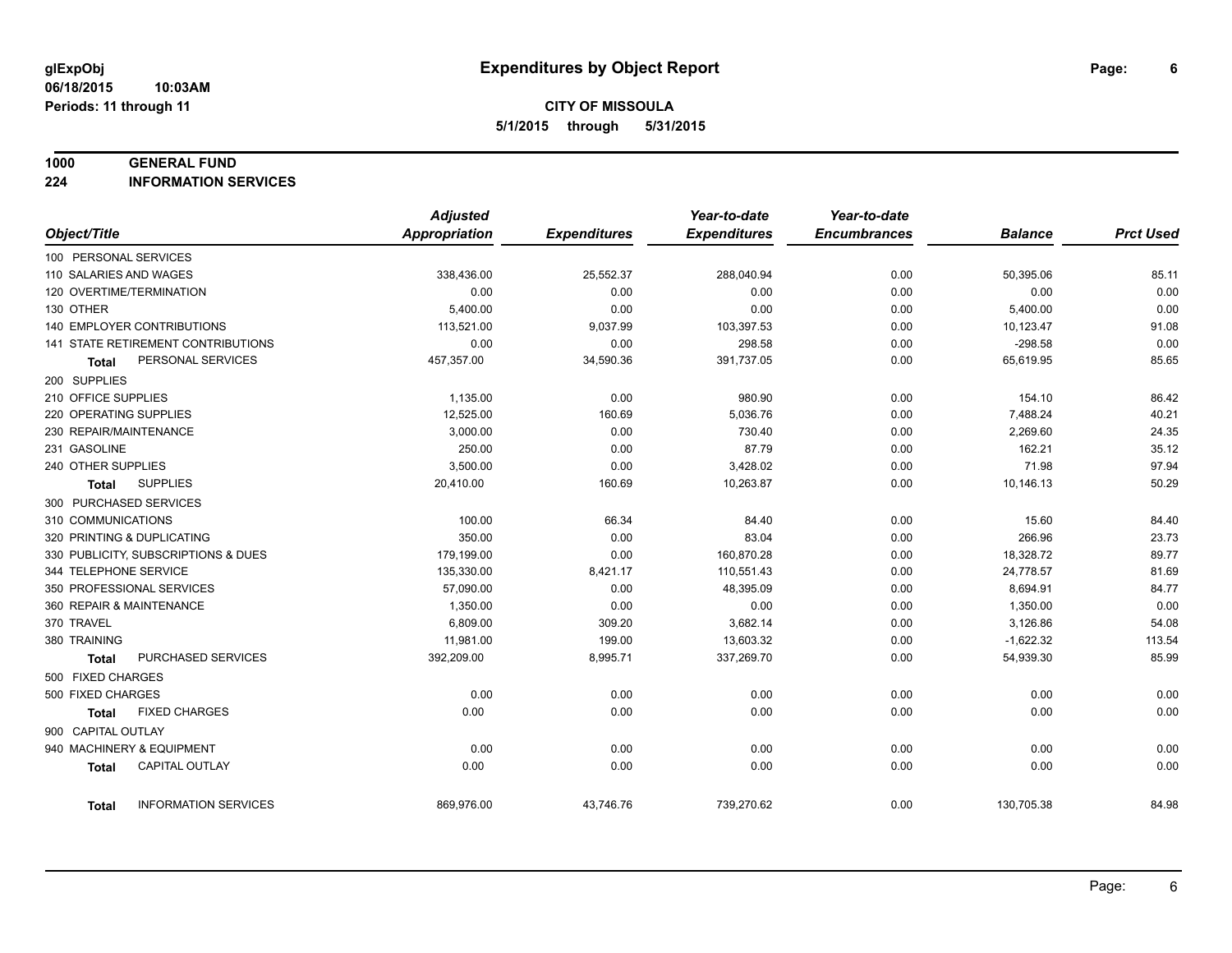#### **1000 GENERAL FUND**

**224 INFORMATION SERVICES**

|                          |                                           | <b>Adjusted</b>      |                     | Year-to-date        | Year-to-date        |                |                  |
|--------------------------|-------------------------------------------|----------------------|---------------------|---------------------|---------------------|----------------|------------------|
| Object/Title             |                                           | <b>Appropriation</b> | <b>Expenditures</b> | <b>Expenditures</b> | <b>Encumbrances</b> | <b>Balance</b> | <b>Prct Used</b> |
| 100 PERSONAL SERVICES    |                                           |                      |                     |                     |                     |                |                  |
| 110 SALARIES AND WAGES   |                                           | 338,436.00           | 25,552.37           | 288,040.94          | 0.00                | 50,395.06      | 85.11            |
| 120 OVERTIME/TERMINATION |                                           | 0.00                 | 0.00                | 0.00                | 0.00                | 0.00           | 0.00             |
| 130 OTHER                |                                           | 5,400.00             | 0.00                | 0.00                | 0.00                | 5,400.00       | 0.00             |
|                          | 140 EMPLOYER CONTRIBUTIONS                | 113,521.00           | 9,037.99            | 103,397.53          | 0.00                | 10,123.47      | 91.08            |
|                          | <b>141 STATE RETIREMENT CONTRIBUTIONS</b> | 0.00                 | 0.00                | 298.58              | 0.00                | $-298.58$      | 0.00             |
| Total                    | PERSONAL SERVICES                         | 457,357.00           | 34,590.36           | 391,737.05          | 0.00                | 65,619.95      | 85.65            |
| 200 SUPPLIES             |                                           |                      |                     |                     |                     |                |                  |
| 210 OFFICE SUPPLIES      |                                           | 1,135.00             | 0.00                | 980.90              | 0.00                | 154.10         | 86.42            |
| 220 OPERATING SUPPLIES   |                                           | 12,525.00            | 160.69              | 5,036.76            | 0.00                | 7,488.24       | 40.21            |
| 230 REPAIR/MAINTENANCE   |                                           | 3.000.00             | 0.00                | 730.40              | 0.00                | 2,269.60       | 24.35            |
| 231 GASOLINE             |                                           | 250.00               | 0.00                | 87.79               | 0.00                | 162.21         | 35.12            |
| 240 OTHER SUPPLIES       |                                           | 3,500.00             | 0.00                | 3,428.02            | 0.00                | 71.98          | 97.94            |
| Total                    | <b>SUPPLIES</b>                           | 20,410.00            | 160.69              | 10,263.87           | 0.00                | 10,146.13      | 50.29            |
| 300 PURCHASED SERVICES   |                                           |                      |                     |                     |                     |                |                  |
| 310 COMMUNICATIONS       |                                           | 100.00               | 66.34               | 84.40               | 0.00                | 15.60          | 84.40            |
|                          | 320 PRINTING & DUPLICATING                | 350.00               | 0.00                | 83.04               | 0.00                | 266.96         | 23.73            |
|                          | 330 PUBLICITY, SUBSCRIPTIONS & DUES       | 179,199.00           | 0.00                | 160,870.28          | 0.00                | 18,328.72      | 89.77            |
| 344 TELEPHONE SERVICE    |                                           | 135,330.00           | 8,421.17            | 110,551.43          | 0.00                | 24,778.57      | 81.69            |
|                          | 350 PROFESSIONAL SERVICES                 | 57,090.00            | 0.00                | 48,395.09           | 0.00                | 8,694.91       | 84.77            |
| 360 REPAIR & MAINTENANCE |                                           | 1,350.00             | 0.00                | 0.00                | 0.00                | 1,350.00       | 0.00             |
| 370 TRAVEL               |                                           | 6,809.00             | 309.20              | 3,682.14            | 0.00                | 3,126.86       | 54.08            |
| 380 TRAINING             |                                           | 11,981.00            | 199.00              | 13,603.32           | 0.00                | $-1,622.32$    | 113.54           |
| <b>Total</b>             | PURCHASED SERVICES                        | 392,209.00           | 8,995.71            | 337,269.70          | 0.00                | 54,939.30      | 85.99            |
| 500 FIXED CHARGES        |                                           |                      |                     |                     |                     |                |                  |
| 500 FIXED CHARGES        |                                           | 0.00                 | 0.00                | 0.00                | 0.00                | 0.00           | 0.00             |
| Total                    | <b>FIXED CHARGES</b>                      | 0.00                 | 0.00                | 0.00                | 0.00                | 0.00           | 0.00             |
| 900 CAPITAL OUTLAY       |                                           |                      |                     |                     |                     |                |                  |
|                          | 940 MACHINERY & EQUIPMENT                 | 0.00                 | 0.00                | 0.00                | 0.00                | 0.00           | 0.00             |
| <b>Total</b>             | <b>CAPITAL OUTLAY</b>                     | 0.00                 | 0.00                | 0.00                | 0.00                | 0.00           | 0.00             |
|                          |                                           |                      |                     |                     |                     |                |                  |
| Total                    | <b>INFORMATION SERVICES</b>               | 869,976.00           | 43,746.76           | 739,270.62          | 0.00                | 130,705.38     | 84.98            |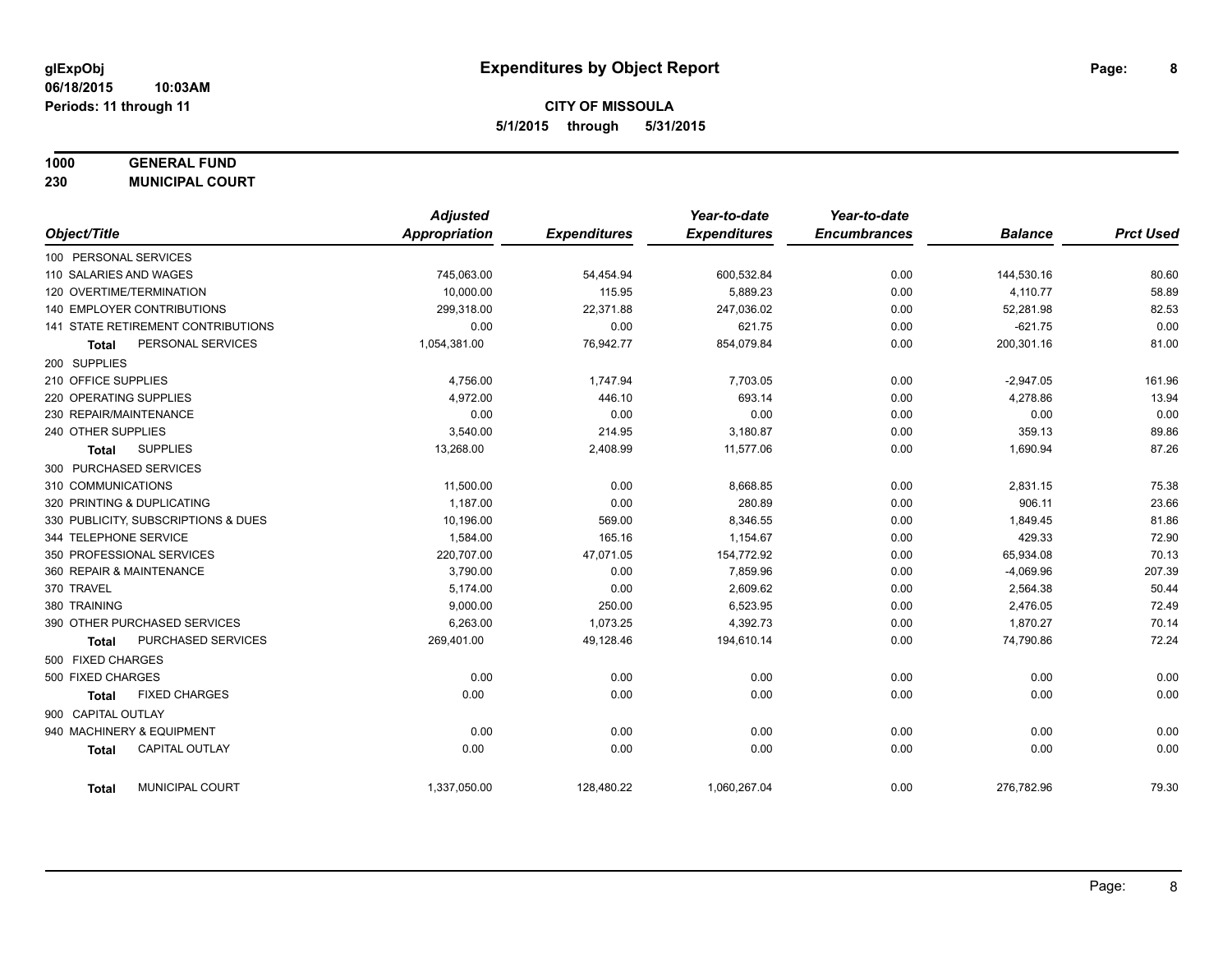## **1000 GENERAL FUND**

**230 MUNICIPAL COURT**

|                                       | <b>Adjusted</b> |                     | Year-to-date        | Year-to-date        |                |                  |
|---------------------------------------|-----------------|---------------------|---------------------|---------------------|----------------|------------------|
| Object/Title                          | Appropriation   | <b>Expenditures</b> | <b>Expenditures</b> | <b>Encumbrances</b> | <b>Balance</b> | <b>Prct Used</b> |
| 100 PERSONAL SERVICES                 |                 |                     |                     |                     |                |                  |
| 110 SALARIES AND WAGES                | 745,063.00      | 54,454.94           | 600,532.84          | 0.00                | 144,530.16     | 80.60            |
| 120 OVERTIME/TERMINATION              | 10,000.00       | 115.95              | 5,889.23            | 0.00                | 4,110.77       | 58.89            |
| <b>140 EMPLOYER CONTRIBUTIONS</b>     | 299,318.00      | 22,371.88           | 247,036.02          | 0.00                | 52,281.98      | 82.53            |
| 141 STATE RETIREMENT CONTRIBUTIONS    | 0.00            | 0.00                | 621.75              | 0.00                | $-621.75$      | 0.00             |
| PERSONAL SERVICES<br><b>Total</b>     | 1,054,381.00    | 76,942.77           | 854,079.84          | 0.00                | 200,301.16     | 81.00            |
| 200 SUPPLIES                          |                 |                     |                     |                     |                |                  |
| 210 OFFICE SUPPLIES                   | 4,756.00        | 1,747.94            | 7,703.05            | 0.00                | $-2,947.05$    | 161.96           |
| 220 OPERATING SUPPLIES                | 4,972.00        | 446.10              | 693.14              | 0.00                | 4,278.86       | 13.94            |
| 230 REPAIR/MAINTENANCE                | 0.00            | 0.00                | 0.00                | 0.00                | 0.00           | 0.00             |
| 240 OTHER SUPPLIES                    | 3,540.00        | 214.95              | 3,180.87            | 0.00                | 359.13         | 89.86            |
| <b>SUPPLIES</b><br><b>Total</b>       | 13,268.00       | 2,408.99            | 11,577.06           | 0.00                | 1,690.94       | 87.26            |
| 300 PURCHASED SERVICES                |                 |                     |                     |                     |                |                  |
| 310 COMMUNICATIONS                    | 11,500.00       | 0.00                | 8,668.85            | 0.00                | 2,831.15       | 75.38            |
| 320 PRINTING & DUPLICATING            | 1,187.00        | 0.00                | 280.89              | 0.00                | 906.11         | 23.66            |
| 330 PUBLICITY, SUBSCRIPTIONS & DUES   | 10,196.00       | 569.00              | 8,346.55            | 0.00                | 1,849.45       | 81.86            |
| 344 TELEPHONE SERVICE                 | 1,584.00        | 165.16              | 1,154.67            | 0.00                | 429.33         | 72.90            |
| 350 PROFESSIONAL SERVICES             | 220,707.00      | 47,071.05           | 154,772.92          | 0.00                | 65,934.08      | 70.13            |
| 360 REPAIR & MAINTENANCE              | 3,790.00        | 0.00                | 7,859.96            | 0.00                | $-4,069.96$    | 207.39           |
| 370 TRAVEL                            | 5,174.00        | 0.00                | 2,609.62            | 0.00                | 2,564.38       | 50.44            |
| 380 TRAINING                          | 9,000.00        | 250.00              | 6,523.95            | 0.00                | 2,476.05       | 72.49            |
| 390 OTHER PURCHASED SERVICES          | 6,263.00        | 1,073.25            | 4,392.73            | 0.00                | 1,870.27       | 70.14            |
| PURCHASED SERVICES<br><b>Total</b>    | 269,401.00      | 49,128.46           | 194,610.14          | 0.00                | 74,790.86      | 72.24            |
| 500 FIXED CHARGES                     |                 |                     |                     |                     |                |                  |
| 500 FIXED CHARGES                     | 0.00            | 0.00                | 0.00                | 0.00                | 0.00           | 0.00             |
| <b>FIXED CHARGES</b><br><b>Total</b>  | 0.00            | 0.00                | 0.00                | 0.00                | 0.00           | 0.00             |
| 900 CAPITAL OUTLAY                    |                 |                     |                     |                     |                |                  |
| 940 MACHINERY & EQUIPMENT             | 0.00            | 0.00                | 0.00                | 0.00                | 0.00           | 0.00             |
| <b>CAPITAL OUTLAY</b><br><b>Total</b> | 0.00            | 0.00                | 0.00                | 0.00                | 0.00           | 0.00             |
| MUNICIPAL COURT<br><b>Total</b>       | 1,337,050.00    | 128,480.22          | 1,060,267.04        | 0.00                | 276,782.96     | 79.30            |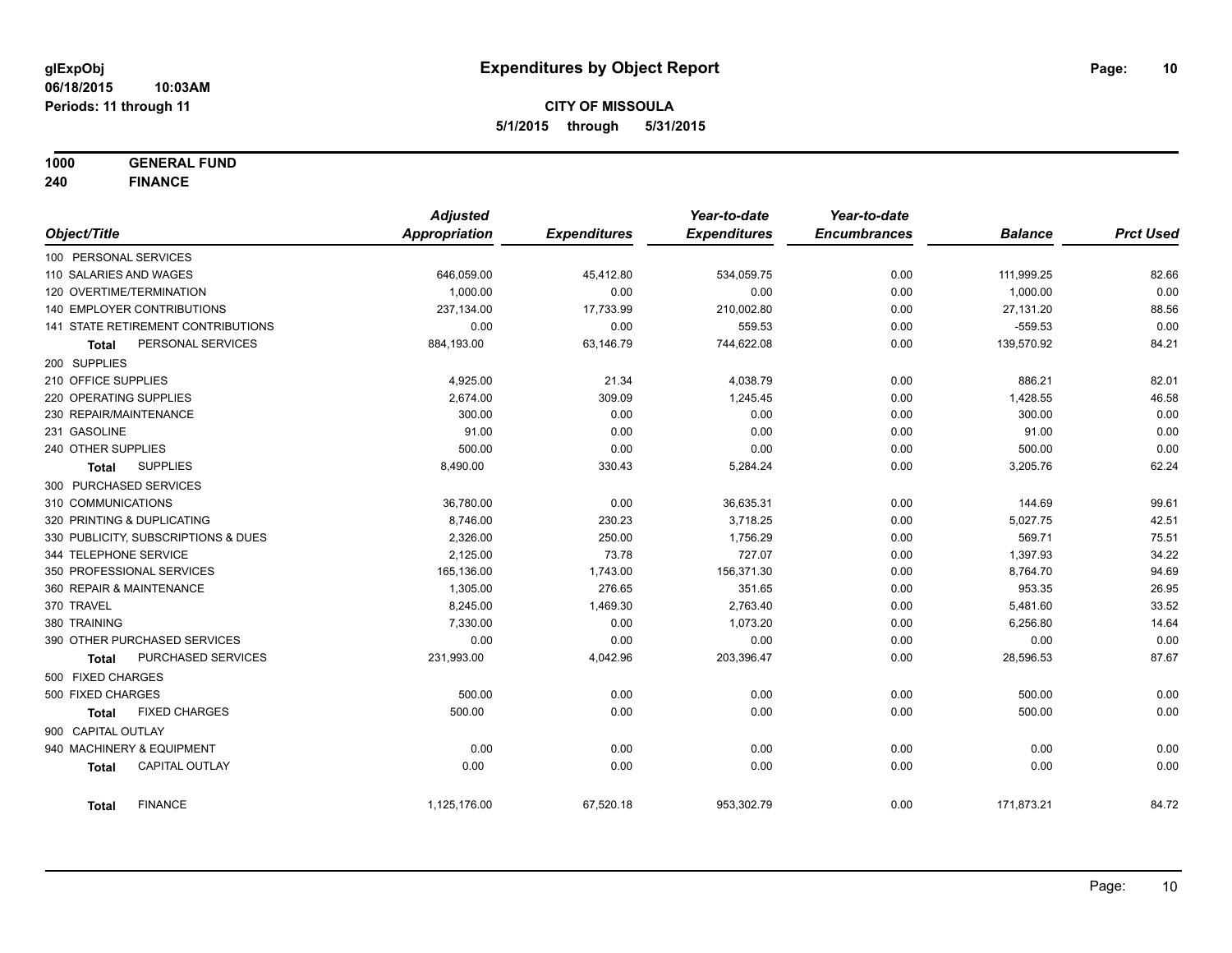**1000 GENERAL FUND**

**240 FINANCE**

|                                     |                                    | <b>Adjusted</b> |                     | Year-to-date        | Year-to-date        |                |                  |
|-------------------------------------|------------------------------------|-----------------|---------------------|---------------------|---------------------|----------------|------------------|
| Object/Title                        |                                    | Appropriation   | <b>Expenditures</b> | <b>Expenditures</b> | <b>Encumbrances</b> | <b>Balance</b> | <b>Prct Used</b> |
| 100 PERSONAL SERVICES               |                                    |                 |                     |                     |                     |                |                  |
| 110 SALARIES AND WAGES              |                                    | 646,059.00      | 45,412.80           | 534,059.75          | 0.00                | 111,999.25     | 82.66            |
| 120 OVERTIME/TERMINATION            |                                    | 1,000.00        | 0.00                | 0.00                | 0.00                | 1,000.00       | 0.00             |
| <b>140 EMPLOYER CONTRIBUTIONS</b>   |                                    | 237,134.00      | 17,733.99           | 210,002.80          | 0.00                | 27,131.20      | 88.56            |
|                                     | 141 STATE RETIREMENT CONTRIBUTIONS | 0.00            | 0.00                | 559.53              | 0.00                | $-559.53$      | 0.00             |
| Total                               | PERSONAL SERVICES                  | 884,193.00      | 63,146.79           | 744,622.08          | 0.00                | 139,570.92     | 84.21            |
| 200 SUPPLIES                        |                                    |                 |                     |                     |                     |                |                  |
| 210 OFFICE SUPPLIES                 |                                    | 4,925.00        | 21.34               | 4,038.79            | 0.00                | 886.21         | 82.01            |
| 220 OPERATING SUPPLIES              |                                    | 2,674.00        | 309.09              | 1,245.45            | 0.00                | 1,428.55       | 46.58            |
| 230 REPAIR/MAINTENANCE              |                                    | 300.00          | 0.00                | 0.00                | 0.00                | 300.00         | 0.00             |
| 231 GASOLINE                        |                                    | 91.00           | 0.00                | 0.00                | 0.00                | 91.00          | 0.00             |
| 240 OTHER SUPPLIES                  |                                    | 500.00          | 0.00                | 0.00                | 0.00                | 500.00         | 0.00             |
| Total                               | <b>SUPPLIES</b>                    | 8,490.00        | 330.43              | 5,284.24            | 0.00                | 3,205.76       | 62.24            |
| 300 PURCHASED SERVICES              |                                    |                 |                     |                     |                     |                |                  |
| 310 COMMUNICATIONS                  |                                    | 36,780.00       | 0.00                | 36,635.31           | 0.00                | 144.69         | 99.61            |
| 320 PRINTING & DUPLICATING          |                                    | 8,746.00        | 230.23              | 3,718.25            | 0.00                | 5,027.75       | 42.51            |
| 330 PUBLICITY, SUBSCRIPTIONS & DUES |                                    | 2,326.00        | 250.00              | 1,756.29            | 0.00                | 569.71         | 75.51            |
| 344 TELEPHONE SERVICE               |                                    | 2,125.00        | 73.78               | 727.07              | 0.00                | 1,397.93       | 34.22            |
| 350 PROFESSIONAL SERVICES           |                                    | 165,136.00      | 1,743.00            | 156,371.30          | 0.00                | 8,764.70       | 94.69            |
| 360 REPAIR & MAINTENANCE            |                                    | 1,305.00        | 276.65              | 351.65              | 0.00                | 953.35         | 26.95            |
| 370 TRAVEL                          |                                    | 8,245.00        | 1,469.30            | 2,763.40            | 0.00                | 5,481.60       | 33.52            |
| 380 TRAINING                        |                                    | 7,330.00        | 0.00                | 1,073.20            | 0.00                | 6,256.80       | 14.64            |
| 390 OTHER PURCHASED SERVICES        |                                    | 0.00            | 0.00                | 0.00                | 0.00                | 0.00           | 0.00             |
| <b>Total</b>                        | PURCHASED SERVICES                 | 231,993.00      | 4,042.96            | 203,396.47          | 0.00                | 28,596.53      | 87.67            |
| 500 FIXED CHARGES                   |                                    |                 |                     |                     |                     |                |                  |
| 500 FIXED CHARGES                   |                                    | 500.00          | 0.00                | 0.00                | 0.00                | 500.00         | 0.00             |
| <b>Total</b>                        | <b>FIXED CHARGES</b>               | 500.00          | 0.00                | 0.00                | 0.00                | 500.00         | 0.00             |
| 900 CAPITAL OUTLAY                  |                                    |                 |                     |                     |                     |                |                  |
| 940 MACHINERY & EQUIPMENT           |                                    | 0.00            | 0.00                | 0.00                | 0.00                | 0.00           | 0.00             |
| <b>Total</b>                        | <b>CAPITAL OUTLAY</b>              | 0.00            | 0.00                | 0.00                | 0.00                | 0.00           | 0.00             |
|                                     |                                    |                 |                     |                     |                     |                |                  |
| <b>Total</b>                        | <b>FINANCE</b>                     | 1,125,176.00    | 67,520.18           | 953,302.79          | 0.00                | 171,873.21     | 84.72            |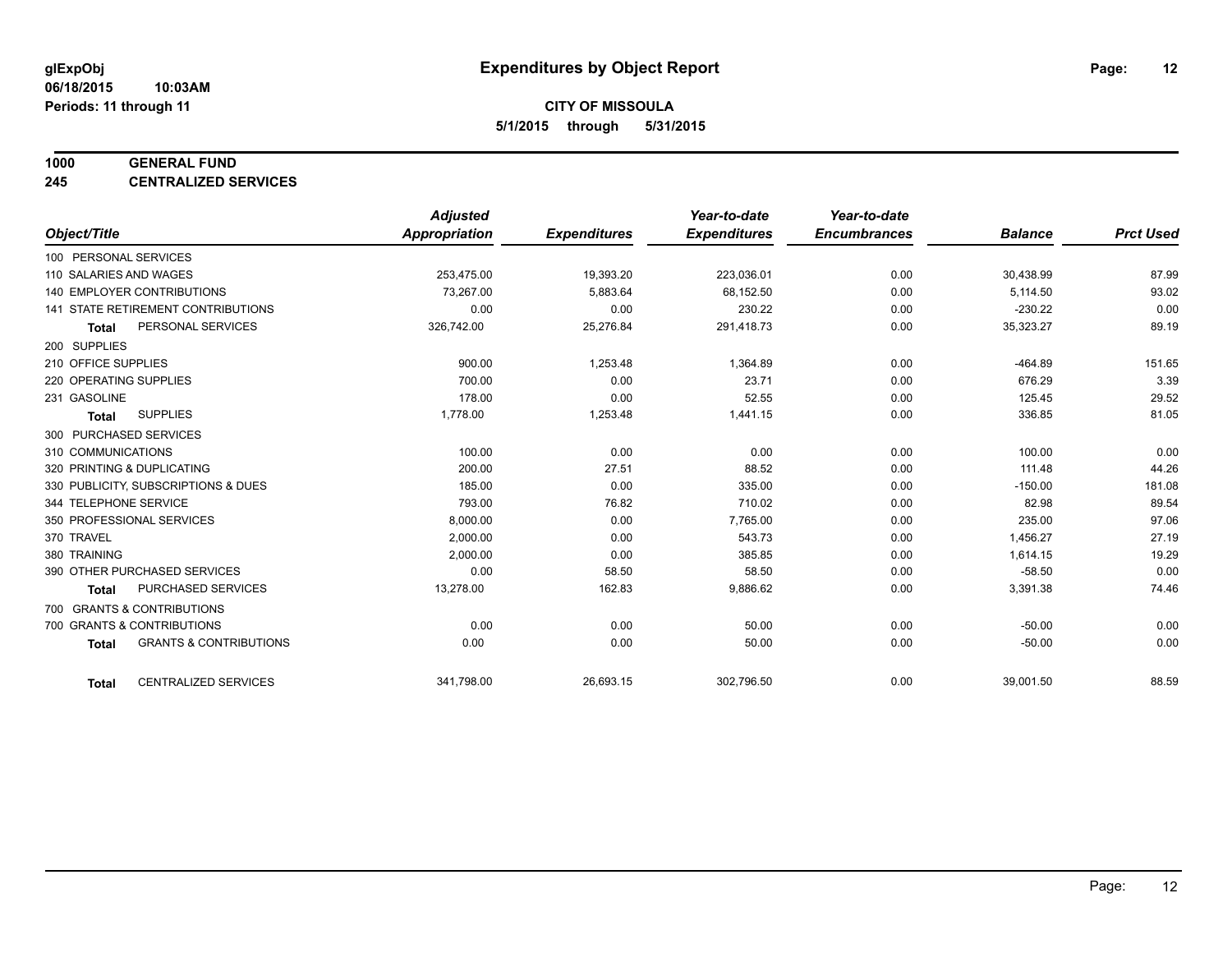#### **1000 GENERAL FUND**

**245 CENTRALIZED SERVICES**

|                        |                                     | <b>Adjusted</b> |                     | Year-to-date        | Year-to-date        |                |                  |
|------------------------|-------------------------------------|-----------------|---------------------|---------------------|---------------------|----------------|------------------|
| Object/Title           |                                     | Appropriation   | <b>Expenditures</b> | <b>Expenditures</b> | <b>Encumbrances</b> | <b>Balance</b> | <b>Prct Used</b> |
| 100 PERSONAL SERVICES  |                                     |                 |                     |                     |                     |                |                  |
| 110 SALARIES AND WAGES |                                     | 253,475.00      | 19,393.20           | 223,036.01          | 0.00                | 30,438.99      | 87.99            |
|                        | <b>140 EMPLOYER CONTRIBUTIONS</b>   | 73.267.00       | 5,883.64            | 68,152.50           | 0.00                | 5,114.50       | 93.02            |
|                        | 141 STATE RETIREMENT CONTRIBUTIONS  | 0.00            | 0.00                | 230.22              | 0.00                | $-230.22$      | 0.00             |
| <b>Total</b>           | PERSONAL SERVICES                   | 326,742.00      | 25,276.84           | 291,418.73          | 0.00                | 35,323.27      | 89.19            |
| 200 SUPPLIES           |                                     |                 |                     |                     |                     |                |                  |
| 210 OFFICE SUPPLIES    |                                     | 900.00          | 1,253.48            | 1,364.89            | 0.00                | $-464.89$      | 151.65           |
| 220 OPERATING SUPPLIES |                                     | 700.00          | 0.00                | 23.71               | 0.00                | 676.29         | 3.39             |
| 231 GASOLINE           |                                     | 178.00          | 0.00                | 52.55               | 0.00                | 125.45         | 29.52            |
| <b>Total</b>           | <b>SUPPLIES</b>                     | 1,778.00        | 1,253.48            | 1,441.15            | 0.00                | 336.85         | 81.05            |
| 300 PURCHASED SERVICES |                                     |                 |                     |                     |                     |                |                  |
| 310 COMMUNICATIONS     |                                     | 100.00          | 0.00                | 0.00                | 0.00                | 100.00         | 0.00             |
|                        | 320 PRINTING & DUPLICATING          | 200.00          | 27.51               | 88.52               | 0.00                | 111.48         | 44.26            |
|                        | 330 PUBLICITY, SUBSCRIPTIONS & DUES | 185.00          | 0.00                | 335.00              | 0.00                | $-150.00$      | 181.08           |
| 344 TELEPHONE SERVICE  |                                     | 793.00          | 76.82               | 710.02              | 0.00                | 82.98          | 89.54            |
|                        | 350 PROFESSIONAL SERVICES           | 8,000.00        | 0.00                | 7,765.00            | 0.00                | 235.00         | 97.06            |
| 370 TRAVEL             |                                     | 2,000.00        | 0.00                | 543.73              | 0.00                | 1,456.27       | 27.19            |
| 380 TRAINING           |                                     | 2,000.00        | 0.00                | 385.85              | 0.00                | 1,614.15       | 19.29            |
|                        | 390 OTHER PURCHASED SERVICES        | 0.00            | 58.50               | 58.50               | 0.00                | $-58.50$       | 0.00             |
| <b>Total</b>           | PURCHASED SERVICES                  | 13,278.00       | 162.83              | 9,886.62            | 0.00                | 3,391.38       | 74.46            |
|                        | 700 GRANTS & CONTRIBUTIONS          |                 |                     |                     |                     |                |                  |
|                        | 700 GRANTS & CONTRIBUTIONS          | 0.00            | 0.00                | 50.00               | 0.00                | $-50.00$       | 0.00             |
| <b>Total</b>           | <b>GRANTS &amp; CONTRIBUTIONS</b>   | 0.00            | 0.00                | 50.00               | 0.00                | $-50.00$       | 0.00             |
|                        |                                     |                 |                     |                     |                     |                |                  |
| <b>Total</b>           | <b>CENTRALIZED SERVICES</b>         | 341,798.00      | 26,693.15           | 302,796.50          | 0.00                | 39,001.50      | 88.59            |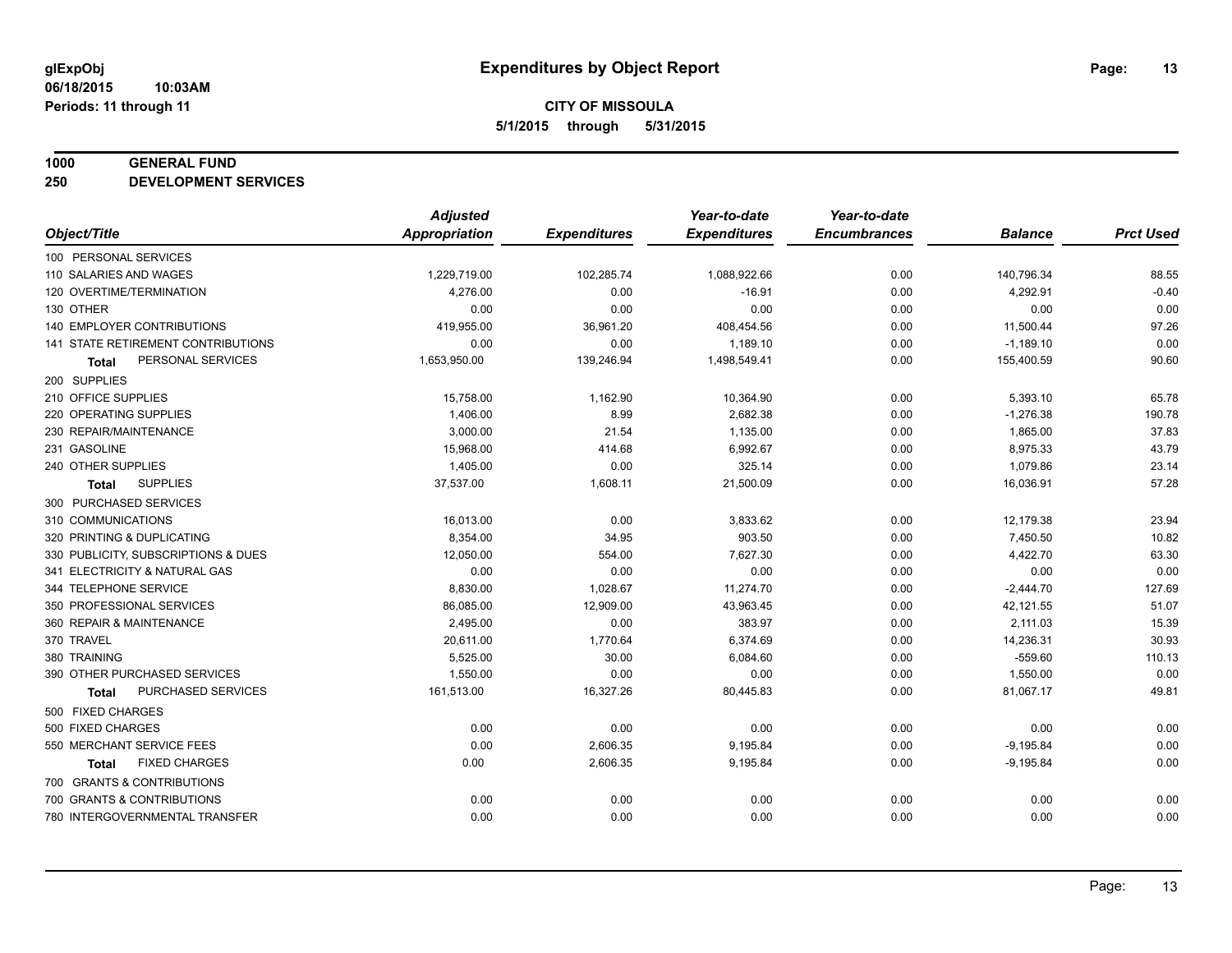#### **1000 GENERAL FUND**

**250 DEVELOPMENT SERVICES**

|                                      | <b>Adjusted</b>      |                     | Year-to-date        | Year-to-date        |                |                  |
|--------------------------------------|----------------------|---------------------|---------------------|---------------------|----------------|------------------|
| Object/Title                         | <b>Appropriation</b> | <b>Expenditures</b> | <b>Expenditures</b> | <b>Encumbrances</b> | <b>Balance</b> | <b>Prct Used</b> |
| 100 PERSONAL SERVICES                |                      |                     |                     |                     |                |                  |
| 110 SALARIES AND WAGES               | 1,229,719.00         | 102,285.74          | 1,088,922.66        | 0.00                | 140,796.34     | 88.55            |
| 120 OVERTIME/TERMINATION             | 4,276.00             | 0.00                | $-16.91$            | 0.00                | 4,292.91       | $-0.40$          |
| 130 OTHER                            | 0.00                 | 0.00                | 0.00                | 0.00                | 0.00           | 0.00             |
| 140 EMPLOYER CONTRIBUTIONS           | 419,955.00           | 36,961.20           | 408,454.56          | 0.00                | 11,500.44      | 97.26            |
| 141 STATE RETIREMENT CONTRIBUTIONS   | 0.00                 | 0.00                | 1,189.10            | 0.00                | $-1,189.10$    | 0.00             |
| PERSONAL SERVICES<br><b>Total</b>    | 1,653,950.00         | 139,246.94          | 1,498,549.41        | 0.00                | 155,400.59     | 90.60            |
| 200 SUPPLIES                         |                      |                     |                     |                     |                |                  |
| 210 OFFICE SUPPLIES                  | 15,758.00            | 1,162.90            | 10,364.90           | 0.00                | 5,393.10       | 65.78            |
| 220 OPERATING SUPPLIES               | 1,406.00             | 8.99                | 2,682.38            | 0.00                | $-1,276.38$    | 190.78           |
| 230 REPAIR/MAINTENANCE               | 3,000.00             | 21.54               | 1,135.00            | 0.00                | 1,865.00       | 37.83            |
| 231 GASOLINE                         | 15.968.00            | 414.68              | 6,992.67            | 0.00                | 8,975.33       | 43.79            |
| 240 OTHER SUPPLIES                   | 1,405.00             | 0.00                | 325.14              | 0.00                | 1,079.86       | 23.14            |
| <b>SUPPLIES</b><br><b>Total</b>      | 37,537.00            | 1,608.11            | 21,500.09           | 0.00                | 16,036.91      | 57.28            |
| 300 PURCHASED SERVICES               |                      |                     |                     |                     |                |                  |
| 310 COMMUNICATIONS                   | 16,013.00            | 0.00                | 3,833.62            | 0.00                | 12,179.38      | 23.94            |
| 320 PRINTING & DUPLICATING           | 8,354.00             | 34.95               | 903.50              | 0.00                | 7,450.50       | 10.82            |
| 330 PUBLICITY, SUBSCRIPTIONS & DUES  | 12,050.00            | 554.00              | 7,627.30            | 0.00                | 4,422.70       | 63.30            |
| 341 ELECTRICITY & NATURAL GAS        | 0.00                 | 0.00                | 0.00                | 0.00                | 0.00           | 0.00             |
| 344 TELEPHONE SERVICE                | 8,830.00             | 1,028.67            | 11,274.70           | 0.00                | $-2,444.70$    | 127.69           |
| 350 PROFESSIONAL SERVICES            | 86,085.00            | 12,909.00           | 43,963.45           | 0.00                | 42,121.55      | 51.07            |
| 360 REPAIR & MAINTENANCE             | 2,495.00             | 0.00                | 383.97              | 0.00                | 2,111.03       | 15.39            |
| 370 TRAVEL                           | 20,611.00            | 1,770.64            | 6,374.69            | 0.00                | 14,236.31      | 30.93            |
| 380 TRAINING                         | 5,525.00             | 30.00               | 6,084.60            | 0.00                | $-559.60$      | 110.13           |
| 390 OTHER PURCHASED SERVICES         | 1,550.00             | 0.00                | 0.00                | 0.00                | 1,550.00       | 0.00             |
| PURCHASED SERVICES<br><b>Total</b>   | 161,513.00           | 16,327.26           | 80,445.83           | 0.00                | 81,067.17      | 49.81            |
| 500 FIXED CHARGES                    |                      |                     |                     |                     |                |                  |
| 500 FIXED CHARGES                    | 0.00                 | 0.00                | 0.00                | 0.00                | 0.00           | 0.00             |
| 550 MERCHANT SERVICE FEES            | 0.00                 | 2,606.35            | 9,195.84            | 0.00                | $-9,195.84$    | 0.00             |
| <b>FIXED CHARGES</b><br><b>Total</b> | 0.00                 | 2,606.35            | 9,195.84            | 0.00                | $-9,195.84$    | 0.00             |
| 700 GRANTS & CONTRIBUTIONS           |                      |                     |                     |                     |                |                  |
| 700 GRANTS & CONTRIBUTIONS           | 0.00                 | 0.00                | 0.00                | 0.00                | 0.00           | 0.00             |
| 780 INTERGOVERNMENTAL TRANSFER       | 0.00                 | 0.00                | 0.00                | 0.00                | 0.00           | 0.00             |
|                                      |                      |                     |                     |                     |                |                  |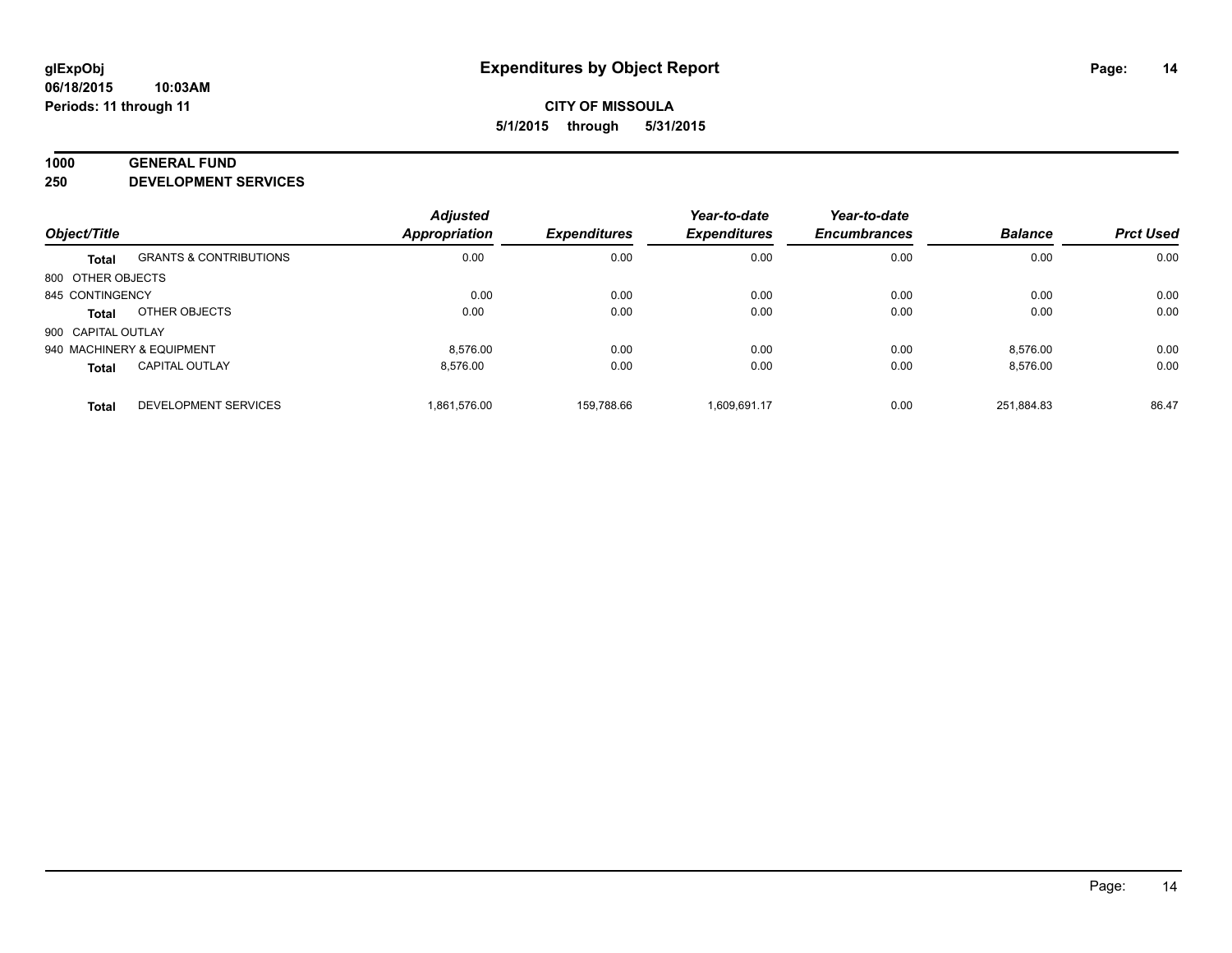#### **1000 GENERAL FUND**

**250 DEVELOPMENT SERVICES**

| Object/Title              |                                   | <b>Adjusted</b>      |                     | Year-to-date<br><b>Expenditures</b> | Year-to-date        | <b>Balance</b> | <b>Prct Used</b> |
|---------------------------|-----------------------------------|----------------------|---------------------|-------------------------------------|---------------------|----------------|------------------|
|                           |                                   | <b>Appropriation</b> | <b>Expenditures</b> |                                     | <b>Encumbrances</b> |                |                  |
| <b>Total</b>              | <b>GRANTS &amp; CONTRIBUTIONS</b> | 0.00                 | 0.00                | 0.00                                | 0.00                | 0.00           | 0.00             |
| 800 OTHER OBJECTS         |                                   |                      |                     |                                     |                     |                |                  |
| 845 CONTINGENCY           |                                   | 0.00                 | 0.00                | 0.00                                | 0.00                | 0.00           | 0.00             |
| Total                     | OTHER OBJECTS                     | 0.00                 | 0.00                | 0.00                                | 0.00                | 0.00           | 0.00             |
| 900 CAPITAL OUTLAY        |                                   |                      |                     |                                     |                     |                |                  |
| 940 MACHINERY & EQUIPMENT |                                   | 8.576.00             | 0.00                | 0.00                                | 0.00                | 8.576.00       | 0.00             |
| <b>Total</b>              | <b>CAPITAL OUTLAY</b>             | 8.576.00             | 0.00                | 0.00                                | 0.00                | 8,576.00       | 0.00             |
| <b>Total</b>              | <b>DEVELOPMENT SERVICES</b>       | 1.861.576.00         | 159.788.66          | 1.609.691.17                        | 0.00                | 251.884.83     | 86.47            |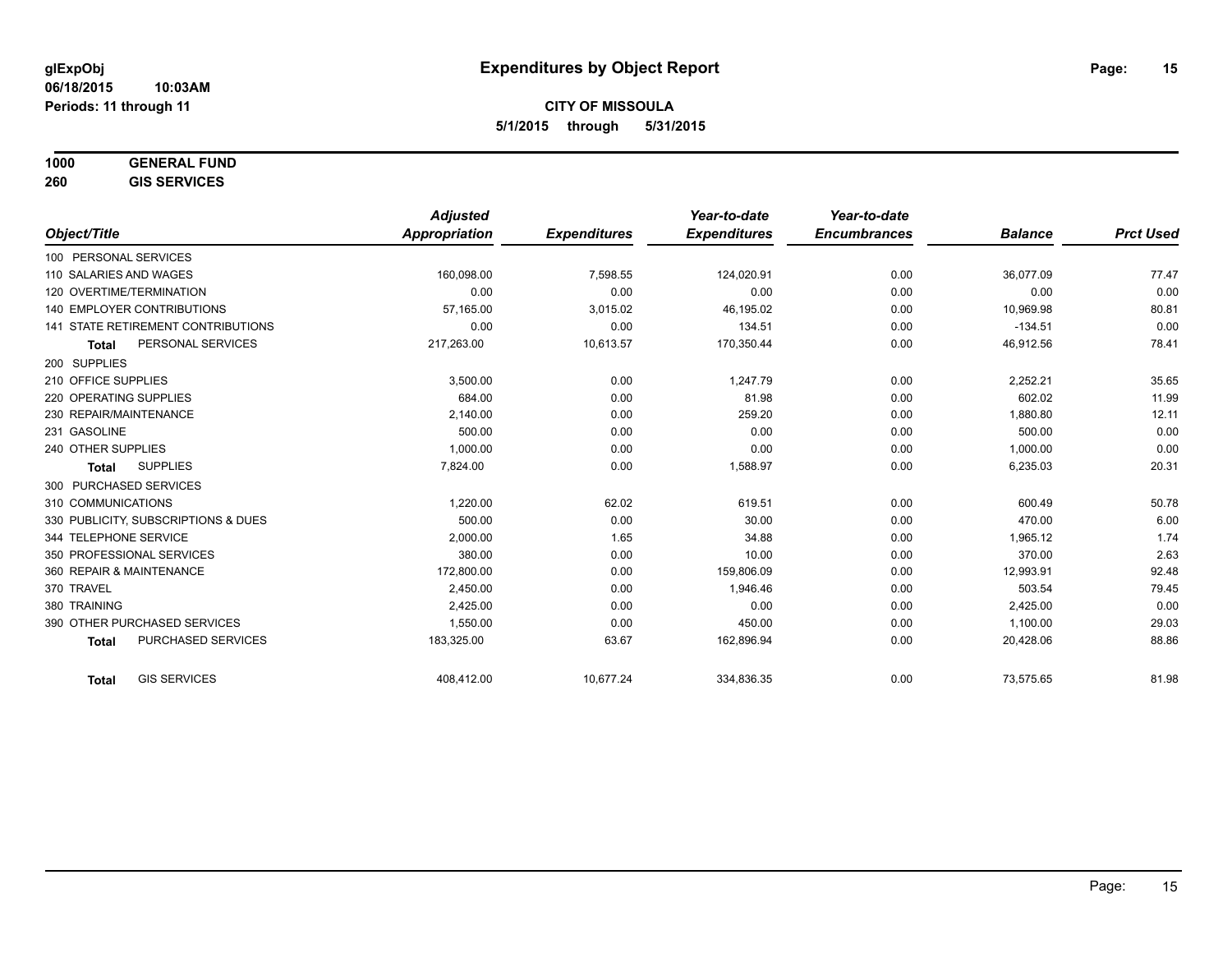## **1000 GENERAL FUND**

**260 GIS SERVICES**

|                                           | <b>Adjusted</b>      |                     | Year-to-date        | Year-to-date        |                |                  |
|-------------------------------------------|----------------------|---------------------|---------------------|---------------------|----------------|------------------|
| Object/Title                              | <b>Appropriation</b> | <b>Expenditures</b> | <b>Expenditures</b> | <b>Encumbrances</b> | <b>Balance</b> | <b>Prct Used</b> |
| 100 PERSONAL SERVICES                     |                      |                     |                     |                     |                |                  |
| 110 SALARIES AND WAGES                    | 160,098.00           | 7,598.55            | 124,020.91          | 0.00                | 36,077.09      | 77.47            |
| 120 OVERTIME/TERMINATION                  | 0.00                 | 0.00                | 0.00                | 0.00                | 0.00           | 0.00             |
| <b>140 EMPLOYER CONTRIBUTIONS</b>         | 57,165.00            | 3,015.02            | 46,195.02           | 0.00                | 10,969.98      | 80.81            |
| 141 STATE RETIREMENT CONTRIBUTIONS        | 0.00                 | 0.00                | 134.51              | 0.00                | $-134.51$      | 0.00             |
| PERSONAL SERVICES<br><b>Total</b>         | 217,263.00           | 10,613.57           | 170,350.44          | 0.00                | 46,912.56      | 78.41            |
| 200 SUPPLIES                              |                      |                     |                     |                     |                |                  |
| 210 OFFICE SUPPLIES                       | 3,500.00             | 0.00                | 1,247.79            | 0.00                | 2,252.21       | 35.65            |
| 220 OPERATING SUPPLIES                    | 684.00               | 0.00                | 81.98               | 0.00                | 602.02         | 11.99            |
| 230 REPAIR/MAINTENANCE                    | 2,140.00             | 0.00                | 259.20              | 0.00                | 1,880.80       | 12.11            |
| 231 GASOLINE                              | 500.00               | 0.00                | 0.00                | 0.00                | 500.00         | 0.00             |
| 240 OTHER SUPPLIES                        | 1.000.00             | 0.00                | 0.00                | 0.00                | 1,000.00       | 0.00             |
| <b>SUPPLIES</b><br><b>Total</b>           | 7,824.00             | 0.00                | 1,588.97            | 0.00                | 6,235.03       | 20.31            |
| 300 PURCHASED SERVICES                    |                      |                     |                     |                     |                |                  |
| 310 COMMUNICATIONS                        | 1,220.00             | 62.02               | 619.51              | 0.00                | 600.49         | 50.78            |
| 330 PUBLICITY, SUBSCRIPTIONS & DUES       | 500.00               | 0.00                | 30.00               | 0.00                | 470.00         | 6.00             |
| 344 TELEPHONE SERVICE                     | 2,000.00             | 1.65                | 34.88               | 0.00                | 1,965.12       | 1.74             |
| 350 PROFESSIONAL SERVICES                 | 380.00               | 0.00                | 10.00               | 0.00                | 370.00         | 2.63             |
| 360 REPAIR & MAINTENANCE                  | 172,800.00           | 0.00                | 159,806.09          | 0.00                | 12,993.91      | 92.48            |
| 370 TRAVEL                                | 2,450.00             | 0.00                | 1,946.46            | 0.00                | 503.54         | 79.45            |
| 380 TRAINING                              | 2,425.00             | 0.00                | 0.00                | 0.00                | 2,425.00       | 0.00             |
| 390 OTHER PURCHASED SERVICES              | 1,550.00             | 0.00                | 450.00              | 0.00                | 1,100.00       | 29.03            |
| <b>PURCHASED SERVICES</b><br><b>Total</b> | 183,325.00           | 63.67               | 162,896.94          | 0.00                | 20,428.06      | 88.86            |
| <b>GIS SERVICES</b><br><b>Total</b>       | 408,412.00           | 10,677.24           | 334,836.35          | 0.00                | 73,575.65      | 81.98            |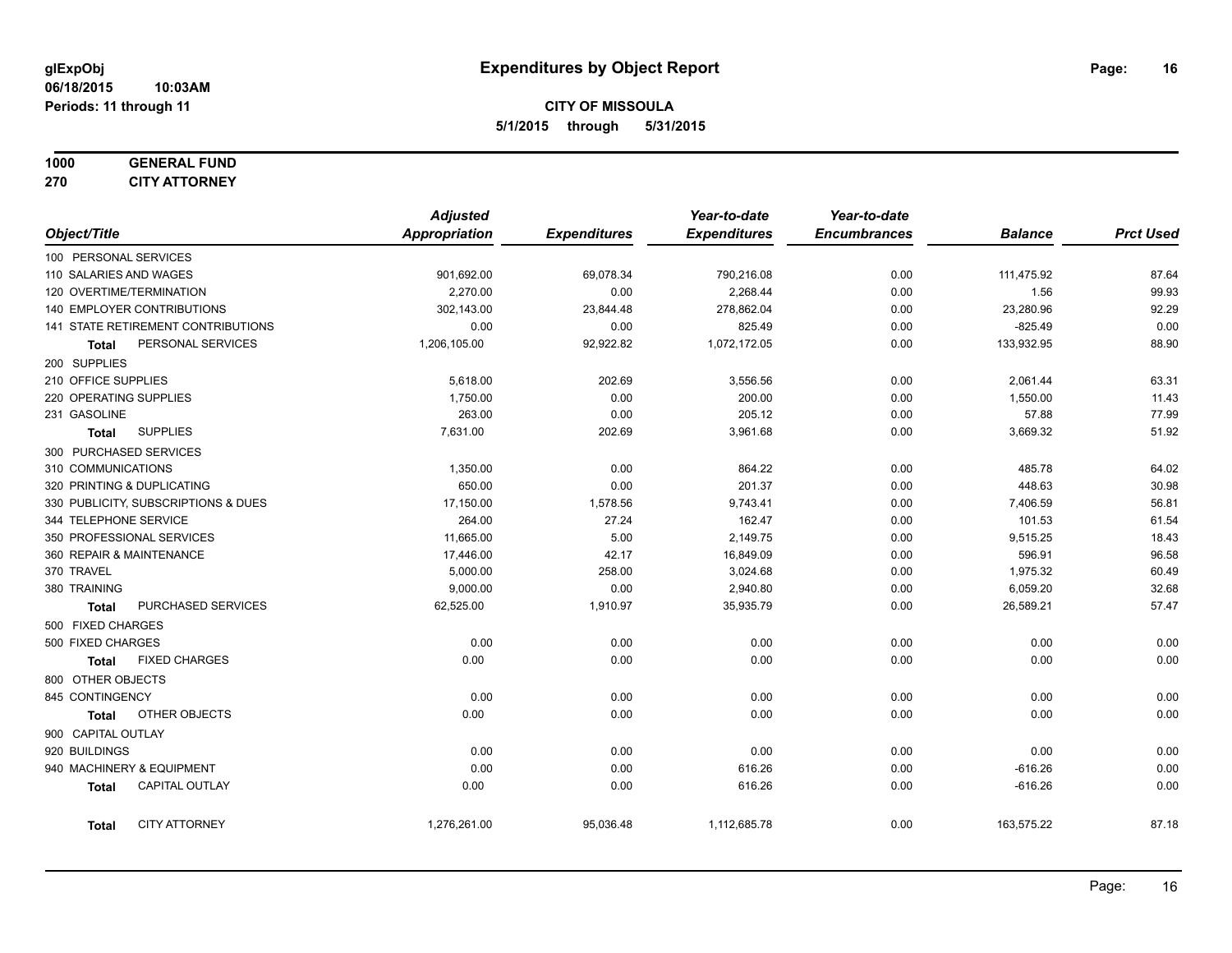# **1000 GENERAL FUND**

**270 CITY ATTORNEY**

|                   |                                     | <b>Adjusted</b> |                     | Year-to-date        | Year-to-date        |                |                  |
|-------------------|-------------------------------------|-----------------|---------------------|---------------------|---------------------|----------------|------------------|
| Object/Title      |                                     | Appropriation   | <b>Expenditures</b> | <b>Expenditures</b> | <b>Encumbrances</b> | <b>Balance</b> | <b>Prct Used</b> |
|                   | 100 PERSONAL SERVICES               |                 |                     |                     |                     |                |                  |
|                   | 110 SALARIES AND WAGES              | 901,692.00      | 69,078.34           | 790,216.08          | 0.00                | 111,475.92     | 87.64            |
|                   | 120 OVERTIME/TERMINATION            | 2,270.00        | 0.00                | 2,268.44            | 0.00                | 1.56           | 99.93            |
|                   | 140 EMPLOYER CONTRIBUTIONS          | 302,143.00      | 23,844.48           | 278,862.04          | 0.00                | 23,280.96      | 92.29            |
|                   | 141 STATE RETIREMENT CONTRIBUTIONS  | 0.00            | 0.00                | 825.49              | 0.00                | $-825.49$      | 0.00             |
| Total             | PERSONAL SERVICES                   | 1,206,105.00    | 92,922.82           | 1,072,172.05        | 0.00                | 133,932.95     | 88.90            |
| 200 SUPPLIES      |                                     |                 |                     |                     |                     |                |                  |
|                   | 210 OFFICE SUPPLIES                 | 5,618.00        | 202.69              | 3,556.56            | 0.00                | 2,061.44       | 63.31            |
|                   | 220 OPERATING SUPPLIES              | 1,750.00        | 0.00                | 200.00              | 0.00                | 1,550.00       | 11.43            |
| 231 GASOLINE      |                                     | 263.00          | 0.00                | 205.12              | 0.00                | 57.88          | 77.99            |
| <b>Total</b>      | <b>SUPPLIES</b>                     | 7,631.00        | 202.69              | 3,961.68            | 0.00                | 3,669.32       | 51.92            |
|                   | 300 PURCHASED SERVICES              |                 |                     |                     |                     |                |                  |
|                   | 310 COMMUNICATIONS                  | 1,350.00        | 0.00                | 864.22              | 0.00                | 485.78         | 64.02            |
|                   | 320 PRINTING & DUPLICATING          | 650.00          | 0.00                | 201.37              | 0.00                | 448.63         | 30.98            |
|                   | 330 PUBLICITY, SUBSCRIPTIONS & DUES | 17,150.00       | 1,578.56            | 9,743.41            | 0.00                | 7,406.59       | 56.81            |
|                   | 344 TELEPHONE SERVICE               | 264.00          | 27.24               | 162.47              | 0.00                | 101.53         | 61.54            |
|                   | 350 PROFESSIONAL SERVICES           | 11,665.00       | 5.00                | 2,149.75            | 0.00                | 9,515.25       | 18.43            |
|                   | 360 REPAIR & MAINTENANCE            | 17,446.00       | 42.17               | 16,849.09           | 0.00                | 596.91         | 96.58            |
| 370 TRAVEL        |                                     | 5,000.00        | 258.00              | 3,024.68            | 0.00                | 1,975.32       | 60.49            |
| 380 TRAINING      |                                     | 9,000.00        | 0.00                | 2,940.80            | 0.00                | 6,059.20       | 32.68            |
| <b>Total</b>      | PURCHASED SERVICES                  | 62,525.00       | 1,910.97            | 35,935.79           | 0.00                | 26,589.21      | 57.47            |
|                   | 500 FIXED CHARGES                   |                 |                     |                     |                     |                |                  |
| 500 FIXED CHARGES |                                     | 0.00            | 0.00                | 0.00                | 0.00                | 0.00           | 0.00             |
| <b>Total</b>      | <b>FIXED CHARGES</b>                | 0.00            | 0.00                | 0.00                | 0.00                | 0.00           | 0.00             |
|                   | 800 OTHER OBJECTS                   |                 |                     |                     |                     |                |                  |
| 845 CONTINGENCY   |                                     | 0.00            | 0.00                | 0.00                | 0.00                | 0.00           | 0.00             |
| <b>Total</b>      | OTHER OBJECTS                       | 0.00            | 0.00                | 0.00                | 0.00                | 0.00           | 0.00             |
|                   | 900 CAPITAL OUTLAY                  |                 |                     |                     |                     |                |                  |
| 920 BUILDINGS     |                                     | 0.00            | 0.00                | 0.00                | 0.00                | 0.00           | 0.00             |
|                   | 940 MACHINERY & EQUIPMENT           | 0.00            | 0.00                | 616.26              | 0.00                | $-616.26$      | 0.00             |
| <b>Total</b>      | CAPITAL OUTLAY                      | 0.00            | 0.00                | 616.26              | 0.00                | $-616.26$      | 0.00             |
| <b>Total</b>      | <b>CITY ATTORNEY</b>                | 1,276,261.00    | 95,036.48           | 1,112,685.78        | 0.00                | 163,575.22     | 87.18            |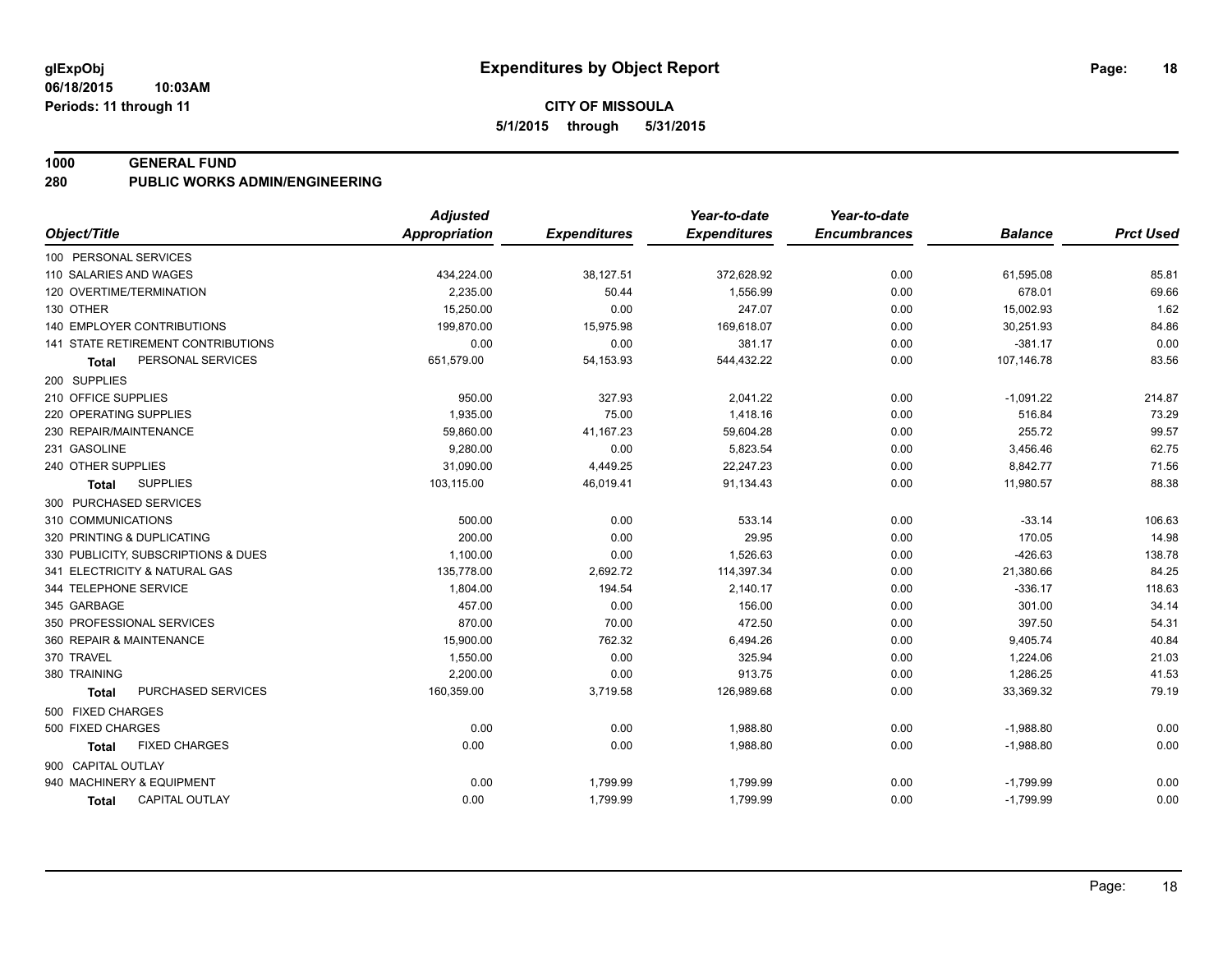#### **1000 GENERAL FUND**

**280 PUBLIC WORKS ADMIN/ENGINEERING**

|                                           | <b>Adjusted</b>      |                     | Year-to-date        | Year-to-date        |                |                  |
|-------------------------------------------|----------------------|---------------------|---------------------|---------------------|----------------|------------------|
| Object/Title                              | <b>Appropriation</b> | <b>Expenditures</b> | <b>Expenditures</b> | <b>Encumbrances</b> | <b>Balance</b> | <b>Prct Used</b> |
| 100 PERSONAL SERVICES                     |                      |                     |                     |                     |                |                  |
| 110 SALARIES AND WAGES                    | 434,224.00           | 38,127.51           | 372,628.92          | 0.00                | 61,595.08      | 85.81            |
| 120 OVERTIME/TERMINATION                  | 2,235.00             | 50.44               | 1,556.99            | 0.00                | 678.01         | 69.66            |
| 130 OTHER                                 | 15,250.00            | 0.00                | 247.07              | 0.00                | 15,002.93      | 1.62             |
| <b>140 EMPLOYER CONTRIBUTIONS</b>         | 199,870.00           | 15,975.98           | 169,618.07          | 0.00                | 30,251.93      | 84.86            |
| <b>141 STATE RETIREMENT CONTRIBUTIONS</b> | 0.00                 | 0.00                | 381.17              | 0.00                | $-381.17$      | 0.00             |
| PERSONAL SERVICES<br><b>Total</b>         | 651,579.00           | 54,153.93           | 544,432.22          | 0.00                | 107,146.78     | 83.56            |
| 200 SUPPLIES                              |                      |                     |                     |                     |                |                  |
| 210 OFFICE SUPPLIES                       | 950.00               | 327.93              | 2,041.22            | 0.00                | $-1,091.22$    | 214.87           |
| 220 OPERATING SUPPLIES                    | 1,935.00             | 75.00               | 1,418.16            | 0.00                | 516.84         | 73.29            |
| 230 REPAIR/MAINTENANCE                    | 59,860.00            | 41,167.23           | 59,604.28           | 0.00                | 255.72         | 99.57            |
| 231 GASOLINE                              | 9,280.00             | 0.00                | 5,823.54            | 0.00                | 3,456.46       | 62.75            |
| 240 OTHER SUPPLIES                        | 31,090.00            | 4,449.25            | 22,247.23           | 0.00                | 8,842.77       | 71.56            |
| <b>SUPPLIES</b><br><b>Total</b>           | 103,115.00           | 46,019.41           | 91,134.43           | 0.00                | 11,980.57      | 88.38            |
| 300 PURCHASED SERVICES                    |                      |                     |                     |                     |                |                  |
| 310 COMMUNICATIONS                        | 500.00               | 0.00                | 533.14              | 0.00                | $-33.14$       | 106.63           |
| 320 PRINTING & DUPLICATING                | 200.00               | 0.00                | 29.95               | 0.00                | 170.05         | 14.98            |
| 330 PUBLICITY, SUBSCRIPTIONS & DUES       | 1,100.00             | 0.00                | 1,526.63            | 0.00                | $-426.63$      | 138.78           |
| 341 ELECTRICITY & NATURAL GAS             | 135,778.00           | 2,692.72            | 114,397.34          | 0.00                | 21,380.66      | 84.25            |
| 344 TELEPHONE SERVICE                     | 1,804.00             | 194.54              | 2,140.17            | 0.00                | $-336.17$      | 118.63           |
| 345 GARBAGE                               | 457.00               | 0.00                | 156.00              | 0.00                | 301.00         | 34.14            |
| 350 PROFESSIONAL SERVICES                 | 870.00               | 70.00               | 472.50              | 0.00                | 397.50         | 54.31            |
| 360 REPAIR & MAINTENANCE                  | 15,900.00            | 762.32              | 6,494.26            | 0.00                | 9,405.74       | 40.84            |
| 370 TRAVEL                                | 1,550.00             | 0.00                | 325.94              | 0.00                | 1,224.06       | 21.03            |
| 380 TRAINING                              | 2,200.00             | 0.00                | 913.75              | 0.00                | 1,286.25       | 41.53            |
| PURCHASED SERVICES<br><b>Total</b>        | 160,359.00           | 3,719.58            | 126,989.68          | 0.00                | 33,369.32      | 79.19            |
| 500 FIXED CHARGES                         |                      |                     |                     |                     |                |                  |
| 500 FIXED CHARGES                         | 0.00                 | 0.00                | 1,988.80            | 0.00                | $-1,988.80$    | 0.00             |
| <b>FIXED CHARGES</b><br>Total             | 0.00                 | 0.00                | 1,988.80            | 0.00                | $-1,988.80$    | 0.00             |
| 900 CAPITAL OUTLAY                        |                      |                     |                     |                     |                |                  |
| 940 MACHINERY & EQUIPMENT                 | 0.00                 | 1,799.99            | 1,799.99            | 0.00                | $-1,799.99$    | 0.00             |
| CAPITAL OUTLAY<br><b>Total</b>            | 0.00                 | 1,799.99            | 1,799.99            | 0.00                | $-1,799.99$    | 0.00             |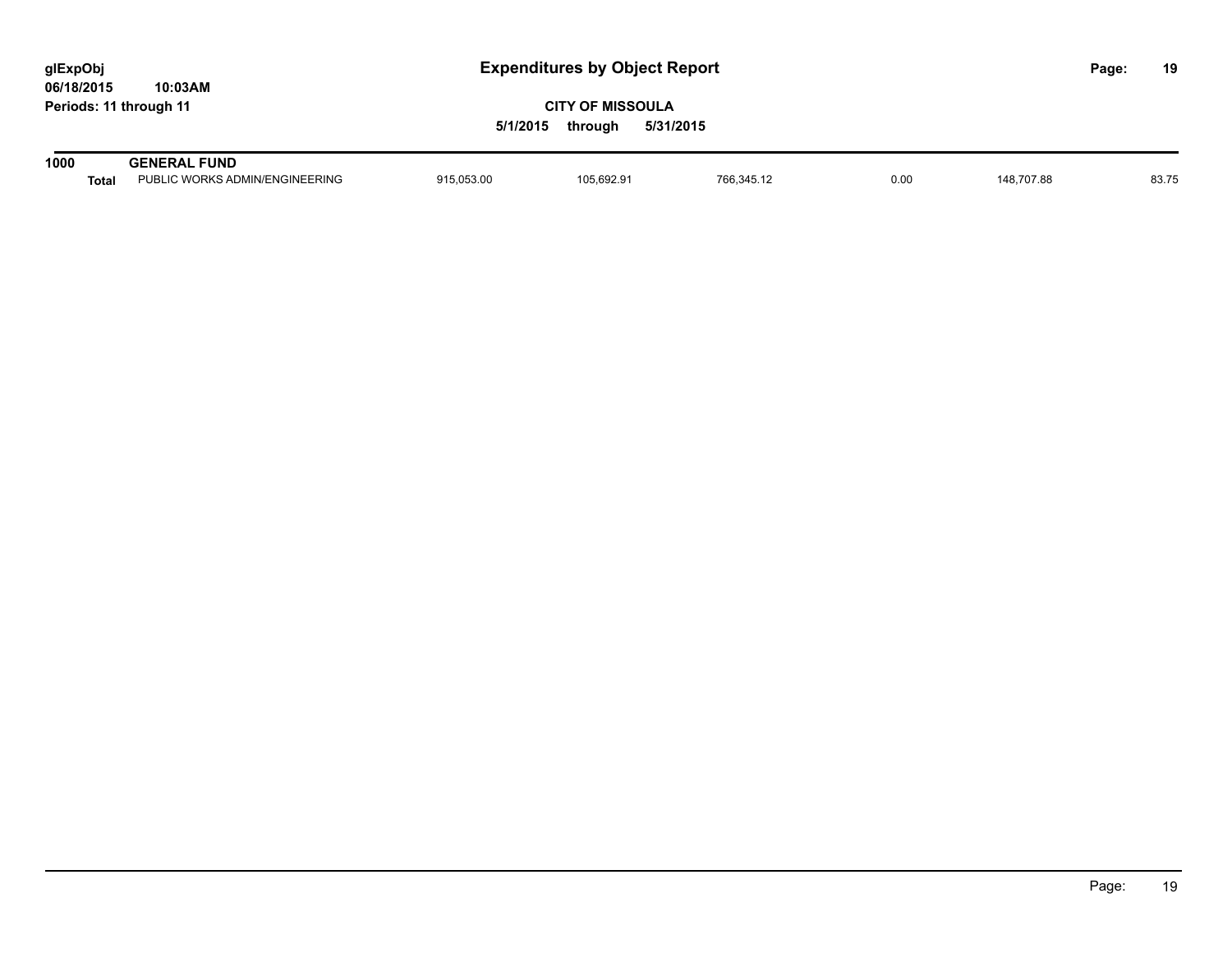| glExpObj<br>06/18/2015 | 10:03AM                                               | <b>Expenditures by Object Report</b>                        |            |            |      |            | Page: | 19    |
|------------------------|-------------------------------------------------------|-------------------------------------------------------------|------------|------------|------|------------|-------|-------|
| Periods: 11 through 11 |                                                       | <b>CITY OF MISSOULA</b><br>5/31/2015<br>5/1/2015<br>through |            |            |      |            |       |       |
| 1000<br><b>Total</b>   | <b>GENERAL FUND</b><br>PUBLIC WORKS ADMIN/ENGINEERING | 915.053.00                                                  | 105,692.91 | 766,345.12 | 0.00 | 148.707.88 |       | 83.75 |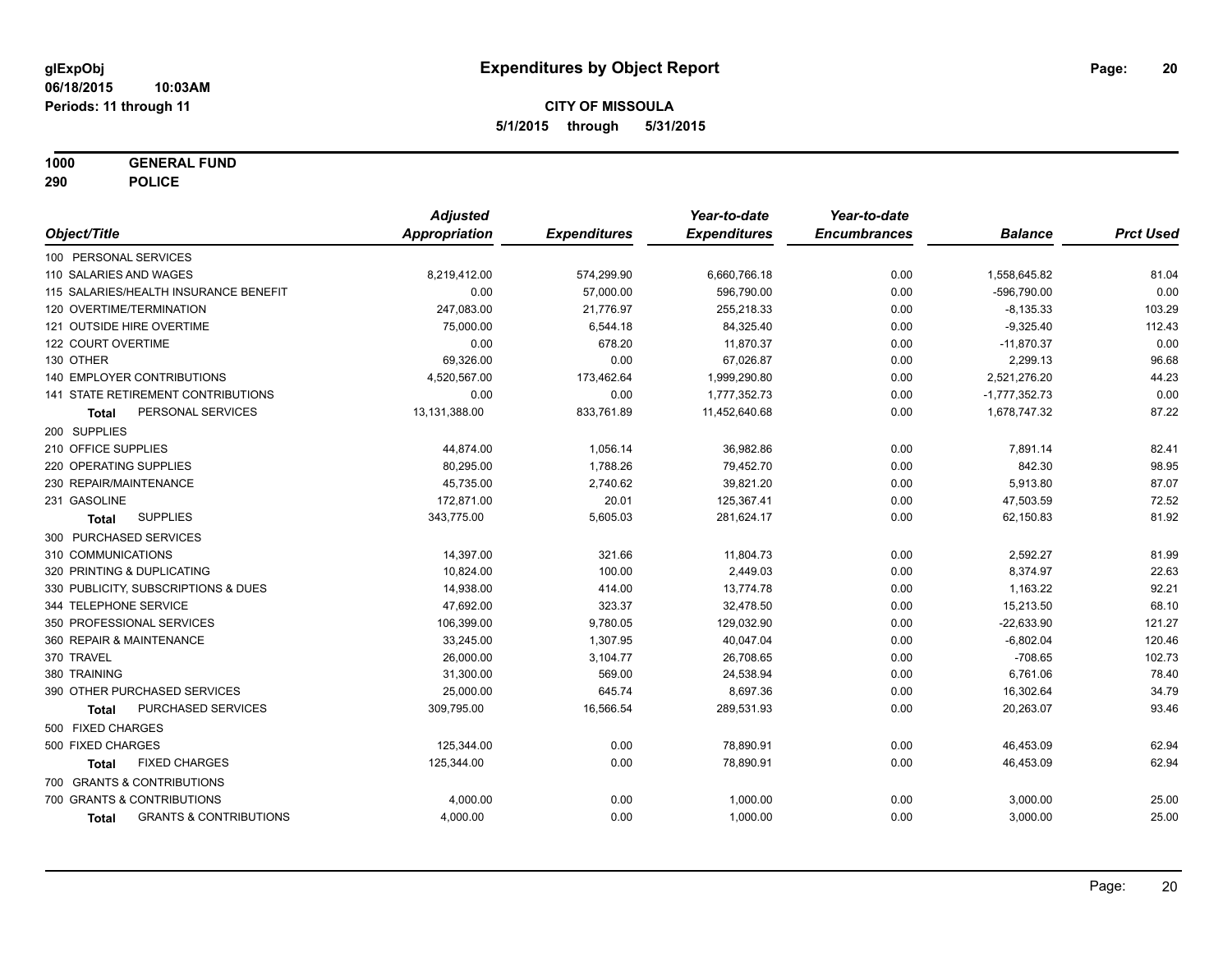**1000 GENERAL FUND**

**290 POLICE**

|                        |                                       | <b>Adjusted</b>      |                     | Year-to-date        | Year-to-date        |                 |                  |
|------------------------|---------------------------------------|----------------------|---------------------|---------------------|---------------------|-----------------|------------------|
| Object/Title           |                                       | <b>Appropriation</b> | <b>Expenditures</b> | <b>Expenditures</b> | <b>Encumbrances</b> | <b>Balance</b>  | <b>Prct Used</b> |
| 100 PERSONAL SERVICES  |                                       |                      |                     |                     |                     |                 |                  |
| 110 SALARIES AND WAGES |                                       | 8,219,412.00         | 574,299.90          | 6,660,766.18        | 0.00                | 1,558,645.82    | 81.04            |
|                        | 115 SALARIES/HEALTH INSURANCE BENEFIT | 0.00                 | 57,000.00           | 596,790.00          | 0.00                | -596,790.00     | 0.00             |
|                        | 120 OVERTIME/TERMINATION              | 247,083.00           | 21,776.97           | 255,218.33          | 0.00                | $-8,135.33$     | 103.29           |
|                        | 121 OUTSIDE HIRE OVERTIME             | 75,000.00            | 6,544.18            | 84,325.40           | 0.00                | $-9,325.40$     | 112.43           |
| 122 COURT OVERTIME     |                                       | 0.00                 | 678.20              | 11,870.37           | 0.00                | $-11,870.37$    | 0.00             |
| 130 OTHER              |                                       | 69,326.00            | 0.00                | 67,026.87           | 0.00                | 2,299.13        | 96.68            |
|                        | <b>140 EMPLOYER CONTRIBUTIONS</b>     | 4,520,567.00         | 173,462.64          | 1,999,290.80        | 0.00                | 2,521,276.20    | 44.23            |
|                        | 141 STATE RETIREMENT CONTRIBUTIONS    | 0.00                 | 0.00                | 1,777,352.73        | 0.00                | $-1,777,352.73$ | 0.00             |
| Total                  | PERSONAL SERVICES                     | 13,131,388.00        | 833,761.89          | 11,452,640.68       | 0.00                | 1,678,747.32    | 87.22            |
| 200 SUPPLIES           |                                       |                      |                     |                     |                     |                 |                  |
| 210 OFFICE SUPPLIES    |                                       | 44,874.00            | 1,056.14            | 36,982.86           | 0.00                | 7,891.14        | 82.41            |
| 220 OPERATING SUPPLIES |                                       | 80,295.00            | 1,788.26            | 79,452.70           | 0.00                | 842.30          | 98.95            |
| 230 REPAIR/MAINTENANCE |                                       | 45,735.00            | 2,740.62            | 39,821.20           | 0.00                | 5,913.80        | 87.07            |
| 231 GASOLINE           |                                       | 172,871.00           | 20.01               | 125,367.41          | 0.00                | 47,503.59       | 72.52            |
| Total                  | <b>SUPPLIES</b>                       | 343,775.00           | 5,605.03            | 281,624.17          | 0.00                | 62,150.83       | 81.92            |
| 300 PURCHASED SERVICES |                                       |                      |                     |                     |                     |                 |                  |
| 310 COMMUNICATIONS     |                                       | 14,397.00            | 321.66              | 11,804.73           | 0.00                | 2,592.27        | 81.99            |
|                        | 320 PRINTING & DUPLICATING            | 10,824.00            | 100.00              | 2,449.03            | 0.00                | 8,374.97        | 22.63            |
|                        | 330 PUBLICITY, SUBSCRIPTIONS & DUES   | 14,938.00            | 414.00              | 13,774.78           | 0.00                | 1,163.22        | 92.21            |
| 344 TELEPHONE SERVICE  |                                       | 47,692.00            | 323.37              | 32,478.50           | 0.00                | 15,213.50       | 68.10            |
|                        | 350 PROFESSIONAL SERVICES             | 106,399.00           | 9,780.05            | 129,032.90          | 0.00                | $-22,633.90$    | 121.27           |
|                        | 360 REPAIR & MAINTENANCE              | 33,245.00            | 1,307.95            | 40,047.04           | 0.00                | $-6,802.04$     | 120.46           |
| 370 TRAVEL             |                                       | 26,000.00            | 3,104.77            | 26,708.65           | 0.00                | $-708.65$       | 102.73           |
| 380 TRAINING           |                                       | 31,300.00            | 569.00              | 24,538.94           | 0.00                | 6,761.06        | 78.40            |
|                        | 390 OTHER PURCHASED SERVICES          | 25,000.00            | 645.74              | 8,697.36            | 0.00                | 16,302.64       | 34.79            |
| <b>Total</b>           | PURCHASED SERVICES                    | 309,795.00           | 16,566.54           | 289,531.93          | 0.00                | 20,263.07       | 93.46            |
| 500 FIXED CHARGES      |                                       |                      |                     |                     |                     |                 |                  |
| 500 FIXED CHARGES      |                                       | 125,344.00           | 0.00                | 78,890.91           | 0.00                | 46,453.09       | 62.94            |
| <b>Total</b>           | <b>FIXED CHARGES</b>                  | 125,344.00           | 0.00                | 78,890.91           | 0.00                | 46,453.09       | 62.94            |
|                        | 700 GRANTS & CONTRIBUTIONS            |                      |                     |                     |                     |                 |                  |
|                        | 700 GRANTS & CONTRIBUTIONS            | 4,000.00             | 0.00                | 1,000.00            | 0.00                | 3,000.00        | 25.00            |
| <b>Total</b>           | <b>GRANTS &amp; CONTRIBUTIONS</b>     | 4,000.00             | 0.00                | 1,000.00            | 0.00                | 3,000.00        | 25.00            |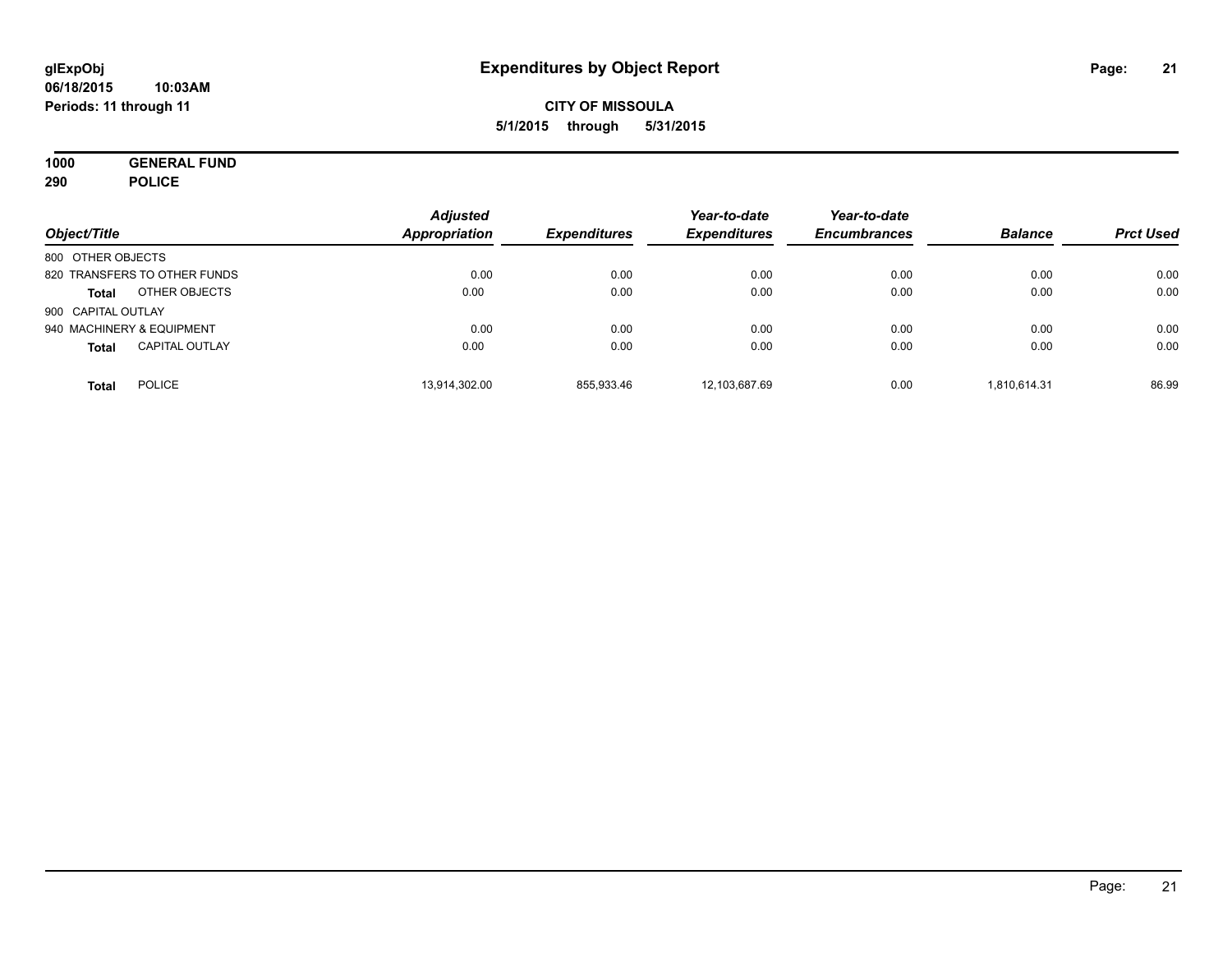**1000 GENERAL FUND 290 POLICE**

| Object/Title                          | <b>Adjusted</b><br>Appropriation | <b>Expenditures</b> | Year-to-date<br><b>Expenditures</b> | Year-to-date<br><b>Encumbrances</b> | <b>Balance</b> | <b>Prct Used</b> |
|---------------------------------------|----------------------------------|---------------------|-------------------------------------|-------------------------------------|----------------|------------------|
| 800 OTHER OBJECTS                     |                                  |                     |                                     |                                     |                |                  |
| 820 TRANSFERS TO OTHER FUNDS          | 0.00                             | 0.00                | 0.00                                | 0.00                                | 0.00           | 0.00             |
| OTHER OBJECTS<br><b>Total</b>         | 0.00                             | 0.00                | 0.00                                | 0.00                                | 0.00           | 0.00             |
| 900 CAPITAL OUTLAY                    |                                  |                     |                                     |                                     |                |                  |
| 940 MACHINERY & EQUIPMENT             | 0.00                             | 0.00                | 0.00                                | 0.00                                | 0.00           | 0.00             |
| <b>CAPITAL OUTLAY</b><br><b>Total</b> | 0.00                             | 0.00                | 0.00                                | 0.00                                | 0.00           | 0.00             |
| <b>POLICE</b><br>Total                | 13,914,302.00                    | 855,933.46          | 12,103,687.69                       | 0.00                                | 1.810.614.31   | 86.99            |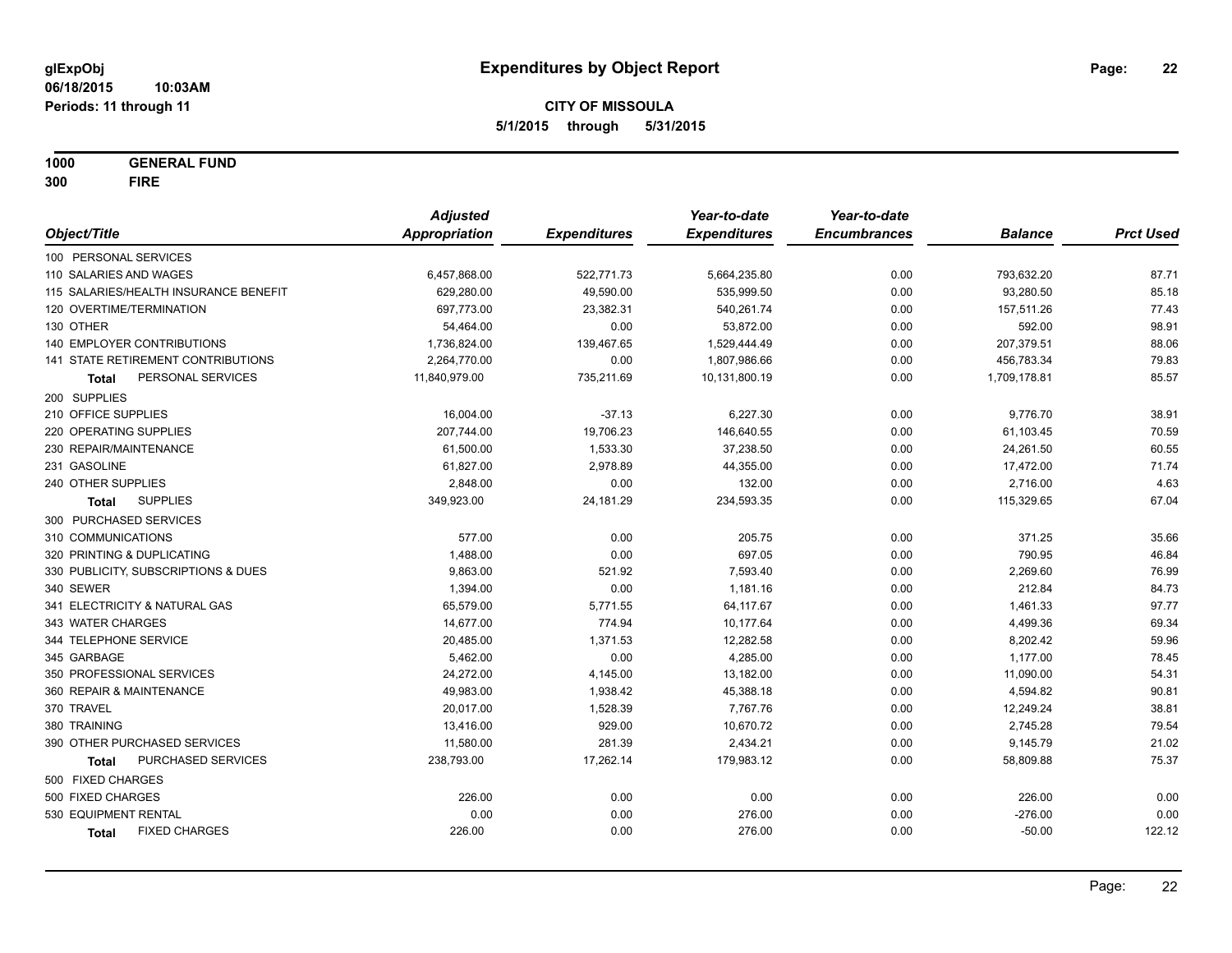**1000 GENERAL FUND 300 FIRE**

|                                       | <b>Adjusted</b>      |                     | Year-to-date        | Year-to-date        |                |                  |
|---------------------------------------|----------------------|---------------------|---------------------|---------------------|----------------|------------------|
| Object/Title                          | <b>Appropriation</b> | <b>Expenditures</b> | <b>Expenditures</b> | <b>Encumbrances</b> | <b>Balance</b> | <b>Prct Used</b> |
| 100 PERSONAL SERVICES                 |                      |                     |                     |                     |                |                  |
| 110 SALARIES AND WAGES                | 6,457,868.00         | 522,771.73          | 5,664,235.80        | 0.00                | 793,632.20     | 87.71            |
| 115 SALARIES/HEALTH INSURANCE BENEFIT | 629,280.00           | 49,590.00           | 535,999.50          | 0.00                | 93,280.50      | 85.18            |
| 120 OVERTIME/TERMINATION              | 697,773.00           | 23,382.31           | 540,261.74          | 0.00                | 157,511.26     | 77.43            |
| 130 OTHER                             | 54,464.00            | 0.00                | 53,872.00           | 0.00                | 592.00         | 98.91            |
| <b>140 EMPLOYER CONTRIBUTIONS</b>     | 1,736,824.00         | 139,467.65          | 1,529,444.49        | 0.00                | 207,379.51     | 88.06            |
| 141 STATE RETIREMENT CONTRIBUTIONS    | 2,264,770.00         | 0.00                | 1,807,986.66        | 0.00                | 456,783.34     | 79.83            |
| PERSONAL SERVICES<br>Total            | 11,840,979.00        | 735,211.69          | 10,131,800.19       | 0.00                | 1,709,178.81   | 85.57            |
| 200 SUPPLIES                          |                      |                     |                     |                     |                |                  |
| 210 OFFICE SUPPLIES                   | 16,004.00            | $-37.13$            | 6,227.30            | 0.00                | 9,776.70       | 38.91            |
| 220 OPERATING SUPPLIES                | 207,744.00           | 19,706.23           | 146,640.55          | 0.00                | 61,103.45      | 70.59            |
| 230 REPAIR/MAINTENANCE                | 61,500.00            | 1,533.30            | 37,238.50           | 0.00                | 24,261.50      | 60.55            |
| 231 GASOLINE                          | 61,827.00            | 2,978.89            | 44,355.00           | 0.00                | 17,472.00      | 71.74            |
| 240 OTHER SUPPLIES                    | 2,848.00             | 0.00                | 132.00              | 0.00                | 2,716.00       | 4.63             |
| <b>SUPPLIES</b><br><b>Total</b>       | 349,923.00           | 24,181.29           | 234,593.35          | 0.00                | 115,329.65     | 67.04            |
| 300 PURCHASED SERVICES                |                      |                     |                     |                     |                |                  |
| 310 COMMUNICATIONS                    | 577.00               | 0.00                | 205.75              | 0.00                | 371.25         | 35.66            |
| 320 PRINTING & DUPLICATING            | 1,488.00             | 0.00                | 697.05              | 0.00                | 790.95         | 46.84            |
| 330 PUBLICITY, SUBSCRIPTIONS & DUES   | 9,863.00             | 521.92              | 7,593.40            | 0.00                | 2,269.60       | 76.99            |
| 340 SEWER                             | 1,394.00             | 0.00                | 1,181.16            | 0.00                | 212.84         | 84.73            |
| 341 ELECTRICITY & NATURAL GAS         | 65,579.00            | 5,771.55            | 64,117.67           | 0.00                | 1,461.33       | 97.77            |
| 343 WATER CHARGES                     | 14,677.00            | 774.94              | 10,177.64           | 0.00                | 4,499.36       | 69.34            |
| 344 TELEPHONE SERVICE                 | 20,485.00            | 1,371.53            | 12,282.58           | 0.00                | 8,202.42       | 59.96            |
| 345 GARBAGE                           | 5,462.00             | 0.00                | 4,285.00            | 0.00                | 1,177.00       | 78.45            |
| 350 PROFESSIONAL SERVICES             | 24,272.00            | 4,145.00            | 13,182.00           | 0.00                | 11,090.00      | 54.31            |
| 360 REPAIR & MAINTENANCE              | 49,983.00            | 1,938.42            | 45,388.18           | 0.00                | 4,594.82       | 90.81            |
| 370 TRAVEL                            | 20,017.00            | 1,528.39            | 7,767.76            | 0.00                | 12,249.24      | 38.81            |
| 380 TRAINING                          | 13,416.00            | 929.00              | 10,670.72           | 0.00                | 2,745.28       | 79.54            |
| 390 OTHER PURCHASED SERVICES          | 11,580.00            | 281.39              | 2,434.21            | 0.00                | 9,145.79       | 21.02            |
| PURCHASED SERVICES<br><b>Total</b>    | 238,793.00           | 17,262.14           | 179,983.12          | 0.00                | 58,809.88      | 75.37            |
| 500 FIXED CHARGES                     |                      |                     |                     |                     |                |                  |
| 500 FIXED CHARGES                     | 226.00               | 0.00                | 0.00                | 0.00                | 226.00         | 0.00             |
| 530 EQUIPMENT RENTAL                  | 0.00                 | 0.00                | 276.00              | 0.00                | $-276.00$      | 0.00             |
| <b>FIXED CHARGES</b><br><b>Total</b>  | 226.00               | 0.00                | 276.00              | 0.00                | $-50.00$       | 122.12           |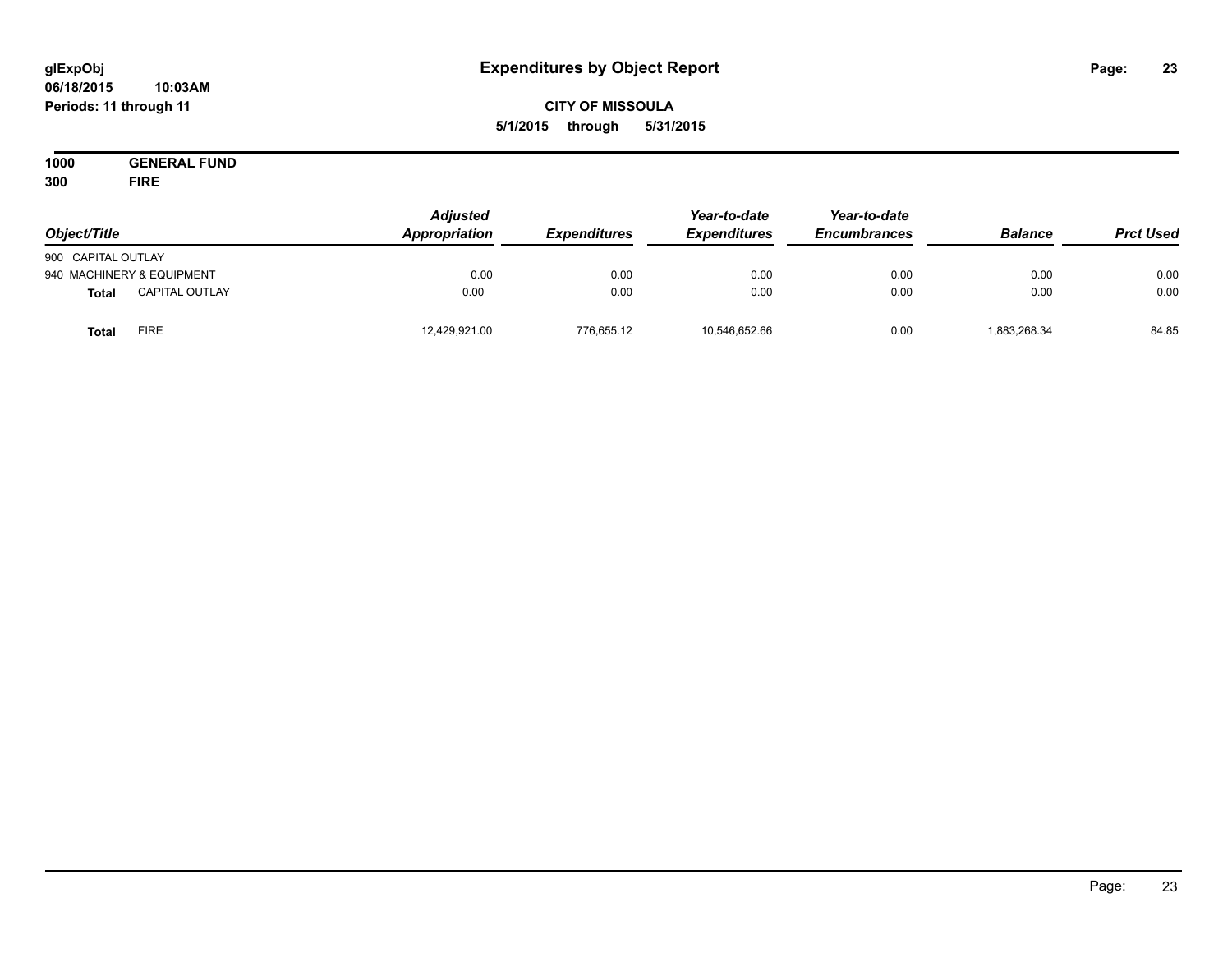#### **06/18/2015 10:03AM Periods: 11 through 11**

## **CITY OF MISSOULA 5/1/2015 through 5/31/2015**

**1000 GENERAL FUND 300 FIRE**

| Object/Title       |                           | <b>Adjusted</b><br>Appropriation | <b>Expenditures</b> | Year-to-date<br><b>Expenditures</b> | Year-to-date<br><b>Encumbrances</b> | <b>Balance</b> | <b>Prct Used</b> |
|--------------------|---------------------------|----------------------------------|---------------------|-------------------------------------|-------------------------------------|----------------|------------------|
| 900 CAPITAL OUTLAY |                           |                                  |                     |                                     |                                     |                |                  |
|                    | 940 MACHINERY & EQUIPMENT | 0.00                             | 0.00                | 0.00                                | 0.00                                | 0.00           | 0.00             |
| <b>Total</b>       | <b>CAPITAL OUTLAY</b>     | 0.00                             | 0.00                | 0.00                                | 0.00                                | 0.00           | 0.00             |
| <b>Total</b>       | FIRE                      | 12,429,921.00                    | 776,655.12          | 10,546,652.66                       | 0.00                                | 1,883,268.34   | 84.85            |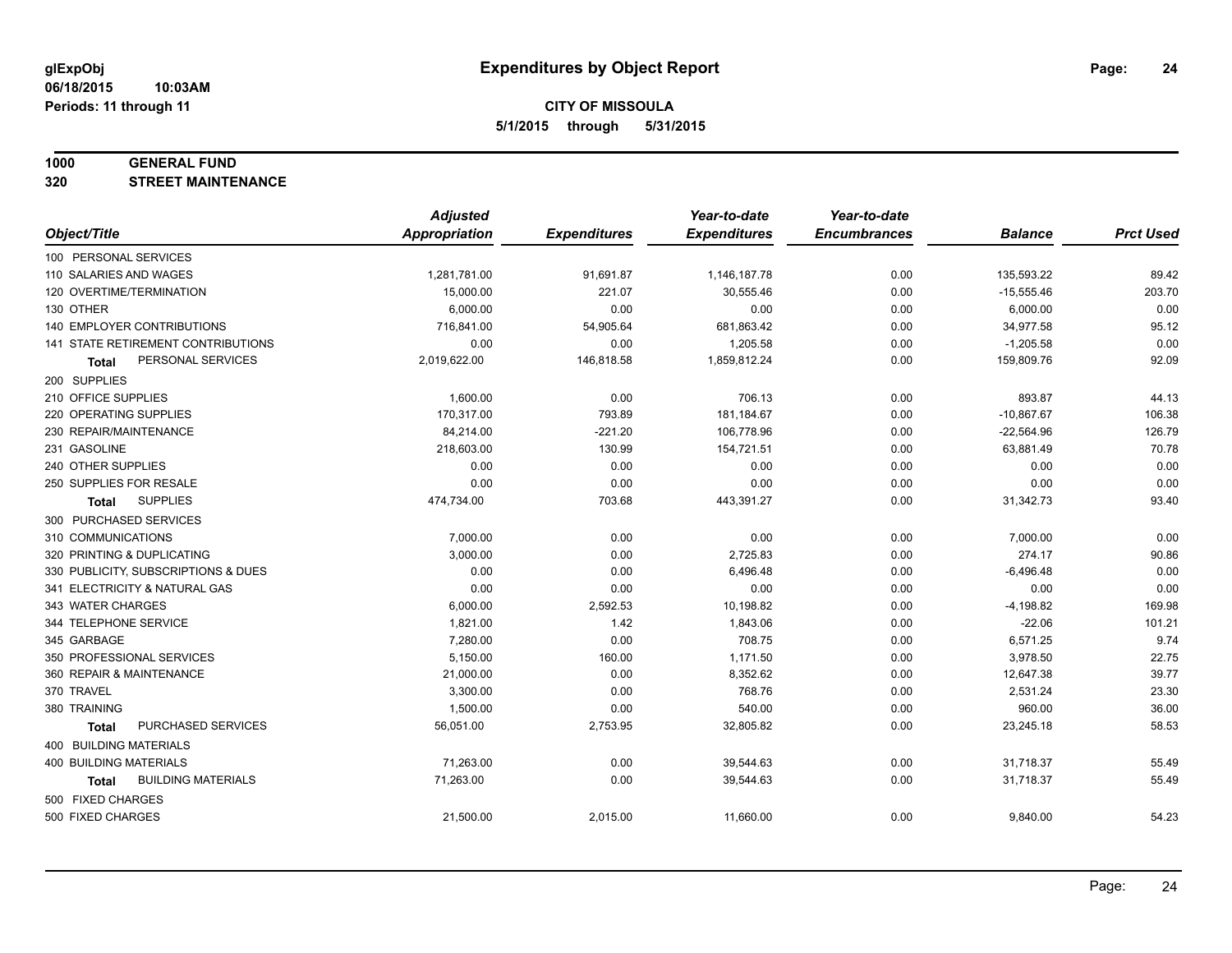#### **1000 GENERAL FUND**

**320 STREET MAINTENANCE**

|                                           | <b>Adjusted</b>      |                     | Year-to-date        | Year-to-date        |                |                  |
|-------------------------------------------|----------------------|---------------------|---------------------|---------------------|----------------|------------------|
| Object/Title                              | <b>Appropriation</b> | <b>Expenditures</b> | <b>Expenditures</b> | <b>Encumbrances</b> | <b>Balance</b> | <b>Prct Used</b> |
| 100 PERSONAL SERVICES                     |                      |                     |                     |                     |                |                  |
| 110 SALARIES AND WAGES                    | 1,281,781.00         | 91,691.87           | 1,146,187.78        | 0.00                | 135,593.22     | 89.42            |
| 120 OVERTIME/TERMINATION                  | 15,000.00            | 221.07              | 30,555.46           | 0.00                | $-15,555.46$   | 203.70           |
| 130 OTHER                                 | 6,000.00             | 0.00                | 0.00                | 0.00                | 6,000.00       | 0.00             |
| <b>140 EMPLOYER CONTRIBUTIONS</b>         | 716,841.00           | 54,905.64           | 681,863.42          | 0.00                | 34,977.58      | 95.12            |
| <b>141 STATE RETIREMENT CONTRIBUTIONS</b> | 0.00                 | 0.00                | 1,205.58            | 0.00                | $-1,205.58$    | 0.00             |
| PERSONAL SERVICES<br><b>Total</b>         | 2,019,622.00         | 146,818.58          | 1,859,812.24        | 0.00                | 159,809.76     | 92.09            |
| 200 SUPPLIES                              |                      |                     |                     |                     |                |                  |
| 210 OFFICE SUPPLIES                       | 1,600.00             | 0.00                | 706.13              | 0.00                | 893.87         | 44.13            |
| 220 OPERATING SUPPLIES                    | 170,317.00           | 793.89              | 181,184.67          | 0.00                | $-10,867.67$   | 106.38           |
| 230 REPAIR/MAINTENANCE                    | 84,214.00            | $-221.20$           | 106,778.96          | 0.00                | $-22,564.96$   | 126.79           |
| 231 GASOLINE                              | 218,603.00           | 130.99              | 154,721.51          | 0.00                | 63,881.49      | 70.78            |
| 240 OTHER SUPPLIES                        | 0.00                 | 0.00                | 0.00                | 0.00                | 0.00           | 0.00             |
| 250 SUPPLIES FOR RESALE                   | 0.00                 | 0.00                | 0.00                | 0.00                | 0.00           | 0.00             |
| <b>SUPPLIES</b><br><b>Total</b>           | 474,734.00           | 703.68              | 443,391.27          | 0.00                | 31,342.73      | 93.40            |
| 300 PURCHASED SERVICES                    |                      |                     |                     |                     |                |                  |
| 310 COMMUNICATIONS                        | 7,000.00             | 0.00                | 0.00                | 0.00                | 7,000.00       | 0.00             |
| 320 PRINTING & DUPLICATING                | 3,000.00             | 0.00                | 2,725.83            | 0.00                | 274.17         | 90.86            |
| 330 PUBLICITY, SUBSCRIPTIONS & DUES       | 0.00                 | 0.00                | 6,496.48            | 0.00                | $-6,496.48$    | 0.00             |
| 341 ELECTRICITY & NATURAL GAS             | 0.00                 | 0.00                | 0.00                | 0.00                | 0.00           | 0.00             |
| 343 WATER CHARGES                         | 6,000.00             | 2,592.53            | 10,198.82           | 0.00                | $-4,198.82$    | 169.98           |
| 344 TELEPHONE SERVICE                     | 1,821.00             | 1.42                | 1,843.06            | 0.00                | $-22.06$       | 101.21           |
| 345 GARBAGE                               | 7,280.00             | 0.00                | 708.75              | 0.00                | 6,571.25       | 9.74             |
| 350 PROFESSIONAL SERVICES                 | 5,150.00             | 160.00              | 1,171.50            | 0.00                | 3,978.50       | 22.75            |
| 360 REPAIR & MAINTENANCE                  | 21,000.00            | 0.00                | 8,352.62            | 0.00                | 12,647.38      | 39.77            |
| 370 TRAVEL                                | 3,300.00             | 0.00                | 768.76              | 0.00                | 2,531.24       | 23.30            |
| 380 TRAINING                              | 1,500.00             | 0.00                | 540.00              | 0.00                | 960.00         | 36.00            |
| PURCHASED SERVICES<br><b>Total</b>        | 56,051.00            | 2,753.95            | 32,805.82           | 0.00                | 23,245.18      | 58.53            |
| 400 BUILDING MATERIALS                    |                      |                     |                     |                     |                |                  |
| 400 BUILDING MATERIALS                    | 71,263.00            | 0.00                | 39,544.63           | 0.00                | 31,718.37      | 55.49            |
| <b>BUILDING MATERIALS</b><br>Total        | 71,263.00            | 0.00                | 39,544.63           | 0.00                | 31,718.37      | 55.49            |
| 500 FIXED CHARGES                         |                      |                     |                     |                     |                |                  |
| 500 FIXED CHARGES                         | 21,500.00            | 2,015.00            | 11,660.00           | 0.00                | 9,840.00       | 54.23            |
|                                           |                      |                     |                     |                     |                |                  |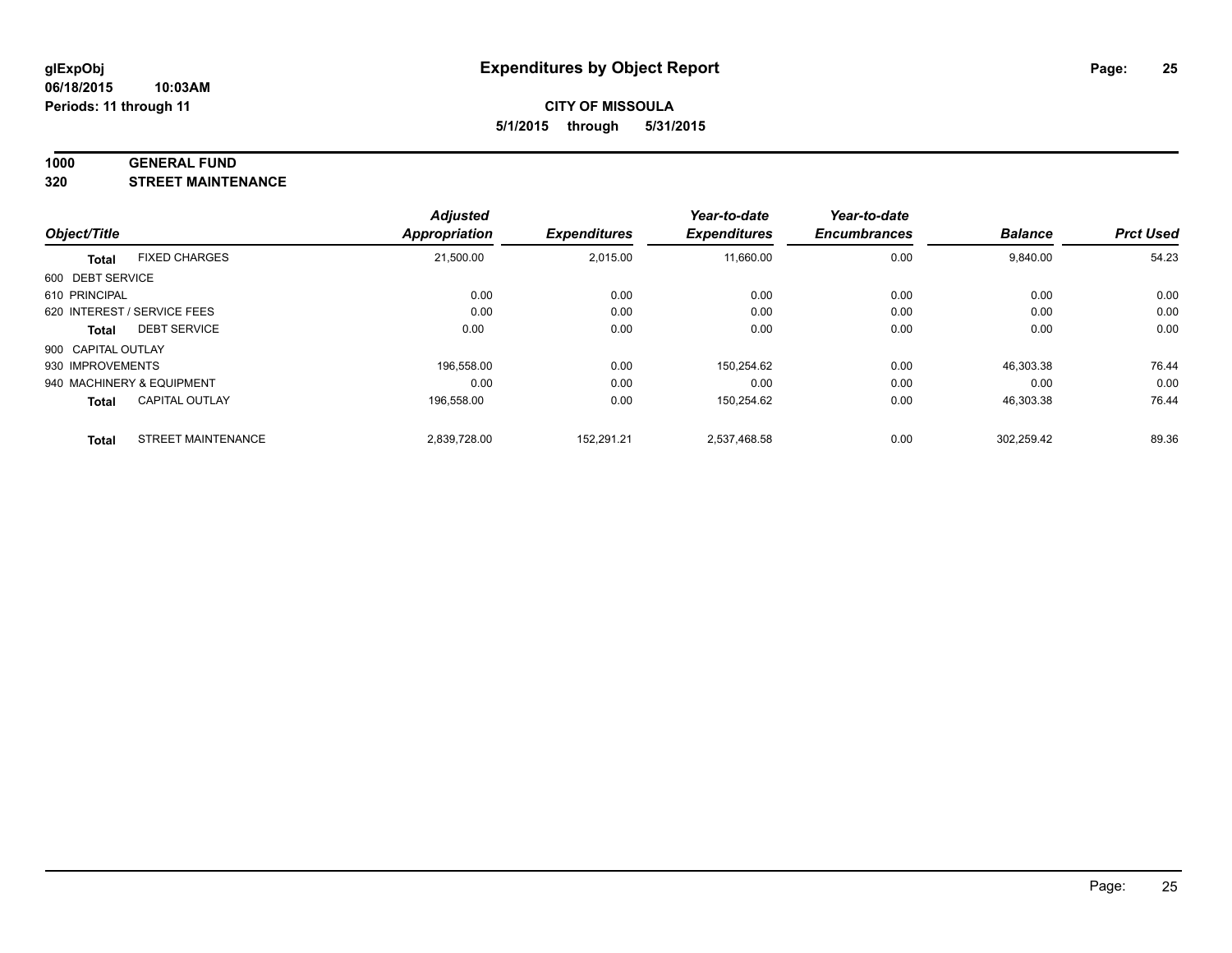#### **1000 GENERAL FUND**

**320 STREET MAINTENANCE**

|                    |                             | <b>Adjusted</b> |                     | Year-to-date        | Year-to-date        |                |                  |
|--------------------|-----------------------------|-----------------|---------------------|---------------------|---------------------|----------------|------------------|
| Object/Title       |                             | Appropriation   | <b>Expenditures</b> | <b>Expenditures</b> | <b>Encumbrances</b> | <b>Balance</b> | <b>Prct Used</b> |
| <b>Total</b>       | <b>FIXED CHARGES</b>        | 21,500.00       | 2,015.00            | 11,660.00           | 0.00                | 9,840.00       | 54.23            |
| 600 DEBT SERVICE   |                             |                 |                     |                     |                     |                |                  |
| 610 PRINCIPAL      |                             | 0.00            | 0.00                | 0.00                | 0.00                | 0.00           | 0.00             |
|                    | 620 INTEREST / SERVICE FEES | 0.00            | 0.00                | 0.00                | 0.00                | 0.00           | 0.00             |
| Total              | <b>DEBT SERVICE</b>         | 0.00            | 0.00                | 0.00                | 0.00                | 0.00           | 0.00             |
| 900 CAPITAL OUTLAY |                             |                 |                     |                     |                     |                |                  |
| 930 IMPROVEMENTS   |                             | 196.558.00      | 0.00                | 150,254.62          | 0.00                | 46,303.38      | 76.44            |
|                    | 940 MACHINERY & EQUIPMENT   | 0.00            | 0.00                | 0.00                | 0.00                | 0.00           | 0.00             |
| <b>Total</b>       | <b>CAPITAL OUTLAY</b>       | 196,558.00      | 0.00                | 150,254.62          | 0.00                | 46,303.38      | 76.44            |
| <b>Total</b>       | <b>STREET MAINTENANCE</b>   | 2.839.728.00    | 152.291.21          | 2,537,468.58        | 0.00                | 302.259.42     | 89.36            |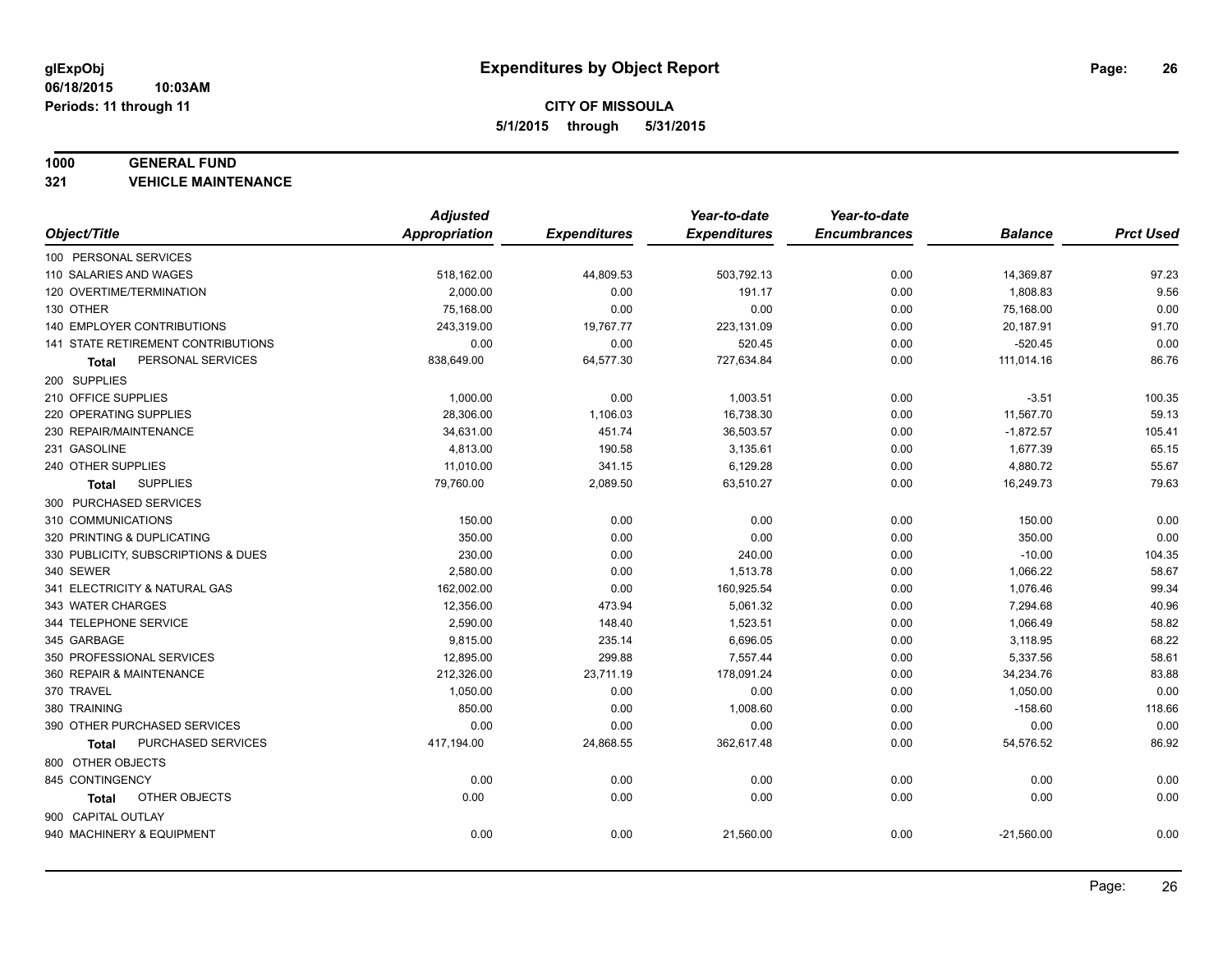#### **1000 GENERAL FUND**

**321 VEHICLE MAINTENANCE**

|                                     | <b>Adjusted</b> |                     | Year-to-date        | Year-to-date        |                |                  |
|-------------------------------------|-----------------|---------------------|---------------------|---------------------|----------------|------------------|
| Object/Title                        | Appropriation   | <b>Expenditures</b> | <b>Expenditures</b> | <b>Encumbrances</b> | <b>Balance</b> | <b>Prct Used</b> |
| 100 PERSONAL SERVICES               |                 |                     |                     |                     |                |                  |
| 110 SALARIES AND WAGES              | 518,162.00      | 44,809.53           | 503,792.13          | 0.00                | 14,369.87      | 97.23            |
| 120 OVERTIME/TERMINATION            | 2,000.00        | 0.00                | 191.17              | 0.00                | 1,808.83       | 9.56             |
| 130 OTHER                           | 75,168.00       | 0.00                | 0.00                | 0.00                | 75,168.00      | 0.00             |
| 140 EMPLOYER CONTRIBUTIONS          | 243,319.00      | 19,767.77           | 223,131.09          | 0.00                | 20,187.91      | 91.70            |
| 141 STATE RETIREMENT CONTRIBUTIONS  | 0.00            | 0.00                | 520.45              | 0.00                | $-520.45$      | 0.00             |
| PERSONAL SERVICES<br>Total          | 838,649.00      | 64,577.30           | 727,634.84          | 0.00                | 111,014.16     | 86.76            |
| 200 SUPPLIES                        |                 |                     |                     |                     |                |                  |
| 210 OFFICE SUPPLIES                 | 1,000.00        | 0.00                | 1,003.51            | 0.00                | $-3.51$        | 100.35           |
| 220 OPERATING SUPPLIES              | 28,306.00       | 1,106.03            | 16,738.30           | 0.00                | 11,567.70      | 59.13            |
| 230 REPAIR/MAINTENANCE              | 34,631.00       | 451.74              | 36,503.57           | 0.00                | $-1,872.57$    | 105.41           |
| 231 GASOLINE                        | 4,813.00        | 190.58              | 3,135.61            | 0.00                | 1,677.39       | 65.15            |
| 240 OTHER SUPPLIES                  | 11,010.00       | 341.15              | 6,129.28            | 0.00                | 4,880.72       | 55.67            |
| <b>SUPPLIES</b><br>Total            | 79,760.00       | 2,089.50            | 63,510.27           | 0.00                | 16,249.73      | 79.63            |
| 300 PURCHASED SERVICES              |                 |                     |                     |                     |                |                  |
| 310 COMMUNICATIONS                  | 150.00          | 0.00                | 0.00                | 0.00                | 150.00         | 0.00             |
| 320 PRINTING & DUPLICATING          | 350.00          | 0.00                | 0.00                | 0.00                | 350.00         | 0.00             |
| 330 PUBLICITY, SUBSCRIPTIONS & DUES | 230.00          | 0.00                | 240.00              | 0.00                | $-10.00$       | 104.35           |
| 340 SEWER                           | 2,580.00        | 0.00                | 1,513.78            | 0.00                | 1,066.22       | 58.67            |
| 341 ELECTRICITY & NATURAL GAS       | 162,002.00      | 0.00                | 160,925.54          | 0.00                | 1,076.46       | 99.34            |
| 343 WATER CHARGES                   | 12,356.00       | 473.94              | 5,061.32            | 0.00                | 7,294.68       | 40.96            |
| 344 TELEPHONE SERVICE               | 2,590.00        | 148.40              | 1,523.51            | 0.00                | 1,066.49       | 58.82            |
| 345 GARBAGE                         | 9,815.00        | 235.14              | 6,696.05            | 0.00                | 3,118.95       | 68.22            |
| 350 PROFESSIONAL SERVICES           | 12,895.00       | 299.88              | 7,557.44            | 0.00                | 5,337.56       | 58.61            |
| 360 REPAIR & MAINTENANCE            | 212,326.00      | 23,711.19           | 178,091.24          | 0.00                | 34,234.76      | 83.88            |
| 370 TRAVEL                          | 1,050.00        | 0.00                | 0.00                | 0.00                | 1,050.00       | 0.00             |
| 380 TRAINING                        | 850.00          | 0.00                | 1,008.60            | 0.00                | $-158.60$      | 118.66           |
| 390 OTHER PURCHASED SERVICES        | 0.00            | 0.00                | 0.00                | 0.00                | 0.00           | 0.00             |
| PURCHASED SERVICES<br><b>Total</b>  | 417,194.00      | 24,868.55           | 362,617.48          | 0.00                | 54,576.52      | 86.92            |
| 800 OTHER OBJECTS                   |                 |                     |                     |                     |                |                  |
| 845 CONTINGENCY                     | 0.00            | 0.00                | 0.00                | 0.00                | 0.00           | 0.00             |
| OTHER OBJECTS<br>Total              | 0.00            | 0.00                | 0.00                | 0.00                | 0.00           | 0.00             |
| 900 CAPITAL OUTLAY                  |                 |                     |                     |                     |                |                  |
| 940 MACHINERY & EQUIPMENT           | 0.00            | 0.00                | 21,560.00           | 0.00                | $-21,560.00$   | 0.00             |
|                                     |                 |                     |                     |                     |                |                  |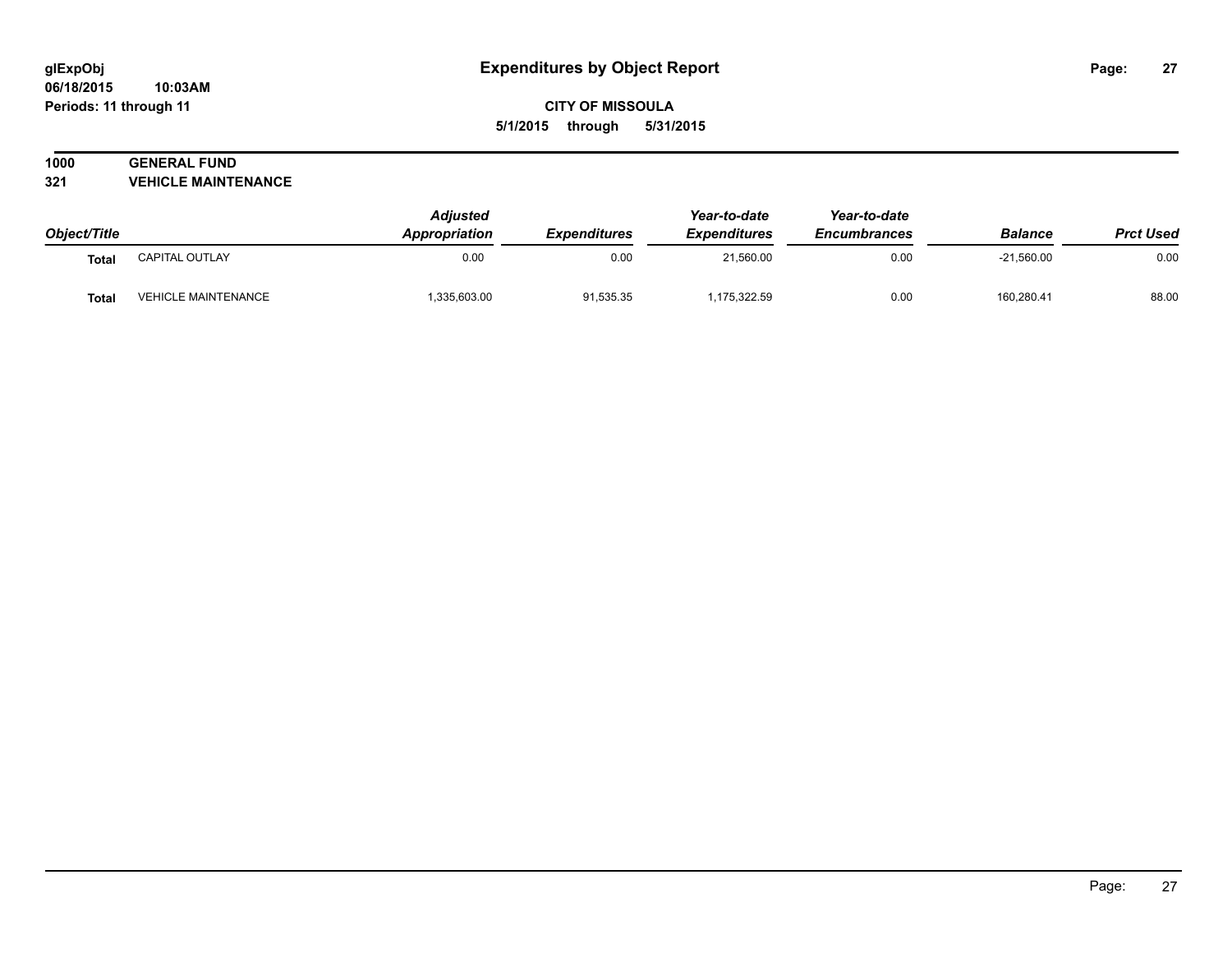#### **06/18/2015 10:03AM Periods: 11 through 11**

**CITY OF MISSOULA 5/1/2015 through 5/31/2015**

# **1000 GENERAL FUND**

**321 VEHICLE MAINTENANCE**

| Object/Title |                            | <b>Adjusted</b><br>Appropriation | <b>Expenditures</b> | Year-to-date<br><b>Expenditures</b> | Year-to-date<br><b>Encumbrances</b> | <b>Balance</b> | <b>Prct Used</b> |
|--------------|----------------------------|----------------------------------|---------------------|-------------------------------------|-------------------------------------|----------------|------------------|
| <b>Total</b> | CAPITAL OUTLAY             | 0.00                             | 0.00                | 21,560.00                           | 0.00                                | $-21,560.00$   | 0.00             |
| <b>Total</b> | <b>VEHICLE MAINTENANCE</b> | 335,603.00                       | 91,535.35           | 1,175,322.59                        | 0.00                                | 160,280.41     | 88.00            |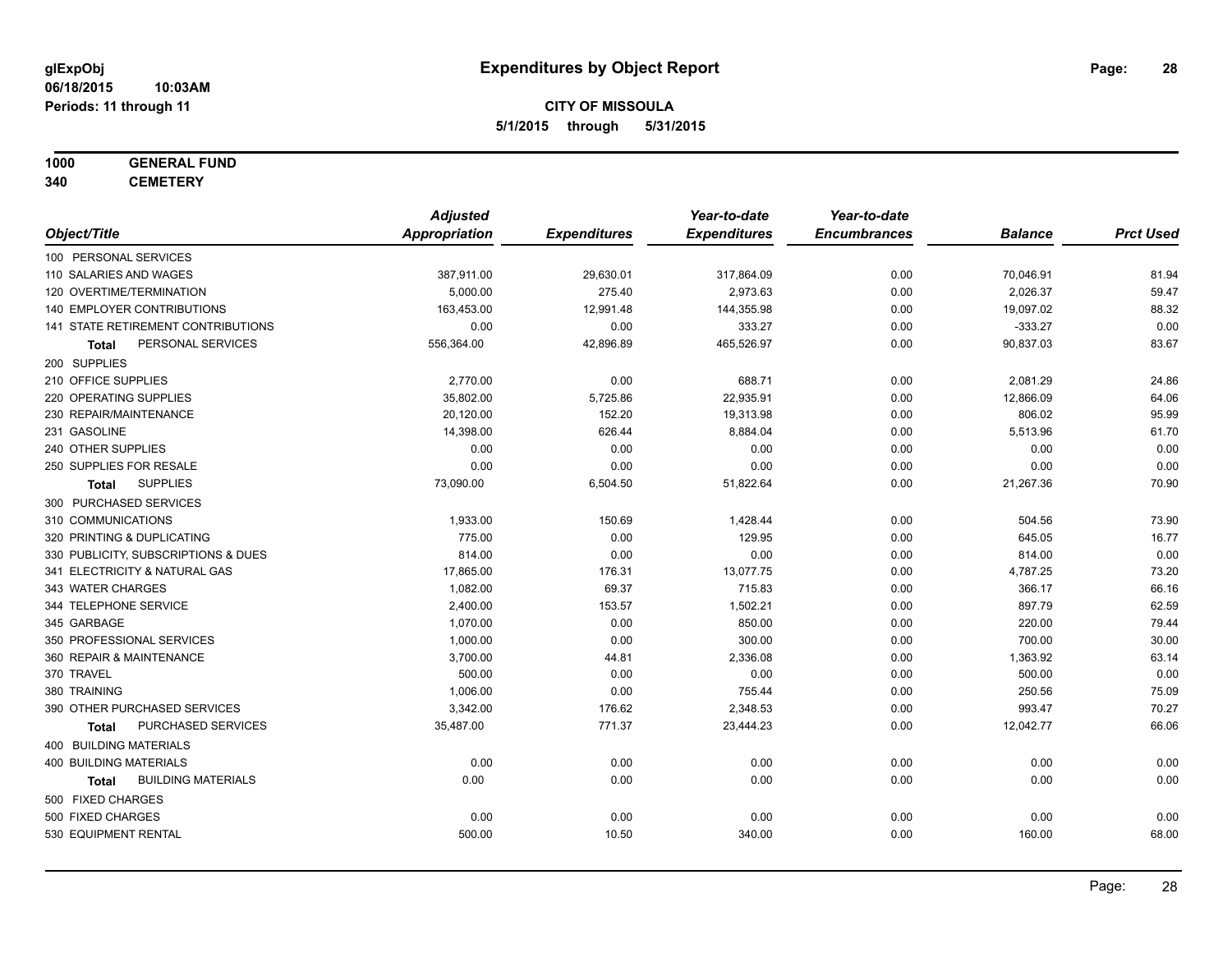## **1000 GENERAL FUND**

**340 CEMETERY**

|                                           | <b>Adjusted</b>      |                     | Year-to-date        | Year-to-date        |                |                  |
|-------------------------------------------|----------------------|---------------------|---------------------|---------------------|----------------|------------------|
| Object/Title                              | <b>Appropriation</b> | <b>Expenditures</b> | <b>Expenditures</b> | <b>Encumbrances</b> | <b>Balance</b> | <b>Prct Used</b> |
| 100 PERSONAL SERVICES                     |                      |                     |                     |                     |                |                  |
| 110 SALARIES AND WAGES                    | 387,911.00           | 29,630.01           | 317,864.09          | 0.00                | 70,046.91      | 81.94            |
| 120 OVERTIME/TERMINATION                  | 5,000.00             | 275.40              | 2,973.63            | 0.00                | 2,026.37       | 59.47            |
| 140 EMPLOYER CONTRIBUTIONS                | 163,453.00           | 12,991.48           | 144,355.98          | 0.00                | 19,097.02      | 88.32            |
| 141 STATE RETIREMENT CONTRIBUTIONS        | 0.00                 | 0.00                | 333.27              | 0.00                | $-333.27$      | 0.00             |
| PERSONAL SERVICES<br>Total                | 556,364.00           | 42,896.89           | 465,526.97          | 0.00                | 90,837.03      | 83.67            |
| 200 SUPPLIES                              |                      |                     |                     |                     |                |                  |
| 210 OFFICE SUPPLIES                       | 2,770.00             | 0.00                | 688.71              | 0.00                | 2,081.29       | 24.86            |
| 220 OPERATING SUPPLIES                    | 35,802.00            | 5,725.86            | 22,935.91           | 0.00                | 12,866.09      | 64.06            |
| 230 REPAIR/MAINTENANCE                    | 20,120.00            | 152.20              | 19,313.98           | 0.00                | 806.02         | 95.99            |
| 231 GASOLINE                              | 14,398.00            | 626.44              | 8,884.04            | 0.00                | 5,513.96       | 61.70            |
| 240 OTHER SUPPLIES                        | 0.00                 | 0.00                | 0.00                | 0.00                | 0.00           | 0.00             |
| 250 SUPPLIES FOR RESALE                   | 0.00                 | 0.00                | 0.00                | 0.00                | 0.00           | 0.00             |
| <b>SUPPLIES</b><br>Total                  | 73,090.00            | 6,504.50            | 51,822.64           | 0.00                | 21,267.36      | 70.90            |
| 300 PURCHASED SERVICES                    |                      |                     |                     |                     |                |                  |
| 310 COMMUNICATIONS                        | 1,933.00             | 150.69              | 1,428.44            | 0.00                | 504.56         | 73.90            |
| 320 PRINTING & DUPLICATING                | 775.00               | 0.00                | 129.95              | 0.00                | 645.05         | 16.77            |
| 330 PUBLICITY, SUBSCRIPTIONS & DUES       | 814.00               | 0.00                | 0.00                | 0.00                | 814.00         | 0.00             |
| 341 ELECTRICITY & NATURAL GAS             | 17,865.00            | 176.31              | 13,077.75           | 0.00                | 4,787.25       | 73.20            |
| 343 WATER CHARGES                         | 1,082.00             | 69.37               | 715.83              | 0.00                | 366.17         | 66.16            |
| 344 TELEPHONE SERVICE                     | 2,400.00             | 153.57              | 1,502.21            | 0.00                | 897.79         | 62.59            |
| 345 GARBAGE                               | 1,070.00             | 0.00                | 850.00              | 0.00                | 220.00         | 79.44            |
| 350 PROFESSIONAL SERVICES                 | 1,000.00             | 0.00                | 300.00              | 0.00                | 700.00         | 30.00            |
| 360 REPAIR & MAINTENANCE                  | 3,700.00             | 44.81               | 2,336.08            | 0.00                | 1,363.92       | 63.14            |
| 370 TRAVEL                                | 500.00               | 0.00                | 0.00                | 0.00                | 500.00         | 0.00             |
| 380 TRAINING                              | 1,006.00             | 0.00                | 755.44              | 0.00                | 250.56         | 75.09            |
| 390 OTHER PURCHASED SERVICES              | 3,342.00             | 176.62              | 2,348.53            | 0.00                | 993.47         | 70.27            |
| PURCHASED SERVICES<br>Total               | 35,487.00            | 771.37              | 23,444.23           | 0.00                | 12,042.77      | 66.06            |
| 400 BUILDING MATERIALS                    |                      |                     |                     |                     |                |                  |
| <b>400 BUILDING MATERIALS</b>             | 0.00                 | 0.00                | 0.00                | 0.00                | 0.00           | 0.00             |
| <b>BUILDING MATERIALS</b><br><b>Total</b> | 0.00                 | 0.00                | 0.00                | 0.00                | 0.00           | 0.00             |
| 500 FIXED CHARGES                         |                      |                     |                     |                     |                |                  |
| 500 FIXED CHARGES                         | 0.00                 | 0.00                | 0.00                | 0.00                | 0.00           | 0.00             |
| 530 EQUIPMENT RENTAL                      | 500.00               | 10.50               | 340.00              | 0.00                | 160.00         | 68.00            |
|                                           |                      |                     |                     |                     |                |                  |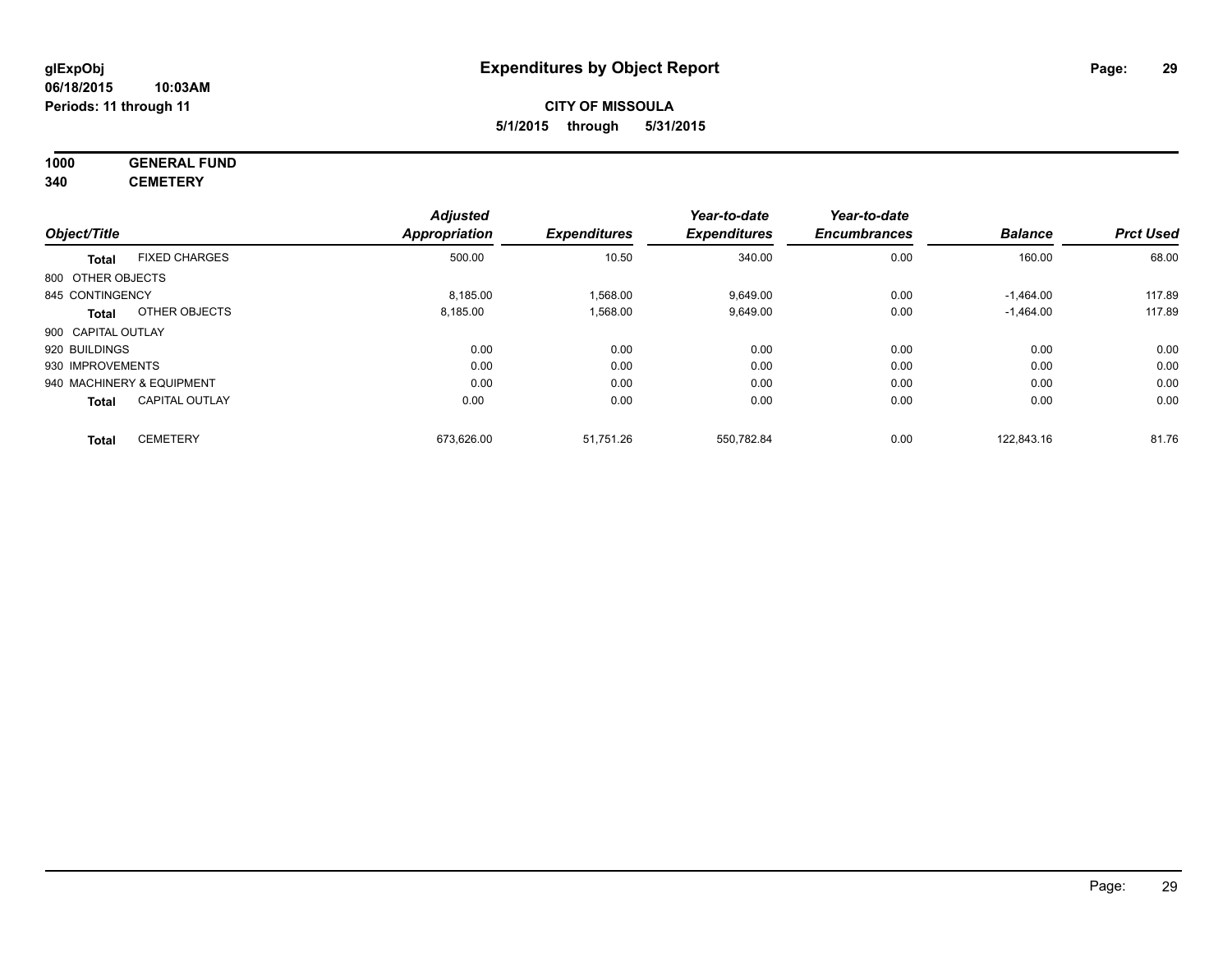## **1000 GENERAL FUND**

**340 CEMETERY**

|                    |                           | <b>Adjusted</b> |                     | Year-to-date        | Year-to-date        |                |                  |
|--------------------|---------------------------|-----------------|---------------------|---------------------|---------------------|----------------|------------------|
| Object/Title       |                           | Appropriation   | <b>Expenditures</b> | <b>Expenditures</b> | <b>Encumbrances</b> | <b>Balance</b> | <b>Prct Used</b> |
| <b>Total</b>       | <b>FIXED CHARGES</b>      | 500.00          | 10.50               | 340.00              | 0.00                | 160.00         | 68.00            |
| 800 OTHER OBJECTS  |                           |                 |                     |                     |                     |                |                  |
| 845 CONTINGENCY    |                           | 8.185.00        | 1,568.00            | 9.649.00            | 0.00                | $-1.464.00$    | 117.89           |
| Total              | OTHER OBJECTS             | 8,185.00        | 1,568.00            | 9,649.00            | 0.00                | $-1,464.00$    | 117.89           |
| 900 CAPITAL OUTLAY |                           |                 |                     |                     |                     |                |                  |
| 920 BUILDINGS      |                           | 0.00            | 0.00                | 0.00                | 0.00                | 0.00           | 0.00             |
| 930 IMPROVEMENTS   |                           | 0.00            | 0.00                | 0.00                | 0.00                | 0.00           | 0.00             |
|                    | 940 MACHINERY & EQUIPMENT | 0.00            | 0.00                | 0.00                | 0.00                | 0.00           | 0.00             |
| <b>Total</b>       | <b>CAPITAL OUTLAY</b>     | 0.00            | 0.00                | 0.00                | 0.00                | 0.00           | 0.00             |
| <b>Total</b>       | <b>CEMETERY</b>           | 673,626.00      | 51,751.26           | 550,782.84          | 0.00                | 122.843.16     | 81.76            |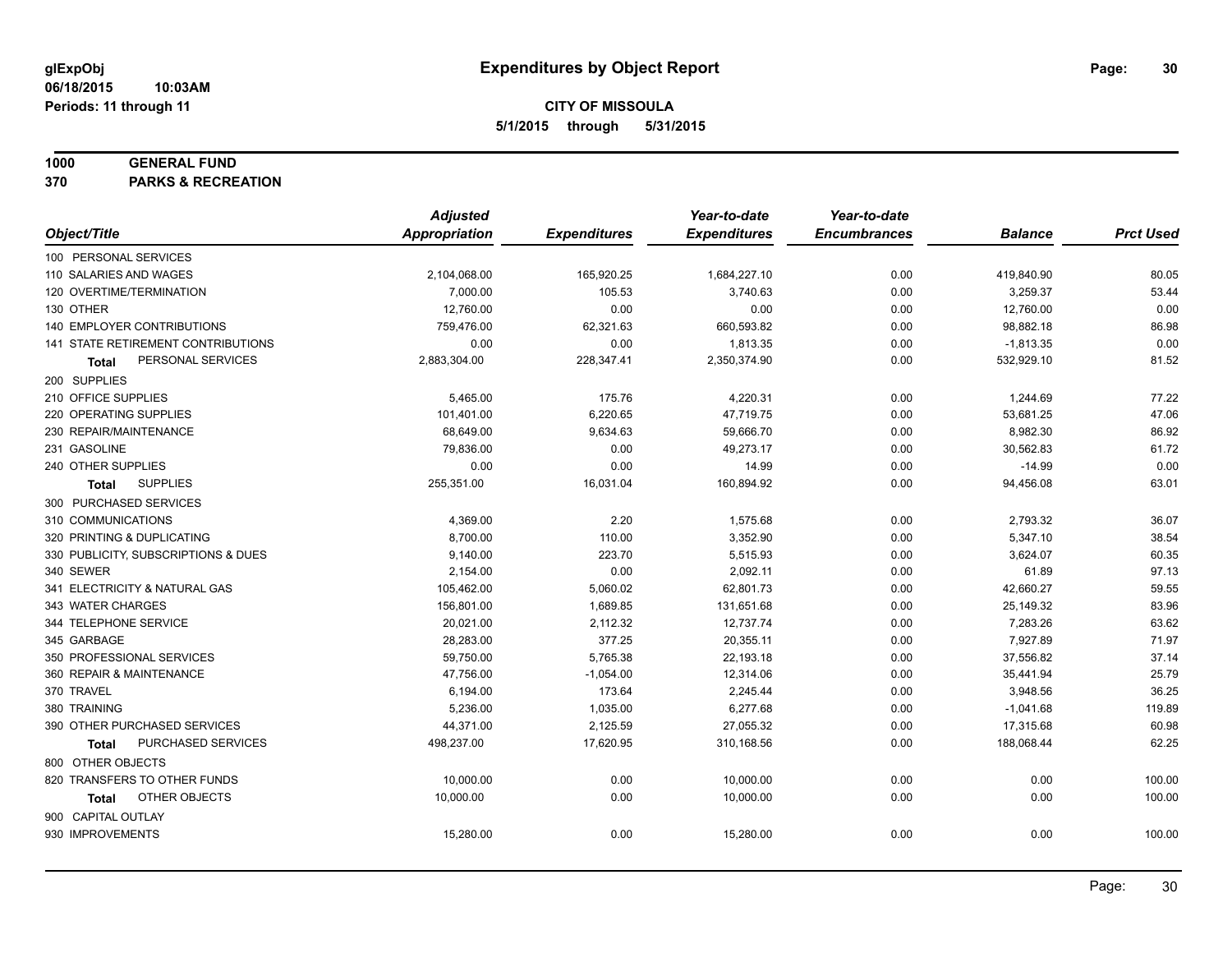#### **1000 GENERAL FUND**

**370 PARKS & RECREATION**

|                                     | <b>Adjusted</b>      |                     | Year-to-date        | Year-to-date        |                |                  |
|-------------------------------------|----------------------|---------------------|---------------------|---------------------|----------------|------------------|
| Object/Title                        | <b>Appropriation</b> | <b>Expenditures</b> | <b>Expenditures</b> | <b>Encumbrances</b> | <b>Balance</b> | <b>Prct Used</b> |
| 100 PERSONAL SERVICES               |                      |                     |                     |                     |                |                  |
| 110 SALARIES AND WAGES              | 2,104,068.00         | 165,920.25          | 1,684,227.10        | 0.00                | 419,840.90     | 80.05            |
| 120 OVERTIME/TERMINATION            | 7,000.00             | 105.53              | 3,740.63            | 0.00                | 3,259.37       | 53.44            |
| 130 OTHER                           | 12,760.00            | 0.00                | 0.00                | 0.00                | 12,760.00      | 0.00             |
| 140 EMPLOYER CONTRIBUTIONS          | 759,476.00           | 62,321.63           | 660,593.82          | 0.00                | 98,882.18      | 86.98            |
| 141 STATE RETIREMENT CONTRIBUTIONS  | 0.00                 | 0.00                | 1,813.35            | 0.00                | $-1,813.35$    | 0.00             |
| PERSONAL SERVICES<br><b>Total</b>   | 2,883,304.00         | 228,347.41          | 2,350,374.90        | 0.00                | 532,929.10     | 81.52            |
| 200 SUPPLIES                        |                      |                     |                     |                     |                |                  |
| 210 OFFICE SUPPLIES                 | 5,465.00             | 175.76              | 4,220.31            | 0.00                | 1,244.69       | 77.22            |
| 220 OPERATING SUPPLIES              | 101,401.00           | 6,220.65            | 47,719.75           | 0.00                | 53,681.25      | 47.06            |
| 230 REPAIR/MAINTENANCE              | 68,649.00            | 9,634.63            | 59,666.70           | 0.00                | 8,982.30       | 86.92            |
| 231 GASOLINE                        | 79,836.00            | 0.00                | 49,273.17           | 0.00                | 30,562.83      | 61.72            |
| 240 OTHER SUPPLIES                  | 0.00                 | 0.00                | 14.99               | 0.00                | $-14.99$       | 0.00             |
| <b>SUPPLIES</b><br>Total            | 255,351.00           | 16,031.04           | 160,894.92          | 0.00                | 94,456.08      | 63.01            |
| 300 PURCHASED SERVICES              |                      |                     |                     |                     |                |                  |
| 310 COMMUNICATIONS                  | 4,369.00             | 2.20                | 1,575.68            | 0.00                | 2,793.32       | 36.07            |
| 320 PRINTING & DUPLICATING          | 8,700.00             | 110.00              | 3,352.90            | 0.00                | 5,347.10       | 38.54            |
| 330 PUBLICITY, SUBSCRIPTIONS & DUES | 9,140.00             | 223.70              | 5,515.93            | 0.00                | 3,624.07       | 60.35            |
| 340 SEWER                           | 2,154.00             | 0.00                | 2,092.11            | 0.00                | 61.89          | 97.13            |
| 341 ELECTRICITY & NATURAL GAS       | 105,462.00           | 5,060.02            | 62,801.73           | 0.00                | 42,660.27      | 59.55            |
| 343 WATER CHARGES                   | 156,801.00           | 1,689.85            | 131,651.68          | 0.00                | 25,149.32      | 83.96            |
| 344 TELEPHONE SERVICE               | 20,021.00            | 2,112.32            | 12,737.74           | 0.00                | 7,283.26       | 63.62            |
| 345 GARBAGE                         | 28,283.00            | 377.25              | 20,355.11           | 0.00                | 7,927.89       | 71.97            |
| 350 PROFESSIONAL SERVICES           | 59,750.00            | 5,765.38            | 22,193.18           | 0.00                | 37,556.82      | 37.14            |
| 360 REPAIR & MAINTENANCE            | 47,756.00            | $-1,054.00$         | 12,314.06           | 0.00                | 35,441.94      | 25.79            |
| 370 TRAVEL                          | 6,194.00             | 173.64              | 2,245.44            | 0.00                | 3,948.56       | 36.25            |
| 380 TRAINING                        | 5,236.00             | 1,035.00            | 6,277.68            | 0.00                | $-1,041.68$    | 119.89           |
| 390 OTHER PURCHASED SERVICES        | 44,371.00            | 2,125.59            | 27,055.32           | 0.00                | 17,315.68      | 60.98            |
| PURCHASED SERVICES<br><b>Total</b>  | 498,237.00           | 17,620.95           | 310,168.56          | 0.00                | 188,068.44     | 62.25            |
| 800 OTHER OBJECTS                   |                      |                     |                     |                     |                |                  |
| 820 TRANSFERS TO OTHER FUNDS        | 10,000.00            | 0.00                | 10,000.00           | 0.00                | 0.00           | 100.00           |
| <b>OTHER OBJECTS</b><br>Total       | 10,000.00            | 0.00                | 10,000.00           | 0.00                | 0.00           | 100.00           |
| 900 CAPITAL OUTLAY                  |                      |                     |                     |                     |                |                  |
| 930 IMPROVEMENTS                    | 15,280.00            | 0.00                | 15,280.00           | 0.00                | 0.00           | 100.00           |
|                                     |                      |                     |                     |                     |                |                  |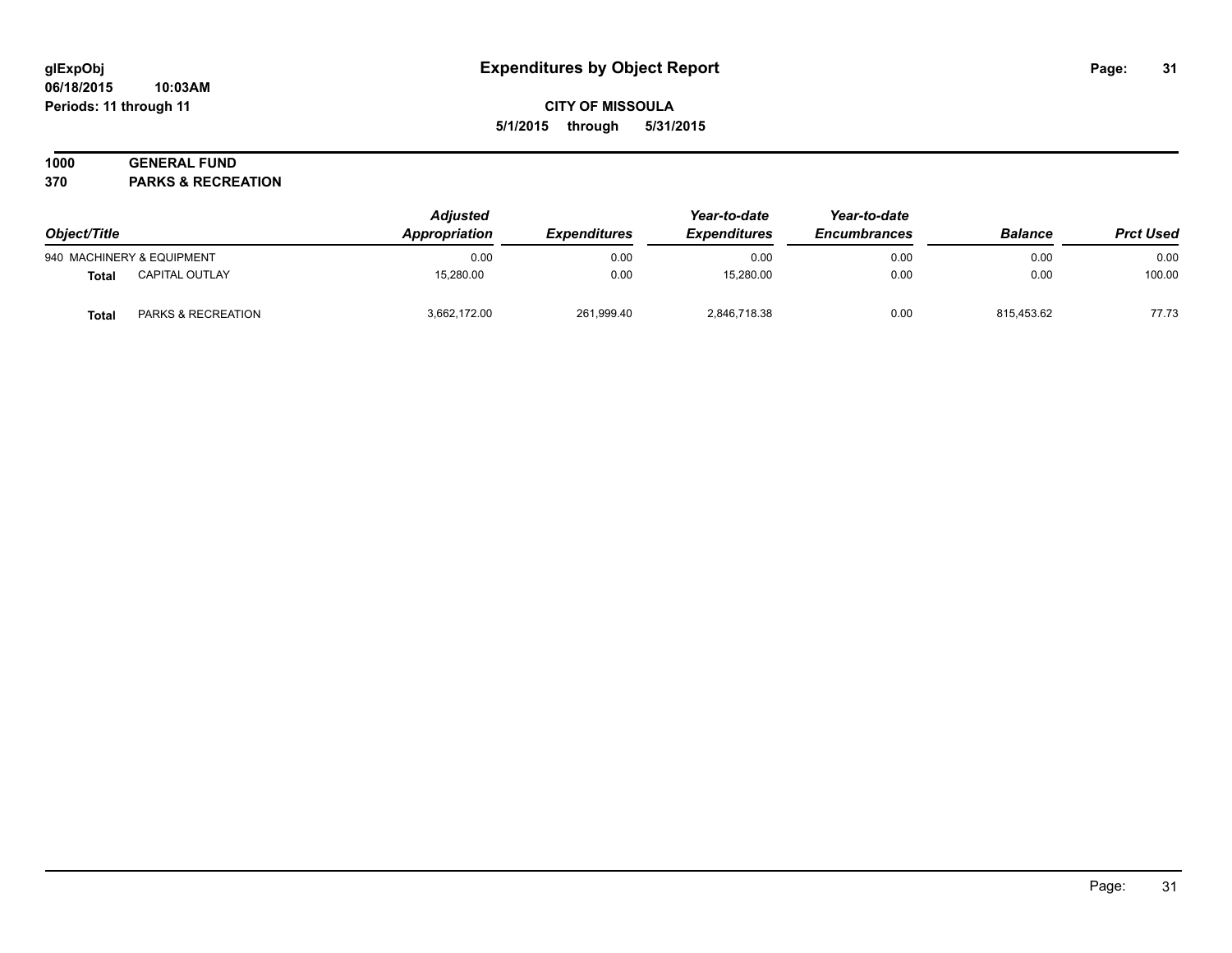#### **06/18/2015 10:03AM Periods: 11 through 11**

## **CITY OF MISSOULA 5/1/2015 through 5/31/2015**

## **1000 GENERAL FUND**

**370 PARKS & RECREATION**

| Object/Title |                           | <b>Adjusted</b><br>Appropriation | <i><b>Expenditures</b></i> | Year-to-date<br><b>Expenditures</b> | Year-to-date<br><b>Encumbrances</b> | <b>Balance</b> | <b>Prct Used</b> |
|--------------|---------------------------|----------------------------------|----------------------------|-------------------------------------|-------------------------------------|----------------|------------------|
|              | 940 MACHINERY & EQUIPMENT | 0.00                             | 0.00                       | 0.00                                | 0.00                                | 0.00           | 0.00             |
| <b>Total</b> | CAPITAL OUTLAY            | 15.280.00                        | 0.00                       | 15,280.00                           | 0.00                                | 0.00           | 100.00           |
| <b>Total</b> | PARKS & RECREATION        | 3,662,172.00                     | 261,999.40                 | 2,846,718.38                        | 0.00                                | 815,453.62     | 77.73            |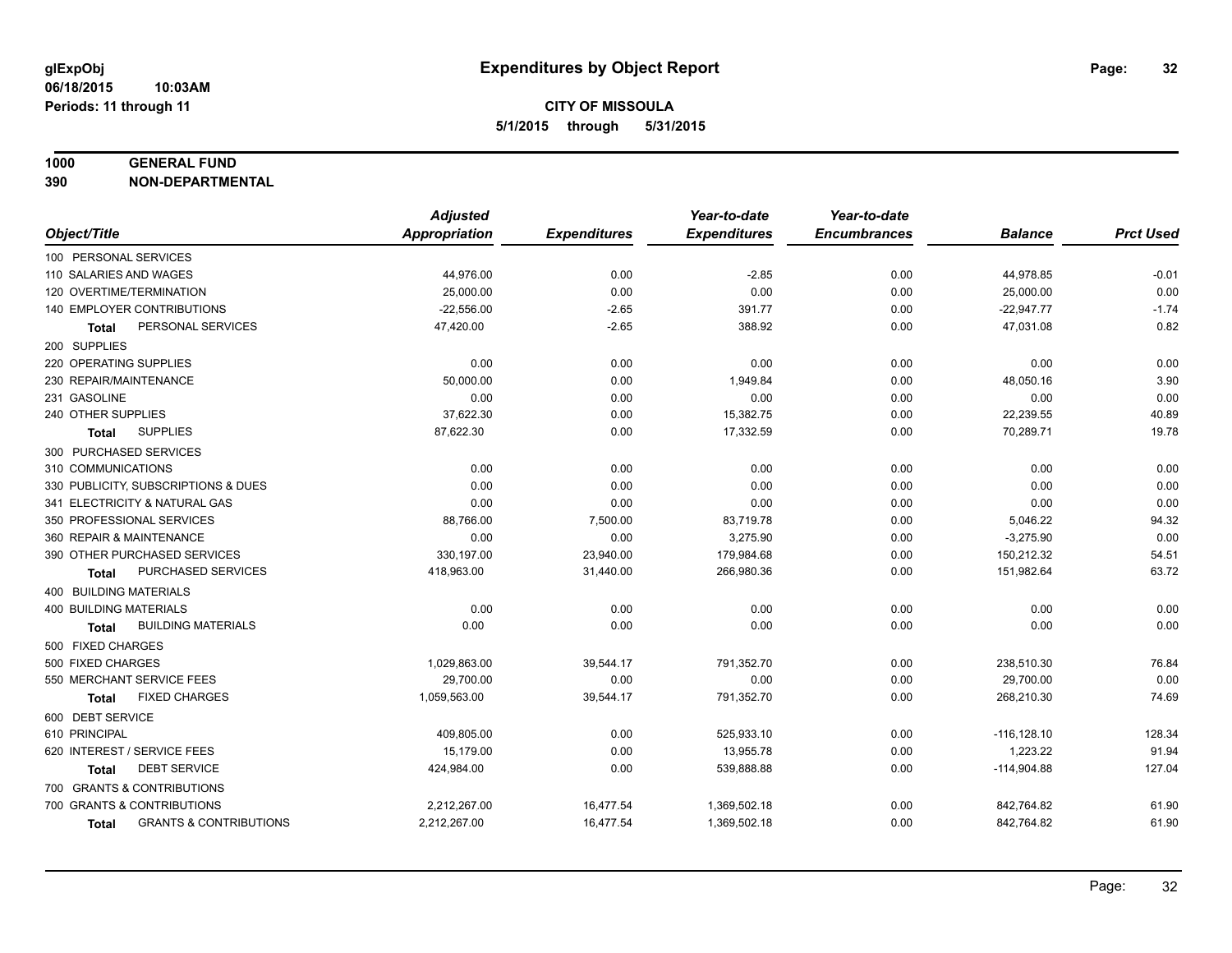#### **1000 GENERAL FUND**

**390 NON-DEPARTMENTAL**

|                                                   | <b>Adjusted</b>      |                     | Year-to-date        | Year-to-date        |                |                  |
|---------------------------------------------------|----------------------|---------------------|---------------------|---------------------|----------------|------------------|
| Object/Title                                      | <b>Appropriation</b> | <b>Expenditures</b> | <b>Expenditures</b> | <b>Encumbrances</b> | <b>Balance</b> | <b>Prct Used</b> |
| 100 PERSONAL SERVICES                             |                      |                     |                     |                     |                |                  |
| 110 SALARIES AND WAGES                            | 44,976.00            | 0.00                | $-2.85$             | 0.00                | 44,978.85      | $-0.01$          |
| 120 OVERTIME/TERMINATION                          | 25,000.00            | 0.00                | 0.00                | 0.00                | 25,000.00      | 0.00             |
| 140 EMPLOYER CONTRIBUTIONS                        | $-22,556.00$         | $-2.65$             | 391.77              | 0.00                | $-22,947.77$   | $-1.74$          |
| PERSONAL SERVICES<br>Total                        | 47,420.00            | $-2.65$             | 388.92              | 0.00                | 47,031.08      | 0.82             |
| 200 SUPPLIES                                      |                      |                     |                     |                     |                |                  |
| 220 OPERATING SUPPLIES                            | 0.00                 | 0.00                | 0.00                | 0.00                | 0.00           | 0.00             |
| 230 REPAIR/MAINTENANCE                            | 50,000.00            | 0.00                | 1,949.84            | 0.00                | 48,050.16      | 3.90             |
| 231 GASOLINE                                      | 0.00                 | 0.00                | 0.00                | 0.00                | 0.00           | 0.00             |
| 240 OTHER SUPPLIES                                | 37,622.30            | 0.00                | 15,382.75           | 0.00                | 22,239.55      | 40.89            |
| <b>SUPPLIES</b><br><b>Total</b>                   | 87,622.30            | 0.00                | 17,332.59           | 0.00                | 70,289.71      | 19.78            |
| 300 PURCHASED SERVICES                            |                      |                     |                     |                     |                |                  |
| 310 COMMUNICATIONS                                | 0.00                 | 0.00                | 0.00                | 0.00                | 0.00           | 0.00             |
| 330 PUBLICITY, SUBSCRIPTIONS & DUES               | 0.00                 | 0.00                | 0.00                | 0.00                | 0.00           | 0.00             |
| 341 ELECTRICITY & NATURAL GAS                     | 0.00                 | 0.00                | 0.00                | 0.00                | 0.00           | 0.00             |
| 350 PROFESSIONAL SERVICES                         | 88,766.00            | 7,500.00            | 83,719.78           | 0.00                | 5,046.22       | 94.32            |
| 360 REPAIR & MAINTENANCE                          | 0.00                 | 0.00                | 3,275.90            | 0.00                | $-3,275.90$    | 0.00             |
| 390 OTHER PURCHASED SERVICES                      | 330,197.00           | 23,940.00           | 179,984.68          | 0.00                | 150,212.32     | 54.51            |
| PURCHASED SERVICES<br>Total                       | 418,963.00           | 31,440.00           | 266,980.36          | 0.00                | 151,982.64     | 63.72            |
| 400 BUILDING MATERIALS                            |                      |                     |                     |                     |                |                  |
| <b>400 BUILDING MATERIALS</b>                     | 0.00                 | 0.00                | 0.00                | 0.00                | 0.00           | 0.00             |
| <b>BUILDING MATERIALS</b><br><b>Total</b>         | 0.00                 | 0.00                | 0.00                | 0.00                | 0.00           | 0.00             |
| 500 FIXED CHARGES                                 |                      |                     |                     |                     |                |                  |
| 500 FIXED CHARGES                                 | 1,029,863.00         | 39,544.17           | 791,352.70          | 0.00                | 238,510.30     | 76.84            |
| 550 MERCHANT SERVICE FEES                         | 29,700.00            | 0.00                | 0.00                | 0.00                | 29,700.00      | 0.00             |
| <b>FIXED CHARGES</b><br><b>Total</b>              | 1,059,563.00         | 39,544.17           | 791,352.70          | 0.00                | 268,210.30     | 74.69            |
| 600 DEBT SERVICE                                  |                      |                     |                     |                     |                |                  |
| 610 PRINCIPAL                                     | 409,805.00           | 0.00                | 525,933.10          | 0.00                | $-116, 128.10$ | 128.34           |
| 620 INTEREST / SERVICE FEES                       | 15,179.00            | 0.00                | 13,955.78           | 0.00                | 1,223.22       | 91.94            |
| <b>DEBT SERVICE</b><br>Total                      | 424,984.00           | 0.00                | 539,888.88          | 0.00                | $-114,904.88$  | 127.04           |
| 700 GRANTS & CONTRIBUTIONS                        |                      |                     |                     |                     |                |                  |
| 700 GRANTS & CONTRIBUTIONS                        | 2,212,267.00         | 16,477.54           | 1,369,502.18        | 0.00                | 842,764.82     | 61.90            |
| <b>GRANTS &amp; CONTRIBUTIONS</b><br><b>Total</b> | 2,212,267.00         | 16,477.54           | 1,369,502.18        | 0.00                | 842,764.82     | 61.90            |
|                                                   |                      |                     |                     |                     |                |                  |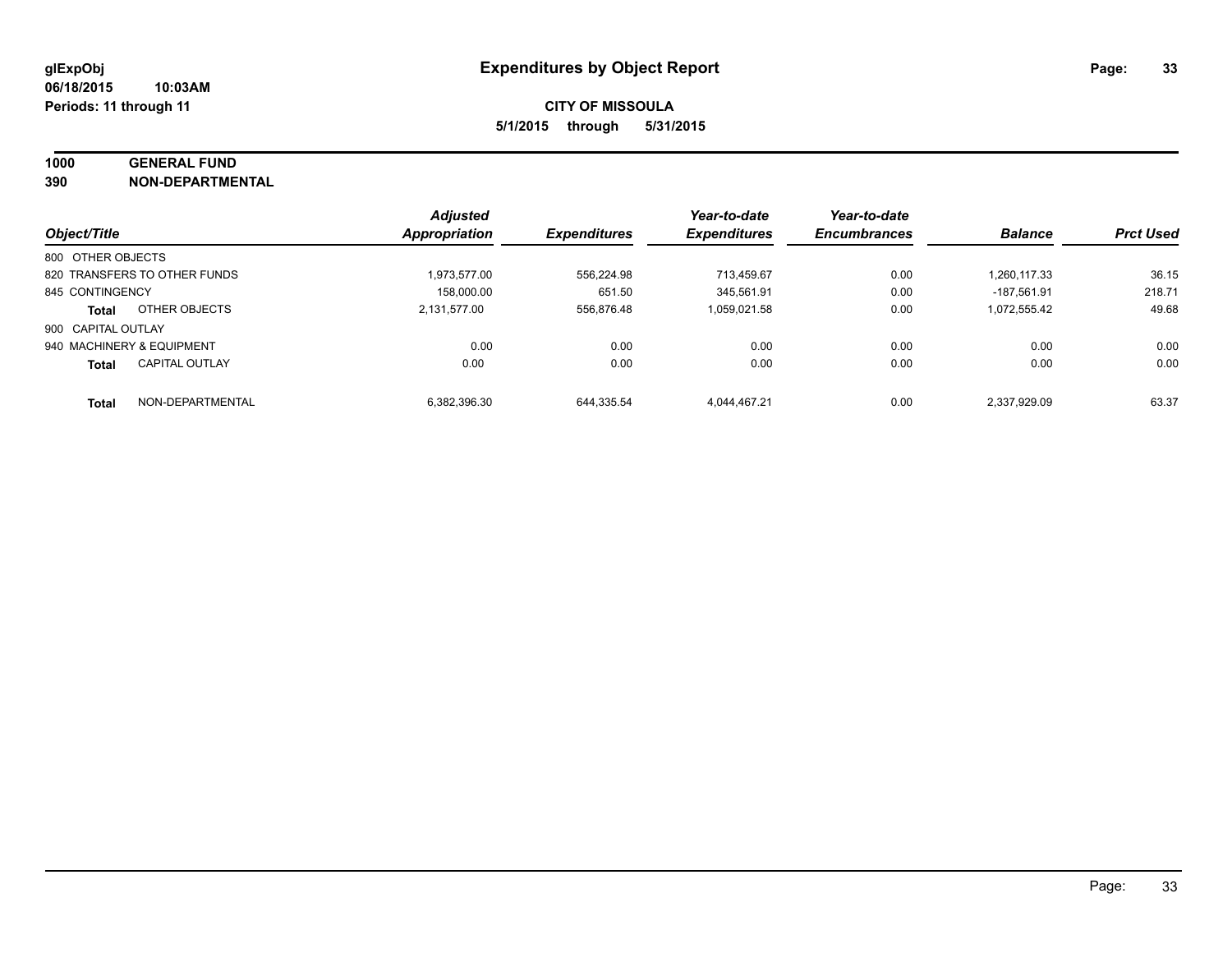# **1000 GENERAL FUND**

**390 NON-DEPARTMENTAL**

|                           |                              | <b>Adjusted</b>      |                     | Year-to-date        | Year-to-date        |                |                  |
|---------------------------|------------------------------|----------------------|---------------------|---------------------|---------------------|----------------|------------------|
| Object/Title              |                              | <b>Appropriation</b> | <b>Expenditures</b> | <b>Expenditures</b> | <b>Encumbrances</b> | <b>Balance</b> | <b>Prct Used</b> |
| 800 OTHER OBJECTS         |                              |                      |                     |                     |                     |                |                  |
|                           | 820 TRANSFERS TO OTHER FUNDS | 1.973.577.00         | 556.224.98          | 713.459.67          | 0.00                | 1.260.117.33   | 36.15            |
| 845 CONTINGENCY           |                              | 158.000.00           | 651.50              | 345.561.91          | 0.00                | -187.561.91    | 218.71           |
| Total                     | OTHER OBJECTS                | 2,131,577.00         | 556.876.48          | 1.059.021.58        | 0.00                | 1,072,555.42   | 49.68            |
| 900 CAPITAL OUTLAY        |                              |                      |                     |                     |                     |                |                  |
| 940 MACHINERY & EQUIPMENT |                              | 0.00                 | 0.00                | 0.00                | 0.00                | 0.00           | 0.00             |
| <b>Total</b>              | <b>CAPITAL OUTLAY</b>        | 0.00                 | 0.00                | 0.00                | 0.00                | 0.00           | 0.00             |
| <b>Total</b>              | NON-DEPARTMENTAL             | 6.382.396.30         | 644.335.54          | 4.044.467.21        | 0.00                | 2.337.929.09   | 63.37            |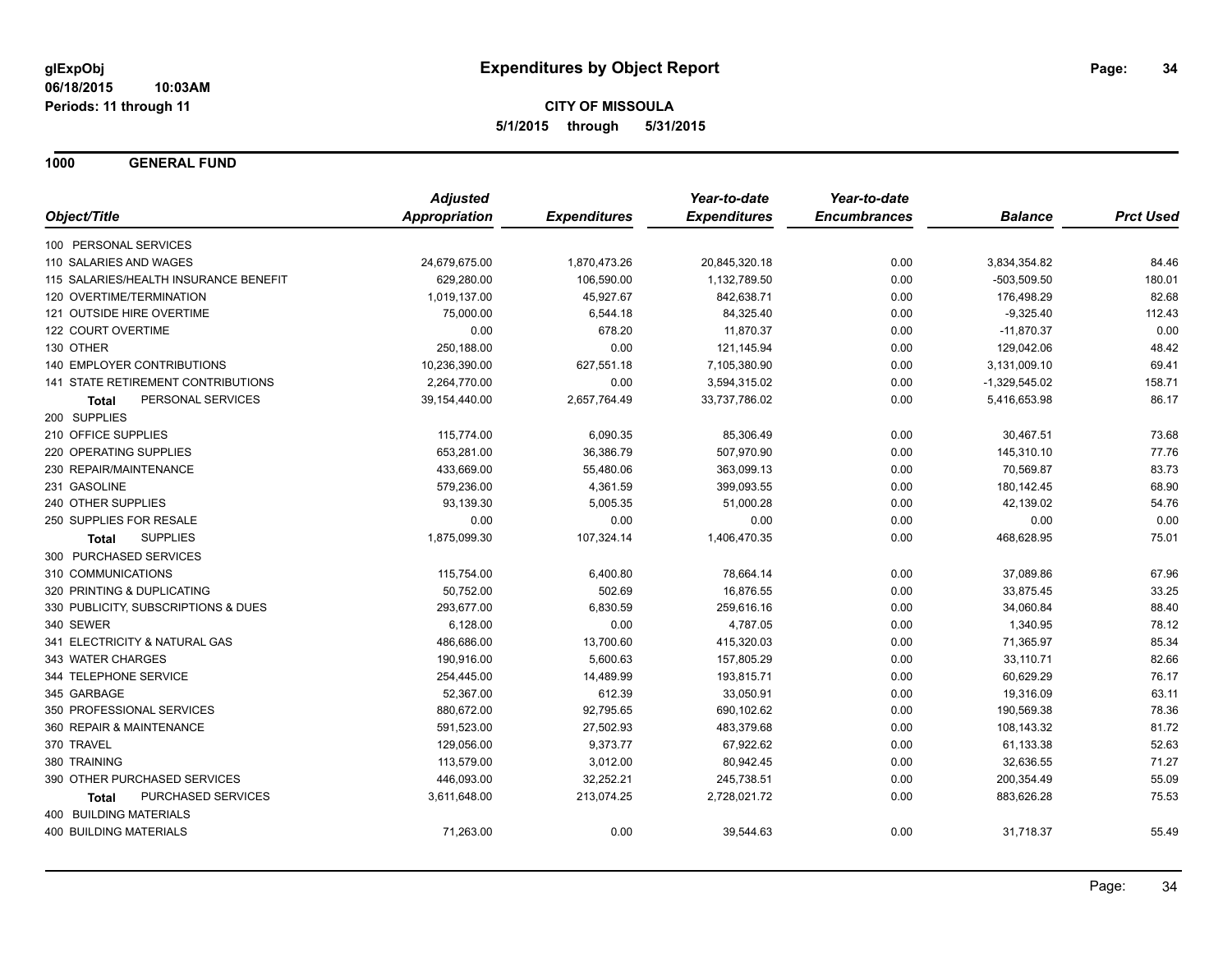**1000 GENERAL FUND**

|                                       | <b>Adjusted</b> |                     | Year-to-date        | Year-to-date        |                 |                  |
|---------------------------------------|-----------------|---------------------|---------------------|---------------------|-----------------|------------------|
| Object/Title                          | Appropriation   | <b>Expenditures</b> | <b>Expenditures</b> | <b>Encumbrances</b> | <b>Balance</b>  | <b>Prct Used</b> |
| 100 PERSONAL SERVICES                 |                 |                     |                     |                     |                 |                  |
| 110 SALARIES AND WAGES                | 24,679,675.00   | 1,870,473.26        | 20,845,320.18       | 0.00                | 3,834,354.82    | 84.46            |
| 115 SALARIES/HEALTH INSURANCE BENEFIT | 629,280.00      | 106,590.00          | 1,132,789.50        | 0.00                | $-503,509.50$   | 180.01           |
| 120 OVERTIME/TERMINATION              | 1,019,137.00    | 45,927.67           | 842,638.71          | 0.00                | 176,498.29      | 82.68            |
| 121 OUTSIDE HIRE OVERTIME             | 75,000.00       | 6,544.18            | 84,325.40           | 0.00                | $-9,325.40$     | 112.43           |
| 122 COURT OVERTIME                    | 0.00            | 678.20              | 11,870.37           | 0.00                | $-11,870.37$    | 0.00             |
| 130 OTHER                             | 250,188.00      | 0.00                | 121,145.94          | 0.00                | 129,042.06      | 48.42            |
| <b>140 EMPLOYER CONTRIBUTIONS</b>     | 10,236,390.00   | 627,551.18          | 7,105,380.90        | 0.00                | 3,131,009.10    | 69.41            |
| 141 STATE RETIREMENT CONTRIBUTIONS    | 2,264,770.00    | 0.00                | 3,594,315.02        | 0.00                | $-1,329,545.02$ | 158.71           |
| PERSONAL SERVICES<br><b>Total</b>     | 39, 154, 440.00 | 2,657,764.49        | 33,737,786.02       | 0.00                | 5,416,653.98    | 86.17            |
| 200 SUPPLIES                          |                 |                     |                     |                     |                 |                  |
| 210 OFFICE SUPPLIES                   | 115,774.00      | 6,090.35            | 85,306.49           | 0.00                | 30,467.51       | 73.68            |
| 220 OPERATING SUPPLIES                | 653,281.00      | 36,386.79           | 507,970.90          | 0.00                | 145,310.10      | 77.76            |
| 230 REPAIR/MAINTENANCE                | 433,669.00      | 55,480.06           | 363,099.13          | 0.00                | 70,569.87       | 83.73            |
| 231 GASOLINE                          | 579,236.00      | 4,361.59            | 399,093.55          | 0.00                | 180,142.45      | 68.90            |
| 240 OTHER SUPPLIES                    | 93,139.30       | 5,005.35            | 51,000.28           | 0.00                | 42,139.02       | 54.76            |
| 250 SUPPLIES FOR RESALE               | 0.00            | 0.00                | 0.00                | 0.00                | 0.00            | 0.00             |
| <b>SUPPLIES</b><br><b>Total</b>       | 1,875,099.30    | 107,324.14          | 1,406,470.35        | 0.00                | 468,628.95      | 75.01            |
| 300 PURCHASED SERVICES                |                 |                     |                     |                     |                 |                  |
| 310 COMMUNICATIONS                    | 115,754.00      | 6,400.80            | 78,664.14           | 0.00                | 37,089.86       | 67.96            |
| 320 PRINTING & DUPLICATING            | 50,752.00       | 502.69              | 16,876.55           | 0.00                | 33,875.45       | 33.25            |
| 330 PUBLICITY, SUBSCRIPTIONS & DUES   | 293,677.00      | 6,830.59            | 259,616.16          | 0.00                | 34,060.84       | 88.40            |
| 340 SEWER                             | 6,128.00        | 0.00                | 4,787.05            | 0.00                | 1,340.95        | 78.12            |
| 341 ELECTRICITY & NATURAL GAS         | 486,686.00      | 13,700.60           | 415,320.03          | 0.00                | 71,365.97       | 85.34            |
| 343 WATER CHARGES                     | 190,916.00      | 5,600.63            | 157,805.29          | 0.00                | 33,110.71       | 82.66            |
| 344 TELEPHONE SERVICE                 | 254,445.00      | 14,489.99           | 193,815.71          | 0.00                | 60,629.29       | 76.17            |
| 345 GARBAGE                           | 52,367.00       | 612.39              | 33,050.91           | 0.00                | 19,316.09       | 63.11            |
| 350 PROFESSIONAL SERVICES             | 880,672.00      | 92,795.65           | 690,102.62          | 0.00                | 190,569.38      | 78.36            |
| 360 REPAIR & MAINTENANCE              | 591,523.00      | 27,502.93           | 483,379.68          | 0.00                | 108,143.32      | 81.72            |
| 370 TRAVEL                            | 129,056.00      | 9,373.77            | 67,922.62           | 0.00                | 61,133.38       | 52.63            |
| 380 TRAINING                          | 113,579.00      | 3,012.00            | 80,942.45           | 0.00                | 32,636.55       | 71.27            |
| 390 OTHER PURCHASED SERVICES          | 446,093.00      | 32,252.21           | 245,738.51          | 0.00                | 200,354.49      | 55.09            |
| PURCHASED SERVICES<br><b>Total</b>    | 3,611,648.00    | 213,074.25          | 2,728,021.72        | 0.00                | 883,626.28      | 75.53            |
| 400 BUILDING MATERIALS                |                 |                     |                     |                     |                 |                  |
| <b>400 BUILDING MATERIALS</b>         | 71,263.00       | 0.00                | 39,544.63           | 0.00                | 31,718.37       | 55.49            |
|                                       |                 |                     |                     |                     |                 |                  |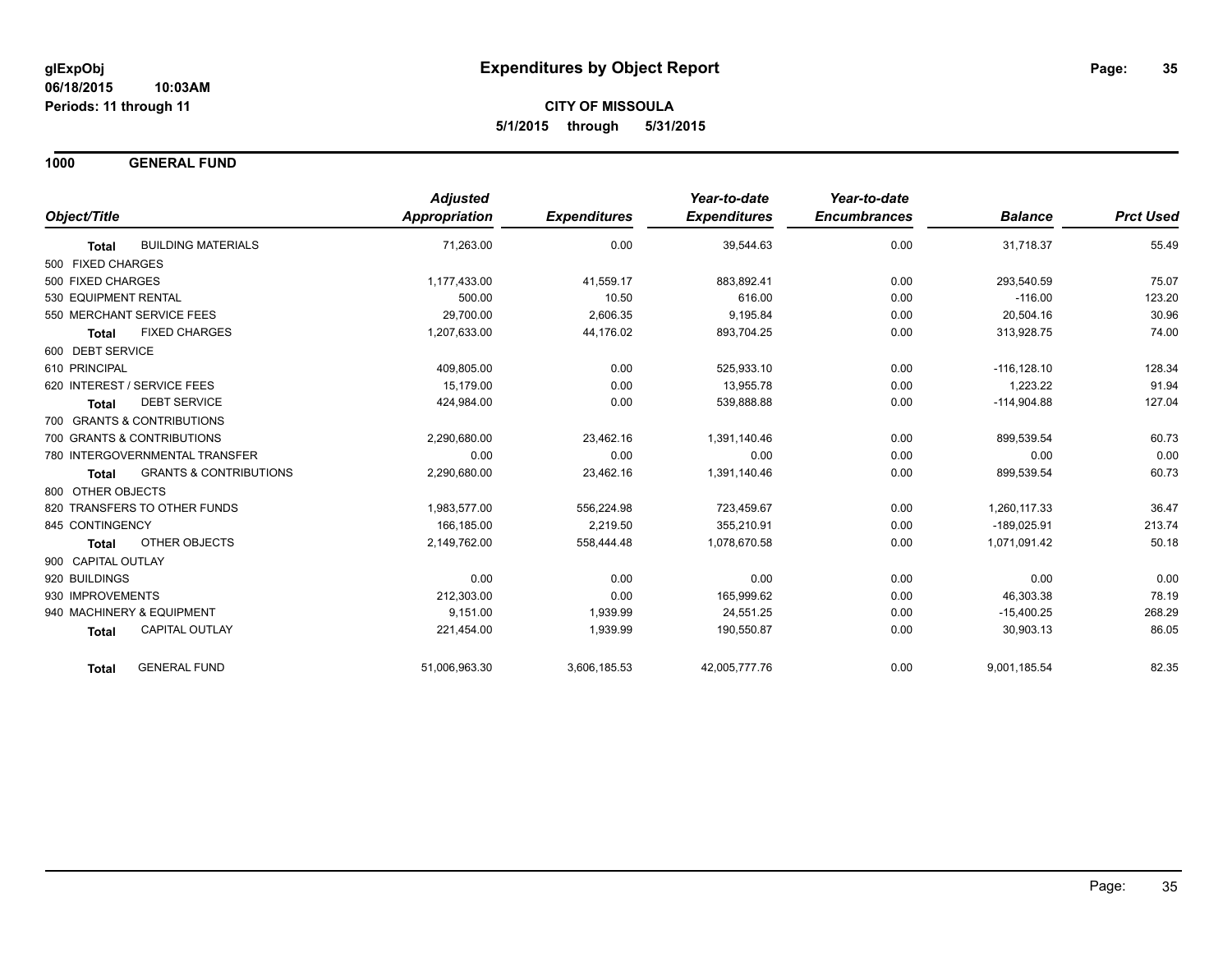**1000 GENERAL FUND**

|                                                   | <b>Adjusted</b>      |                     | Year-to-date        | Year-to-date        |                |                  |
|---------------------------------------------------|----------------------|---------------------|---------------------|---------------------|----------------|------------------|
| Object/Title                                      | <b>Appropriation</b> | <b>Expenditures</b> | <b>Expenditures</b> | <b>Encumbrances</b> | <b>Balance</b> | <b>Prct Used</b> |
| <b>BUILDING MATERIALS</b><br><b>Total</b>         | 71,263.00            | 0.00                | 39,544.63           | 0.00                | 31,718.37      | 55.49            |
| 500 FIXED CHARGES                                 |                      |                     |                     |                     |                |                  |
| 500 FIXED CHARGES                                 | 1,177,433.00         | 41,559.17           | 883,892.41          | 0.00                | 293,540.59     | 75.07            |
| 530 EQUIPMENT RENTAL                              | 500.00               | 10.50               | 616.00              | 0.00                | $-116.00$      | 123.20           |
| 550 MERCHANT SERVICE FEES                         | 29,700.00            | 2,606.35            | 9,195.84            | 0.00                | 20,504.16      | 30.96            |
| <b>FIXED CHARGES</b><br><b>Total</b>              | 1,207,633.00         | 44,176.02           | 893,704.25          | 0.00                | 313,928.75     | 74.00            |
| 600 DEBT SERVICE                                  |                      |                     |                     |                     |                |                  |
| 610 PRINCIPAL                                     | 409,805.00           | 0.00                | 525,933.10          | 0.00                | $-116, 128.10$ | 128.34           |
| 620 INTEREST / SERVICE FEES                       | 15.179.00            | 0.00                | 13,955.78           | 0.00                | 1,223.22       | 91.94            |
| <b>DEBT SERVICE</b><br><b>Total</b>               | 424,984.00           | 0.00                | 539,888.88          | 0.00                | $-114,904.88$  | 127.04           |
| 700 GRANTS & CONTRIBUTIONS                        |                      |                     |                     |                     |                |                  |
| 700 GRANTS & CONTRIBUTIONS                        | 2,290,680.00         | 23,462.16           | 1,391,140.46        | 0.00                | 899,539.54     | 60.73            |
| 780 INTERGOVERNMENTAL TRANSFER                    | 0.00                 | 0.00                | 0.00                | 0.00                | 0.00           | 0.00             |
| <b>GRANTS &amp; CONTRIBUTIONS</b><br><b>Total</b> | 2,290,680.00         | 23,462.16           | 1,391,140.46        | 0.00                | 899,539.54     | 60.73            |
| 800 OTHER OBJECTS                                 |                      |                     |                     |                     |                |                  |
| 820 TRANSFERS TO OTHER FUNDS                      | 1,983,577.00         | 556,224.98          | 723,459.67          | 0.00                | 1,260,117.33   | 36.47            |
| 845 CONTINGENCY                                   | 166.185.00           | 2,219.50            | 355.210.91          | 0.00                | $-189.025.91$  | 213.74           |
| OTHER OBJECTS<br><b>Total</b>                     | 2,149,762.00         | 558,444.48          | 1,078,670.58        | 0.00                | 1,071,091.42   | 50.18            |
| 900 CAPITAL OUTLAY                                |                      |                     |                     |                     |                |                  |
| 920 BUILDINGS                                     | 0.00                 | 0.00                | 0.00                | 0.00                | 0.00           | 0.00             |
| 930 IMPROVEMENTS                                  | 212,303.00           | 0.00                | 165,999.62          | 0.00                | 46,303.38      | 78.19            |
| 940 MACHINERY & EQUIPMENT                         | 9,151.00             | 1,939.99            | 24,551.25           | 0.00                | $-15,400.25$   | 268.29           |
| <b>CAPITAL OUTLAY</b><br>Total                    | 221,454.00           | 1,939.99            | 190,550.87          | 0.00                | 30,903.13      | 86.05            |
| <b>GENERAL FUND</b><br><b>Total</b>               | 51,006,963.30        | 3,606,185.53        | 42,005,777.76       | 0.00                | 9,001,185.54   | 82.35            |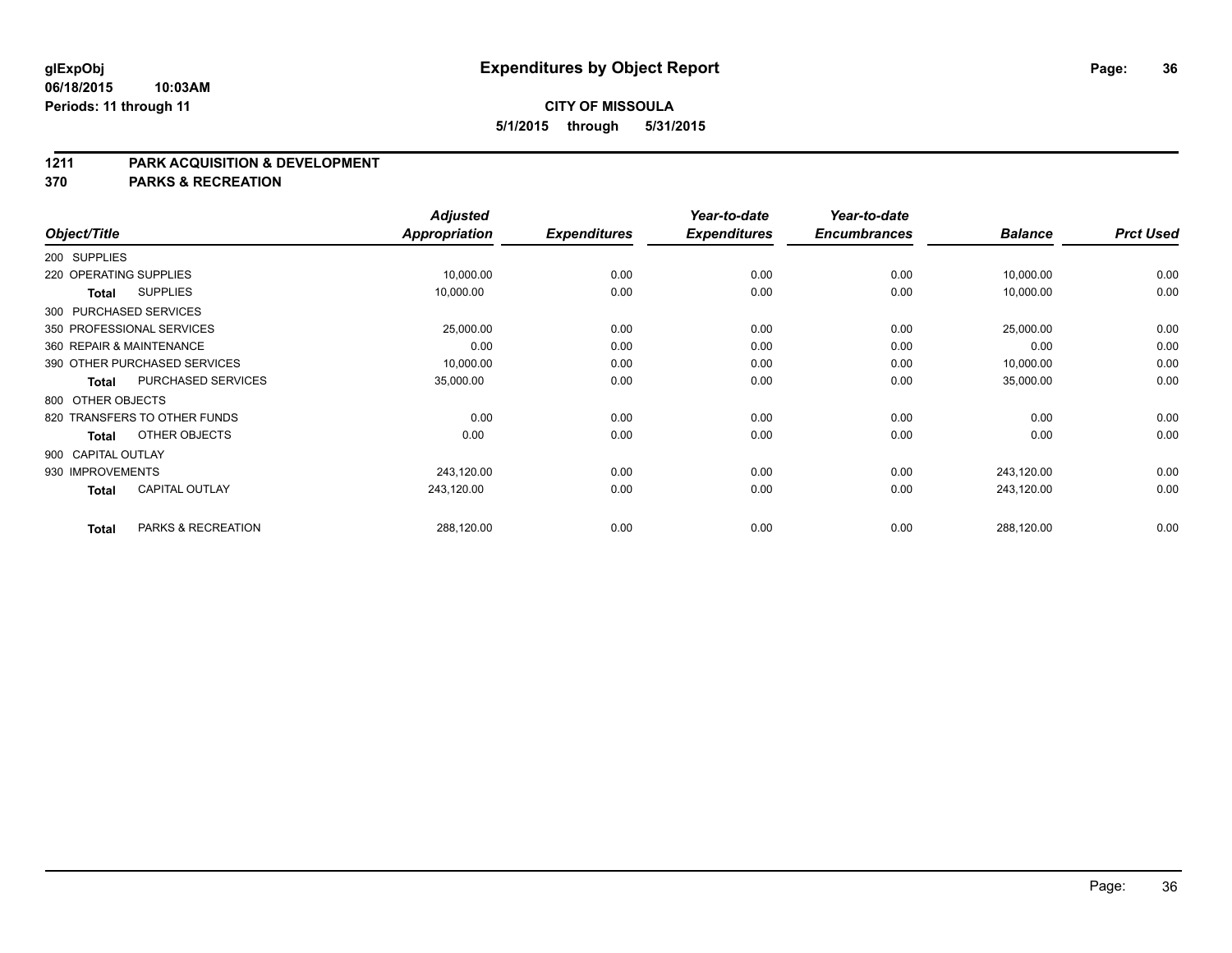#### **1211 PARK ACQUISITION & DEVELOPMENT**

**370 PARKS & RECREATION**

|                    |                              | <b>Adjusted</b> |                     | Year-to-date        | Year-to-date        |                |                  |
|--------------------|------------------------------|-----------------|---------------------|---------------------|---------------------|----------------|------------------|
| Object/Title       |                              | Appropriation   | <b>Expenditures</b> | <b>Expenditures</b> | <b>Encumbrances</b> | <b>Balance</b> | <b>Prct Used</b> |
| 200 SUPPLIES       |                              |                 |                     |                     |                     |                |                  |
|                    | 220 OPERATING SUPPLIES       | 10,000.00       | 0.00                | 0.00                | 0.00                | 10,000.00      | 0.00             |
| Total              | <b>SUPPLIES</b>              | 10,000.00       | 0.00                | 0.00                | 0.00                | 10,000.00      | 0.00             |
|                    | 300 PURCHASED SERVICES       |                 |                     |                     |                     |                |                  |
|                    | 350 PROFESSIONAL SERVICES    | 25,000.00       | 0.00                | 0.00                | 0.00                | 25,000.00      | 0.00             |
|                    | 360 REPAIR & MAINTENANCE     | 0.00            | 0.00                | 0.00                | 0.00                | 0.00           | 0.00             |
|                    | 390 OTHER PURCHASED SERVICES | 10,000.00       | 0.00                | 0.00                | 0.00                | 10,000.00      | 0.00             |
| <b>Total</b>       | PURCHASED SERVICES           | 35,000.00       | 0.00                | 0.00                | 0.00                | 35,000.00      | 0.00             |
| 800 OTHER OBJECTS  |                              |                 |                     |                     |                     |                |                  |
|                    | 820 TRANSFERS TO OTHER FUNDS | 0.00            | 0.00                | 0.00                | 0.00                | 0.00           | 0.00             |
| Total              | OTHER OBJECTS                | 0.00            | 0.00                | 0.00                | 0.00                | 0.00           | 0.00             |
| 900 CAPITAL OUTLAY |                              |                 |                     |                     |                     |                |                  |
| 930 IMPROVEMENTS   |                              | 243,120.00      | 0.00                | 0.00                | 0.00                | 243,120.00     | 0.00             |
| Total              | <b>CAPITAL OUTLAY</b>        | 243,120.00      | 0.00                | 0.00                | 0.00                | 243,120.00     | 0.00             |
| <b>Total</b>       | PARKS & RECREATION           | 288,120.00      | 0.00                | 0.00                | 0.00                | 288,120.00     | 0.00             |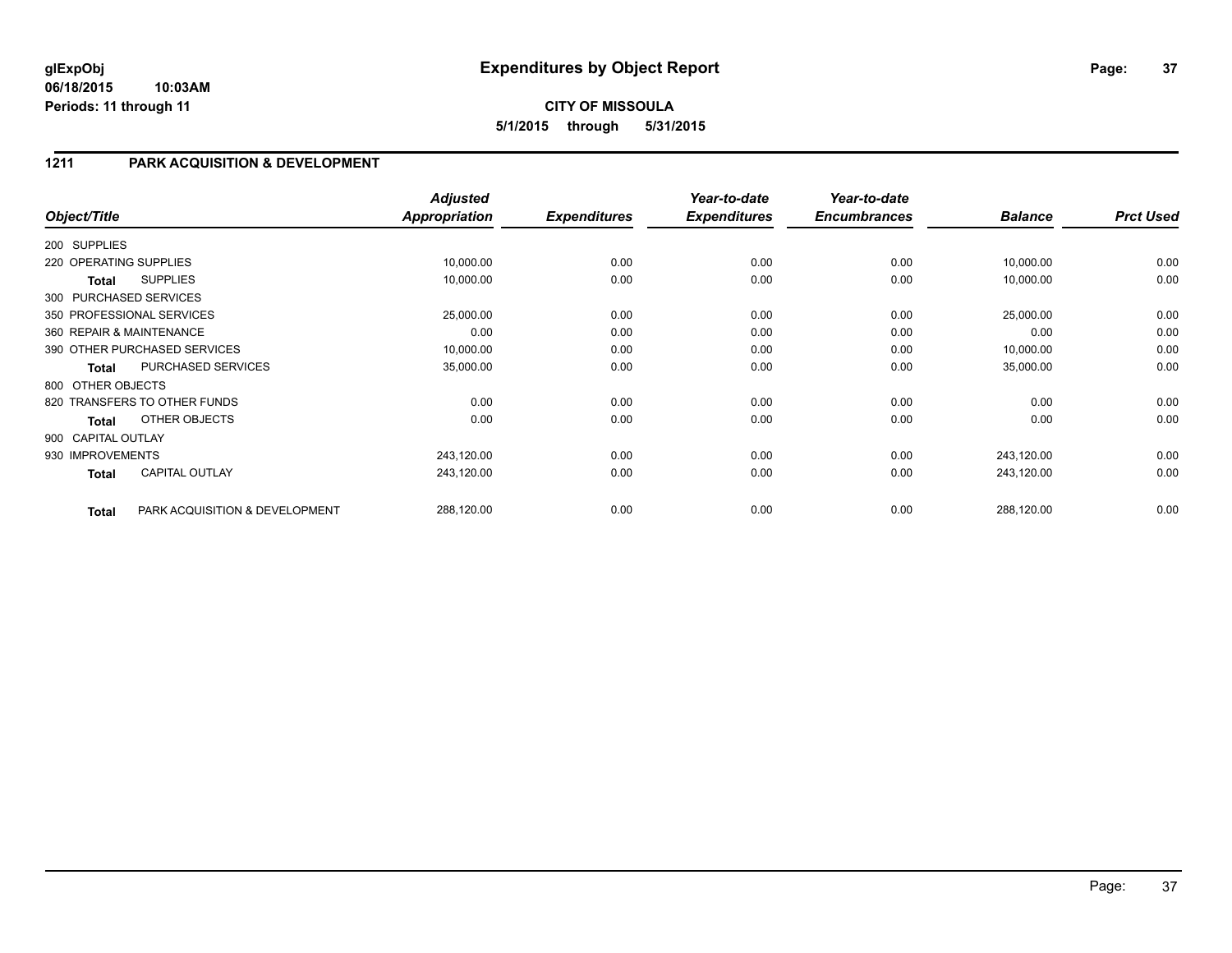# **CITY OF MISSOULA 5/1/2015 through 5/31/2015**

### **1211 PARK ACQUISITION & DEVELOPMENT**

| Object/Title           |                                | <b>Adjusted</b><br><b>Appropriation</b> | <b>Expenditures</b> | Year-to-date<br><b>Expenditures</b> | Year-to-date<br><b>Encumbrances</b> | <b>Balance</b> | <b>Prct Used</b> |
|------------------------|--------------------------------|-----------------------------------------|---------------------|-------------------------------------|-------------------------------------|----------------|------------------|
| 200 SUPPLIES           |                                |                                         |                     |                                     |                                     |                |                  |
| 220 OPERATING SUPPLIES |                                | 10,000.00                               | 0.00                | 0.00                                | 0.00                                | 10,000.00      | 0.00             |
| Total                  | <b>SUPPLIES</b>                | 10,000.00                               | 0.00                | 0.00                                | 0.00                                | 10,000.00      | 0.00             |
| 300 PURCHASED SERVICES |                                |                                         |                     |                                     |                                     |                |                  |
|                        | 350 PROFESSIONAL SERVICES      | 25,000.00                               | 0.00                | 0.00                                | 0.00                                | 25,000.00      | 0.00             |
|                        | 360 REPAIR & MAINTENANCE       | 0.00                                    | 0.00                | 0.00                                | 0.00                                | 0.00           | 0.00             |
|                        | 390 OTHER PURCHASED SERVICES   | 10,000.00                               | 0.00                | 0.00                                | 0.00                                | 10,000.00      | 0.00             |
| <b>Total</b>           | PURCHASED SERVICES             | 35,000.00                               | 0.00                | 0.00                                | 0.00                                | 35,000.00      | 0.00             |
| 800 OTHER OBJECTS      |                                |                                         |                     |                                     |                                     |                |                  |
|                        | 820 TRANSFERS TO OTHER FUNDS   | 0.00                                    | 0.00                | 0.00                                | 0.00                                | 0.00           | 0.00             |
| <b>Total</b>           | OTHER OBJECTS                  | 0.00                                    | 0.00                | 0.00                                | 0.00                                | 0.00           | 0.00             |
| 900 CAPITAL OUTLAY     |                                |                                         |                     |                                     |                                     |                |                  |
| 930 IMPROVEMENTS       |                                | 243,120.00                              | 0.00                | 0.00                                | 0.00                                | 243,120.00     | 0.00             |
| <b>Total</b>           | <b>CAPITAL OUTLAY</b>          | 243,120.00                              | 0.00                | 0.00                                | 0.00                                | 243,120.00     | 0.00             |
| <b>Total</b>           | PARK ACQUISITION & DEVELOPMENT | 288,120.00                              | 0.00                | 0.00                                | 0.00                                | 288,120.00     | 0.00             |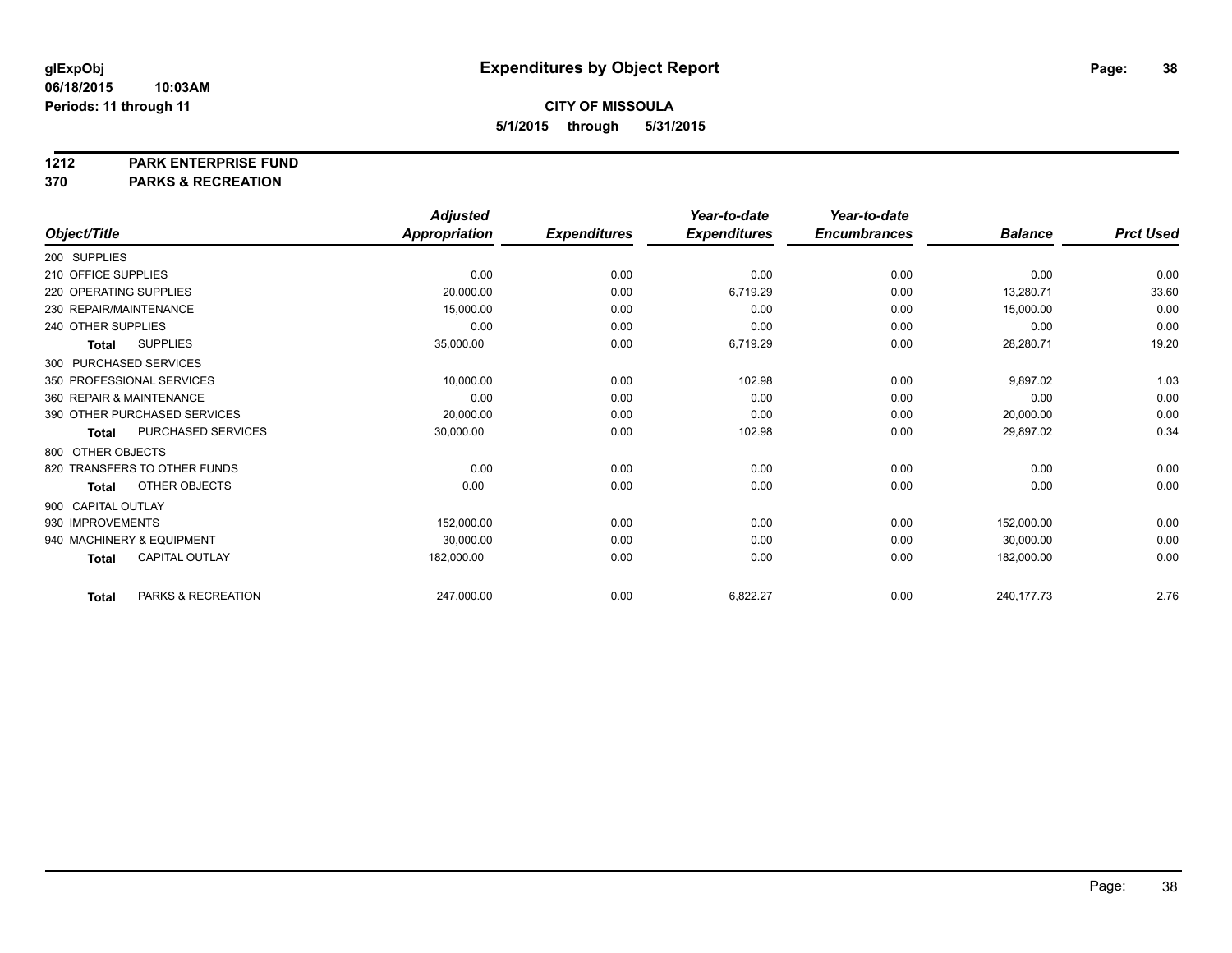#### **1212 PARK ENTERPRISE FUND**

**370 PARKS & RECREATION**

|                              |                           | <b>Adjusted</b>      |                     | Year-to-date        | Year-to-date        |                |                  |
|------------------------------|---------------------------|----------------------|---------------------|---------------------|---------------------|----------------|------------------|
| Object/Title                 |                           | <b>Appropriation</b> | <b>Expenditures</b> | <b>Expenditures</b> | <b>Encumbrances</b> | <b>Balance</b> | <b>Prct Used</b> |
| 200 SUPPLIES                 |                           |                      |                     |                     |                     |                |                  |
| 210 OFFICE SUPPLIES          |                           | 0.00                 | 0.00                | 0.00                | 0.00                | 0.00           | 0.00             |
| 220 OPERATING SUPPLIES       |                           | 20,000.00            | 0.00                | 6,719.29            | 0.00                | 13,280.71      | 33.60            |
| 230 REPAIR/MAINTENANCE       |                           | 15,000.00            | 0.00                | 0.00                | 0.00                | 15,000.00      | 0.00             |
| 240 OTHER SUPPLIES           |                           | 0.00                 | 0.00                | 0.00                | 0.00                | 0.00           | 0.00             |
| <b>Total</b>                 | <b>SUPPLIES</b>           | 35,000.00            | 0.00                | 6,719.29            | 0.00                | 28,280.71      | 19.20            |
| 300 PURCHASED SERVICES       |                           |                      |                     |                     |                     |                |                  |
| 350 PROFESSIONAL SERVICES    |                           | 10,000.00            | 0.00                | 102.98              | 0.00                | 9,897.02       | 1.03             |
| 360 REPAIR & MAINTENANCE     |                           | 0.00                 | 0.00                | 0.00                | 0.00                | 0.00           | 0.00             |
| 390 OTHER PURCHASED SERVICES |                           | 20,000.00            | 0.00                | 0.00                | 0.00                | 20,000.00      | 0.00             |
| <b>Total</b>                 | <b>PURCHASED SERVICES</b> | 30,000.00            | 0.00                | 102.98              | 0.00                | 29,897.02      | 0.34             |
| 800 OTHER OBJECTS            |                           |                      |                     |                     |                     |                |                  |
| 820 TRANSFERS TO OTHER FUNDS |                           | 0.00                 | 0.00                | 0.00                | 0.00                | 0.00           | 0.00             |
| <b>Total</b>                 | OTHER OBJECTS             | 0.00                 | 0.00                | 0.00                | 0.00                | 0.00           | 0.00             |
| 900 CAPITAL OUTLAY           |                           |                      |                     |                     |                     |                |                  |
| 930 IMPROVEMENTS             |                           | 152,000.00           | 0.00                | 0.00                | 0.00                | 152,000.00     | 0.00             |
| 940 MACHINERY & EQUIPMENT    |                           | 30.000.00            | 0.00                | 0.00                | 0.00                | 30,000.00      | 0.00             |
| <b>Total</b>                 | <b>CAPITAL OUTLAY</b>     | 182,000.00           | 0.00                | 0.00                | 0.00                | 182,000.00     | 0.00             |
| <b>Total</b>                 | PARKS & RECREATION        | 247,000.00           | 0.00                | 6,822.27            | 0.00                | 240, 177. 73   | 2.76             |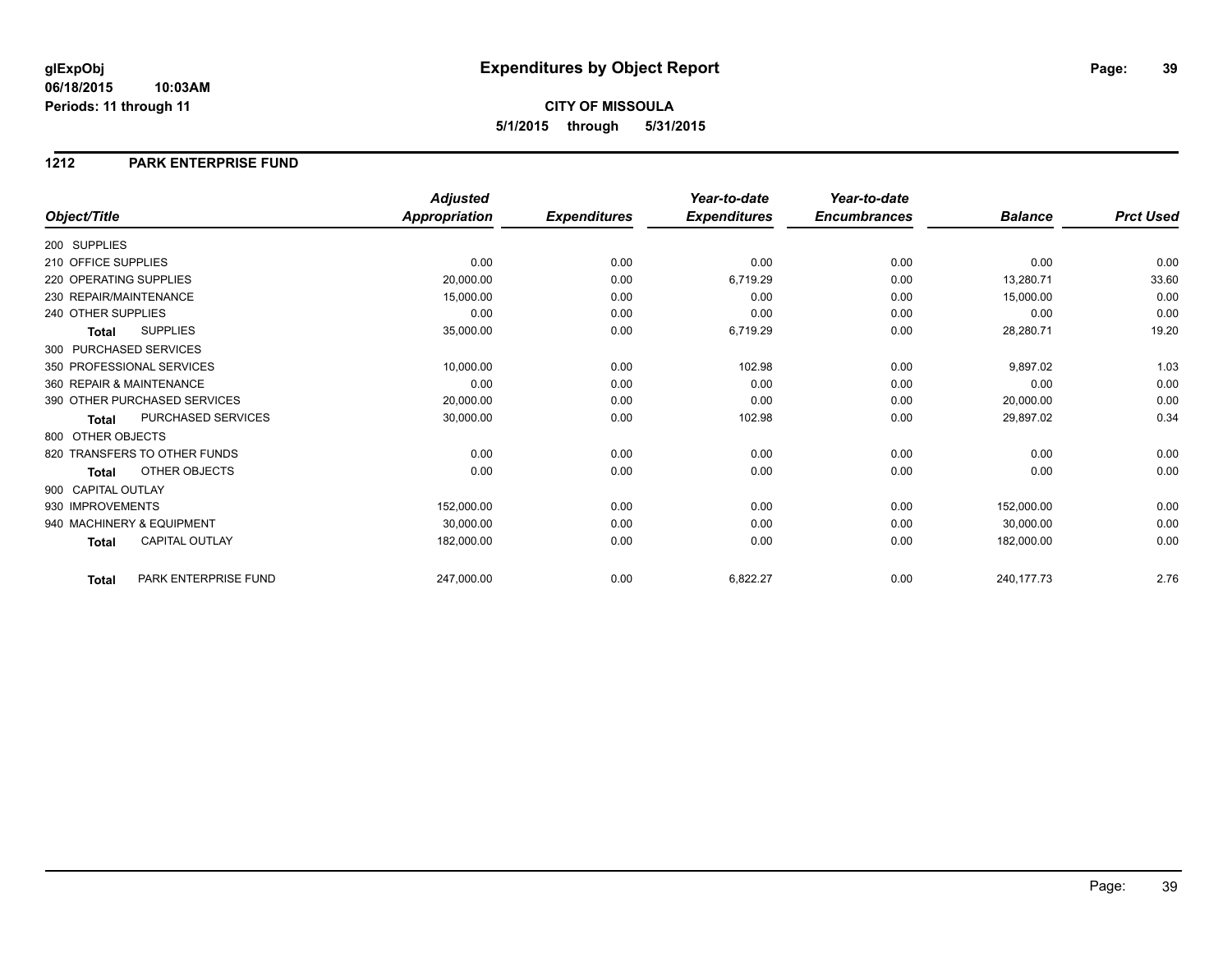### **1212 PARK ENTERPRISE FUND**

|                        |                              | <b>Adjusted</b>      |                     | Year-to-date        | Year-to-date        |                |                  |
|------------------------|------------------------------|----------------------|---------------------|---------------------|---------------------|----------------|------------------|
| Object/Title           |                              | <b>Appropriation</b> | <b>Expenditures</b> | <b>Expenditures</b> | <b>Encumbrances</b> | <b>Balance</b> | <b>Prct Used</b> |
| 200 SUPPLIES           |                              |                      |                     |                     |                     |                |                  |
| 210 OFFICE SUPPLIES    |                              | 0.00                 | 0.00                | 0.00                | 0.00                | 0.00           | 0.00             |
| 220 OPERATING SUPPLIES |                              | 20,000.00            | 0.00                | 6,719.29            | 0.00                | 13,280.71      | 33.60            |
| 230 REPAIR/MAINTENANCE |                              | 15,000.00            | 0.00                | 0.00                | 0.00                | 15,000.00      | 0.00             |
| 240 OTHER SUPPLIES     |                              | 0.00                 | 0.00                | 0.00                | 0.00                | 0.00           | 0.00             |
| Total                  | <b>SUPPLIES</b>              | 35,000.00            | 0.00                | 6,719.29            | 0.00                | 28,280.71      | 19.20            |
| 300 PURCHASED SERVICES |                              |                      |                     |                     |                     |                |                  |
|                        | 350 PROFESSIONAL SERVICES    | 10,000.00            | 0.00                | 102.98              | 0.00                | 9,897.02       | 1.03             |
|                        | 360 REPAIR & MAINTENANCE     | 0.00                 | 0.00                | 0.00                | 0.00                | 0.00           | 0.00             |
|                        | 390 OTHER PURCHASED SERVICES | 20,000.00            | 0.00                | 0.00                | 0.00                | 20,000.00      | 0.00             |
| Total                  | PURCHASED SERVICES           | 30,000.00            | 0.00                | 102.98              | 0.00                | 29,897.02      | 0.34             |
| 800 OTHER OBJECTS      |                              |                      |                     |                     |                     |                |                  |
|                        | 820 TRANSFERS TO OTHER FUNDS | 0.00                 | 0.00                | 0.00                | 0.00                | 0.00           | 0.00             |
| <b>Total</b>           | OTHER OBJECTS                | 0.00                 | 0.00                | 0.00                | 0.00                | 0.00           | 0.00             |
| 900 CAPITAL OUTLAY     |                              |                      |                     |                     |                     |                |                  |
| 930 IMPROVEMENTS       |                              | 152,000.00           | 0.00                | 0.00                | 0.00                | 152,000.00     | 0.00             |
|                        | 940 MACHINERY & EQUIPMENT    | 30,000.00            | 0.00                | 0.00                | 0.00                | 30,000.00      | 0.00             |
| <b>Total</b>           | <b>CAPITAL OUTLAY</b>        | 182,000.00           | 0.00                | 0.00                | 0.00                | 182,000.00     | 0.00             |
| Total                  | PARK ENTERPRISE FUND         | 247,000.00           | 0.00                | 6,822.27            | 0.00                | 240,177.73     | 2.76             |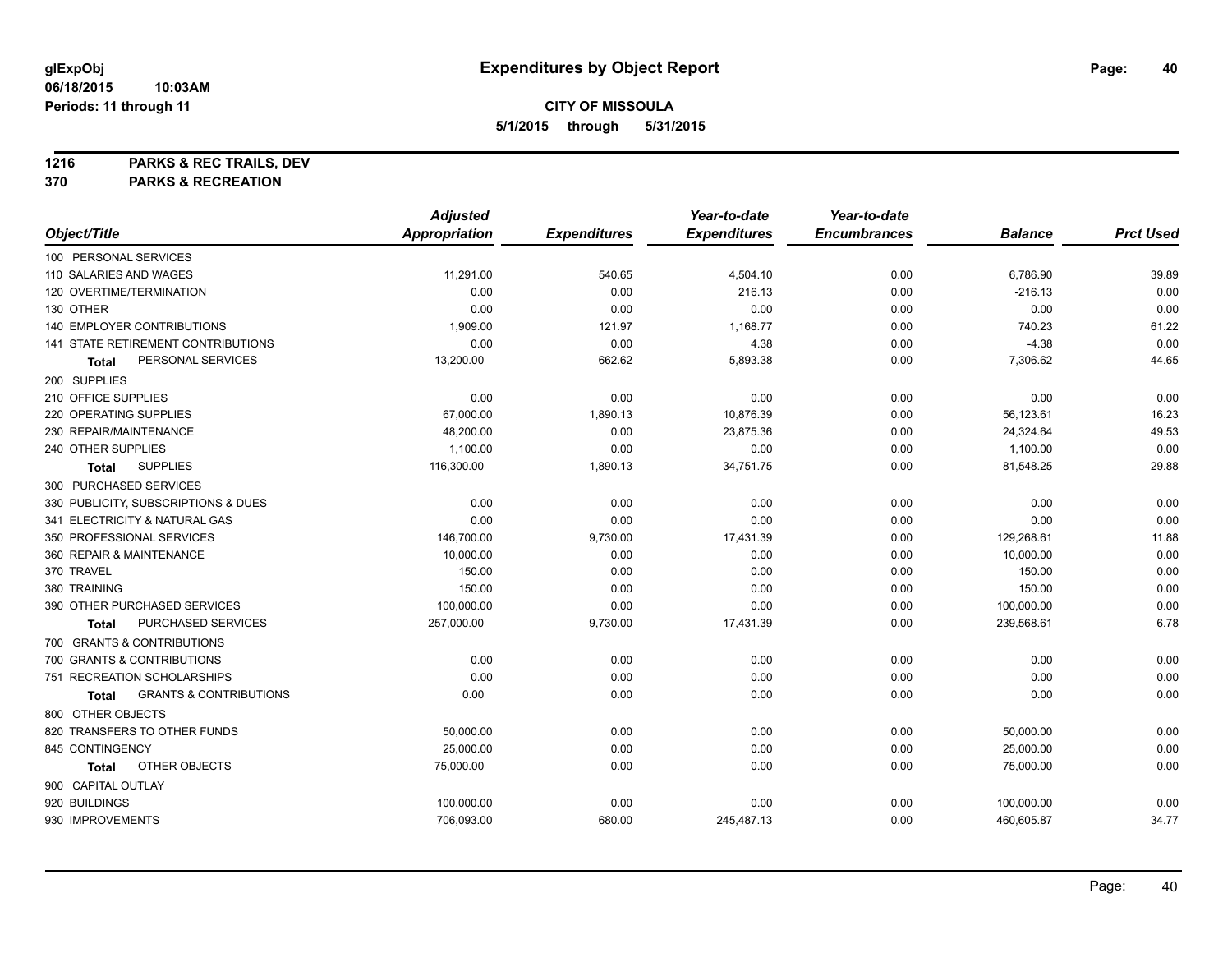**1216 PARKS & REC TRAILS, DEV**

**370 PARKS & RECREATION**

|                                                   | <b>Adjusted</b>      |                     | Year-to-date        | Year-to-date        |                |                  |
|---------------------------------------------------|----------------------|---------------------|---------------------|---------------------|----------------|------------------|
| Object/Title                                      | <b>Appropriation</b> | <b>Expenditures</b> | <b>Expenditures</b> | <b>Encumbrances</b> | <b>Balance</b> | <b>Prct Used</b> |
| 100 PERSONAL SERVICES                             |                      |                     |                     |                     |                |                  |
| 110 SALARIES AND WAGES                            | 11,291.00            | 540.65              | 4,504.10            | 0.00                | 6,786.90       | 39.89            |
| 120 OVERTIME/TERMINATION                          | 0.00                 | 0.00                | 216.13              | 0.00                | $-216.13$      | 0.00             |
| 130 OTHER                                         | 0.00                 | 0.00                | 0.00                | 0.00                | 0.00           | 0.00             |
| <b>140 EMPLOYER CONTRIBUTIONS</b>                 | 1,909.00             | 121.97              | 1,168.77            | 0.00                | 740.23         | 61.22            |
| <b>141 STATE RETIREMENT CONTRIBUTIONS</b>         | 0.00                 | 0.00                | 4.38                | 0.00                | $-4.38$        | 0.00             |
| PERSONAL SERVICES<br>Total                        | 13,200.00            | 662.62              | 5,893.38            | 0.00                | 7,306.62       | 44.65            |
| 200 SUPPLIES                                      |                      |                     |                     |                     |                |                  |
| 210 OFFICE SUPPLIES                               | 0.00                 | 0.00                | 0.00                | 0.00                | 0.00           | 0.00             |
| 220 OPERATING SUPPLIES                            | 67,000.00            | 1,890.13            | 10,876.39           | 0.00                | 56,123.61      | 16.23            |
| 230 REPAIR/MAINTENANCE                            | 48,200.00            | 0.00                | 23,875.36           | 0.00                | 24,324.64      | 49.53            |
| 240 OTHER SUPPLIES                                | 1,100.00             | 0.00                | 0.00                | 0.00                | 1,100.00       | 0.00             |
| <b>SUPPLIES</b><br><b>Total</b>                   | 116,300.00           | 1,890.13            | 34,751.75           | 0.00                | 81,548.25      | 29.88            |
| 300 PURCHASED SERVICES                            |                      |                     |                     |                     |                |                  |
| 330 PUBLICITY, SUBSCRIPTIONS & DUES               | 0.00                 | 0.00                | 0.00                | 0.00                | 0.00           | 0.00             |
| 341 ELECTRICITY & NATURAL GAS                     | 0.00                 | 0.00                | 0.00                | 0.00                | 0.00           | 0.00             |
| 350 PROFESSIONAL SERVICES                         | 146,700.00           | 9,730.00            | 17,431.39           | 0.00                | 129,268.61     | 11.88            |
| 360 REPAIR & MAINTENANCE                          | 10,000.00            | 0.00                | 0.00                | 0.00                | 10,000.00      | 0.00             |
| 370 TRAVEL                                        | 150.00               | 0.00                | 0.00                | 0.00                | 150.00         | 0.00             |
| 380 TRAINING                                      | 150.00               | 0.00                | 0.00                | 0.00                | 150.00         | 0.00             |
| 390 OTHER PURCHASED SERVICES                      | 100,000.00           | 0.00                | 0.00                | 0.00                | 100,000.00     | 0.00             |
| PURCHASED SERVICES<br>Total                       | 257,000.00           | 9,730.00            | 17,431.39           | 0.00                | 239,568.61     | 6.78             |
| 700 GRANTS & CONTRIBUTIONS                        |                      |                     |                     |                     |                |                  |
| 700 GRANTS & CONTRIBUTIONS                        | 0.00                 | 0.00                | 0.00                | 0.00                | 0.00           | 0.00             |
| 751 RECREATION SCHOLARSHIPS                       | 0.00                 | 0.00                | 0.00                | 0.00                | 0.00           | 0.00             |
| <b>GRANTS &amp; CONTRIBUTIONS</b><br><b>Total</b> | 0.00                 | 0.00                | 0.00                | 0.00                | 0.00           | 0.00             |
| 800 OTHER OBJECTS                                 |                      |                     |                     |                     |                |                  |
| 820 TRANSFERS TO OTHER FUNDS                      | 50,000.00            | 0.00                | 0.00                | 0.00                | 50,000.00      | 0.00             |
| 845 CONTINGENCY                                   | 25,000.00            | 0.00                | 0.00                | 0.00                | 25,000.00      | 0.00             |
| OTHER OBJECTS<br>Total                            | 75,000.00            | 0.00                | 0.00                | 0.00                | 75,000.00      | 0.00             |
| 900 CAPITAL OUTLAY                                |                      |                     |                     |                     |                |                  |
| 920 BUILDINGS                                     | 100,000.00           | 0.00                | 0.00                | 0.00                | 100,000.00     | 0.00             |
| 930 IMPROVEMENTS                                  | 706,093.00           | 680.00              | 245,487.13          | 0.00                | 460,605.87     | 34.77            |
|                                                   |                      |                     |                     |                     |                |                  |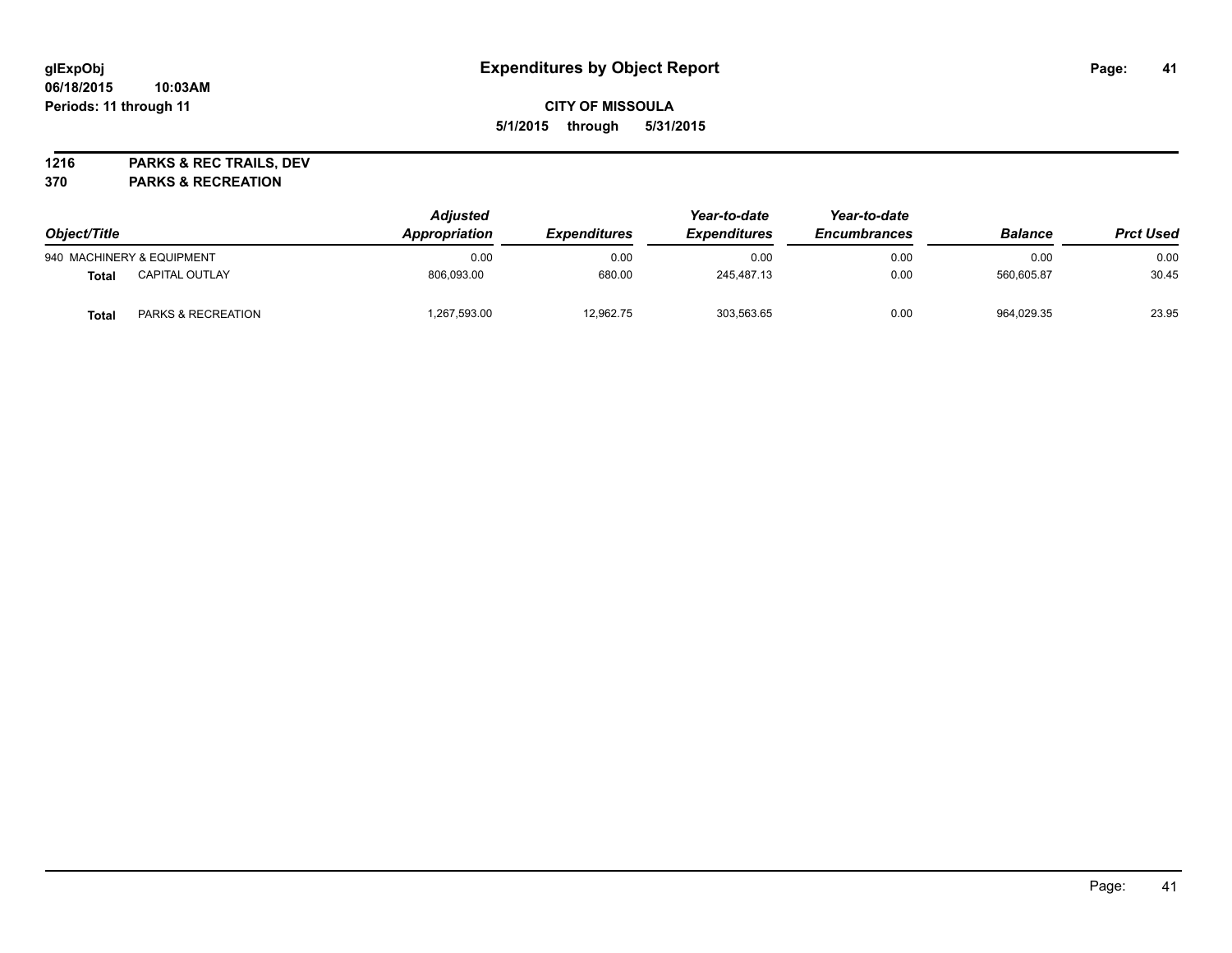**1216 PARKS & REC TRAILS, DEV**

**370 PARKS & RECREATION**

| Object/Title |                               | <b>Adjusted</b><br>Appropriation | <i><b>Expenditures</b></i> | Year-to-date<br><b>Expenditures</b> | Year-to-date<br>Encumbrances | <b>Balance</b> | <b>Prct Used</b> |
|--------------|-------------------------------|----------------------------------|----------------------------|-------------------------------------|------------------------------|----------------|------------------|
|              | 940 MACHINERY & EQUIPMENT     | 0.00                             | 0.00                       | 0.00                                | 0.00                         | 0.00           | 0.00             |
| Total        | <b>CAPITAL OUTLAY</b>         | 806.093.00                       | 680.00                     | 245.487.13                          | 0.00                         | 560.605.87     | 30.45            |
| Total        | <b>PARKS &amp; RECREATION</b> | ,267,593.00                      | 12.962.75                  | 303,563.65                          | 0.00                         | 964.029.35     | 23.95            |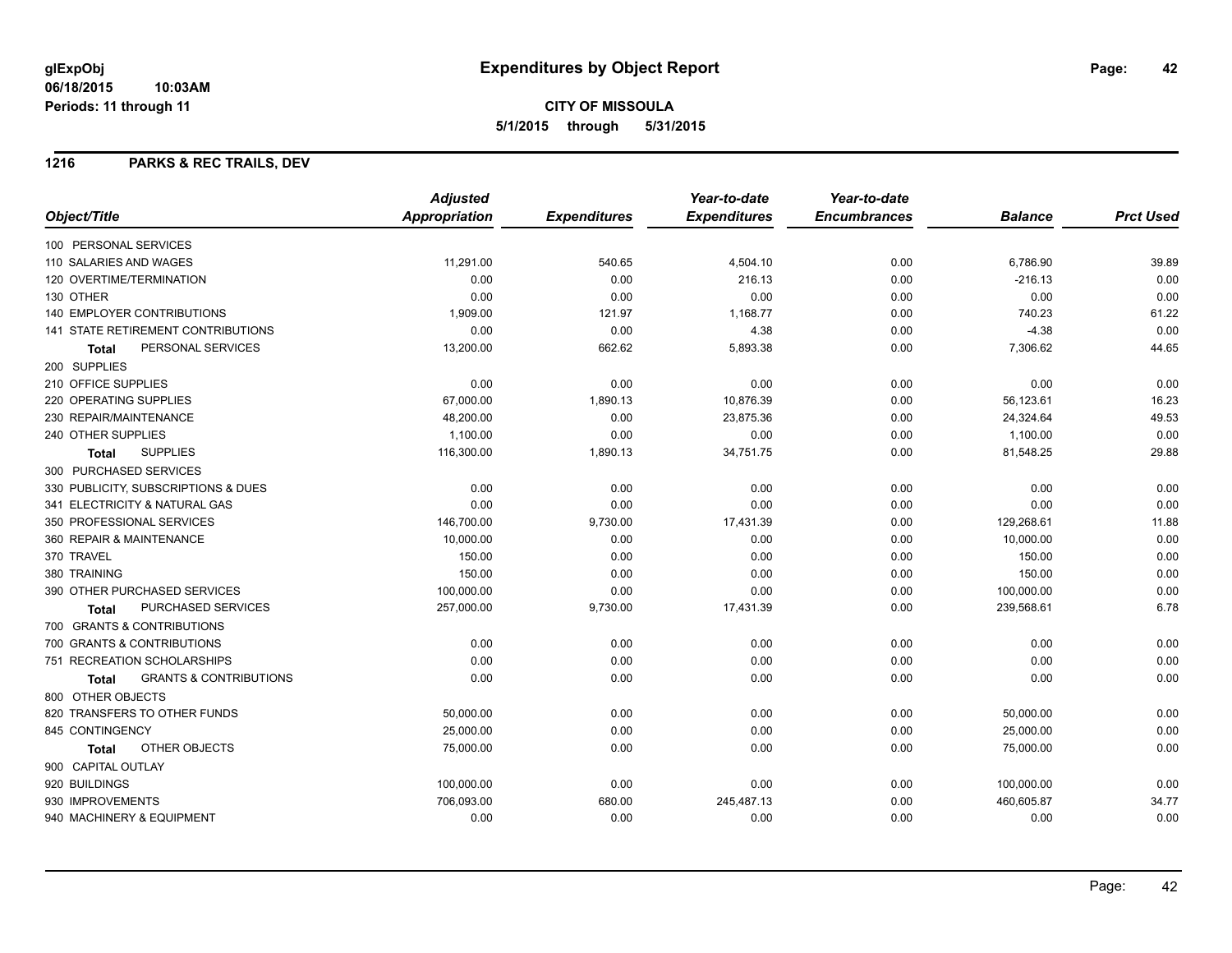**CITY OF MISSOULA 5/1/2015 through 5/31/2015**

### **1216 PARKS & REC TRAILS, DEV**

|                                                   | <b>Adjusted</b>      |                     | Year-to-date        | Year-to-date        |                |                  |
|---------------------------------------------------|----------------------|---------------------|---------------------|---------------------|----------------|------------------|
| Object/Title                                      | <b>Appropriation</b> | <b>Expenditures</b> | <b>Expenditures</b> | <b>Encumbrances</b> | <b>Balance</b> | <b>Prct Used</b> |
| 100 PERSONAL SERVICES                             |                      |                     |                     |                     |                |                  |
| 110 SALARIES AND WAGES                            | 11,291.00            | 540.65              | 4,504.10            | 0.00                | 6,786.90       | 39.89            |
| <b>120 OVERTIME/TERMINATION</b>                   | 0.00                 | 0.00                | 216.13              | 0.00                | $-216.13$      | 0.00             |
| 130 OTHER                                         | 0.00                 | 0.00                | 0.00                | 0.00                | 0.00           | 0.00             |
| <b>140 EMPLOYER CONTRIBUTIONS</b>                 | 1,909.00             | 121.97              | 1,168.77            | 0.00                | 740.23         | 61.22            |
| <b>141 STATE RETIREMENT CONTRIBUTIONS</b>         | 0.00                 | 0.00                | 4.38                | 0.00                | $-4.38$        | 0.00             |
| PERSONAL SERVICES<br>Total                        | 13,200.00            | 662.62              | 5,893.38            | 0.00                | 7,306.62       | 44.65            |
| 200 SUPPLIES                                      |                      |                     |                     |                     |                |                  |
| 210 OFFICE SUPPLIES                               | 0.00                 | 0.00                | 0.00                | 0.00                | 0.00           | 0.00             |
| 220 OPERATING SUPPLIES                            | 67,000.00            | 1,890.13            | 10,876.39           | 0.00                | 56,123.61      | 16.23            |
| 230 REPAIR/MAINTENANCE                            | 48,200.00            | 0.00                | 23,875.36           | 0.00                | 24,324.64      | 49.53            |
| 240 OTHER SUPPLIES                                | 1,100.00             | 0.00                | 0.00                | 0.00                | 1,100.00       | 0.00             |
| <b>SUPPLIES</b><br><b>Total</b>                   | 116,300.00           | 1,890.13            | 34,751.75           | 0.00                | 81,548.25      | 29.88            |
| 300 PURCHASED SERVICES                            |                      |                     |                     |                     |                |                  |
| 330 PUBLICITY, SUBSCRIPTIONS & DUES               | 0.00                 | 0.00                | 0.00                | 0.00                | 0.00           | 0.00             |
| 341 ELECTRICITY & NATURAL GAS                     | 0.00                 | 0.00                | 0.00                | 0.00                | 0.00           | 0.00             |
| 350 PROFESSIONAL SERVICES                         | 146,700.00           | 9,730.00            | 17,431.39           | 0.00                | 129,268.61     | 11.88            |
| 360 REPAIR & MAINTENANCE                          | 10,000.00            | 0.00                | 0.00                | 0.00                | 10,000.00      | 0.00             |
| 370 TRAVEL                                        | 150.00               | 0.00                | 0.00                | 0.00                | 150.00         | 0.00             |
| 380 TRAINING                                      | 150.00               | 0.00                | 0.00                | 0.00                | 150.00         | 0.00             |
| 390 OTHER PURCHASED SERVICES                      | 100,000.00           | 0.00                | 0.00                | 0.00                | 100,000.00     | 0.00             |
| <b>PURCHASED SERVICES</b><br><b>Total</b>         | 257,000.00           | 9,730.00            | 17,431.39           | 0.00                | 239,568.61     | 6.78             |
| 700 GRANTS & CONTRIBUTIONS                        |                      |                     |                     |                     |                |                  |
| 700 GRANTS & CONTRIBUTIONS                        | 0.00                 | 0.00                | 0.00                | 0.00                | 0.00           | 0.00             |
| 751 RECREATION SCHOLARSHIPS                       | 0.00                 | 0.00                | 0.00                | 0.00                | 0.00           | 0.00             |
| <b>GRANTS &amp; CONTRIBUTIONS</b><br><b>Total</b> | 0.00                 | 0.00                | 0.00                | 0.00                | 0.00           | 0.00             |
| 800 OTHER OBJECTS                                 |                      |                     |                     |                     |                |                  |
| 820 TRANSFERS TO OTHER FUNDS                      | 50,000.00            | 0.00                | 0.00                | 0.00                | 50,000.00      | 0.00             |
| 845 CONTINGENCY                                   | 25,000.00            | 0.00                | 0.00                | 0.00                | 25,000.00      | 0.00             |
| OTHER OBJECTS<br>Total                            | 75,000.00            | 0.00                | 0.00                | 0.00                | 75,000.00      | 0.00             |
| 900 CAPITAL OUTLAY                                |                      |                     |                     |                     |                |                  |
| 920 BUILDINGS                                     | 100,000.00           | 0.00                | 0.00                | 0.00                | 100,000.00     | 0.00             |
| 930 IMPROVEMENTS                                  | 706.093.00           | 680.00              | 245,487.13          | 0.00                | 460,605.87     | 34.77            |
| 940 MACHINERY & EQUIPMENT                         | 0.00                 | 0.00                | 0.00                | 0.00                | 0.00           | 0.00             |
|                                                   |                      |                     |                     |                     |                |                  |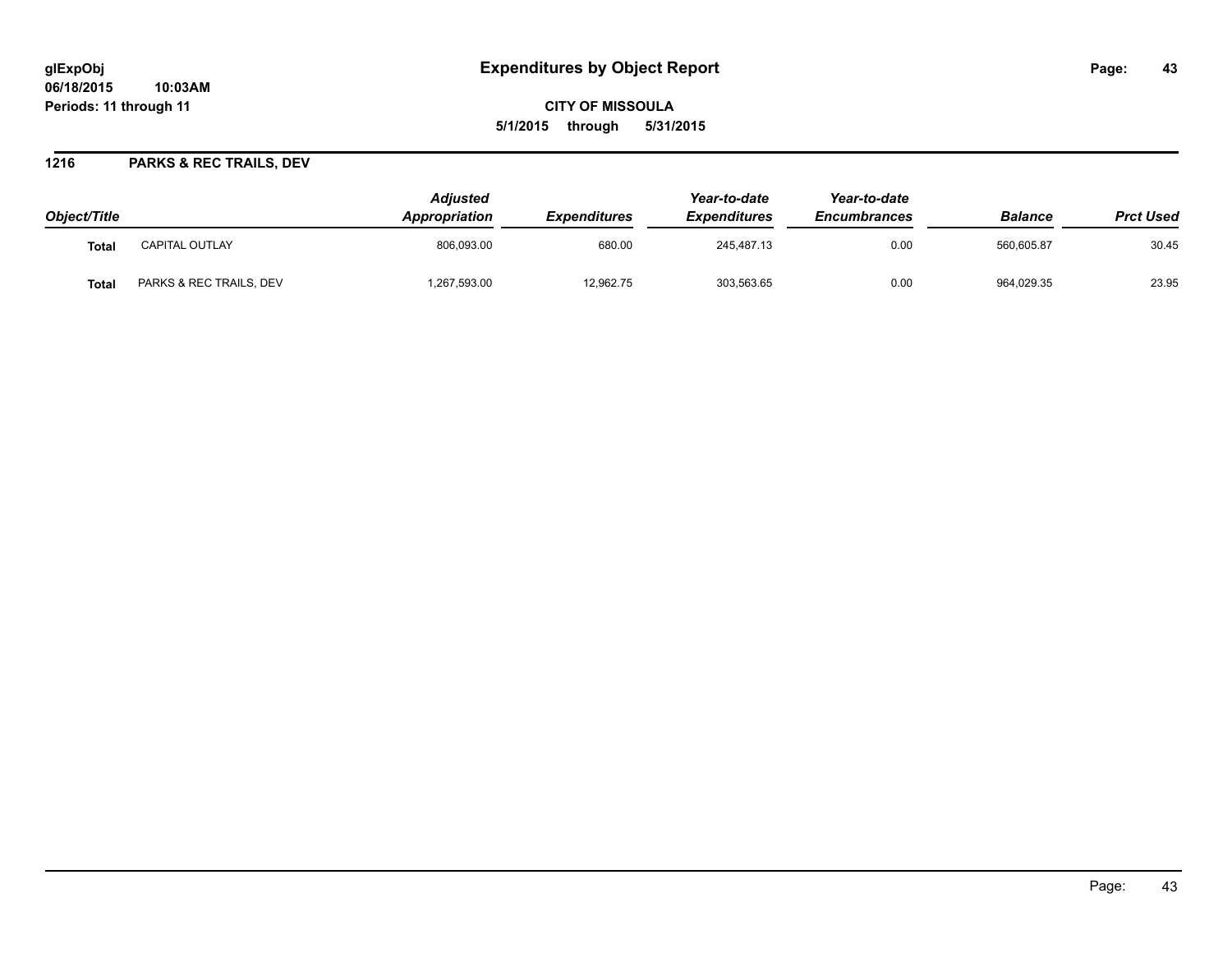**CITY OF MISSOULA 5/1/2015 through 5/31/2015**

### **1216 PARKS & REC TRAILS, DEV**

| Object/Title |                         | <b>Adjusted</b><br>Appropriation | <b>Expenditures</b> | Year-to-date<br><i><b>Expenditures</b></i> | Year-to-date<br><b>Encumbrances</b> | <b>Balance</b> | <b>Prct Used</b> |
|--------------|-------------------------|----------------------------------|---------------------|--------------------------------------------|-------------------------------------|----------------|------------------|
| Total        | <b>CAPITAL OUTLAY</b>   | 806.093.00                       | 680.00              | 245.487.13                                 | 0.00                                | 560.605.87     | 30.45            |
| <b>Total</b> | PARKS & REC TRAILS, DEV | ,267,593.00                      | 12,962.75           | 303,563.65                                 | 0.00                                | 964,029.35     | 23.95            |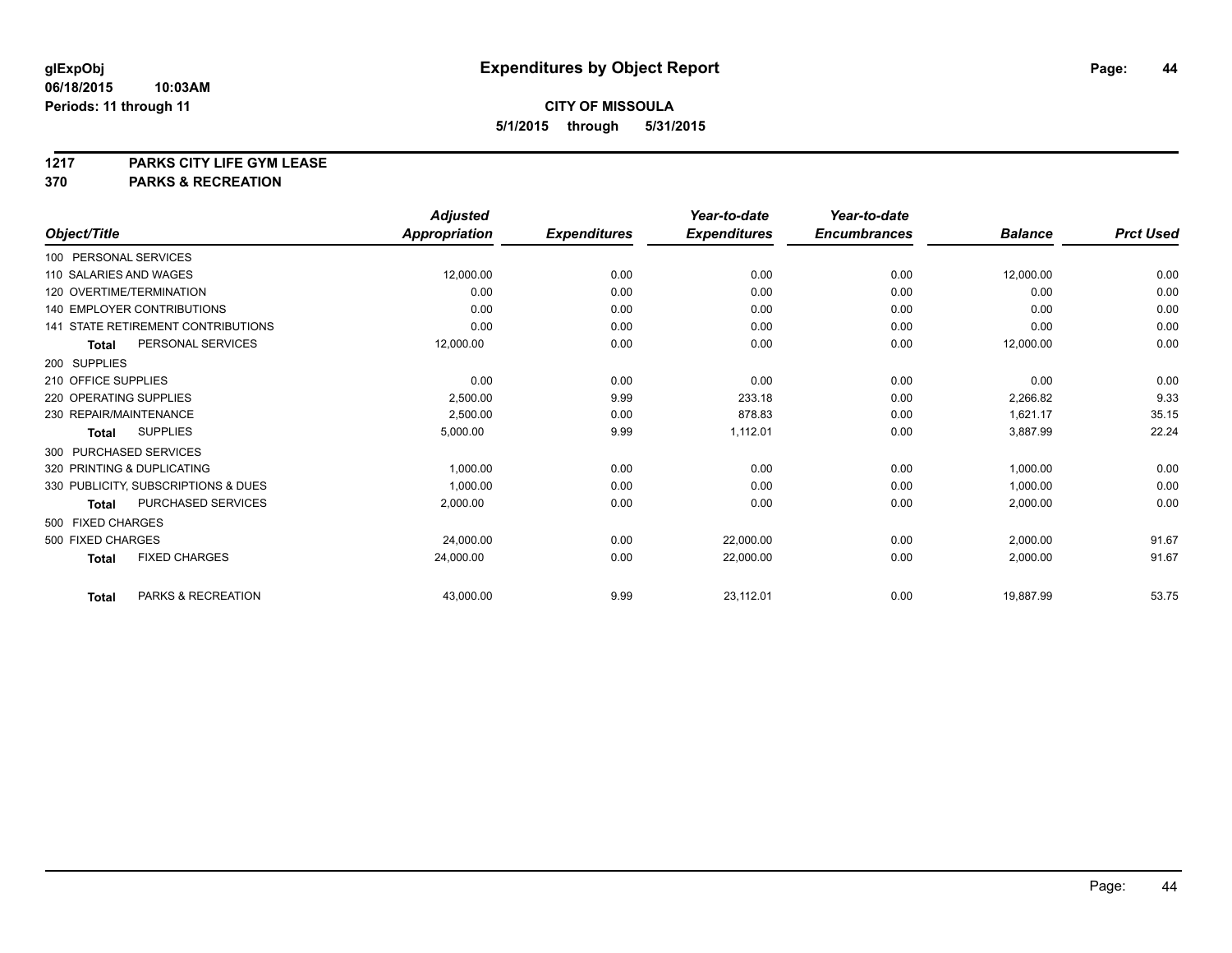# **1217 PARKS CITY LIFE GYM LEASE**

### **370 PARKS & RECREATION**

|                        |                                           | <b>Adjusted</b>      |                     | Year-to-date        | Year-to-date        |                |                  |
|------------------------|-------------------------------------------|----------------------|---------------------|---------------------|---------------------|----------------|------------------|
| Object/Title           |                                           | <b>Appropriation</b> | <b>Expenditures</b> | <b>Expenditures</b> | <b>Encumbrances</b> | <b>Balance</b> | <b>Prct Used</b> |
| 100 PERSONAL SERVICES  |                                           |                      |                     |                     |                     |                |                  |
| 110 SALARIES AND WAGES |                                           | 12,000.00            | 0.00                | 0.00                | 0.00                | 12,000.00      | 0.00             |
|                        | 120 OVERTIME/TERMINATION                  | 0.00                 | 0.00                | 0.00                | 0.00                | 0.00           | 0.00             |
|                        | <b>140 EMPLOYER CONTRIBUTIONS</b>         | 0.00                 | 0.00                | 0.00                | 0.00                | 0.00           | 0.00             |
|                        | <b>141 STATE RETIREMENT CONTRIBUTIONS</b> | 0.00                 | 0.00                | 0.00                | 0.00                | 0.00           | 0.00             |
| <b>Total</b>           | PERSONAL SERVICES                         | 12,000.00            | 0.00                | 0.00                | 0.00                | 12,000.00      | 0.00             |
| 200 SUPPLIES           |                                           |                      |                     |                     |                     |                |                  |
| 210 OFFICE SUPPLIES    |                                           | 0.00                 | 0.00                | 0.00                | 0.00                | 0.00           | 0.00             |
| 220 OPERATING SUPPLIES |                                           | 2,500.00             | 9.99                | 233.18              | 0.00                | 2,266.82       | 9.33             |
| 230 REPAIR/MAINTENANCE |                                           | 2,500.00             | 0.00                | 878.83              | 0.00                | 1,621.17       | 35.15            |
| Total                  | <b>SUPPLIES</b>                           | 5,000.00             | 9.99                | 1,112.01            | 0.00                | 3,887.99       | 22.24            |
| 300 PURCHASED SERVICES |                                           |                      |                     |                     |                     |                |                  |
|                        | 320 PRINTING & DUPLICATING                | 1,000.00             | 0.00                | 0.00                | 0.00                | 1,000.00       | 0.00             |
|                        | 330 PUBLICITY, SUBSCRIPTIONS & DUES       | 1,000.00             | 0.00                | 0.00                | 0.00                | 1,000.00       | 0.00             |
| <b>Total</b>           | PURCHASED SERVICES                        | 2,000.00             | 0.00                | 0.00                | 0.00                | 2,000.00       | 0.00             |
| 500 FIXED CHARGES      |                                           |                      |                     |                     |                     |                |                  |
| 500 FIXED CHARGES      |                                           | 24,000.00            | 0.00                | 22,000.00           | 0.00                | 2,000.00       | 91.67            |
| <b>Total</b>           | <b>FIXED CHARGES</b>                      | 24,000.00            | 0.00                | 22,000.00           | 0.00                | 2,000.00       | 91.67            |
| <b>Total</b>           | PARKS & RECREATION                        | 43,000.00            | 9.99                | 23,112.01           | 0.00                | 19,887.99      | 53.75            |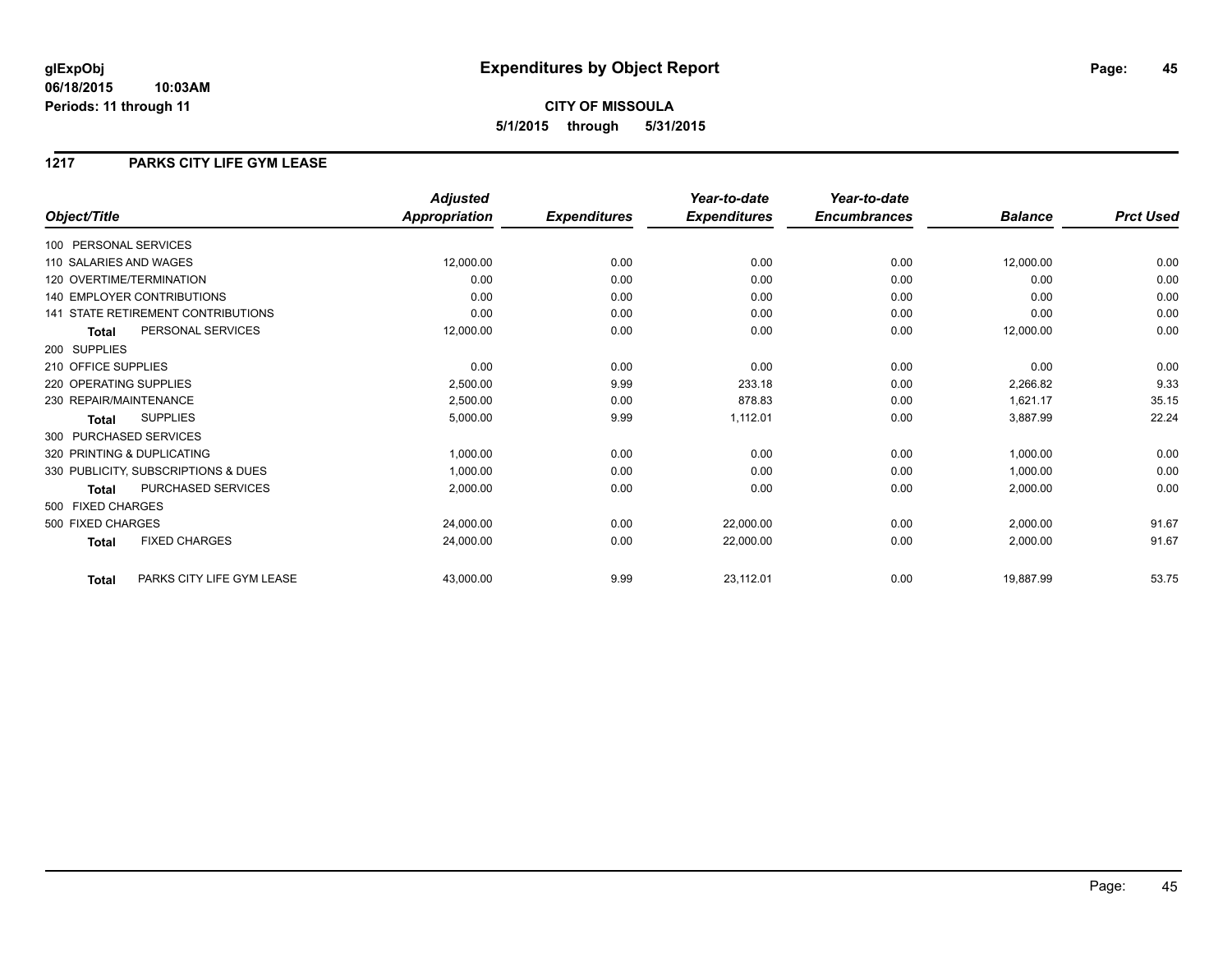**CITY OF MISSOULA 5/1/2015 through 5/31/2015**

### **1217 PARKS CITY LIFE GYM LEASE**

|                                           | <b>Adjusted</b>      |                     | Year-to-date        | Year-to-date        |                |                  |
|-------------------------------------------|----------------------|---------------------|---------------------|---------------------|----------------|------------------|
| Object/Title                              | <b>Appropriation</b> | <b>Expenditures</b> | <b>Expenditures</b> | <b>Encumbrances</b> | <b>Balance</b> | <b>Prct Used</b> |
| 100 PERSONAL SERVICES                     |                      |                     |                     |                     |                |                  |
| 110 SALARIES AND WAGES                    | 12,000.00            | 0.00                | 0.00                | 0.00                | 12,000.00      | 0.00             |
| 120 OVERTIME/TERMINATION                  | 0.00                 | 0.00                | 0.00                | 0.00                | 0.00           | 0.00             |
| 140 EMPLOYER CONTRIBUTIONS                | 0.00                 | 0.00                | 0.00                | 0.00                | 0.00           | 0.00             |
| 141 STATE RETIREMENT CONTRIBUTIONS        | 0.00                 | 0.00                | 0.00                | 0.00                | 0.00           | 0.00             |
| PERSONAL SERVICES<br><b>Total</b>         | 12,000.00            | 0.00                | 0.00                | 0.00                | 12,000.00      | 0.00             |
| 200 SUPPLIES                              |                      |                     |                     |                     |                |                  |
| 210 OFFICE SUPPLIES                       | 0.00                 | 0.00                | 0.00                | 0.00                | 0.00           | 0.00             |
| 220 OPERATING SUPPLIES                    | 2,500.00             | 9.99                | 233.18              | 0.00                | 2,266.82       | 9.33             |
| 230 REPAIR/MAINTENANCE                    | 2,500.00             | 0.00                | 878.83              | 0.00                | 1,621.17       | 35.15            |
| <b>SUPPLIES</b><br><b>Total</b>           | 5,000.00             | 9.99                | 1,112.01            | 0.00                | 3,887.99       | 22.24            |
| 300 PURCHASED SERVICES                    |                      |                     |                     |                     |                |                  |
| 320 PRINTING & DUPLICATING                | 1,000.00             | 0.00                | 0.00                | 0.00                | 1,000.00       | 0.00             |
| 330 PUBLICITY, SUBSCRIPTIONS & DUES       | 1,000.00             | 0.00                | 0.00                | 0.00                | 1,000.00       | 0.00             |
| <b>PURCHASED SERVICES</b><br><b>Total</b> | 2,000.00             | 0.00                | 0.00                | 0.00                | 2,000.00       | 0.00             |
| 500 FIXED CHARGES                         |                      |                     |                     |                     |                |                  |
| 500 FIXED CHARGES                         | 24,000.00            | 0.00                | 22,000.00           | 0.00                | 2,000.00       | 91.67            |
| <b>FIXED CHARGES</b><br><b>Total</b>      | 24,000.00            | 0.00                | 22,000.00           | 0.00                | 2,000.00       | 91.67            |
| PARKS CITY LIFE GYM LEASE<br><b>Total</b> | 43,000.00            | 9.99                | 23,112.01           | 0.00                | 19,887.99      | 53.75            |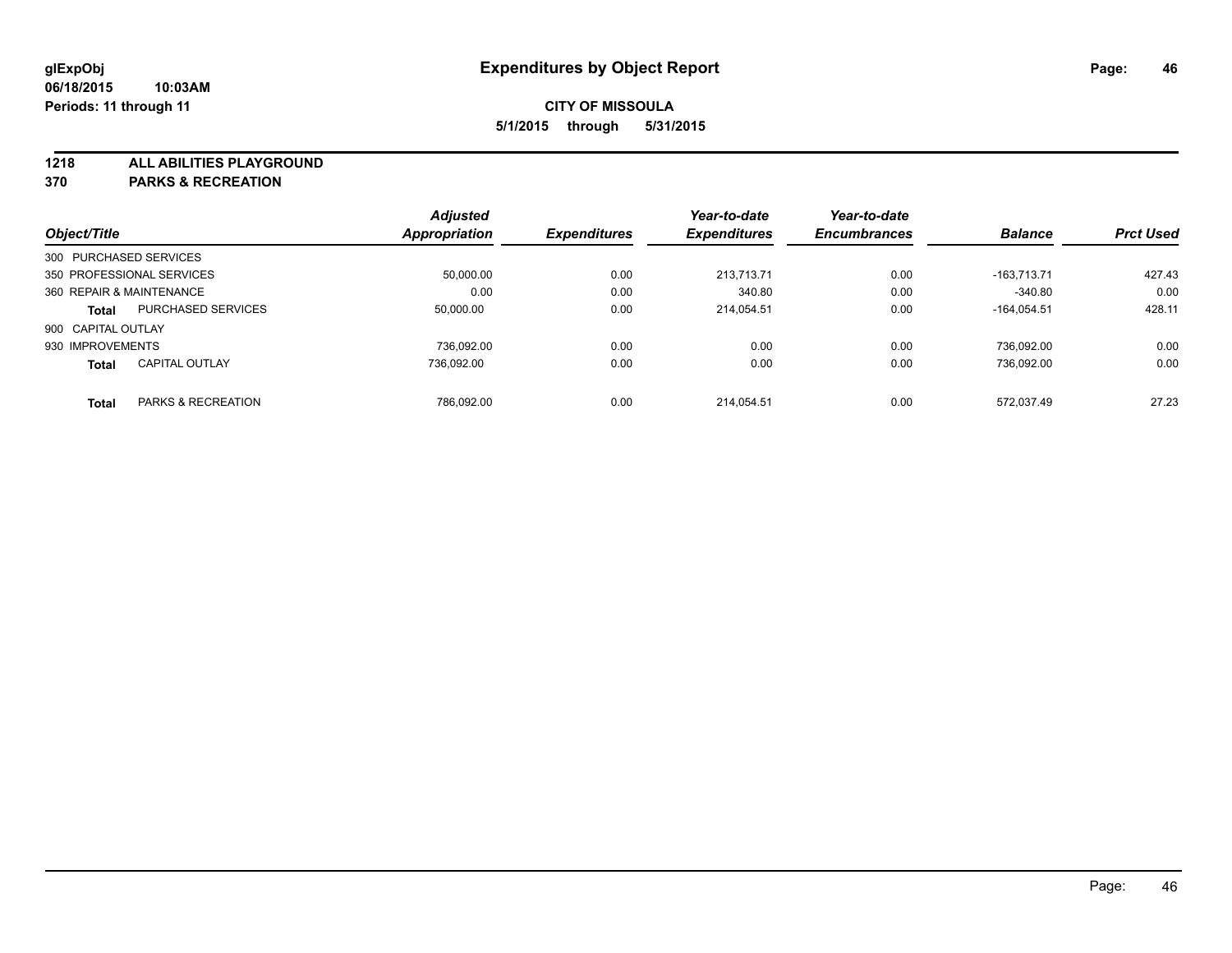**1218 ALL ABILITIES PLAYGROUND**

**370 PARKS & RECREATION**

|                          |                           | <b>Adjusted</b>      |                     | Year-to-date        | Year-to-date        |                |                  |
|--------------------------|---------------------------|----------------------|---------------------|---------------------|---------------------|----------------|------------------|
| Object/Title             |                           | <b>Appropriation</b> | <b>Expenditures</b> | <b>Expenditures</b> | <b>Encumbrances</b> | <b>Balance</b> | <b>Prct Used</b> |
| 300 PURCHASED SERVICES   |                           |                      |                     |                     |                     |                |                  |
|                          | 350 PROFESSIONAL SERVICES | 50.000.00            | 0.00                | 213.713.71          | 0.00                | $-163.713.71$  | 427.43           |
| 360 REPAIR & MAINTENANCE |                           | 0.00                 | 0.00                | 340.80              | 0.00                | $-340.80$      | 0.00             |
| <b>Total</b>             | <b>PURCHASED SERVICES</b> | 50,000.00            | 0.00                | 214.054.51          | 0.00                | $-164.054.51$  | 428.11           |
| 900 CAPITAL OUTLAY       |                           |                      |                     |                     |                     |                |                  |
| 930 IMPROVEMENTS         |                           | 736.092.00           | 0.00                | 0.00                | 0.00                | 736.092.00     | 0.00             |
| <b>Total</b>             | <b>CAPITAL OUTLAY</b>     | 736.092.00           | 0.00                | 0.00                | 0.00                | 736.092.00     | 0.00             |
| <b>Total</b>             | PARKS & RECREATION        | 786.092.00           | 0.00                | 214.054.51          | 0.00                | 572.037.49     | 27.23            |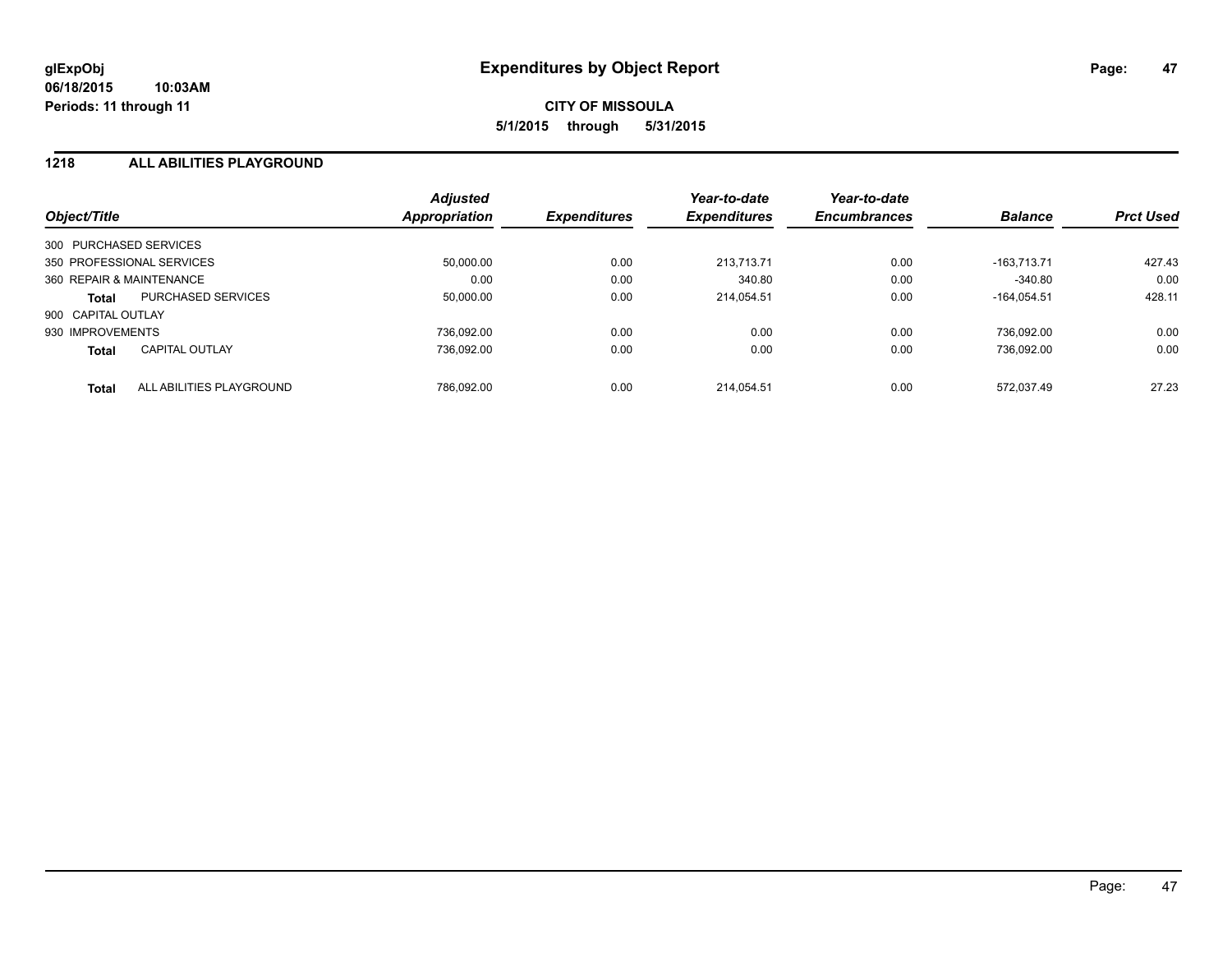### **1218 ALL ABILITIES PLAYGROUND**

| Object/Title             |                           | <b>Adjusted</b><br>Appropriation | <b>Expenditures</b> | Year-to-date<br><b>Expenditures</b> | Year-to-date<br><b>Encumbrances</b> | <b>Balance</b> | <b>Prct Used</b> |
|--------------------------|---------------------------|----------------------------------|---------------------|-------------------------------------|-------------------------------------|----------------|------------------|
| 300 PURCHASED SERVICES   |                           |                                  |                     |                                     |                                     |                |                  |
|                          | 350 PROFESSIONAL SERVICES | 50,000.00                        | 0.00                | 213.713.71                          | 0.00                                | $-163.713.71$  | 427.43           |
| 360 REPAIR & MAINTENANCE |                           | 0.00                             | 0.00                | 340.80                              | 0.00                                | $-340.80$      | 0.00             |
| <b>Total</b>             | <b>PURCHASED SERVICES</b> | 50,000.00                        | 0.00                | 214.054.51                          | 0.00                                | $-164.054.51$  | 428.11           |
| 900 CAPITAL OUTLAY       |                           |                                  |                     |                                     |                                     |                |                  |
| 930 IMPROVEMENTS         |                           | 736.092.00                       | 0.00                | 0.00                                | 0.00                                | 736.092.00     | 0.00             |
| <b>Total</b>             | <b>CAPITAL OUTLAY</b>     | 736.092.00                       | 0.00                | 0.00                                | 0.00                                | 736.092.00     | 0.00             |
| <b>Total</b>             | ALL ABILITIES PLAYGROUND  | 786.092.00                       | 0.00                | 214.054.51                          | 0.00                                | 572.037.49     | 27.23            |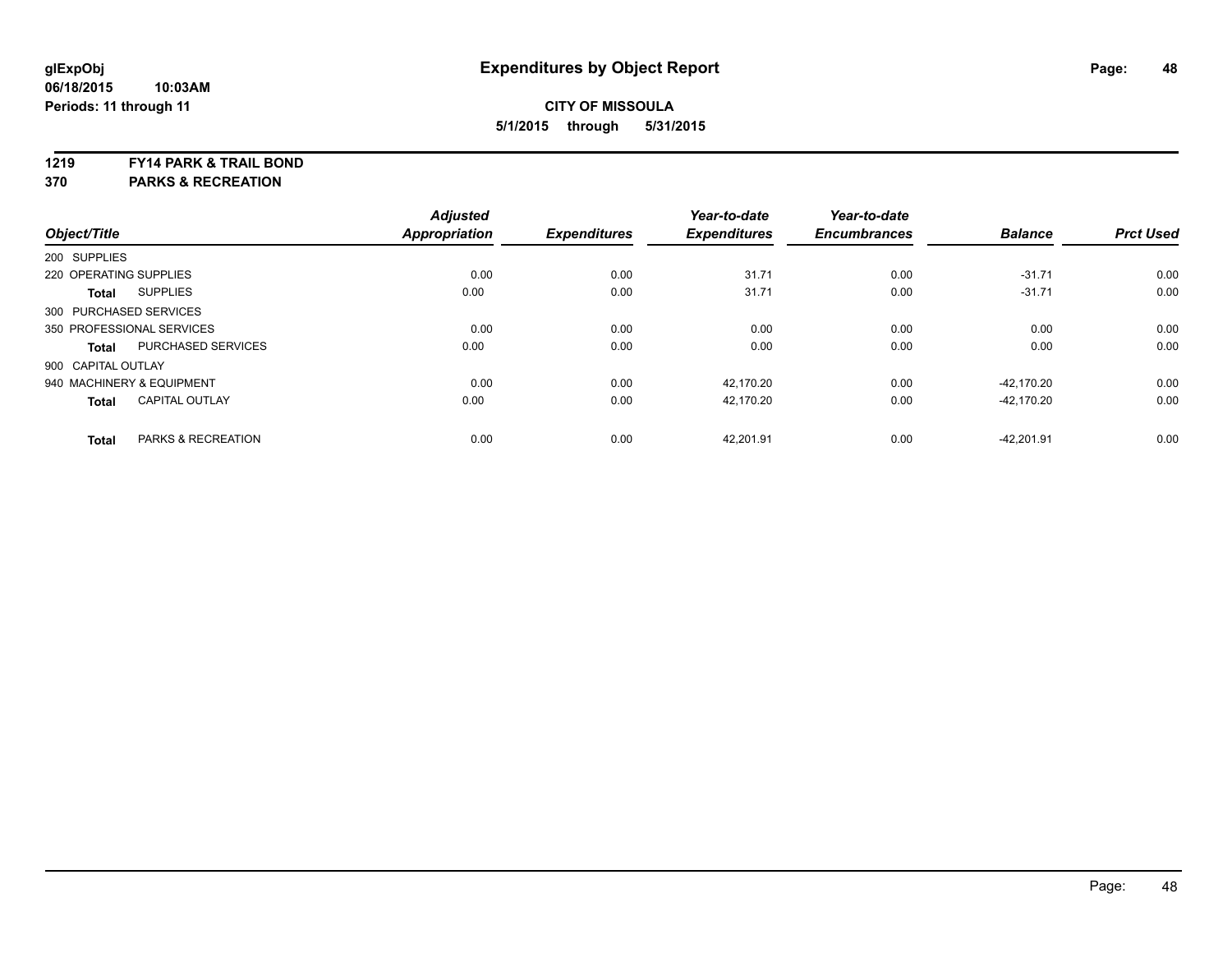#### **1219 FY14 PARK & TRAIL BOND**

**370 PARKS & RECREATION**

|                           |                               | <b>Adjusted</b>      |                     | Year-to-date        | Year-to-date        |                |                  |
|---------------------------|-------------------------------|----------------------|---------------------|---------------------|---------------------|----------------|------------------|
| Object/Title              |                               | <b>Appropriation</b> | <b>Expenditures</b> | <b>Expenditures</b> | <b>Encumbrances</b> | <b>Balance</b> | <b>Prct Used</b> |
| 200 SUPPLIES              |                               |                      |                     |                     |                     |                |                  |
| 220 OPERATING SUPPLIES    |                               | 0.00                 | 0.00                | 31.71               | 0.00                | $-31.71$       | 0.00             |
| <b>Total</b>              | <b>SUPPLIES</b>               | 0.00                 | 0.00                | 31.71               | 0.00                | $-31.71$       | 0.00             |
| 300 PURCHASED SERVICES    |                               |                      |                     |                     |                     |                |                  |
| 350 PROFESSIONAL SERVICES |                               | 0.00                 | 0.00                | 0.00                | 0.00                | 0.00           | 0.00             |
| <b>Total</b>              | <b>PURCHASED SERVICES</b>     | 0.00                 | 0.00                | 0.00                | 0.00                | 0.00           | 0.00             |
| 900 CAPITAL OUTLAY        |                               |                      |                     |                     |                     |                |                  |
|                           | 940 MACHINERY & EQUIPMENT     | 0.00                 | 0.00                | 42.170.20           | 0.00                | -42.170.20     | 0.00             |
| <b>Total</b>              | <b>CAPITAL OUTLAY</b>         | 0.00                 | 0.00                | 42,170.20           | 0.00                | -42.170.20     | 0.00             |
| <b>Total</b>              | <b>PARKS &amp; RECREATION</b> | 0.00                 | 0.00                | 42,201.91           | 0.00                | $-42,201.91$   | 0.00             |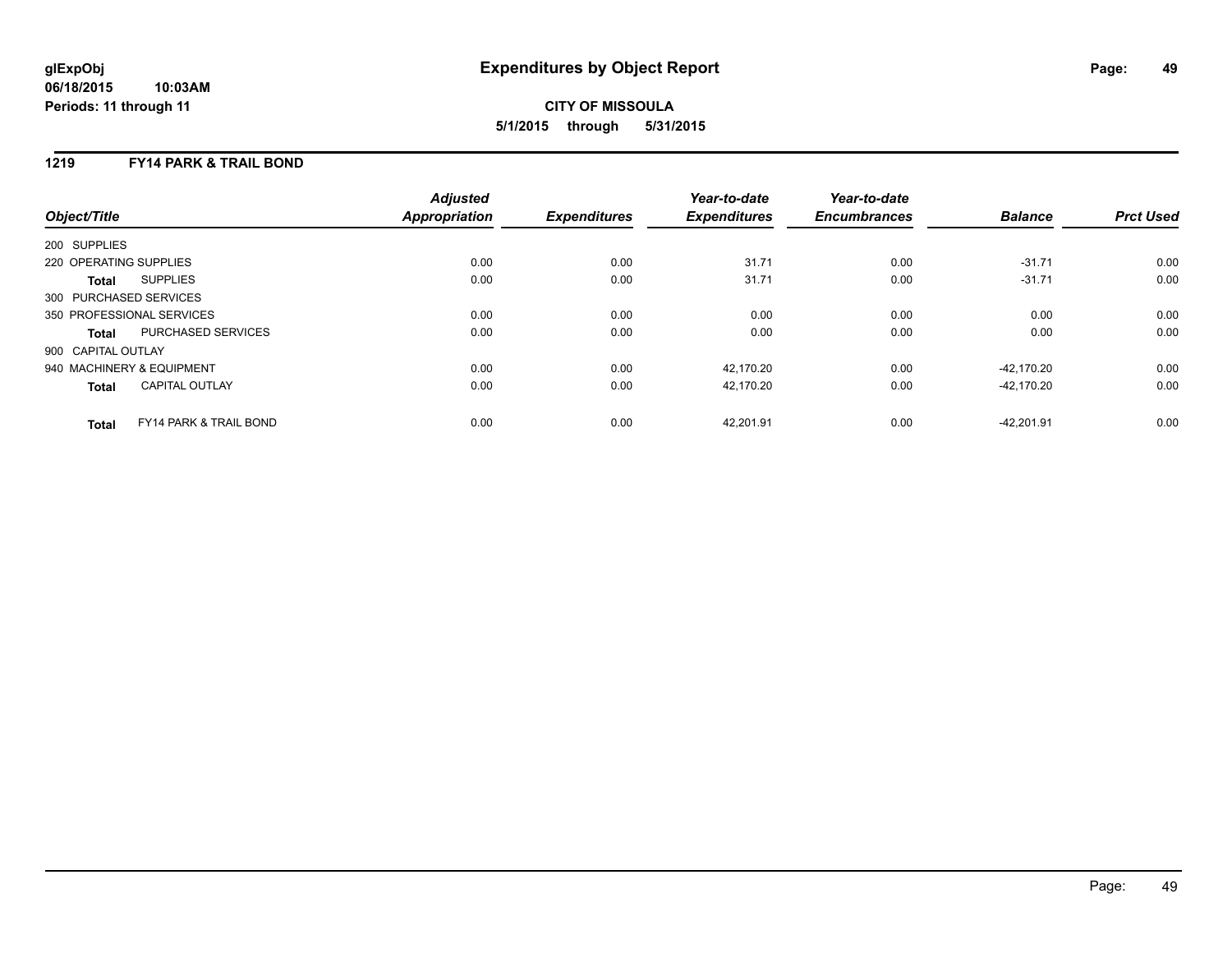# **CITY OF MISSOULA 5/1/2015 through 5/31/2015**

### **1219 FY14 PARK & TRAIL BOND**

| Object/Title           |                                   | <b>Adjusted</b><br>Appropriation | <b>Expenditures</b> | Year-to-date<br><b>Expenditures</b> | Year-to-date<br><b>Encumbrances</b> | <b>Balance</b> | <b>Prct Used</b> |
|------------------------|-----------------------------------|----------------------------------|---------------------|-------------------------------------|-------------------------------------|----------------|------------------|
| 200 SUPPLIES           |                                   |                                  |                     |                                     |                                     |                |                  |
| 220 OPERATING SUPPLIES |                                   | 0.00                             | 0.00                | 31.71                               | 0.00                                | $-31.71$       | 0.00             |
| Total                  | <b>SUPPLIES</b>                   | 0.00                             | 0.00                | 31.71                               | 0.00                                | $-31.71$       | 0.00             |
| 300 PURCHASED SERVICES |                                   |                                  |                     |                                     |                                     |                |                  |
|                        | 350 PROFESSIONAL SERVICES         | 0.00                             | 0.00                | 0.00                                | 0.00                                | 0.00           | 0.00             |
| <b>Total</b>           | PURCHASED SERVICES                | 0.00                             | 0.00                | 0.00                                | 0.00                                | 0.00           | 0.00             |
| 900 CAPITAL OUTLAY     |                                   |                                  |                     |                                     |                                     |                |                  |
|                        | 940 MACHINERY & EQUIPMENT         | 0.00                             | 0.00                | 42,170.20                           | 0.00                                | -42.170.20     | 0.00             |
| <b>Total</b>           | <b>CAPITAL OUTLAY</b>             | 0.00                             | 0.00                | 42.170.20                           | 0.00                                | $-42.170.20$   | 0.00             |
| <b>Total</b>           | <b>FY14 PARK &amp; TRAIL BOND</b> | 0.00                             | 0.00                | 42.201.91                           | 0.00                                | $-42.201.91$   | 0.00             |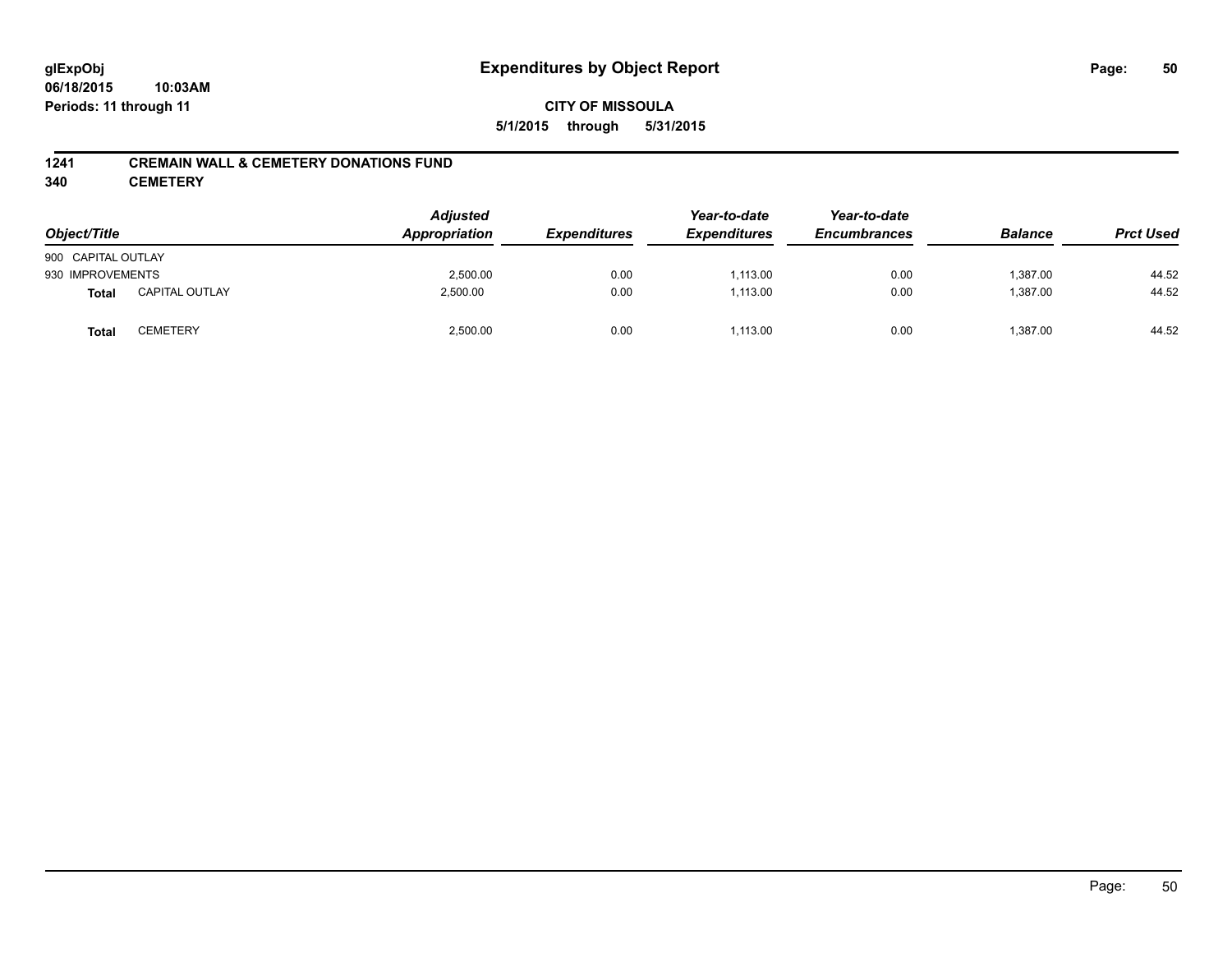### **1241 CREMAIN WALL & CEMETERY DONATIONS FUND**

**340 CEMETERY**

| Object/Title       |                       | <b>Adjusted</b><br>Appropriation | <b>Expenditures</b> | Year-to-date<br><b>Expenditures</b> | Year-to-date<br><b>Encumbrances</b> | <b>Balance</b> | <b>Prct Used</b> |
|--------------------|-----------------------|----------------------------------|---------------------|-------------------------------------|-------------------------------------|----------------|------------------|
| 900 CAPITAL OUTLAY |                       |                                  |                     |                                     |                                     |                |                  |
| 930 IMPROVEMENTS   |                       | 2,500.00                         | 0.00                | 1,113.00                            | 0.00                                | 1,387.00       | 44.52            |
| <b>Total</b>       | <b>CAPITAL OUTLAY</b> | 2,500.00                         | 0.00                | 1,113.00                            | 0.00                                | 1,387.00       | 44.52            |
| <b>Total</b>       | CEMETERY              | 2,500.00                         | 0.00                | 1,113.00                            | 0.00                                | 1,387.00       | 44.52            |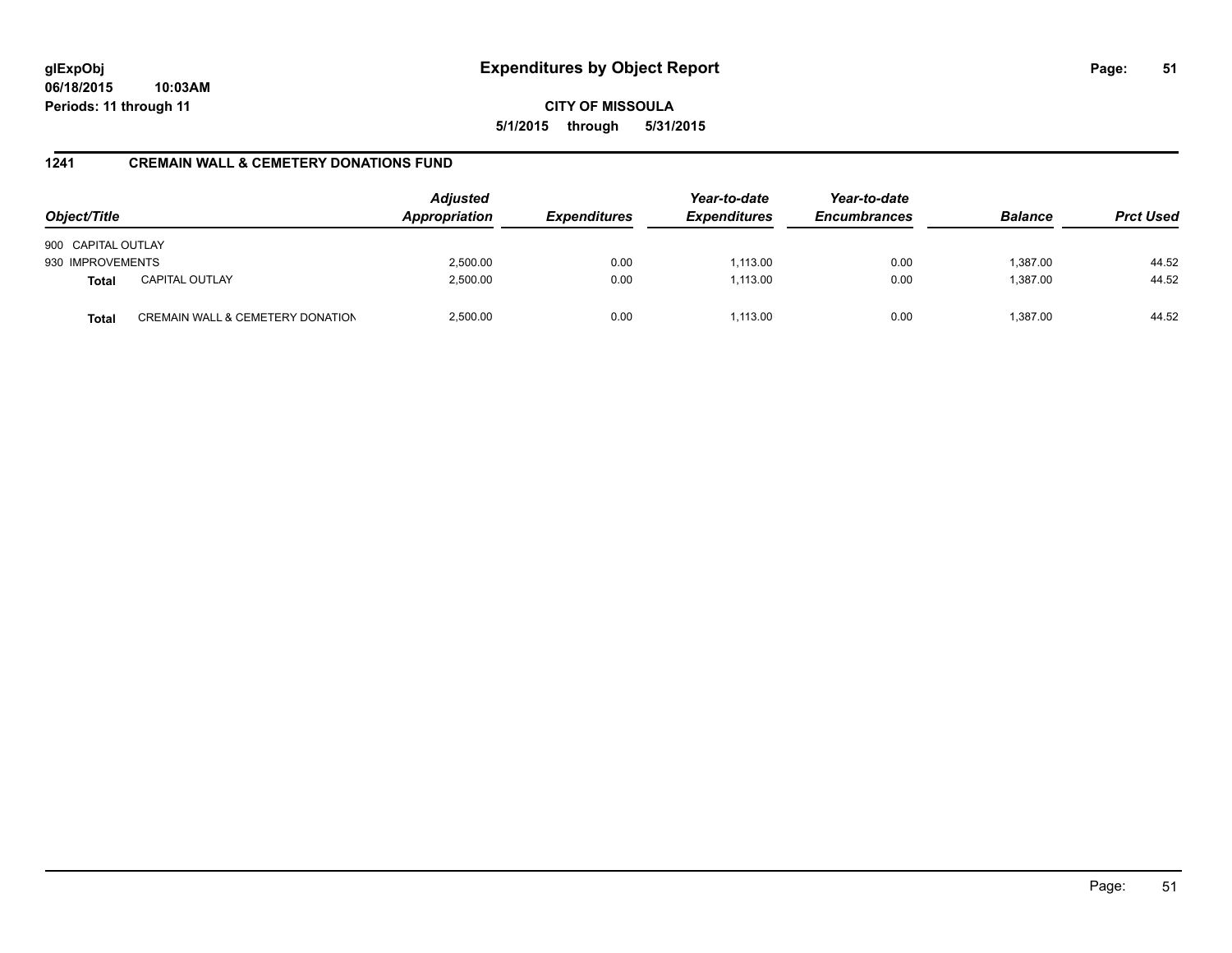**CITY OF MISSOULA 5/1/2015 through 5/31/2015**

# **1241 CREMAIN WALL & CEMETERY DONATIONS FUND**

| Object/Title       |                                  | <b>Adjusted</b><br>Appropriation | <b>Expenditures</b> | Year-to-date<br><b>Expenditures</b> | Year-to-date<br><b>Encumbrances</b> | <b>Balance</b> | <b>Prct Used</b> |
|--------------------|----------------------------------|----------------------------------|---------------------|-------------------------------------|-------------------------------------|----------------|------------------|
| 900 CAPITAL OUTLAY |                                  |                                  |                     |                                     |                                     |                |                  |
| 930 IMPROVEMENTS   |                                  | 2,500.00                         | 0.00                | 1,113.00                            | 0.00                                | 1,387.00       | 44.52            |
| <b>Total</b>       | <b>CAPITAL OUTLAY</b>            | 2,500.00                         | 0.00                | 1.113.00                            | 0.00                                | 1,387.00       | 44.52            |
| <b>Total</b>       | CREMAIN WALL & CEMETERY DONATION | 2.500.00                         | 0.00                | 1.113.00                            | 0.00                                | 1.387.00       | 44.52            |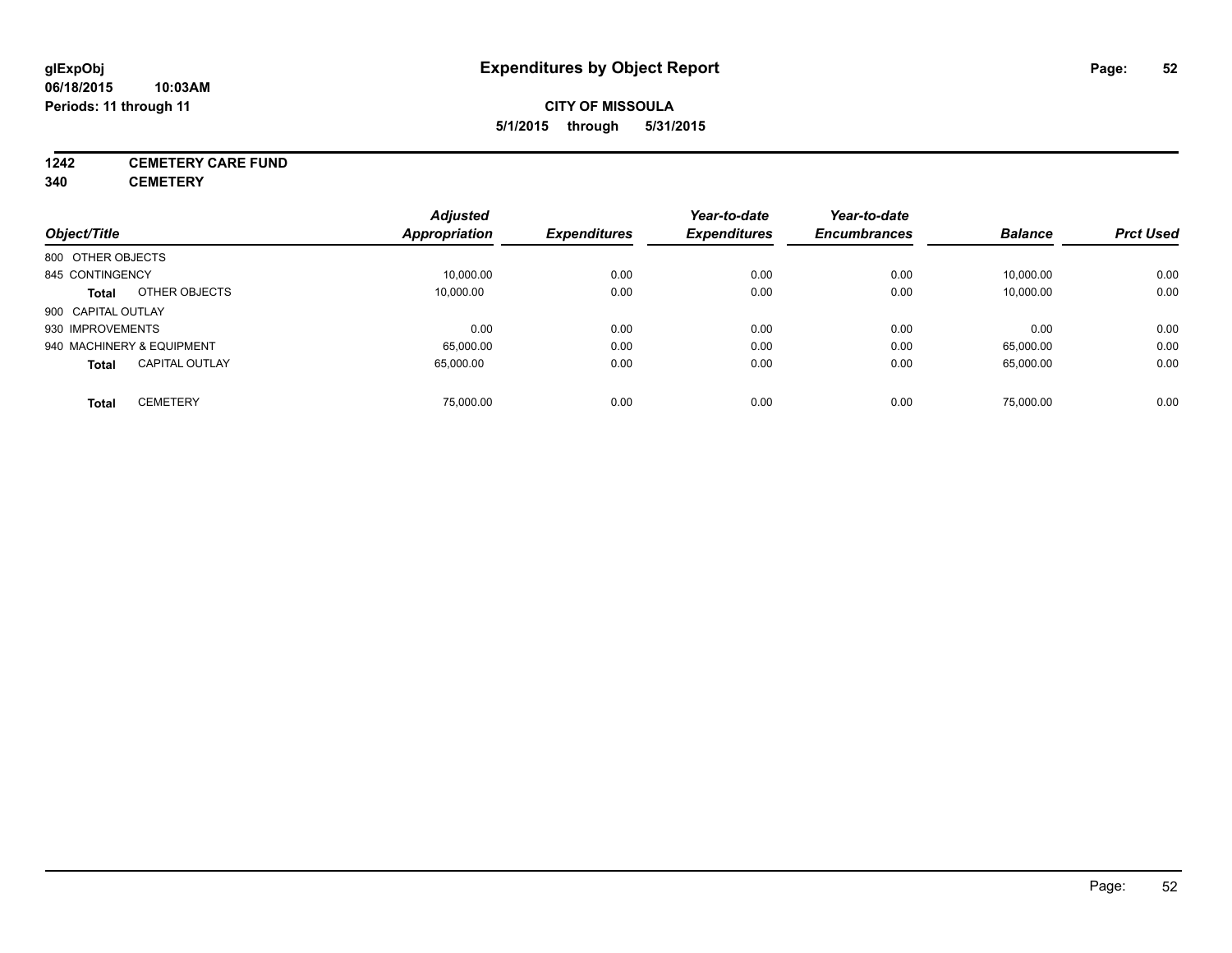# **CITY OF MISSOULA 5/1/2015 through 5/31/2015**

# **1242 CEMETERY CARE FUND**

**340 CEMETERY**

|                                       | <b>Adjusted</b> |                     | Year-to-date        | Year-to-date        |                |                  |
|---------------------------------------|-----------------|---------------------|---------------------|---------------------|----------------|------------------|
| Object/Title                          | Appropriation   | <b>Expenditures</b> | <b>Expenditures</b> | <b>Encumbrances</b> | <b>Balance</b> | <b>Prct Used</b> |
| 800 OTHER OBJECTS                     |                 |                     |                     |                     |                |                  |
| 845 CONTINGENCY                       | 10,000.00       | 0.00                | 0.00                | 0.00                | 10,000.00      | 0.00             |
| OTHER OBJECTS<br><b>Total</b>         | 10.000.00       | 0.00                | 0.00                | 0.00                | 10,000.00      | 0.00             |
| 900 CAPITAL OUTLAY                    |                 |                     |                     |                     |                |                  |
| 930 IMPROVEMENTS                      | 0.00            | 0.00                | 0.00                | 0.00                | 0.00           | 0.00             |
| 940 MACHINERY & EQUIPMENT             | 65,000.00       | 0.00                | 0.00                | 0.00                | 65,000.00      | 0.00             |
| <b>CAPITAL OUTLAY</b><br><b>Total</b> | 65.000.00       | 0.00                | 0.00                | 0.00                | 65,000.00      | 0.00             |
| <b>CEMETERY</b><br>Total              | 75.000.00       | 0.00                | 0.00                | 0.00                | 75.000.00      | 0.00             |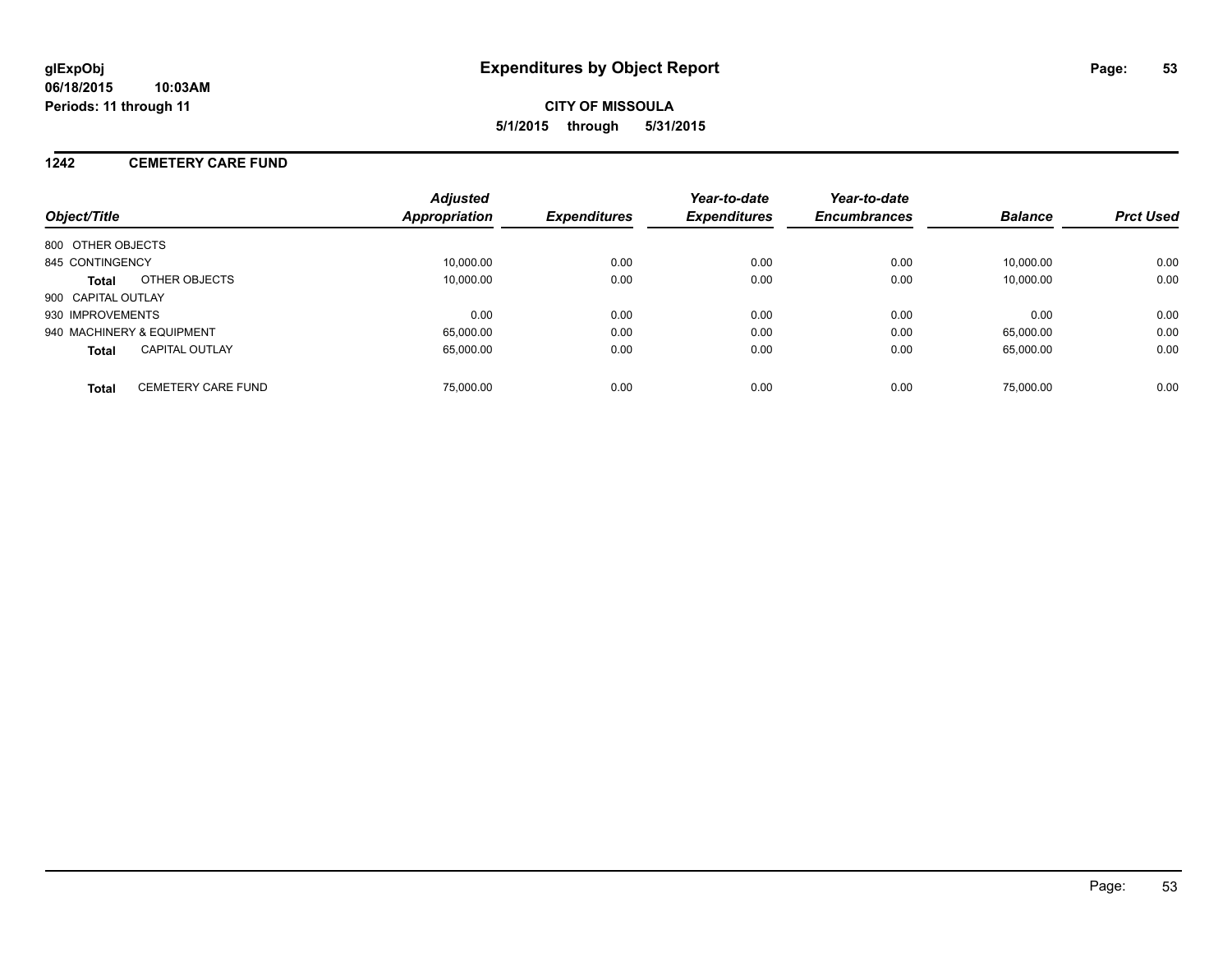### **1242 CEMETERY CARE FUND**

| Object/Title                              | <b>Adjusted</b><br><b>Appropriation</b> | <b>Expenditures</b> | Year-to-date<br><b>Expenditures</b> | Year-to-date<br><b>Encumbrances</b> | <b>Balance</b> | <b>Prct Used</b> |
|-------------------------------------------|-----------------------------------------|---------------------|-------------------------------------|-------------------------------------|----------------|------------------|
| 800 OTHER OBJECTS                         |                                         |                     |                                     |                                     |                |                  |
| 845 CONTINGENCY                           | 10.000.00                               | 0.00                | 0.00                                | 0.00                                | 10.000.00      | 0.00             |
| OTHER OBJECTS<br><b>Total</b>             | 10,000.00                               | 0.00                | 0.00                                | 0.00                                | 10,000.00      | 0.00             |
| 900 CAPITAL OUTLAY                        |                                         |                     |                                     |                                     |                |                  |
| 930 IMPROVEMENTS                          | 0.00                                    | 0.00                | 0.00                                | 0.00                                | 0.00           | 0.00             |
| 940 MACHINERY & EQUIPMENT                 | 65,000.00                               | 0.00                | 0.00                                | 0.00                                | 65.000.00      | 0.00             |
| <b>CAPITAL OUTLAY</b><br><b>Total</b>     | 65,000.00                               | 0.00                | 0.00                                | 0.00                                | 65.000.00      | 0.00             |
| <b>CEMETERY CARE FUND</b><br><b>Total</b> | 75,000.00                               | 0.00                | 0.00                                | 0.00                                | 75,000.00      | 0.00             |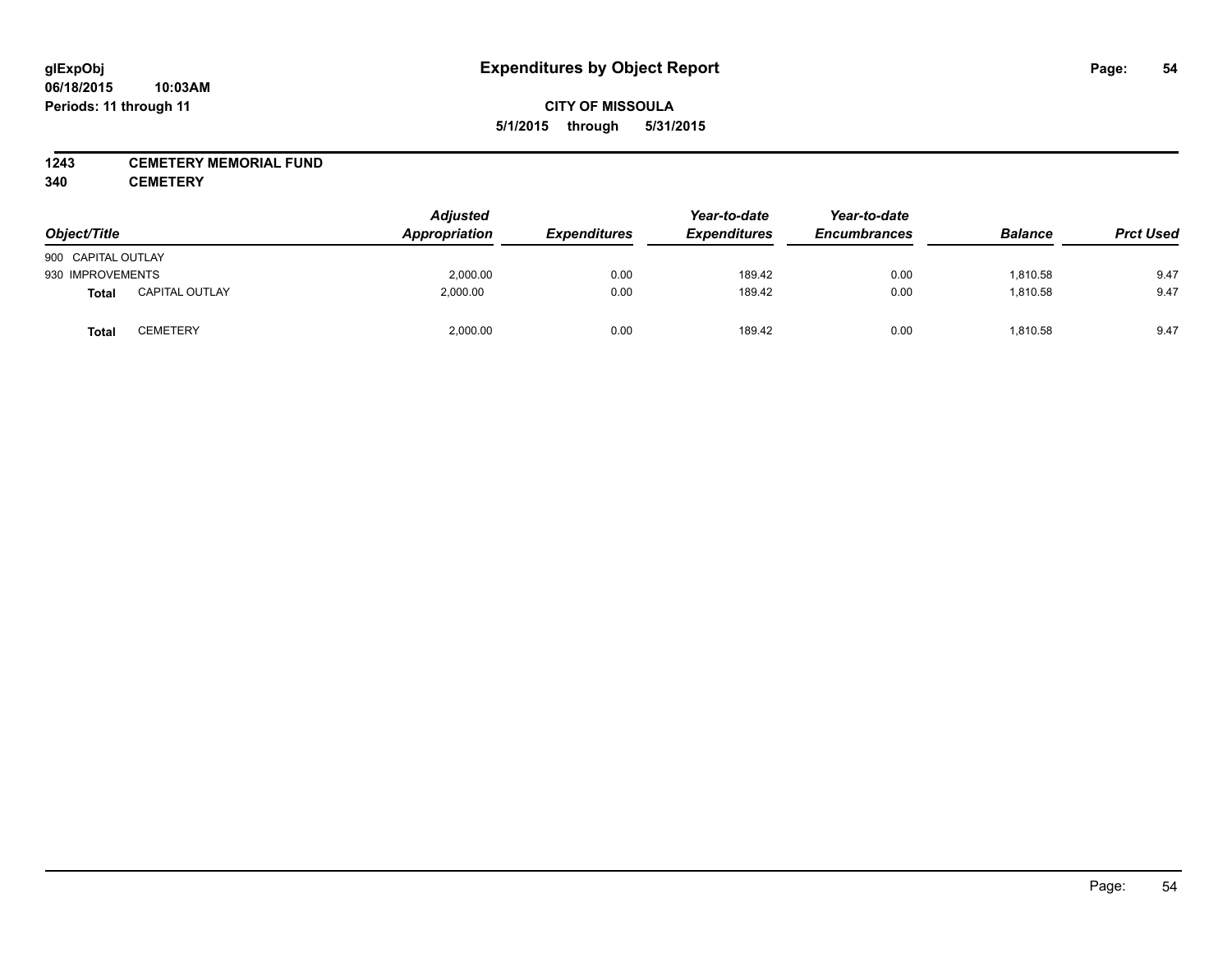### **1243 CEMETERY MEMORIAL FUND**

**340 CEMETERY**

| Object/Title       |                       | <b>Adjusted</b><br>Appropriation | <b>Expenditures</b> | Year-to-date<br><b>Expenditures</b> | Year-to-date<br><b>Encumbrances</b> | <b>Balance</b> | <b>Prct Used</b> |
|--------------------|-----------------------|----------------------------------|---------------------|-------------------------------------|-------------------------------------|----------------|------------------|
| 900 CAPITAL OUTLAY |                       |                                  |                     |                                     |                                     |                |                  |
| 930 IMPROVEMENTS   |                       | 2,000.00                         | 0.00                | 189.42                              | 0.00                                | 1,810.58       | 9.47             |
| <b>Total</b>       | <b>CAPITAL OUTLAY</b> | 2,000.00                         | 0.00                | 189.42                              | 0.00                                | 1,810.58       | 9.47             |
| Total              | CEMETERY              | 2,000.00                         | 0.00                | 189.42                              | 0.00                                | 1,810.58       | 9.47             |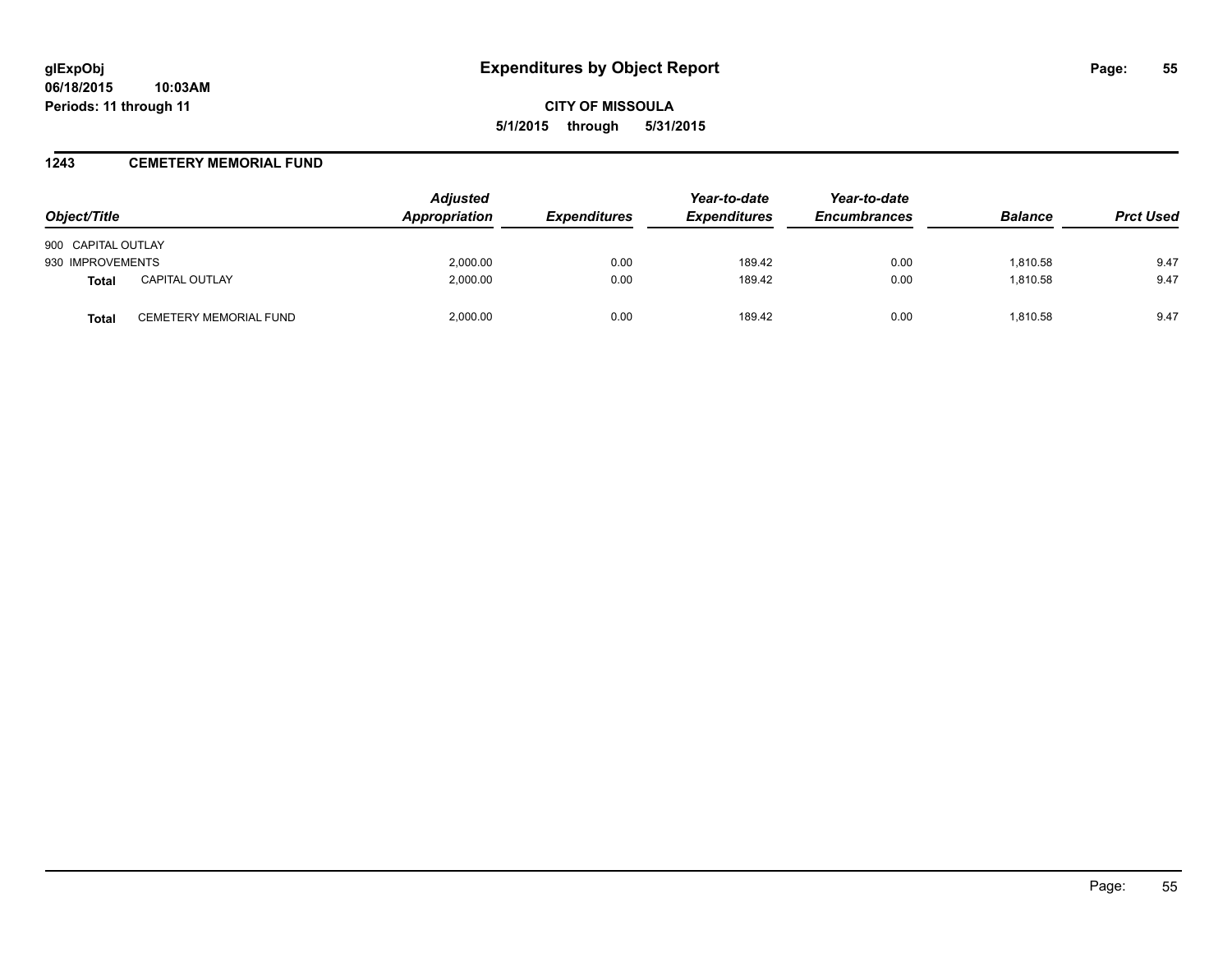### **1243 CEMETERY MEMORIAL FUND**

| Object/Title       |                        | <b>Adjusted</b><br>Appropriation | <b>Expenditures</b> | Year-to-date<br><b>Expenditures</b> | Year-to-date<br><b>Encumbrances</b> | <b>Balance</b> | <b>Prct Used</b> |
|--------------------|------------------------|----------------------------------|---------------------|-------------------------------------|-------------------------------------|----------------|------------------|
| 900 CAPITAL OUTLAY |                        |                                  |                     |                                     |                                     |                |                  |
| 930 IMPROVEMENTS   |                        | 2,000.00                         | 0.00                | 189.42                              | 0.00                                | 1,810.58       | 9.47             |
| <b>Total</b>       | <b>CAPITAL OUTLAY</b>  | 2,000.00                         | 0.00                | 189.42                              | 0.00                                | 1,810.58       | 9.47             |
| Total              | CEMETERY MEMORIAL FUND | 2.000.00                         | 0.00                | 189.42                              | 0.00                                | 1.810.58       | 9.47             |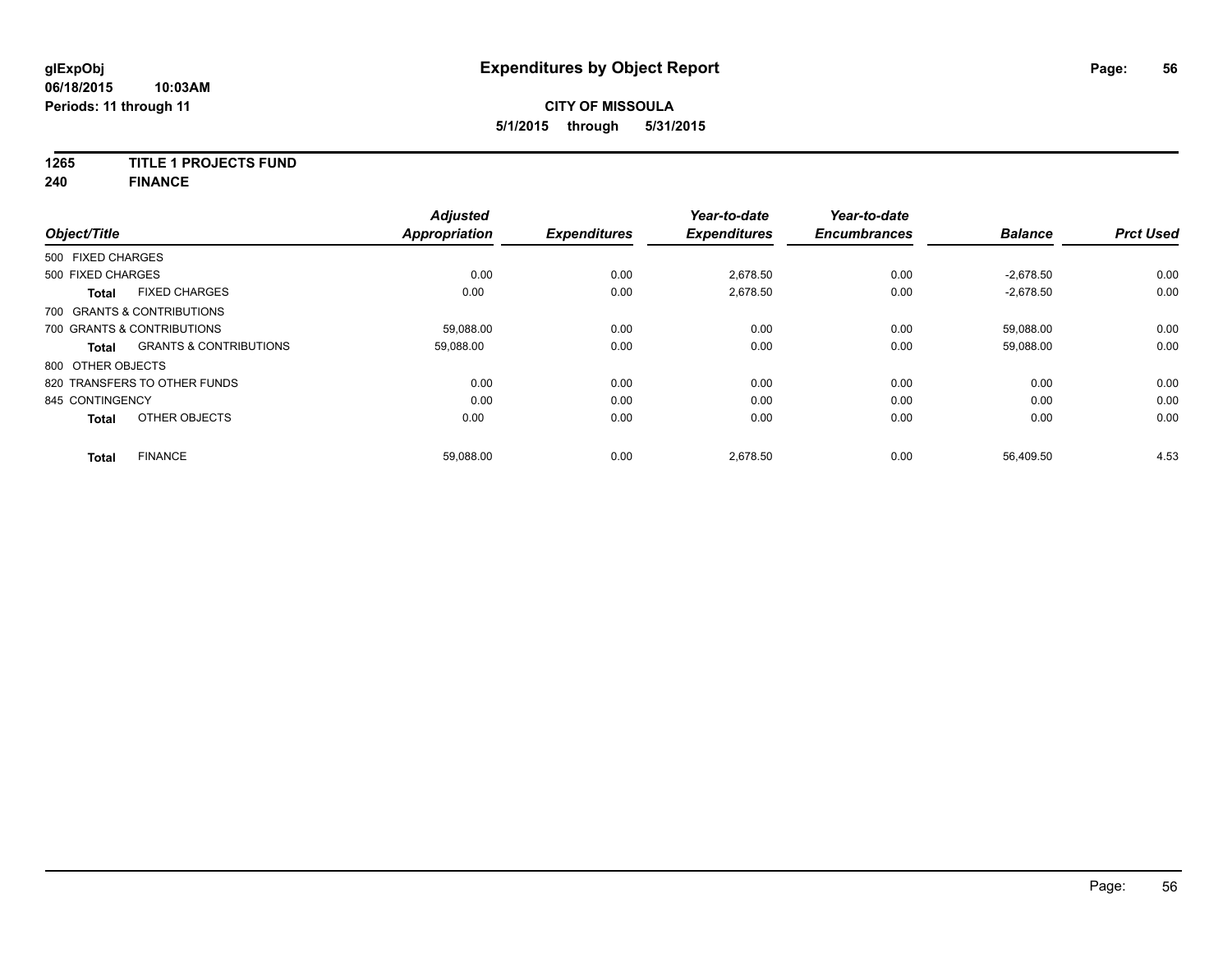### **1265 TITLE 1 PROJECTS FUND**

**240 FINANCE**

| Object/Title      |                                   | <b>Adjusted</b><br><b>Appropriation</b> | <b>Expenditures</b> | Year-to-date<br><b>Expenditures</b> | Year-to-date<br><b>Encumbrances</b> | <b>Balance</b> | <b>Prct Used</b> |
|-------------------|-----------------------------------|-----------------------------------------|---------------------|-------------------------------------|-------------------------------------|----------------|------------------|
| 500 FIXED CHARGES |                                   |                                         |                     |                                     |                                     |                |                  |
| 500 FIXED CHARGES |                                   | 0.00                                    | 0.00                | 2,678.50                            | 0.00                                | $-2,678.50$    | 0.00             |
| <b>Total</b>      | <b>FIXED CHARGES</b>              | 0.00                                    | 0.00                | 2,678.50                            | 0.00                                | $-2,678.50$    | 0.00             |
|                   | 700 GRANTS & CONTRIBUTIONS        |                                         |                     |                                     |                                     |                |                  |
|                   | 700 GRANTS & CONTRIBUTIONS        | 59,088.00                               | 0.00                | 0.00                                | 0.00                                | 59,088.00      | 0.00             |
| <b>Total</b>      | <b>GRANTS &amp; CONTRIBUTIONS</b> | 59.088.00                               | 0.00                | 0.00                                | 0.00                                | 59,088.00      | 0.00             |
| 800 OTHER OBJECTS |                                   |                                         |                     |                                     |                                     |                |                  |
|                   | 820 TRANSFERS TO OTHER FUNDS      | 0.00                                    | 0.00                | 0.00                                | 0.00                                | 0.00           | 0.00             |
| 845 CONTINGENCY   |                                   | 0.00                                    | 0.00                | 0.00                                | 0.00                                | 0.00           | 0.00             |
| <b>Total</b>      | OTHER OBJECTS                     | 0.00                                    | 0.00                | 0.00                                | 0.00                                | 0.00           | 0.00             |
| <b>Total</b>      | <b>FINANCE</b>                    | 59,088.00                               | 0.00                | 2,678.50                            | 0.00                                | 56,409.50      | 4.53             |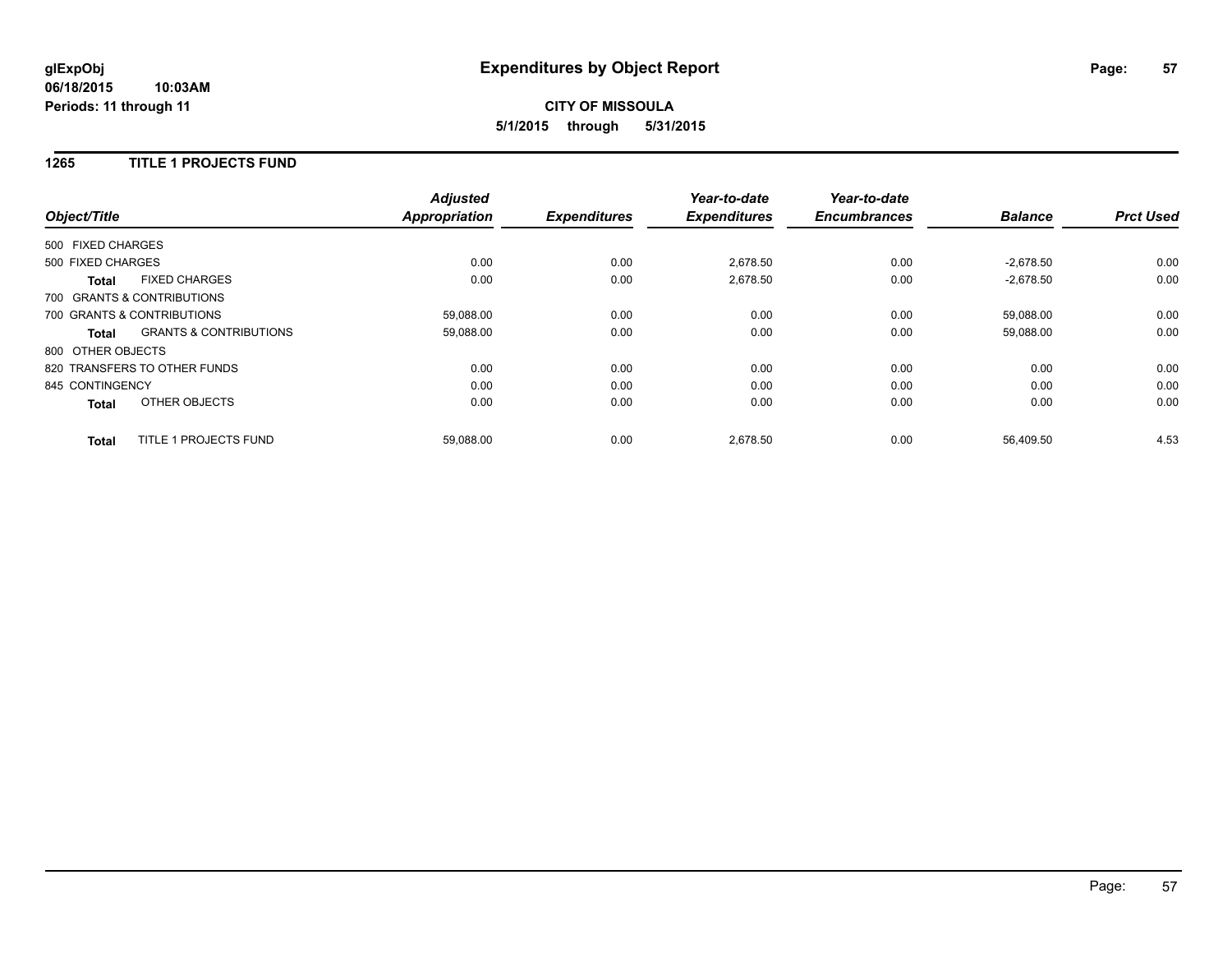### **1265 TITLE 1 PROJECTS FUND**

| Object/Title      |                                   | <b>Adjusted</b><br><b>Appropriation</b> | <b>Expenditures</b> | Year-to-date<br><b>Expenditures</b> | Year-to-date<br><b>Encumbrances</b> | <b>Balance</b> | <b>Prct Used</b> |
|-------------------|-----------------------------------|-----------------------------------------|---------------------|-------------------------------------|-------------------------------------|----------------|------------------|
| 500 FIXED CHARGES |                                   |                                         |                     |                                     |                                     |                |                  |
| 500 FIXED CHARGES |                                   | 0.00                                    | 0.00                | 2,678.50                            | 0.00                                | $-2,678.50$    | 0.00             |
| <b>Total</b>      | <b>FIXED CHARGES</b>              | 0.00                                    | 0.00                | 2,678.50                            | 0.00                                | $-2,678.50$    | 0.00             |
|                   | 700 GRANTS & CONTRIBUTIONS        |                                         |                     |                                     |                                     |                |                  |
|                   | 700 GRANTS & CONTRIBUTIONS        | 59.088.00                               | 0.00                | 0.00                                | 0.00                                | 59.088.00      | 0.00             |
| Total             | <b>GRANTS &amp; CONTRIBUTIONS</b> | 59,088.00                               | 0.00                | 0.00                                | 0.00                                | 59,088.00      | 0.00             |
| 800 OTHER OBJECTS |                                   |                                         |                     |                                     |                                     |                |                  |
|                   | 820 TRANSFERS TO OTHER FUNDS      | 0.00                                    | 0.00                | 0.00                                | 0.00                                | 0.00           | 0.00             |
| 845 CONTINGENCY   |                                   | 0.00                                    | 0.00                | 0.00                                | 0.00                                | 0.00           | 0.00             |
| <b>Total</b>      | OTHER OBJECTS                     | 0.00                                    | 0.00                | 0.00                                | 0.00                                | 0.00           | 0.00             |
| <b>Total</b>      | <b>TITLE 1 PROJECTS FUND</b>      | 59,088.00                               | 0.00                | 2.678.50                            | 0.00                                | 56.409.50      | 4.53             |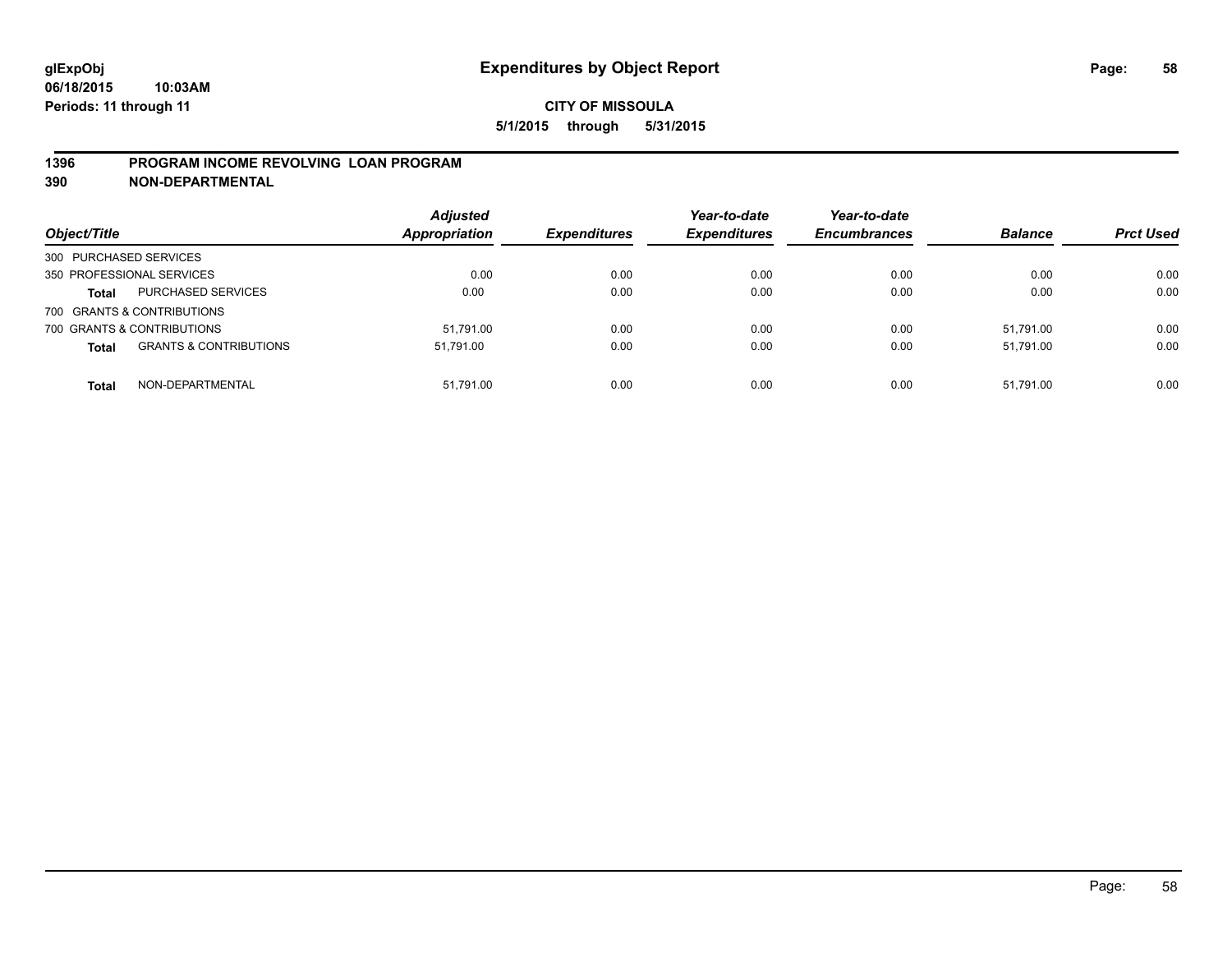### **1396 PROGRAM INCOME REVOLVING LOAN PROGRAM**

**390 NON-DEPARTMENTAL**

| Object/Title              |                                   | <b>Adjusted</b><br><b>Appropriation</b> | <b>Expenditures</b> | Year-to-date<br><b>Expenditures</b> | Year-to-date<br><b>Encumbrances</b> | <b>Balance</b> | <b>Prct Used</b> |
|---------------------------|-----------------------------------|-----------------------------------------|---------------------|-------------------------------------|-------------------------------------|----------------|------------------|
| 300 PURCHASED SERVICES    |                                   |                                         |                     |                                     |                                     |                |                  |
| 350 PROFESSIONAL SERVICES |                                   | 0.00                                    | 0.00                | 0.00                                | 0.00                                | 0.00           | 0.00             |
| <b>Total</b>              | <b>PURCHASED SERVICES</b>         | 0.00                                    | 0.00                | 0.00                                | 0.00                                | 0.00           | 0.00             |
|                           | 700 GRANTS & CONTRIBUTIONS        |                                         |                     |                                     |                                     |                |                  |
|                           | 700 GRANTS & CONTRIBUTIONS        | 51.791.00                               | 0.00                | 0.00                                | 0.00                                | 51.791.00      | 0.00             |
| <b>Total</b>              | <b>GRANTS &amp; CONTRIBUTIONS</b> | 51.791.00                               | 0.00                | 0.00                                | 0.00                                | 51.791.00      | 0.00             |
| <b>Total</b>              | NON-DEPARTMENTAL                  | 51,791.00                               | 0.00                | 0.00                                | 0.00                                | 51.791.00      | 0.00             |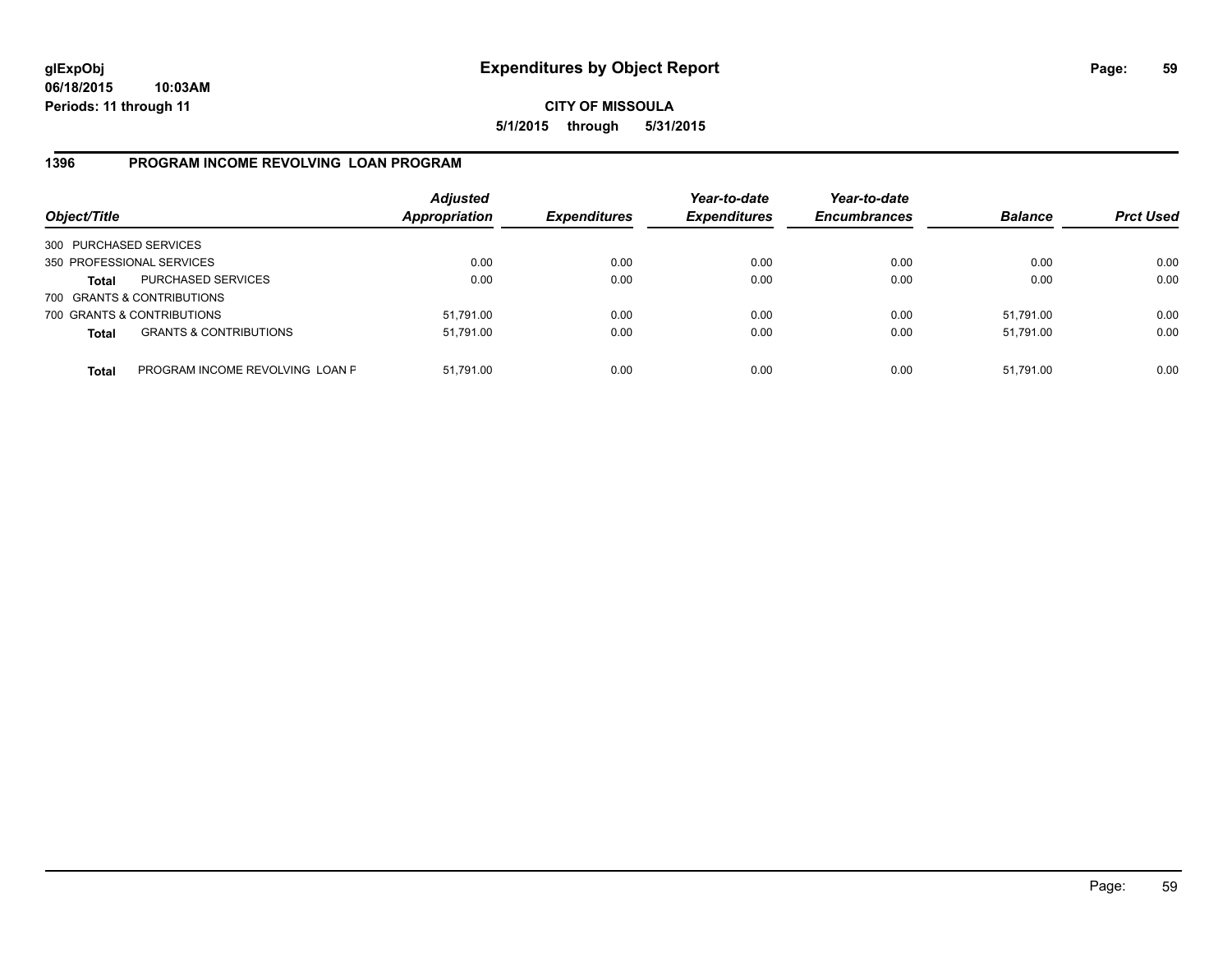**CITY OF MISSOULA 5/1/2015 through 5/31/2015**

### **1396 PROGRAM INCOME REVOLVING LOAN PROGRAM**

| Object/Title           |                                   | <b>Adjusted</b><br><b>Appropriation</b> | <b>Expenditures</b> | Year-to-date<br><b>Expenditures</b> | Year-to-date<br><b>Encumbrances</b> | <b>Balance</b> | <b>Prct Used</b> |
|------------------------|-----------------------------------|-----------------------------------------|---------------------|-------------------------------------|-------------------------------------|----------------|------------------|
| 300 PURCHASED SERVICES |                                   |                                         |                     |                                     |                                     |                |                  |
|                        | 350 PROFESSIONAL SERVICES         | 0.00                                    | 0.00                | 0.00                                | 0.00                                | 0.00           | 0.00             |
| Total                  | <b>PURCHASED SERVICES</b>         | 0.00                                    | 0.00                | 0.00                                | 0.00                                | 0.00           | 0.00             |
|                        | 700 GRANTS & CONTRIBUTIONS        |                                         |                     |                                     |                                     |                |                  |
|                        | 700 GRANTS & CONTRIBUTIONS        | 51,791.00                               | 0.00                | 0.00                                | 0.00                                | 51,791.00      | 0.00             |
| <b>Total</b>           | <b>GRANTS &amp; CONTRIBUTIONS</b> | 51,791.00                               | 0.00                | 0.00                                | 0.00                                | 51.791.00      | 0.00             |
| <b>Total</b>           | PROGRAM INCOME REVOLVING LOAN P   | 51,791.00                               | 0.00                | 0.00                                | 0.00                                | 51,791.00      | 0.00             |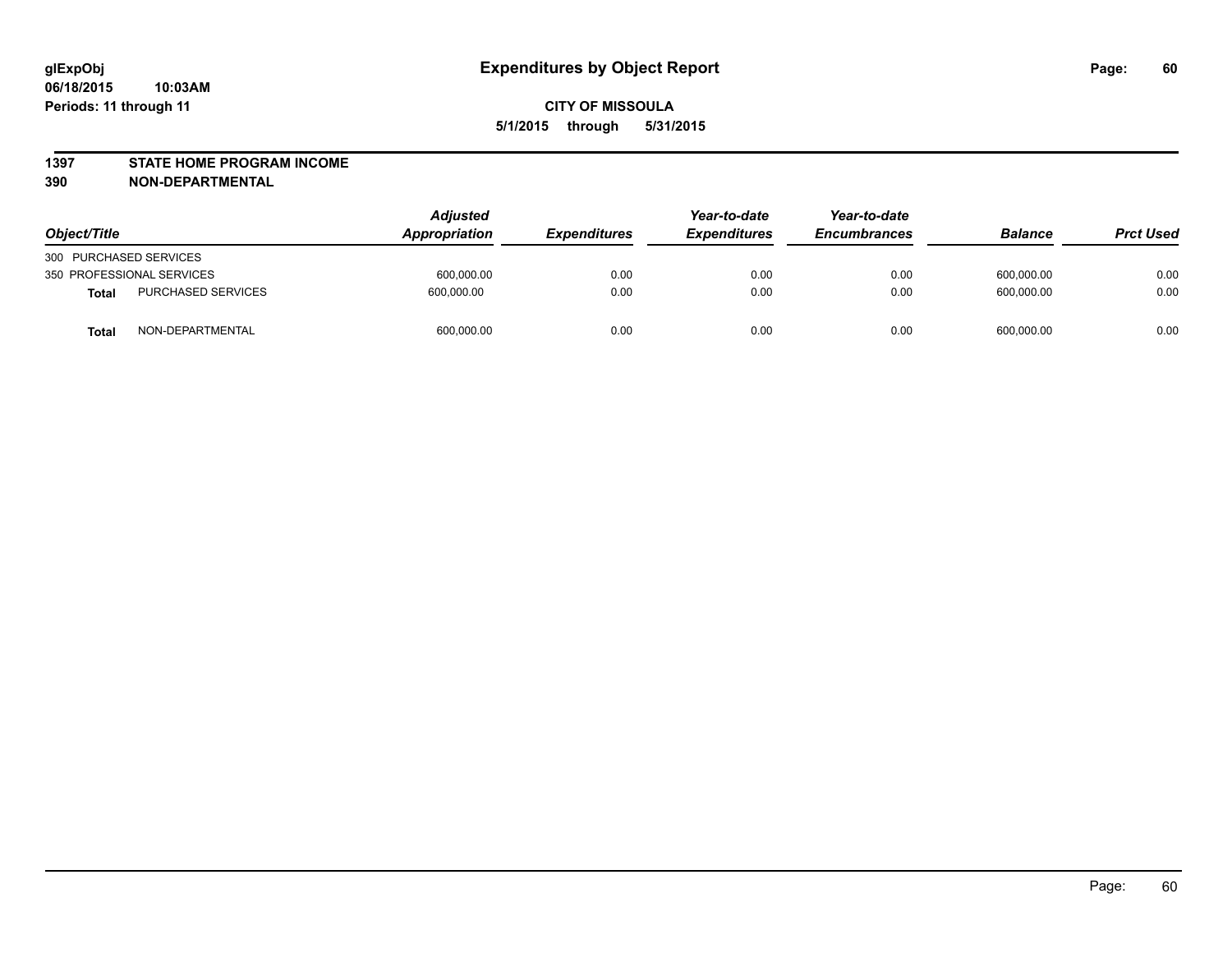#### **1397 STATE HOME PROGRAM INCOME**

**390 NON-DEPARTMENTAL**

| Object/Title           |                           | <b>Adjusted</b><br><b>Appropriation</b> | <i><b>Expenditures</b></i> | Year-to-date<br><b>Expenditures</b> | Year-to-date<br><b>Encumbrances</b> | <b>Balance</b> | <b>Prct Used</b> |
|------------------------|---------------------------|-----------------------------------------|----------------------------|-------------------------------------|-------------------------------------|----------------|------------------|
| 300 PURCHASED SERVICES |                           |                                         |                            |                                     |                                     |                |                  |
|                        | 350 PROFESSIONAL SERVICES | 600,000.00                              | 0.00                       | 0.00                                | 0.00                                | 600.000.00     | 0.00             |
| <b>Total</b>           | <b>PURCHASED SERVICES</b> | 600.000.00                              | 0.00                       | 0.00                                | 0.00                                | 600.000.00     | 0.00             |
| Total                  | NON-DEPARTMENTAL          | 600,000.00                              | 0.00                       | 0.00                                | 0.00                                | 600.000.00     | 0.00             |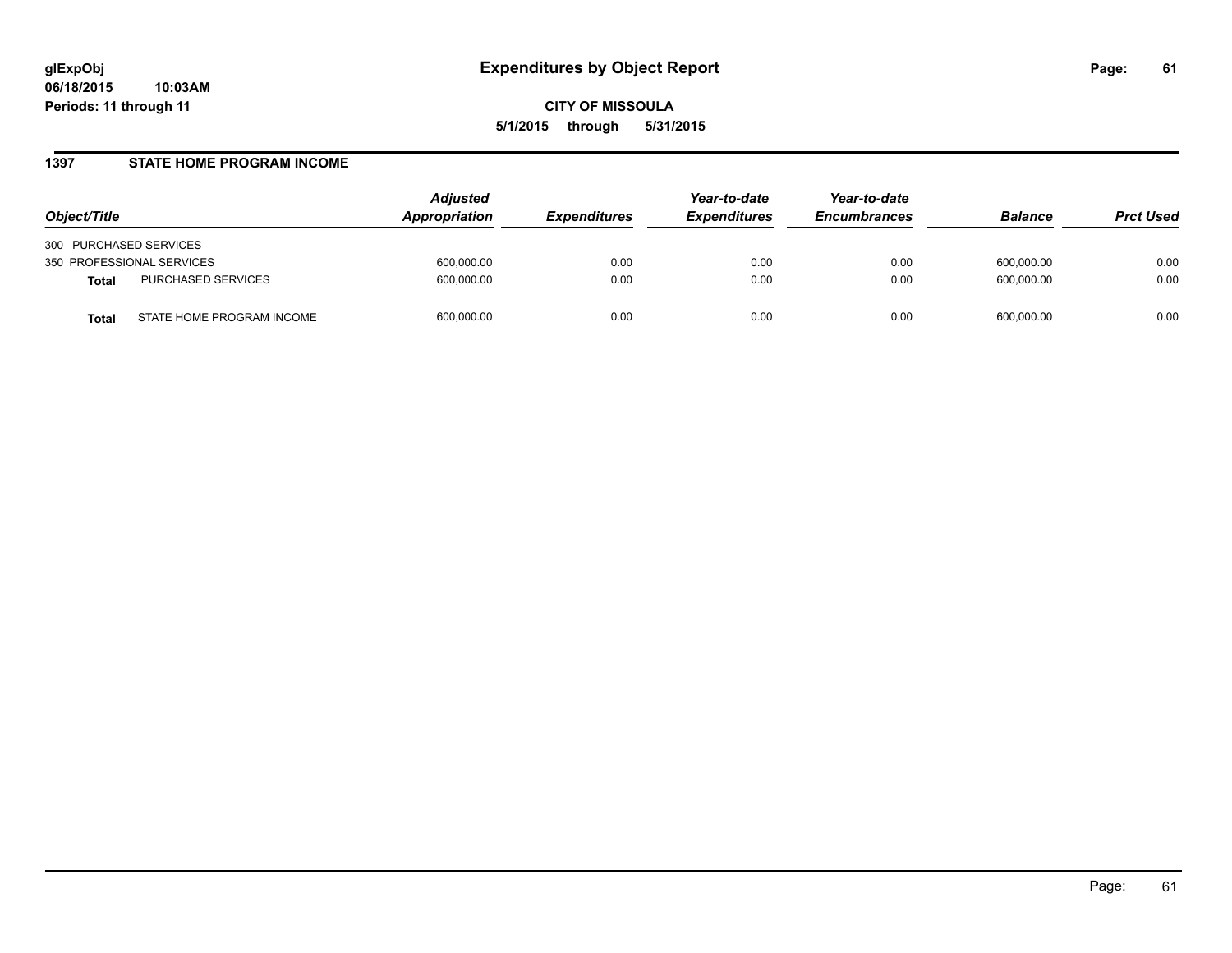### **1397 STATE HOME PROGRAM INCOME**

| Object/Title                              | Adjusted<br>Appropriation | <i><b>Expenditures</b></i> | Year-to-date<br><b>Expenditures</b> | Year-to-date<br><b>Encumbrances</b> | <b>Balance</b> | <b>Prct Used</b> |
|-------------------------------------------|---------------------------|----------------------------|-------------------------------------|-------------------------------------|----------------|------------------|
| 300 PURCHASED SERVICES                    |                           |                            |                                     |                                     |                |                  |
| 350 PROFESSIONAL SERVICES                 | 600,000.00                | 0.00                       | 0.00                                | 0.00                                | 600,000.00     | 0.00             |
| PURCHASED SERVICES<br><b>Total</b>        | 600,000.00                | 0.00                       | 0.00                                | 0.00                                | 600,000.00     | 0.00             |
| STATE HOME PROGRAM INCOME<br><b>Total</b> | 600,000.00                | 0.00                       | 0.00                                | 0.00                                | 600,000.00     | 0.00             |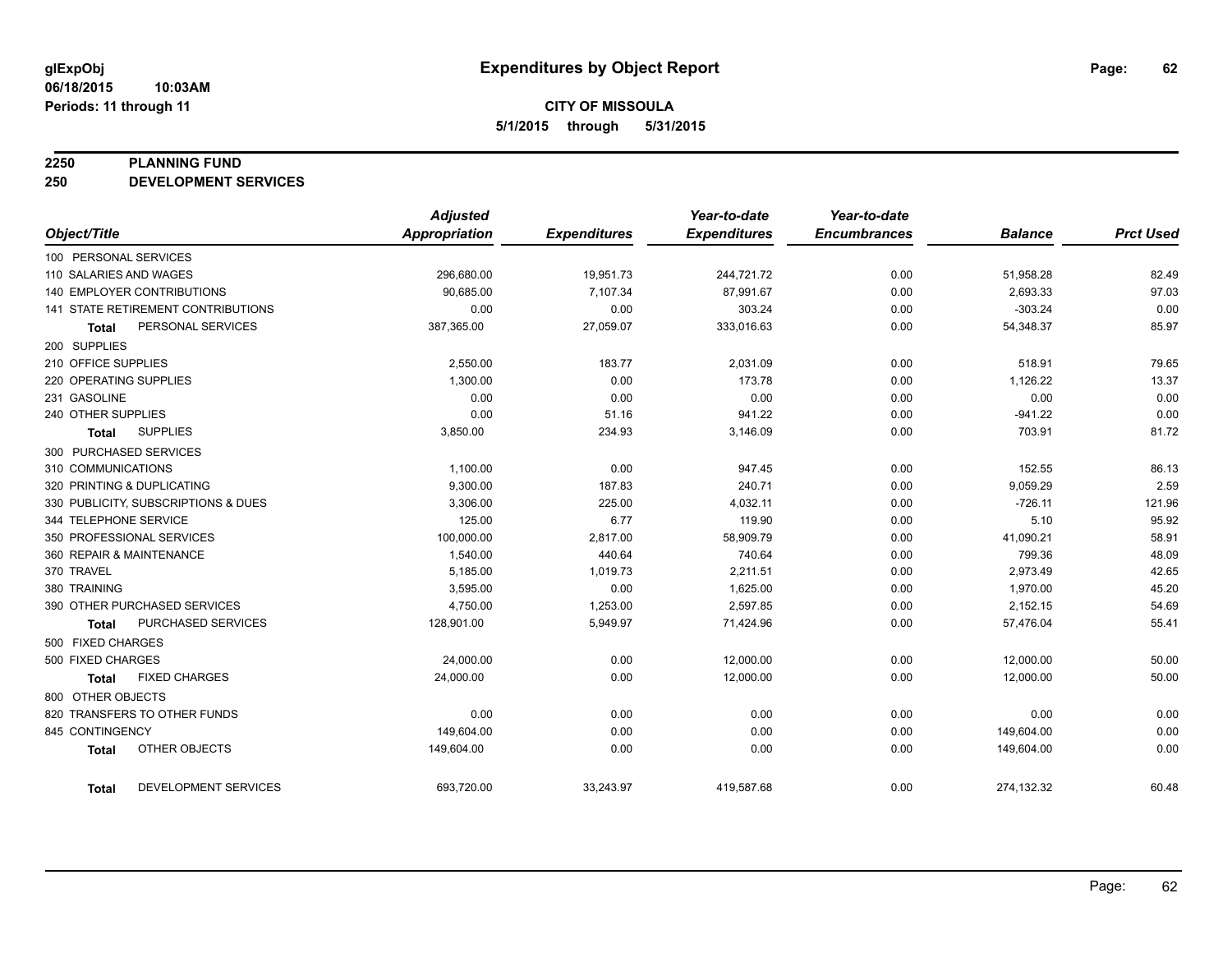#### **2250 PLANNING FUND**

**250 DEVELOPMENT SERVICES**

|                                             | <b>Adjusted</b>      |                     | Year-to-date        | Year-to-date        |                |                  |
|---------------------------------------------|----------------------|---------------------|---------------------|---------------------|----------------|------------------|
| Object/Title                                | <b>Appropriation</b> | <b>Expenditures</b> | <b>Expenditures</b> | <b>Encumbrances</b> | <b>Balance</b> | <b>Prct Used</b> |
| 100 PERSONAL SERVICES                       |                      |                     |                     |                     |                |                  |
| 110 SALARIES AND WAGES                      | 296,680.00           | 19,951.73           | 244,721.72          | 0.00                | 51,958.28      | 82.49            |
| 140 EMPLOYER CONTRIBUTIONS                  | 90,685.00            | 7,107.34            | 87,991.67           | 0.00                | 2,693.33       | 97.03            |
| 141 STATE RETIREMENT CONTRIBUTIONS          | 0.00                 | 0.00                | 303.24              | 0.00                | $-303.24$      | 0.00             |
| PERSONAL SERVICES<br><b>Total</b>           | 387,365.00           | 27,059.07           | 333,016.63          | 0.00                | 54,348.37      | 85.97            |
| 200 SUPPLIES                                |                      |                     |                     |                     |                |                  |
| 210 OFFICE SUPPLIES                         | 2,550.00             | 183.77              | 2,031.09            | 0.00                | 518.91         | 79.65            |
| 220 OPERATING SUPPLIES                      | 1,300.00             | 0.00                | 173.78              | 0.00                | 1,126.22       | 13.37            |
| 231 GASOLINE                                | 0.00                 | 0.00                | 0.00                | 0.00                | 0.00           | 0.00             |
| 240 OTHER SUPPLIES                          | 0.00                 | 51.16               | 941.22              | 0.00                | $-941.22$      | 0.00             |
| <b>SUPPLIES</b><br>Total                    | 3,850.00             | 234.93              | 3,146.09            | 0.00                | 703.91         | 81.72            |
| 300 PURCHASED SERVICES                      |                      |                     |                     |                     |                |                  |
| 310 COMMUNICATIONS                          | 1,100.00             | 0.00                | 947.45              | 0.00                | 152.55         | 86.13            |
| 320 PRINTING & DUPLICATING                  | 9,300.00             | 187.83              | 240.71              | 0.00                | 9,059.29       | 2.59             |
| 330 PUBLICITY, SUBSCRIPTIONS & DUES         | 3,306.00             | 225.00              | 4,032.11            | 0.00                | $-726.11$      | 121.96           |
| 344 TELEPHONE SERVICE                       | 125.00               | 6.77                | 119.90              | 0.00                | 5.10           | 95.92            |
| 350 PROFESSIONAL SERVICES                   | 100,000.00           | 2,817.00            | 58,909.79           | 0.00                | 41,090.21      | 58.91            |
| 360 REPAIR & MAINTENANCE                    | 1,540.00             | 440.64              | 740.64              | 0.00                | 799.36         | 48.09            |
| 370 TRAVEL                                  | 5,185.00             | 1,019.73            | 2,211.51            | 0.00                | 2,973.49       | 42.65            |
| 380 TRAINING                                | 3,595.00             | 0.00                | 1,625.00            | 0.00                | 1,970.00       | 45.20            |
| 390 OTHER PURCHASED SERVICES                | 4,750.00             | 1,253.00            | 2,597.85            | 0.00                | 2,152.15       | 54.69            |
| PURCHASED SERVICES<br><b>Total</b>          | 128,901.00           | 5,949.97            | 71,424.96           | 0.00                | 57,476.04      | 55.41            |
| 500 FIXED CHARGES                           |                      |                     |                     |                     |                |                  |
| 500 FIXED CHARGES                           | 24,000.00            | 0.00                | 12,000.00           | 0.00                | 12,000.00      | 50.00            |
| <b>FIXED CHARGES</b><br><b>Total</b>        | 24,000.00            | 0.00                | 12,000.00           | 0.00                | 12,000.00      | 50.00            |
| 800 OTHER OBJECTS                           |                      |                     |                     |                     |                |                  |
| 820 TRANSFERS TO OTHER FUNDS                | 0.00                 | 0.00                | 0.00                | 0.00                | 0.00           | 0.00             |
| 845 CONTINGENCY                             | 149,604.00           | 0.00                | 0.00                | 0.00                | 149,604.00     | 0.00             |
| OTHER OBJECTS<br><b>Total</b>               | 149,604.00           | 0.00                | 0.00                | 0.00                | 149,604.00     | 0.00             |
| <b>DEVELOPMENT SERVICES</b><br><b>Total</b> | 693,720.00           | 33,243.97           | 419,587.68          | 0.00                | 274,132.32     | 60.48            |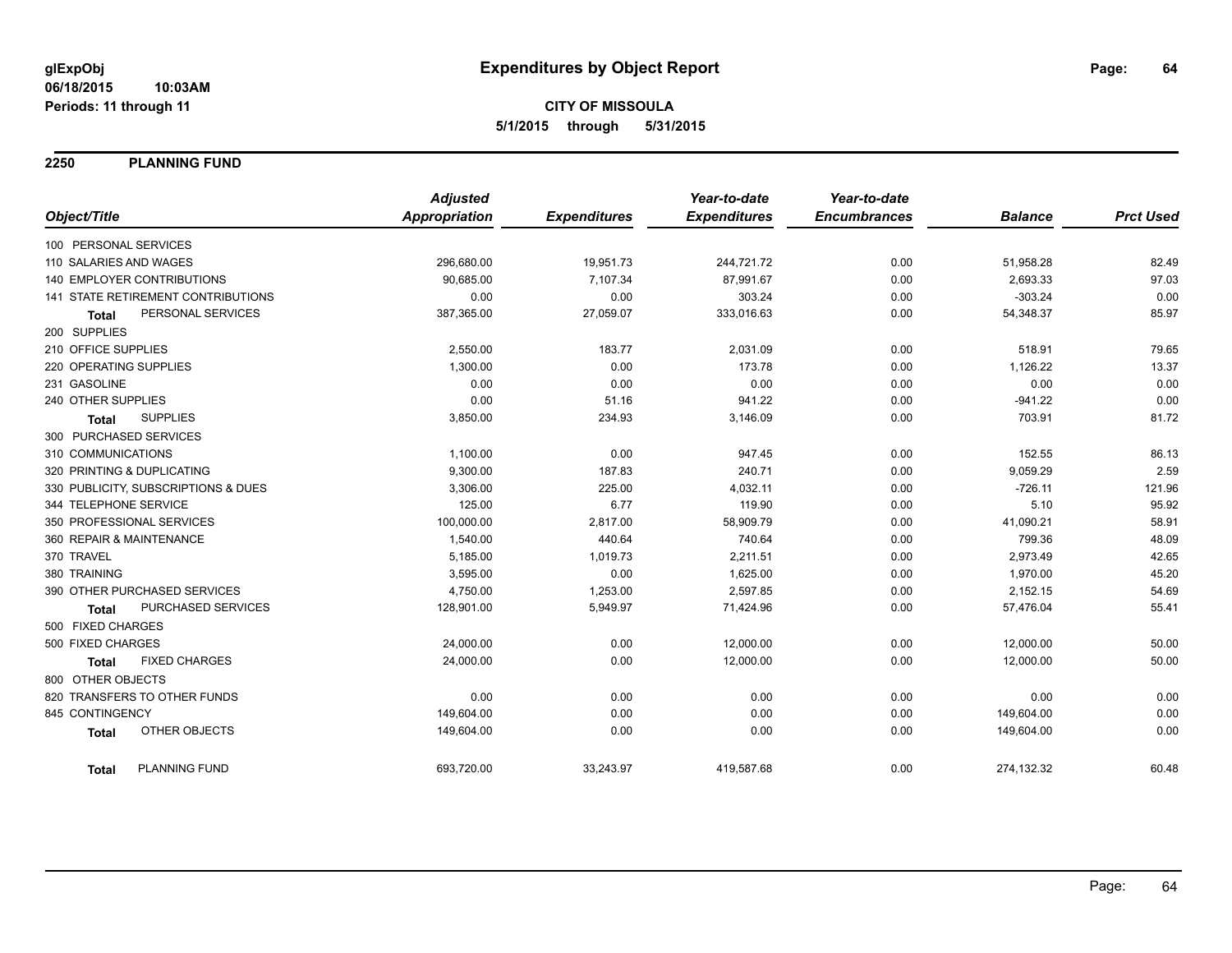**2250 PLANNING FUND**

|                                      | <b>Adjusted</b>      |                     | Year-to-date        | Year-to-date        |                |                  |
|--------------------------------------|----------------------|---------------------|---------------------|---------------------|----------------|------------------|
| Object/Title                         | <b>Appropriation</b> | <b>Expenditures</b> | <b>Expenditures</b> | <b>Encumbrances</b> | <b>Balance</b> | <b>Prct Used</b> |
| 100 PERSONAL SERVICES                |                      |                     |                     |                     |                |                  |
| 110 SALARIES AND WAGES               | 296,680.00           | 19,951.73           | 244,721.72          | 0.00                | 51,958.28      | 82.49            |
| <b>140 EMPLOYER CONTRIBUTIONS</b>    | 90,685.00            | 7,107.34            | 87,991.67           | 0.00                | 2,693.33       | 97.03            |
| 141 STATE RETIREMENT CONTRIBUTIONS   | 0.00                 | 0.00                | 303.24              | 0.00                | $-303.24$      | 0.00             |
| PERSONAL SERVICES<br><b>Total</b>    | 387,365.00           | 27,059.07           | 333,016.63          | 0.00                | 54,348.37      | 85.97            |
| 200 SUPPLIES                         |                      |                     |                     |                     |                |                  |
| 210 OFFICE SUPPLIES                  | 2,550.00             | 183.77              | 2,031.09            | 0.00                | 518.91         | 79.65            |
| 220 OPERATING SUPPLIES               | 1,300.00             | 0.00                | 173.78              | 0.00                | 1,126.22       | 13.37            |
| 231 GASOLINE                         | 0.00                 | 0.00                | 0.00                | 0.00                | 0.00           | 0.00             |
| 240 OTHER SUPPLIES                   | 0.00                 | 51.16               | 941.22              | 0.00                | $-941.22$      | 0.00             |
| <b>SUPPLIES</b><br><b>Total</b>      | 3,850.00             | 234.93              | 3,146.09            | 0.00                | 703.91         | 81.72            |
| 300 PURCHASED SERVICES               |                      |                     |                     |                     |                |                  |
| 310 COMMUNICATIONS                   | 1,100.00             | 0.00                | 947.45              | 0.00                | 152.55         | 86.13            |
| 320 PRINTING & DUPLICATING           | 9,300.00             | 187.83              | 240.71              | 0.00                | 9,059.29       | 2.59             |
| 330 PUBLICITY, SUBSCRIPTIONS & DUES  | 3,306.00             | 225.00              | 4,032.11            | 0.00                | $-726.11$      | 121.96           |
| 344 TELEPHONE SERVICE                | 125.00               | 6.77                | 119.90              | 0.00                | 5.10           | 95.92            |
| 350 PROFESSIONAL SERVICES            | 100,000.00           | 2,817.00            | 58,909.79           | 0.00                | 41,090.21      | 58.91            |
| 360 REPAIR & MAINTENANCE             | 1,540.00             | 440.64              | 740.64              | 0.00                | 799.36         | 48.09            |
| 370 TRAVEL                           | 5,185.00             | 1,019.73            | 2,211.51            | 0.00                | 2,973.49       | 42.65            |
| 380 TRAINING                         | 3,595.00             | 0.00                | 1,625.00            | 0.00                | 1,970.00       | 45.20            |
| 390 OTHER PURCHASED SERVICES         | 4,750.00             | 1,253.00            | 2,597.85            | 0.00                | 2,152.15       | 54.69            |
| PURCHASED SERVICES<br><b>Total</b>   | 128,901.00           | 5,949.97            | 71,424.96           | 0.00                | 57,476.04      | 55.41            |
| 500 FIXED CHARGES                    |                      |                     |                     |                     |                |                  |
| 500 FIXED CHARGES                    | 24,000.00            | 0.00                | 12,000.00           | 0.00                | 12,000.00      | 50.00            |
| <b>FIXED CHARGES</b><br><b>Total</b> | 24,000.00            | 0.00                | 12,000.00           | 0.00                | 12,000.00      | 50.00            |
| 800 OTHER OBJECTS                    |                      |                     |                     |                     |                |                  |
| 820 TRANSFERS TO OTHER FUNDS         | 0.00                 | 0.00                | 0.00                | 0.00                | 0.00           | 0.00             |
| 845 CONTINGENCY                      | 149,604.00           | 0.00                | 0.00                | 0.00                | 149,604.00     | 0.00             |
| OTHER OBJECTS<br><b>Total</b>        | 149,604.00           | 0.00                | 0.00                | 0.00                | 149,604.00     | 0.00             |
| <b>PLANNING FUND</b><br><b>Total</b> | 693,720.00           | 33,243.97           | 419,587.68          | 0.00                | 274,132.32     | 60.48            |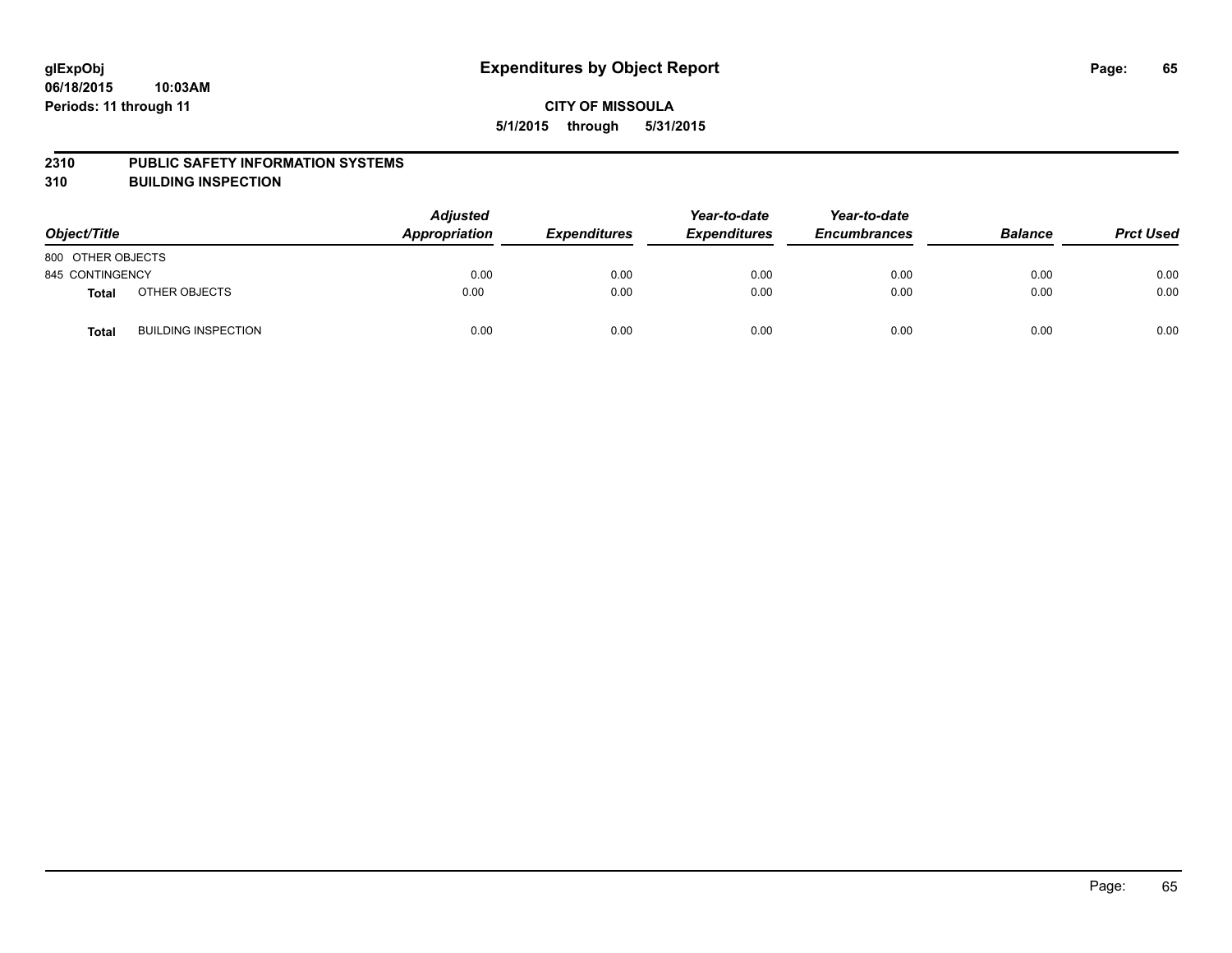#### **2310 PUBLIC SAFETY INFORMATION SYSTEMS**

**310 BUILDING INSPECTION**

| Object/Title      |                            | <b>Adjusted</b><br>Appropriation | <b>Expenditures</b> | Year-to-date<br><b>Expenditures</b> | Year-to-date<br><b>Encumbrances</b> | <b>Balance</b> | <b>Prct Used</b> |
|-------------------|----------------------------|----------------------------------|---------------------|-------------------------------------|-------------------------------------|----------------|------------------|
| 800 OTHER OBJECTS |                            |                                  |                     |                                     |                                     |                |                  |
| 845 CONTINGENCY   |                            | 0.00                             | 0.00                | 0.00                                | 0.00                                | 0.00           | 0.00             |
| <b>Total</b>      | OTHER OBJECTS              | 0.00                             | 0.00                | 0.00                                | 0.00                                | 0.00           | 0.00             |
| <b>Total</b>      | <b>BUILDING INSPECTION</b> | 0.00                             | 0.00                | 0.00                                | 0.00                                | 0.00           | 0.00             |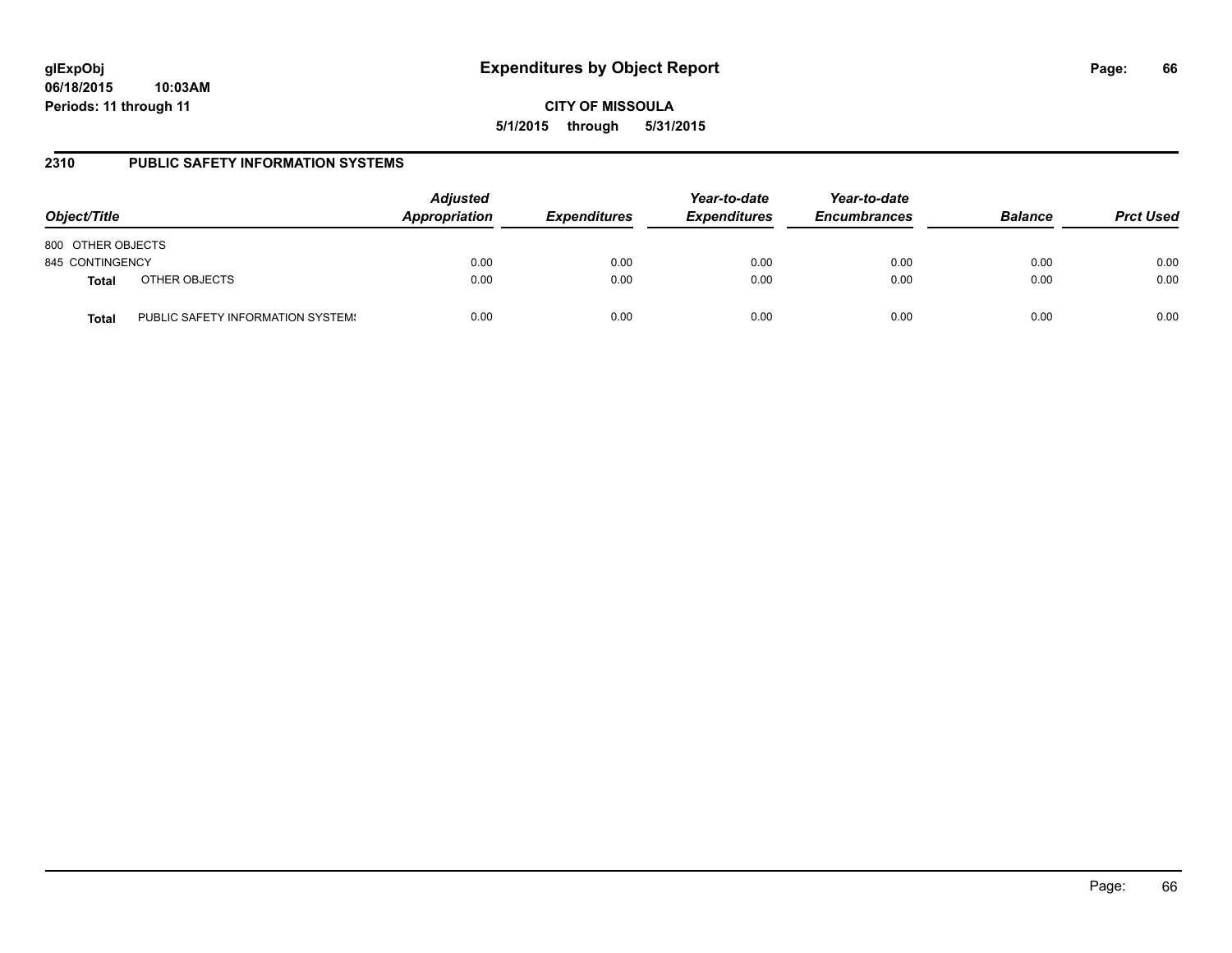**CITY OF MISSOULA 5/1/2015 through 5/31/2015**

### **2310 PUBLIC SAFETY INFORMATION SYSTEMS**

| Object/Title      |                                   | <b>Adjusted</b><br>Appropriation | <b>Expenditures</b> | Year-to-date<br><b>Expenditures</b> | Year-to-date<br><b>Encumbrances</b> | <b>Balance</b> | <b>Prct Used</b> |
|-------------------|-----------------------------------|----------------------------------|---------------------|-------------------------------------|-------------------------------------|----------------|------------------|
| 800 OTHER OBJECTS |                                   |                                  |                     |                                     |                                     |                |                  |
| 845 CONTINGENCY   |                                   | 0.00                             | 0.00                | 0.00                                | 0.00                                | 0.00           | 0.00             |
| <b>Total</b>      | OTHER OBJECTS                     | 0.00                             | 0.00                | 0.00                                | 0.00                                | 0.00           | 0.00             |
| Total             | PUBLIC SAFETY INFORMATION SYSTEM! | 0.00                             | 0.00                | 0.00                                | 0.00                                | 0.00           | 0.00             |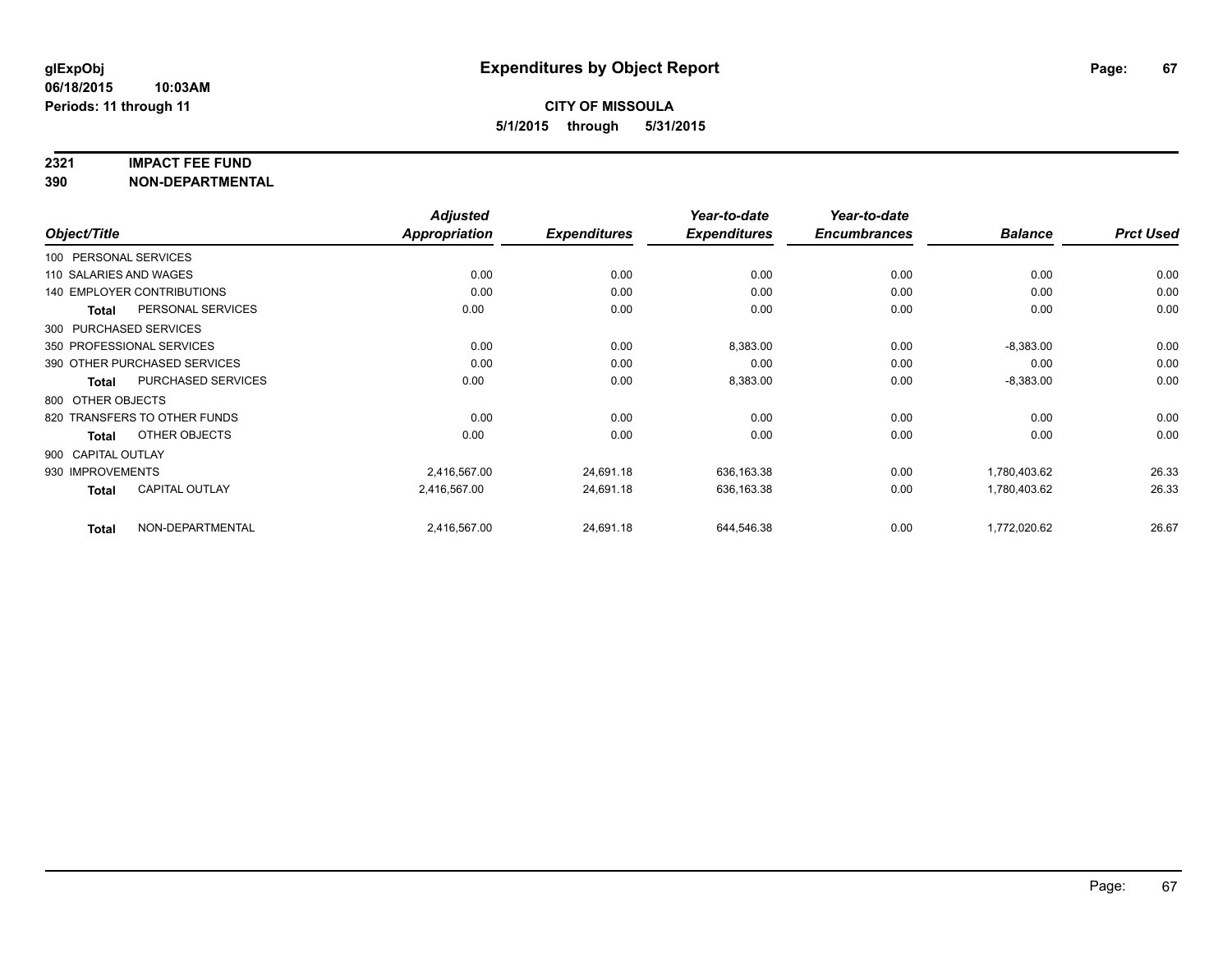#### **2321 IMPACT FEE FUND**

**390 NON-DEPARTMENTAL**

|                        |                                   | <b>Adjusted</b>     |                     | Year-to-date        | Year-to-date   |                  |       |
|------------------------|-----------------------------------|---------------------|---------------------|---------------------|----------------|------------------|-------|
| Object/Title           | <b>Appropriation</b>              | <b>Expenditures</b> | <b>Expenditures</b> | <b>Encumbrances</b> | <b>Balance</b> | <b>Prct Used</b> |       |
| 100 PERSONAL SERVICES  |                                   |                     |                     |                     |                |                  |       |
| 110 SALARIES AND WAGES |                                   | 0.00                | 0.00                | 0.00                | 0.00           | 0.00             | 0.00  |
|                        | <b>140 EMPLOYER CONTRIBUTIONS</b> | 0.00                | 0.00                | 0.00                | 0.00           | 0.00             | 0.00  |
| <b>Total</b>           | PERSONAL SERVICES                 | 0.00                | 0.00                | 0.00                | 0.00           | 0.00             | 0.00  |
|                        | 300 PURCHASED SERVICES            |                     |                     |                     |                |                  |       |
|                        | 350 PROFESSIONAL SERVICES         | 0.00                | 0.00                | 8,383.00            | 0.00           | $-8,383.00$      | 0.00  |
|                        | 390 OTHER PURCHASED SERVICES      | 0.00                | 0.00                | 0.00                | 0.00           | 0.00             | 0.00  |
| Total                  | <b>PURCHASED SERVICES</b>         | 0.00                | 0.00                | 8,383.00            | 0.00           | $-8,383.00$      | 0.00  |
| 800 OTHER OBJECTS      |                                   |                     |                     |                     |                |                  |       |
|                        | 820 TRANSFERS TO OTHER FUNDS      | 0.00                | 0.00                | 0.00                | 0.00           | 0.00             | 0.00  |
| <b>Total</b>           | OTHER OBJECTS                     | 0.00                | 0.00                | 0.00                | 0.00           | 0.00             | 0.00  |
| 900 CAPITAL OUTLAY     |                                   |                     |                     |                     |                |                  |       |
| 930 IMPROVEMENTS       |                                   | 2,416,567.00        | 24,691.18           | 636,163.38          | 0.00           | 1,780,403.62     | 26.33 |
| <b>Total</b>           | <b>CAPITAL OUTLAY</b>             | 2,416,567.00        | 24,691.18           | 636,163.38          | 0.00           | 1,780,403.62     | 26.33 |
| <b>Total</b>           | NON-DEPARTMENTAL                  | 2,416,567.00        | 24,691.18           | 644,546.38          | 0.00           | 1,772,020.62     | 26.67 |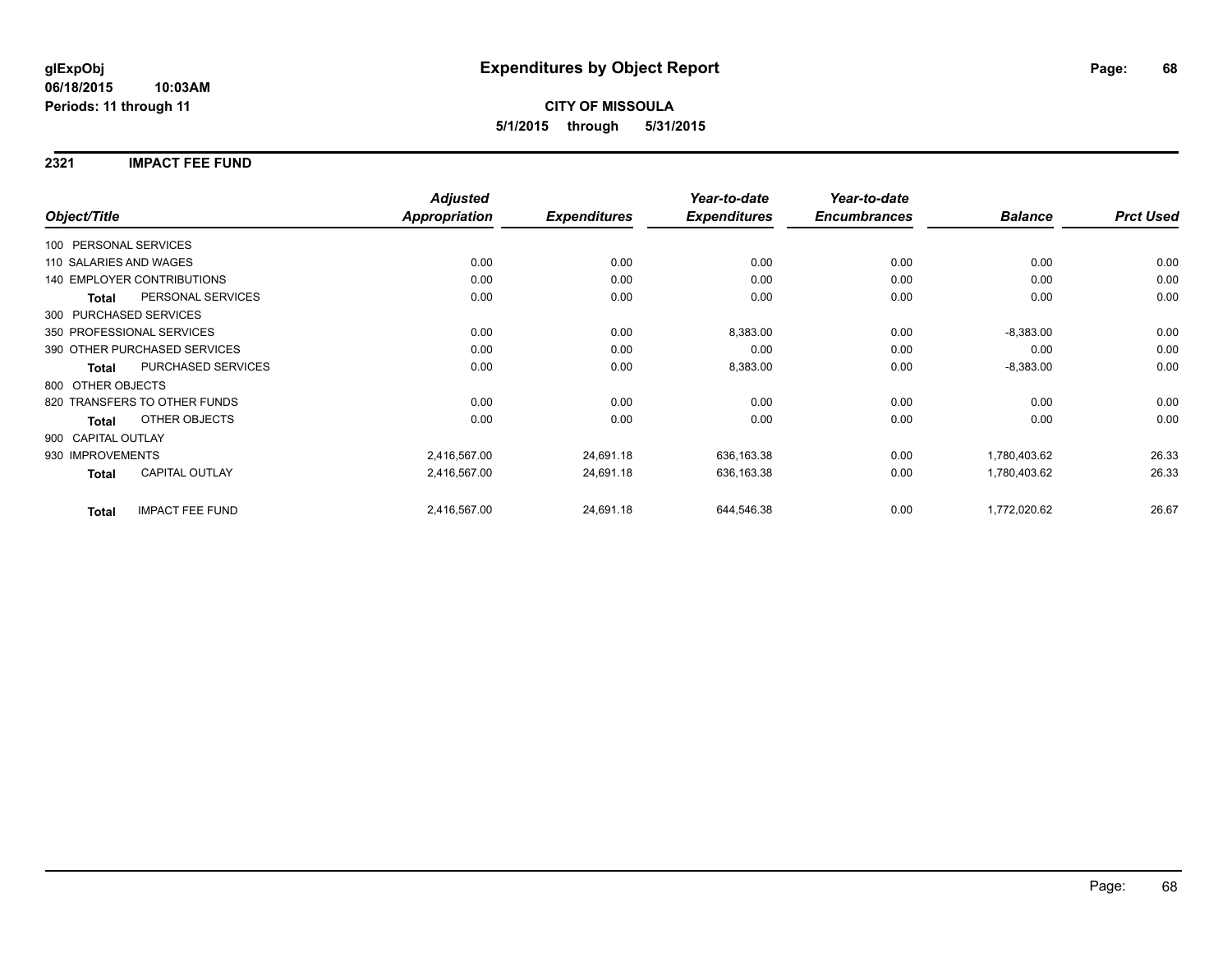### **2321 IMPACT FEE FUND**

|                        |                                   | <b>Adjusted</b>     |                     | Year-to-date        | Year-to-date   |                  |       |
|------------------------|-----------------------------------|---------------------|---------------------|---------------------|----------------|------------------|-------|
| Object/Title           | <b>Appropriation</b>              | <b>Expenditures</b> | <b>Expenditures</b> | <b>Encumbrances</b> | <b>Balance</b> | <b>Prct Used</b> |       |
| 100 PERSONAL SERVICES  |                                   |                     |                     |                     |                |                  |       |
| 110 SALARIES AND WAGES |                                   | 0.00                | 0.00                | 0.00                | 0.00           | 0.00             | 0.00  |
|                        | <b>140 EMPLOYER CONTRIBUTIONS</b> | 0.00                | 0.00                | 0.00                | 0.00           | 0.00             | 0.00  |
| <b>Total</b>           | PERSONAL SERVICES                 | 0.00                | 0.00                | 0.00                | 0.00           | 0.00             | 0.00  |
|                        | 300 PURCHASED SERVICES            |                     |                     |                     |                |                  |       |
|                        | 350 PROFESSIONAL SERVICES         | 0.00                | 0.00                | 8,383.00            | 0.00           | $-8,383.00$      | 0.00  |
|                        | 390 OTHER PURCHASED SERVICES      | 0.00                | 0.00                | 0.00                | 0.00           | 0.00             | 0.00  |
| Total                  | PURCHASED SERVICES                | 0.00                | 0.00                | 8,383.00            | 0.00           | $-8,383.00$      | 0.00  |
| 800 OTHER OBJECTS      |                                   |                     |                     |                     |                |                  |       |
|                        | 820 TRANSFERS TO OTHER FUNDS      | 0.00                | 0.00                | 0.00                | 0.00           | 0.00             | 0.00  |
| <b>Total</b>           | OTHER OBJECTS                     | 0.00                | 0.00                | 0.00                | 0.00           | 0.00             | 0.00  |
| 900 CAPITAL OUTLAY     |                                   |                     |                     |                     |                |                  |       |
| 930 IMPROVEMENTS       |                                   | 2,416,567.00        | 24,691.18           | 636,163.38          | 0.00           | 1,780,403.62     | 26.33 |
| <b>Total</b>           | <b>CAPITAL OUTLAY</b>             | 2,416,567.00        | 24,691.18           | 636,163.38          | 0.00           | 1,780,403.62     | 26.33 |
| <b>Total</b>           | <b>IMPACT FEE FUND</b>            | 2,416,567.00        | 24,691.18           | 644,546.38          | 0.00           | 1,772,020.62     | 26.67 |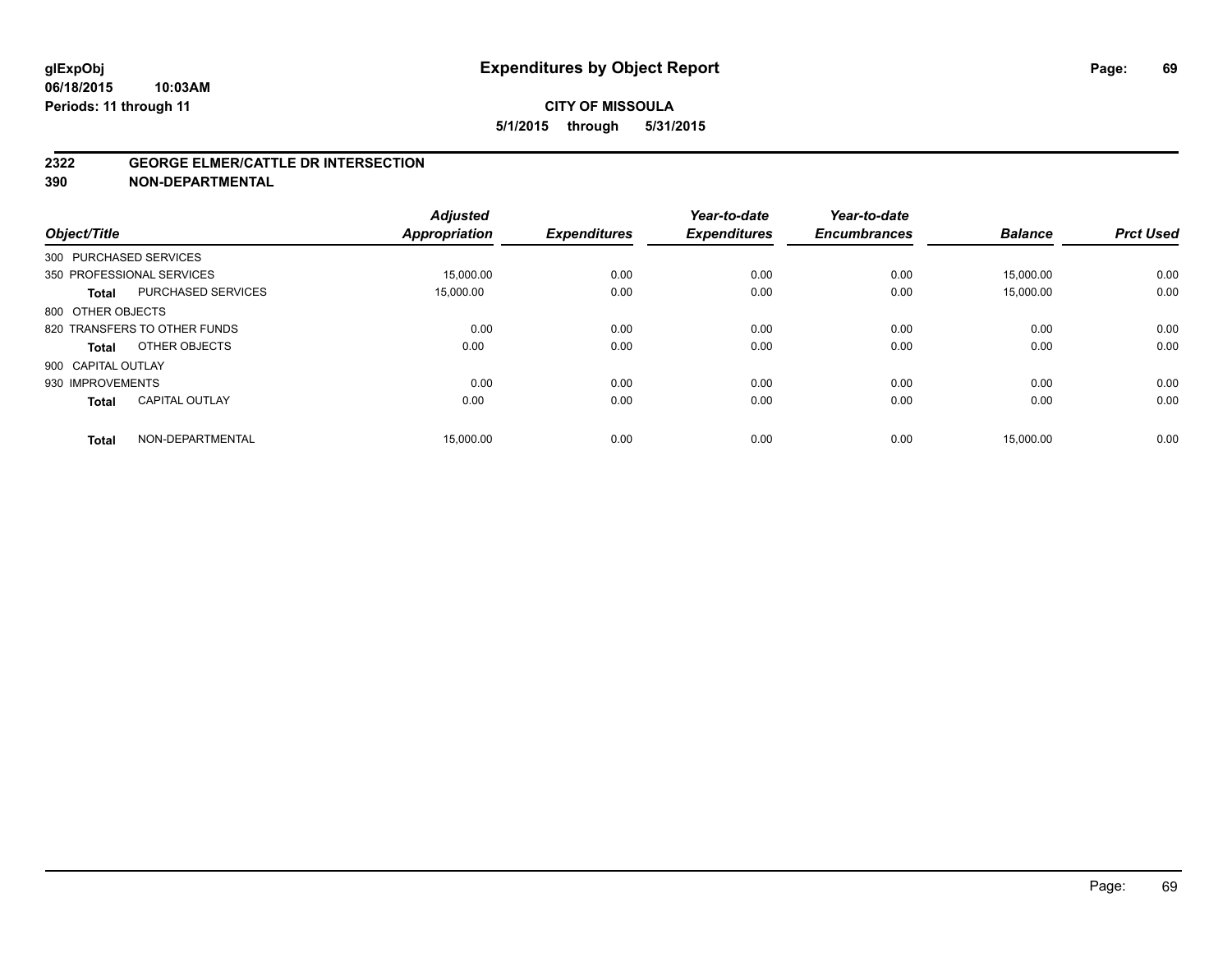### **CITY OF MISSOULA 5/1/2015 through 5/31/2015**

#### **2322 GEORGE ELMER/CATTLE DR INTERSECTION**

**390 NON-DEPARTMENTAL**

| Object/Title           |                              | <b>Adjusted</b><br><b>Appropriation</b> | <b>Expenditures</b> | Year-to-date<br><b>Expenditures</b> | Year-to-date<br><b>Encumbrances</b> | <b>Balance</b> | <b>Prct Used</b> |
|------------------------|------------------------------|-----------------------------------------|---------------------|-------------------------------------|-------------------------------------|----------------|------------------|
| 300 PURCHASED SERVICES |                              |                                         |                     |                                     |                                     |                |                  |
|                        | 350 PROFESSIONAL SERVICES    | 15,000.00                               | 0.00                | 0.00                                | 0.00                                | 15.000.00      | 0.00             |
| <b>Total</b>           | <b>PURCHASED SERVICES</b>    | 15,000.00                               | 0.00                | 0.00                                | 0.00                                | 15,000.00      | 0.00             |
| 800 OTHER OBJECTS      |                              |                                         |                     |                                     |                                     |                |                  |
|                        | 820 TRANSFERS TO OTHER FUNDS | 0.00                                    | 0.00                | 0.00                                | 0.00                                | 0.00           | 0.00             |
| Total                  | OTHER OBJECTS                | 0.00                                    | 0.00                | 0.00                                | 0.00                                | 0.00           | 0.00             |
| 900 CAPITAL OUTLAY     |                              |                                         |                     |                                     |                                     |                |                  |
| 930 IMPROVEMENTS       |                              | 0.00                                    | 0.00                | 0.00                                | 0.00                                | 0.00           | 0.00             |
| <b>Total</b>           | <b>CAPITAL OUTLAY</b>        | 0.00                                    | 0.00                | 0.00                                | 0.00                                | 0.00           | 0.00             |
| <b>Total</b>           | NON-DEPARTMENTAL             | 15,000.00                               | 0.00                | 0.00                                | 0.00                                | 15,000.00      | 0.00             |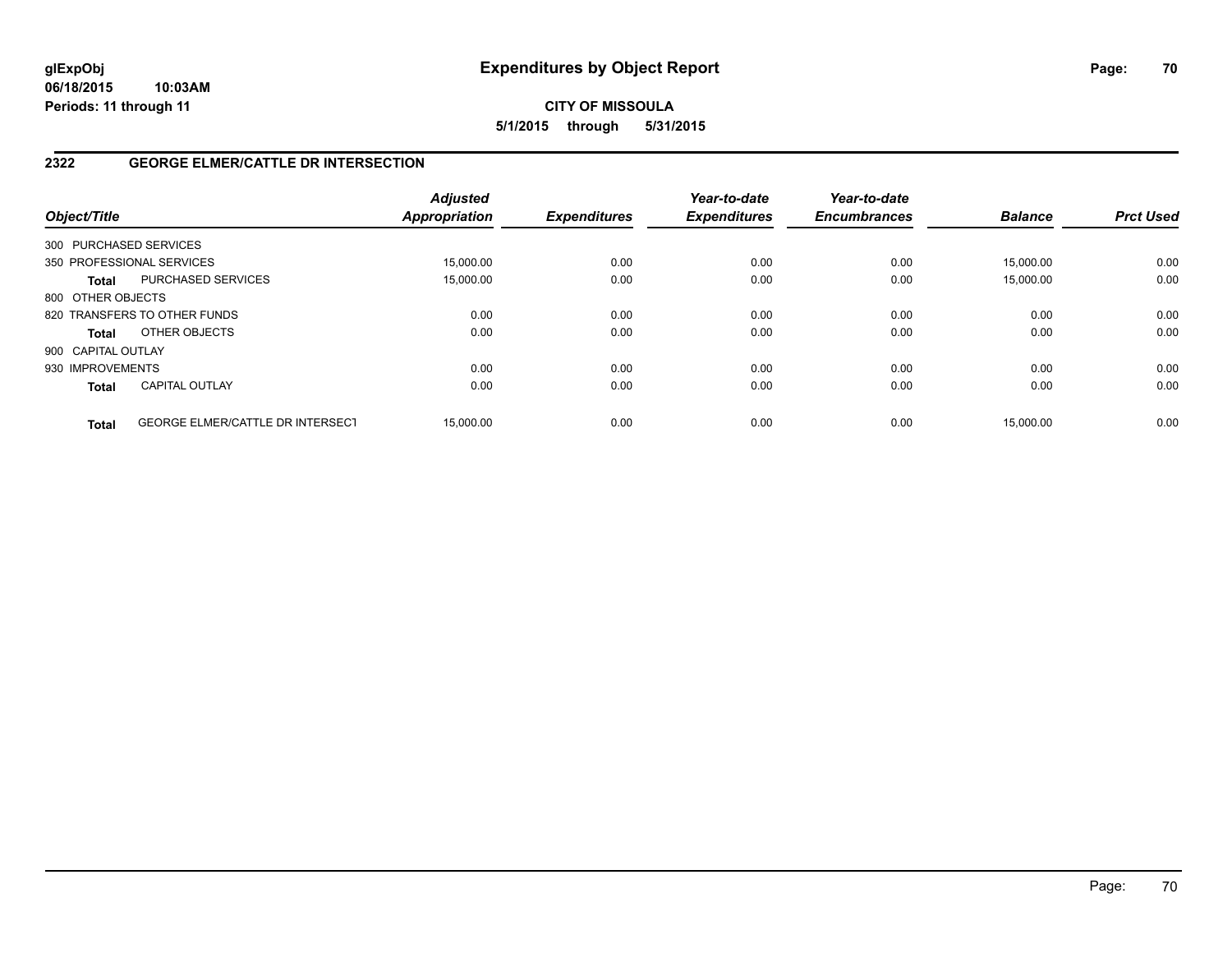# **2322 GEORGE ELMER/CATTLE DR INTERSECTION**

| Object/Title           |                                         | <b>Adjusted</b><br><b>Appropriation</b> | <b>Expenditures</b> | Year-to-date<br><b>Expenditures</b> | Year-to-date<br><b>Encumbrances</b> | <b>Balance</b> | <b>Prct Used</b> |
|------------------------|-----------------------------------------|-----------------------------------------|---------------------|-------------------------------------|-------------------------------------|----------------|------------------|
| 300 PURCHASED SERVICES |                                         |                                         |                     |                                     |                                     |                |                  |
|                        | 350 PROFESSIONAL SERVICES               | 15,000.00                               | 0.00                | 0.00                                | 0.00                                | 15,000.00      | 0.00             |
| <b>Total</b>           | <b>PURCHASED SERVICES</b>               | 15,000.00                               | 0.00                | 0.00                                | 0.00                                | 15,000.00      | 0.00             |
| 800 OTHER OBJECTS      |                                         |                                         |                     |                                     |                                     |                |                  |
|                        | 820 TRANSFERS TO OTHER FUNDS            | 0.00                                    | 0.00                | 0.00                                | 0.00                                | 0.00           | 0.00             |
| <b>Total</b>           | OTHER OBJECTS                           | 0.00                                    | 0.00                | 0.00                                | 0.00                                | 0.00           | 0.00             |
| 900 CAPITAL OUTLAY     |                                         |                                         |                     |                                     |                                     |                |                  |
| 930 IMPROVEMENTS       |                                         | 0.00                                    | 0.00                | 0.00                                | 0.00                                | 0.00           | 0.00             |
| <b>Total</b>           | <b>CAPITAL OUTLAY</b>                   | 0.00                                    | 0.00                | 0.00                                | 0.00                                | 0.00           | 0.00             |
| <b>Total</b>           | <b>GEORGE ELMER/CATTLE DR INTERSECT</b> | 15.000.00                               | 0.00                | 0.00                                | 0.00                                | 15.000.00      | 0.00             |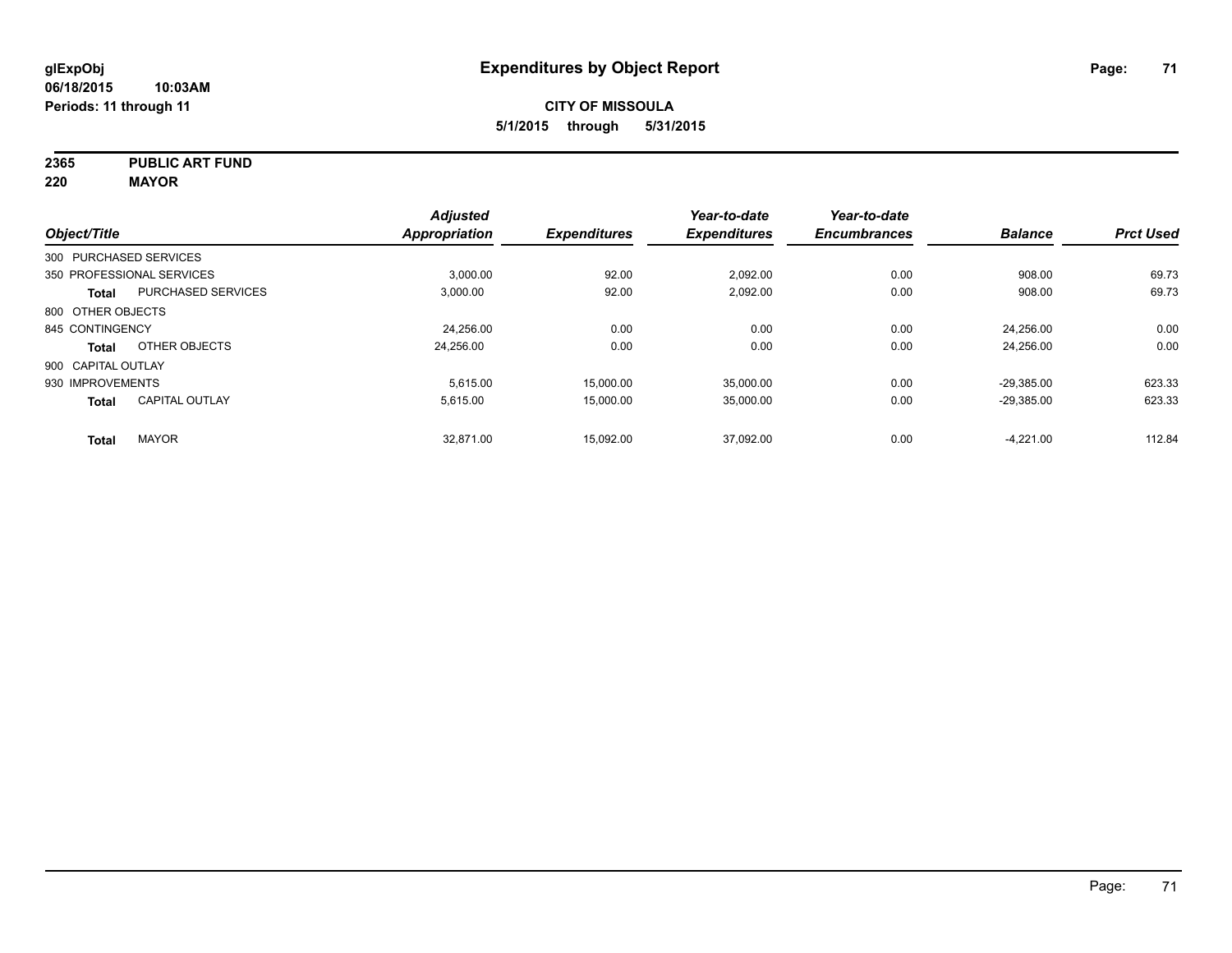**2365 PUBLIC ART FUND**

**220 MAYOR**

| Object/Title       |                           | <b>Adjusted</b><br>Appropriation | <b>Expenditures</b> | Year-to-date<br><b>Expenditures</b> | Year-to-date<br><b>Encumbrances</b> | <b>Balance</b> | <b>Prct Used</b> |
|--------------------|---------------------------|----------------------------------|---------------------|-------------------------------------|-------------------------------------|----------------|------------------|
|                    |                           |                                  |                     |                                     |                                     |                |                  |
|                    | 300 PURCHASED SERVICES    |                                  |                     |                                     |                                     |                |                  |
|                    | 350 PROFESSIONAL SERVICES | 3,000.00                         | 92.00               | 2,092.00                            | 0.00                                | 908.00         | 69.73            |
| <b>Total</b>       | <b>PURCHASED SERVICES</b> | 3.000.00                         | 92.00               | 2,092.00                            | 0.00                                | 908.00         | 69.73            |
| 800 OTHER OBJECTS  |                           |                                  |                     |                                     |                                     |                |                  |
| 845 CONTINGENCY    |                           | 24,256.00                        | 0.00                | 0.00                                | 0.00                                | 24.256.00      | 0.00             |
| Total              | OTHER OBJECTS             | 24.256.00                        | 0.00                | 0.00                                | 0.00                                | 24.256.00      | 0.00             |
| 900 CAPITAL OUTLAY |                           |                                  |                     |                                     |                                     |                |                  |
| 930 IMPROVEMENTS   |                           | 5.615.00                         | 15.000.00           | 35.000.00                           | 0.00                                | $-29.385.00$   | 623.33           |
| <b>Total</b>       | <b>CAPITAL OUTLAY</b>     | 5,615.00                         | 15,000.00           | 35,000.00                           | 0.00                                | $-29,385.00$   | 623.33           |
| <b>Total</b>       | <b>MAYOR</b>              | 32.871.00                        | 15,092.00           | 37.092.00                           | 0.00                                | $-4,221.00$    | 112.84           |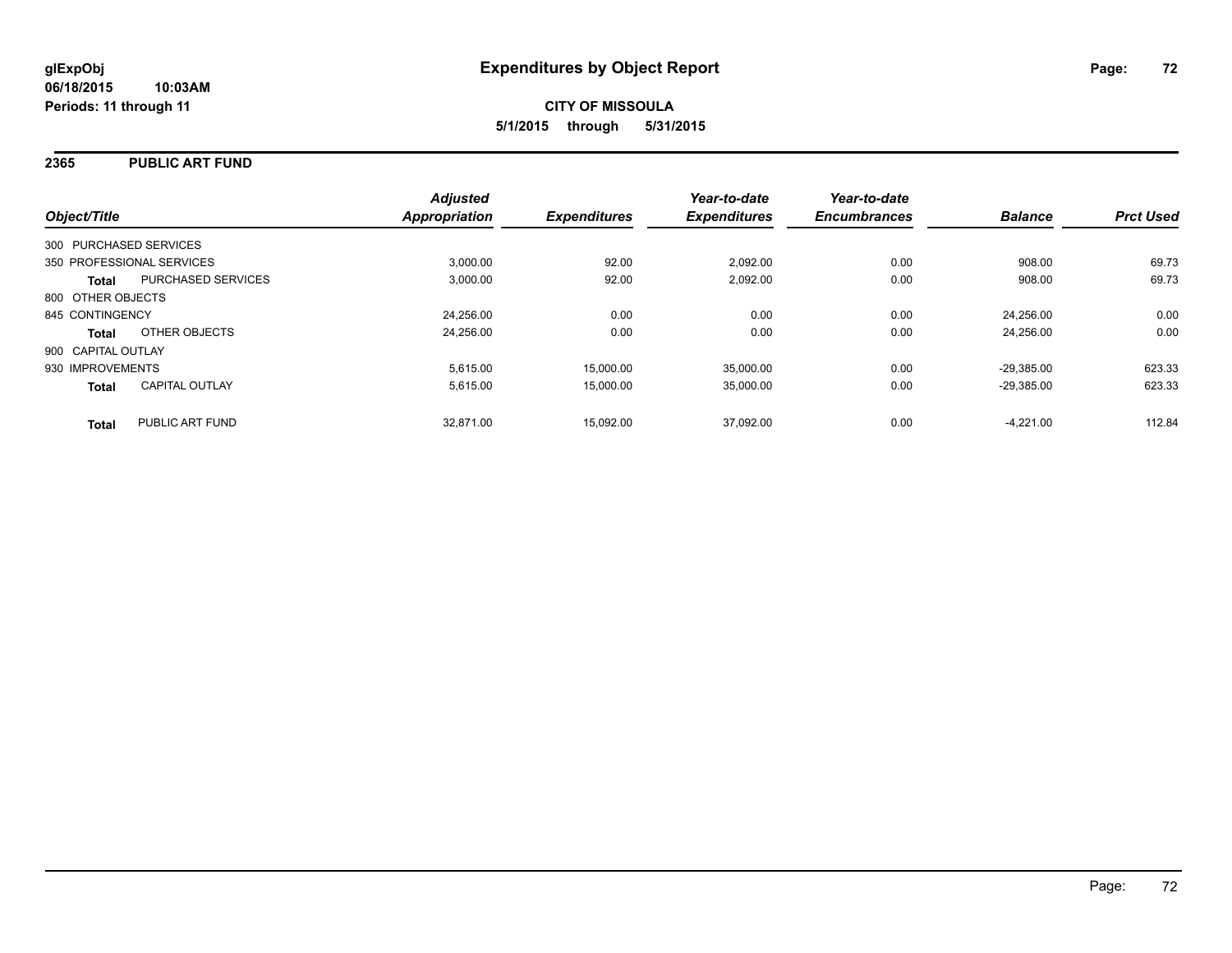### **2365 PUBLIC ART FUND**

| Object/Title                              | <b>Adjusted</b><br><b>Appropriation</b> | <b>Expenditures</b> | Year-to-date<br><b>Expenditures</b> | Year-to-date<br><b>Encumbrances</b> | <b>Balance</b> | <b>Prct Used</b> |
|-------------------------------------------|-----------------------------------------|---------------------|-------------------------------------|-------------------------------------|----------------|------------------|
| 300 PURCHASED SERVICES                    |                                         |                     |                                     |                                     |                |                  |
| 350 PROFESSIONAL SERVICES                 | 3.000.00                                | 92.00               | 2.092.00                            | 0.00                                | 908.00         | 69.73            |
| <b>PURCHASED SERVICES</b><br><b>Total</b> | 3.000.00                                | 92.00               | 2,092.00                            | 0.00                                | 908.00         | 69.73            |
| 800 OTHER OBJECTS                         |                                         |                     |                                     |                                     |                |                  |
| 845 CONTINGENCY                           | 24.256.00                               | 0.00                | 0.00                                | 0.00                                | 24.256.00      | 0.00             |
| OTHER OBJECTS<br><b>Total</b>             | 24,256.00                               | 0.00                | 0.00                                | 0.00                                | 24.256.00      | 0.00             |
| 900 CAPITAL OUTLAY                        |                                         |                     |                                     |                                     |                |                  |
| 930 IMPROVEMENTS                          | 5,615.00                                | 15,000.00           | 35,000.00                           | 0.00                                | $-29.385.00$   | 623.33           |
| <b>CAPITAL OUTLAY</b><br><b>Total</b>     | 5.615.00                                | 15,000.00           | 35,000.00                           | 0.00                                | $-29.385.00$   | 623.33           |
| PUBLIC ART FUND<br><b>Total</b>           | 32.871.00                               | 15,092.00           | 37.092.00                           | 0.00                                | $-4.221.00$    | 112.84           |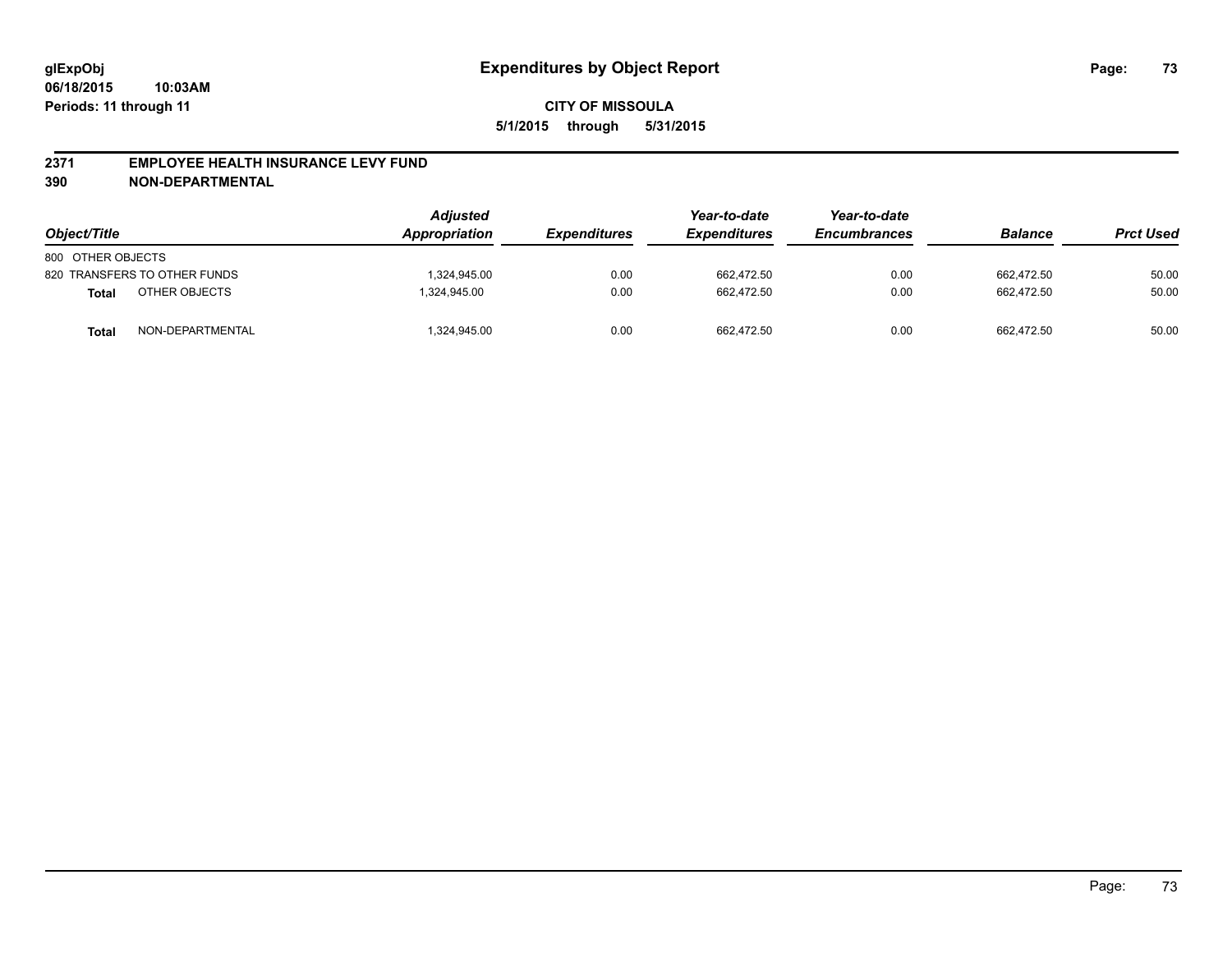#### **2371 EMPLOYEE HEALTH INSURANCE LEVY FUND**

**390 NON-DEPARTMENTAL**

| Object/Title      |                              | <b>Adjusted</b><br>Appropriation | <b>Expenditures</b> | Year-to-date<br><b>Expenditures</b> | Year-to-date<br><b>Encumbrances</b> | <b>Balance</b> | <b>Prct Used</b> |
|-------------------|------------------------------|----------------------------------|---------------------|-------------------------------------|-------------------------------------|----------------|------------------|
| 800 OTHER OBJECTS |                              |                                  |                     |                                     |                                     |                |                  |
|                   | 820 TRANSFERS TO OTHER FUNDS | 1.324.945.00                     | 0.00                | 662.472.50                          | 0.00                                | 662.472.50     | 50.00            |
| <b>Total</b>      | OTHER OBJECTS                | 1.324.945.00                     | 0.00                | 662.472.50                          | 0.00                                | 662.472.50     | 50.00            |
| Total             | NON-DEPARTMENTAL             | 1,324,945.00                     | 0.00                | 662,472.50                          | 0.00                                | 662.472.50     | 50.00            |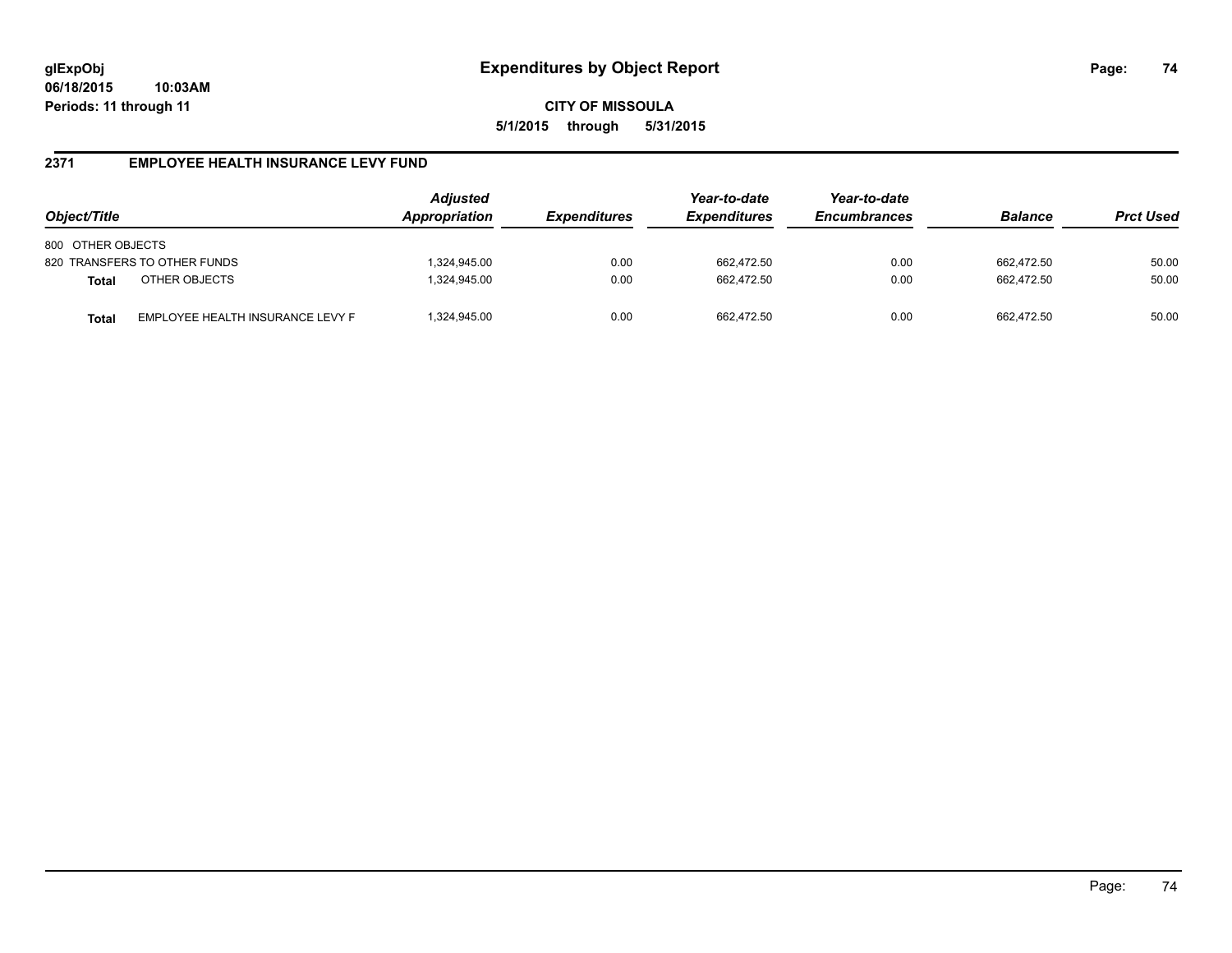#### **2371 EMPLOYEE HEALTH INSURANCE LEVY FUND**

| Object/Title                                     | Adjusted<br>Appropriation | <b>Expenditures</b> | Year-to-date<br><b>Expenditures</b> | Year-to-date<br><b>Encumbrances</b> | <b>Balance</b> | <b>Prct Used</b> |
|--------------------------------------------------|---------------------------|---------------------|-------------------------------------|-------------------------------------|----------------|------------------|
| 800 OTHER OBJECTS                                |                           |                     |                                     |                                     |                |                  |
| 820 TRANSFERS TO OTHER FUNDS                     | ,324,945.00               | 0.00                | 662,472.50                          | 0.00                                | 662.472.50     | 50.00            |
| OTHER OBJECTS<br><b>Total</b>                    | ,324,945.00               | 0.00                | 662.472.50                          | 0.00                                | 662.472.50     | 50.00            |
| EMPLOYEE HEALTH INSURANCE LEVY F<br><b>Total</b> | ,324,945.00               | 0.00                | 662.472.50                          | 0.00                                | 662.472.50     | 50.00            |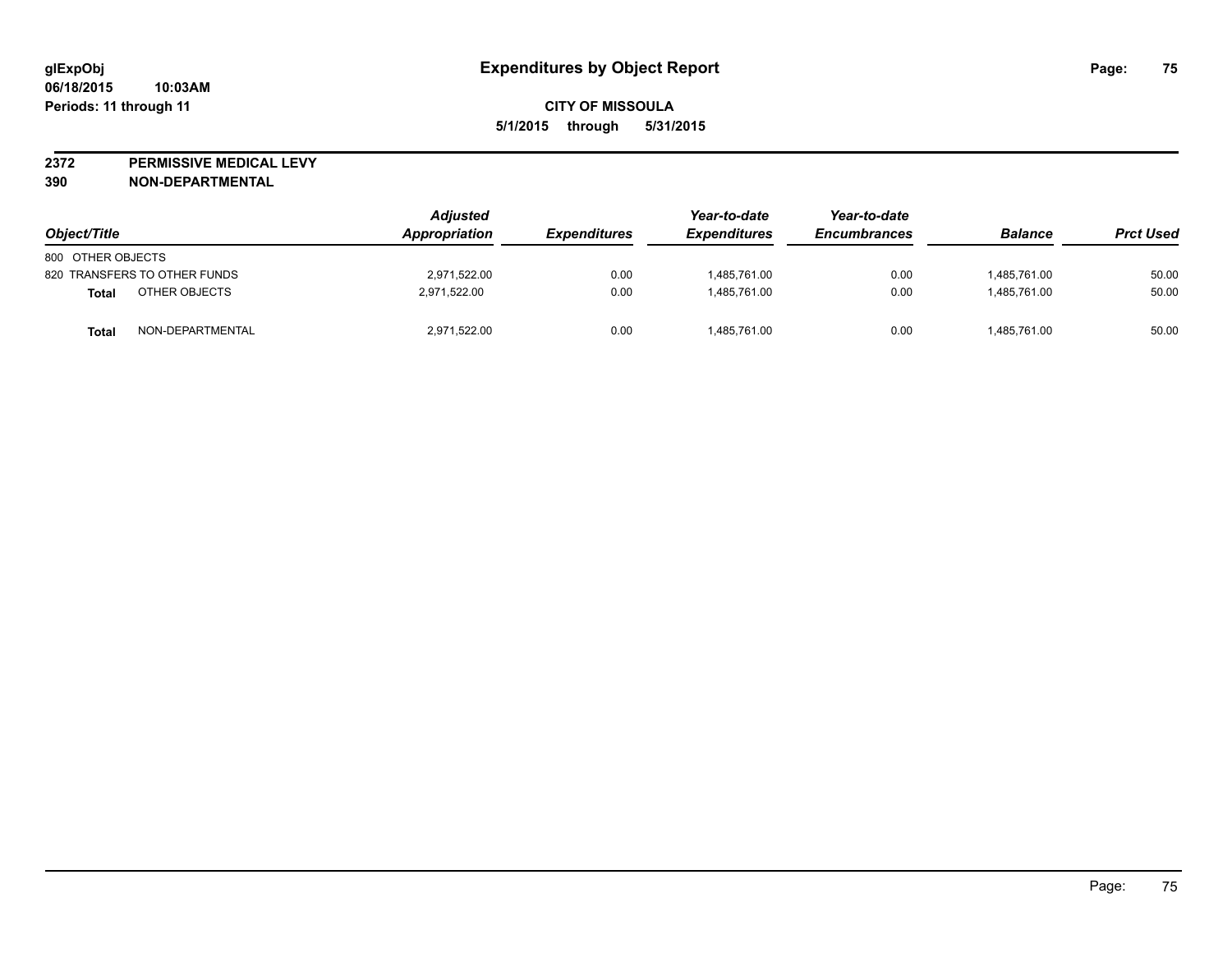**2372 PERMISSIVE MEDICAL LEVY**

**390 NON-DEPARTMENTAL**

| Object/Title                 | <b>Adjusted</b><br><b>Appropriation</b> | <i><b>Expenditures</b></i> | Year-to-date<br><b>Expenditures</b> | Year-to-date<br><b>Encumbrances</b> | <b>Balance</b> | <b>Prct Used</b> |
|------------------------------|-----------------------------------------|----------------------------|-------------------------------------|-------------------------------------|----------------|------------------|
| 800 OTHER OBJECTS            |                                         |                            |                                     |                                     |                |                  |
| 820 TRANSFERS TO OTHER FUNDS | 2,971,522.00                            | 0.00                       | 1,485,761.00                        | 0.00                                | 1,485,761.00   | 50.00            |
| OTHER OBJECTS<br>Total       | 2,971,522.00                            | 0.00                       | 1.485.761.00                        | 0.00                                | 1.485.761.00   | 50.00            |
| NON-DEPARTMENTAL<br>Total    | 2,971,522.00                            | 0.00                       | 1,485,761.00                        | 0.00                                | 1,485,761.00   | 50.00            |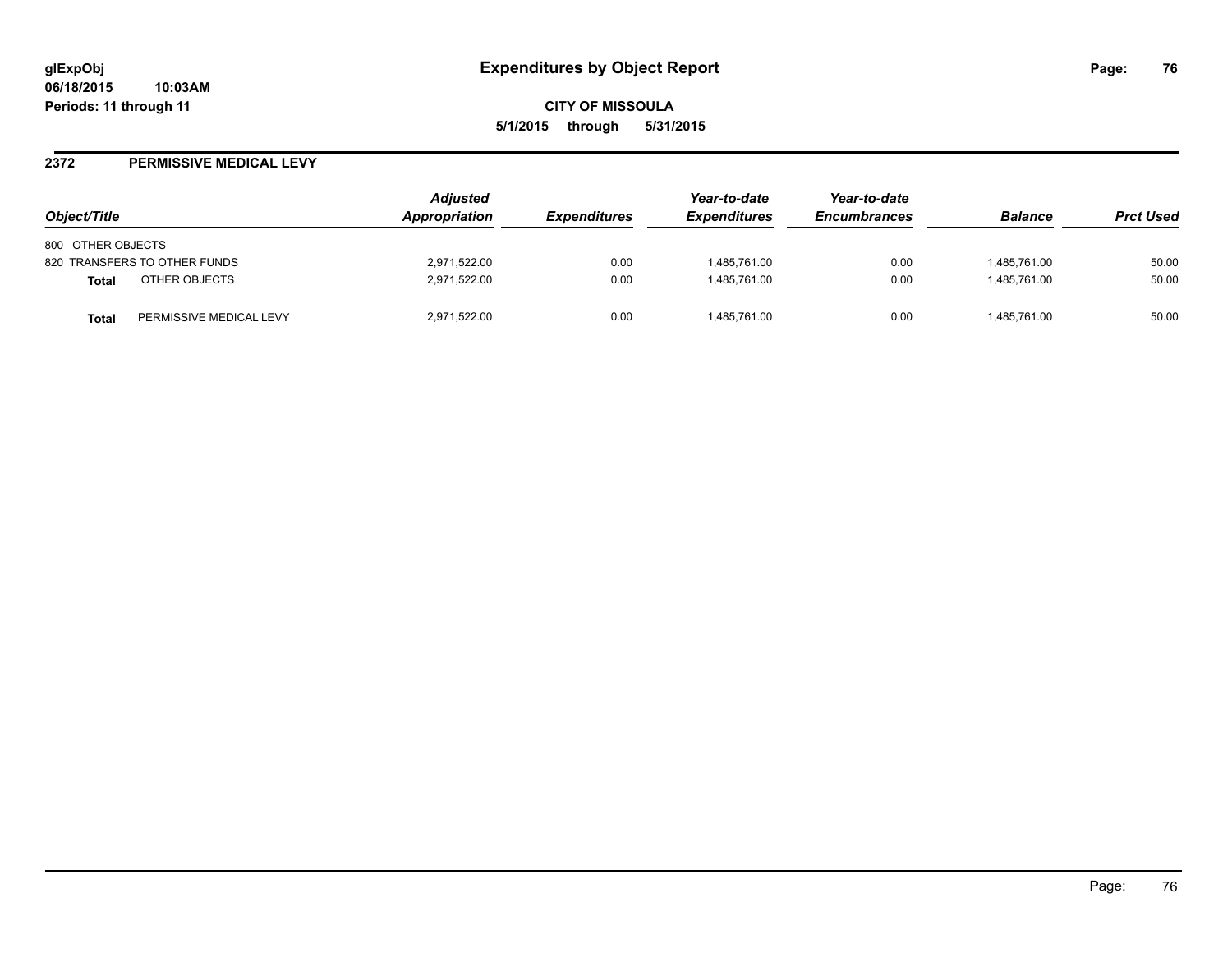#### **2372 PERMISSIVE MEDICAL LEVY**

| Object/Title                            | <b>Adjusted</b><br>Appropriation | <i><b>Expenditures</b></i> | Year-to-date<br><b>Expenditures</b> | Year-to-date<br><b>Encumbrances</b> | <b>Balance</b> | <b>Prct Used</b> |
|-----------------------------------------|----------------------------------|----------------------------|-------------------------------------|-------------------------------------|----------------|------------------|
| 800 OTHER OBJECTS                       |                                  |                            |                                     |                                     |                |                  |
| 820 TRANSFERS TO OTHER FUNDS            | 2,971,522.00                     | 0.00                       | 1,485,761.00                        | 0.00                                | 1,485,761.00   | 50.00            |
| OTHER OBJECTS<br><b>Total</b>           | 2,971,522.00                     | 0.00                       | 1,485,761.00                        | 0.00                                | 1,485,761.00   | 50.00            |
| PERMISSIVE MEDICAL LEVY<br><b>Total</b> | 2,971,522.00                     | 0.00                       | 1,485,761.00                        | 0.00                                | 1,485,761.00   | 50.00            |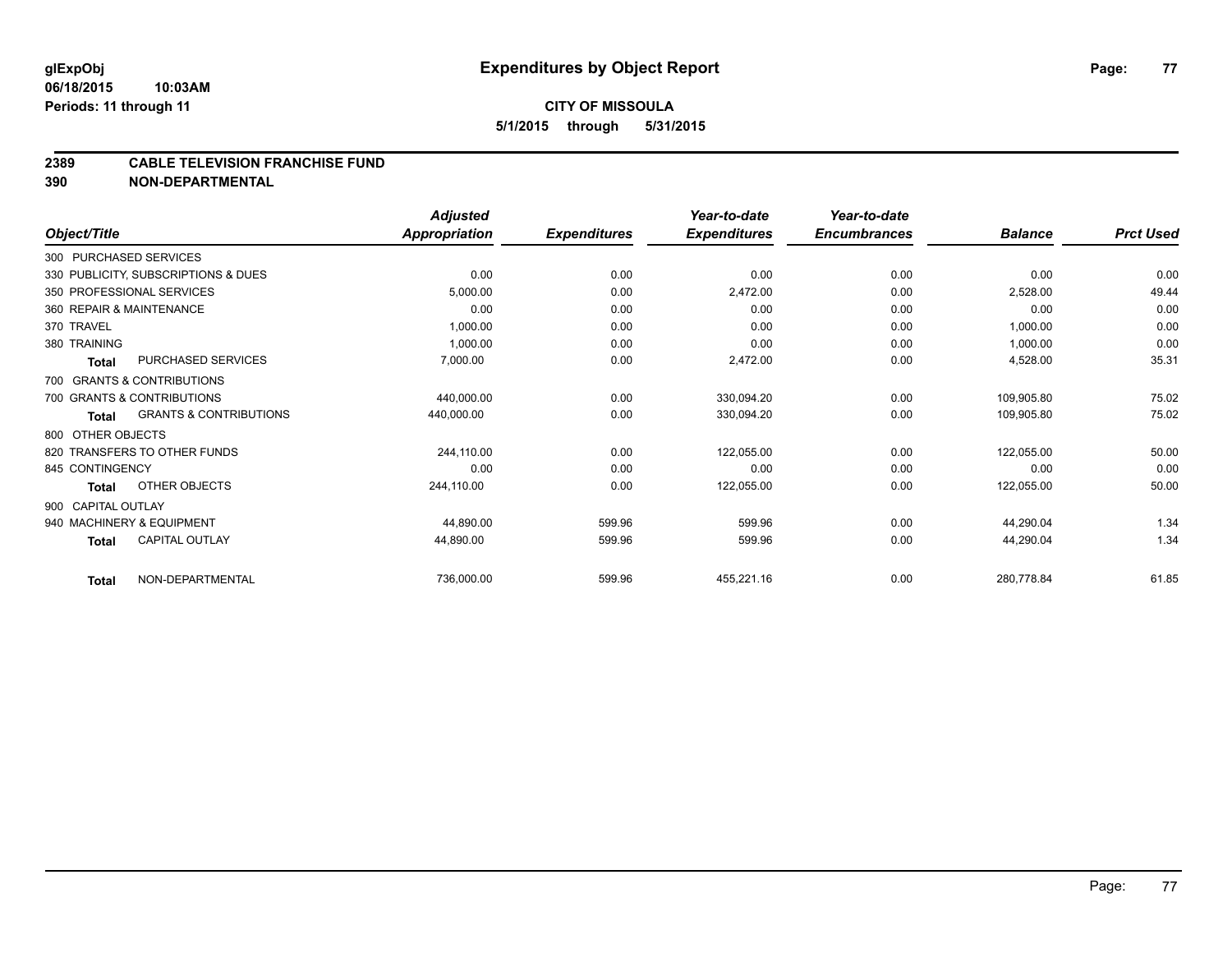## **CITY OF MISSOULA 5/1/2015 through 5/31/2015**

#### **2389 CABLE TELEVISION FRANCHISE FUND**

**390 NON-DEPARTMENTAL**

|                        |                                     | <b>Adjusted</b>      |                     | Year-to-date        | Year-to-date        |                |                  |
|------------------------|-------------------------------------|----------------------|---------------------|---------------------|---------------------|----------------|------------------|
| Object/Title           |                                     | <b>Appropriation</b> | <b>Expenditures</b> | <b>Expenditures</b> | <b>Encumbrances</b> | <b>Balance</b> | <b>Prct Used</b> |
| 300 PURCHASED SERVICES |                                     |                      |                     |                     |                     |                |                  |
|                        | 330 PUBLICITY, SUBSCRIPTIONS & DUES | 0.00                 | 0.00                | 0.00                | 0.00                | 0.00           | 0.00             |
|                        | 350 PROFESSIONAL SERVICES           | 5,000.00             | 0.00                | 2,472.00            | 0.00                | 2,528.00       | 49.44            |
|                        | 360 REPAIR & MAINTENANCE            | 0.00                 | 0.00                | 0.00                | 0.00                | 0.00           | 0.00             |
| 370 TRAVEL             |                                     | 1,000.00             | 0.00                | 0.00                | 0.00                | 1,000.00       | 0.00             |
| 380 TRAINING           |                                     | 1,000.00             | 0.00                | 0.00                | 0.00                | 1,000.00       | 0.00             |
| Total                  | PURCHASED SERVICES                  | 7,000.00             | 0.00                | 2,472.00            | 0.00                | 4,528.00       | 35.31            |
|                        | 700 GRANTS & CONTRIBUTIONS          |                      |                     |                     |                     |                |                  |
|                        | 700 GRANTS & CONTRIBUTIONS          | 440,000.00           | 0.00                | 330,094.20          | 0.00                | 109,905.80     | 75.02            |
| <b>Total</b>           | <b>GRANTS &amp; CONTRIBUTIONS</b>   | 440,000.00           | 0.00                | 330,094.20          | 0.00                | 109,905.80     | 75.02            |
| 800 OTHER OBJECTS      |                                     |                      |                     |                     |                     |                |                  |
|                        | 820 TRANSFERS TO OTHER FUNDS        | 244.110.00           | 0.00                | 122,055.00          | 0.00                | 122,055.00     | 50.00            |
| 845 CONTINGENCY        |                                     | 0.00                 | 0.00                | 0.00                | 0.00                | 0.00           | 0.00             |
| Total                  | OTHER OBJECTS                       | 244,110.00           | 0.00                | 122,055.00          | 0.00                | 122,055.00     | 50.00            |
| 900 CAPITAL OUTLAY     |                                     |                      |                     |                     |                     |                |                  |
|                        | 940 MACHINERY & EQUIPMENT           | 44,890.00            | 599.96              | 599.96              | 0.00                | 44,290.04      | 1.34             |
| Total                  | <b>CAPITAL OUTLAY</b>               | 44,890.00            | 599.96              | 599.96              | 0.00                | 44,290.04      | 1.34             |
| <b>Total</b>           | NON-DEPARTMENTAL                    | 736,000.00           | 599.96              | 455,221.16          | 0.00                | 280,778.84     | 61.85            |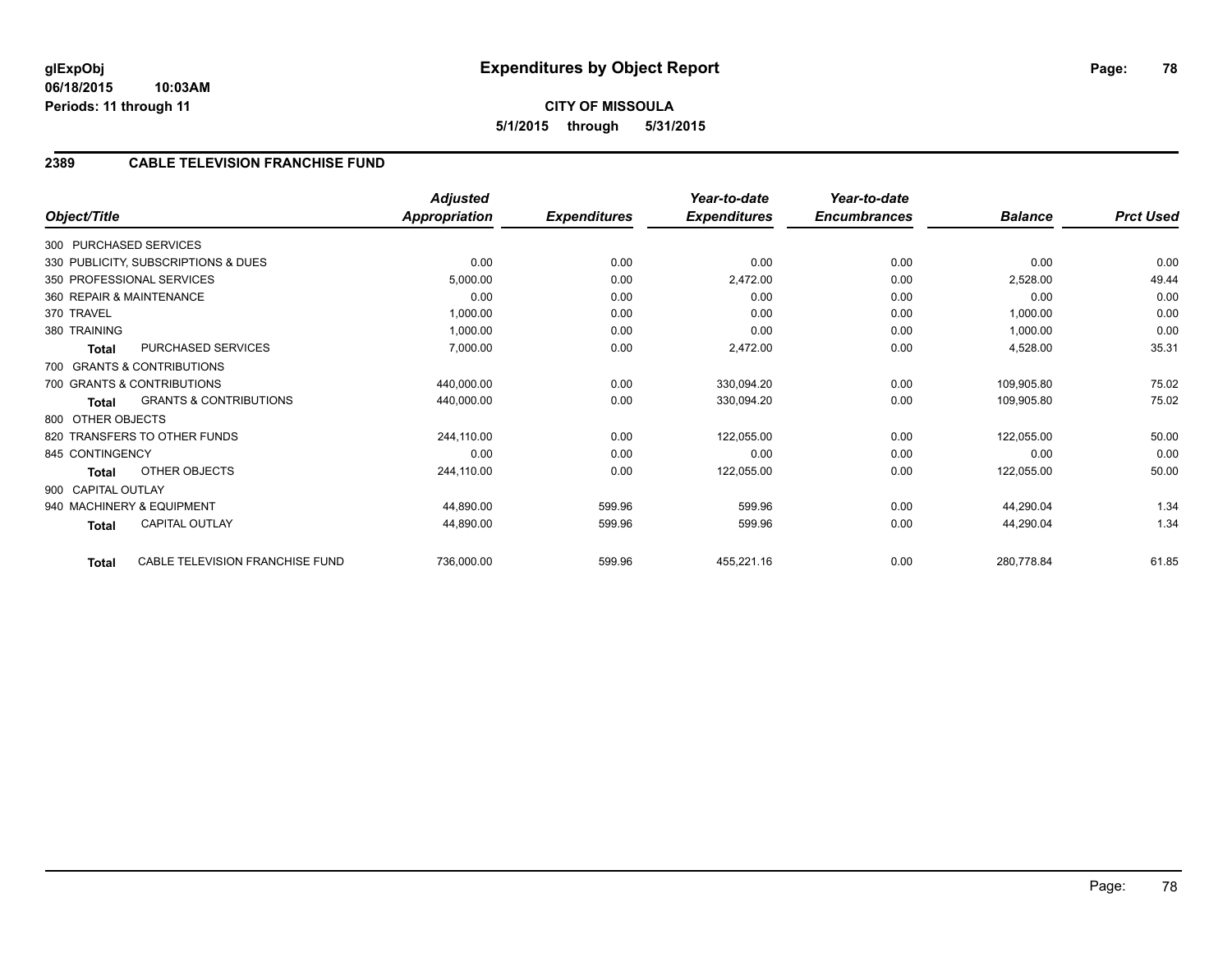## **2389 CABLE TELEVISION FRANCHISE FUND**

| Object/Title       |                                     | <b>Adjusted</b><br><b>Appropriation</b> | <b>Expenditures</b> | Year-to-date<br><b>Expenditures</b> | Year-to-date<br><b>Encumbrances</b> | <b>Balance</b> | <b>Prct Used</b> |
|--------------------|-------------------------------------|-----------------------------------------|---------------------|-------------------------------------|-------------------------------------|----------------|------------------|
|                    |                                     |                                         |                     |                                     |                                     |                |                  |
|                    | 300 PURCHASED SERVICES              |                                         |                     |                                     |                                     |                |                  |
|                    | 330 PUBLICITY, SUBSCRIPTIONS & DUES | 0.00                                    | 0.00                | 0.00                                | 0.00                                | 0.00           | 0.00             |
|                    | 350 PROFESSIONAL SERVICES           | 5,000.00                                | 0.00                | 2,472.00                            | 0.00                                | 2,528.00       | 49.44            |
|                    | 360 REPAIR & MAINTENANCE            | 0.00                                    | 0.00                | 0.00                                | 0.00                                | 0.00           | 0.00             |
| 370 TRAVEL         |                                     | 1,000.00                                | 0.00                | 0.00                                | 0.00                                | 1,000.00       | 0.00             |
| 380 TRAINING       |                                     | 1,000.00                                | 0.00                | 0.00                                | 0.00                                | 1,000.00       | 0.00             |
| <b>Total</b>       | PURCHASED SERVICES                  | 7,000.00                                | 0.00                | 2,472.00                            | 0.00                                | 4,528.00       | 35.31            |
|                    | 700 GRANTS & CONTRIBUTIONS          |                                         |                     |                                     |                                     |                |                  |
|                    | 700 GRANTS & CONTRIBUTIONS          | 440,000.00                              | 0.00                | 330,094.20                          | 0.00                                | 109,905.80     | 75.02            |
| Total              | <b>GRANTS &amp; CONTRIBUTIONS</b>   | 440,000.00                              | 0.00                | 330,094.20                          | 0.00                                | 109,905.80     | 75.02            |
| 800 OTHER OBJECTS  |                                     |                                         |                     |                                     |                                     |                |                  |
|                    | 820 TRANSFERS TO OTHER FUNDS        | 244,110.00                              | 0.00                | 122,055.00                          | 0.00                                | 122,055.00     | 50.00            |
| 845 CONTINGENCY    |                                     | 0.00                                    | 0.00                | 0.00                                | 0.00                                | 0.00           | 0.00             |
| <b>Total</b>       | OTHER OBJECTS                       | 244,110.00                              | 0.00                | 122,055.00                          | 0.00                                | 122,055.00     | 50.00            |
| 900 CAPITAL OUTLAY |                                     |                                         |                     |                                     |                                     |                |                  |
|                    | 940 MACHINERY & EQUIPMENT           | 44,890.00                               | 599.96              | 599.96                              | 0.00                                | 44,290.04      | 1.34             |
| Total              | <b>CAPITAL OUTLAY</b>               | 44,890.00                               | 599.96              | 599.96                              | 0.00                                | 44,290.04      | 1.34             |
| Total              | CABLE TELEVISION FRANCHISE FUND     | 736,000.00                              | 599.96              | 455,221.16                          | 0.00                                | 280,778.84     | 61.85            |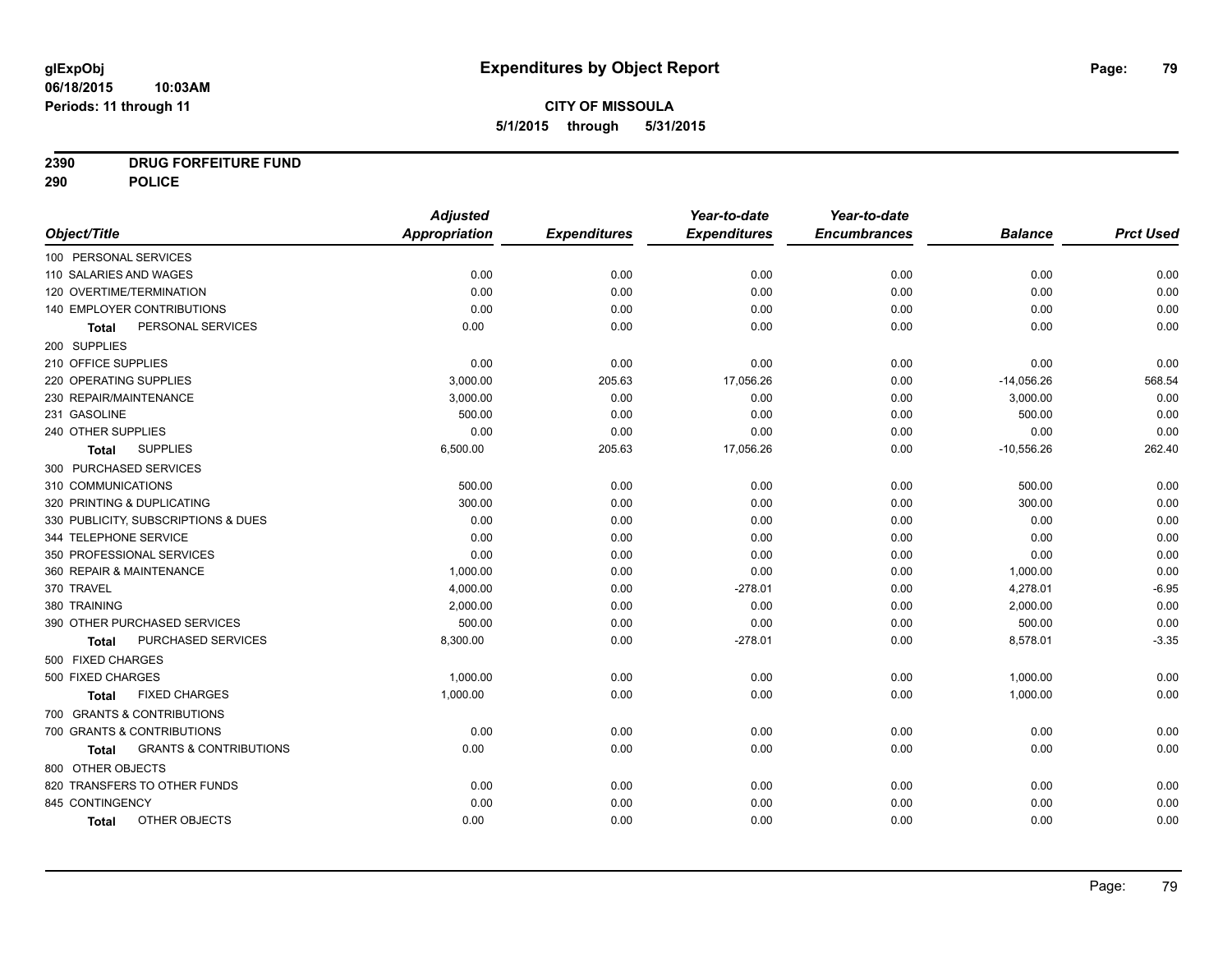# **2390 DRUG FORFEITURE FUND**

**290 POLICE**

|                                            | <b>Adjusted</b>      |                     | Year-to-date        | Year-to-date        |                |                  |
|--------------------------------------------|----------------------|---------------------|---------------------|---------------------|----------------|------------------|
| Object/Title                               | <b>Appropriation</b> | <b>Expenditures</b> | <b>Expenditures</b> | <b>Encumbrances</b> | <b>Balance</b> | <b>Prct Used</b> |
| 100 PERSONAL SERVICES                      |                      |                     |                     |                     |                |                  |
| 110 SALARIES AND WAGES                     | 0.00                 | 0.00                | 0.00                | 0.00                | 0.00           | 0.00             |
| 120 OVERTIME/TERMINATION                   | 0.00                 | 0.00                | 0.00                | 0.00                | 0.00           | 0.00             |
| 140 EMPLOYER CONTRIBUTIONS                 | 0.00                 | 0.00                | 0.00                | 0.00                | 0.00           | 0.00             |
| PERSONAL SERVICES<br><b>Total</b>          | 0.00                 | 0.00                | 0.00                | 0.00                | 0.00           | 0.00             |
| 200 SUPPLIES                               |                      |                     |                     |                     |                |                  |
| 210 OFFICE SUPPLIES                        | 0.00                 | 0.00                | 0.00                | 0.00                | 0.00           | 0.00             |
| 220 OPERATING SUPPLIES                     | 3,000.00             | 205.63              | 17,056.26           | 0.00                | $-14,056.26$   | 568.54           |
| 230 REPAIR/MAINTENANCE                     | 3,000.00             | 0.00                | 0.00                | 0.00                | 3,000.00       | 0.00             |
| 231 GASOLINE                               | 500.00               | 0.00                | 0.00                | 0.00                | 500.00         | 0.00             |
| 240 OTHER SUPPLIES                         | 0.00                 | 0.00                | 0.00                | 0.00                | 0.00           | 0.00             |
| <b>SUPPLIES</b><br><b>Total</b>            | 6,500.00             | 205.63              | 17,056.26           | 0.00                | $-10,556.26$   | 262.40           |
| 300 PURCHASED SERVICES                     |                      |                     |                     |                     |                |                  |
| 310 COMMUNICATIONS                         | 500.00               | 0.00                | 0.00                | 0.00                | 500.00         | 0.00             |
| 320 PRINTING & DUPLICATING                 | 300.00               | 0.00                | 0.00                | 0.00                | 300.00         | 0.00             |
| 330 PUBLICITY, SUBSCRIPTIONS & DUES        | 0.00                 | 0.00                | 0.00                | 0.00                | 0.00           | 0.00             |
| 344 TELEPHONE SERVICE                      | 0.00                 | 0.00                | 0.00                | 0.00                | 0.00           | 0.00             |
| 350 PROFESSIONAL SERVICES                  | 0.00                 | 0.00                | 0.00                | 0.00                | 0.00           | 0.00             |
| 360 REPAIR & MAINTENANCE                   | 1,000.00             | 0.00                | 0.00                | 0.00                | 1,000.00       | 0.00             |
| 370 TRAVEL                                 | 4,000.00             | 0.00                | $-278.01$           | 0.00                | 4,278.01       | $-6.95$          |
| 380 TRAINING                               | 2,000.00             | 0.00                | 0.00                | 0.00                | 2,000.00       | 0.00             |
| 390 OTHER PURCHASED SERVICES               | 500.00               | 0.00                | 0.00                | 0.00                | 500.00         | 0.00             |
| PURCHASED SERVICES<br><b>Total</b>         | 8,300.00             | 0.00                | $-278.01$           | 0.00                | 8,578.01       | $-3.35$          |
| 500 FIXED CHARGES                          |                      |                     |                     |                     |                |                  |
| 500 FIXED CHARGES                          | 1,000.00             | 0.00                | 0.00                | 0.00                | 1,000.00       | 0.00             |
| <b>FIXED CHARGES</b><br>Total              | 1,000.00             | 0.00                | 0.00                | 0.00                | 1,000.00       | 0.00             |
| 700 GRANTS & CONTRIBUTIONS                 |                      |                     |                     |                     |                |                  |
| 700 GRANTS & CONTRIBUTIONS                 | 0.00                 | 0.00                | 0.00                | 0.00                | 0.00           | 0.00             |
| <b>GRANTS &amp; CONTRIBUTIONS</b><br>Total | 0.00                 | 0.00                | 0.00                | 0.00                | 0.00           | 0.00             |
| 800 OTHER OBJECTS                          |                      |                     |                     |                     |                |                  |
| 820 TRANSFERS TO OTHER FUNDS               | 0.00                 | 0.00                | 0.00                | 0.00                | 0.00           | 0.00             |
| 845 CONTINGENCY                            | 0.00                 | 0.00                | 0.00                | 0.00                | 0.00           | 0.00             |
| OTHER OBJECTS<br><b>Total</b>              | 0.00                 | 0.00                | 0.00                | 0.00                | 0.00           | 0.00             |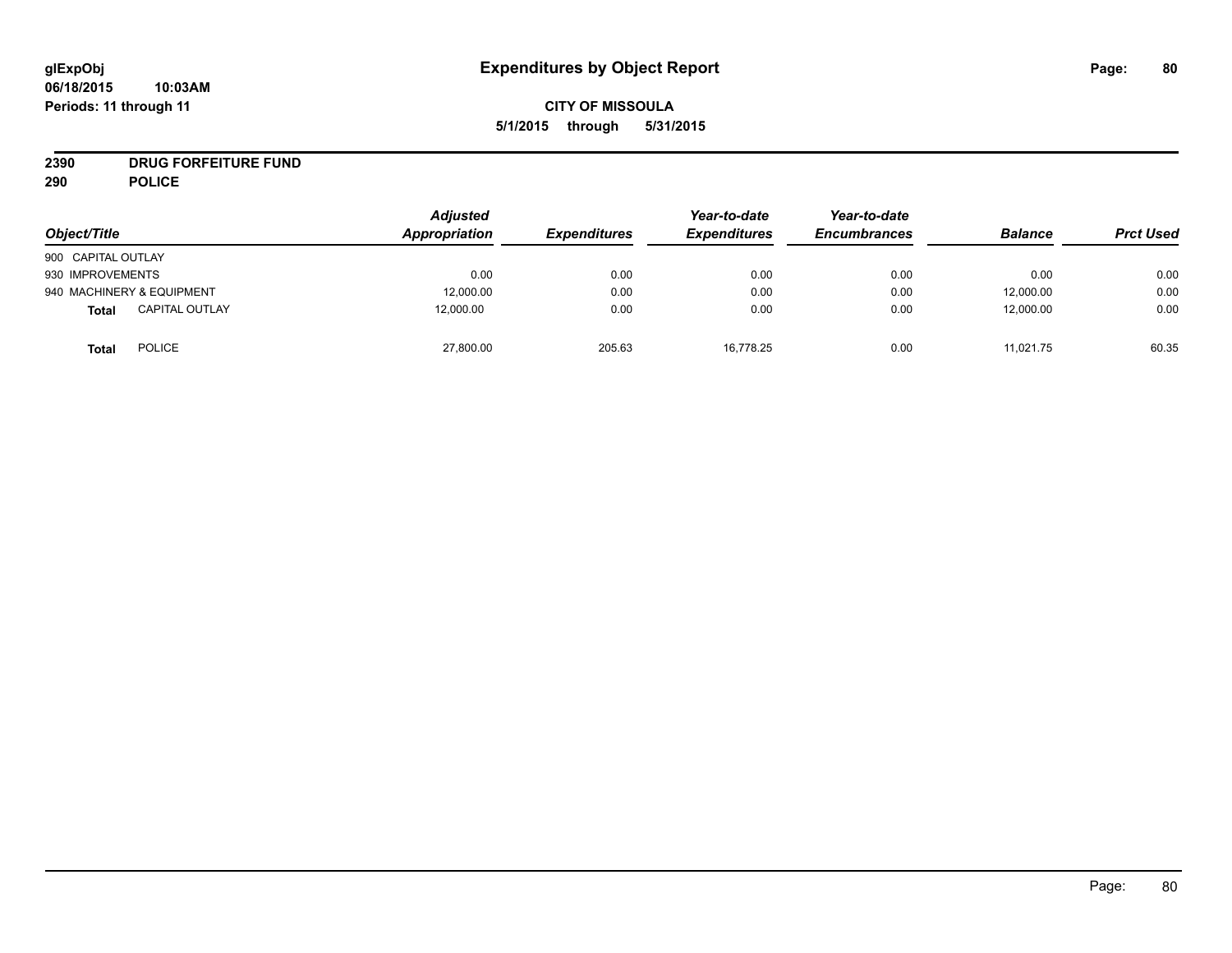# **CITY OF MISSOULA 5/1/2015 through 5/31/2015**

# **2390 DRUG FORFEITURE FUND**

**290 POLICE**

| Object/Title                          | <b>Adjusted</b><br>Appropriation | <i><b>Expenditures</b></i> | Year-to-date<br><b>Expenditures</b> | Year-to-date<br><b>Encumbrances</b> | <b>Balance</b> | <b>Prct Used</b> |
|---------------------------------------|----------------------------------|----------------------------|-------------------------------------|-------------------------------------|----------------|------------------|
| 900 CAPITAL OUTLAY                    |                                  |                            |                                     |                                     |                |                  |
| 930 IMPROVEMENTS                      | 0.00                             | 0.00                       | 0.00                                | 0.00                                | 0.00           | 0.00             |
| 940 MACHINERY & EQUIPMENT             | 12,000.00                        | 0.00                       | 0.00                                | 0.00                                | 12,000.00      | 0.00             |
| <b>CAPITAL OUTLAY</b><br><b>Total</b> | 12,000.00                        | 0.00                       | 0.00                                | 0.00                                | 12,000.00      | 0.00             |
| <b>POLICE</b><br>Total                | 27,800.00                        | 205.63                     | 16.778.25                           | 0.00                                | 11,021.75      | 60.35            |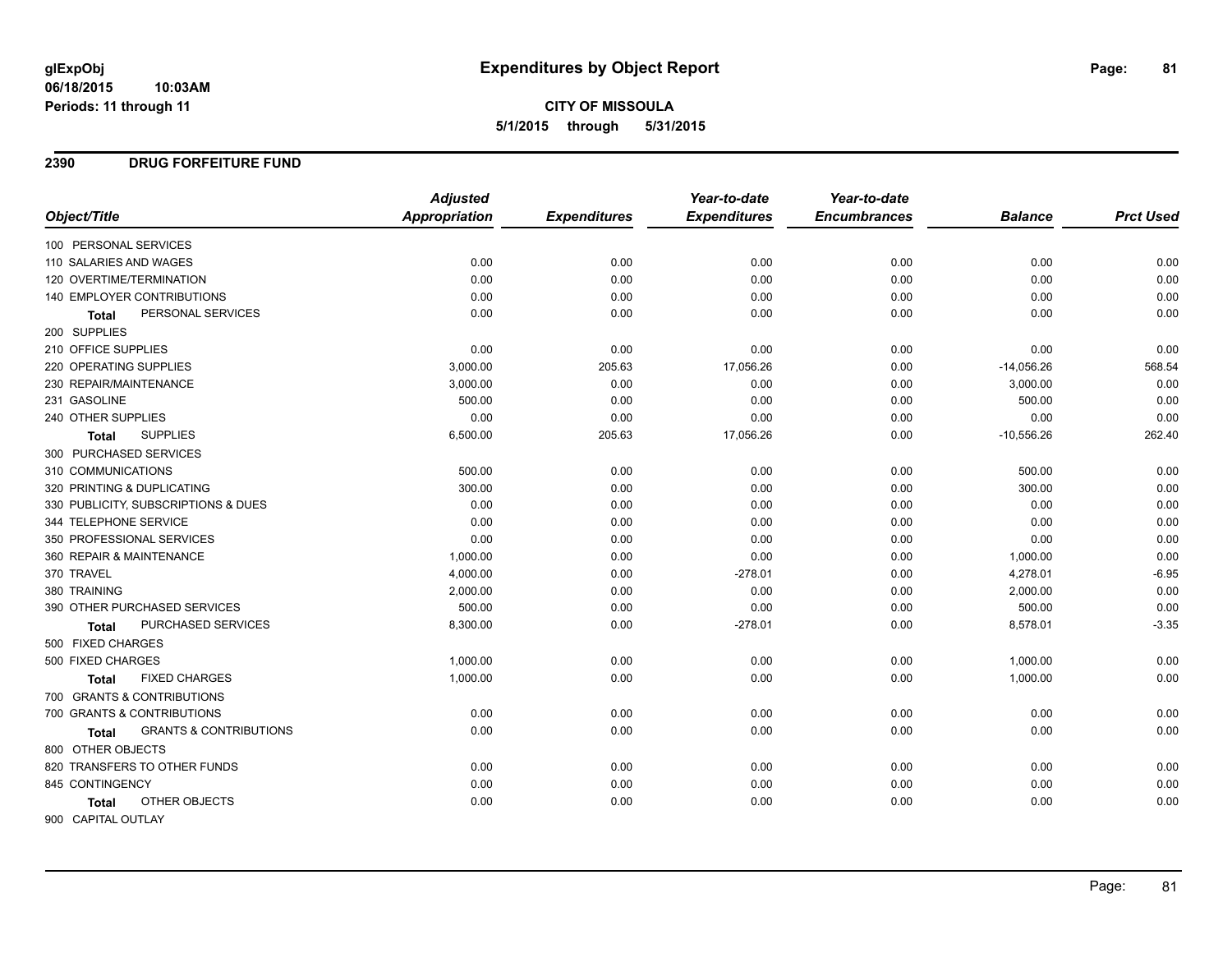# **CITY OF MISSOULA 5/1/2015 through 5/31/2015**

#### **2390 DRUG FORFEITURE FUND**

|                                                   | <b>Adjusted</b>      |                     | Year-to-date        | Year-to-date        |                |                  |
|---------------------------------------------------|----------------------|---------------------|---------------------|---------------------|----------------|------------------|
| Object/Title                                      | <b>Appropriation</b> | <b>Expenditures</b> | <b>Expenditures</b> | <b>Encumbrances</b> | <b>Balance</b> | <b>Prct Used</b> |
| 100 PERSONAL SERVICES                             |                      |                     |                     |                     |                |                  |
| 110 SALARIES AND WAGES                            | 0.00                 | 0.00                | 0.00                | 0.00                | 0.00           | 0.00             |
| 120 OVERTIME/TERMINATION                          | 0.00                 | 0.00                | 0.00                | 0.00                | 0.00           | 0.00             |
| <b>140 EMPLOYER CONTRIBUTIONS</b>                 | 0.00                 | 0.00                | 0.00                | 0.00                | 0.00           | 0.00             |
| PERSONAL SERVICES<br><b>Total</b>                 | 0.00                 | 0.00                | 0.00                | 0.00                | 0.00           | 0.00             |
| 200 SUPPLIES                                      |                      |                     |                     |                     |                |                  |
| 210 OFFICE SUPPLIES                               | 0.00                 | 0.00                | 0.00                | 0.00                | 0.00           | 0.00             |
| 220 OPERATING SUPPLIES                            | 3,000.00             | 205.63              | 17,056.26           | 0.00                | $-14,056.26$   | 568.54           |
| 230 REPAIR/MAINTENANCE                            | 3,000.00             | 0.00                | 0.00                | 0.00                | 3,000.00       | 0.00             |
| 231 GASOLINE                                      | 500.00               | 0.00                | 0.00                | 0.00                | 500.00         | 0.00             |
| 240 OTHER SUPPLIES                                | 0.00                 | 0.00                | 0.00                | 0.00                | 0.00           | 0.00             |
| <b>SUPPLIES</b><br><b>Total</b>                   | 6,500.00             | 205.63              | 17,056.26           | 0.00                | $-10,556.26$   | 262.40           |
| 300 PURCHASED SERVICES                            |                      |                     |                     |                     |                |                  |
| 310 COMMUNICATIONS                                | 500.00               | 0.00                | 0.00                | 0.00                | 500.00         | 0.00             |
| 320 PRINTING & DUPLICATING                        | 300.00               | 0.00                | 0.00                | 0.00                | 300.00         | 0.00             |
| 330 PUBLICITY, SUBSCRIPTIONS & DUES               | 0.00                 | 0.00                | 0.00                | 0.00                | 0.00           | 0.00             |
| 344 TELEPHONE SERVICE                             | 0.00                 | 0.00                | 0.00                | 0.00                | 0.00           | 0.00             |
| 350 PROFESSIONAL SERVICES                         | 0.00                 | 0.00                | 0.00                | 0.00                | 0.00           | 0.00             |
| 360 REPAIR & MAINTENANCE                          | 1,000.00             | 0.00                | 0.00                | 0.00                | 1,000.00       | 0.00             |
| 370 TRAVEL                                        | 4,000.00             | 0.00                | $-278.01$           | 0.00                | 4,278.01       | $-6.95$          |
| 380 TRAINING                                      | 2,000.00             | 0.00                | 0.00                | 0.00                | 2,000.00       | 0.00             |
| 390 OTHER PURCHASED SERVICES                      | 500.00               | 0.00                | 0.00                | 0.00                | 500.00         | 0.00             |
| PURCHASED SERVICES<br><b>Total</b>                | 8,300.00             | 0.00                | $-278.01$           | 0.00                | 8,578.01       | $-3.35$          |
| 500 FIXED CHARGES                                 |                      |                     |                     |                     |                |                  |
| 500 FIXED CHARGES                                 | 1,000.00             | 0.00                | 0.00                | 0.00                | 1,000.00       | 0.00             |
| <b>FIXED CHARGES</b><br><b>Total</b>              | 1,000.00             | 0.00                | 0.00                | 0.00                | 1,000.00       | 0.00             |
| 700 GRANTS & CONTRIBUTIONS                        |                      |                     |                     |                     |                |                  |
| 700 GRANTS & CONTRIBUTIONS                        | 0.00                 | 0.00                | 0.00                | 0.00                | 0.00           | 0.00             |
| <b>GRANTS &amp; CONTRIBUTIONS</b><br><b>Total</b> | 0.00                 | 0.00                | 0.00                | 0.00                | 0.00           | 0.00             |
| 800 OTHER OBJECTS                                 |                      |                     |                     |                     |                |                  |
| 820 TRANSFERS TO OTHER FUNDS                      | 0.00                 | 0.00                | 0.00                | 0.00                | 0.00           | 0.00             |
| 845 CONTINGENCY                                   | 0.00                 | 0.00                | 0.00                | 0.00                | 0.00           | 0.00             |
| OTHER OBJECTS<br><b>Total</b>                     | 0.00                 | 0.00                | 0.00                | 0.00                | 0.00           | 0.00             |
| 900 CAPITAL OUTLAY                                |                      |                     |                     |                     |                |                  |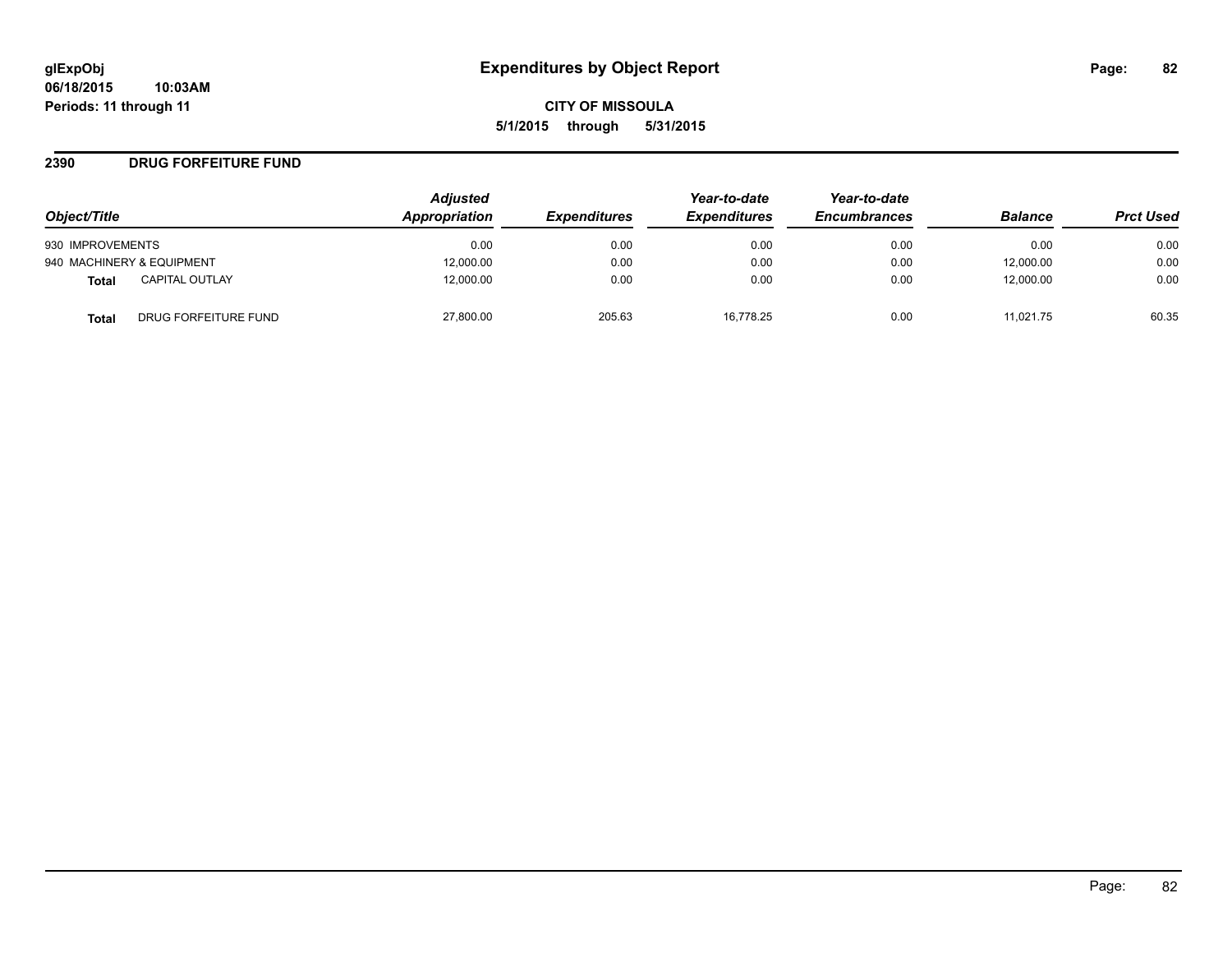#### **2390 DRUG FORFEITURE FUND**

| Object/Title                         | <b>Adjusted</b><br>Appropriation | <b>Expenditures</b> | Year-to-date<br><b>Expenditures</b> | Year-to-date<br><b>Encumbrances</b> | <b>Balance</b> | <b>Prct Used</b> |
|--------------------------------------|----------------------------------|---------------------|-------------------------------------|-------------------------------------|----------------|------------------|
| 930 IMPROVEMENTS                     | 0.00                             | 0.00                | 0.00                                | 0.00                                | 0.00           | 0.00             |
| 940 MACHINERY & EQUIPMENT            | 12,000.00                        | 0.00                | 0.00                                | 0.00                                | 12,000.00      | 0.00             |
| <b>CAPITAL OUTLAY</b><br>Total       | 12,000.00                        | 0.00                | 0.00                                | 0.00                                | 12,000.00      | 0.00             |
| DRUG FORFEITURE FUND<br><b>Total</b> | 27,800.00                        | 205.63              | 16.778.25                           | 0.00                                | 11.021.75      | 60.35            |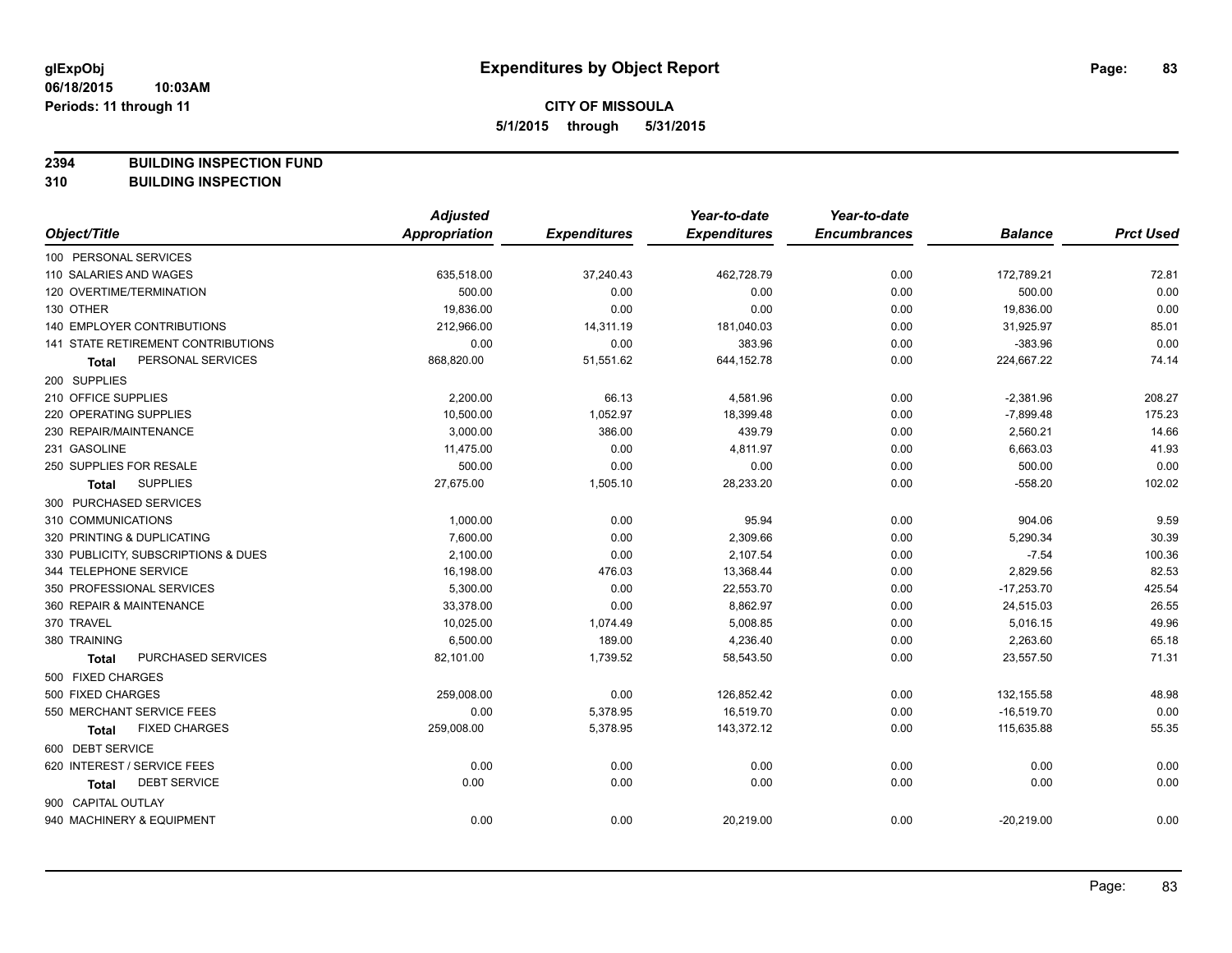**2394 BUILDING INSPECTION FUND**

**310 BUILDING INSPECTION**

|                                           | <b>Adjusted</b>      |                     | Year-to-date        | Year-to-date        |                |                  |
|-------------------------------------------|----------------------|---------------------|---------------------|---------------------|----------------|------------------|
| Object/Title                              | <b>Appropriation</b> | <b>Expenditures</b> | <b>Expenditures</b> | <b>Encumbrances</b> | <b>Balance</b> | <b>Prct Used</b> |
| 100 PERSONAL SERVICES                     |                      |                     |                     |                     |                |                  |
| 110 SALARIES AND WAGES                    | 635,518.00           | 37,240.43           | 462,728.79          | 0.00                | 172,789.21     | 72.81            |
| 120 OVERTIME/TERMINATION                  | 500.00               | 0.00                | 0.00                | 0.00                | 500.00         | 0.00             |
| 130 OTHER                                 | 19,836.00            | 0.00                | 0.00                | 0.00                | 19,836.00      | 0.00             |
| 140 EMPLOYER CONTRIBUTIONS                | 212,966.00           | 14,311.19           | 181,040.03          | 0.00                | 31,925.97      | 85.01            |
| <b>141 STATE RETIREMENT CONTRIBUTIONS</b> | 0.00                 | 0.00                | 383.96              | 0.00                | $-383.96$      | 0.00             |
| PERSONAL SERVICES<br><b>Total</b>         | 868,820.00           | 51,551.62           | 644,152.78          | 0.00                | 224,667.22     | 74.14            |
| 200 SUPPLIES                              |                      |                     |                     |                     |                |                  |
| 210 OFFICE SUPPLIES                       | 2,200.00             | 66.13               | 4,581.96            | 0.00                | $-2,381.96$    | 208.27           |
| 220 OPERATING SUPPLIES                    | 10,500.00            | 1,052.97            | 18,399.48           | 0.00                | $-7,899.48$    | 175.23           |
| 230 REPAIR/MAINTENANCE                    | 3,000.00             | 386.00              | 439.79              | 0.00                | 2,560.21       | 14.66            |
| 231 GASOLINE                              | 11,475.00            | 0.00                | 4,811.97            | 0.00                | 6,663.03       | 41.93            |
| 250 SUPPLIES FOR RESALE                   | 500.00               | 0.00                | 0.00                | 0.00                | 500.00         | 0.00             |
| <b>SUPPLIES</b><br><b>Total</b>           | 27,675.00            | 1,505.10            | 28,233.20           | 0.00                | $-558.20$      | 102.02           |
| 300 PURCHASED SERVICES                    |                      |                     |                     |                     |                |                  |
| 310 COMMUNICATIONS                        | 1,000.00             | 0.00                | 95.94               | 0.00                | 904.06         | 9.59             |
| 320 PRINTING & DUPLICATING                | 7,600.00             | 0.00                | 2,309.66            | 0.00                | 5,290.34       | 30.39            |
| 330 PUBLICITY, SUBSCRIPTIONS & DUES       | 2,100.00             | 0.00                | 2,107.54            | 0.00                | $-7.54$        | 100.36           |
| 344 TELEPHONE SERVICE                     | 16,198.00            | 476.03              | 13,368.44           | 0.00                | 2,829.56       | 82.53            |
| 350 PROFESSIONAL SERVICES                 | 5,300.00             | 0.00                | 22,553.70           | 0.00                | $-17,253.70$   | 425.54           |
| 360 REPAIR & MAINTENANCE                  | 33,378.00            | 0.00                | 8,862.97            | 0.00                | 24,515.03      | 26.55            |
| 370 TRAVEL                                | 10,025.00            | 1,074.49            | 5,008.85            | 0.00                | 5,016.15       | 49.96            |
| 380 TRAINING                              | 6,500.00             | 189.00              | 4,236.40            | 0.00                | 2,263.60       | 65.18            |
| PURCHASED SERVICES<br><b>Total</b>        | 82,101.00            | 1,739.52            | 58,543.50           | 0.00                | 23,557.50      | 71.31            |
| 500 FIXED CHARGES                         |                      |                     |                     |                     |                |                  |
| 500 FIXED CHARGES                         | 259,008.00           | 0.00                | 126,852.42          | 0.00                | 132,155.58     | 48.98            |
| 550 MERCHANT SERVICE FEES                 | 0.00                 | 5,378.95            | 16,519.70           | 0.00                | $-16,519.70$   | 0.00             |
| <b>FIXED CHARGES</b><br>Total             | 259,008.00           | 5,378.95            | 143,372.12          | 0.00                | 115,635.88     | 55.35            |
| 600 DEBT SERVICE                          |                      |                     |                     |                     |                |                  |
| 620 INTEREST / SERVICE FEES               | 0.00                 | 0.00                | 0.00                | 0.00                | 0.00           | 0.00             |
| <b>DEBT SERVICE</b><br>Total              | 0.00                 | 0.00                | 0.00                | 0.00                | 0.00           | 0.00             |
| 900 CAPITAL OUTLAY                        |                      |                     |                     |                     |                |                  |
| 940 MACHINERY & EQUIPMENT                 | 0.00                 | 0.00                | 20,219.00           | 0.00                | $-20,219.00$   | 0.00             |
|                                           |                      |                     |                     |                     |                |                  |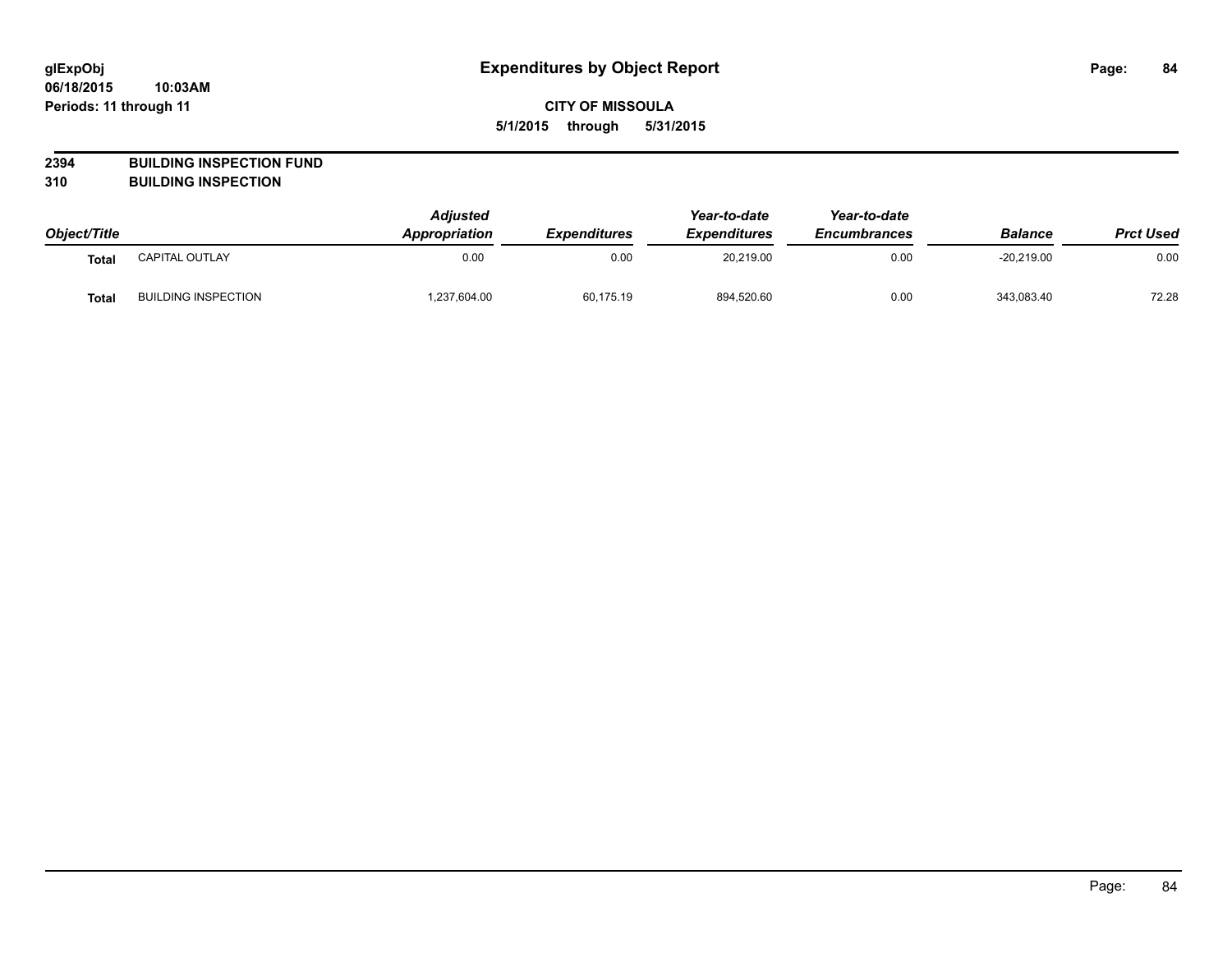# **2394 BUILDING INSPECTION FUND**

**310 BUILDING INSPECTION**

| Object/Title |                            | <b>Adjusted</b><br><b>Appropriation</b> | <i><b>Expenditures</b></i> | Year-to-date<br><b>Expenditures</b> | Year-to-date<br><b>Encumbrances</b> | <b>Balance</b> | <b>Prct Used</b> |
|--------------|----------------------------|-----------------------------------------|----------------------------|-------------------------------------|-------------------------------------|----------------|------------------|
| Total        | <b>CAPITAL OUTLAY</b>      | 0.00                                    | 0.00                       | 20.219.00                           | 0.00                                | $-20.219.00$   | 0.00             |
| <b>Total</b> | <b>BUILDING INSPECTION</b> | 1,237,604.00                            | 60,175.19                  | 894,520.60                          | 0.00                                | 343,083.40     | 72.28            |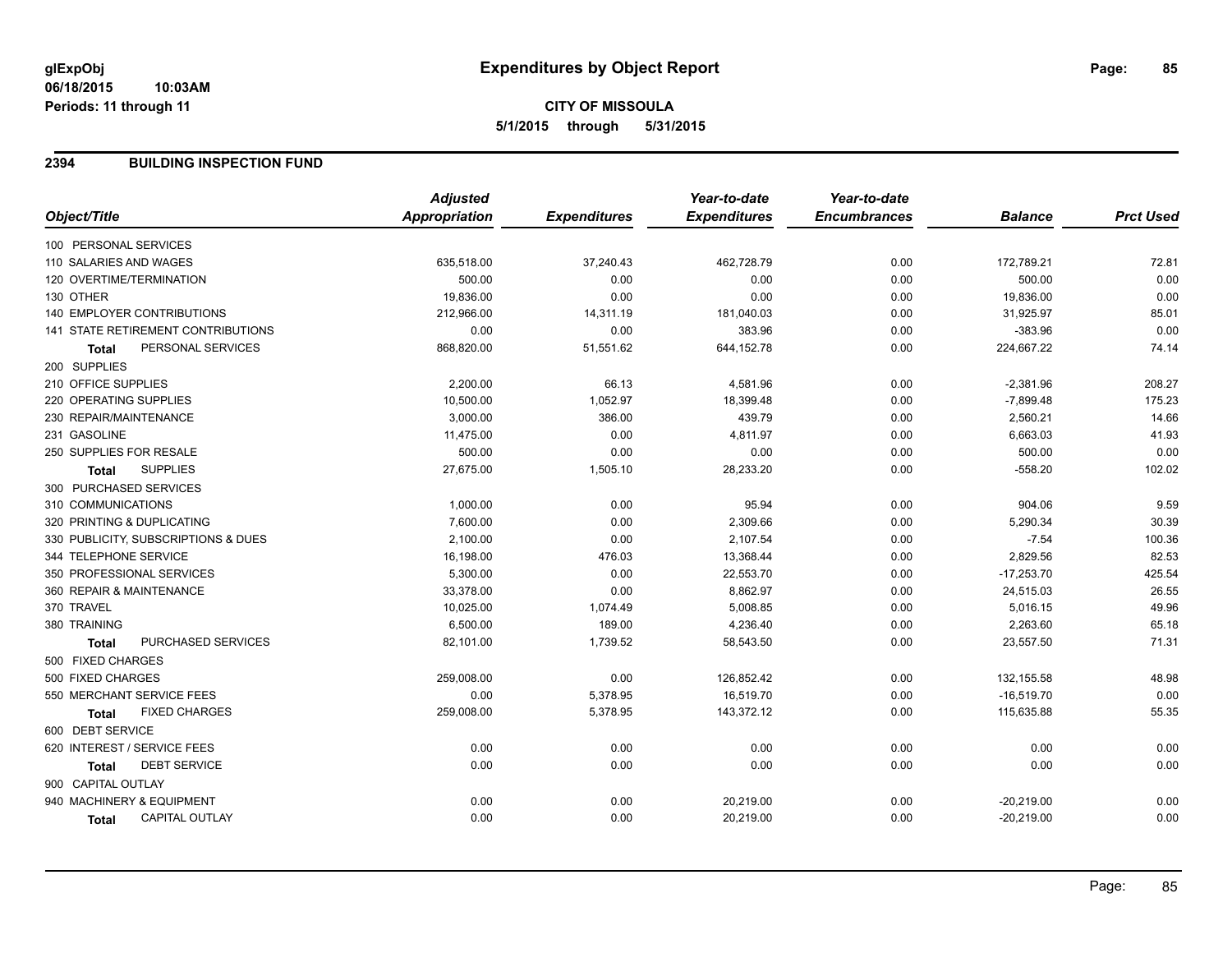#### **2394 BUILDING INSPECTION FUND**

| <b>Appropriation</b><br><b>Expenditures</b><br><b>Expenditures</b><br><b>Encumbrances</b><br><b>Prct Used</b><br>Object/Title<br><b>Balance</b><br>100 PERSONAL SERVICES<br>0.00<br>172,789.21<br>72.81<br>110 SALARIES AND WAGES<br>635,518.00<br>37,240.43<br>462,728.79<br>0.00<br>120 OVERTIME/TERMINATION<br>500.00<br>0.00<br>0.00<br>0.00<br>500.00<br>0.00<br>19,836.00<br>0.00<br>0.00<br>19,836.00<br>0.00<br><b>140 EMPLOYER CONTRIBUTIONS</b><br>85.01<br>212,966.00<br>0.00<br>31,925.97<br>14,311.19<br>181,040.03<br>141 STATE RETIREMENT CONTRIBUTIONS<br>0.00<br>0.00<br>$-383.96$<br>0.00<br>383.96<br>0.00<br>74.14<br>PERSONAL SERVICES<br>868,820.00<br>51,551.62<br>644,152.78<br>0.00<br>224,667.22<br><b>Total</b><br>200 SUPPLIES<br>210 OFFICE SUPPLIES<br>2,200.00<br>66.13<br>4,581.96<br>0.00<br>$-2,381.96$<br>208.27<br><b>220 OPERATING SUPPLIES</b><br>10,500.00<br>1,052.97<br>18,399.48<br>0.00<br>$-7,899.48$<br>175.23<br>230 REPAIR/MAINTENANCE<br>3,000.00<br>2,560.21<br>14.66<br>386.00<br>439.79<br>0.00<br>41.93<br>231 GASOLINE<br>11,475.00<br>0.00<br>6,663.03<br>4,811.97<br>0.00<br>0.00<br>250 SUPPLIES FOR RESALE<br>500.00<br>0.00<br>0.00<br>500.00<br>0.00<br><b>SUPPLIES</b><br>27,675.00<br>102.02<br>1,505.10<br>28,233.20<br>0.00<br>$-558.20$<br><b>Total</b><br>300 PURCHASED SERVICES<br>0.00<br>0.00<br>904.06<br>9.59<br>1,000.00<br>95.94<br>7,600.00<br>30.39<br>320 PRINTING & DUPLICATING<br>0.00<br>2,309.66<br>0.00<br>5,290.34<br>330 PUBLICITY, SUBSCRIPTIONS & DUES<br>2,100.00<br>0.00<br>2,107.54<br>0.00<br>$-7.54$<br>100.36<br>82.53<br>344 TELEPHONE SERVICE<br>16,198.00<br>476.03<br>13,368.44<br>0.00<br>2,829.56<br>350 PROFESSIONAL SERVICES<br>$-17,253.70$<br>425.54<br>5,300.00<br>0.00<br>22,553.70<br>0.00<br>26.55<br>360 REPAIR & MAINTENANCE<br>33,378.00<br>0.00<br>8,862.97<br>0.00<br>24,515.03<br>10,025.00<br>49.96<br>1,074.49<br>5,008.85<br>0.00<br>5,016.15<br>65.18<br>6,500.00<br>189.00<br>4,236.40<br>0.00<br>2,263.60<br>380 TRAINING<br>PURCHASED SERVICES<br>1,739.52<br>0.00<br>23,557.50<br>71.31<br>82,101.00<br>58,543.50<br><b>Total</b><br>500 FIXED CHARGES<br>500 FIXED CHARGES<br>0.00<br>48.98<br>259,008.00<br>126,852.42<br>0.00<br>132,155.58<br>0.00<br>550 MERCHANT SERVICE FEES<br>16,519.70<br>0.00<br>$-16,519.70$<br>0.00<br>5,378.95<br>55.35<br><b>FIXED CHARGES</b><br>259,008.00<br>5,378.95<br>143,372.12<br>0.00<br>115,635.88<br>Total<br>600 DEBT SERVICE<br>620 INTEREST / SERVICE FEES<br>0.00<br>0.00<br>0.00<br>0.00<br>0.00<br>0.00<br><b>DEBT SERVICE</b><br>0.00<br>0.00<br>0.00<br>0.00<br>0.00<br>0.00<br>Total<br>900 CAPITAL OUTLAY<br>940 MACHINERY & EQUIPMENT<br>0.00<br>0.00<br>20,219.00<br>0.00<br>$-20,219.00$<br>0.00<br>0.00<br><b>CAPITAL OUTLAY</b><br>0.00<br>0.00<br>20,219.00<br>0.00<br>$-20,219.00$<br>Total |                    | <b>Adjusted</b> | Year-to-date | Year-to-date |  |
|------------------------------------------------------------------------------------------------------------------------------------------------------------------------------------------------------------------------------------------------------------------------------------------------------------------------------------------------------------------------------------------------------------------------------------------------------------------------------------------------------------------------------------------------------------------------------------------------------------------------------------------------------------------------------------------------------------------------------------------------------------------------------------------------------------------------------------------------------------------------------------------------------------------------------------------------------------------------------------------------------------------------------------------------------------------------------------------------------------------------------------------------------------------------------------------------------------------------------------------------------------------------------------------------------------------------------------------------------------------------------------------------------------------------------------------------------------------------------------------------------------------------------------------------------------------------------------------------------------------------------------------------------------------------------------------------------------------------------------------------------------------------------------------------------------------------------------------------------------------------------------------------------------------------------------------------------------------------------------------------------------------------------------------------------------------------------------------------------------------------------------------------------------------------------------------------------------------------------------------------------------------------------------------------------------------------------------------------------------------------------------------------------------------------------------------------------------------------------------------------------------------------------------------------------------------------------------------------------------------------------------------------------------------------------------------------------------------------------------------------------------------------------------------------------------------------------------------------------------------------------|--------------------|-----------------|--------------|--------------|--|
|                                                                                                                                                                                                                                                                                                                                                                                                                                                                                                                                                                                                                                                                                                                                                                                                                                                                                                                                                                                                                                                                                                                                                                                                                                                                                                                                                                                                                                                                                                                                                                                                                                                                                                                                                                                                                                                                                                                                                                                                                                                                                                                                                                                                                                                                                                                                                                                                                                                                                                                                                                                                                                                                                                                                                                                                                                                                              |                    |                 |              |              |  |
|                                                                                                                                                                                                                                                                                                                                                                                                                                                                                                                                                                                                                                                                                                                                                                                                                                                                                                                                                                                                                                                                                                                                                                                                                                                                                                                                                                                                                                                                                                                                                                                                                                                                                                                                                                                                                                                                                                                                                                                                                                                                                                                                                                                                                                                                                                                                                                                                                                                                                                                                                                                                                                                                                                                                                                                                                                                                              |                    |                 |              |              |  |
|                                                                                                                                                                                                                                                                                                                                                                                                                                                                                                                                                                                                                                                                                                                                                                                                                                                                                                                                                                                                                                                                                                                                                                                                                                                                                                                                                                                                                                                                                                                                                                                                                                                                                                                                                                                                                                                                                                                                                                                                                                                                                                                                                                                                                                                                                                                                                                                                                                                                                                                                                                                                                                                                                                                                                                                                                                                                              |                    |                 |              |              |  |
|                                                                                                                                                                                                                                                                                                                                                                                                                                                                                                                                                                                                                                                                                                                                                                                                                                                                                                                                                                                                                                                                                                                                                                                                                                                                                                                                                                                                                                                                                                                                                                                                                                                                                                                                                                                                                                                                                                                                                                                                                                                                                                                                                                                                                                                                                                                                                                                                                                                                                                                                                                                                                                                                                                                                                                                                                                                                              |                    |                 |              |              |  |
|                                                                                                                                                                                                                                                                                                                                                                                                                                                                                                                                                                                                                                                                                                                                                                                                                                                                                                                                                                                                                                                                                                                                                                                                                                                                                                                                                                                                                                                                                                                                                                                                                                                                                                                                                                                                                                                                                                                                                                                                                                                                                                                                                                                                                                                                                                                                                                                                                                                                                                                                                                                                                                                                                                                                                                                                                                                                              | 130 OTHER          |                 |              |              |  |
|                                                                                                                                                                                                                                                                                                                                                                                                                                                                                                                                                                                                                                                                                                                                                                                                                                                                                                                                                                                                                                                                                                                                                                                                                                                                                                                                                                                                                                                                                                                                                                                                                                                                                                                                                                                                                                                                                                                                                                                                                                                                                                                                                                                                                                                                                                                                                                                                                                                                                                                                                                                                                                                                                                                                                                                                                                                                              |                    |                 |              |              |  |
|                                                                                                                                                                                                                                                                                                                                                                                                                                                                                                                                                                                                                                                                                                                                                                                                                                                                                                                                                                                                                                                                                                                                                                                                                                                                                                                                                                                                                                                                                                                                                                                                                                                                                                                                                                                                                                                                                                                                                                                                                                                                                                                                                                                                                                                                                                                                                                                                                                                                                                                                                                                                                                                                                                                                                                                                                                                                              |                    |                 |              |              |  |
|                                                                                                                                                                                                                                                                                                                                                                                                                                                                                                                                                                                                                                                                                                                                                                                                                                                                                                                                                                                                                                                                                                                                                                                                                                                                                                                                                                                                                                                                                                                                                                                                                                                                                                                                                                                                                                                                                                                                                                                                                                                                                                                                                                                                                                                                                                                                                                                                                                                                                                                                                                                                                                                                                                                                                                                                                                                                              |                    |                 |              |              |  |
|                                                                                                                                                                                                                                                                                                                                                                                                                                                                                                                                                                                                                                                                                                                                                                                                                                                                                                                                                                                                                                                                                                                                                                                                                                                                                                                                                                                                                                                                                                                                                                                                                                                                                                                                                                                                                                                                                                                                                                                                                                                                                                                                                                                                                                                                                                                                                                                                                                                                                                                                                                                                                                                                                                                                                                                                                                                                              |                    |                 |              |              |  |
|                                                                                                                                                                                                                                                                                                                                                                                                                                                                                                                                                                                                                                                                                                                                                                                                                                                                                                                                                                                                                                                                                                                                                                                                                                                                                                                                                                                                                                                                                                                                                                                                                                                                                                                                                                                                                                                                                                                                                                                                                                                                                                                                                                                                                                                                                                                                                                                                                                                                                                                                                                                                                                                                                                                                                                                                                                                                              |                    |                 |              |              |  |
|                                                                                                                                                                                                                                                                                                                                                                                                                                                                                                                                                                                                                                                                                                                                                                                                                                                                                                                                                                                                                                                                                                                                                                                                                                                                                                                                                                                                                                                                                                                                                                                                                                                                                                                                                                                                                                                                                                                                                                                                                                                                                                                                                                                                                                                                                                                                                                                                                                                                                                                                                                                                                                                                                                                                                                                                                                                                              |                    |                 |              |              |  |
|                                                                                                                                                                                                                                                                                                                                                                                                                                                                                                                                                                                                                                                                                                                                                                                                                                                                                                                                                                                                                                                                                                                                                                                                                                                                                                                                                                                                                                                                                                                                                                                                                                                                                                                                                                                                                                                                                                                                                                                                                                                                                                                                                                                                                                                                                                                                                                                                                                                                                                                                                                                                                                                                                                                                                                                                                                                                              |                    |                 |              |              |  |
|                                                                                                                                                                                                                                                                                                                                                                                                                                                                                                                                                                                                                                                                                                                                                                                                                                                                                                                                                                                                                                                                                                                                                                                                                                                                                                                                                                                                                                                                                                                                                                                                                                                                                                                                                                                                                                                                                                                                                                                                                                                                                                                                                                                                                                                                                                                                                                                                                                                                                                                                                                                                                                                                                                                                                                                                                                                                              |                    |                 |              |              |  |
|                                                                                                                                                                                                                                                                                                                                                                                                                                                                                                                                                                                                                                                                                                                                                                                                                                                                                                                                                                                                                                                                                                                                                                                                                                                                                                                                                                                                                                                                                                                                                                                                                                                                                                                                                                                                                                                                                                                                                                                                                                                                                                                                                                                                                                                                                                                                                                                                                                                                                                                                                                                                                                                                                                                                                                                                                                                                              |                    |                 |              |              |  |
|                                                                                                                                                                                                                                                                                                                                                                                                                                                                                                                                                                                                                                                                                                                                                                                                                                                                                                                                                                                                                                                                                                                                                                                                                                                                                                                                                                                                                                                                                                                                                                                                                                                                                                                                                                                                                                                                                                                                                                                                                                                                                                                                                                                                                                                                                                                                                                                                                                                                                                                                                                                                                                                                                                                                                                                                                                                                              |                    |                 |              |              |  |
|                                                                                                                                                                                                                                                                                                                                                                                                                                                                                                                                                                                                                                                                                                                                                                                                                                                                                                                                                                                                                                                                                                                                                                                                                                                                                                                                                                                                                                                                                                                                                                                                                                                                                                                                                                                                                                                                                                                                                                                                                                                                                                                                                                                                                                                                                                                                                                                                                                                                                                                                                                                                                                                                                                                                                                                                                                                                              |                    |                 |              |              |  |
|                                                                                                                                                                                                                                                                                                                                                                                                                                                                                                                                                                                                                                                                                                                                                                                                                                                                                                                                                                                                                                                                                                                                                                                                                                                                                                                                                                                                                                                                                                                                                                                                                                                                                                                                                                                                                                                                                                                                                                                                                                                                                                                                                                                                                                                                                                                                                                                                                                                                                                                                                                                                                                                                                                                                                                                                                                                                              | 310 COMMUNICATIONS |                 |              |              |  |
|                                                                                                                                                                                                                                                                                                                                                                                                                                                                                                                                                                                                                                                                                                                                                                                                                                                                                                                                                                                                                                                                                                                                                                                                                                                                                                                                                                                                                                                                                                                                                                                                                                                                                                                                                                                                                                                                                                                                                                                                                                                                                                                                                                                                                                                                                                                                                                                                                                                                                                                                                                                                                                                                                                                                                                                                                                                                              |                    |                 |              |              |  |
|                                                                                                                                                                                                                                                                                                                                                                                                                                                                                                                                                                                                                                                                                                                                                                                                                                                                                                                                                                                                                                                                                                                                                                                                                                                                                                                                                                                                                                                                                                                                                                                                                                                                                                                                                                                                                                                                                                                                                                                                                                                                                                                                                                                                                                                                                                                                                                                                                                                                                                                                                                                                                                                                                                                                                                                                                                                                              |                    |                 |              |              |  |
|                                                                                                                                                                                                                                                                                                                                                                                                                                                                                                                                                                                                                                                                                                                                                                                                                                                                                                                                                                                                                                                                                                                                                                                                                                                                                                                                                                                                                                                                                                                                                                                                                                                                                                                                                                                                                                                                                                                                                                                                                                                                                                                                                                                                                                                                                                                                                                                                                                                                                                                                                                                                                                                                                                                                                                                                                                                                              |                    |                 |              |              |  |
|                                                                                                                                                                                                                                                                                                                                                                                                                                                                                                                                                                                                                                                                                                                                                                                                                                                                                                                                                                                                                                                                                                                                                                                                                                                                                                                                                                                                                                                                                                                                                                                                                                                                                                                                                                                                                                                                                                                                                                                                                                                                                                                                                                                                                                                                                                                                                                                                                                                                                                                                                                                                                                                                                                                                                                                                                                                                              |                    |                 |              |              |  |
|                                                                                                                                                                                                                                                                                                                                                                                                                                                                                                                                                                                                                                                                                                                                                                                                                                                                                                                                                                                                                                                                                                                                                                                                                                                                                                                                                                                                                                                                                                                                                                                                                                                                                                                                                                                                                                                                                                                                                                                                                                                                                                                                                                                                                                                                                                                                                                                                                                                                                                                                                                                                                                                                                                                                                                                                                                                                              |                    |                 |              |              |  |
|                                                                                                                                                                                                                                                                                                                                                                                                                                                                                                                                                                                                                                                                                                                                                                                                                                                                                                                                                                                                                                                                                                                                                                                                                                                                                                                                                                                                                                                                                                                                                                                                                                                                                                                                                                                                                                                                                                                                                                                                                                                                                                                                                                                                                                                                                                                                                                                                                                                                                                                                                                                                                                                                                                                                                                                                                                                                              | 370 TRAVEL         |                 |              |              |  |
|                                                                                                                                                                                                                                                                                                                                                                                                                                                                                                                                                                                                                                                                                                                                                                                                                                                                                                                                                                                                                                                                                                                                                                                                                                                                                                                                                                                                                                                                                                                                                                                                                                                                                                                                                                                                                                                                                                                                                                                                                                                                                                                                                                                                                                                                                                                                                                                                                                                                                                                                                                                                                                                                                                                                                                                                                                                                              |                    |                 |              |              |  |
|                                                                                                                                                                                                                                                                                                                                                                                                                                                                                                                                                                                                                                                                                                                                                                                                                                                                                                                                                                                                                                                                                                                                                                                                                                                                                                                                                                                                                                                                                                                                                                                                                                                                                                                                                                                                                                                                                                                                                                                                                                                                                                                                                                                                                                                                                                                                                                                                                                                                                                                                                                                                                                                                                                                                                                                                                                                                              |                    |                 |              |              |  |
|                                                                                                                                                                                                                                                                                                                                                                                                                                                                                                                                                                                                                                                                                                                                                                                                                                                                                                                                                                                                                                                                                                                                                                                                                                                                                                                                                                                                                                                                                                                                                                                                                                                                                                                                                                                                                                                                                                                                                                                                                                                                                                                                                                                                                                                                                                                                                                                                                                                                                                                                                                                                                                                                                                                                                                                                                                                                              |                    |                 |              |              |  |
|                                                                                                                                                                                                                                                                                                                                                                                                                                                                                                                                                                                                                                                                                                                                                                                                                                                                                                                                                                                                                                                                                                                                                                                                                                                                                                                                                                                                                                                                                                                                                                                                                                                                                                                                                                                                                                                                                                                                                                                                                                                                                                                                                                                                                                                                                                                                                                                                                                                                                                                                                                                                                                                                                                                                                                                                                                                                              |                    |                 |              |              |  |
|                                                                                                                                                                                                                                                                                                                                                                                                                                                                                                                                                                                                                                                                                                                                                                                                                                                                                                                                                                                                                                                                                                                                                                                                                                                                                                                                                                                                                                                                                                                                                                                                                                                                                                                                                                                                                                                                                                                                                                                                                                                                                                                                                                                                                                                                                                                                                                                                                                                                                                                                                                                                                                                                                                                                                                                                                                                                              |                    |                 |              |              |  |
|                                                                                                                                                                                                                                                                                                                                                                                                                                                                                                                                                                                                                                                                                                                                                                                                                                                                                                                                                                                                                                                                                                                                                                                                                                                                                                                                                                                                                                                                                                                                                                                                                                                                                                                                                                                                                                                                                                                                                                                                                                                                                                                                                                                                                                                                                                                                                                                                                                                                                                                                                                                                                                                                                                                                                                                                                                                                              |                    |                 |              |              |  |
|                                                                                                                                                                                                                                                                                                                                                                                                                                                                                                                                                                                                                                                                                                                                                                                                                                                                                                                                                                                                                                                                                                                                                                                                                                                                                                                                                                                                                                                                                                                                                                                                                                                                                                                                                                                                                                                                                                                                                                                                                                                                                                                                                                                                                                                                                                                                                                                                                                                                                                                                                                                                                                                                                                                                                                                                                                                                              |                    |                 |              |              |  |
|                                                                                                                                                                                                                                                                                                                                                                                                                                                                                                                                                                                                                                                                                                                                                                                                                                                                                                                                                                                                                                                                                                                                                                                                                                                                                                                                                                                                                                                                                                                                                                                                                                                                                                                                                                                                                                                                                                                                                                                                                                                                                                                                                                                                                                                                                                                                                                                                                                                                                                                                                                                                                                                                                                                                                                                                                                                                              |                    |                 |              |              |  |
|                                                                                                                                                                                                                                                                                                                                                                                                                                                                                                                                                                                                                                                                                                                                                                                                                                                                                                                                                                                                                                                                                                                                                                                                                                                                                                                                                                                                                                                                                                                                                                                                                                                                                                                                                                                                                                                                                                                                                                                                                                                                                                                                                                                                                                                                                                                                                                                                                                                                                                                                                                                                                                                                                                                                                                                                                                                                              |                    |                 |              |              |  |
|                                                                                                                                                                                                                                                                                                                                                                                                                                                                                                                                                                                                                                                                                                                                                                                                                                                                                                                                                                                                                                                                                                                                                                                                                                                                                                                                                                                                                                                                                                                                                                                                                                                                                                                                                                                                                                                                                                                                                                                                                                                                                                                                                                                                                                                                                                                                                                                                                                                                                                                                                                                                                                                                                                                                                                                                                                                                              |                    |                 |              |              |  |
|                                                                                                                                                                                                                                                                                                                                                                                                                                                                                                                                                                                                                                                                                                                                                                                                                                                                                                                                                                                                                                                                                                                                                                                                                                                                                                                                                                                                                                                                                                                                                                                                                                                                                                                                                                                                                                                                                                                                                                                                                                                                                                                                                                                                                                                                                                                                                                                                                                                                                                                                                                                                                                                                                                                                                                                                                                                                              |                    |                 |              |              |  |
|                                                                                                                                                                                                                                                                                                                                                                                                                                                                                                                                                                                                                                                                                                                                                                                                                                                                                                                                                                                                                                                                                                                                                                                                                                                                                                                                                                                                                                                                                                                                                                                                                                                                                                                                                                                                                                                                                                                                                                                                                                                                                                                                                                                                                                                                                                                                                                                                                                                                                                                                                                                                                                                                                                                                                                                                                                                                              |                    |                 |              |              |  |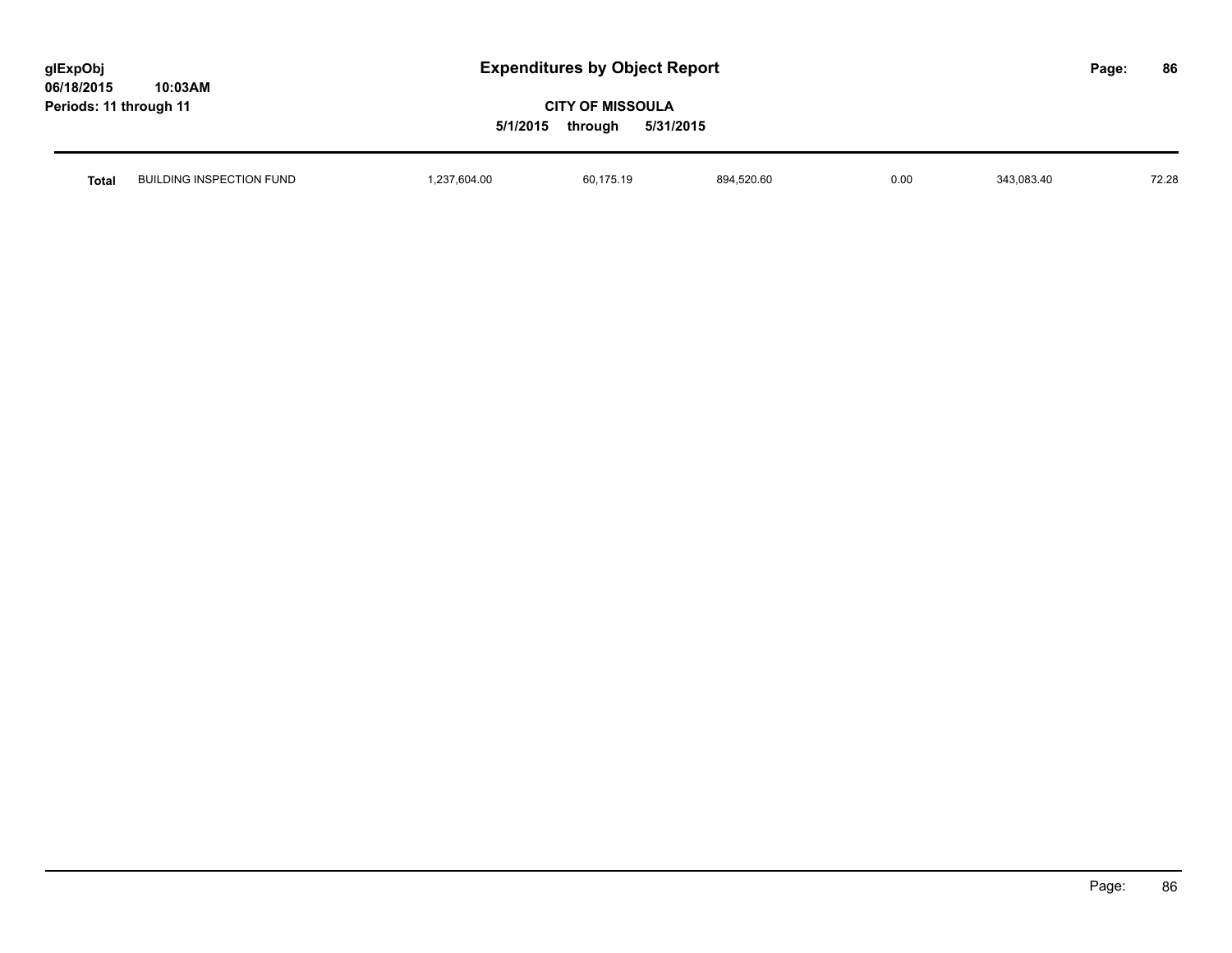| glExpObj               |         |
|------------------------|---------|
| 06/18/2015             | 10:03AM |
| Periods: 11 through 11 |         |

| <b>Total</b> | $\sim$ TI $\sim$ NI<br>DING INSPE<br><b>FUND</b><br>BUI<br>UTION ' | 604.00 | $\overline{\phantom{a}}$<br>bU.<br>. | 4.520.60<br>894 | 0.00 | 343.083.40 | 70.00<br>72.28 |
|--------------|--------------------------------------------------------------------|--------|--------------------------------------|-----------------|------|------------|----------------|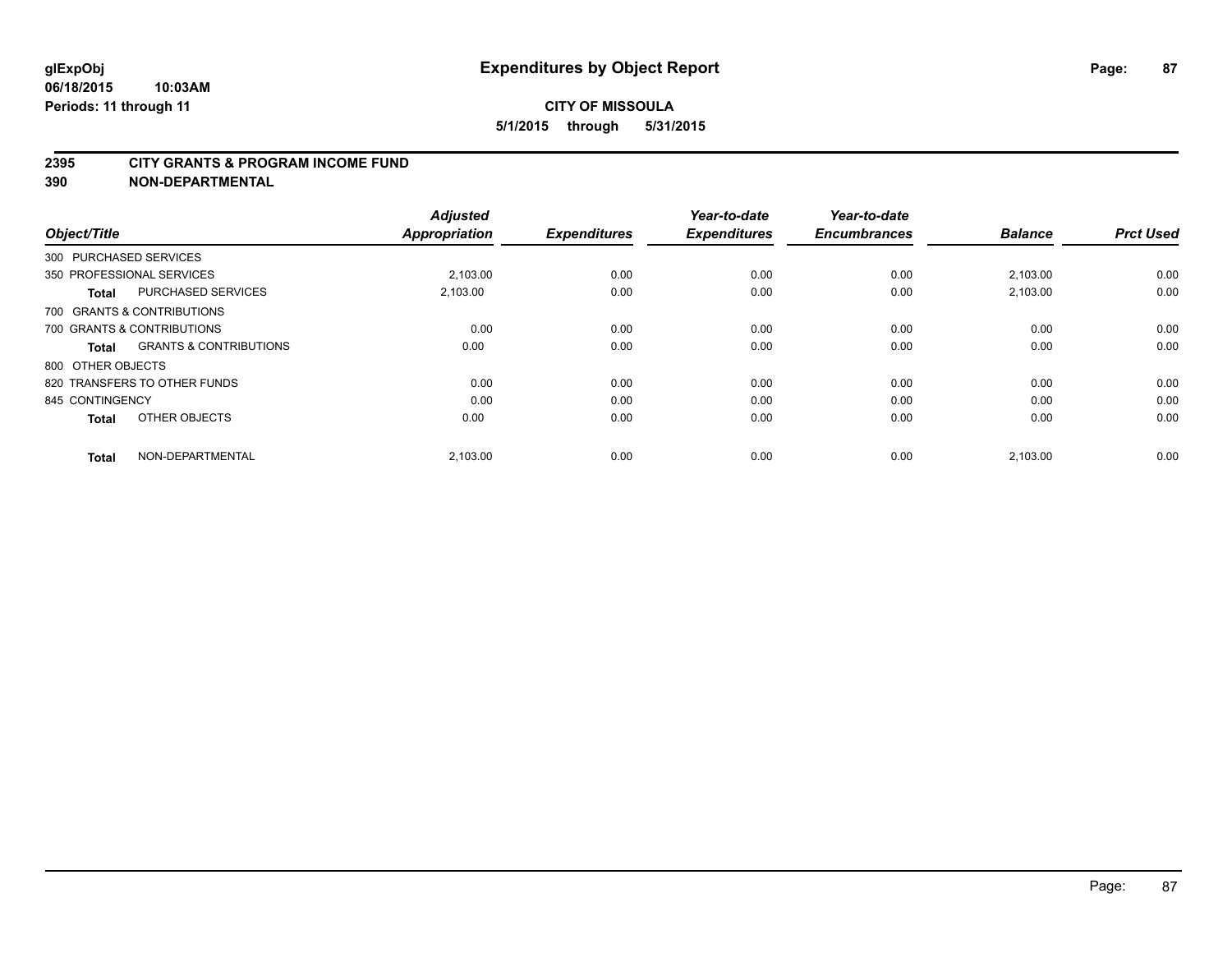#### **2395 CITY GRANTS & PROGRAM INCOME FUND**

**390 NON-DEPARTMENTAL**

| Object/Title           |                                   | <b>Adjusted</b><br><b>Appropriation</b> | <b>Expenditures</b> | Year-to-date<br><b>Expenditures</b> | Year-to-date<br><b>Encumbrances</b> | <b>Balance</b> | <b>Prct Used</b> |
|------------------------|-----------------------------------|-----------------------------------------|---------------------|-------------------------------------|-------------------------------------|----------------|------------------|
| 300 PURCHASED SERVICES |                                   |                                         |                     |                                     |                                     |                |                  |
|                        | 350 PROFESSIONAL SERVICES         | 2.103.00                                | 0.00                | 0.00                                | 0.00                                | 2,103.00       | 0.00             |
| <b>Total</b>           | <b>PURCHASED SERVICES</b>         | 2,103.00                                | 0.00                | 0.00                                | 0.00                                | 2,103.00       | 0.00             |
|                        | 700 GRANTS & CONTRIBUTIONS        |                                         |                     |                                     |                                     |                |                  |
|                        | 700 GRANTS & CONTRIBUTIONS        | 0.00                                    | 0.00                | 0.00                                | 0.00                                | 0.00           | 0.00             |
| Total                  | <b>GRANTS &amp; CONTRIBUTIONS</b> | 0.00                                    | 0.00                | 0.00                                | 0.00                                | 0.00           | 0.00             |
| 800 OTHER OBJECTS      |                                   |                                         |                     |                                     |                                     |                |                  |
|                        | 820 TRANSFERS TO OTHER FUNDS      | 0.00                                    | 0.00                | 0.00                                | 0.00                                | 0.00           | 0.00             |
| 845 CONTINGENCY        |                                   | 0.00                                    | 0.00                | 0.00                                | 0.00                                | 0.00           | 0.00             |
| <b>Total</b>           | OTHER OBJECTS                     | 0.00                                    | 0.00                | 0.00                                | 0.00                                | 0.00           | 0.00             |
| <b>Total</b>           | NON-DEPARTMENTAL                  | 2,103.00                                | 0.00                | 0.00                                | 0.00                                | 2,103.00       | 0.00             |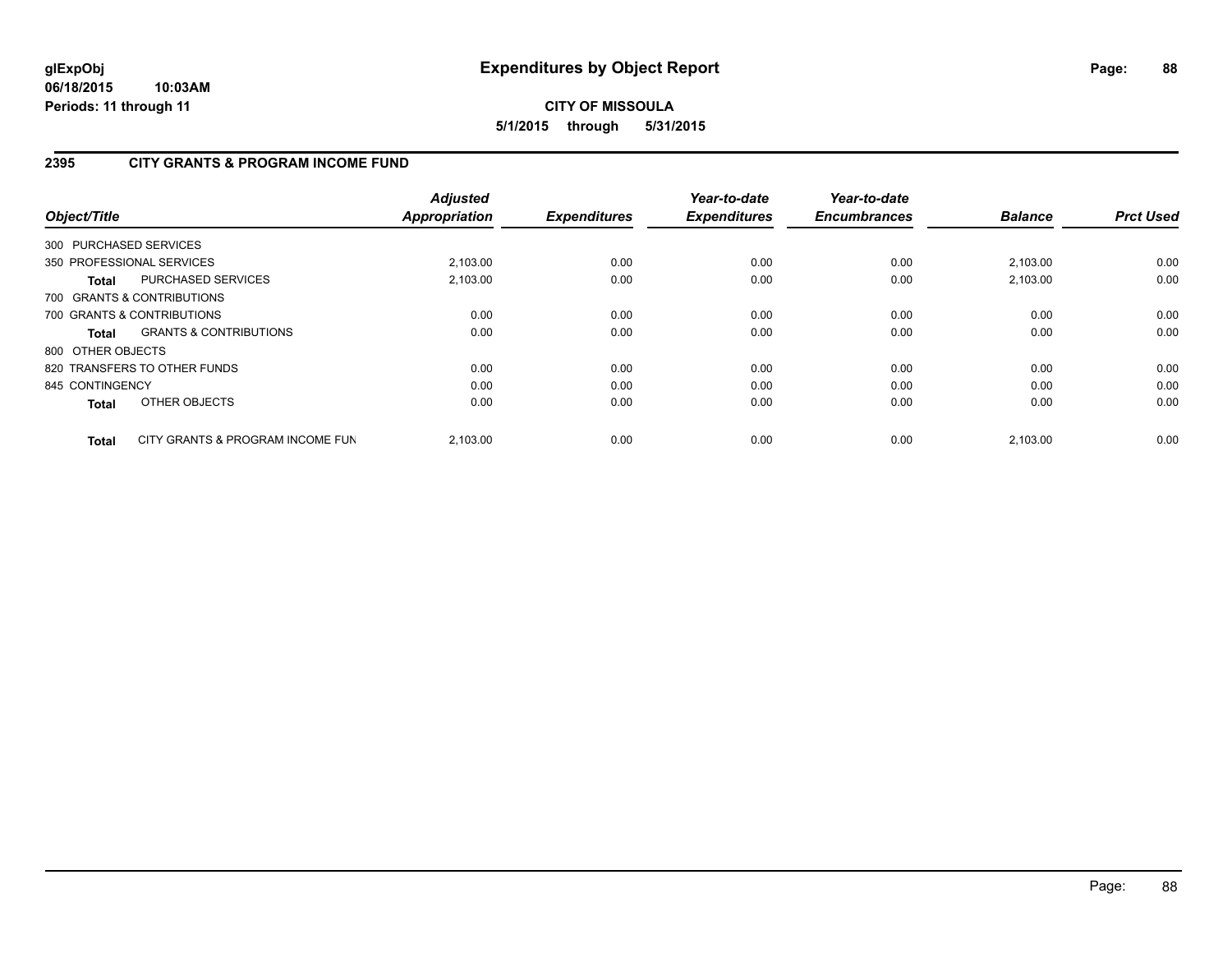# **2395 CITY GRANTS & PROGRAM INCOME FUND**

| Object/Title           |                                   | <b>Adjusted</b><br>Appropriation | <b>Expenditures</b> | Year-to-date<br><b>Expenditures</b> | Year-to-date<br><b>Encumbrances</b> | <b>Balance</b> | <b>Prct Used</b> |
|------------------------|-----------------------------------|----------------------------------|---------------------|-------------------------------------|-------------------------------------|----------------|------------------|
| 300 PURCHASED SERVICES |                                   |                                  |                     |                                     |                                     |                |                  |
|                        | 350 PROFESSIONAL SERVICES         | 2,103.00                         | 0.00                | 0.00                                | 0.00                                | 2,103.00       | 0.00             |
| <b>Total</b>           | <b>PURCHASED SERVICES</b>         | 2.103.00                         | 0.00                | 0.00                                | 0.00                                | 2.103.00       | 0.00             |
|                        | 700 GRANTS & CONTRIBUTIONS        |                                  |                     |                                     |                                     |                |                  |
|                        | 700 GRANTS & CONTRIBUTIONS        | 0.00                             | 0.00                | 0.00                                | 0.00                                | 0.00           | 0.00             |
| <b>Total</b>           | <b>GRANTS &amp; CONTRIBUTIONS</b> | 0.00                             | 0.00                | 0.00                                | 0.00                                | 0.00           | 0.00             |
| 800 OTHER OBJECTS      |                                   |                                  |                     |                                     |                                     |                |                  |
|                        | 820 TRANSFERS TO OTHER FUNDS      | 0.00                             | 0.00                | 0.00                                | 0.00                                | 0.00           | 0.00             |
| 845 CONTINGENCY        |                                   | 0.00                             | 0.00                | 0.00                                | 0.00                                | 0.00           | 0.00             |
| <b>Total</b>           | OTHER OBJECTS                     | 0.00                             | 0.00                | 0.00                                | 0.00                                | 0.00           | 0.00             |
| <b>Total</b>           | CITY GRANTS & PROGRAM INCOME FUN  | 2.103.00                         | 0.00                | 0.00                                | 0.00                                | 2.103.00       | 0.00             |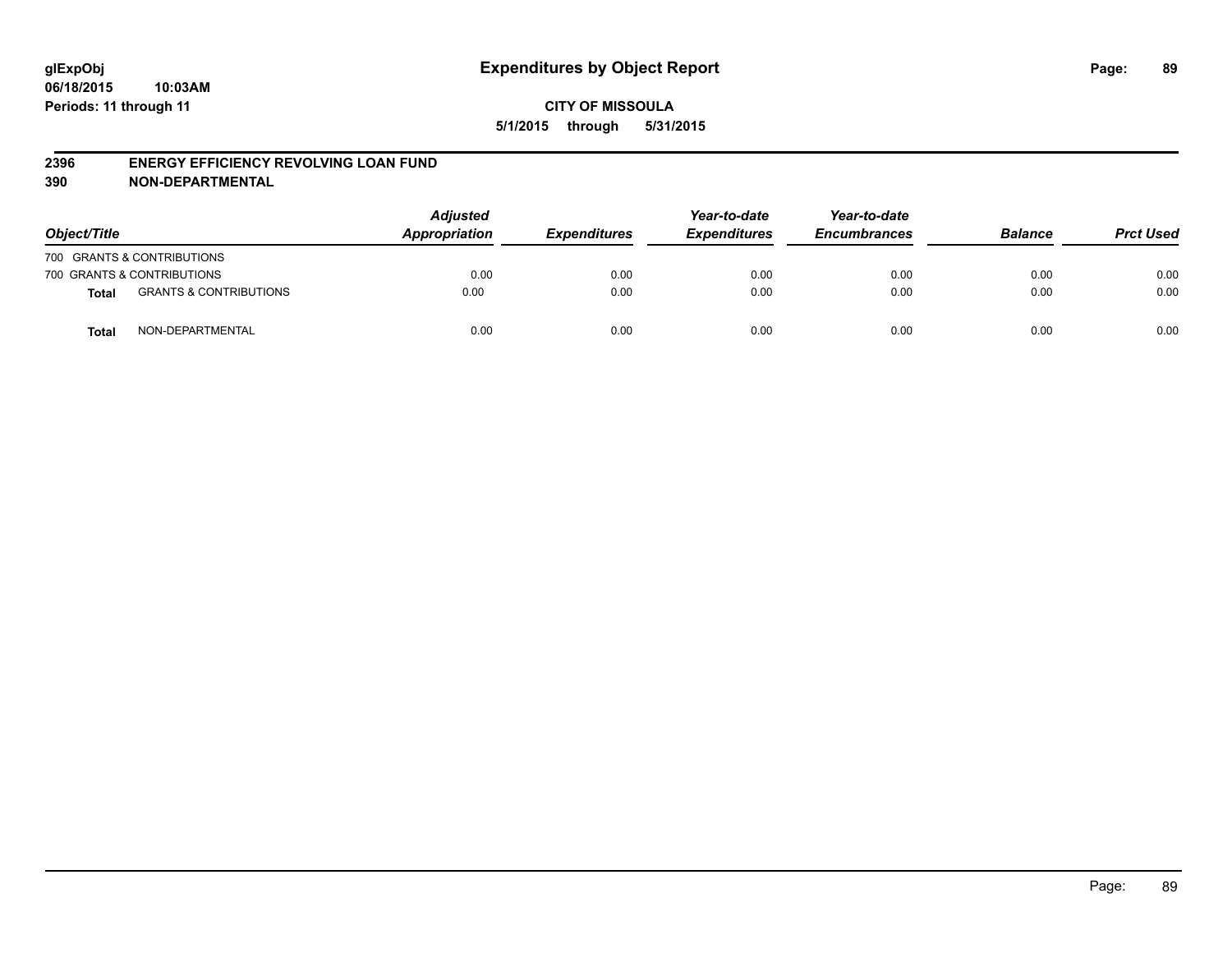#### **2396 ENERGY EFFICIENCY REVOLVING LOAN FUND**

**390 NON-DEPARTMENTAL**

| Object/Title |                                   | <b>Adjusted</b><br>Appropriation | <b>Expenditures</b> | Year-to-date<br><b>Expenditures</b> | Year-to-date<br><b>Encumbrances</b> | <b>Balance</b> | <b>Prct Used</b> |
|--------------|-----------------------------------|----------------------------------|---------------------|-------------------------------------|-------------------------------------|----------------|------------------|
|              | 700 GRANTS & CONTRIBUTIONS        |                                  |                     |                                     |                                     |                |                  |
|              | 700 GRANTS & CONTRIBUTIONS        | 0.00                             | 0.00                | 0.00                                | 0.00                                | 0.00           | 0.00             |
| <b>Total</b> | <b>GRANTS &amp; CONTRIBUTIONS</b> | 0.00                             | 0.00                | 0.00                                | 0.00                                | 0.00           | 0.00             |
| <b>Total</b> | NON-DEPARTMENTAL                  | 0.00                             | 0.00                | 0.00                                | 0.00                                | 0.00           | 0.00             |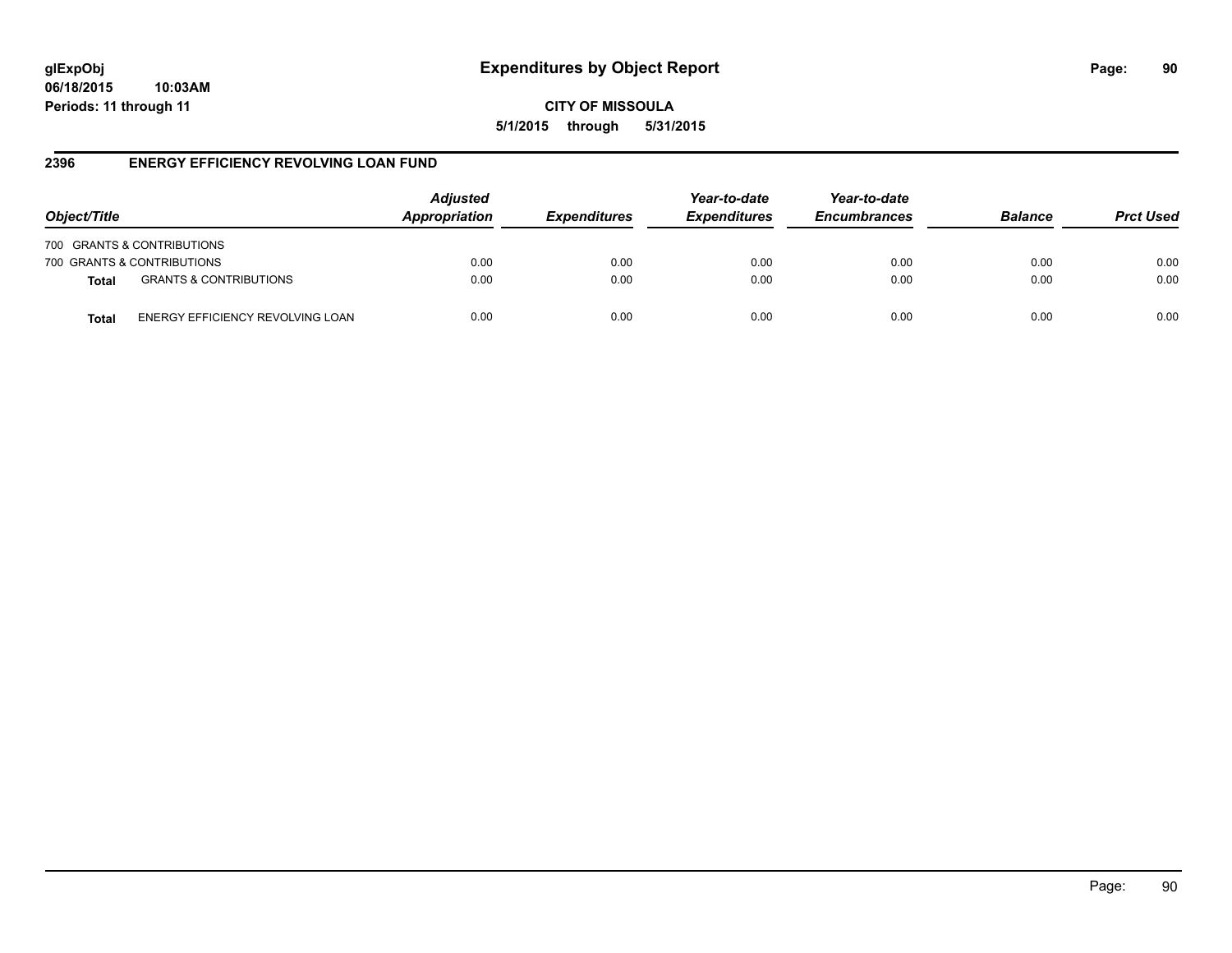**CITY OF MISSOULA 5/1/2015 through 5/31/2015**

#### **2396 ENERGY EFFICIENCY REVOLVING LOAN FUND**

| Object/Title               |                                   | <b>Adjusted</b><br>Appropriation | <b>Expenditures</b> | Year-to-date<br><b>Expenditures</b> | Year-to-date<br><b>Encumbrances</b> | <b>Balance</b> | <b>Prct Used</b> |
|----------------------------|-----------------------------------|----------------------------------|---------------------|-------------------------------------|-------------------------------------|----------------|------------------|
| 700 GRANTS & CONTRIBUTIONS |                                   |                                  |                     |                                     |                                     |                |                  |
| 700 GRANTS & CONTRIBUTIONS |                                   | 0.00                             | 0.00                | 0.00                                | 0.00                                | 0.00           | 0.00             |
| <b>Total</b>               | <b>GRANTS &amp; CONTRIBUTIONS</b> | 0.00                             | 0.00                | 0.00                                | 0.00                                | 0.00           | 0.00             |
| Total                      | ENERGY EFFICIENCY REVOLVING LOAN  | 0.00                             | 0.00                | 0.00                                | 0.00                                | 0.00           | 0.00             |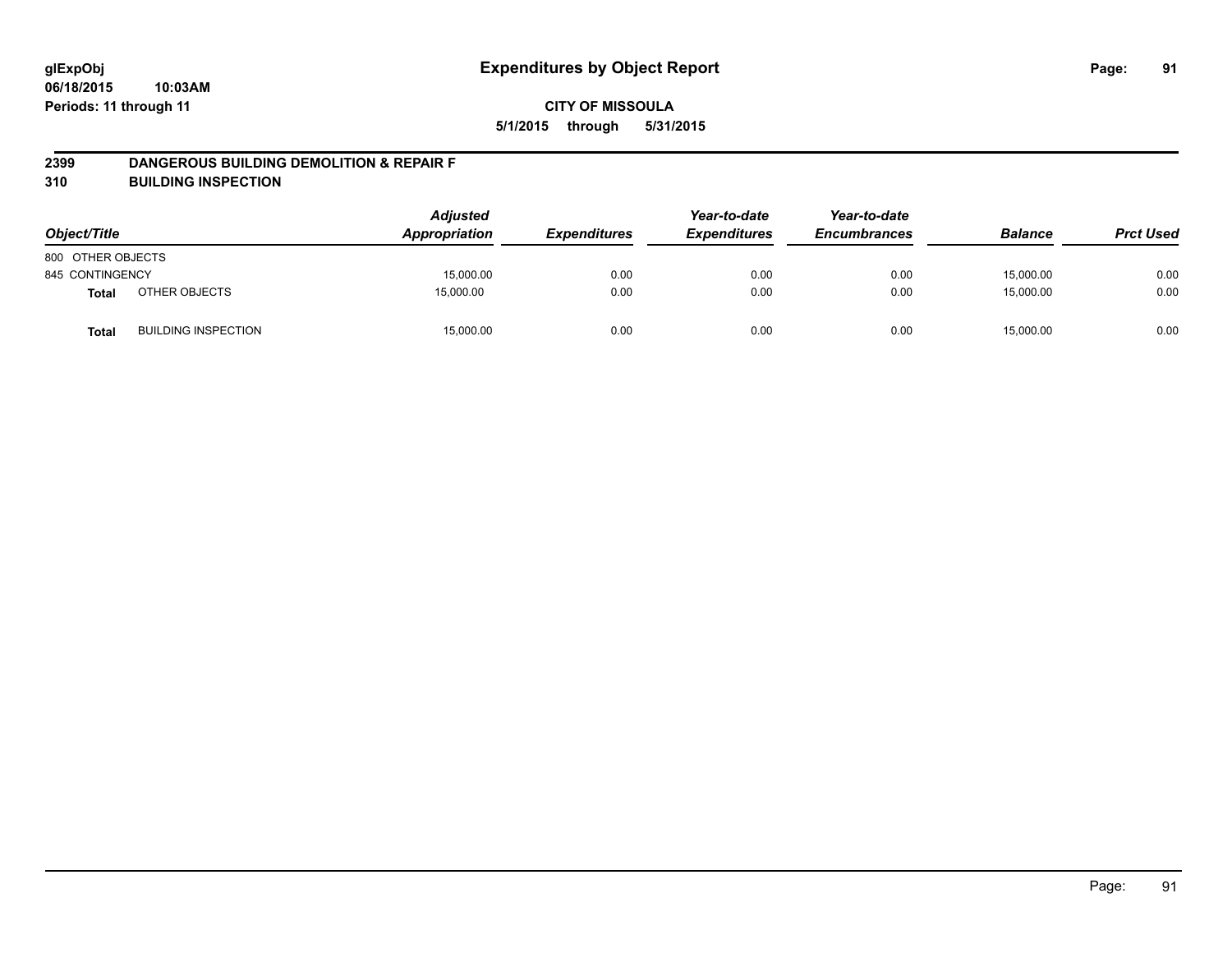#### **2399 DANGEROUS BUILDING DEMOLITION & REPAIR F**

**310 BUILDING INSPECTION**

| Object/Title      |                            | <b>Adjusted</b><br>Appropriation | <b>Expenditures</b> | Year-to-date<br><b>Expenditures</b> | Year-to-date<br><b>Encumbrances</b> | <b>Balance</b> | <b>Prct Used</b> |
|-------------------|----------------------------|----------------------------------|---------------------|-------------------------------------|-------------------------------------|----------------|------------------|
| 800 OTHER OBJECTS |                            |                                  |                     |                                     |                                     |                |                  |
| 845 CONTINGENCY   |                            | 15,000.00                        | 0.00                | 0.00                                | 0.00                                | 15,000.00      | 0.00             |
| <b>Total</b>      | OTHER OBJECTS              | 15.000.00                        | 0.00                | 0.00                                | 0.00                                | 15,000.00      | 0.00             |
| <b>Total</b>      | <b>BUILDING INSPECTION</b> | 15,000.00                        | 0.00                | 0.00                                | 0.00                                | 15,000.00      | 0.00             |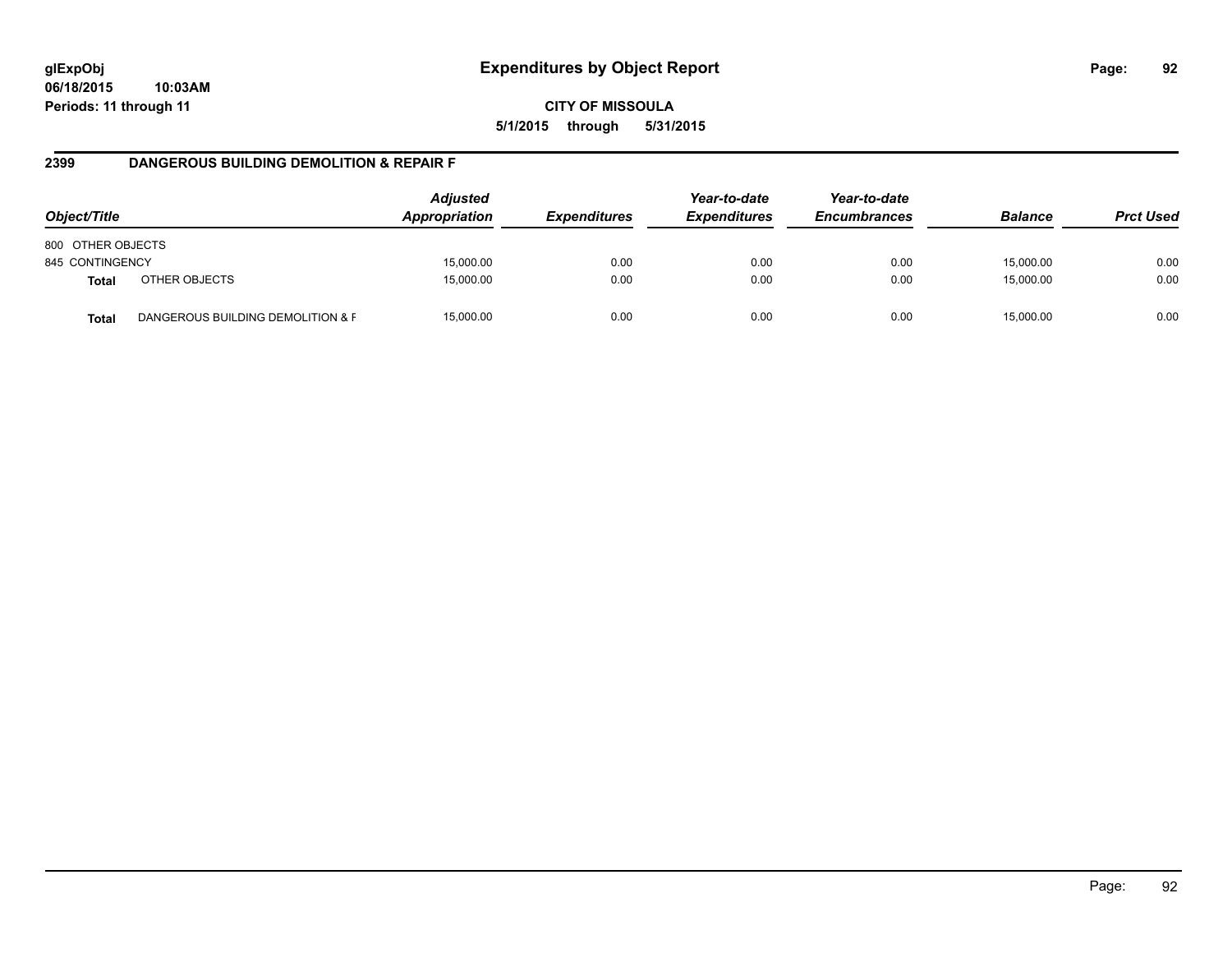**CITY OF MISSOULA 5/1/2015 through 5/31/2015**

#### **2399 DANGEROUS BUILDING DEMOLITION & REPAIR F**

| Object/Title      |                                   | <b>Adjusted</b><br>Appropriation | <i><b>Expenditures</b></i> | Year-to-date<br><b>Expenditures</b> | Year-to-date<br><b>Encumbrances</b> | <b>Balance</b> | <b>Prct Used</b> |
|-------------------|-----------------------------------|----------------------------------|----------------------------|-------------------------------------|-------------------------------------|----------------|------------------|
| 800 OTHER OBJECTS |                                   |                                  |                            |                                     |                                     |                |                  |
| 845 CONTINGENCY   |                                   | 15,000.00                        | 0.00                       | 0.00                                | 0.00                                | 15,000.00      | 0.00             |
| <b>Total</b>      | OTHER OBJECTS                     | 15,000.00                        | 0.00                       | 0.00                                | 0.00                                | 15,000.00      | 0.00             |
| <b>Total</b>      | DANGEROUS BUILDING DEMOLITION & F | 15,000.00                        | 0.00                       | 0.00                                | 0.00                                | 15.000.00      | 0.00             |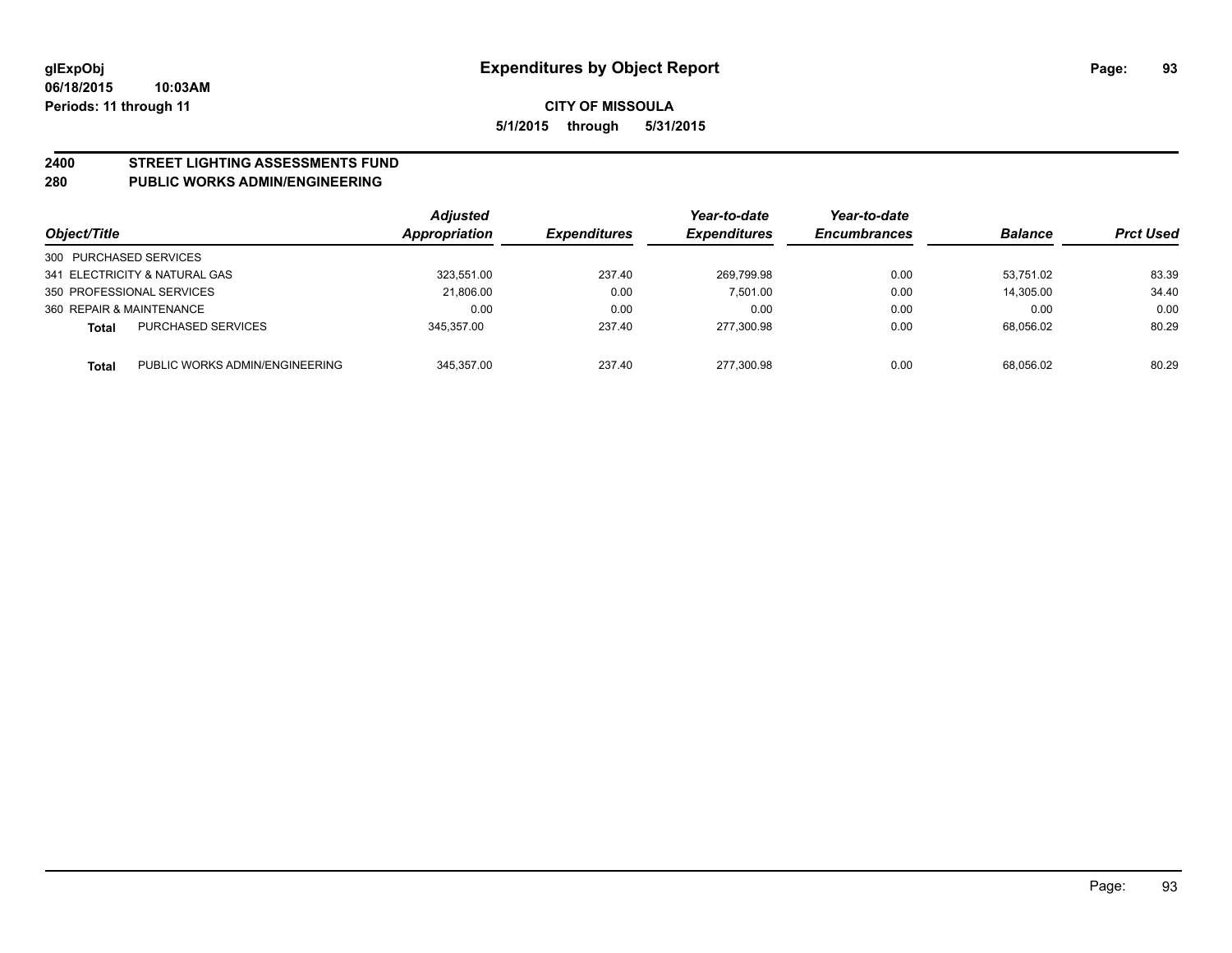# **2400 STREET LIGHTING ASSESSMENTS FUND**

#### **280 PUBLIC WORKS ADMIN/ENGINEERING**

| Object/Title           |                                | <b>Adjusted</b><br><b>Appropriation</b> | <b>Expenditures</b> | Year-to-date<br><b>Expenditures</b> | Year-to-date<br><b>Encumbrances</b> | <b>Balance</b> | <b>Prct Used</b> |
|------------------------|--------------------------------|-----------------------------------------|---------------------|-------------------------------------|-------------------------------------|----------------|------------------|
| 300 PURCHASED SERVICES |                                |                                         |                     |                                     |                                     |                |                  |
|                        | 341 ELECTRICITY & NATURAL GAS  | 323.551.00                              | 237.40              | 269.799.98                          | 0.00                                | 53.751.02      | 83.39            |
|                        | 350 PROFESSIONAL SERVICES      | 21.806.00                               | 0.00                | 7.501.00                            | 0.00                                | 14.305.00      | 34.40            |
|                        | 360 REPAIR & MAINTENANCE       | 0.00                                    | 0.00                | 0.00                                | 0.00                                | 0.00           | 0.00             |
| Total                  | <b>PURCHASED SERVICES</b>      | 345.357.00                              | 237.40              | 277,300.98                          | 0.00                                | 68,056.02      | 80.29            |
| <b>Total</b>           | PUBLIC WORKS ADMIN/ENGINEERING | 345.357.00                              | 237.40              | 277.300.98                          | 0.00                                | 68.056.02      | 80.29            |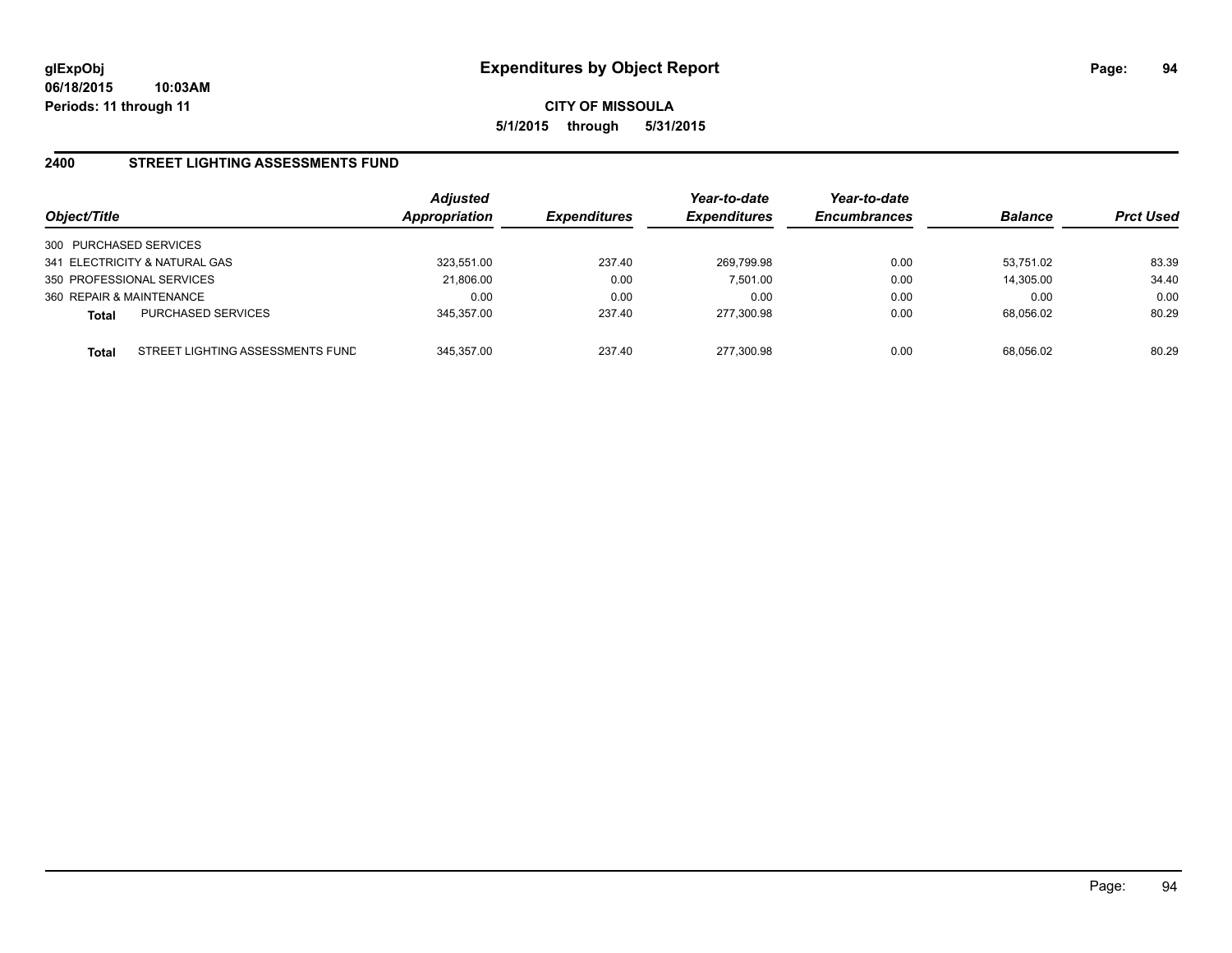#### **2400 STREET LIGHTING ASSESSMENTS FUND**

| Object/Title                                     | <b>Adjusted</b><br><b>Appropriation</b> | <i><b>Expenditures</b></i> | Year-to-date<br><b>Expenditures</b> | Year-to-date<br><b>Encumbrances</b> | <b>Balance</b> | <b>Prct Used</b> |
|--------------------------------------------------|-----------------------------------------|----------------------------|-------------------------------------|-------------------------------------|----------------|------------------|
| 300 PURCHASED SERVICES                           |                                         |                            |                                     |                                     |                |                  |
| 341 ELECTRICITY & NATURAL GAS                    | 323.551.00                              | 237.40                     | 269.799.98                          | 0.00                                | 53.751.02      | 83.39            |
| 350 PROFESSIONAL SERVICES                        | 21,806.00                               | 0.00                       | 7.501.00                            | 0.00                                | 14,305.00      | 34.40            |
| 360 REPAIR & MAINTENANCE                         | 0.00                                    | 0.00                       | 0.00                                | 0.00                                | 0.00           | 0.00             |
| <b>PURCHASED SERVICES</b><br><b>Total</b>        | 345,357.00                              | 237.40                     | 277,300.98                          | 0.00                                | 68.056.02      | 80.29            |
| STREET LIGHTING ASSESSMENTS FUND<br><b>Total</b> | 345.357.00                              | 237.40                     | 277,300.98                          | 0.00                                | 68.056.02      | 80.29            |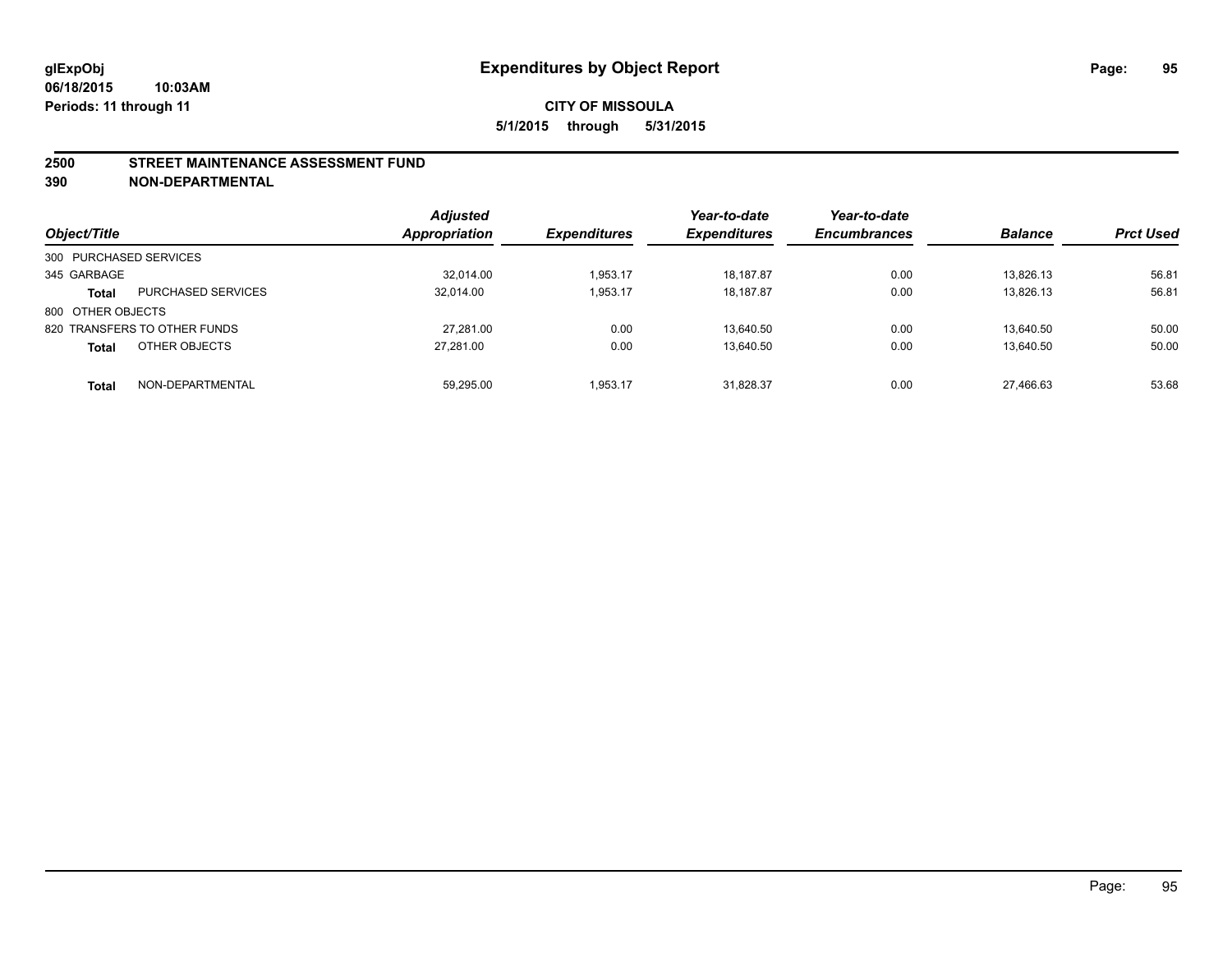#### **2500 STREET MAINTENANCE ASSESSMENT FUND**

**390 NON-DEPARTMENTAL**

| Object/Title           |                              | <b>Adjusted</b><br><b>Appropriation</b> | <b>Expenditures</b> | Year-to-date<br><b>Expenditures</b> | Year-to-date<br><b>Encumbrances</b> | <b>Balance</b> | <b>Prct Used</b> |
|------------------------|------------------------------|-----------------------------------------|---------------------|-------------------------------------|-------------------------------------|----------------|------------------|
| 300 PURCHASED SERVICES |                              |                                         |                     |                                     |                                     |                |                  |
| 345 GARBAGE            |                              | 32,014.00                               | 1.953.17            | 18.187.87                           | 0.00                                | 13.826.13      | 56.81            |
| <b>Total</b>           | <b>PURCHASED SERVICES</b>    | 32,014.00                               | 1,953.17            | 18,187.87                           | 0.00                                | 13,826.13      | 56.81            |
| 800 OTHER OBJECTS      |                              |                                         |                     |                                     |                                     |                |                  |
|                        | 820 TRANSFERS TO OTHER FUNDS | 27.281.00                               | 0.00                | 13.640.50                           | 0.00                                | 13.640.50      | 50.00            |
| <b>Total</b>           | OTHER OBJECTS                | 27.281.00                               | 0.00                | 13,640.50                           | 0.00                                | 13.640.50      | 50.00            |
| <b>Total</b>           | NON-DEPARTMENTAL             | 59.295.00                               | 1.953.17            | 31.828.37                           | 0.00                                | 27.466.63      | 53.68            |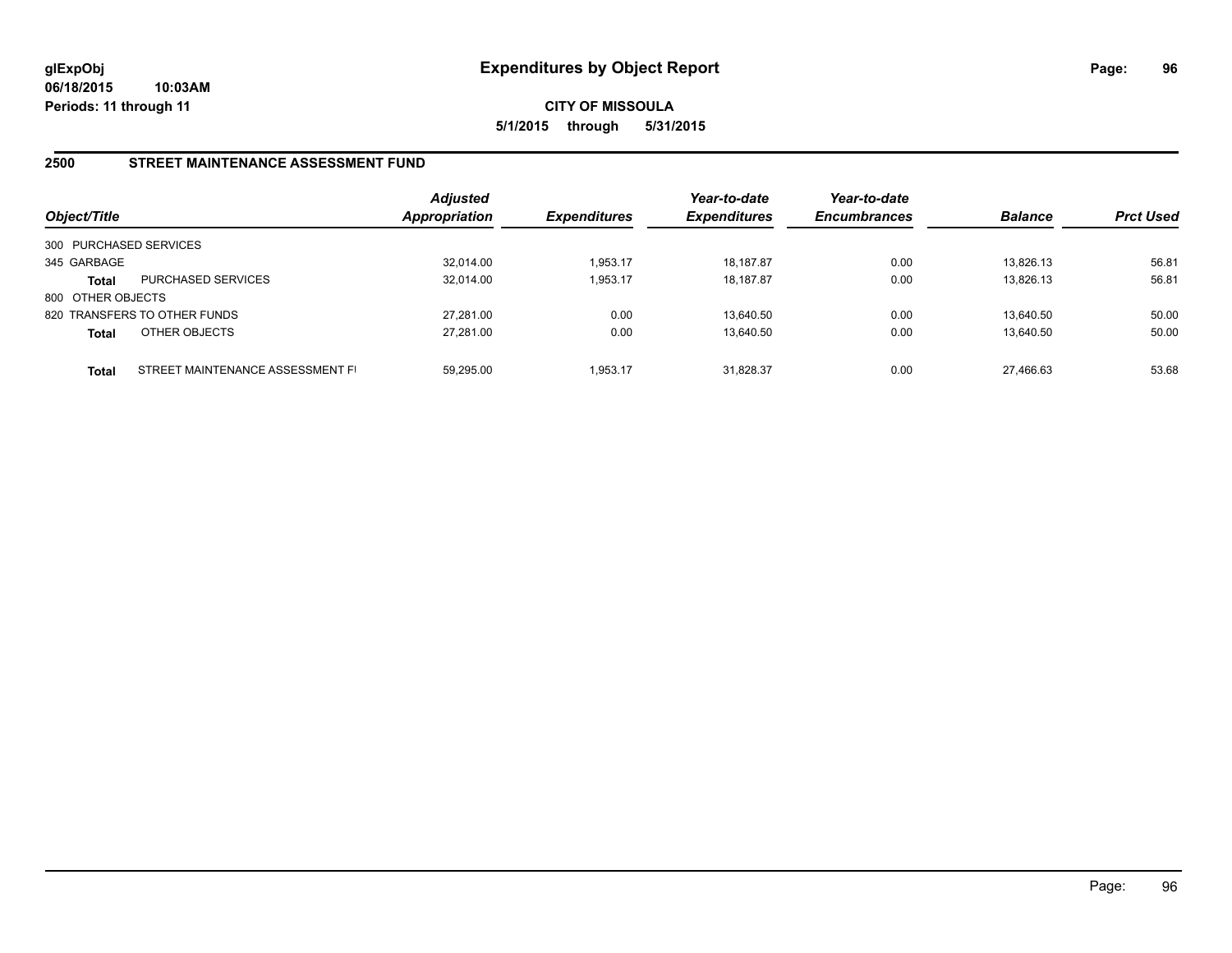**CITY OF MISSOULA 5/1/2015 through 5/31/2015**

#### **2500 STREET MAINTENANCE ASSESSMENT FUND**

| Object/Title           |                                  | <b>Adjusted</b><br><b>Appropriation</b> | <b>Expenditures</b> | Year-to-date<br><b>Expenditures</b> | Year-to-date<br><b>Encumbrances</b> | <b>Balance</b> | <b>Prct Used</b> |
|------------------------|----------------------------------|-----------------------------------------|---------------------|-------------------------------------|-------------------------------------|----------------|------------------|
| 300 PURCHASED SERVICES |                                  |                                         |                     |                                     |                                     |                |                  |
| 345 GARBAGE            |                                  | 32,014.00                               | 1,953.17            | 18,187.87                           | 0.00                                | 13,826.13      | 56.81            |
| Total                  | <b>PURCHASED SERVICES</b>        | 32.014.00                               | 1,953.17            | 18.187.87                           | 0.00                                | 13,826.13      | 56.81            |
| 800 OTHER OBJECTS      |                                  |                                         |                     |                                     |                                     |                |                  |
|                        | 820 TRANSFERS TO OTHER FUNDS     | 27.281.00                               | 0.00                | 13.640.50                           | 0.00                                | 13.640.50      | 50.00            |
| <b>Total</b>           | OTHER OBJECTS                    | 27,281.00                               | 0.00                | 13,640.50                           | 0.00                                | 13,640.50      | 50.00            |
| Total                  | STREET MAINTENANCE ASSESSMENT FI | 59.295.00                               | 1.953.17            | 31.828.37                           | 0.00                                | 27.466.63      | 53.68            |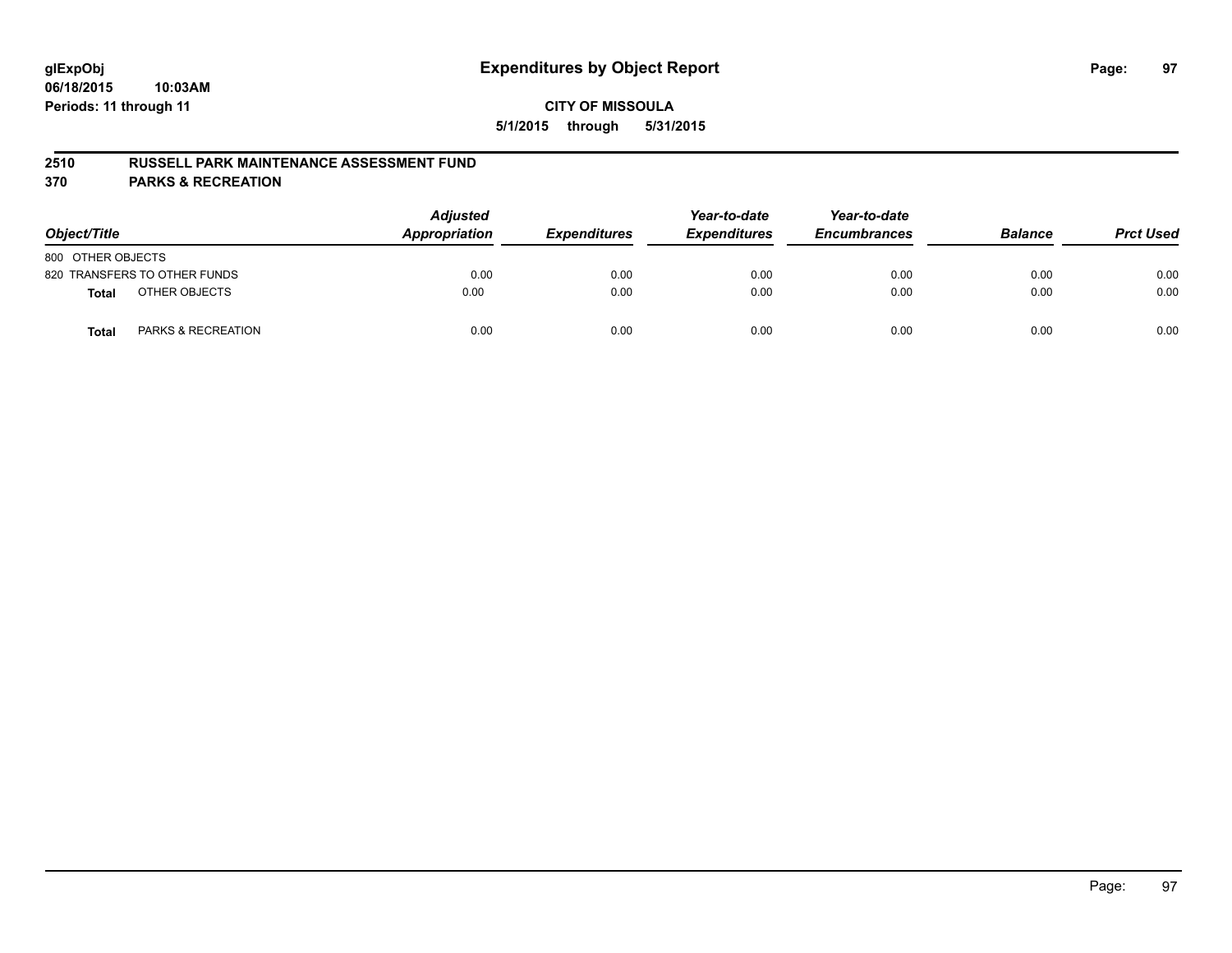#### **2510 RUSSELL PARK MAINTENANCE ASSESSMENT FUND**

**370 PARKS & RECREATION**

| Object/Title                           | <b>Adjusted</b><br>Appropriation | <b>Expenditures</b> | Year-to-date<br><b>Expenditures</b> | Year-to-date<br><b>Encumbrances</b> | <b>Balance</b> | <b>Prct Used</b> |
|----------------------------------------|----------------------------------|---------------------|-------------------------------------|-------------------------------------|----------------|------------------|
| 800 OTHER OBJECTS                      |                                  |                     |                                     |                                     |                |                  |
| 820 TRANSFERS TO OTHER FUNDS           | 0.00                             | 0.00                | 0.00                                | 0.00                                | 0.00           | 0.00             |
| OTHER OBJECTS<br><b>Total</b>          | 0.00                             | 0.00                | 0.00                                | 0.00                                | 0.00           | 0.00             |
| <b>PARKS &amp; RECREATION</b><br>Total | 0.00                             | 0.00                | 0.00                                | 0.00                                | 0.00           | 0.00             |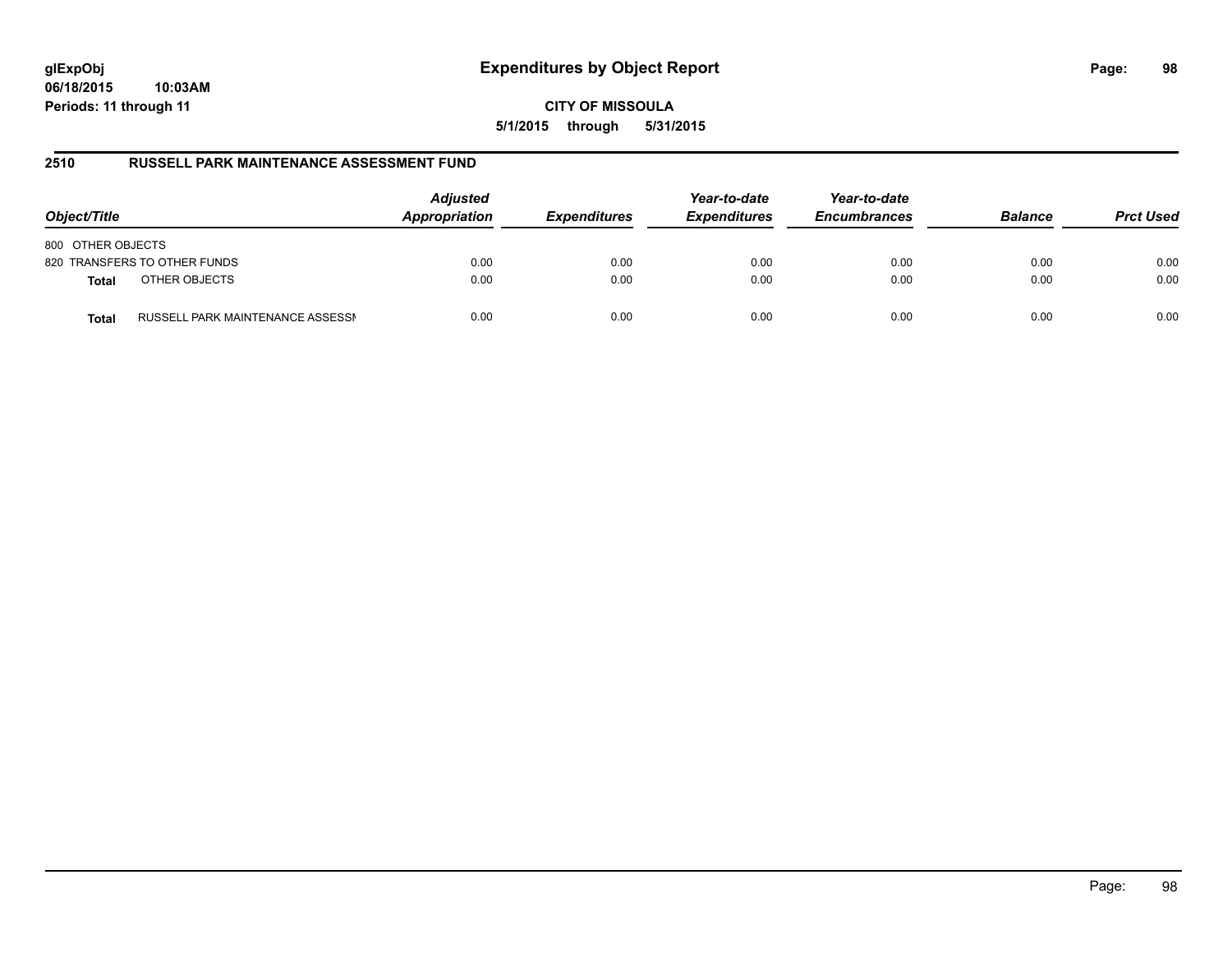**CITY OF MISSOULA 5/1/2015 through 5/31/2015**

#### **2510 RUSSELL PARK MAINTENANCE ASSESSMENT FUND**

| Object/Title                                     | <b>Adjusted</b><br>Appropriation | <b>Expenditures</b> | Year-to-date<br><b>Expenditures</b> | Year-to-date<br><b>Encumbrances</b> | <b>Balance</b> | <b>Prct Used</b> |
|--------------------------------------------------|----------------------------------|---------------------|-------------------------------------|-------------------------------------|----------------|------------------|
| 800 OTHER OBJECTS                                |                                  |                     |                                     |                                     |                |                  |
| 820 TRANSFERS TO OTHER FUNDS                     | 0.00                             | 0.00                | 0.00                                | 0.00                                | 0.00           | 0.00             |
| OTHER OBJECTS<br><b>Total</b>                    | 0.00                             | 0.00                | 0.00                                | 0.00                                | 0.00           | 0.00             |
| RUSSELL PARK MAINTENANCE ASSESSN<br><b>Total</b> | 0.00                             | 0.00                | 0.00                                | 0.00                                | 0.00           | 0.00             |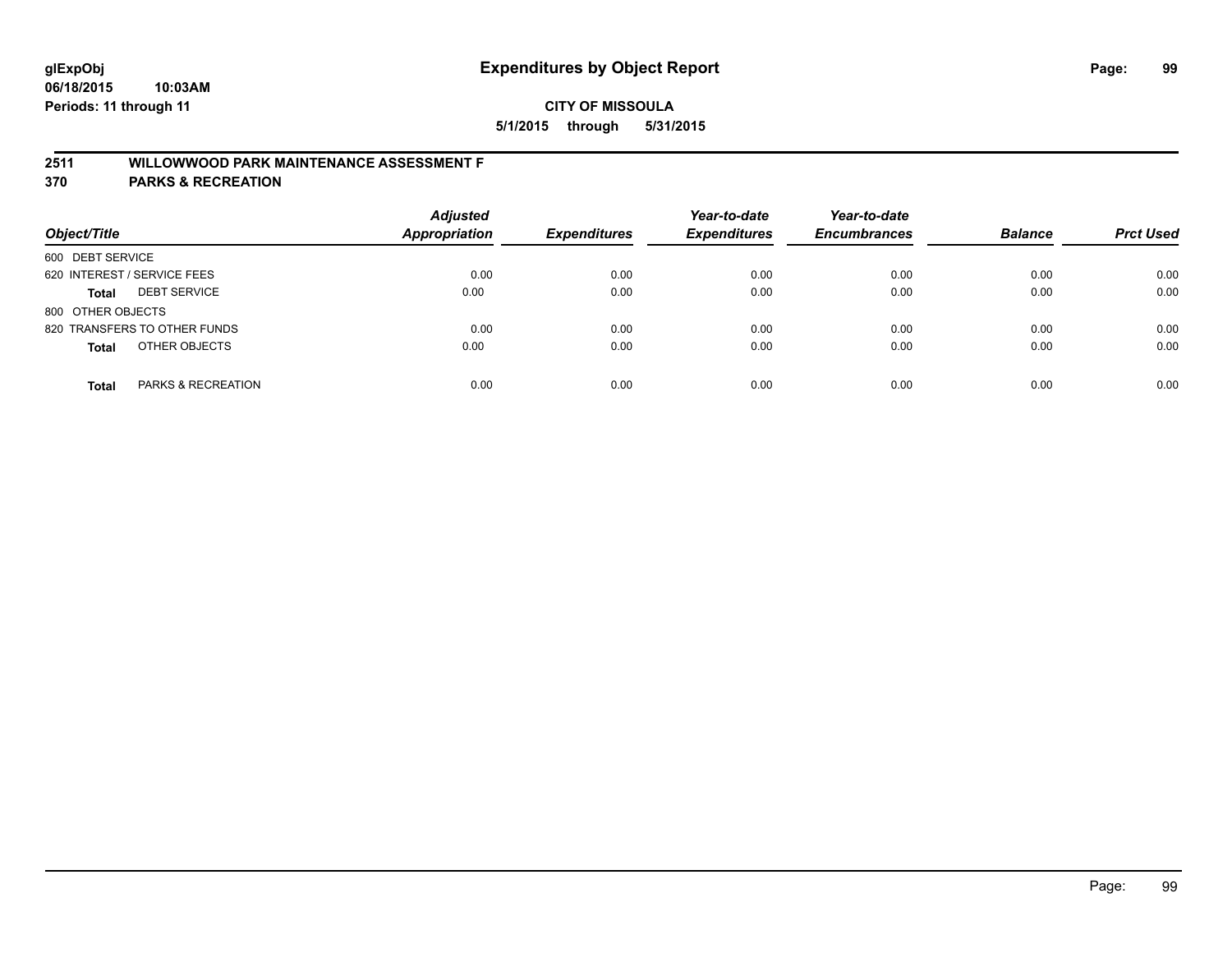# **2511 WILLOWWOOD PARK MAINTENANCE ASSESSMENT F**

**370 PARKS & RECREATION**

| Object/Title                        | <b>Adjusted</b><br>Appropriation | <b>Expenditures</b> | Year-to-date<br><b>Expenditures</b> | Year-to-date<br><b>Encumbrances</b> | <b>Balance</b> | <b>Prct Used</b> |
|-------------------------------------|----------------------------------|---------------------|-------------------------------------|-------------------------------------|----------------|------------------|
| 600 DEBT SERVICE                    |                                  |                     |                                     |                                     |                |                  |
| 620 INTEREST / SERVICE FEES         | 0.00                             | 0.00                | 0.00                                | 0.00                                | 0.00           | 0.00             |
| <b>DEBT SERVICE</b><br><b>Total</b> | 0.00                             | 0.00                | 0.00                                | 0.00                                | 0.00           | 0.00             |
| 800 OTHER OBJECTS                   |                                  |                     |                                     |                                     |                |                  |
| 820 TRANSFERS TO OTHER FUNDS        | 0.00                             | 0.00                | 0.00                                | 0.00                                | 0.00           | 0.00             |
| OTHER OBJECTS<br><b>Total</b>       | 0.00                             | 0.00                | 0.00                                | 0.00                                | 0.00           | 0.00             |
| PARKS & RECREATION<br><b>Total</b>  | 0.00                             | 0.00                | 0.00                                | 0.00                                | 0.00           | 0.00             |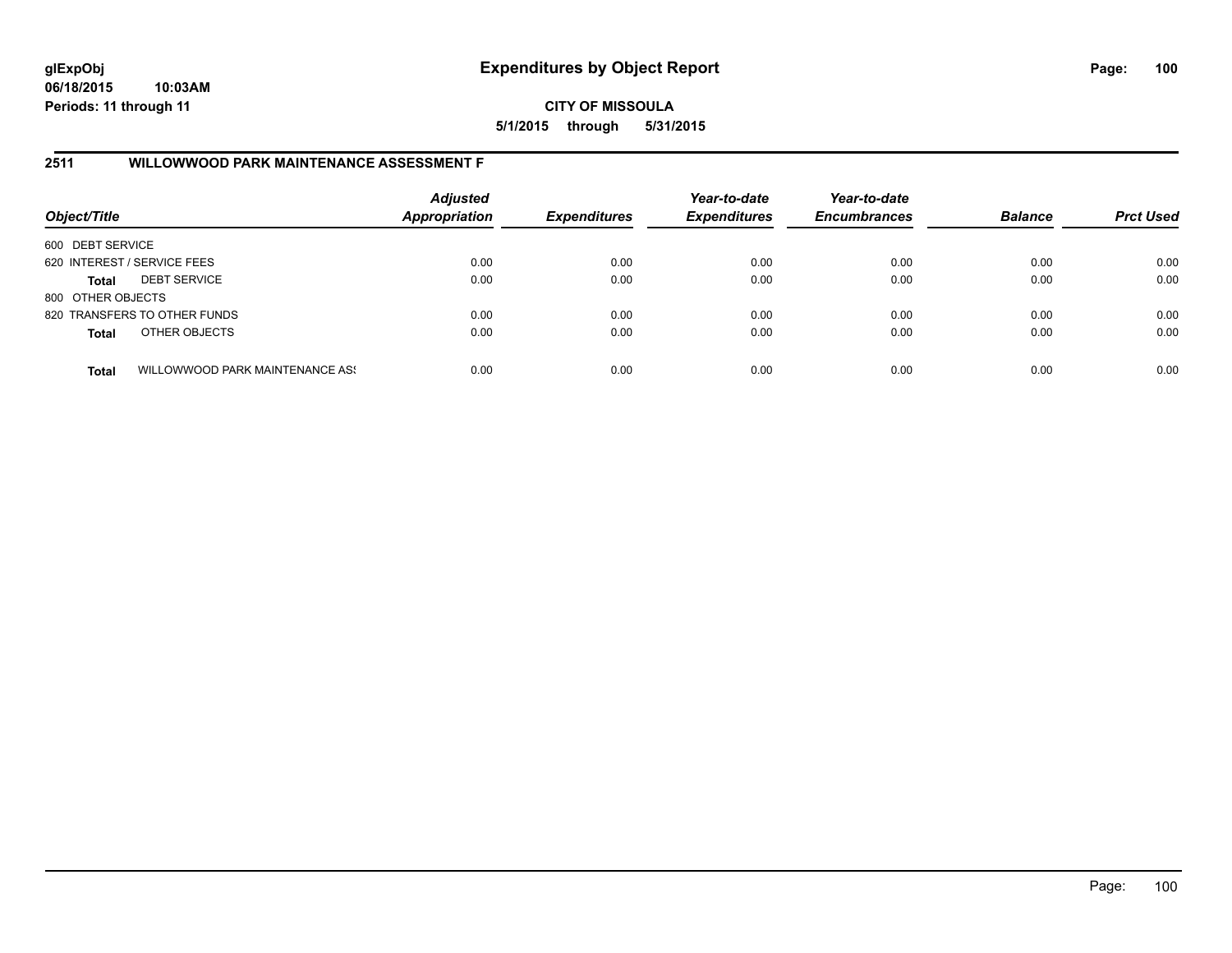**CITY OF MISSOULA 5/1/2015 through 5/31/2015**

# **2511 WILLOWWOOD PARK MAINTENANCE ASSESSMENT F**

| Object/Title                |                                 | <b>Adjusted</b><br><b>Appropriation</b> | <b>Expenditures</b> | Year-to-date<br><b>Expenditures</b> | Year-to-date<br><b>Encumbrances</b> | <b>Balance</b> | <b>Prct Used</b> |
|-----------------------------|---------------------------------|-----------------------------------------|---------------------|-------------------------------------|-------------------------------------|----------------|------------------|
| 600 DEBT SERVICE            |                                 |                                         |                     |                                     |                                     |                |                  |
| 620 INTEREST / SERVICE FEES |                                 | 0.00                                    | 0.00                | 0.00                                | 0.00                                | 0.00           | 0.00             |
| Total                       | <b>DEBT SERVICE</b>             | 0.00                                    | 0.00                | 0.00                                | 0.00                                | 0.00           | 0.00             |
| 800 OTHER OBJECTS           |                                 |                                         |                     |                                     |                                     |                |                  |
|                             | 820 TRANSFERS TO OTHER FUNDS    | 0.00                                    | 0.00                | 0.00                                | 0.00                                | 0.00           | 0.00             |
| <b>Total</b>                | OTHER OBJECTS                   | 0.00                                    | 0.00                | 0.00                                | 0.00                                | 0.00           | 0.00             |
| <b>Total</b>                | WILLOWWOOD PARK MAINTENANCE ASS | 0.00                                    | 0.00                | 0.00                                | 0.00                                | 0.00           | 0.00             |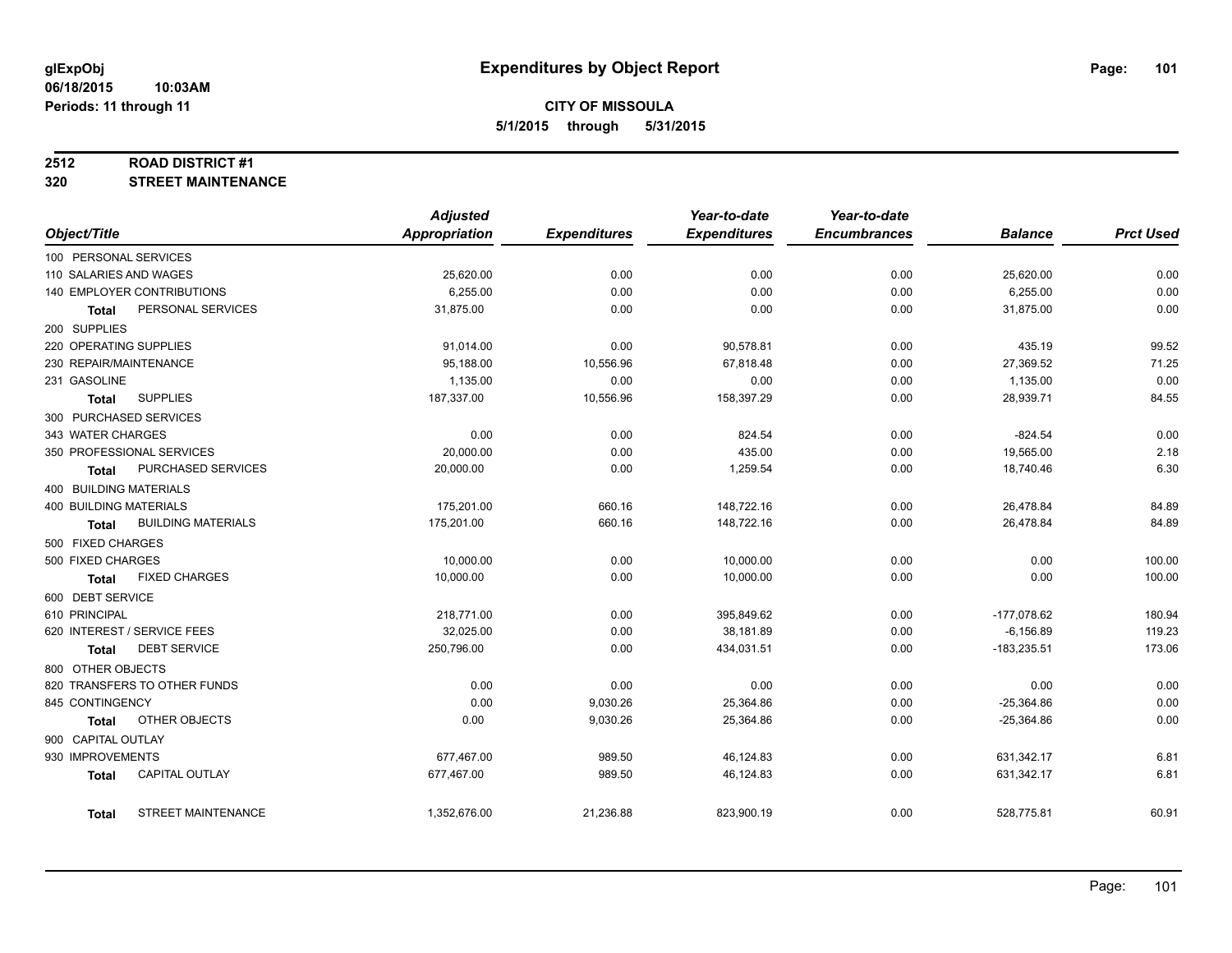#### **2512 ROAD DISTRICT #1**

**320 STREET MAINTENANCE**

|                        |                              | <b>Adjusted</b>      |                     | Year-to-date        | Year-to-date        |                |                  |
|------------------------|------------------------------|----------------------|---------------------|---------------------|---------------------|----------------|------------------|
| Object/Title           |                              | <b>Appropriation</b> | <b>Expenditures</b> | <b>Expenditures</b> | <b>Encumbrances</b> | <b>Balance</b> | <b>Prct Used</b> |
| 100 PERSONAL SERVICES  |                              |                      |                     |                     |                     |                |                  |
| 110 SALARIES AND WAGES |                              | 25,620.00            | 0.00                | 0.00                | 0.00                | 25,620.00      | 0.00             |
|                        | 140 EMPLOYER CONTRIBUTIONS   | 6,255.00             | 0.00                | 0.00                | 0.00                | 6,255.00       | 0.00             |
| <b>Total</b>           | PERSONAL SERVICES            | 31,875.00            | 0.00                | 0.00                | 0.00                | 31,875.00      | 0.00             |
| 200 SUPPLIES           |                              |                      |                     |                     |                     |                |                  |
| 220 OPERATING SUPPLIES |                              | 91,014.00            | 0.00                | 90,578.81           | 0.00                | 435.19         | 99.52            |
| 230 REPAIR/MAINTENANCE |                              | 95,188.00            | 10,556.96           | 67,818.48           | 0.00                | 27,369.52      | 71.25            |
| 231 GASOLINE           |                              | 1,135.00             | 0.00                | 0.00                | 0.00                | 1,135.00       | 0.00             |
| <b>Total</b>           | <b>SUPPLIES</b>              | 187,337.00           | 10,556.96           | 158,397.29          | 0.00                | 28,939.71      | 84.55            |
|                        | 300 PURCHASED SERVICES       |                      |                     |                     |                     |                |                  |
| 343 WATER CHARGES      |                              | 0.00                 | 0.00                | 824.54              | 0.00                | $-824.54$      | 0.00             |
|                        | 350 PROFESSIONAL SERVICES    | 20,000.00            | 0.00                | 435.00              | 0.00                | 19,565.00      | 2.18             |
| <b>Total</b>           | PURCHASED SERVICES           | 20,000.00            | 0.00                | 1,259.54            | 0.00                | 18,740.46      | 6.30             |
| 400 BUILDING MATERIALS |                              |                      |                     |                     |                     |                |                  |
| 400 BUILDING MATERIALS |                              | 175,201.00           | 660.16              | 148,722.16          | 0.00                | 26,478.84      | 84.89            |
| Total                  | <b>BUILDING MATERIALS</b>    | 175,201.00           | 660.16              | 148,722.16          | 0.00                | 26,478.84      | 84.89            |
| 500 FIXED CHARGES      |                              |                      |                     |                     |                     |                |                  |
| 500 FIXED CHARGES      |                              | 10,000.00            | 0.00                | 10,000.00           | 0.00                | 0.00           | 100.00           |
| <b>Total</b>           | <b>FIXED CHARGES</b>         | 10,000.00            | 0.00                | 10,000.00           | 0.00                | 0.00           | 100.00           |
| 600 DEBT SERVICE       |                              |                      |                     |                     |                     |                |                  |
| 610 PRINCIPAL          |                              | 218,771.00           | 0.00                | 395,849.62          | 0.00                | $-177,078.62$  | 180.94           |
|                        | 620 INTEREST / SERVICE FEES  | 32,025.00            | 0.00                | 38,181.89           | 0.00                | $-6,156.89$    | 119.23           |
| Total                  | <b>DEBT SERVICE</b>          | 250,796.00           | 0.00                | 434,031.51          | 0.00                | $-183,235.51$  | 173.06           |
| 800 OTHER OBJECTS      |                              |                      |                     |                     |                     |                |                  |
|                        | 820 TRANSFERS TO OTHER FUNDS | 0.00                 | 0.00                | 0.00                | 0.00                | 0.00           | 0.00             |
| 845 CONTINGENCY        |                              | 0.00                 | 9,030.26            | 25,364.86           | 0.00                | $-25,364.86$   | 0.00             |
| Total                  | OTHER OBJECTS                | 0.00                 | 9,030.26            | 25,364.86           | 0.00                | $-25,364.86$   | 0.00             |
| 900 CAPITAL OUTLAY     |                              |                      |                     |                     |                     |                |                  |
| 930 IMPROVEMENTS       |                              | 677,467.00           | 989.50              | 46,124.83           | 0.00                | 631,342.17     | 6.81             |
| <b>Total</b>           | <b>CAPITAL OUTLAY</b>        | 677,467.00           | 989.50              | 46,124.83           | 0.00                | 631,342.17     | 6.81             |
|                        |                              |                      |                     |                     |                     |                |                  |
| Total                  | <b>STREET MAINTENANCE</b>    | 1,352,676.00         | 21,236.88           | 823,900.19          | 0.00                | 528,775.81     | 60.91            |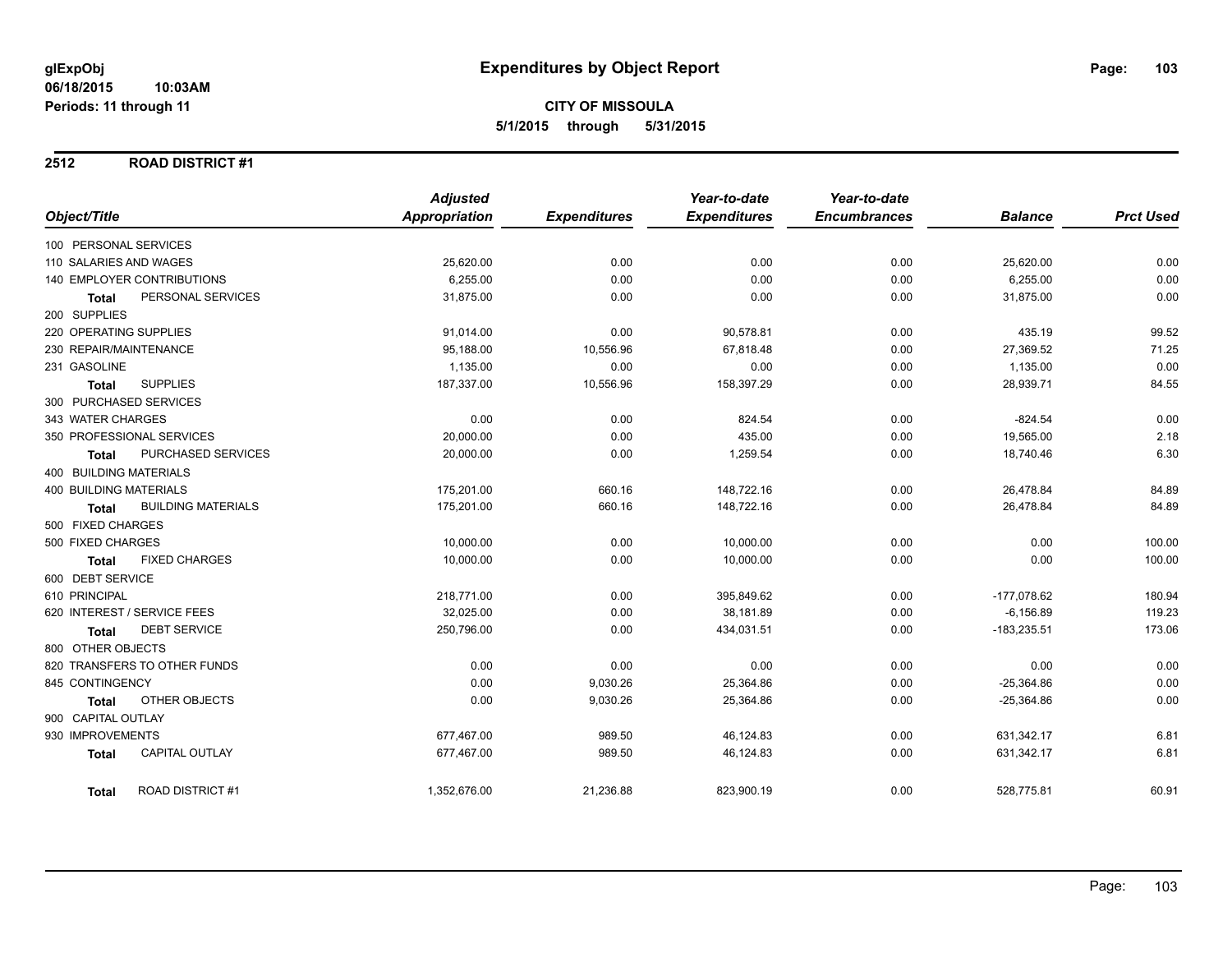#### **2512 ROAD DISTRICT #1**

|                                           | <b>Adjusted</b>      |                     | Year-to-date        | Year-to-date        |                |                  |
|-------------------------------------------|----------------------|---------------------|---------------------|---------------------|----------------|------------------|
| Object/Title                              | <b>Appropriation</b> | <b>Expenditures</b> | <b>Expenditures</b> | <b>Encumbrances</b> | <b>Balance</b> | <b>Prct Used</b> |
| 100 PERSONAL SERVICES                     |                      |                     |                     |                     |                |                  |
| 110 SALARIES AND WAGES                    | 25,620.00            | 0.00                | 0.00                | 0.00                | 25,620.00      | 0.00             |
| 140 EMPLOYER CONTRIBUTIONS                | 6,255.00             | 0.00                | 0.00                | 0.00                | 6,255.00       | 0.00             |
| PERSONAL SERVICES<br><b>Total</b>         | 31,875.00            | 0.00                | 0.00                | 0.00                | 31,875.00      | 0.00             |
| 200 SUPPLIES                              |                      |                     |                     |                     |                |                  |
| 220 OPERATING SUPPLIES                    | 91,014.00            | 0.00                | 90,578.81           | 0.00                | 435.19         | 99.52            |
| 230 REPAIR/MAINTENANCE                    | 95,188.00            | 10,556.96           | 67,818.48           | 0.00                | 27,369.52      | 71.25            |
| 231 GASOLINE                              | 1,135.00             | 0.00                | 0.00                | 0.00                | 1,135.00       | 0.00             |
| <b>SUPPLIES</b><br>Total                  | 187,337.00           | 10,556.96           | 158,397.29          | 0.00                | 28,939.71      | 84.55            |
| 300 PURCHASED SERVICES                    |                      |                     |                     |                     |                |                  |
| 343 WATER CHARGES                         | 0.00                 | 0.00                | 824.54              | 0.00                | $-824.54$      | 0.00             |
| 350 PROFESSIONAL SERVICES                 | 20,000.00            | 0.00                | 435.00              | 0.00                | 19,565.00      | 2.18             |
| PURCHASED SERVICES<br>Total               | 20,000.00            | 0.00                | 1,259.54            | 0.00                | 18,740.46      | 6.30             |
| 400 BUILDING MATERIALS                    |                      |                     |                     |                     |                |                  |
| <b>400 BUILDING MATERIALS</b>             | 175,201.00           | 660.16              | 148,722.16          | 0.00                | 26,478.84      | 84.89            |
| <b>BUILDING MATERIALS</b><br><b>Total</b> | 175,201.00           | 660.16              | 148,722.16          | 0.00                | 26,478.84      | 84.89            |
| 500 FIXED CHARGES                         |                      |                     |                     |                     |                |                  |
| 500 FIXED CHARGES                         | 10,000.00            | 0.00                | 10,000.00           | 0.00                | 0.00           | 100.00           |
| <b>FIXED CHARGES</b><br><b>Total</b>      | 10,000.00            | 0.00                | 10,000.00           | 0.00                | 0.00           | 100.00           |
| 600 DEBT SERVICE                          |                      |                     |                     |                     |                |                  |
| 610 PRINCIPAL                             | 218,771.00           | 0.00                | 395,849.62          | 0.00                | $-177,078.62$  | 180.94           |
| 620 INTEREST / SERVICE FEES               | 32,025.00            | 0.00                | 38,181.89           | 0.00                | $-6, 156.89$   | 119.23           |
| <b>DEBT SERVICE</b><br>Total              | 250,796.00           | 0.00                | 434,031.51          | 0.00                | $-183,235.51$  | 173.06           |
| 800 OTHER OBJECTS                         |                      |                     |                     |                     |                |                  |
| 820 TRANSFERS TO OTHER FUNDS              | 0.00                 | 0.00                | 0.00                | 0.00                | 0.00           | 0.00             |
| 845 CONTINGENCY                           | 0.00                 | 9,030.26            | 25,364.86           | 0.00                | $-25,364.86$   | 0.00             |
| OTHER OBJECTS<br>Total                    | 0.00                 | 9,030.26            | 25,364.86           | 0.00                | $-25,364.86$   | 0.00             |
| 900 CAPITAL OUTLAY                        |                      |                     |                     |                     |                |                  |
| 930 IMPROVEMENTS                          | 677,467.00           | 989.50              | 46,124.83           | 0.00                | 631,342.17     | 6.81             |
| <b>CAPITAL OUTLAY</b><br><b>Total</b>     | 677,467.00           | 989.50              | 46,124.83           | 0.00                | 631,342.17     | 6.81             |
| <b>ROAD DISTRICT#1</b><br><b>Total</b>    | 1,352,676.00         | 21,236.88           | 823,900.19          | 0.00                | 528,775.81     | 60.91            |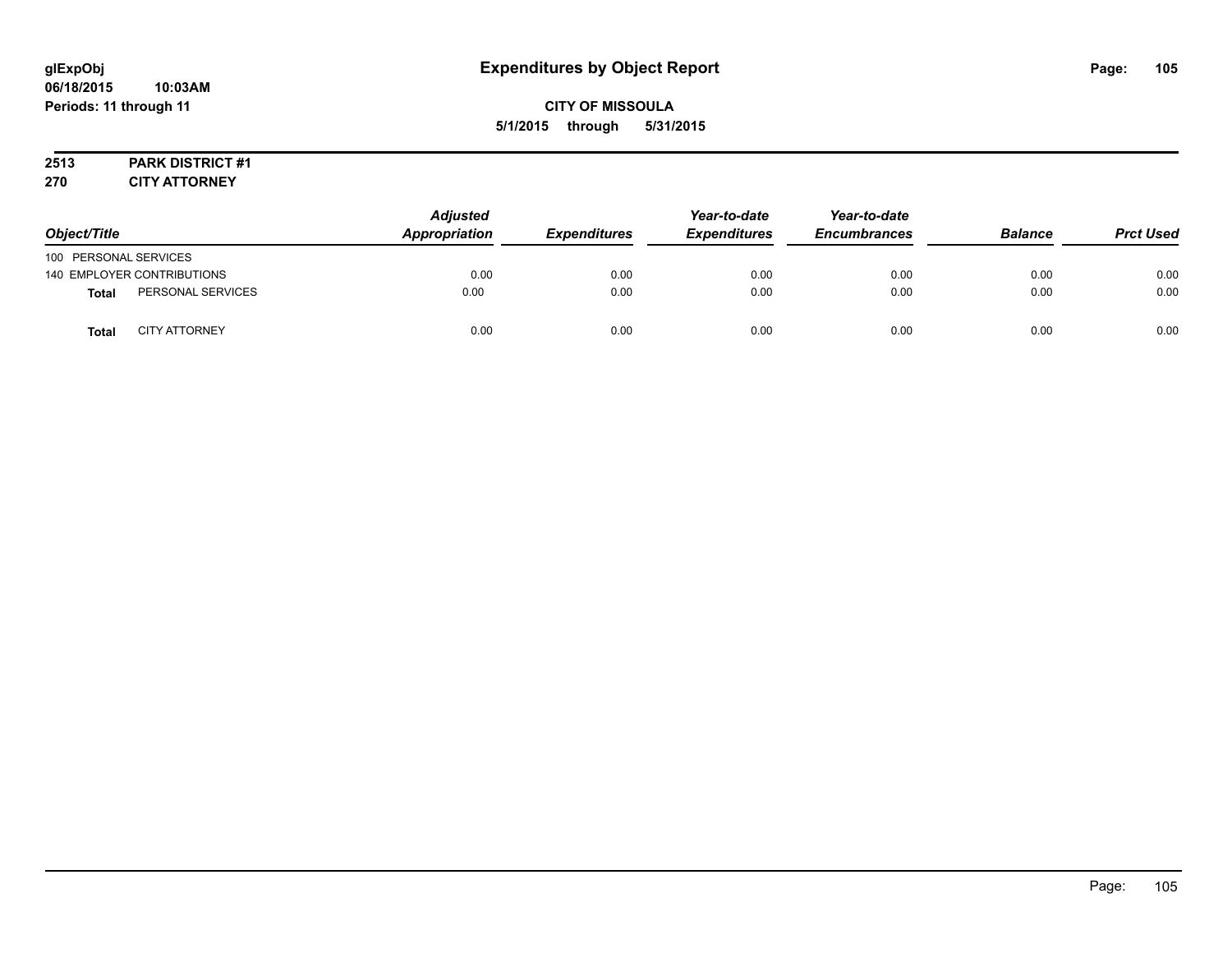# **CITY OF MISSOULA 5/1/2015 through 5/31/2015**

# **2513 PARK DISTRICT #1**

**270 CITY ATTORNEY**

| Object/Title          |                            | <b>Adjusted</b><br>Appropriation | <b>Expenditures</b> | Year-to-date<br><b>Expenditures</b> | Year-to-date<br><b>Encumbrances</b> | <b>Balance</b> | <b>Prct Used</b> |
|-----------------------|----------------------------|----------------------------------|---------------------|-------------------------------------|-------------------------------------|----------------|------------------|
| 100 PERSONAL SERVICES |                            |                                  |                     |                                     |                                     |                |                  |
|                       | 140 EMPLOYER CONTRIBUTIONS | 0.00                             | 0.00                | 0.00                                | 0.00                                | 0.00           | 0.00             |
| <b>Total</b>          | PERSONAL SERVICES          | 0.00                             | 0.00                | 0.00                                | 0.00                                | 0.00           | 0.00             |
| <b>Total</b>          | <b>CITY ATTORNEY</b>       | 0.00                             | 0.00                | 0.00                                | 0.00                                | 0.00           | 0.00             |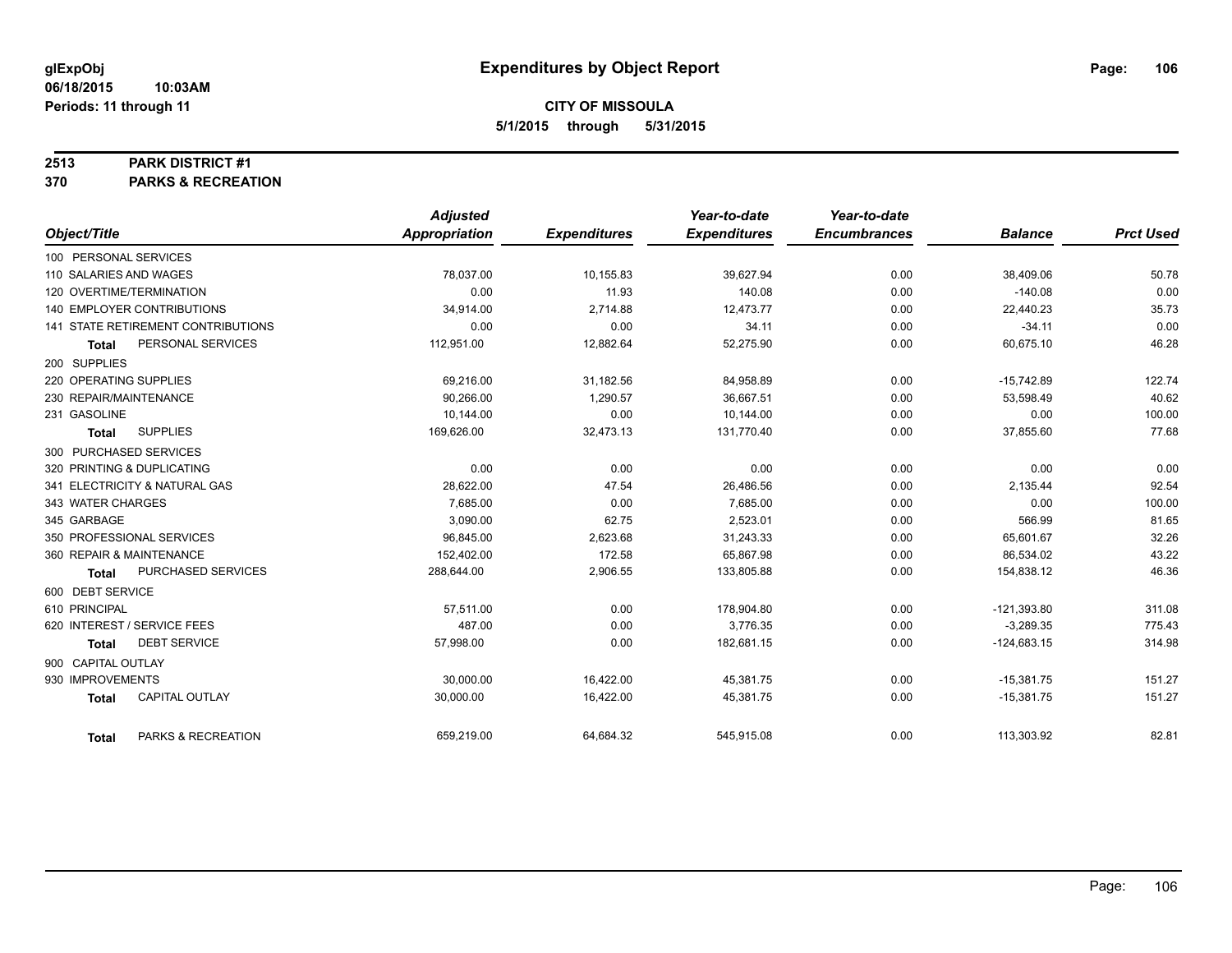#### **2513 PARK DISTRICT #1**

**370 PARKS & RECREATION**

|                                     | <b>Adjusted</b>      |                     | Year-to-date        | Year-to-date        |                |                  |
|-------------------------------------|----------------------|---------------------|---------------------|---------------------|----------------|------------------|
| Object/Title                        | <b>Appropriation</b> | <b>Expenditures</b> | <b>Expenditures</b> | <b>Encumbrances</b> | <b>Balance</b> | <b>Prct Used</b> |
| 100 PERSONAL SERVICES               |                      |                     |                     |                     |                |                  |
| 110 SALARIES AND WAGES              | 78,037.00            | 10,155.83           | 39,627.94           | 0.00                | 38,409.06      | 50.78            |
| 120 OVERTIME/TERMINATION            | 0.00                 | 11.93               | 140.08              | 0.00                | $-140.08$      | 0.00             |
| <b>140 EMPLOYER CONTRIBUTIONS</b>   | 34,914.00            | 2,714.88            | 12,473.77           | 0.00                | 22,440.23      | 35.73            |
| 141 STATE RETIREMENT CONTRIBUTIONS  | 0.00                 | 0.00                | 34.11               | 0.00                | $-34.11$       | 0.00             |
| PERSONAL SERVICES<br>Total          | 112,951.00           | 12,882.64           | 52,275.90           | 0.00                | 60,675.10      | 46.28            |
| 200 SUPPLIES                        |                      |                     |                     |                     |                |                  |
| 220 OPERATING SUPPLIES              | 69,216.00            | 31,182.56           | 84,958.89           | 0.00                | $-15,742.89$   | 122.74           |
| 230 REPAIR/MAINTENANCE              | 90,266.00            | 1,290.57            | 36,667.51           | 0.00                | 53,598.49      | 40.62            |
| 231 GASOLINE                        | 10,144.00            | 0.00                | 10,144.00           | 0.00                | 0.00           | 100.00           |
| <b>SUPPLIES</b><br><b>Total</b>     | 169,626.00           | 32,473.13           | 131,770.40          | 0.00                | 37,855.60      | 77.68            |
| 300 PURCHASED SERVICES              |                      |                     |                     |                     |                |                  |
| 320 PRINTING & DUPLICATING          | 0.00                 | 0.00                | 0.00                | 0.00                | 0.00           | 0.00             |
| 341 ELECTRICITY & NATURAL GAS       | 28,622.00            | 47.54               | 26,486.56           | 0.00                | 2,135.44       | 92.54            |
| 343 WATER CHARGES                   | 7,685.00             | 0.00                | 7,685.00            | 0.00                | 0.00           | 100.00           |
| 345 GARBAGE                         | 3.090.00             | 62.75               | 2,523.01            | 0.00                | 566.99         | 81.65            |
| 350 PROFESSIONAL SERVICES           | 96,845.00            | 2,623.68            | 31,243.33           | 0.00                | 65,601.67      | 32.26            |
| 360 REPAIR & MAINTENANCE            | 152,402.00           | 172.58              | 65,867.98           | 0.00                | 86,534.02      | 43.22            |
| PURCHASED SERVICES<br>Total         | 288,644.00           | 2,906.55            | 133,805.88          | 0.00                | 154,838.12     | 46.36            |
| 600 DEBT SERVICE                    |                      |                     |                     |                     |                |                  |
| 610 PRINCIPAL                       | 57,511.00            | 0.00                | 178,904.80          | 0.00                | $-121,393.80$  | 311.08           |
| 620 INTEREST / SERVICE FEES         | 487.00               | 0.00                | 3,776.35            | 0.00                | $-3,289.35$    | 775.43           |
| <b>DEBT SERVICE</b><br><b>Total</b> | 57.998.00            | 0.00                | 182,681.15          | 0.00                | $-124,683.15$  | 314.98           |
| 900 CAPITAL OUTLAY                  |                      |                     |                     |                     |                |                  |
| 930 IMPROVEMENTS                    | 30,000.00            | 16,422.00           | 45,381.75           | 0.00                | $-15,381.75$   | 151.27           |
| CAPITAL OUTLAY<br><b>Total</b>      | 30,000.00            | 16,422.00           | 45,381.75           | 0.00                | $-15,381.75$   | 151.27           |
| PARKS & RECREATION<br><b>Total</b>  | 659,219.00           | 64,684.32           | 545,915.08          | 0.00                | 113,303.92     | 82.81            |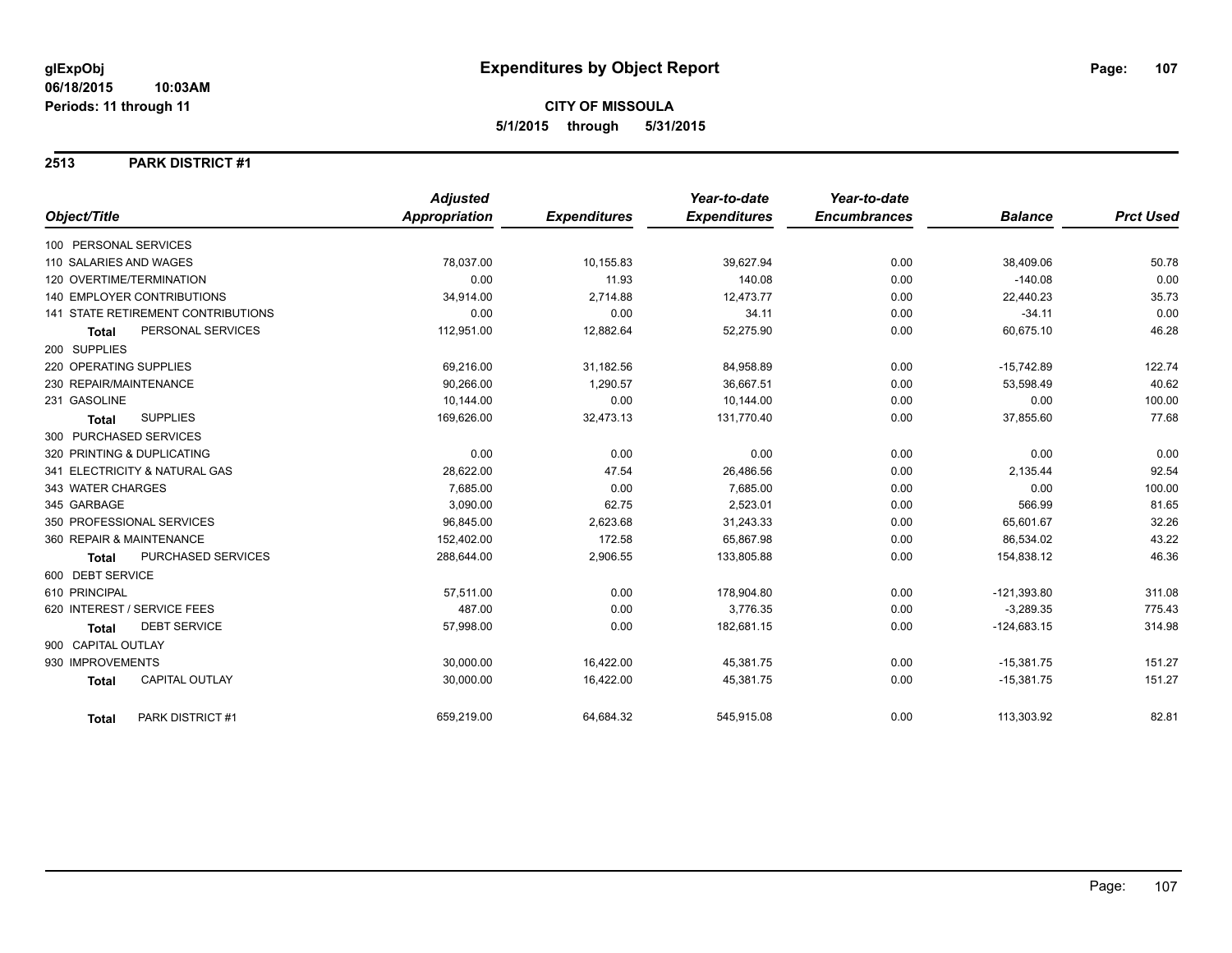#### **2513 PARK DISTRICT #1**

|                                       | <b>Adjusted</b>      |                     | Year-to-date        | Year-to-date        |                |                  |
|---------------------------------------|----------------------|---------------------|---------------------|---------------------|----------------|------------------|
| Object/Title                          | <b>Appropriation</b> | <b>Expenditures</b> | <b>Expenditures</b> | <b>Encumbrances</b> | <b>Balance</b> | <b>Prct Used</b> |
| 100 PERSONAL SERVICES                 |                      |                     |                     |                     |                |                  |
| 110 SALARIES AND WAGES                | 78,037.00            | 10,155.83           | 39,627.94           | 0.00                | 38,409.06      | 50.78            |
| 120 OVERTIME/TERMINATION              | 0.00                 | 11.93               | 140.08              | 0.00                | $-140.08$      | 0.00             |
| 140 EMPLOYER CONTRIBUTIONS            | 34,914.00            | 2,714.88            | 12,473.77           | 0.00                | 22,440.23      | 35.73            |
| 141 STATE RETIREMENT CONTRIBUTIONS    | 0.00                 | 0.00                | 34.11               | 0.00                | $-34.11$       | 0.00             |
| PERSONAL SERVICES<br><b>Total</b>     | 112,951.00           | 12,882.64           | 52,275.90           | 0.00                | 60,675.10      | 46.28            |
| 200 SUPPLIES                          |                      |                     |                     |                     |                |                  |
| 220 OPERATING SUPPLIES                | 69,216.00            | 31,182.56           | 84,958.89           | 0.00                | $-15,742.89$   | 122.74           |
| 230 REPAIR/MAINTENANCE                | 90,266.00            | 1,290.57            | 36,667.51           | 0.00                | 53,598.49      | 40.62            |
| 231 GASOLINE                          | 10,144.00            | 0.00                | 10,144.00           | 0.00                | 0.00           | 100.00           |
| <b>SUPPLIES</b><br><b>Total</b>       | 169,626.00           | 32,473.13           | 131,770.40          | 0.00                | 37,855.60      | 77.68            |
| 300 PURCHASED SERVICES                |                      |                     |                     |                     |                |                  |
| 320 PRINTING & DUPLICATING            | 0.00                 | 0.00                | 0.00                | 0.00                | 0.00           | 0.00             |
| 341 ELECTRICITY & NATURAL GAS         | 28,622.00            | 47.54               | 26,486.56           | 0.00                | 2,135.44       | 92.54            |
| 343 WATER CHARGES                     | 7.685.00             | 0.00                | 7.685.00            | 0.00                | 0.00           | 100.00           |
| 345 GARBAGE                           | 3,090.00             | 62.75               | 2,523.01            | 0.00                | 566.99         | 81.65            |
| 350 PROFESSIONAL SERVICES             | 96,845.00            | 2,623.68            | 31,243.33           | 0.00                | 65,601.67      | 32.26            |
| 360 REPAIR & MAINTENANCE              | 152,402.00           | 172.58              | 65,867.98           | 0.00                | 86,534.02      | 43.22            |
| PURCHASED SERVICES<br>Total           | 288,644.00           | 2,906.55            | 133,805.88          | 0.00                | 154,838.12     | 46.36            |
| 600 DEBT SERVICE                      |                      |                     |                     |                     |                |                  |
| 610 PRINCIPAL                         | 57,511.00            | 0.00                | 178,904.80          | 0.00                | $-121,393.80$  | 311.08           |
| 620 INTEREST / SERVICE FEES           | 487.00               | 0.00                | 3,776.35            | 0.00                | $-3,289.35$    | 775.43           |
| <b>DEBT SERVICE</b><br><b>Total</b>   | 57,998.00            | 0.00                | 182,681.15          | 0.00                | $-124,683.15$  | 314.98           |
| 900 CAPITAL OUTLAY                    |                      |                     |                     |                     |                |                  |
| 930 IMPROVEMENTS                      | 30,000.00            | 16,422.00           | 45,381.75           | 0.00                | $-15,381.75$   | 151.27           |
| <b>CAPITAL OUTLAY</b><br><b>Total</b> | 30,000.00            | 16,422.00           | 45,381.75           | 0.00                | $-15,381.75$   | 151.27           |
| PARK DISTRICT #1<br><b>Total</b>      | 659,219.00           | 64,684.32           | 545,915.08          | 0.00                | 113,303.92     | 82.81            |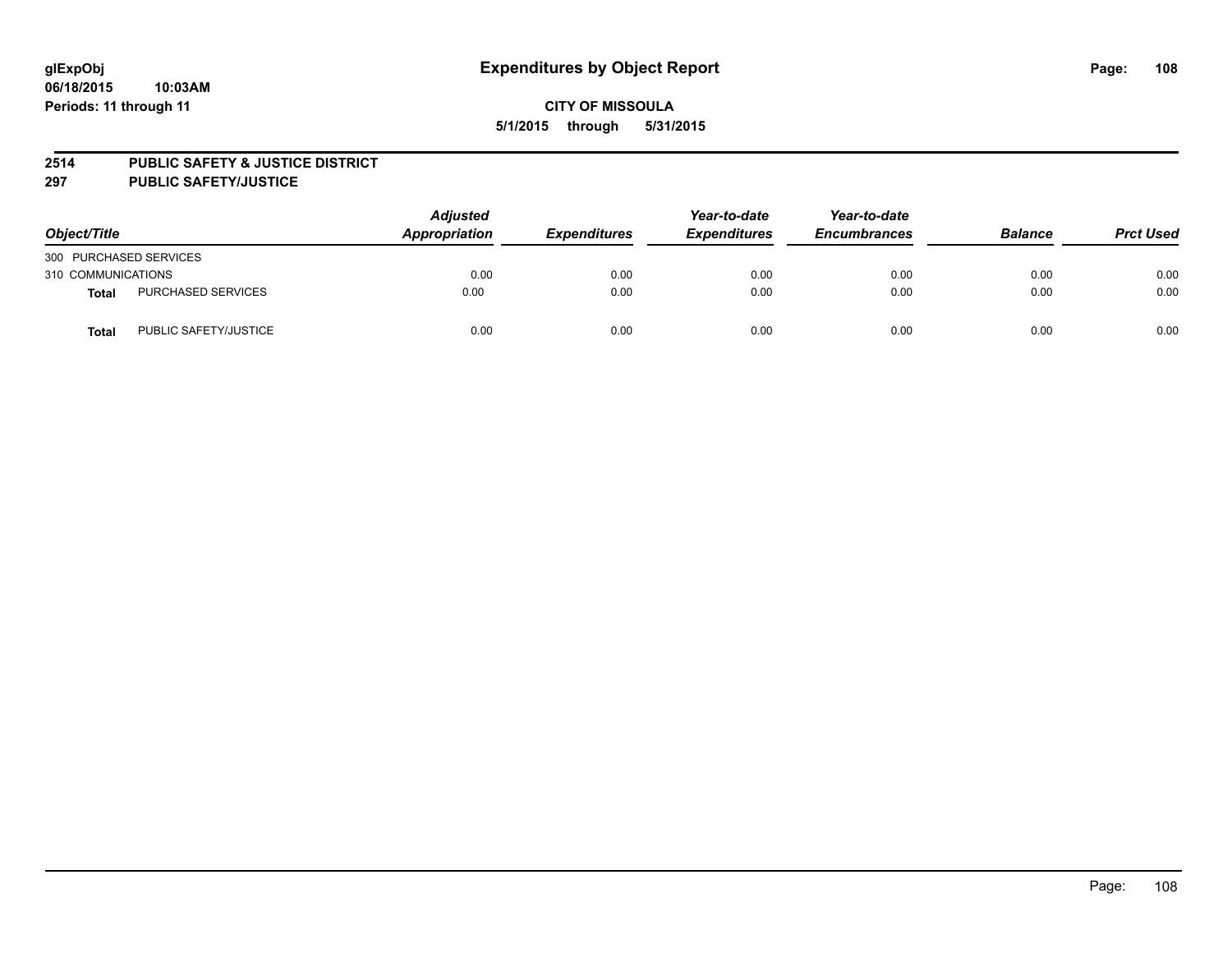#### **2514 PUBLIC SAFETY & JUSTICE DISTRICT**

**297 PUBLIC SAFETY/JUSTICE**

| Object/Title           |                           | <b>Adjusted</b><br>Appropriation | <b>Expenditures</b> | Year-to-date<br><b>Expenditures</b> | Year-to-date<br><b>Encumbrances</b> | <b>Balance</b> | <b>Prct Used</b> |
|------------------------|---------------------------|----------------------------------|---------------------|-------------------------------------|-------------------------------------|----------------|------------------|
| 300 PURCHASED SERVICES |                           |                                  |                     |                                     |                                     |                |                  |
| 310 COMMUNICATIONS     |                           | 0.00                             | 0.00                | 0.00                                | 0.00                                | 0.00           | 0.00             |
| Total                  | <b>PURCHASED SERVICES</b> | 0.00                             | 0.00                | 0.00                                | 0.00                                | 0.00           | 0.00             |
| Total                  | PUBLIC SAFETY/JUSTICE     | 0.00                             | 0.00                | 0.00                                | 0.00                                | 0.00           | 0.00             |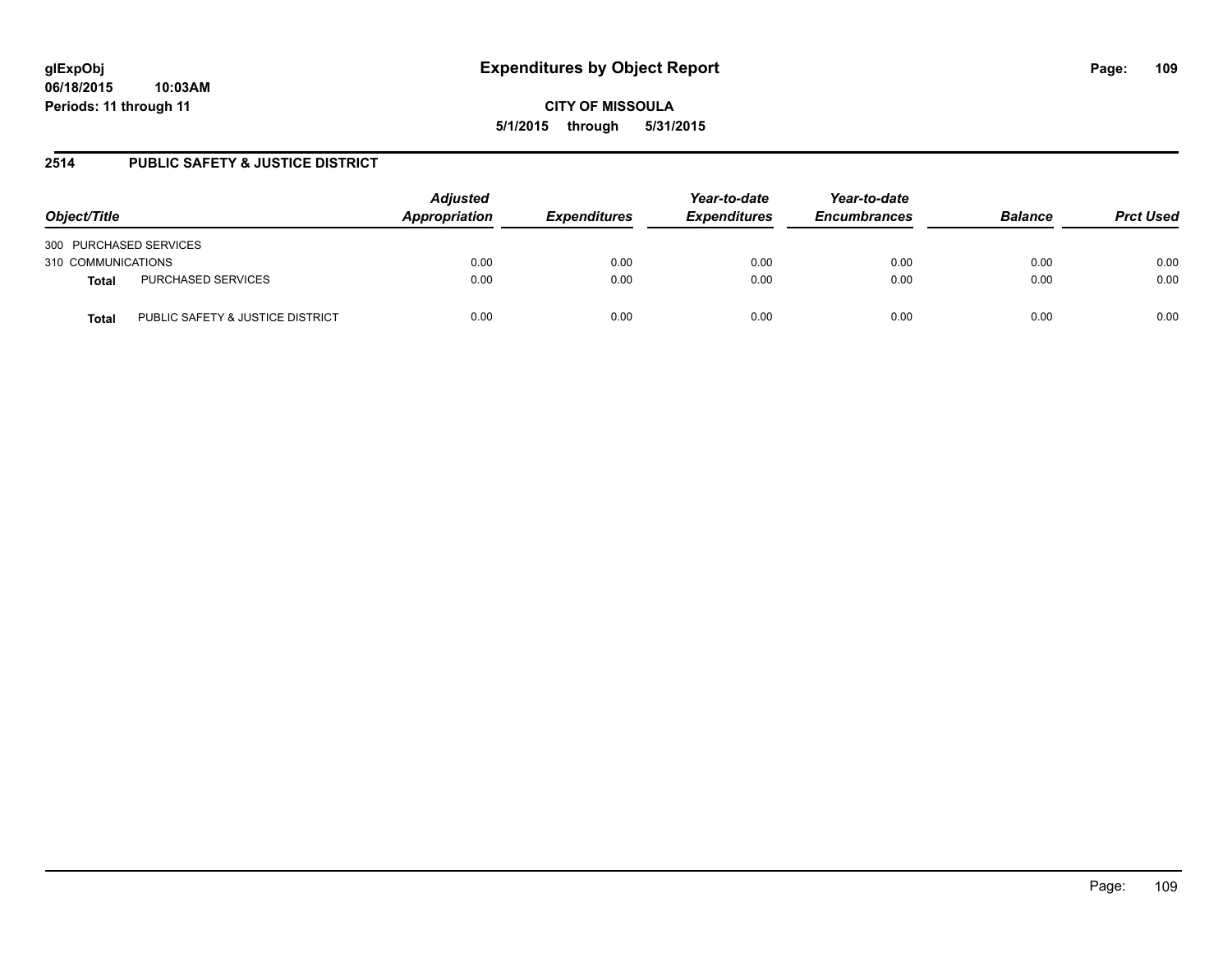## **2514 PUBLIC SAFETY & JUSTICE DISTRICT**

| Object/Title           |                                  | <b>Adjusted</b><br>Appropriation | <b>Expenditures</b> | Year-to-date<br><b>Expenditures</b> | Year-to-date<br><b>Encumbrances</b> | <b>Balance</b> | <b>Prct Used</b> |
|------------------------|----------------------------------|----------------------------------|---------------------|-------------------------------------|-------------------------------------|----------------|------------------|
| 300 PURCHASED SERVICES |                                  |                                  |                     |                                     |                                     |                |                  |
| 310 COMMUNICATIONS     |                                  | 0.00                             | 0.00                | 0.00                                | 0.00                                | 0.00           | 0.00             |
| <b>Total</b>           | <b>PURCHASED SERVICES</b>        | 0.00                             | 0.00                | 0.00                                | 0.00                                | 0.00           | 0.00             |
| <b>Total</b>           | PUBLIC SAFETY & JUSTICE DISTRICT | 0.00                             | 0.00                | 0.00                                | 0.00                                | 0.00           | 0.00             |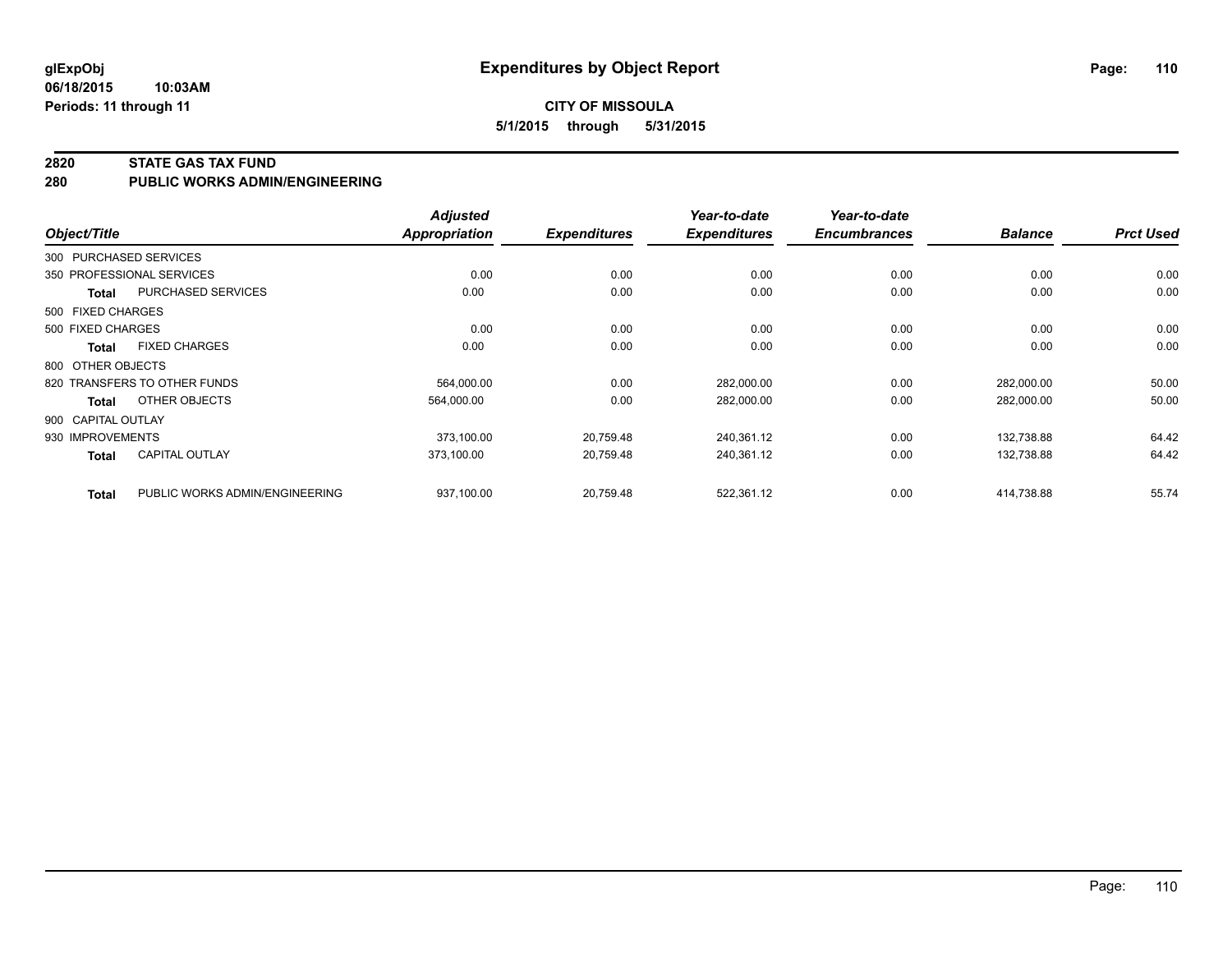#### **06/18/2015 10:03AM Periods: 11 through 11**

## **CITY OF MISSOULA 5/1/2015 through 5/31/2015**

#### **2820 STATE GAS TAX FUND**

**280 PUBLIC WORKS ADMIN/ENGINEERING**

|                    |                                | <b>Adjusted</b> |                     | Year-to-date        | Year-to-date        |                |                  |
|--------------------|--------------------------------|-----------------|---------------------|---------------------|---------------------|----------------|------------------|
| Object/Title       |                                | Appropriation   | <b>Expenditures</b> | <b>Expenditures</b> | <b>Encumbrances</b> | <b>Balance</b> | <b>Prct Used</b> |
|                    | 300 PURCHASED SERVICES         |                 |                     |                     |                     |                |                  |
|                    | 350 PROFESSIONAL SERVICES      | 0.00            | 0.00                | 0.00                | 0.00                | 0.00           | 0.00             |
| Total              | PURCHASED SERVICES             | 0.00            | 0.00                | 0.00                | 0.00                | 0.00           | 0.00             |
| 500 FIXED CHARGES  |                                |                 |                     |                     |                     |                |                  |
| 500 FIXED CHARGES  |                                | 0.00            | 0.00                | 0.00                | 0.00                | 0.00           | 0.00             |
| Total              | <b>FIXED CHARGES</b>           | 0.00            | 0.00                | 0.00                | 0.00                | 0.00           | 0.00             |
| 800 OTHER OBJECTS  |                                |                 |                     |                     |                     |                |                  |
|                    | 820 TRANSFERS TO OTHER FUNDS   | 564,000.00      | 0.00                | 282,000.00          | 0.00                | 282,000.00     | 50.00            |
| Total              | OTHER OBJECTS                  | 564,000.00      | 0.00                | 282,000.00          | 0.00                | 282,000.00     | 50.00            |
| 900 CAPITAL OUTLAY |                                |                 |                     |                     |                     |                |                  |
| 930 IMPROVEMENTS   |                                | 373,100.00      | 20,759.48           | 240,361.12          | 0.00                | 132,738.88     | 64.42            |
| <b>Total</b>       | <b>CAPITAL OUTLAY</b>          | 373,100.00      | 20,759.48           | 240,361.12          | 0.00                | 132,738.88     | 64.42            |
| <b>Total</b>       | PUBLIC WORKS ADMIN/ENGINEERING | 937,100.00      | 20,759.48           | 522,361.12          | 0.00                | 414,738.88     | 55.74            |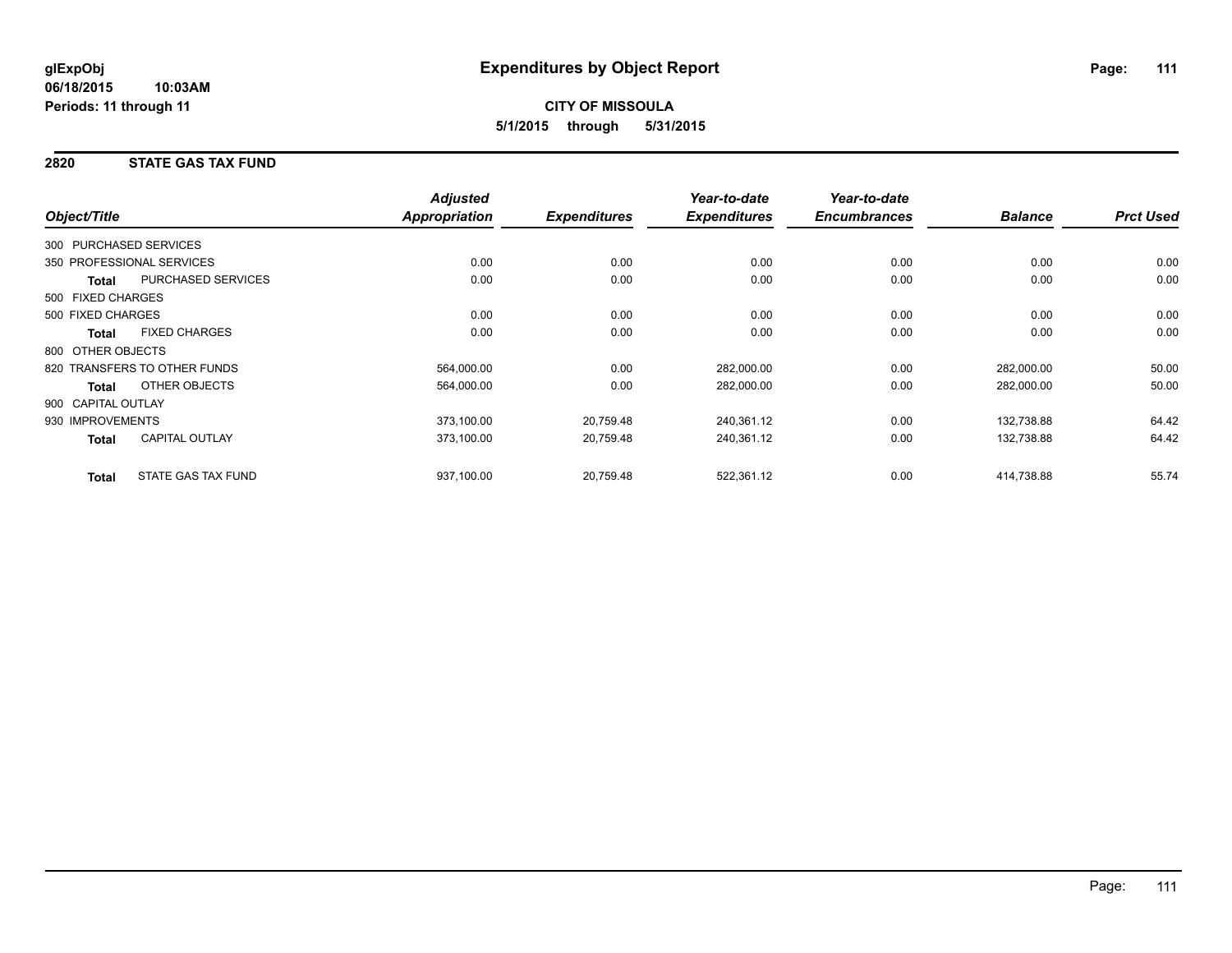## **2820 STATE GAS TAX FUND**

|                                           | <b>Adjusted</b>      |                     | Year-to-date        | Year-to-date        |                |                  |
|-------------------------------------------|----------------------|---------------------|---------------------|---------------------|----------------|------------------|
| Object/Title                              | <b>Appropriation</b> | <b>Expenditures</b> | <b>Expenditures</b> | <b>Encumbrances</b> | <b>Balance</b> | <b>Prct Used</b> |
| 300 PURCHASED SERVICES                    |                      |                     |                     |                     |                |                  |
| 350 PROFESSIONAL SERVICES                 | 0.00                 | 0.00                | 0.00                | 0.00                | 0.00           | 0.00             |
| <b>PURCHASED SERVICES</b><br><b>Total</b> | 0.00                 | 0.00                | 0.00                | 0.00                | 0.00           | 0.00             |
| 500 FIXED CHARGES                         |                      |                     |                     |                     |                |                  |
| 500 FIXED CHARGES                         | 0.00                 | 0.00                | 0.00                | 0.00                | 0.00           | 0.00             |
| <b>FIXED CHARGES</b><br><b>Total</b>      | 0.00                 | 0.00                | 0.00                | 0.00                | 0.00           | 0.00             |
| 800 OTHER OBJECTS                         |                      |                     |                     |                     |                |                  |
| 820 TRANSFERS TO OTHER FUNDS              | 564,000.00           | 0.00                | 282,000.00          | 0.00                | 282,000.00     | 50.00            |
| OTHER OBJECTS<br><b>Total</b>             | 564,000.00           | 0.00                | 282,000.00          | 0.00                | 282,000.00     | 50.00            |
| 900 CAPITAL OUTLAY                        |                      |                     |                     |                     |                |                  |
| 930 IMPROVEMENTS                          | 373,100.00           | 20,759.48           | 240,361.12          | 0.00                | 132,738.88     | 64.42            |
| <b>CAPITAL OUTLAY</b><br><b>Total</b>     | 373,100.00           | 20,759.48           | 240,361.12          | 0.00                | 132,738.88     | 64.42            |
| STATE GAS TAX FUND<br><b>Total</b>        | 937,100.00           | 20,759.48           | 522,361.12          | 0.00                | 414,738.88     | 55.74            |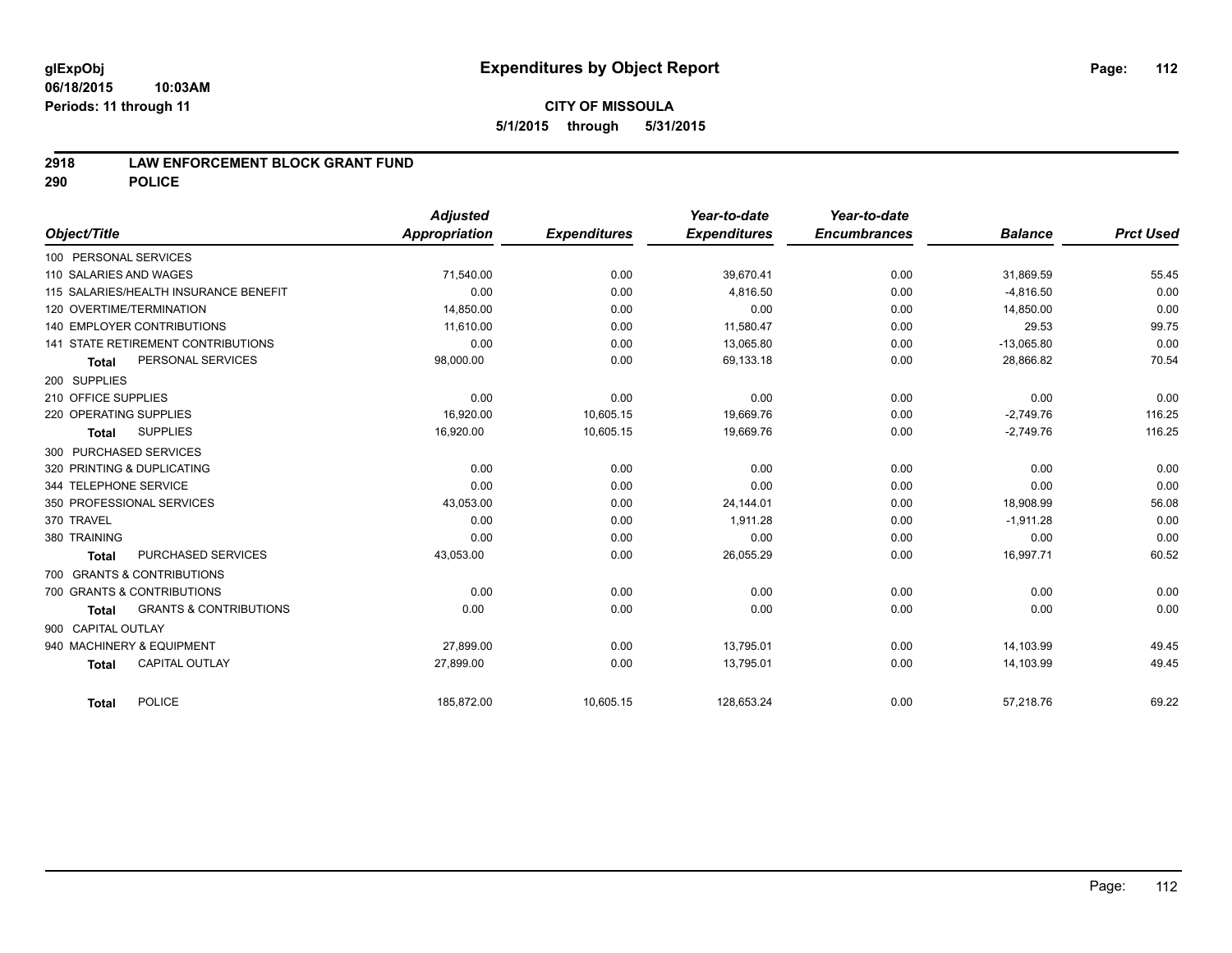#### **06/18/2015 10:03AM Periods: 11 through 11**

## **CITY OF MISSOULA 5/1/2015 through 5/31/2015**

### **2918 LAW ENFORCEMENT BLOCK GRANT FUND**

**290 POLICE**

|                     |                                       | <b>Adjusted</b> |                     | Year-to-date        | Year-to-date        |                |                  |
|---------------------|---------------------------------------|-----------------|---------------------|---------------------|---------------------|----------------|------------------|
| Object/Title        |                                       | Appropriation   | <b>Expenditures</b> | <b>Expenditures</b> | <b>Encumbrances</b> | <b>Balance</b> | <b>Prct Used</b> |
|                     | 100 PERSONAL SERVICES                 |                 |                     |                     |                     |                |                  |
|                     | 110 SALARIES AND WAGES                | 71,540.00       | 0.00                | 39,670.41           | 0.00                | 31,869.59      | 55.45            |
|                     | 115 SALARIES/HEALTH INSURANCE BENEFIT | 0.00            | 0.00                | 4,816.50            | 0.00                | $-4,816.50$    | 0.00             |
|                     | 120 OVERTIME/TERMINATION              | 14,850.00       | 0.00                | 0.00                | 0.00                | 14,850.00      | 0.00             |
|                     | <b>140 EMPLOYER CONTRIBUTIONS</b>     | 11.610.00       | 0.00                | 11,580.47           | 0.00                | 29.53          | 99.75            |
|                     | 141 STATE RETIREMENT CONTRIBUTIONS    | 0.00            | 0.00                | 13,065.80           | 0.00                | $-13,065.80$   | 0.00             |
| <b>Total</b>        | PERSONAL SERVICES                     | 98,000.00       | 0.00                | 69,133.18           | 0.00                | 28,866.82      | 70.54            |
| 200 SUPPLIES        |                                       |                 |                     |                     |                     |                |                  |
| 210 OFFICE SUPPLIES |                                       | 0.00            | 0.00                | 0.00                | 0.00                | 0.00           | 0.00             |
|                     | 220 OPERATING SUPPLIES                | 16,920.00       | 10,605.15           | 19,669.76           | 0.00                | $-2,749.76$    | 116.25           |
| <b>Total</b>        | <b>SUPPLIES</b>                       | 16,920.00       | 10,605.15           | 19,669.76           | 0.00                | $-2,749.76$    | 116.25           |
|                     | 300 PURCHASED SERVICES                |                 |                     |                     |                     |                |                  |
|                     | 320 PRINTING & DUPLICATING            | 0.00            | 0.00                | 0.00                | 0.00                | 0.00           | 0.00             |
|                     | 344 TELEPHONE SERVICE                 | 0.00            | 0.00                | 0.00                | 0.00                | 0.00           | 0.00             |
|                     | 350 PROFESSIONAL SERVICES             | 43,053.00       | 0.00                | 24,144.01           | 0.00                | 18,908.99      | 56.08            |
| 370 TRAVEL          |                                       | 0.00            | 0.00                | 1.911.28            | 0.00                | $-1,911.28$    | 0.00             |
| 380 TRAINING        |                                       | 0.00            | 0.00                | 0.00                | 0.00                | 0.00           | 0.00             |
| <b>Total</b>        | PURCHASED SERVICES                    | 43,053.00       | 0.00                | 26,055.29           | 0.00                | 16,997.71      | 60.52            |
|                     | 700 GRANTS & CONTRIBUTIONS            |                 |                     |                     |                     |                |                  |
|                     | 700 GRANTS & CONTRIBUTIONS            | 0.00            | 0.00                | 0.00                | 0.00                | 0.00           | 0.00             |
| <b>Total</b>        | <b>GRANTS &amp; CONTRIBUTIONS</b>     | 0.00            | 0.00                | 0.00                | 0.00                | 0.00           | 0.00             |
| 900 CAPITAL OUTLAY  |                                       |                 |                     |                     |                     |                |                  |
|                     | 940 MACHINERY & EQUIPMENT             | 27,899.00       | 0.00                | 13,795.01           | 0.00                | 14,103.99      | 49.45            |
| <b>Total</b>        | <b>CAPITAL OUTLAY</b>                 | 27,899.00       | 0.00                | 13,795.01           | 0.00                | 14,103.99      | 49.45            |
| <b>Total</b>        | <b>POLICE</b>                         | 185,872.00      | 10,605.15           | 128,653.24          | 0.00                | 57,218.76      | 69.22            |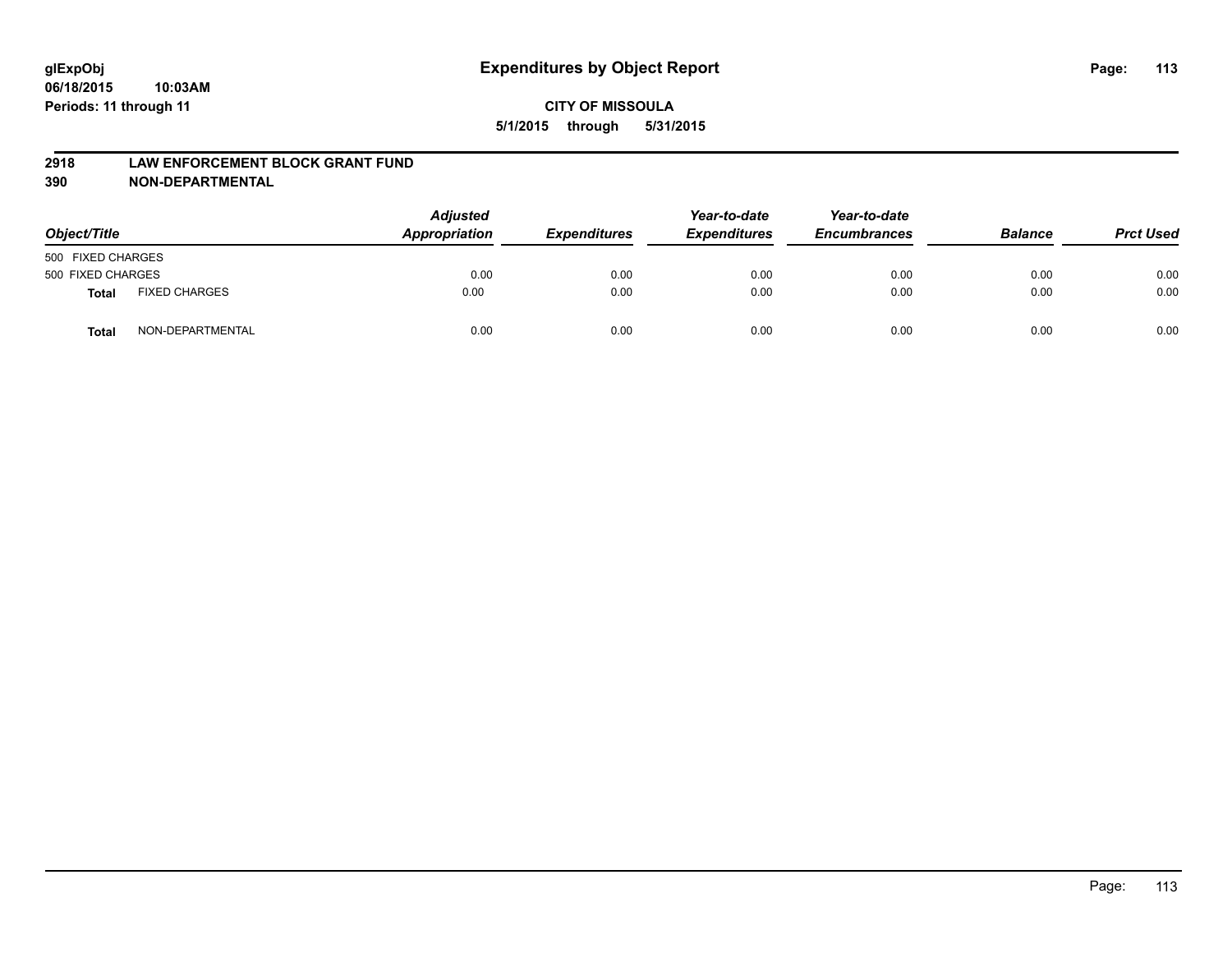#### **2918 LAW ENFORCEMENT BLOCK GRANT FUND**

**390 NON-DEPARTMENTAL**

| Object/Title      |                      | <b>Adjusted</b><br>Appropriation | <b>Expenditures</b> | Year-to-date<br><b>Expenditures</b> | Year-to-date<br><b>Encumbrances</b> | <b>Balance</b> | <b>Prct Used</b> |
|-------------------|----------------------|----------------------------------|---------------------|-------------------------------------|-------------------------------------|----------------|------------------|
| 500 FIXED CHARGES |                      |                                  |                     |                                     |                                     |                |                  |
| 500 FIXED CHARGES |                      | 0.00                             | 0.00                | 0.00                                | 0.00                                | 0.00           | 0.00             |
| <b>Total</b>      | <b>FIXED CHARGES</b> | 0.00                             | 0.00                | 0.00                                | 0.00                                | 0.00           | 0.00             |
| Total             | NON-DEPARTMENTAL     | 0.00                             | 0.00                | 0.00                                | 0.00                                | 0.00           | 0.00             |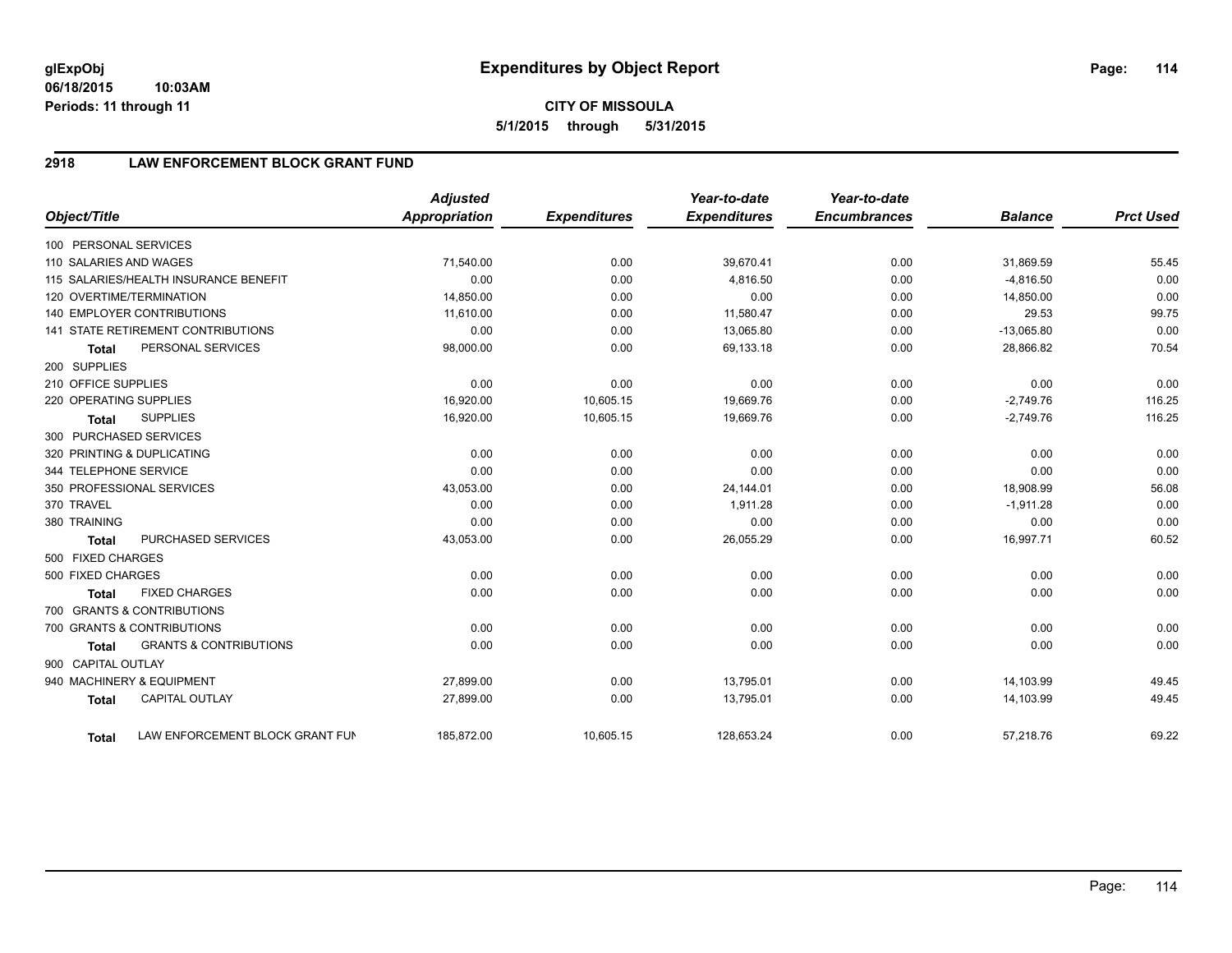**06/18/2015 10:03AM Periods: 11 through 11**

# **2918 LAW ENFORCEMENT BLOCK GRANT FUND**

| Object/Title           |                                           | <b>Adjusted</b><br><b>Appropriation</b> | <b>Expenditures</b> | Year-to-date<br><b>Expenditures</b> | Year-to-date<br><b>Encumbrances</b> | <b>Balance</b> | <b>Prct Used</b> |
|------------------------|-------------------------------------------|-----------------------------------------|---------------------|-------------------------------------|-------------------------------------|----------------|------------------|
| 100 PERSONAL SERVICES  |                                           |                                         |                     |                                     |                                     |                |                  |
| 110 SALARIES AND WAGES |                                           | 71,540.00                               | 0.00                | 39,670.41                           | 0.00                                | 31,869.59      | 55.45            |
|                        | 115 SALARIES/HEALTH INSURANCE BENEFIT     | 0.00                                    | 0.00                | 4,816.50                            | 0.00                                | $-4,816.50$    | 0.00             |
|                        | 120 OVERTIME/TERMINATION                  | 14,850.00                               | 0.00                | 0.00                                | 0.00                                | 14,850.00      | 0.00             |
|                        | 140 EMPLOYER CONTRIBUTIONS                | 11,610.00                               | 0.00                | 11,580.47                           | 0.00                                | 29.53          | 99.75            |
|                        | <b>141 STATE RETIREMENT CONTRIBUTIONS</b> | 0.00                                    | 0.00                | 13,065.80                           | 0.00                                | $-13,065.80$   | 0.00             |
| <b>Total</b>           | PERSONAL SERVICES                         | 98,000.00                               | 0.00                | 69,133.18                           | 0.00                                | 28,866.82      | 70.54            |
| 200 SUPPLIES           |                                           |                                         |                     |                                     |                                     |                |                  |
| 210 OFFICE SUPPLIES    |                                           | 0.00                                    | 0.00                | 0.00                                | 0.00                                | 0.00           | 0.00             |
| 220 OPERATING SUPPLIES |                                           | 16,920.00                               | 10,605.15           | 19.669.76                           | 0.00                                | $-2,749.76$    | 116.25           |
| <b>Total</b>           | <b>SUPPLIES</b>                           | 16,920.00                               | 10,605.15           | 19,669.76                           | 0.00                                | $-2,749.76$    | 116.25           |
|                        | 300 PURCHASED SERVICES                    |                                         |                     |                                     |                                     |                |                  |
|                        | 320 PRINTING & DUPLICATING                | 0.00                                    | 0.00                | 0.00                                | 0.00                                | 0.00           | 0.00             |
| 344 TELEPHONE SERVICE  |                                           | 0.00                                    | 0.00                | 0.00                                | 0.00                                | 0.00           | 0.00             |
|                        | 350 PROFESSIONAL SERVICES                 | 43,053.00                               | 0.00                | 24,144.01                           | 0.00                                | 18,908.99      | 56.08            |
| 370 TRAVEL             |                                           | 0.00                                    | 0.00                | 1,911.28                            | 0.00                                | $-1,911.28$    | 0.00             |
| 380 TRAINING           |                                           | 0.00                                    | 0.00                | 0.00                                | 0.00                                | 0.00           | 0.00             |
| <b>Total</b>           | PURCHASED SERVICES                        | 43,053.00                               | 0.00                | 26,055.29                           | 0.00                                | 16,997.71      | 60.52            |
| 500 FIXED CHARGES      |                                           |                                         |                     |                                     |                                     |                |                  |
| 500 FIXED CHARGES      |                                           | 0.00                                    | 0.00                | 0.00                                | 0.00                                | 0.00           | 0.00             |
| <b>Total</b>           | <b>FIXED CHARGES</b>                      | 0.00                                    | 0.00                | 0.00                                | 0.00                                | 0.00           | 0.00             |
|                        | 700 GRANTS & CONTRIBUTIONS                |                                         |                     |                                     |                                     |                |                  |
|                        | 700 GRANTS & CONTRIBUTIONS                | 0.00                                    | 0.00                | 0.00                                | 0.00                                | 0.00           | 0.00             |
| Total                  | <b>GRANTS &amp; CONTRIBUTIONS</b>         | 0.00                                    | 0.00                | 0.00                                | 0.00                                | 0.00           | 0.00             |
| 900 CAPITAL OUTLAY     |                                           |                                         |                     |                                     |                                     |                |                  |
|                        | 940 MACHINERY & EQUIPMENT                 | 27,899.00                               | 0.00                | 13,795.01                           | 0.00                                | 14,103.99      | 49.45            |
| <b>Total</b>           | <b>CAPITAL OUTLAY</b>                     | 27,899.00                               | 0.00                | 13,795.01                           | 0.00                                | 14,103.99      | 49.45            |
| Total                  | LAW ENFORCEMENT BLOCK GRANT FUN           | 185,872.00                              | 10,605.15           | 128,653.24                          | 0.00                                | 57,218.76      | 69.22            |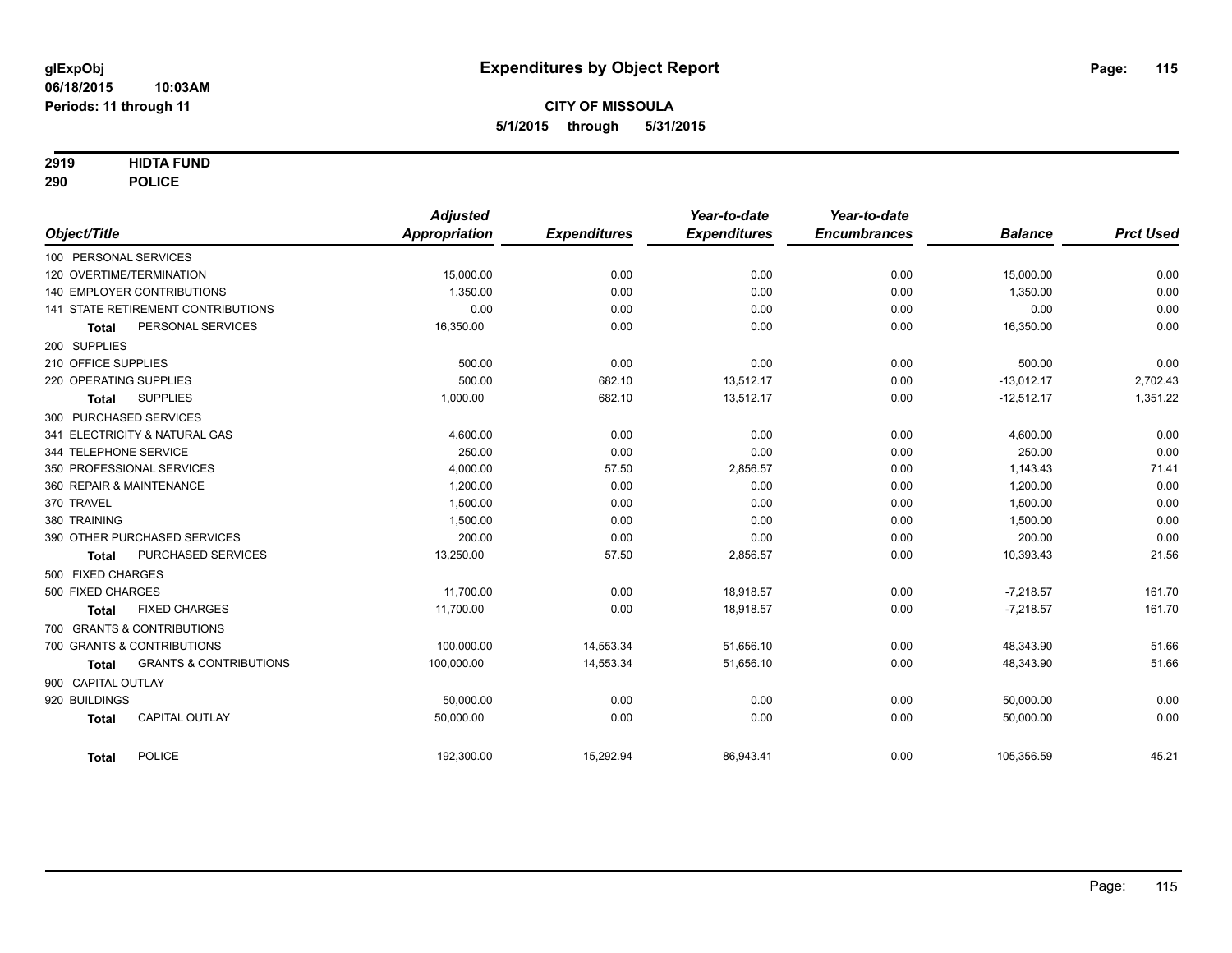### **2919 HIDTA FUND**

**290 POLICE**

| Object/Title        |                                    | <b>Adjusted</b><br>Appropriation | <b>Expenditures</b> | Year-to-date<br><b>Expenditures</b> | Year-to-date<br><b>Encumbrances</b> | <b>Balance</b> | <b>Prct Used</b> |
|---------------------|------------------------------------|----------------------------------|---------------------|-------------------------------------|-------------------------------------|----------------|------------------|
|                     | 100 PERSONAL SERVICES              |                                  |                     |                                     |                                     |                |                  |
|                     | 120 OVERTIME/TERMINATION           | 15,000.00                        | 0.00                | 0.00                                | 0.00                                | 15,000.00      | 0.00             |
|                     | <b>140 EMPLOYER CONTRIBUTIONS</b>  | 1.350.00                         | 0.00                | 0.00                                | 0.00                                | 1,350.00       | 0.00             |
|                     | 141 STATE RETIREMENT CONTRIBUTIONS | 0.00                             | 0.00                | 0.00                                | 0.00                                | 0.00           | 0.00             |
| <b>Total</b>        | PERSONAL SERVICES                  | 16,350.00                        | 0.00                | 0.00                                | 0.00                                | 16,350.00      | 0.00             |
| 200 SUPPLIES        |                                    |                                  |                     |                                     |                                     |                |                  |
| 210 OFFICE SUPPLIES |                                    | 500.00                           | 0.00                | 0.00                                | 0.00                                | 500.00         | 0.00             |
|                     | 220 OPERATING SUPPLIES             | 500.00                           | 682.10              | 13,512.17                           | 0.00                                | $-13.012.17$   | 2,702.43         |
| <b>Total</b>        | <b>SUPPLIES</b>                    | 1,000.00                         | 682.10              | 13,512.17                           | 0.00                                | $-12,512.17$   | 1,351.22         |
|                     | 300 PURCHASED SERVICES             |                                  |                     |                                     |                                     |                |                  |
|                     | 341 ELECTRICITY & NATURAL GAS      | 4,600.00                         | 0.00                | 0.00                                | 0.00                                | 4,600.00       | 0.00             |
|                     | 344 TELEPHONE SERVICE              | 250.00                           | 0.00                | 0.00                                | 0.00                                | 250.00         | 0.00             |
|                     | 350 PROFESSIONAL SERVICES          | 4,000.00                         | 57.50               | 2,856.57                            | 0.00                                | 1,143.43       | 71.41            |
|                     | 360 REPAIR & MAINTENANCE           | 1,200.00                         | 0.00                | 0.00                                | 0.00                                | 1,200.00       | 0.00             |
| 370 TRAVEL          |                                    | 1,500.00                         | 0.00                | 0.00                                | 0.00                                | 1,500.00       | 0.00             |
| 380 TRAINING        |                                    | 1,500.00                         | 0.00                | 0.00                                | 0.00                                | 1,500.00       | 0.00             |
|                     | 390 OTHER PURCHASED SERVICES       | 200.00                           | 0.00                | 0.00                                | 0.00                                | 200.00         | 0.00             |
| <b>Total</b>        | PURCHASED SERVICES                 | 13,250.00                        | 57.50               | 2,856.57                            | 0.00                                | 10,393.43      | 21.56            |
| 500 FIXED CHARGES   |                                    |                                  |                     |                                     |                                     |                |                  |
| 500 FIXED CHARGES   |                                    | 11,700.00                        | 0.00                | 18.918.57                           | 0.00                                | $-7,218.57$    | 161.70           |
| <b>Total</b>        | <b>FIXED CHARGES</b>               | 11,700.00                        | 0.00                | 18,918.57                           | 0.00                                | $-7,218.57$    | 161.70           |
|                     | 700 GRANTS & CONTRIBUTIONS         |                                  |                     |                                     |                                     |                |                  |
|                     | 700 GRANTS & CONTRIBUTIONS         | 100.000.00                       | 14,553.34           | 51,656.10                           | 0.00                                | 48,343.90      | 51.66            |
| <b>Total</b>        | <b>GRANTS &amp; CONTRIBUTIONS</b>  | 100,000.00                       | 14,553.34           | 51,656.10                           | 0.00                                | 48,343.90      | 51.66            |
| 900 CAPITAL OUTLAY  |                                    |                                  |                     |                                     |                                     |                |                  |
| 920 BUILDINGS       |                                    | 50,000.00                        | 0.00                | 0.00                                | 0.00                                | 50,000.00      | 0.00             |
| <b>Total</b>        | <b>CAPITAL OUTLAY</b>              | 50,000.00                        | 0.00                | 0.00                                | 0.00                                | 50,000.00      | 0.00             |
| <b>Total</b>        | <b>POLICE</b>                      | 192,300.00                       | 15,292.94           | 86,943.41                           | 0.00                                | 105,356.59     | 45.21            |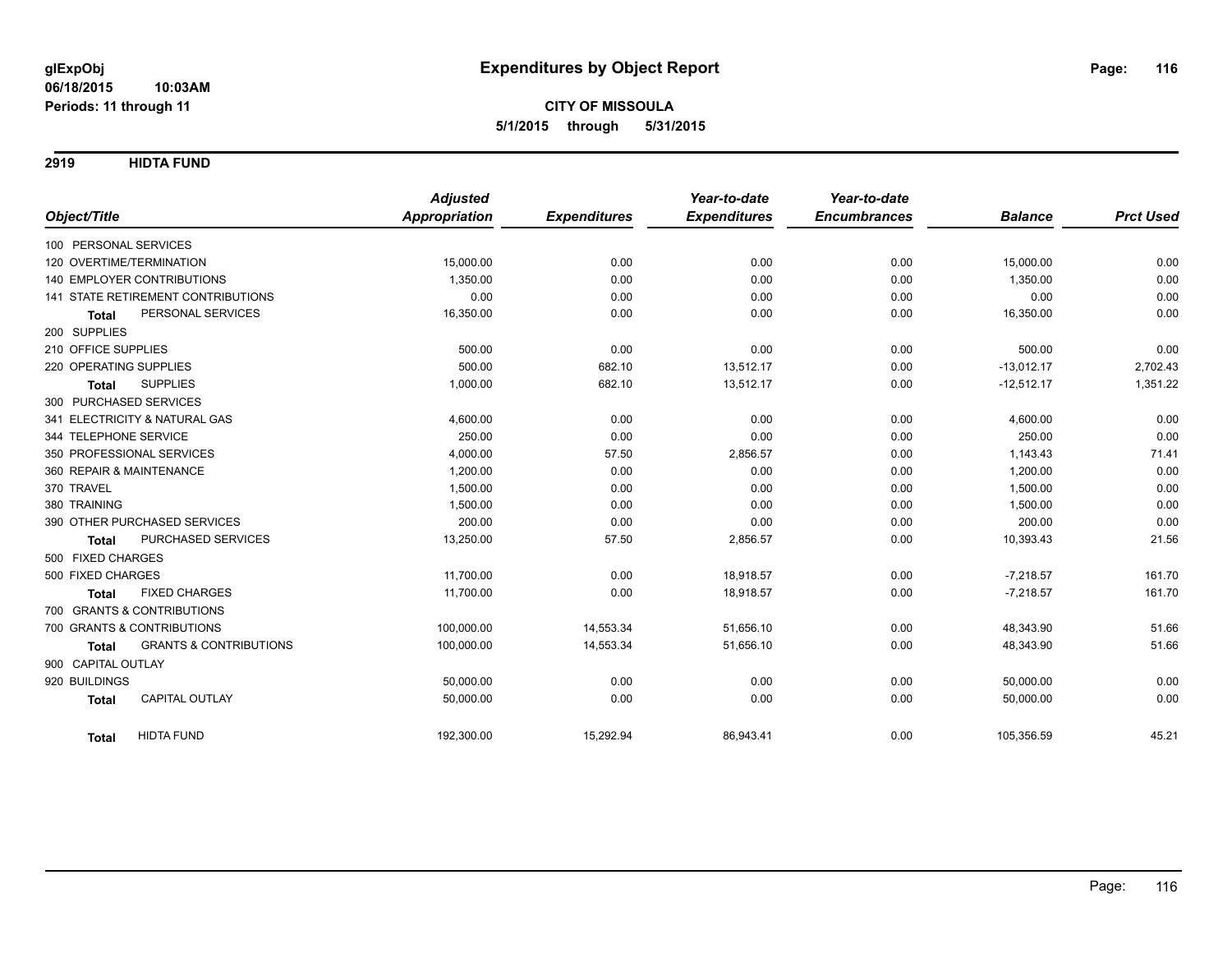**2919 HIDTA FUND**

|                                                   | <b>Adjusted</b>      |                     | Year-to-date        | Year-to-date        |                |                  |
|---------------------------------------------------|----------------------|---------------------|---------------------|---------------------|----------------|------------------|
| Object/Title                                      | <b>Appropriation</b> | <b>Expenditures</b> | <b>Expenditures</b> | <b>Encumbrances</b> | <b>Balance</b> | <b>Prct Used</b> |
| 100 PERSONAL SERVICES                             |                      |                     |                     |                     |                |                  |
| 120 OVERTIME/TERMINATION                          | 15,000.00            | 0.00                | 0.00                | 0.00                | 15,000.00      | 0.00             |
| 140 EMPLOYER CONTRIBUTIONS                        | 1,350.00             | 0.00                | 0.00                | 0.00                | 1,350.00       | 0.00             |
| <b>141 STATE RETIREMENT CONTRIBUTIONS</b>         | 0.00                 | 0.00                | 0.00                | 0.00                | 0.00           | 0.00             |
| PERSONAL SERVICES<br><b>Total</b>                 | 16,350.00            | 0.00                | 0.00                | 0.00                | 16,350.00      | 0.00             |
| 200 SUPPLIES                                      |                      |                     |                     |                     |                |                  |
| 210 OFFICE SUPPLIES                               | 500.00               | 0.00                | 0.00                | 0.00                | 500.00         | 0.00             |
| 220 OPERATING SUPPLIES                            | 500.00               | 682.10              | 13,512.17           | 0.00                | $-13,012.17$   | 2,702.43         |
| <b>SUPPLIES</b><br><b>Total</b>                   | 1,000.00             | 682.10              | 13,512.17           | 0.00                | $-12,512.17$   | 1,351.22         |
| 300 PURCHASED SERVICES                            |                      |                     |                     |                     |                |                  |
| 341 ELECTRICITY & NATURAL GAS                     | 4,600.00             | 0.00                | 0.00                | 0.00                | 4,600.00       | 0.00             |
| 344 TELEPHONE SERVICE                             | 250.00               | 0.00                | 0.00                | 0.00                | 250.00         | 0.00             |
| 350 PROFESSIONAL SERVICES                         | 4,000.00             | 57.50               | 2,856.57            | 0.00                | 1,143.43       | 71.41            |
| 360 REPAIR & MAINTENANCE                          | 1,200.00             | 0.00                | 0.00                | 0.00                | 1,200.00       | 0.00             |
| 370 TRAVEL                                        | 1,500.00             | 0.00                | 0.00                | 0.00                | 1,500.00       | 0.00             |
| 380 TRAINING                                      | 1,500.00             | 0.00                | 0.00                | 0.00                | 1,500.00       | 0.00             |
| 390 OTHER PURCHASED SERVICES                      | 200.00               | 0.00                | 0.00                | 0.00                | 200.00         | 0.00             |
| PURCHASED SERVICES<br><b>Total</b>                | 13,250.00            | 57.50               | 2,856.57            | 0.00                | 10,393.43      | 21.56            |
| 500 FIXED CHARGES                                 |                      |                     |                     |                     |                |                  |
| 500 FIXED CHARGES                                 | 11,700.00            | 0.00                | 18,918.57           | 0.00                | $-7,218.57$    | 161.70           |
| <b>FIXED CHARGES</b><br><b>Total</b>              | 11.700.00            | 0.00                | 18,918.57           | 0.00                | $-7,218.57$    | 161.70           |
| 700 GRANTS & CONTRIBUTIONS                        |                      |                     |                     |                     |                |                  |
| 700 GRANTS & CONTRIBUTIONS                        | 100,000.00           | 14,553.34           | 51,656.10           | 0.00                | 48,343.90      | 51.66            |
| <b>GRANTS &amp; CONTRIBUTIONS</b><br><b>Total</b> | 100,000.00           | 14,553.34           | 51,656.10           | 0.00                | 48,343.90      | 51.66            |
| 900 CAPITAL OUTLAY                                |                      |                     |                     |                     |                |                  |
| 920 BUILDINGS                                     | 50,000.00            | 0.00                | 0.00                | 0.00                | 50,000.00      | 0.00             |
| CAPITAL OUTLAY<br><b>Total</b>                    | 50,000.00            | 0.00                | 0.00                | 0.00                | 50,000.00      | 0.00             |
| <b>HIDTA FUND</b><br><b>Total</b>                 | 192,300.00           | 15,292.94           | 86,943.41           | 0.00                | 105,356.59     | 45.21            |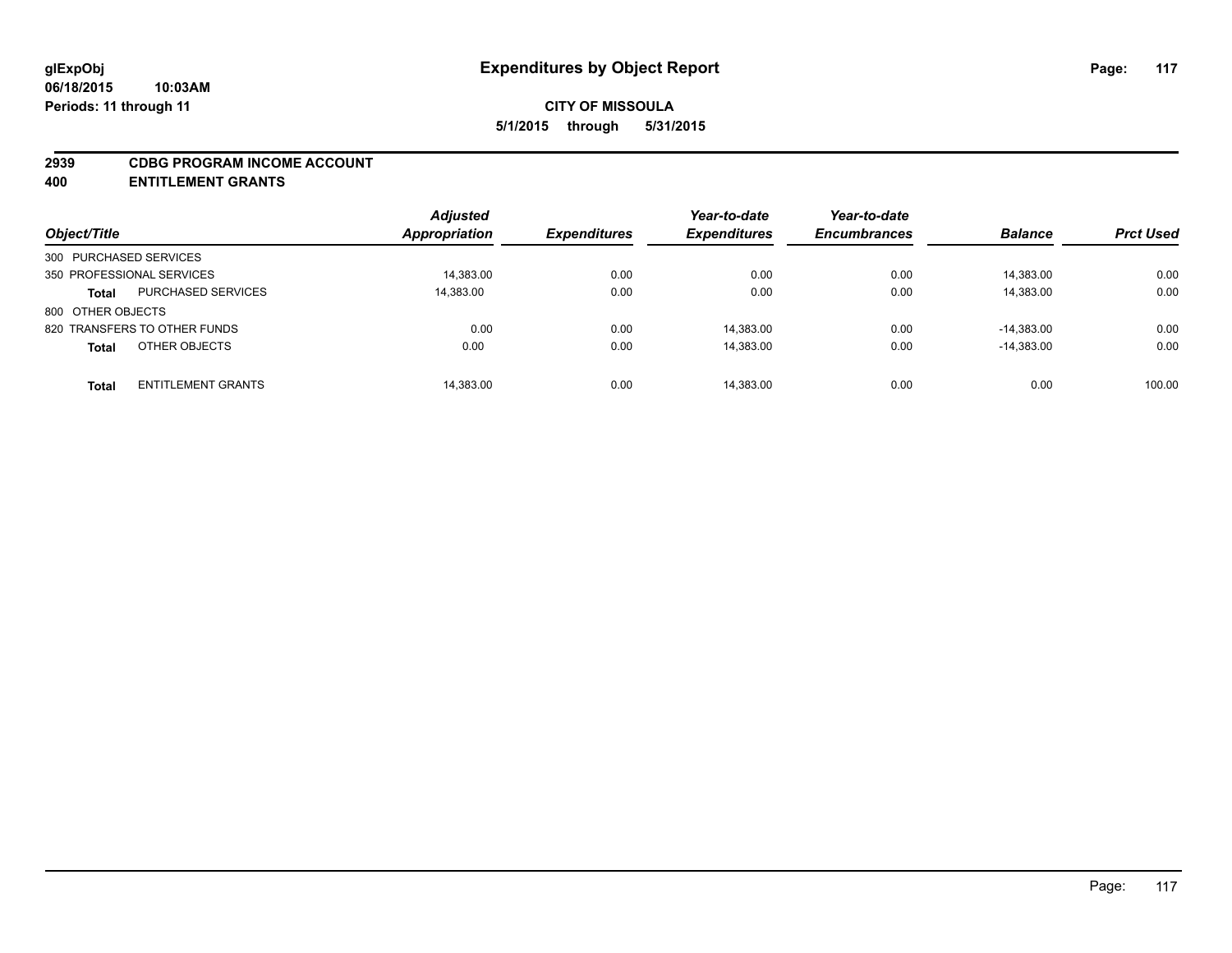#### **2939 CDBG PROGRAM INCOME ACCOUNT**

**400 ENTITLEMENT GRANTS**

| Object/Title                  |                           | <b>Adjusted</b><br>Appropriation | <b>Expenditures</b> | Year-to-date<br><b>Expenditures</b> | Year-to-date<br><b>Encumbrances</b> | <b>Balance</b> | <b>Prct Used</b> |
|-------------------------------|---------------------------|----------------------------------|---------------------|-------------------------------------|-------------------------------------|----------------|------------------|
| 300 PURCHASED SERVICES        |                           |                                  |                     |                                     |                                     |                |                  |
| 350 PROFESSIONAL SERVICES     |                           | 14,383.00                        | 0.00                | 0.00                                | 0.00                                | 14,383.00      | 0.00             |
| <b>Total</b>                  | <b>PURCHASED SERVICES</b> | 14,383.00                        | 0.00                | 0.00                                | 0.00                                | 14,383.00      | 0.00             |
| 800 OTHER OBJECTS             |                           |                                  |                     |                                     |                                     |                |                  |
| 820 TRANSFERS TO OTHER FUNDS  |                           | 0.00                             | 0.00                | 14,383.00                           | 0.00                                | $-14.383.00$   | 0.00             |
| OTHER OBJECTS<br><b>Total</b> |                           | 0.00                             | 0.00                | 14,383.00                           | 0.00                                | $-14.383.00$   | 0.00             |
| <b>Total</b>                  | <b>ENTITLEMENT GRANTS</b> | 14,383.00                        | 0.00                | 14,383.00                           | 0.00                                | 0.00           | 100.00           |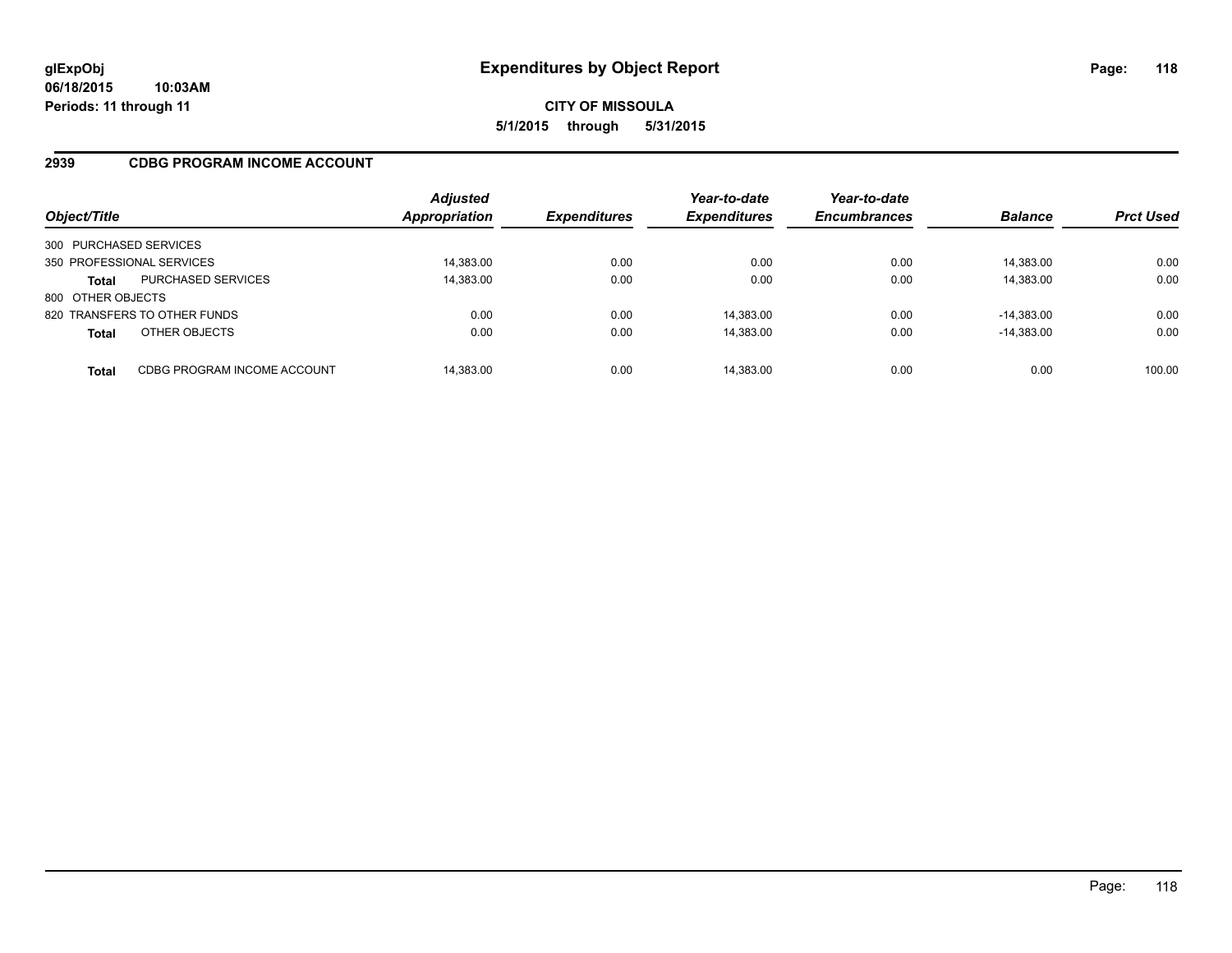### **2939 CDBG PROGRAM INCOME ACCOUNT**

| Object/Title              |                              | <b>Adjusted</b><br>Appropriation | <b>Expenditures</b> | Year-to-date<br><b>Expenditures</b> | Year-to-date<br><b>Encumbrances</b> | <b>Balance</b> | <b>Prct Used</b> |
|---------------------------|------------------------------|----------------------------------|---------------------|-------------------------------------|-------------------------------------|----------------|------------------|
| 300 PURCHASED SERVICES    |                              |                                  |                     |                                     |                                     |                |                  |
| 350 PROFESSIONAL SERVICES |                              | 14,383.00                        | 0.00                | 0.00                                | 0.00                                | 14,383.00      | 0.00             |
| <b>Total</b>              | <b>PURCHASED SERVICES</b>    | 14,383.00                        | 0.00                | 0.00                                | 0.00                                | 14,383.00      | 0.00             |
| 800 OTHER OBJECTS         |                              |                                  |                     |                                     |                                     |                |                  |
|                           | 820 TRANSFERS TO OTHER FUNDS | 0.00                             | 0.00                | 14.383.00                           | 0.00                                | $-14.383.00$   | 0.00             |
| <b>Total</b>              | OTHER OBJECTS                | 0.00                             | 0.00                | 14,383.00                           | 0.00                                | $-14,383.00$   | 0.00             |
| Total                     | CDBG PROGRAM INCOME ACCOUNT  | 14,383.00                        | 0.00                | 14,383.00                           | 0.00                                | 0.00           | 100.00           |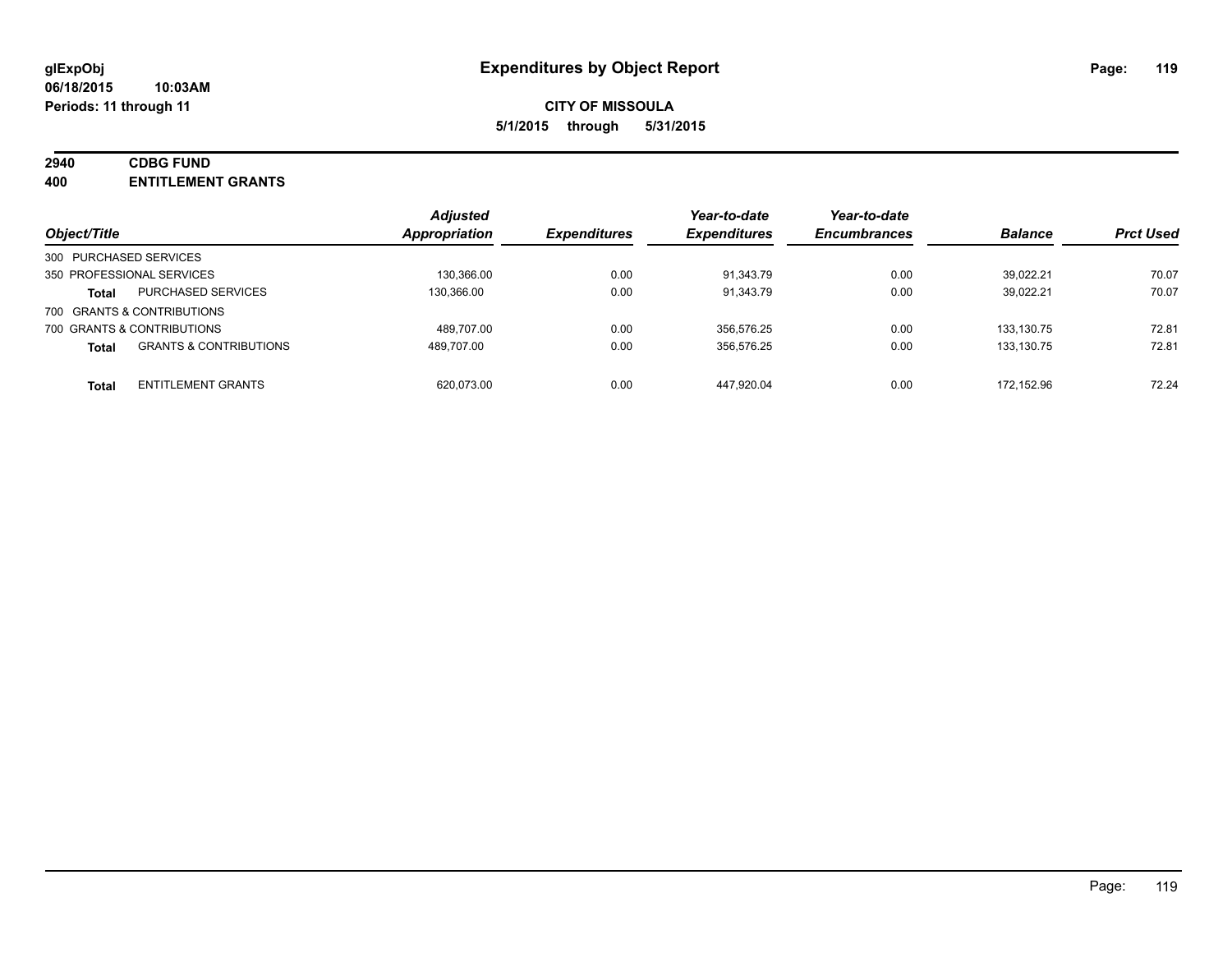## **2940 CDBG FUND**

**400 ENTITLEMENT GRANTS**

| Object/Title                                      | <b>Adjusted</b><br>Appropriation | <i><b>Expenditures</b></i> | Year-to-date<br><b>Expenditures</b> | Year-to-date<br><b>Encumbrances</b> | <b>Balance</b> | <b>Prct Used</b> |
|---------------------------------------------------|----------------------------------|----------------------------|-------------------------------------|-------------------------------------|----------------|------------------|
|                                                   |                                  |                            |                                     |                                     |                |                  |
| 300 PURCHASED SERVICES                            |                                  |                            |                                     |                                     |                |                  |
| 350 PROFESSIONAL SERVICES                         | 130.366.00                       | 0.00                       | 91.343.79                           | 0.00                                | 39.022.21      | 70.07            |
| <b>PURCHASED SERVICES</b><br><b>Total</b>         | 130.366.00                       | 0.00                       | 91.343.79                           | 0.00                                | 39,022.21      | 70.07            |
| 700 GRANTS & CONTRIBUTIONS                        |                                  |                            |                                     |                                     |                |                  |
| 700 GRANTS & CONTRIBUTIONS                        | 489.707.00                       | 0.00                       | 356.576.25                          | 0.00                                | 133.130.75     | 72.81            |
| <b>GRANTS &amp; CONTRIBUTIONS</b><br><b>Total</b> | 489.707.00                       | 0.00                       | 356,576.25                          | 0.00                                | 133.130.75     | 72.81            |
| <b>ENTITLEMENT GRANTS</b>                         | 620.073.00                       | 0.00                       | 447.920.04                          | 0.00                                | 172.152.96     | 72.24            |
| <b>Total</b>                                      |                                  |                            |                                     |                                     |                |                  |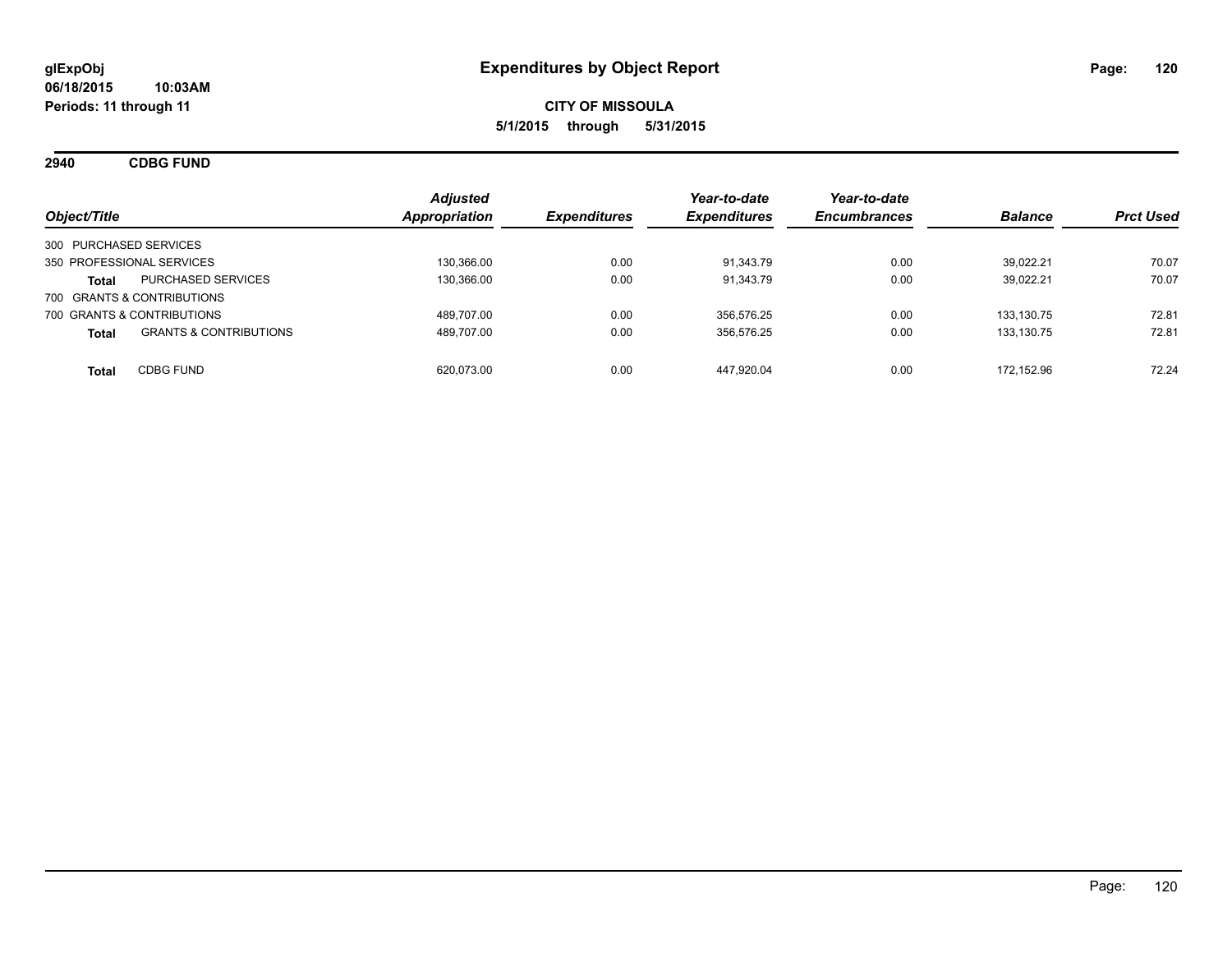**2940 CDBG FUND**

| Object/Title                                      | <b>Adjusted</b><br>Appropriation | <i><b>Expenditures</b></i> | Year-to-date<br><b>Expenditures</b> | Year-to-date<br><b>Encumbrances</b> | <b>Balance</b> | <b>Prct Used</b> |
|---------------------------------------------------|----------------------------------|----------------------------|-------------------------------------|-------------------------------------|----------------|------------------|
| 300 PURCHASED SERVICES                            |                                  |                            |                                     |                                     |                |                  |
| 350 PROFESSIONAL SERVICES                         | 130.366.00                       | 0.00                       | 91.343.79                           | 0.00                                | 39.022.21      | 70.07            |
| <b>PURCHASED SERVICES</b><br><b>Total</b>         | 130,366.00                       | 0.00                       | 91,343.79                           | 0.00                                | 39.022.21      | 70.07            |
| 700 GRANTS & CONTRIBUTIONS                        |                                  |                            |                                     |                                     |                |                  |
| 700 GRANTS & CONTRIBUTIONS                        | 489.707.00                       | 0.00                       | 356.576.25                          | 0.00                                | 133.130.75     | 72.81            |
| <b>GRANTS &amp; CONTRIBUTIONS</b><br><b>Total</b> | 489,707.00                       | 0.00                       | 356,576.25                          | 0.00                                | 133.130.75     | 72.81            |
| <b>CDBG FUND</b><br><b>Total</b>                  | 620.073.00                       | 0.00                       | 447.920.04                          | 0.00                                | 172.152.96     | 72.24            |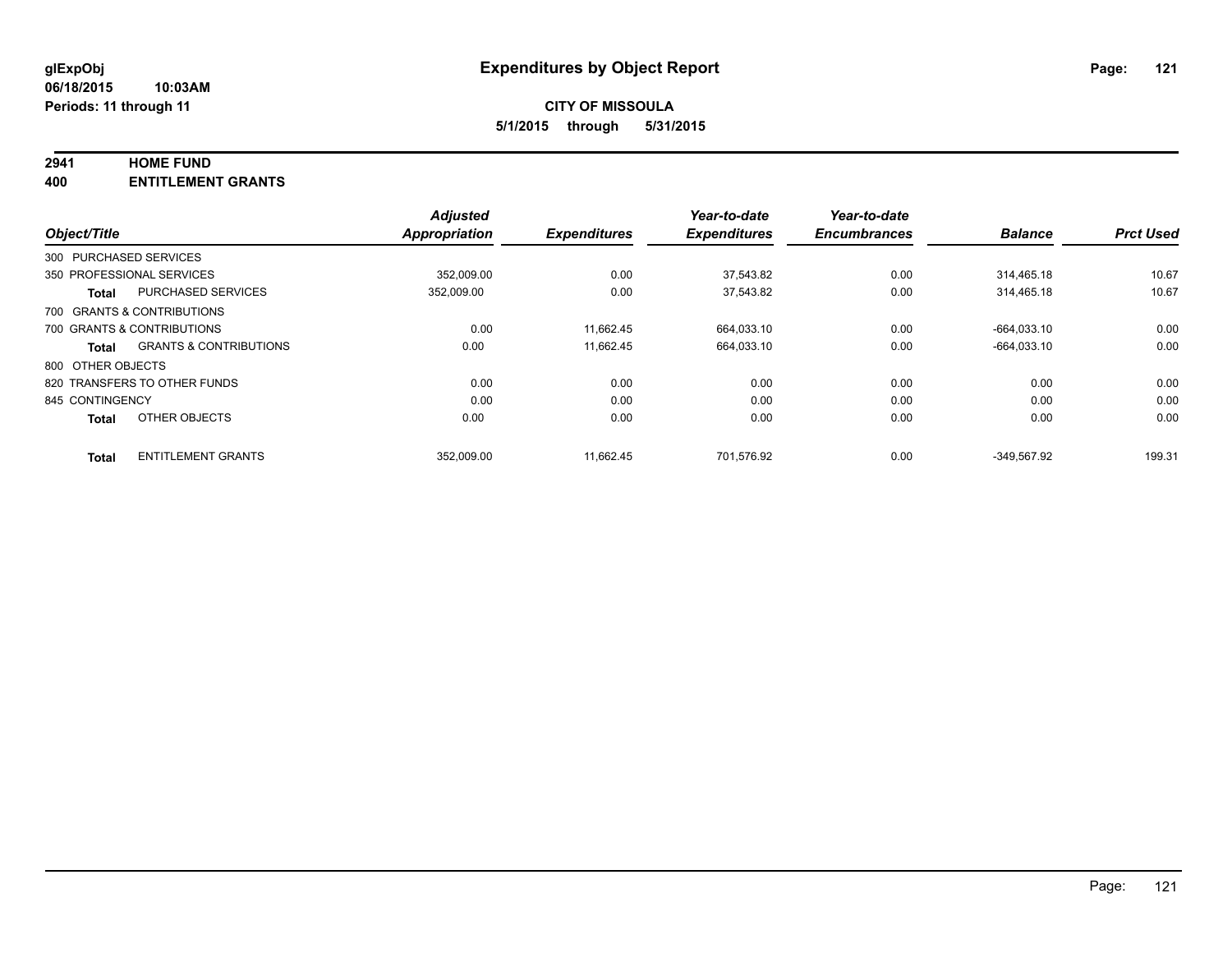#### **2941 HOME FUND**

**400 ENTITLEMENT GRANTS**

|                   |                                   | <b>Adjusted</b>      |                     | Year-to-date        | Year-to-date        |                |                  |
|-------------------|-----------------------------------|----------------------|---------------------|---------------------|---------------------|----------------|------------------|
| Object/Title      |                                   | <b>Appropriation</b> | <b>Expenditures</b> | <b>Expenditures</b> | <b>Encumbrances</b> | <b>Balance</b> | <b>Prct Used</b> |
|                   | 300 PURCHASED SERVICES            |                      |                     |                     |                     |                |                  |
|                   | 350 PROFESSIONAL SERVICES         | 352.009.00           | 0.00                | 37.543.82           | 0.00                | 314.465.18     | 10.67            |
| <b>Total</b>      | <b>PURCHASED SERVICES</b>         | 352,009.00           | 0.00                | 37.543.82           | 0.00                | 314.465.18     | 10.67            |
|                   | 700 GRANTS & CONTRIBUTIONS        |                      |                     |                     |                     |                |                  |
|                   | 700 GRANTS & CONTRIBUTIONS        | 0.00                 | 11.662.45           | 664,033.10          | 0.00                | -664.033.10    | 0.00             |
| <b>Total</b>      | <b>GRANTS &amp; CONTRIBUTIONS</b> | 0.00                 | 11.662.45           | 664.033.10          | 0.00                | $-664.033.10$  | 0.00             |
| 800 OTHER OBJECTS |                                   |                      |                     |                     |                     |                |                  |
|                   | 820 TRANSFERS TO OTHER FUNDS      | 0.00                 | 0.00                | 0.00                | 0.00                | 0.00           | 0.00             |
| 845 CONTINGENCY   |                                   | 0.00                 | 0.00                | 0.00                | 0.00                | 0.00           | 0.00             |
| <b>Total</b>      | OTHER OBJECTS                     | 0.00                 | 0.00                | 0.00                | 0.00                | 0.00           | 0.00             |
| <b>Total</b>      | <b>ENTITLEMENT GRANTS</b>         | 352.009.00           | 11.662.45           | 701.576.92          | 0.00                | -349.567.92    | 199.31           |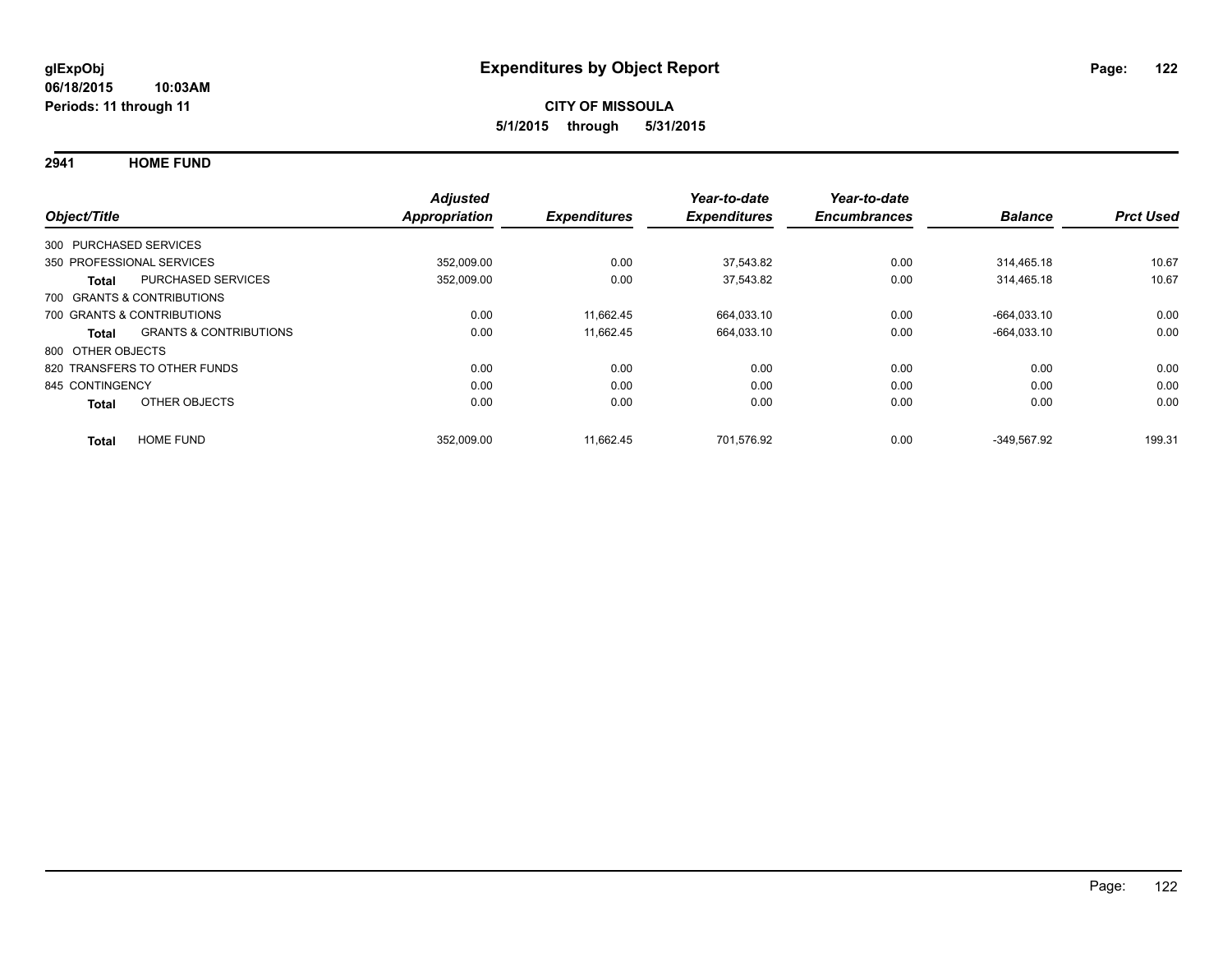**2941 HOME FUND**

| Object/Title           |                                   | <b>Adjusted</b><br><b>Appropriation</b> | <b>Expenditures</b> | Year-to-date<br><b>Expenditures</b> | Year-to-date<br><b>Encumbrances</b> | <b>Balance</b> | <b>Prct Used</b> |
|------------------------|-----------------------------------|-----------------------------------------|---------------------|-------------------------------------|-------------------------------------|----------------|------------------|
| 300 PURCHASED SERVICES |                                   |                                         |                     |                                     |                                     |                |                  |
|                        | 350 PROFESSIONAL SERVICES         | 352,009.00                              | 0.00                | 37,543.82                           | 0.00                                | 314.465.18     | 10.67            |
| <b>Total</b>           | <b>PURCHASED SERVICES</b>         | 352,009.00                              | 0.00                | 37,543.82                           | 0.00                                | 314,465.18     | 10.67            |
|                        | 700 GRANTS & CONTRIBUTIONS        |                                         |                     |                                     |                                     |                |                  |
|                        | 700 GRANTS & CONTRIBUTIONS        | 0.00                                    | 11.662.45           | 664,033.10                          | 0.00                                | -664.033.10    | 0.00             |
| Total                  | <b>GRANTS &amp; CONTRIBUTIONS</b> | 0.00                                    | 11.662.45           | 664,033.10                          | 0.00                                | $-664,033.10$  | 0.00             |
| 800 OTHER OBJECTS      |                                   |                                         |                     |                                     |                                     |                |                  |
|                        | 820 TRANSFERS TO OTHER FUNDS      | 0.00                                    | 0.00                | 0.00                                | 0.00                                | 0.00           | 0.00             |
| 845 CONTINGENCY        |                                   | 0.00                                    | 0.00                | 0.00                                | 0.00                                | 0.00           | 0.00             |
| <b>Total</b>           | OTHER OBJECTS                     | 0.00                                    | 0.00                | 0.00                                | 0.00                                | 0.00           | 0.00             |
| <b>Total</b>           | <b>HOME FUND</b>                  | 352,009.00                              | 11,662.45           | 701,576.92                          | 0.00                                | -349.567.92    | 199.31           |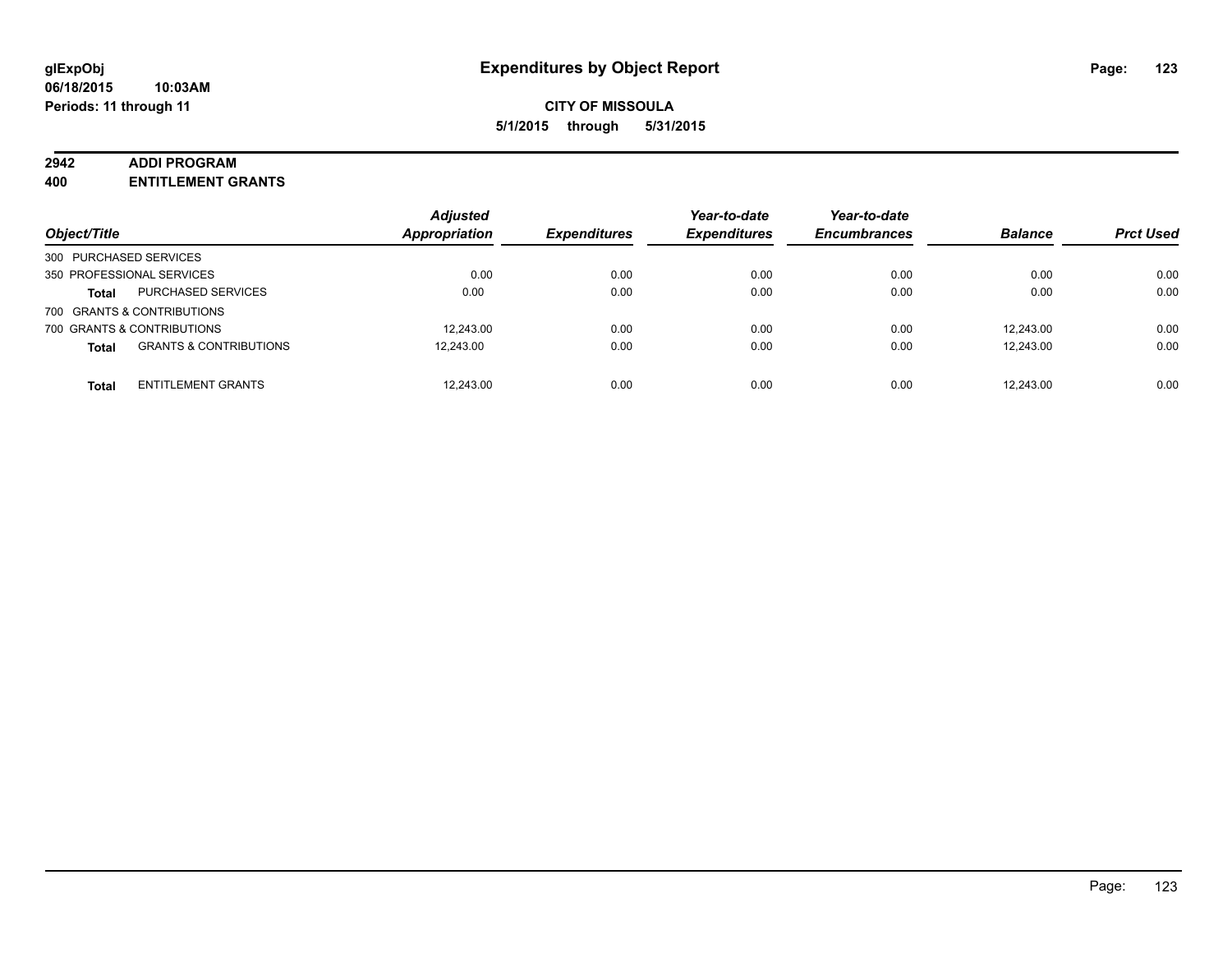#### **2942 ADDI PROGRAM**

**400 ENTITLEMENT GRANTS**

| Object/Title               |                                   | <b>Adjusted</b><br><b>Appropriation</b> | <b>Expenditures</b> | Year-to-date<br><b>Expenditures</b> | Year-to-date<br><b>Encumbrances</b> | <b>Balance</b> | <b>Prct Used</b> |
|----------------------------|-----------------------------------|-----------------------------------------|---------------------|-------------------------------------|-------------------------------------|----------------|------------------|
| 300 PURCHASED SERVICES     |                                   |                                         |                     |                                     |                                     |                |                  |
| 350 PROFESSIONAL SERVICES  |                                   | 0.00                                    | 0.00                | 0.00                                | 0.00                                | 0.00           | 0.00             |
| <b>Total</b>               | <b>PURCHASED SERVICES</b>         | 0.00                                    | 0.00                | 0.00                                | 0.00                                | 0.00           | 0.00             |
| 700 GRANTS & CONTRIBUTIONS |                                   |                                         |                     |                                     |                                     |                |                  |
| 700 GRANTS & CONTRIBUTIONS |                                   | 12.243.00                               | 0.00                | 0.00                                | 0.00                                | 12.243.00      | 0.00             |
| <b>Total</b>               | <b>GRANTS &amp; CONTRIBUTIONS</b> | 12.243.00                               | 0.00                | 0.00                                | 0.00                                | 12.243.00      | 0.00             |
| <b>Total</b>               | <b>ENTITLEMENT GRANTS</b>         | 12,243.00                               | 0.00                | 0.00                                | 0.00                                | 12.243.00      | 0.00             |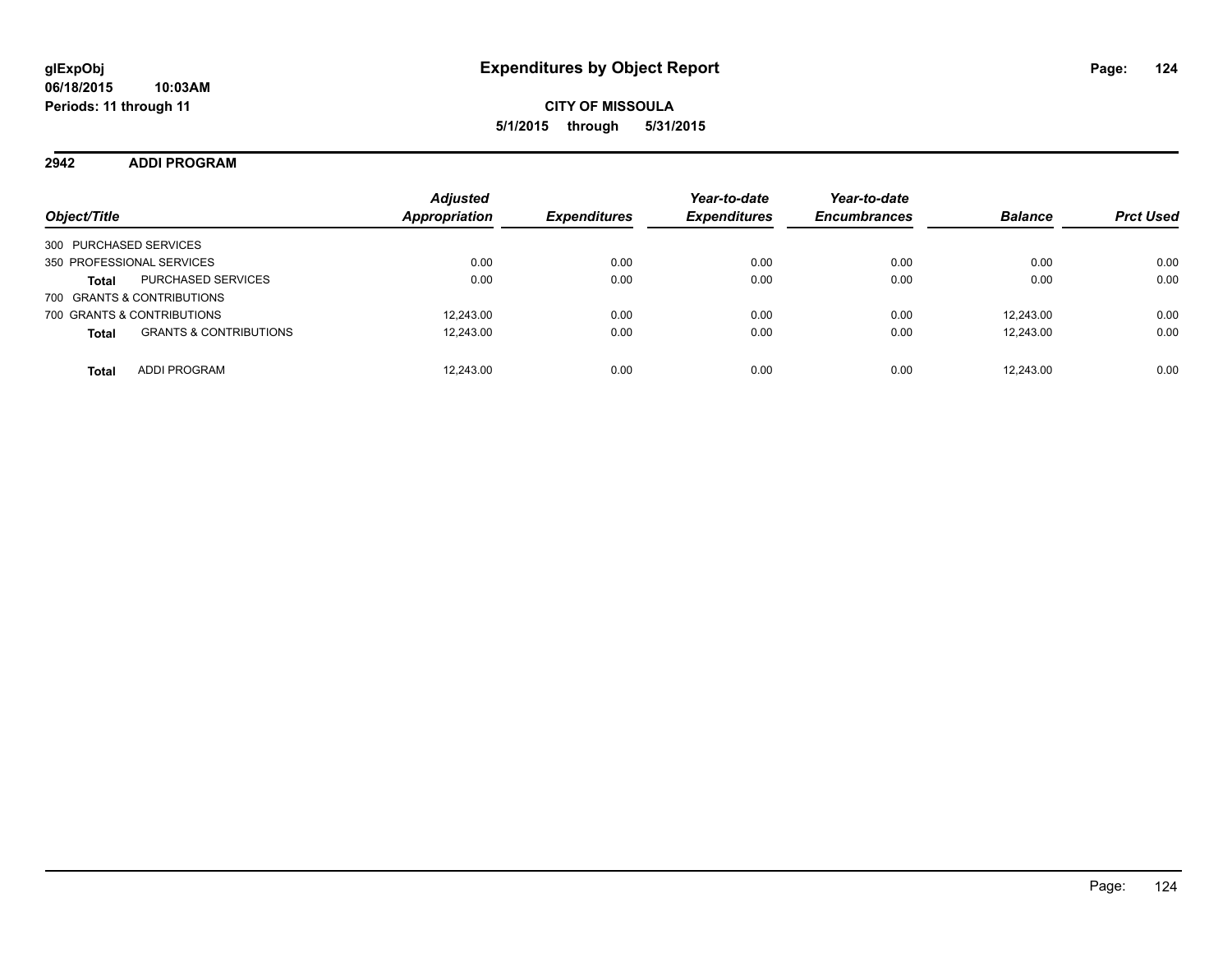### **2942 ADDI PROGRAM**

| Object/Title                                      | <b>Adjusted</b><br><b>Appropriation</b> | <b>Expenditures</b> | Year-to-date<br><b>Expenditures</b> | Year-to-date<br><b>Encumbrances</b> | <b>Balance</b> | <b>Prct Used</b> |
|---------------------------------------------------|-----------------------------------------|---------------------|-------------------------------------|-------------------------------------|----------------|------------------|
| 300 PURCHASED SERVICES                            |                                         |                     |                                     |                                     |                |                  |
| 350 PROFESSIONAL SERVICES                         | 0.00                                    | 0.00                | 0.00                                | 0.00                                | 0.00           | 0.00             |
| <b>PURCHASED SERVICES</b><br><b>Total</b>         | 0.00                                    | 0.00                | 0.00                                | 0.00                                | 0.00           | 0.00             |
| 700 GRANTS & CONTRIBUTIONS                        |                                         |                     |                                     |                                     |                |                  |
| 700 GRANTS & CONTRIBUTIONS                        | 12.243.00                               | 0.00                | 0.00                                | 0.00                                | 12.243.00      | 0.00             |
| <b>GRANTS &amp; CONTRIBUTIONS</b><br><b>Total</b> | 12,243.00                               | 0.00                | 0.00                                | 0.00                                | 12.243.00      | 0.00             |
| <b>ADDI PROGRAM</b><br><b>Total</b>               | 12,243.00                               | 0.00                | 0.00                                | 0.00                                | 12.243.00      | 0.00             |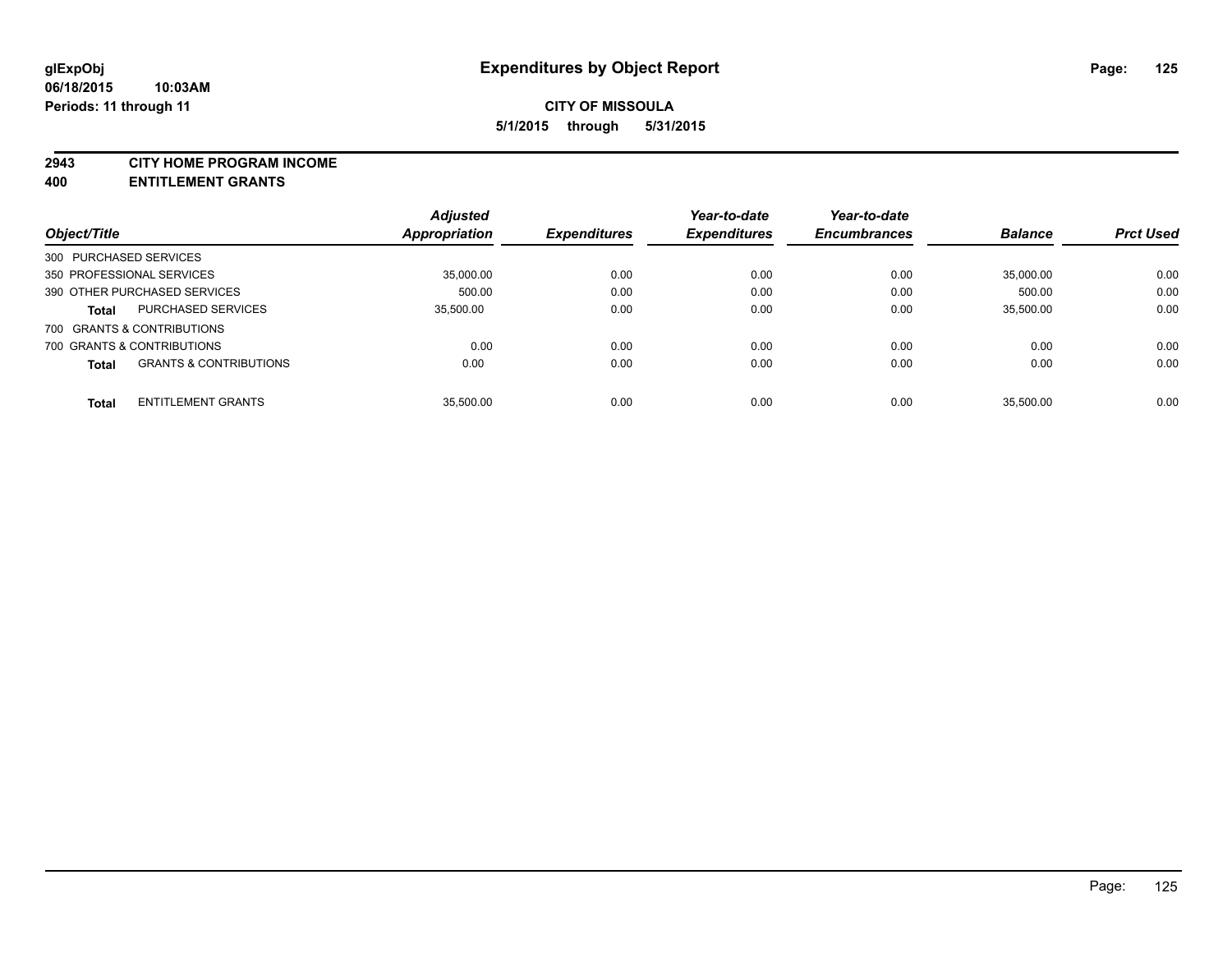#### **2943 CITY HOME PROGRAM INCOME**

**400 ENTITLEMENT GRANTS**

|                           |                                   | <b>Adjusted</b>      |                     | Year-to-date        | Year-to-date        |                |                  |
|---------------------------|-----------------------------------|----------------------|---------------------|---------------------|---------------------|----------------|------------------|
| Object/Title              |                                   | <b>Appropriation</b> | <b>Expenditures</b> | <b>Expenditures</b> | <b>Encumbrances</b> | <b>Balance</b> | <b>Prct Used</b> |
| 300 PURCHASED SERVICES    |                                   |                      |                     |                     |                     |                |                  |
| 350 PROFESSIONAL SERVICES |                                   | 35,000.00            | 0.00                | 0.00                | 0.00                | 35,000.00      | 0.00             |
|                           | 390 OTHER PURCHASED SERVICES      | 500.00               | 0.00                | 0.00                | 0.00                | 500.00         | 0.00             |
| <b>Total</b>              | <b>PURCHASED SERVICES</b>         | 35.500.00            | 0.00                | 0.00                | 0.00                | 35.500.00      | 0.00             |
|                           | 700 GRANTS & CONTRIBUTIONS        |                      |                     |                     |                     |                |                  |
|                           | 700 GRANTS & CONTRIBUTIONS        | 0.00                 | 0.00                | 0.00                | 0.00                | 0.00           | 0.00             |
| <b>Total</b>              | <b>GRANTS &amp; CONTRIBUTIONS</b> | 0.00                 | 0.00                | 0.00                | 0.00                | 0.00           | 0.00             |
| <b>Total</b>              | <b>ENTITLEMENT GRANTS</b>         | 35.500.00            | 0.00                | 0.00                | 0.00                | 35.500.00      | 0.00             |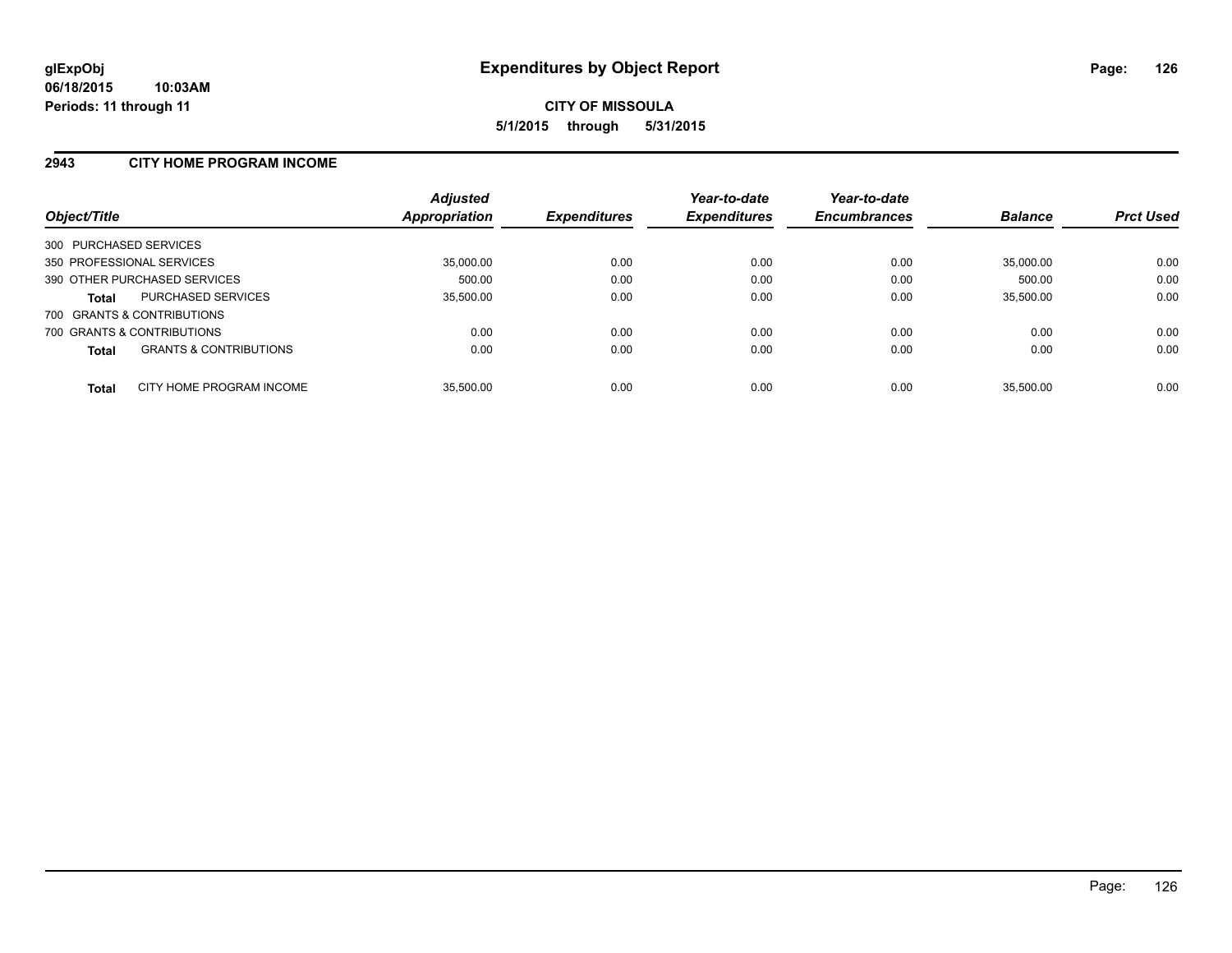### **2943 CITY HOME PROGRAM INCOME**

| Object/Title              |                                   | <b>Adjusted</b><br>Appropriation | <b>Expenditures</b> | Year-to-date<br><b>Expenditures</b> | Year-to-date<br><b>Encumbrances</b> | <b>Balance</b> | <b>Prct Used</b> |
|---------------------------|-----------------------------------|----------------------------------|---------------------|-------------------------------------|-------------------------------------|----------------|------------------|
| 300 PURCHASED SERVICES    |                                   |                                  |                     |                                     |                                     |                |                  |
| 350 PROFESSIONAL SERVICES |                                   | 35.000.00                        | 0.00                | 0.00                                | 0.00                                | 35,000.00      | 0.00             |
|                           | 390 OTHER PURCHASED SERVICES      | 500.00                           | 0.00                | 0.00                                | 0.00                                | 500.00         | 0.00             |
| <b>Total</b>              | <b>PURCHASED SERVICES</b>         | 35.500.00                        | 0.00                | 0.00                                | 0.00                                | 35.500.00      | 0.00             |
|                           | 700 GRANTS & CONTRIBUTIONS        |                                  |                     |                                     |                                     |                |                  |
|                           | 700 GRANTS & CONTRIBUTIONS        | 0.00                             | 0.00                | 0.00                                | 0.00                                | 0.00           | 0.00             |
| <b>Total</b>              | <b>GRANTS &amp; CONTRIBUTIONS</b> | 0.00                             | 0.00                | 0.00                                | 0.00                                | 0.00           | 0.00             |
| <b>Total</b>              | CITY HOME PROGRAM INCOME          | 35.500.00                        | 0.00                | 0.00                                | 0.00                                | 35.500.00      | 0.00             |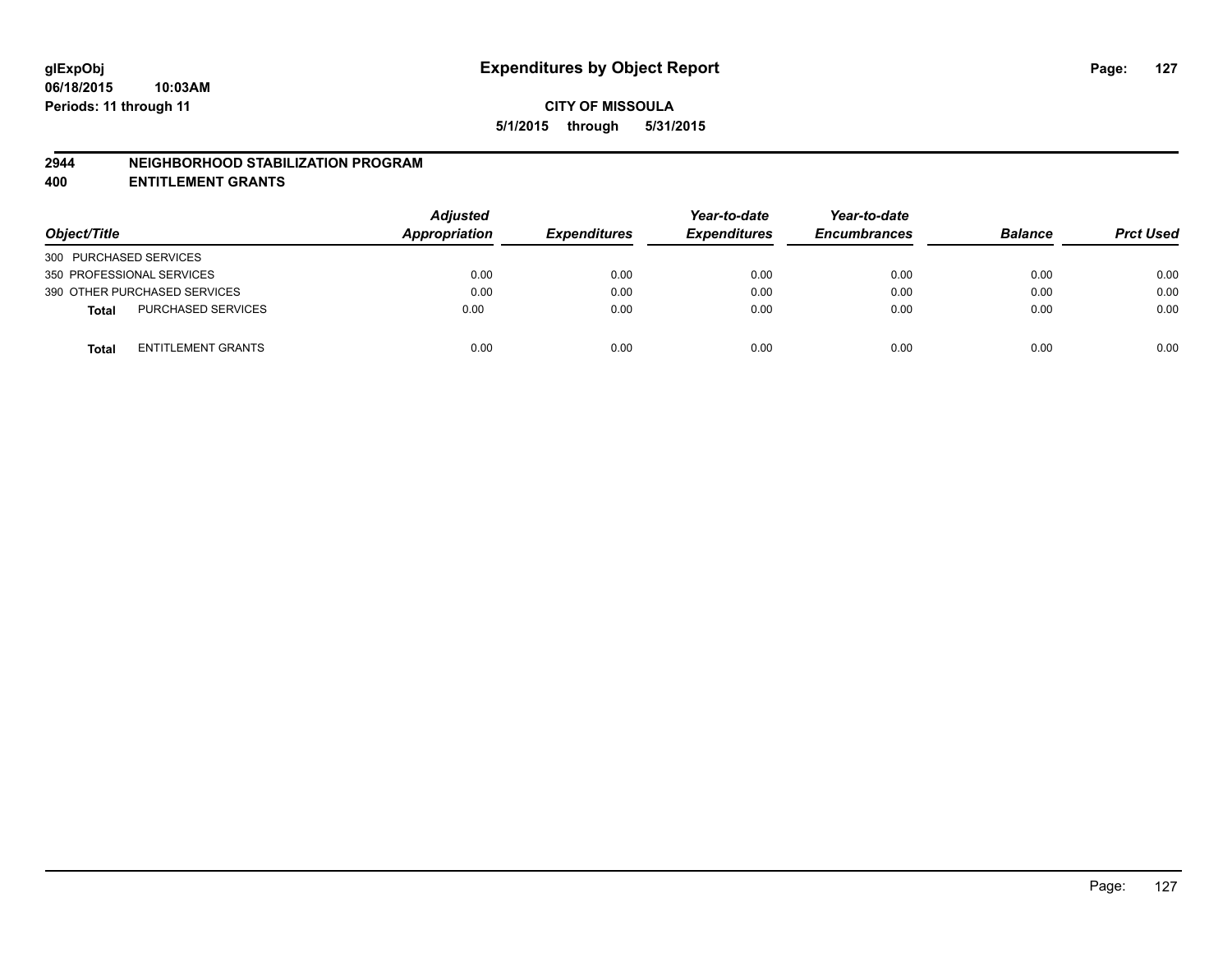#### **2944 NEIGHBORHOOD STABILIZATION PROGRAM**

**400 ENTITLEMENT GRANTS**

| Object/Title                              | <b>Adjusted</b><br>Appropriation | <b>Expenditures</b> | Year-to-date<br><b>Expenditures</b> | Year-to-date<br><b>Encumbrances</b> | <b>Balance</b> | <b>Prct Used</b> |
|-------------------------------------------|----------------------------------|---------------------|-------------------------------------|-------------------------------------|----------------|------------------|
| 300 PURCHASED SERVICES                    |                                  |                     |                                     |                                     |                |                  |
| 350 PROFESSIONAL SERVICES                 | 0.00                             | 0.00                | 0.00                                | 0.00                                | 0.00           | 0.00             |
| 390 OTHER PURCHASED SERVICES              | 0.00                             | 0.00                | 0.00                                | 0.00                                | 0.00           | 0.00             |
| <b>PURCHASED SERVICES</b><br><b>Total</b> | 0.00                             | 0.00                | 0.00                                | 0.00                                | 0.00           | 0.00             |
| ENTITLEMENT GRANTS<br><b>Total</b>        | 0.00                             | 0.00                | 0.00                                | 0.00                                | 0.00           | 0.00             |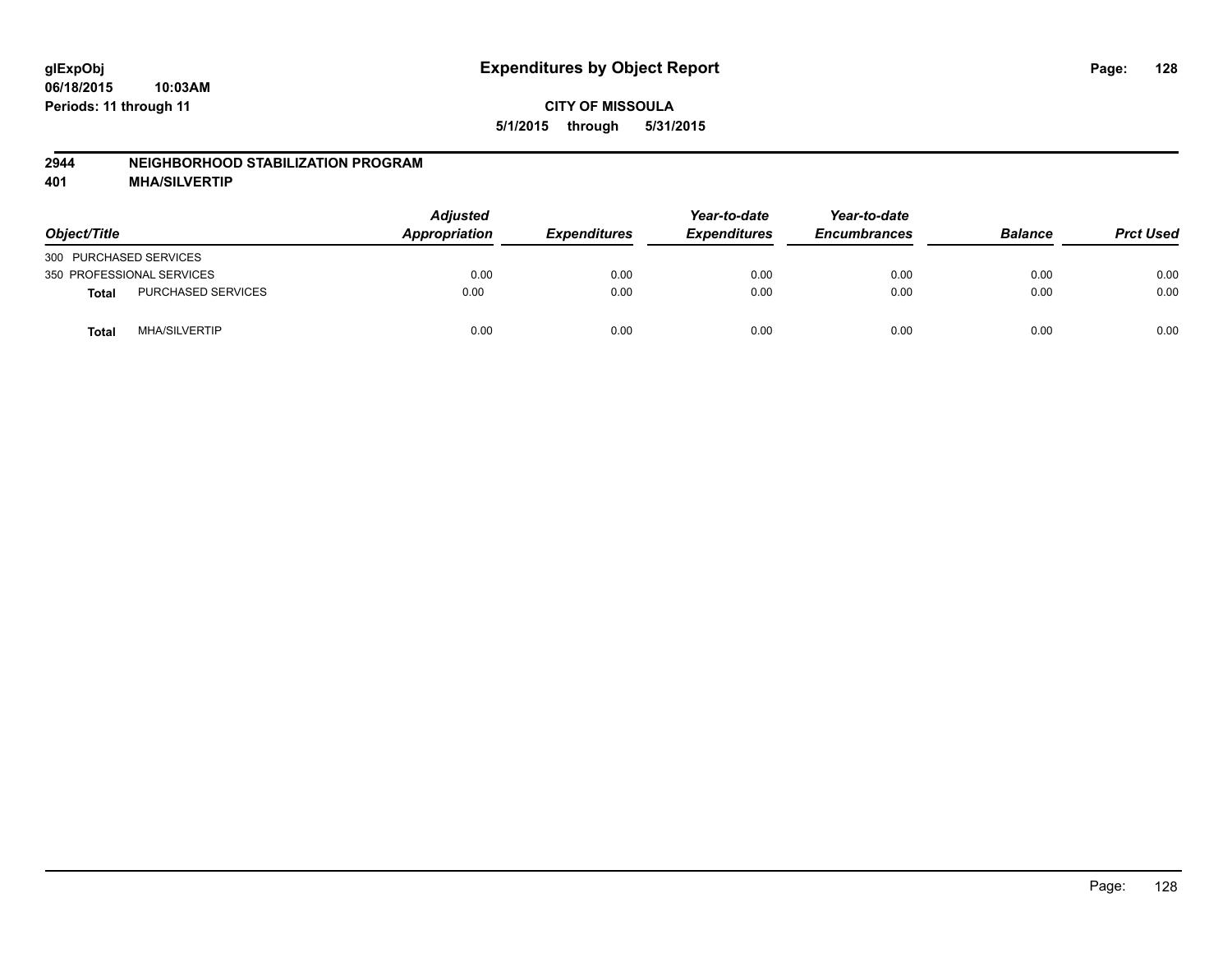#### **2944 NEIGHBORHOOD STABILIZATION PROGRAM**

**401 MHA/SILVERTIP**

| Object/Title           |                           | <b>Adjusted</b><br>Appropriation | <b>Expenditures</b> | Year-to-date<br><b>Expenditures</b> | Year-to-date<br><b>Encumbrances</b> | <b>Balance</b> | <b>Prct Used</b> |
|------------------------|---------------------------|----------------------------------|---------------------|-------------------------------------|-------------------------------------|----------------|------------------|
| 300 PURCHASED SERVICES |                           |                                  |                     |                                     |                                     |                |                  |
|                        | 350 PROFESSIONAL SERVICES | 0.00                             | 0.00                | 0.00                                | 0.00                                | 0.00           | 0.00             |
| <b>Total</b>           | PURCHASED SERVICES        | 0.00                             | 0.00                | 0.00                                | 0.00                                | 0.00           | 0.00             |
| <b>Total</b>           | <b>MHA/SILVERTIP</b>      | 0.00                             | 0.00                | 0.00                                | 0.00                                | 0.00           | 0.00             |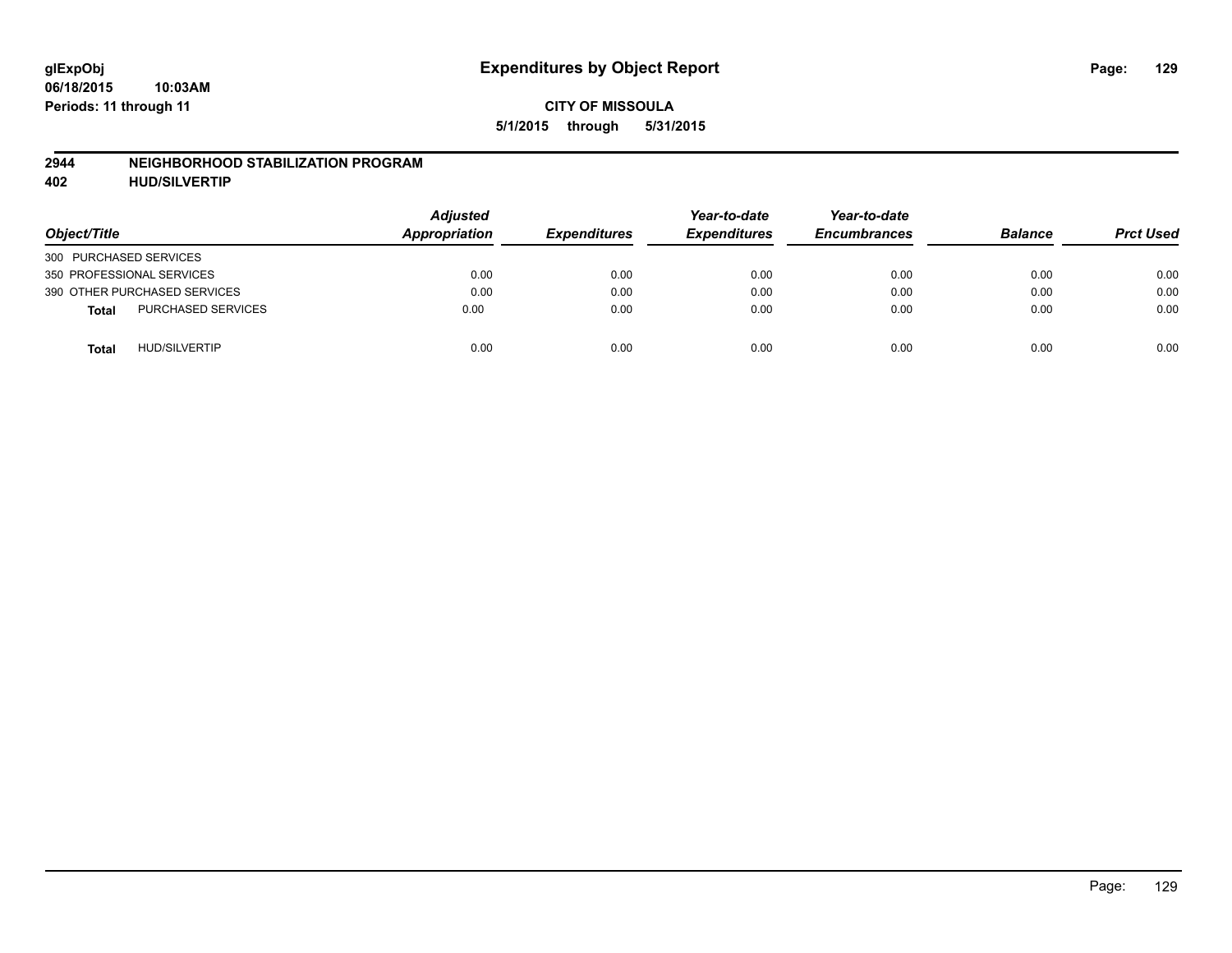#### **2944 NEIGHBORHOOD STABILIZATION PROGRAM**

**402 HUD/SILVERTIP**

| Object/Title                              | <b>Adjusted</b><br>Appropriation | <b>Expenditures</b> | Year-to-date<br><b>Expenditures</b> | Year-to-date<br><b>Encumbrances</b> | <b>Balance</b> | <b>Prct Used</b> |
|-------------------------------------------|----------------------------------|---------------------|-------------------------------------|-------------------------------------|----------------|------------------|
| 300 PURCHASED SERVICES                    |                                  |                     |                                     |                                     |                |                  |
| 350 PROFESSIONAL SERVICES                 | 0.00                             | 0.00                | 0.00                                | 0.00                                | 0.00           | 0.00             |
| 390 OTHER PURCHASED SERVICES              | 0.00                             | 0.00                | 0.00                                | 0.00                                | 0.00           | 0.00             |
| <b>PURCHASED SERVICES</b><br><b>Total</b> | 0.00                             | 0.00                | 0.00                                | 0.00                                | 0.00           | 0.00             |
| <b>HUD/SILVERTIP</b><br><b>Total</b>      | 0.00                             | 0.00                | 0.00                                | 0.00                                | 0.00           | 0.00             |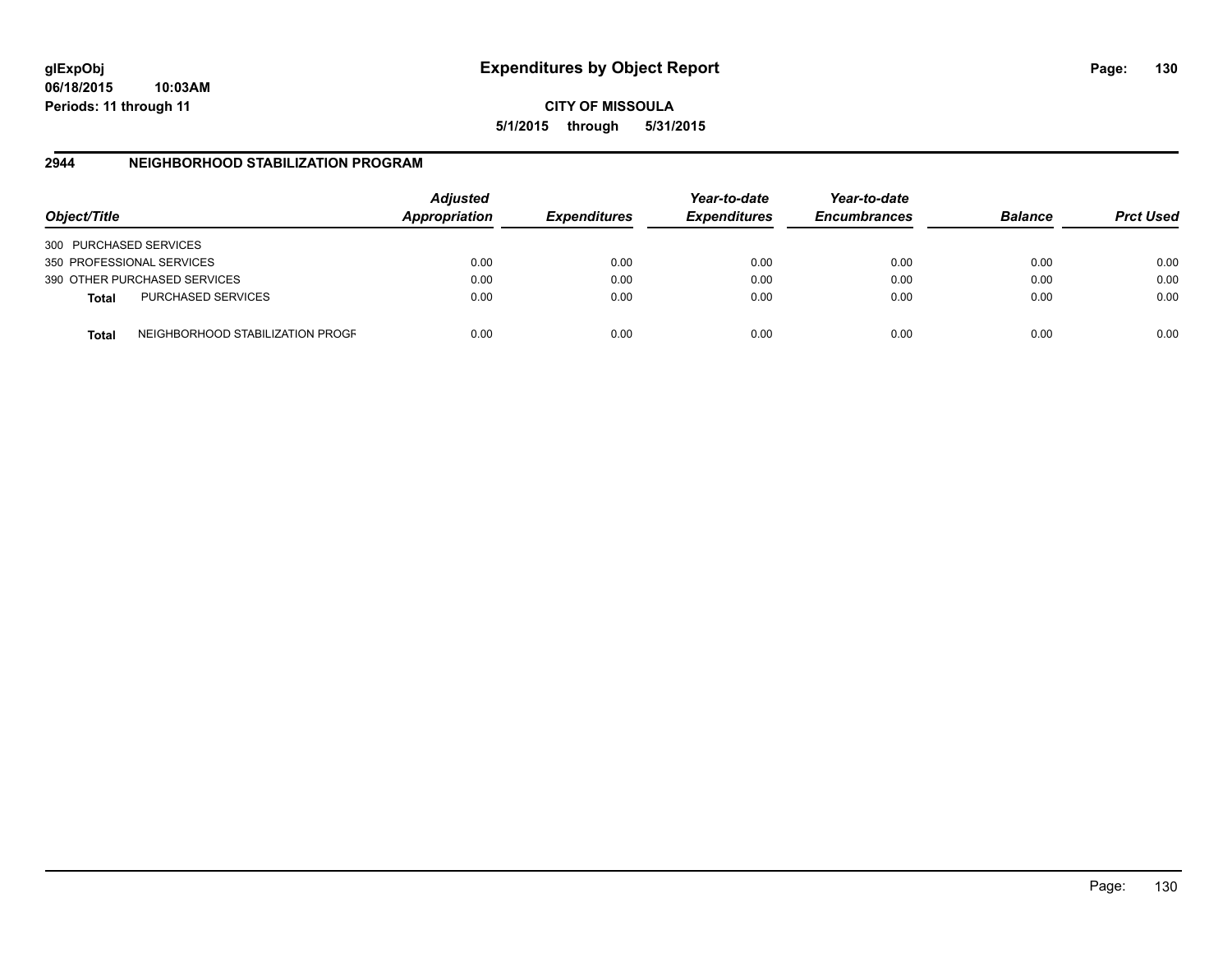**06/18/2015 10:03AM Periods: 11 through 11**

**CITY OF MISSOULA 5/1/2015 through 5/31/2015**

## **2944 NEIGHBORHOOD STABILIZATION PROGRAM**

| Object/Title           |                                  | <b>Adjusted</b><br>Appropriation | <b>Expenditures</b> | Year-to-date<br><b>Expenditures</b> | Year-to-date<br><b>Encumbrances</b> | <b>Balance</b> | <b>Prct Used</b> |
|------------------------|----------------------------------|----------------------------------|---------------------|-------------------------------------|-------------------------------------|----------------|------------------|
| 300 PURCHASED SERVICES |                                  |                                  |                     |                                     |                                     |                |                  |
|                        | 350 PROFESSIONAL SERVICES        | 0.00                             | 0.00                | 0.00                                | 0.00                                | 0.00           | 0.00             |
|                        | 390 OTHER PURCHASED SERVICES     | 0.00                             | 0.00                | 0.00                                | 0.00                                | 0.00           | 0.00             |
| <b>Total</b>           | <b>PURCHASED SERVICES</b>        | 0.00                             | 0.00                | 0.00                                | 0.00                                | 0.00           | 0.00             |
| Total                  | NEIGHBORHOOD STABILIZATION PROGF | 0.00                             | 0.00                | 0.00                                | 0.00                                | 0.00           | 0.00             |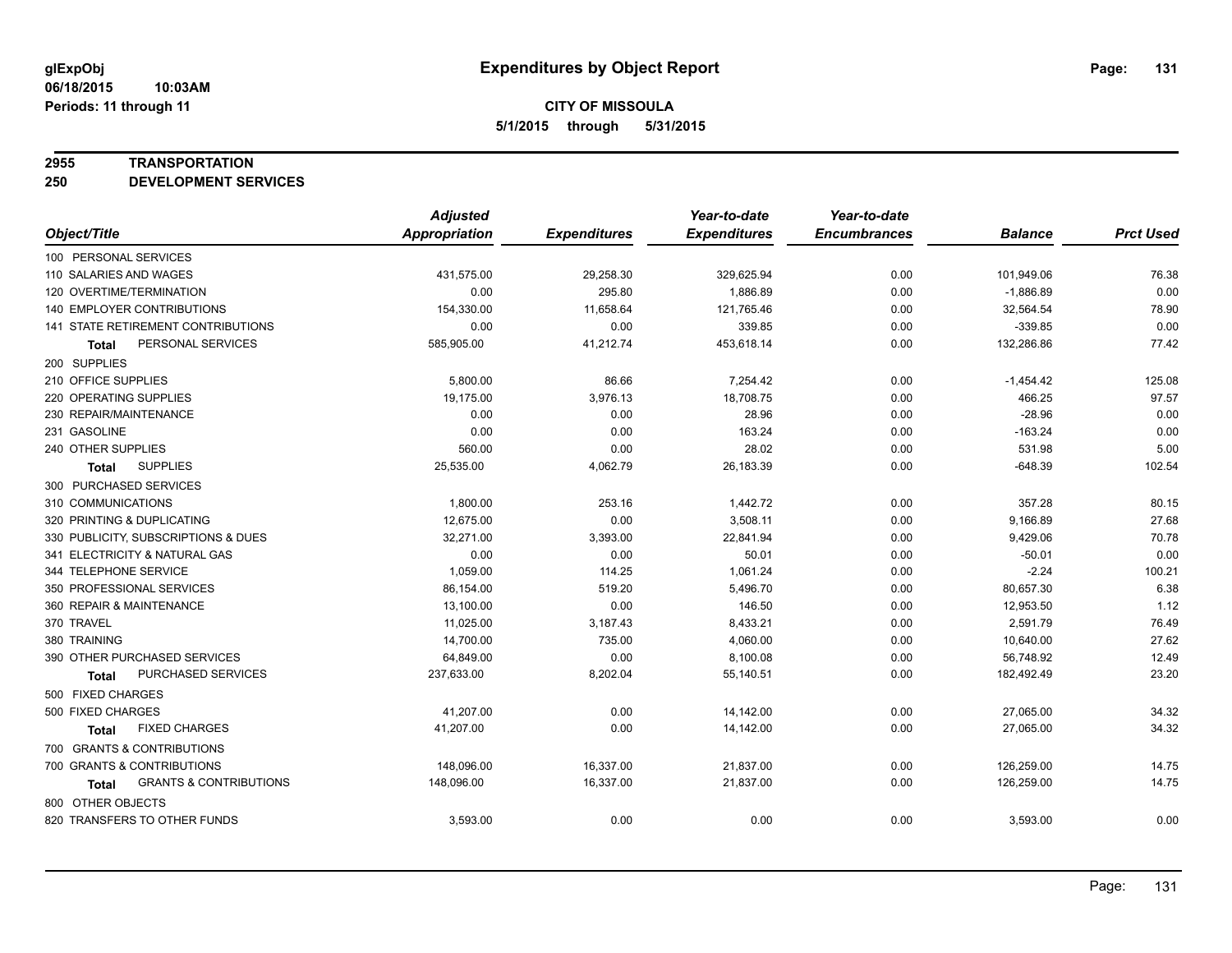#### **2955 TRANSPORTATION**

**250 DEVELOPMENT SERVICES**

|                                            | <b>Adjusted</b>      |                     | Year-to-date        | Year-to-date        |                |                  |
|--------------------------------------------|----------------------|---------------------|---------------------|---------------------|----------------|------------------|
| Object/Title                               | <b>Appropriation</b> | <b>Expenditures</b> | <b>Expenditures</b> | <b>Encumbrances</b> | <b>Balance</b> | <b>Prct Used</b> |
| 100 PERSONAL SERVICES                      |                      |                     |                     |                     |                |                  |
| 110 SALARIES AND WAGES                     | 431,575.00           | 29,258.30           | 329,625.94          | 0.00                | 101,949.06     | 76.38            |
| 120 OVERTIME/TERMINATION                   | 0.00                 | 295.80              | 1,886.89            | 0.00                | $-1,886.89$    | 0.00             |
| 140 EMPLOYER CONTRIBUTIONS                 | 154,330.00           | 11,658.64           | 121,765.46          | 0.00                | 32,564.54      | 78.90            |
| 141 STATE RETIREMENT CONTRIBUTIONS         | 0.00                 | 0.00                | 339.85              | 0.00                | $-339.85$      | 0.00             |
| PERSONAL SERVICES<br><b>Total</b>          | 585,905.00           | 41,212.74           | 453,618.14          | 0.00                | 132,286.86     | 77.42            |
| 200 SUPPLIES                               |                      |                     |                     |                     |                |                  |
| 210 OFFICE SUPPLIES                        | 5,800.00             | 86.66               | 7,254.42            | 0.00                | $-1,454.42$    | 125.08           |
| 220 OPERATING SUPPLIES                     | 19.175.00            | 3,976.13            | 18,708.75           | 0.00                | 466.25         | 97.57            |
| 230 REPAIR/MAINTENANCE                     | 0.00                 | 0.00                | 28.96               | 0.00                | $-28.96$       | 0.00             |
| 231 GASOLINE                               | 0.00                 | 0.00                | 163.24              | 0.00                | $-163.24$      | 0.00             |
| 240 OTHER SUPPLIES                         | 560.00               | 0.00                | 28.02               | 0.00                | 531.98         | 5.00             |
| <b>SUPPLIES</b><br>Total                   | 25,535.00            | 4,062.79            | 26,183.39           | 0.00                | $-648.39$      | 102.54           |
| 300 PURCHASED SERVICES                     |                      |                     |                     |                     |                |                  |
| 310 COMMUNICATIONS                         | 1,800.00             | 253.16              | 1,442.72            | 0.00                | 357.28         | 80.15            |
| 320 PRINTING & DUPLICATING                 | 12,675.00            | 0.00                | 3,508.11            | 0.00                | 9,166.89       | 27.68            |
| 330 PUBLICITY, SUBSCRIPTIONS & DUES        | 32,271.00            | 3,393.00            | 22,841.94           | 0.00                | 9,429.06       | 70.78            |
| 341 ELECTRICITY & NATURAL GAS              | 0.00                 | 0.00                | 50.01               | 0.00                | $-50.01$       | 0.00             |
| 344 TELEPHONE SERVICE                      | 1,059.00             | 114.25              | 1,061.24            | 0.00                | $-2.24$        | 100.21           |
| 350 PROFESSIONAL SERVICES                  | 86,154.00            | 519.20              | 5,496.70            | 0.00                | 80,657.30      | 6.38             |
| 360 REPAIR & MAINTENANCE                   | 13,100.00            | 0.00                | 146.50              | 0.00                | 12,953.50      | 1.12             |
| 370 TRAVEL                                 | 11,025.00            | 3,187.43            | 8,433.21            | 0.00                | 2,591.79       | 76.49            |
| 380 TRAINING                               | 14,700.00            | 735.00              | 4,060.00            | 0.00                | 10,640.00      | 27.62            |
| 390 OTHER PURCHASED SERVICES               | 64,849.00            | 0.00                | 8,100.08            | 0.00                | 56,748.92      | 12.49            |
| PURCHASED SERVICES<br>Total                | 237,633.00           | 8,202.04            | 55,140.51           | 0.00                | 182,492.49     | 23.20            |
| 500 FIXED CHARGES                          |                      |                     |                     |                     |                |                  |
| 500 FIXED CHARGES                          | 41,207.00            | 0.00                | 14,142.00           | 0.00                | 27,065.00      | 34.32            |
| <b>FIXED CHARGES</b><br>Total              | 41,207.00            | 0.00                | 14,142.00           | 0.00                | 27,065.00      | 34.32            |
| 700 GRANTS & CONTRIBUTIONS                 |                      |                     |                     |                     |                |                  |
| 700 GRANTS & CONTRIBUTIONS                 | 148,096.00           | 16,337.00           | 21,837.00           | 0.00                | 126,259.00     | 14.75            |
| <b>GRANTS &amp; CONTRIBUTIONS</b><br>Total | 148,096.00           | 16,337.00           | 21,837.00           | 0.00                | 126,259.00     | 14.75            |
| 800 OTHER OBJECTS                          |                      |                     |                     |                     |                |                  |
| 820 TRANSFERS TO OTHER FUNDS               | 3,593.00             | 0.00                | 0.00                | 0.00                | 3,593.00       | 0.00             |
|                                            |                      |                     |                     |                     |                |                  |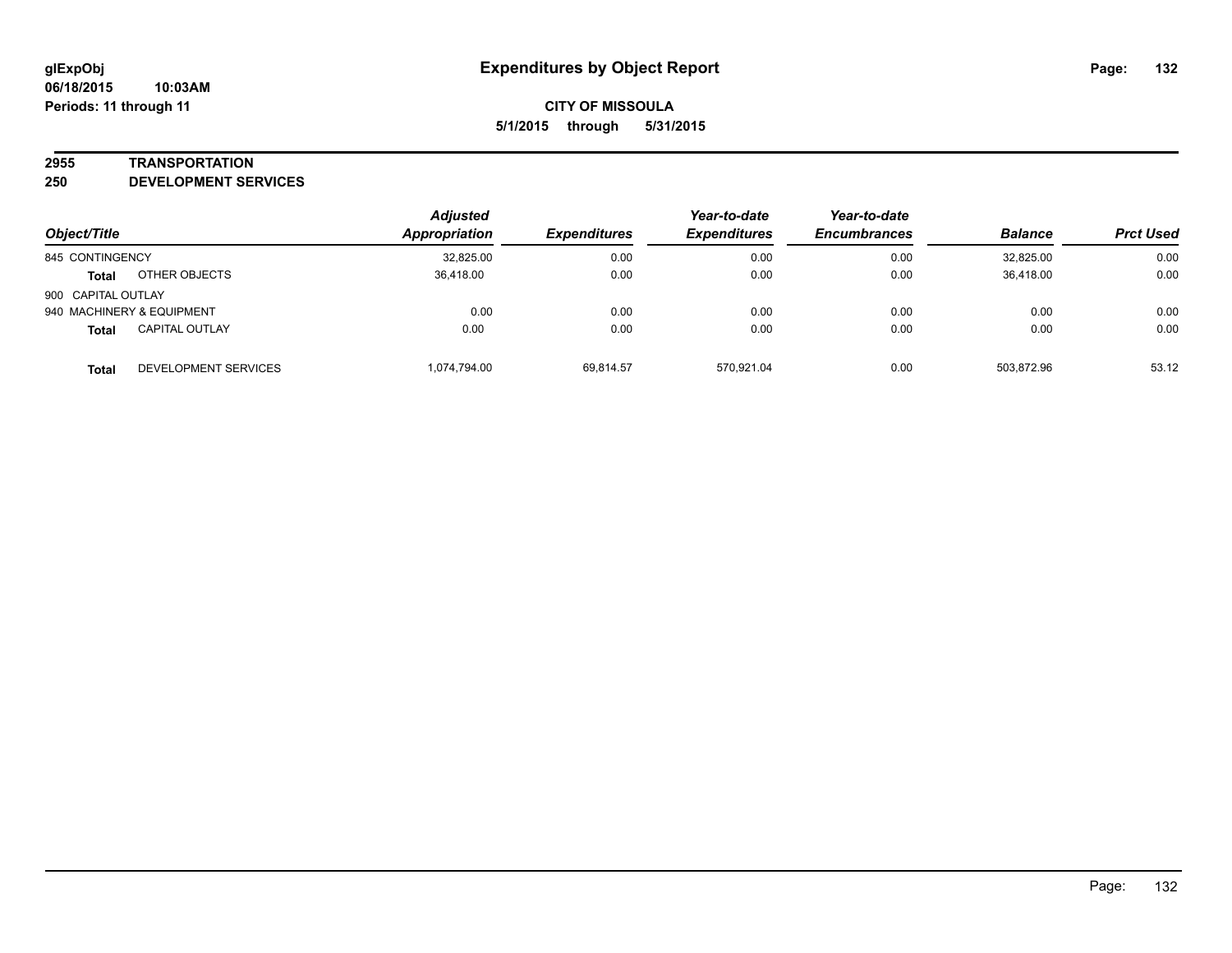#### **2955 TRANSPORTATION**

**250 DEVELOPMENT SERVICES**

|                    |                           | <b>Adjusted</b> |                     | Year-to-date        | Year-to-date        |                |                  |
|--------------------|---------------------------|-----------------|---------------------|---------------------|---------------------|----------------|------------------|
| Object/Title       |                           | Appropriation   | <b>Expenditures</b> | <b>Expenditures</b> | <b>Encumbrances</b> | <b>Balance</b> | <b>Prct Used</b> |
| 845 CONTINGENCY    |                           | 32,825.00       | 0.00                | 0.00                | 0.00                | 32.825.00      | 0.00             |
| <b>Total</b>       | OTHER OBJECTS             | 36.418.00       | 0.00                | 0.00                | 0.00                | 36.418.00      | 0.00             |
| 900 CAPITAL OUTLAY |                           |                 |                     |                     |                     |                |                  |
|                    | 940 MACHINERY & EQUIPMENT | 0.00            | 0.00                | 0.00                | 0.00                | 0.00           | 0.00             |
| <b>Total</b>       | <b>CAPITAL OUTLAY</b>     | 0.00            | 0.00                | 0.00                | 0.00                | 0.00           | 0.00             |
| Total              | DEVELOPMENT SERVICES      | 1.074.794.00    | 69,814.57           | 570.921.04          | 0.00                | 503.872.96     | 53.12            |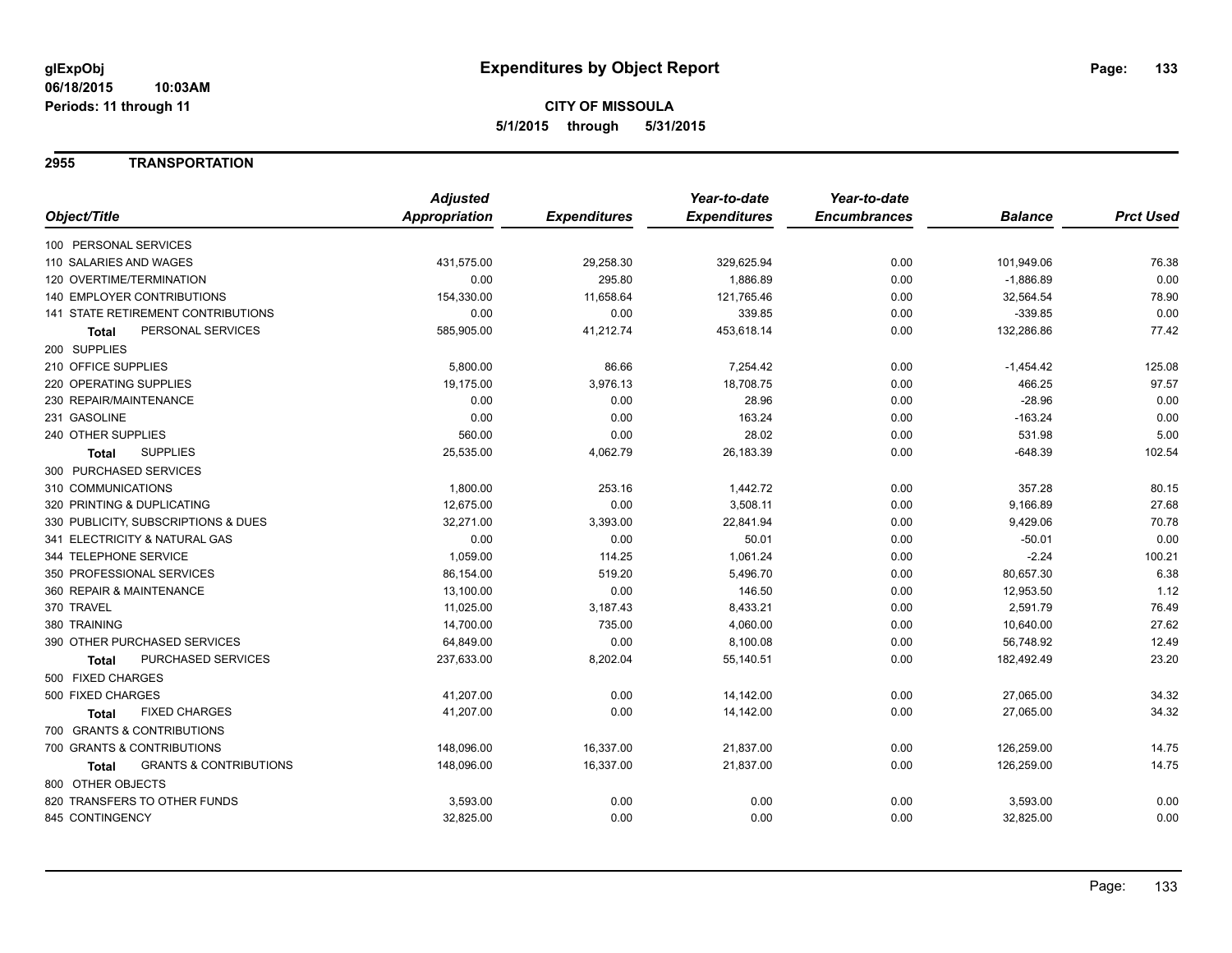### **2955 TRANSPORTATION**

|                                                   | <b>Adjusted</b> |                     | Year-to-date        | Year-to-date        |                |                  |
|---------------------------------------------------|-----------------|---------------------|---------------------|---------------------|----------------|------------------|
| Object/Title                                      | Appropriation   | <b>Expenditures</b> | <b>Expenditures</b> | <b>Encumbrances</b> | <b>Balance</b> | <b>Prct Used</b> |
| 100 PERSONAL SERVICES                             |                 |                     |                     |                     |                |                  |
| 110 SALARIES AND WAGES                            | 431,575.00      | 29,258.30           | 329,625.94          | 0.00                | 101,949.06     | 76.38            |
| 120 OVERTIME/TERMINATION                          | 0.00            | 295.80              | 1,886.89            | 0.00                | $-1,886.89$    | 0.00             |
| 140 EMPLOYER CONTRIBUTIONS                        | 154,330.00      | 11,658.64           | 121,765.46          | 0.00                | 32,564.54      | 78.90            |
| <b>141 STATE RETIREMENT CONTRIBUTIONS</b>         | 0.00            | 0.00                | 339.85              | 0.00                | $-339.85$      | 0.00             |
| PERSONAL SERVICES<br><b>Total</b>                 | 585,905.00      | 41,212.74           | 453,618.14          | 0.00                | 132,286.86     | 77.42            |
| 200 SUPPLIES                                      |                 |                     |                     |                     |                |                  |
| 210 OFFICE SUPPLIES                               | 5,800.00        | 86.66               | 7,254.42            | 0.00                | $-1,454.42$    | 125.08           |
| 220 OPERATING SUPPLIES                            | 19,175.00       | 3,976.13            | 18,708.75           | 0.00                | 466.25         | 97.57            |
| 230 REPAIR/MAINTENANCE                            | 0.00            | 0.00                | 28.96               | 0.00                | $-28.96$       | 0.00             |
| 231 GASOLINE                                      | 0.00            | 0.00                | 163.24              | 0.00                | $-163.24$      | 0.00             |
| 240 OTHER SUPPLIES                                | 560.00          | 0.00                | 28.02               | 0.00                | 531.98         | 5.00             |
| <b>SUPPLIES</b><br><b>Total</b>                   | 25,535.00       | 4,062.79            | 26,183.39           | 0.00                | $-648.39$      | 102.54           |
| 300 PURCHASED SERVICES                            |                 |                     |                     |                     |                |                  |
| 310 COMMUNICATIONS                                | 1,800.00        | 253.16              | 1,442.72            | 0.00                | 357.28         | 80.15            |
| 320 PRINTING & DUPLICATING                        | 12,675.00       | 0.00                | 3,508.11            | 0.00                | 9,166.89       | 27.68            |
| 330 PUBLICITY, SUBSCRIPTIONS & DUES               | 32,271.00       | 3,393.00            | 22,841.94           | 0.00                | 9,429.06       | 70.78            |
| 341 ELECTRICITY & NATURAL GAS                     | 0.00            | 0.00                | 50.01               | 0.00                | $-50.01$       | 0.00             |
| 344 TELEPHONE SERVICE                             | 1,059.00        | 114.25              | 1,061.24            | 0.00                | $-2.24$        | 100.21           |
| 350 PROFESSIONAL SERVICES                         | 86,154.00       | 519.20              | 5,496.70            | 0.00                | 80,657.30      | 6.38             |
| 360 REPAIR & MAINTENANCE                          | 13,100.00       | 0.00                | 146.50              | 0.00                | 12,953.50      | 1.12             |
| 370 TRAVEL                                        | 11,025.00       | 3,187.43            | 8,433.21            | 0.00                | 2,591.79       | 76.49            |
| 380 TRAINING                                      | 14,700.00       | 735.00              | 4,060.00            | 0.00                | 10,640.00      | 27.62            |
| 390 OTHER PURCHASED SERVICES                      | 64,849.00       | 0.00                | 8,100.08            | 0.00                | 56,748.92      | 12.49            |
| PURCHASED SERVICES<br>Total                       | 237,633.00      | 8,202.04            | 55,140.51           | 0.00                | 182,492.49     | 23.20            |
| 500 FIXED CHARGES                                 |                 |                     |                     |                     |                |                  |
| 500 FIXED CHARGES                                 | 41,207.00       | 0.00                | 14,142.00           | 0.00                | 27,065.00      | 34.32            |
| <b>FIXED CHARGES</b><br><b>Total</b>              | 41,207.00       | 0.00                | 14,142.00           | 0.00                | 27,065.00      | 34.32            |
| 700 GRANTS & CONTRIBUTIONS                        |                 |                     |                     |                     |                |                  |
| 700 GRANTS & CONTRIBUTIONS                        | 148,096.00      | 16,337.00           | 21,837.00           | 0.00                | 126,259.00     | 14.75            |
| <b>GRANTS &amp; CONTRIBUTIONS</b><br><b>Total</b> | 148,096.00      | 16,337.00           | 21,837.00           | 0.00                | 126,259.00     | 14.75            |
| 800 OTHER OBJECTS                                 |                 |                     |                     |                     |                |                  |
| 820 TRANSFERS TO OTHER FUNDS                      | 3,593.00        | 0.00                | 0.00                | 0.00                | 3,593.00       | 0.00             |
| 845 CONTINGENCY                                   | 32,825.00       | 0.00                | 0.00                | 0.00                | 32,825.00      | 0.00             |
|                                                   |                 |                     |                     |                     |                |                  |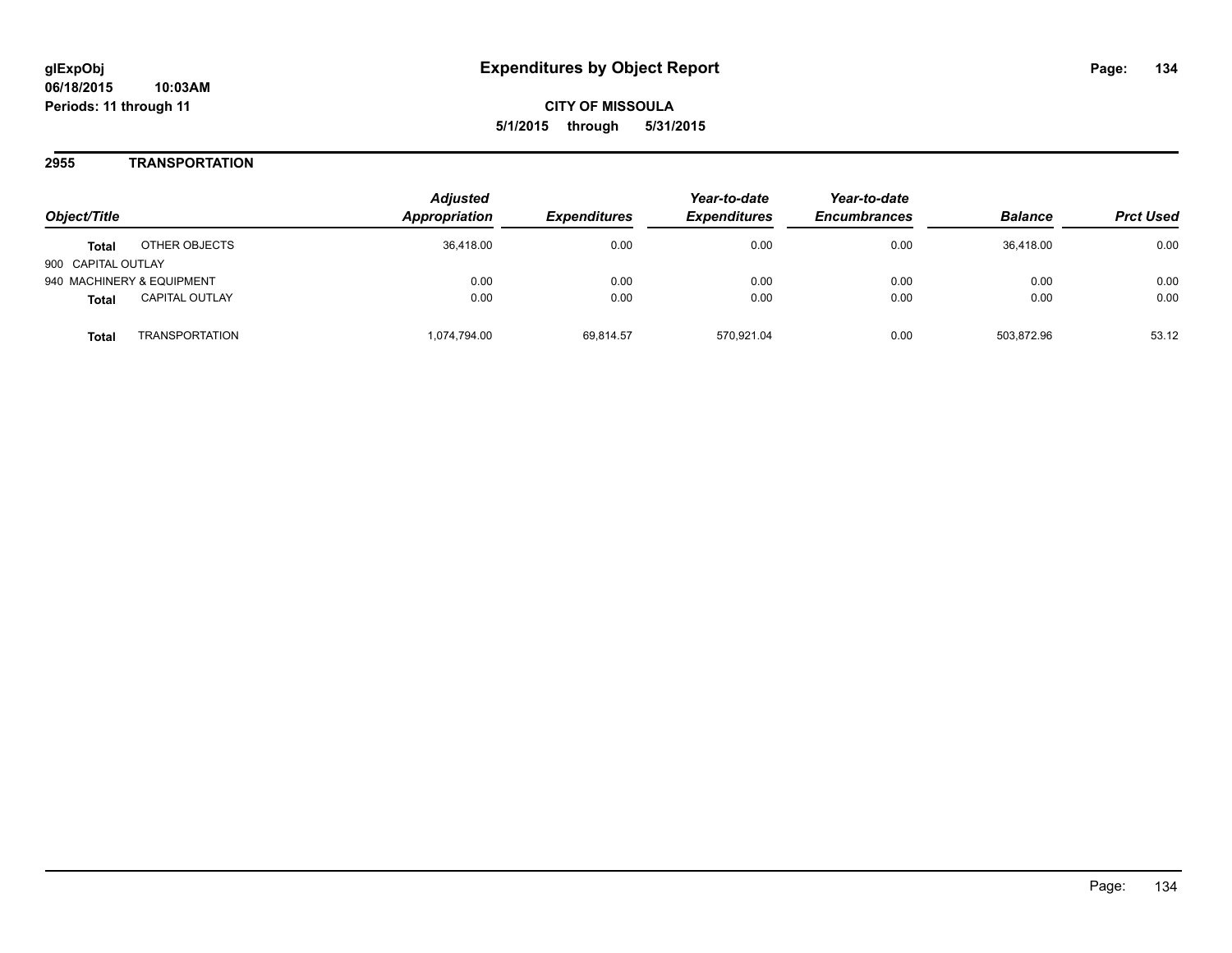### **2955 TRANSPORTATION**

| Object/Title              |                       | <b>Adjusted</b><br>Appropriation | <i><b>Expenditures</b></i> | Year-to-date<br><b>Expenditures</b> | Year-to-date<br><b>Encumbrances</b> | <b>Balance</b> | <b>Prct Used</b> |
|---------------------------|-----------------------|----------------------------------|----------------------------|-------------------------------------|-------------------------------------|----------------|------------------|
| <b>Total</b>              | OTHER OBJECTS         | 36.418.00                        | 0.00                       | 0.00                                | 0.00                                | 36.418.00      | 0.00             |
| 900 CAPITAL OUTLAY        |                       |                                  |                            |                                     |                                     |                |                  |
| 940 MACHINERY & EQUIPMENT |                       | 0.00                             | 0.00                       | 0.00                                | 0.00                                | 0.00           | 0.00             |
| <b>Total</b>              | <b>CAPITAL OUTLAY</b> | 0.00                             | 0.00                       | 0.00                                | 0.00                                | 0.00           | 0.00             |
| Total                     | TRANSPORTATION        | 1,074,794.00                     | 69,814.57                  | 570.921.04                          | 0.00                                | 503,872.96     | 53.12            |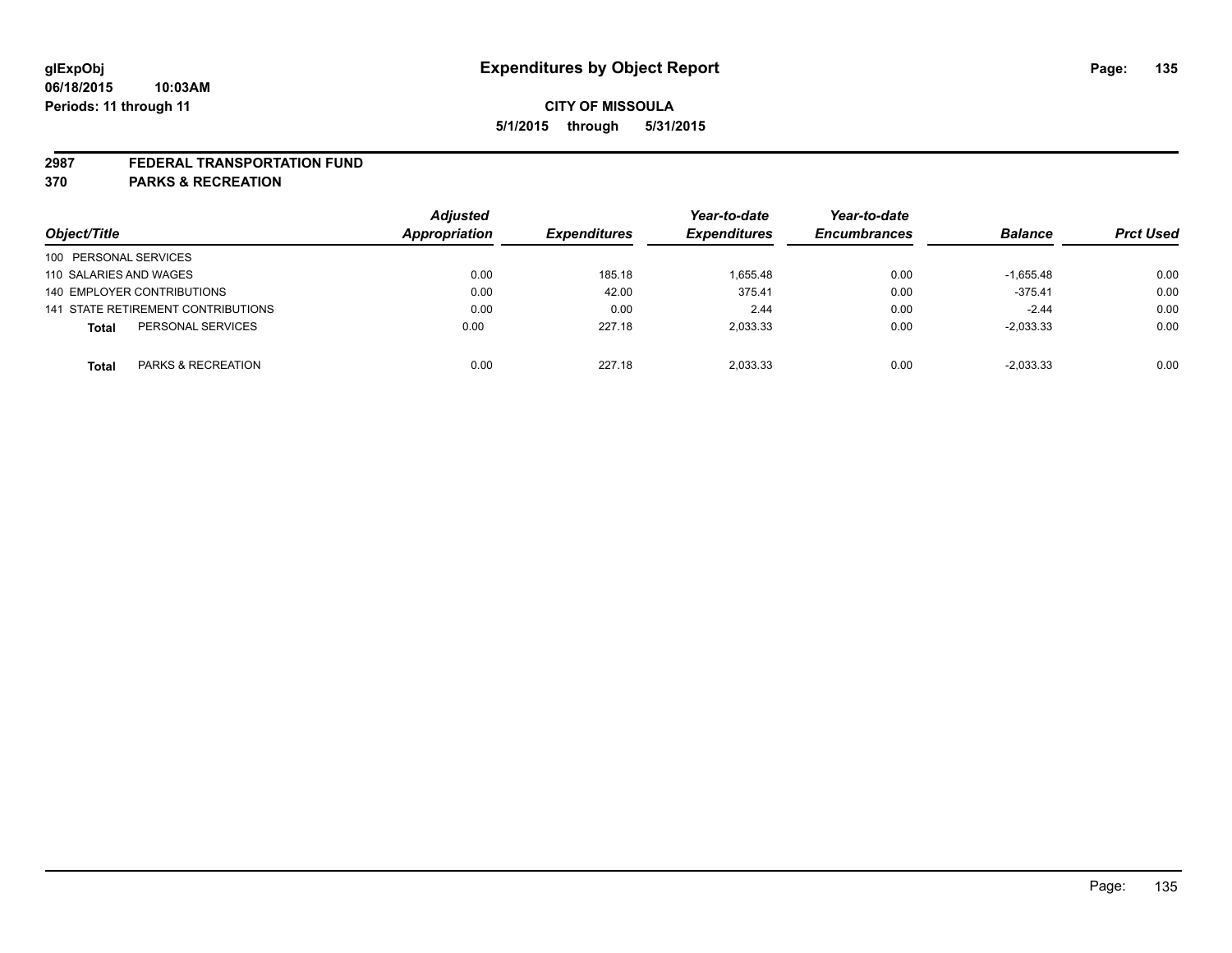#### **2987 FEDERAL TRANSPORTATION FUND**

**370 PARKS & RECREATION**

|                        |                                           | <b>Adjusted</b> |                     | Year-to-date        | Year-to-date        |                |                  |
|------------------------|-------------------------------------------|-----------------|---------------------|---------------------|---------------------|----------------|------------------|
| Object/Title           |                                           | Appropriation   | <b>Expenditures</b> | <b>Expenditures</b> | <b>Encumbrances</b> | <b>Balance</b> | <b>Prct Used</b> |
| 100 PERSONAL SERVICES  |                                           |                 |                     |                     |                     |                |                  |
| 110 SALARIES AND WAGES |                                           | 0.00            | 185.18              | 1.655.48            | 0.00                | $-1.655.48$    | 0.00             |
|                        | 140 EMPLOYER CONTRIBUTIONS                | 0.00            | 42.00               | 375.41              | 0.00                | $-375.41$      | 0.00             |
|                        | <b>141 STATE RETIREMENT CONTRIBUTIONS</b> | 0.00            | 0.00                | 2.44                | 0.00                | $-2.44$        | 0.00             |
| <b>Total</b>           | PERSONAL SERVICES                         | 0.00            | 227.18              | 2.033.33            | 0.00                | $-2,033.33$    | 0.00             |
| <b>Total</b>           | <b>PARKS &amp; RECREATION</b>             | 0.00            | 227.18              | 2.033.33            | 0.00                | $-2,033.33$    | 0.00             |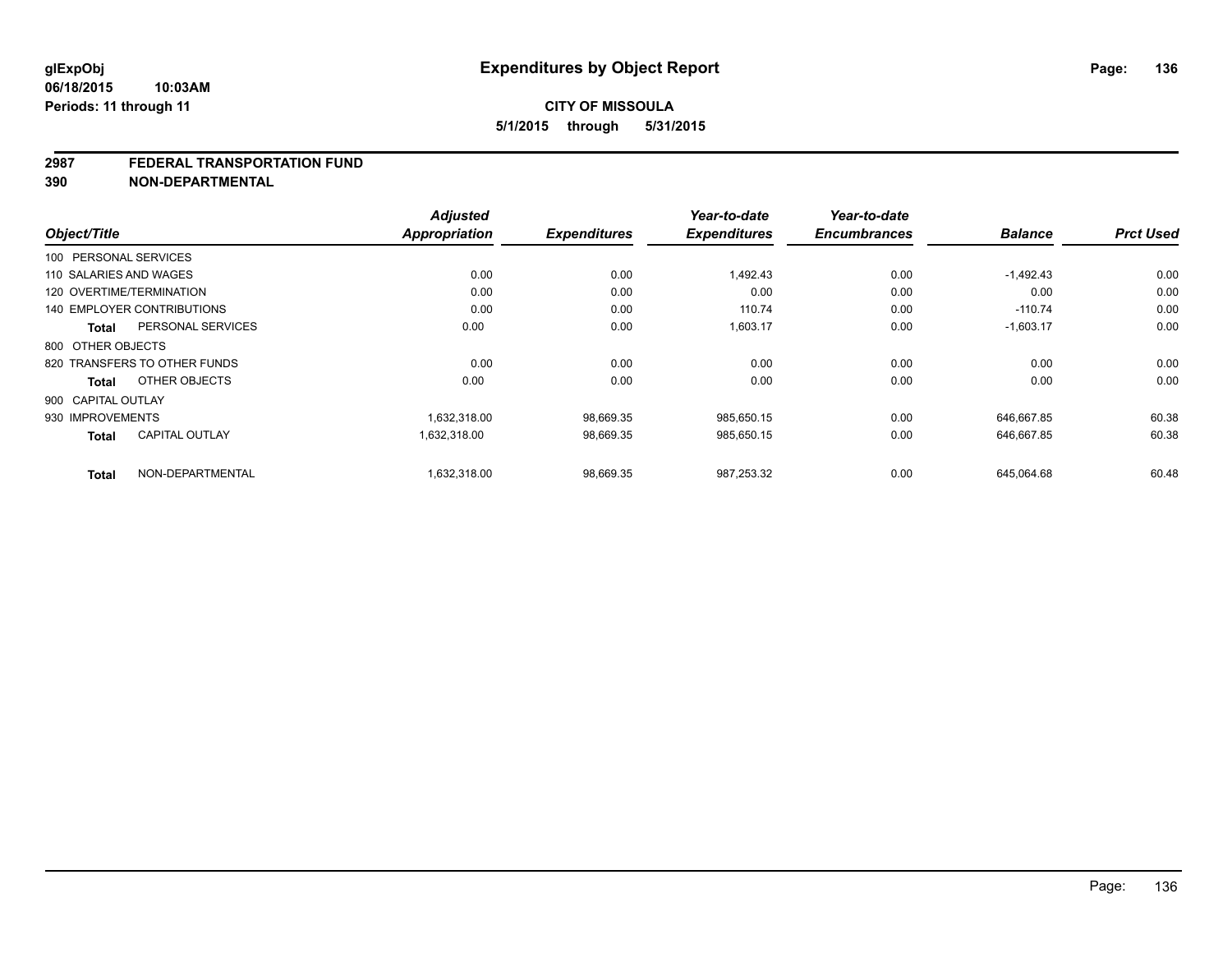#### **2987 FEDERAL TRANSPORTATION FUND**

**390 NON-DEPARTMENTAL**

| Object/Title                          | <b>Adjusted</b><br><b>Appropriation</b> | <b>Expenditures</b> | Year-to-date<br><b>Expenditures</b> | Year-to-date<br><b>Encumbrances</b> | <b>Balance</b> | <b>Prct Used</b> |
|---------------------------------------|-----------------------------------------|---------------------|-------------------------------------|-------------------------------------|----------------|------------------|
|                                       |                                         |                     |                                     |                                     |                |                  |
| 100 PERSONAL SERVICES                 |                                         |                     |                                     |                                     |                |                  |
| 110 SALARIES AND WAGES                | 0.00                                    | 0.00                | 1,492.43                            | 0.00                                | $-1,492.43$    | 0.00             |
| 120 OVERTIME/TERMINATION              | 0.00                                    | 0.00                | 0.00                                | 0.00                                | 0.00           | 0.00             |
| <b>140 EMPLOYER CONTRIBUTIONS</b>     | 0.00                                    | 0.00                | 110.74                              | 0.00                                | $-110.74$      | 0.00             |
| PERSONAL SERVICES<br><b>Total</b>     | 0.00                                    | 0.00                | 1,603.17                            | 0.00                                | $-1,603.17$    | 0.00             |
| 800 OTHER OBJECTS                     |                                         |                     |                                     |                                     |                |                  |
| 820 TRANSFERS TO OTHER FUNDS          | 0.00                                    | 0.00                | 0.00                                | 0.00                                | 0.00           | 0.00             |
| OTHER OBJECTS<br><b>Total</b>         | 0.00                                    | 0.00                | 0.00                                | 0.00                                | 0.00           | 0.00             |
| 900 CAPITAL OUTLAY                    |                                         |                     |                                     |                                     |                |                  |
| 930 IMPROVEMENTS                      | 1,632,318.00                            | 98,669.35           | 985,650.15                          | 0.00                                | 646,667.85     | 60.38            |
| <b>CAPITAL OUTLAY</b><br><b>Total</b> | 1,632,318.00                            | 98,669.35           | 985,650.15                          | 0.00                                | 646,667.85     | 60.38            |
| NON-DEPARTMENTAL<br><b>Total</b>      | 1,632,318.00                            | 98,669.35           | 987,253.32                          | 0.00                                | 645,064.68     | 60.48            |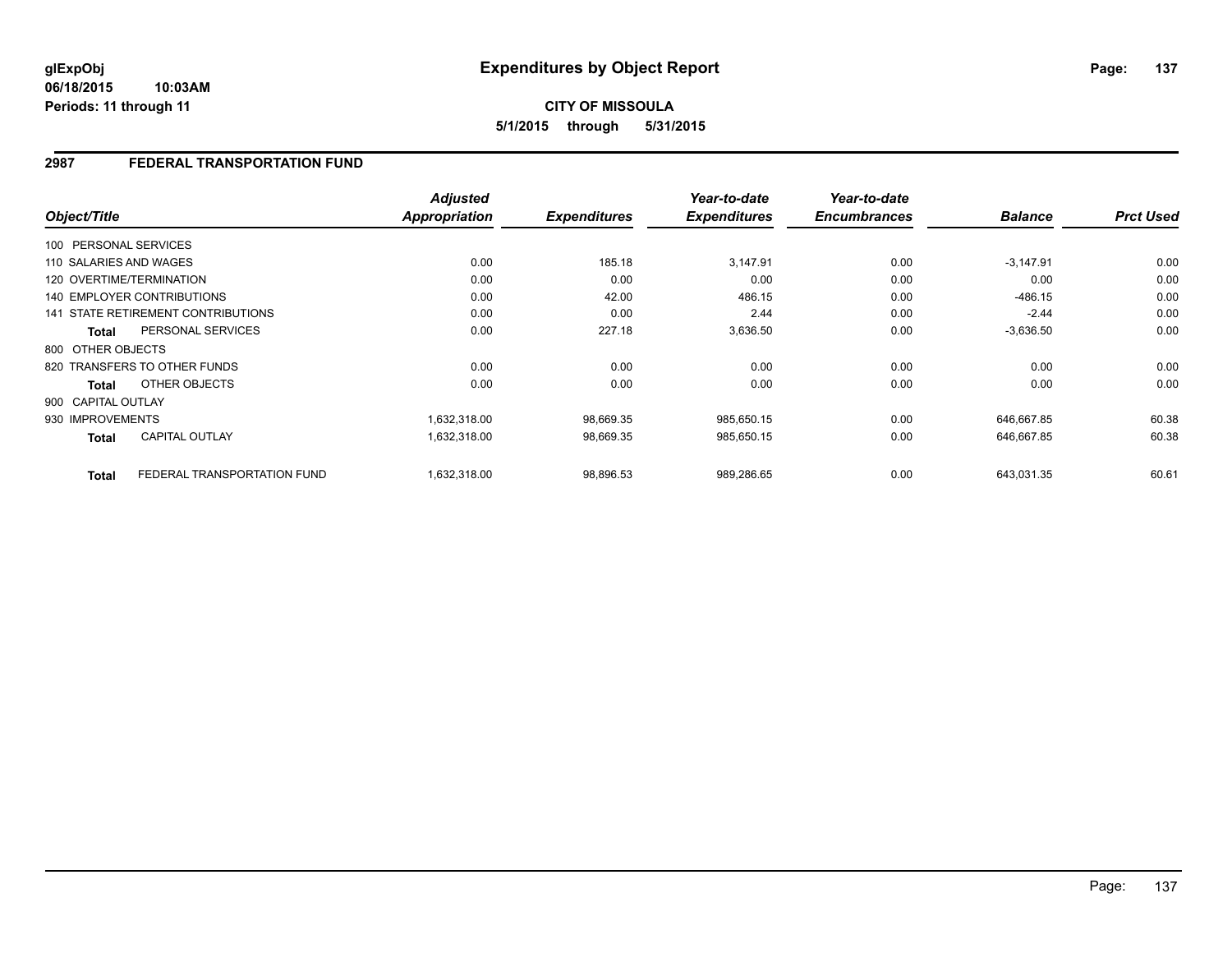#### **06/18/2015 10:03AM Periods: 11 through 11**

# **CITY OF MISSOULA 5/1/2015 through 5/31/2015**

## **2987 FEDERAL TRANSPORTATION FUND**

| Object/Title                 |                                    | <b>Adjusted</b><br>Appropriation | <b>Expenditures</b> | Year-to-date<br><b>Expenditures</b> | Year-to-date<br><b>Encumbrances</b> | <b>Balance</b> | <b>Prct Used</b> |
|------------------------------|------------------------------------|----------------------------------|---------------------|-------------------------------------|-------------------------------------|----------------|------------------|
|                              |                                    |                                  |                     |                                     |                                     |                |                  |
| 100 PERSONAL SERVICES        |                                    |                                  |                     |                                     |                                     |                |                  |
| 110 SALARIES AND WAGES       |                                    | 0.00                             | 185.18              | 3,147.91                            | 0.00                                | $-3,147.91$    | 0.00             |
| 120 OVERTIME/TERMINATION     |                                    | 0.00                             | 0.00                | 0.00                                | 0.00                                | 0.00           | 0.00             |
| 140 EMPLOYER CONTRIBUTIONS   |                                    | 0.00                             | 42.00               | 486.15                              | 0.00                                | $-486.15$      | 0.00             |
|                              | 141 STATE RETIREMENT CONTRIBUTIONS | 0.00                             | 0.00                | 2.44                                | 0.00                                | $-2.44$        | 0.00             |
| Total                        | PERSONAL SERVICES                  | 0.00                             | 227.18              | 3,636.50                            | 0.00                                | $-3,636.50$    | 0.00             |
| 800 OTHER OBJECTS            |                                    |                                  |                     |                                     |                                     |                |                  |
| 820 TRANSFERS TO OTHER FUNDS |                                    | 0.00                             | 0.00                | 0.00                                | 0.00                                | 0.00           | 0.00             |
| Total                        | OTHER OBJECTS                      | 0.00                             | 0.00                | 0.00                                | 0.00                                | 0.00           | 0.00             |
| 900 CAPITAL OUTLAY           |                                    |                                  |                     |                                     |                                     |                |                  |
| 930 IMPROVEMENTS             |                                    | 1,632,318.00                     | 98,669.35           | 985,650.15                          | 0.00                                | 646,667.85     | 60.38            |
| <b>Total</b>                 | <b>CAPITAL OUTLAY</b>              | 1,632,318.00                     | 98,669.35           | 985,650.15                          | 0.00                                | 646,667.85     | 60.38            |
| <b>Total</b>                 | FEDERAL TRANSPORTATION FUND        | 1,632,318.00                     | 98,896.53           | 989,286.65                          | 0.00                                | 643,031.35     | 60.61            |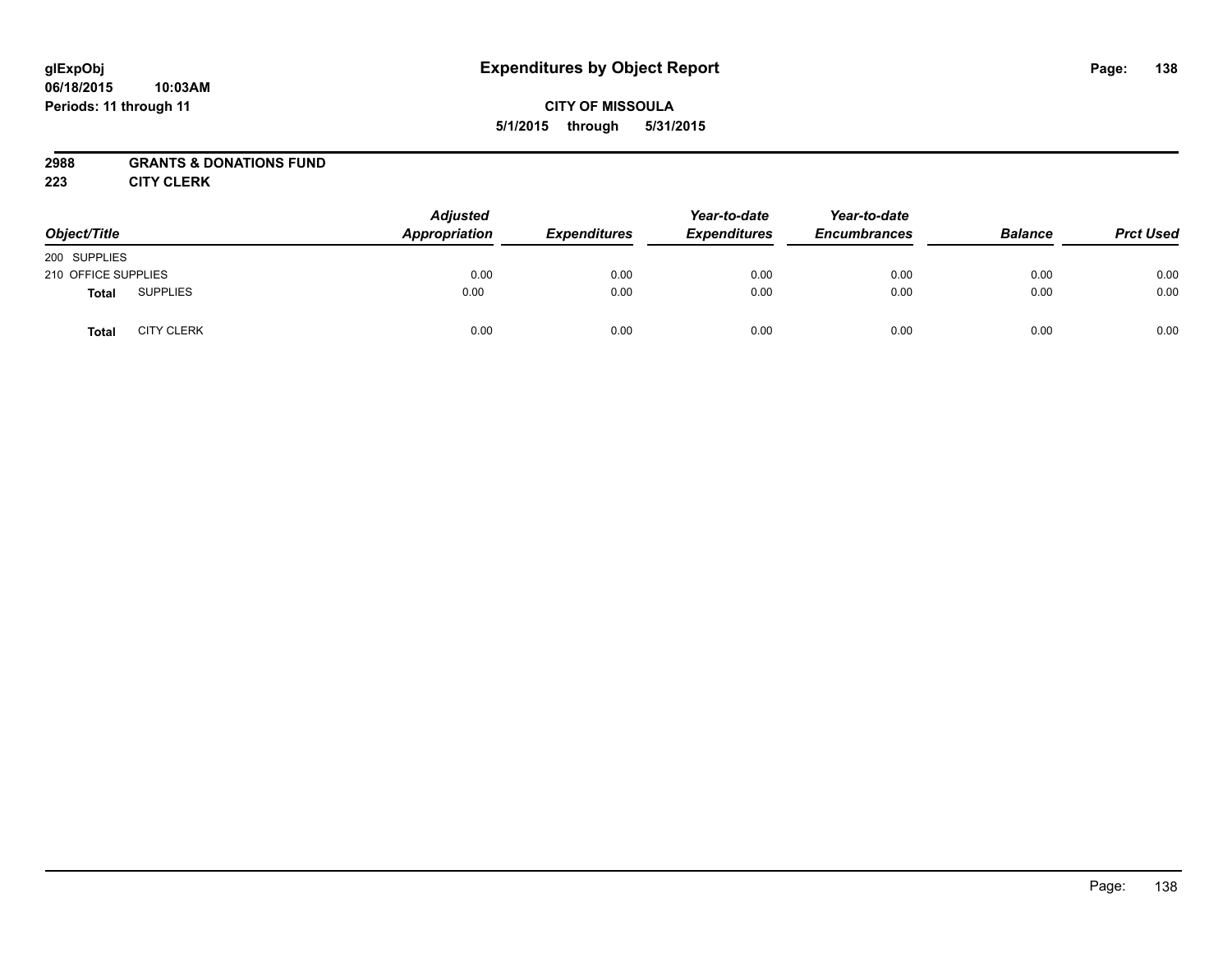#### **06/18/2015 10:03AM Periods: 11 through 11**

## **CITY OF MISSOULA 5/1/2015 through 5/31/2015**

## **2988 GRANTS & DONATIONS FUND**

**223 CITY CLERK**

| Object/Title        |                   | <b>Adjusted</b><br>Appropriation | <b>Expenditures</b> | Year-to-date<br><b>Expenditures</b> | Year-to-date<br><b>Encumbrances</b> | <b>Balance</b> | <b>Prct Used</b> |
|---------------------|-------------------|----------------------------------|---------------------|-------------------------------------|-------------------------------------|----------------|------------------|
| 200 SUPPLIES        |                   |                                  |                     |                                     |                                     |                |                  |
| 210 OFFICE SUPPLIES |                   | 0.00                             | 0.00                | 0.00                                | 0.00                                | 0.00           | 0.00             |
| <b>Total</b>        | <b>SUPPLIES</b>   | 0.00                             | 0.00                | 0.00                                | 0.00                                | 0.00           | 0.00             |
| <b>Total</b>        | <b>CITY CLERK</b> | 0.00                             | 0.00                | 0.00                                | 0.00                                | 0.00           | 0.00             |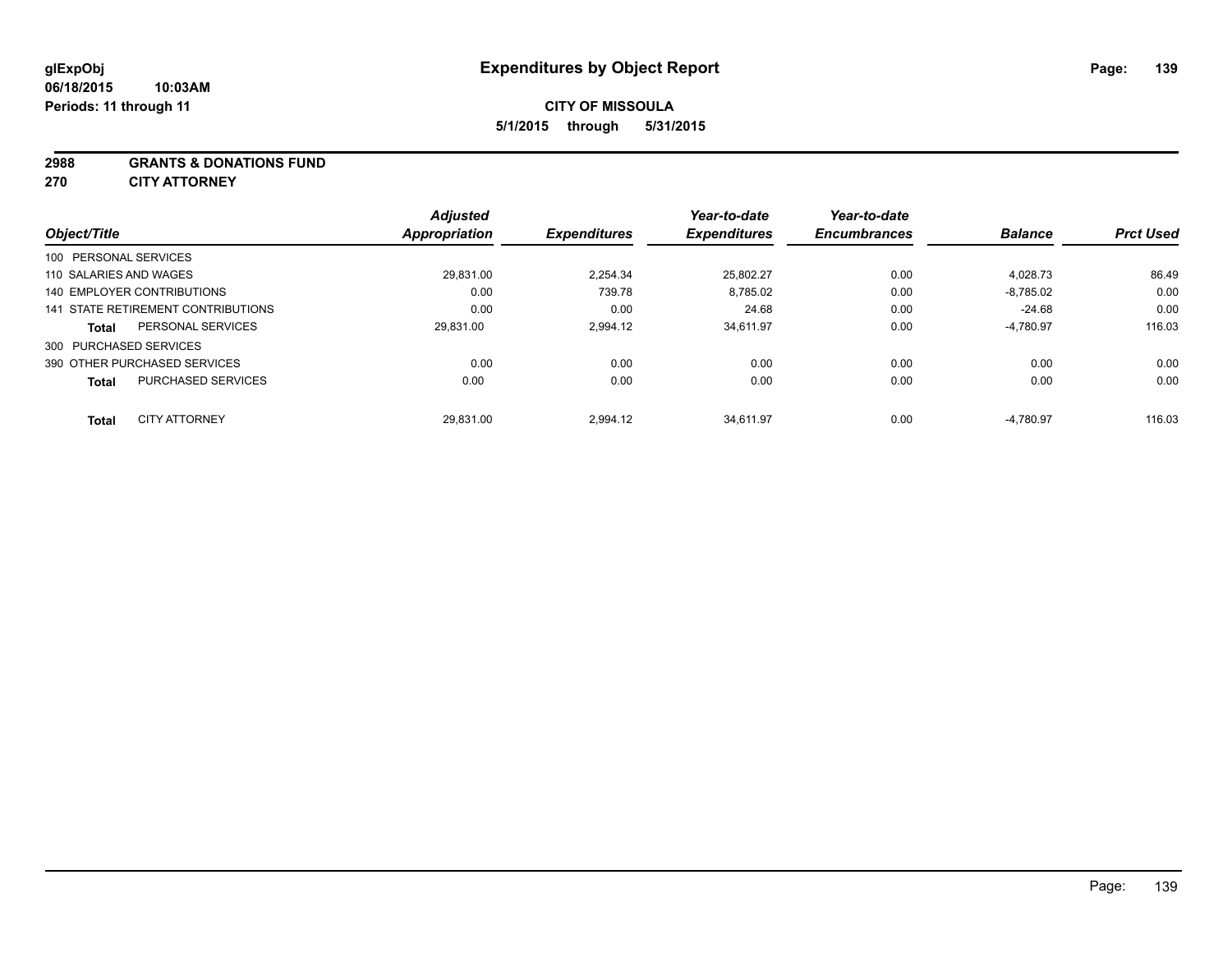#### **2988 GRANTS & DONATIONS FUND**

**270 CITY ATTORNEY**

| Object/Title                         |                           | <b>Adjusted</b><br>Appropriation | <b>Expenditures</b> | Year-to-date<br><b>Expenditures</b> | Year-to-date<br><b>Encumbrances</b> | <b>Balance</b> | <b>Prct Used</b> |
|--------------------------------------|---------------------------|----------------------------------|---------------------|-------------------------------------|-------------------------------------|----------------|------------------|
| 100 PERSONAL SERVICES                |                           |                                  |                     |                                     |                                     |                |                  |
| 110 SALARIES AND WAGES               |                           | 29.831.00                        | 2.254.34            | 25,802.27                           | 0.00                                | 4,028.73       | 86.49            |
| 140 EMPLOYER CONTRIBUTIONS           |                           | 0.00                             | 739.78              | 8,785.02                            | 0.00                                | $-8,785.02$    | 0.00             |
| 141 STATE RETIREMENT CONTRIBUTIONS   |                           | 0.00                             | 0.00                | 24.68                               | 0.00                                | $-24.68$       | 0.00             |
| <b>Total</b>                         | PERSONAL SERVICES         | 29.831.00                        | 2.994.12            | 34.611.97                           | 0.00                                | $-4.780.97$    | 116.03           |
| 300 PURCHASED SERVICES               |                           |                                  |                     |                                     |                                     |                |                  |
| 390 OTHER PURCHASED SERVICES         |                           | 0.00                             | 0.00                | 0.00                                | 0.00                                | 0.00           | 0.00             |
| <b>Total</b>                         | <b>PURCHASED SERVICES</b> | 0.00                             | 0.00                | 0.00                                | 0.00                                | 0.00           | 0.00             |
|                                      |                           |                                  |                     |                                     |                                     |                |                  |
| <b>CITY ATTORNEY</b><br><b>Total</b> |                           | 29.831.00                        | 2,994.12            | 34.611.97                           | 0.00                                | $-4,780.97$    | 116.03           |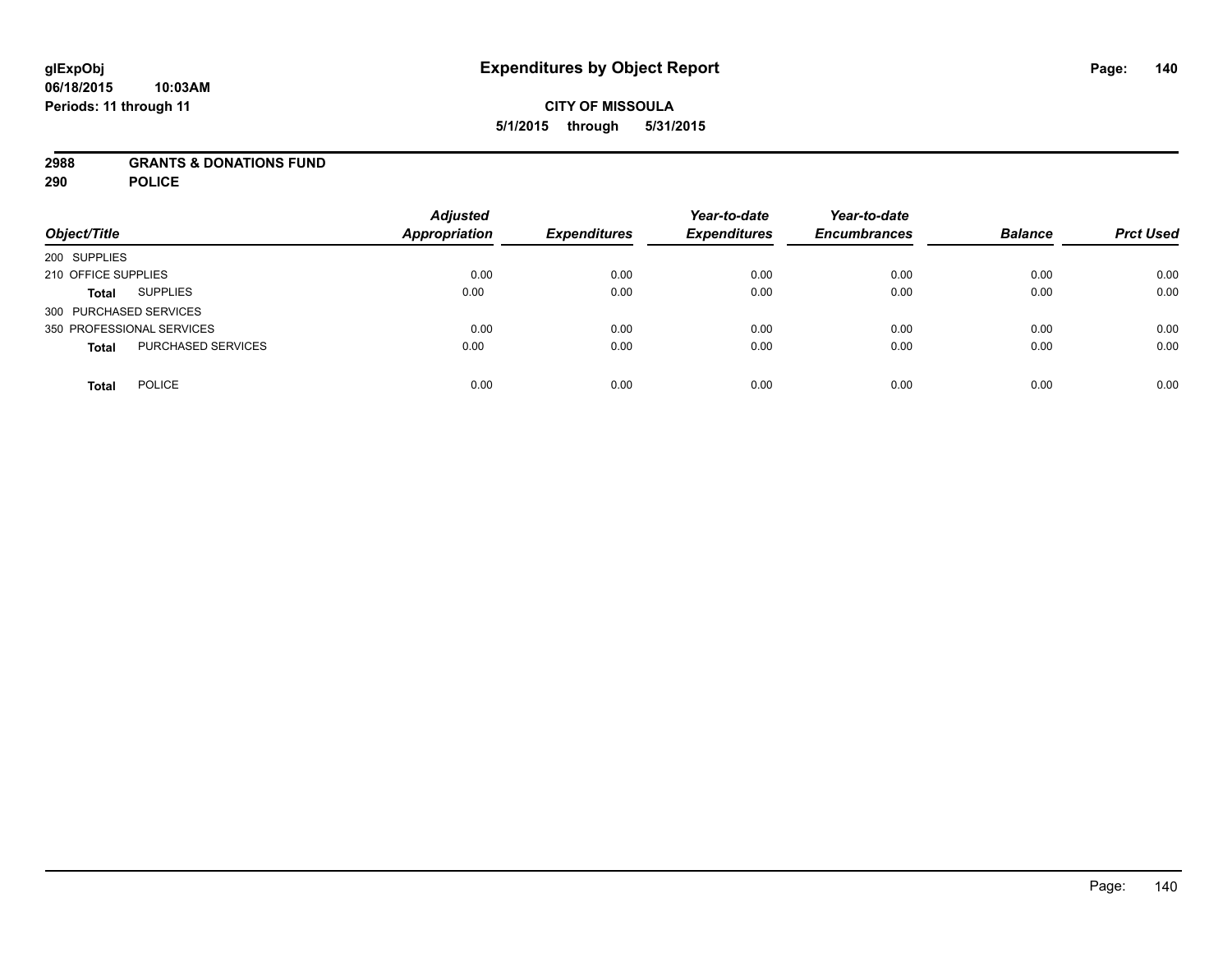### **2988 GRANTS & DONATIONS FUND**

**290 POLICE**

| Object/Title                       | <b>Adjusted</b><br><b>Appropriation</b> | <b>Expenditures</b> | Year-to-date<br><b>Expenditures</b> | Year-to-date<br><b>Encumbrances</b> | <b>Balance</b> | <b>Prct Used</b> |
|------------------------------------|-----------------------------------------|---------------------|-------------------------------------|-------------------------------------|----------------|------------------|
| 200 SUPPLIES                       |                                         |                     |                                     |                                     |                |                  |
| 210 OFFICE SUPPLIES                | 0.00                                    | 0.00                | 0.00                                | 0.00                                | 0.00           | 0.00             |
| <b>SUPPLIES</b><br><b>Total</b>    | 0.00                                    | 0.00                | 0.00                                | 0.00                                | 0.00           | 0.00             |
| 300 PURCHASED SERVICES             |                                         |                     |                                     |                                     |                |                  |
| 350 PROFESSIONAL SERVICES          | 0.00                                    | 0.00                | 0.00                                | 0.00                                | 0.00           | 0.00             |
| PURCHASED SERVICES<br><b>Total</b> | 0.00                                    | 0.00                | 0.00                                | 0.00                                | 0.00           | 0.00             |
| <b>POLICE</b><br><b>Total</b>      | 0.00                                    | 0.00                | 0.00                                | 0.00                                | 0.00           | 0.00             |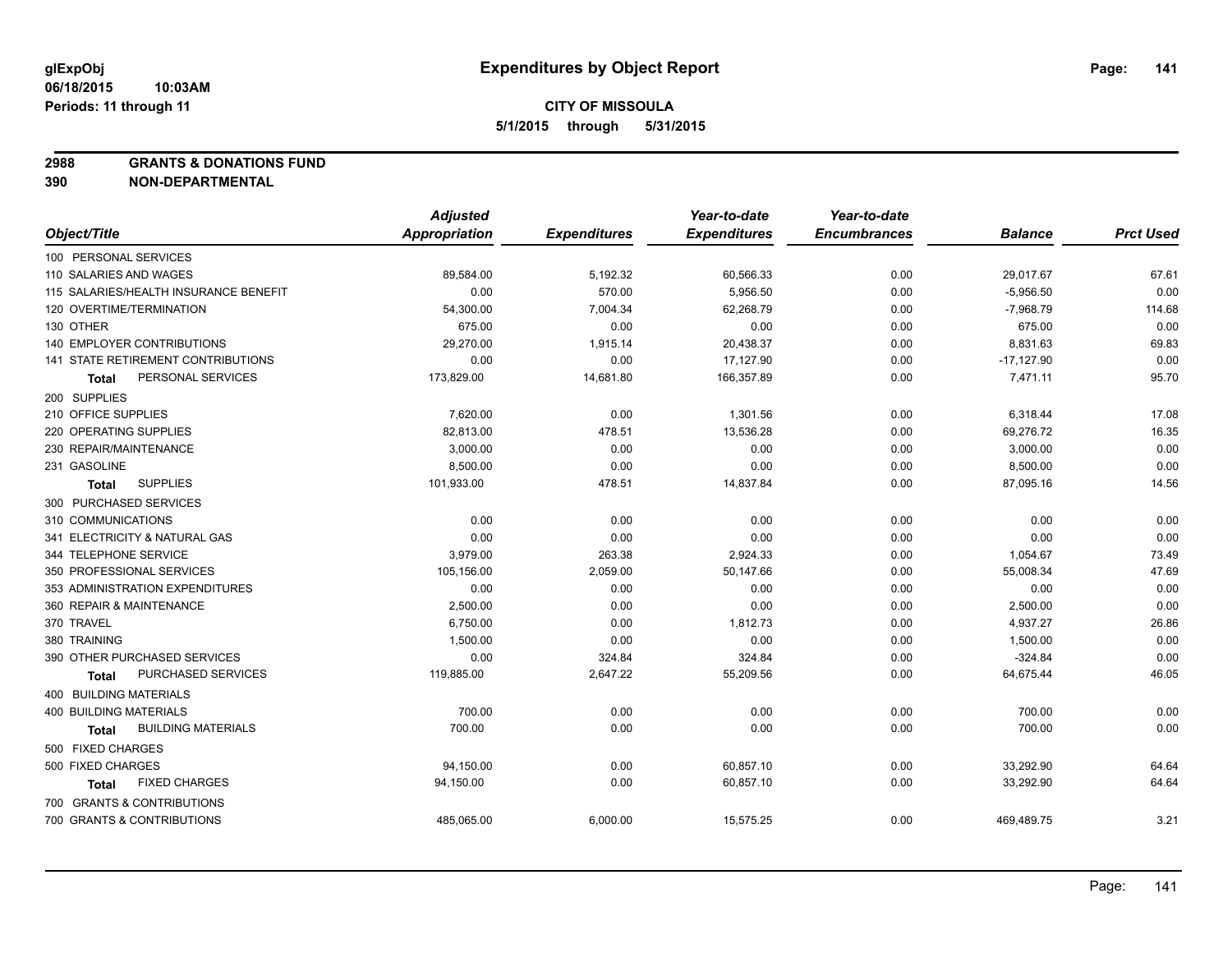**2988 GRANTS & DONATIONS FUND**

**390 NON-DEPARTMENTAL**

|                                           | <b>Adjusted</b>      |                     | Year-to-date        | Year-to-date        |                |                  |
|-------------------------------------------|----------------------|---------------------|---------------------|---------------------|----------------|------------------|
| Object/Title                              | <b>Appropriation</b> | <b>Expenditures</b> | <b>Expenditures</b> | <b>Encumbrances</b> | <b>Balance</b> | <b>Prct Used</b> |
| 100 PERSONAL SERVICES                     |                      |                     |                     |                     |                |                  |
| 110 SALARIES AND WAGES                    | 89,584.00            | 5,192.32            | 60,566.33           | 0.00                | 29,017.67      | 67.61            |
| 115 SALARIES/HEALTH INSURANCE BENEFIT     | 0.00                 | 570.00              | 5,956.50            | 0.00                | $-5,956.50$    | 0.00             |
| 120 OVERTIME/TERMINATION                  | 54,300.00            | 7,004.34            | 62,268.79           | 0.00                | $-7,968.79$    | 114.68           |
| 130 OTHER                                 | 675.00               | 0.00                | 0.00                | 0.00                | 675.00         | 0.00             |
| <b>140 EMPLOYER CONTRIBUTIONS</b>         | 29,270.00            | 1,915.14            | 20,438.37           | 0.00                | 8,831.63       | 69.83            |
| 141 STATE RETIREMENT CONTRIBUTIONS        | 0.00                 | 0.00                | 17,127.90           | 0.00                | $-17,127.90$   | 0.00             |
| PERSONAL SERVICES<br>Total                | 173,829.00           | 14,681.80           | 166,357.89          | 0.00                | 7,471.11       | 95.70            |
| 200 SUPPLIES                              |                      |                     |                     |                     |                |                  |
| 210 OFFICE SUPPLIES                       | 7,620.00             | 0.00                | 1,301.56            | 0.00                | 6,318.44       | 17.08            |
| 220 OPERATING SUPPLIES                    | 82,813.00            | 478.51              | 13,536.28           | 0.00                | 69,276.72      | 16.35            |
| 230 REPAIR/MAINTENANCE                    | 3,000.00             | 0.00                | 0.00                | 0.00                | 3,000.00       | 0.00             |
| 231 GASOLINE                              | 8,500.00             | 0.00                | 0.00                | 0.00                | 8,500.00       | 0.00             |
| <b>SUPPLIES</b><br><b>Total</b>           | 101,933.00           | 478.51              | 14,837.84           | 0.00                | 87,095.16      | 14.56            |
| 300 PURCHASED SERVICES                    |                      |                     |                     |                     |                |                  |
| 310 COMMUNICATIONS                        | 0.00                 | 0.00                | 0.00                | 0.00                | 0.00           | 0.00             |
| 341 ELECTRICITY & NATURAL GAS             | 0.00                 | 0.00                | 0.00                | 0.00                | 0.00           | 0.00             |
| 344 TELEPHONE SERVICE                     | 3,979.00             | 263.38              | 2,924.33            | 0.00                | 1,054.67       | 73.49            |
| 350 PROFESSIONAL SERVICES                 | 105,156.00           | 2,059.00            | 50,147.66           | 0.00                | 55,008.34      | 47.69            |
| 353 ADMINISTRATION EXPENDITURES           | 0.00                 | 0.00                | 0.00                | 0.00                | 0.00           | 0.00             |
| 360 REPAIR & MAINTENANCE                  | 2,500.00             | 0.00                | 0.00                | 0.00                | 2,500.00       | 0.00             |
| 370 TRAVEL                                | 6,750.00             | 0.00                | 1,812.73            | 0.00                | 4,937.27       | 26.86            |
| 380 TRAINING                              | 1,500.00             | 0.00                | 0.00                | 0.00                | 1,500.00       | 0.00             |
| 390 OTHER PURCHASED SERVICES              | 0.00                 | 324.84              | 324.84              | 0.00                | $-324.84$      | 0.00             |
| PURCHASED SERVICES<br>Total               | 119,885.00           | 2,647.22            | 55,209.56           | 0.00                | 64,675.44      | 46.05            |
| 400 BUILDING MATERIALS                    |                      |                     |                     |                     |                |                  |
| <b>400 BUILDING MATERIALS</b>             | 700.00               | 0.00                | 0.00                | 0.00                | 700.00         | 0.00             |
| <b>BUILDING MATERIALS</b><br><b>Total</b> | 700.00               | 0.00                | 0.00                | 0.00                | 700.00         | 0.00             |
| 500 FIXED CHARGES                         |                      |                     |                     |                     |                |                  |
| 500 FIXED CHARGES                         | 94,150.00            | 0.00                | 60,857.10           | 0.00                | 33,292.90      | 64.64            |
| <b>FIXED CHARGES</b><br>Total             | 94,150.00            | 0.00                | 60,857.10           | 0.00                | 33,292.90      | 64.64            |
| 700 GRANTS & CONTRIBUTIONS                |                      |                     |                     |                     |                |                  |
| 700 GRANTS & CONTRIBUTIONS                | 485,065.00           | 6,000.00            | 15,575.25           | 0.00                | 469,489.75     | 3.21             |
|                                           |                      |                     |                     |                     |                |                  |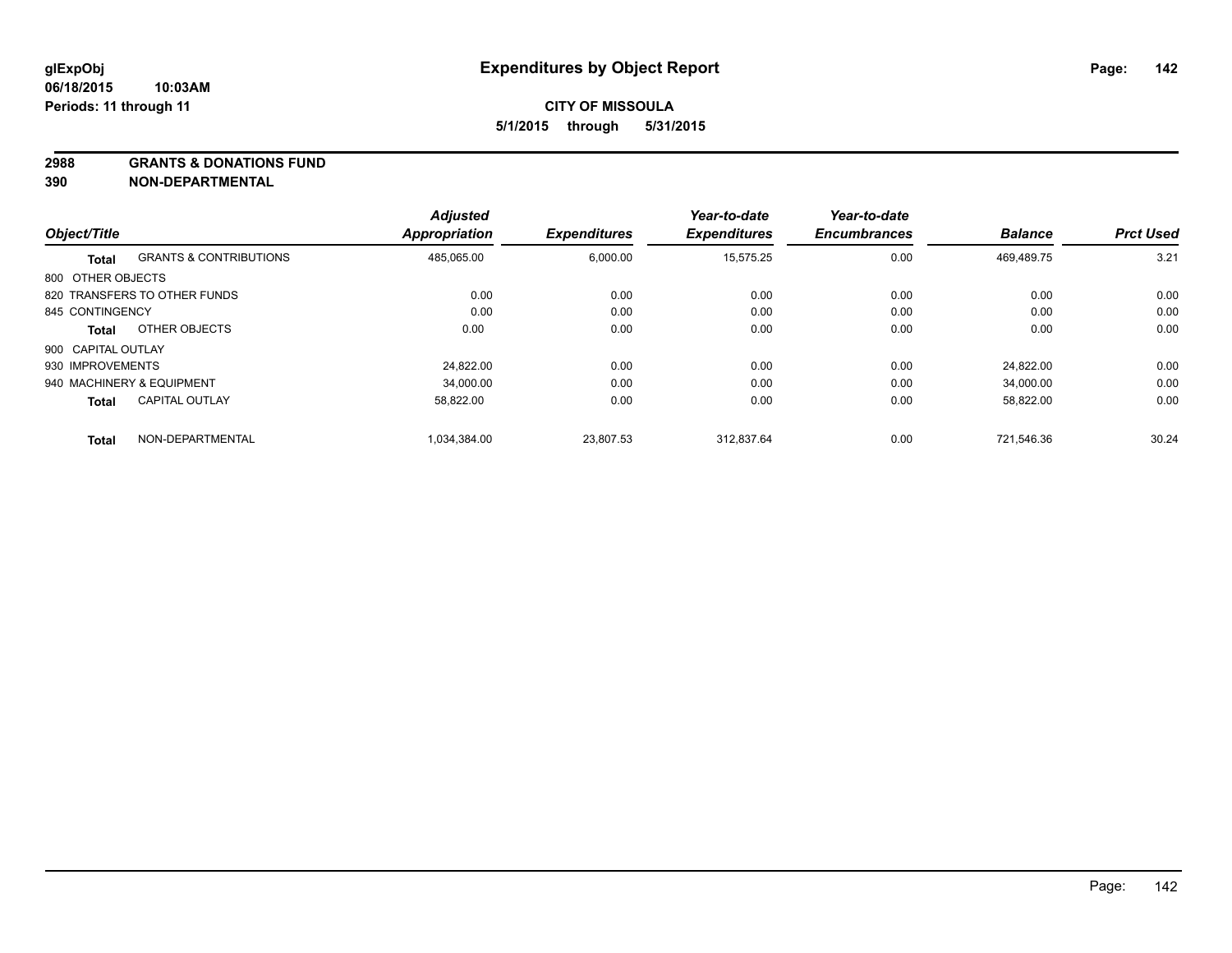#### **2988 GRANTS & DONATIONS FUND**

**390 NON-DEPARTMENTAL**

|                    |                                   | <b>Adjusted</b>      |                     | Year-to-date        | Year-to-date        |                |                  |
|--------------------|-----------------------------------|----------------------|---------------------|---------------------|---------------------|----------------|------------------|
| Object/Title       |                                   | <b>Appropriation</b> | <b>Expenditures</b> | <b>Expenditures</b> | <b>Encumbrances</b> | <b>Balance</b> | <b>Prct Used</b> |
| Total              | <b>GRANTS &amp; CONTRIBUTIONS</b> | 485.065.00           | 6,000.00            | 15.575.25           | 0.00                | 469.489.75     | 3.21             |
| 800 OTHER OBJECTS  |                                   |                      |                     |                     |                     |                |                  |
|                    | 820 TRANSFERS TO OTHER FUNDS      | 0.00                 | 0.00                | 0.00                | 0.00                | 0.00           | 0.00             |
| 845 CONTINGENCY    |                                   | 0.00                 | 0.00                | 0.00                | 0.00                | 0.00           | 0.00             |
| Total              | OTHER OBJECTS                     | 0.00                 | 0.00                | 0.00                | 0.00                | 0.00           | 0.00             |
| 900 CAPITAL OUTLAY |                                   |                      |                     |                     |                     |                |                  |
| 930 IMPROVEMENTS   |                                   | 24.822.00            | 0.00                | 0.00                | 0.00                | 24.822.00      | 0.00             |
|                    | 940 MACHINERY & EQUIPMENT         | 34.000.00            | 0.00                | 0.00                | 0.00                | 34.000.00      | 0.00             |
| <b>Total</b>       | <b>CAPITAL OUTLAY</b>             | 58,822.00            | 0.00                | 0.00                | 0.00                | 58,822.00      | 0.00             |
| <b>Total</b>       | NON-DEPARTMENTAL                  | 1,034,384.00         | 23,807.53           | 312.837.64          | 0.00                | 721.546.36     | 30.24            |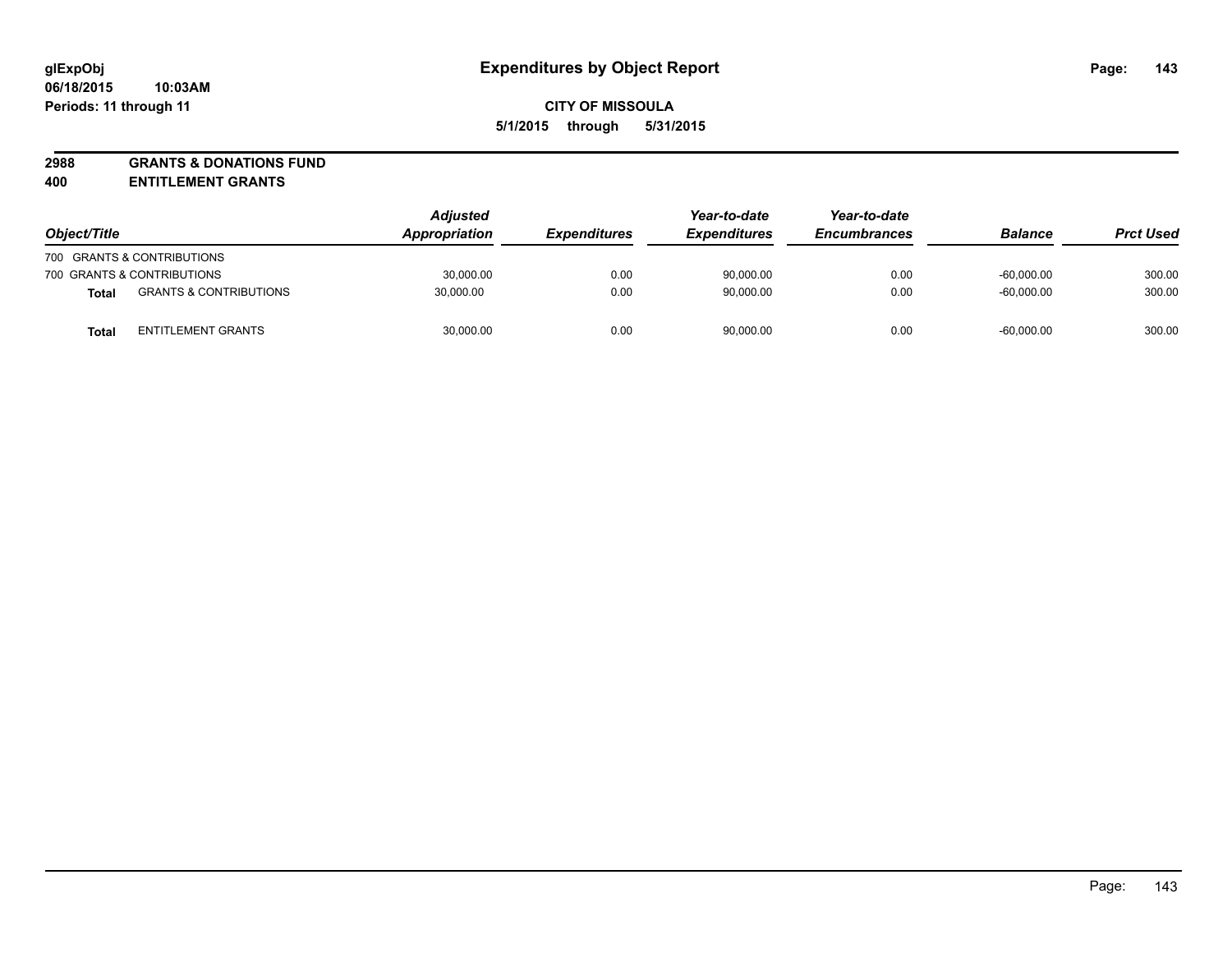# **2988 GRANTS & DONATIONS FUND**

**400 ENTITLEMENT GRANTS**

| Object/Title |                                   | <b>Adjusted</b><br>Appropriation | <b>Expenditures</b> | Year-to-date<br><b>Expenditures</b> | Year-to-date<br><b>Encumbrances</b> | <b>Balance</b> | <b>Prct Used</b> |
|--------------|-----------------------------------|----------------------------------|---------------------|-------------------------------------|-------------------------------------|----------------|------------------|
|              | 700 GRANTS & CONTRIBUTIONS        |                                  |                     |                                     |                                     |                |                  |
|              | 700 GRANTS & CONTRIBUTIONS        | 30,000.00                        | 0.00                | 90,000.00                           | 0.00                                | $-60.000.00$   | 300.00           |
| <b>Total</b> | <b>GRANTS &amp; CONTRIBUTIONS</b> | 30,000.00                        | 0.00                | 90,000.00                           | 0.00                                | $-60.000.00$   | 300.00           |
| Tota         | <b>ENTITLEMENT GRANTS</b>         | 30,000.00                        | 0.00                | 90,000.00                           | 0.00                                | $-60,000.00$   | 300.00           |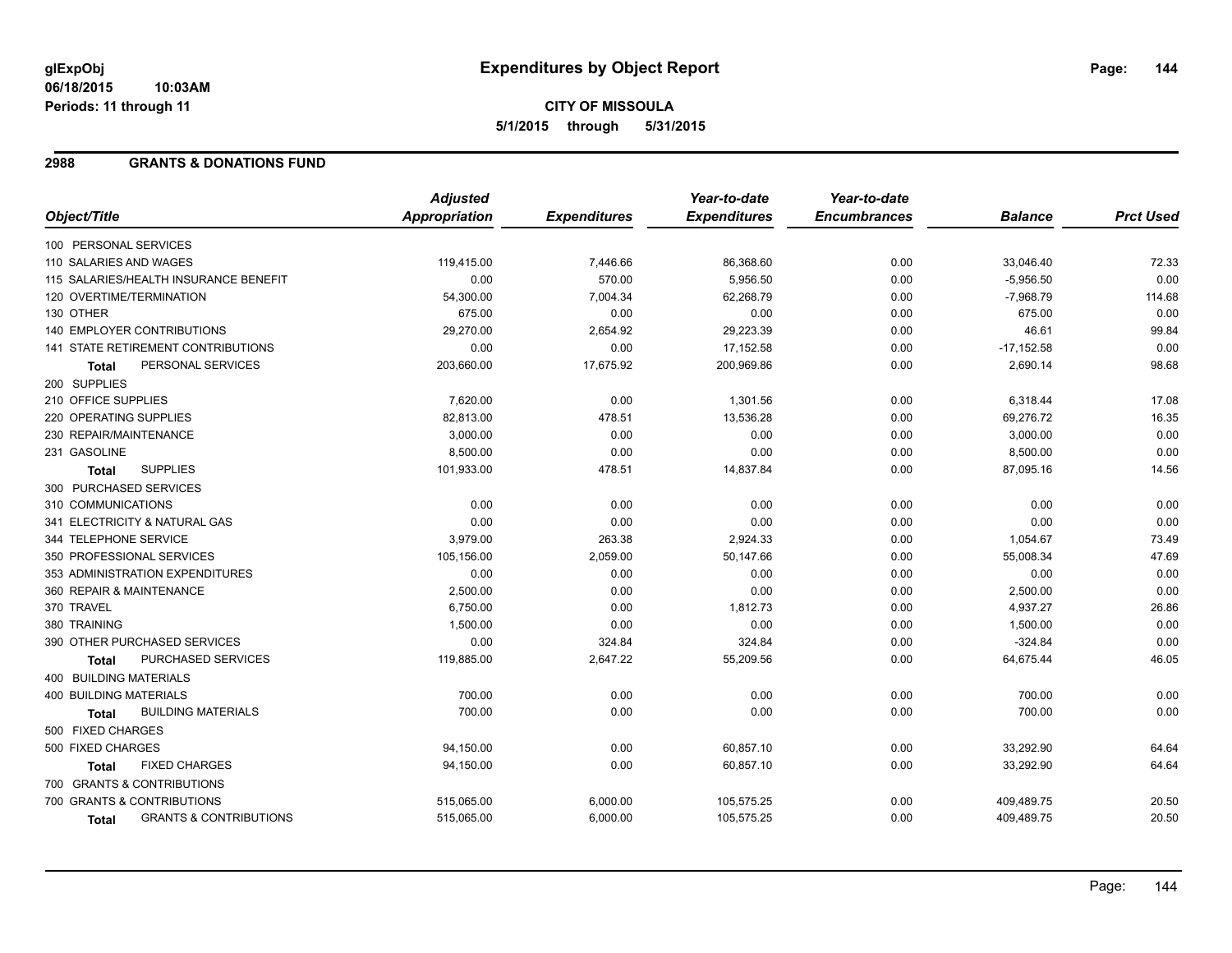#### **06/18/2015 10:03AM Periods: 11 through 11**

# **CITY OF MISSOULA 5/1/2015 through 5/31/2015**

### **2988 GRANTS & DONATIONS FUND**

|                                            | <b>Adjusted</b>      |                     | Year-to-date        | Year-to-date        |                |                  |
|--------------------------------------------|----------------------|---------------------|---------------------|---------------------|----------------|------------------|
| Object/Title                               | <b>Appropriation</b> | <b>Expenditures</b> | <b>Expenditures</b> | <b>Encumbrances</b> | <b>Balance</b> | <b>Prct Used</b> |
| 100 PERSONAL SERVICES                      |                      |                     |                     |                     |                |                  |
| 110 SALARIES AND WAGES                     | 119,415.00           | 7,446.66            | 86,368.60           | 0.00                | 33,046.40      | 72.33            |
| 115 SALARIES/HEALTH INSURANCE BENEFIT      | 0.00                 | 570.00              | 5,956.50            | 0.00                | $-5,956.50$    | 0.00             |
| 120 OVERTIME/TERMINATION                   | 54,300.00            | 7,004.34            | 62,268.79           | 0.00                | $-7,968.79$    | 114.68           |
| 130 OTHER                                  | 675.00               | 0.00                | 0.00                | 0.00                | 675.00         | 0.00             |
| 140 EMPLOYER CONTRIBUTIONS                 | 29,270.00            | 2,654.92            | 29,223.39           | 0.00                | 46.61          | 99.84            |
| <b>141 STATE RETIREMENT CONTRIBUTIONS</b>  | 0.00                 | 0.00                | 17,152.58           | 0.00                | $-17,152.58$   | 0.00             |
| PERSONAL SERVICES<br>Total                 | 203,660.00           | 17,675.92           | 200,969.86          | 0.00                | 2,690.14       | 98.68            |
| 200 SUPPLIES                               |                      |                     |                     |                     |                |                  |
| 210 OFFICE SUPPLIES                        | 7,620.00             | 0.00                | 1,301.56            | 0.00                | 6,318.44       | 17.08            |
| 220 OPERATING SUPPLIES                     | 82,813.00            | 478.51              | 13,536.28           | 0.00                | 69,276.72      | 16.35            |
| 230 REPAIR/MAINTENANCE                     | 3,000.00             | 0.00                | 0.00                | 0.00                | 3,000.00       | 0.00             |
| 231 GASOLINE                               | 8,500.00             | 0.00                | 0.00                | 0.00                | 8,500.00       | 0.00             |
| <b>SUPPLIES</b><br><b>Total</b>            | 101,933.00           | 478.51              | 14,837.84           | 0.00                | 87,095.16      | 14.56            |
| 300 PURCHASED SERVICES                     |                      |                     |                     |                     |                |                  |
| 310 COMMUNICATIONS                         | 0.00                 | 0.00                | 0.00                | 0.00                | 0.00           | 0.00             |
| 341 ELECTRICITY & NATURAL GAS              | 0.00                 | 0.00                | 0.00                | 0.00                | 0.00           | 0.00             |
| 344 TELEPHONE SERVICE                      | 3,979.00             | 263.38              | 2,924.33            | 0.00                | 1,054.67       | 73.49            |
| 350 PROFESSIONAL SERVICES                  | 105,156.00           | 2,059.00            | 50,147.66           | 0.00                | 55,008.34      | 47.69            |
| 353 ADMINISTRATION EXPENDITURES            | 0.00                 | 0.00                | 0.00                | 0.00                | 0.00           | 0.00             |
| 360 REPAIR & MAINTENANCE                   | 2,500.00             | 0.00                | 0.00                | 0.00                | 2,500.00       | 0.00             |
| 370 TRAVEL                                 | 6,750.00             | 0.00                | 1,812.73            | 0.00                | 4,937.27       | 26.86            |
| 380 TRAINING                               | 1,500.00             | 0.00                | 0.00                | 0.00                | 1,500.00       | 0.00             |
| 390 OTHER PURCHASED SERVICES               | 0.00                 | 324.84              | 324.84              | 0.00                | $-324.84$      | 0.00             |
| PURCHASED SERVICES<br>Total                | 119,885.00           | 2,647.22            | 55,209.56           | 0.00                | 64,675.44      | 46.05            |
| 400 BUILDING MATERIALS                     |                      |                     |                     |                     |                |                  |
| 400 BUILDING MATERIALS                     | 700.00               | 0.00                | 0.00                | 0.00                | 700.00         | 0.00             |
| <b>BUILDING MATERIALS</b><br>Total         | 700.00               | 0.00                | 0.00                | 0.00                | 700.00         | 0.00             |
| 500 FIXED CHARGES                          |                      |                     |                     |                     |                |                  |
| 500 FIXED CHARGES                          | 94,150.00            | 0.00                | 60,857.10           | 0.00                | 33,292.90      | 64.64            |
| <b>FIXED CHARGES</b><br>Total              | 94,150.00            | 0.00                | 60,857.10           | 0.00                | 33,292.90      | 64.64            |
| 700 GRANTS & CONTRIBUTIONS                 |                      |                     |                     |                     |                |                  |
| 700 GRANTS & CONTRIBUTIONS                 | 515,065.00           | 6,000.00            | 105,575.25          | 0.00                | 409,489.75     | 20.50            |
| <b>GRANTS &amp; CONTRIBUTIONS</b><br>Total | 515,065.00           | 6,000.00            | 105,575.25          | 0.00                | 409,489.75     | 20.50            |
|                                            |                      |                     |                     |                     |                |                  |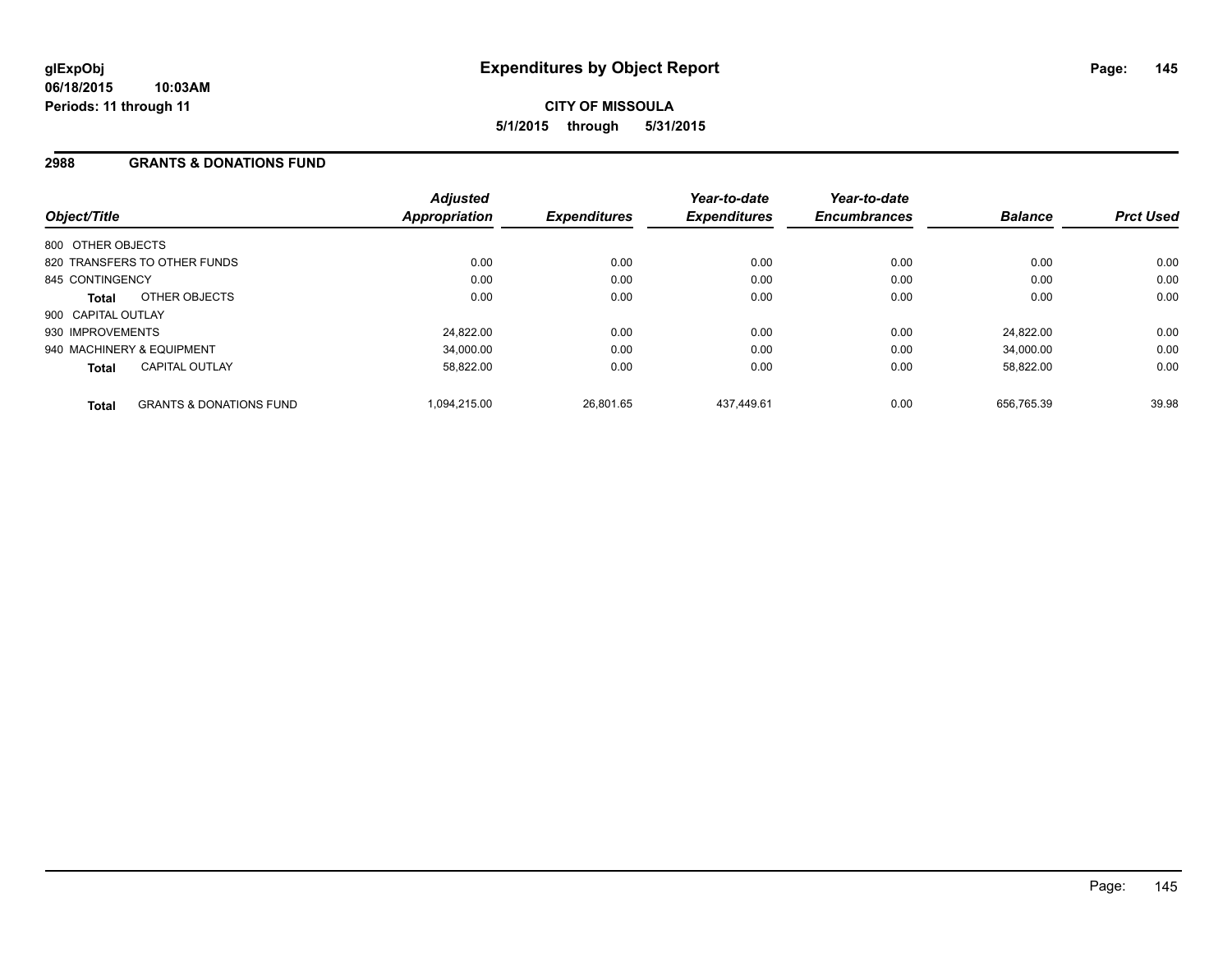## **2988 GRANTS & DONATIONS FUND**

| Object/Title              |                                    | <b>Adjusted</b><br><b>Appropriation</b> | <b>Expenditures</b> | Year-to-date<br><b>Expenditures</b> | Year-to-date<br><b>Encumbrances</b> | <b>Balance</b> | <b>Prct Used</b> |
|---------------------------|------------------------------------|-----------------------------------------|---------------------|-------------------------------------|-------------------------------------|----------------|------------------|
| 800 OTHER OBJECTS         |                                    |                                         |                     |                                     |                                     |                |                  |
|                           | 820 TRANSFERS TO OTHER FUNDS       | 0.00                                    | 0.00                | 0.00                                | 0.00                                | 0.00           | 0.00             |
| 845 CONTINGENCY           |                                    | 0.00                                    | 0.00                | 0.00                                | 0.00                                | 0.00           | 0.00             |
| Total                     | OTHER OBJECTS                      | 0.00                                    | 0.00                | 0.00                                | 0.00                                | 0.00           | 0.00             |
| 900 CAPITAL OUTLAY        |                                    |                                         |                     |                                     |                                     |                |                  |
| 930 IMPROVEMENTS          |                                    | 24,822.00                               | 0.00                | 0.00                                | 0.00                                | 24.822.00      | 0.00             |
| 940 MACHINERY & EQUIPMENT |                                    | 34.000.00                               | 0.00                | 0.00                                | 0.00                                | 34.000.00      | 0.00             |
| <b>Total</b>              | <b>CAPITAL OUTLAY</b>              | 58.822.00                               | 0.00                | 0.00                                | 0.00                                | 58,822.00      | 0.00             |
| <b>Total</b>              | <b>GRANTS &amp; DONATIONS FUND</b> | 1.094.215.00                            | 26.801.65           | 437.449.61                          | 0.00                                | 656.765.39     | 39.98            |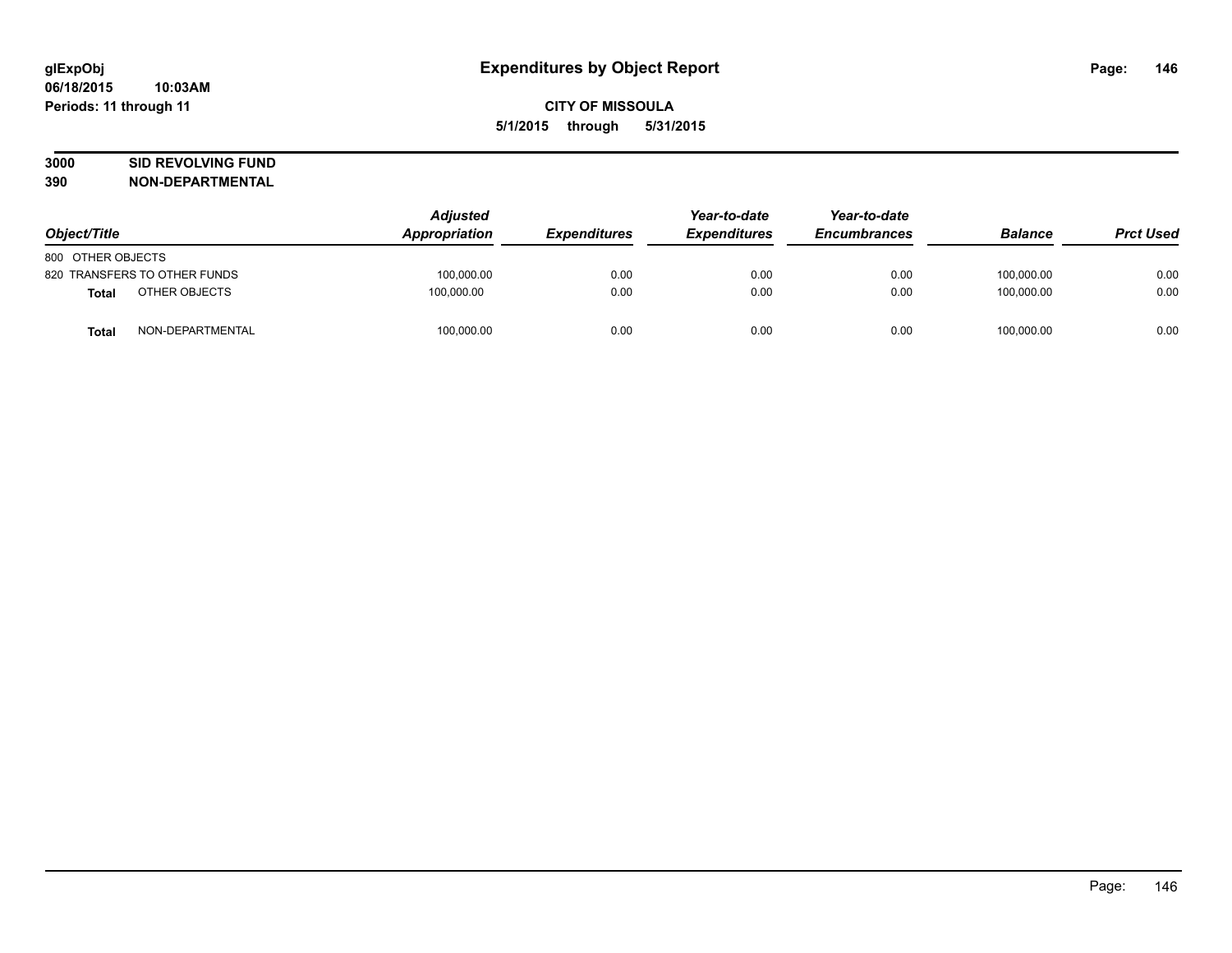# **3000 SID REVOLVING FUND**

| Object/Title                 | <b>Adjusted</b><br>Appropriation | <b>Expenditures</b> | Year-to-date<br><b>Expenditures</b> | Year-to-date<br><b>Encumbrances</b> | <b>Balance</b> | <b>Prct Used</b> |
|------------------------------|----------------------------------|---------------------|-------------------------------------|-------------------------------------|----------------|------------------|
| 800 OTHER OBJECTS            |                                  |                     |                                     |                                     |                |                  |
| 820 TRANSFERS TO OTHER FUNDS | 100,000.00                       | 0.00                | 0.00                                | 0.00                                | 100.000.00     | 0.00             |
| OTHER OBJECTS<br>Total       | 100.000.00                       | 0.00                | 0.00                                | 0.00                                | 100.000.00     | 0.00             |
| NON-DEPARTMENTAL<br>Total    | 100,000.00                       | 0.00                | 0.00                                | 0.00                                | 100,000.00     | 0.00             |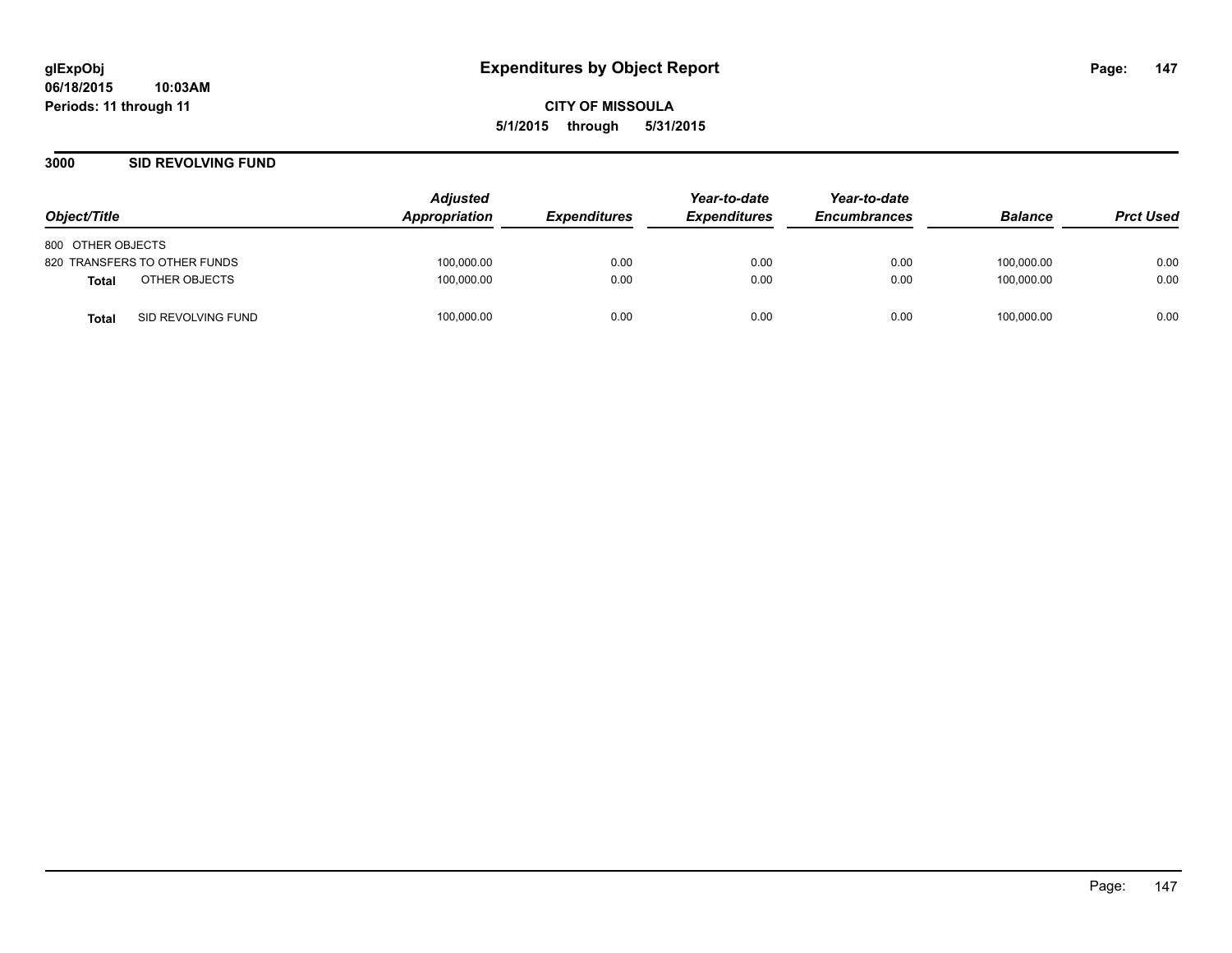**CITY OF MISSOULA 5/1/2015 through 5/31/2015**

## **3000 SID REVOLVING FUND**

| Object/Title                       | <b>Adjusted</b><br>Appropriation | <i><b>Expenditures</b></i> | Year-to-date<br><b>Expenditures</b> | Year-to-date<br><b>Encumbrances</b> | <b>Balance</b> | <b>Prct Used</b> |
|------------------------------------|----------------------------------|----------------------------|-------------------------------------|-------------------------------------|----------------|------------------|
| 800 OTHER OBJECTS                  |                                  |                            |                                     |                                     |                |                  |
| 820 TRANSFERS TO OTHER FUNDS       | 100,000.00                       | 0.00                       | 0.00                                | 0.00                                | 100,000.00     | 0.00             |
| OTHER OBJECTS<br>Total             | 100,000.00                       | 0.00                       | 0.00                                | 0.00                                | 100.000.00     | 0.00             |
| SID REVOLVING FUND<br><b>Total</b> | 100,000.00                       | 0.00                       | 0.00                                | 0.00                                | 100,000.00     | 0.00             |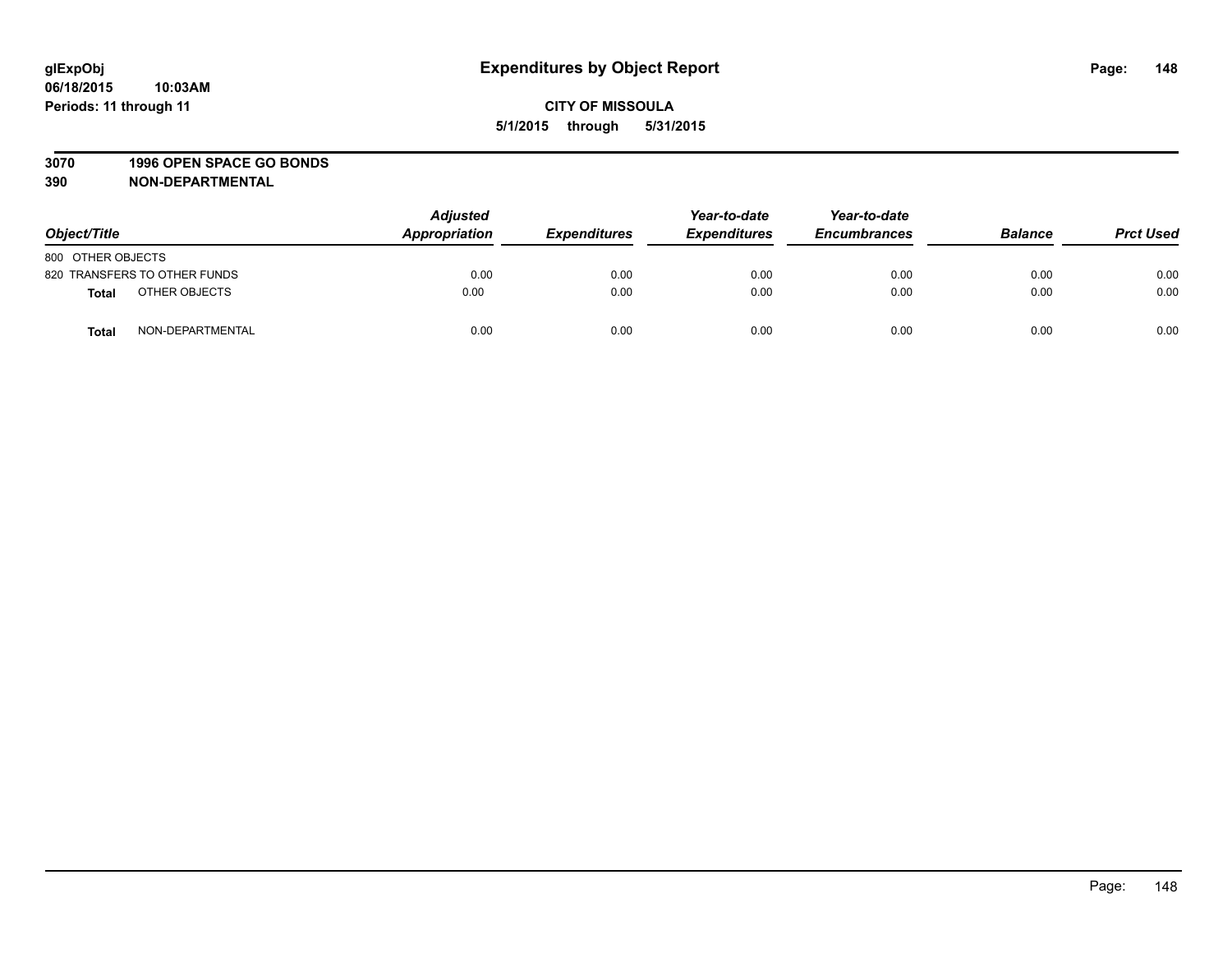#### **3070 1996 OPEN SPACE GO BONDS**

| Object/Title      |                              | <b>Adjusted</b><br>Appropriation | <b>Expenditures</b> | Year-to-date<br><b>Expenditures</b> | Year-to-date<br><b>Encumbrances</b> | <b>Balance</b> | <b>Prct Used</b> |
|-------------------|------------------------------|----------------------------------|---------------------|-------------------------------------|-------------------------------------|----------------|------------------|
| 800 OTHER OBJECTS |                              |                                  |                     |                                     |                                     |                |                  |
|                   | 820 TRANSFERS TO OTHER FUNDS | 0.00                             | 0.00                | 0.00                                | 0.00                                | 0.00           | 0.00             |
| <b>Total</b>      | OTHER OBJECTS                | 0.00                             | 0.00                | 0.00                                | 0.00                                | 0.00           | 0.00             |
| <b>Total</b>      | NON-DEPARTMENTAL             | 0.00                             | 0.00                | 0.00                                | 0.00                                | 0.00           | 0.00             |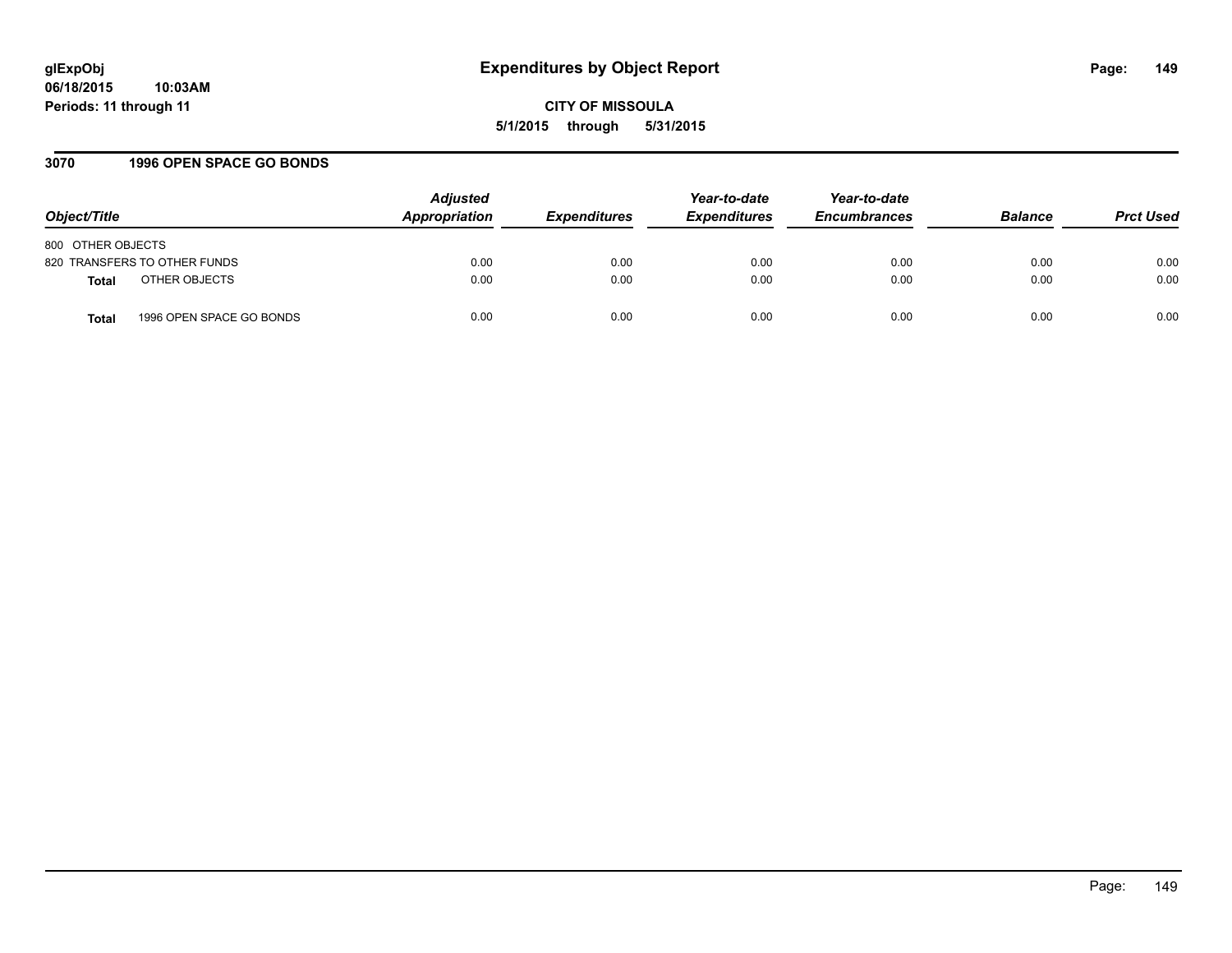## **3070 1996 OPEN SPACE GO BONDS**

| Object/Title                             | <b>Adjusted</b><br>Appropriation | <b>Expenditures</b> | Year-to-date<br><b>Expenditures</b> | Year-to-date<br><b>Encumbrances</b> | <b>Balance</b> | <b>Prct Used</b> |
|------------------------------------------|----------------------------------|---------------------|-------------------------------------|-------------------------------------|----------------|------------------|
| 800 OTHER OBJECTS                        |                                  |                     |                                     |                                     |                |                  |
| 820 TRANSFERS TO OTHER FUNDS             | 0.00                             | 0.00                | 0.00                                | 0.00                                | 0.00           | 0.00             |
| OTHER OBJECTS<br><b>Total</b>            | 0.00                             | 0.00                | 0.00                                | 0.00                                | 0.00           | 0.00             |
| 1996 OPEN SPACE GO BONDS<br><b>Total</b> | 0.00                             | 0.00                | 0.00                                | 0.00                                | 0.00           | 0.00             |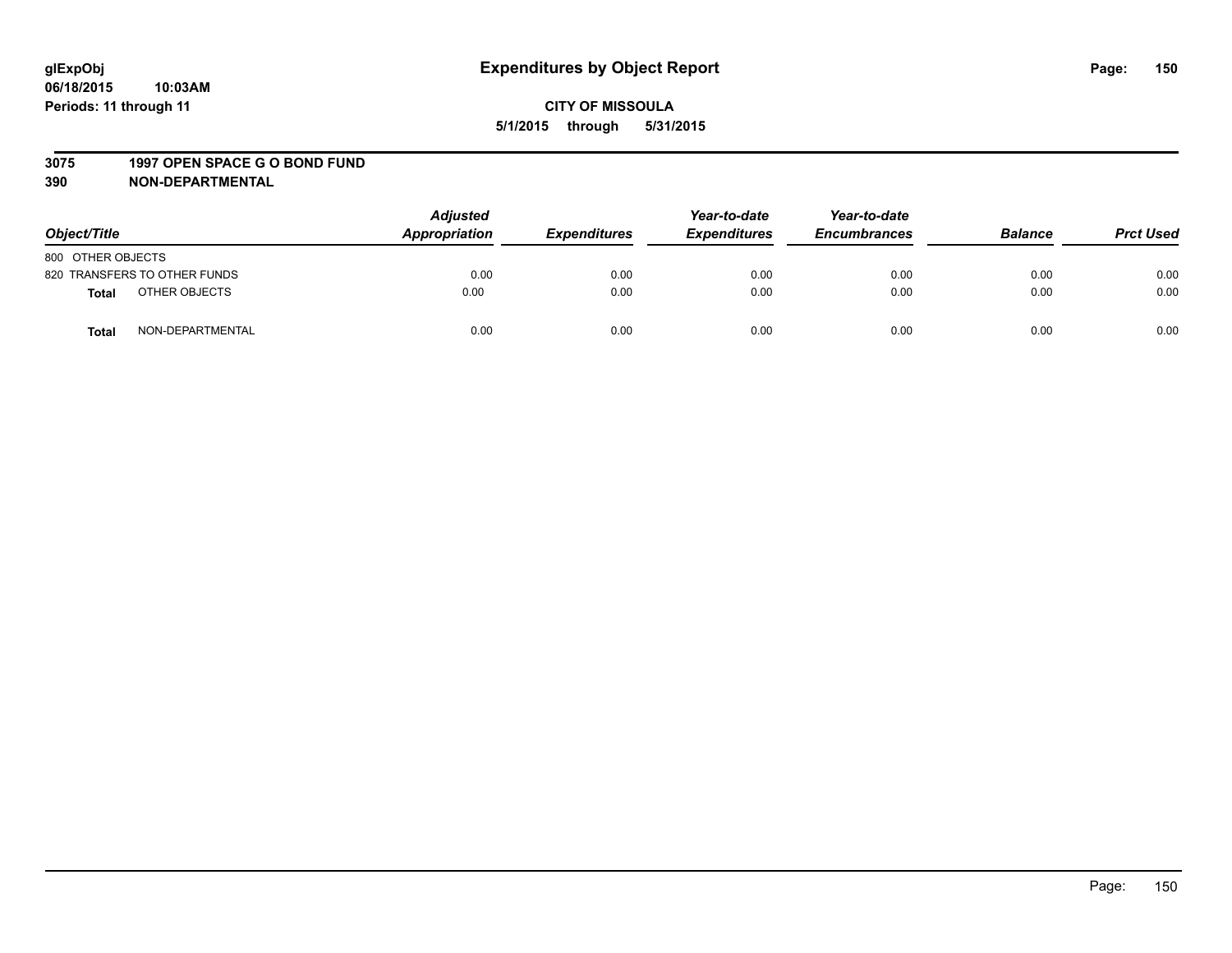#### **3075 1997 OPEN SPACE G O BOND FUND**

| Object/Title      |                              | <b>Adjusted</b><br>Appropriation | <b>Expenditures</b> | Year-to-date<br><b>Expenditures</b> | Year-to-date<br><b>Encumbrances</b> | <b>Balance</b> | <b>Prct Used</b> |
|-------------------|------------------------------|----------------------------------|---------------------|-------------------------------------|-------------------------------------|----------------|------------------|
| 800 OTHER OBJECTS |                              |                                  |                     |                                     |                                     |                |                  |
|                   | 820 TRANSFERS TO OTHER FUNDS | 0.00                             | 0.00                | 0.00                                | 0.00                                | 0.00           | 0.00             |
| <b>Total</b>      | OTHER OBJECTS                | 0.00                             | 0.00                | 0.00                                | 0.00                                | 0.00           | 0.00             |
| <b>Total</b>      | NON-DEPARTMENTAL             | 0.00                             | 0.00                | 0.00                                | 0.00                                | 0.00           | 0.00             |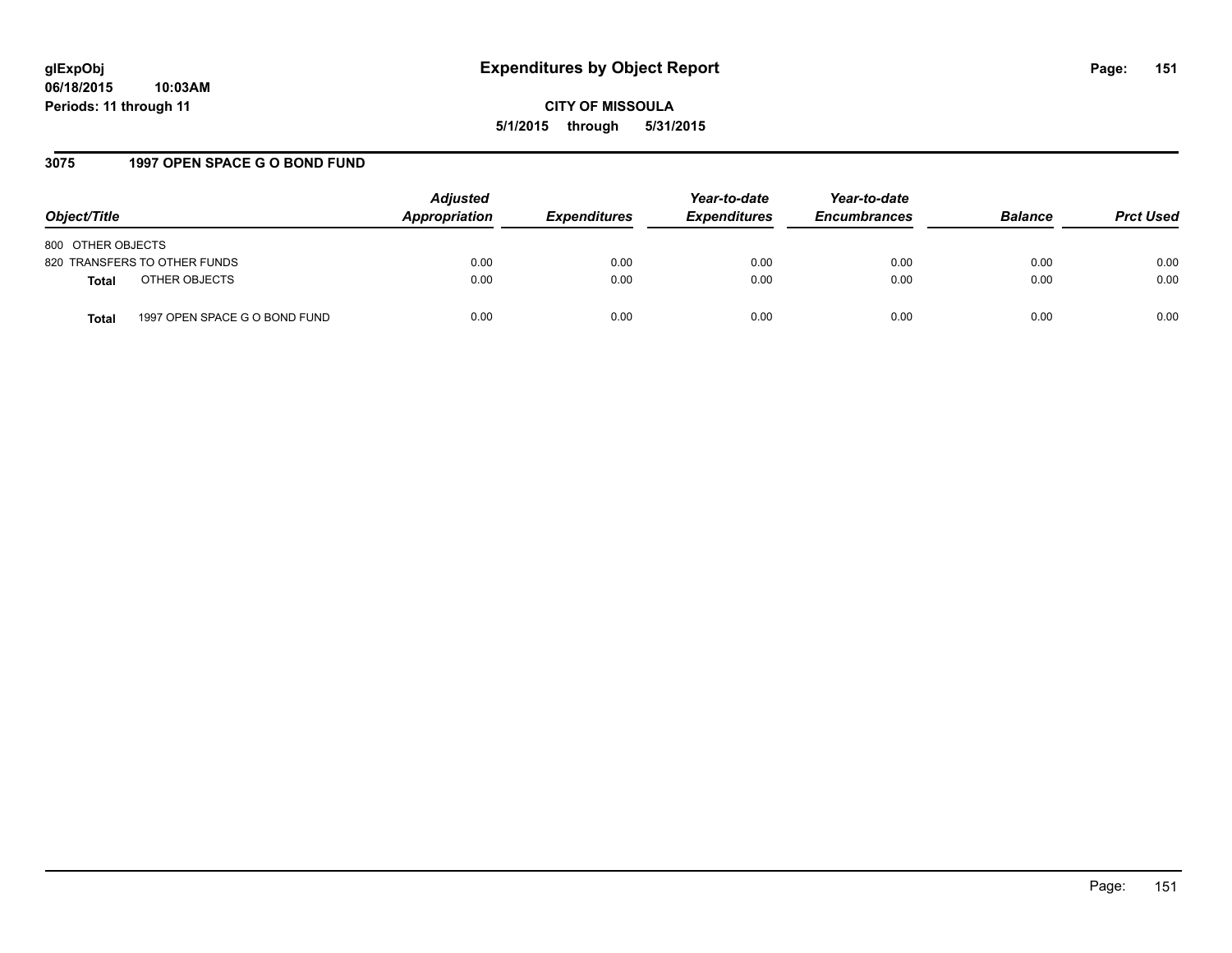## **3075 1997 OPEN SPACE G O BOND FUND**

| Object/Title                                  | <b>Adjusted</b><br>Appropriation | <b>Expenditures</b> | Year-to-date<br><b>Expenditures</b> | Year-to-date<br><b>Encumbrances</b> | <b>Balance</b> | <b>Prct Used</b> |
|-----------------------------------------------|----------------------------------|---------------------|-------------------------------------|-------------------------------------|----------------|------------------|
| 800 OTHER OBJECTS                             |                                  |                     |                                     |                                     |                |                  |
| 820 TRANSFERS TO OTHER FUNDS                  | 0.00                             | 0.00                | 0.00                                | 0.00                                | 0.00           | 0.00             |
| OTHER OBJECTS<br><b>Total</b>                 | 0.00                             | 0.00                | 0.00                                | 0.00                                | 0.00           | 0.00             |
| 1997 OPEN SPACE G O BOND FUND<br><b>Total</b> | 0.00                             | 0.00                | 0.00                                | 0.00                                | 0.00           | 0.00             |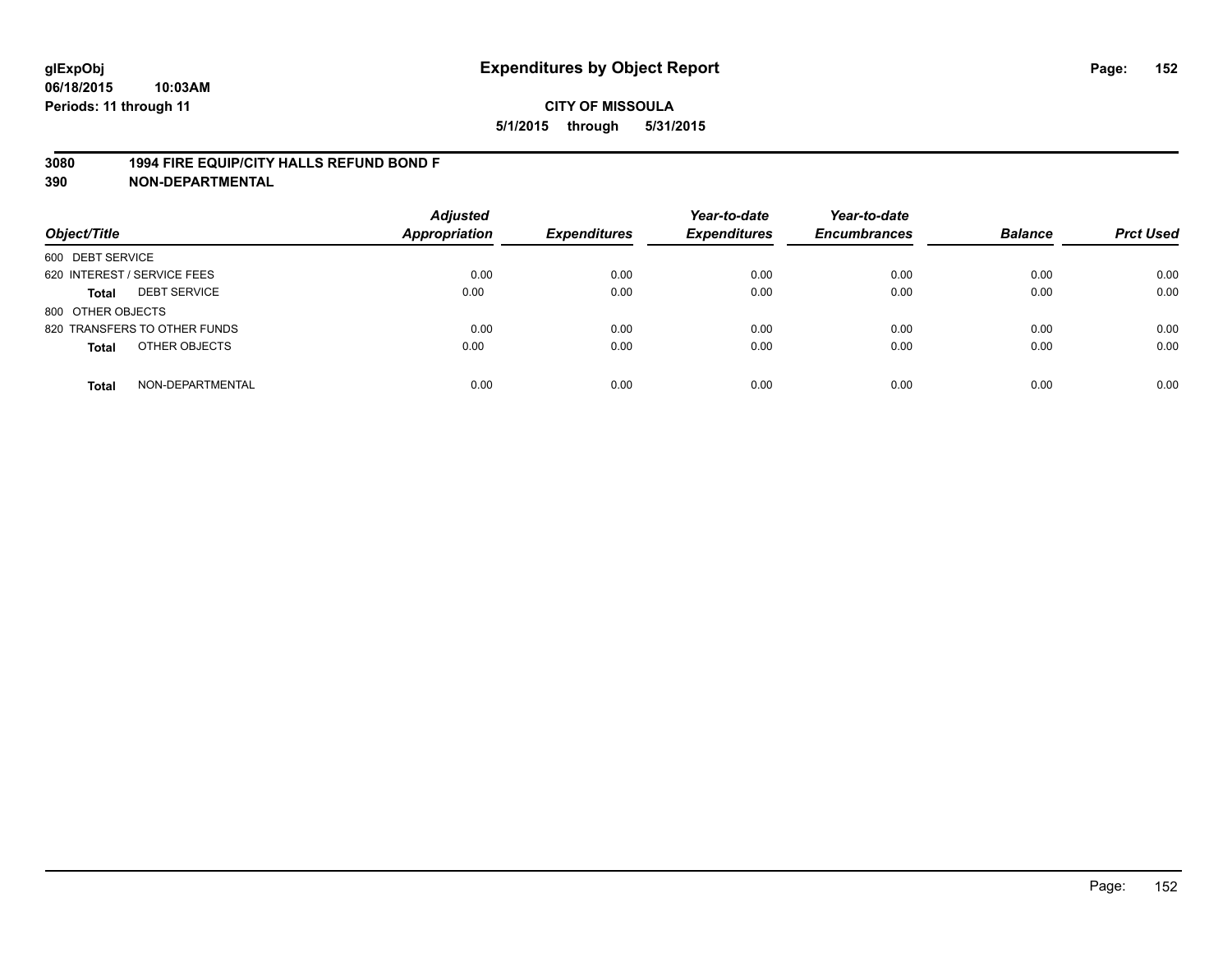## **3080 1994 FIRE EQUIP/CITY HALLS REFUND BOND F**

| Object/Title                     | <b>Adjusted</b><br><b>Appropriation</b> | <b>Expenditures</b> | Year-to-date<br><b>Expenditures</b> | Year-to-date<br><b>Encumbrances</b> | <b>Balance</b> | <b>Prct Used</b> |
|----------------------------------|-----------------------------------------|---------------------|-------------------------------------|-------------------------------------|----------------|------------------|
| 600 DEBT SERVICE                 |                                         |                     |                                     |                                     |                |                  |
| 620 INTEREST / SERVICE FEES      | 0.00                                    | 0.00                | 0.00                                | 0.00                                | 0.00           | 0.00             |
| <b>DEBT SERVICE</b><br>Total     | 0.00                                    | 0.00                | 0.00                                | 0.00                                | 0.00           | 0.00             |
| 800 OTHER OBJECTS                |                                         |                     |                                     |                                     |                |                  |
| 820 TRANSFERS TO OTHER FUNDS     | 0.00                                    | 0.00                | 0.00                                | 0.00                                | 0.00           | 0.00             |
| OTHER OBJECTS<br><b>Total</b>    | 0.00                                    | 0.00                | 0.00                                | 0.00                                | 0.00           | 0.00             |
| NON-DEPARTMENTAL<br><b>Total</b> | 0.00                                    | 0.00                | 0.00                                | 0.00                                | 0.00           | 0.00             |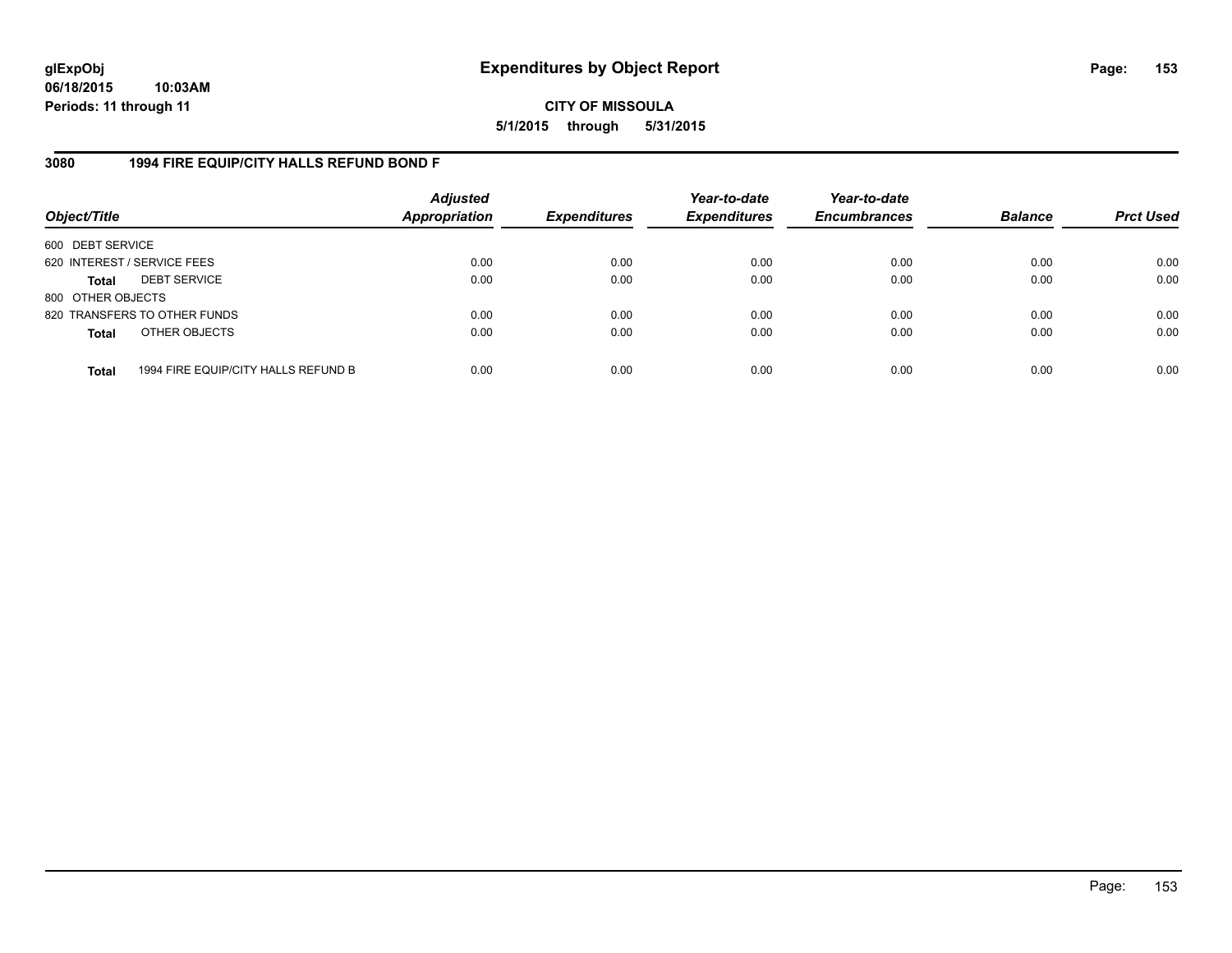**CITY OF MISSOULA 5/1/2015 through 5/31/2015**

# **3080 1994 FIRE EQUIP/CITY HALLS REFUND BOND F**

| Object/Title                |                                     | <b>Adjusted</b><br><b>Appropriation</b> | <b>Expenditures</b> | Year-to-date<br><b>Expenditures</b> | Year-to-date<br><b>Encumbrances</b> | <b>Balance</b> | <b>Prct Used</b> |
|-----------------------------|-------------------------------------|-----------------------------------------|---------------------|-------------------------------------|-------------------------------------|----------------|------------------|
| 600 DEBT SERVICE            |                                     |                                         |                     |                                     |                                     |                |                  |
| 620 INTEREST / SERVICE FEES |                                     | 0.00                                    | 0.00                | 0.00                                | 0.00                                | 0.00           | 0.00             |
| <b>Total</b>                | <b>DEBT SERVICE</b>                 | 0.00                                    | 0.00                | 0.00                                | 0.00                                | 0.00           | 0.00             |
| 800 OTHER OBJECTS           |                                     |                                         |                     |                                     |                                     |                |                  |
|                             | 820 TRANSFERS TO OTHER FUNDS        | 0.00                                    | 0.00                | 0.00                                | 0.00                                | 0.00           | 0.00             |
| <b>Total</b>                | OTHER OBJECTS                       | 0.00                                    | 0.00                | 0.00                                | 0.00                                | 0.00           | 0.00             |
| <b>Total</b>                | 1994 FIRE EQUIP/CITY HALLS REFUND B | 0.00                                    | 0.00                | 0.00                                | 0.00                                | 0.00           | 0.00             |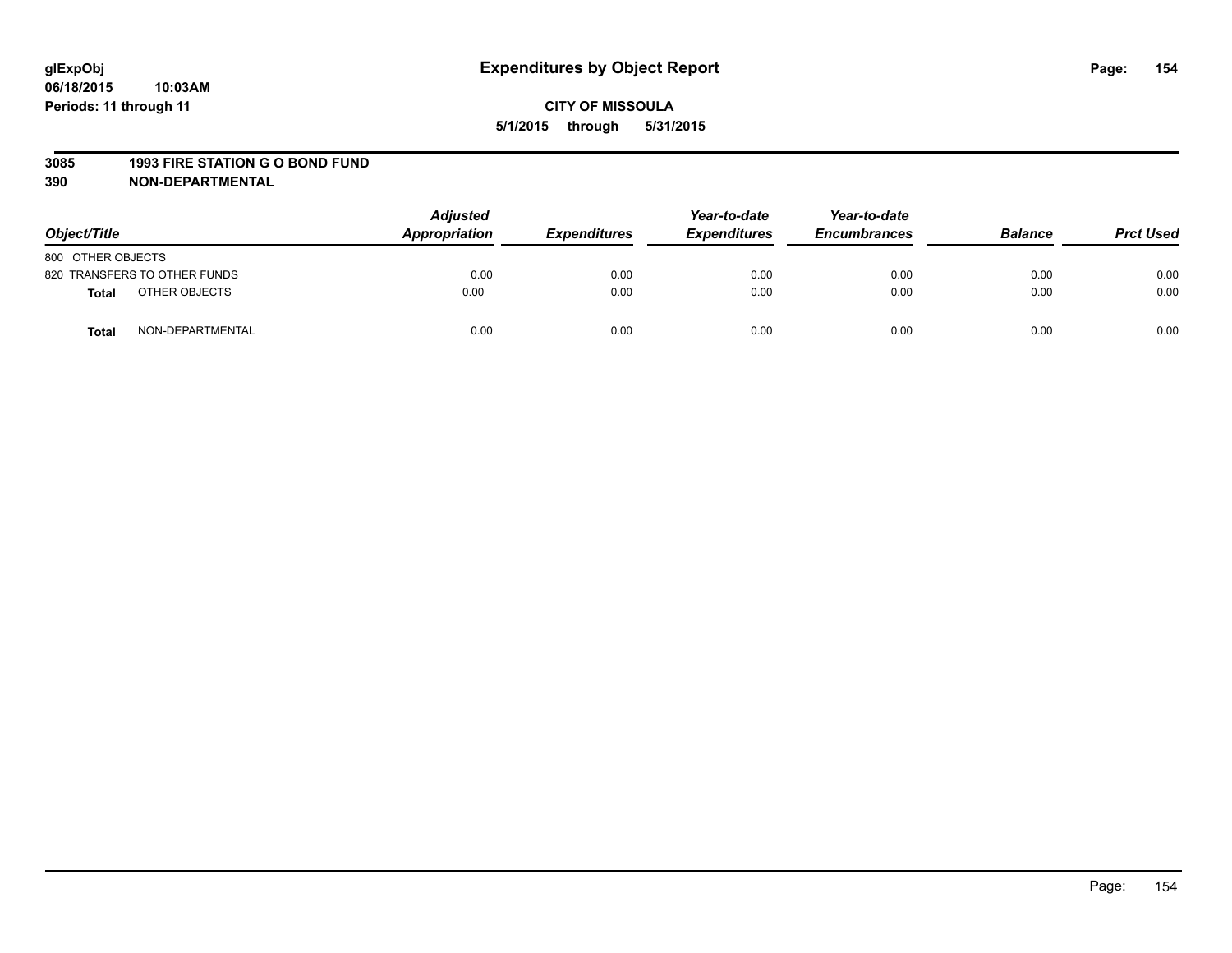#### **3085 1993 FIRE STATION G O BOND FUND**

| Object/Title      |                              | <b>Adjusted</b><br>Appropriation | <b>Expenditures</b> | Year-to-date<br><b>Expenditures</b> | Year-to-date<br><b>Encumbrances</b> | <b>Balance</b> | <b>Prct Used</b> |
|-------------------|------------------------------|----------------------------------|---------------------|-------------------------------------|-------------------------------------|----------------|------------------|
| 800 OTHER OBJECTS |                              |                                  |                     |                                     |                                     |                |                  |
|                   | 820 TRANSFERS TO OTHER FUNDS | 0.00                             | 0.00                | 0.00                                | 0.00                                | 0.00           | 0.00             |
| <b>Total</b>      | OTHER OBJECTS                | 0.00                             | 0.00                | 0.00                                | 0.00                                | 0.00           | 0.00             |
| <b>Total</b>      | NON-DEPARTMENTAL             | 0.00                             | 0.00                | 0.00                                | 0.00                                | 0.00           | 0.00             |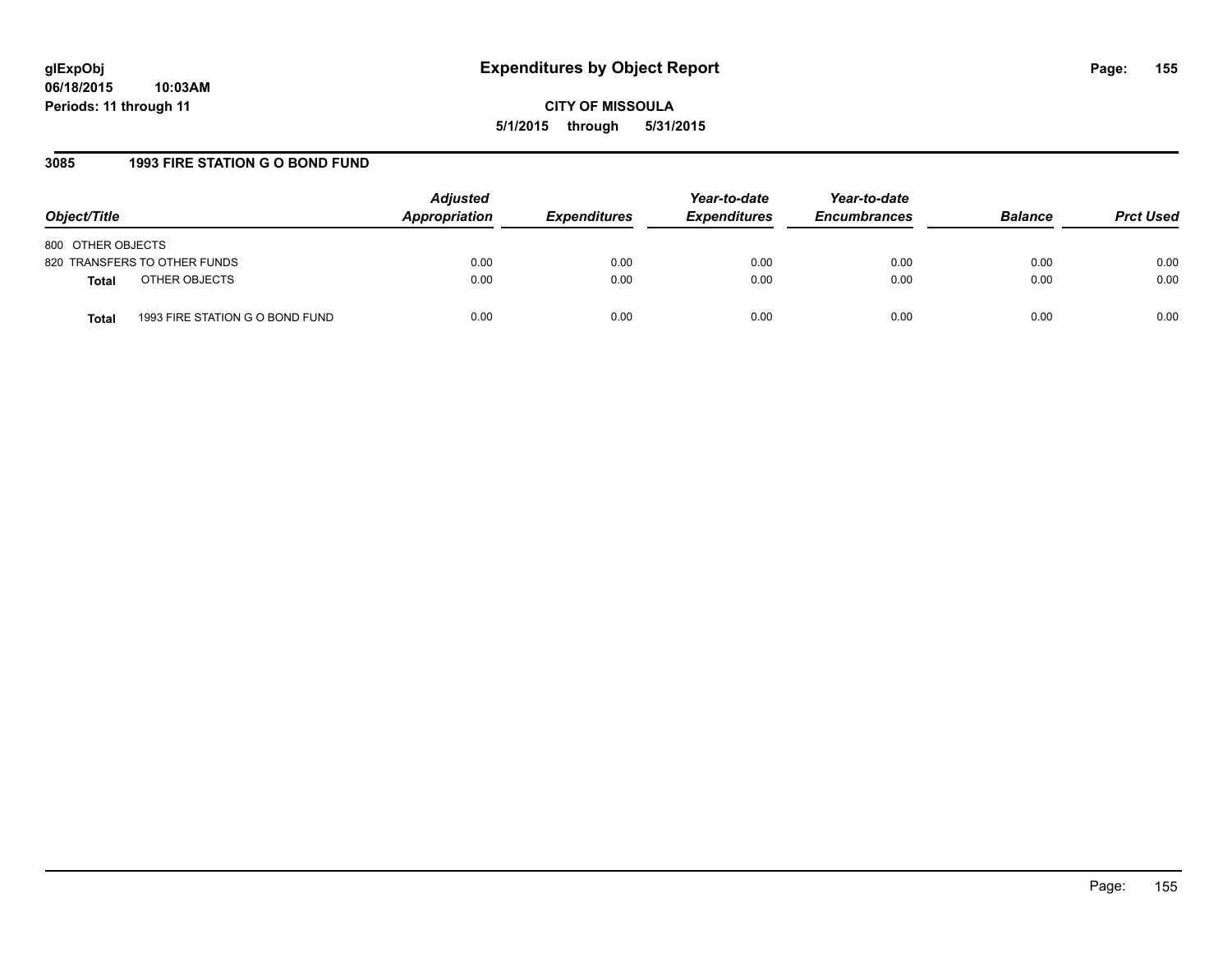## **3085 1993 FIRE STATION G O BOND FUND**

| Object/Title                                    | <b>Adjusted</b><br>Appropriation | <b>Expenditures</b> | Year-to-date<br><b>Expenditures</b> | Year-to-date<br><b>Encumbrances</b> | <b>Balance</b> | <b>Prct Used</b> |
|-------------------------------------------------|----------------------------------|---------------------|-------------------------------------|-------------------------------------|----------------|------------------|
| 800 OTHER OBJECTS                               |                                  |                     |                                     |                                     |                |                  |
| 820 TRANSFERS TO OTHER FUNDS                    | 0.00                             | 0.00                | 0.00                                | 0.00                                | 0.00           | 0.00             |
| OTHER OBJECTS<br><b>Total</b>                   | 0.00                             | 0.00                | 0.00                                | 0.00                                | 0.00           | 0.00             |
| 1993 FIRE STATION G O BOND FUND<br><b>Total</b> | 0.00                             | 0.00                | 0.00                                | 0.00                                | 0.00           | 0.00             |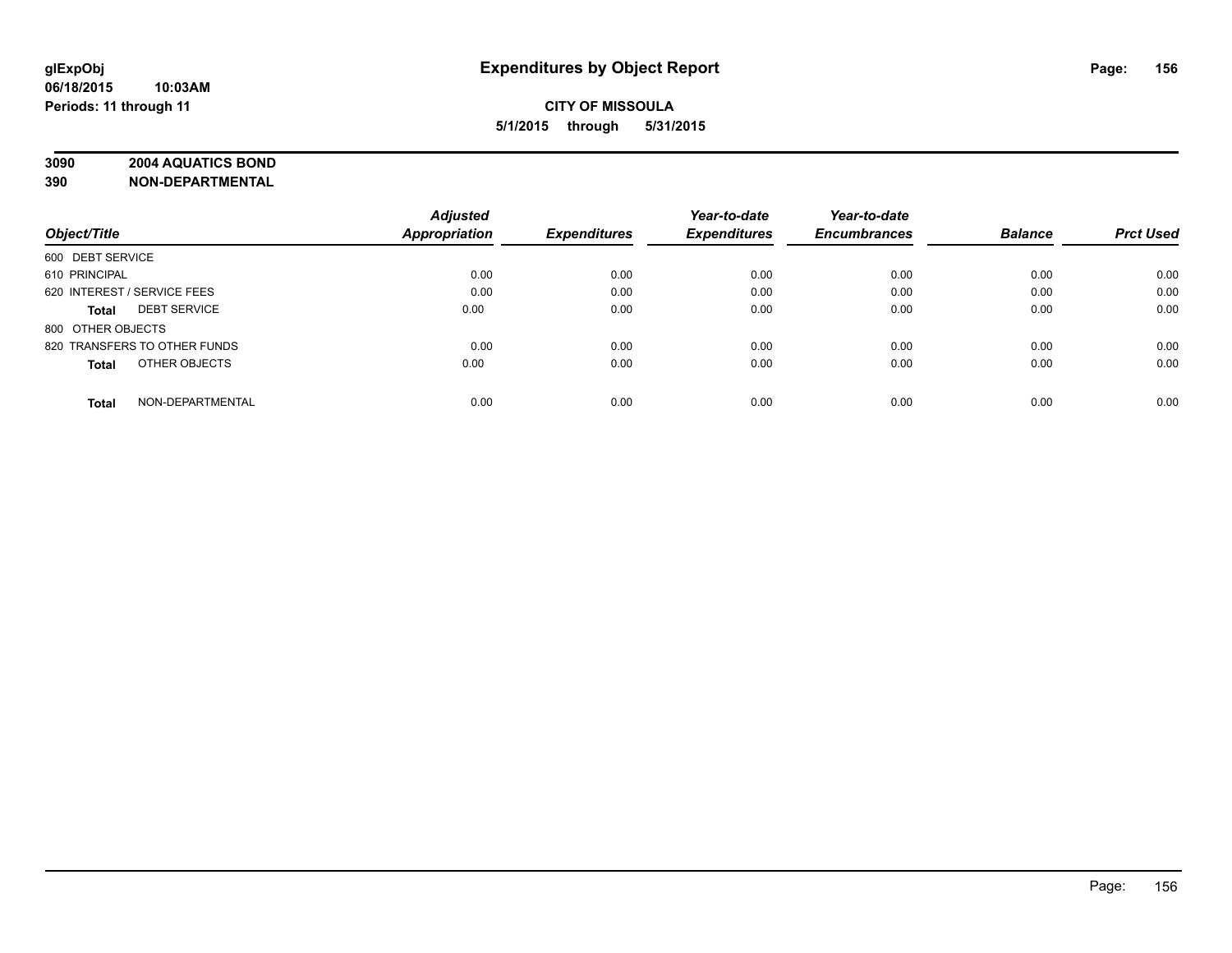# **3090 2004 AQUATICS BOND**

|                                     | <b>Adjusted</b> |                     | Year-to-date        | Year-to-date        |                |                  |
|-------------------------------------|-----------------|---------------------|---------------------|---------------------|----------------|------------------|
| Object/Title                        | Appropriation   | <b>Expenditures</b> | <b>Expenditures</b> | <b>Encumbrances</b> | <b>Balance</b> | <b>Prct Used</b> |
| 600 DEBT SERVICE                    |                 |                     |                     |                     |                |                  |
| 610 PRINCIPAL                       | 0.00            | 0.00                | 0.00                | 0.00                | 0.00           | 0.00             |
| 620 INTEREST / SERVICE FEES         | 0.00            | 0.00                | 0.00                | 0.00                | 0.00           | 0.00             |
| <b>DEBT SERVICE</b><br><b>Total</b> | 0.00            | 0.00                | 0.00                | 0.00                | 0.00           | 0.00             |
| 800 OTHER OBJECTS                   |                 |                     |                     |                     |                |                  |
| 820 TRANSFERS TO OTHER FUNDS        | 0.00            | 0.00                | 0.00                | 0.00                | 0.00           | 0.00             |
| OTHER OBJECTS<br><b>Total</b>       | 0.00            | 0.00                | 0.00                | 0.00                | 0.00           | 0.00             |
| NON-DEPARTMENTAL<br><b>Total</b>    | 0.00            | 0.00                | 0.00                | 0.00                | 0.00           | 0.00             |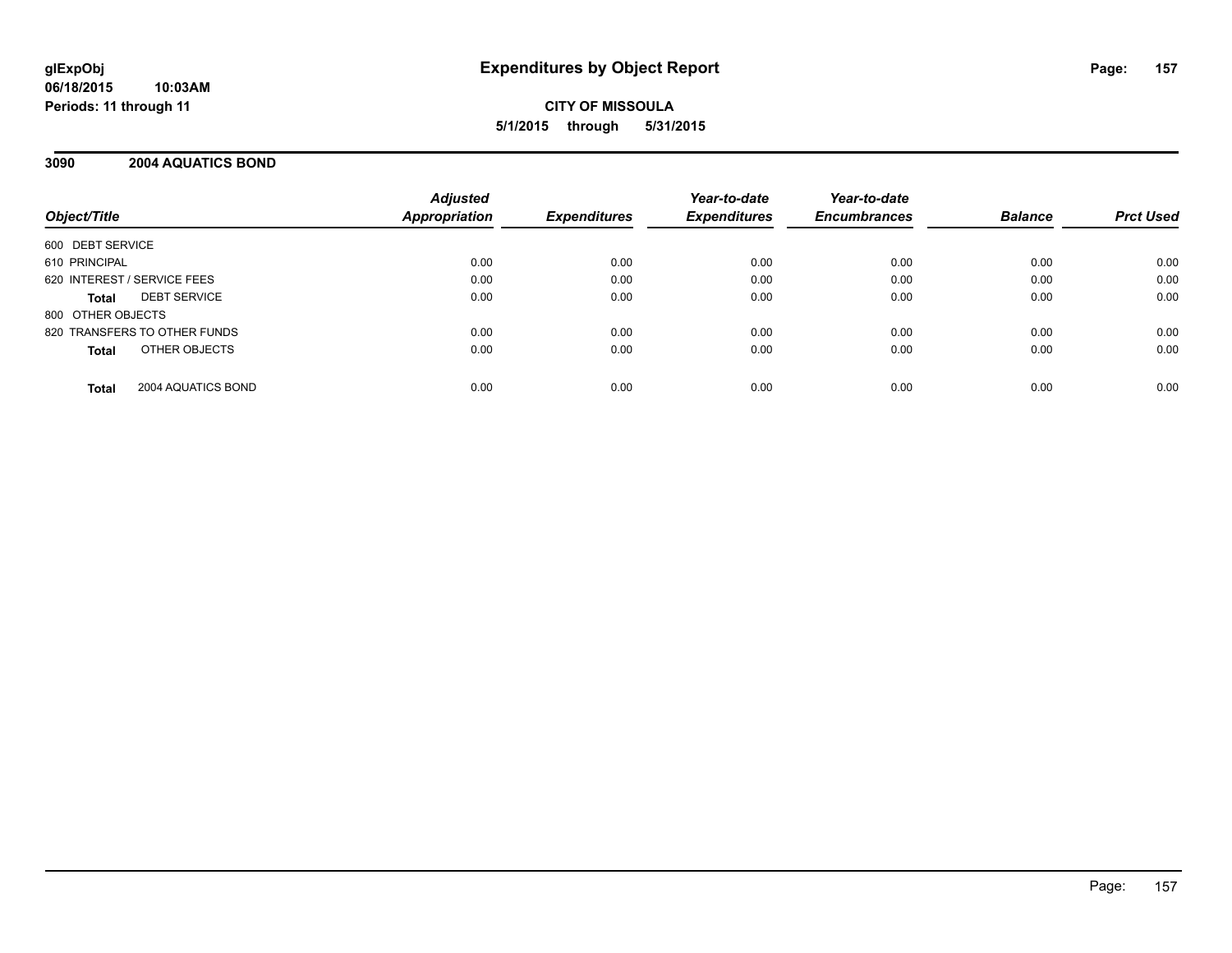# **CITY OF MISSOULA 5/1/2015 through 5/31/2015**

# **3090 2004 AQUATICS BOND**

| Object/Title                       | <b>Adjusted</b><br>Appropriation | <b>Expenditures</b> | Year-to-date<br><b>Expenditures</b> | Year-to-date<br><b>Encumbrances</b> | <b>Balance</b> | <b>Prct Used</b> |
|------------------------------------|----------------------------------|---------------------|-------------------------------------|-------------------------------------|----------------|------------------|
| 600 DEBT SERVICE                   |                                  |                     |                                     |                                     |                |                  |
| 610 PRINCIPAL                      | 0.00                             | 0.00                | 0.00                                | 0.00                                | 0.00           | 0.00             |
| 620 INTEREST / SERVICE FEES        | 0.00                             | 0.00                | 0.00                                | 0.00                                | 0.00           | 0.00             |
| <b>DEBT SERVICE</b><br>Total       | 0.00                             | 0.00                | 0.00                                | 0.00                                | 0.00           | 0.00             |
| 800 OTHER OBJECTS                  |                                  |                     |                                     |                                     |                |                  |
| 820 TRANSFERS TO OTHER FUNDS       | 0.00                             | 0.00                | 0.00                                | 0.00                                | 0.00           | 0.00             |
| OTHER OBJECTS<br><b>Total</b>      | 0.00                             | 0.00                | 0.00                                | 0.00                                | 0.00           | 0.00             |
| 2004 AQUATICS BOND<br><b>Total</b> | 0.00                             | 0.00                | 0.00                                | 0.00                                | 0.00           | 0.00             |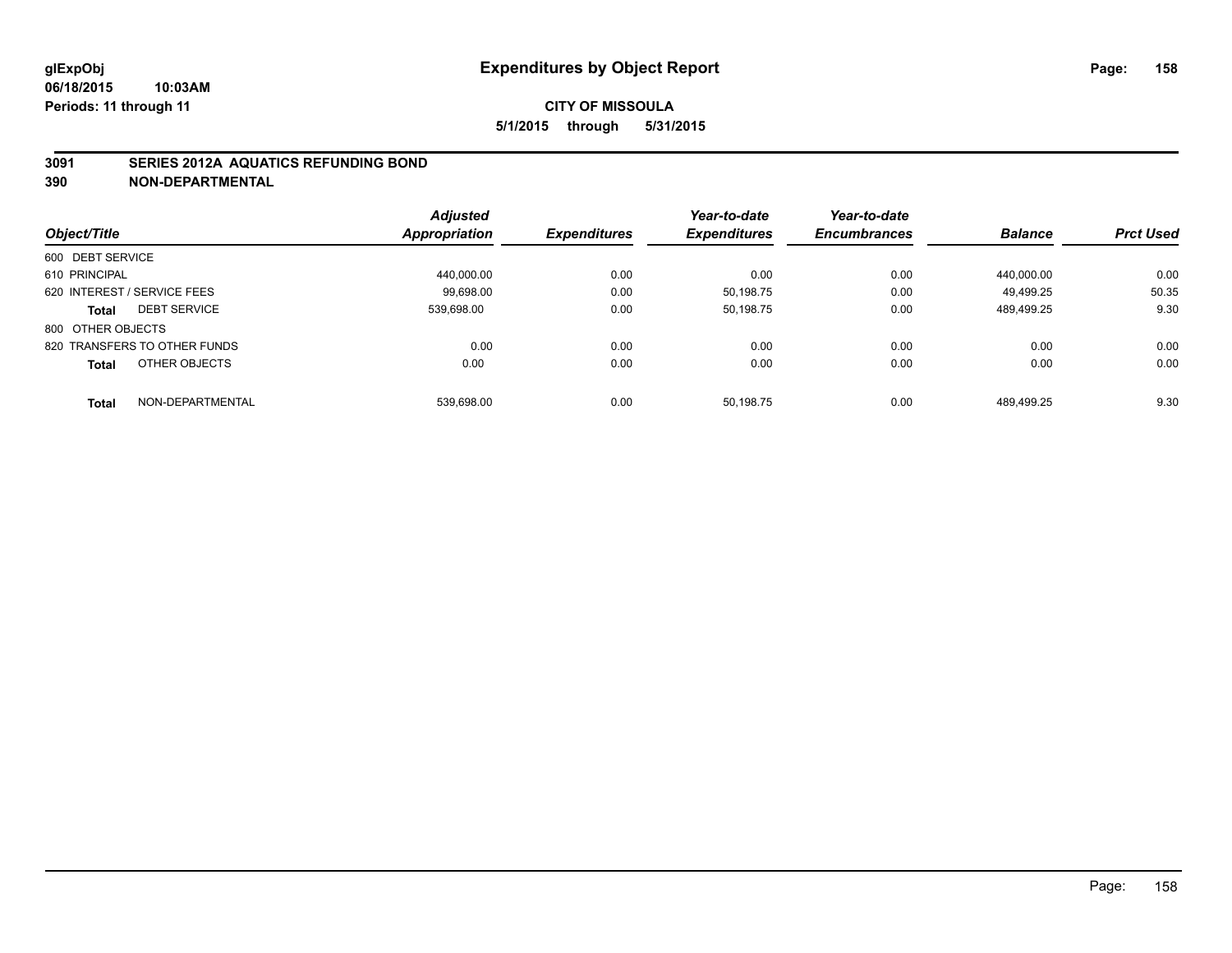## **3091 SERIES 2012A AQUATICS REFUNDING BOND**

|                                  | <b>Adjusted</b> |                     | Year-to-date        | Year-to-date        |                |                  |
|----------------------------------|-----------------|---------------------|---------------------|---------------------|----------------|------------------|
| Object/Title                     | Appropriation   | <b>Expenditures</b> | <b>Expenditures</b> | <b>Encumbrances</b> | <b>Balance</b> | <b>Prct Used</b> |
| 600 DEBT SERVICE                 |                 |                     |                     |                     |                |                  |
| 610 PRINCIPAL                    | 440.000.00      | 0.00                | 0.00                | 0.00                | 440.000.00     | 0.00             |
| 620 INTEREST / SERVICE FEES      | 99.698.00       | 0.00                | 50.198.75           | 0.00                | 49.499.25      | 50.35            |
| <b>DEBT SERVICE</b><br>Total     | 539.698.00      | 0.00                | 50.198.75           | 0.00                | 489.499.25     | 9.30             |
| 800 OTHER OBJECTS                |                 |                     |                     |                     |                |                  |
| 820 TRANSFERS TO OTHER FUNDS     | 0.00            | 0.00                | 0.00                | 0.00                | 0.00           | 0.00             |
| OTHER OBJECTS<br><b>Total</b>    | 0.00            | 0.00                | 0.00                | 0.00                | 0.00           | 0.00             |
| NON-DEPARTMENTAL<br><b>Total</b> | 539.698.00      | 0.00                | 50.198.75           | 0.00                | 489.499.25     | 9.30             |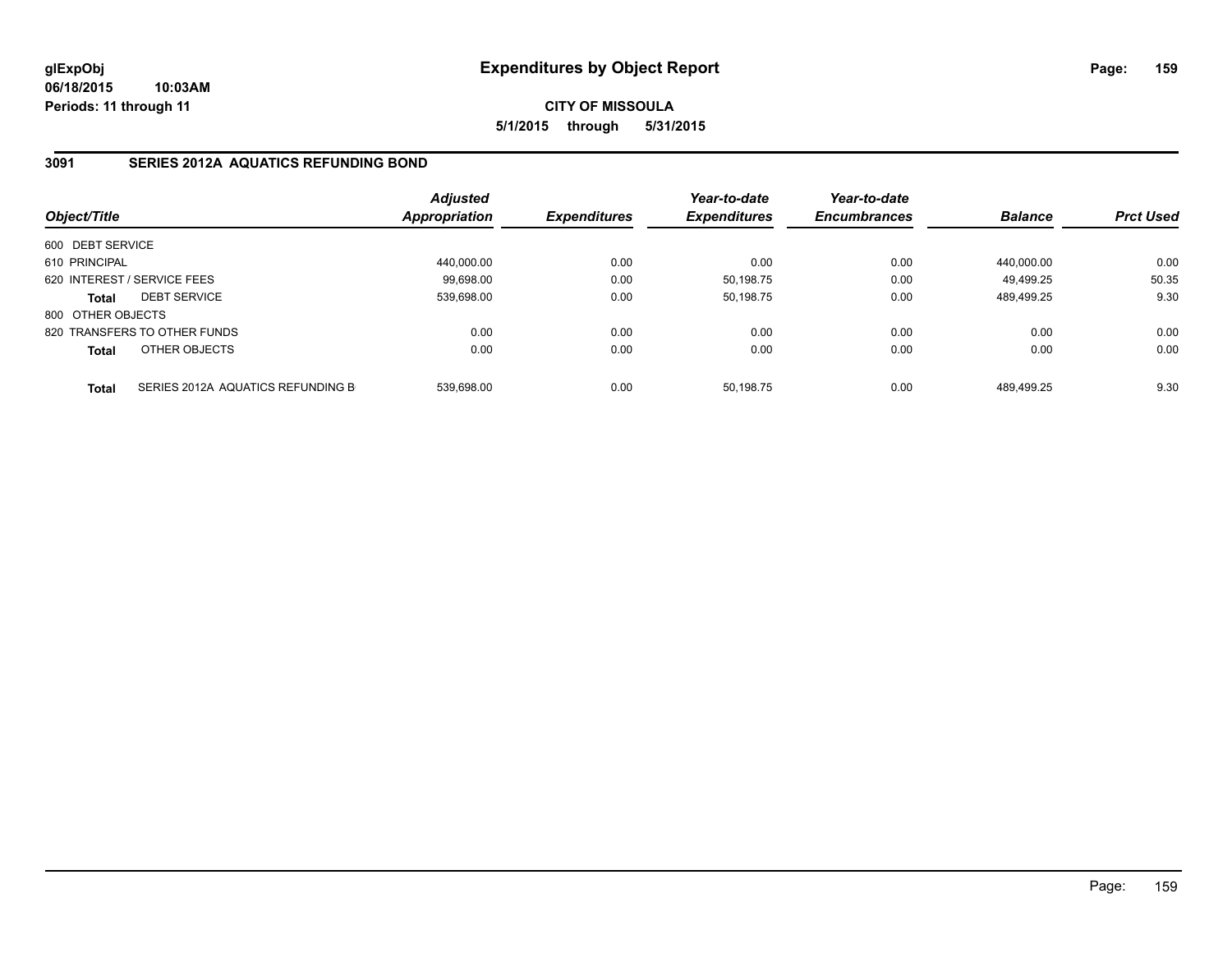**CITY OF MISSOULA 5/1/2015 through 5/31/2015**

# **3091 SERIES 2012A AQUATICS REFUNDING BOND**

| Object/Title      |                                   | <b>Adjusted</b><br>Appropriation | <b>Expenditures</b> | Year-to-date<br><b>Expenditures</b> | Year-to-date<br><b>Encumbrances</b> | <b>Balance</b> | <b>Prct Used</b> |
|-------------------|-----------------------------------|----------------------------------|---------------------|-------------------------------------|-------------------------------------|----------------|------------------|
| 600 DEBT SERVICE  |                                   |                                  |                     |                                     |                                     |                |                  |
| 610 PRINCIPAL     |                                   | 440.000.00                       | 0.00                | 0.00                                | 0.00                                | 440.000.00     | 0.00             |
|                   | 620 INTEREST / SERVICE FEES       | 99.698.00                        | 0.00                | 50,198.75                           | 0.00                                | 49.499.25      | 50.35            |
| <b>Total</b>      | <b>DEBT SERVICE</b>               | 539.698.00                       | 0.00                | 50.198.75                           | 0.00                                | 489.499.25     | 9.30             |
| 800 OTHER OBJECTS |                                   |                                  |                     |                                     |                                     |                |                  |
|                   | 820 TRANSFERS TO OTHER FUNDS      | 0.00                             | 0.00                | 0.00                                | 0.00                                | 0.00           | 0.00             |
| <b>Total</b>      | OTHER OBJECTS                     | 0.00                             | 0.00                | 0.00                                | 0.00                                | 0.00           | 0.00             |
| <b>Total</b>      | SERIES 2012A AQUATICS REFUNDING B | 539.698.00                       | 0.00                | 50.198.75                           | 0.00                                | 489.499.25     | 9.30             |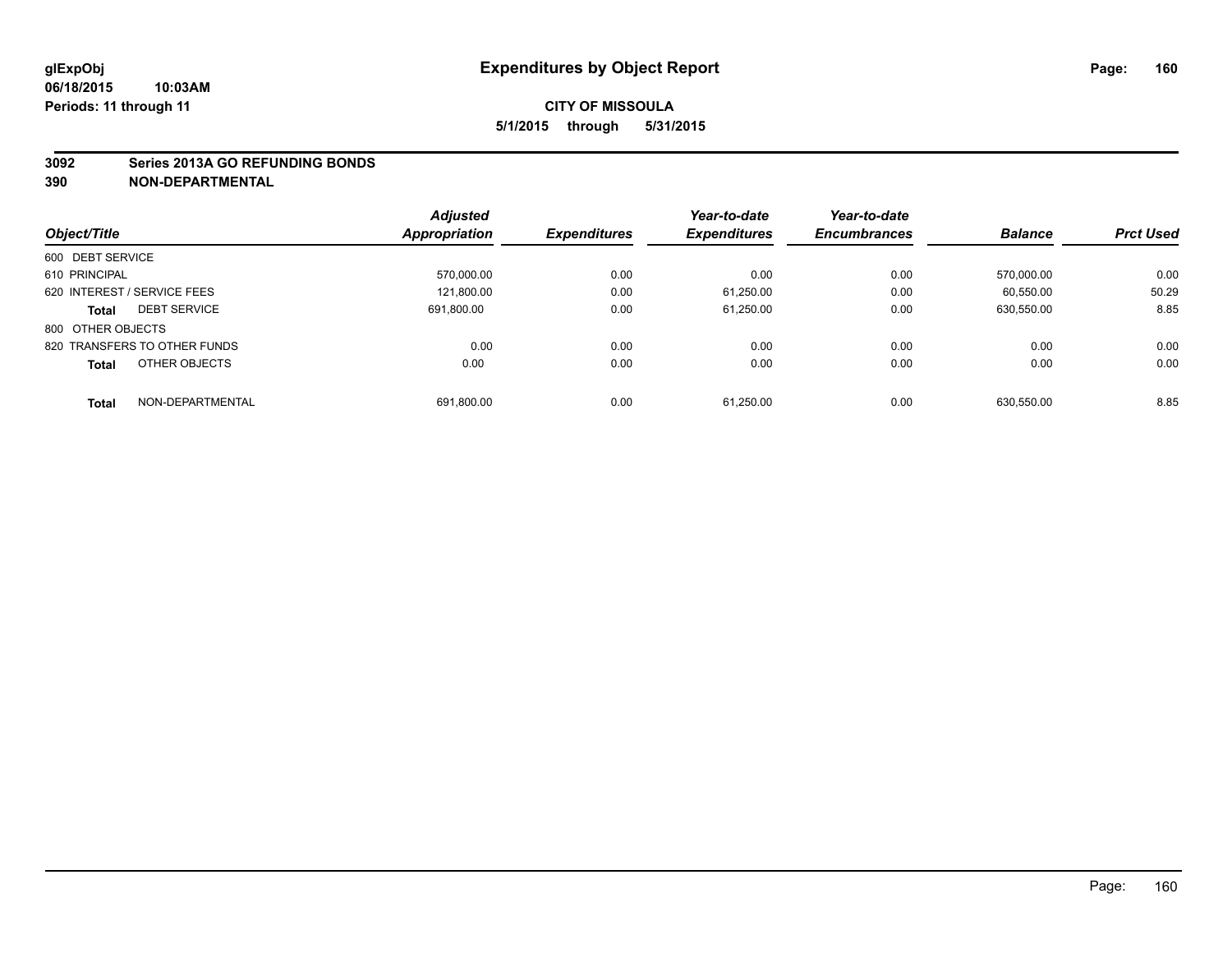#### **3092 Series 2013A GO REFUNDING BONDS**

|                                     | <b>Adjusted</b>      |                     | Year-to-date        | Year-to-date        |                |                  |
|-------------------------------------|----------------------|---------------------|---------------------|---------------------|----------------|------------------|
| Object/Title                        | <b>Appropriation</b> | <b>Expenditures</b> | <b>Expenditures</b> | <b>Encumbrances</b> | <b>Balance</b> | <b>Prct Used</b> |
| 600 DEBT SERVICE                    |                      |                     |                     |                     |                |                  |
| 610 PRINCIPAL                       | 570.000.00           | 0.00                | 0.00                | 0.00                | 570.000.00     | 0.00             |
| 620 INTEREST / SERVICE FEES         | 121.800.00           | 0.00                | 61.250.00           | 0.00                | 60.550.00      | 50.29            |
| <b>DEBT SERVICE</b><br><b>Total</b> | 691.800.00           | 0.00                | 61.250.00           | 0.00                | 630,550.00     | 8.85             |
| 800 OTHER OBJECTS                   |                      |                     |                     |                     |                |                  |
| 820 TRANSFERS TO OTHER FUNDS        | 0.00                 | 0.00                | 0.00                | 0.00                | 0.00           | 0.00             |
| OTHER OBJECTS<br><b>Total</b>       | 0.00                 | 0.00                | 0.00                | 0.00                | 0.00           | 0.00             |
| NON-DEPARTMENTAL<br>Total           | 691,800.00           | 0.00                | 61.250.00           | 0.00                | 630.550.00     | 8.85             |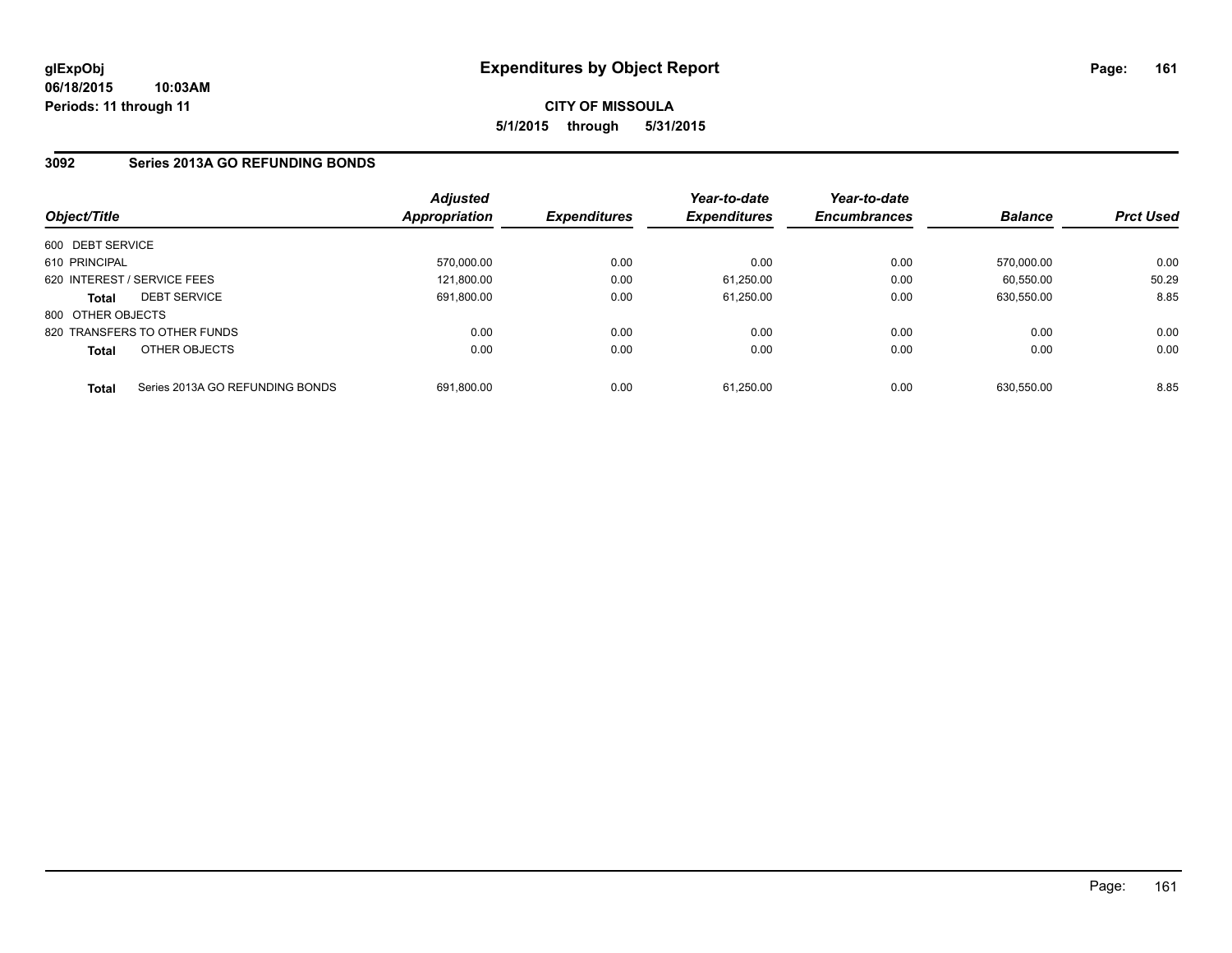# **3092 Series 2013A GO REFUNDING BONDS**

| Object/Title                |                                 | Adjusted<br>Appropriation | <b>Expenditures</b> | Year-to-date<br><b>Expenditures</b> | Year-to-date<br><b>Encumbrances</b> | <b>Balance</b> | <b>Prct Used</b> |
|-----------------------------|---------------------------------|---------------------------|---------------------|-------------------------------------|-------------------------------------|----------------|------------------|
| 600 DEBT SERVICE            |                                 |                           |                     |                                     |                                     |                |                  |
| 610 PRINCIPAL               |                                 | 570,000.00                | 0.00                | 0.00                                | 0.00                                | 570.000.00     | 0.00             |
| 620 INTEREST / SERVICE FEES |                                 | 121.800.00                | 0.00                | 61,250.00                           | 0.00                                | 60.550.00      | 50.29            |
| <b>Total</b>                | <b>DEBT SERVICE</b>             | 691,800.00                | 0.00                | 61,250.00                           | 0.00                                | 630.550.00     | 8.85             |
| 800 OTHER OBJECTS           |                                 |                           |                     |                                     |                                     |                |                  |
|                             | 820 TRANSFERS TO OTHER FUNDS    | 0.00                      | 0.00                | 0.00                                | 0.00                                | 0.00           | 0.00             |
| <b>Total</b>                | OTHER OBJECTS                   | 0.00                      | 0.00                | 0.00                                | 0.00                                | 0.00           | 0.00             |
| <b>Total</b>                | Series 2013A GO REFUNDING BONDS | 691.800.00                | 0.00                | 61.250.00                           | 0.00                                | 630.550.00     | 8.85             |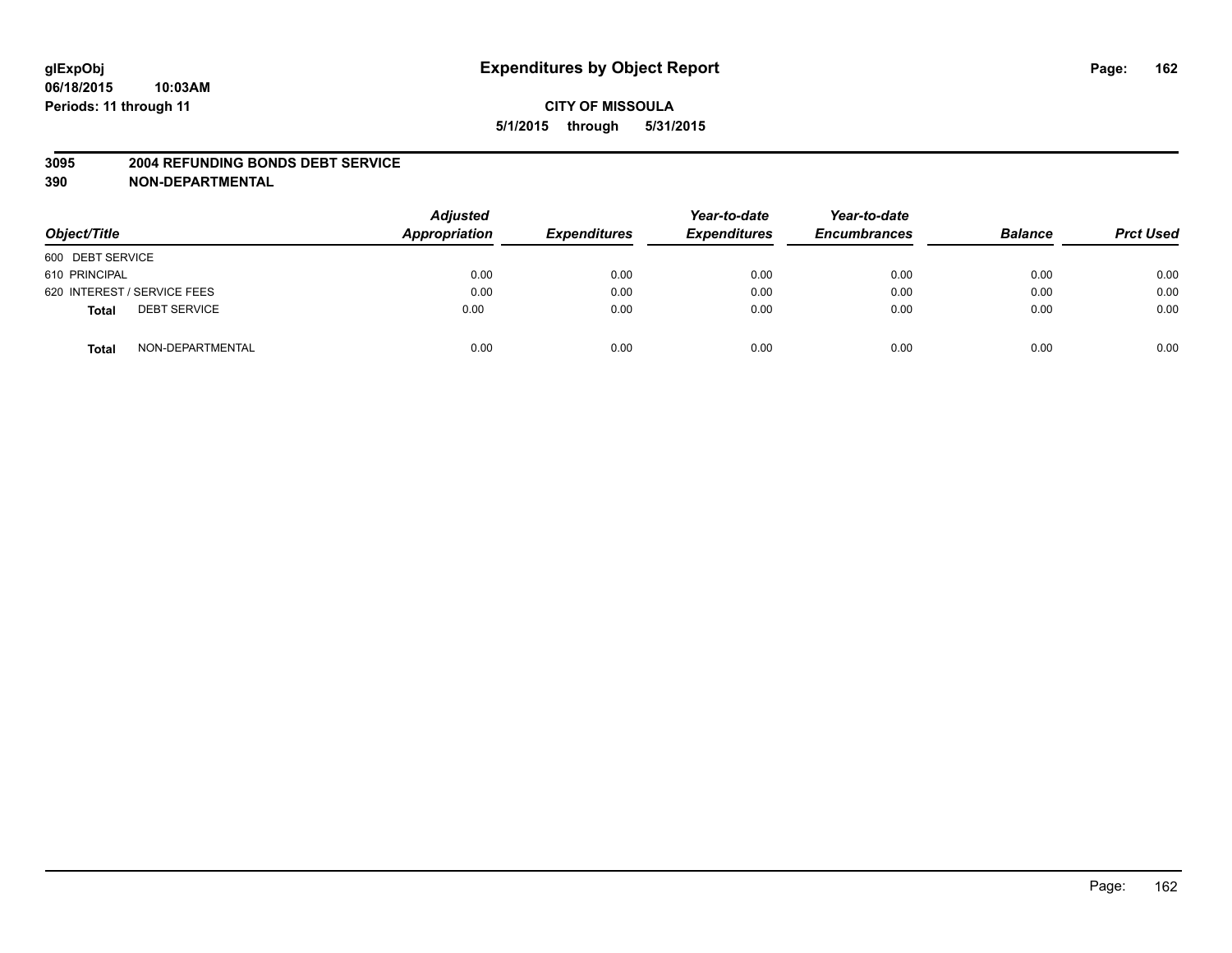#### **3095 2004 REFUNDING BONDS DEBT SERVICE**

| Object/Title                        | <b>Adjusted</b><br>Appropriation | <b>Expenditures</b> | Year-to-date<br><b>Expenditures</b> | Year-to-date<br><b>Encumbrances</b> | <b>Balance</b> | <b>Prct Used</b> |
|-------------------------------------|----------------------------------|---------------------|-------------------------------------|-------------------------------------|----------------|------------------|
| 600 DEBT SERVICE                    |                                  |                     |                                     |                                     |                |                  |
| 610 PRINCIPAL                       | 0.00                             | 0.00                | 0.00                                | 0.00                                | 0.00           | 0.00             |
| 620 INTEREST / SERVICE FEES         | 0.00                             | 0.00                | 0.00                                | 0.00                                | 0.00           | 0.00             |
| <b>DEBT SERVICE</b><br><b>Total</b> | 0.00                             | 0.00                | 0.00                                | 0.00                                | 0.00           | 0.00             |
| NON-DEPARTMENTAL<br><b>Total</b>    | 0.00                             | 0.00                | 0.00                                | 0.00                                | 0.00           | 0.00             |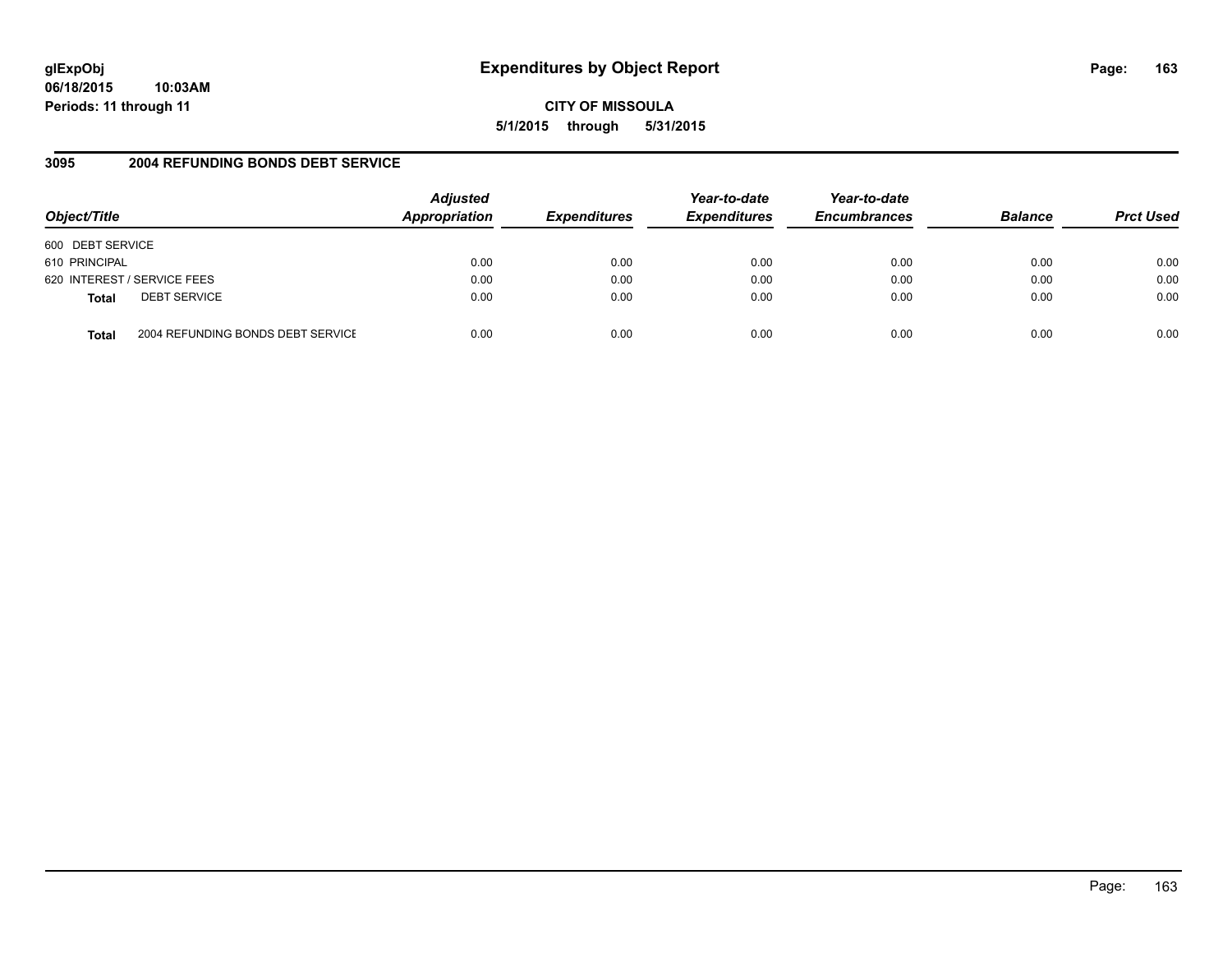# **glExpObj Expenditures by Object Report Page: 163**

**06/18/2015 10:03AM Periods: 11 through 11**

**CITY OF MISSOULA 5/1/2015 through 5/31/2015**

# **3095 2004 REFUNDING BONDS DEBT SERVICE**

| Object/Title                                      | <b>Adjusted</b><br>Appropriation | <b>Expenditures</b> | Year-to-date<br><b>Expenditures</b> | Year-to-date<br><b>Encumbrances</b> | <b>Balance</b> | <b>Prct Used</b> |
|---------------------------------------------------|----------------------------------|---------------------|-------------------------------------|-------------------------------------|----------------|------------------|
| 600 DEBT SERVICE                                  |                                  |                     |                                     |                                     |                |                  |
| 610 PRINCIPAL                                     | 0.00                             | 0.00                | 0.00                                | 0.00                                | 0.00           | 0.00             |
| 620 INTEREST / SERVICE FEES                       | 0.00                             | 0.00                | 0.00                                | 0.00                                | 0.00           | 0.00             |
| <b>DEBT SERVICE</b><br><b>Total</b>               | 0.00                             | 0.00                | 0.00                                | 0.00                                | 0.00           | 0.00             |
| 2004 REFUNDING BONDS DEBT SERVICE<br><b>Total</b> | 0.00                             | 0.00                | 0.00                                | 0.00                                | 0.00           | 0.00             |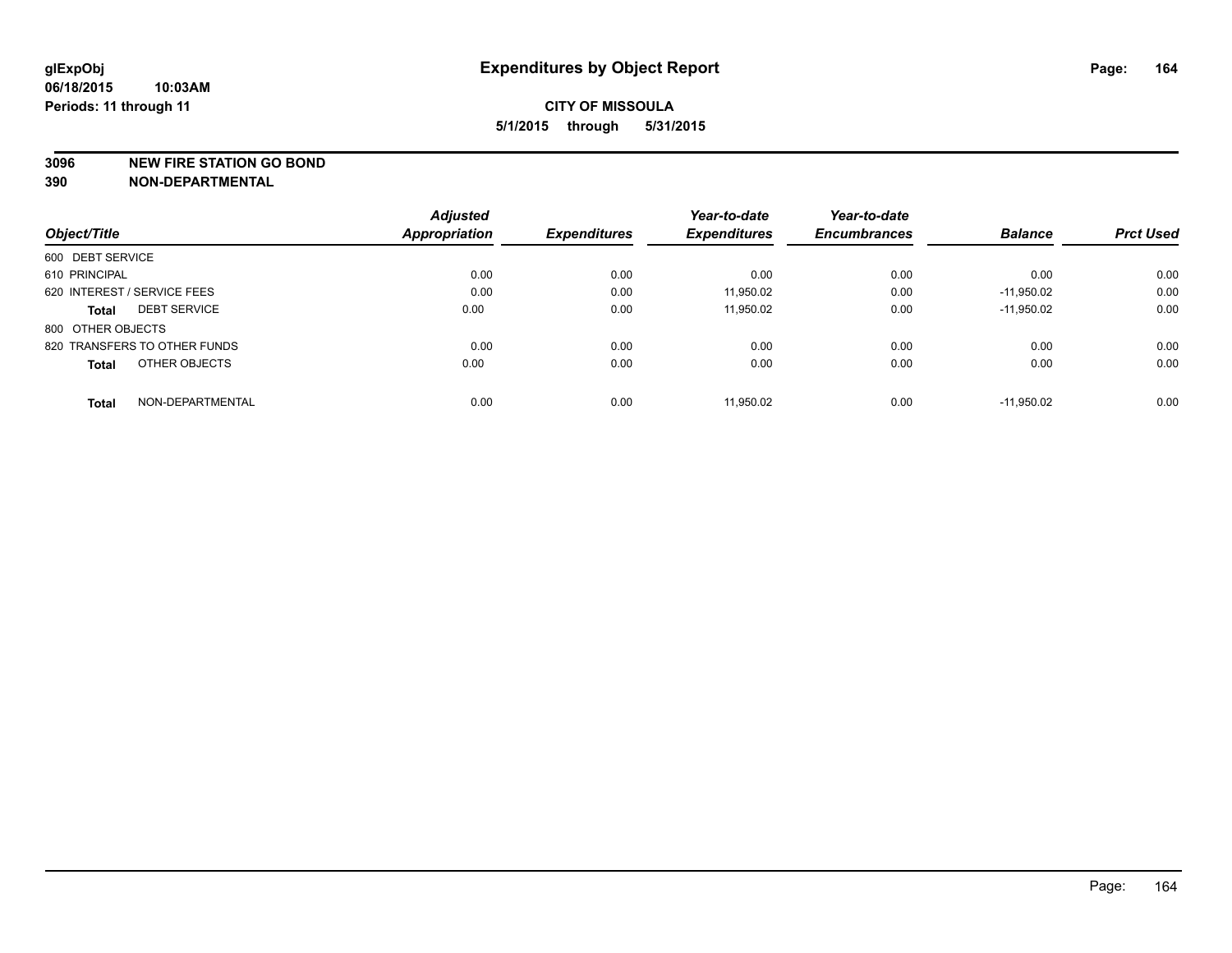#### **3096 NEW FIRE STATION GO BOND**

|                                  | <b>Adjusted</b><br><b>Appropriation</b> | <b>Expenditures</b> | Year-to-date<br><b>Expenditures</b> | Year-to-date<br><b>Encumbrances</b> | <b>Balance</b> | <b>Prct Used</b> |
|----------------------------------|-----------------------------------------|---------------------|-------------------------------------|-------------------------------------|----------------|------------------|
| Object/Title                     |                                         |                     |                                     |                                     |                |                  |
| 600 DEBT SERVICE                 |                                         |                     |                                     |                                     |                |                  |
| 610 PRINCIPAL                    | 0.00                                    | 0.00                | 0.00                                | 0.00                                | 0.00           | 0.00             |
| 620 INTEREST / SERVICE FEES      | 0.00                                    | 0.00                | 11,950.02                           | 0.00                                | $-11.950.02$   | 0.00             |
| <b>DEBT SERVICE</b><br>Total     | 0.00                                    | 0.00                | 11.950.02                           | 0.00                                | $-11.950.02$   | 0.00             |
| 800 OTHER OBJECTS                |                                         |                     |                                     |                                     |                |                  |
| 820 TRANSFERS TO OTHER FUNDS     | 0.00                                    | 0.00                | 0.00                                | 0.00                                | 0.00           | 0.00             |
| OTHER OBJECTS<br><b>Total</b>    | 0.00                                    | 0.00                | 0.00                                | 0.00                                | 0.00           | 0.00             |
| NON-DEPARTMENTAL<br><b>Total</b> | 0.00                                    | 0.00                | 11.950.02                           | 0.00                                | $-11.950.02$   | 0.00             |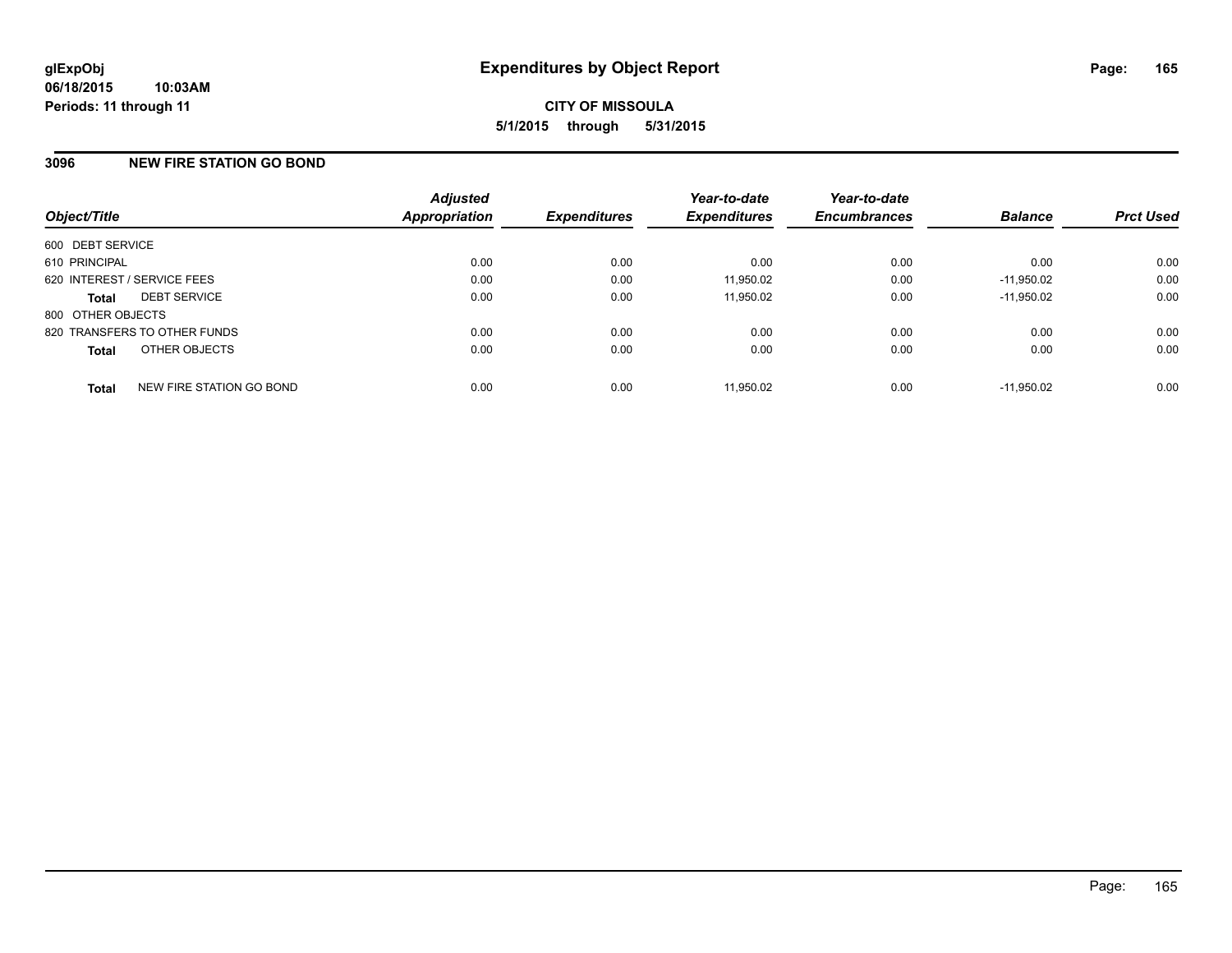# **3096 NEW FIRE STATION GO BOND**

| Object/Title                             | <b>Adjusted</b><br><b>Appropriation</b> | <b>Expenditures</b> | Year-to-date<br><b>Expenditures</b> | Year-to-date<br><b>Encumbrances</b> | <b>Balance</b> | <b>Prct Used</b> |
|------------------------------------------|-----------------------------------------|---------------------|-------------------------------------|-------------------------------------|----------------|------------------|
| 600 DEBT SERVICE                         |                                         |                     |                                     |                                     |                |                  |
| 610 PRINCIPAL                            | 0.00                                    | 0.00                | 0.00                                | 0.00                                | 0.00           | 0.00             |
| 620 INTEREST / SERVICE FEES              | 0.00                                    | 0.00                | 11,950.02                           | 0.00                                | $-11.950.02$   | 0.00             |
| <b>DEBT SERVICE</b><br><b>Total</b>      | 0.00                                    | 0.00                | 11,950.02                           | 0.00                                | $-11.950.02$   | 0.00             |
| 800 OTHER OBJECTS                        |                                         |                     |                                     |                                     |                |                  |
| 820 TRANSFERS TO OTHER FUNDS             | 0.00                                    | 0.00                | 0.00                                | 0.00                                | 0.00           | 0.00             |
| OTHER OBJECTS<br><b>Total</b>            | 0.00                                    | 0.00                | 0.00                                | 0.00                                | 0.00           | 0.00             |
| NEW FIRE STATION GO BOND<br><b>Total</b> | 0.00                                    | 0.00                | 11.950.02                           | 0.00                                | $-11.950.02$   | 0.00             |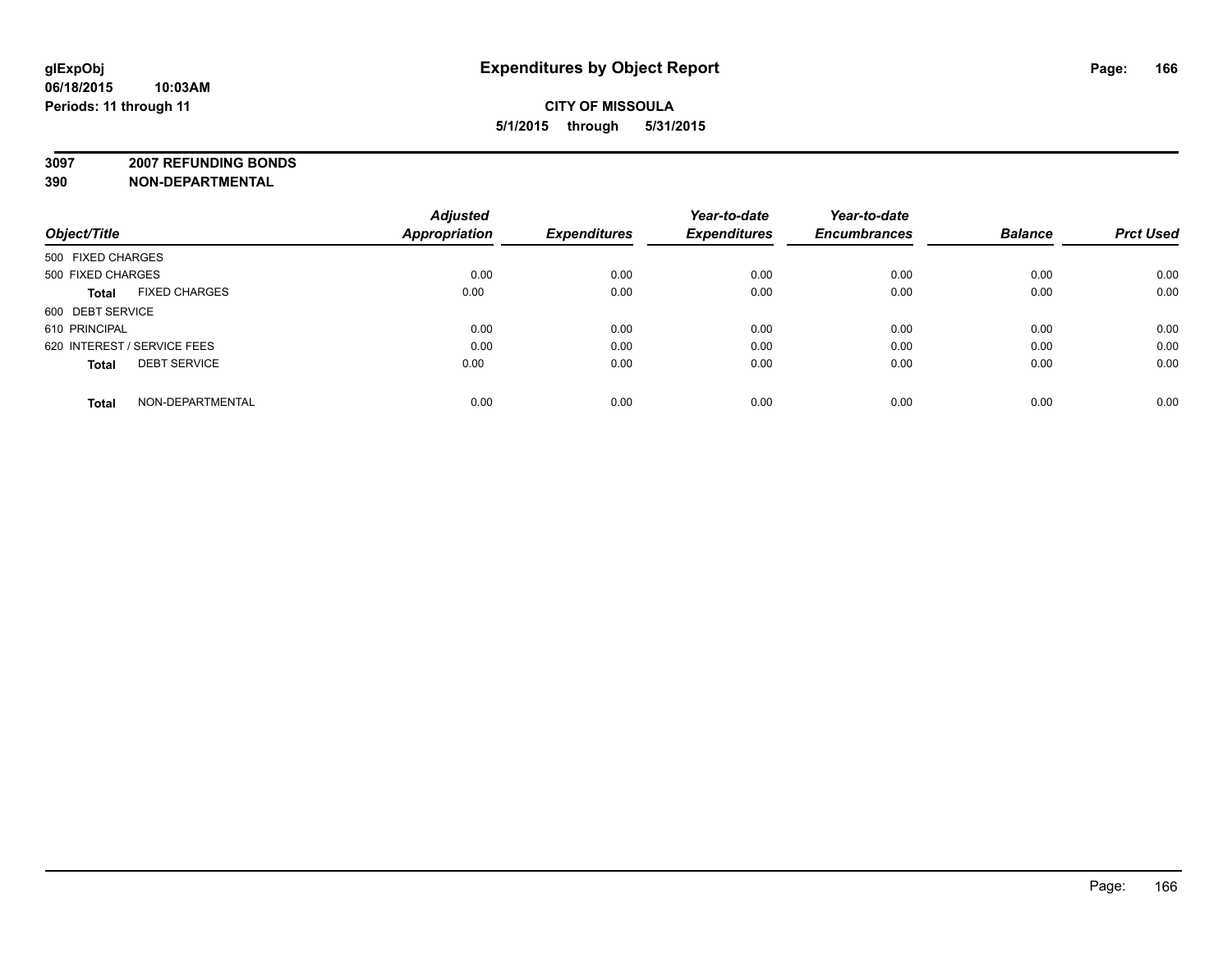# **CITY OF MISSOULA 5/1/2015 through 5/31/2015**

**3097 2007 REFUNDING BONDS**

| Object/Title                         | <b>Adjusted</b><br><b>Appropriation</b> | <b>Expenditures</b> | Year-to-date<br><b>Expenditures</b> | Year-to-date<br><b>Encumbrances</b> | <b>Balance</b> | <b>Prct Used</b> |
|--------------------------------------|-----------------------------------------|---------------------|-------------------------------------|-------------------------------------|----------------|------------------|
| 500 FIXED CHARGES                    |                                         |                     |                                     |                                     |                |                  |
| 500 FIXED CHARGES                    | 0.00                                    | 0.00                | 0.00                                | 0.00                                | 0.00           | 0.00             |
| <b>FIXED CHARGES</b><br><b>Total</b> | 0.00                                    | 0.00                | 0.00                                | 0.00                                | 0.00           | 0.00             |
| 600 DEBT SERVICE                     |                                         |                     |                                     |                                     |                |                  |
| 610 PRINCIPAL                        | 0.00                                    | 0.00                | 0.00                                | 0.00                                | 0.00           | 0.00             |
| 620 INTEREST / SERVICE FEES          | 0.00                                    | 0.00                | 0.00                                | 0.00                                | 0.00           | 0.00             |
| <b>DEBT SERVICE</b><br><b>Total</b>  | 0.00                                    | 0.00                | 0.00                                | 0.00                                | 0.00           | 0.00             |
| NON-DEPARTMENTAL<br><b>Total</b>     | 0.00                                    | 0.00                | 0.00                                | 0.00                                | 0.00           | 0.00             |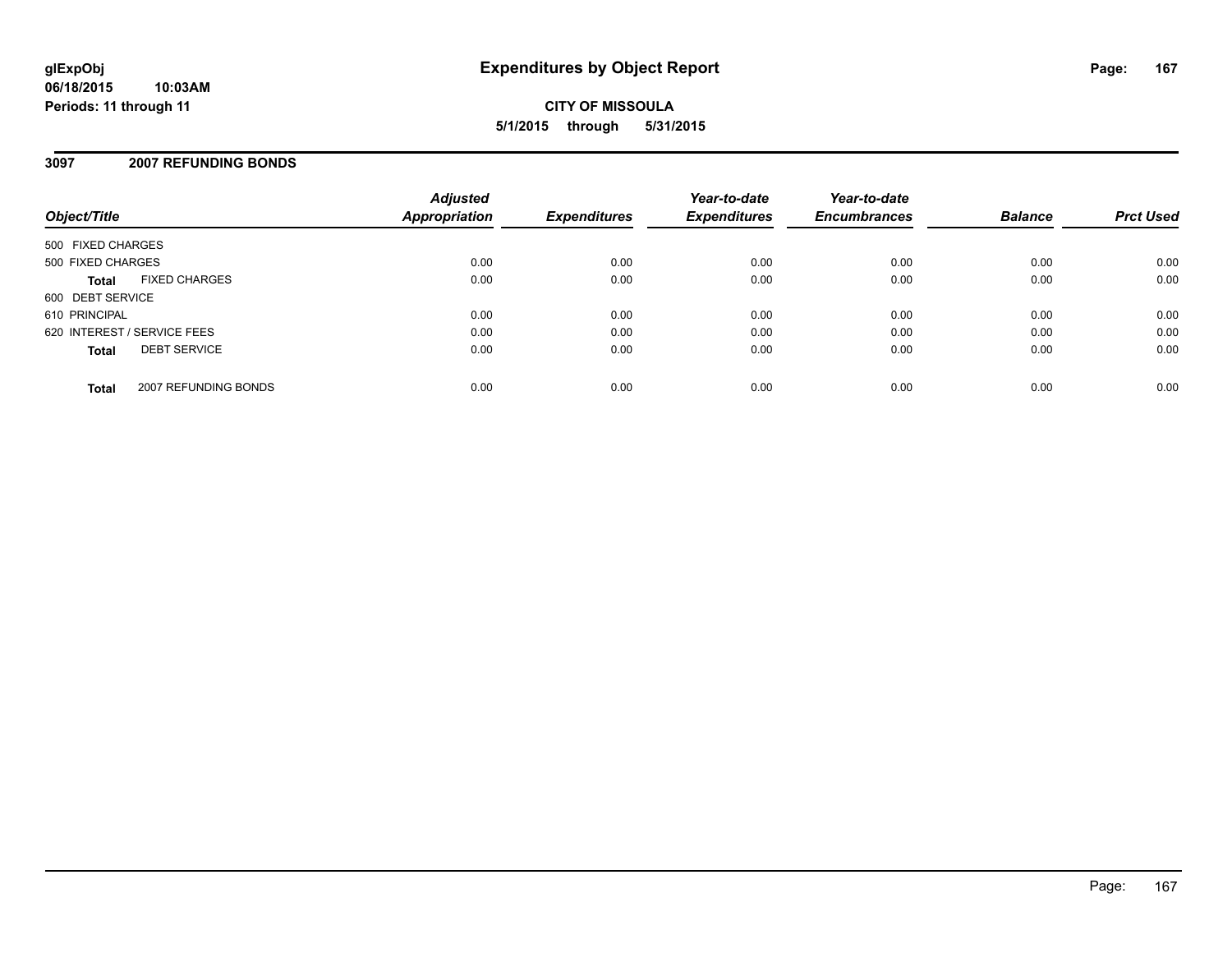# **3097 2007 REFUNDING BONDS**

| Object/Title                |                      | <b>Adjusted</b><br>Appropriation | <b>Expenditures</b> | Year-to-date<br><b>Expenditures</b> | Year-to-date<br><b>Encumbrances</b> | <b>Balance</b> | <b>Prct Used</b> |
|-----------------------------|----------------------|----------------------------------|---------------------|-------------------------------------|-------------------------------------|----------------|------------------|
| 500 FIXED CHARGES           |                      |                                  |                     |                                     |                                     |                |                  |
| 500 FIXED CHARGES           |                      | 0.00                             | 0.00                | 0.00                                | 0.00                                | 0.00           | 0.00             |
| <b>Total</b>                | <b>FIXED CHARGES</b> | 0.00                             | 0.00                | 0.00                                | 0.00                                | 0.00           | 0.00             |
| 600 DEBT SERVICE            |                      |                                  |                     |                                     |                                     |                |                  |
| 610 PRINCIPAL               |                      | 0.00                             | 0.00                | 0.00                                | 0.00                                | 0.00           | 0.00             |
| 620 INTEREST / SERVICE FEES |                      | 0.00                             | 0.00                | 0.00                                | 0.00                                | 0.00           | 0.00             |
| <b>Total</b>                | <b>DEBT SERVICE</b>  | 0.00                             | 0.00                | 0.00                                | 0.00                                | 0.00           | 0.00             |
| <b>Total</b>                | 2007 REFUNDING BONDS | 0.00                             | 0.00                | 0.00                                | 0.00                                | 0.00           | 0.00             |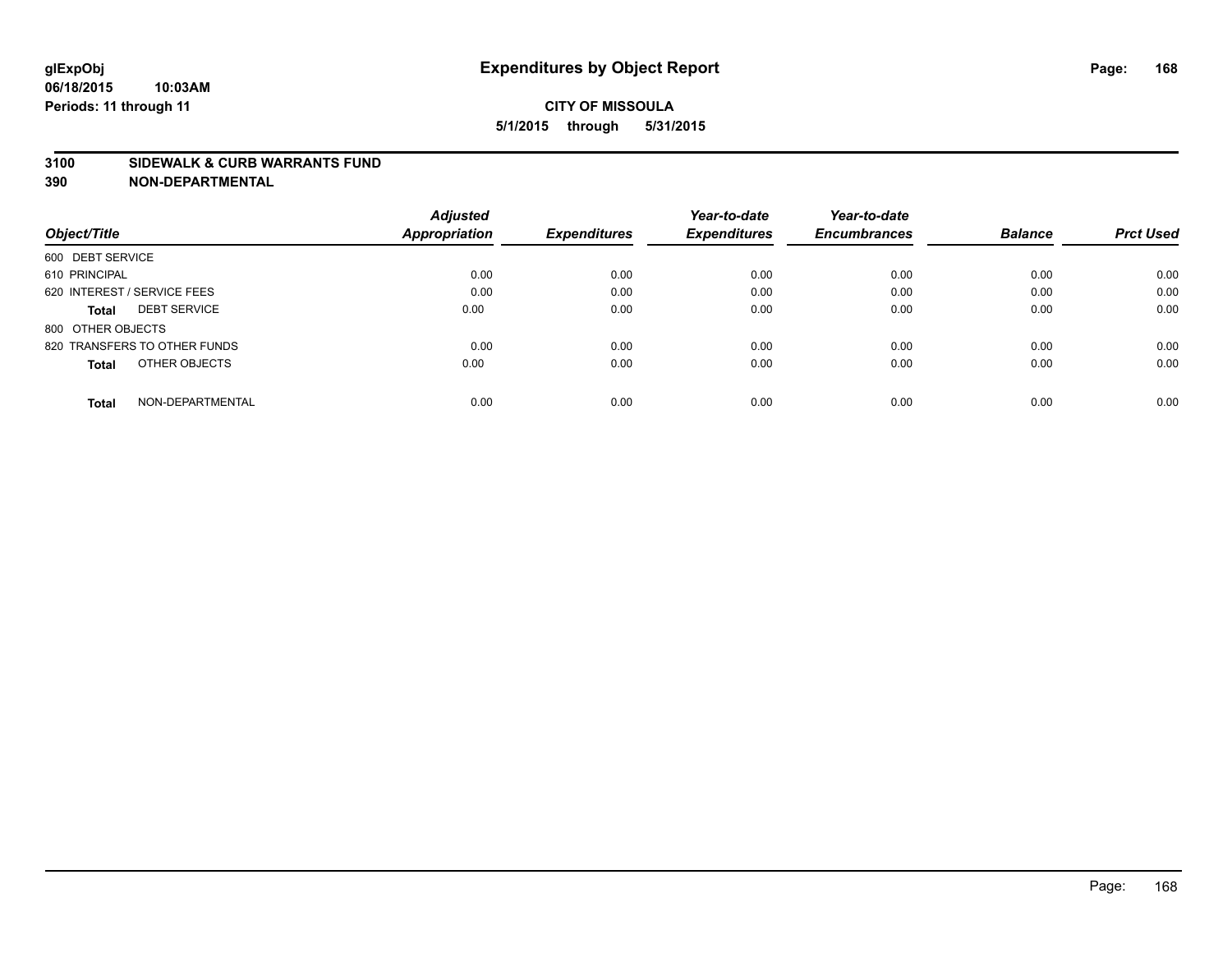#### **3100 SIDEWALK & CURB WARRANTS FUND**

|                                     | <b>Adjusted</b>      |                     | Year-to-date        | Year-to-date        |                |                  |
|-------------------------------------|----------------------|---------------------|---------------------|---------------------|----------------|------------------|
| Object/Title                        | <b>Appropriation</b> | <b>Expenditures</b> | <b>Expenditures</b> | <b>Encumbrances</b> | <b>Balance</b> | <b>Prct Used</b> |
| 600 DEBT SERVICE                    |                      |                     |                     |                     |                |                  |
| 610 PRINCIPAL                       | 0.00                 | 0.00                | 0.00                | 0.00                | 0.00           | 0.00             |
| 620 INTEREST / SERVICE FEES         | 0.00                 | 0.00                | 0.00                | 0.00                | 0.00           | 0.00             |
| <b>DEBT SERVICE</b><br><b>Total</b> | 0.00                 | 0.00                | 0.00                | 0.00                | 0.00           | 0.00             |
| 800 OTHER OBJECTS                   |                      |                     |                     |                     |                |                  |
| 820 TRANSFERS TO OTHER FUNDS        | 0.00                 | 0.00                | 0.00                | 0.00                | 0.00           | 0.00             |
| OTHER OBJECTS<br><b>Total</b>       | 0.00                 | 0.00                | 0.00                | 0.00                | 0.00           | 0.00             |
| NON-DEPARTMENTAL<br>Total           | 0.00                 | 0.00                | 0.00                | 0.00                | 0.00           | 0.00             |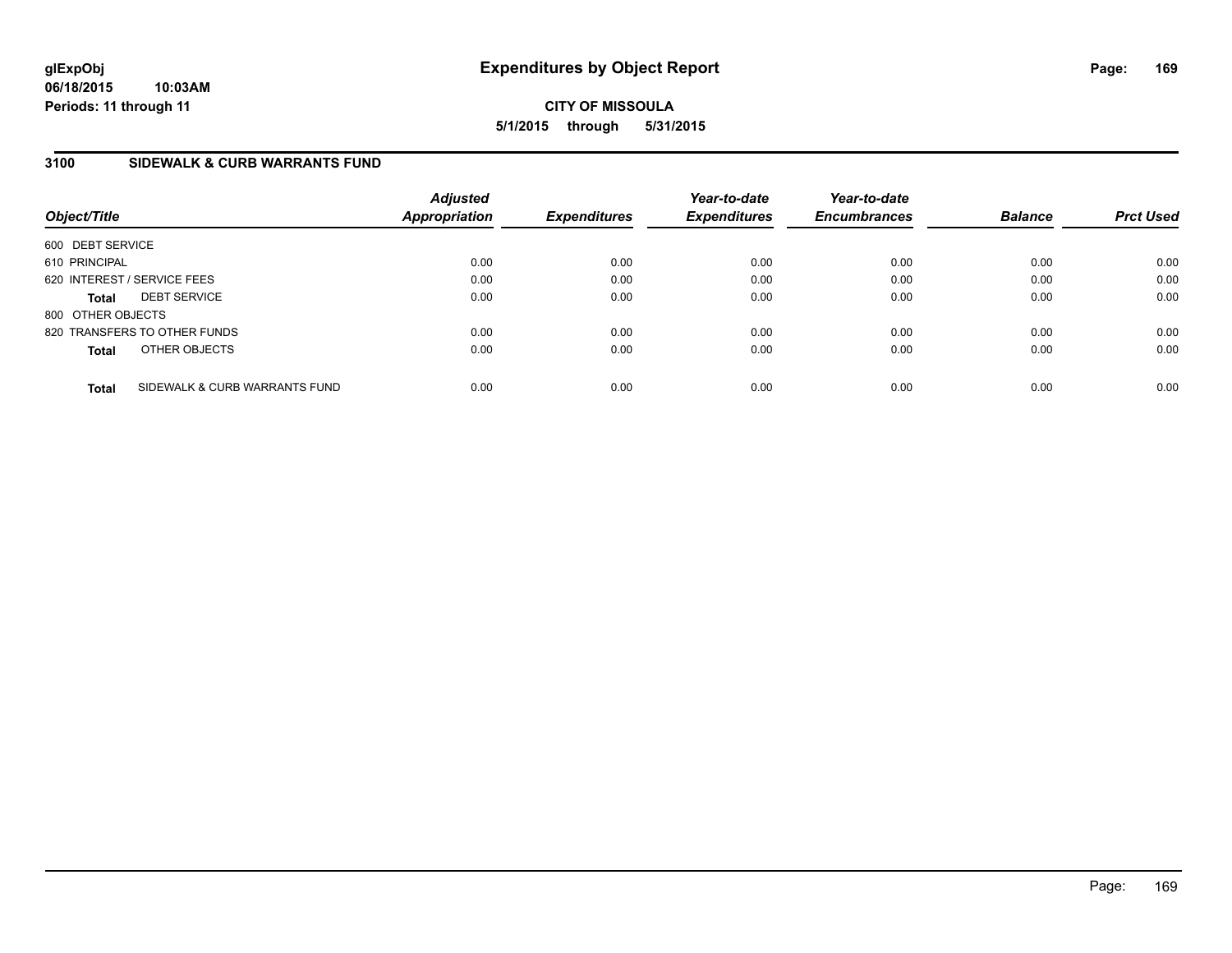# **3100 SIDEWALK & CURB WARRANTS FUND**

| Object/Title      |                               | <b>Adjusted</b><br><b>Appropriation</b> | <b>Expenditures</b> | Year-to-date<br><b>Expenditures</b> | Year-to-date<br><b>Encumbrances</b> | <b>Balance</b> | <b>Prct Used</b> |
|-------------------|-------------------------------|-----------------------------------------|---------------------|-------------------------------------|-------------------------------------|----------------|------------------|
| 600 DEBT SERVICE  |                               |                                         |                     |                                     |                                     |                |                  |
| 610 PRINCIPAL     |                               | 0.00                                    | 0.00                | 0.00                                | 0.00                                | 0.00           | 0.00             |
|                   | 620 INTEREST / SERVICE FEES   | 0.00                                    | 0.00                | 0.00                                | 0.00                                | 0.00           | 0.00             |
| <b>Total</b>      | <b>DEBT SERVICE</b>           | 0.00                                    | 0.00                | 0.00                                | 0.00                                | 0.00           | 0.00             |
| 800 OTHER OBJECTS |                               |                                         |                     |                                     |                                     |                |                  |
|                   | 820 TRANSFERS TO OTHER FUNDS  | 0.00                                    | 0.00                | 0.00                                | 0.00                                | 0.00           | 0.00             |
| <b>Total</b>      | OTHER OBJECTS                 | 0.00                                    | 0.00                | 0.00                                | 0.00                                | 0.00           | 0.00             |
| <b>Total</b>      | SIDEWALK & CURB WARRANTS FUND | 0.00                                    | 0.00                | 0.00                                | 0.00                                | 0.00           | 0.00             |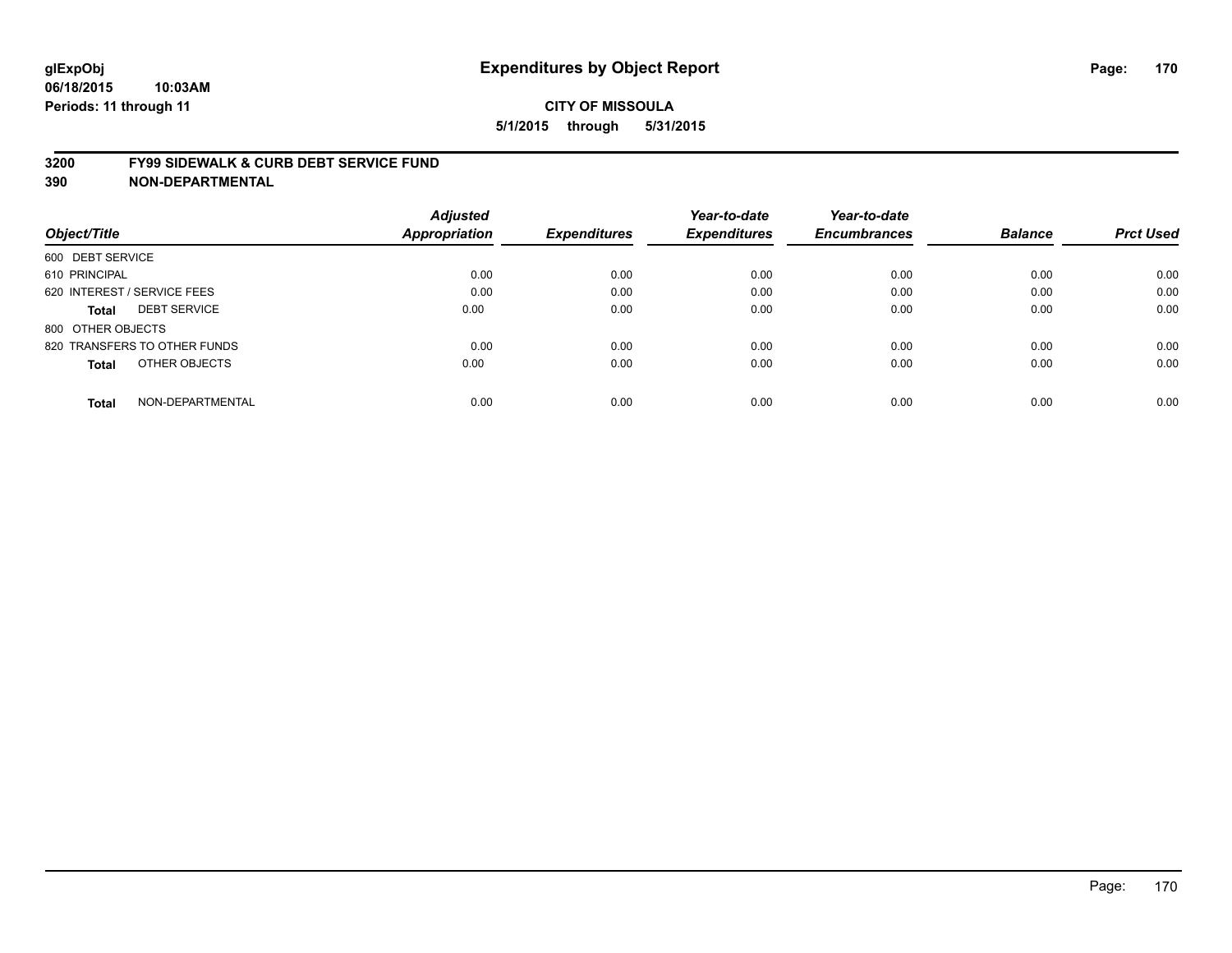#### **3200 FY99 SIDEWALK & CURB DEBT SERVICE FUND**

| Object/Title                        | <b>Adjusted</b><br><b>Appropriation</b> | <b>Expenditures</b> | Year-to-date<br><b>Expenditures</b> | Year-to-date<br><b>Encumbrances</b> | <b>Balance</b> | <b>Prct Used</b> |
|-------------------------------------|-----------------------------------------|---------------------|-------------------------------------|-------------------------------------|----------------|------------------|
|                                     |                                         |                     |                                     |                                     |                |                  |
| 600 DEBT SERVICE                    |                                         |                     |                                     |                                     |                |                  |
| 610 PRINCIPAL                       | 0.00                                    | 0.00                | 0.00                                | 0.00                                | 0.00           | 0.00             |
| 620 INTEREST / SERVICE FEES         | 0.00                                    | 0.00                | 0.00                                | 0.00                                | 0.00           | 0.00             |
| <b>DEBT SERVICE</b><br><b>Total</b> | 0.00                                    | 0.00                | 0.00                                | 0.00                                | 0.00           | 0.00             |
| 800 OTHER OBJECTS                   |                                         |                     |                                     |                                     |                |                  |
| 820 TRANSFERS TO OTHER FUNDS        | 0.00                                    | 0.00                | 0.00                                | 0.00                                | 0.00           | 0.00             |
| OTHER OBJECTS<br><b>Total</b>       | 0.00                                    | 0.00                | 0.00                                | 0.00                                | 0.00           | 0.00             |
| NON-DEPARTMENTAL<br><b>Total</b>    | 0.00                                    | 0.00                | 0.00                                | 0.00                                | 0.00           | 0.00             |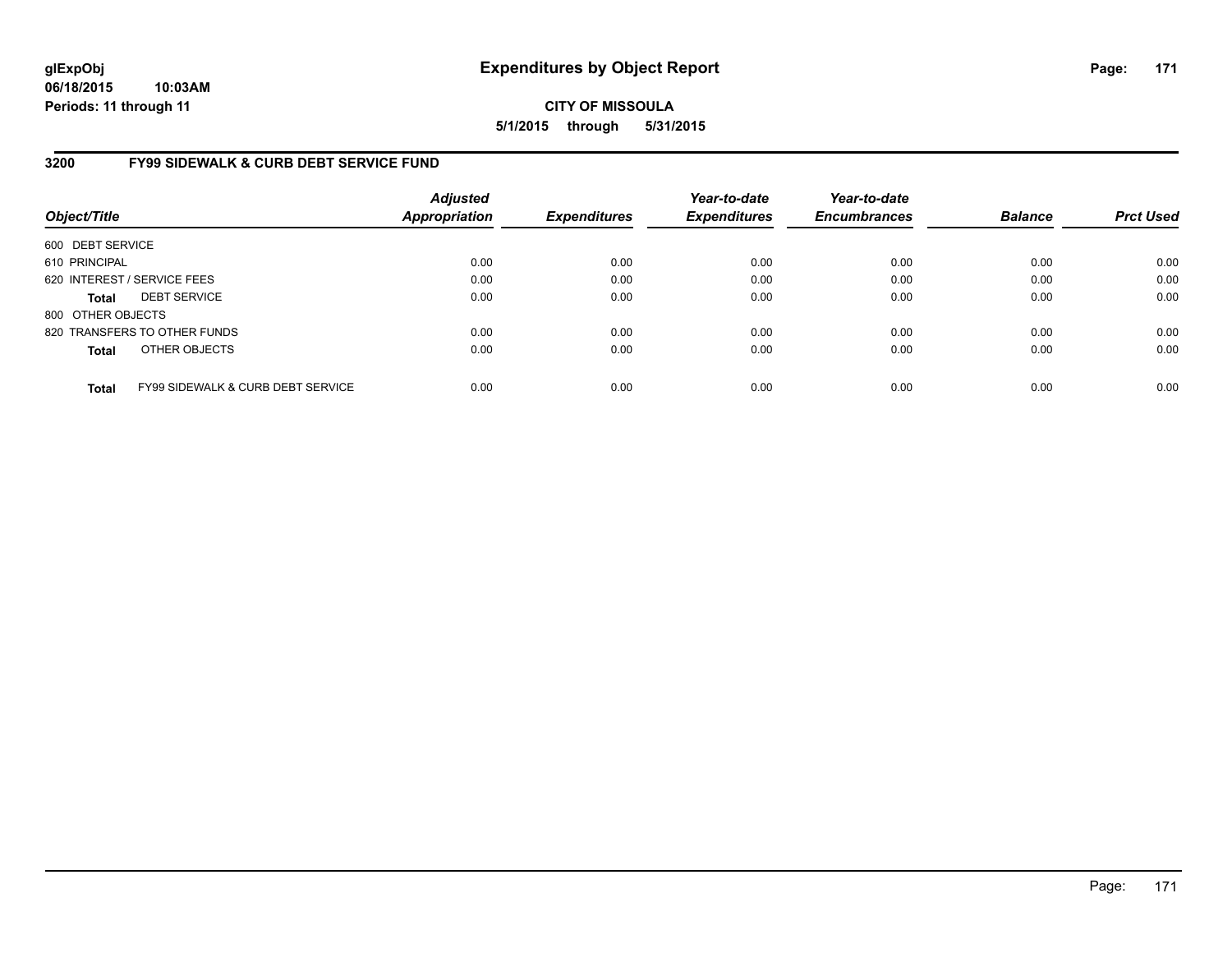**CITY OF MISSOULA 5/1/2015 through 5/31/2015**

# **3200 FY99 SIDEWALK & CURB DEBT SERVICE FUND**

| Object/Title      |                                              | <b>Adjusted</b><br><b>Appropriation</b> | <b>Expenditures</b> | Year-to-date<br><b>Expenditures</b> | Year-to-date<br><b>Encumbrances</b> | <b>Balance</b> | <b>Prct Used</b> |
|-------------------|----------------------------------------------|-----------------------------------------|---------------------|-------------------------------------|-------------------------------------|----------------|------------------|
| 600 DEBT SERVICE  |                                              |                                         |                     |                                     |                                     |                |                  |
| 610 PRINCIPAL     |                                              | 0.00                                    | 0.00                | 0.00                                | 0.00                                | 0.00           | 0.00             |
|                   | 620 INTEREST / SERVICE FEES                  | 0.00                                    | 0.00                | 0.00                                | 0.00                                | 0.00           | 0.00             |
| <b>Total</b>      | <b>DEBT SERVICE</b>                          | 0.00                                    | 0.00                | 0.00                                | 0.00                                | 0.00           | 0.00             |
| 800 OTHER OBJECTS |                                              |                                         |                     |                                     |                                     |                |                  |
|                   | 820 TRANSFERS TO OTHER FUNDS                 | 0.00                                    | 0.00                | 0.00                                | 0.00                                | 0.00           | 0.00             |
| <b>Total</b>      | OTHER OBJECTS                                | 0.00                                    | 0.00                | 0.00                                | 0.00                                | 0.00           | 0.00             |
| <b>Total</b>      | <b>FY99 SIDEWALK &amp; CURB DEBT SERVICE</b> | 0.00                                    | 0.00                | 0.00                                | 0.00                                | 0.00           | 0.00             |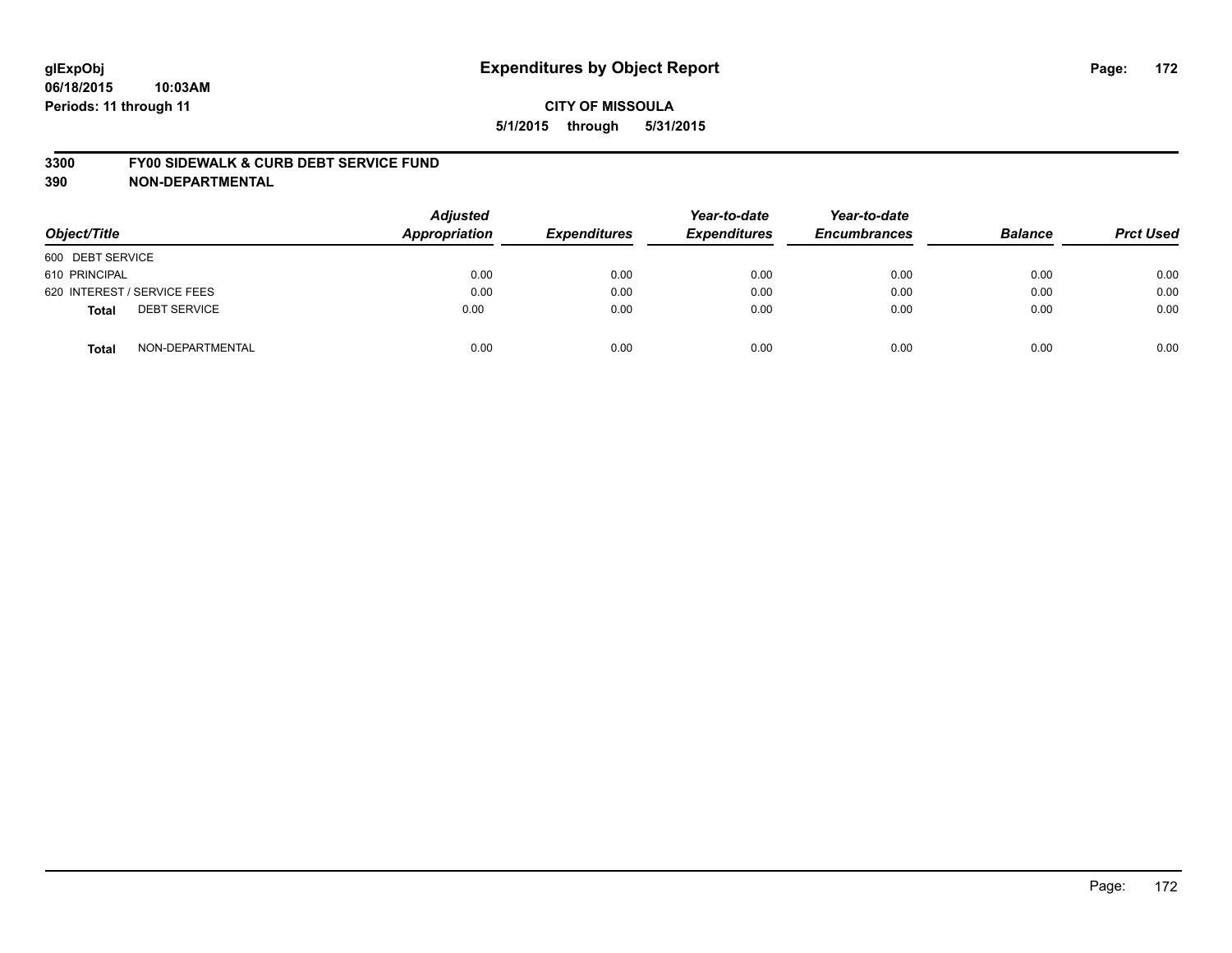#### **3300 FY00 SIDEWALK & CURB DEBT SERVICE FUND**

| Object/Title                        | <b>Adjusted</b><br><b>Appropriation</b> | <b>Expenditures</b> | Year-to-date<br><b>Expenditures</b> | Year-to-date<br><b>Encumbrances</b> | <b>Balance</b> | <b>Prct Used</b> |
|-------------------------------------|-----------------------------------------|---------------------|-------------------------------------|-------------------------------------|----------------|------------------|
| 600 DEBT SERVICE                    |                                         |                     |                                     |                                     |                |                  |
| 610 PRINCIPAL                       | 0.00                                    | 0.00                | 0.00                                | 0.00                                | 0.00           | 0.00             |
| 620 INTEREST / SERVICE FEES         | 0.00                                    | 0.00                | 0.00                                | 0.00                                | 0.00           | 0.00             |
| <b>DEBT SERVICE</b><br><b>Total</b> | 0.00                                    | 0.00                | 0.00                                | 0.00                                | 0.00           | 0.00             |
| NON-DEPARTMENTAL<br><b>Total</b>    | 0.00                                    | 0.00                | 0.00                                | 0.00                                | 0.00           | 0.00             |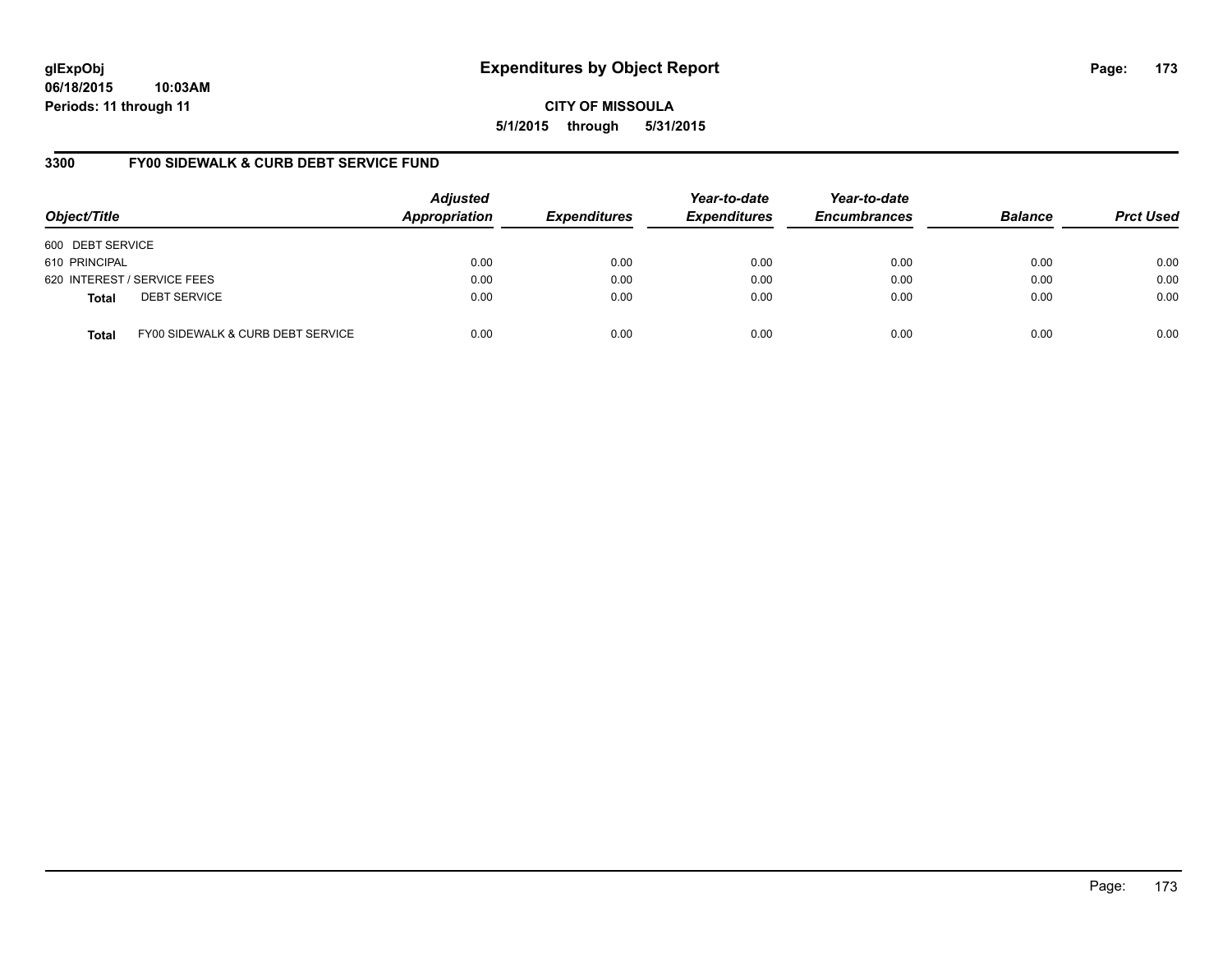**CITY OF MISSOULA 5/1/2015 through 5/31/2015**

# **3300 FY00 SIDEWALK & CURB DEBT SERVICE FUND**

| Object/Title     |                                   | <b>Adjusted</b><br><b>Appropriation</b> | <b>Expenditures</b> | Year-to-date<br><b>Expenditures</b> | Year-to-date<br><b>Encumbrances</b> | <b>Balance</b> | <b>Prct Used</b> |
|------------------|-----------------------------------|-----------------------------------------|---------------------|-------------------------------------|-------------------------------------|----------------|------------------|
| 600 DEBT SERVICE |                                   |                                         |                     |                                     |                                     |                |                  |
| 610 PRINCIPAL    |                                   | 0.00                                    | 0.00                | 0.00                                | 0.00                                | 0.00           | 0.00             |
|                  | 620 INTEREST / SERVICE FEES       | 0.00                                    | 0.00                | 0.00                                | 0.00                                | 0.00           | 0.00             |
| <b>Total</b>     | <b>DEBT SERVICE</b>               | 0.00                                    | 0.00                | 0.00                                | 0.00                                | 0.00           | 0.00             |
| <b>Total</b>     | FY00 SIDEWALK & CURB DEBT SERVICE | 0.00                                    | 0.00                | 0.00                                | 0.00                                | 0.00           | 0.00             |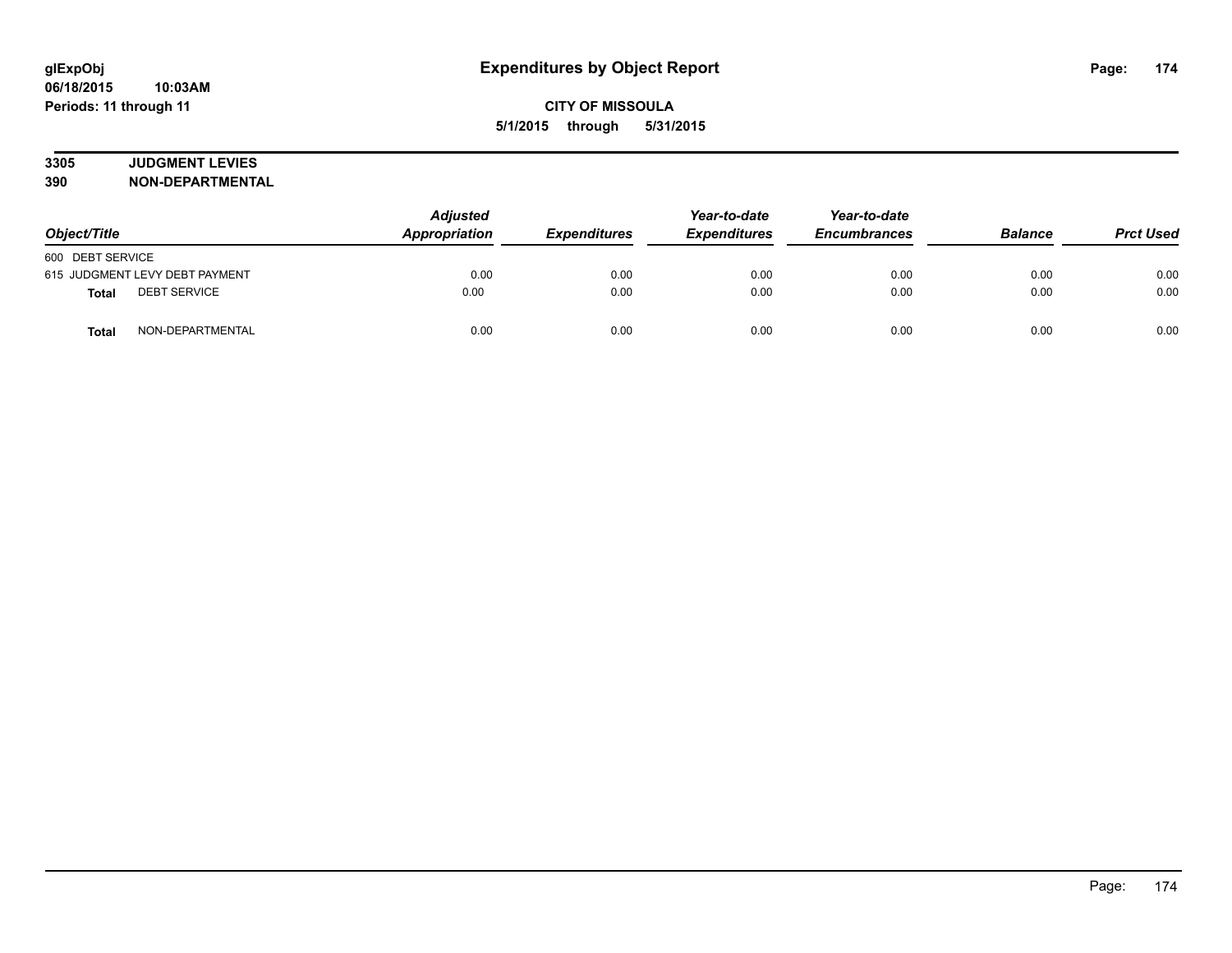# **3305 JUDGMENT LEVIES**

| Object/Title                        | <b>Adjusted</b><br>Appropriation | <b>Expenditures</b> | Year-to-date<br><b>Expenditures</b> | Year-to-date<br><b>Encumbrances</b> | <b>Balance</b> | <b>Prct Used</b> |
|-------------------------------------|----------------------------------|---------------------|-------------------------------------|-------------------------------------|----------------|------------------|
| 600 DEBT SERVICE                    |                                  |                     |                                     |                                     |                |                  |
| 615 JUDGMENT LEVY DEBT PAYMENT      | 0.00                             | 0.00                | 0.00                                | 0.00                                | 0.00           | 0.00             |
| <b>DEBT SERVICE</b><br><b>Total</b> | 0.00                             | 0.00                | 0.00                                | 0.00                                | 0.00           | 0.00             |
| NON-DEPARTMENTAL<br><b>Total</b>    | 0.00                             | 0.00                | 0.00                                | 0.00                                | 0.00           | 0.00             |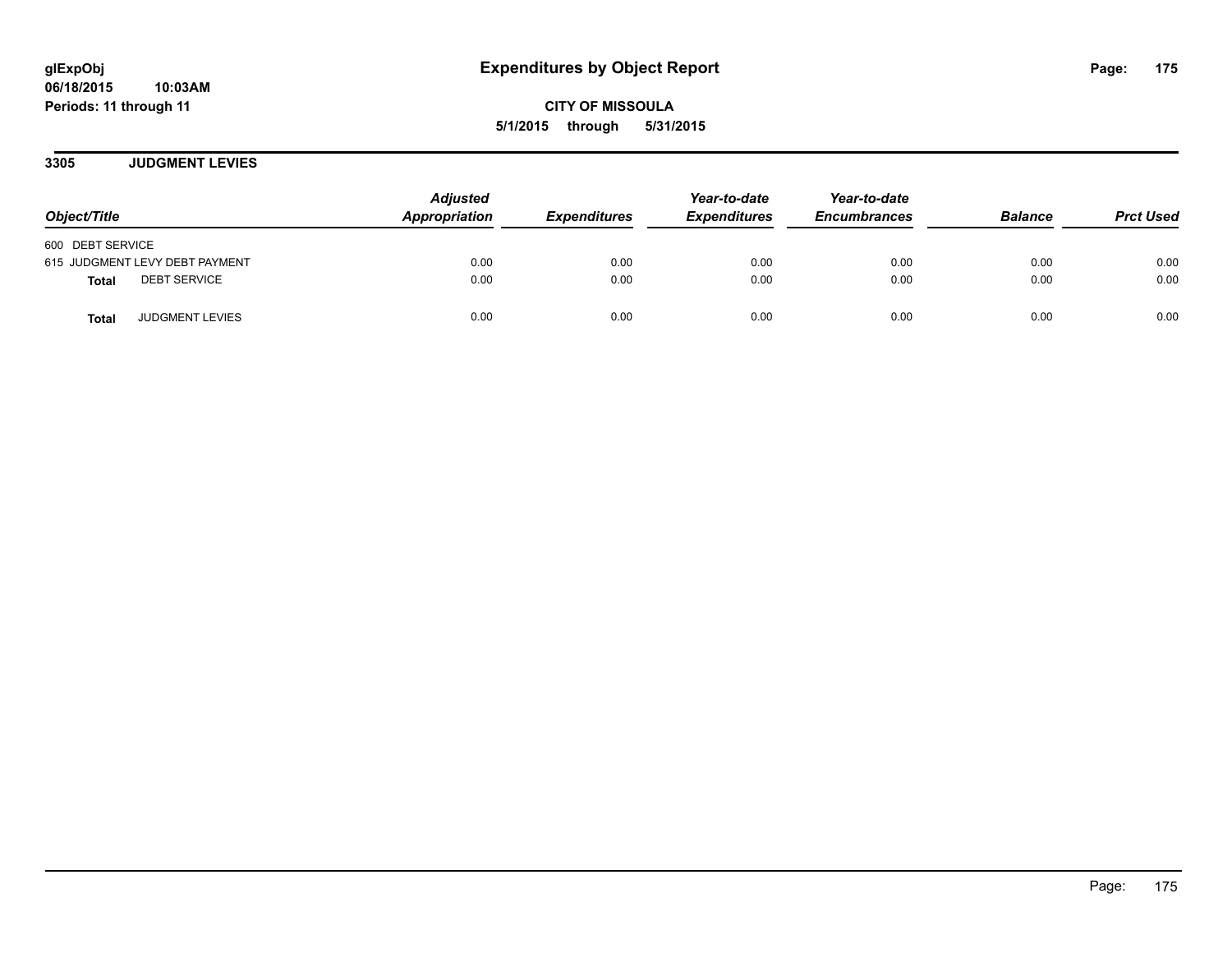**CITY OF MISSOULA 5/1/2015 through 5/31/2015**

**3305 JUDGMENT LEVIES**

| Object/Title                           | <b>Adjusted</b><br>Appropriation | <b>Expenditures</b> | Year-to-date<br><b>Expenditures</b> | Year-to-date<br><b>Encumbrances</b> | <b>Balance</b> | <b>Prct Used</b> |
|----------------------------------------|----------------------------------|---------------------|-------------------------------------|-------------------------------------|----------------|------------------|
| 600 DEBT SERVICE                       |                                  |                     |                                     |                                     |                |                  |
| 615 JUDGMENT LEVY DEBT PAYMENT         | 0.00                             | 0.00                | 0.00                                | 0.00                                | 0.00           | 0.00             |
| <b>DEBT SERVICE</b><br>Total           | 0.00                             | 0.00                | 0.00                                | 0.00                                | 0.00           | 0.00             |
| <b>JUDGMENT LEVIES</b><br><b>Total</b> | 0.00                             | 0.00                | 0.00                                | 0.00                                | 0.00           | 0.00             |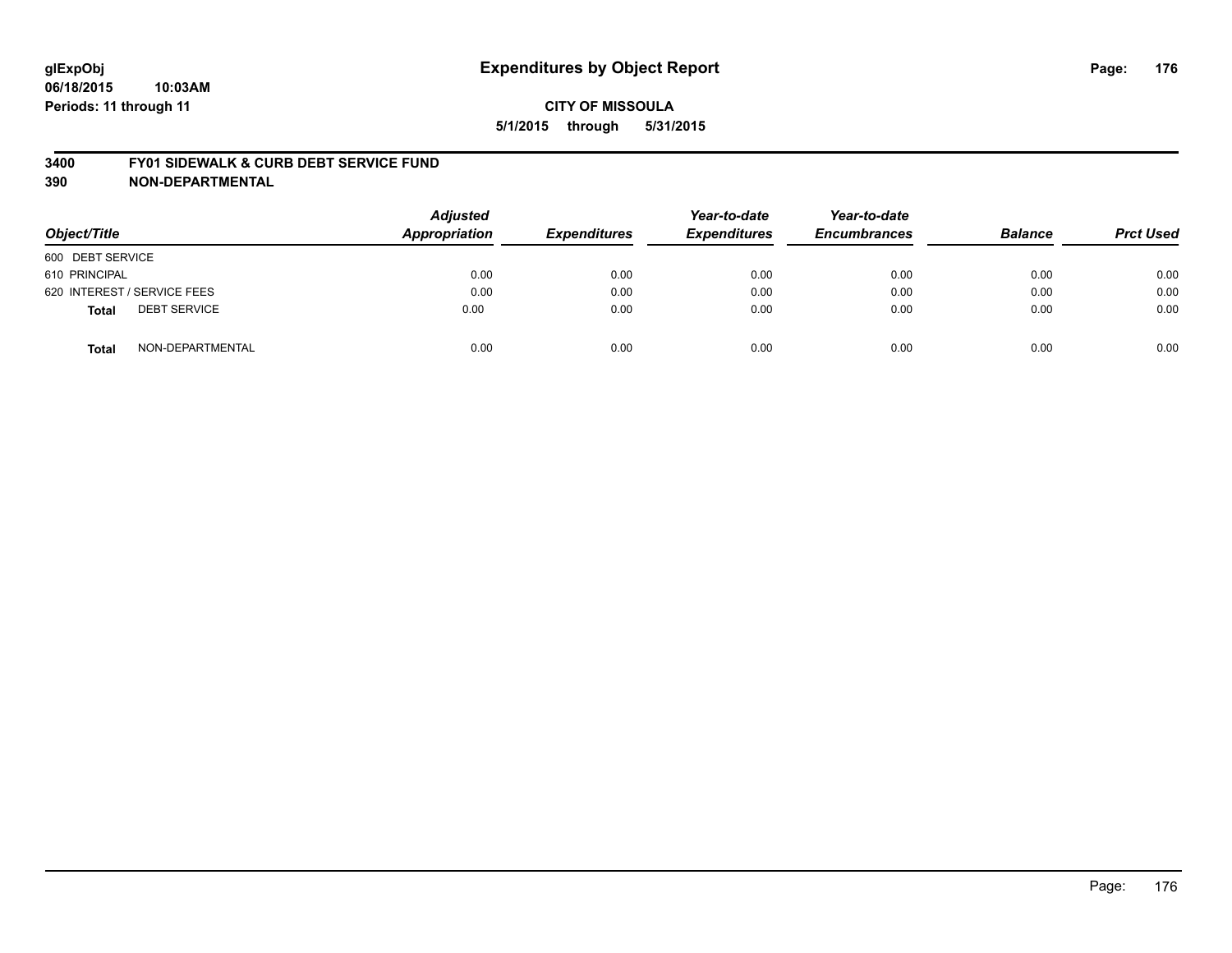#### **3400 FY01 SIDEWALK & CURB DEBT SERVICE FUND**

| Object/Title                        | <b>Adjusted</b><br><b>Appropriation</b> | <b>Expenditures</b> | Year-to-date<br><b>Expenditures</b> | Year-to-date<br><b>Encumbrances</b> | <b>Balance</b> | <b>Prct Used</b> |
|-------------------------------------|-----------------------------------------|---------------------|-------------------------------------|-------------------------------------|----------------|------------------|
| 600 DEBT SERVICE                    |                                         |                     |                                     |                                     |                |                  |
| 610 PRINCIPAL                       | 0.00                                    | 0.00                | 0.00                                | 0.00                                | 0.00           | 0.00             |
| 620 INTEREST / SERVICE FEES         | 0.00                                    | 0.00                | 0.00                                | 0.00                                | 0.00           | 0.00             |
| <b>DEBT SERVICE</b><br><b>Total</b> | 0.00                                    | 0.00                | 0.00                                | 0.00                                | 0.00           | 0.00             |
| NON-DEPARTMENTAL<br><b>Total</b>    | 0.00                                    | 0.00                | 0.00                                | 0.00                                | 0.00           | 0.00             |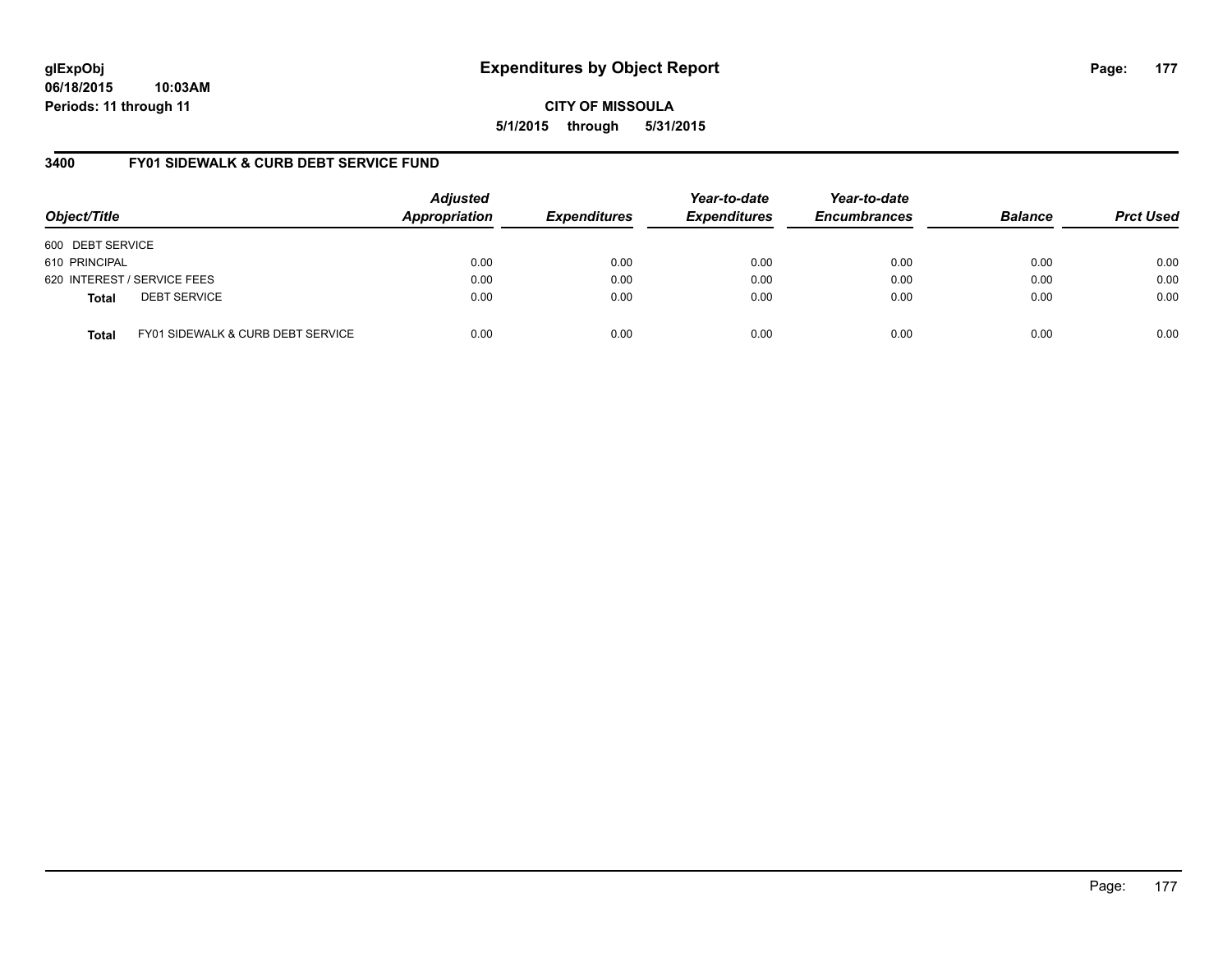**CITY OF MISSOULA 5/1/2015 through 5/31/2015**

# **3400 FY01 SIDEWALK & CURB DEBT SERVICE FUND**

| Object/Title     |                                              | <b>Adjusted</b><br>Appropriation | <b>Expenditures</b> | Year-to-date<br><b>Expenditures</b> | Year-to-date<br><b>Encumbrances</b> | <b>Balance</b> | <b>Prct Used</b> |
|------------------|----------------------------------------------|----------------------------------|---------------------|-------------------------------------|-------------------------------------|----------------|------------------|
| 600 DEBT SERVICE |                                              |                                  |                     |                                     |                                     |                |                  |
| 610 PRINCIPAL    |                                              | 0.00                             | 0.00                | 0.00                                | 0.00                                | 0.00           | 0.00             |
|                  | 620 INTEREST / SERVICE FEES                  | 0.00                             | 0.00                | 0.00                                | 0.00                                | 0.00           | 0.00             |
| <b>Total</b>     | <b>DEBT SERVICE</b>                          | 0.00                             | 0.00                | 0.00                                | 0.00                                | 0.00           | 0.00             |
| <b>Total</b>     | <b>FY01 SIDEWALK &amp; CURB DEBT SERVICE</b> | 0.00                             | 0.00                | 0.00                                | 0.00                                | 0.00           | 0.00             |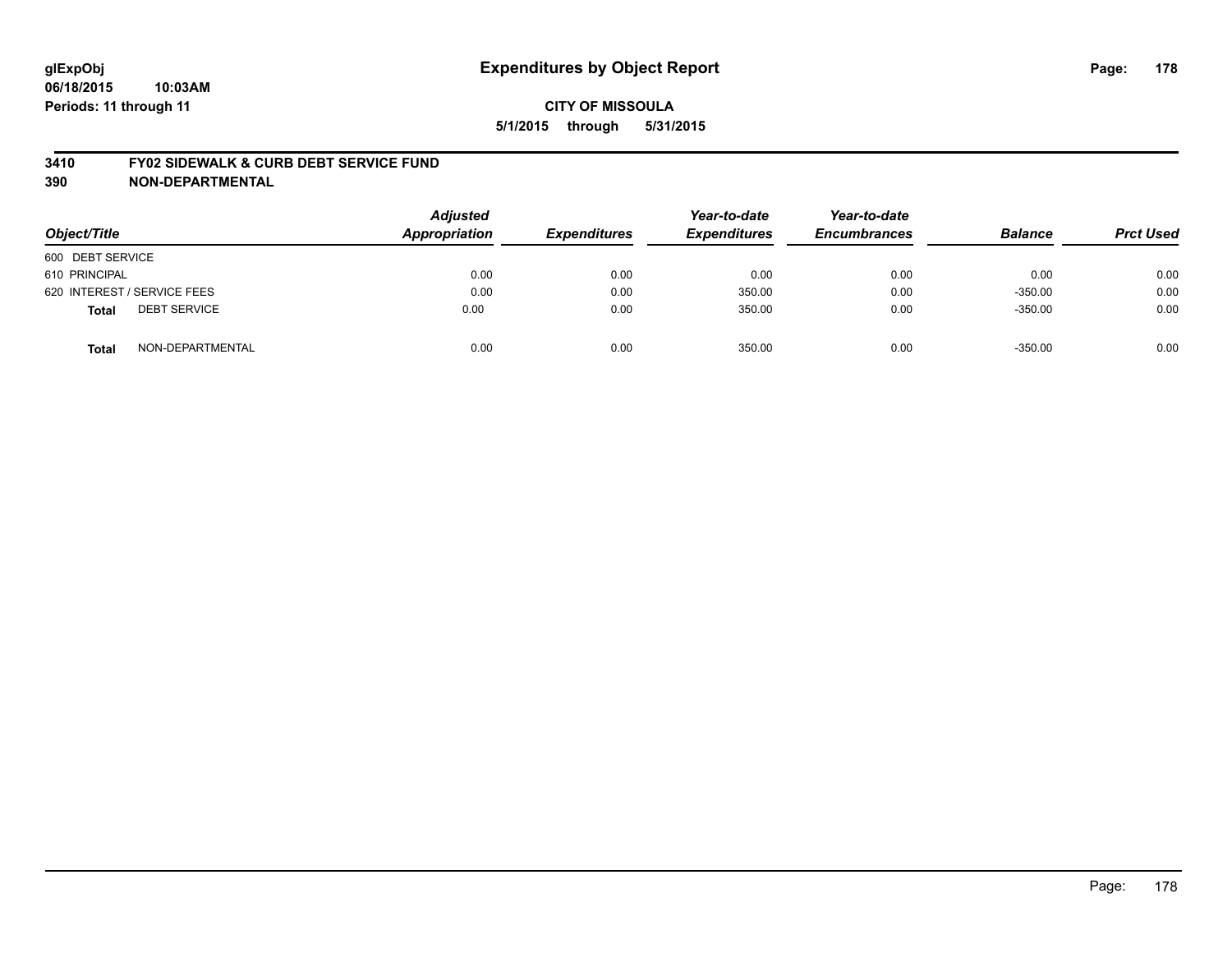#### **3410 FY02 SIDEWALK & CURB DEBT SERVICE FUND**

| Object/Title                        | <b>Adjusted</b><br><b>Appropriation</b> | <b>Expenditures</b> | Year-to-date<br><b>Expenditures</b> | Year-to-date<br><b>Encumbrances</b> | <b>Balance</b> | <b>Prct Used</b> |
|-------------------------------------|-----------------------------------------|---------------------|-------------------------------------|-------------------------------------|----------------|------------------|
| 600 DEBT SERVICE                    |                                         |                     |                                     |                                     |                |                  |
| 610 PRINCIPAL                       | 0.00                                    | 0.00                | 0.00                                | 0.00                                | 0.00           | 0.00             |
| 620 INTEREST / SERVICE FEES         | 0.00                                    | 0.00                | 350.00                              | 0.00                                | $-350.00$      | 0.00             |
| <b>DEBT SERVICE</b><br><b>Total</b> | 0.00                                    | 0.00                | 350.00                              | 0.00                                | $-350.00$      | 0.00             |
| NON-DEPARTMENTAL<br><b>Total</b>    | 0.00                                    | 0.00                | 350.00                              | 0.00                                | $-350.00$      | 0.00             |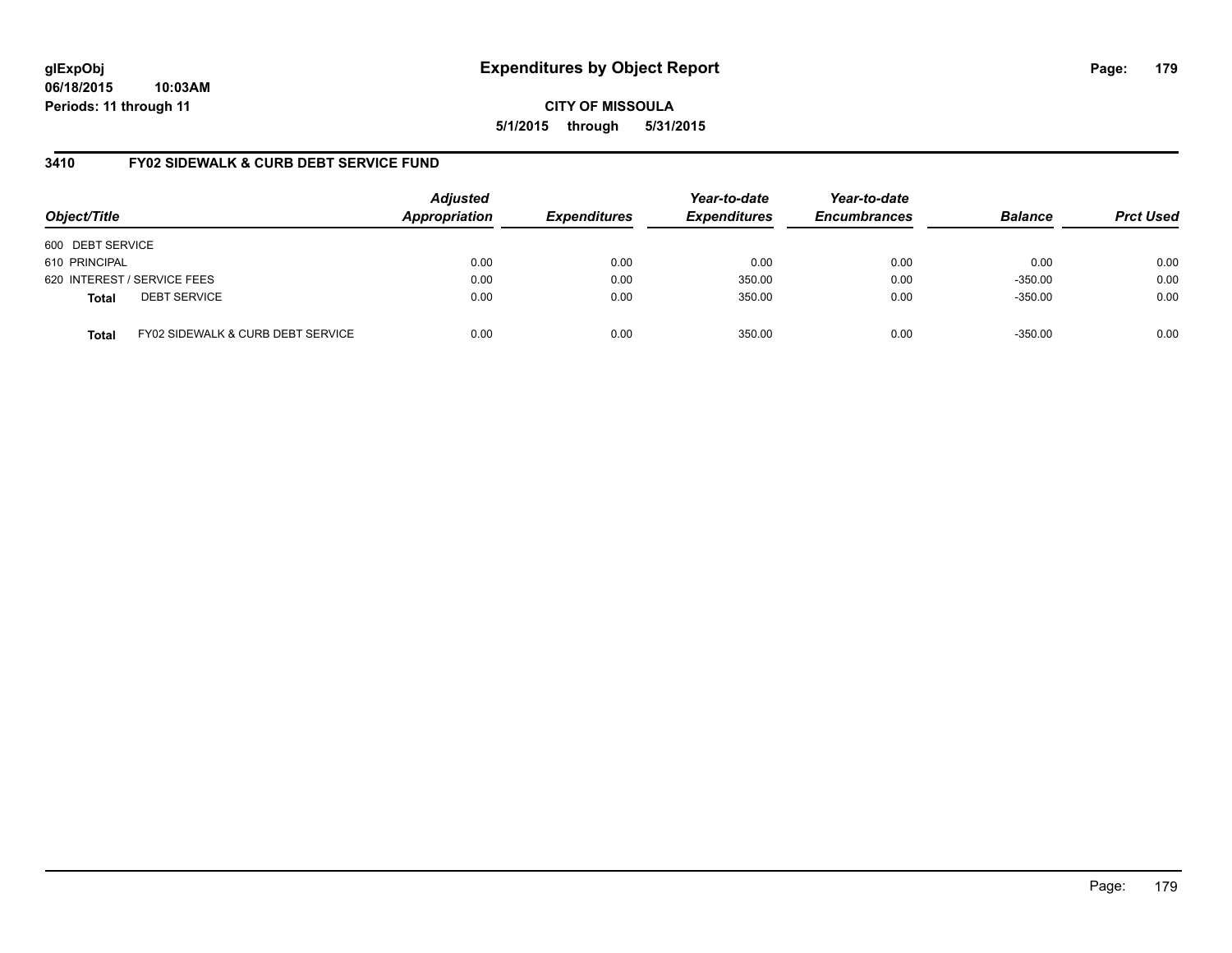**CITY OF MISSOULA 5/1/2015 through 5/31/2015**

# **3410 FY02 SIDEWALK & CURB DEBT SERVICE FUND**

| Object/Title     |                                   | <b>Adjusted</b><br>Appropriation | <b>Expenditures</b> | Year-to-date<br><b>Expenditures</b> | Year-to-date<br><b>Encumbrances</b> | <b>Balance</b> | <b>Prct Used</b> |
|------------------|-----------------------------------|----------------------------------|---------------------|-------------------------------------|-------------------------------------|----------------|------------------|
| 600 DEBT SERVICE |                                   |                                  |                     |                                     |                                     |                |                  |
| 610 PRINCIPAL    |                                   | 0.00                             | 0.00                | 0.00                                | 0.00                                | 0.00           | 0.00             |
|                  | 620 INTEREST / SERVICE FEES       | 0.00                             | 0.00                | 350.00                              | 0.00                                | $-350.00$      | 0.00             |
| <b>Total</b>     | <b>DEBT SERVICE</b>               | 0.00                             | 0.00                | 350.00                              | 0.00                                | $-350.00$      | 0.00             |
| <b>Total</b>     | FY02 SIDEWALK & CURB DEBT SERVICE | 0.00                             | 0.00                | 350.00                              | 0.00                                | $-350.00$      | 0.00             |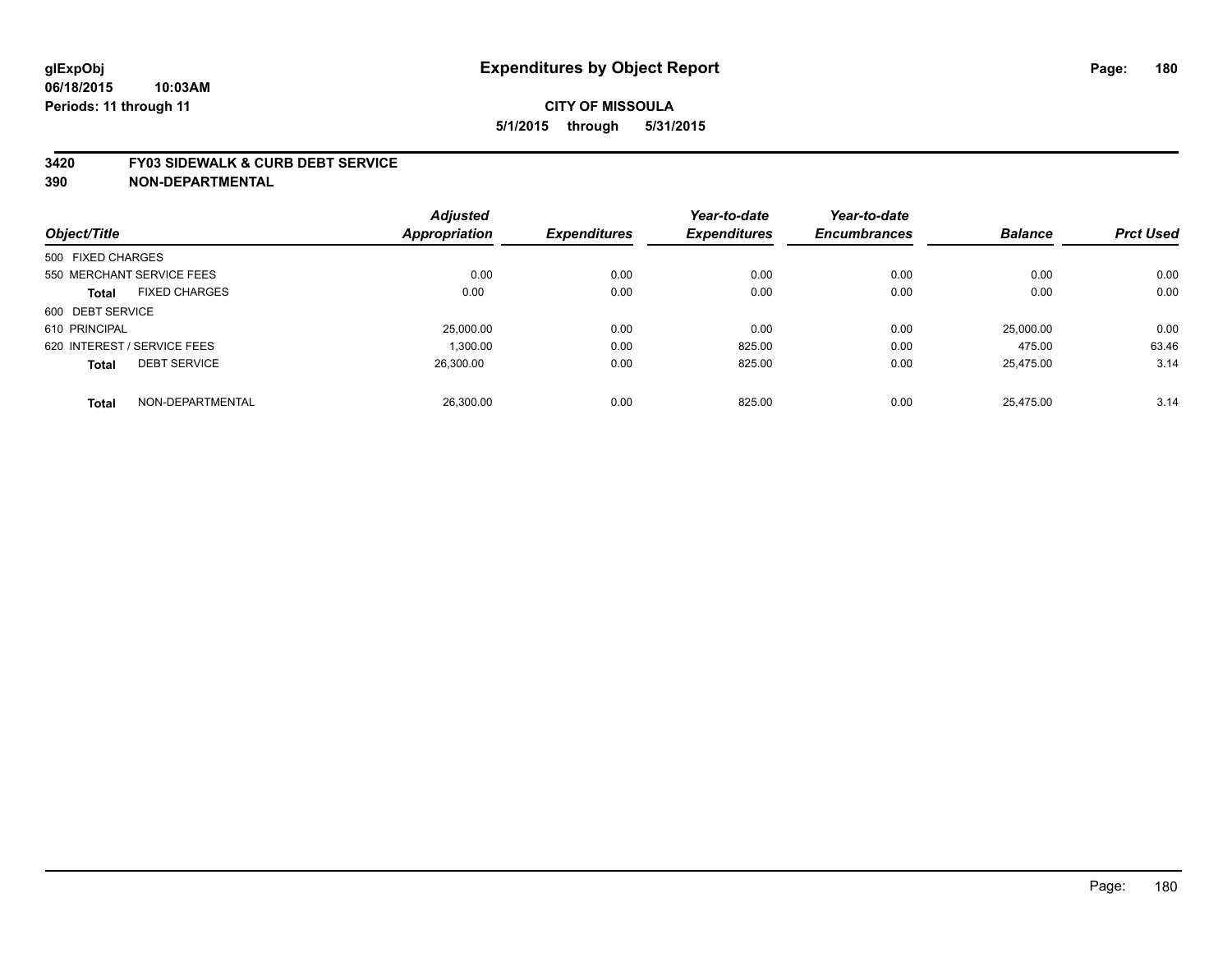#### **3420 FY03 SIDEWALK & CURB DEBT SERVICE**

|                             |                           | <b>Adjusted</b>      |                     | Year-to-date        | Year-to-date        |                |                  |
|-----------------------------|---------------------------|----------------------|---------------------|---------------------|---------------------|----------------|------------------|
| Object/Title                |                           | <b>Appropriation</b> | <b>Expenditures</b> | <b>Expenditures</b> | <b>Encumbrances</b> | <b>Balance</b> | <b>Prct Used</b> |
| 500 FIXED CHARGES           |                           |                      |                     |                     |                     |                |                  |
|                             | 550 MERCHANT SERVICE FEES | 0.00                 | 0.00                | 0.00                | 0.00                | 0.00           | 0.00             |
| <b>Total</b>                | <b>FIXED CHARGES</b>      | 0.00                 | 0.00                | 0.00                | 0.00                | 0.00           | 0.00             |
| 600 DEBT SERVICE            |                           |                      |                     |                     |                     |                |                  |
| 610 PRINCIPAL               |                           | 25,000.00            | 0.00                | 0.00                | 0.00                | 25,000.00      | 0.00             |
| 620 INTEREST / SERVICE FEES |                           | 1.300.00             | 0.00                | 825.00              | 0.00                | 475.00         | 63.46            |
| <b>Total</b>                | <b>DEBT SERVICE</b>       | 26.300.00            | 0.00                | 825.00              | 0.00                | 25.475.00      | 3.14             |
| <b>Total</b>                | NON-DEPARTMENTAL          | 26.300.00            | 0.00                | 825.00              | 0.00                | 25.475.00      | 3.14             |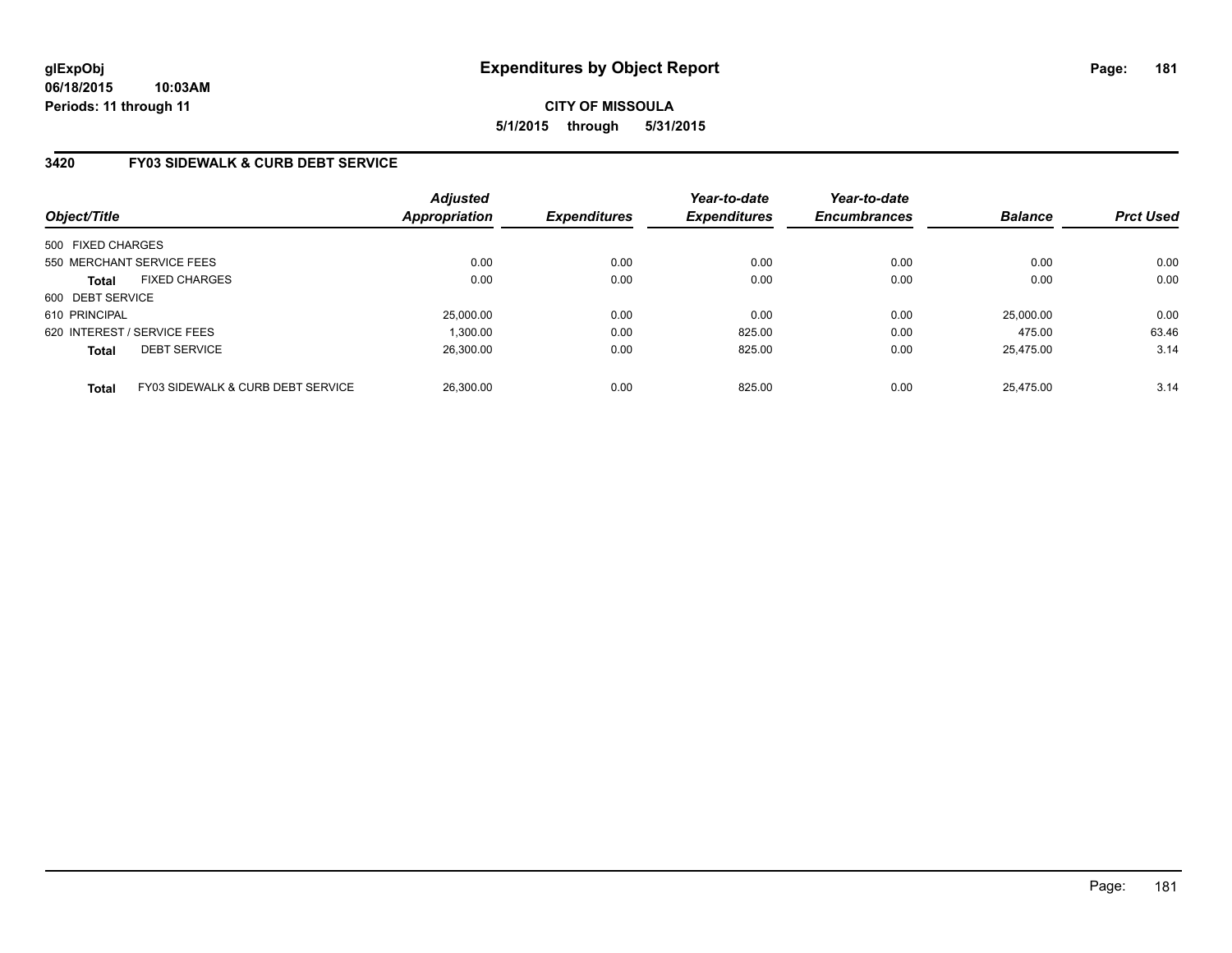# **3420 FY03 SIDEWALK & CURB DEBT SERVICE**

| Object/Title                |                                   | <b>Adjusted</b><br>Appropriation | <b>Expenditures</b> | Year-to-date<br><b>Expenditures</b> | Year-to-date<br><b>Encumbrances</b> | <b>Balance</b> | <b>Prct Used</b> |
|-----------------------------|-----------------------------------|----------------------------------|---------------------|-------------------------------------|-------------------------------------|----------------|------------------|
| 500 FIXED CHARGES           |                                   |                                  |                     |                                     |                                     |                |                  |
| 550 MERCHANT SERVICE FEES   |                                   | 0.00                             | 0.00                | 0.00                                | 0.00                                | 0.00           | 0.00             |
| <b>Total</b>                | <b>FIXED CHARGES</b>              | 0.00                             | 0.00                | 0.00                                | 0.00                                | 0.00           | 0.00             |
| 600 DEBT SERVICE            |                                   |                                  |                     |                                     |                                     |                |                  |
| 610 PRINCIPAL               |                                   | 25,000.00                        | 0.00                | 0.00                                | 0.00                                | 25,000.00      | 0.00             |
| 620 INTEREST / SERVICE FEES |                                   | 1.300.00                         | 0.00                | 825.00                              | 0.00                                | 475.00         | 63.46            |
| <b>Total</b>                | <b>DEBT SERVICE</b>               | 26.300.00                        | 0.00                | 825.00                              | 0.00                                | 25.475.00      | 3.14             |
| <b>Total</b>                | FY03 SIDEWALK & CURB DEBT SERVICE | 26.300.00                        | 0.00                | 825.00                              | 0.00                                | 25.475.00      | 3.14             |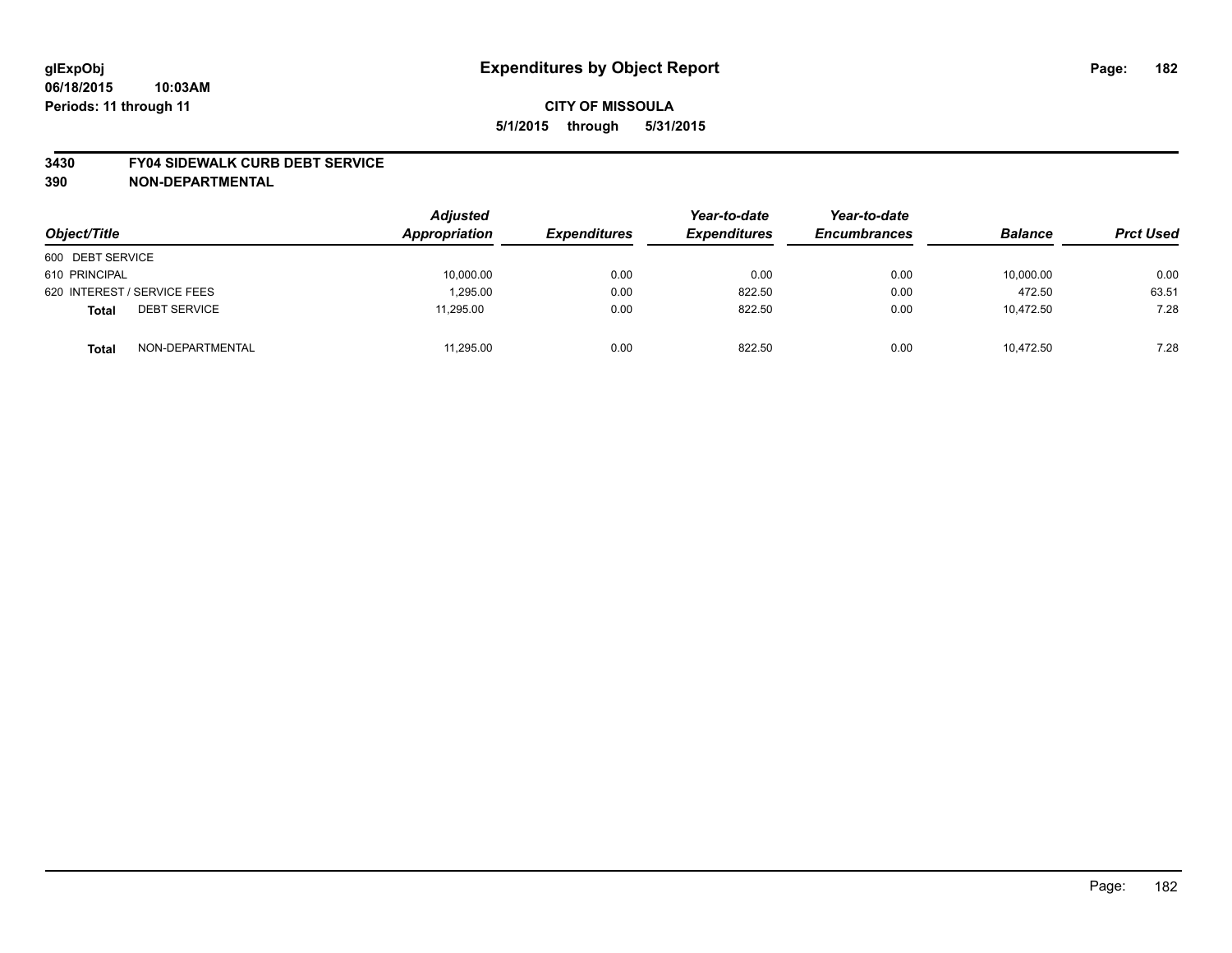#### **3430 FY04 SIDEWALK CURB DEBT SERVICE**

| Object/Title                        | <b>Adjusted</b><br>Appropriation | <b>Expenditures</b> | Year-to-date<br><b>Expenditures</b> | Year-to-date<br><b>Encumbrances</b> | <b>Balance</b> | <b>Prct Used</b> |
|-------------------------------------|----------------------------------|---------------------|-------------------------------------|-------------------------------------|----------------|------------------|
| 600 DEBT SERVICE                    |                                  |                     |                                     |                                     |                |                  |
| 610 PRINCIPAL                       | 10,000.00                        | 0.00                | 0.00                                | 0.00                                | 10,000.00      | 0.00             |
| 620 INTEREST / SERVICE FEES         | 1.295.00                         | 0.00                | 822.50                              | 0.00                                | 472.50         | 63.51            |
| <b>DEBT SERVICE</b><br><b>Total</b> | 11,295.00                        | 0.00                | 822.50                              | 0.00                                | 10,472.50      | 7.28             |
| NON-DEPARTMENTAL<br><b>Total</b>    | 11,295.00                        | 0.00                | 822.50                              | 0.00                                | 10.472.50      | 7.28             |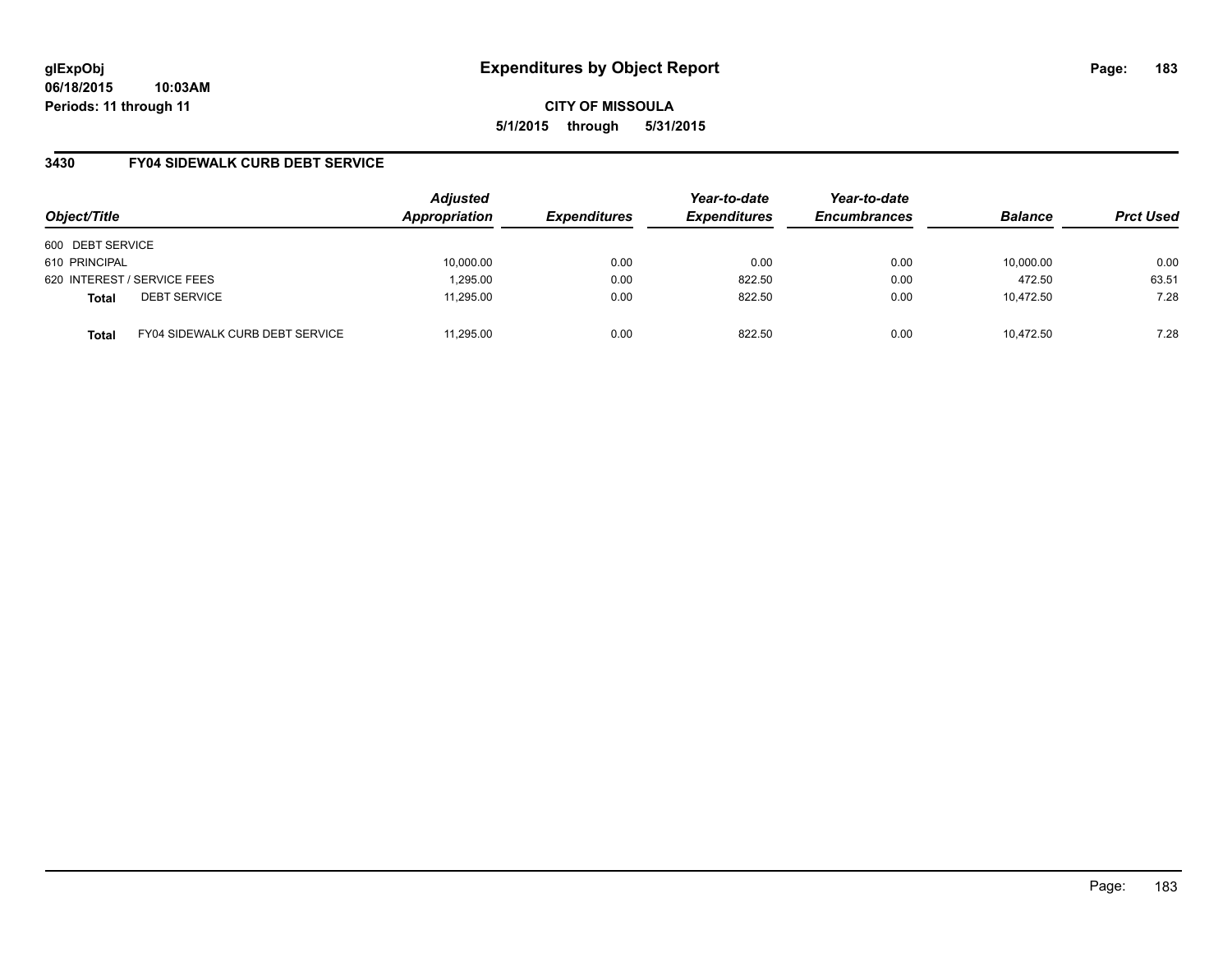**06/18/2015 10:03AM Periods: 11 through 11**

**CITY OF MISSOULA 5/1/2015 through 5/31/2015**

# **3430 FY04 SIDEWALK CURB DEBT SERVICE**

| Object/Title                |                                        | <b>Adjusted</b><br>Appropriation | <b>Expenditures</b> | Year-to-date<br><b>Expenditures</b> | Year-to-date<br><b>Encumbrances</b> | <b>Balance</b> | <b>Prct Used</b> |
|-----------------------------|----------------------------------------|----------------------------------|---------------------|-------------------------------------|-------------------------------------|----------------|------------------|
| 600 DEBT SERVICE            |                                        |                                  |                     |                                     |                                     |                |                  |
| 610 PRINCIPAL               |                                        | 10,000.00                        | 0.00                | 0.00                                | 0.00                                | 10,000.00      | 0.00             |
| 620 INTEREST / SERVICE FEES |                                        | 1,295.00                         | 0.00                | 822.50                              | 0.00                                | 472.50         | 63.51            |
| <b>Total</b>                | <b>DEBT SERVICE</b>                    | 11.295.00                        | 0.00                | 822.50                              | 0.00                                | 10.472.50      | 7.28             |
| <b>Total</b>                | <b>FY04 SIDEWALK CURB DEBT SERVICE</b> | 11.295.00                        | 0.00                | 822.50                              | 0.00                                | 10.472.50      | 7.28             |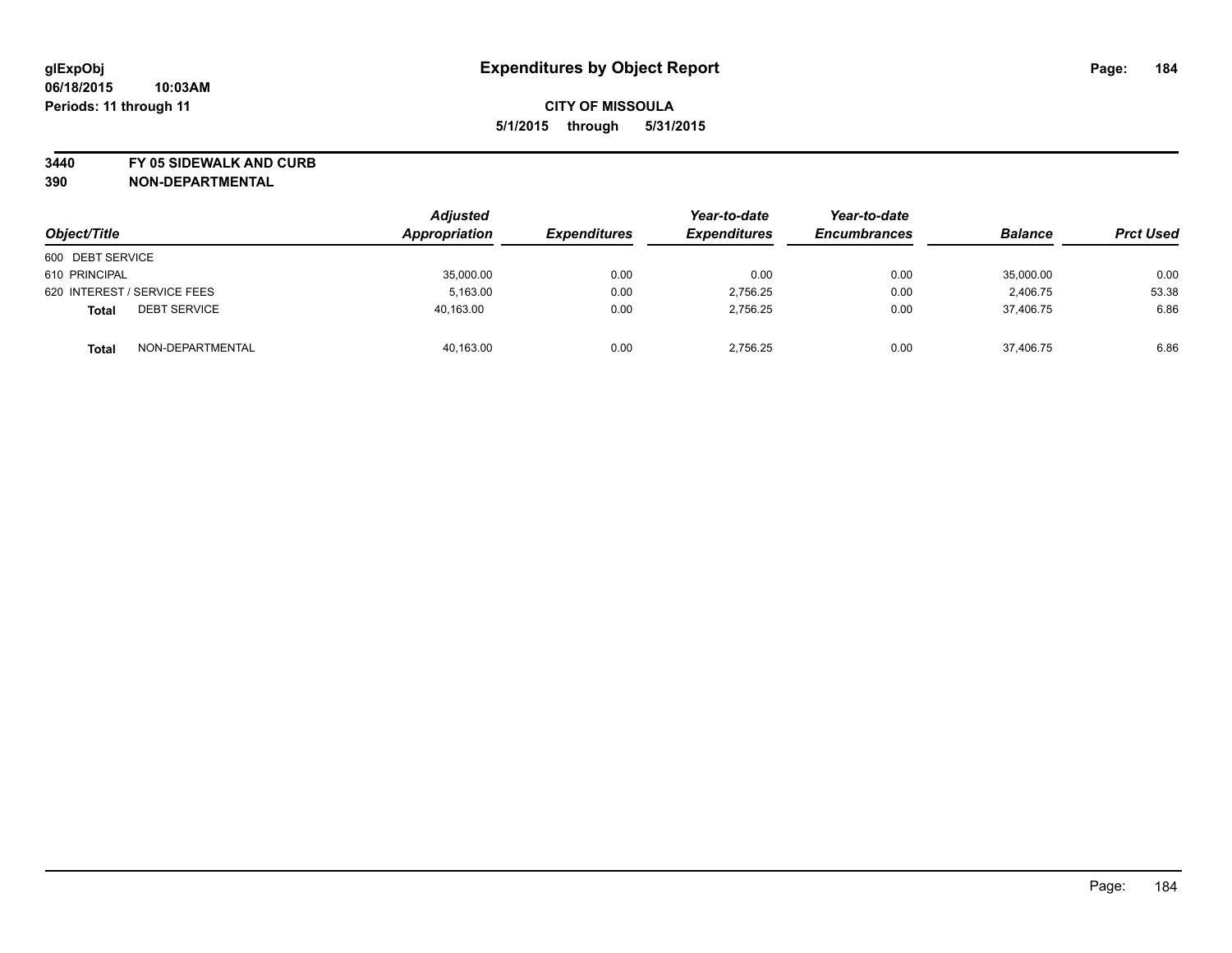**3440 FY 05 SIDEWALK AND CURB**

| Object/Title                        | <b>Adjusted</b><br>Appropriation | <i><b>Expenditures</b></i> | Year-to-date<br><b>Expenditures</b> | Year-to-date<br><b>Encumbrances</b> | <b>Balance</b> | <b>Prct Used</b> |
|-------------------------------------|----------------------------------|----------------------------|-------------------------------------|-------------------------------------|----------------|------------------|
| 600 DEBT SERVICE                    |                                  |                            |                                     |                                     |                |                  |
| 610 PRINCIPAL                       | 35,000.00                        | 0.00                       | 0.00                                | 0.00                                | 35,000.00      | 0.00             |
| 620 INTEREST / SERVICE FEES         | 5,163.00                         | 0.00                       | 2,756.25                            | 0.00                                | 2,406.75       | 53.38            |
| <b>DEBT SERVICE</b><br><b>Total</b> | 40.163.00                        | 0.00                       | 2.756.25                            | 0.00                                | 37,406.75      | 6.86             |
| NON-DEPARTMENTAL<br><b>Total</b>    | 40,163.00                        | 0.00                       | 2.756.25                            | 0.00                                | 37.406.75      | 6.86             |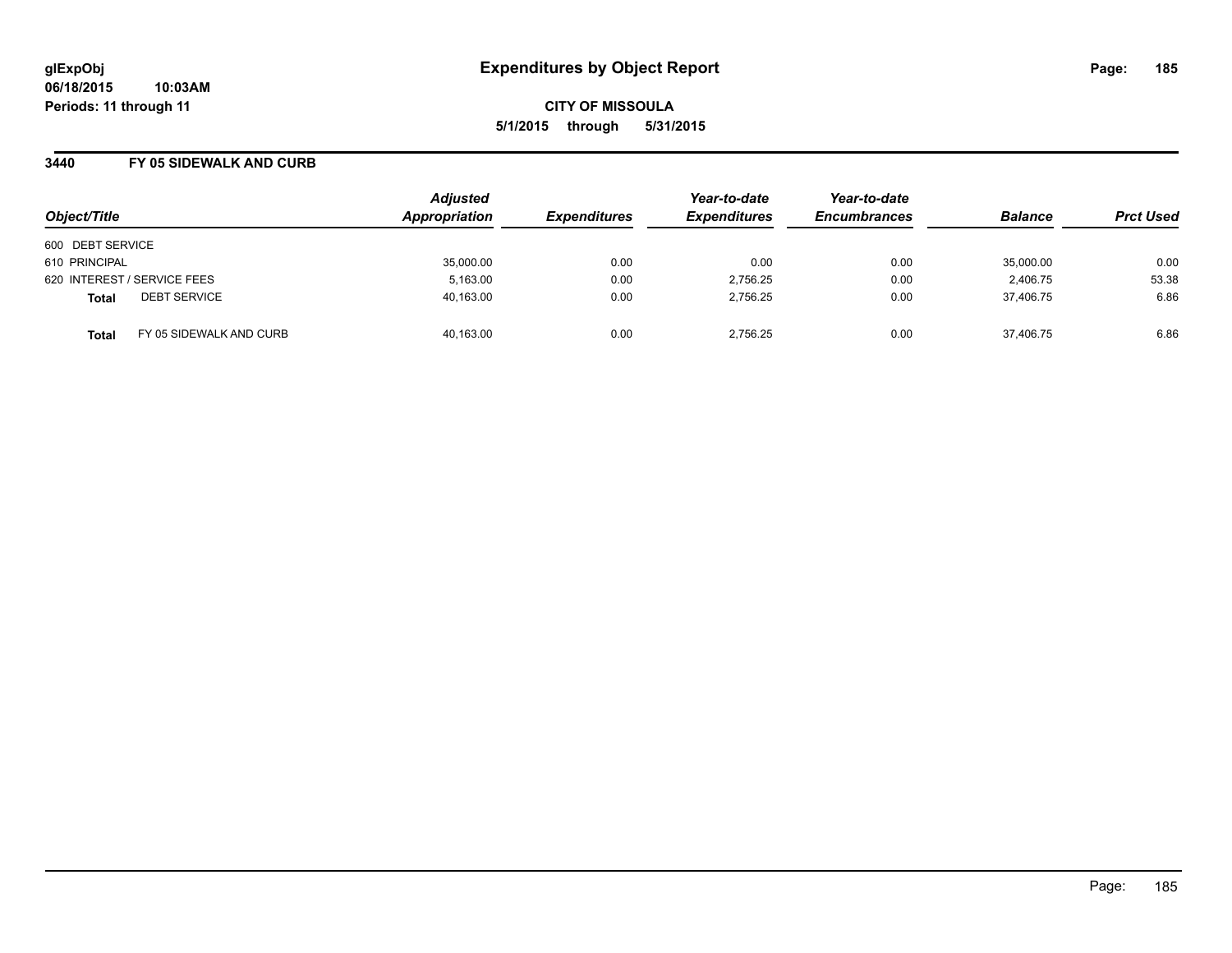#### **3440 FY 05 SIDEWALK AND CURB**

| Object/Title                            | <b>Adjusted</b><br>Appropriation | <b>Expenditures</b> | Year-to-date<br><b>Expenditures</b> | Year-to-date<br><b>Encumbrances</b> | <b>Balance</b> | <b>Prct Used</b> |
|-----------------------------------------|----------------------------------|---------------------|-------------------------------------|-------------------------------------|----------------|------------------|
| 600 DEBT SERVICE                        |                                  |                     |                                     |                                     |                |                  |
| 610 PRINCIPAL                           | 35,000.00                        | 0.00                | 0.00                                | 0.00                                | 35,000.00      | 0.00             |
| 620 INTEREST / SERVICE FEES             | 5,163.00                         | 0.00                | 2,756.25                            | 0.00                                | 2,406.75       | 53.38            |
| <b>DEBT SERVICE</b><br><b>Total</b>     | 40,163.00                        | 0.00                | 2,756.25                            | 0.00                                | 37.406.75      | 6.86             |
| FY 05 SIDEWALK AND CURB<br><b>Total</b> | 40,163.00                        | 0.00                | 2.756.25                            | 0.00                                | 37,406.75      | 6.86             |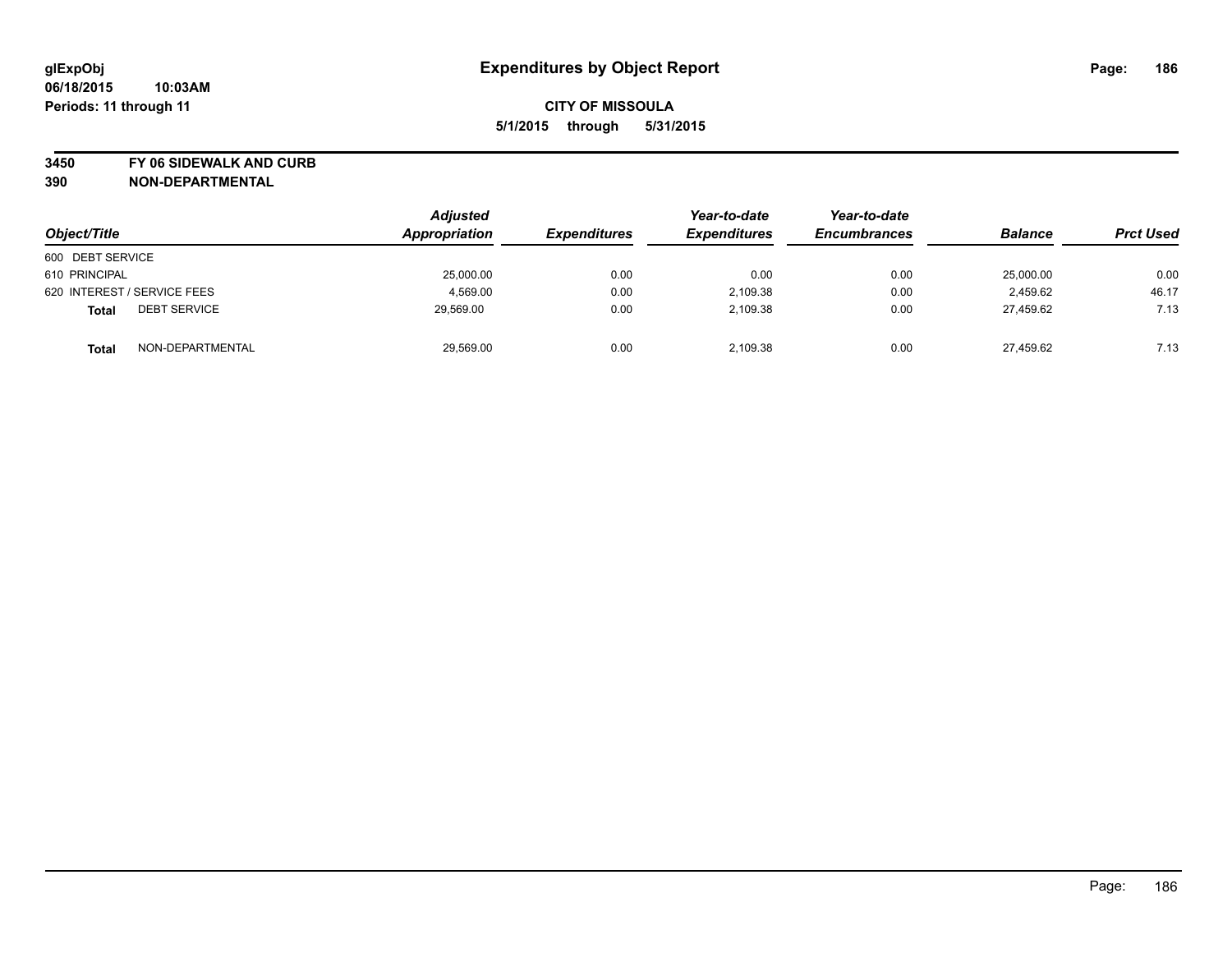**3450 FY 06 SIDEWALK AND CURB**

| Object/Title                        | <b>Adjusted</b><br>Appropriation | <b>Expenditures</b> | Year-to-date<br><b>Expenditures</b> | Year-to-date<br><b>Encumbrances</b> | <b>Balance</b> | <b>Prct Used</b> |
|-------------------------------------|----------------------------------|---------------------|-------------------------------------|-------------------------------------|----------------|------------------|
| 600 DEBT SERVICE                    |                                  |                     |                                     |                                     |                |                  |
|                                     |                                  |                     |                                     |                                     |                |                  |
| 610 PRINCIPAL                       | 25,000.00                        | 0.00                | 0.00                                | 0.00                                | 25.000.00      | 0.00             |
| 620 INTEREST / SERVICE FEES         | 4,569.00                         | 0.00                | 2,109.38                            | 0.00                                | 2,459.62       | 46.17            |
| <b>DEBT SERVICE</b><br><b>Total</b> | 29,569.00                        | 0.00                | 2,109.38                            | 0.00                                | 27,459.62      | 7.13             |
| NON-DEPARTMENTAL<br><b>Total</b>    | 29,569.00                        | 0.00                | 2,109.38                            | 0.00                                | 27.459.62      | 7.13             |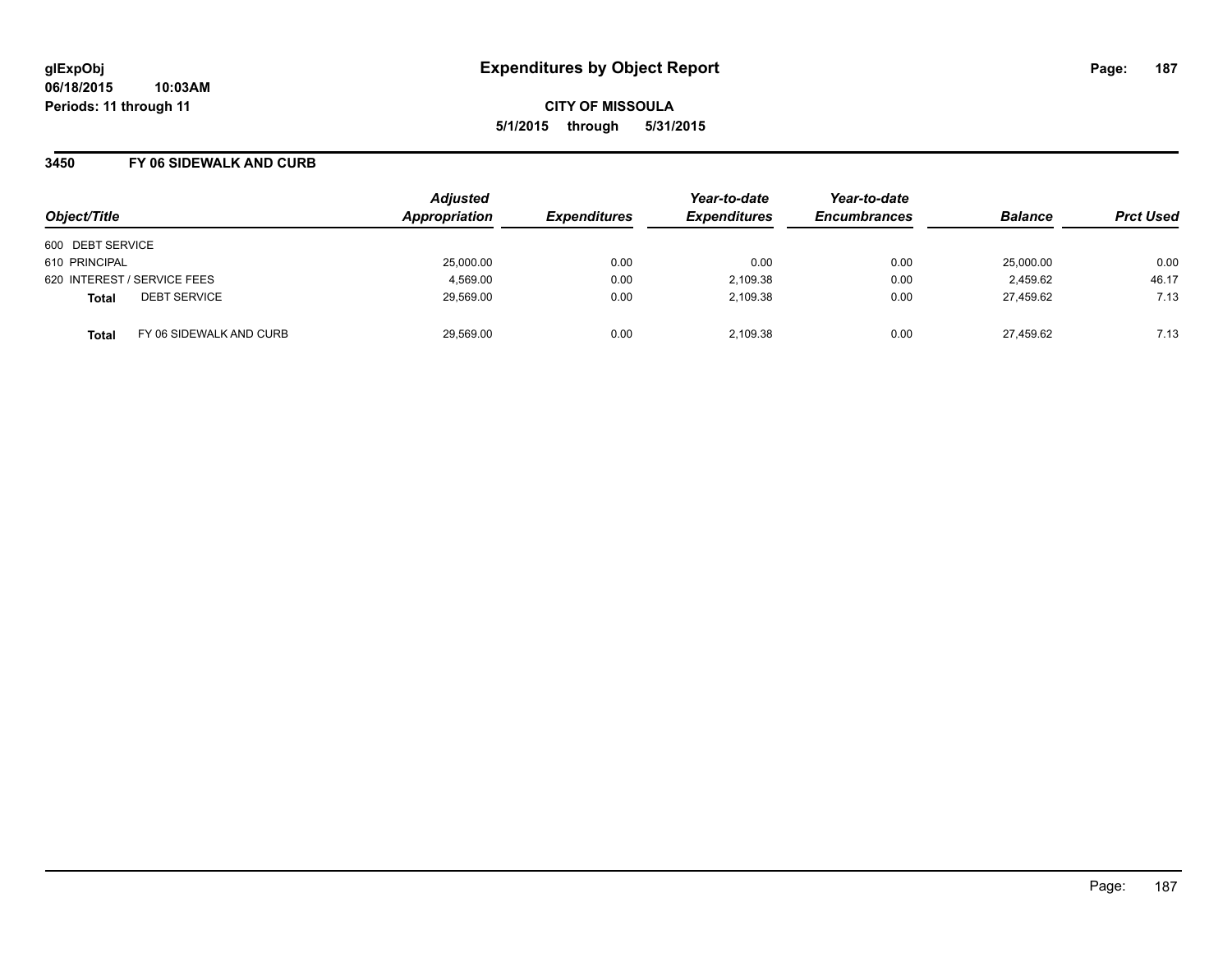#### **3450 FY 06 SIDEWALK AND CURB**

|                                         | <b>Adjusted</b> |                     | Year-to-date        | Year-to-date        |                |                  |
|-----------------------------------------|-----------------|---------------------|---------------------|---------------------|----------------|------------------|
| Object/Title                            | Appropriation   | <b>Expenditures</b> | <b>Expenditures</b> | <b>Encumbrances</b> | <b>Balance</b> | <b>Prct Used</b> |
| 600 DEBT SERVICE                        |                 |                     |                     |                     |                |                  |
| 610 PRINCIPAL                           | 25,000.00       | 0.00                | 0.00                | 0.00                | 25,000.00      | 0.00             |
| 620 INTEREST / SERVICE FEES             | 4,569.00        | 0.00                | 2,109.38            | 0.00                | 2,459.62       | 46.17            |
| <b>DEBT SERVICE</b><br><b>Total</b>     | 29,569.00       | 0.00                | 2.109.38            | 0.00                | 27.459.62      | 7.13             |
| FY 06 SIDEWALK AND CURB<br><b>Total</b> | 29,569.00       | 0.00                | 2.109.38            | 0.00                | 27,459.62      | 7.13             |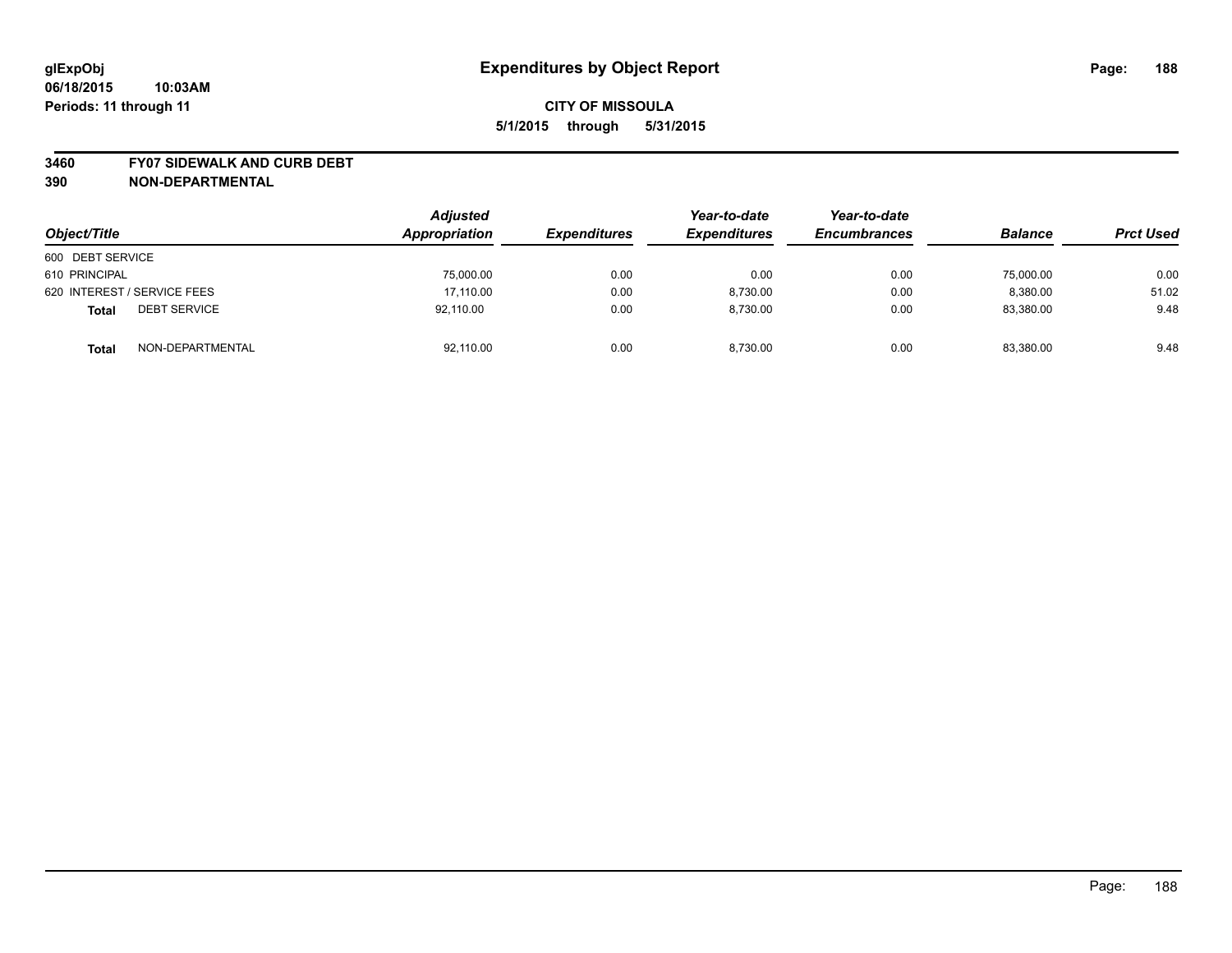#### **3460 FY07 SIDEWALK AND CURB DEBT**

| Object/Title                        | <b>Adjusted</b><br>Appropriation | <b>Expenditures</b> | Year-to-date<br><b>Expenditures</b> | Year-to-date<br><b>Encumbrances</b> | <b>Balance</b> | <b>Prct Used</b> |
|-------------------------------------|----------------------------------|---------------------|-------------------------------------|-------------------------------------|----------------|------------------|
| 600 DEBT SERVICE                    |                                  |                     |                                     |                                     |                |                  |
| 610 PRINCIPAL                       | 75,000.00                        | 0.00                | 0.00                                | 0.00                                | 75,000.00      | 0.00             |
| 620 INTEREST / SERVICE FEES         | 17,110.00                        | 0.00                | 8.730.00                            | 0.00                                | 8,380.00       | 51.02            |
| <b>DEBT SERVICE</b><br><b>Total</b> | 92.110.00                        | 0.00                | 8.730.00                            | 0.00                                | 83.380.00      | 9.48             |
| NON-DEPARTMENTAL<br><b>Total</b>    | 92,110.00                        | 0.00                | 8,730.00                            | 0.00                                | 83,380.00      | 9.48             |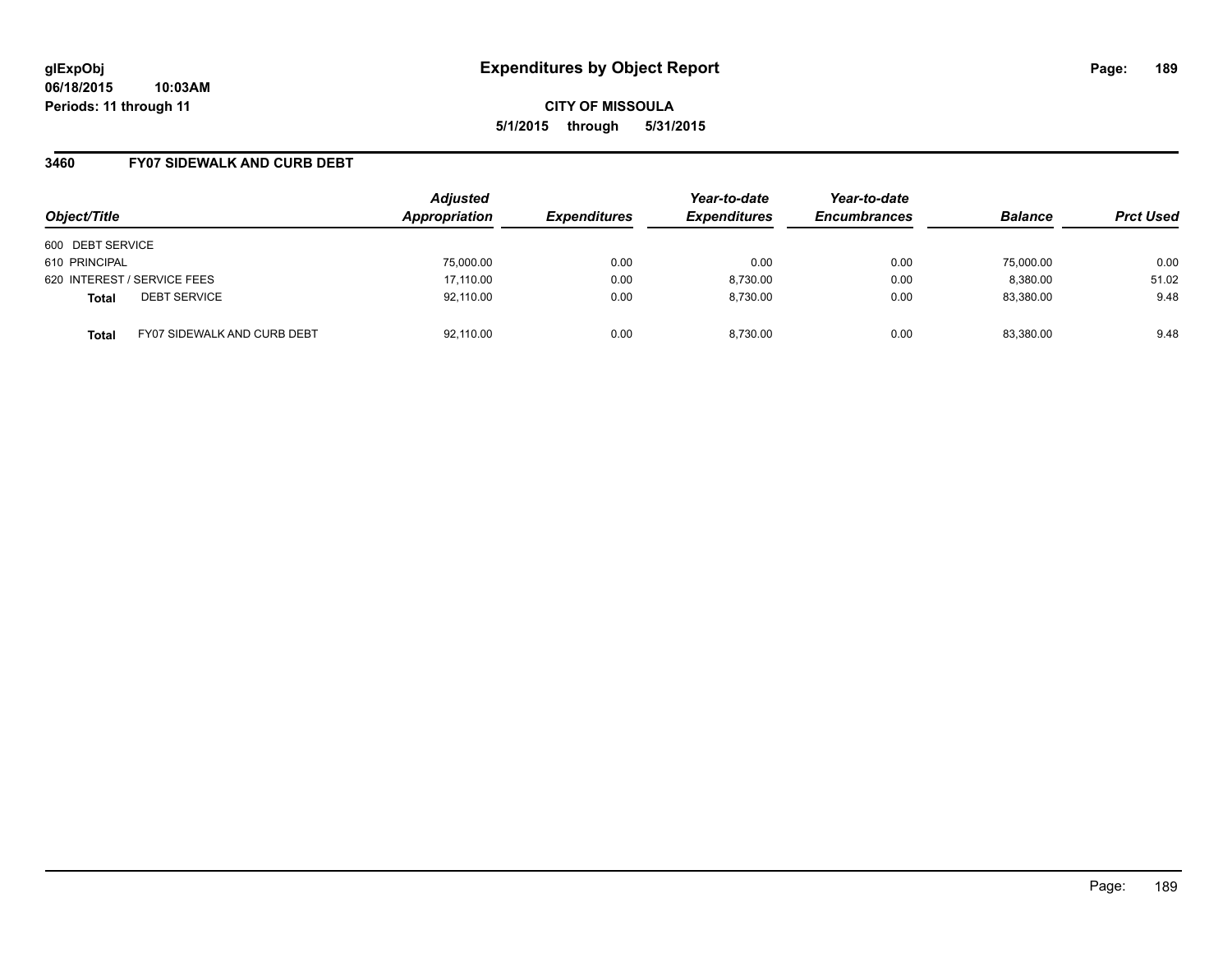#### **3460 FY07 SIDEWALK AND CURB DEBT**

| Object/Title                                       | <b>Adjusted</b><br>Appropriation | <b>Expenditures</b> | Year-to-date<br><b>Expenditures</b> | Year-to-date<br><b>Encumbrances</b> | <b>Balance</b> | <b>Prct Used</b> |
|----------------------------------------------------|----------------------------------|---------------------|-------------------------------------|-------------------------------------|----------------|------------------|
| 600 DEBT SERVICE                                   |                                  |                     |                                     |                                     |                |                  |
| 610 PRINCIPAL                                      | 75,000.00                        | 0.00                | 0.00                                | 0.00                                | 75,000.00      | 0.00             |
| 620 INTEREST / SERVICE FEES                        | 17,110.00                        | 0.00                | 8,730.00                            | 0.00                                | 8,380.00       | 51.02            |
| <b>DEBT SERVICE</b><br><b>Total</b>                | 92,110.00                        | 0.00                | 8.730.00                            | 0.00                                | 83,380.00      | 9.48             |
| <b>FY07 SIDEWALK AND CURB DEBT</b><br><b>Total</b> | 92,110.00                        | 0.00                | 8.730.00                            | 0.00                                | 83,380.00      | 9.48             |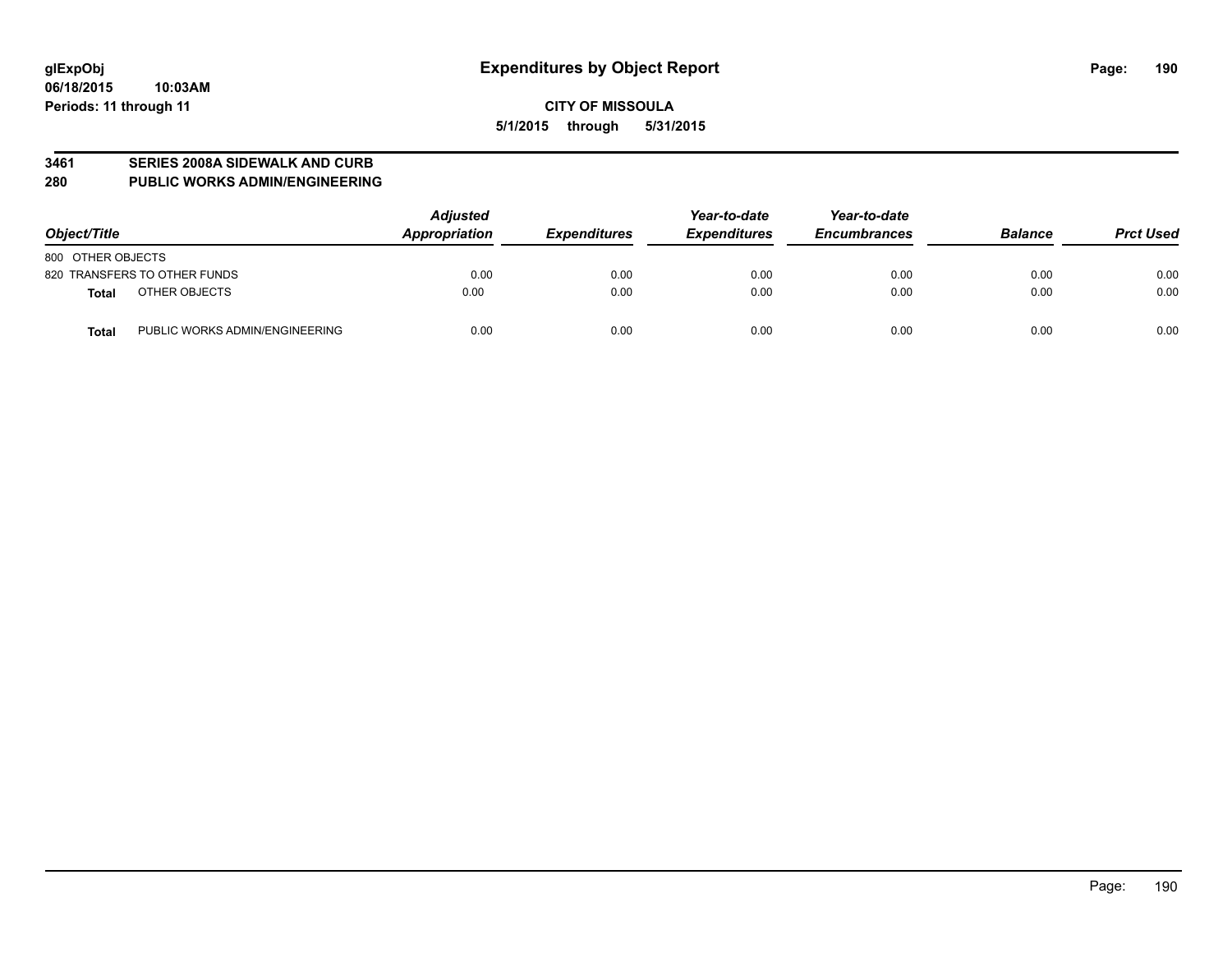#### **3461 SERIES 2008A SIDEWALK AND CURB**

**280 PUBLIC WORKS ADMIN/ENGINEERING**

| Object/Title                                   | <b>Adjusted</b><br>Appropriation | <b>Expenditures</b> | Year-to-date<br><b>Expenditures</b> | Year-to-date<br><b>Encumbrances</b> | <b>Balance</b> | <b>Prct Used</b> |
|------------------------------------------------|----------------------------------|---------------------|-------------------------------------|-------------------------------------|----------------|------------------|
| 800 OTHER OBJECTS                              |                                  |                     |                                     |                                     |                |                  |
| 820 TRANSFERS TO OTHER FUNDS                   | 0.00                             | 0.00                | 0.00                                | 0.00                                | 0.00           | 0.00             |
| OTHER OBJECTS<br><b>Total</b>                  | 0.00                             | 0.00                | 0.00                                | 0.00                                | 0.00           | 0.00             |
| PUBLIC WORKS ADMIN/ENGINEERING<br><b>Total</b> | 0.00                             | 0.00                | 0.00                                | 0.00                                | 0.00           | 0.00             |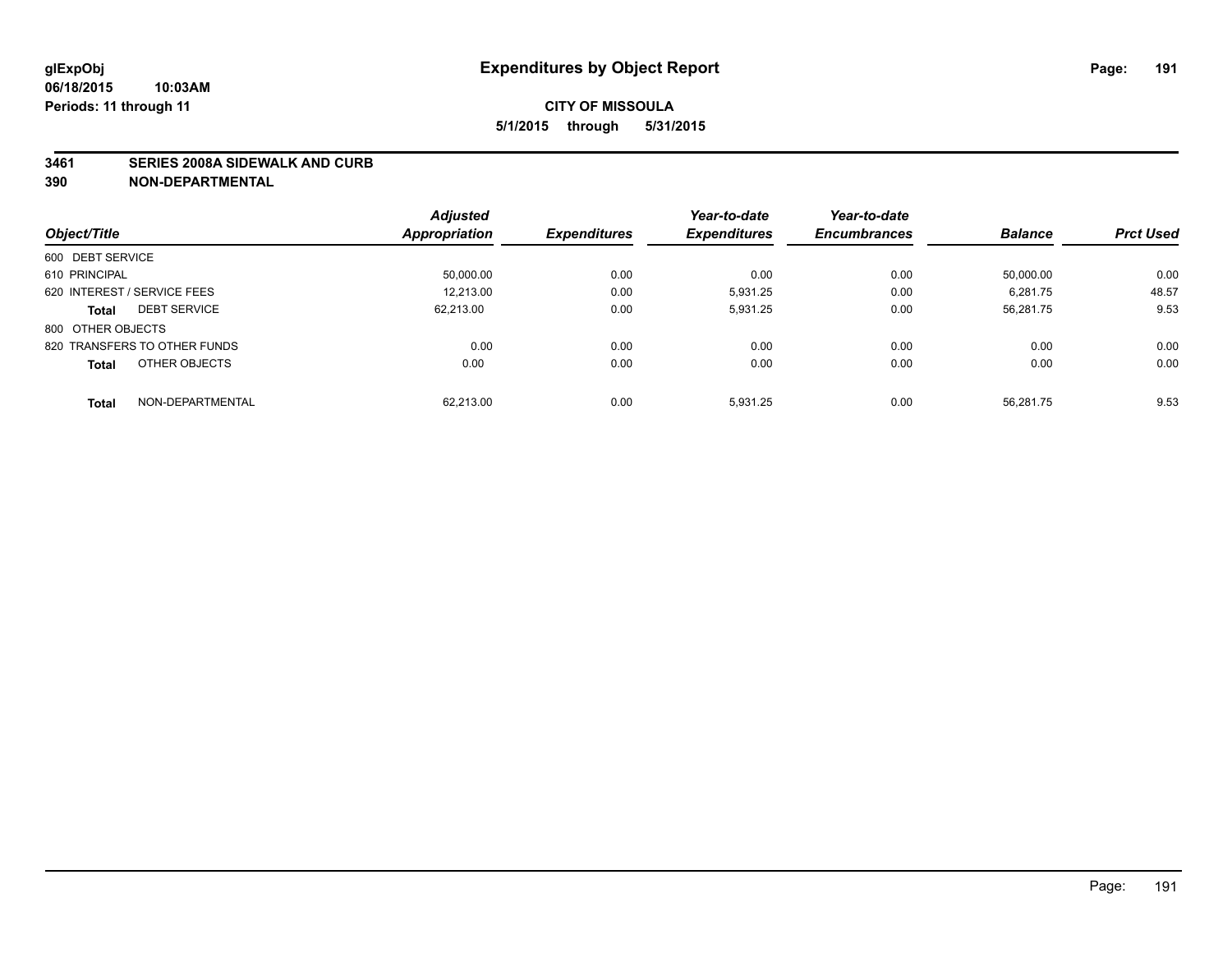#### **3461 SERIES 2008A SIDEWALK AND CURB**

|                                     | <b>Adjusted</b> |                     | Year-to-date        | Year-to-date        |                |                  |
|-------------------------------------|-----------------|---------------------|---------------------|---------------------|----------------|------------------|
| Object/Title                        | Appropriation   | <b>Expenditures</b> | <b>Expenditures</b> | <b>Encumbrances</b> | <b>Balance</b> | <b>Prct Used</b> |
| 600 DEBT SERVICE                    |                 |                     |                     |                     |                |                  |
| 610 PRINCIPAL                       | 50,000.00       | 0.00                | 0.00                | 0.00                | 50,000.00      | 0.00             |
| 620 INTEREST / SERVICE FEES         | 12,213.00       | 0.00                | 5.931.25            | 0.00                | 6,281.75       | 48.57            |
| <b>DEBT SERVICE</b><br><b>Total</b> | 62.213.00       | 0.00                | 5.931.25            | 0.00                | 56,281.75      | 9.53             |
| 800 OTHER OBJECTS                   |                 |                     |                     |                     |                |                  |
| 820 TRANSFERS TO OTHER FUNDS        | 0.00            | 0.00                | 0.00                | 0.00                | 0.00           | 0.00             |
| OTHER OBJECTS<br><b>Total</b>       | 0.00            | 0.00                | 0.00                | 0.00                | 0.00           | 0.00             |
| NON-DEPARTMENTAL<br>Total           | 62.213.00       | 0.00                | 5.931.25            | 0.00                | 56.281.75      | 9.53             |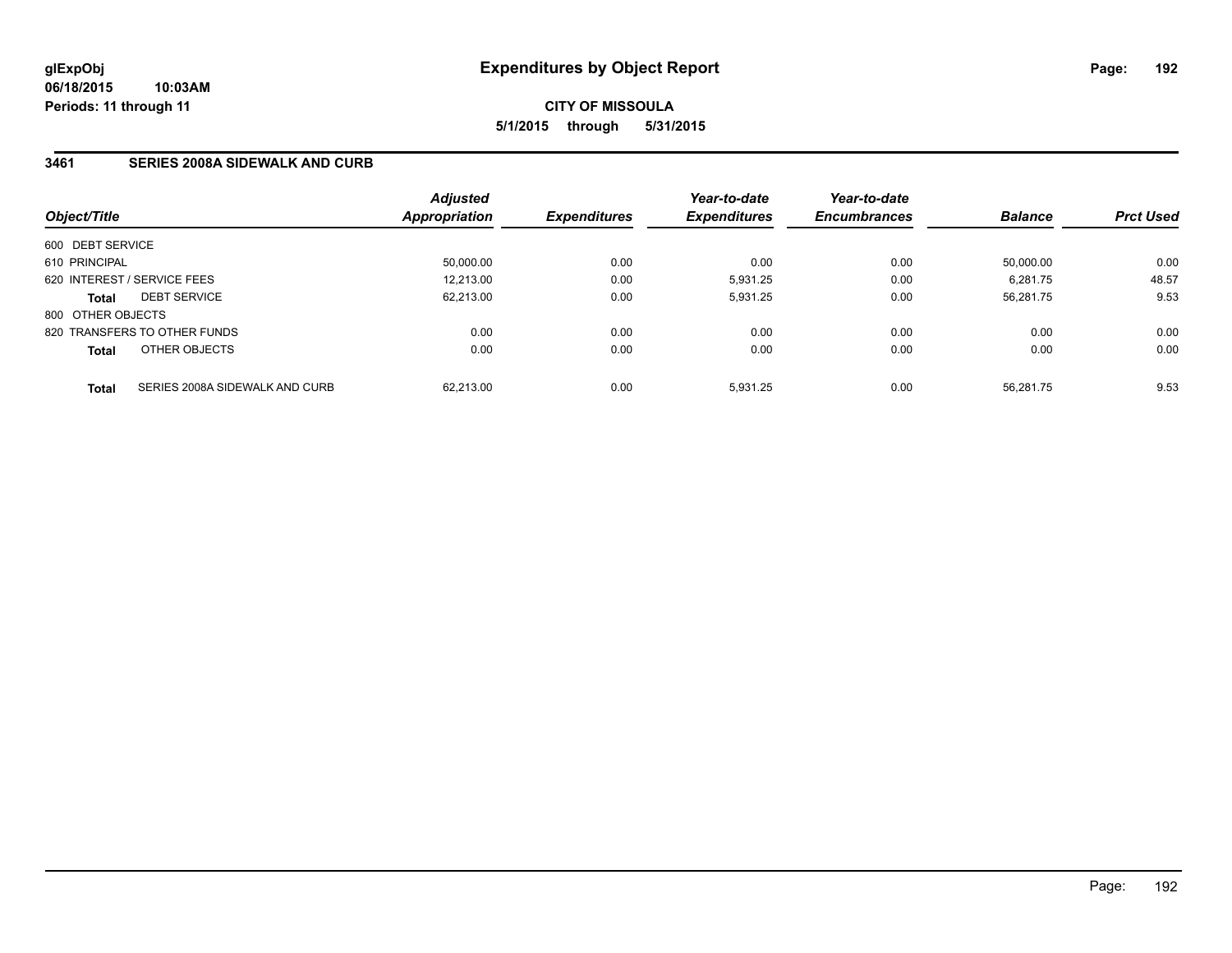## **3461 SERIES 2008A SIDEWALK AND CURB**

| Object/Title      |                                | <b>Adjusted</b><br>Appropriation | <b>Expenditures</b> | Year-to-date<br><b>Expenditures</b> | Year-to-date<br><b>Encumbrances</b> | <b>Balance</b> | <b>Prct Used</b> |
|-------------------|--------------------------------|----------------------------------|---------------------|-------------------------------------|-------------------------------------|----------------|------------------|
| 600 DEBT SERVICE  |                                |                                  |                     |                                     |                                     |                |                  |
| 610 PRINCIPAL     |                                | 50,000.00                        | 0.00                | 0.00                                | 0.00                                | 50.000.00      | 0.00             |
|                   | 620 INTEREST / SERVICE FEES    | 12.213.00                        | 0.00                | 5,931.25                            | 0.00                                | 6,281.75       | 48.57            |
| <b>Total</b>      | <b>DEBT SERVICE</b>            | 62.213.00                        | 0.00                | 5.931.25                            | 0.00                                | 56.281.75      | 9.53             |
| 800 OTHER OBJECTS |                                |                                  |                     |                                     |                                     |                |                  |
|                   | 820 TRANSFERS TO OTHER FUNDS   | 0.00                             | 0.00                | 0.00                                | 0.00                                | 0.00           | 0.00             |
| <b>Total</b>      | OTHER OBJECTS                  | 0.00                             | 0.00                | 0.00                                | 0.00                                | 0.00           | 0.00             |
| <b>Total</b>      | SERIES 2008A SIDEWALK AND CURB | 62.213.00                        | 0.00                | 5.931.25                            | 0.00                                | 56.281.75      | 9.53             |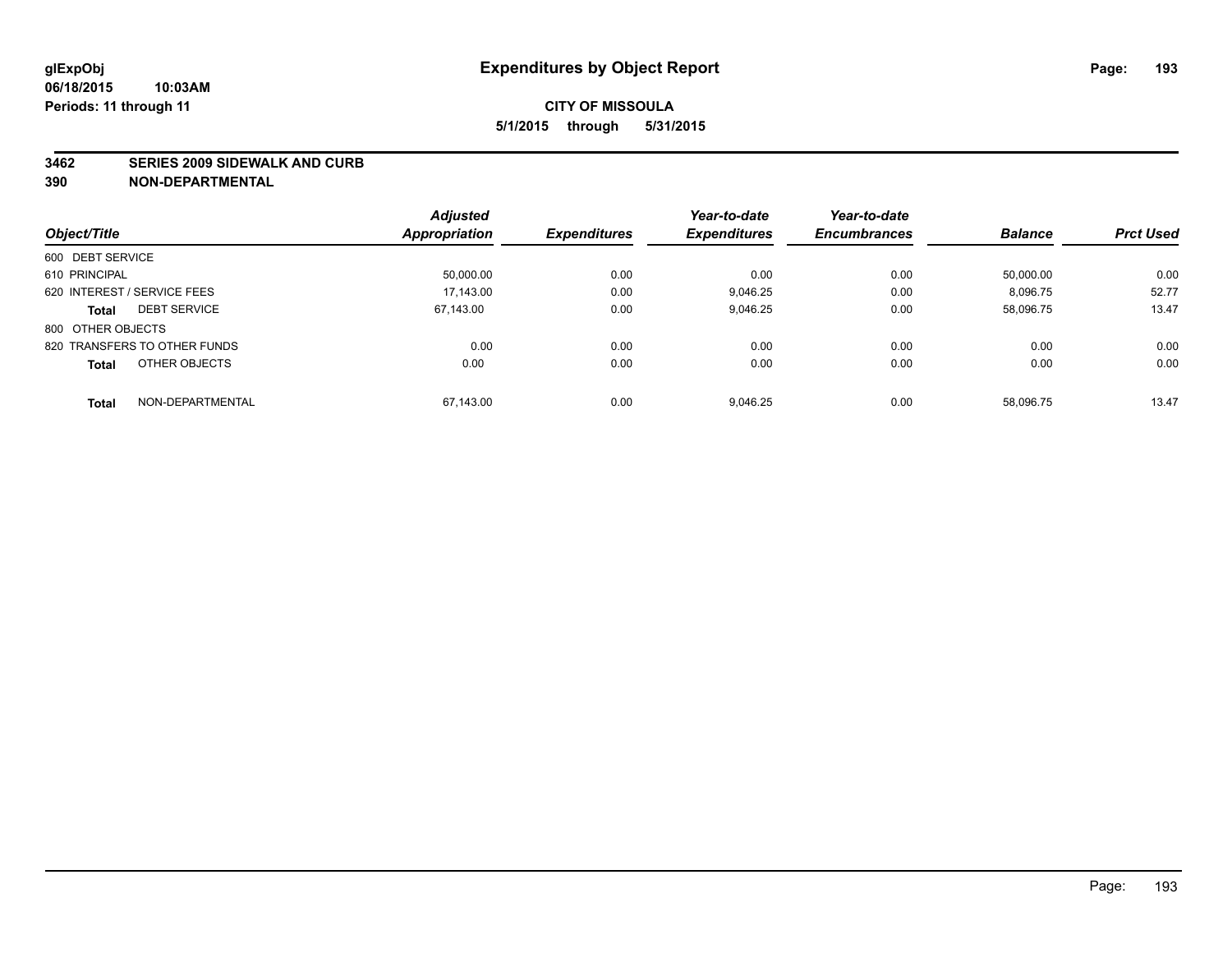#### **3462 SERIES 2009 SIDEWALK AND CURB**

|                                     | <b>Adjusted</b> |                     | Year-to-date        | Year-to-date        |                |                  |
|-------------------------------------|-----------------|---------------------|---------------------|---------------------|----------------|------------------|
| Object/Title                        | Appropriation   | <b>Expenditures</b> | <b>Expenditures</b> | <b>Encumbrances</b> | <b>Balance</b> | <b>Prct Used</b> |
| 600 DEBT SERVICE                    |                 |                     |                     |                     |                |                  |
| 610 PRINCIPAL                       | 50,000.00       | 0.00                | 0.00                | 0.00                | 50.000.00      | 0.00             |
| 620 INTEREST / SERVICE FEES         | 17.143.00       | 0.00                | 9.046.25            | 0.00                | 8.096.75       | 52.77            |
| <b>DEBT SERVICE</b><br><b>Total</b> | 67.143.00       | 0.00                | 9,046.25            | 0.00                | 58,096.75      | 13.47            |
| 800 OTHER OBJECTS                   |                 |                     |                     |                     |                |                  |
| 820 TRANSFERS TO OTHER FUNDS        | 0.00            | 0.00                | 0.00                | 0.00                | 0.00           | 0.00             |
| OTHER OBJECTS<br><b>Total</b>       | 0.00            | 0.00                | 0.00                | 0.00                | 0.00           | 0.00             |
| NON-DEPARTMENTAL<br><b>Total</b>    | 67.143.00       | 0.00                | 9.046.25            | 0.00                | 58.096.75      | 13.47            |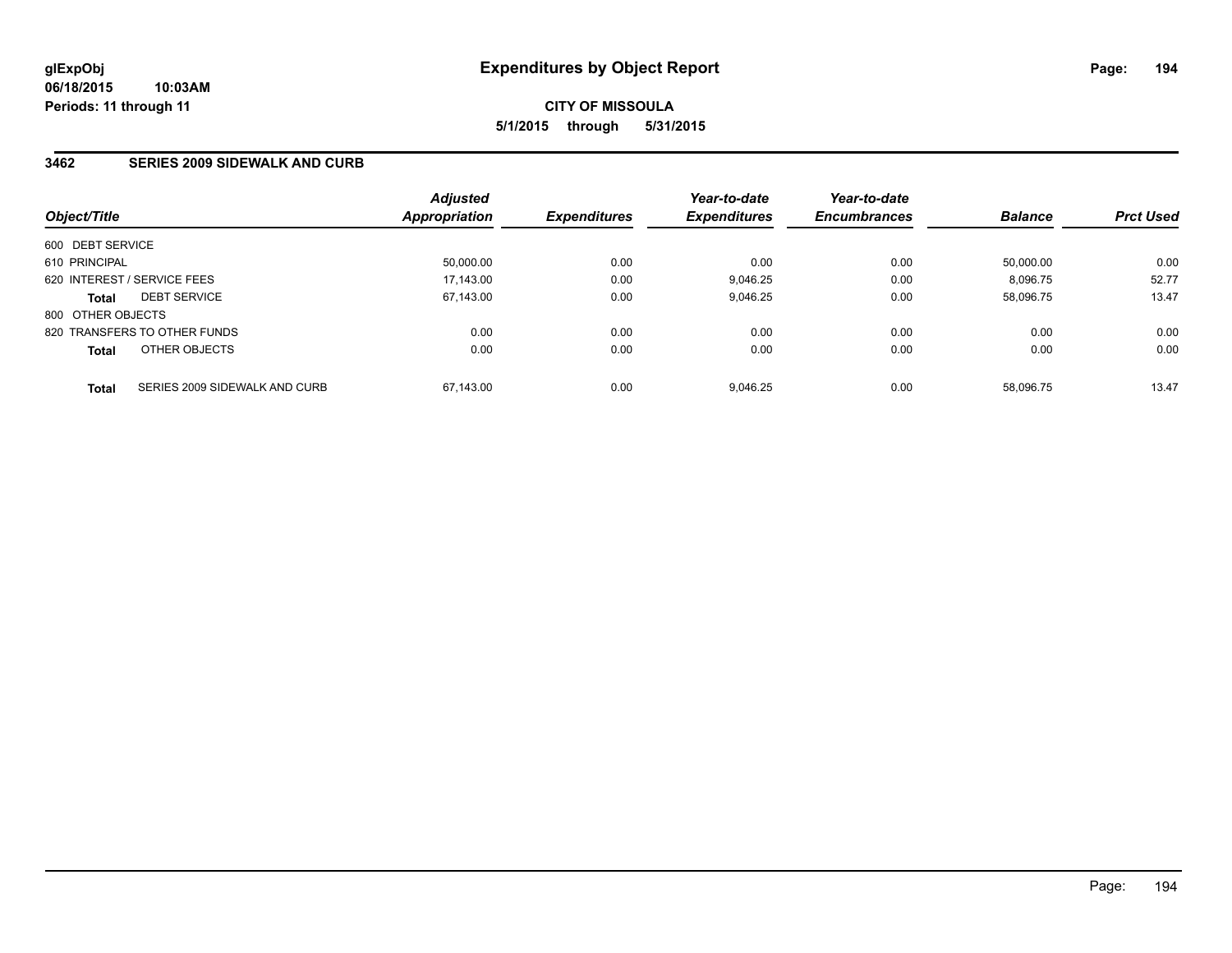## **3462 SERIES 2009 SIDEWALK AND CURB**

|                   |                               | <b>Adjusted</b> |                            | Year-to-date        | Year-to-date        |                |                  |
|-------------------|-------------------------------|-----------------|----------------------------|---------------------|---------------------|----------------|------------------|
| Object/Title      |                               | Appropriation   | <i><b>Expenditures</b></i> | <b>Expenditures</b> | <b>Encumbrances</b> | <b>Balance</b> | <b>Prct Used</b> |
| 600 DEBT SERVICE  |                               |                 |                            |                     |                     |                |                  |
| 610 PRINCIPAL     |                               | 50.000.00       | 0.00                       | 0.00                | 0.00                | 50.000.00      | 0.00             |
|                   | 620 INTEREST / SERVICE FEES   | 17,143.00       | 0.00                       | 9.046.25            | 0.00                | 8.096.75       | 52.77            |
| <b>Total</b>      | <b>DEBT SERVICE</b>           | 67,143.00       | 0.00                       | 9,046.25            | 0.00                | 58,096.75      | 13.47            |
| 800 OTHER OBJECTS |                               |                 |                            |                     |                     |                |                  |
|                   | 820 TRANSFERS TO OTHER FUNDS  | 0.00            | 0.00                       | 0.00                | 0.00                | 0.00           | 0.00             |
| <b>Total</b>      | OTHER OBJECTS                 | 0.00            | 0.00                       | 0.00                | 0.00                | 0.00           | 0.00             |
| <b>Total</b>      | SERIES 2009 SIDEWALK AND CURB | 67.143.00       | 0.00                       | 9.046.25            | 0.00                | 58.096.75      | 13.47            |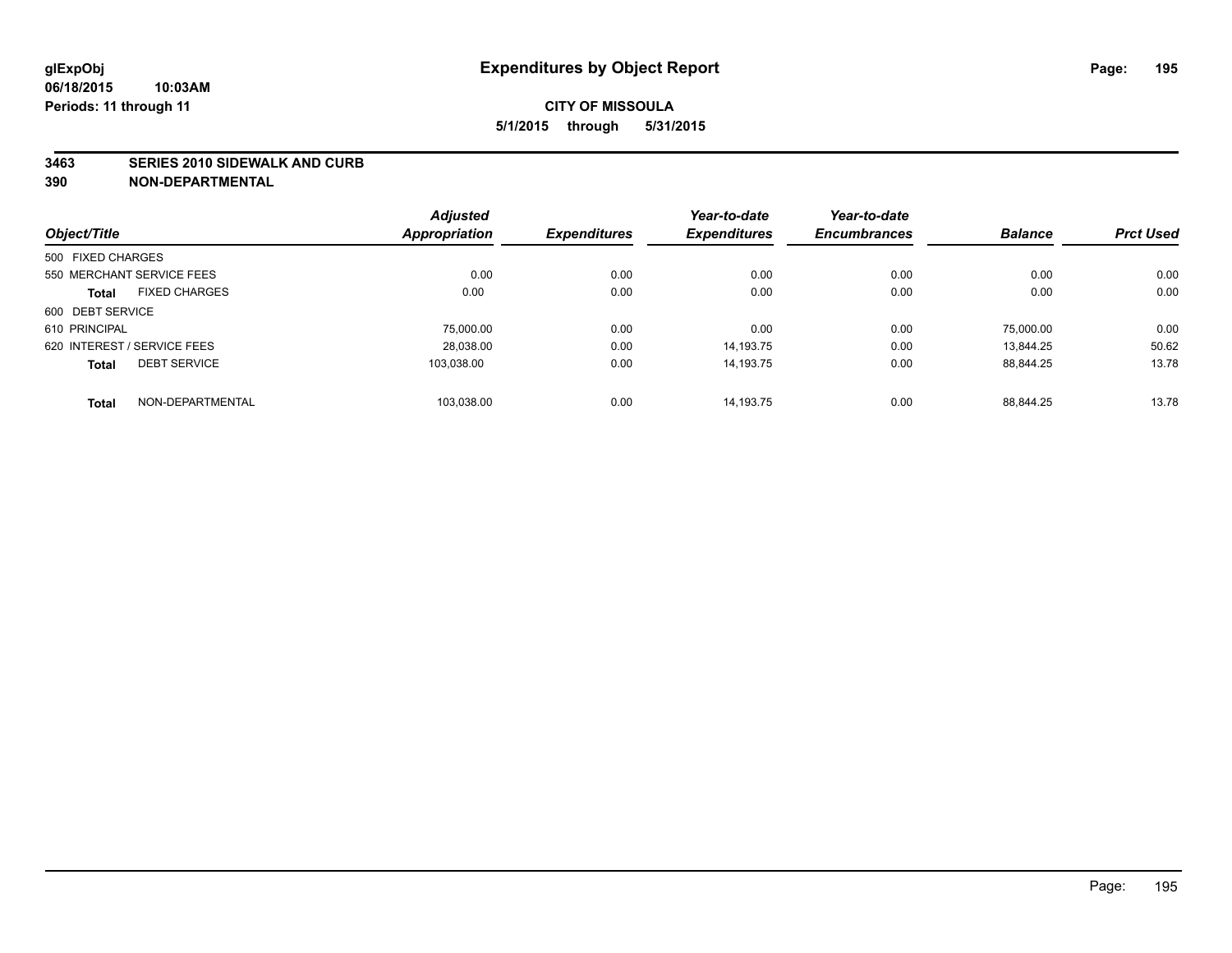#### **3463 SERIES 2010 SIDEWALK AND CURB**

|                                      | <b>Adjusted</b>      |                     | Year-to-date        | Year-to-date        |                |                  |
|--------------------------------------|----------------------|---------------------|---------------------|---------------------|----------------|------------------|
| Object/Title                         | <b>Appropriation</b> | <b>Expenditures</b> | <b>Expenditures</b> | <b>Encumbrances</b> | <b>Balance</b> | <b>Prct Used</b> |
| 500 FIXED CHARGES                    |                      |                     |                     |                     |                |                  |
| 550 MERCHANT SERVICE FEES            | 0.00                 | 0.00                | 0.00                | 0.00                | 0.00           | 0.00             |
| <b>FIXED CHARGES</b><br><b>Total</b> | 0.00                 | 0.00                | 0.00                | 0.00                | 0.00           | 0.00             |
| 600 DEBT SERVICE                     |                      |                     |                     |                     |                |                  |
| 610 PRINCIPAL                        | 75.000.00            | 0.00                | 0.00                | 0.00                | 75.000.00      | 0.00             |
| 620 INTEREST / SERVICE FEES          | 28,038.00            | 0.00                | 14.193.75           | 0.00                | 13.844.25      | 50.62            |
| <b>DEBT SERVICE</b><br><b>Total</b>  | 103.038.00           | 0.00                | 14.193.75           | 0.00                | 88.844.25      | 13.78            |
| NON-DEPARTMENTAL<br><b>Total</b>     | 103,038.00           | 0.00                | 14.193.75           | 0.00                | 88.844.25      | 13.78            |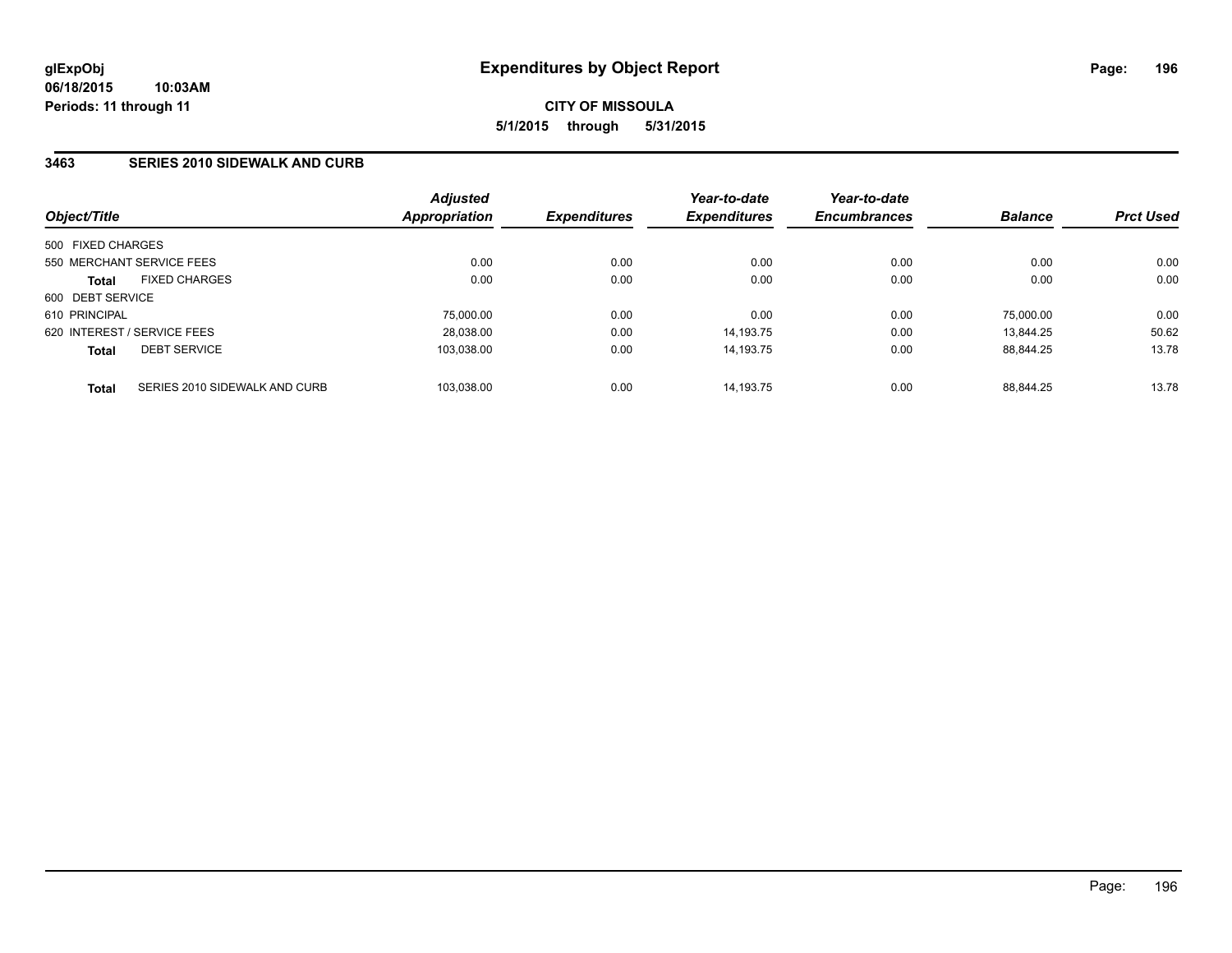## **3463 SERIES 2010 SIDEWALK AND CURB**

| Object/Title                                  | <b>Adjusted</b><br>Appropriation | <b>Expenditures</b> | Year-to-date<br><b>Expenditures</b> | Year-to-date<br><b>Encumbrances</b> | <b>Balance</b> | <b>Prct Used</b> |
|-----------------------------------------------|----------------------------------|---------------------|-------------------------------------|-------------------------------------|----------------|------------------|
| 500 FIXED CHARGES                             |                                  |                     |                                     |                                     |                |                  |
| 550 MERCHANT SERVICE FEES                     | 0.00                             | 0.00                | 0.00                                | 0.00                                | 0.00           | 0.00             |
| <b>FIXED CHARGES</b><br><b>Total</b>          | 0.00                             | 0.00                | 0.00                                | 0.00                                | 0.00           | 0.00             |
| 600 DEBT SERVICE                              |                                  |                     |                                     |                                     |                |                  |
| 610 PRINCIPAL                                 | 75,000.00                        | 0.00                | 0.00                                | 0.00                                | 75.000.00      | 0.00             |
| 620 INTEREST / SERVICE FEES                   | 28,038.00                        | 0.00                | 14.193.75                           | 0.00                                | 13.844.25      | 50.62            |
| <b>DEBT SERVICE</b><br><b>Total</b>           | 103.038.00                       | 0.00                | 14.193.75                           | 0.00                                | 88.844.25      | 13.78            |
| SERIES 2010 SIDEWALK AND CURB<br><b>Total</b> | 103.038.00                       | 0.00                | 14.193.75                           | 0.00                                | 88.844.25      | 13.78            |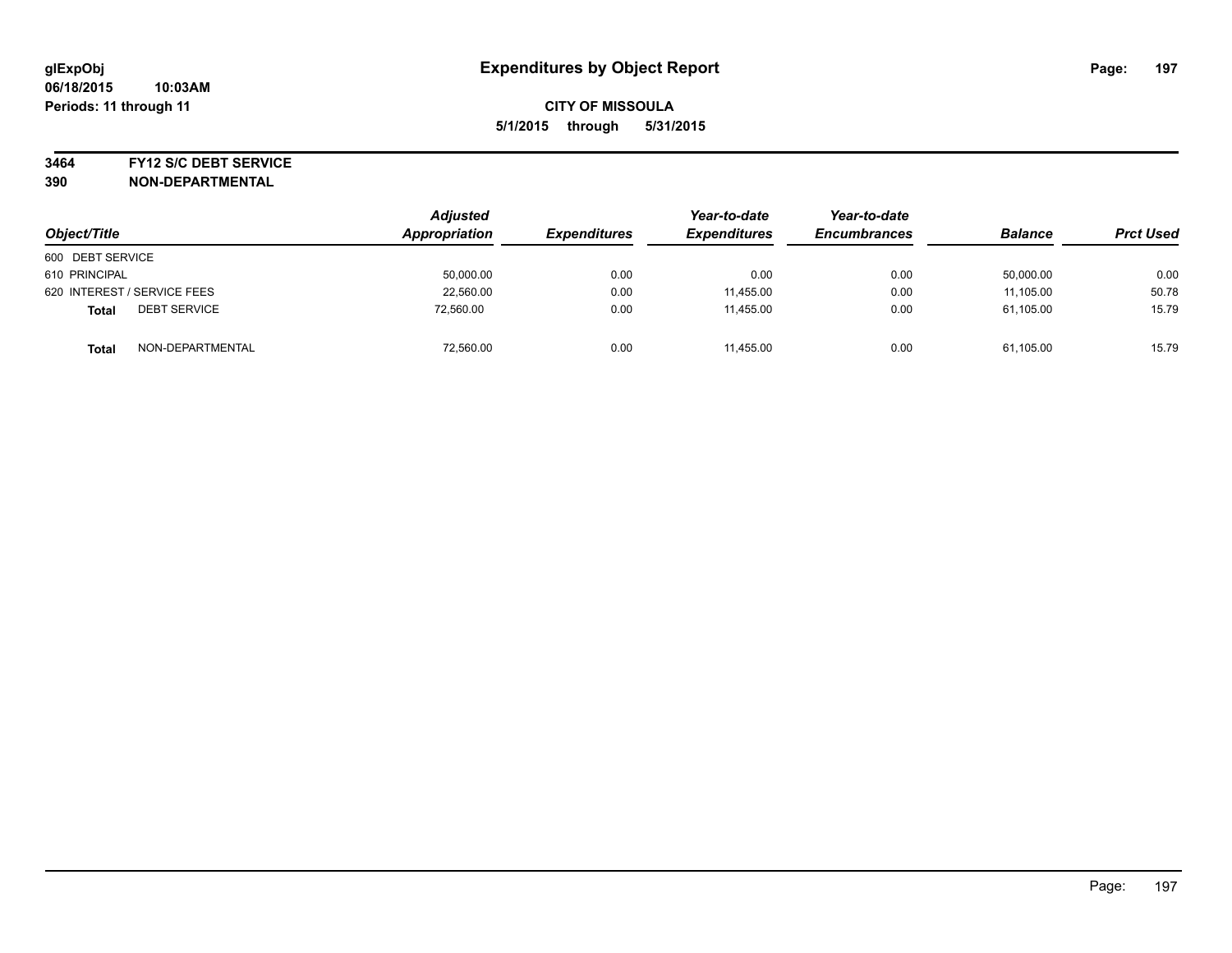#### **3464 FY12 S/C DEBT SERVICE**

| Object/Title                        | <b>Adjusted</b><br>Appropriation | <b>Expenditures</b> | Year-to-date<br><b>Expenditures</b> | Year-to-date<br><b>Encumbrances</b> | <b>Balance</b> | <b>Prct Used</b> |
|-------------------------------------|----------------------------------|---------------------|-------------------------------------|-------------------------------------|----------------|------------------|
| 600 DEBT SERVICE                    |                                  |                     |                                     |                                     |                |                  |
| 610 PRINCIPAL                       | 50,000.00                        | 0.00                | 0.00                                | 0.00                                | 50,000.00      | 0.00             |
| 620 INTEREST / SERVICE FEES         | 22,560.00                        | 0.00                | 11,455.00                           | 0.00                                | 11,105.00      | 50.78            |
| <b>DEBT SERVICE</b><br><b>Total</b> | 72,560.00                        | 0.00                | 11.455.00                           | 0.00                                | 61,105.00      | 15.79            |
| NON-DEPARTMENTAL<br><b>Total</b>    | 72,560.00                        | 0.00                | 11,455.00                           | 0.00                                | 61,105.00      | 15.79            |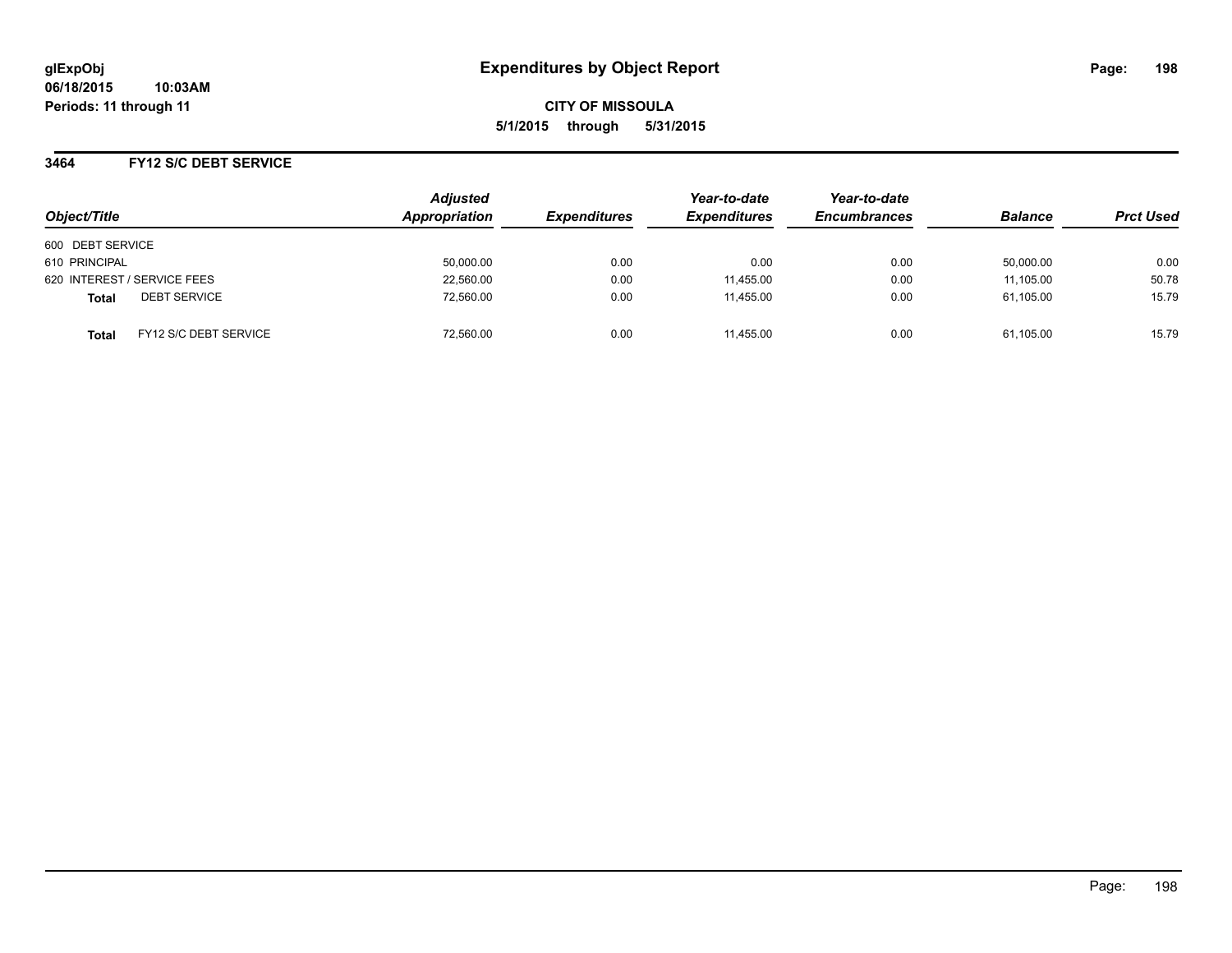## **3464 FY12 S/C DEBT SERVICE**

| Object/Title                          | <b>Adjusted</b><br><b>Appropriation</b> | <b>Expenditures</b> | Year-to-date<br><b>Expenditures</b> | Year-to-date<br><b>Encumbrances</b> | <b>Balance</b> | <b>Prct Used</b> |
|---------------------------------------|-----------------------------------------|---------------------|-------------------------------------|-------------------------------------|----------------|------------------|
| 600 DEBT SERVICE                      |                                         |                     |                                     |                                     |                |                  |
| 610 PRINCIPAL                         | 50,000.00                               | 0.00                | 0.00                                | 0.00                                | 50,000.00      | 0.00             |
| 620 INTEREST / SERVICE FEES           | 22,560.00                               | 0.00                | 11.455.00                           | 0.00                                | 11.105.00      | 50.78            |
| <b>DEBT SERVICE</b><br>Total          | 72,560.00                               | 0.00                | 11,455.00                           | 0.00                                | 61,105.00      | 15.79            |
| FY12 S/C DEBT SERVICE<br><b>Total</b> | 72,560.00                               | 0.00                | 11.455.00                           | 0.00                                | 61,105.00      | 15.79            |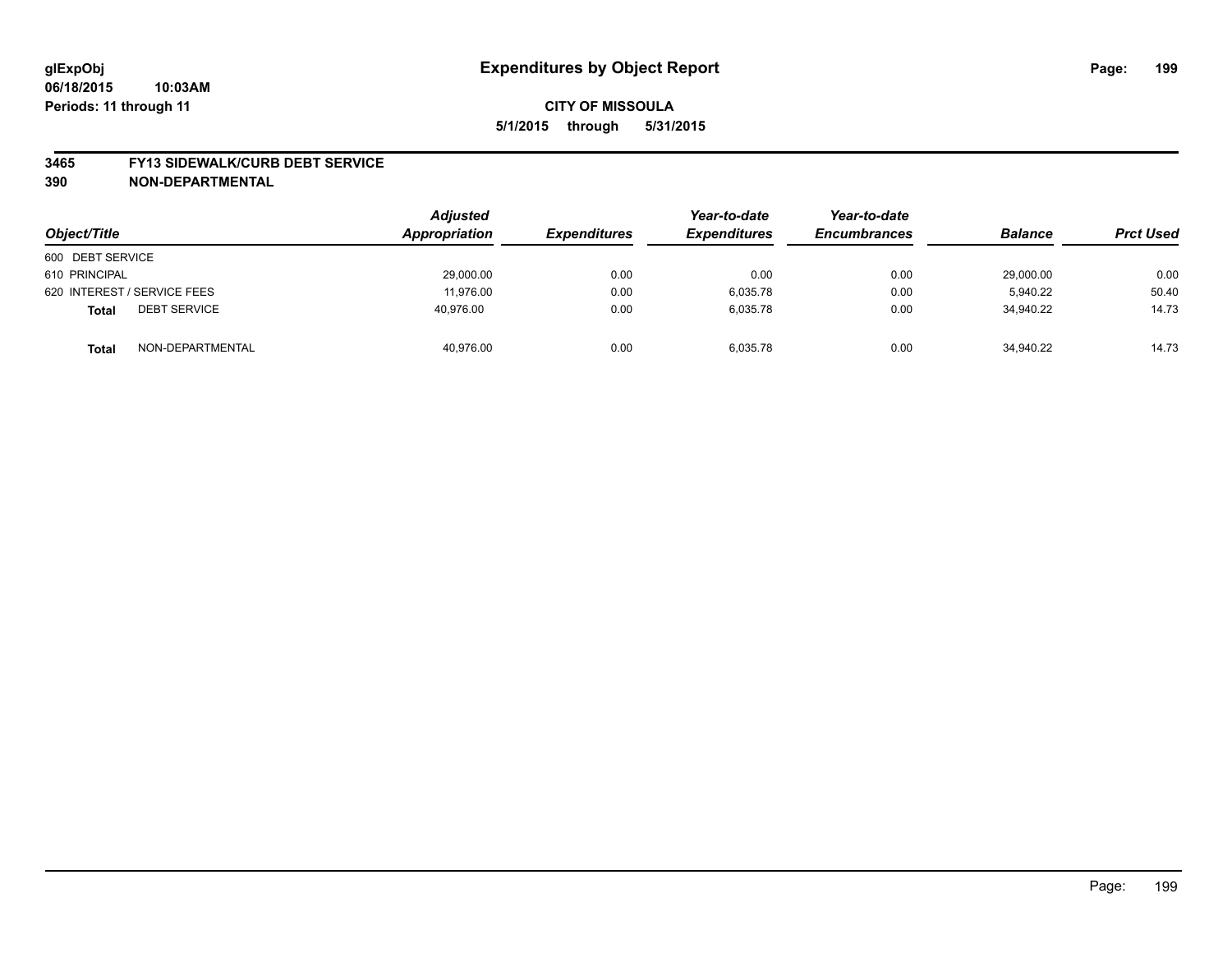#### **3465 FY13 SIDEWALK/CURB DEBT SERVICE**

| Object/Title                        | <b>Adjusted</b><br>Appropriation | <i><b>Expenditures</b></i> | Year-to-date<br><b>Expenditures</b> | Year-to-date<br><b>Encumbrances</b> | <b>Balance</b> | <b>Prct Used</b> |
|-------------------------------------|----------------------------------|----------------------------|-------------------------------------|-------------------------------------|----------------|------------------|
| 600 DEBT SERVICE                    |                                  |                            |                                     |                                     |                |                  |
| 610 PRINCIPAL                       | 29,000.00                        | 0.00                       | 0.00                                | 0.00                                | 29,000.00      | 0.00             |
| 620 INTEREST / SERVICE FEES         | 11.976.00                        | 0.00                       | 6.035.78                            | 0.00                                | 5.940.22       | 50.40            |
| <b>DEBT SERVICE</b><br><b>Total</b> | 40.976.00                        | 0.00                       | 6.035.78                            | 0.00                                | 34.940.22      | 14.73            |
| NON-DEPARTMENTAL<br><b>Total</b>    | 40,976.00                        | 0.00                       | 6,035.78                            | 0.00                                | 34,940.22      | 14.73            |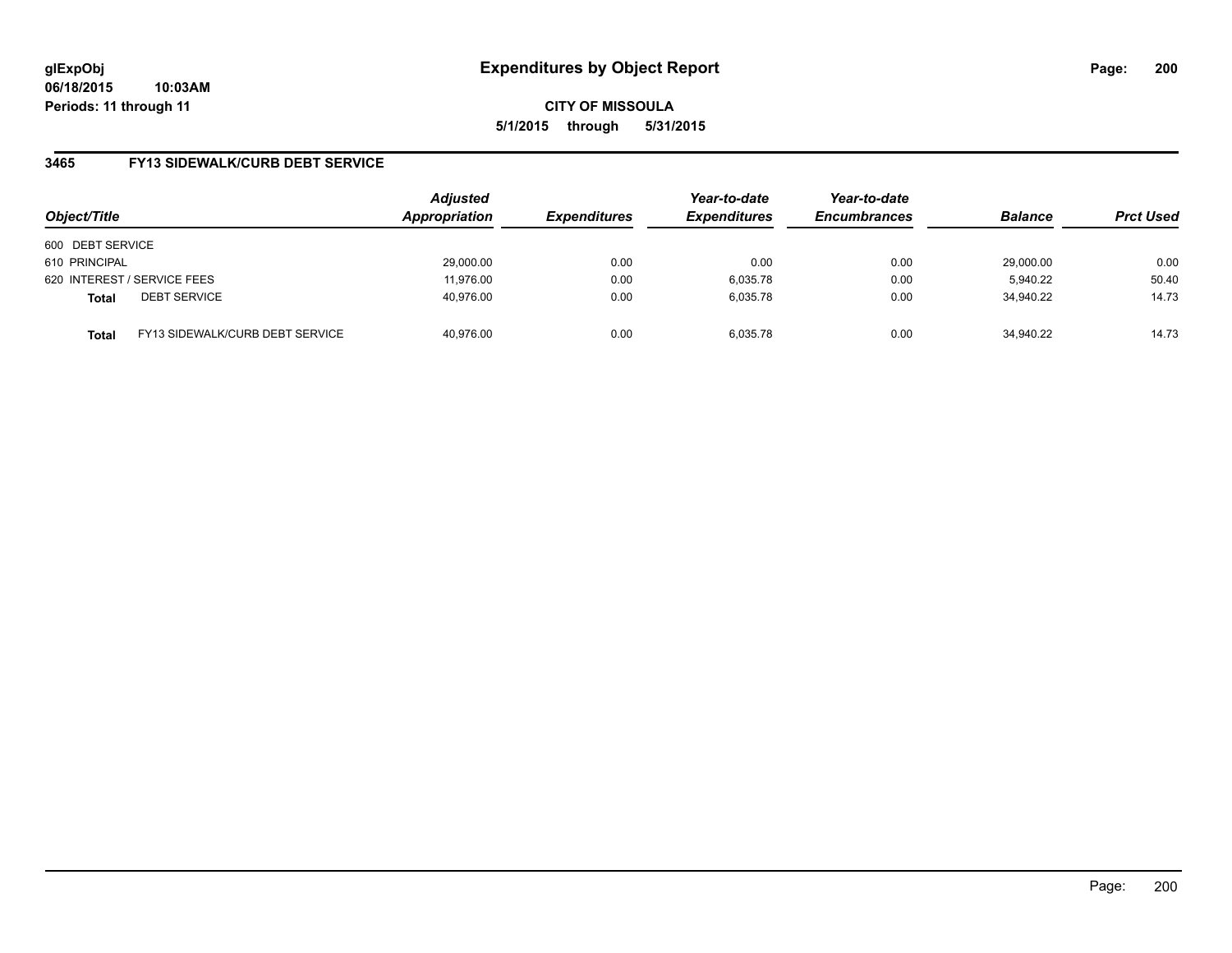**06/18/2015 10:03AM Periods: 11 through 11**

**CITY OF MISSOULA 5/1/2015 through 5/31/2015**

## **3465 FY13 SIDEWALK/CURB DEBT SERVICE**

| Object/Title     |                                 | <b>Adjusted</b><br>Appropriation | <b>Expenditures</b> | Year-to-date<br><b>Expenditures</b> | Year-to-date<br><b>Encumbrances</b> | <b>Balance</b> | <b>Prct Used</b> |
|------------------|---------------------------------|----------------------------------|---------------------|-------------------------------------|-------------------------------------|----------------|------------------|
| 600 DEBT SERVICE |                                 |                                  |                     |                                     |                                     |                |                  |
| 610 PRINCIPAL    |                                 | 29,000.00                        | 0.00                | 0.00                                | 0.00                                | 29,000.00      | 0.00             |
|                  | 620 INTEREST / SERVICE FEES     | 11,976.00                        | 0.00                | 6,035.78                            | 0.00                                | 5.940.22       | 50.40            |
| <b>Total</b>     | <b>DEBT SERVICE</b>             | 40.976.00                        | 0.00                | 6.035.78                            | 0.00                                | 34.940.22      | 14.73            |
| <b>Total</b>     | FY13 SIDEWALK/CURB DEBT SERVICE | 40.976.00                        | 0.00                | 6.035.78                            | 0.00                                | 34.940.22      | 14.73            |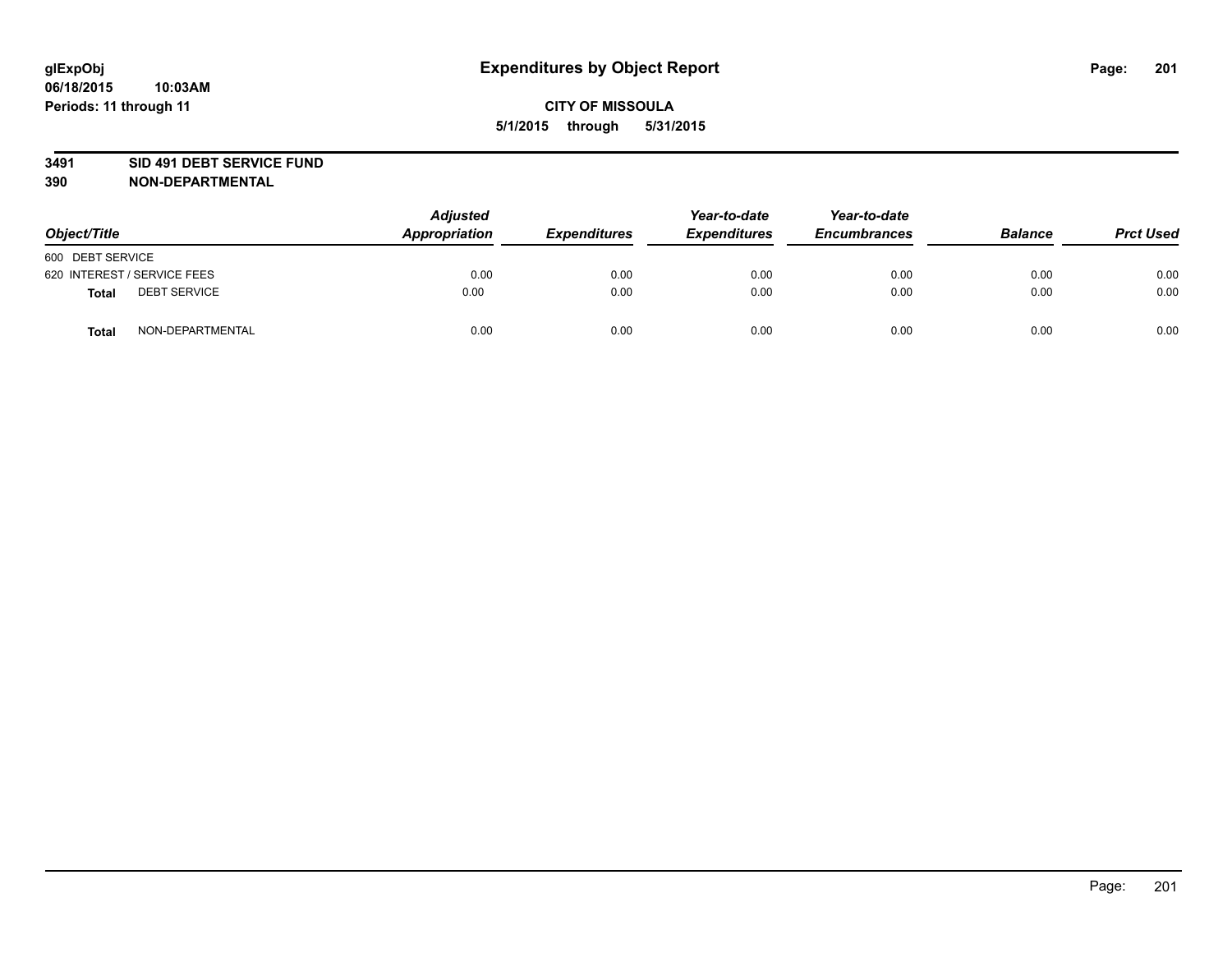#### **3491 SID 491 DEBT SERVICE FUND**

| Object/Title                        | <b>Adjusted</b><br>Appropriation | <b>Expenditures</b> | Year-to-date<br><b>Expenditures</b> | Year-to-date<br><b>Encumbrances</b> | <b>Balance</b> | <b>Prct Used</b> |
|-------------------------------------|----------------------------------|---------------------|-------------------------------------|-------------------------------------|----------------|------------------|
| 600 DEBT SERVICE                    |                                  |                     |                                     |                                     |                |                  |
| 620 INTEREST / SERVICE FEES         | 0.00                             | 0.00                | 0.00                                | 0.00                                | 0.00           | 0.00             |
| <b>DEBT SERVICE</b><br><b>Total</b> | 0.00                             | 0.00                | 0.00                                | 0.00                                | 0.00           | 0.00             |
| NON-DEPARTMENTAL<br><b>Total</b>    | 0.00                             | 0.00                | 0.00                                | 0.00                                | 0.00           | 0.00             |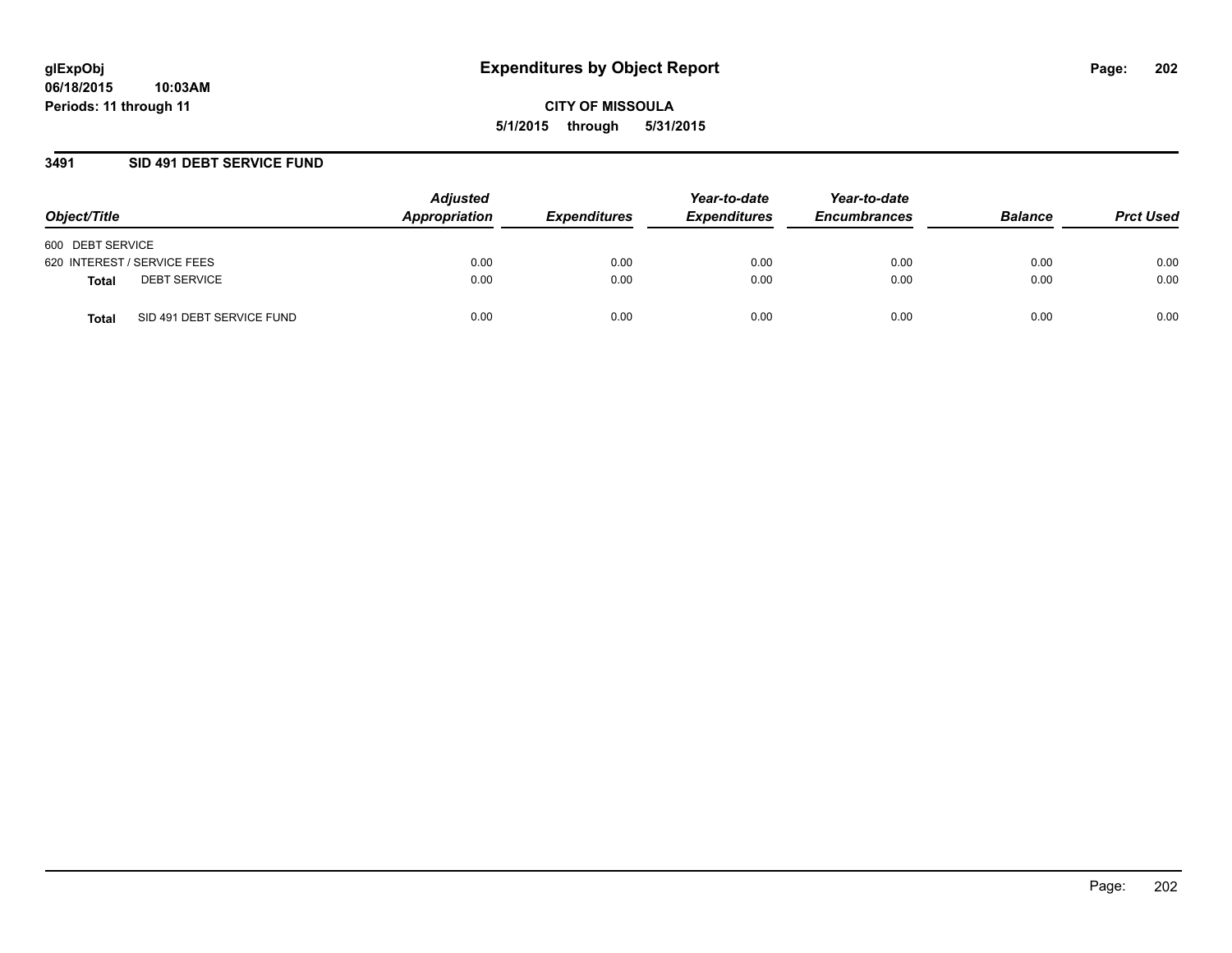## **3491 SID 491 DEBT SERVICE FUND**

| Object/Title                       | <b>Adjusted</b><br>Appropriation | <b>Expenditures</b> | Year-to-date<br><b>Expenditures</b> | Year-to-date<br><b>Encumbrances</b> | <b>Balance</b> | <b>Prct Used</b> |
|------------------------------------|----------------------------------|---------------------|-------------------------------------|-------------------------------------|----------------|------------------|
| 600 DEBT SERVICE                   |                                  |                     |                                     |                                     |                |                  |
| 620 INTEREST / SERVICE FEES        | 0.00                             | 0.00                | 0.00                                | 0.00                                | 0.00           | 0.00             |
| <b>DEBT SERVICE</b><br>Total       | 0.00                             | 0.00                | 0.00                                | 0.00                                | 0.00           | 0.00             |
| SID 491 DEBT SERVICE FUND<br>Total | 0.00                             | 0.00                | 0.00                                | 0.00                                | 0.00           | 0.00             |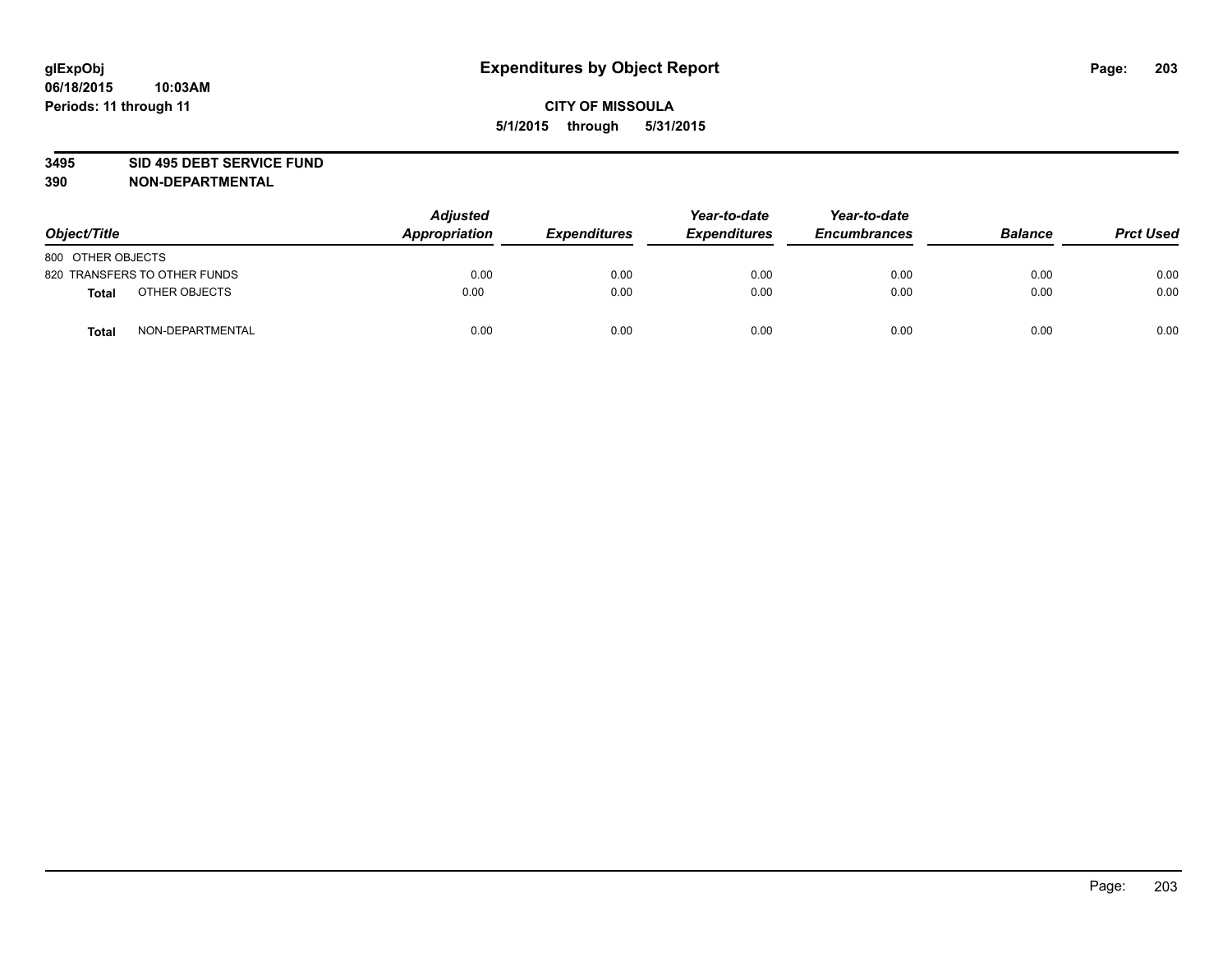#### **3495 SID 495 DEBT SERVICE FUND**

| Object/Title                     | <b>Adjusted</b><br><b>Appropriation</b> | <b>Expenditures</b> | Year-to-date<br><b>Expenditures</b> | Year-to-date<br><b>Encumbrances</b> | <b>Balance</b> | <b>Prct Used</b> |
|----------------------------------|-----------------------------------------|---------------------|-------------------------------------|-------------------------------------|----------------|------------------|
| 800 OTHER OBJECTS                |                                         |                     |                                     |                                     |                |                  |
| 820 TRANSFERS TO OTHER FUNDS     | 0.00                                    | 0.00                | 0.00                                | 0.00                                | 0.00           | 0.00             |
| OTHER OBJECTS<br><b>Total</b>    | 0.00                                    | 0.00                | 0.00                                | 0.00                                | 0.00           | 0.00             |
| NON-DEPARTMENTAL<br><b>Total</b> | 0.00                                    | 0.00                | 0.00                                | 0.00                                | 0.00           | 0.00             |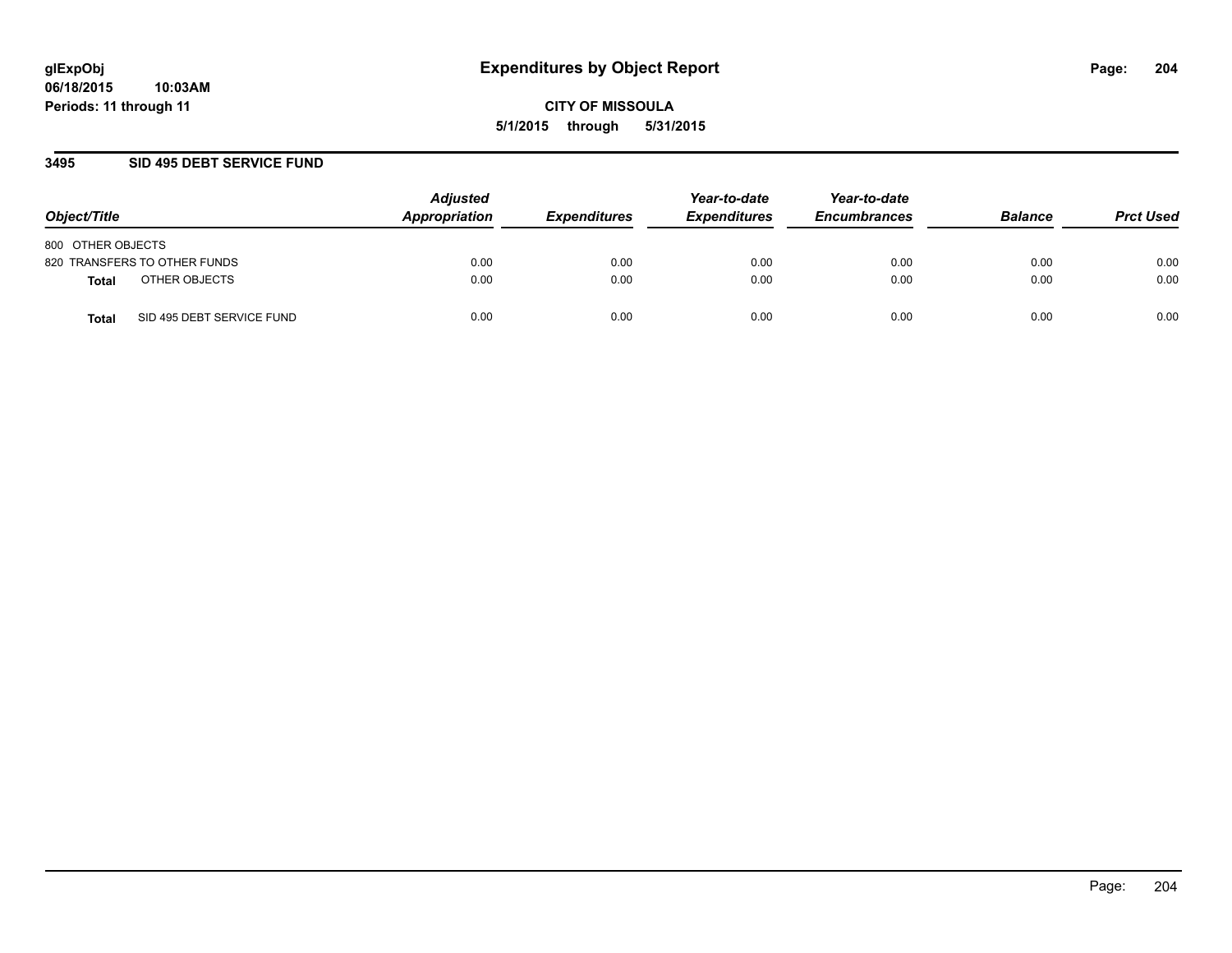## **3495 SID 495 DEBT SERVICE FUND**

| Object/Title                              | <b>Adjusted</b><br>Appropriation | <b>Expenditures</b> | Year-to-date<br><b>Expenditures</b> | Year-to-date<br><b>Encumbrances</b> | <b>Balance</b> | <b>Prct Used</b> |
|-------------------------------------------|----------------------------------|---------------------|-------------------------------------|-------------------------------------|----------------|------------------|
| 800 OTHER OBJECTS                         |                                  |                     |                                     |                                     |                |                  |
| 820 TRANSFERS TO OTHER FUNDS              | 0.00                             | 0.00                | 0.00                                | 0.00                                | 0.00           | 0.00             |
| OTHER OBJECTS<br><b>Total</b>             | 0.00                             | 0.00                | 0.00                                | 0.00                                | 0.00           | 0.00             |
| SID 495 DEBT SERVICE FUND<br><b>Total</b> | 0.00                             | 0.00                | 0.00                                | 0.00                                | 0.00           | 0.00             |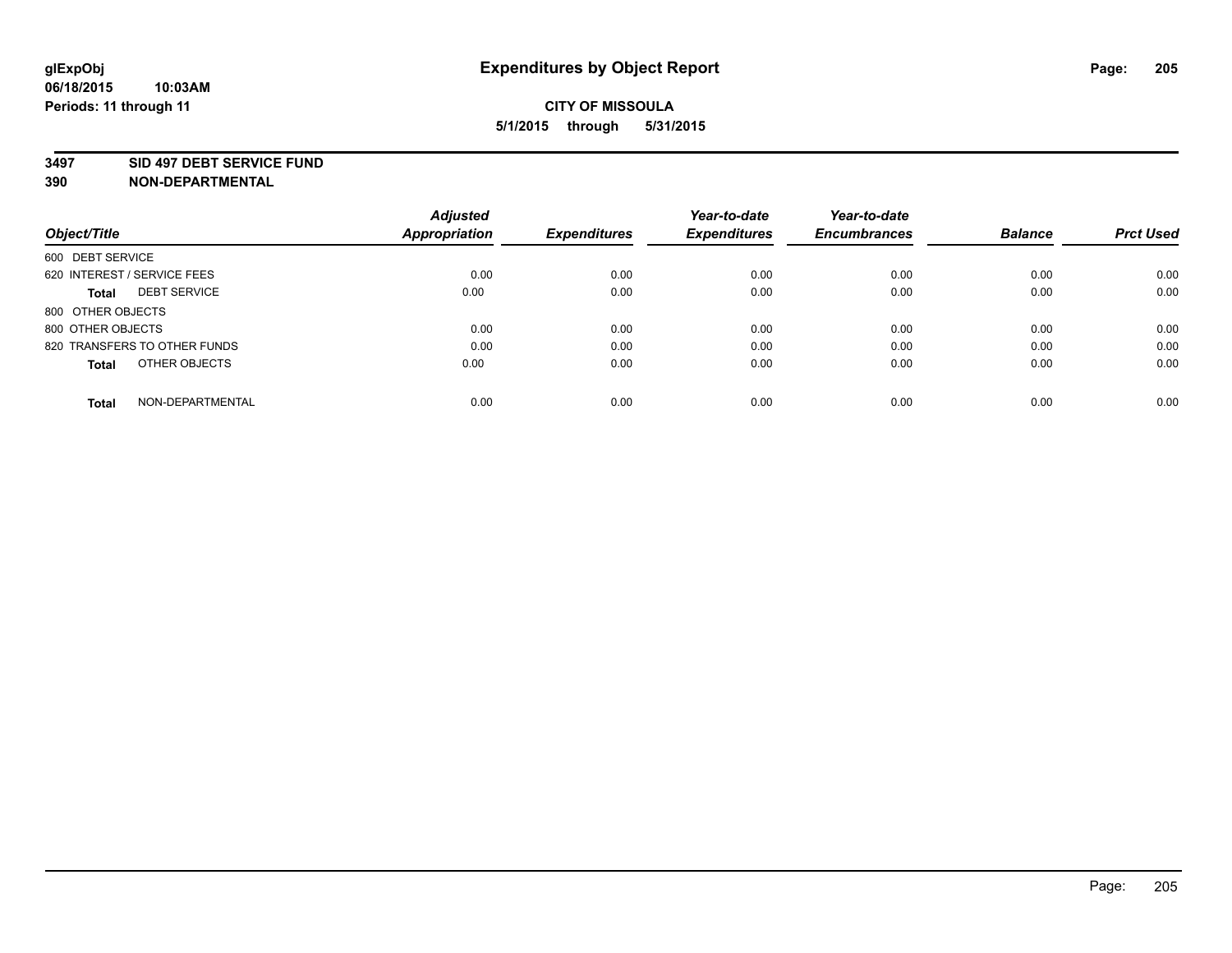#### **3497 SID 497 DEBT SERVICE FUND**

| Object/Title                        | <b>Adjusted</b><br>Appropriation | <b>Expenditures</b> | Year-to-date<br><b>Expenditures</b> | Year-to-date<br><b>Encumbrances</b> | <b>Balance</b> | <b>Prct Used</b> |
|-------------------------------------|----------------------------------|---------------------|-------------------------------------|-------------------------------------|----------------|------------------|
| 600 DEBT SERVICE                    |                                  |                     |                                     |                                     |                |                  |
| 620 INTEREST / SERVICE FEES         | 0.00                             | 0.00                | 0.00                                | 0.00                                | 0.00           | 0.00             |
| <b>DEBT SERVICE</b><br><b>Total</b> | 0.00                             | 0.00                | 0.00                                | 0.00                                | 0.00           | 0.00             |
| 800 OTHER OBJECTS                   |                                  |                     |                                     |                                     |                |                  |
| 800 OTHER OBJECTS                   | 0.00                             | 0.00                | 0.00                                | 0.00                                | 0.00           | 0.00             |
| 820 TRANSFERS TO OTHER FUNDS        | 0.00                             | 0.00                | 0.00                                | 0.00                                | 0.00           | 0.00             |
| OTHER OBJECTS<br><b>Total</b>       | 0.00                             | 0.00                | 0.00                                | 0.00                                | 0.00           | 0.00             |
| NON-DEPARTMENTAL<br>Total           | 0.00                             | 0.00                | 0.00                                | 0.00                                | 0.00           | 0.00             |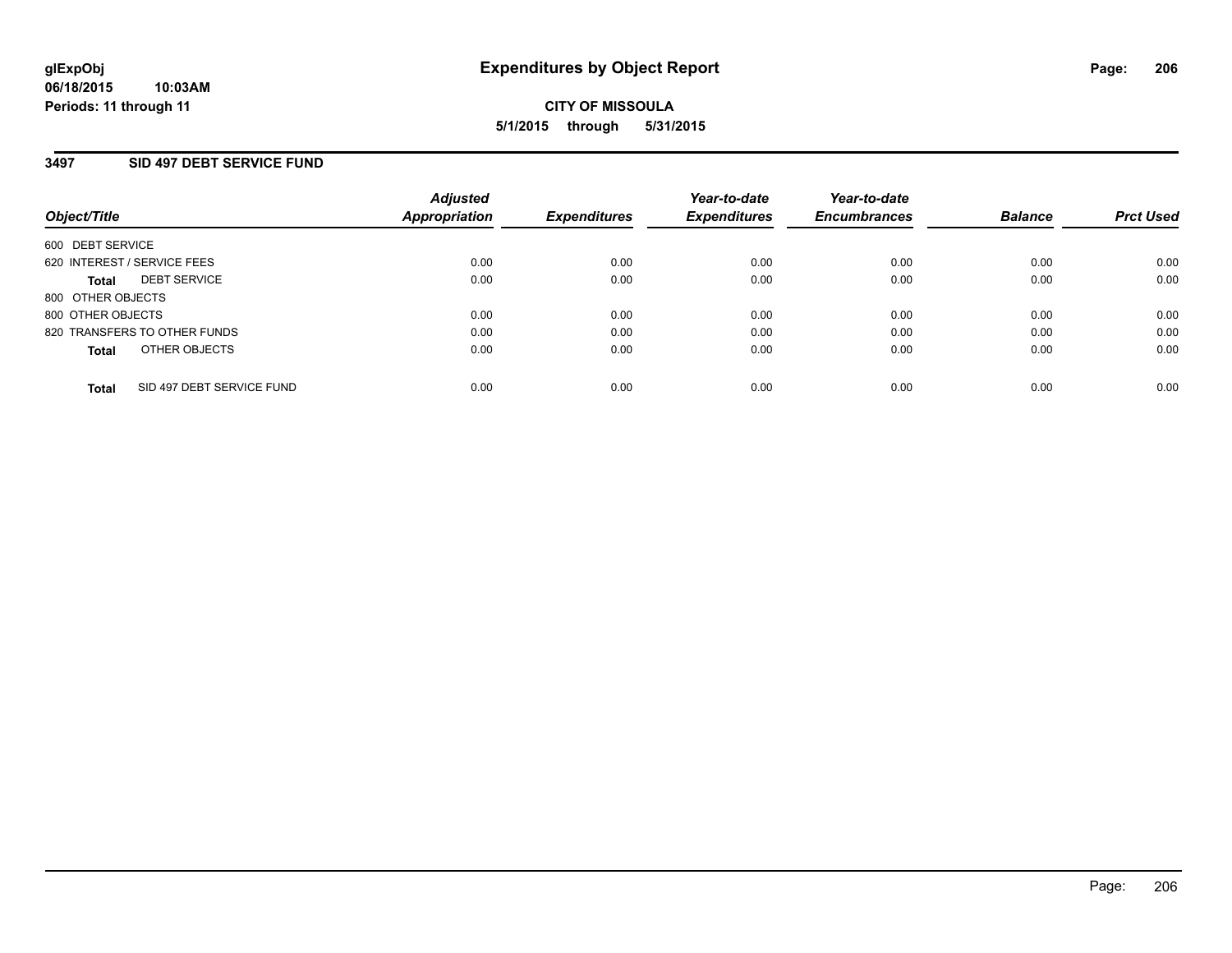## **3497 SID 497 DEBT SERVICE FUND**

| Object/Title                              | <b>Adjusted</b><br><b>Appropriation</b> | <b>Expenditures</b> | Year-to-date<br><b>Expenditures</b> | Year-to-date<br><b>Encumbrances</b> | <b>Balance</b> | <b>Prct Used</b> |
|-------------------------------------------|-----------------------------------------|---------------------|-------------------------------------|-------------------------------------|----------------|------------------|
| 600 DEBT SERVICE                          |                                         |                     |                                     |                                     |                |                  |
| 620 INTEREST / SERVICE FEES               | 0.00                                    | 0.00                | 0.00                                | 0.00                                | 0.00           | 0.00             |
| <b>DEBT SERVICE</b><br>Total              | 0.00                                    | 0.00                | 0.00                                | 0.00                                | 0.00           | 0.00             |
| 800 OTHER OBJECTS                         |                                         |                     |                                     |                                     |                |                  |
| 800 OTHER OBJECTS                         | 0.00                                    | 0.00                | 0.00                                | 0.00                                | 0.00           | 0.00             |
| 820 TRANSFERS TO OTHER FUNDS              | 0.00                                    | 0.00                | 0.00                                | 0.00                                | 0.00           | 0.00             |
| OTHER OBJECTS<br><b>Total</b>             | 0.00                                    | 0.00                | 0.00                                | 0.00                                | 0.00           | 0.00             |
| SID 497 DEBT SERVICE FUND<br><b>Total</b> | 0.00                                    | 0.00                | 0.00                                | 0.00                                | 0.00           | 0.00             |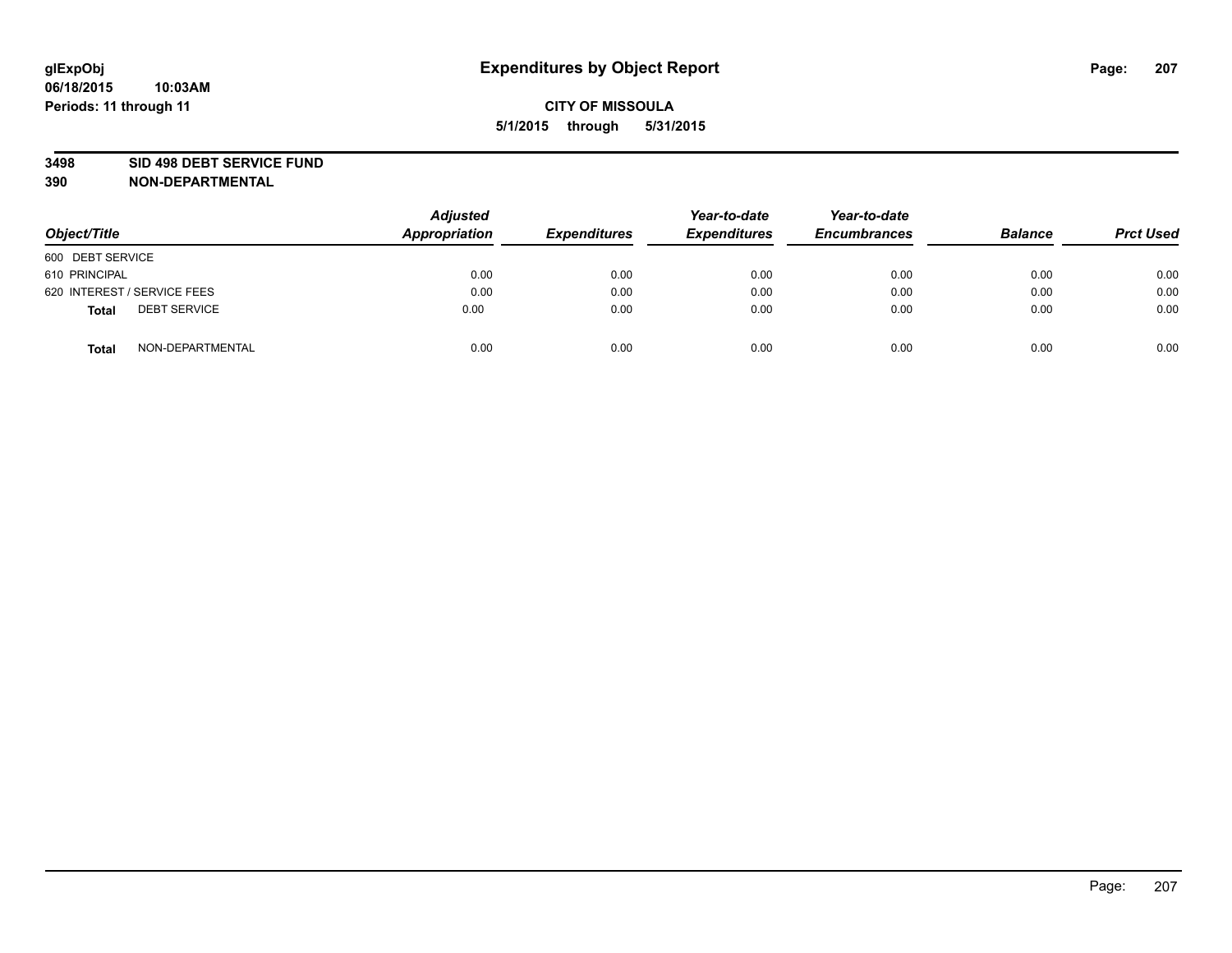#### **3498 SID 498 DEBT SERVICE FUND**

| Object/Title                        | <b>Adjusted</b><br>Appropriation | <b>Expenditures</b> | Year-to-date<br><b>Expenditures</b> | Year-to-date<br><b>Encumbrances</b> | <b>Balance</b> | <b>Prct Used</b> |
|-------------------------------------|----------------------------------|---------------------|-------------------------------------|-------------------------------------|----------------|------------------|
| 600 DEBT SERVICE                    |                                  |                     |                                     |                                     |                |                  |
| 610 PRINCIPAL                       | 0.00                             | 0.00                | 0.00                                | 0.00                                | 0.00           | 0.00             |
| 620 INTEREST / SERVICE FEES         | 0.00                             | 0.00                | 0.00                                | 0.00                                | 0.00           | 0.00             |
| <b>DEBT SERVICE</b><br><b>Total</b> | 0.00                             | 0.00                | 0.00                                | 0.00                                | 0.00           | 0.00             |
| NON-DEPARTMENTAL<br><b>Total</b>    | 0.00                             | 0.00                | 0.00                                | 0.00                                | 0.00           | 0.00             |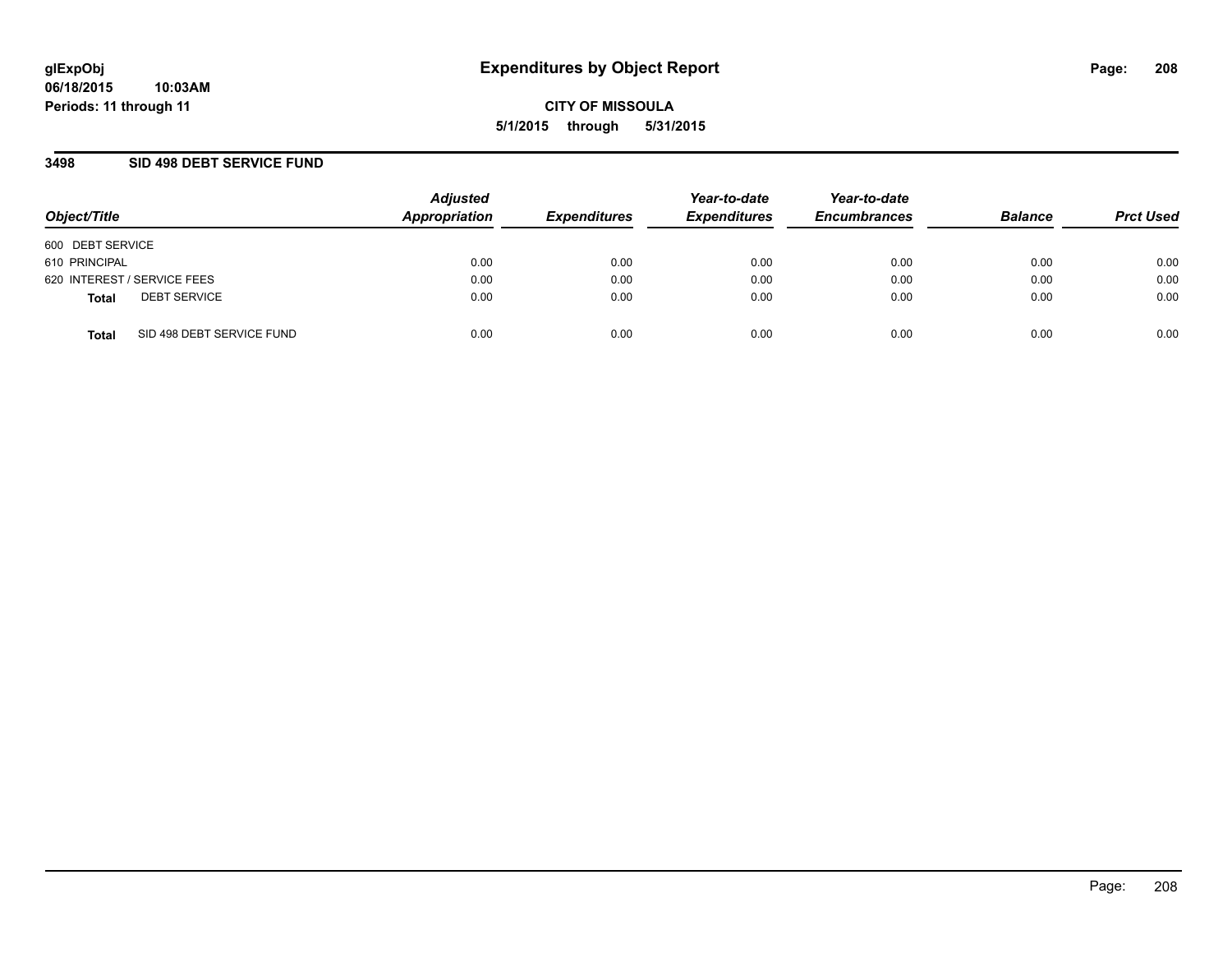## **3498 SID 498 DEBT SERVICE FUND**

| Object/Title                              | <b>Adjusted</b><br>Appropriation | <b>Expenditures</b> | Year-to-date<br><b>Expenditures</b> | Year-to-date<br><b>Encumbrances</b> | <b>Balance</b> | <b>Prct Used</b> |
|-------------------------------------------|----------------------------------|---------------------|-------------------------------------|-------------------------------------|----------------|------------------|
| 600 DEBT SERVICE                          |                                  |                     |                                     |                                     |                |                  |
| 610 PRINCIPAL                             | 0.00                             | 0.00                | 0.00                                | 0.00                                | 0.00           | 0.00             |
| 620 INTEREST / SERVICE FEES               | 0.00                             | 0.00                | 0.00                                | 0.00                                | 0.00           | 0.00             |
| <b>DEBT SERVICE</b><br><b>Total</b>       | 0.00                             | 0.00                | 0.00                                | 0.00                                | 0.00           | 0.00             |
| SID 498 DEBT SERVICE FUND<br><b>Total</b> | 0.00                             | 0.00                | 0.00                                | 0.00                                | 0.00           | 0.00             |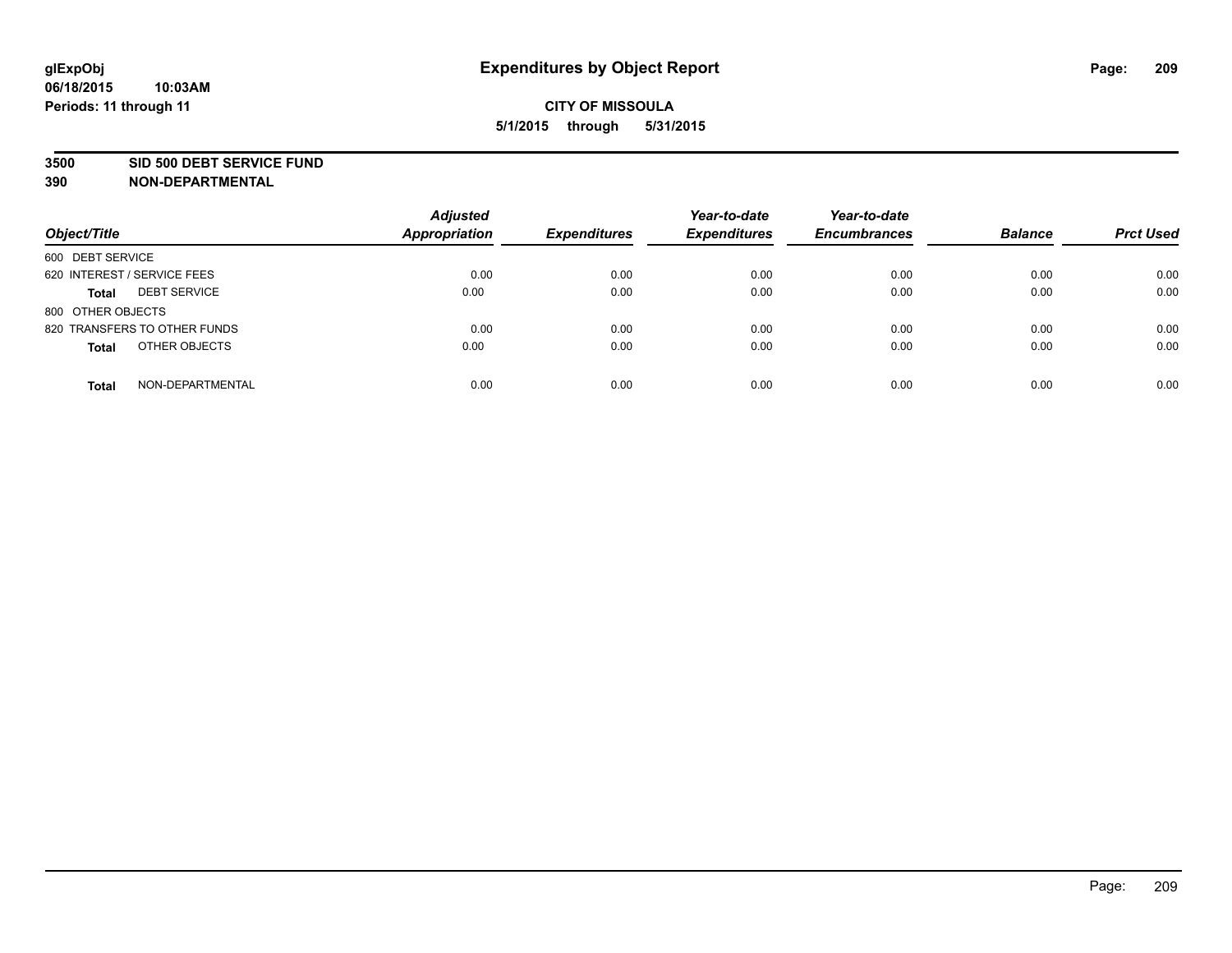#### **3500 SID 500 DEBT SERVICE FUND**

| Object/Title                        | <b>Adjusted</b><br><b>Appropriation</b> | <b>Expenditures</b> | Year-to-date<br><b>Expenditures</b> | Year-to-date<br><b>Encumbrances</b> | <b>Balance</b> | <b>Prct Used</b> |
|-------------------------------------|-----------------------------------------|---------------------|-------------------------------------|-------------------------------------|----------------|------------------|
| 600 DEBT SERVICE                    |                                         |                     |                                     |                                     |                |                  |
| 620 INTEREST / SERVICE FEES         | 0.00                                    | 0.00                | 0.00                                | 0.00                                | 0.00           | 0.00             |
| <b>DEBT SERVICE</b><br><b>Total</b> | 0.00                                    | 0.00                | 0.00                                | 0.00                                | 0.00           | 0.00             |
| 800 OTHER OBJECTS                   |                                         |                     |                                     |                                     |                |                  |
| 820 TRANSFERS TO OTHER FUNDS        | 0.00                                    | 0.00                | 0.00                                | 0.00                                | 0.00           | 0.00             |
| OTHER OBJECTS<br><b>Total</b>       | 0.00                                    | 0.00                | 0.00                                | 0.00                                | 0.00           | 0.00             |
| NON-DEPARTMENTAL<br><b>Total</b>    | 0.00                                    | 0.00                | 0.00                                | 0.00                                | 0.00           | 0.00             |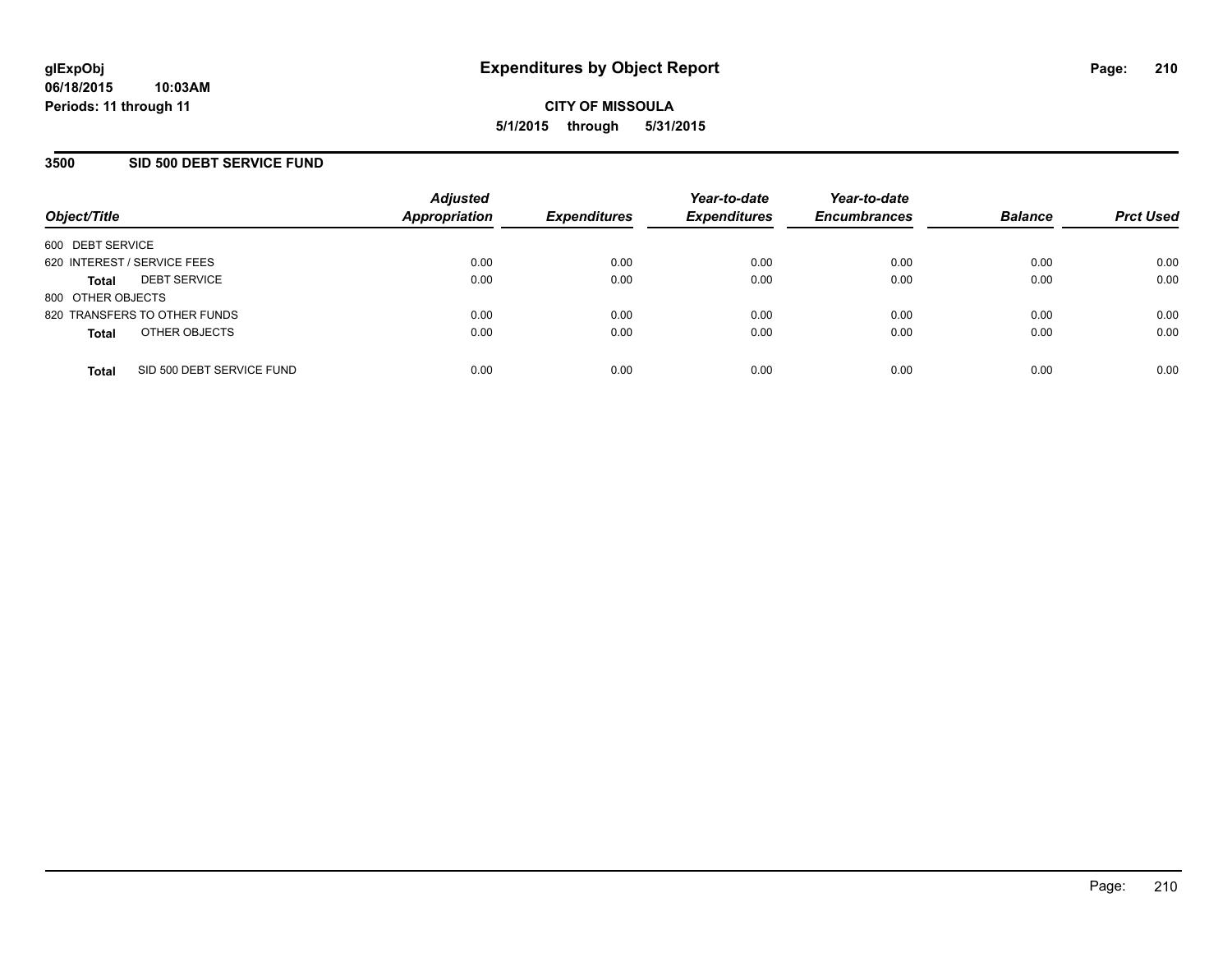## **3500 SID 500 DEBT SERVICE FUND**

| Object/Title                |                              | <b>Adjusted</b><br><b>Appropriation</b> | <b>Expenditures</b> | Year-to-date<br><b>Expenditures</b> | Year-to-date<br><b>Encumbrances</b> | <b>Balance</b> | <b>Prct Used</b> |
|-----------------------------|------------------------------|-----------------------------------------|---------------------|-------------------------------------|-------------------------------------|----------------|------------------|
| 600 DEBT SERVICE            |                              |                                         |                     |                                     |                                     |                |                  |
| 620 INTEREST / SERVICE FEES |                              | 0.00                                    | 0.00                | 0.00                                | 0.00                                | 0.00           | 0.00             |
| <b>Total</b>                | <b>DEBT SERVICE</b>          | 0.00                                    | 0.00                | 0.00                                | 0.00                                | 0.00           | 0.00             |
| 800 OTHER OBJECTS           |                              |                                         |                     |                                     |                                     |                |                  |
|                             | 820 TRANSFERS TO OTHER FUNDS | 0.00                                    | 0.00                | 0.00                                | 0.00                                | 0.00           | 0.00             |
| <b>Total</b>                | OTHER OBJECTS                | 0.00                                    | 0.00                | 0.00                                | 0.00                                | 0.00           | 0.00             |
| <b>Total</b>                | SID 500 DEBT SERVICE FUND    | 0.00                                    | 0.00                | 0.00                                | 0.00                                | 0.00           | 0.00             |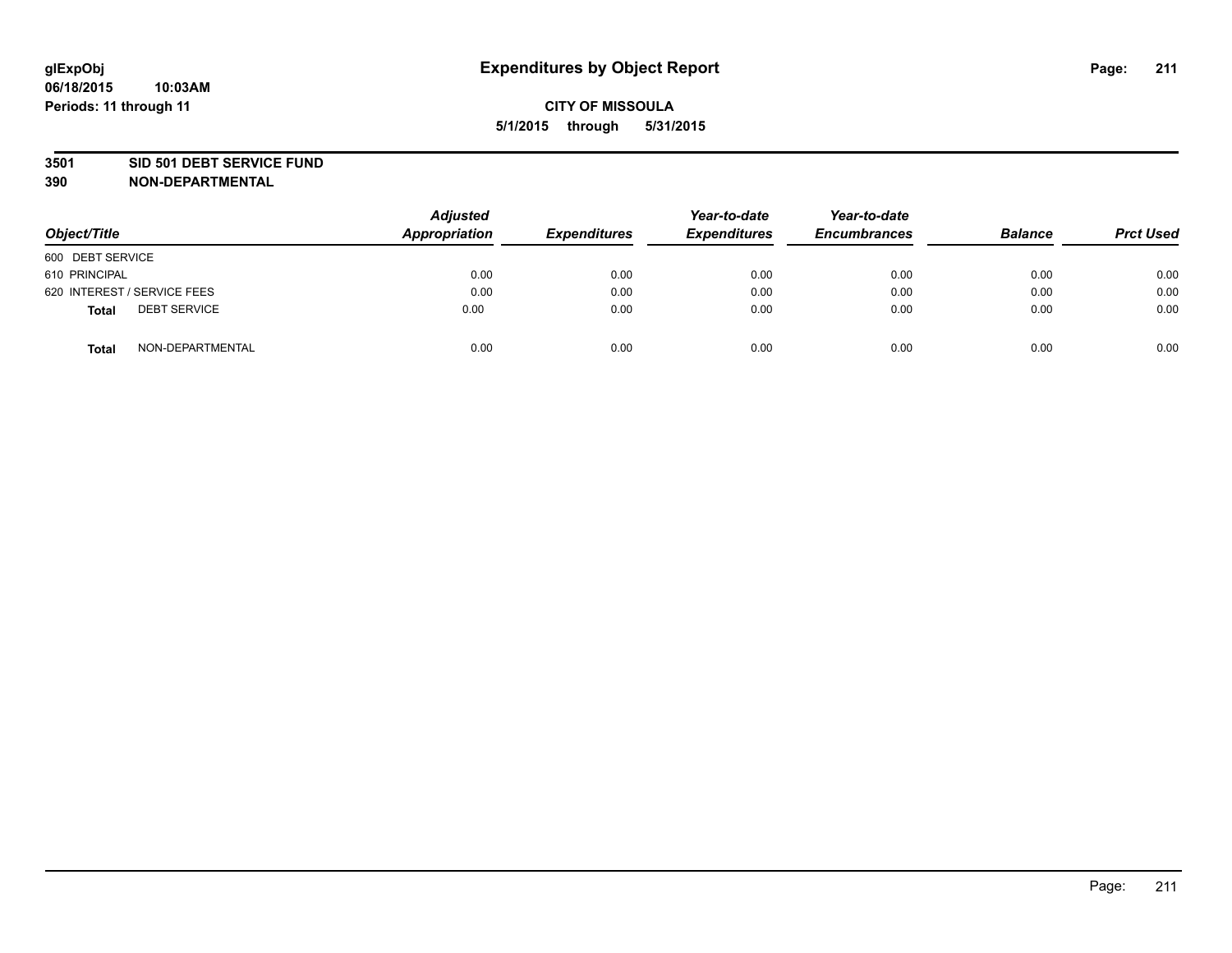#### **3501 SID 501 DEBT SERVICE FUND**

| Object/Title                 | <b>Adjusted</b><br>Appropriation | <b>Expenditures</b> | Year-to-date<br><b>Expenditures</b> | Year-to-date<br><b>Encumbrances</b> | <b>Balance</b> | <b>Prct Used</b> |
|------------------------------|----------------------------------|---------------------|-------------------------------------|-------------------------------------|----------------|------------------|
| 600 DEBT SERVICE             |                                  |                     |                                     |                                     |                |                  |
| 610 PRINCIPAL                | 0.00                             | 0.00                | 0.00                                | 0.00                                | 0.00           | 0.00             |
| 620 INTEREST / SERVICE FEES  | 0.00                             | 0.00                | 0.00                                | 0.00                                | 0.00           | 0.00             |
| <b>DEBT SERVICE</b><br>Total | 0.00                             | 0.00                | 0.00                                | 0.00                                | 0.00           | 0.00             |
| NON-DEPARTMENTAL<br>Total    | 0.00                             | 0.00                | 0.00                                | 0.00                                | 0.00           | 0.00             |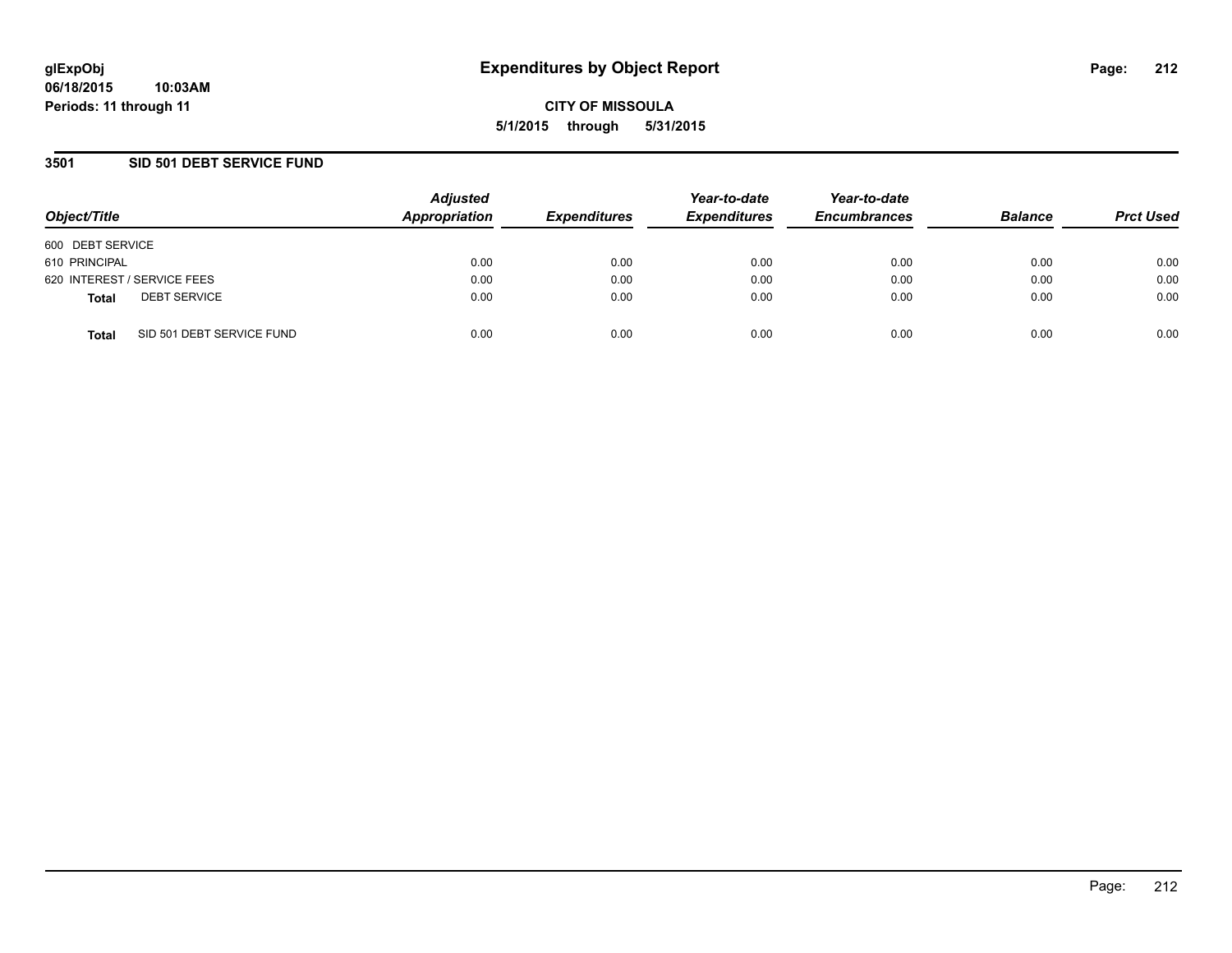## **3501 SID 501 DEBT SERVICE FUND**

| Object/Title                              | <b>Adjusted</b><br>Appropriation | <b>Expenditures</b> | Year-to-date<br><b>Expenditures</b> | Year-to-date<br><b>Encumbrances</b> | <b>Balance</b> | <b>Prct Used</b> |
|-------------------------------------------|----------------------------------|---------------------|-------------------------------------|-------------------------------------|----------------|------------------|
| 600 DEBT SERVICE                          |                                  |                     |                                     |                                     |                |                  |
| 610 PRINCIPAL                             | 0.00                             | 0.00                | 0.00                                | 0.00                                | 0.00           | 0.00             |
| 620 INTEREST / SERVICE FEES               | 0.00                             | 0.00                | 0.00                                | 0.00                                | 0.00           | 0.00             |
| <b>DEBT SERVICE</b><br><b>Total</b>       | 0.00                             | 0.00                | 0.00                                | 0.00                                | 0.00           | 0.00             |
| SID 501 DEBT SERVICE FUND<br><b>Total</b> | 0.00                             | 0.00                | 0.00                                | 0.00                                | 0.00           | 0.00             |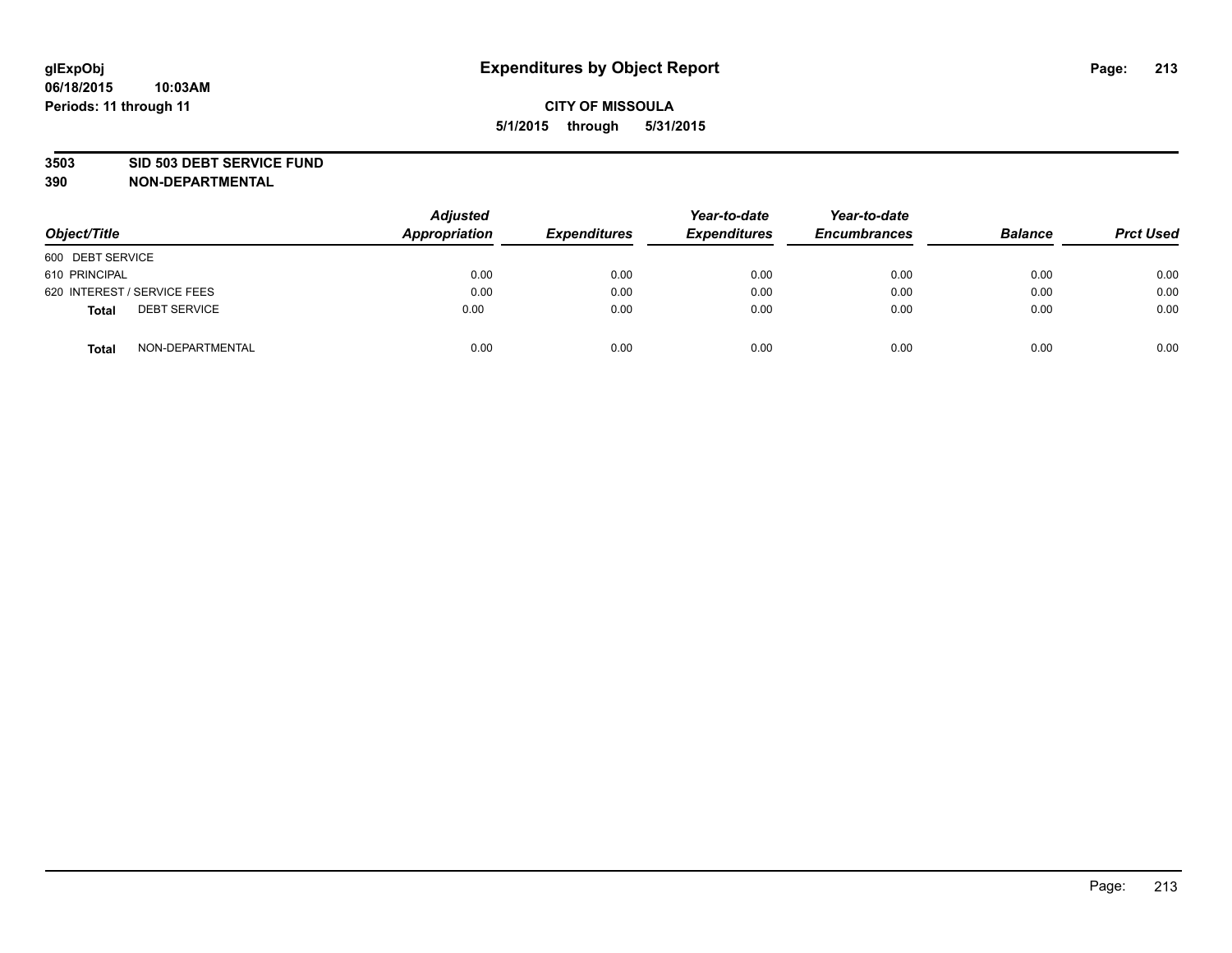#### **3503 SID 503 DEBT SERVICE FUND**

| Object/Title                        | <b>Adjusted</b><br>Appropriation | <b>Expenditures</b> | Year-to-date<br><b>Expenditures</b> | Year-to-date<br><b>Encumbrances</b> | <b>Balance</b> | <b>Prct Used</b> |
|-------------------------------------|----------------------------------|---------------------|-------------------------------------|-------------------------------------|----------------|------------------|
| 600 DEBT SERVICE                    |                                  |                     |                                     |                                     |                |                  |
| 610 PRINCIPAL                       | 0.00                             | 0.00                | 0.00                                | 0.00                                | 0.00           | 0.00             |
| 620 INTEREST / SERVICE FEES         | 0.00                             | 0.00                | 0.00                                | 0.00                                | 0.00           | 0.00             |
| <b>DEBT SERVICE</b><br><b>Total</b> | 0.00                             | 0.00                | 0.00                                | 0.00                                | 0.00           | 0.00             |
| NON-DEPARTMENTAL<br><b>Total</b>    | 0.00                             | 0.00                | 0.00                                | 0.00                                | 0.00           | 0.00             |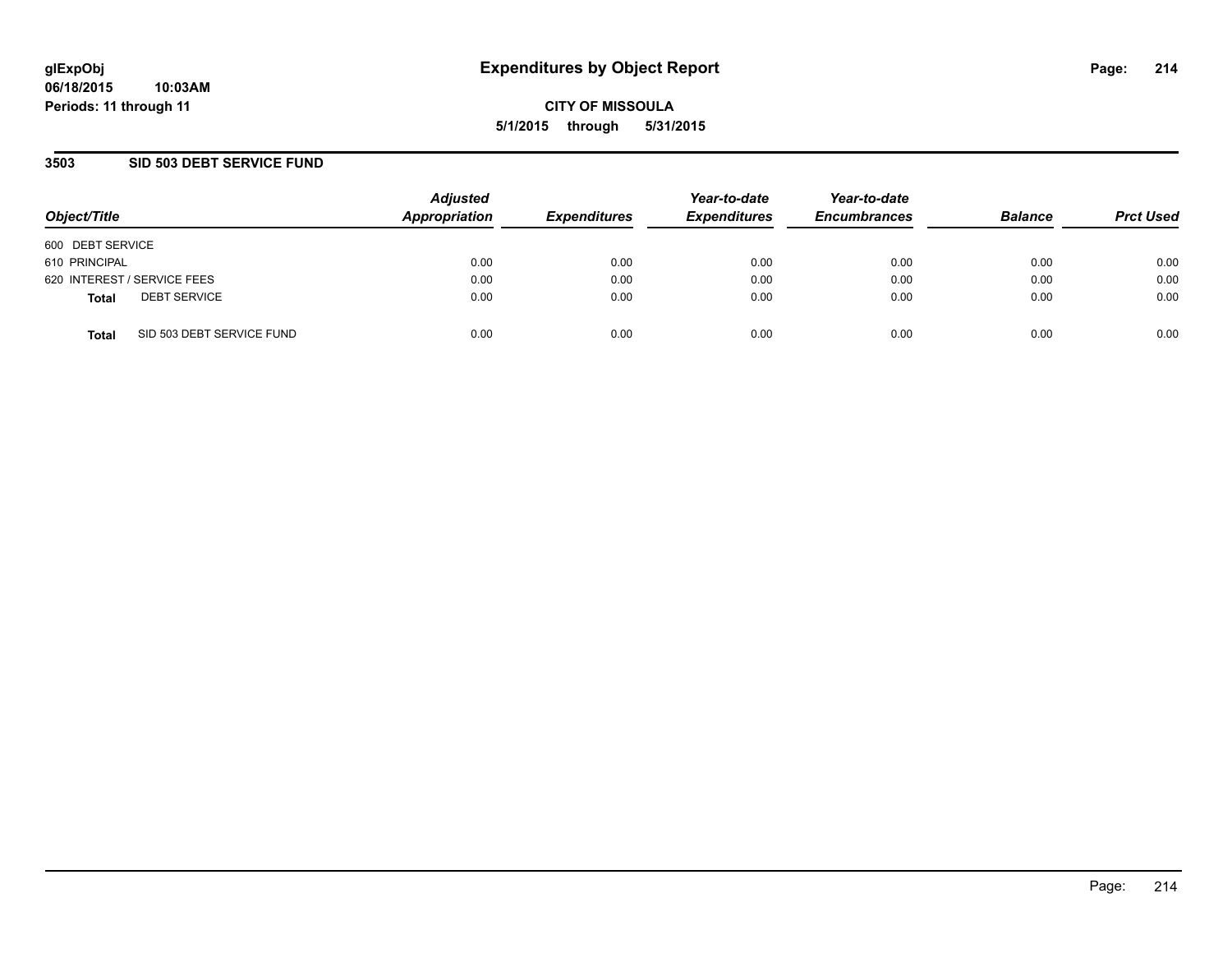## **3503 SID 503 DEBT SERVICE FUND**

| Object/Title                              | <b>Adjusted</b><br>Appropriation | <b>Expenditures</b> | Year-to-date<br><b>Expenditures</b> | Year-to-date<br><b>Encumbrances</b> | <b>Balance</b> | <b>Prct Used</b> |
|-------------------------------------------|----------------------------------|---------------------|-------------------------------------|-------------------------------------|----------------|------------------|
| 600 DEBT SERVICE                          |                                  |                     |                                     |                                     |                |                  |
| 610 PRINCIPAL                             | 0.00                             | 0.00                | 0.00                                | 0.00                                | 0.00           | 0.00             |
| 620 INTEREST / SERVICE FEES               | 0.00                             | 0.00                | 0.00                                | 0.00                                | 0.00           | 0.00             |
| <b>DEBT SERVICE</b><br><b>Total</b>       | 0.00                             | 0.00                | 0.00                                | 0.00                                | 0.00           | 0.00             |
| SID 503 DEBT SERVICE FUND<br><b>Total</b> | 0.00                             | 0.00                | 0.00                                | 0.00                                | 0.00           | 0.00             |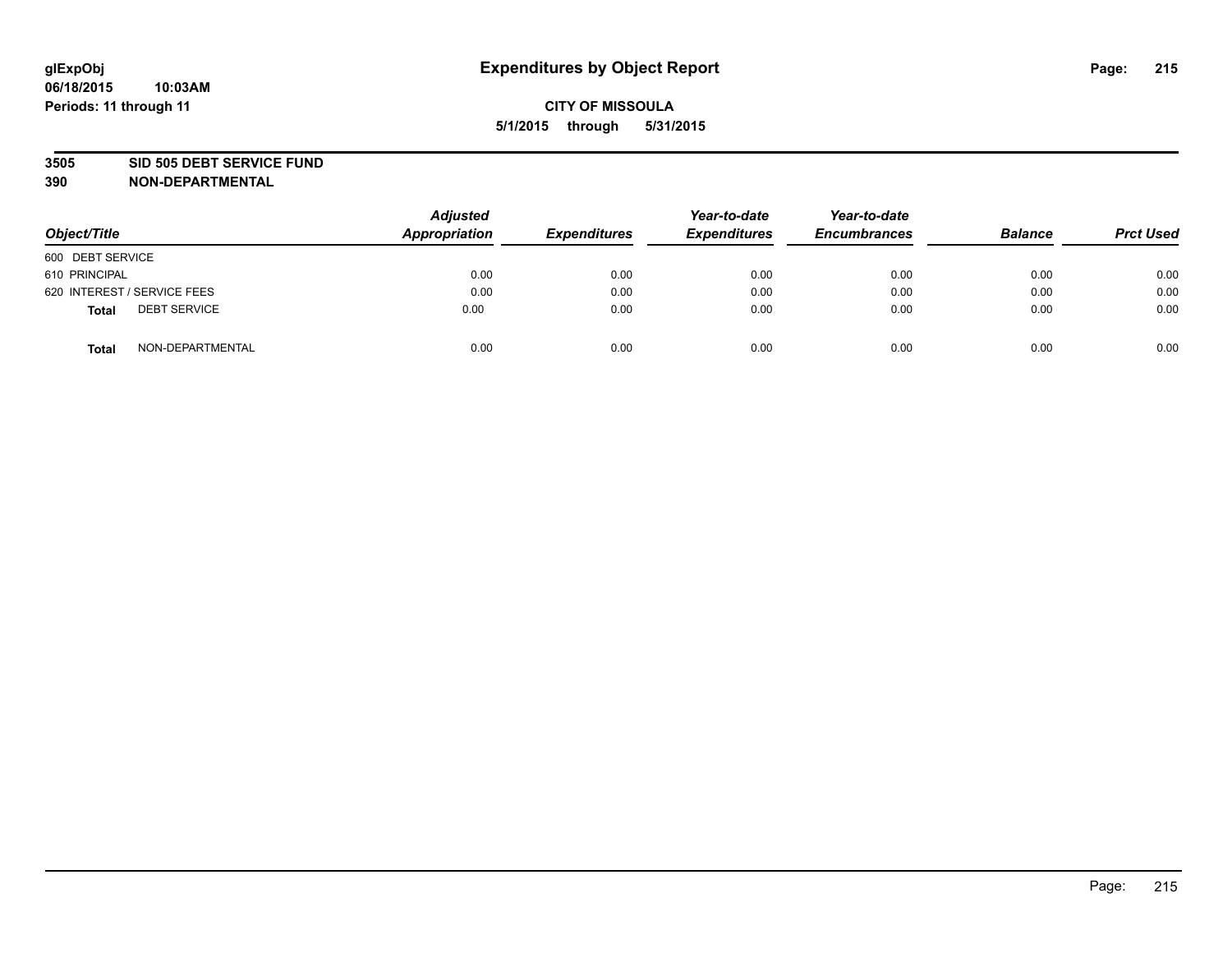#### **3505 SID 505 DEBT SERVICE FUND**

| Object/Title                 | <b>Adjusted</b><br>Appropriation | <b>Expenditures</b> | Year-to-date<br><b>Expenditures</b> | Year-to-date<br><b>Encumbrances</b> | <b>Balance</b> | <b>Prct Used</b> |
|------------------------------|----------------------------------|---------------------|-------------------------------------|-------------------------------------|----------------|------------------|
| 600 DEBT SERVICE             |                                  |                     |                                     |                                     |                |                  |
| 610 PRINCIPAL                | 0.00                             | 0.00                | 0.00                                | 0.00                                | 0.00           | 0.00             |
| 620 INTEREST / SERVICE FEES  | 0.00                             | 0.00                | 0.00                                | 0.00                                | 0.00           | 0.00             |
| <b>DEBT SERVICE</b><br>Total | 0.00                             | 0.00                | 0.00                                | 0.00                                | 0.00           | 0.00             |
| NON-DEPARTMENTAL<br>Total    | 0.00                             | 0.00                | 0.00                                | 0.00                                | 0.00           | 0.00             |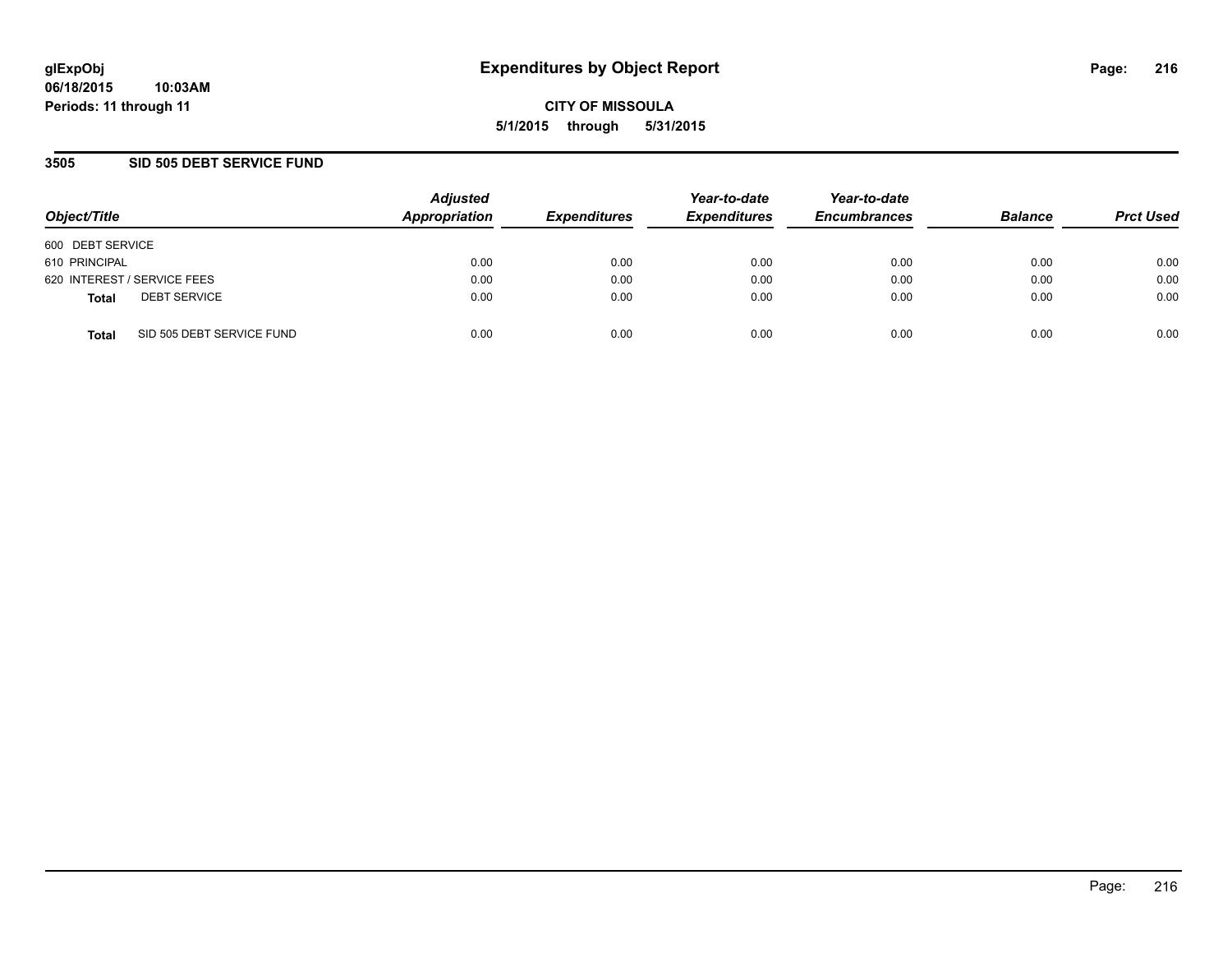## **3505 SID 505 DEBT SERVICE FUND**

| Object/Title                              | <b>Adjusted</b><br>Appropriation | <b>Expenditures</b> | Year-to-date<br><b>Expenditures</b> | Year-to-date<br><b>Encumbrances</b> | <b>Balance</b> | <b>Prct Used</b> |
|-------------------------------------------|----------------------------------|---------------------|-------------------------------------|-------------------------------------|----------------|------------------|
| 600 DEBT SERVICE                          |                                  |                     |                                     |                                     |                |                  |
| 610 PRINCIPAL                             | 0.00                             | 0.00                | 0.00                                | 0.00                                | 0.00           | 0.00             |
| 620 INTEREST / SERVICE FEES               | 0.00                             | 0.00                | 0.00                                | 0.00                                | 0.00           | 0.00             |
| <b>DEBT SERVICE</b><br><b>Total</b>       | 0.00                             | 0.00                | 0.00                                | 0.00                                | 0.00           | 0.00             |
| SID 505 DEBT SERVICE FUND<br><b>Total</b> | 0.00                             | 0.00                | 0.00                                | 0.00                                | 0.00           | 0.00             |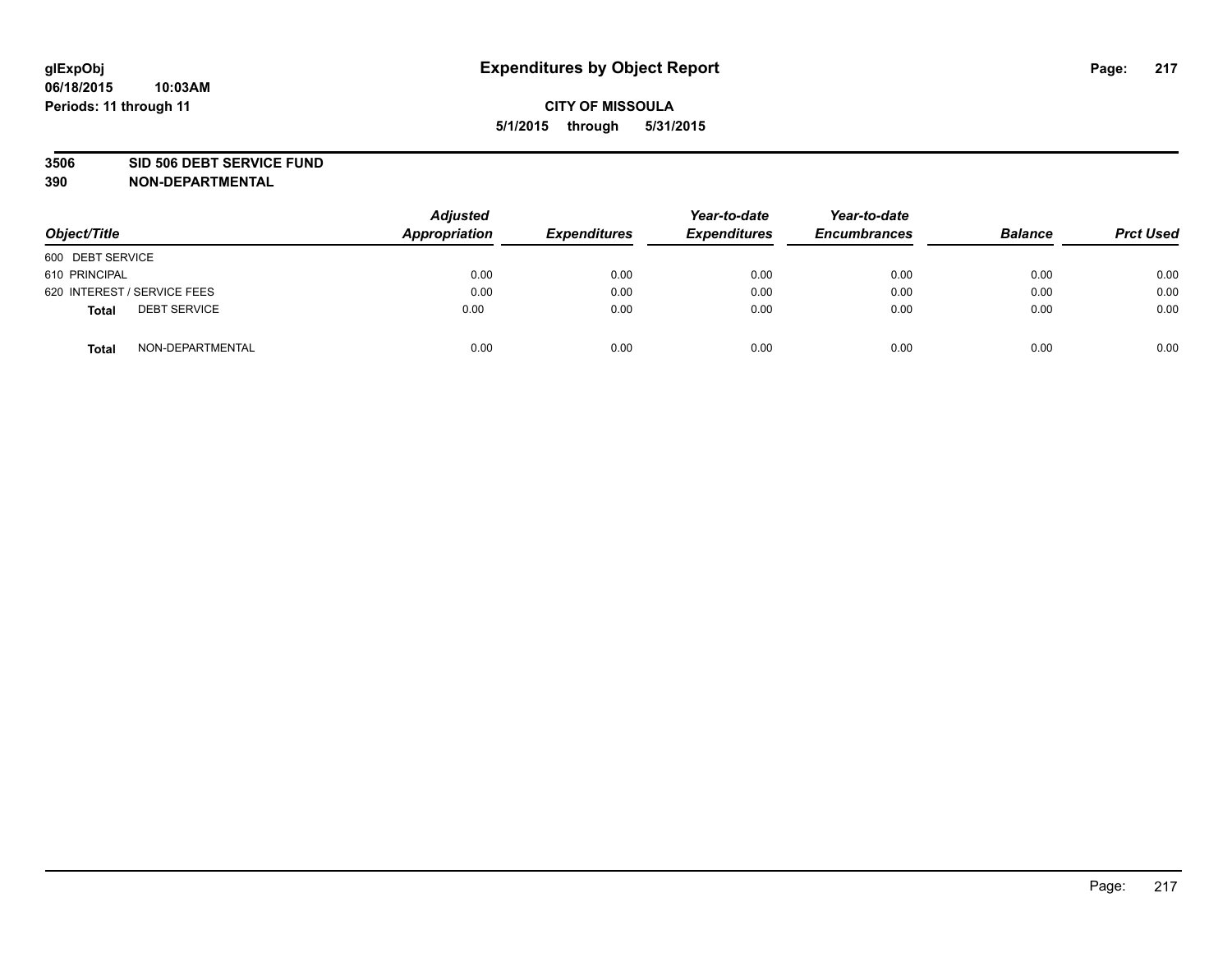### **3506 SID 506 DEBT SERVICE FUND**

| Object/Title                 | <b>Adjusted</b><br><b>Appropriation</b> | <b>Expenditures</b> | Year-to-date<br><b>Expenditures</b> | Year-to-date<br><b>Encumbrances</b> | <b>Balance</b> | <b>Prct Used</b> |
|------------------------------|-----------------------------------------|---------------------|-------------------------------------|-------------------------------------|----------------|------------------|
| 600 DEBT SERVICE             |                                         |                     |                                     |                                     |                |                  |
| 610 PRINCIPAL                | 0.00                                    | 0.00                | 0.00                                | 0.00                                | 0.00           | 0.00             |
| 620 INTEREST / SERVICE FEES  | 0.00                                    | 0.00                | 0.00                                | 0.00                                | 0.00           | 0.00             |
| <b>DEBT SERVICE</b><br>Total | 0.00                                    | 0.00                | 0.00                                | 0.00                                | 0.00           | 0.00             |
| NON-DEPARTMENTAL<br>Total    | 0.00                                    | 0.00                | 0.00                                | 0.00                                | 0.00           | 0.00             |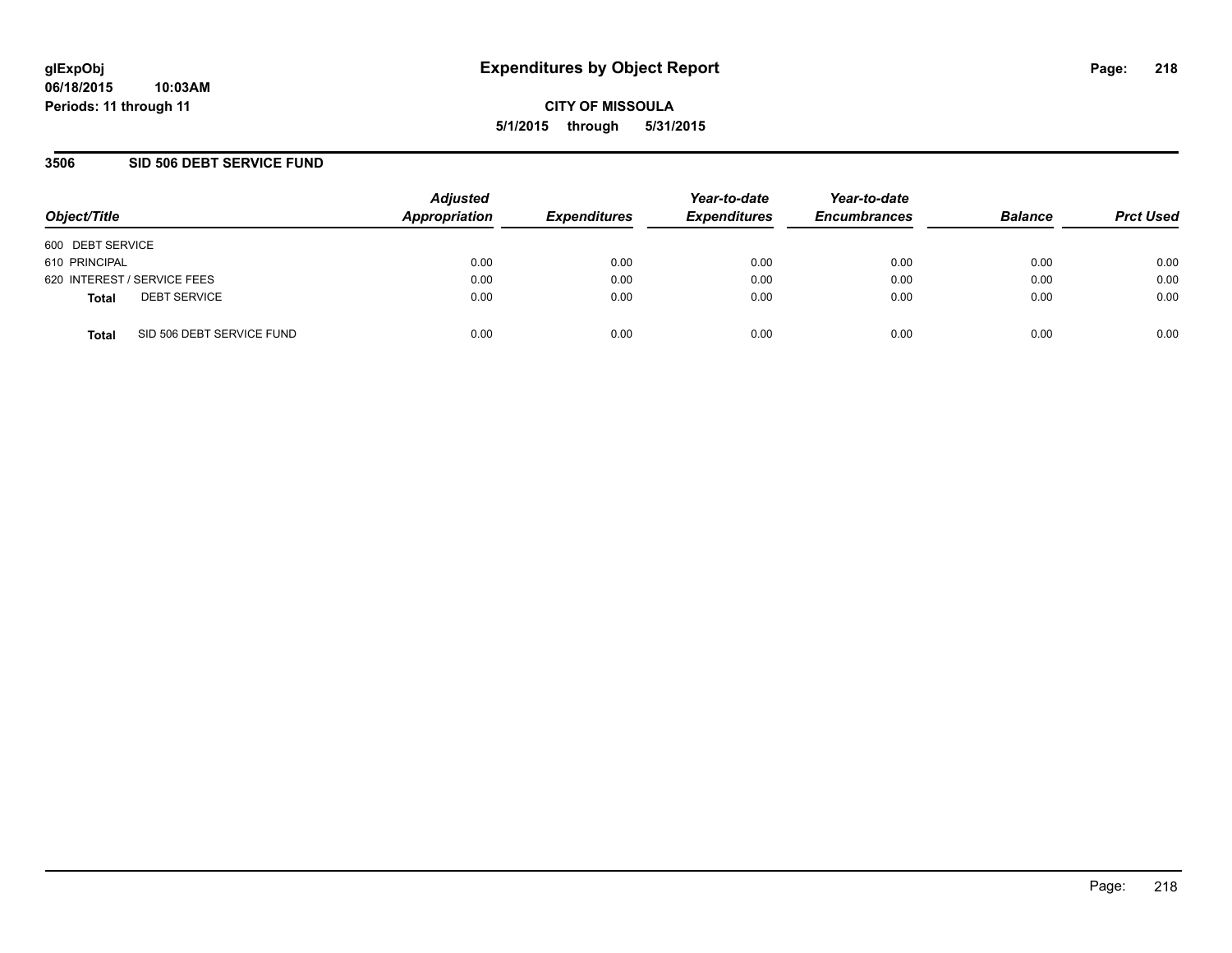## **3506 SID 506 DEBT SERVICE FUND**

| Object/Title                              | <b>Adjusted</b><br>Appropriation | <b>Expenditures</b> | Year-to-date<br><b>Expenditures</b> | Year-to-date<br><b>Encumbrances</b> | <b>Balance</b> | <b>Prct Used</b> |
|-------------------------------------------|----------------------------------|---------------------|-------------------------------------|-------------------------------------|----------------|------------------|
| 600 DEBT SERVICE                          |                                  |                     |                                     |                                     |                |                  |
| 610 PRINCIPAL                             | 0.00                             | 0.00                | 0.00                                | 0.00                                | 0.00           | 0.00             |
| 620 INTEREST / SERVICE FEES               | 0.00                             | 0.00                | 0.00                                | 0.00                                | 0.00           | 0.00             |
| <b>DEBT SERVICE</b><br><b>Total</b>       | 0.00                             | 0.00                | 0.00                                | 0.00                                | 0.00           | 0.00             |
| SID 506 DEBT SERVICE FUND<br><b>Total</b> | 0.00                             | 0.00                | 0.00                                | 0.00                                | 0.00           | 0.00             |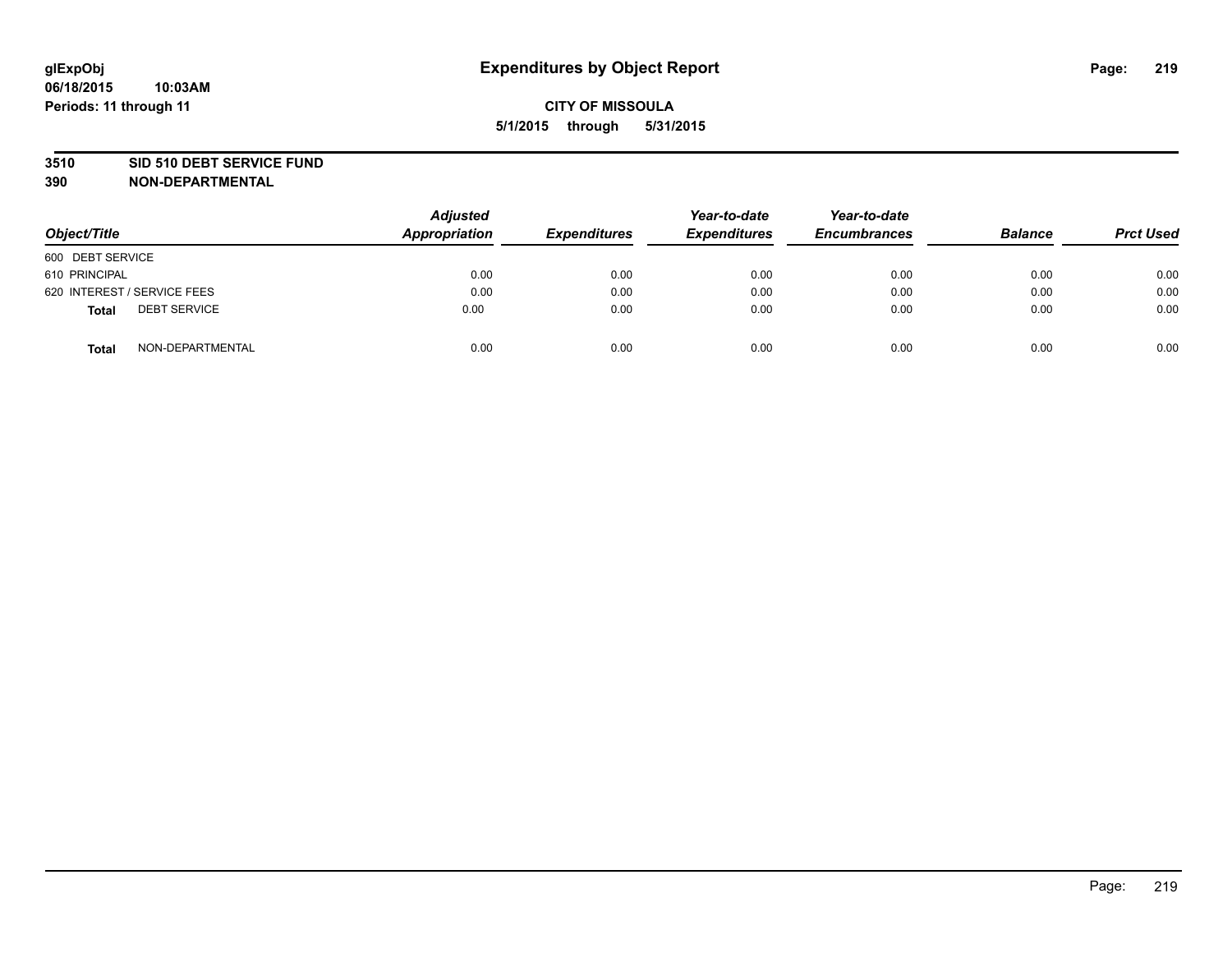### **3510 SID 510 DEBT SERVICE FUND**

| Object/Title                        | <b>Adjusted</b><br><b>Appropriation</b> | <b>Expenditures</b> | Year-to-date<br><b>Expenditures</b> | Year-to-date<br><b>Encumbrances</b> | <b>Balance</b> | <b>Prct Used</b> |
|-------------------------------------|-----------------------------------------|---------------------|-------------------------------------|-------------------------------------|----------------|------------------|
| 600 DEBT SERVICE                    |                                         |                     |                                     |                                     |                |                  |
| 610 PRINCIPAL                       | 0.00                                    | 0.00                | 0.00                                | 0.00                                | 0.00           | 0.00             |
| 620 INTEREST / SERVICE FEES         | 0.00                                    | 0.00                | 0.00                                | 0.00                                | 0.00           | 0.00             |
| <b>DEBT SERVICE</b><br><b>Total</b> | 0.00                                    | 0.00                | 0.00                                | 0.00                                | 0.00           | 0.00             |
| NON-DEPARTMENTAL<br><b>Total</b>    | 0.00                                    | 0.00                | 0.00                                | 0.00                                | 0.00           | 0.00             |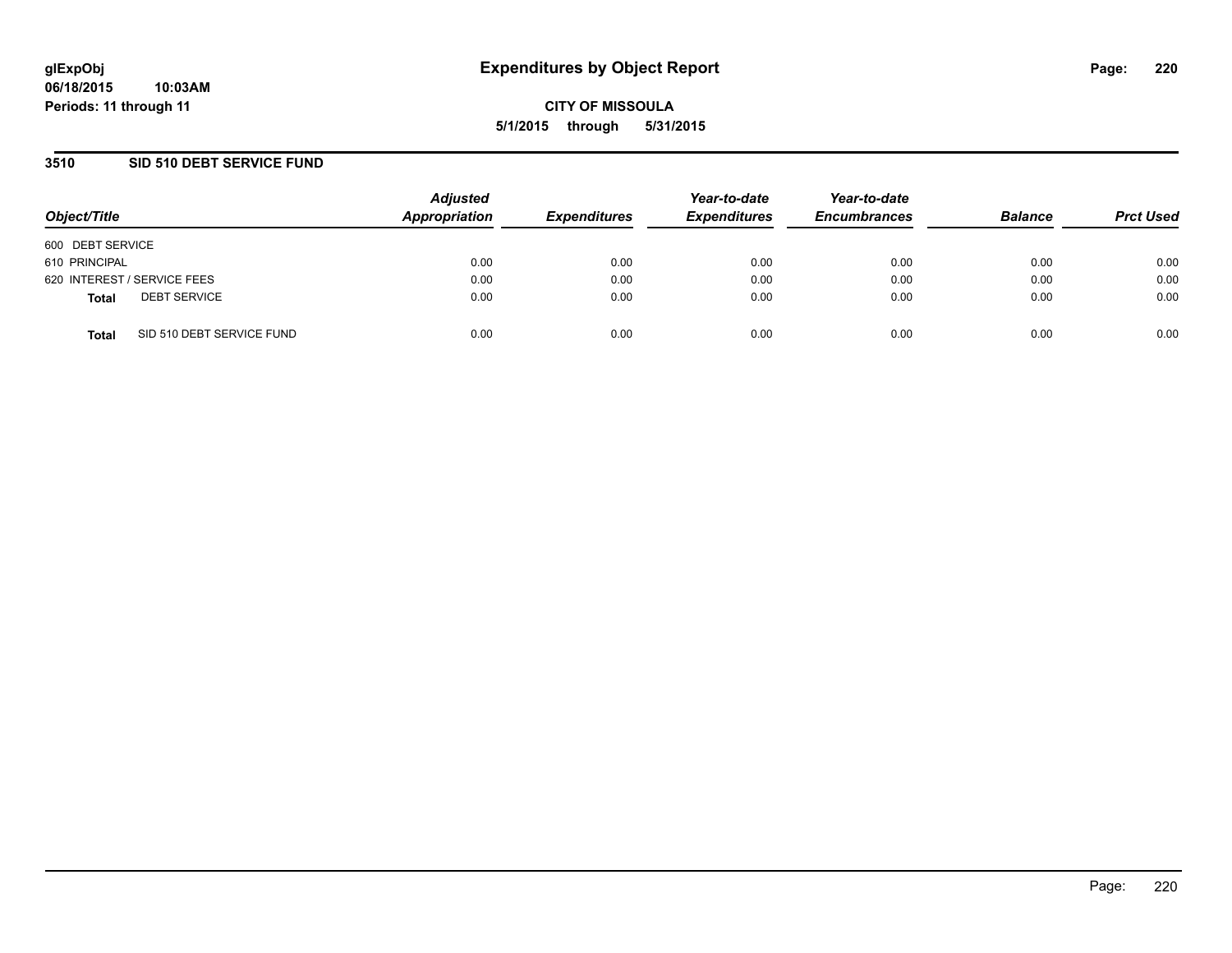## **3510 SID 510 DEBT SERVICE FUND**

| Object/Title     |                             | <b>Adjusted</b><br>Appropriation | <b>Expenditures</b> | Year-to-date<br><b>Expenditures</b> | Year-to-date<br><b>Encumbrances</b> | <b>Balance</b> | <b>Prct Used</b> |
|------------------|-----------------------------|----------------------------------|---------------------|-------------------------------------|-------------------------------------|----------------|------------------|
| 600 DEBT SERVICE |                             |                                  |                     |                                     |                                     |                |                  |
| 610 PRINCIPAL    |                             | 0.00                             | 0.00                | 0.00                                | 0.00                                | 0.00           | 0.00             |
|                  | 620 INTEREST / SERVICE FEES | 0.00                             | 0.00                | 0.00                                | 0.00                                | 0.00           | 0.00             |
| <b>Total</b>     | <b>DEBT SERVICE</b>         | 0.00                             | 0.00                | 0.00                                | 0.00                                | 0.00           | 0.00             |
| <b>Total</b>     | SID 510 DEBT SERVICE FUND   | 0.00                             | 0.00                | 0.00                                | 0.00                                | 0.00           | 0.00             |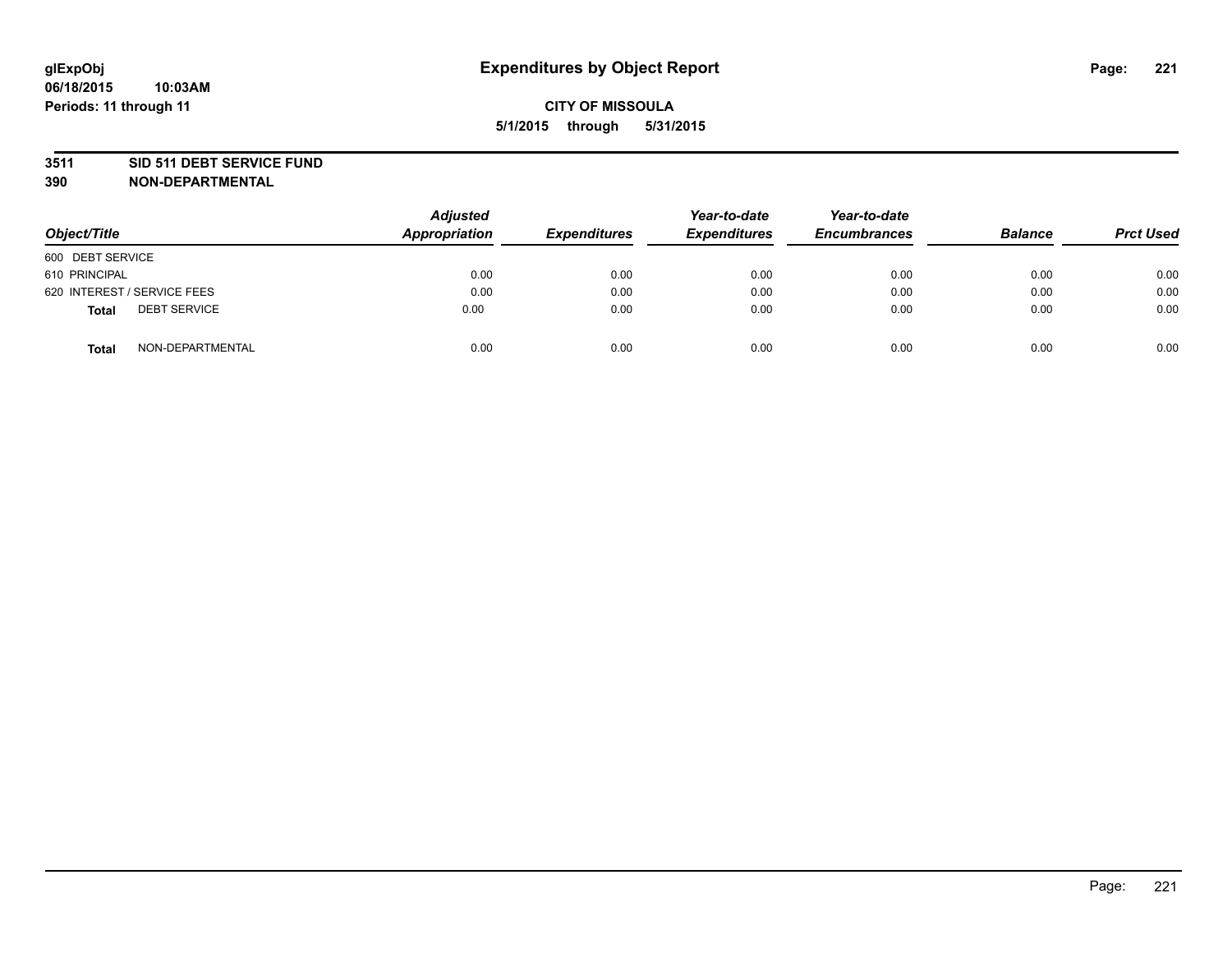### **3511 SID 511 DEBT SERVICE FUND**

| Object/Title                 | Adjusted<br><b>Appropriation</b> | <b>Expenditures</b> | Year-to-date<br><b>Expenditures</b> | Year-to-date<br><b>Encumbrances</b> | <b>Balance</b> | <b>Prct Used</b> |
|------------------------------|----------------------------------|---------------------|-------------------------------------|-------------------------------------|----------------|------------------|
| 600 DEBT SERVICE             |                                  |                     |                                     |                                     |                |                  |
| 610 PRINCIPAL                | 0.00                             | 0.00                | 0.00                                | 0.00                                | 0.00           | 0.00             |
| 620 INTEREST / SERVICE FEES  | 0.00                             | 0.00                | 0.00                                | 0.00                                | 0.00           | 0.00             |
| <b>DEBT SERVICE</b><br>Total | 0.00                             | 0.00                | 0.00                                | 0.00                                | 0.00           | 0.00             |
| NON-DEPARTMENTAL<br>Total    | 0.00                             | 0.00                | 0.00                                | 0.00                                | 0.00           | 0.00             |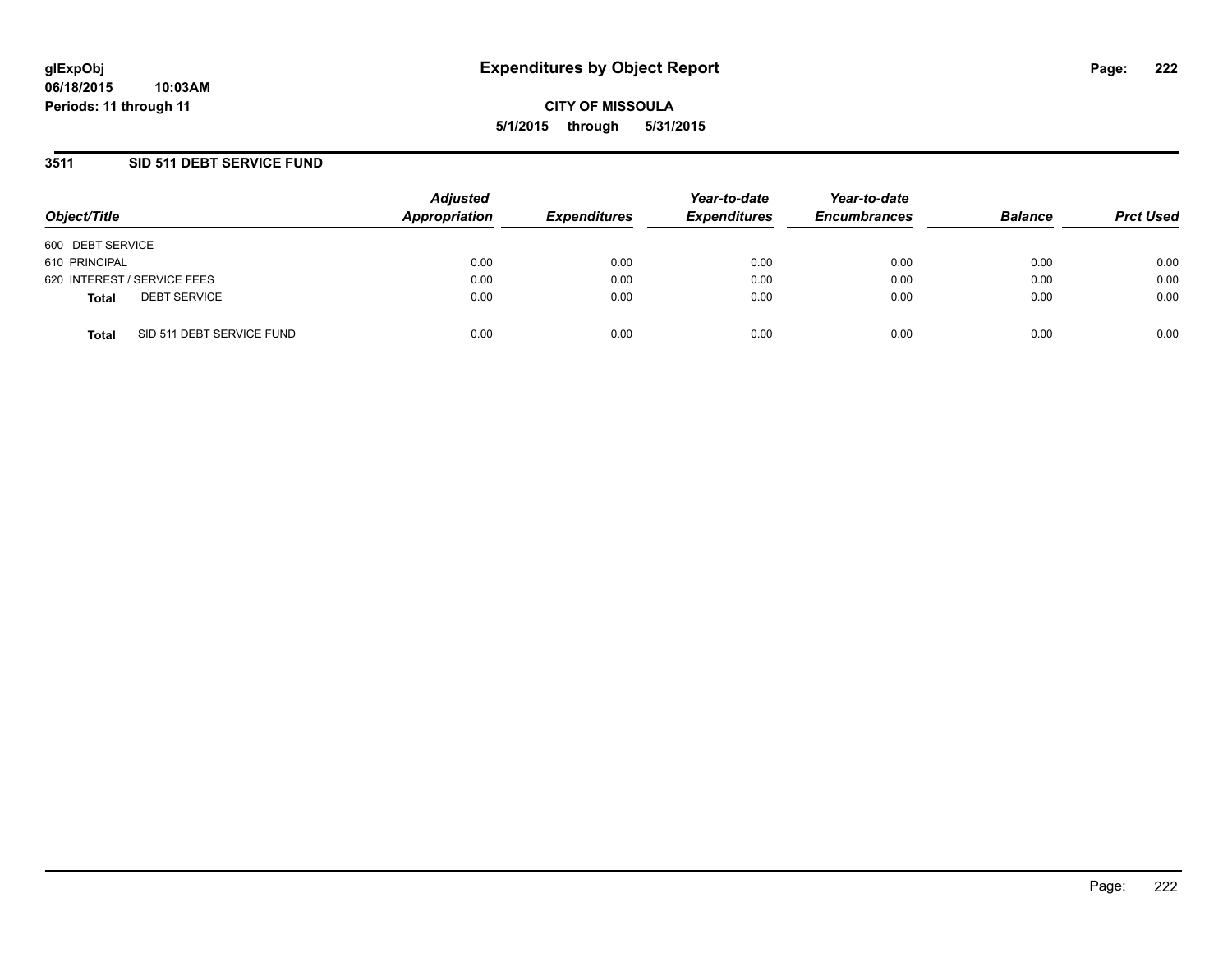## **3511 SID 511 DEBT SERVICE FUND**

| Object/Title     |                             | <b>Adjusted</b><br>Appropriation | <b>Expenditures</b> | Year-to-date<br><b>Expenditures</b> | Year-to-date<br><b>Encumbrances</b> | <b>Balance</b> | <b>Prct Used</b> |
|------------------|-----------------------------|----------------------------------|---------------------|-------------------------------------|-------------------------------------|----------------|------------------|
| 600 DEBT SERVICE |                             |                                  |                     |                                     |                                     |                |                  |
| 610 PRINCIPAL    |                             | 0.00                             | 0.00                | 0.00                                | 0.00                                | 0.00           | 0.00             |
|                  | 620 INTEREST / SERVICE FEES | 0.00                             | 0.00                | 0.00                                | 0.00                                | 0.00           | 0.00             |
| <b>Total</b>     | <b>DEBT SERVICE</b>         | 0.00                             | 0.00                | 0.00                                | 0.00                                | 0.00           | 0.00             |
| <b>Total</b>     | SID 511 DEBT SERVICE FUND   | 0.00                             | 0.00                | 0.00                                | 0.00                                | 0.00           | 0.00             |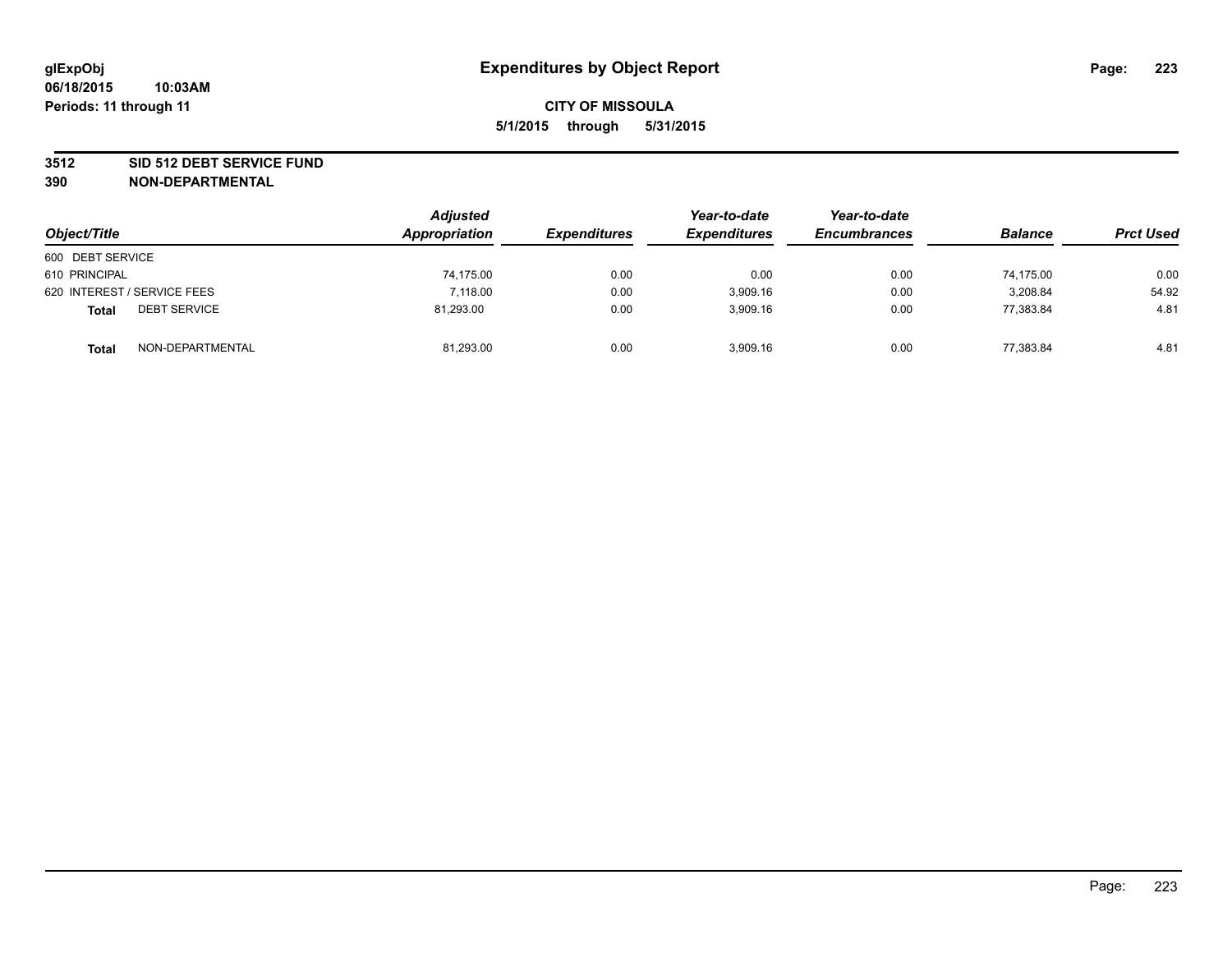### **3512 SID 512 DEBT SERVICE FUND**

| Object/Title                        | <b>Adjusted</b><br>Appropriation | <b>Expenditures</b> | Year-to-date<br><b>Expenditures</b> | Year-to-date<br><b>Encumbrances</b> | <b>Balance</b> | <b>Prct Used</b> |
|-------------------------------------|----------------------------------|---------------------|-------------------------------------|-------------------------------------|----------------|------------------|
| 600 DEBT SERVICE                    |                                  |                     |                                     |                                     |                |                  |
| 610 PRINCIPAL                       | 74,175.00                        | 0.00                | 0.00                                | 0.00                                | 74.175.00      | 0.00             |
| 620 INTEREST / SERVICE FEES         | 7.118.00                         | 0.00                | 3.909.16                            | 0.00                                | 3.208.84       | 54.92            |
| <b>DEBT SERVICE</b><br><b>Total</b> | 81,293.00                        | 0.00                | 3,909.16                            | 0.00                                | 77,383.84      | 4.81             |
| NON-DEPARTMENTAL<br><b>Total</b>    | 81,293.00                        | 0.00                | 3,909.16                            | 0.00                                | 77,383.84      | 4.81             |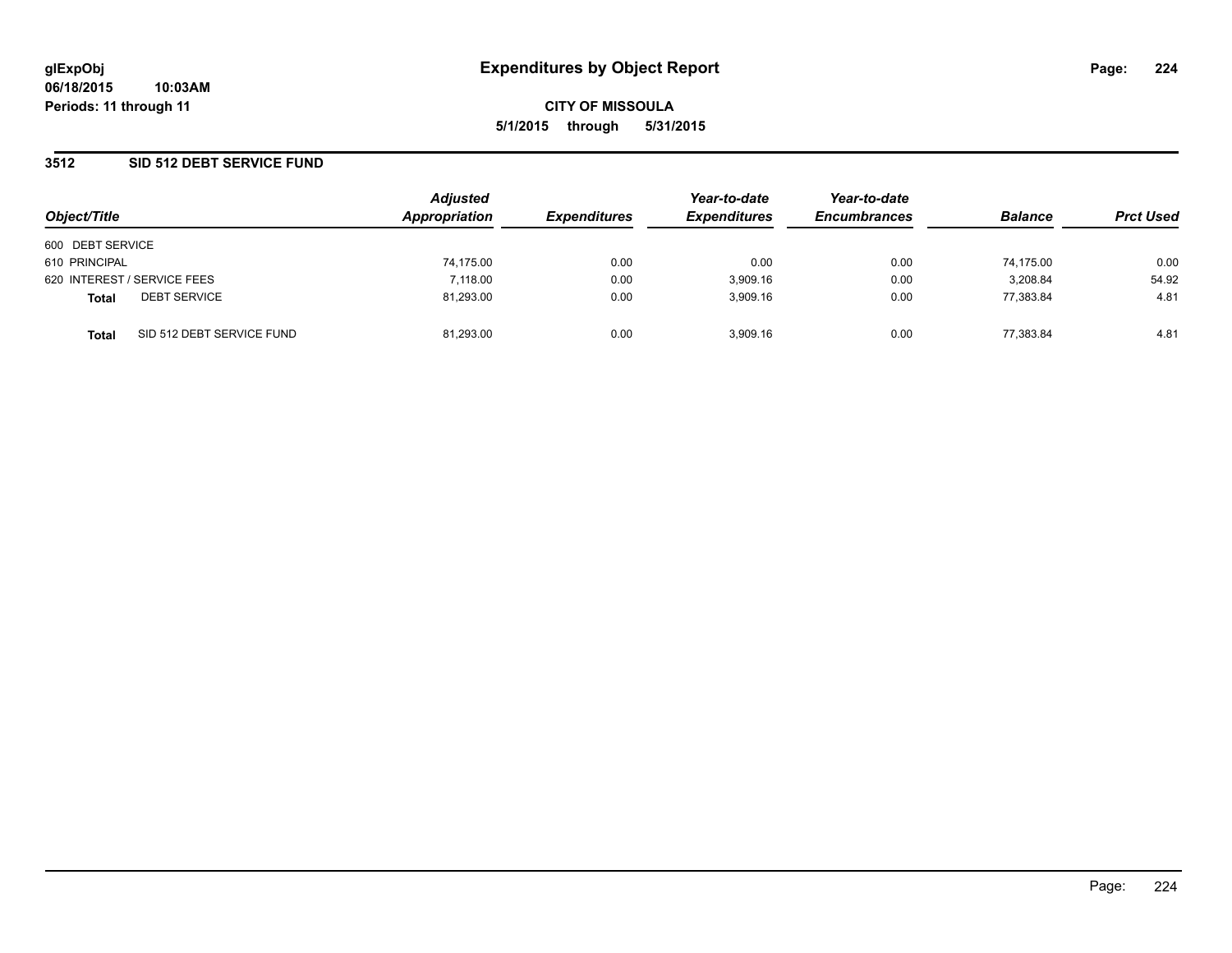## **3512 SID 512 DEBT SERVICE FUND**

| Object/Title                              | <b>Adjusted</b><br>Appropriation | <b>Expenditures</b> | Year-to-date<br><b>Expenditures</b> | Year-to-date<br><b>Encumbrances</b> | <b>Balance</b> | <b>Prct Used</b> |
|-------------------------------------------|----------------------------------|---------------------|-------------------------------------|-------------------------------------|----------------|------------------|
|                                           |                                  |                     |                                     |                                     |                |                  |
| 600 DEBT SERVICE                          |                                  |                     |                                     |                                     |                |                  |
| 610 PRINCIPAL                             | 74,175.00                        | 0.00                | 0.00                                | 0.00                                | 74,175.00      | 0.00             |
| 620 INTEREST / SERVICE FEES               | 7.118.00                         | 0.00                | 3,909.16                            | 0.00                                | 3,208.84       | 54.92            |
| <b>DEBT SERVICE</b><br><b>Total</b>       | 81,293.00                        | 0.00                | 3.909.16                            | 0.00                                | 77.383.84      | 4.81             |
| SID 512 DEBT SERVICE FUND<br><b>Total</b> | 81.293.00                        | 0.00                | 3.909.16                            | 0.00                                | 77.383.84      | 4.81             |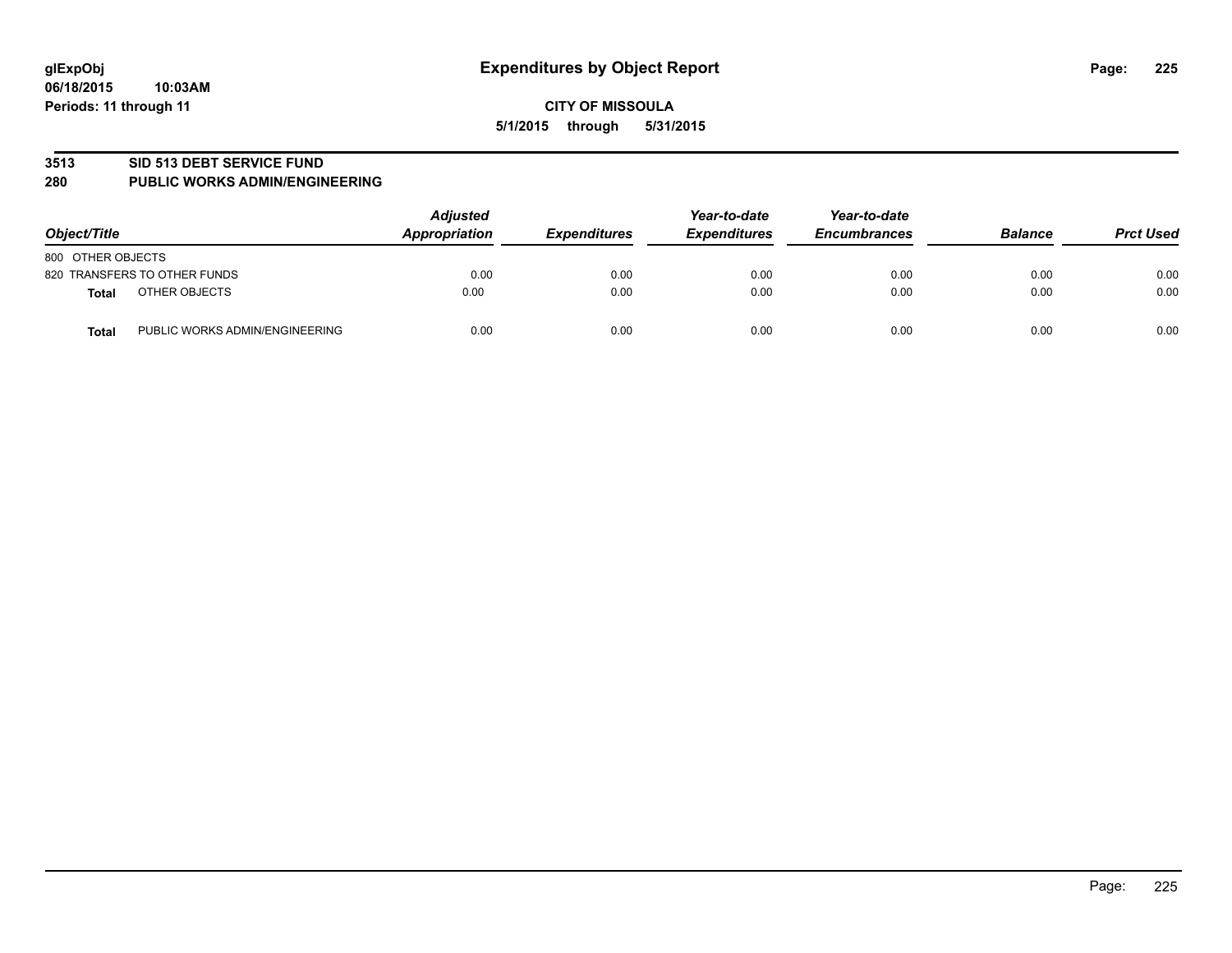#### **3513 SID 513 DEBT SERVICE FUND**

#### **280 PUBLIC WORKS ADMIN/ENGINEERING**

| Object/Title                                   | <b>Adjusted</b><br>Appropriation | <b>Expenditures</b> | Year-to-date<br><b>Expenditures</b> | Year-to-date<br><b>Encumbrances</b> | <b>Balance</b> | <b>Prct Used</b> |
|------------------------------------------------|----------------------------------|---------------------|-------------------------------------|-------------------------------------|----------------|------------------|
| 800 OTHER OBJECTS                              |                                  |                     |                                     |                                     |                |                  |
| 820 TRANSFERS TO OTHER FUNDS                   | 0.00                             | 0.00                | 0.00                                | 0.00                                | 0.00           | 0.00             |
| OTHER OBJECTS<br><b>Total</b>                  | 0.00                             | 0.00                | 0.00                                | 0.00                                | 0.00           | 0.00             |
| PUBLIC WORKS ADMIN/ENGINEERING<br><b>Total</b> | 0.00                             | 0.00                | 0.00                                | 0.00                                | 0.00           | 0.00             |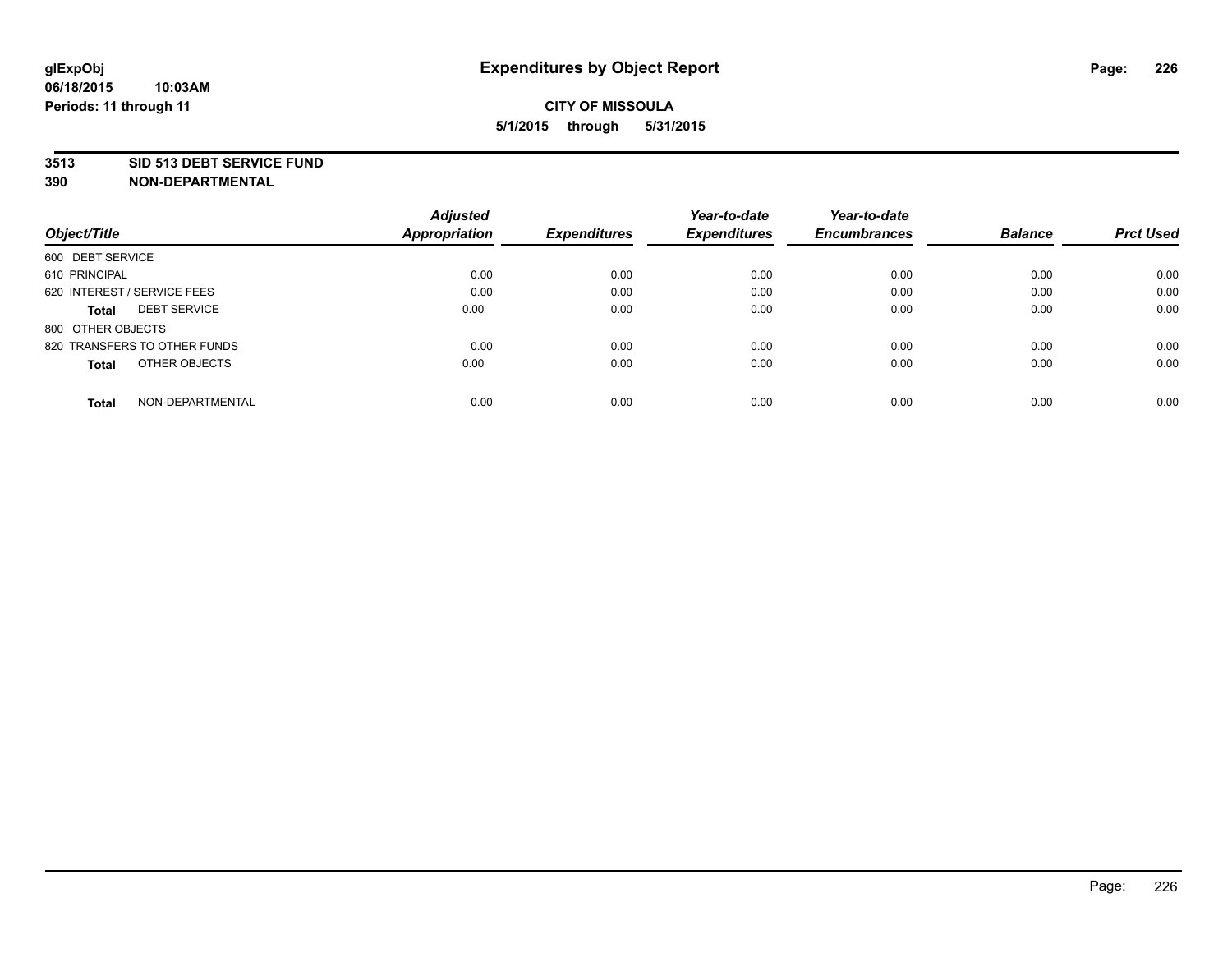### **3513 SID 513 DEBT SERVICE FUND**

|                                     | <b>Adjusted</b>      |                     | Year-to-date        | Year-to-date        |                |                  |
|-------------------------------------|----------------------|---------------------|---------------------|---------------------|----------------|------------------|
| Object/Title                        | <b>Appropriation</b> | <b>Expenditures</b> | <b>Expenditures</b> | <b>Encumbrances</b> | <b>Balance</b> | <b>Prct Used</b> |
| 600 DEBT SERVICE                    |                      |                     |                     |                     |                |                  |
| 610 PRINCIPAL                       | 0.00                 | 0.00                | 0.00                | 0.00                | 0.00           | 0.00             |
| 620 INTEREST / SERVICE FEES         | 0.00                 | 0.00                | 0.00                | 0.00                | 0.00           | 0.00             |
| <b>DEBT SERVICE</b><br><b>Total</b> | 0.00                 | 0.00                | 0.00                | 0.00                | 0.00           | 0.00             |
| 800 OTHER OBJECTS                   |                      |                     |                     |                     |                |                  |
| 820 TRANSFERS TO OTHER FUNDS        | 0.00                 | 0.00                | 0.00                | 0.00                | 0.00           | 0.00             |
| OTHER OBJECTS<br><b>Total</b>       | 0.00                 | 0.00                | 0.00                | 0.00                | 0.00           | 0.00             |
| NON-DEPARTMENTAL<br><b>Total</b>    | 0.00                 | 0.00                | 0.00                | 0.00                | 0.00           | 0.00             |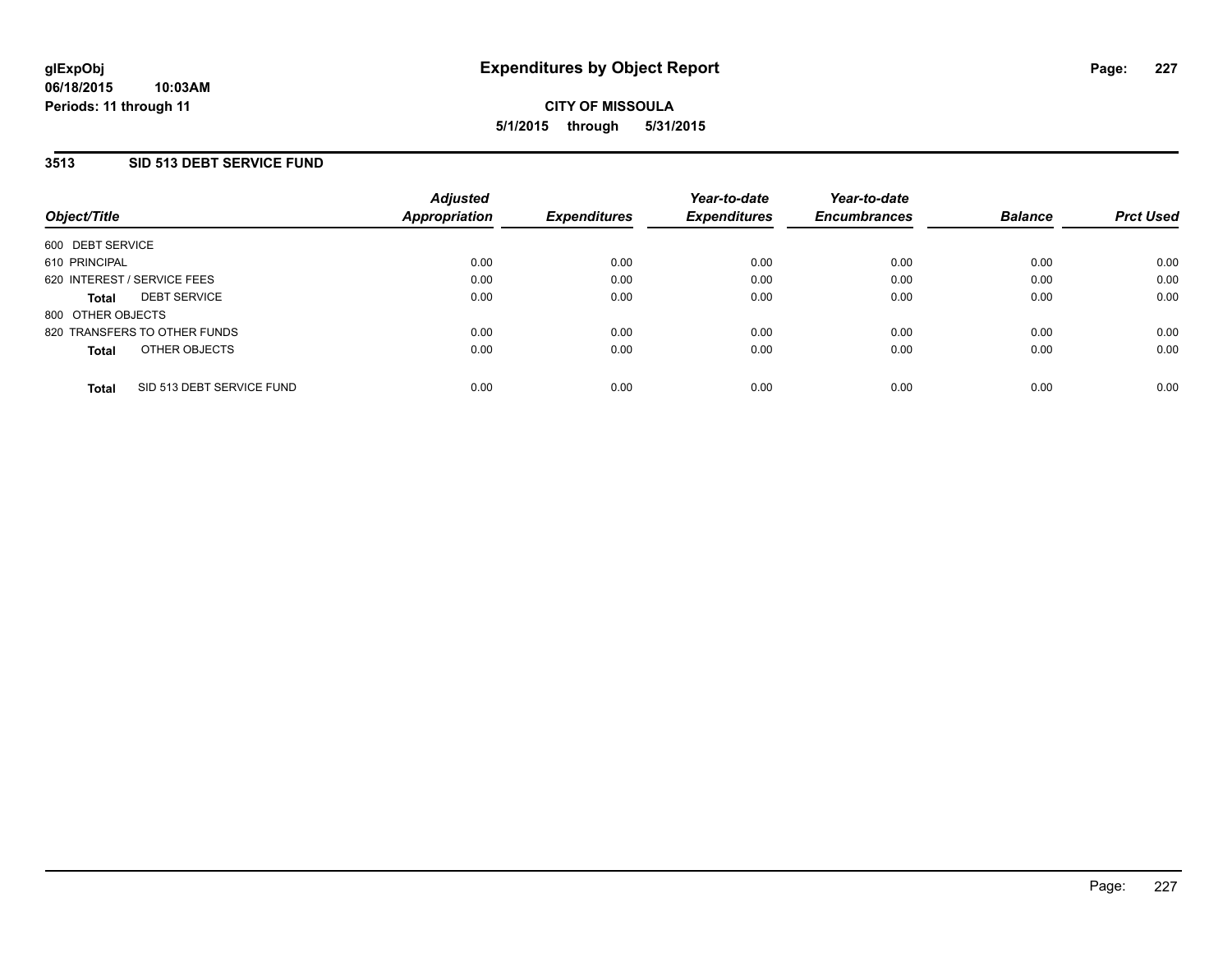## **3513 SID 513 DEBT SERVICE FUND**

| Object/Title      |                              | <b>Adjusted</b><br>Appropriation | <b>Expenditures</b> | Year-to-date<br><b>Expenditures</b> | Year-to-date<br><b>Encumbrances</b> | <b>Balance</b> | <b>Prct Used</b> |
|-------------------|------------------------------|----------------------------------|---------------------|-------------------------------------|-------------------------------------|----------------|------------------|
| 600 DEBT SERVICE  |                              |                                  |                     |                                     |                                     |                |                  |
| 610 PRINCIPAL     |                              | 0.00                             | 0.00                | 0.00                                | 0.00                                | 0.00           | 0.00             |
|                   | 620 INTEREST / SERVICE FEES  | 0.00                             | 0.00                | 0.00                                | 0.00                                | 0.00           | 0.00             |
| Total             | <b>DEBT SERVICE</b>          | 0.00                             | 0.00                | 0.00                                | 0.00                                | 0.00           | 0.00             |
| 800 OTHER OBJECTS |                              |                                  |                     |                                     |                                     |                |                  |
|                   | 820 TRANSFERS TO OTHER FUNDS | 0.00                             | 0.00                | 0.00                                | 0.00                                | 0.00           | 0.00             |
| <b>Total</b>      | OTHER OBJECTS                | 0.00                             | 0.00                | 0.00                                | 0.00                                | 0.00           | 0.00             |
|                   |                              |                                  |                     |                                     |                                     |                |                  |
| <b>Total</b>      | SID 513 DEBT SERVICE FUND    | 0.00                             | 0.00                | 0.00                                | 0.00                                | 0.00           | 0.00             |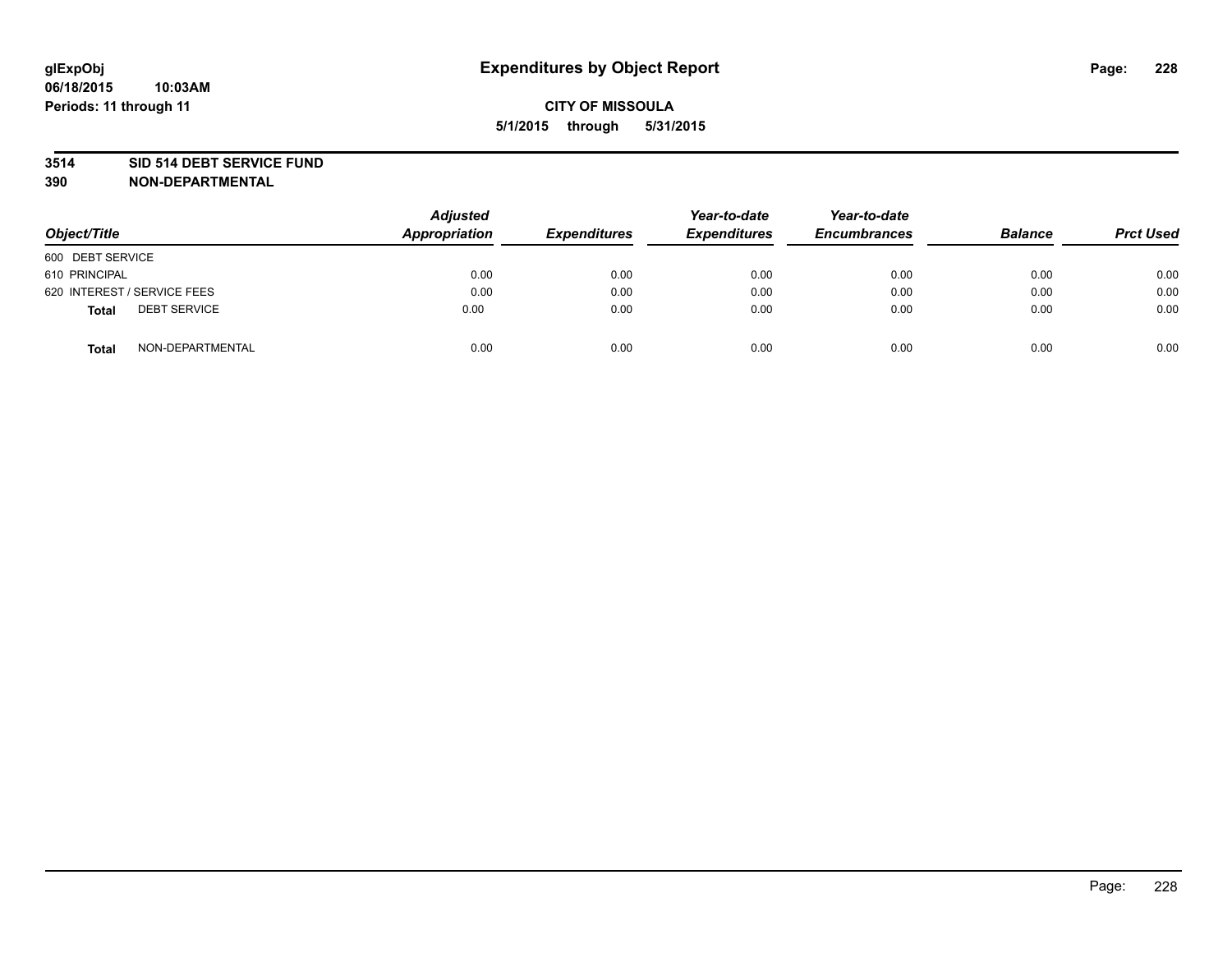### **3514 SID 514 DEBT SERVICE FUND**

| Object/Title                        | <b>Adjusted</b><br>Appropriation | <b>Expenditures</b> | Year-to-date<br><b>Expenditures</b> | Year-to-date<br><b>Encumbrances</b> | <b>Balance</b> | <b>Prct Used</b> |
|-------------------------------------|----------------------------------|---------------------|-------------------------------------|-------------------------------------|----------------|------------------|
| 600 DEBT SERVICE                    |                                  |                     |                                     |                                     |                |                  |
| 610 PRINCIPAL                       | 0.00                             | 0.00                | 0.00                                | 0.00                                | 0.00           | 0.00             |
| 620 INTEREST / SERVICE FEES         | 0.00                             | 0.00                | 0.00                                | 0.00                                | 0.00           | 0.00             |
| <b>DEBT SERVICE</b><br><b>Total</b> | 0.00                             | 0.00                | 0.00                                | 0.00                                | 0.00           | 0.00             |
| NON-DEPARTMENTAL<br><b>Total</b>    | 0.00                             | 0.00                | 0.00                                | 0.00                                | 0.00           | 0.00             |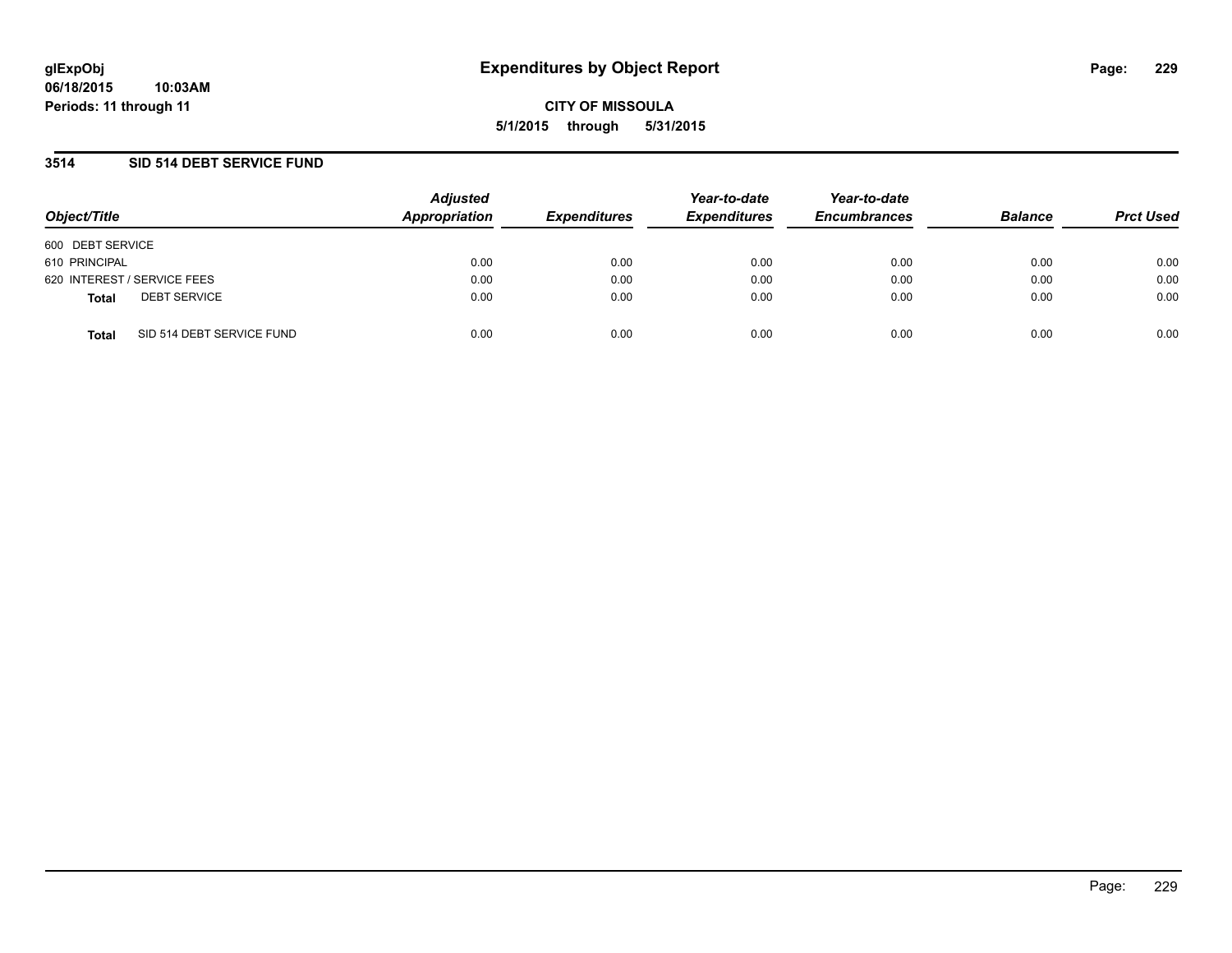## **3514 SID 514 DEBT SERVICE FUND**

| Object/Title                              | <b>Adjusted</b><br>Appropriation | <b>Expenditures</b> | Year-to-date<br><b>Expenditures</b> | Year-to-date<br><b>Encumbrances</b> | <b>Balance</b> | <b>Prct Used</b> |
|-------------------------------------------|----------------------------------|---------------------|-------------------------------------|-------------------------------------|----------------|------------------|
| 600 DEBT SERVICE                          |                                  |                     |                                     |                                     |                |                  |
| 610 PRINCIPAL                             | 0.00                             | 0.00                | 0.00                                | 0.00                                | 0.00           | 0.00             |
| 620 INTEREST / SERVICE FEES               | 0.00                             | 0.00                | 0.00                                | 0.00                                | 0.00           | 0.00             |
| <b>DEBT SERVICE</b><br><b>Total</b>       | 0.00                             | 0.00                | 0.00                                | 0.00                                | 0.00           | 0.00             |
| SID 514 DEBT SERVICE FUND<br><b>Total</b> | 0.00                             | 0.00                | 0.00                                | 0.00                                | 0.00           | 0.00             |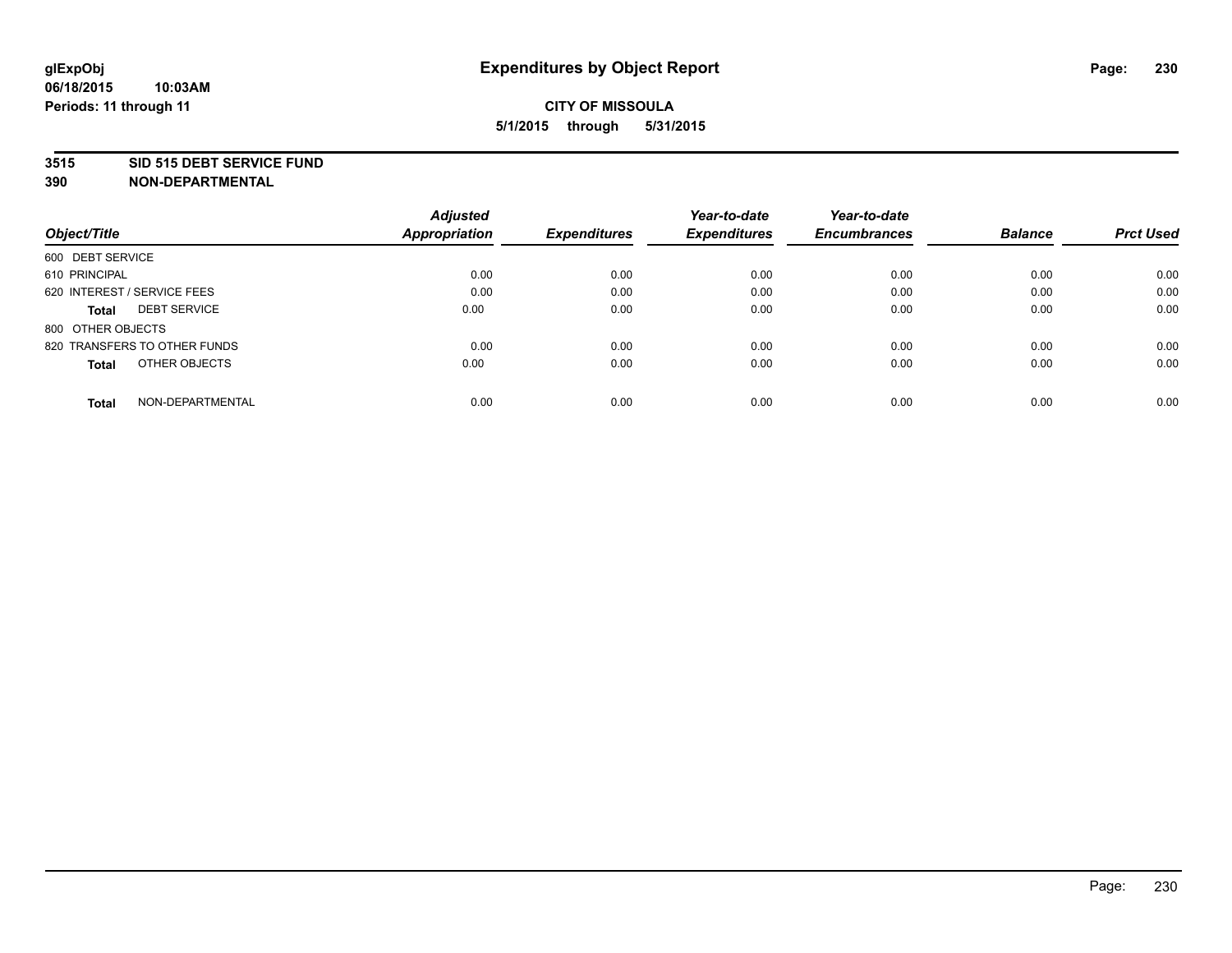### **3515 SID 515 DEBT SERVICE FUND**

|                                     | <b>Adjusted</b>      |                     | Year-to-date        | Year-to-date        |                |                  |
|-------------------------------------|----------------------|---------------------|---------------------|---------------------|----------------|------------------|
| Object/Title                        | <b>Appropriation</b> | <b>Expenditures</b> | <b>Expenditures</b> | <b>Encumbrances</b> | <b>Balance</b> | <b>Prct Used</b> |
| 600 DEBT SERVICE                    |                      |                     |                     |                     |                |                  |
| 610 PRINCIPAL                       | 0.00                 | 0.00                | 0.00                | 0.00                | 0.00           | 0.00             |
| 620 INTEREST / SERVICE FEES         | 0.00                 | 0.00                | 0.00                | 0.00                | 0.00           | 0.00             |
| <b>DEBT SERVICE</b><br><b>Total</b> | 0.00                 | 0.00                | 0.00                | 0.00                | 0.00           | 0.00             |
| 800 OTHER OBJECTS                   |                      |                     |                     |                     |                |                  |
| 820 TRANSFERS TO OTHER FUNDS        | 0.00                 | 0.00                | 0.00                | 0.00                | 0.00           | 0.00             |
| OTHER OBJECTS<br><b>Total</b>       | 0.00                 | 0.00                | 0.00                | 0.00                | 0.00           | 0.00             |
| NON-DEPARTMENTAL<br>Total           | 0.00                 | 0.00                | 0.00                | 0.00                | 0.00           | 0.00             |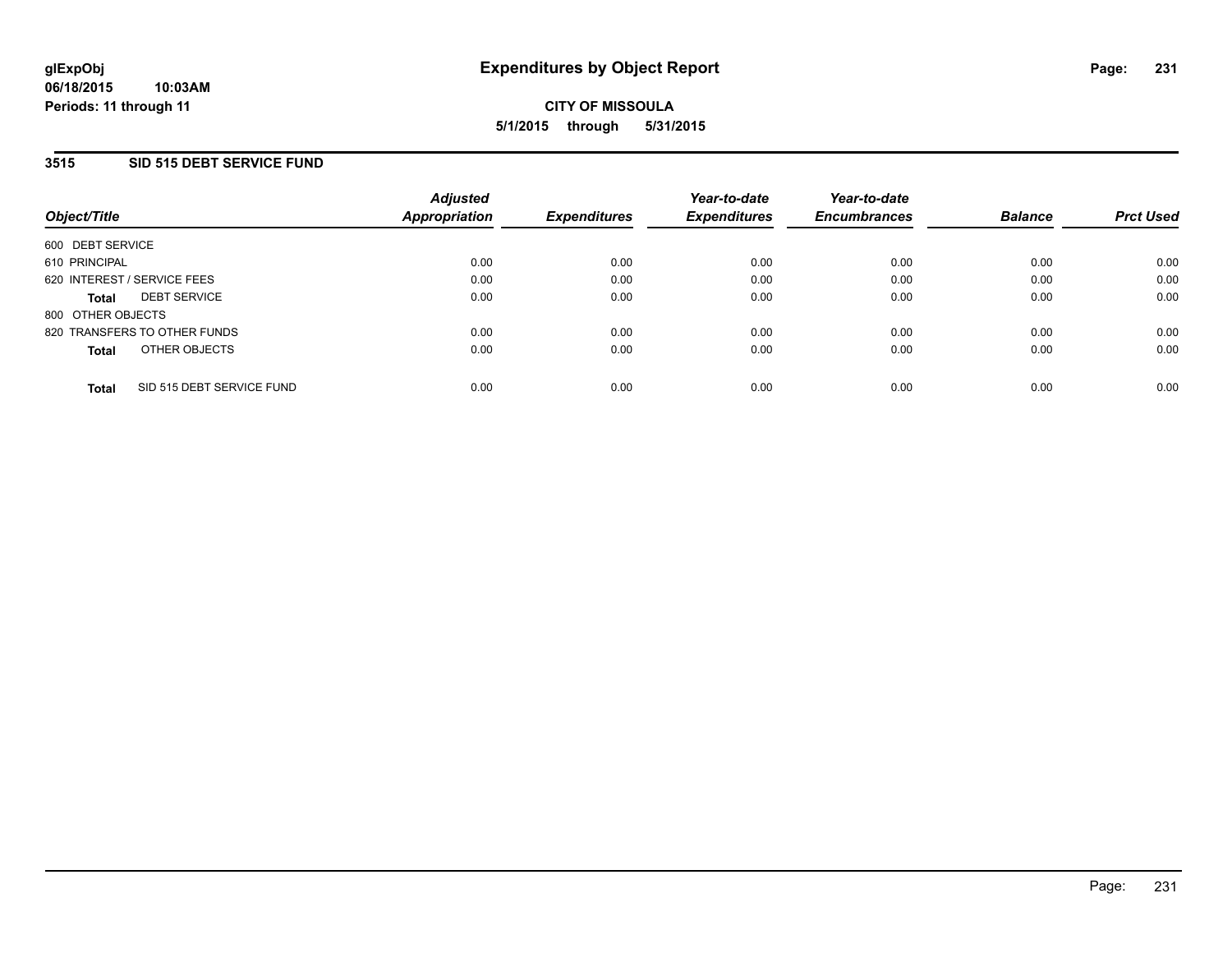## **3515 SID 515 DEBT SERVICE FUND**

| Object/Title                              | <b>Adjusted</b><br><b>Appropriation</b> | <b>Expenditures</b> | Year-to-date<br><b>Expenditures</b> | Year-to-date<br><b>Encumbrances</b> | <b>Balance</b> | <b>Prct Used</b> |
|-------------------------------------------|-----------------------------------------|---------------------|-------------------------------------|-------------------------------------|----------------|------------------|
| 600 DEBT SERVICE                          |                                         |                     |                                     |                                     |                |                  |
| 610 PRINCIPAL                             | 0.00                                    | 0.00                | 0.00                                | 0.00                                | 0.00           | 0.00             |
| 620 INTEREST / SERVICE FEES               | 0.00                                    | 0.00                | 0.00                                | 0.00                                | 0.00           | 0.00             |
| <b>DEBT SERVICE</b><br><b>Total</b>       | 0.00                                    | 0.00                | 0.00                                | 0.00                                | 0.00           | 0.00             |
| 800 OTHER OBJECTS                         |                                         |                     |                                     |                                     |                |                  |
| 820 TRANSFERS TO OTHER FUNDS              | 0.00                                    | 0.00                | 0.00                                | 0.00                                | 0.00           | 0.00             |
| OTHER OBJECTS<br><b>Total</b>             | 0.00                                    | 0.00                | 0.00                                | 0.00                                | 0.00           | 0.00             |
| SID 515 DEBT SERVICE FUND<br><b>Total</b> | 0.00                                    | 0.00                | 0.00                                | 0.00                                | 0.00           | 0.00             |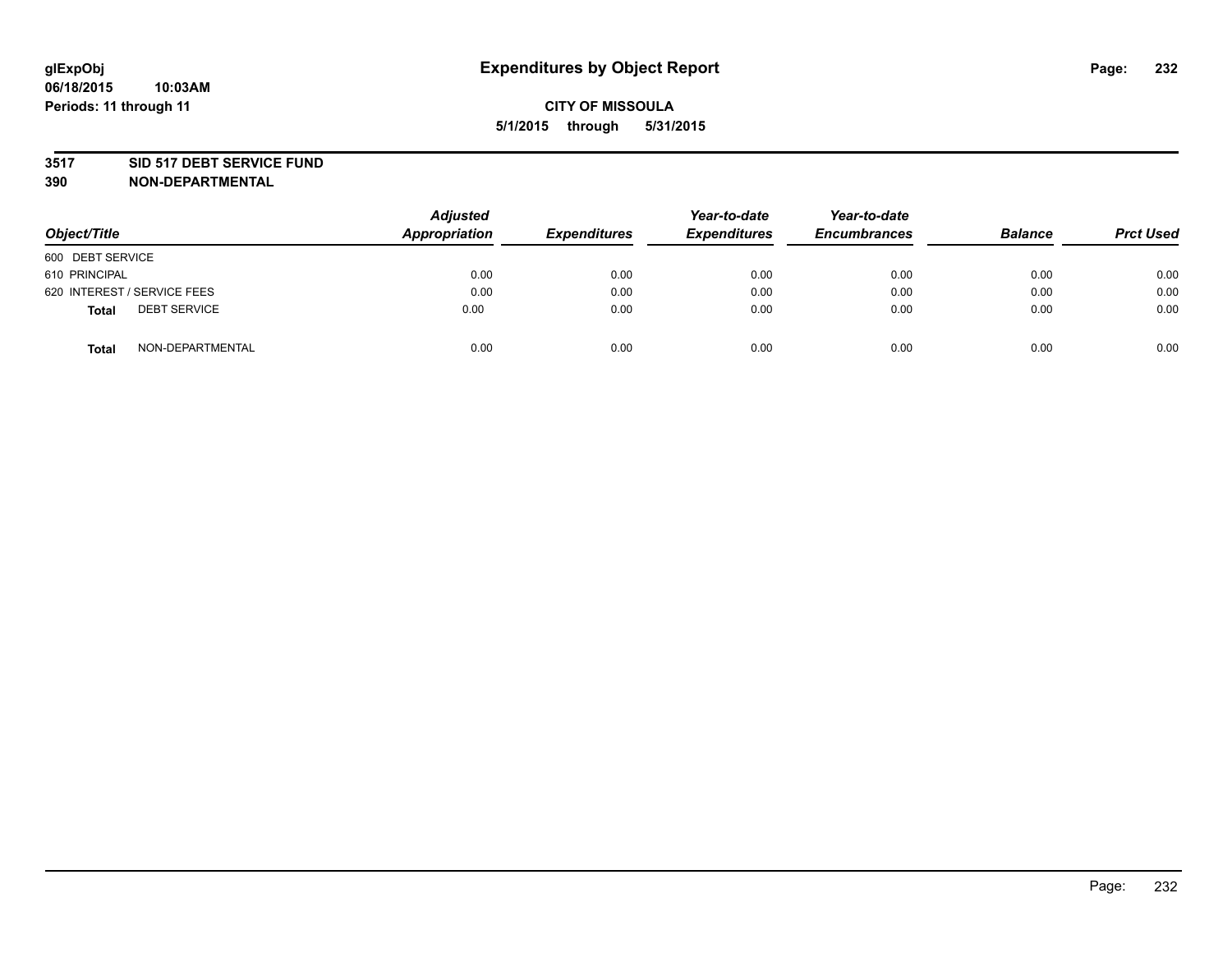### **3517 SID 517 DEBT SERVICE FUND**

| Object/Title                        | <b>Adjusted</b><br><b>Appropriation</b> | <b>Expenditures</b> | Year-to-date<br><b>Expenditures</b> | Year-to-date<br><b>Encumbrances</b> | <b>Balance</b> | <b>Prct Used</b> |
|-------------------------------------|-----------------------------------------|---------------------|-------------------------------------|-------------------------------------|----------------|------------------|
| 600 DEBT SERVICE                    |                                         |                     |                                     |                                     |                |                  |
| 610 PRINCIPAL                       | 0.00                                    | 0.00                | 0.00                                | 0.00                                | 0.00           | 0.00             |
| 620 INTEREST / SERVICE FEES         | 0.00                                    | 0.00                | 0.00                                | 0.00                                | 0.00           | 0.00             |
| <b>DEBT SERVICE</b><br><b>Total</b> | 0.00                                    | 0.00                | 0.00                                | 0.00                                | 0.00           | 0.00             |
| NON-DEPARTMENTAL<br><b>Total</b>    | 0.00                                    | 0.00                | 0.00                                | 0.00                                | 0.00           | 0.00             |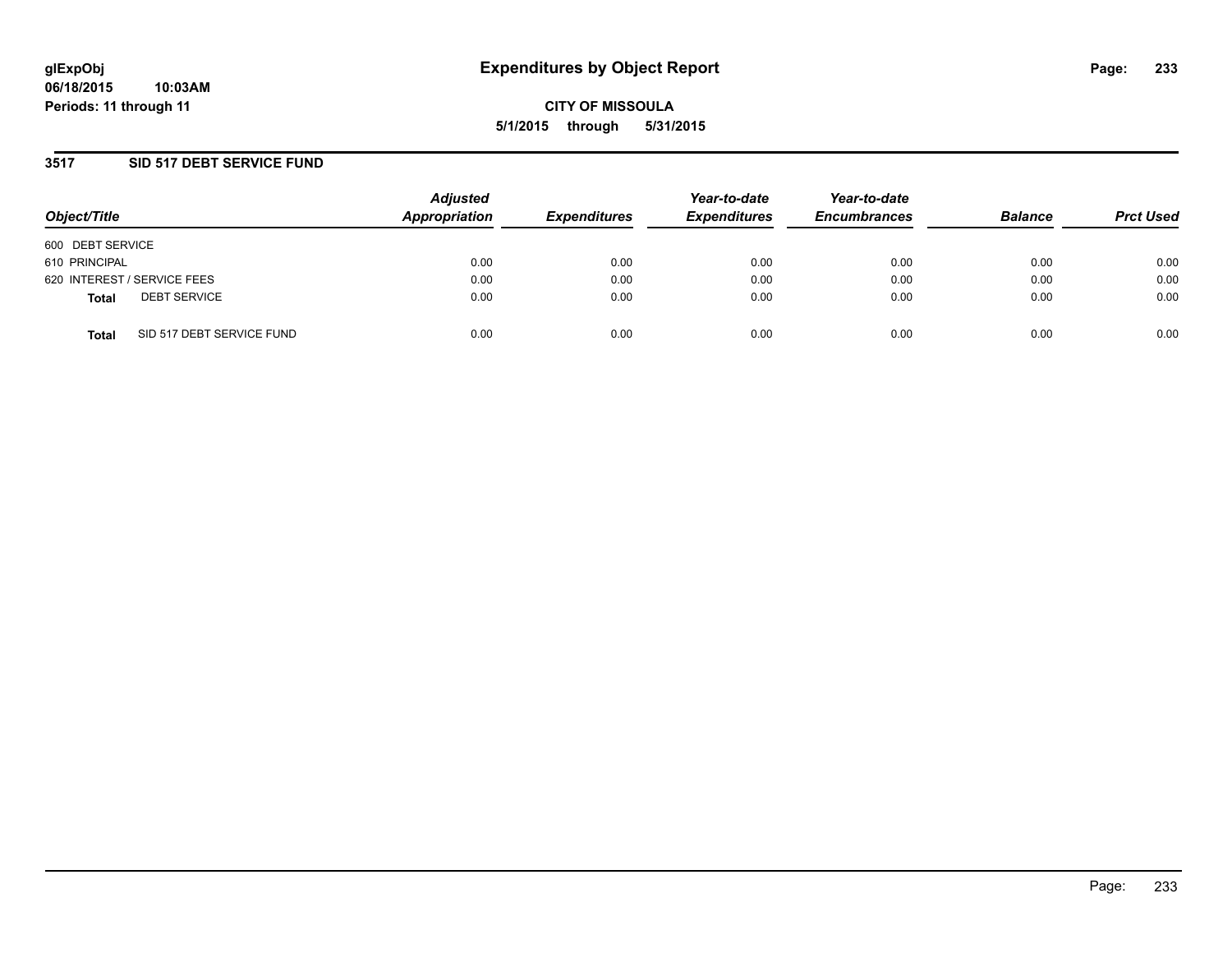## **3517 SID 517 DEBT SERVICE FUND**

| Object/Title     |                             | <b>Adjusted</b><br>Appropriation | <b>Expenditures</b> | Year-to-date<br><b>Expenditures</b> | Year-to-date<br><b>Encumbrances</b> | <b>Balance</b> | <b>Prct Used</b> |
|------------------|-----------------------------|----------------------------------|---------------------|-------------------------------------|-------------------------------------|----------------|------------------|
| 600 DEBT SERVICE |                             |                                  |                     |                                     |                                     |                |                  |
| 610 PRINCIPAL    |                             | 0.00                             | 0.00                | 0.00                                | 0.00                                | 0.00           | 0.00             |
|                  | 620 INTEREST / SERVICE FEES | 0.00                             | 0.00                | 0.00                                | 0.00                                | 0.00           | 0.00             |
| <b>Total</b>     | <b>DEBT SERVICE</b>         | 0.00                             | 0.00                | 0.00                                | 0.00                                | 0.00           | 0.00             |
| <b>Total</b>     | SID 517 DEBT SERVICE FUND   | 0.00                             | 0.00                | 0.00                                | 0.00                                | 0.00           | 0.00             |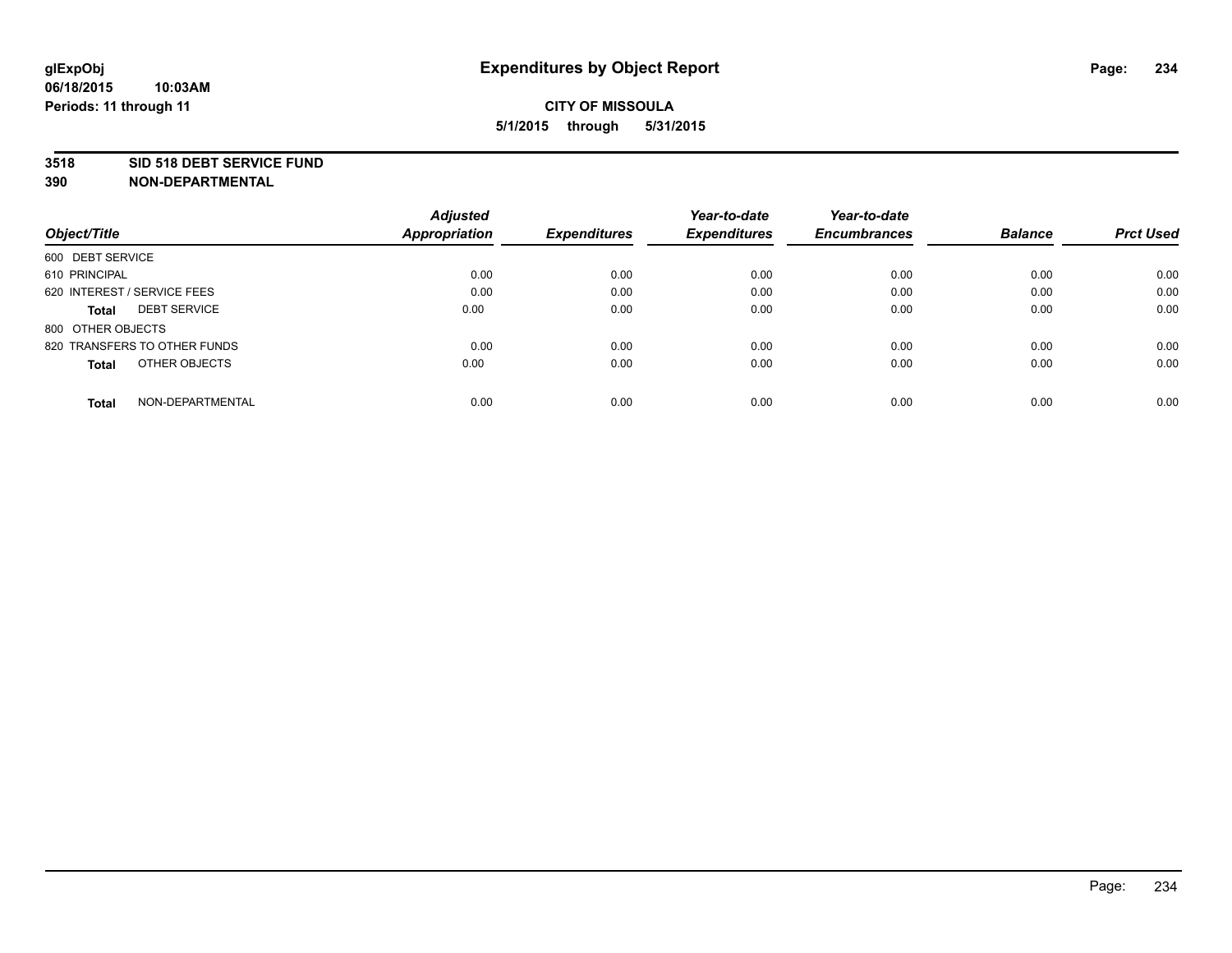### **3518 SID 518 DEBT SERVICE FUND**

|                                     | <b>Adjusted</b>      |                     | Year-to-date        | Year-to-date        |                |                  |
|-------------------------------------|----------------------|---------------------|---------------------|---------------------|----------------|------------------|
| Object/Title                        | <b>Appropriation</b> | <b>Expenditures</b> | <b>Expenditures</b> | <b>Encumbrances</b> | <b>Balance</b> | <b>Prct Used</b> |
| 600 DEBT SERVICE                    |                      |                     |                     |                     |                |                  |
| 610 PRINCIPAL                       | 0.00                 | 0.00                | 0.00                | 0.00                | 0.00           | 0.00             |
| 620 INTEREST / SERVICE FEES         | 0.00                 | 0.00                | 0.00                | 0.00                | 0.00           | 0.00             |
| <b>DEBT SERVICE</b><br><b>Total</b> | 0.00                 | 0.00                | 0.00                | 0.00                | 0.00           | 0.00             |
| 800 OTHER OBJECTS                   |                      |                     |                     |                     |                |                  |
| 820 TRANSFERS TO OTHER FUNDS        | 0.00                 | 0.00                | 0.00                | 0.00                | 0.00           | 0.00             |
| OTHER OBJECTS<br><b>Total</b>       | 0.00                 | 0.00                | 0.00                | 0.00                | 0.00           | 0.00             |
| NON-DEPARTMENTAL<br>Total           | 0.00                 | 0.00                | 0.00                | 0.00                | 0.00           | 0.00             |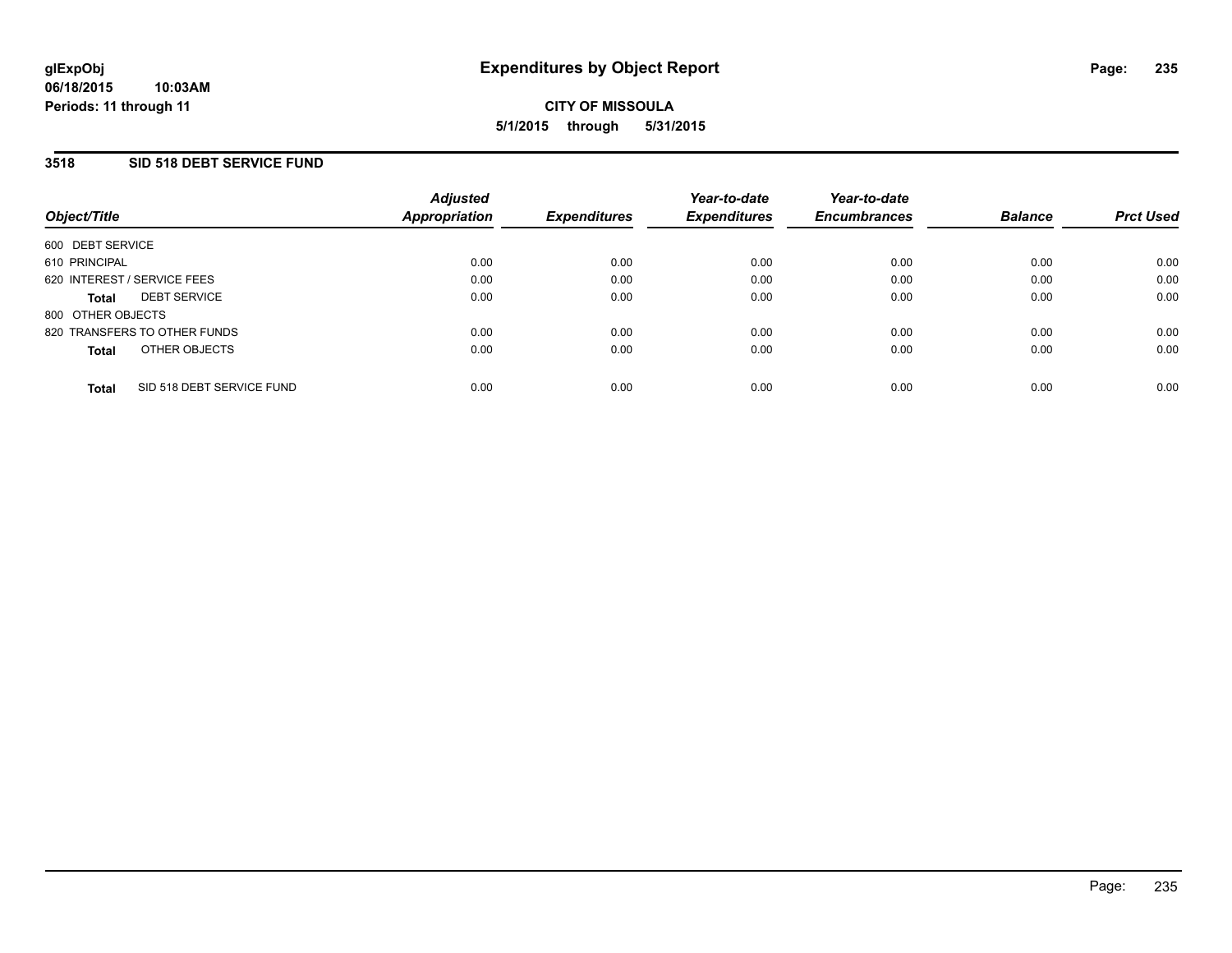## **3518 SID 518 DEBT SERVICE FUND**

| Object/Title      |                              | <b>Adjusted</b><br>Appropriation | <b>Expenditures</b> | Year-to-date<br><b>Expenditures</b> | Year-to-date<br><b>Encumbrances</b> | <b>Balance</b> | <b>Prct Used</b> |
|-------------------|------------------------------|----------------------------------|---------------------|-------------------------------------|-------------------------------------|----------------|------------------|
| 600 DEBT SERVICE  |                              |                                  |                     |                                     |                                     |                |                  |
| 610 PRINCIPAL     |                              | 0.00                             | 0.00                | 0.00                                | 0.00                                | 0.00           | 0.00             |
|                   | 620 INTEREST / SERVICE FEES  | 0.00                             | 0.00                | 0.00                                | 0.00                                | 0.00           | 0.00             |
| <b>Total</b>      | <b>DEBT SERVICE</b>          | 0.00                             | 0.00                | 0.00                                | 0.00                                | 0.00           | 0.00             |
| 800 OTHER OBJECTS |                              |                                  |                     |                                     |                                     |                |                  |
|                   | 820 TRANSFERS TO OTHER FUNDS | 0.00                             | 0.00                | 0.00                                | 0.00                                | 0.00           | 0.00             |
| <b>Total</b>      | OTHER OBJECTS                | 0.00                             | 0.00                | 0.00                                | 0.00                                | 0.00           | 0.00             |
| <b>Total</b>      | SID 518 DEBT SERVICE FUND    | 0.00                             | 0.00                | 0.00                                | 0.00                                | 0.00           | 0.00             |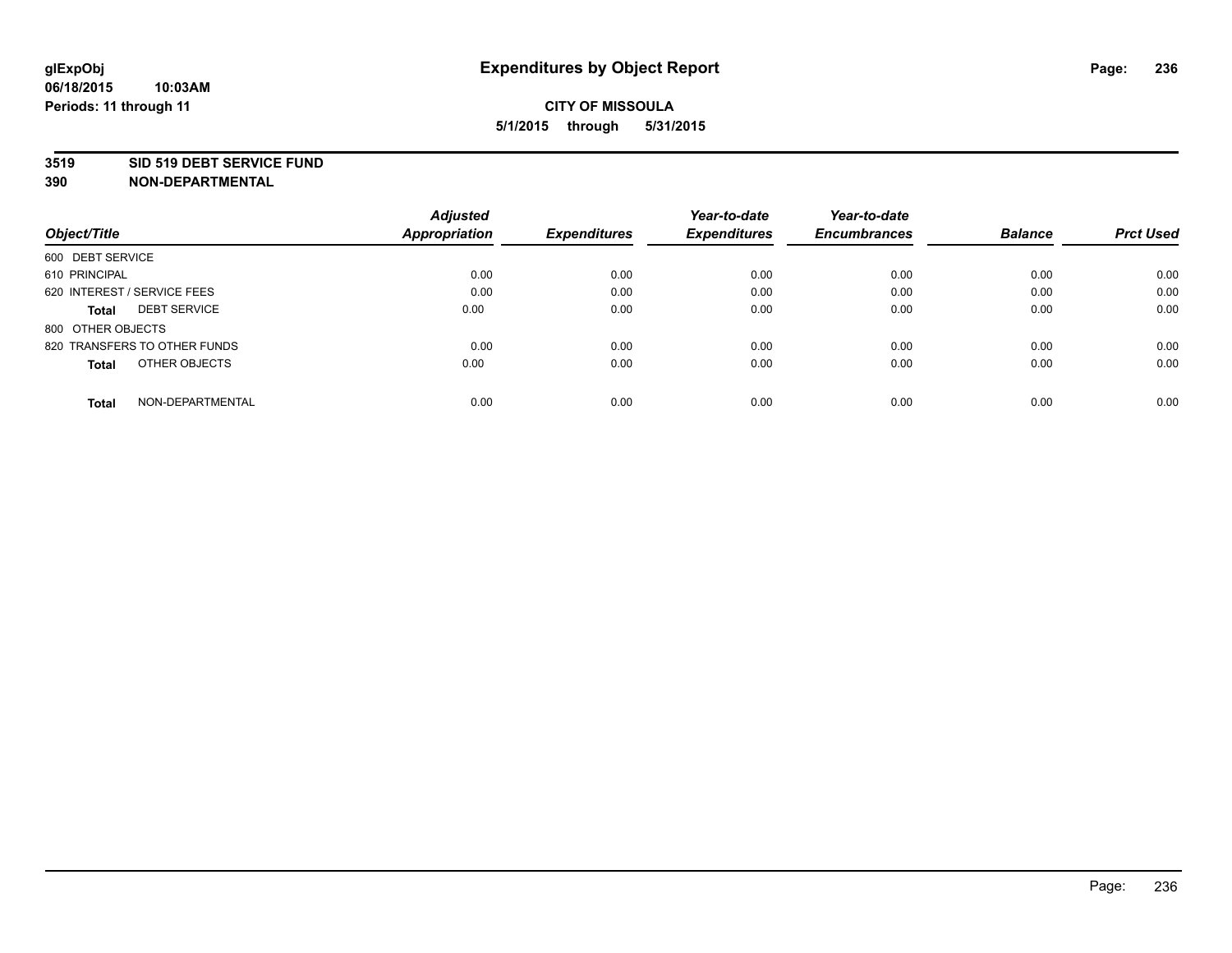### **3519 SID 519 DEBT SERVICE FUND**

|                                     | <b>Adjusted</b>      |                     | Year-to-date        | Year-to-date        |                |                  |
|-------------------------------------|----------------------|---------------------|---------------------|---------------------|----------------|------------------|
| Object/Title                        | <b>Appropriation</b> | <b>Expenditures</b> | <b>Expenditures</b> | <b>Encumbrances</b> | <b>Balance</b> | <b>Prct Used</b> |
| 600 DEBT SERVICE                    |                      |                     |                     |                     |                |                  |
| 610 PRINCIPAL                       | 0.00                 | 0.00                | 0.00                | 0.00                | 0.00           | 0.00             |
| 620 INTEREST / SERVICE FEES         | 0.00                 | 0.00                | 0.00                | 0.00                | 0.00           | 0.00             |
| <b>DEBT SERVICE</b><br><b>Total</b> | 0.00                 | 0.00                | 0.00                | 0.00                | 0.00           | 0.00             |
| 800 OTHER OBJECTS                   |                      |                     |                     |                     |                |                  |
| 820 TRANSFERS TO OTHER FUNDS        | 0.00                 | 0.00                | 0.00                | 0.00                | 0.00           | 0.00             |
| OTHER OBJECTS<br><b>Total</b>       | 0.00                 | 0.00                | 0.00                | 0.00                | 0.00           | 0.00             |
| NON-DEPARTMENTAL<br>Total           | 0.00                 | 0.00                | 0.00                | 0.00                | 0.00           | 0.00             |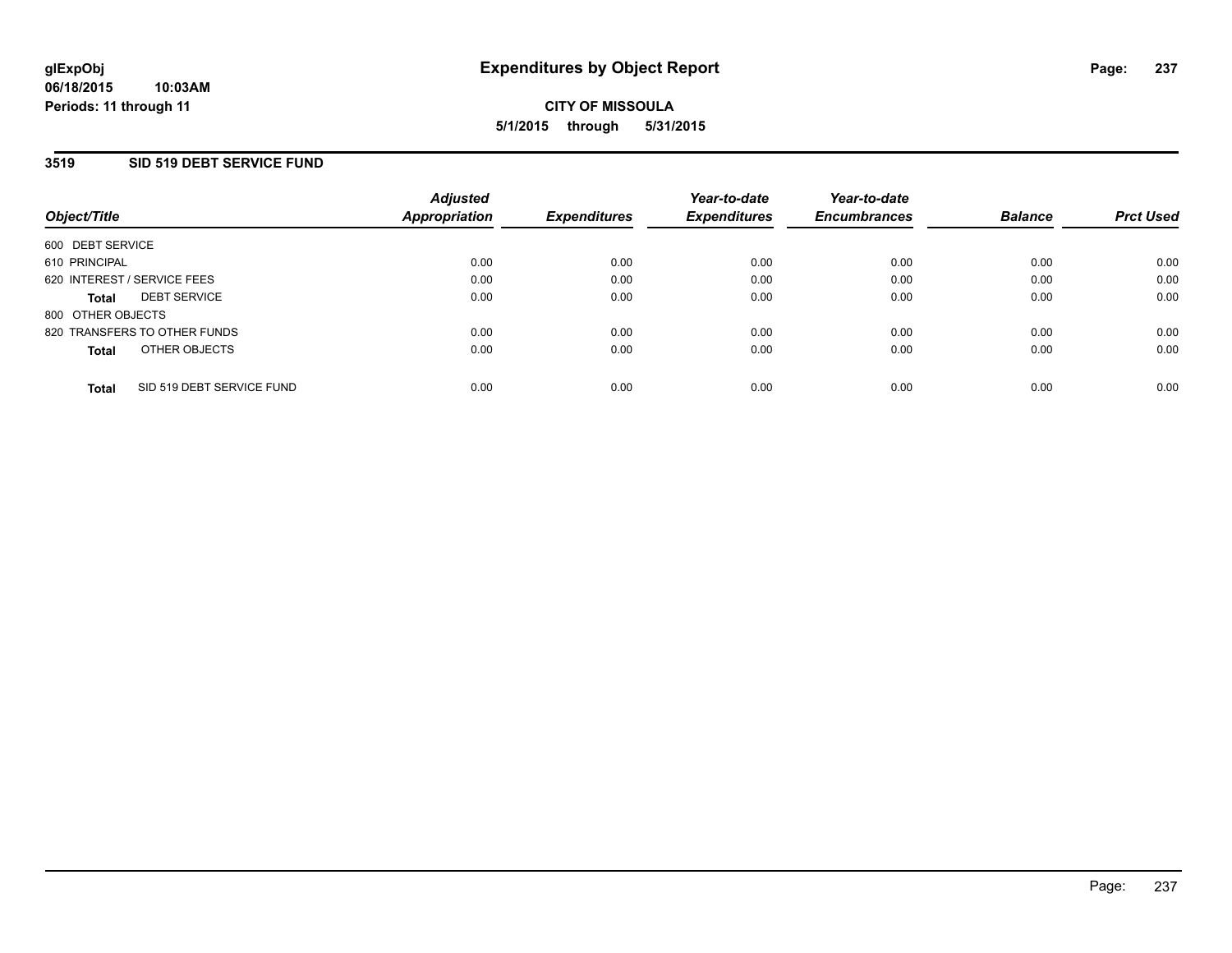## **3519 SID 519 DEBT SERVICE FUND**

| Object/Title      |                              | <b>Adjusted</b><br>Appropriation | <b>Expenditures</b> | Year-to-date<br><b>Expenditures</b> | Year-to-date<br><b>Encumbrances</b> | <b>Balance</b> | <b>Prct Used</b> |
|-------------------|------------------------------|----------------------------------|---------------------|-------------------------------------|-------------------------------------|----------------|------------------|
| 600 DEBT SERVICE  |                              |                                  |                     |                                     |                                     |                |                  |
| 610 PRINCIPAL     |                              | 0.00                             | 0.00                | 0.00                                | 0.00                                | 0.00           | 0.00             |
|                   | 620 INTEREST / SERVICE FEES  | 0.00                             | 0.00                | 0.00                                | 0.00                                | 0.00           | 0.00             |
| Total             | <b>DEBT SERVICE</b>          | 0.00                             | 0.00                | 0.00                                | 0.00                                | 0.00           | 0.00             |
| 800 OTHER OBJECTS |                              |                                  |                     |                                     |                                     |                |                  |
|                   | 820 TRANSFERS TO OTHER FUNDS | 0.00                             | 0.00                | 0.00                                | 0.00                                | 0.00           | 0.00             |
| <b>Total</b>      | OTHER OBJECTS                | 0.00                             | 0.00                | 0.00                                | 0.00                                | 0.00           | 0.00             |
|                   |                              |                                  |                     |                                     |                                     |                |                  |
| <b>Total</b>      | SID 519 DEBT SERVICE FUND    | 0.00                             | 0.00                | 0.00                                | 0.00                                | 0.00           | 0.00             |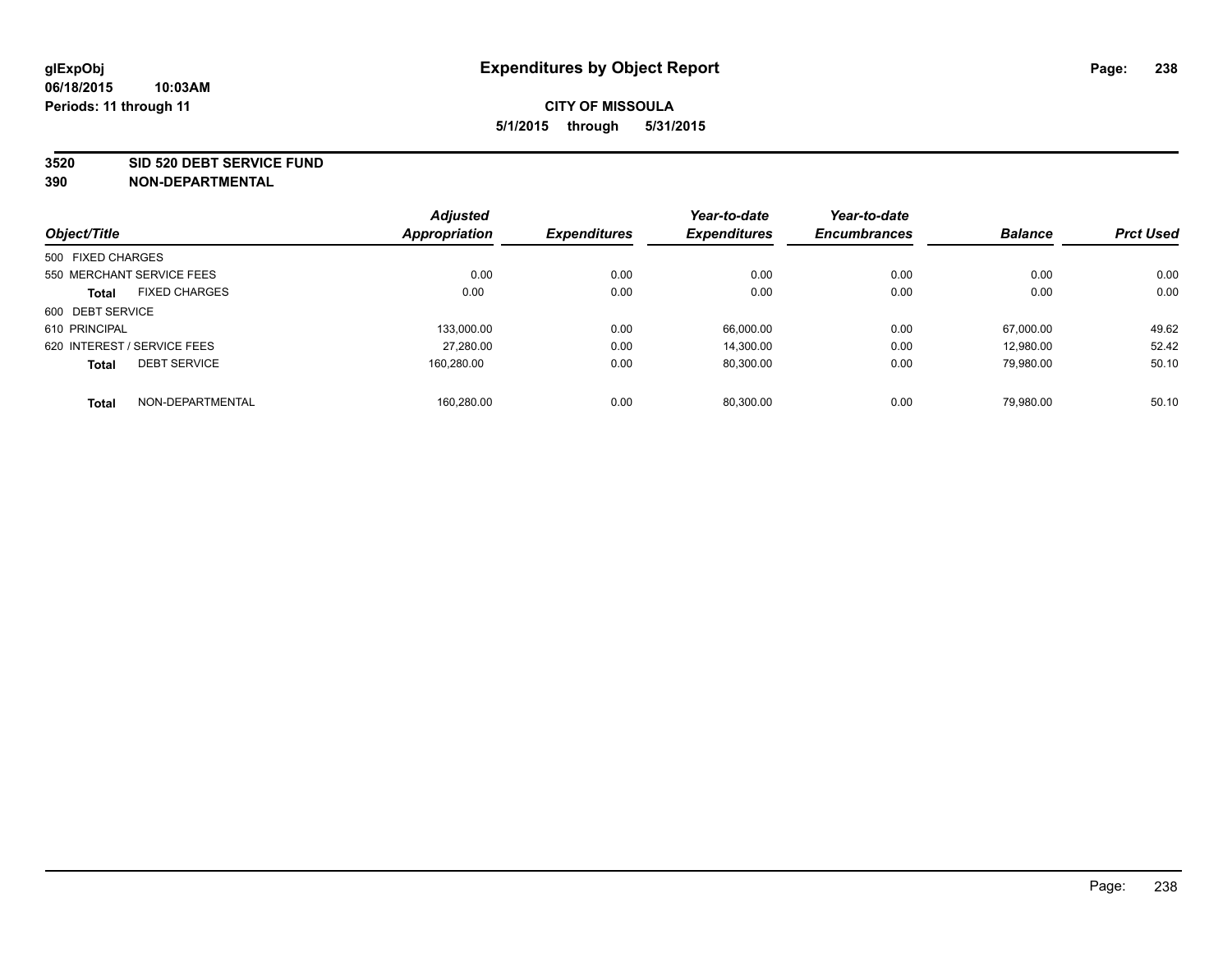#### **3520 SID 520 DEBT SERVICE FUND**

| Object/Title                |                           | <b>Adjusted</b><br><b>Appropriation</b> | <b>Expenditures</b> | Year-to-date<br><b>Expenditures</b> | Year-to-date<br><b>Encumbrances</b> | <b>Balance</b> | <b>Prct Used</b> |
|-----------------------------|---------------------------|-----------------------------------------|---------------------|-------------------------------------|-------------------------------------|----------------|------------------|
|                             |                           |                                         |                     |                                     |                                     |                |                  |
| 500 FIXED CHARGES           |                           |                                         |                     |                                     |                                     |                |                  |
|                             | 550 MERCHANT SERVICE FEES | 0.00                                    | 0.00                | 0.00                                | 0.00                                | 0.00           | 0.00             |
| <b>Total</b>                | <b>FIXED CHARGES</b>      | 0.00                                    | 0.00                | 0.00                                | 0.00                                | 0.00           | 0.00             |
| 600 DEBT SERVICE            |                           |                                         |                     |                                     |                                     |                |                  |
| 610 PRINCIPAL               |                           | 133,000.00                              | 0.00                | 66.000.00                           | 0.00                                | 67.000.00      | 49.62            |
| 620 INTEREST / SERVICE FEES |                           | 27,280.00                               | 0.00                | 14.300.00                           | 0.00                                | 12,980.00      | 52.42            |
| <b>Total</b>                | <b>DEBT SERVICE</b>       | 160.280.00                              | 0.00                | 80.300.00                           | 0.00                                | 79.980.00      | 50.10            |
| <b>Total</b>                | NON-DEPARTMENTAL          | 160.280.00                              | 0.00                | 80.300.00                           | 0.00                                | 79.980.00      | 50.10            |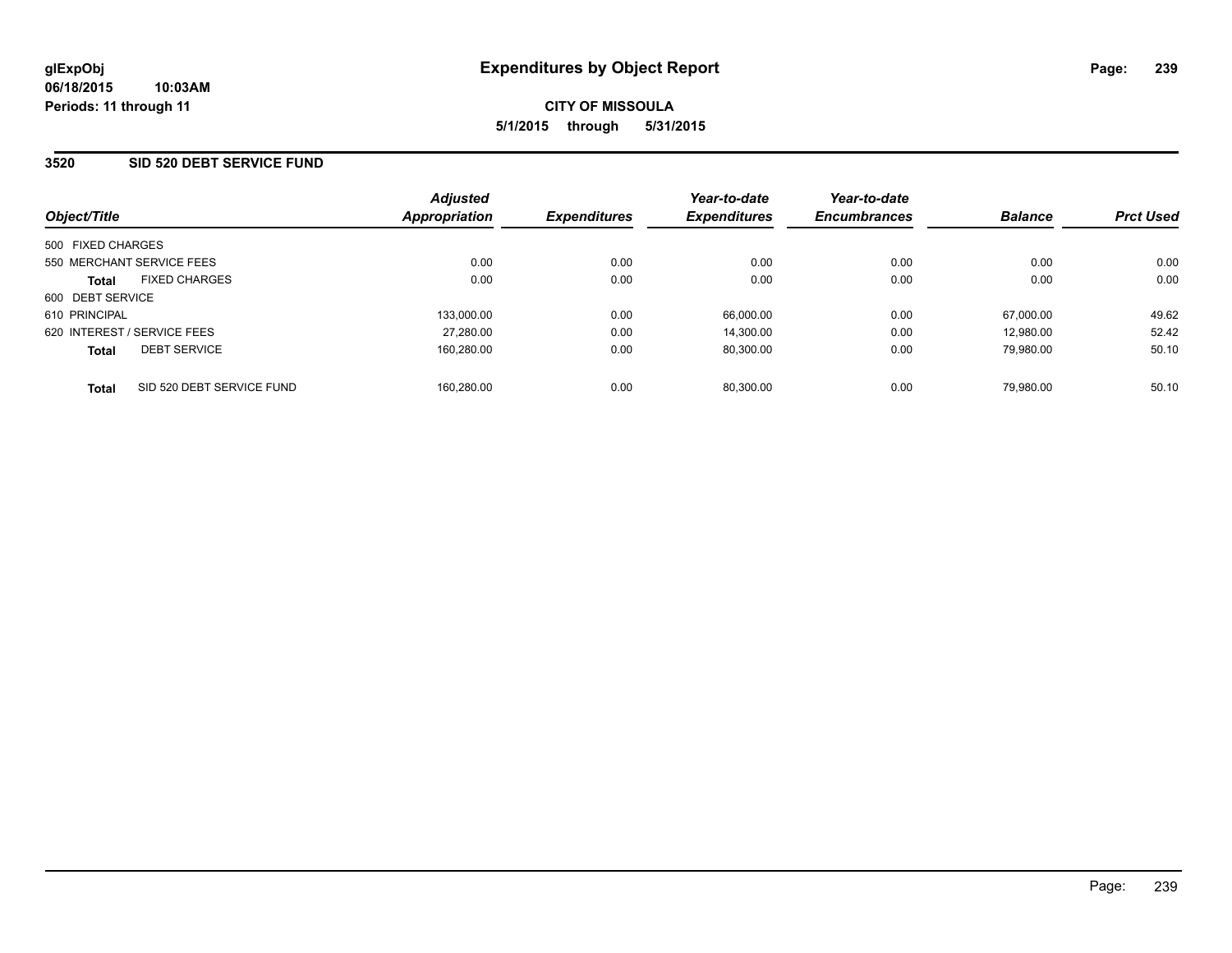## **3520 SID 520 DEBT SERVICE FUND**

| Object/Title                              | <b>Adjusted</b><br><b>Appropriation</b> | <b>Expenditures</b> | Year-to-date<br><b>Expenditures</b> | Year-to-date<br><b>Encumbrances</b> | <b>Balance</b> | <b>Prct Used</b> |
|-------------------------------------------|-----------------------------------------|---------------------|-------------------------------------|-------------------------------------|----------------|------------------|
| 500 FIXED CHARGES                         |                                         |                     |                                     |                                     |                |                  |
| 550 MERCHANT SERVICE FEES                 | 0.00                                    | 0.00                | 0.00                                | 0.00                                | 0.00           | 0.00             |
| <b>FIXED CHARGES</b><br><b>Total</b>      | 0.00                                    | 0.00                | 0.00                                | 0.00                                | 0.00           | 0.00             |
| 600 DEBT SERVICE                          |                                         |                     |                                     |                                     |                |                  |
| 610 PRINCIPAL                             | 133.000.00                              | 0.00                | 66.000.00                           | 0.00                                | 67.000.00      | 49.62            |
| 620 INTEREST / SERVICE FEES               | 27,280.00                               | 0.00                | 14.300.00                           | 0.00                                | 12.980.00      | 52.42            |
| <b>DEBT SERVICE</b><br><b>Total</b>       | 160,280.00                              | 0.00                | 80.300.00                           | 0.00                                | 79.980.00      | 50.10            |
| SID 520 DEBT SERVICE FUND<br><b>Total</b> | 160.280.00                              | 0.00                | 80.300.00                           | 0.00                                | 79.980.00      | 50.10            |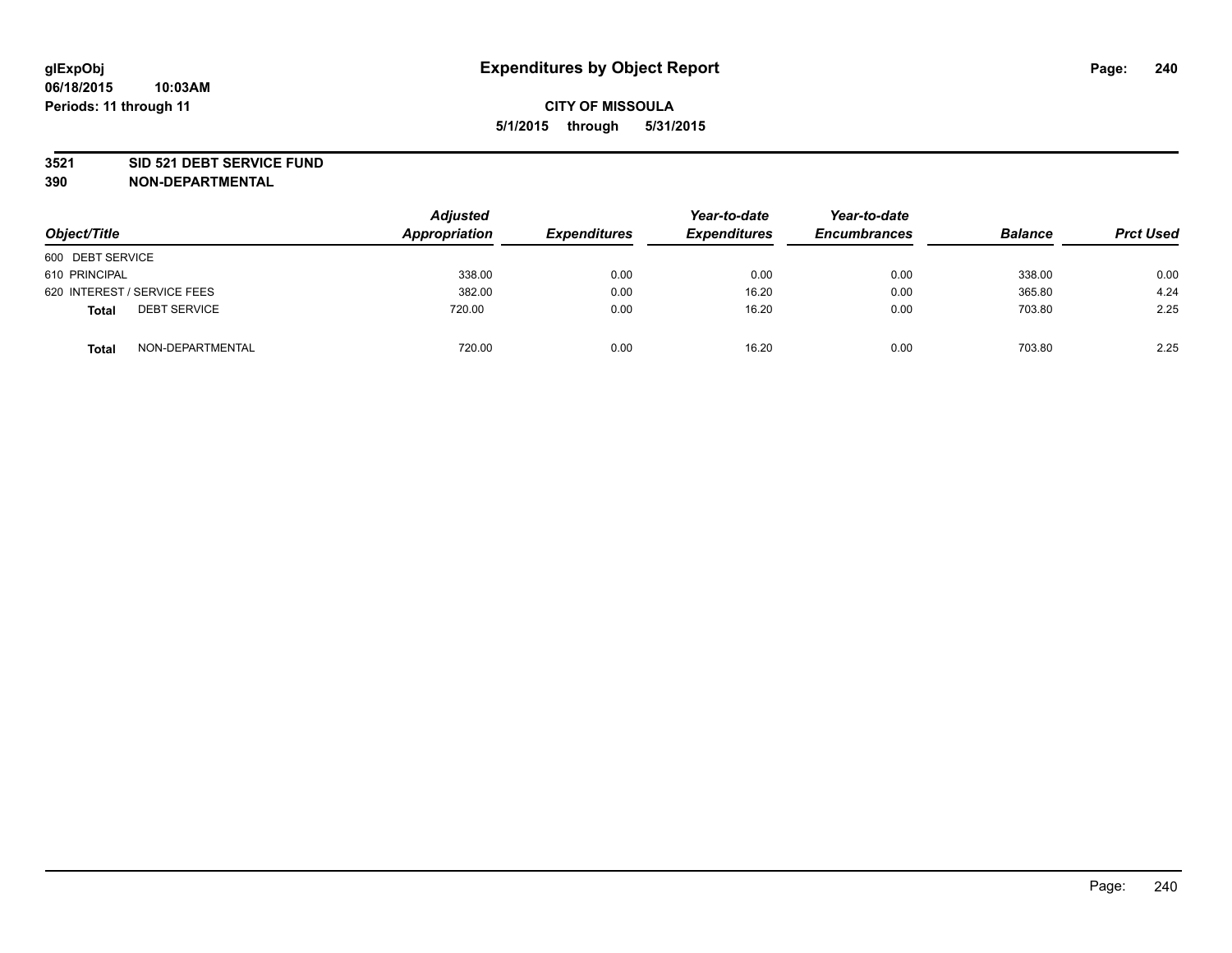### **3521 SID 521 DEBT SERVICE FUND**

| Object/Title                        | <b>Adjusted</b><br>Appropriation | <b>Expenditures</b> | Year-to-date<br><b>Expenditures</b> | Year-to-date<br><b>Encumbrances</b> | <b>Balance</b> | <b>Prct Used</b> |
|-------------------------------------|----------------------------------|---------------------|-------------------------------------|-------------------------------------|----------------|------------------|
| 600 DEBT SERVICE                    |                                  |                     |                                     |                                     |                |                  |
| 610 PRINCIPAL                       | 338.00                           | 0.00                | 0.00                                | 0.00                                | 338.00         | 0.00             |
| 620 INTEREST / SERVICE FEES         | 382.00                           | 0.00                | 16.20                               | 0.00                                | 365.80         | 4.24             |
| <b>DEBT SERVICE</b><br><b>Total</b> | 720.00                           | 0.00                | 16.20                               | 0.00                                | 703.80         | 2.25             |
| NON-DEPARTMENTAL<br><b>Total</b>    | 720.00                           | 0.00                | 16.20                               | 0.00                                | 703.80         | 2.25             |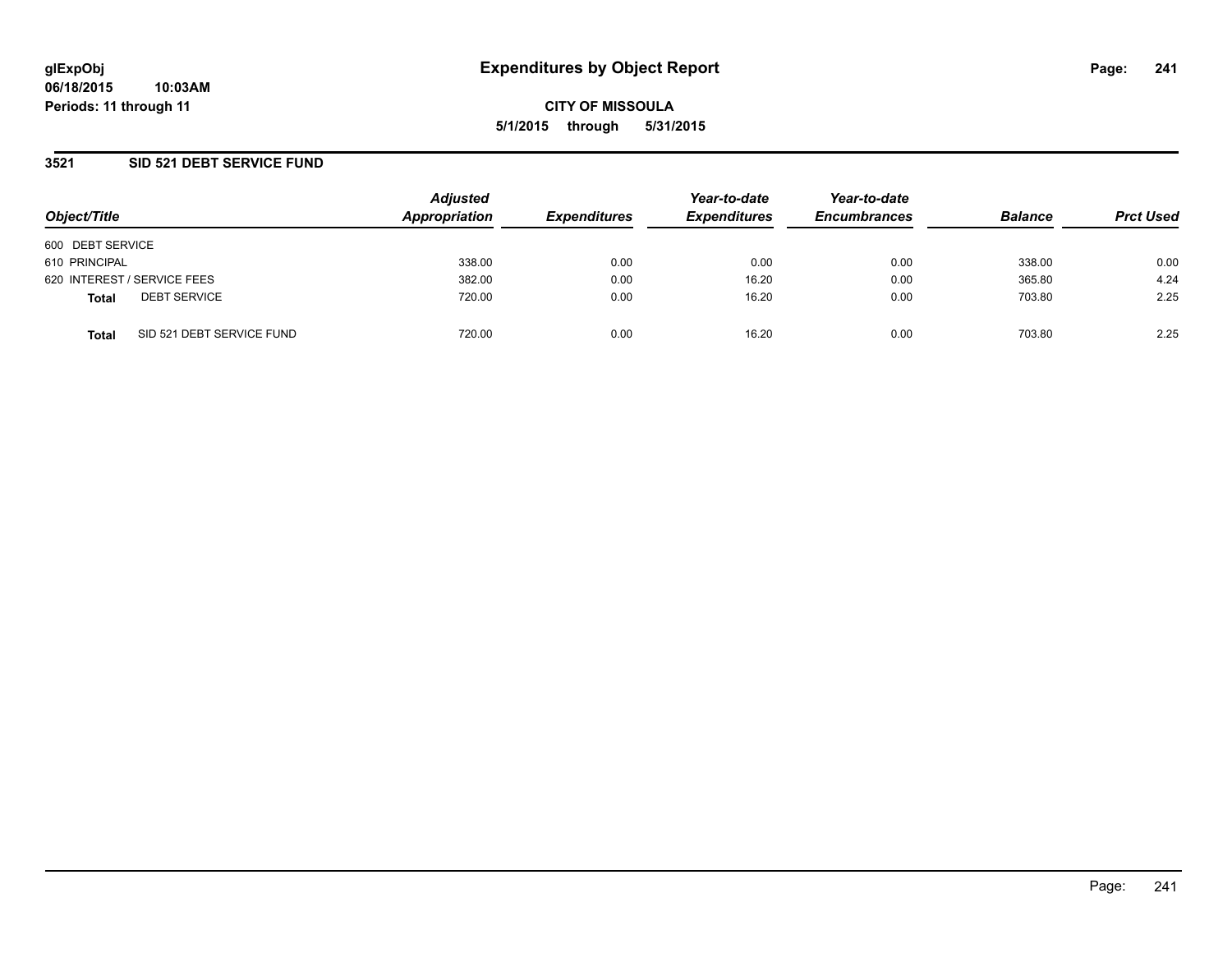## **3521 SID 521 DEBT SERVICE FUND**

| Object/Title     |                             | <b>Adjusted</b><br>Appropriation | <b>Expenditures</b> | Year-to-date<br><b>Expenditures</b> | Year-to-date<br><b>Encumbrances</b> | <b>Balance</b> | <b>Prct Used</b> |
|------------------|-----------------------------|----------------------------------|---------------------|-------------------------------------|-------------------------------------|----------------|------------------|
| 600 DEBT SERVICE |                             |                                  |                     |                                     |                                     |                |                  |
| 610 PRINCIPAL    |                             | 338.00                           | 0.00                | 0.00                                | 0.00                                | 338.00         | 0.00             |
|                  | 620 INTEREST / SERVICE FEES | 382.00                           | 0.00                | 16.20                               | 0.00                                | 365.80         | 4.24             |
| <b>Total</b>     | <b>DEBT SERVICE</b>         | 720.00                           | 0.00                | 16.20                               | 0.00                                | 703.80         | 2.25             |
| <b>Total</b>     | SID 521 DEBT SERVICE FUND   | 720.00                           | 0.00                | 16.20                               | 0.00                                | 703.80         | 2.25             |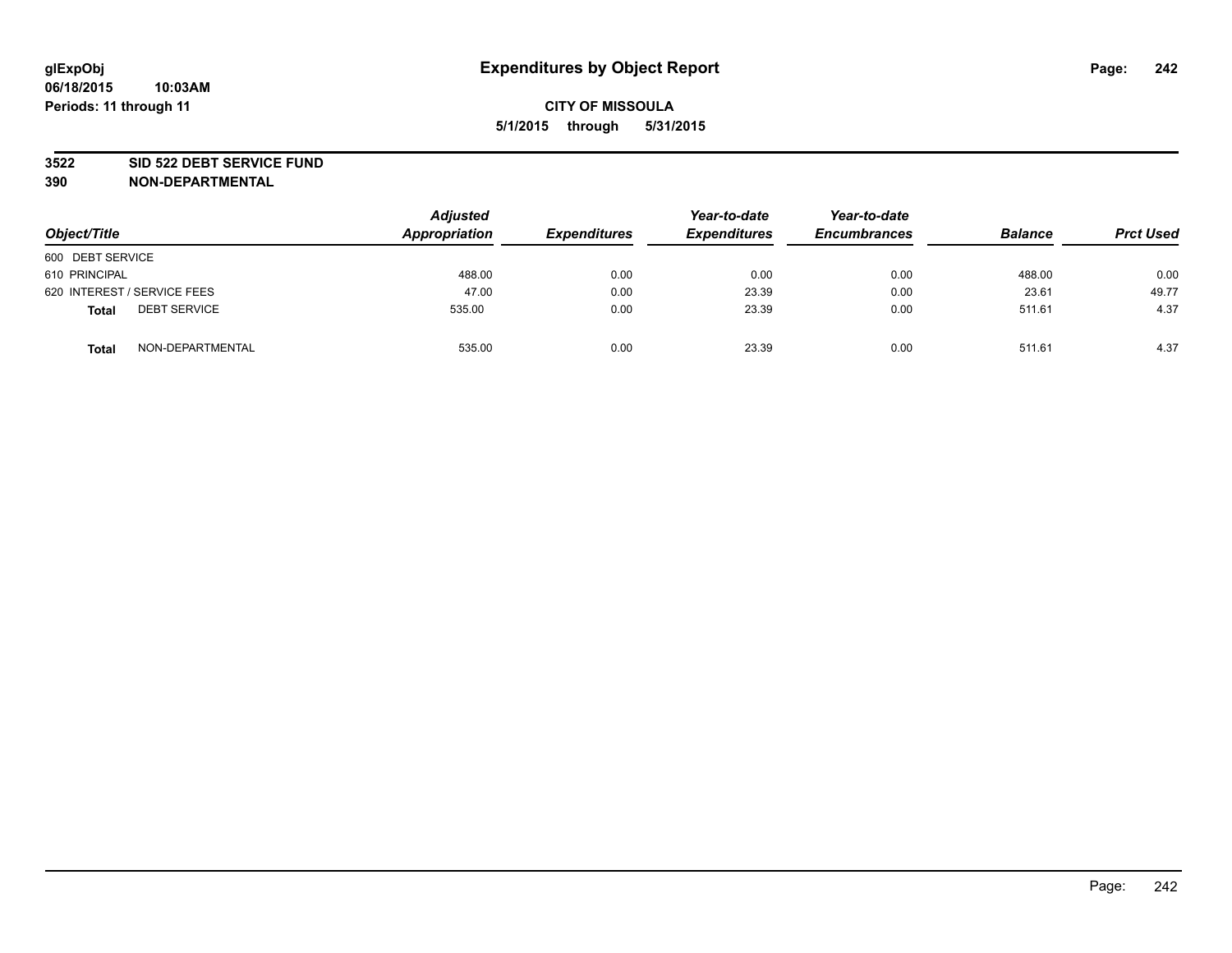### **3522 SID 522 DEBT SERVICE FUND**

| Object/Title                        | <b>Adjusted</b><br>Appropriation | <b>Expenditures</b> | Year-to-date<br><b>Expenditures</b> | Year-to-date<br><b>Encumbrances</b> | <b>Balance</b> | <b>Prct Used</b> |
|-------------------------------------|----------------------------------|---------------------|-------------------------------------|-------------------------------------|----------------|------------------|
| 600 DEBT SERVICE                    |                                  |                     |                                     |                                     |                |                  |
| 610 PRINCIPAL                       | 488.00                           | 0.00                | 0.00                                | 0.00                                | 488.00         | 0.00             |
| 620 INTEREST / SERVICE FEES         | 47.00                            | 0.00                | 23.39                               | 0.00                                | 23.61          | 49.77            |
| <b>DEBT SERVICE</b><br><b>Total</b> | 535.00                           | 0.00                | 23.39                               | 0.00                                | 511.61         | 4.37             |
| NON-DEPARTMENTAL<br><b>Total</b>    | 535.00                           | 0.00                | 23.39                               | 0.00                                | 511.61         | 4.37             |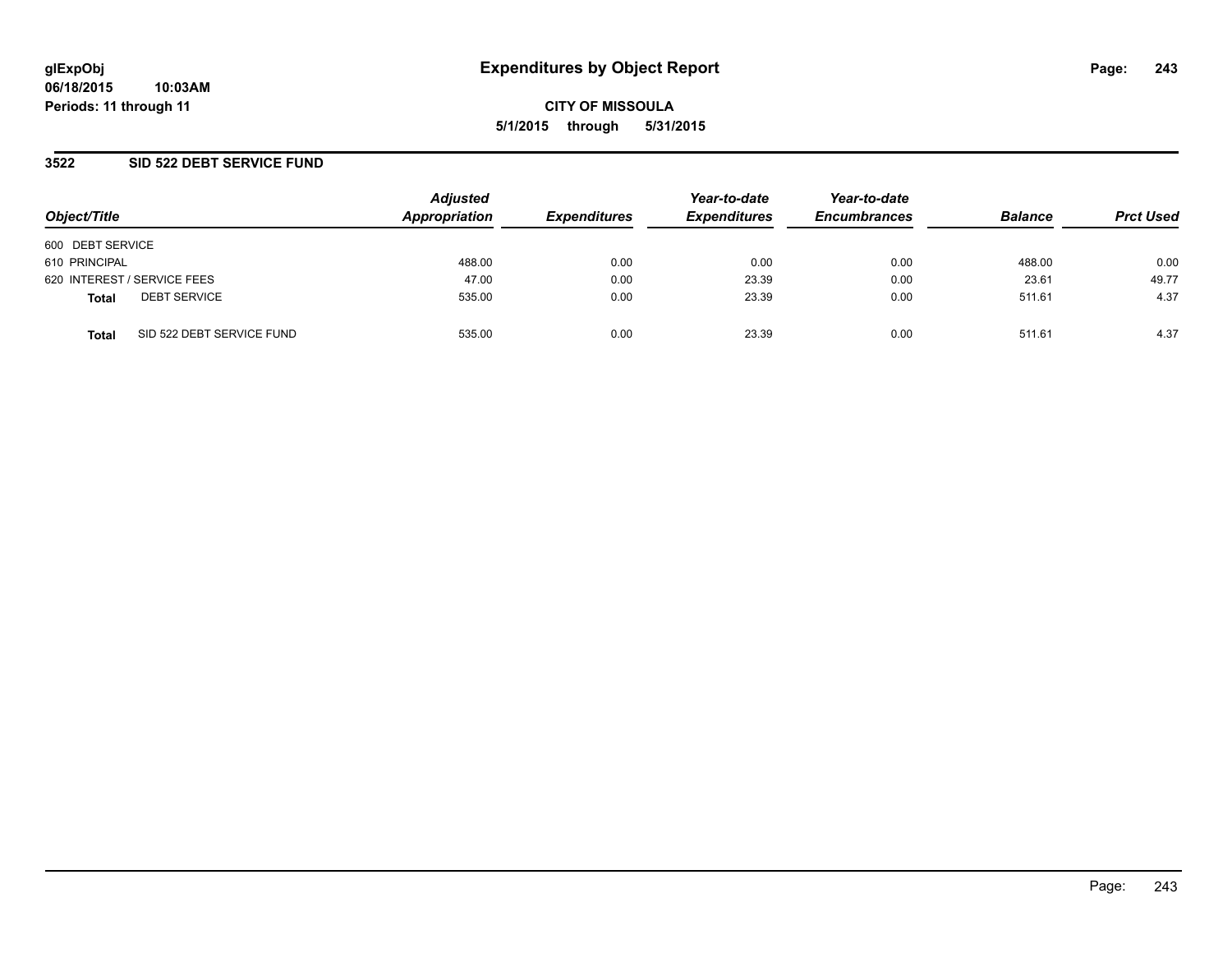## **3522 SID 522 DEBT SERVICE FUND**

| Object/Title                              | <b>Adjusted</b><br>Appropriation | <b>Expenditures</b> | Year-to-date<br><b>Expenditures</b> | Year-to-date<br><b>Encumbrances</b> | <b>Balance</b> | <b>Prct Used</b> |
|-------------------------------------------|----------------------------------|---------------------|-------------------------------------|-------------------------------------|----------------|------------------|
| 600 DEBT SERVICE                          |                                  |                     |                                     |                                     |                |                  |
| 610 PRINCIPAL                             | 488.00                           | 0.00                | 0.00                                | 0.00                                | 488.00         | 0.00             |
| 620 INTEREST / SERVICE FEES               | 47.00                            | 0.00                | 23.39                               | 0.00                                | 23.61          | 49.77            |
| <b>DEBT SERVICE</b><br><b>Total</b>       | 535.00                           | 0.00                | 23.39                               | 0.00                                | 511.61         | 4.37             |
| SID 522 DEBT SERVICE FUND<br><b>Total</b> | 535.00                           | 0.00                | 23.39                               | 0.00                                | 511.61         | 4.37             |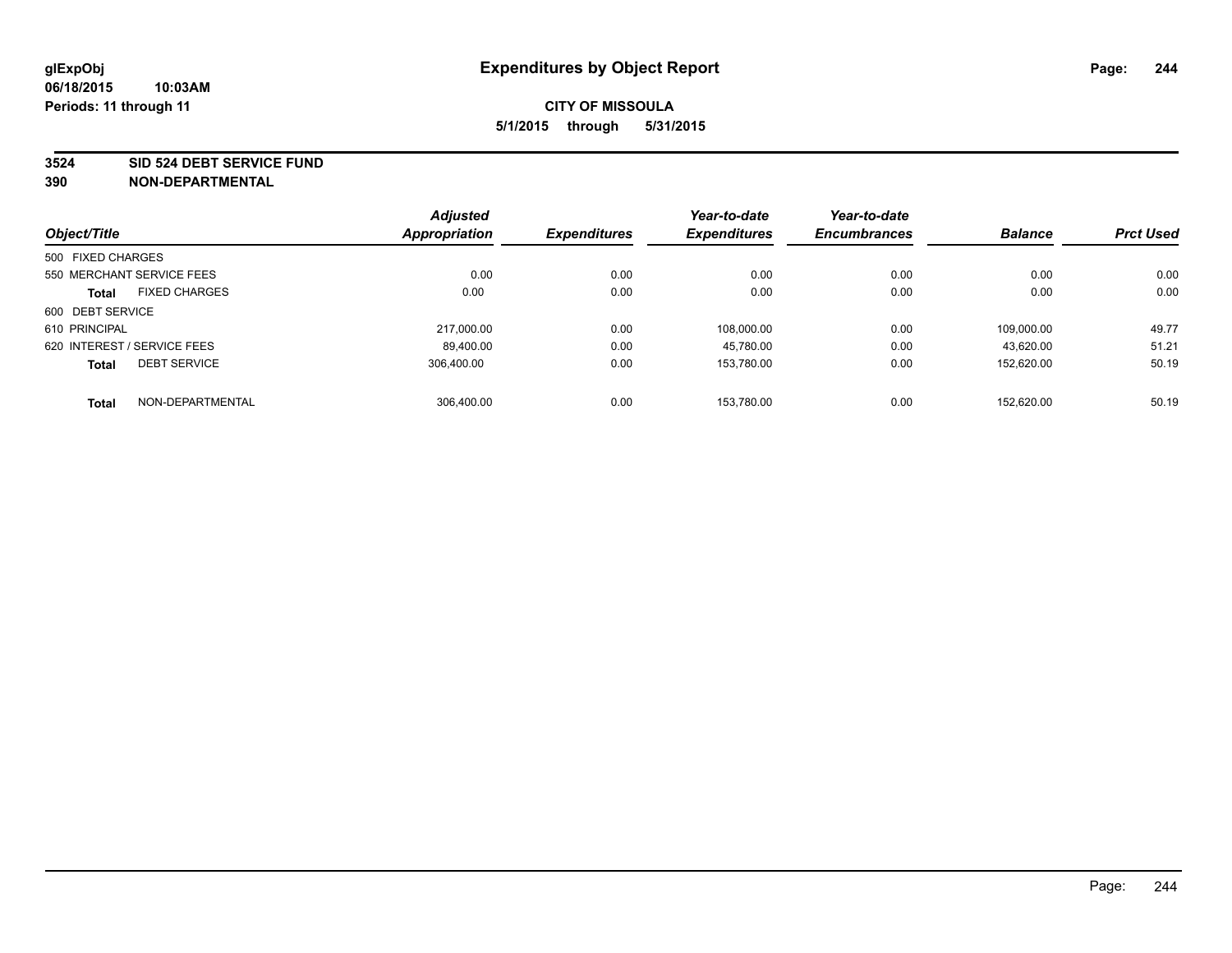#### **3524 SID 524 DEBT SERVICE FUND**

| Object/Title                |                           | <b>Adjusted</b><br><b>Appropriation</b> | <b>Expenditures</b> | Year-to-date<br><b>Expenditures</b> | Year-to-date<br><b>Encumbrances</b> | <b>Balance</b> | <b>Prct Used</b> |
|-----------------------------|---------------------------|-----------------------------------------|---------------------|-------------------------------------|-------------------------------------|----------------|------------------|
|                             |                           |                                         |                     |                                     |                                     |                |                  |
| 500 FIXED CHARGES           |                           |                                         |                     |                                     |                                     |                |                  |
|                             | 550 MERCHANT SERVICE FEES | 0.00                                    | 0.00                | 0.00                                | 0.00                                | 0.00           | 0.00             |
| <b>Total</b>                | <b>FIXED CHARGES</b>      | 0.00                                    | 0.00                | 0.00                                | 0.00                                | 0.00           | 0.00             |
| 600 DEBT SERVICE            |                           |                                         |                     |                                     |                                     |                |                  |
| 610 PRINCIPAL               |                           | 217.000.00                              | 0.00                | 108.000.00                          | 0.00                                | 109.000.00     | 49.77            |
| 620 INTEREST / SERVICE FEES |                           | 89,400.00                               | 0.00                | 45,780.00                           | 0.00                                | 43.620.00      | 51.21            |
| <b>Total</b>                | <b>DEBT SERVICE</b>       | 306.400.00                              | 0.00                | 153.780.00                          | 0.00                                | 152.620.00     | 50.19            |
| <b>Total</b>                | NON-DEPARTMENTAL          | 306.400.00                              | 0.00                | 153.780.00                          | 0.00                                | 152.620.00     | 50.19            |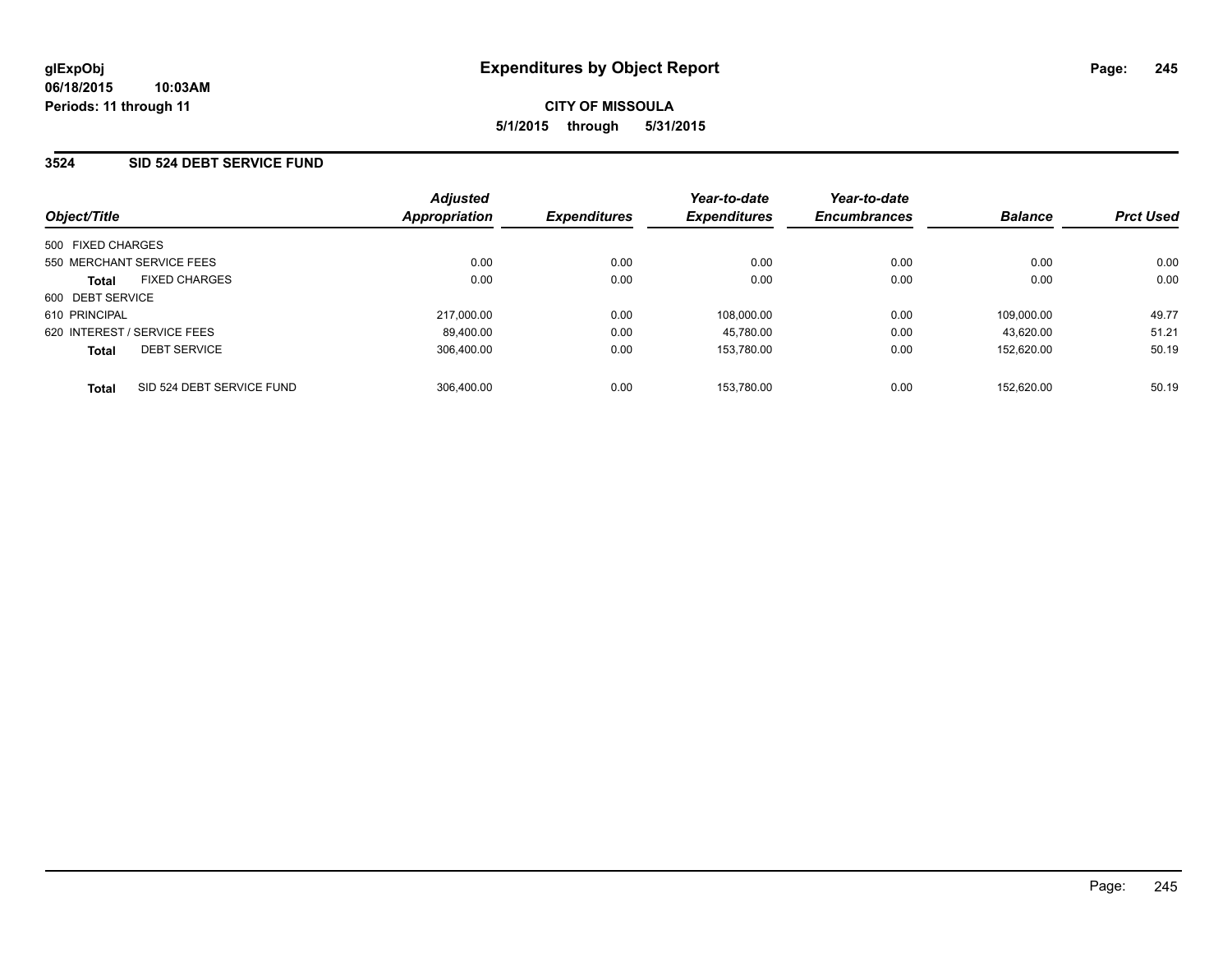## **3524 SID 524 DEBT SERVICE FUND**

| Object/Title      |                             | <b>Adjusted</b><br>Appropriation | <b>Expenditures</b> | Year-to-date<br><b>Expenditures</b> | Year-to-date<br><b>Encumbrances</b> | <b>Balance</b> | <b>Prct Used</b> |
|-------------------|-----------------------------|----------------------------------|---------------------|-------------------------------------|-------------------------------------|----------------|------------------|
| 500 FIXED CHARGES |                             |                                  |                     |                                     |                                     |                |                  |
|                   | 550 MERCHANT SERVICE FEES   | 0.00                             | 0.00                | 0.00                                | 0.00                                | 0.00           | 0.00             |
| <b>Total</b>      | <b>FIXED CHARGES</b>        | 0.00                             | 0.00                | 0.00                                | 0.00                                | 0.00           | 0.00             |
| 600 DEBT SERVICE  |                             |                                  |                     |                                     |                                     |                |                  |
| 610 PRINCIPAL     |                             | 217.000.00                       | 0.00                | 108.000.00                          | 0.00                                | 109.000.00     | 49.77            |
|                   | 620 INTEREST / SERVICE FEES | 89.400.00                        | 0.00                | 45.780.00                           | 0.00                                | 43.620.00      | 51.21            |
| <b>Total</b>      | <b>DEBT SERVICE</b>         | 306.400.00                       | 0.00                | 153.780.00                          | 0.00                                | 152.620.00     | 50.19            |
| <b>Total</b>      | SID 524 DEBT SERVICE FUND   | 306.400.00                       | 0.00                | 153.780.00                          | 0.00                                | 152.620.00     | 50.19            |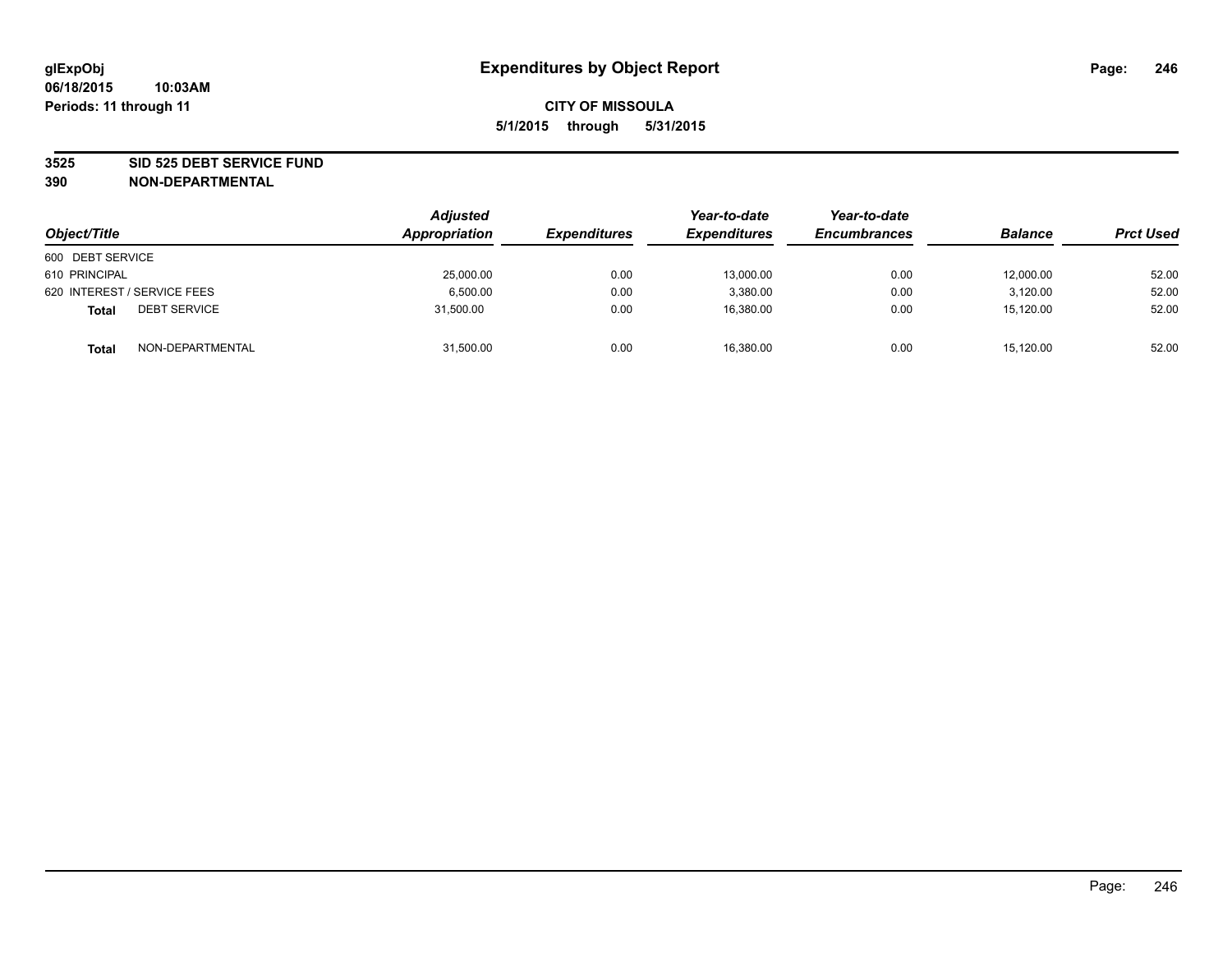### **3525 SID 525 DEBT SERVICE FUND**

| Object/Title                        | <b>Adjusted</b><br>Appropriation | <b>Expenditures</b> | Year-to-date<br><b>Expenditures</b> | Year-to-date<br><b>Encumbrances</b> | <b>Balance</b> | <b>Prct Used</b> |
|-------------------------------------|----------------------------------|---------------------|-------------------------------------|-------------------------------------|----------------|------------------|
| 600 DEBT SERVICE                    |                                  |                     |                                     |                                     |                |                  |
| 610 PRINCIPAL                       | 25,000.00                        | 0.00                | 13.000.00                           | 0.00                                | 12,000.00      | 52.00            |
| 620 INTEREST / SERVICE FEES         | 6,500.00                         | 0.00                | 3,380.00                            | 0.00                                | 3,120.00       | 52.00            |
| <b>DEBT SERVICE</b><br><b>Total</b> | 31,500.00                        | 0.00                | 16,380.00                           | 0.00                                | 15,120.00      | 52.00            |
| NON-DEPARTMENTAL<br><b>Total</b>    | 31,500.00                        | 0.00                | 16,380.00                           | 0.00                                | 15,120.00      | 52.00            |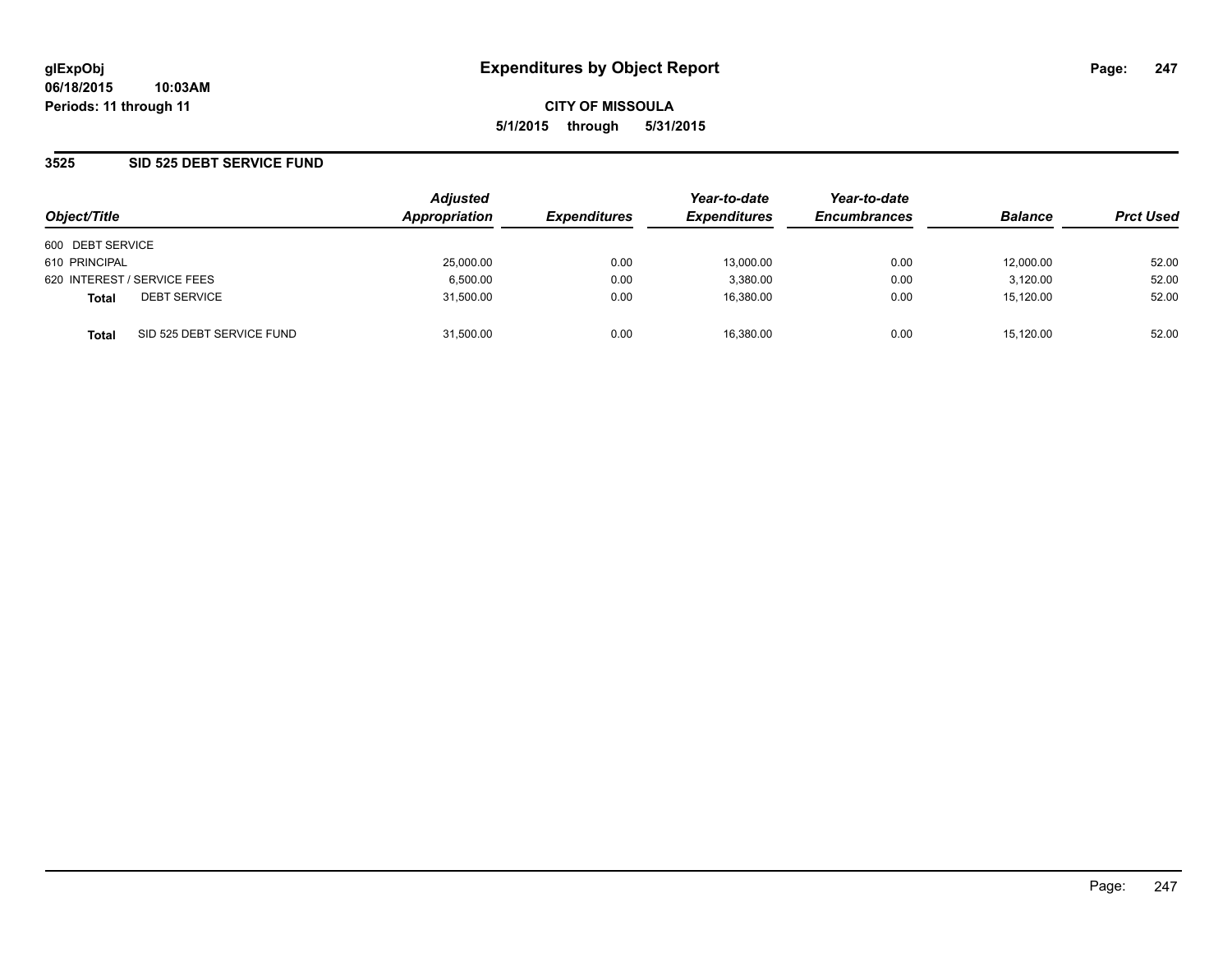## **3525 SID 525 DEBT SERVICE FUND**

| Object/Title     |                             | <b>Adjusted</b><br>Appropriation | <b>Expenditures</b> | Year-to-date<br><b>Expenditures</b> | Year-to-date<br><b>Encumbrances</b> | <b>Balance</b> | <b>Prct Used</b> |
|------------------|-----------------------------|----------------------------------|---------------------|-------------------------------------|-------------------------------------|----------------|------------------|
| 600 DEBT SERVICE |                             |                                  |                     |                                     |                                     |                |                  |
| 610 PRINCIPAL    |                             | 25,000.00                        | 0.00                | 13.000.00                           | 0.00                                | 12,000.00      | 52.00            |
|                  | 620 INTEREST / SERVICE FEES | 6,500.00                         | 0.00                | 3.380.00                            | 0.00                                | 3,120.00       | 52.00            |
| <b>Total</b>     | <b>DEBT SERVICE</b>         | 31,500.00                        | 0.00                | 16.380.00                           | 0.00                                | 15,120.00      | 52.00            |
| <b>Total</b>     | SID 525 DEBT SERVICE FUND   | 31,500.00                        | 0.00                | 16.380.00                           | 0.00                                | 15,120.00      | 52.00            |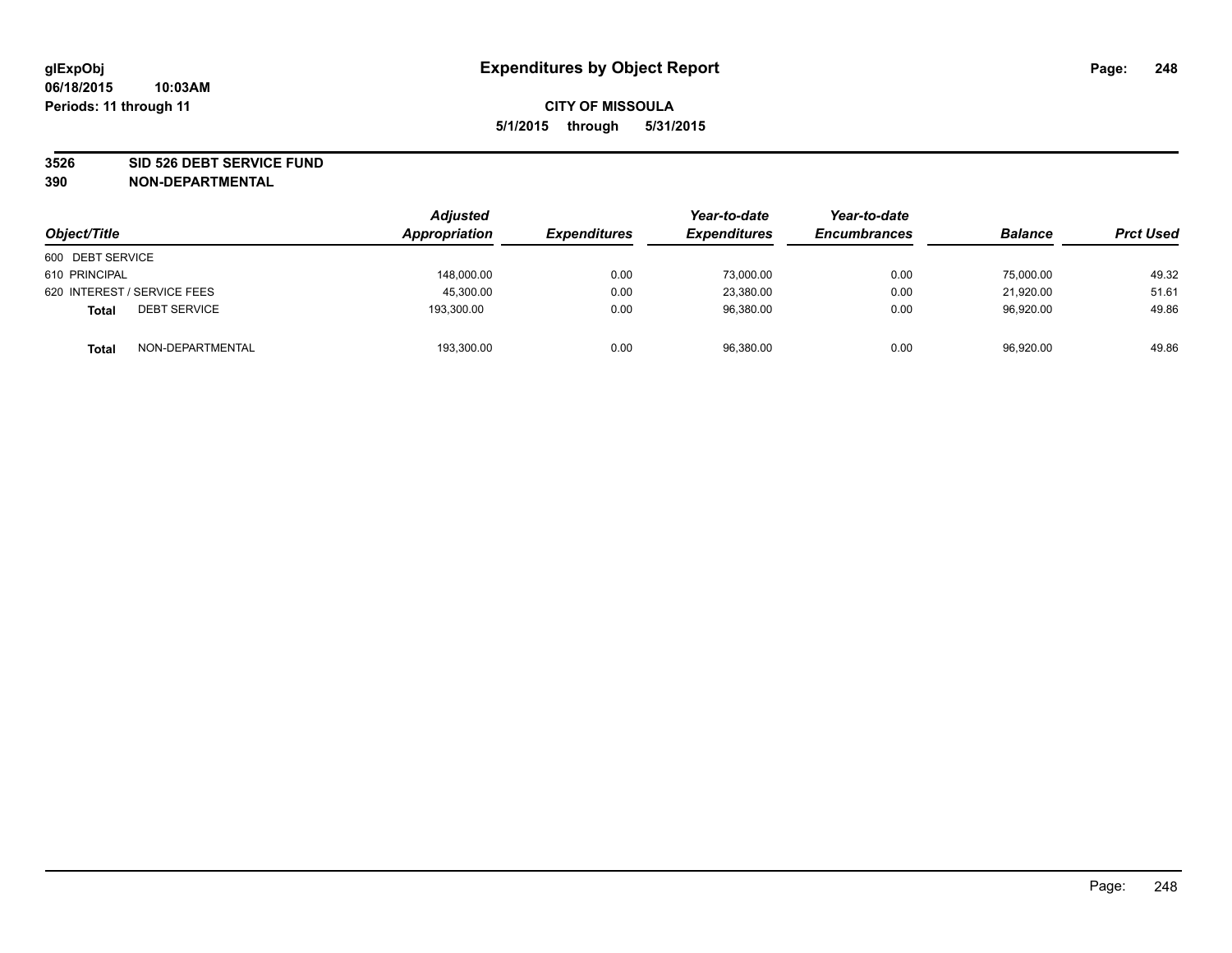### **3526 SID 526 DEBT SERVICE FUND**

| Object/Title                        | <b>Adjusted</b><br><b>Appropriation</b> | <b>Expenditures</b> | Year-to-date<br><b>Expenditures</b> | Year-to-date<br><b>Encumbrances</b> | <b>Balance</b> | <b>Prct Used</b> |
|-------------------------------------|-----------------------------------------|---------------------|-------------------------------------|-------------------------------------|----------------|------------------|
| 600 DEBT SERVICE                    |                                         |                     |                                     |                                     |                |                  |
| 610 PRINCIPAL                       | 148,000.00                              | 0.00                | 73,000.00                           | 0.00                                | 75,000.00      | 49.32            |
| 620 INTEREST / SERVICE FEES         | 45,300.00                               | 0.00                | 23,380.00                           | 0.00                                | 21,920.00      | 51.61            |
| <b>DEBT SERVICE</b><br><b>Total</b> | 193,300.00                              | 0.00                | 96,380.00                           | 0.00                                | 96,920.00      | 49.86            |
| NON-DEPARTMENTAL<br><b>Total</b>    | 193,300.00                              | 0.00                | 96,380.00                           | 0.00                                | 96,920.00      | 49.86            |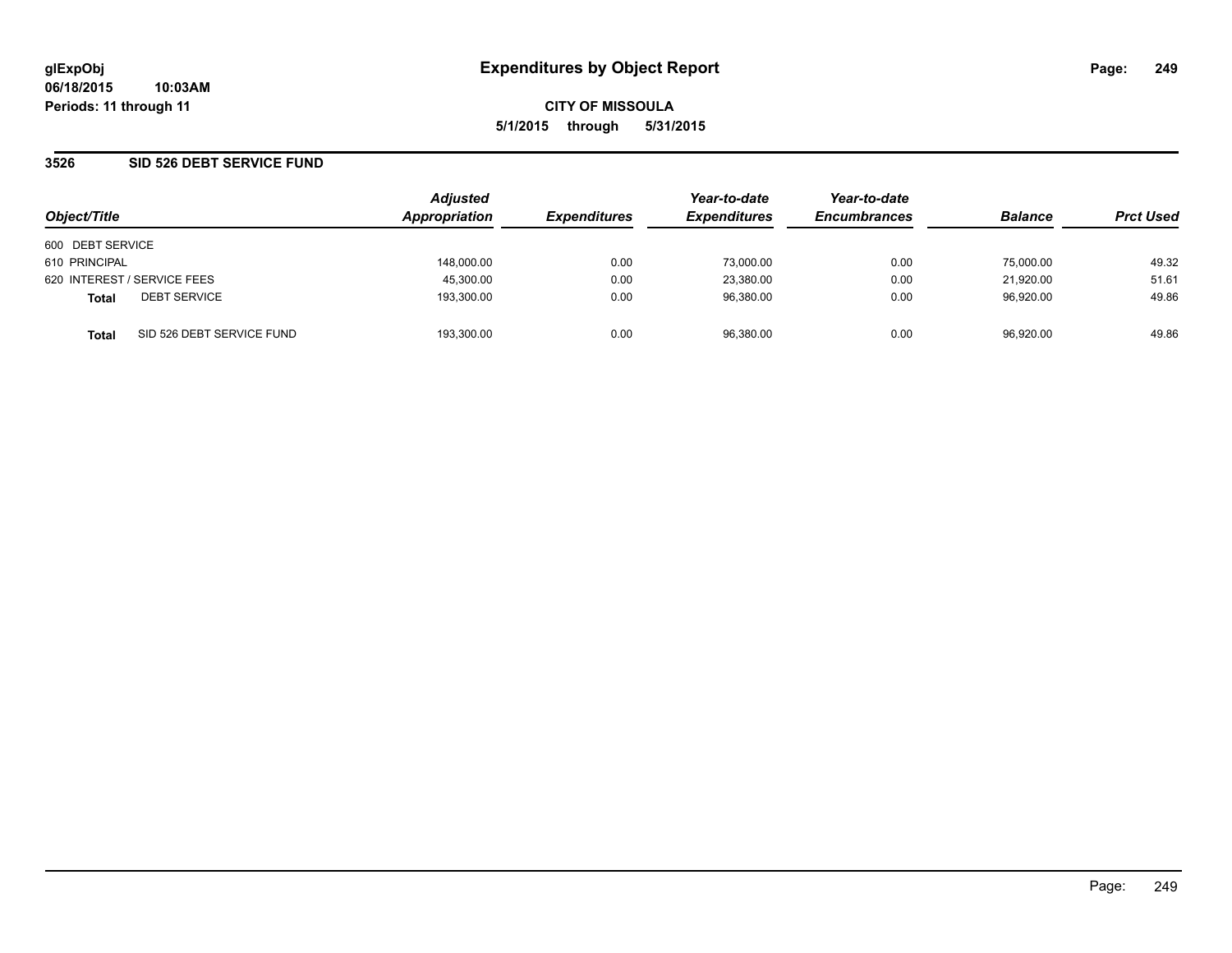## **3526 SID 526 DEBT SERVICE FUND**

| Object/Title                |                           | <b>Adjusted</b> |                     | Year-to-date        | Year-to-date        |                | <b>Prct Used</b> |
|-----------------------------|---------------------------|-----------------|---------------------|---------------------|---------------------|----------------|------------------|
|                             |                           | Appropriation   | <b>Expenditures</b> | <b>Expenditures</b> | <b>Encumbrances</b> | <b>Balance</b> |                  |
| 600 DEBT SERVICE            |                           |                 |                     |                     |                     |                |                  |
| 610 PRINCIPAL               |                           | 148,000.00      | 0.00                | 73,000.00           | 0.00                | 75,000.00      | 49.32            |
| 620 INTEREST / SERVICE FEES |                           | 45,300.00       | 0.00                | 23,380.00           | 0.00                | 21.920.00      | 51.61            |
| <b>Total</b>                | <b>DEBT SERVICE</b>       | 193.300.00      | 0.00                | 96.380.00           | 0.00                | 96.920.00      | 49.86            |
| <b>Total</b>                | SID 526 DEBT SERVICE FUND | 193.300.00      | 0.00                | 96.380.00           | 0.00                | 96.920.00      | 49.86            |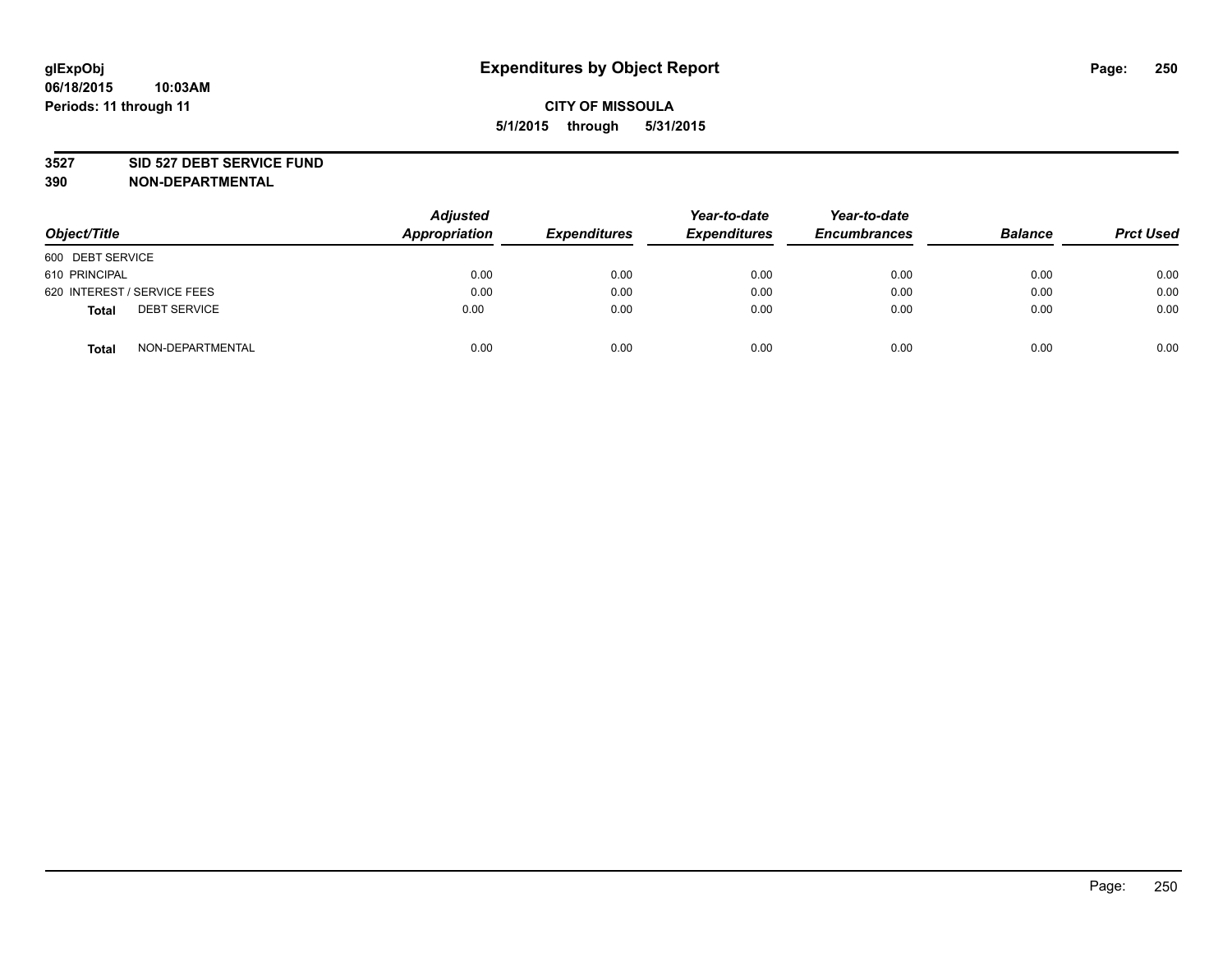### **3527 SID 527 DEBT SERVICE FUND**

| Object/Title                 | <b>Adjusted</b><br><b>Appropriation</b> | <b>Expenditures</b> | Year-to-date<br><b>Expenditures</b> | Year-to-date<br><b>Encumbrances</b> | <b>Balance</b> | <b>Prct Used</b> |
|------------------------------|-----------------------------------------|---------------------|-------------------------------------|-------------------------------------|----------------|------------------|
| 600 DEBT SERVICE             |                                         |                     |                                     |                                     |                |                  |
| 610 PRINCIPAL                | 0.00                                    | 0.00                | 0.00                                | 0.00                                | 0.00           | 0.00             |
| 620 INTEREST / SERVICE FEES  | 0.00                                    | 0.00                | 0.00                                | 0.00                                | 0.00           | 0.00             |
| <b>DEBT SERVICE</b><br>Total | 0.00                                    | 0.00                | 0.00                                | 0.00                                | 0.00           | 0.00             |
| NON-DEPARTMENTAL<br>Total    | 0.00                                    | 0.00                | 0.00                                | 0.00                                | 0.00           | 0.00             |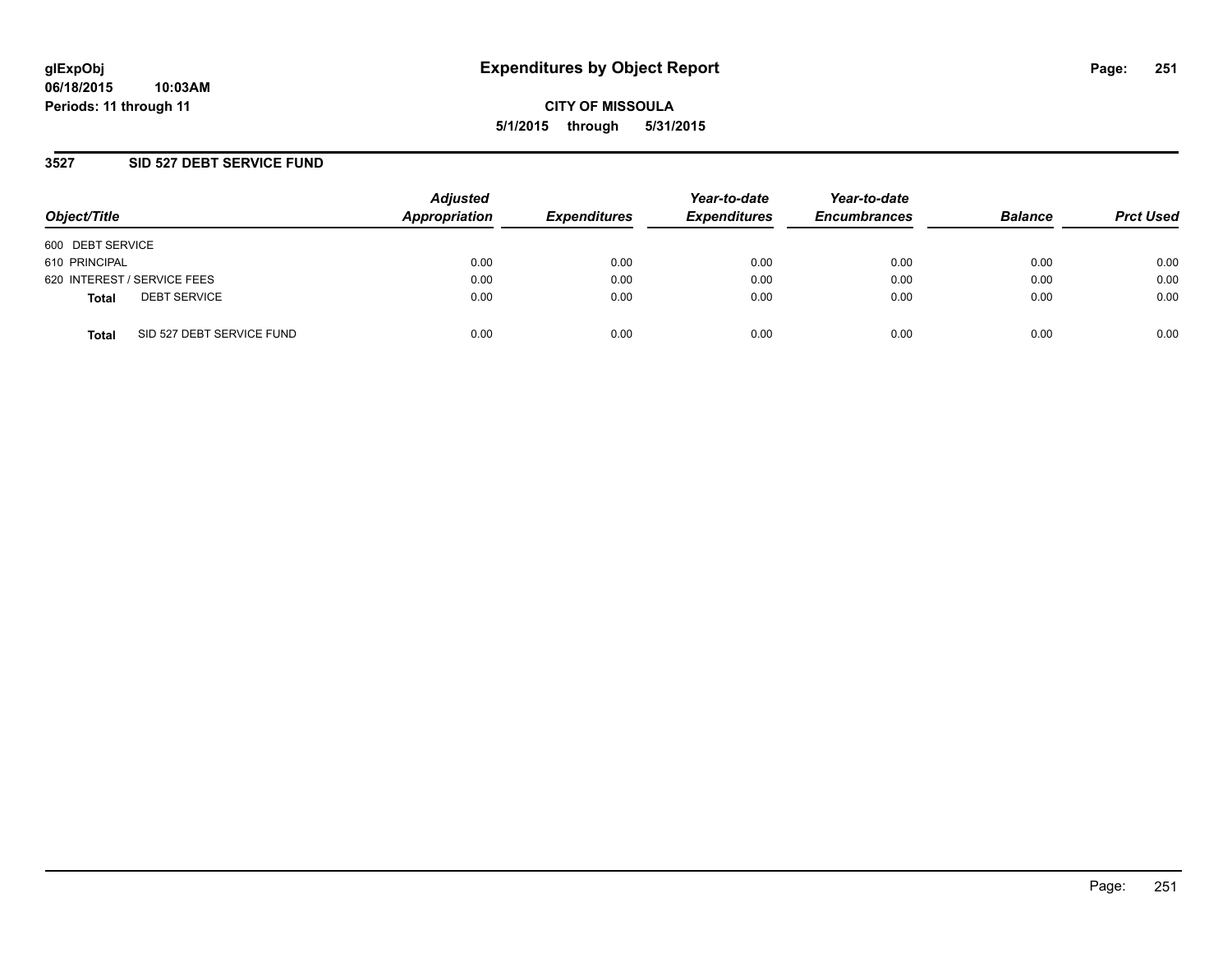## **3527 SID 527 DEBT SERVICE FUND**

| Object/Title                              | <b>Adjusted</b><br>Appropriation | <b>Expenditures</b> | Year-to-date<br><b>Expenditures</b> | Year-to-date<br><b>Encumbrances</b> | <b>Balance</b> | <b>Prct Used</b> |
|-------------------------------------------|----------------------------------|---------------------|-------------------------------------|-------------------------------------|----------------|------------------|
| 600 DEBT SERVICE                          |                                  |                     |                                     |                                     |                |                  |
| 610 PRINCIPAL                             | 0.00                             | 0.00                | 0.00                                | 0.00                                | 0.00           | 0.00             |
| 620 INTEREST / SERVICE FEES               | 0.00                             | 0.00                | 0.00                                | 0.00                                | 0.00           | 0.00             |
| <b>DEBT SERVICE</b><br><b>Total</b>       | 0.00                             | 0.00                | 0.00                                | 0.00                                | 0.00           | 0.00             |
| SID 527 DEBT SERVICE FUND<br><b>Total</b> | 0.00                             | 0.00                | 0.00                                | 0.00                                | 0.00           | 0.00             |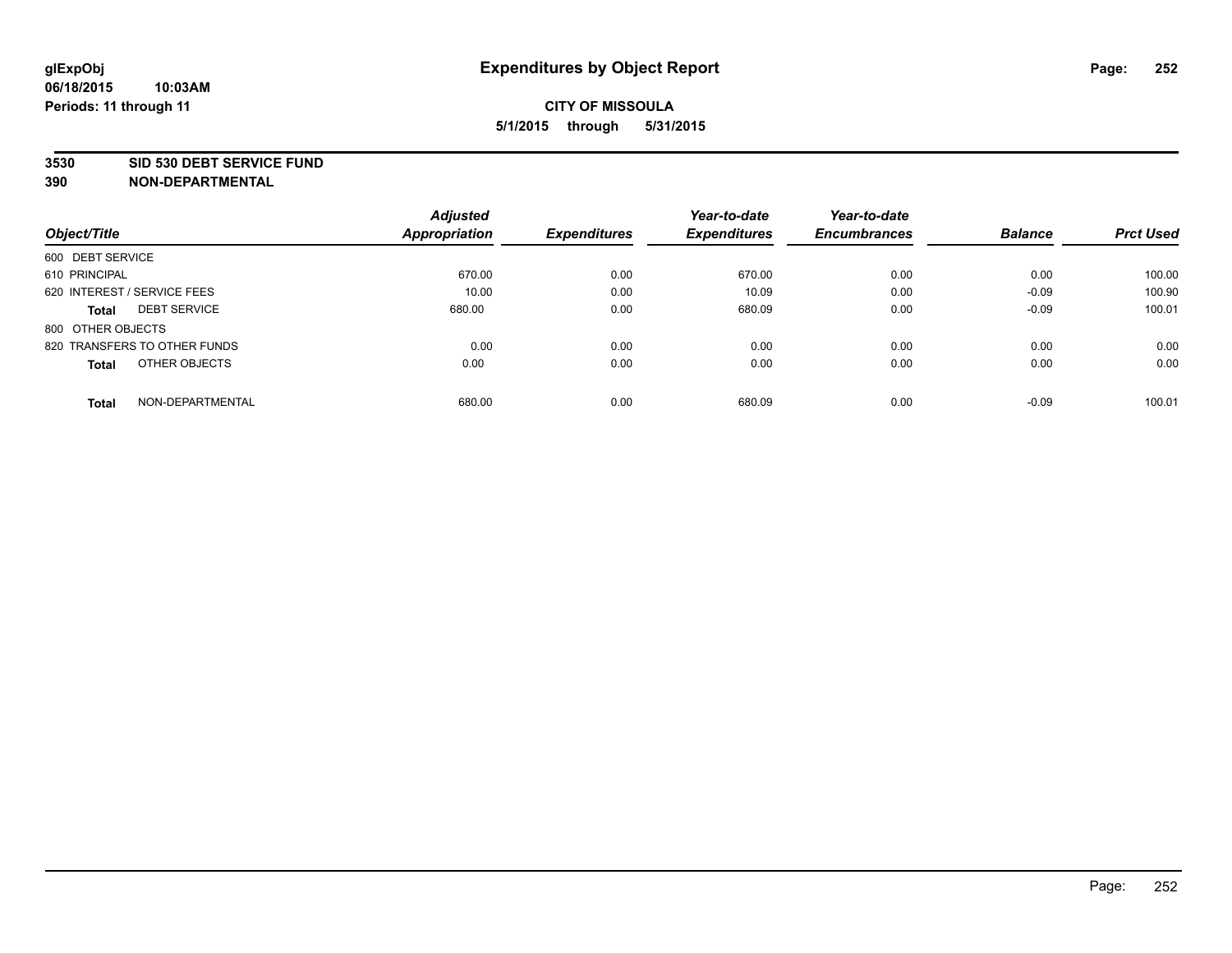### **3530 SID 530 DEBT SERVICE FUND**

|                                     | <b>Adjusted</b> |                     | Year-to-date        | Year-to-date        |                |                  |
|-------------------------------------|-----------------|---------------------|---------------------|---------------------|----------------|------------------|
| Object/Title                        | Appropriation   | <b>Expenditures</b> | <b>Expenditures</b> | <b>Encumbrances</b> | <b>Balance</b> | <b>Prct Used</b> |
| 600 DEBT SERVICE                    |                 |                     |                     |                     |                |                  |
| 610 PRINCIPAL                       | 670.00          | 0.00                | 670.00              | 0.00                | 0.00           | 100.00           |
| 620 INTEREST / SERVICE FEES         | 10.00           | 0.00                | 10.09               | 0.00                | $-0.09$        | 100.90           |
| <b>DEBT SERVICE</b><br><b>Total</b> | 680.00          | 0.00                | 680.09              | 0.00                | $-0.09$        | 100.01           |
| 800 OTHER OBJECTS                   |                 |                     |                     |                     |                |                  |
| 820 TRANSFERS TO OTHER FUNDS        | 0.00            | 0.00                | 0.00                | 0.00                | 0.00           | 0.00             |
| OTHER OBJECTS<br><b>Total</b>       | 0.00            | 0.00                | 0.00                | 0.00                | 0.00           | 0.00             |
| NON-DEPARTMENTAL<br><b>Total</b>    | 680.00          | 0.00                | 680.09              | 0.00                | $-0.09$        | 100.01           |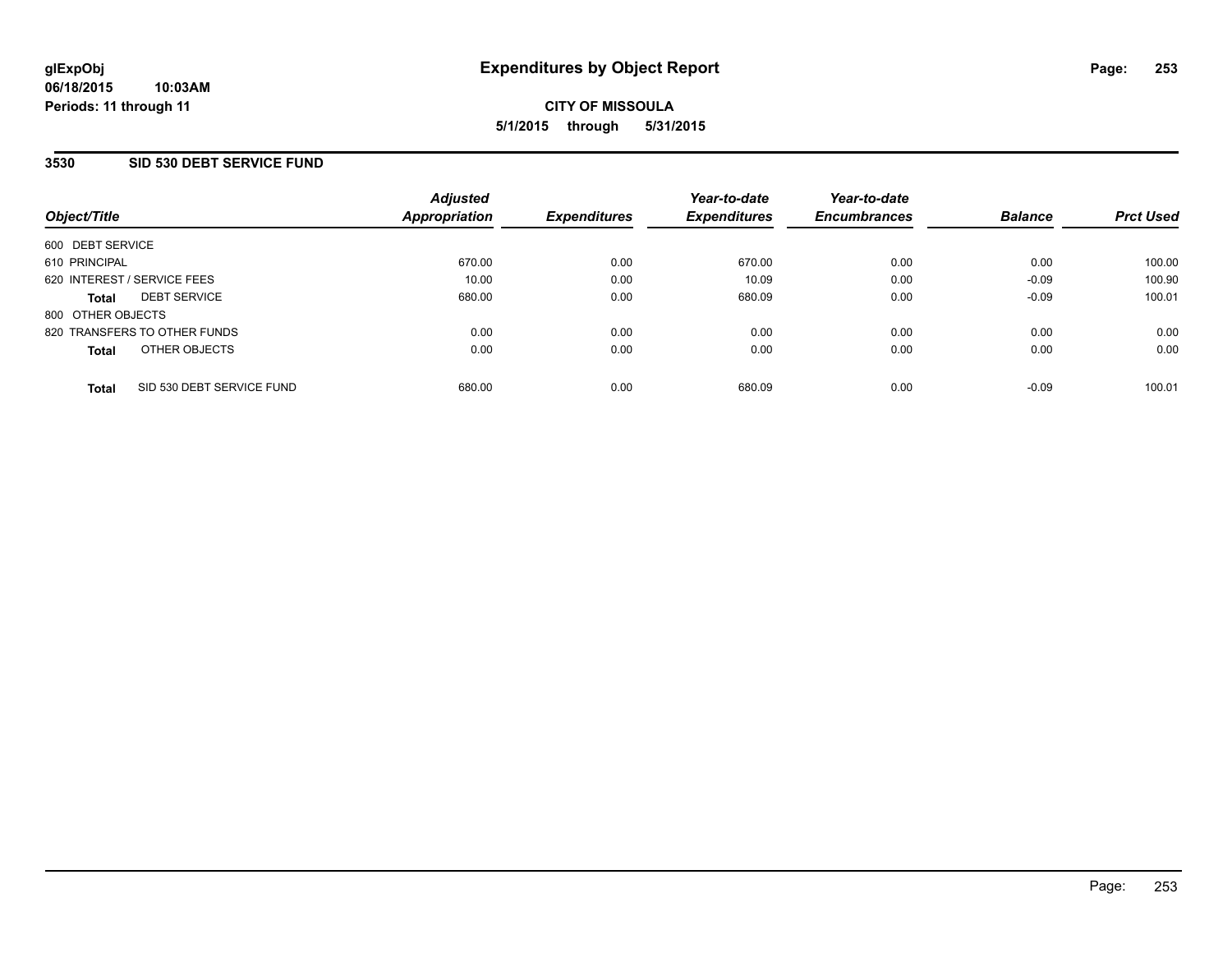### **3530 SID 530 DEBT SERVICE FUND**

| Object/Title      |                              | <b>Adjusted</b><br>Appropriation | <b>Expenditures</b> | Year-to-date<br><b>Expenditures</b> | Year-to-date<br><b>Encumbrances</b> | <b>Balance</b> | <b>Prct Used</b> |
|-------------------|------------------------------|----------------------------------|---------------------|-------------------------------------|-------------------------------------|----------------|------------------|
| 600 DEBT SERVICE  |                              |                                  |                     |                                     |                                     |                |                  |
| 610 PRINCIPAL     |                              | 670.00                           | 0.00                | 670.00                              | 0.00                                | 0.00           | 100.00           |
|                   | 620 INTEREST / SERVICE FEES  | 10.00                            | 0.00                | 10.09                               | 0.00                                | $-0.09$        | 100.90           |
| <b>Total</b>      | <b>DEBT SERVICE</b>          | 680.00                           | 0.00                | 680.09                              | 0.00                                | $-0.09$        | 100.01           |
| 800 OTHER OBJECTS |                              |                                  |                     |                                     |                                     |                |                  |
|                   | 820 TRANSFERS TO OTHER FUNDS | 0.00                             | 0.00                | 0.00                                | 0.00                                | 0.00           | 0.00             |
| <b>Total</b>      | OTHER OBJECTS                | 0.00                             | 0.00                | 0.00                                | 0.00                                | 0.00           | 0.00             |
| <b>Total</b>      | SID 530 DEBT SERVICE FUND    | 680.00                           | 0.00                | 680.09                              | 0.00                                | $-0.09$        | 100.01           |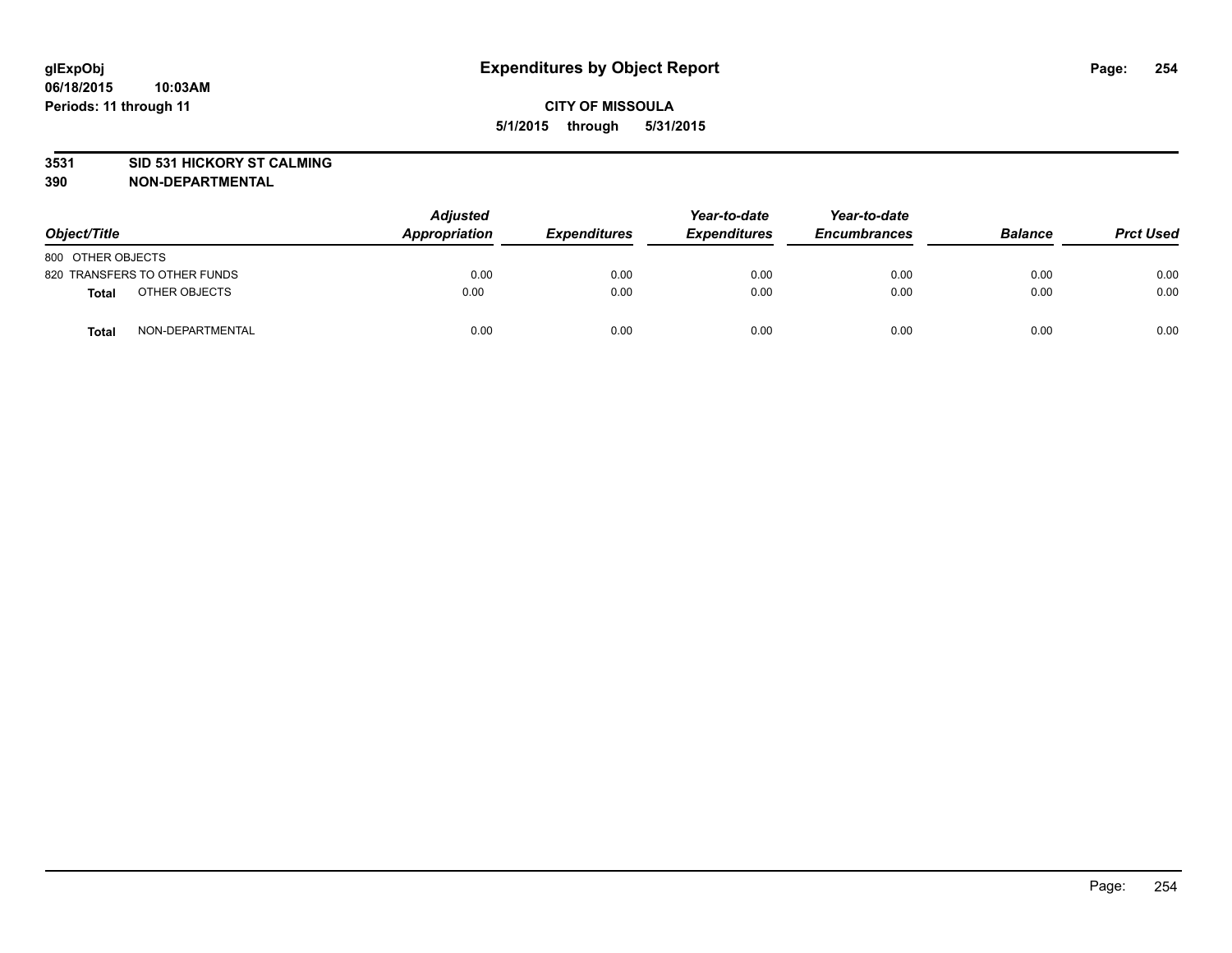### **3531 SID 531 HICKORY ST CALMING**

| Object/Title                     | <b>Adjusted</b><br>Appropriation | <b>Expenditures</b> | Year-to-date<br><b>Expenditures</b> | Year-to-date<br><b>Encumbrances</b> | <b>Balance</b> | <b>Prct Used</b> |
|----------------------------------|----------------------------------|---------------------|-------------------------------------|-------------------------------------|----------------|------------------|
| 800 OTHER OBJECTS                |                                  |                     |                                     |                                     |                |                  |
| 820 TRANSFERS TO OTHER FUNDS     | 0.00                             | 0.00                | 0.00                                | 0.00                                | 0.00           | 0.00             |
| OTHER OBJECTS<br><b>Total</b>    | 0.00                             | 0.00                | 0.00                                | 0.00                                | 0.00           | 0.00             |
| NON-DEPARTMENTAL<br><b>Total</b> | 0.00                             | 0.00                | 0.00                                | 0.00                                | 0.00           | 0.00             |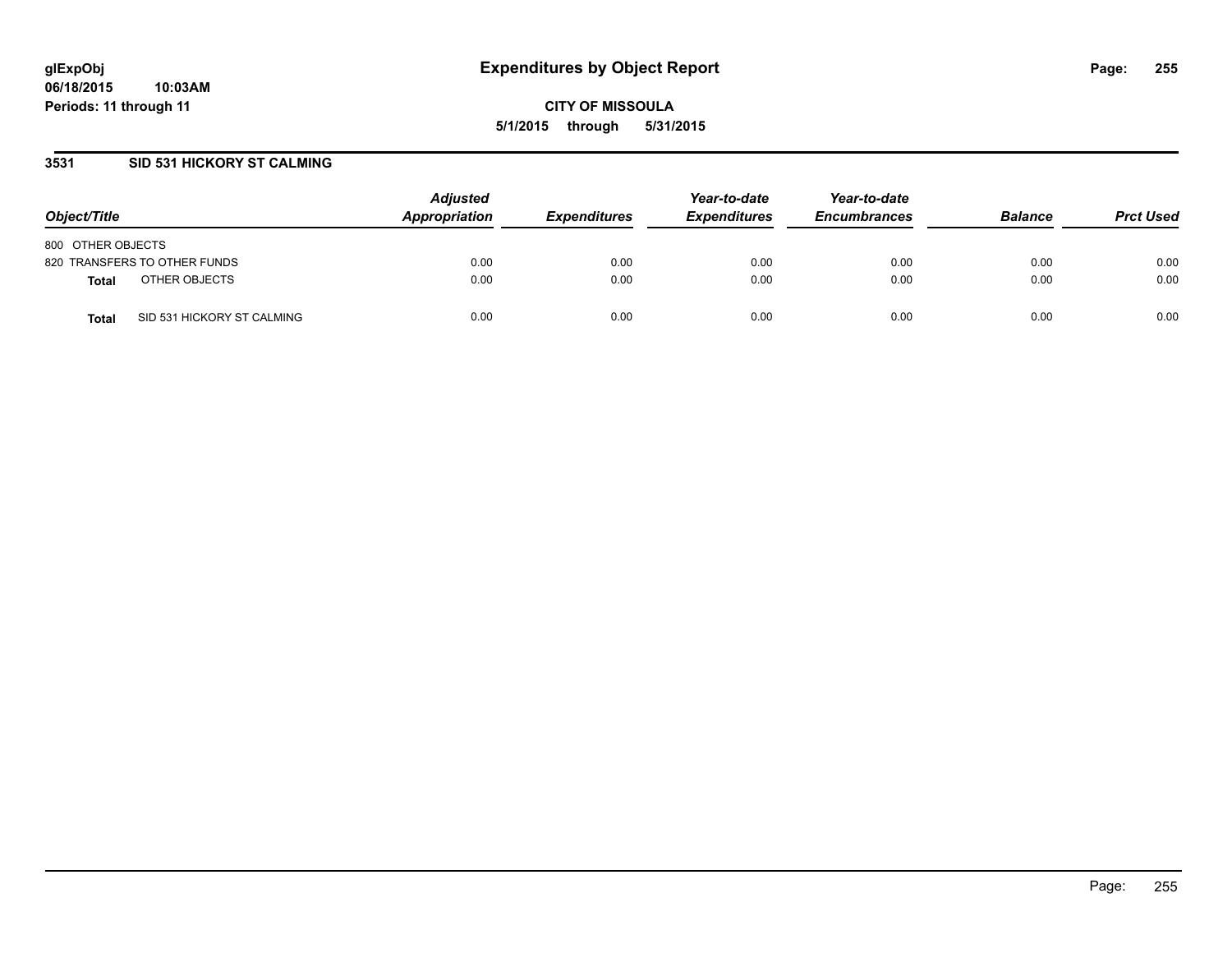### **3531 SID 531 HICKORY ST CALMING**

| Object/Title                               | <b>Adjusted</b><br>Appropriation | <b>Expenditures</b> | Year-to-date<br><b>Expenditures</b> | Year-to-date<br><b>Encumbrances</b> | <b>Balance</b> | <b>Prct Used</b> |
|--------------------------------------------|----------------------------------|---------------------|-------------------------------------|-------------------------------------|----------------|------------------|
| 800 OTHER OBJECTS                          |                                  |                     |                                     |                                     |                |                  |
| 820 TRANSFERS TO OTHER FUNDS               | 0.00                             | 0.00                | 0.00                                | 0.00                                | 0.00           | 0.00             |
| OTHER OBJECTS<br>Total                     | 0.00                             | 0.00                | 0.00                                | 0.00                                | 0.00           | 0.00             |
| SID 531 HICKORY ST CALMING<br><b>Total</b> | 0.00                             | 0.00                | 0.00                                | 0.00                                | 0.00           | 0.00             |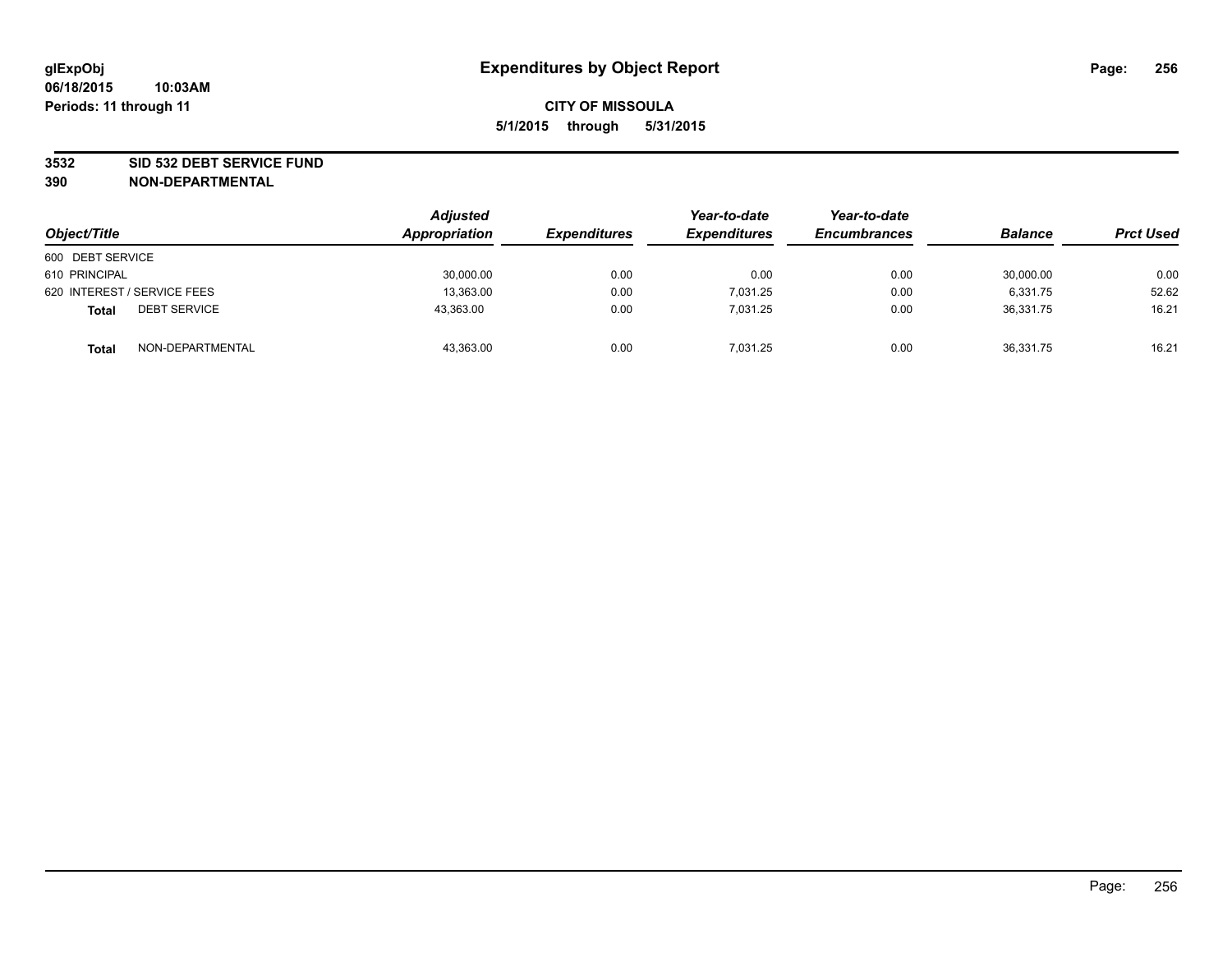#### **3532 SID 532 DEBT SERVICE FUND**

| Object/Title                        | <b>Adjusted</b><br>Appropriation | <b>Expenditures</b> | Year-to-date<br><b>Expenditures</b> | Year-to-date<br><b>Encumbrances</b> | <b>Balance</b> | <b>Prct Used</b> |
|-------------------------------------|----------------------------------|---------------------|-------------------------------------|-------------------------------------|----------------|------------------|
| 600 DEBT SERVICE                    |                                  |                     |                                     |                                     |                |                  |
| 610 PRINCIPAL                       | 30,000.00                        | 0.00                | 0.00                                | 0.00                                | 30,000.00      | 0.00             |
| 620 INTEREST / SERVICE FEES         | 13,363.00                        | 0.00                | 7,031.25                            | 0.00                                | 6,331.75       | 52.62            |
| <b>DEBT SERVICE</b><br><b>Total</b> | 43,363.00                        | 0.00                | 7.031.25                            | 0.00                                | 36.331.75      | 16.21            |
| NON-DEPARTMENTAL<br><b>Total</b>    | 43,363.00                        | 0.00                | 7,031.25                            | 0.00                                | 36,331.75      | 16.21            |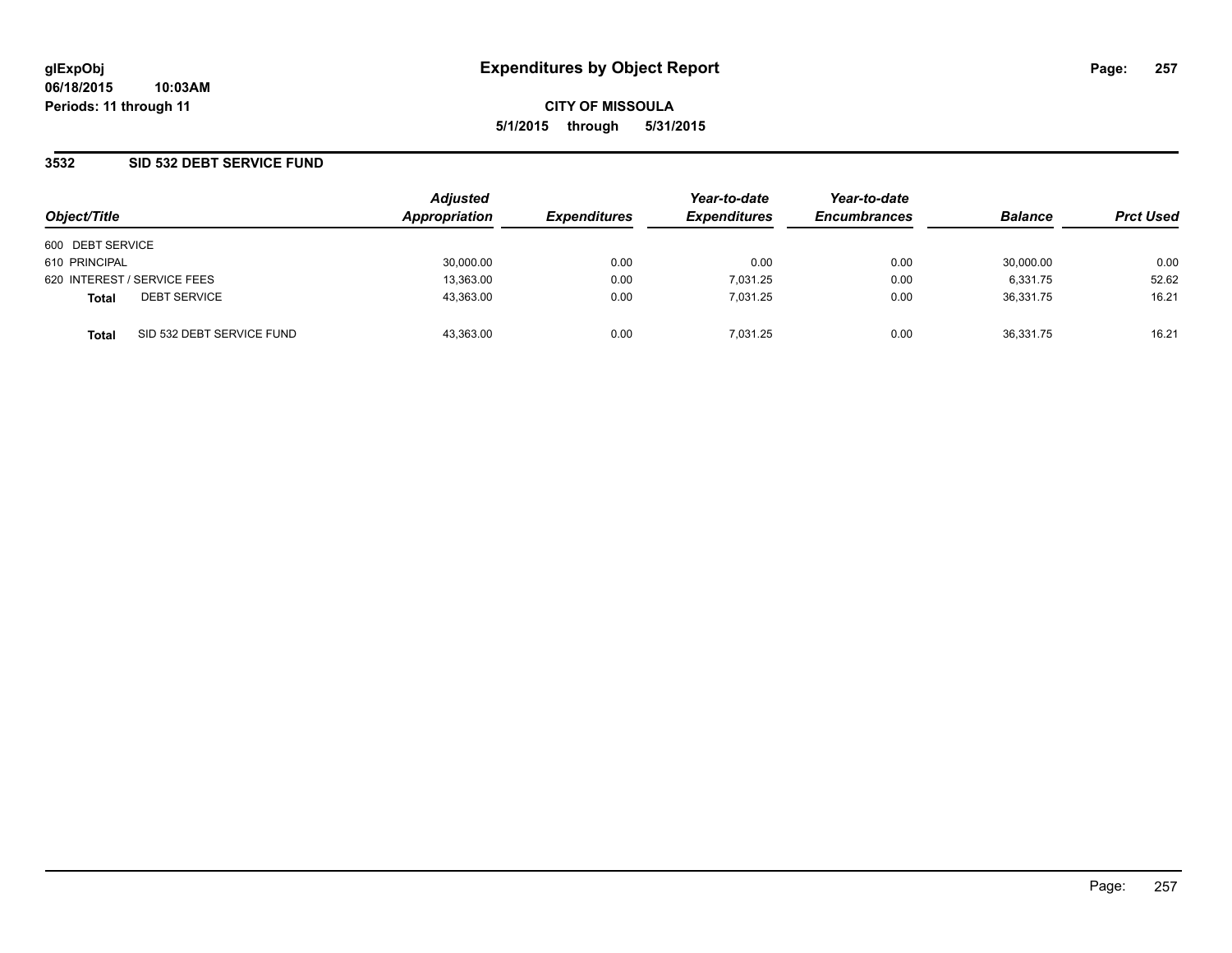### **3532 SID 532 DEBT SERVICE FUND**

| Object/Title     |                             | <b>Adjusted</b><br>Appropriation | <b>Expenditures</b> | Year-to-date<br><b>Expenditures</b> | Year-to-date<br><b>Encumbrances</b> | <b>Balance</b> | <b>Prct Used</b> |
|------------------|-----------------------------|----------------------------------|---------------------|-------------------------------------|-------------------------------------|----------------|------------------|
| 600 DEBT SERVICE |                             |                                  |                     |                                     |                                     |                |                  |
| 610 PRINCIPAL    |                             | 30,000.00                        | 0.00                | 0.00                                | 0.00                                | 30.000.00      | 0.00             |
|                  | 620 INTEREST / SERVICE FEES | 13,363.00                        | 0.00                | 7,031.25                            | 0.00                                | 6,331.75       | 52.62            |
| <b>Total</b>     | <b>DEBT SERVICE</b>         | 43,363.00                        | 0.00                | 7.031.25                            | 0.00                                | 36.331.75      | 16.21            |
| Total            | SID 532 DEBT SERVICE FUND   | 43,363.00                        | 0.00                | 7.031.25                            | 0.00                                | 36,331.75      | 16.21            |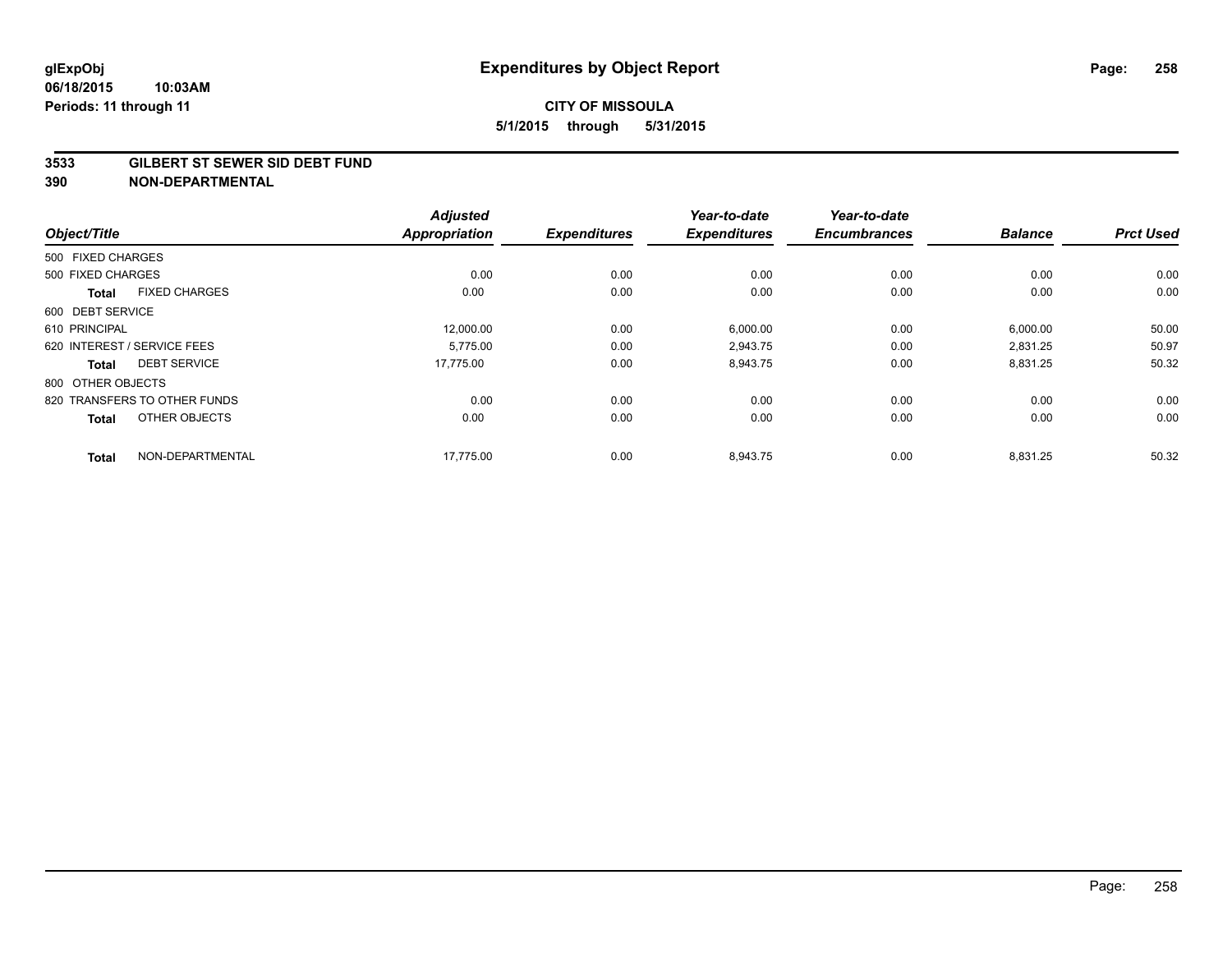#### **3533 GILBERT ST SEWER SID DEBT FUND**

|                                      |                  | <b>Adjusted</b>      |                     | Year-to-date        | Year-to-date        |                |                  |
|--------------------------------------|------------------|----------------------|---------------------|---------------------|---------------------|----------------|------------------|
| Object/Title                         |                  | <b>Appropriation</b> | <b>Expenditures</b> | <b>Expenditures</b> | <b>Encumbrances</b> | <b>Balance</b> | <b>Prct Used</b> |
| 500 FIXED CHARGES                    |                  |                      |                     |                     |                     |                |                  |
| 500 FIXED CHARGES                    |                  | 0.00                 | 0.00                | 0.00                | 0.00                | 0.00           | 0.00             |
| <b>FIXED CHARGES</b><br><b>Total</b> |                  | 0.00                 | 0.00                | 0.00                | 0.00                | 0.00           | 0.00             |
| 600 DEBT SERVICE                     |                  |                      |                     |                     |                     |                |                  |
| 610 PRINCIPAL                        |                  | 12,000.00            | 0.00                | 6,000.00            | 0.00                | 6,000.00       | 50.00            |
| 620 INTEREST / SERVICE FEES          |                  | 5.775.00             | 0.00                | 2,943.75            | 0.00                | 2.831.25       | 50.97            |
| <b>DEBT SERVICE</b><br><b>Total</b>  |                  | 17,775.00            | 0.00                | 8,943.75            | 0.00                | 8,831.25       | 50.32            |
| 800 OTHER OBJECTS                    |                  |                      |                     |                     |                     |                |                  |
| 820 TRANSFERS TO OTHER FUNDS         |                  | 0.00                 | 0.00                | 0.00                | 0.00                | 0.00           | 0.00             |
| OTHER OBJECTS<br><b>Total</b>        |                  | 0.00                 | 0.00                | 0.00                | 0.00                | 0.00           | 0.00             |
| <b>Total</b>                         | NON-DEPARTMENTAL | 17,775.00            | 0.00                | 8,943.75            | 0.00                | 8,831.25       | 50.32            |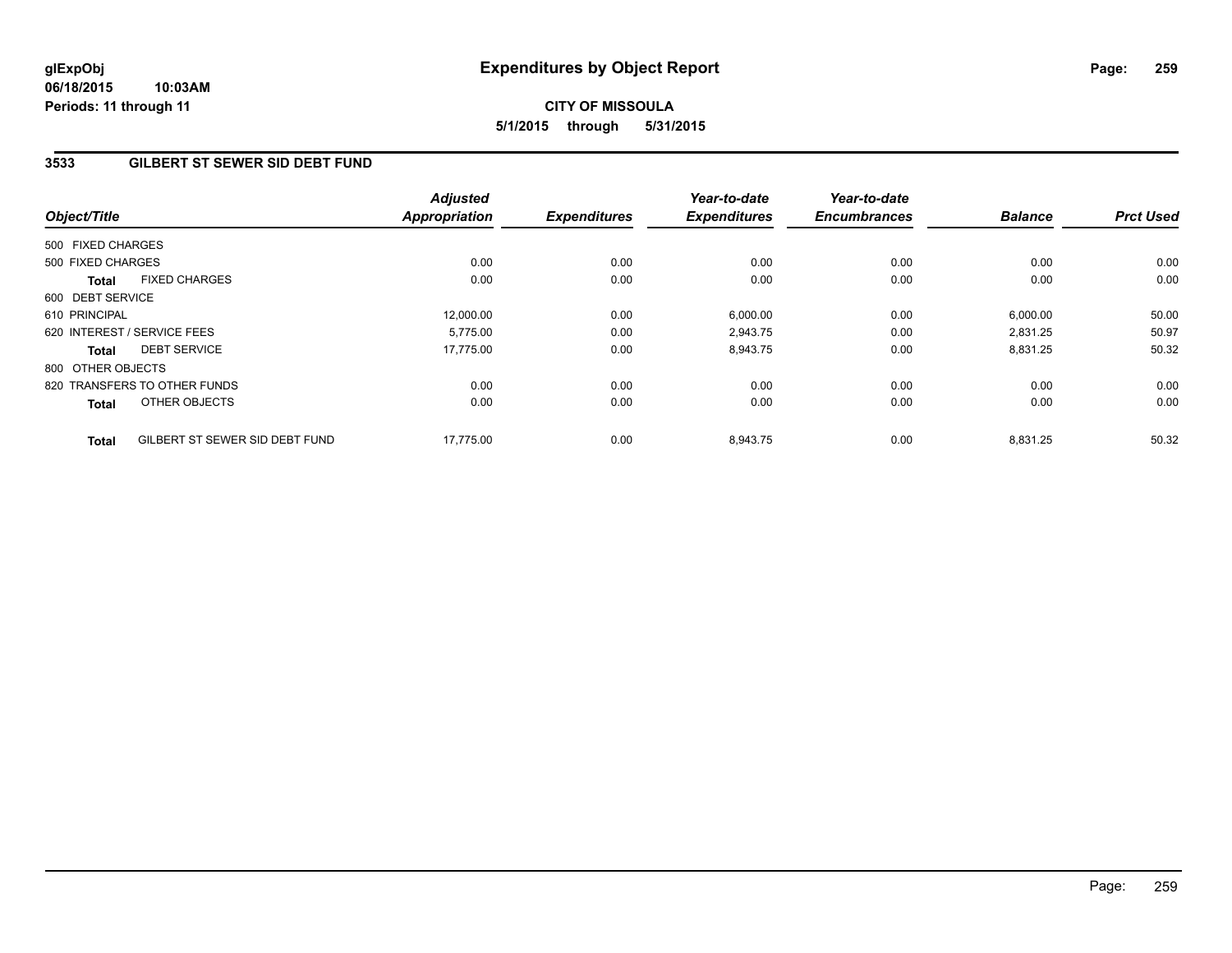# **3533 GILBERT ST SEWER SID DEBT FUND**

| Object/Title      |                                | <b>Adjusted</b><br><b>Appropriation</b> | <b>Expenditures</b> | Year-to-date<br><b>Expenditures</b> | Year-to-date<br><b>Encumbrances</b> | <b>Balance</b> | <b>Prct Used</b> |
|-------------------|--------------------------------|-----------------------------------------|---------------------|-------------------------------------|-------------------------------------|----------------|------------------|
|                   |                                |                                         |                     |                                     |                                     |                |                  |
| 500 FIXED CHARGES |                                |                                         |                     |                                     |                                     |                |                  |
| 500 FIXED CHARGES |                                | 0.00                                    | 0.00                | 0.00                                | 0.00                                | 0.00           | 0.00             |
| Total             | <b>FIXED CHARGES</b>           | 0.00                                    | 0.00                | 0.00                                | 0.00                                | 0.00           | 0.00             |
| 600 DEBT SERVICE  |                                |                                         |                     |                                     |                                     |                |                  |
| 610 PRINCIPAL     |                                | 12,000.00                               | 0.00                | 6,000.00                            | 0.00                                | 6,000.00       | 50.00            |
|                   | 620 INTEREST / SERVICE FEES    | 5.775.00                                | 0.00                | 2,943.75                            | 0.00                                | 2,831.25       | 50.97            |
| Total             | <b>DEBT SERVICE</b>            | 17.775.00                               | 0.00                | 8,943.75                            | 0.00                                | 8,831.25       | 50.32            |
| 800 OTHER OBJECTS |                                |                                         |                     |                                     |                                     |                |                  |
|                   | 820 TRANSFERS TO OTHER FUNDS   | 0.00                                    | 0.00                | 0.00                                | 0.00                                | 0.00           | 0.00             |
| Total             | OTHER OBJECTS                  | 0.00                                    | 0.00                | 0.00                                | 0.00                                | 0.00           | 0.00             |
| <b>Total</b>      | GILBERT ST SEWER SID DEBT FUND | 17,775.00                               | 0.00                | 8,943.75                            | 0.00                                | 8,831.25       | 50.32            |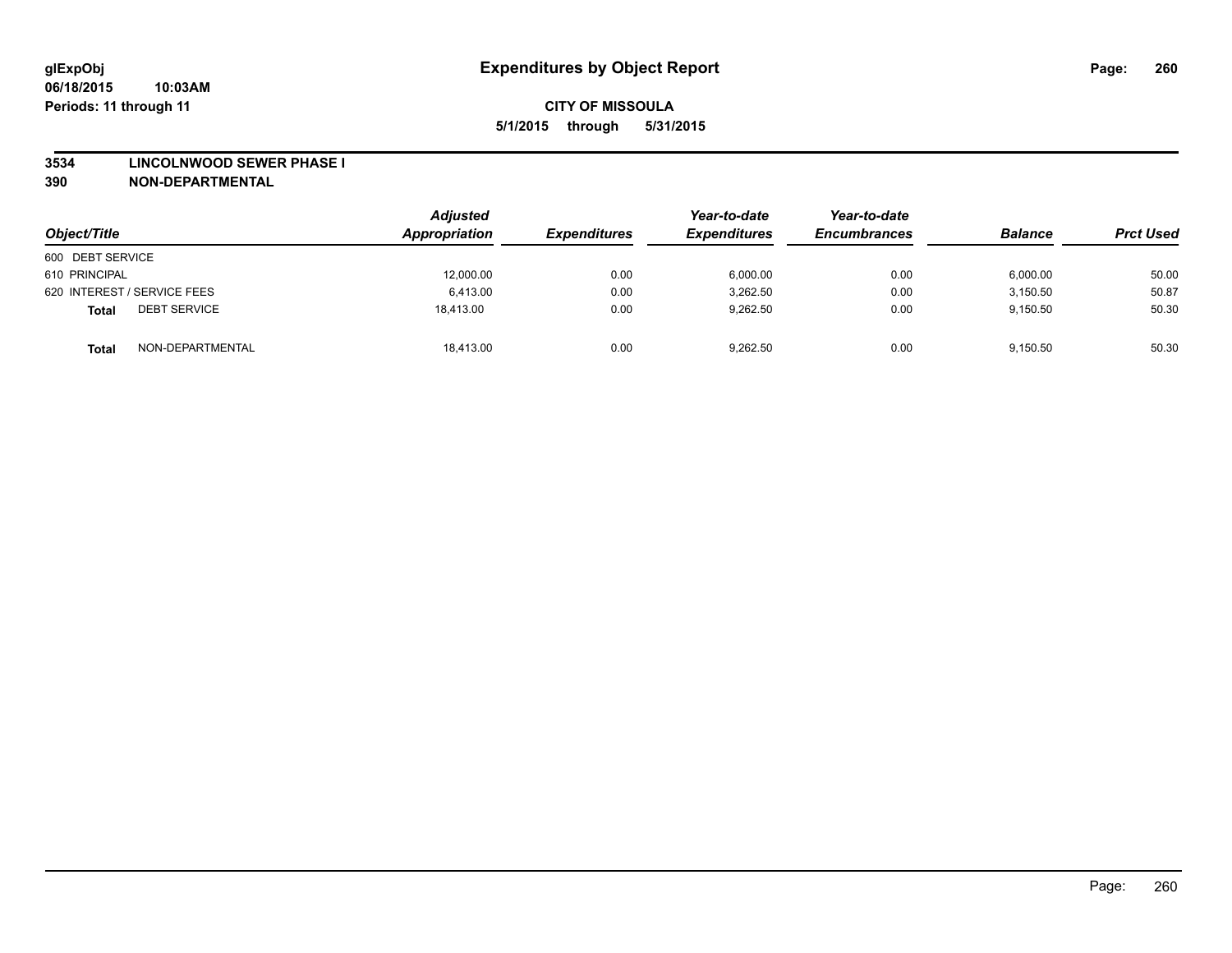#### **3534 LINCOLNWOOD SEWER PHASE I**

| Object/Title                        | Adjusted<br>Appropriation | <b>Expenditures</b> | Year-to-date<br><b>Expenditures</b> | Year-to-date<br><b>Encumbrances</b> | <b>Balance</b> | <b>Prct Used</b> |
|-------------------------------------|---------------------------|---------------------|-------------------------------------|-------------------------------------|----------------|------------------|
| 600 DEBT SERVICE                    |                           |                     |                                     |                                     |                |                  |
| 610 PRINCIPAL                       | 12,000.00                 | 0.00                | 6,000.00                            | 0.00                                | 6,000.00       | 50.00            |
| 620 INTEREST / SERVICE FEES         | 6.413.00                  | 0.00                | 3,262.50                            | 0.00                                | 3.150.50       | 50.87            |
| <b>DEBT SERVICE</b><br><b>Total</b> | 18.413.00                 | 0.00                | 9.262.50                            | 0.00                                | 9.150.50       | 50.30            |
| NON-DEPARTMENTAL<br><b>Total</b>    | 18,413.00                 | 0.00                | 9,262.50                            | 0.00                                | 9.150.50       | 50.30            |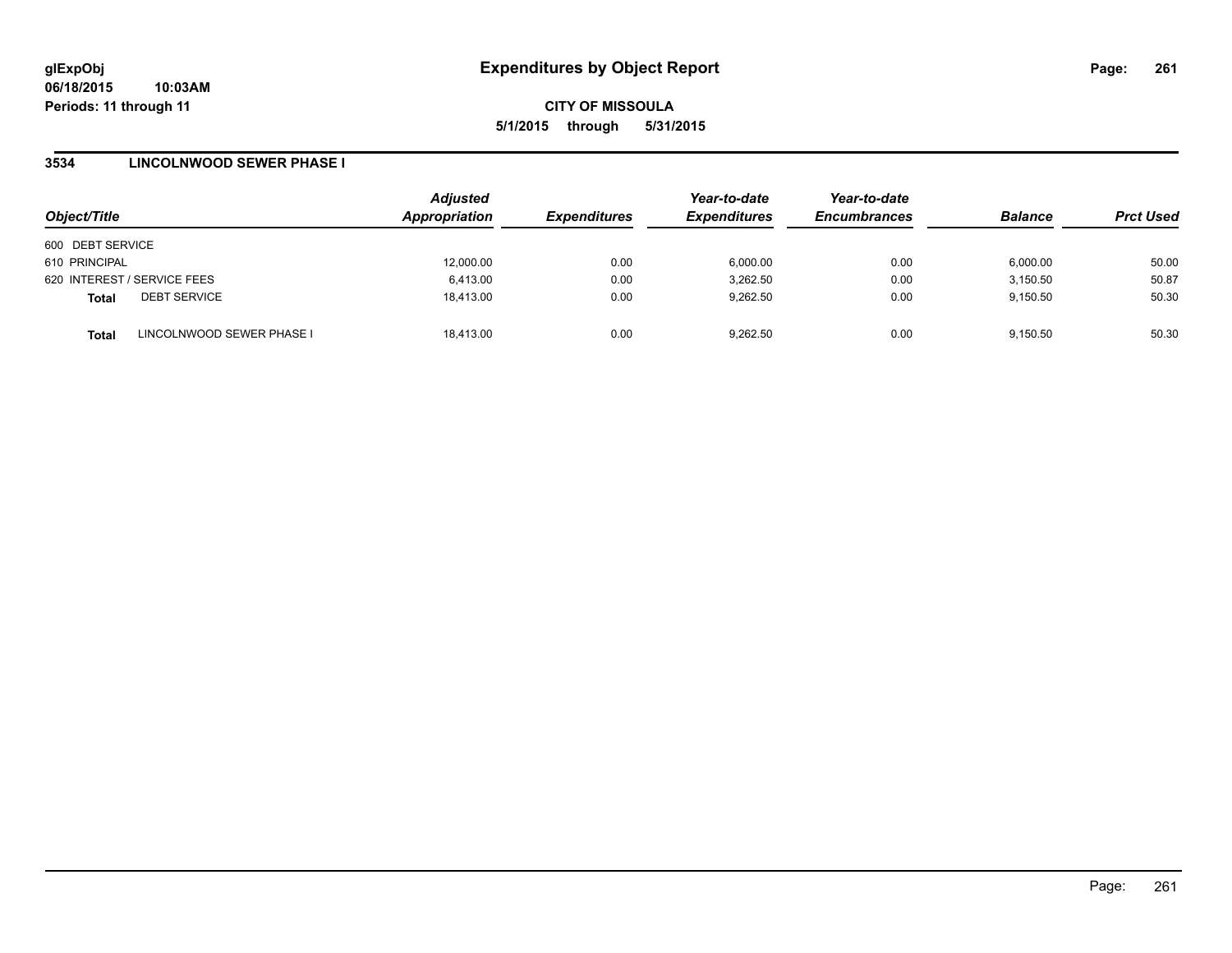### **3534 LINCOLNWOOD SEWER PHASE I**

| Object/Title     |                             | <b>Adjusted</b><br>Appropriation | <b>Expenditures</b> | Year-to-date<br><b>Expenditures</b> | Year-to-date<br><b>Encumbrances</b> | <b>Balance</b> | <b>Prct Used</b> |
|------------------|-----------------------------|----------------------------------|---------------------|-------------------------------------|-------------------------------------|----------------|------------------|
|                  |                             |                                  |                     |                                     |                                     |                |                  |
| 600 DEBT SERVICE |                             |                                  |                     |                                     |                                     |                |                  |
| 610 PRINCIPAL    |                             | 12,000.00                        | 0.00                | 6,000.00                            | 0.00                                | 6,000.00       | 50.00            |
|                  | 620 INTEREST / SERVICE FEES | 6,413.00                         | 0.00                | 3,262.50                            | 0.00                                | 3,150.50       | 50.87            |
| <b>Total</b>     | <b>DEBT SERVICE</b>         | 18.413.00                        | 0.00                | 9.262.50                            | 0.00                                | 9,150.50       | 50.30            |
| <b>Total</b>     | LINCOLNWOOD SEWER PHASE I   | 18.413.00                        | 0.00                | 9.262.50                            | 0.00                                | 9.150.50       | 50.30            |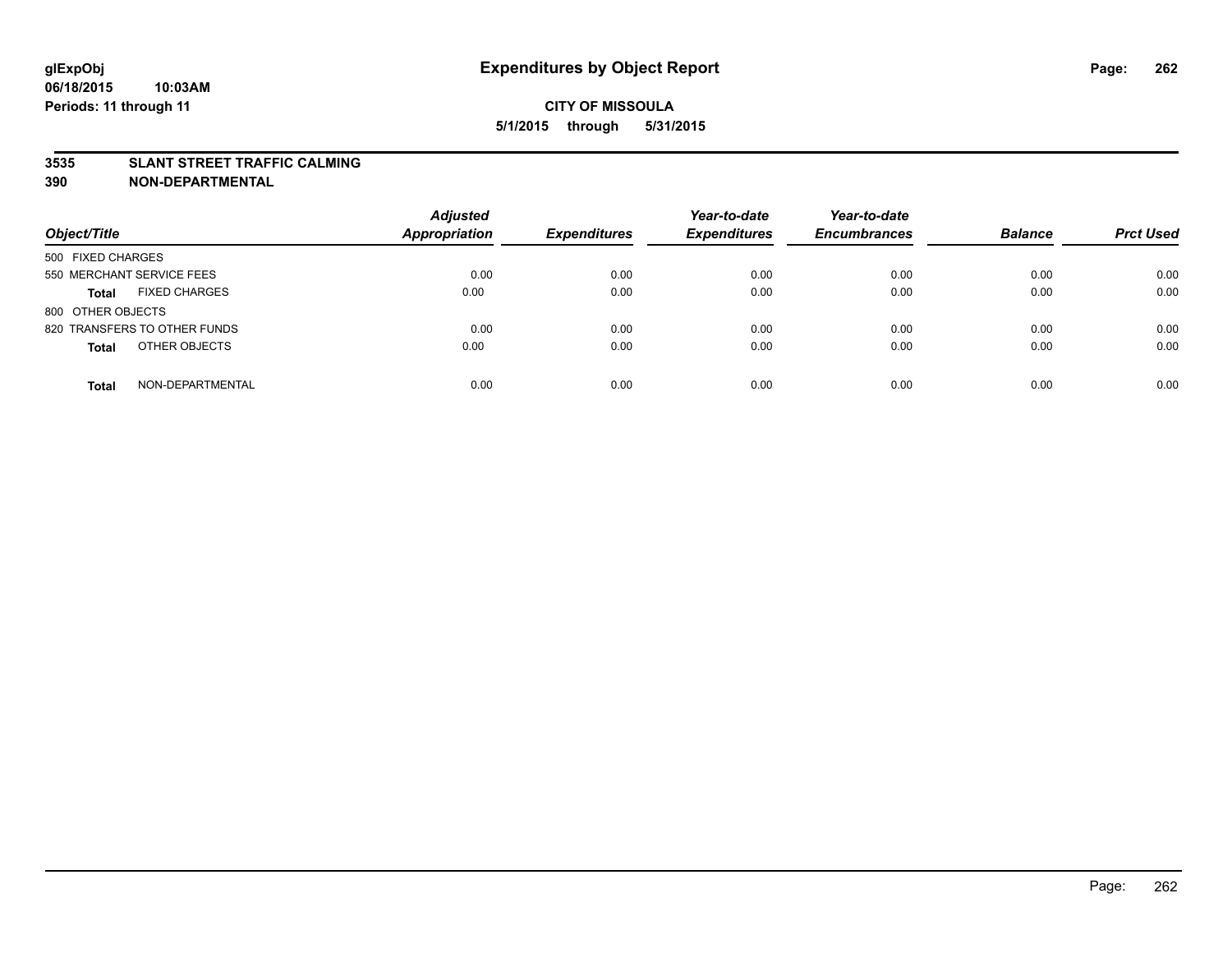### **3535 SLANT STREET TRAFFIC CALMING**

| Object/Title                         | <b>Adjusted</b><br><b>Appropriation</b> | <b>Expenditures</b> | Year-to-date<br><b>Expenditures</b> | Year-to-date<br><b>Encumbrances</b> | <b>Balance</b> | <b>Prct Used</b> |
|--------------------------------------|-----------------------------------------|---------------------|-------------------------------------|-------------------------------------|----------------|------------------|
| 500 FIXED CHARGES                    |                                         |                     |                                     |                                     |                |                  |
| 550 MERCHANT SERVICE FEES            | 0.00                                    | 0.00                | 0.00                                | 0.00                                | 0.00           | 0.00             |
| <b>FIXED CHARGES</b><br><b>Total</b> | 0.00                                    | 0.00                | 0.00                                | 0.00                                | 0.00           | 0.00             |
| 800 OTHER OBJECTS                    |                                         |                     |                                     |                                     |                |                  |
| 820 TRANSFERS TO OTHER FUNDS         | 0.00                                    | 0.00                | 0.00                                | 0.00                                | 0.00           | 0.00             |
| OTHER OBJECTS<br><b>Total</b>        | 0.00                                    | 0.00                | 0.00                                | 0.00                                | 0.00           | 0.00             |
| NON-DEPARTMENTAL<br><b>Total</b>     | 0.00                                    | 0.00                | 0.00                                | 0.00                                | 0.00           | 0.00             |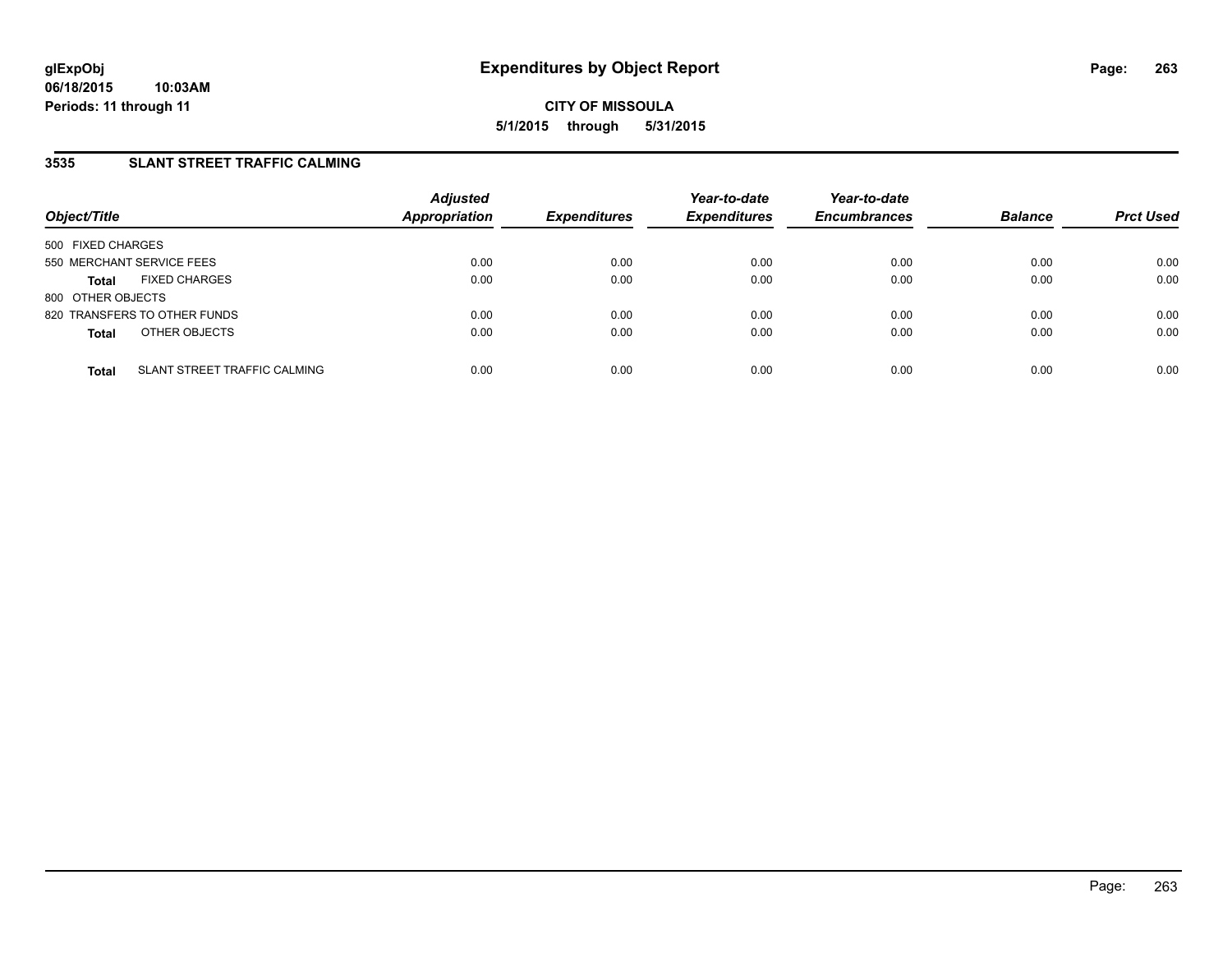# **3535 SLANT STREET TRAFFIC CALMING**

| Object/Title                         | <b>Adjusted</b><br>Appropriation            | <b>Expenditures</b> | Year-to-date<br><b>Expenditures</b> | Year-to-date<br><b>Encumbrances</b> | <b>Balance</b> | <b>Prct Used</b> |
|--------------------------------------|---------------------------------------------|---------------------|-------------------------------------|-------------------------------------|----------------|------------------|
| 500 FIXED CHARGES                    |                                             |                     |                                     |                                     |                |                  |
| 550 MERCHANT SERVICE FEES            | 0.00                                        | 0.00                | 0.00                                | 0.00                                | 0.00           | 0.00             |
| <b>FIXED CHARGES</b><br><b>Total</b> | 0.00                                        | 0.00                | 0.00                                | 0.00                                | 0.00           | 0.00             |
| 800 OTHER OBJECTS                    |                                             |                     |                                     |                                     |                |                  |
| 820 TRANSFERS TO OTHER FUNDS         | 0.00                                        | 0.00                | 0.00                                | 0.00                                | 0.00           | 0.00             |
| OTHER OBJECTS<br><b>Total</b>        | 0.00                                        | 0.00                | 0.00                                | 0.00                                | 0.00           | 0.00             |
| <b>Total</b>                         | 0.00<br><b>SLANT STREET TRAFFIC CALMING</b> | 0.00                | 0.00                                | 0.00                                | 0.00           | 0.00             |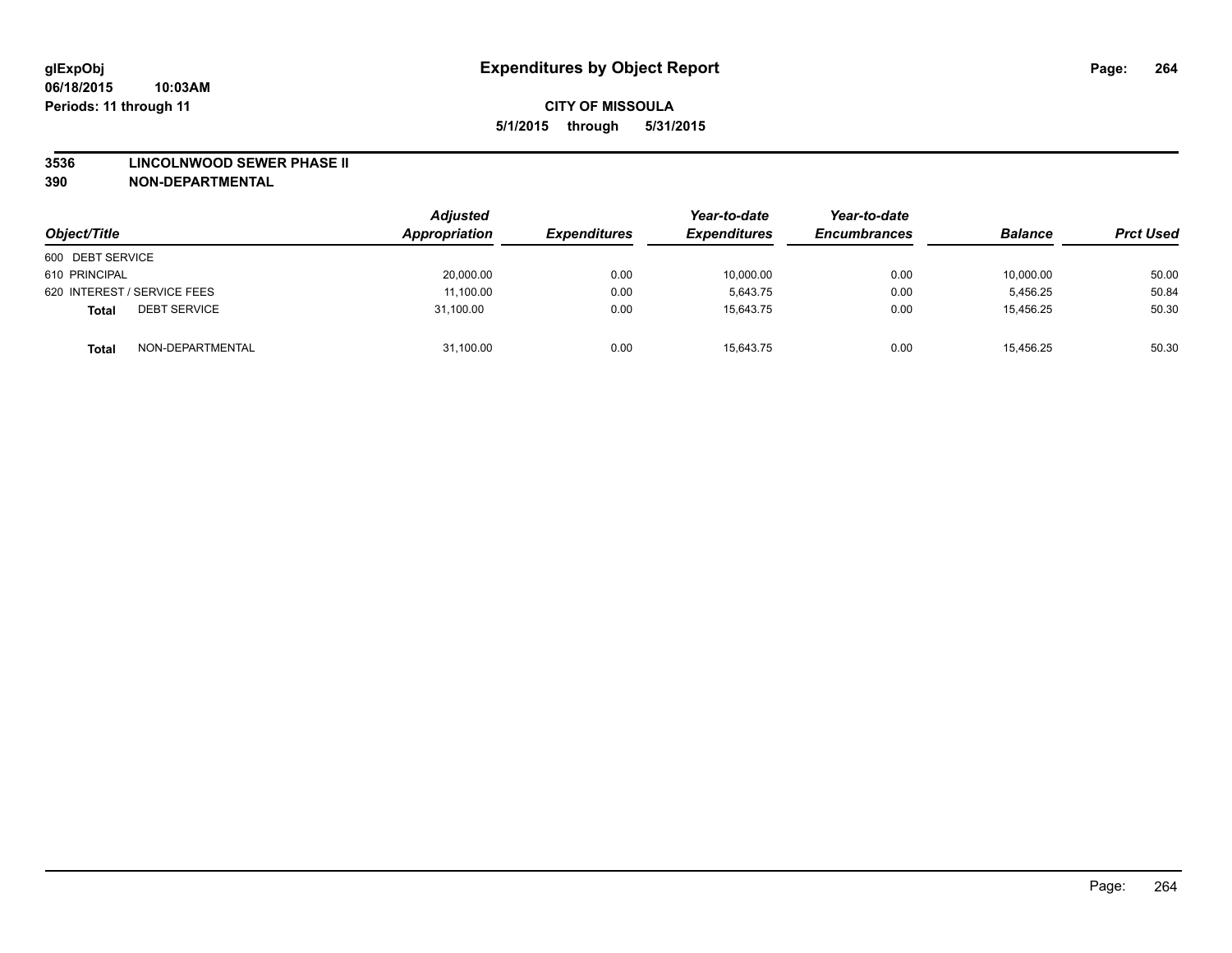#### **3536 LINCOLNWOOD SEWER PHASE II**

| Object/Title                        | Adjusted<br>Appropriation | <b>Expenditures</b> | Year-to-date<br><b>Expenditures</b> | Year-to-date<br><b>Encumbrances</b> | <b>Balance</b> | <b>Prct Used</b> |
|-------------------------------------|---------------------------|---------------------|-------------------------------------|-------------------------------------|----------------|------------------|
| 600 DEBT SERVICE                    |                           |                     |                                     |                                     |                |                  |
| 610 PRINCIPAL                       | 20,000.00                 | 0.00                | 10,000.00                           | 0.00                                | 10,000.00      | 50.00            |
| 620 INTEREST / SERVICE FEES         | 11,100.00                 | 0.00                | 5.643.75                            | 0.00                                | 5.456.25       | 50.84            |
| <b>DEBT SERVICE</b><br><b>Total</b> | 31.100.00                 | 0.00                | 15.643.75                           | 0.00                                | 15.456.25      | 50.30            |
| NON-DEPARTMENTAL<br><b>Total</b>    | 31,100.00                 | 0.00                | 15,643.75                           | 0.00                                | 15,456.25      | 50.30            |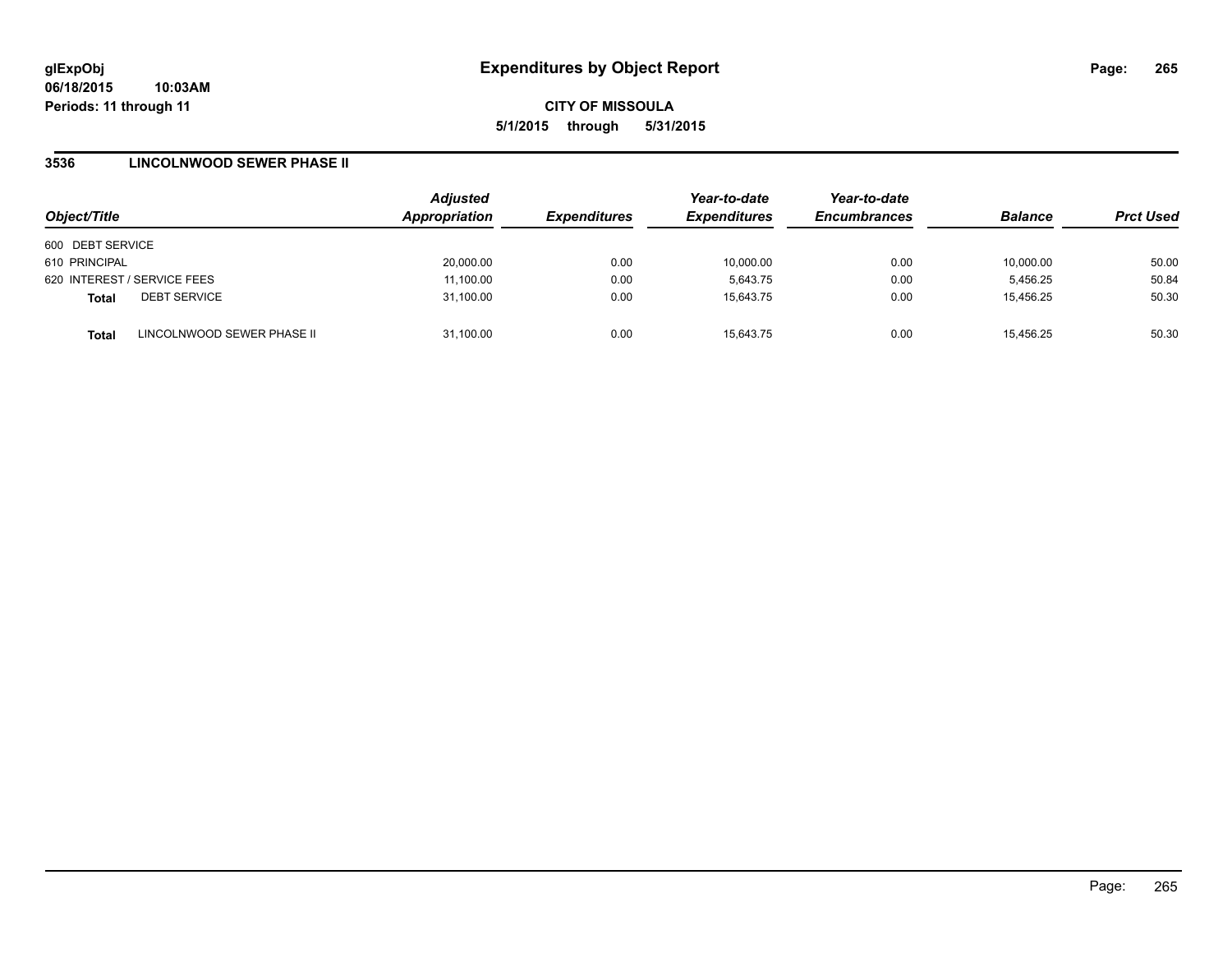### **3536 LINCOLNWOOD SEWER PHASE II**

| Object/Title     |                             | <b>Adjusted</b><br>Appropriation | <b>Expenditures</b> | Year-to-date<br><b>Expenditures</b> | Year-to-date<br><b>Encumbrances</b> | <b>Balance</b> | <b>Prct Used</b> |
|------------------|-----------------------------|----------------------------------|---------------------|-------------------------------------|-------------------------------------|----------------|------------------|
| 600 DEBT SERVICE |                             |                                  |                     |                                     |                                     |                |                  |
| 610 PRINCIPAL    |                             | 20,000.00                        | 0.00                | 10.000.00                           | 0.00                                | 10,000.00      | 50.00            |
|                  | 620 INTEREST / SERVICE FEES | 11,100.00                        | 0.00                | 5,643.75                            | 0.00                                | 5,456.25       | 50.84            |
| <b>Total</b>     | <b>DEBT SERVICE</b>         | 31,100.00                        | 0.00                | 15.643.75                           | 0.00                                | 15,456.25      | 50.30            |
| <b>Total</b>     | LINCOLNWOOD SEWER PHASE II  | 31.100.00                        | 0.00                | 15.643.75                           | 0.00                                | 15.456.25      | 50.30            |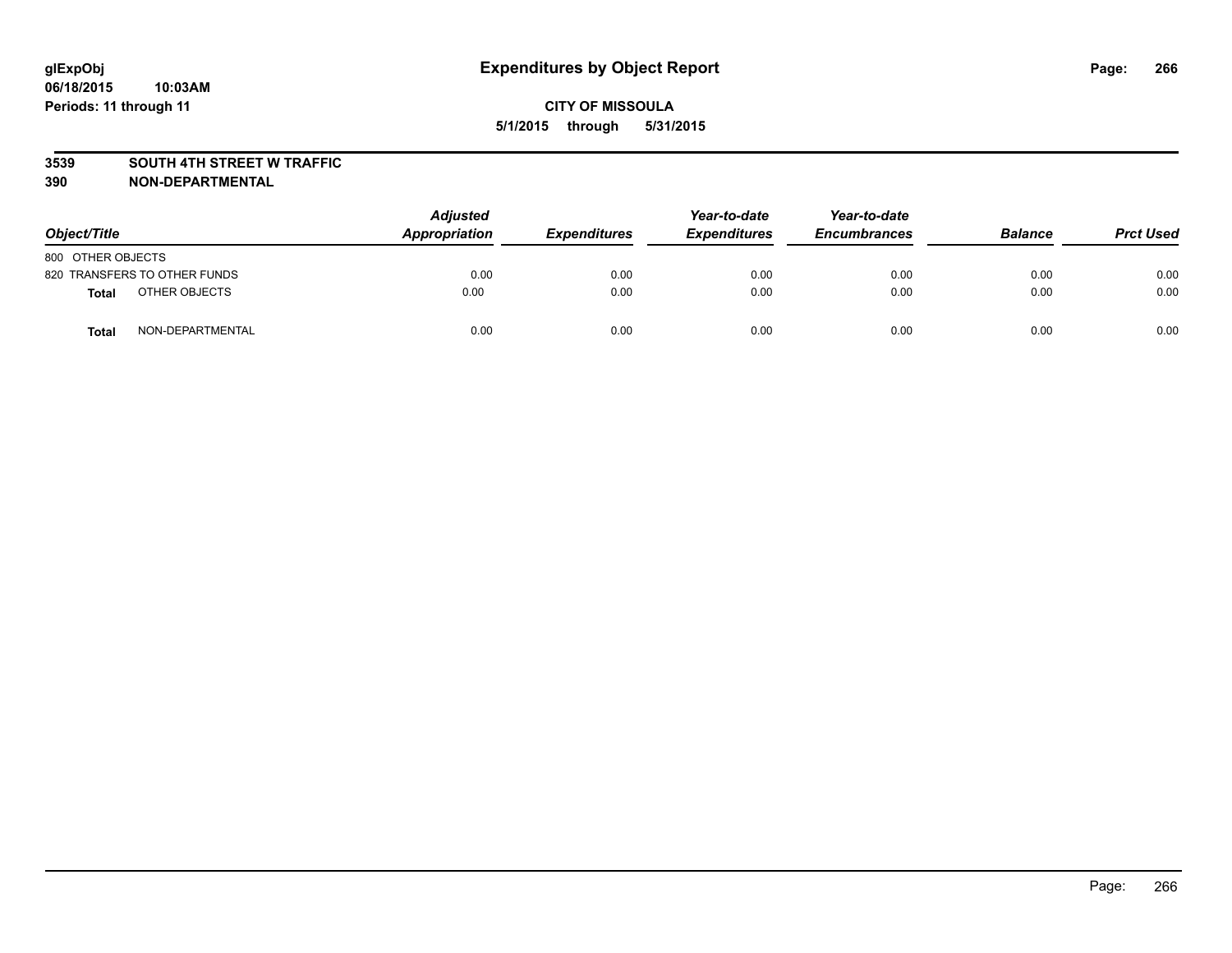### **3539 SOUTH 4TH STREET W TRAFFIC**

| Object/Title      |                              | <b>Adjusted</b><br>Appropriation | <b>Expenditures</b> | Year-to-date<br><b>Expenditures</b> | Year-to-date<br><b>Encumbrances</b> | <b>Balance</b> | <b>Prct Used</b> |
|-------------------|------------------------------|----------------------------------|---------------------|-------------------------------------|-------------------------------------|----------------|------------------|
| 800 OTHER OBJECTS |                              |                                  |                     |                                     |                                     |                |                  |
|                   | 820 TRANSFERS TO OTHER FUNDS | 0.00                             | 0.00                | 0.00                                | 0.00                                | 0.00           | 0.00             |
| <b>Total</b>      | OTHER OBJECTS                | 0.00                             | 0.00                | 0.00                                | 0.00                                | 0.00           | 0.00             |
| <b>Total</b>      | NON-DEPARTMENTAL             | 0.00                             | 0.00                | 0.00                                | 0.00                                | 0.00           | 0.00             |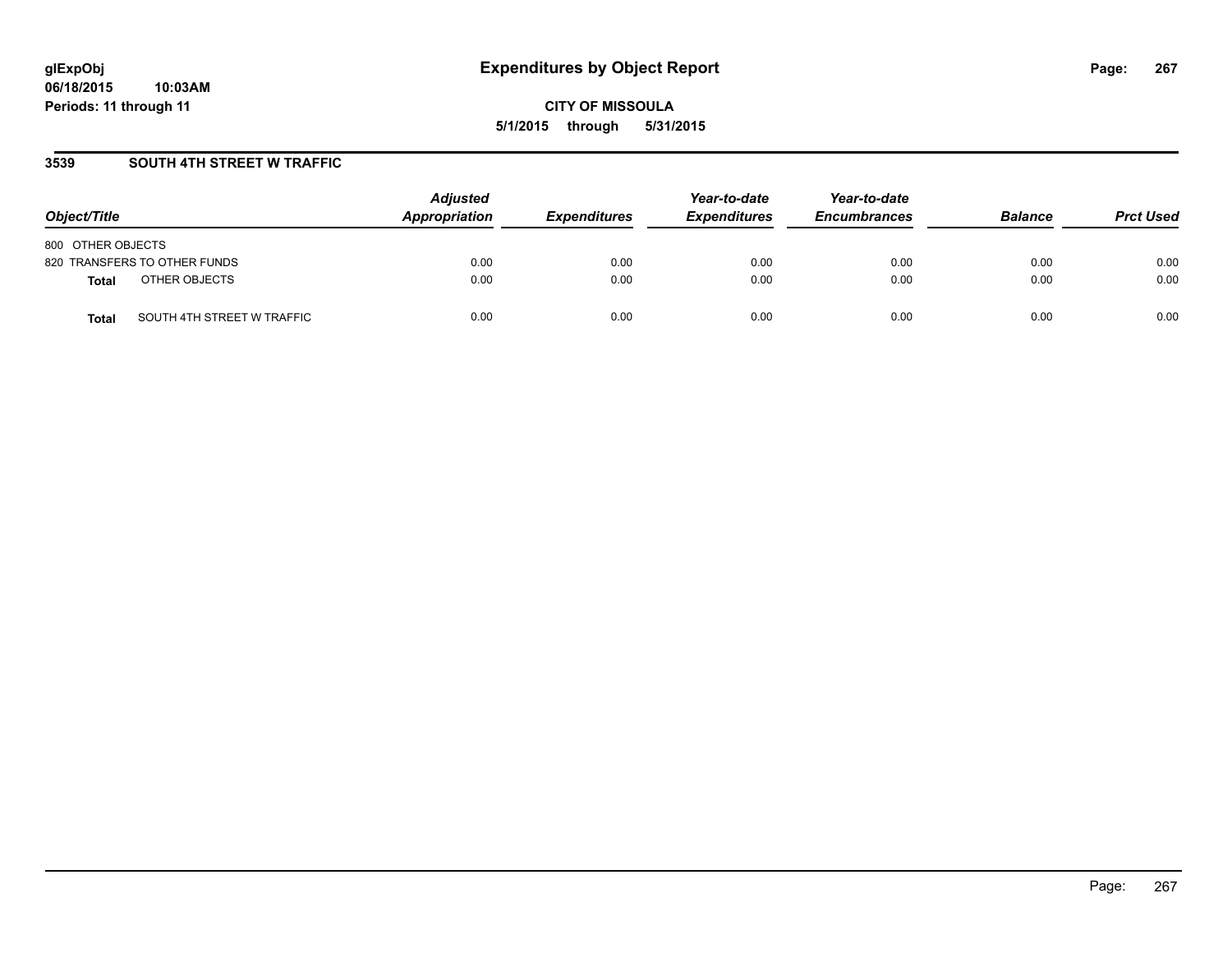### **3539 SOUTH 4TH STREET W TRAFFIC**

| Object/Title                               | <b>Adjusted</b><br><b>Appropriation</b> | <i><b>Expenditures</b></i> | Year-to-date<br><b>Expenditures</b> | Year-to-date<br><b>Encumbrances</b> | <b>Balance</b> | <b>Prct Used</b> |
|--------------------------------------------|-----------------------------------------|----------------------------|-------------------------------------|-------------------------------------|----------------|------------------|
| 800 OTHER OBJECTS                          |                                         |                            |                                     |                                     |                |                  |
| 820 TRANSFERS TO OTHER FUNDS               | 0.00                                    | 0.00                       | 0.00                                | 0.00                                | 0.00           | 0.00             |
| OTHER OBJECTS<br>Total                     | 0.00                                    | 0.00                       | 0.00                                | 0.00                                | 0.00           | 0.00             |
| SOUTH 4TH STREET W TRAFFIC<br><b>Total</b> | 0.00                                    | 0.00                       | 0.00                                | 0.00                                | 0.00           | 0.00             |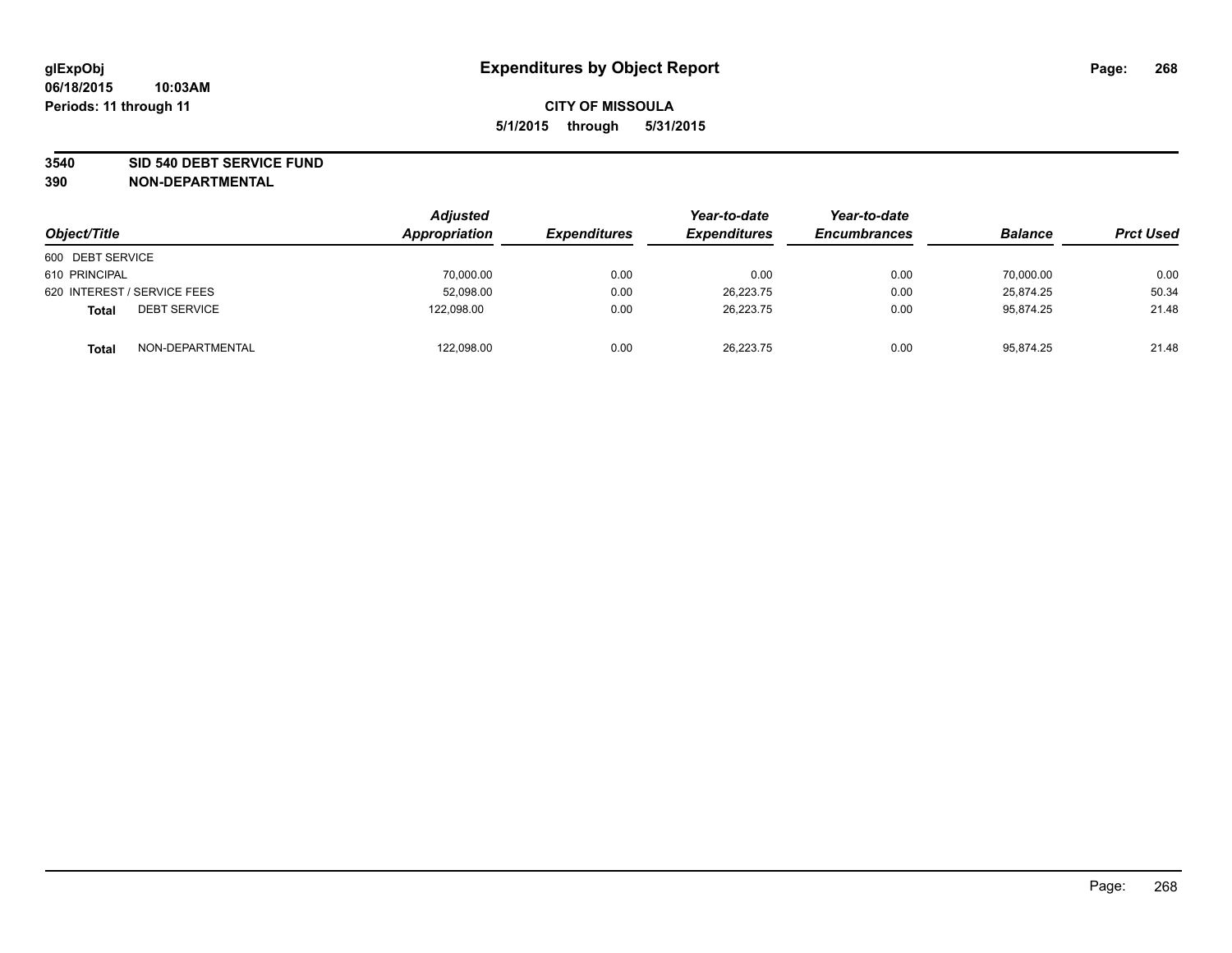#### **3540 SID 540 DEBT SERVICE FUND**

| Object/Title                        | Adjusted<br>Appropriation | <b>Expenditures</b> | Year-to-date<br><b>Expenditures</b> | Year-to-date<br><b>Encumbrances</b> | <b>Balance</b> | <b>Prct Used</b> |
|-------------------------------------|---------------------------|---------------------|-------------------------------------|-------------------------------------|----------------|------------------|
| 600 DEBT SERVICE                    |                           |                     |                                     |                                     |                |                  |
| 610 PRINCIPAL                       | 70,000.00                 | 0.00                | 0.00                                | 0.00                                | 70.000.00      | 0.00             |
| 620 INTEREST / SERVICE FEES         | 52,098.00                 | 0.00                | 26,223.75                           | 0.00                                | 25.874.25      | 50.34            |
| <b>DEBT SERVICE</b><br><b>Total</b> | 122.098.00                | 0.00                | 26.223.75                           | 0.00                                | 95.874.25      | 21.48            |
| NON-DEPARTMENTAL<br><b>Total</b>    | 122,098.00                | 0.00                | 26,223.75                           | 0.00                                | 95,874.25      | 21.48            |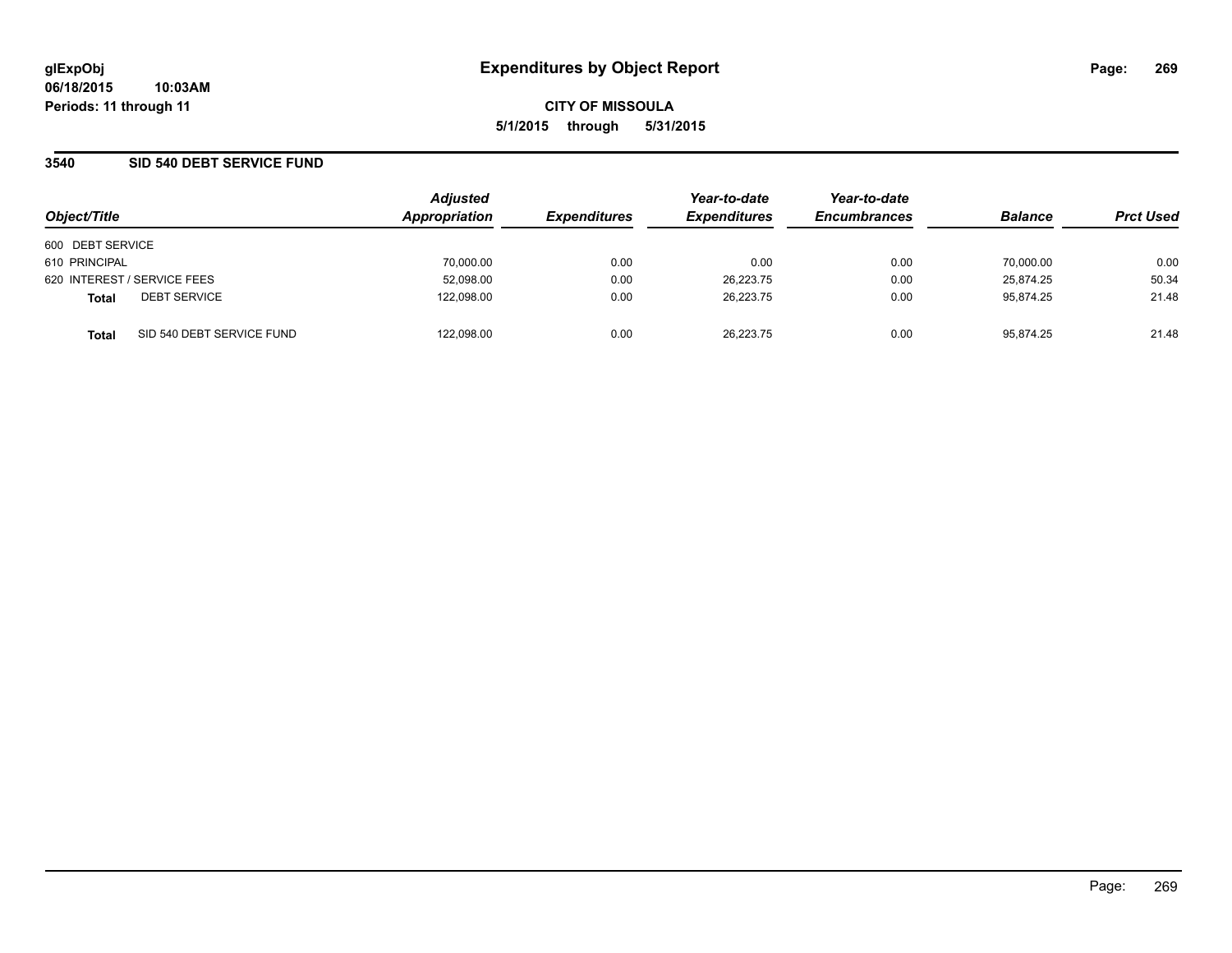### **3540 SID 540 DEBT SERVICE FUND**

| Object/Title     |                             | <b>Adjusted</b><br>Appropriation | <b>Expenditures</b> | Year-to-date<br><b>Expenditures</b> | Year-to-date<br><b>Encumbrances</b> | <b>Balance</b> | <b>Prct Used</b> |
|------------------|-----------------------------|----------------------------------|---------------------|-------------------------------------|-------------------------------------|----------------|------------------|
| 600 DEBT SERVICE |                             |                                  |                     |                                     |                                     |                |                  |
| 610 PRINCIPAL    |                             | 70,000.00                        | 0.00                | 0.00                                | 0.00                                | 70,000.00      | 0.00             |
|                  | 620 INTEREST / SERVICE FEES | 52,098.00                        | 0.00                | 26.223.75                           | 0.00                                | 25.874.25      | 50.34            |
| <b>Total</b>     | <b>DEBT SERVICE</b>         | 122.098.00                       | 0.00                | 26.223.75                           | 0.00                                | 95.874.25      | 21.48            |
| <b>Total</b>     | SID 540 DEBT SERVICE FUND   | 122.098.00                       | 0.00                | 26.223.75                           | 0.00                                | 95.874.25      | 21.48            |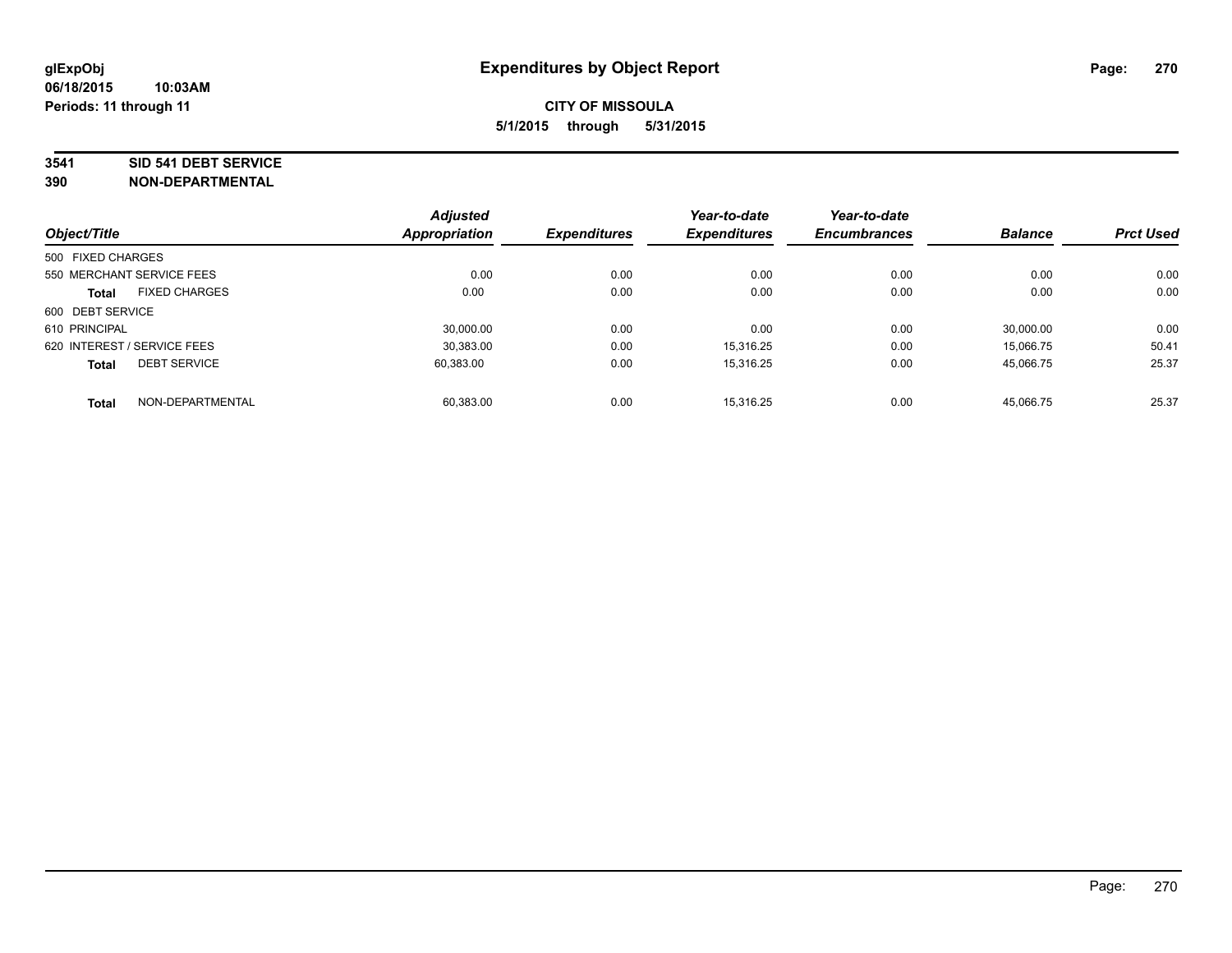#### **3541 SID 541 DEBT SERVICE**

|                   |                             | <b>Adjusted</b> |                     | Year-to-date        | Year-to-date        |                |                  |
|-------------------|-----------------------------|-----------------|---------------------|---------------------|---------------------|----------------|------------------|
| Object/Title      |                             | Appropriation   | <b>Expenditures</b> | <b>Expenditures</b> | <b>Encumbrances</b> | <b>Balance</b> | <b>Prct Used</b> |
| 500 FIXED CHARGES |                             |                 |                     |                     |                     |                |                  |
|                   | 550 MERCHANT SERVICE FEES   | 0.00            | 0.00                | 0.00                | 0.00                | 0.00           | 0.00             |
| <b>Total</b>      | <b>FIXED CHARGES</b>        | 0.00            | 0.00                | 0.00                | 0.00                | 0.00           | 0.00             |
| 600 DEBT SERVICE  |                             |                 |                     |                     |                     |                |                  |
| 610 PRINCIPAL     |                             | 30.000.00       | 0.00                | 0.00                | 0.00                | 30,000.00      | 0.00             |
|                   | 620 INTEREST / SERVICE FEES | 30.383.00       | 0.00                | 15.316.25           | 0.00                | 15.066.75      | 50.41            |
| <b>Total</b>      | <b>DEBT SERVICE</b>         | 60.383.00       | 0.00                | 15.316.25           | 0.00                | 45,066.75      | 25.37            |
| <b>Total</b>      | NON-DEPARTMENTAL            | 60.383.00       | 0.00                | 15.316.25           | 0.00                | 45,066.75      | 25.37            |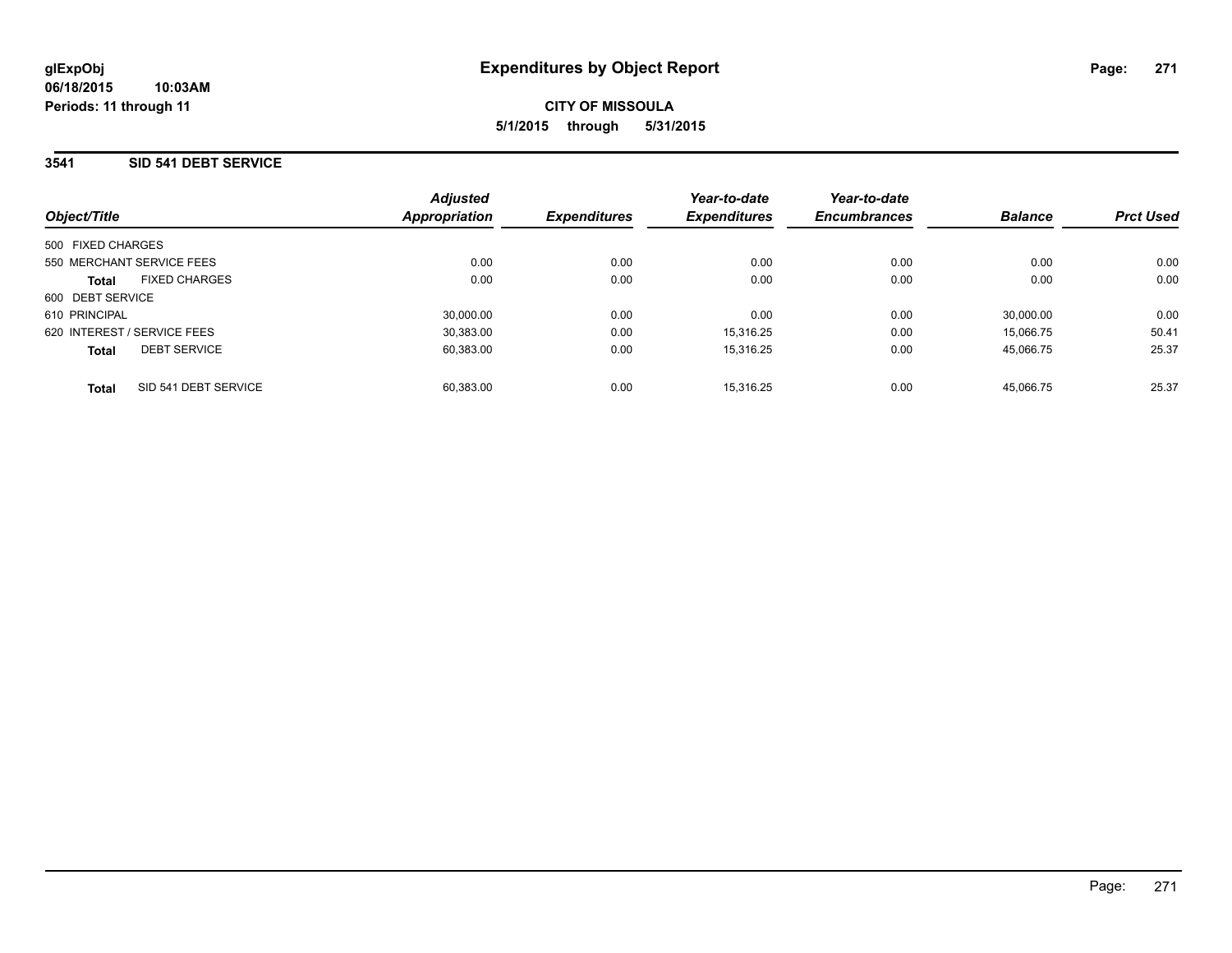## **3541 SID 541 DEBT SERVICE**

| Object/Title                         | <b>Adjusted</b><br><b>Appropriation</b> | <b>Expenditures</b> | Year-to-date<br><b>Expenditures</b> | Year-to-date<br><b>Encumbrances</b> | <b>Balance</b> | <b>Prct Used</b> |
|--------------------------------------|-----------------------------------------|---------------------|-------------------------------------|-------------------------------------|----------------|------------------|
| 500 FIXED CHARGES                    |                                         |                     |                                     |                                     |                |                  |
| 550 MERCHANT SERVICE FEES            | 0.00                                    | 0.00                | 0.00                                | 0.00                                | 0.00           | 0.00             |
| <b>FIXED CHARGES</b><br><b>Total</b> | 0.00                                    | 0.00                | 0.00                                | 0.00                                | 0.00           | 0.00             |
| 600 DEBT SERVICE                     |                                         |                     |                                     |                                     |                |                  |
| 610 PRINCIPAL                        | 30.000.00                               | 0.00                | 0.00                                | 0.00                                | 30.000.00      | 0.00             |
| 620 INTEREST / SERVICE FEES          | 30.383.00                               | 0.00                | 15.316.25                           | 0.00                                | 15.066.75      | 50.41            |
| <b>DEBT SERVICE</b><br><b>Total</b>  | 60.383.00                               | 0.00                | 15.316.25                           | 0.00                                | 45.066.75      | 25.37            |
| SID 541 DEBT SERVICE<br><b>Total</b> | 60.383.00                               | 0.00                | 15.316.25                           | 0.00                                | 45.066.75      | 25.37            |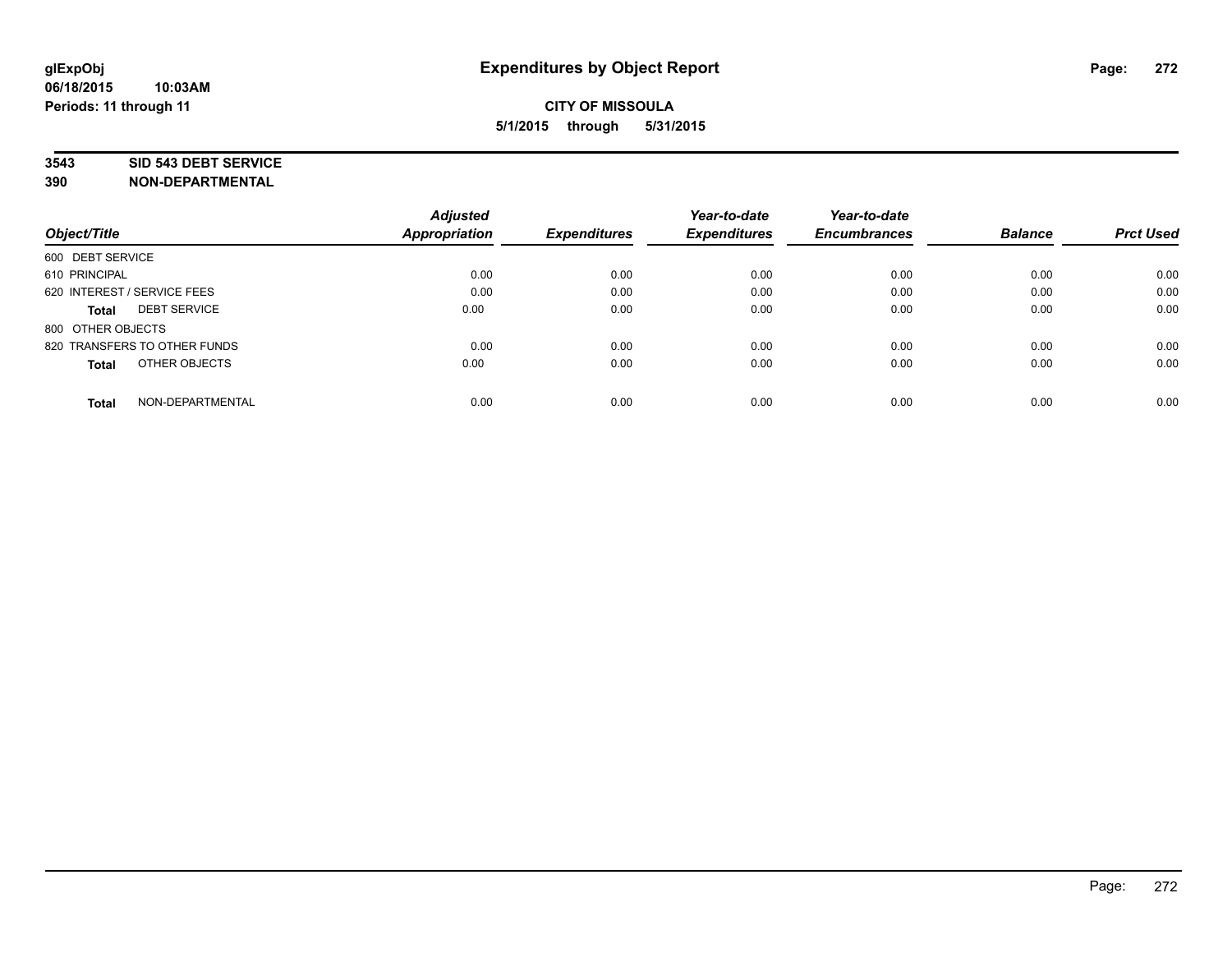### **3543 SID 543 DEBT SERVICE**

|                                     | <b>Adjusted</b><br><b>Appropriation</b> | <b>Expenditures</b> | Year-to-date<br><b>Expenditures</b> | Year-to-date<br><b>Encumbrances</b> | <b>Balance</b> | <b>Prct Used</b> |
|-------------------------------------|-----------------------------------------|---------------------|-------------------------------------|-------------------------------------|----------------|------------------|
| Object/Title                        |                                         |                     |                                     |                                     |                |                  |
| 600 DEBT SERVICE                    |                                         |                     |                                     |                                     |                |                  |
| 610 PRINCIPAL                       | 0.00                                    | 0.00                | 0.00                                | 0.00                                | 0.00           | 0.00             |
| 620 INTEREST / SERVICE FEES         | 0.00                                    | 0.00                | 0.00                                | 0.00                                | 0.00           | 0.00             |
| <b>DEBT SERVICE</b><br><b>Total</b> | 0.00                                    | 0.00                | 0.00                                | 0.00                                | 0.00           | 0.00             |
| 800 OTHER OBJECTS                   |                                         |                     |                                     |                                     |                |                  |
| 820 TRANSFERS TO OTHER FUNDS        | 0.00                                    | 0.00                | 0.00                                | 0.00                                | 0.00           | 0.00             |
| OTHER OBJECTS<br><b>Total</b>       | 0.00                                    | 0.00                | 0.00                                | 0.00                                | 0.00           | 0.00             |
| NON-DEPARTMENTAL<br><b>Total</b>    | 0.00                                    | 0.00                | 0.00                                | 0.00                                | 0.00           | 0.00             |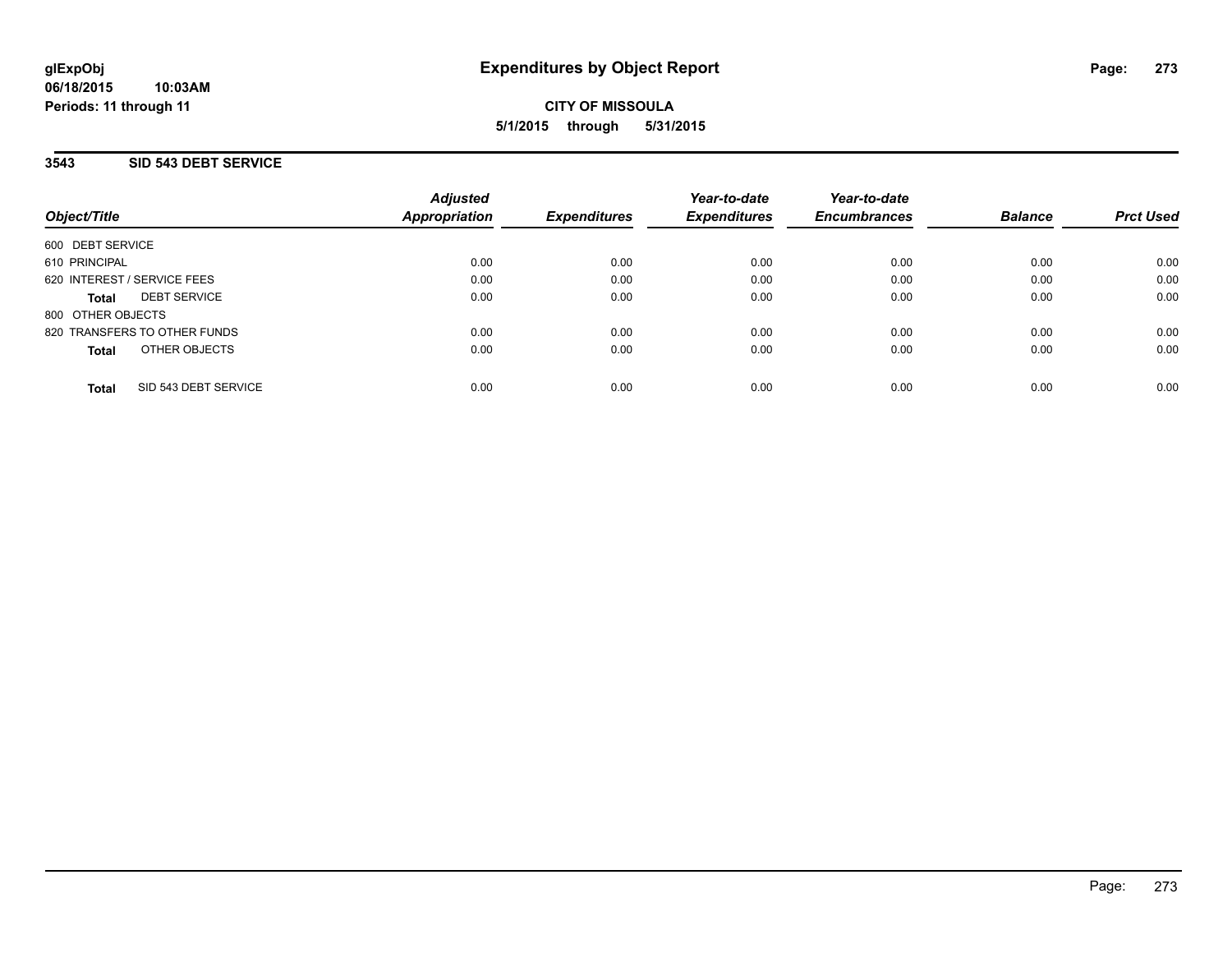## **3543 SID 543 DEBT SERVICE**

| Object/Title                         | <b>Adjusted</b><br>Appropriation | <b>Expenditures</b> | Year-to-date<br><b>Expenditures</b> | Year-to-date<br><b>Encumbrances</b> | <b>Balance</b> | <b>Prct Used</b> |
|--------------------------------------|----------------------------------|---------------------|-------------------------------------|-------------------------------------|----------------|------------------|
| 600 DEBT SERVICE                     |                                  |                     |                                     |                                     |                |                  |
| 610 PRINCIPAL                        | 0.00                             | 0.00                | 0.00                                | 0.00                                | 0.00           | 0.00             |
| 620 INTEREST / SERVICE FEES          | 0.00                             | 0.00                | 0.00                                | 0.00                                | 0.00           | 0.00             |
| <b>DEBT SERVICE</b><br><b>Total</b>  | 0.00                             | 0.00                | 0.00                                | 0.00                                | 0.00           | 0.00             |
| 800 OTHER OBJECTS                    |                                  |                     |                                     |                                     |                |                  |
| 820 TRANSFERS TO OTHER FUNDS         | 0.00                             | 0.00                | 0.00                                | 0.00                                | 0.00           | 0.00             |
| OTHER OBJECTS<br><b>Total</b>        | 0.00                             | 0.00                | 0.00                                | 0.00                                | 0.00           | 0.00             |
| SID 543 DEBT SERVICE<br><b>Total</b> | 0.00                             | 0.00                | 0.00                                | 0.00                                | 0.00           | 0.00             |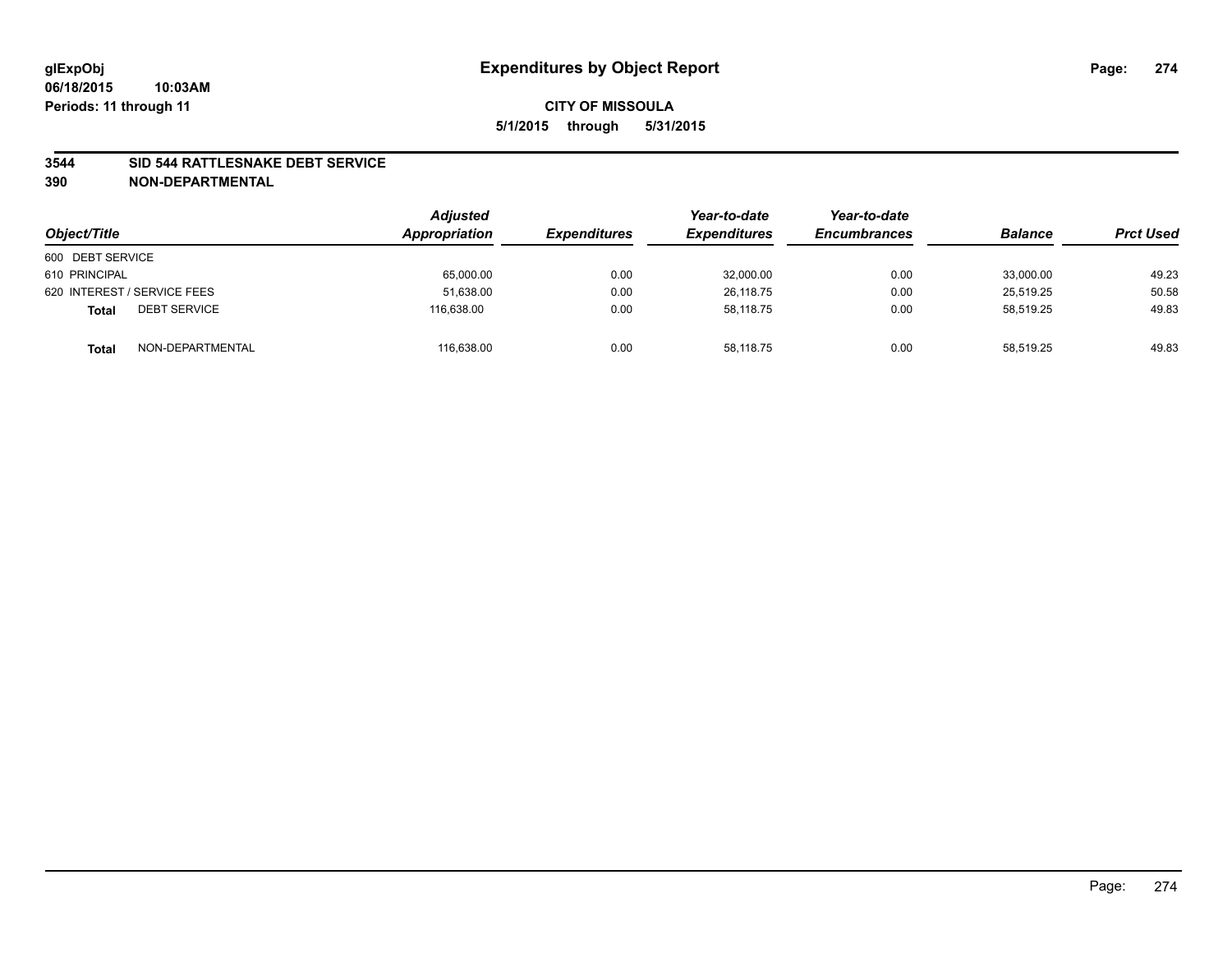### **3544 SID 544 RATTLESNAKE DEBT SERVICE**

| Object/Title                        | <b>Adjusted</b><br>Appropriation | <b>Expenditures</b> | Year-to-date<br><b>Expenditures</b> | Year-to-date<br><b>Encumbrances</b> | <b>Balance</b> | <b>Prct Used</b> |
|-------------------------------------|----------------------------------|---------------------|-------------------------------------|-------------------------------------|----------------|------------------|
| 600 DEBT SERVICE                    |                                  |                     |                                     |                                     |                |                  |
| 610 PRINCIPAL                       | 65,000.00                        | 0.00                | 32,000.00                           | 0.00                                | 33.000.00      | 49.23            |
| 620 INTEREST / SERVICE FEES         | 51,638.00                        | 0.00                | 26.118.75                           | 0.00                                | 25.519.25      | 50.58            |
| <b>DEBT SERVICE</b><br><b>Total</b> | 116.638.00                       | 0.00                | 58,118.75                           | 0.00                                | 58,519.25      | 49.83            |
| NON-DEPARTMENTAL<br><b>Total</b>    | 116,638.00                       | 0.00                | 58,118.75                           | 0.00                                | 58,519.25      | 49.83            |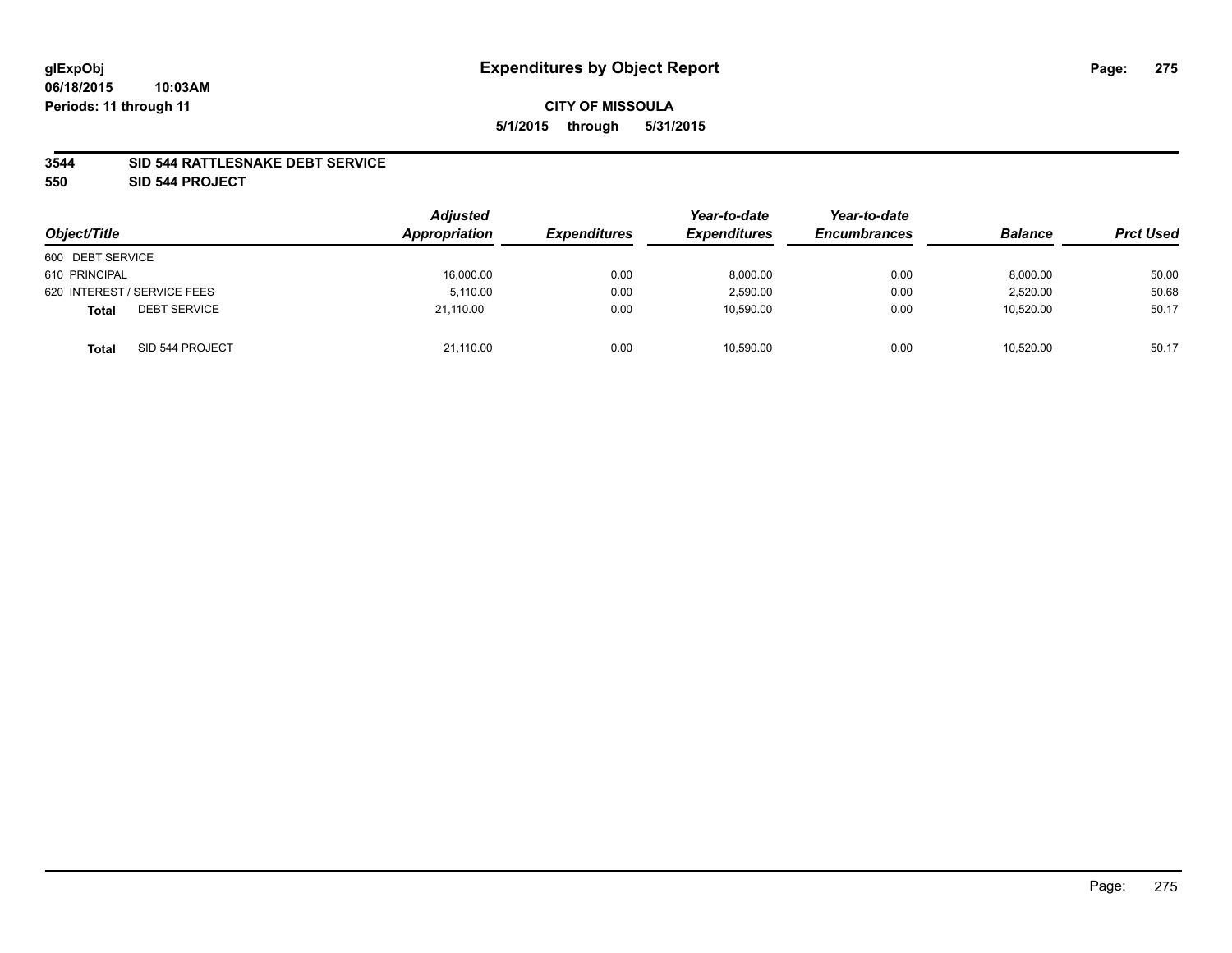### **3544 SID 544 RATTLESNAKE DEBT SERVICE**

**550 SID 544 PROJECT**

| Object/Title                        | <b>Adjusted</b><br>Appropriation | <b>Expenditures</b> | Year-to-date<br><b>Expenditures</b> | Year-to-date<br><b>Encumbrances</b> | <b>Balance</b> | <b>Prct Used</b> |
|-------------------------------------|----------------------------------|---------------------|-------------------------------------|-------------------------------------|----------------|------------------|
| 600 DEBT SERVICE                    |                                  |                     |                                     |                                     |                |                  |
| 610 PRINCIPAL                       | 16,000.00                        | 0.00                | 8,000.00                            | 0.00                                | 8,000.00       | 50.00            |
| 620 INTEREST / SERVICE FEES         | 5.110.00                         | 0.00                | 2,590.00                            | 0.00                                | 2.520.00       | 50.68            |
| <b>DEBT SERVICE</b><br><b>Total</b> | 21.110.00                        | 0.00                | 10.590.00                           | 0.00                                | 10.520.00      | 50.17            |
| SID 544 PROJECT<br><b>Total</b>     | 21,110.00                        | 0.00                | 10,590.00                           | 0.00                                | 10,520.00      | 50.17            |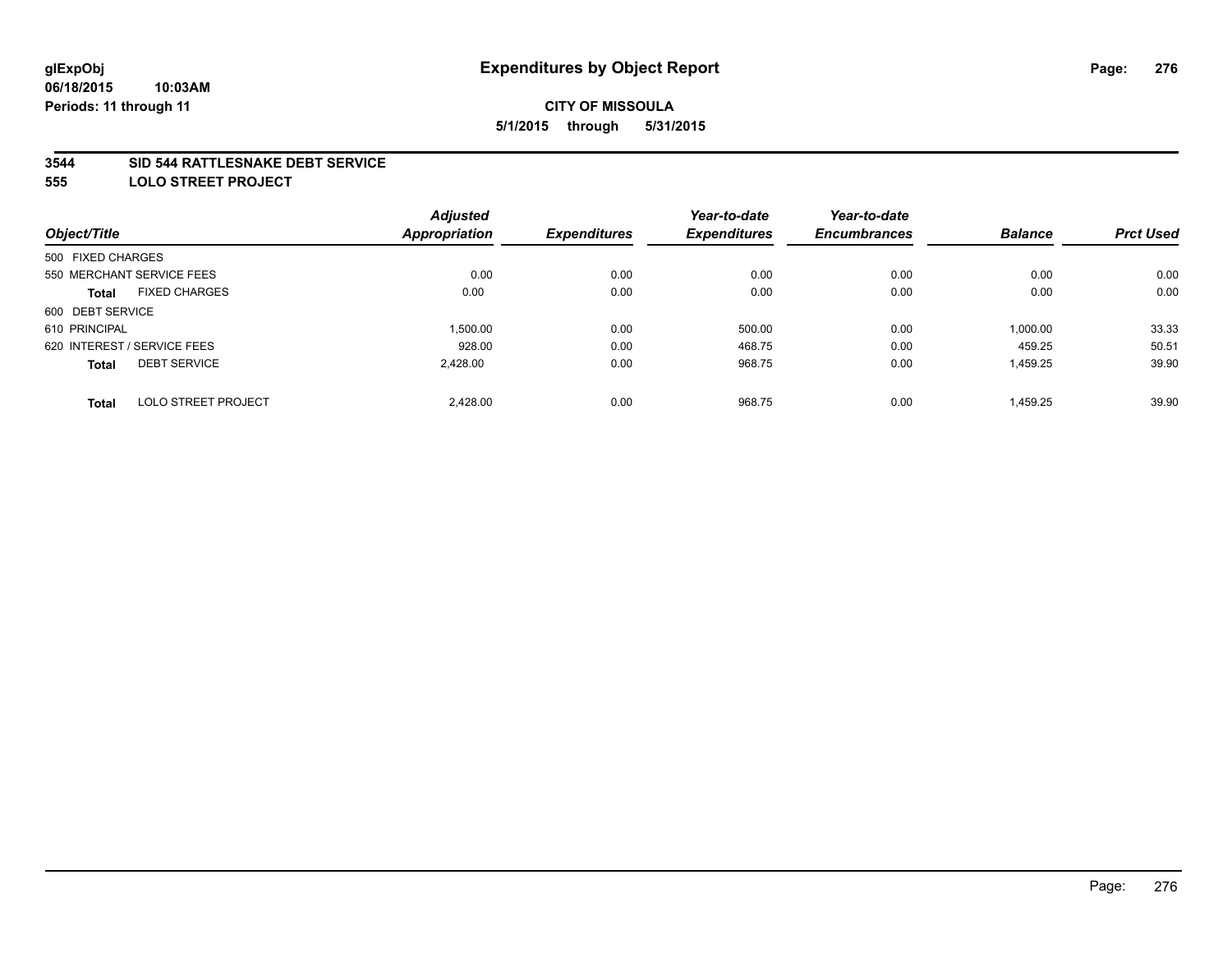#### **3544 SID 544 RATTLESNAKE DEBT SERVICE**

**555 LOLO STREET PROJECT**

|                                            | <b>Adjusted</b> |                     | Year-to-date        | Year-to-date        |                |                  |
|--------------------------------------------|-----------------|---------------------|---------------------|---------------------|----------------|------------------|
| Object/Title                               | Appropriation   | <b>Expenditures</b> | <b>Expenditures</b> | <b>Encumbrances</b> | <b>Balance</b> | <b>Prct Used</b> |
| 500 FIXED CHARGES                          |                 |                     |                     |                     |                |                  |
| 550 MERCHANT SERVICE FEES                  | 0.00            | 0.00                | 0.00                | 0.00                | 0.00           | 0.00             |
| <b>FIXED CHARGES</b><br>Total              | 0.00            | 0.00                | 0.00                | 0.00                | 0.00           | 0.00             |
| 600 DEBT SERVICE                           |                 |                     |                     |                     |                |                  |
| 610 PRINCIPAL                              | 1.500.00        | 0.00                | 500.00              | 0.00                | 1,000.00       | 33.33            |
| 620 INTEREST / SERVICE FEES                | 928.00          | 0.00                | 468.75              | 0.00                | 459.25         | 50.51            |
| <b>DEBT SERVICE</b><br><b>Total</b>        | 2.428.00        | 0.00                | 968.75              | 0.00                | 1,459.25       | 39.90            |
| <b>LOLO STREET PROJECT</b><br><b>Total</b> | 2.428.00        | 0.00                | 968.75              | 0.00                | 1.459.25       | 39.90            |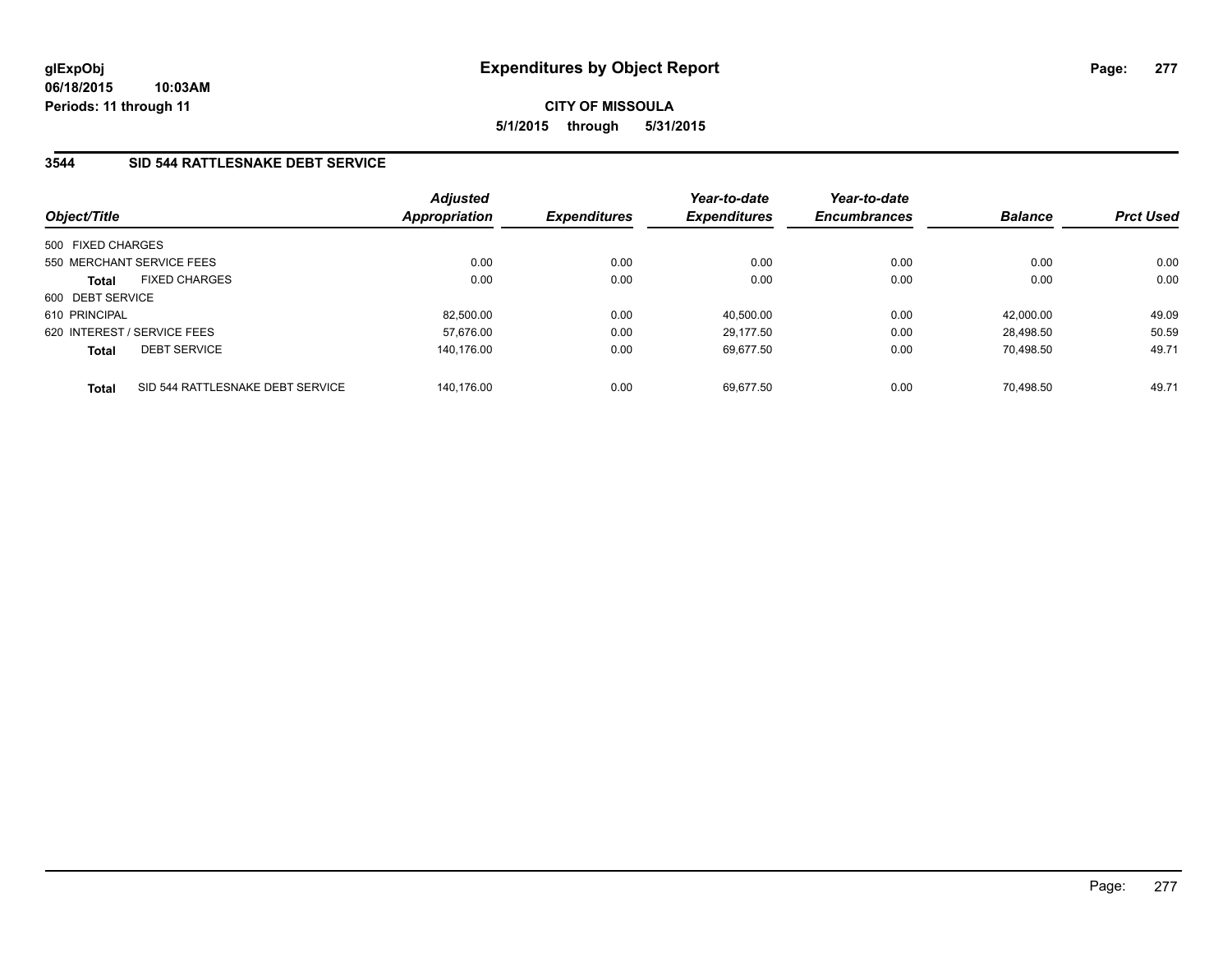# **3544 SID 544 RATTLESNAKE DEBT SERVICE**

| Object/Title                         |                                  | Adjusted<br><b>Appropriation</b> | <b>Expenditures</b> | Year-to-date<br><b>Expenditures</b> | Year-to-date<br><b>Encumbrances</b> | <b>Balance</b> | <b>Prct Used</b> |
|--------------------------------------|----------------------------------|----------------------------------|---------------------|-------------------------------------|-------------------------------------|----------------|------------------|
| 500 FIXED CHARGES                    |                                  |                                  |                     |                                     |                                     |                |                  |
| 550 MERCHANT SERVICE FEES            |                                  | 0.00                             | 0.00                | 0.00                                | 0.00                                | 0.00           | 0.00             |
| <b>FIXED CHARGES</b><br><b>Total</b> |                                  | 0.00                             | 0.00                | 0.00                                | 0.00                                | 0.00           | 0.00             |
| 600 DEBT SERVICE                     |                                  |                                  |                     |                                     |                                     |                |                  |
| 610 PRINCIPAL                        |                                  | 82.500.00                        | 0.00                | 40.500.00                           | 0.00                                | 42.000.00      | 49.09            |
| 620 INTEREST / SERVICE FEES          |                                  | 57.676.00                        | 0.00                | 29.177.50                           | 0.00                                | 28.498.50      | 50.59            |
| <b>DEBT SERVICE</b><br><b>Total</b>  |                                  | 140.176.00                       | 0.00                | 69.677.50                           | 0.00                                | 70.498.50      | 49.71            |
| <b>Total</b>                         | SID 544 RATTLESNAKE DEBT SERVICE | 140.176.00                       | 0.00                | 69.677.50                           | 0.00                                | 70.498.50      | 49.71            |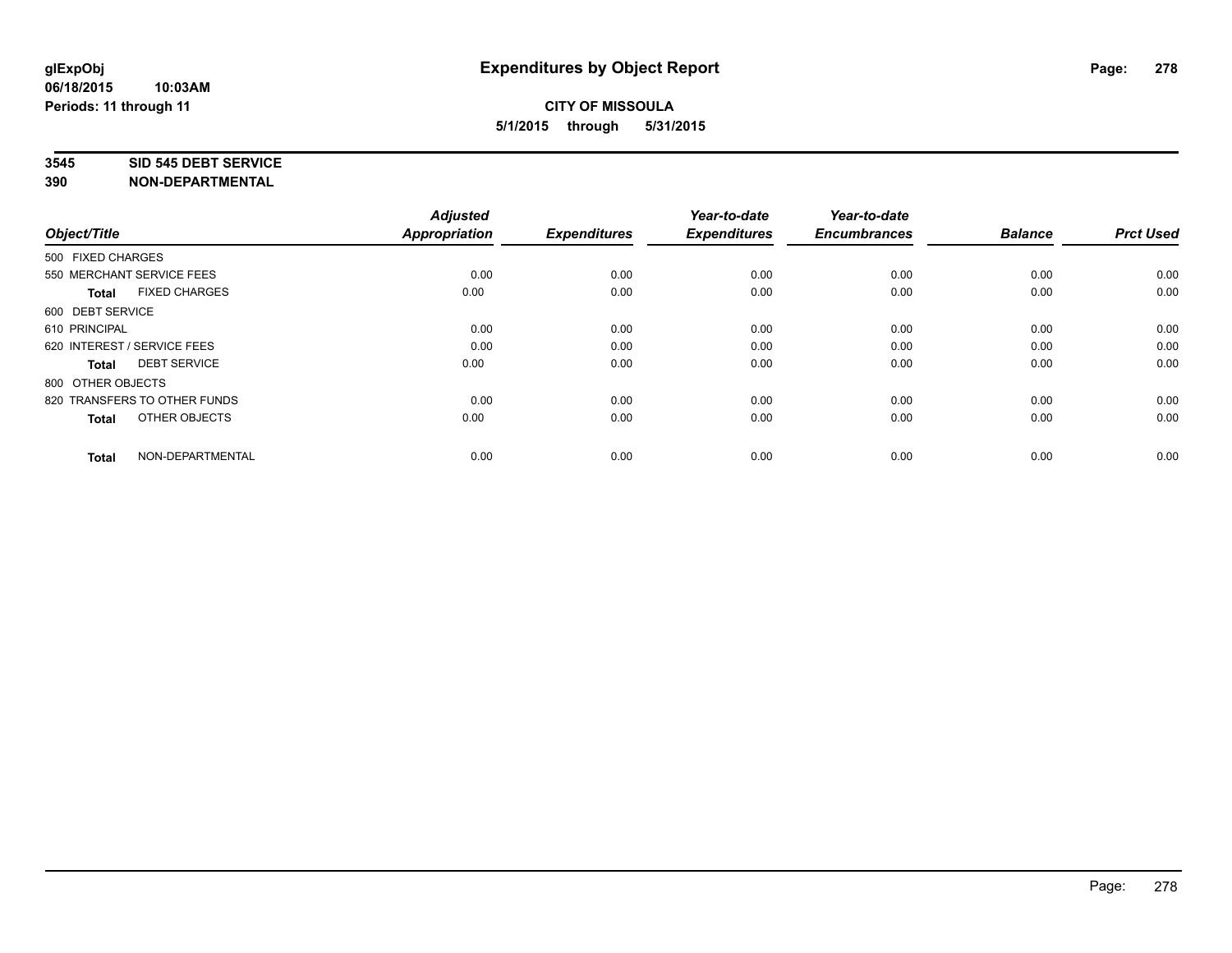#### **3545 SID 545 DEBT SERVICE**

| Object/Title                         | <b>Adjusted</b><br><b>Appropriation</b> | <b>Expenditures</b> | Year-to-date<br><b>Expenditures</b> | Year-to-date<br><b>Encumbrances</b> | <b>Balance</b> | <b>Prct Used</b> |
|--------------------------------------|-----------------------------------------|---------------------|-------------------------------------|-------------------------------------|----------------|------------------|
| 500 FIXED CHARGES                    |                                         |                     |                                     |                                     |                |                  |
| 550 MERCHANT SERVICE FEES            | 0.00                                    | 0.00                | 0.00                                | 0.00                                | 0.00           | 0.00             |
| <b>FIXED CHARGES</b><br><b>Total</b> | 0.00                                    | 0.00                | 0.00                                | 0.00                                | 0.00           | 0.00             |
| 600 DEBT SERVICE                     |                                         |                     |                                     |                                     |                |                  |
| 610 PRINCIPAL                        | 0.00                                    | 0.00                | 0.00                                | 0.00                                | 0.00           | 0.00             |
| 620 INTEREST / SERVICE FEES          | 0.00                                    | 0.00                | 0.00                                | 0.00                                | 0.00           | 0.00             |
| <b>DEBT SERVICE</b><br><b>Total</b>  | 0.00                                    | 0.00                | 0.00                                | 0.00                                | 0.00           | 0.00             |
| 800 OTHER OBJECTS                    |                                         |                     |                                     |                                     |                |                  |
| 820 TRANSFERS TO OTHER FUNDS         | 0.00                                    | 0.00                | 0.00                                | 0.00                                | 0.00           | 0.00             |
| OTHER OBJECTS<br><b>Total</b>        | 0.00                                    | 0.00                | 0.00                                | 0.00                                | 0.00           | 0.00             |
|                                      |                                         |                     |                                     |                                     |                |                  |
| NON-DEPARTMENTAL<br><b>Total</b>     | 0.00                                    | 0.00                | 0.00                                | 0.00                                | 0.00           | 0.00             |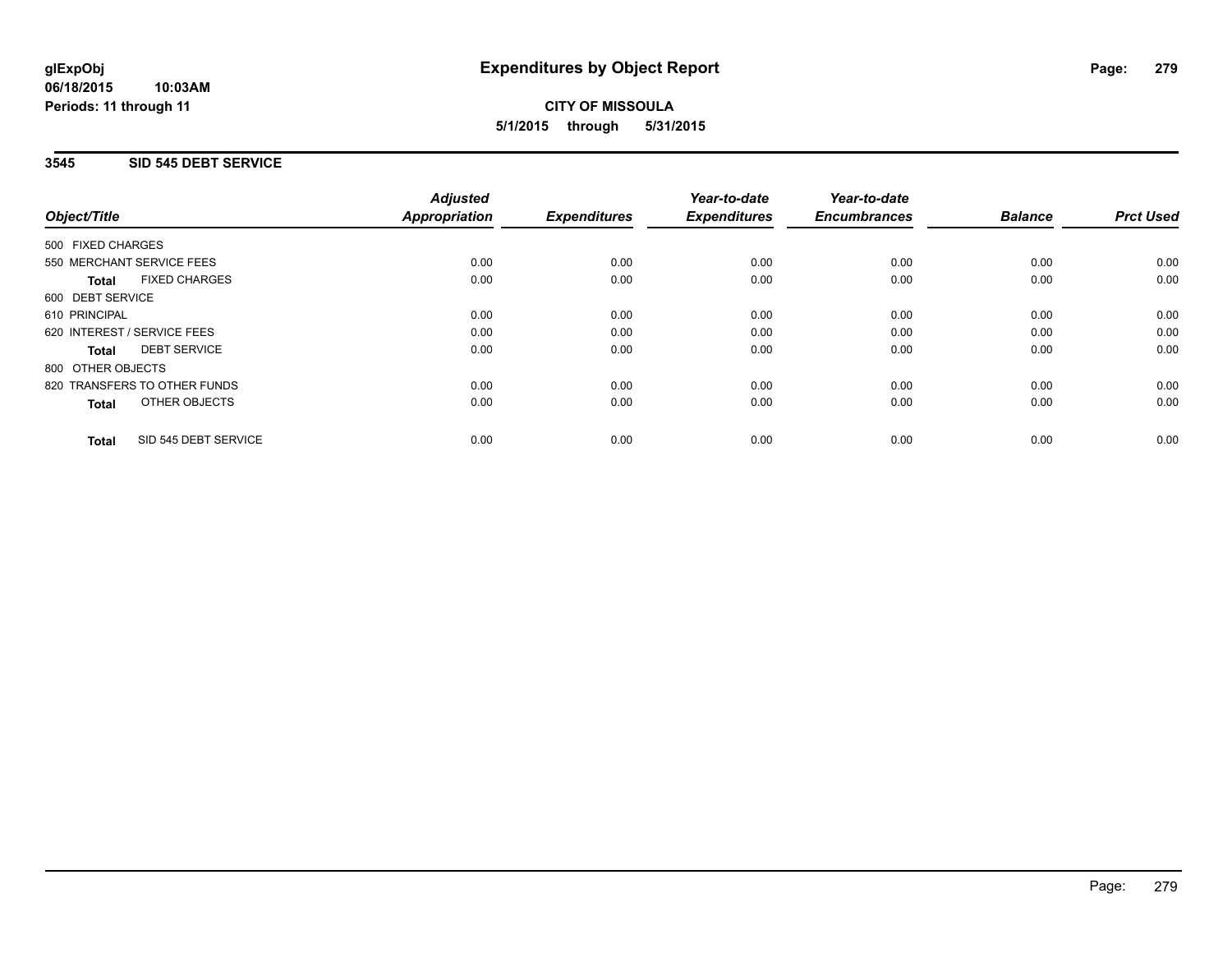## **3545 SID 545 DEBT SERVICE**

|                   |                              | <b>Adjusted</b>      |                     | Year-to-date        | Year-to-date<br><b>Encumbrances</b> | <b>Balance</b> | <b>Prct Used</b> |
|-------------------|------------------------------|----------------------|---------------------|---------------------|-------------------------------------|----------------|------------------|
| Object/Title      |                              | <b>Appropriation</b> | <b>Expenditures</b> | <b>Expenditures</b> |                                     |                |                  |
| 500 FIXED CHARGES |                              |                      |                     |                     |                                     |                |                  |
|                   | 550 MERCHANT SERVICE FEES    | 0.00                 | 0.00                | 0.00                | 0.00                                | 0.00           | 0.00             |
| Total             | <b>FIXED CHARGES</b>         | 0.00                 | 0.00                | 0.00                | 0.00                                | 0.00           | 0.00             |
| 600 DEBT SERVICE  |                              |                      |                     |                     |                                     |                |                  |
| 610 PRINCIPAL     |                              | 0.00                 | 0.00                | 0.00                | 0.00                                | 0.00           | 0.00             |
|                   | 620 INTEREST / SERVICE FEES  | 0.00                 | 0.00                | 0.00                | 0.00                                | 0.00           | 0.00             |
| Total             | <b>DEBT SERVICE</b>          | 0.00                 | 0.00                | 0.00                | 0.00                                | 0.00           | 0.00             |
| 800 OTHER OBJECTS |                              |                      |                     |                     |                                     |                |                  |
|                   | 820 TRANSFERS TO OTHER FUNDS | 0.00                 | 0.00                | 0.00                | 0.00                                | 0.00           | 0.00             |
| <b>Total</b>      | OTHER OBJECTS                | 0.00                 | 0.00                | 0.00                | 0.00                                | 0.00           | 0.00             |
| <b>Total</b>      | SID 545 DEBT SERVICE         | 0.00                 | 0.00                | 0.00                | 0.00                                | 0.00           | 0.00             |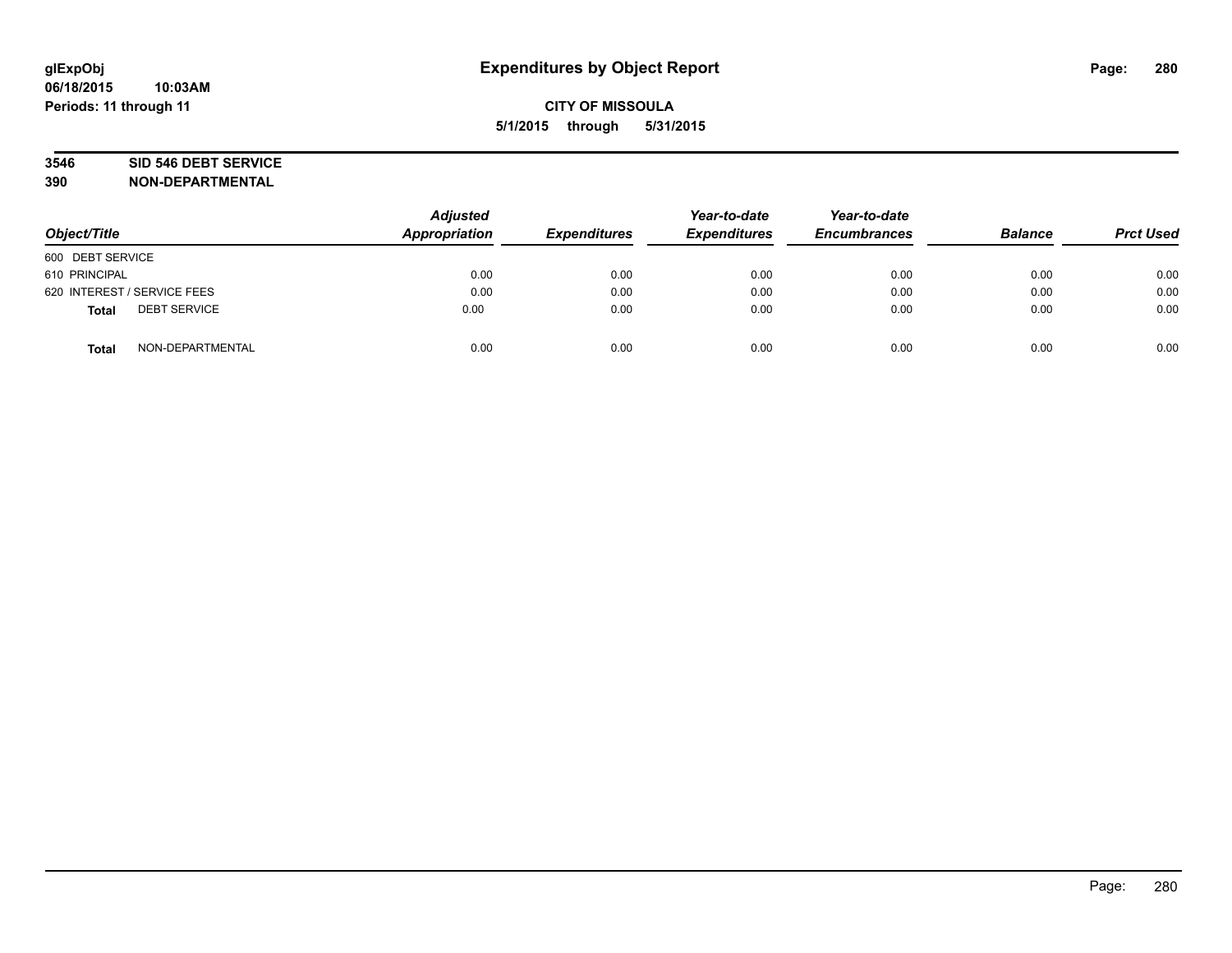# **3546 SID 546 DEBT SERVICE**

| Object/Title                        | <b>Adjusted</b><br>Appropriation | <b>Expenditures</b> | Year-to-date<br><b>Expenditures</b> | Year-to-date<br><b>Encumbrances</b> | <b>Balance</b> | <b>Prct Used</b> |
|-------------------------------------|----------------------------------|---------------------|-------------------------------------|-------------------------------------|----------------|------------------|
| 600 DEBT SERVICE                    |                                  |                     |                                     |                                     |                |                  |
| 610 PRINCIPAL                       | 0.00                             | 0.00                | 0.00                                | 0.00                                | 0.00           | 0.00             |
| 620 INTEREST / SERVICE FEES         | 0.00                             | 0.00                | 0.00                                | 0.00                                | 0.00           | 0.00             |
| <b>DEBT SERVICE</b><br><b>Total</b> | 0.00                             | 0.00                | 0.00                                | 0.00                                | 0.00           | 0.00             |
| NON-DEPARTMENTAL<br><b>Total</b>    | 0.00                             | 0.00                | 0.00                                | 0.00                                | 0.00           | 0.00             |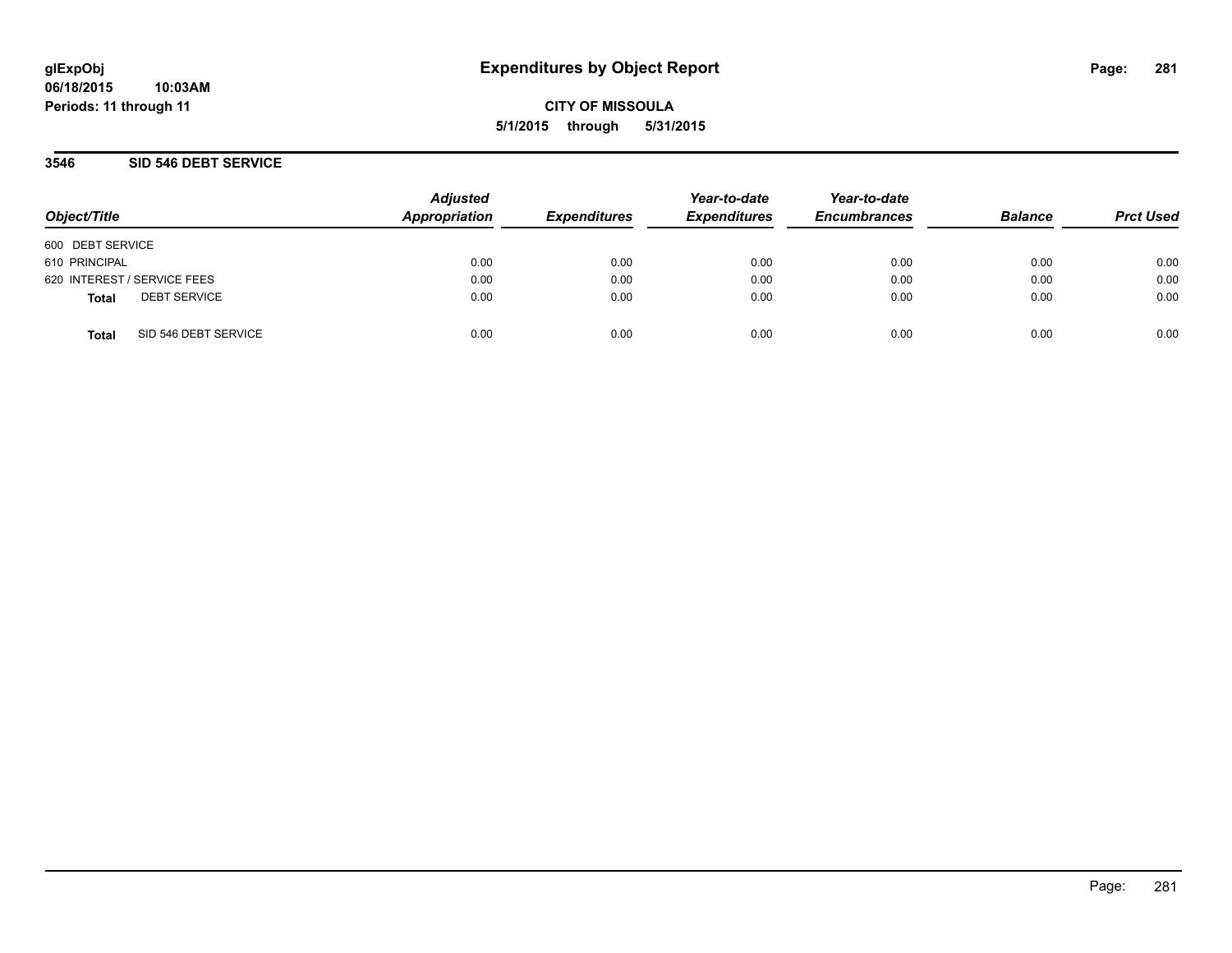### **3546 SID 546 DEBT SERVICE**

| Object/Title                         | <b>Adjusted</b><br>Appropriation | <b>Expenditures</b> | Year-to-date<br><b>Expenditures</b> | Year-to-date<br><b>Encumbrances</b> | <b>Balance</b> | <b>Prct Used</b> |
|--------------------------------------|----------------------------------|---------------------|-------------------------------------|-------------------------------------|----------------|------------------|
| 600 DEBT SERVICE                     |                                  |                     |                                     |                                     |                |                  |
| 610 PRINCIPAL                        | 0.00                             | 0.00                | 0.00                                | 0.00                                | 0.00           | 0.00             |
| 620 INTEREST / SERVICE FEES          | 0.00                             | 0.00                | 0.00                                | 0.00                                | 0.00           | 0.00             |
| <b>DEBT SERVICE</b><br>Total         | 0.00                             | 0.00                | 0.00                                | 0.00                                | 0.00           | 0.00             |
| SID 546 DEBT SERVICE<br><b>Total</b> | 0.00                             | 0.00                | 0.00                                | 0.00                                | 0.00           | 0.00             |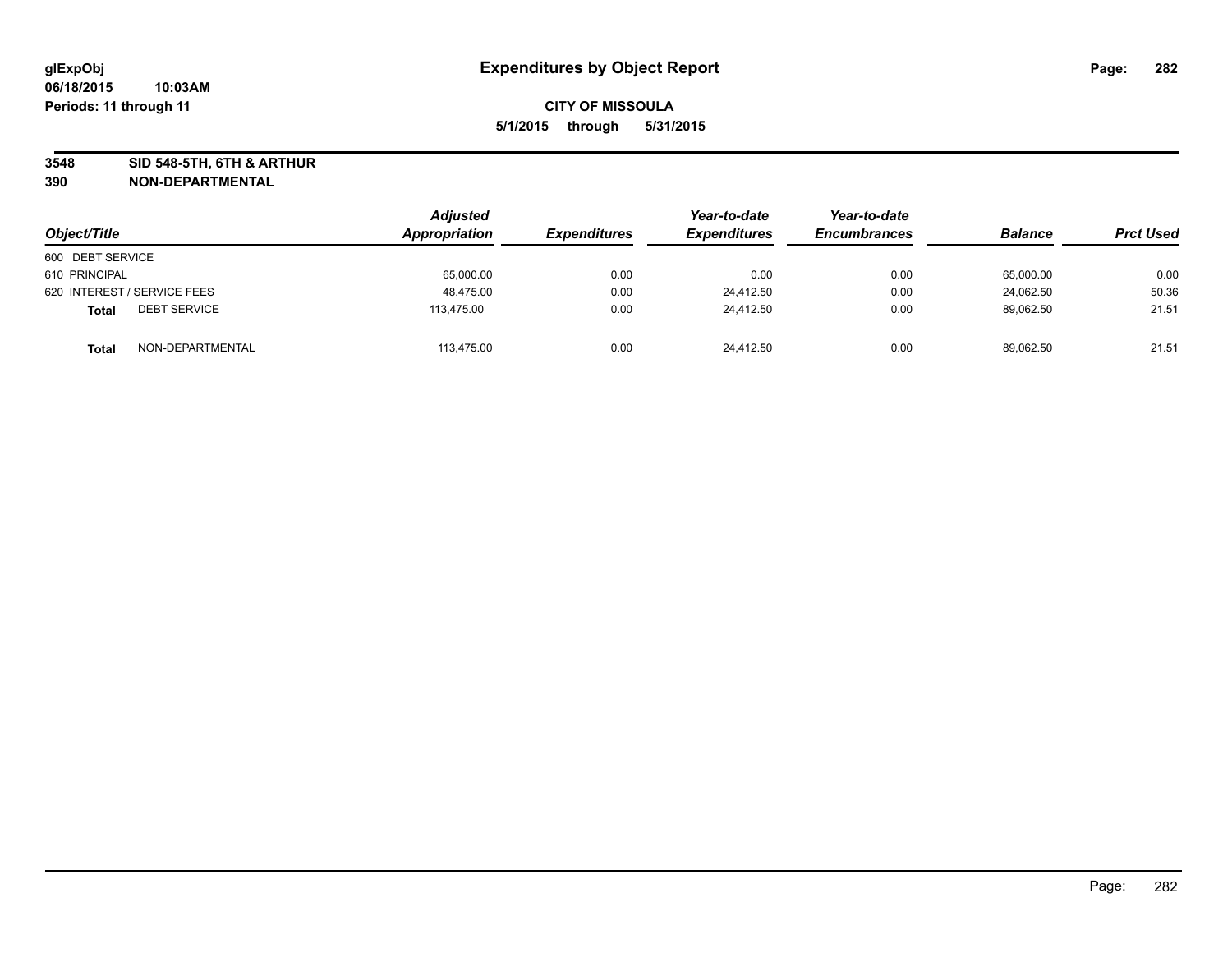**3548 SID 548-5TH, 6TH & ARTHUR**

| Object/Title                        | Adjusted<br>Appropriation | <b>Expenditures</b> | Year-to-date<br><b>Expenditures</b> | Year-to-date<br><b>Encumbrances</b> | <b>Balance</b> | <b>Prct Used</b> |
|-------------------------------------|---------------------------|---------------------|-------------------------------------|-------------------------------------|----------------|------------------|
| 600 DEBT SERVICE                    |                           |                     |                                     |                                     |                |                  |
| 610 PRINCIPAL                       | 65,000.00                 | 0.00                | 0.00                                | 0.00                                | 65,000.00      | 0.00             |
| 620 INTEREST / SERVICE FEES         | 48.475.00                 | 0.00                | 24.412.50                           | 0.00                                | 24,062.50      | 50.36            |
| <b>DEBT SERVICE</b><br><b>Total</b> | 113,475.00                | 0.00                | 24,412.50                           | 0.00                                | 89,062.50      | 21.51            |
| NON-DEPARTMENTAL<br><b>Total</b>    | 113,475.00                | 0.00                | 24.412.50                           | 0.00                                | 89,062.50      | 21.51            |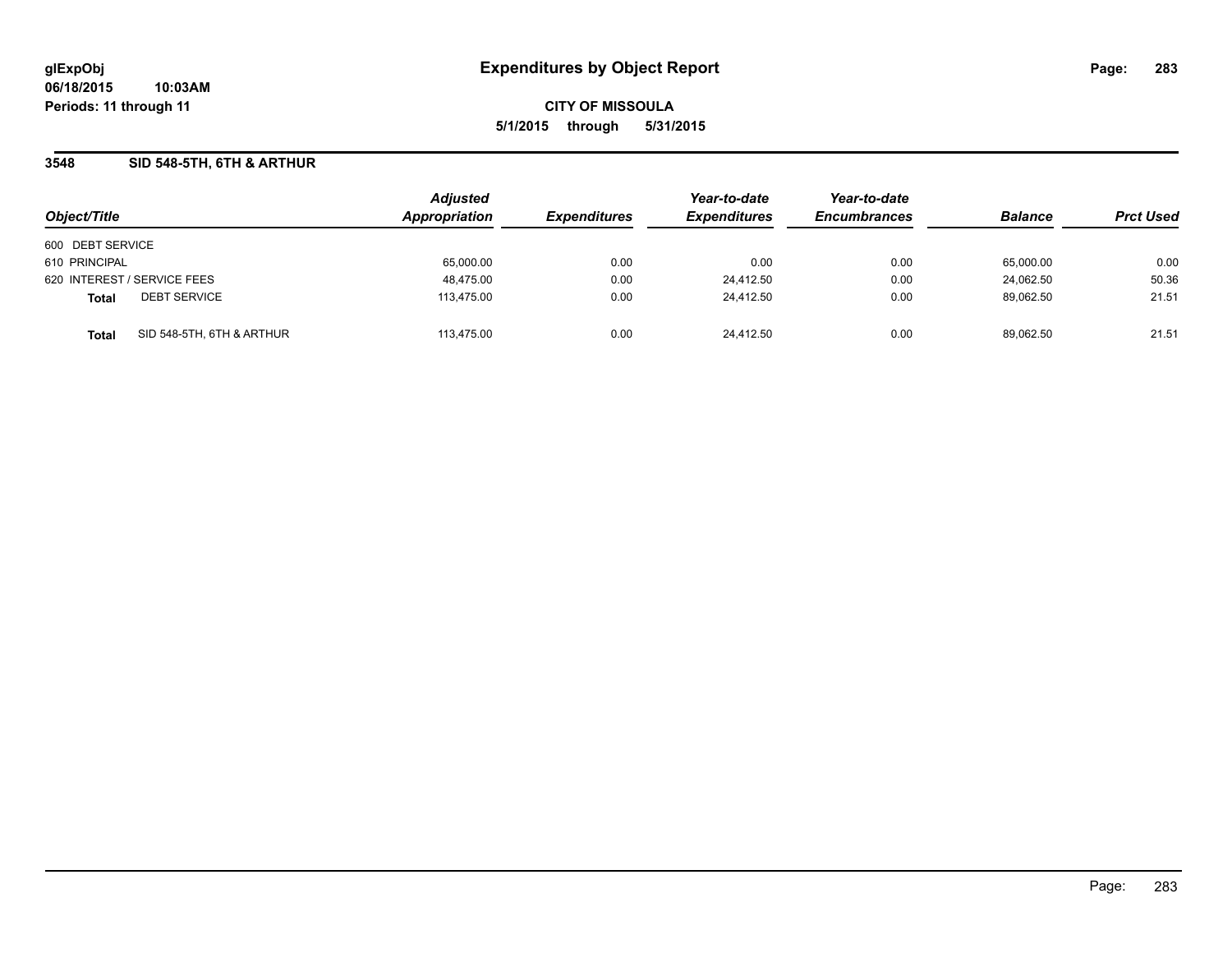### **3548 SID 548-5TH, 6TH & ARTHUR**

| Object/Title                |                           | <b>Adjusted</b><br>Appropriation | <b>Expenditures</b> | Year-to-date        | Year-to-date<br><b>Encumbrances</b> | <b>Balance</b> |                  |
|-----------------------------|---------------------------|----------------------------------|---------------------|---------------------|-------------------------------------|----------------|------------------|
|                             |                           |                                  |                     | <b>Expenditures</b> |                                     |                | <b>Prct Used</b> |
| 600 DEBT SERVICE            |                           |                                  |                     |                     |                                     |                |                  |
| 610 PRINCIPAL               |                           | 65,000.00                        | 0.00                | 0.00                | 0.00                                | 65,000.00      | 0.00             |
| 620 INTEREST / SERVICE FEES |                           | 48,475.00                        | 0.00                | 24.412.50           | 0.00                                | 24.062.50      | 50.36            |
| <b>Total</b>                | <b>DEBT SERVICE</b>       | 113.475.00                       | 0.00                | 24.412.50           | 0.00                                | 89.062.50      | 21.51            |
| <b>Total</b>                | SID 548-5TH, 6TH & ARTHUR | 113.475.00                       | 0.00                | 24.412.50           | 0.00                                | 89.062.50      | 21.51            |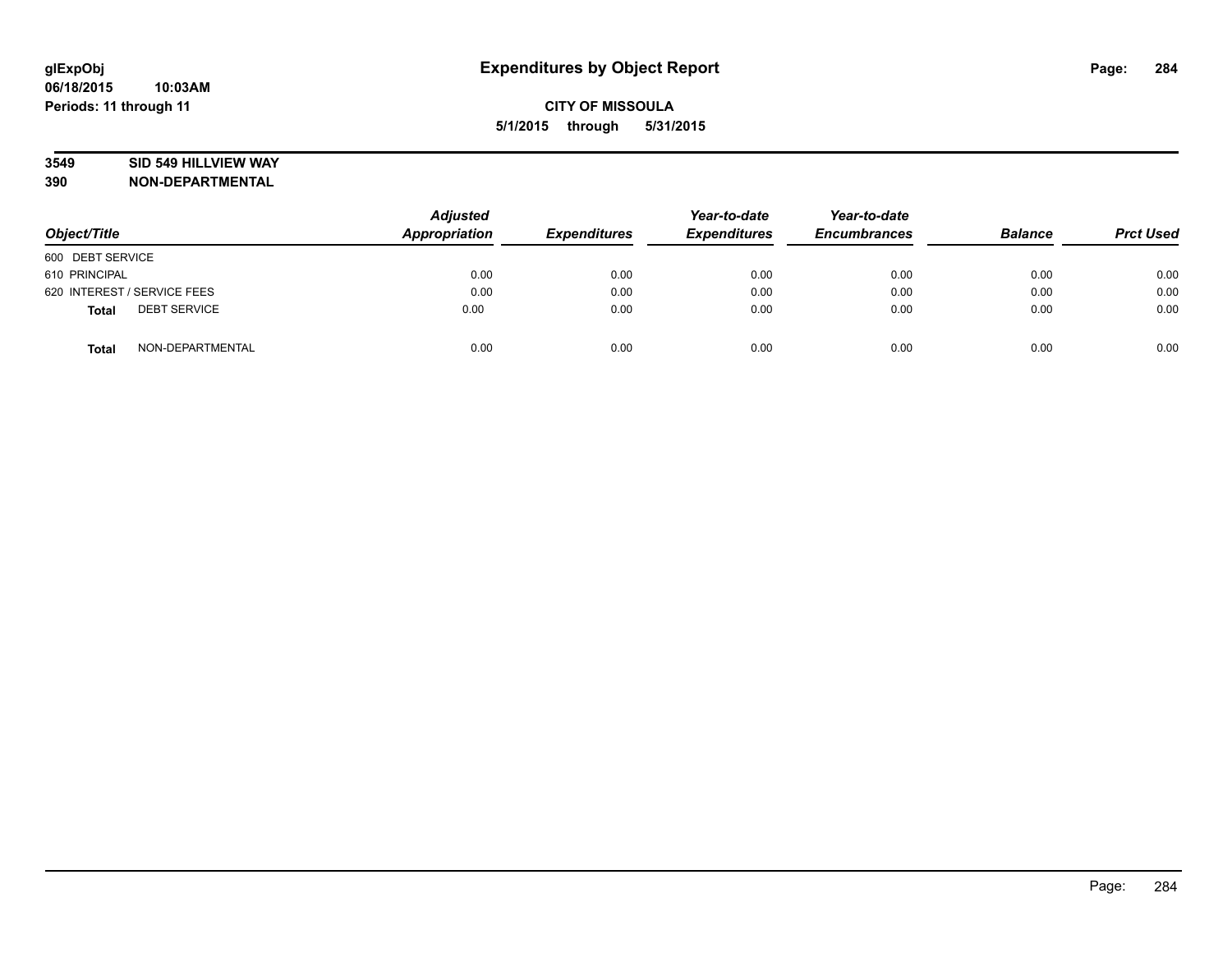## **3549 SID 549 HILLVIEW WAY**

| Object/Title                        | <b>Adjusted</b><br><b>Appropriation</b> | <b>Expenditures</b> | Year-to-date<br><b>Expenditures</b> | Year-to-date<br><b>Encumbrances</b> | <b>Balance</b> | <b>Prct Used</b> |
|-------------------------------------|-----------------------------------------|---------------------|-------------------------------------|-------------------------------------|----------------|------------------|
| 600 DEBT SERVICE                    |                                         |                     |                                     |                                     |                |                  |
| 610 PRINCIPAL                       | 0.00                                    | 0.00                | 0.00                                | 0.00                                | 0.00           | 0.00             |
| 620 INTEREST / SERVICE FEES         | 0.00                                    | 0.00                | 0.00                                | 0.00                                | 0.00           | 0.00             |
| <b>DEBT SERVICE</b><br><b>Total</b> | 0.00                                    | 0.00                | 0.00                                | 0.00                                | 0.00           | 0.00             |
| NON-DEPARTMENTAL<br><b>Total</b>    | 0.00                                    | 0.00                | 0.00                                | 0.00                                | 0.00           | 0.00             |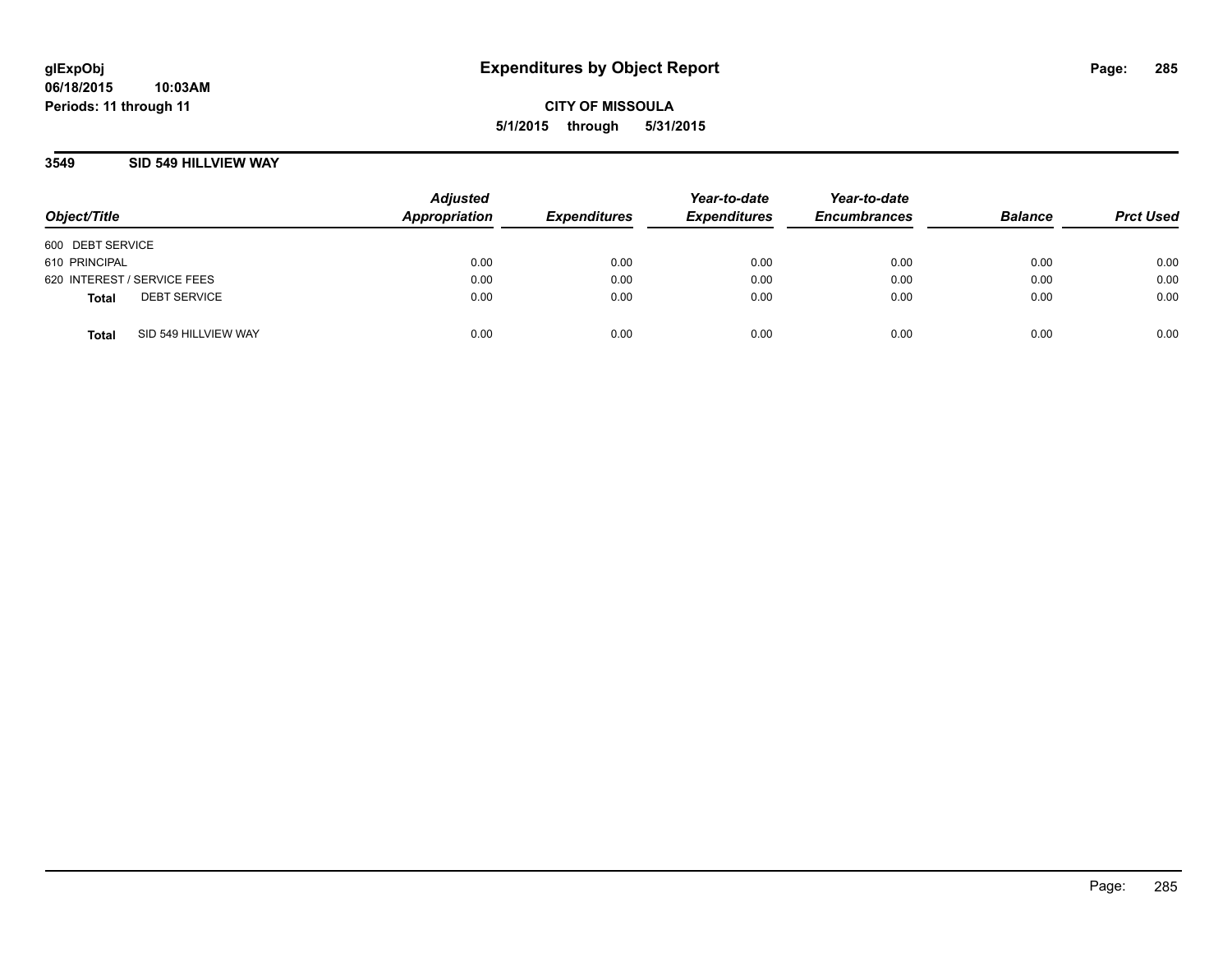### **3549 SID 549 HILLVIEW WAY**

| Object/Title                |                      | <b>Adjusted</b><br>Appropriation | <b>Expenditures</b> | Year-to-date<br><b>Expenditures</b> | Year-to-date<br><b>Encumbrances</b> | <b>Balance</b> | <b>Prct Used</b> |
|-----------------------------|----------------------|----------------------------------|---------------------|-------------------------------------|-------------------------------------|----------------|------------------|
| 600 DEBT SERVICE            |                      |                                  |                     |                                     |                                     |                |                  |
| 610 PRINCIPAL               |                      | 0.00                             | 0.00                | 0.00                                | 0.00                                | 0.00           | 0.00             |
| 620 INTEREST / SERVICE FEES |                      | 0.00                             | 0.00                | 0.00                                | 0.00                                | 0.00           | 0.00             |
| <b>Total</b>                | <b>DEBT SERVICE</b>  | 0.00                             | 0.00                | 0.00                                | 0.00                                | 0.00           | 0.00             |
| <b>Total</b>                | SID 549 HILLVIEW WAY | 0.00                             | 0.00                | 0.00                                | 0.00                                | 0.00           | 0.00             |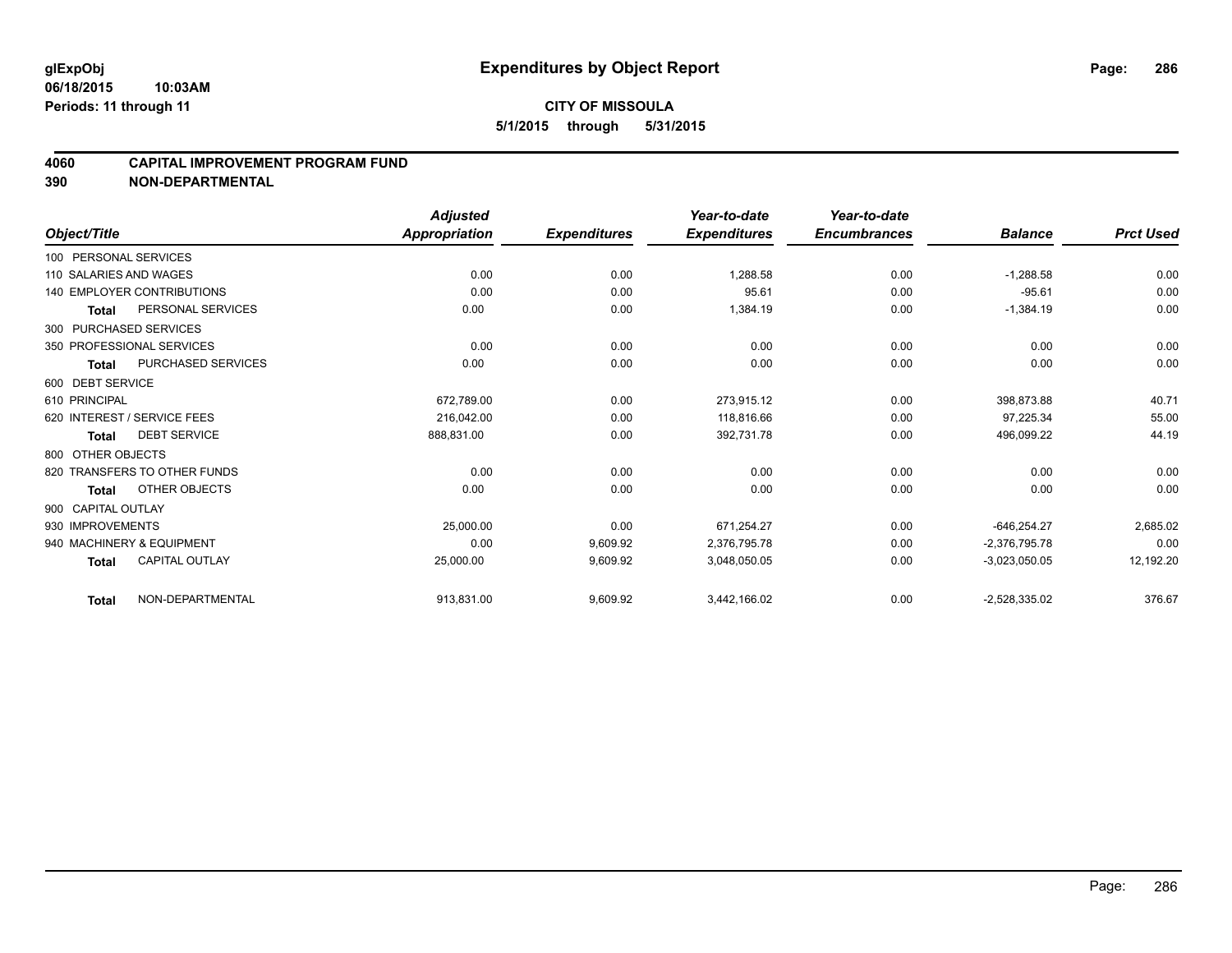#### **4060 CAPITAL IMPROVEMENT PROGRAM FUND**

|                        |                                   | <b>Adjusted</b>      |                     | Year-to-date        | Year-to-date        |                 |                  |
|------------------------|-----------------------------------|----------------------|---------------------|---------------------|---------------------|-----------------|------------------|
| Object/Title           |                                   | <b>Appropriation</b> | <b>Expenditures</b> | <b>Expenditures</b> | <b>Encumbrances</b> | <b>Balance</b>  | <b>Prct Used</b> |
| 100 PERSONAL SERVICES  |                                   |                      |                     |                     |                     |                 |                  |
| 110 SALARIES AND WAGES |                                   | 0.00                 | 0.00                | 1,288.58            | 0.00                | $-1,288.58$     | 0.00             |
|                        | <b>140 EMPLOYER CONTRIBUTIONS</b> | 0.00                 | 0.00                | 95.61               | 0.00                | $-95.61$        | 0.00             |
| <b>Total</b>           | PERSONAL SERVICES                 | 0.00                 | 0.00                | 1,384.19            | 0.00                | $-1,384.19$     | 0.00             |
| 300 PURCHASED SERVICES |                                   |                      |                     |                     |                     |                 |                  |
|                        | 350 PROFESSIONAL SERVICES         | 0.00                 | 0.00                | 0.00                | 0.00                | 0.00            | 0.00             |
| Total                  | <b>PURCHASED SERVICES</b>         | 0.00                 | 0.00                | 0.00                | 0.00                | 0.00            | 0.00             |
| 600 DEBT SERVICE       |                                   |                      |                     |                     |                     |                 |                  |
| 610 PRINCIPAL          |                                   | 672,789.00           | 0.00                | 273,915.12          | 0.00                | 398,873.88      | 40.71            |
|                        | 620 INTEREST / SERVICE FEES       | 216,042.00           | 0.00                | 118.816.66          | 0.00                | 97,225.34       | 55.00            |
| Total                  | <b>DEBT SERVICE</b>               | 888,831.00           | 0.00                | 392,731.78          | 0.00                | 496,099.22      | 44.19            |
| 800 OTHER OBJECTS      |                                   |                      |                     |                     |                     |                 |                  |
|                        | 820 TRANSFERS TO OTHER FUNDS      | 0.00                 | 0.00                | 0.00                | 0.00                | 0.00            | 0.00             |
| <b>Total</b>           | OTHER OBJECTS                     | 0.00                 | 0.00                | 0.00                | 0.00                | 0.00            | 0.00             |
| 900 CAPITAL OUTLAY     |                                   |                      |                     |                     |                     |                 |                  |
| 930 IMPROVEMENTS       |                                   | 25,000.00            | 0.00                | 671,254.27          | 0.00                | $-646,254.27$   | 2,685.02         |
|                        | 940 MACHINERY & EQUIPMENT         | 0.00                 | 9,609.92            | 2,376,795.78        | 0.00                | $-2.376.795.78$ | 0.00             |
| <b>Total</b>           | <b>CAPITAL OUTLAY</b>             | 25,000.00            | 9,609.92            | 3,048,050.05        | 0.00                | $-3,023,050.05$ | 12,192.20        |
| <b>Total</b>           | NON-DEPARTMENTAL                  | 913,831.00           | 9,609.92            | 3,442,166.02        | 0.00                | $-2,528,335.02$ | 376.67           |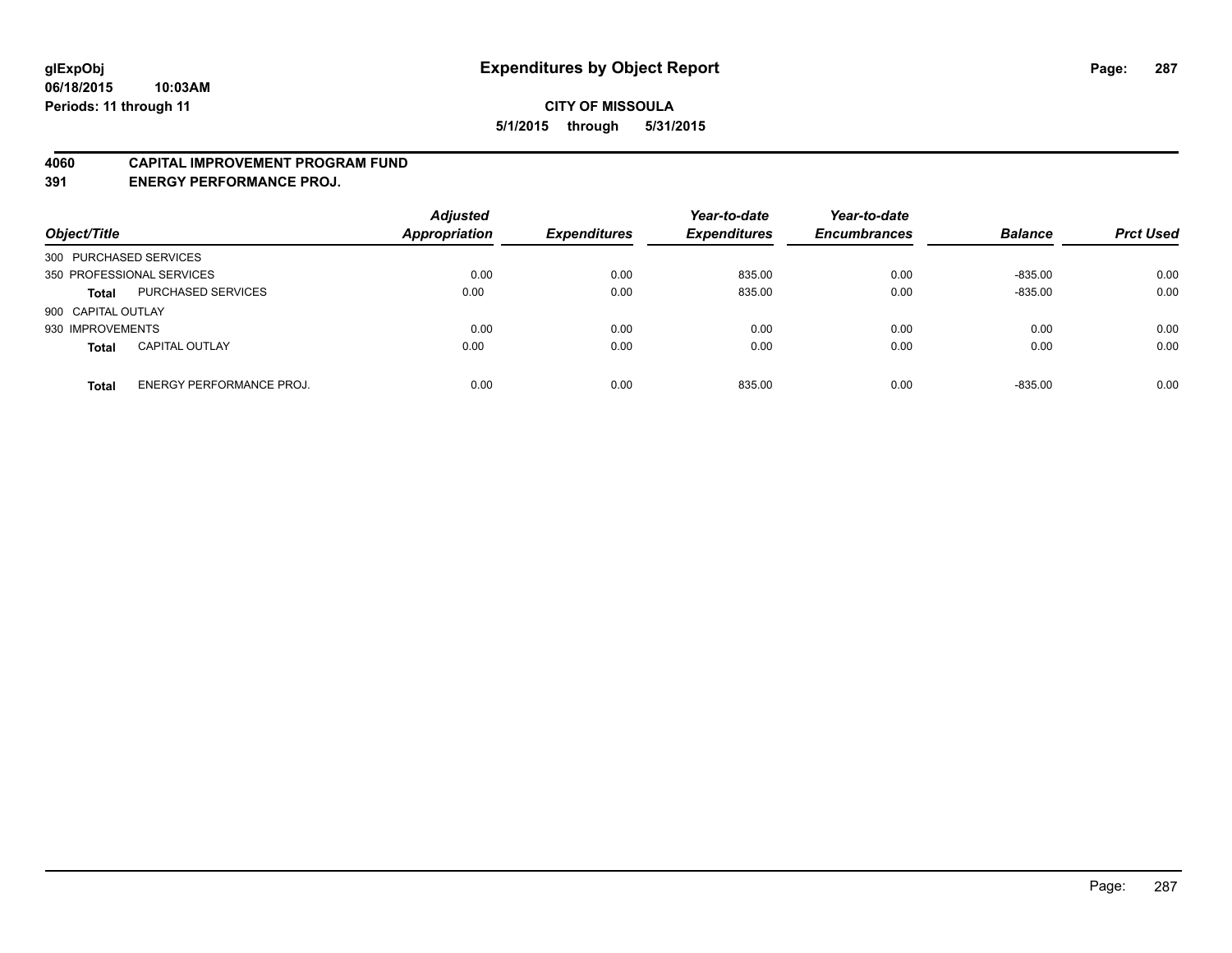#### **4060 CAPITAL IMPROVEMENT PROGRAM FUND**

**391 ENERGY PERFORMANCE PROJ.**

| Object/Title              |                                 | <b>Adjusted</b><br>Appropriation | <b>Expenditures</b> | Year-to-date<br><b>Expenditures</b> | Year-to-date<br><b>Encumbrances</b> | <b>Balance</b> | <b>Prct Used</b> |
|---------------------------|---------------------------------|----------------------------------|---------------------|-------------------------------------|-------------------------------------|----------------|------------------|
| 300 PURCHASED SERVICES    |                                 |                                  |                     |                                     |                                     |                |                  |
| 350 PROFESSIONAL SERVICES |                                 | 0.00                             | 0.00                | 835.00                              | 0.00                                | $-835.00$      | 0.00             |
| <b>Total</b>              | <b>PURCHASED SERVICES</b>       | 0.00                             | 0.00                | 835.00                              | 0.00                                | $-835.00$      | 0.00             |
| 900 CAPITAL OUTLAY        |                                 |                                  |                     |                                     |                                     |                |                  |
| 930 IMPROVEMENTS          |                                 | 0.00                             | 0.00                | 0.00                                | 0.00                                | 0.00           | 0.00             |
| <b>Total</b>              | <b>CAPITAL OUTLAY</b>           | 0.00                             | 0.00                | 0.00                                | 0.00                                | 0.00           | 0.00             |
| <b>Total</b>              | <b>ENERGY PERFORMANCE PROJ.</b> | 0.00                             | 0.00                | 835.00                              | 0.00                                | $-835.00$      | 0.00             |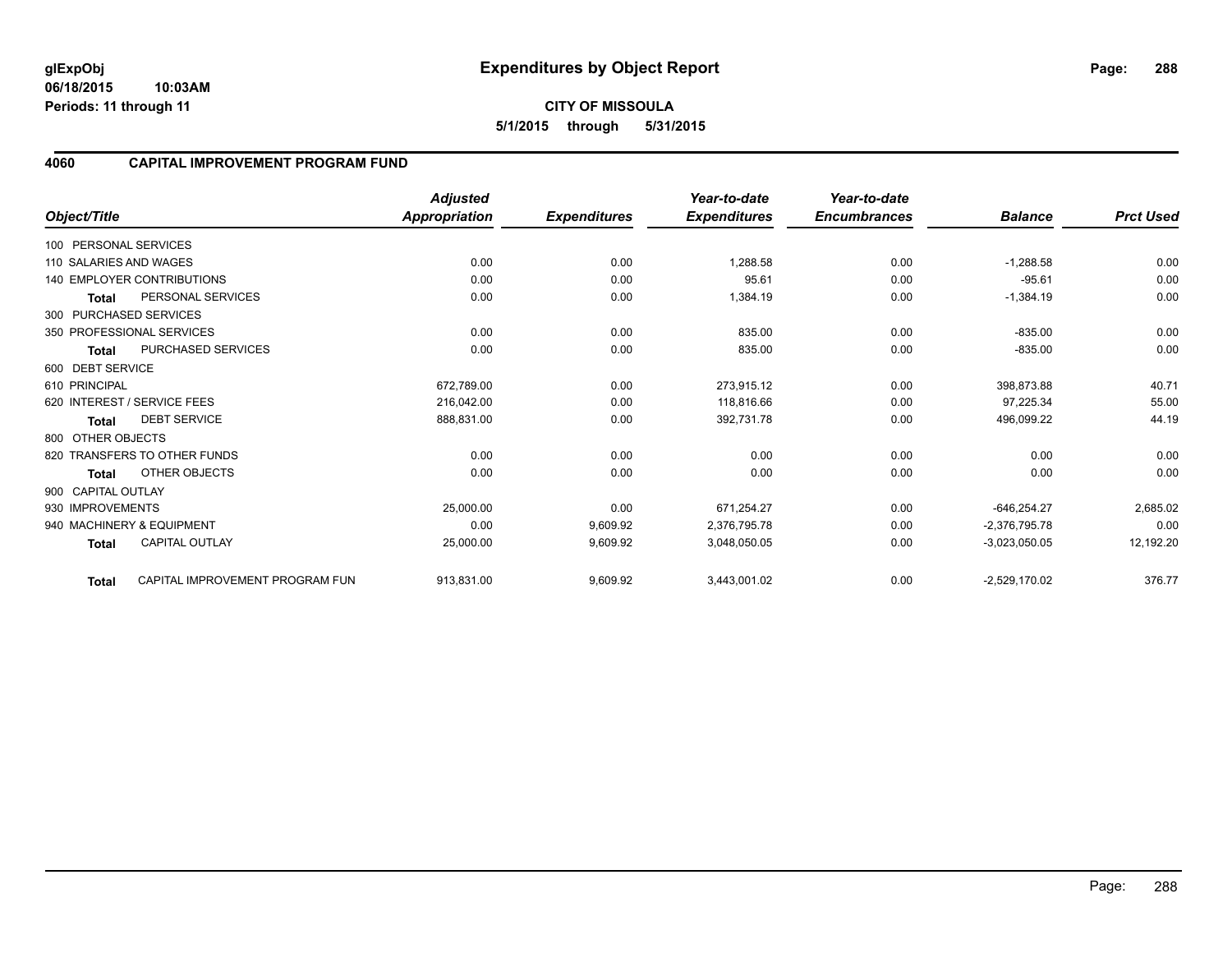**06/18/2015 10:03AM Periods: 11 through 11**

### **4060 CAPITAL IMPROVEMENT PROGRAM FUND**

|                        |                                   | <b>Adjusted</b>      |                     | Year-to-date        | Year-to-date        |                 |                  |
|------------------------|-----------------------------------|----------------------|---------------------|---------------------|---------------------|-----------------|------------------|
| Object/Title           |                                   | <b>Appropriation</b> | <b>Expenditures</b> | <b>Expenditures</b> | <b>Encumbrances</b> | <b>Balance</b>  | <b>Prct Used</b> |
| 100 PERSONAL SERVICES  |                                   |                      |                     |                     |                     |                 |                  |
| 110 SALARIES AND WAGES |                                   | 0.00                 | 0.00                | 1,288.58            | 0.00                | $-1,288.58$     | 0.00             |
|                        | <b>140 EMPLOYER CONTRIBUTIONS</b> | 0.00                 | 0.00                | 95.61               | 0.00                | $-95.61$        | 0.00             |
| <b>Total</b>           | PERSONAL SERVICES                 | 0.00                 | 0.00                | 1,384.19            | 0.00                | $-1,384.19$     | 0.00             |
|                        | 300 PURCHASED SERVICES            |                      |                     |                     |                     |                 |                  |
|                        | 350 PROFESSIONAL SERVICES         | 0.00                 | 0.00                | 835.00              | 0.00                | $-835.00$       | 0.00             |
| <b>Total</b>           | PURCHASED SERVICES                | 0.00                 | 0.00                | 835.00              | 0.00                | $-835.00$       | 0.00             |
| 600 DEBT SERVICE       |                                   |                      |                     |                     |                     |                 |                  |
| 610 PRINCIPAL          |                                   | 672,789.00           | 0.00                | 273,915.12          | 0.00                | 398,873.88      | 40.71            |
|                        | 620 INTEREST / SERVICE FEES       | 216,042.00           | 0.00                | 118,816.66          | 0.00                | 97,225.34       | 55.00            |
| Total                  | <b>DEBT SERVICE</b>               | 888,831.00           | 0.00                | 392,731.78          | 0.00                | 496,099.22      | 44.19            |
| 800 OTHER OBJECTS      |                                   |                      |                     |                     |                     |                 |                  |
|                        | 820 TRANSFERS TO OTHER FUNDS      | 0.00                 | 0.00                | 0.00                | 0.00                | 0.00            | 0.00             |
| Total                  | OTHER OBJECTS                     | 0.00                 | 0.00                | 0.00                | 0.00                | 0.00            | 0.00             |
| 900 CAPITAL OUTLAY     |                                   |                      |                     |                     |                     |                 |                  |
| 930 IMPROVEMENTS       |                                   | 25,000.00            | 0.00                | 671,254.27          | 0.00                | $-646,254.27$   | 2,685.02         |
|                        | 940 MACHINERY & EQUIPMENT         | 0.00                 | 9,609.92            | 2,376,795.78        | 0.00                | $-2,376,795.78$ | 0.00             |
| <b>Total</b>           | <b>CAPITAL OUTLAY</b>             | 25,000.00            | 9,609.92            | 3,048,050.05        | 0.00                | $-3,023,050.05$ | 12,192.20        |
| <b>Total</b>           | CAPITAL IMPROVEMENT PROGRAM FUN   | 913,831.00           | 9,609.92            | 3,443,001.02        | 0.00                | $-2,529,170.02$ | 376.77           |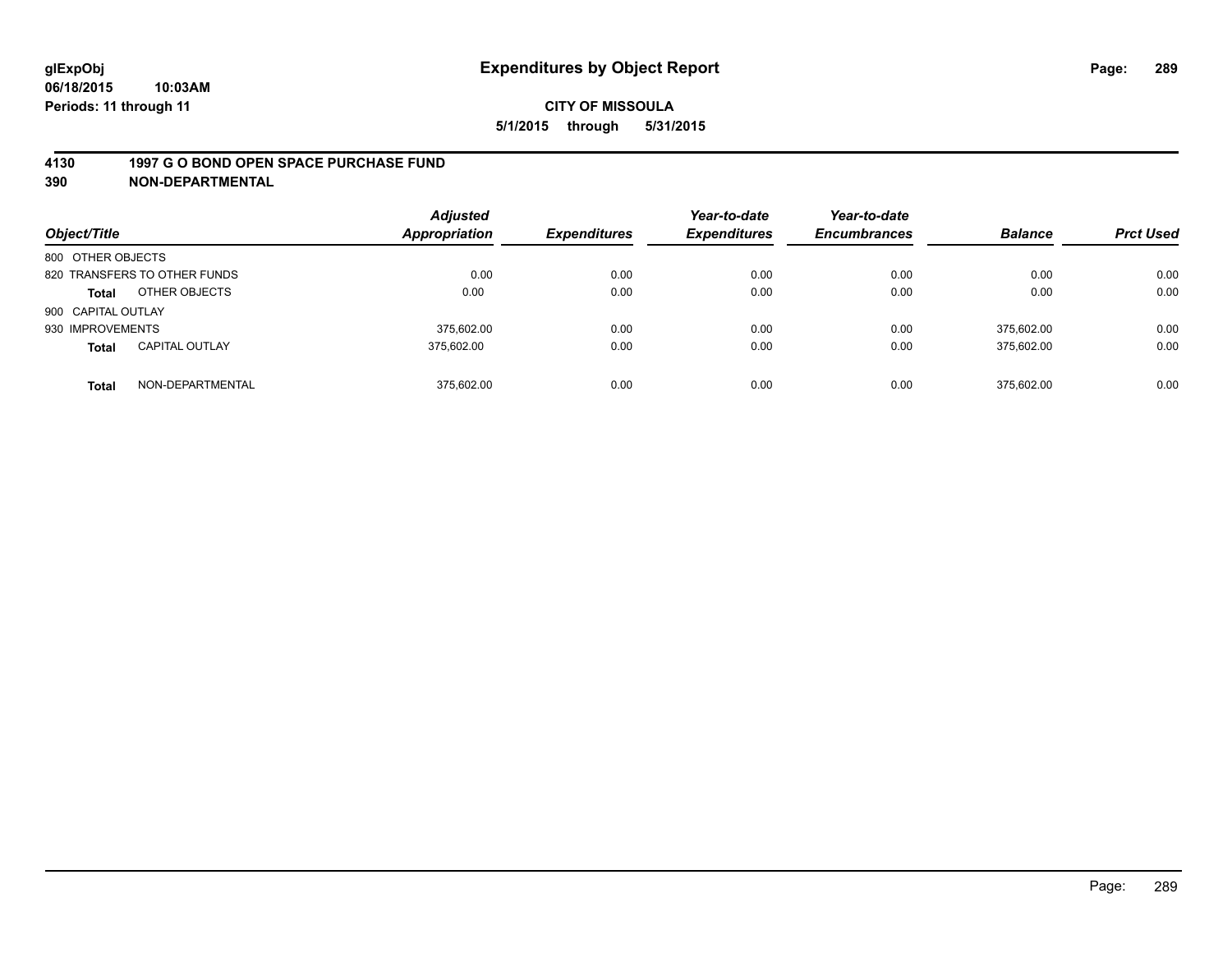### **4130 1997 G O BOND OPEN SPACE PURCHASE FUND**

**390 NON-DEPARTMENTAL**

| Object/Title       |                              | <b>Adjusted</b><br><b>Appropriation</b> | <b>Expenditures</b> | Year-to-date<br><b>Expenditures</b> | Year-to-date<br><b>Encumbrances</b> | <b>Balance</b> | <b>Prct Used</b> |
|--------------------|------------------------------|-----------------------------------------|---------------------|-------------------------------------|-------------------------------------|----------------|------------------|
| 800 OTHER OBJECTS  |                              |                                         |                     |                                     |                                     |                |                  |
|                    | 820 TRANSFERS TO OTHER FUNDS | 0.00                                    | 0.00                | 0.00                                | 0.00                                | 0.00           | 0.00             |
| <b>Total</b>       | OTHER OBJECTS                | 0.00                                    | 0.00                | 0.00                                | 0.00                                | 0.00           | 0.00             |
| 900 CAPITAL OUTLAY |                              |                                         |                     |                                     |                                     |                |                  |
| 930 IMPROVEMENTS   |                              | 375.602.00                              | 0.00                | 0.00                                | 0.00                                | 375.602.00     | 0.00             |
| <b>Total</b>       | <b>CAPITAL OUTLAY</b>        | 375.602.00                              | 0.00                | 0.00                                | 0.00                                | 375,602.00     | 0.00             |
| <b>Total</b>       | NON-DEPARTMENTAL             | 375.602.00                              | 0.00                | 0.00                                | 0.00                                | 375.602.00     | 0.00             |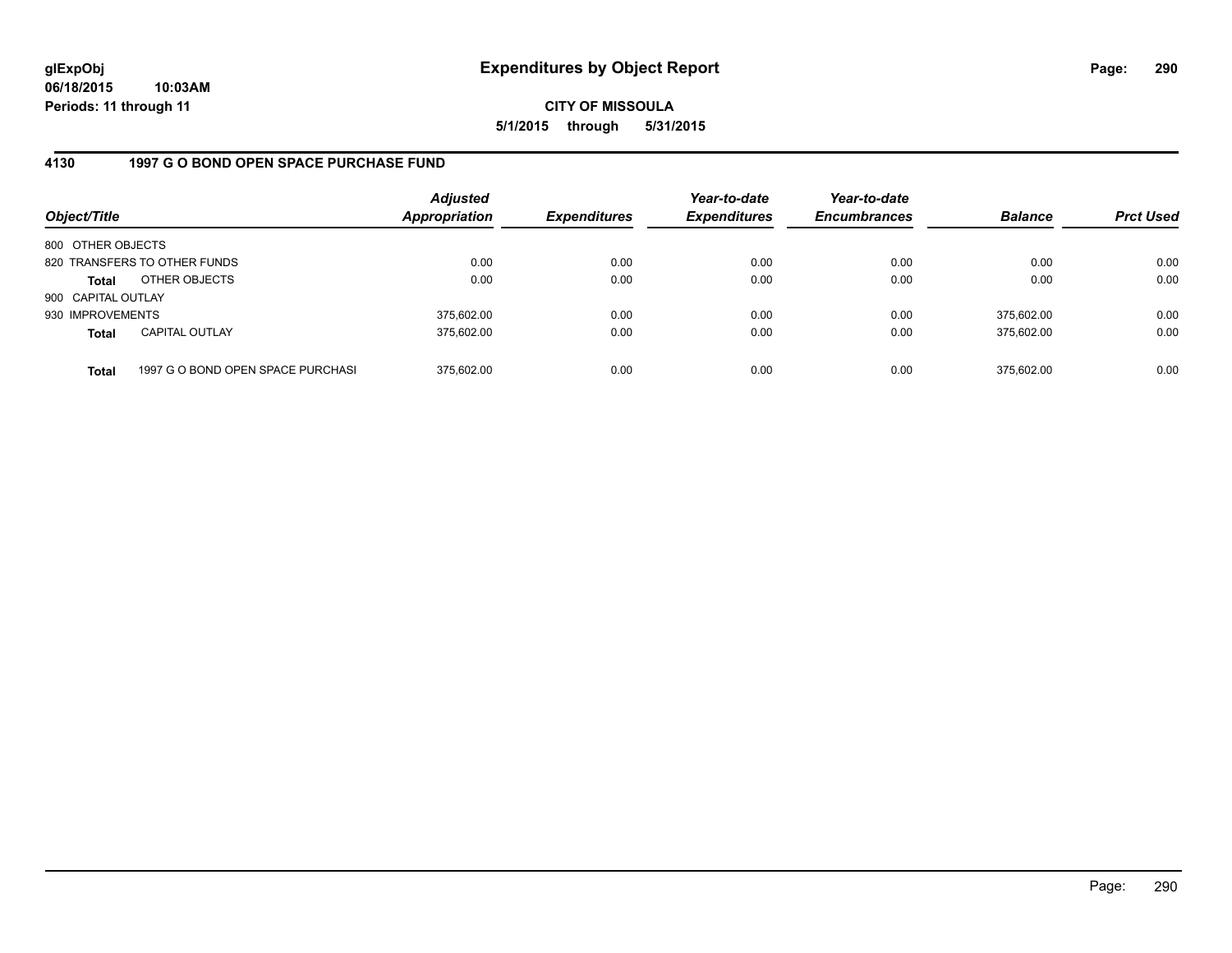**06/18/2015 10:03AM Periods: 11 through 11**

**CITY OF MISSOULA 5/1/2015 through 5/31/2015**

### **4130 1997 G O BOND OPEN SPACE PURCHASE FUND**

| Object/Title       |                                   | <b>Adjusted</b><br>Appropriation | <b>Expenditures</b> | Year-to-date<br><b>Expenditures</b> | Year-to-date<br><b>Encumbrances</b> | <b>Balance</b> | <b>Prct Used</b> |
|--------------------|-----------------------------------|----------------------------------|---------------------|-------------------------------------|-------------------------------------|----------------|------------------|
| 800 OTHER OBJECTS  |                                   |                                  |                     |                                     |                                     |                |                  |
|                    | 820 TRANSFERS TO OTHER FUNDS      | 0.00                             | 0.00                | 0.00                                | 0.00                                | 0.00           | 0.00             |
| Total              | OTHER OBJECTS                     | 0.00                             | 0.00                | 0.00                                | 0.00                                | 0.00           | 0.00             |
| 900 CAPITAL OUTLAY |                                   |                                  |                     |                                     |                                     |                |                  |
| 930 IMPROVEMENTS   |                                   | 375,602.00                       | 0.00                | 0.00                                | 0.00                                | 375.602.00     | 0.00             |
| <b>Total</b>       | <b>CAPITAL OUTLAY</b>             | 375,602.00                       | 0.00                | 0.00                                | 0.00                                | 375,602.00     | 0.00             |
| <b>Total</b>       | 1997 G O BOND OPEN SPACE PURCHASI | 375,602.00                       | 0.00                | 0.00                                | 0.00                                | 375.602.00     | 0.00             |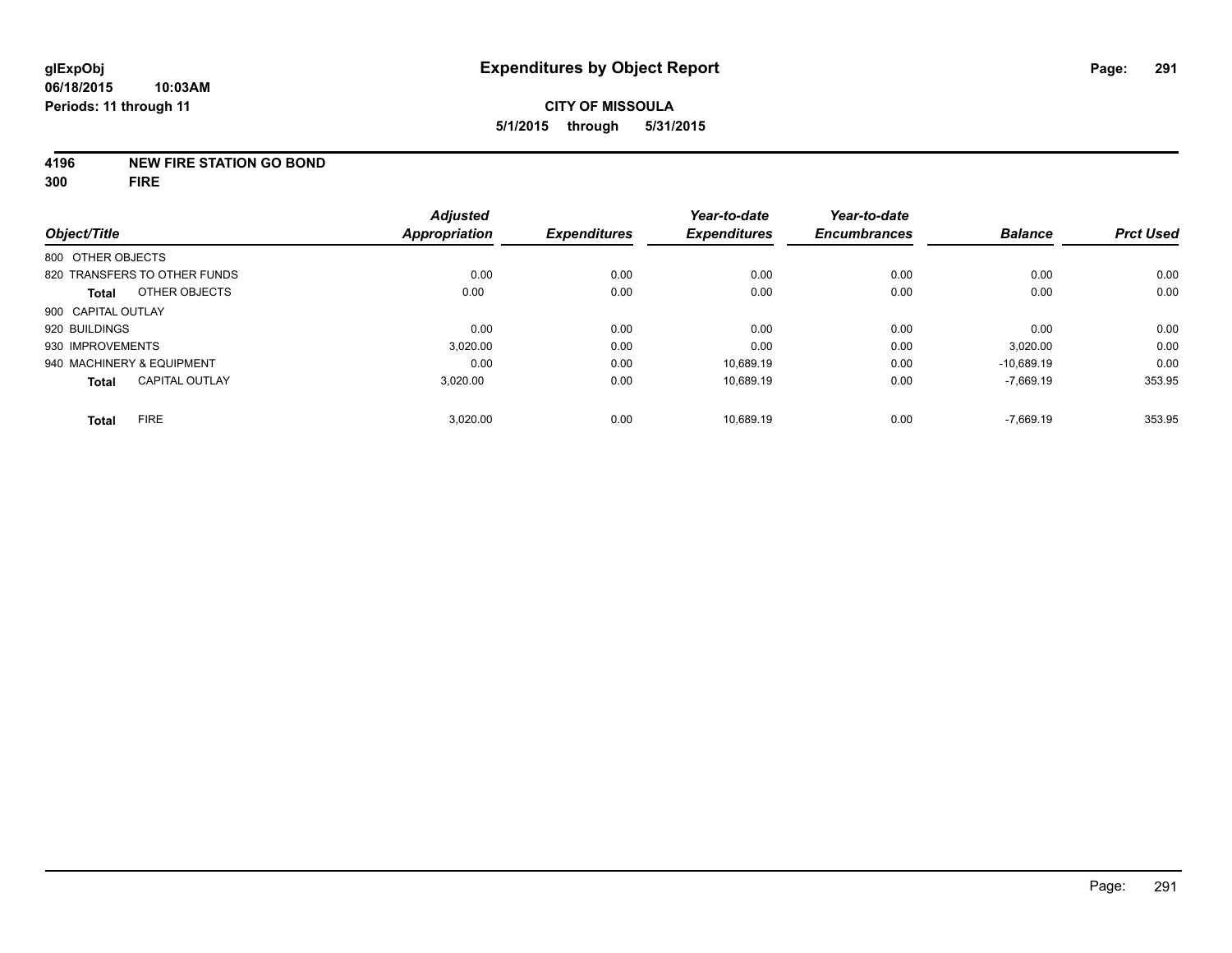### **4196 NEW FIRE STATION GO BOND**

**300 FIRE**

|                              |                       | <b>Adjusted</b>      |                     | Year-to-date        | Year-to-date        |                |                  |
|------------------------------|-----------------------|----------------------|---------------------|---------------------|---------------------|----------------|------------------|
| Object/Title                 |                       | <b>Appropriation</b> | <b>Expenditures</b> | <b>Expenditures</b> | <b>Encumbrances</b> | <b>Balance</b> | <b>Prct Used</b> |
| 800 OTHER OBJECTS            |                       |                      |                     |                     |                     |                |                  |
| 820 TRANSFERS TO OTHER FUNDS |                       | 0.00                 | 0.00                | 0.00                | 0.00                | 0.00           | 0.00             |
| <b>Total</b>                 | OTHER OBJECTS         | 0.00                 | 0.00                | 0.00                | 0.00                | 0.00           | 0.00             |
| 900 CAPITAL OUTLAY           |                       |                      |                     |                     |                     |                |                  |
| 920 BUILDINGS                |                       | 0.00                 | 0.00                | 0.00                | 0.00                | 0.00           | 0.00             |
| 930 IMPROVEMENTS             |                       | 3.020.00             | 0.00                | 0.00                | 0.00                | 3,020.00       | 0.00             |
| 940 MACHINERY & EQUIPMENT    |                       | 0.00                 | 0.00                | 10.689.19           | 0.00                | $-10.689.19$   | 0.00             |
| <b>Total</b>                 | <b>CAPITAL OUTLAY</b> | 3,020.00             | 0.00                | 10,689.19           | 0.00                | $-7,669.19$    | 353.95           |
| <b>Total</b>                 | <b>FIRE</b>           | 3,020.00             | 0.00                | 10.689.19           | 0.00                | $-7,669.19$    | 353.95           |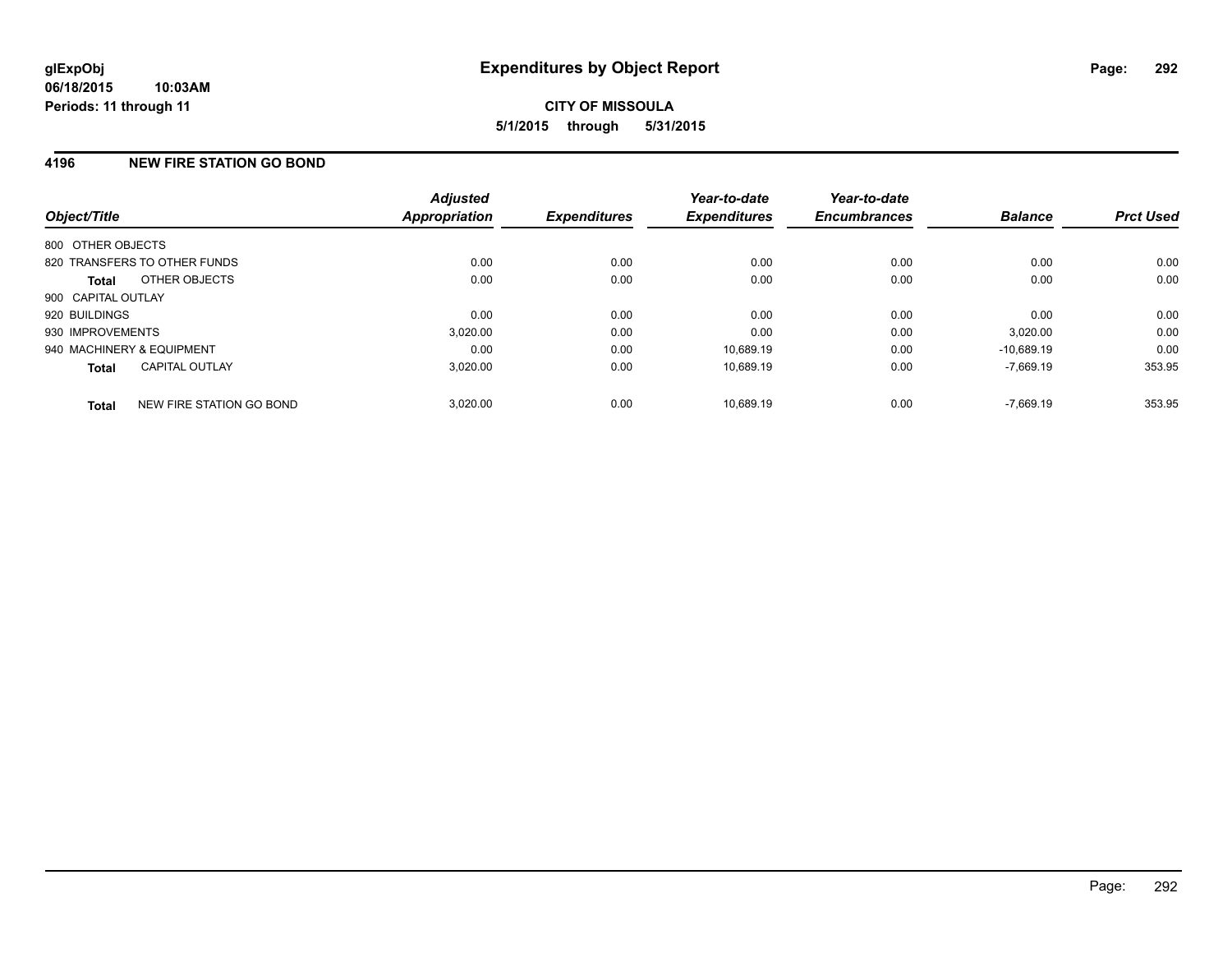### **4196 NEW FIRE STATION GO BOND**

| Object/Title              |                              | <b>Adjusted</b><br><b>Appropriation</b> | <b>Expenditures</b> | Year-to-date<br><b>Expenditures</b> | Year-to-date<br><b>Encumbrances</b> | <b>Balance</b> | <b>Prct Used</b> |
|---------------------------|------------------------------|-----------------------------------------|---------------------|-------------------------------------|-------------------------------------|----------------|------------------|
| 800 OTHER OBJECTS         |                              |                                         |                     |                                     |                                     |                |                  |
|                           | 820 TRANSFERS TO OTHER FUNDS | 0.00                                    | 0.00                | 0.00                                | 0.00                                | 0.00           | 0.00             |
| <b>Total</b>              | OTHER OBJECTS                | 0.00                                    | 0.00                | 0.00                                | 0.00                                | 0.00           | 0.00             |
| 900 CAPITAL OUTLAY        |                              |                                         |                     |                                     |                                     |                |                  |
| 920 BUILDINGS             |                              | 0.00                                    | 0.00                | 0.00                                | 0.00                                | 0.00           | 0.00             |
| 930 IMPROVEMENTS          |                              | 3,020.00                                | 0.00                | 0.00                                | 0.00                                | 3,020.00       | 0.00             |
| 940 MACHINERY & EQUIPMENT |                              | 0.00                                    | 0.00                | 10.689.19                           | 0.00                                | $-10.689.19$   | 0.00             |
| <b>Total</b>              | <b>CAPITAL OUTLAY</b>        | 3,020.00                                | 0.00                | 10,689.19                           | 0.00                                | $-7,669.19$    | 353.95           |
| <b>Total</b>              | NEW FIRE STATION GO BOND     | 3.020.00                                | 0.00                | 10.689.19                           | 0.00                                | $-7.669.19$    | 353.95           |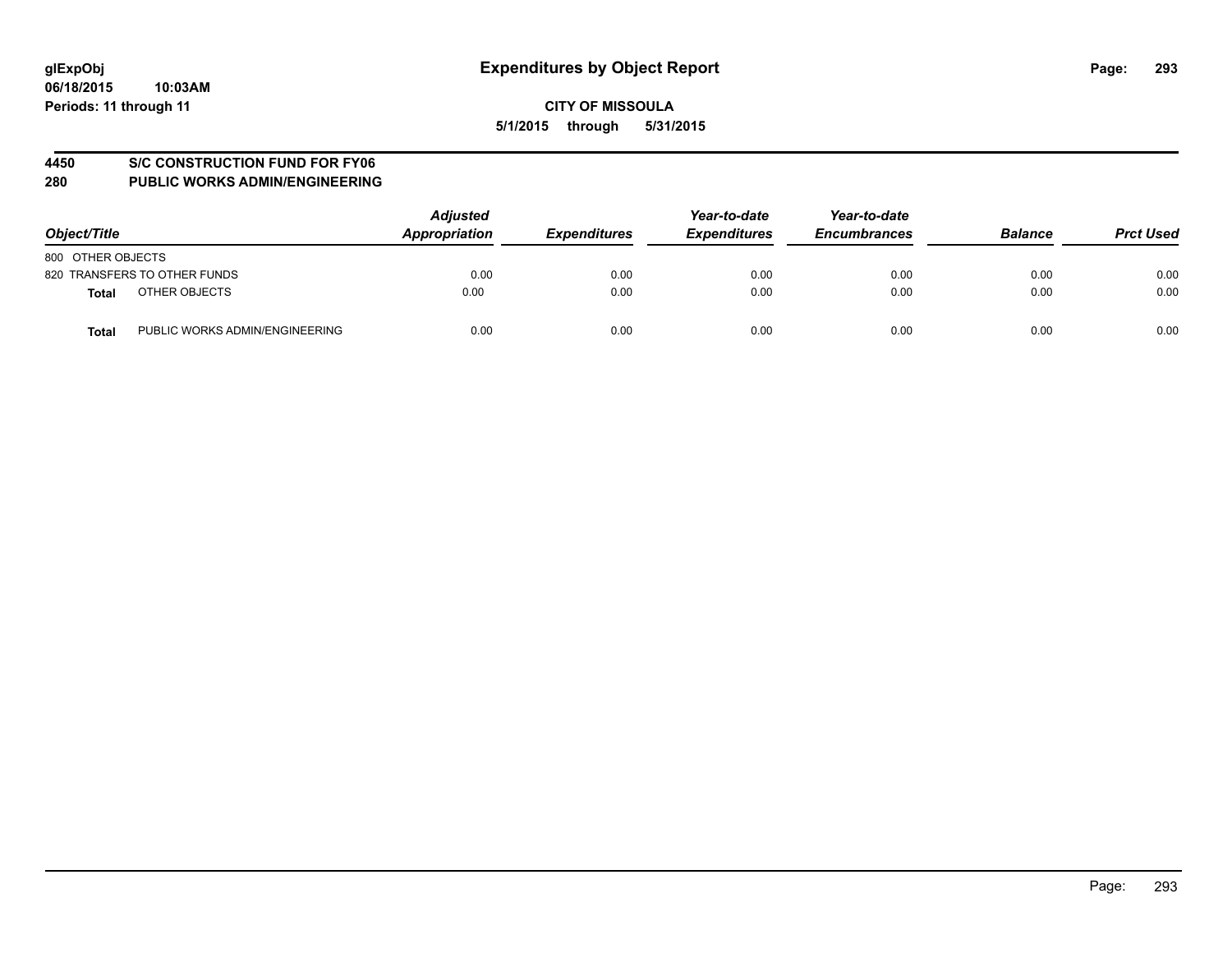### **4450 S/C CONSTRUCTION FUND FOR FY06**

| Object/Title                                   | <b>Adjusted</b><br>Appropriation | <b>Expenditures</b> | Year-to-date<br><b>Expenditures</b> | Year-to-date<br><b>Encumbrances</b> | <b>Balance</b> | <b>Prct Used</b> |
|------------------------------------------------|----------------------------------|---------------------|-------------------------------------|-------------------------------------|----------------|------------------|
| 800 OTHER OBJECTS                              |                                  |                     |                                     |                                     |                |                  |
| 820 TRANSFERS TO OTHER FUNDS                   | 0.00                             | 0.00                | 0.00                                | 0.00                                | 0.00           | 0.00             |
| OTHER OBJECTS<br><b>Total</b>                  | 0.00                             | 0.00                | 0.00                                | 0.00                                | 0.00           | 0.00             |
| PUBLIC WORKS ADMIN/ENGINEERING<br><b>Total</b> | 0.00                             | 0.00                | 0.00                                | 0.00                                | 0.00           | 0.00             |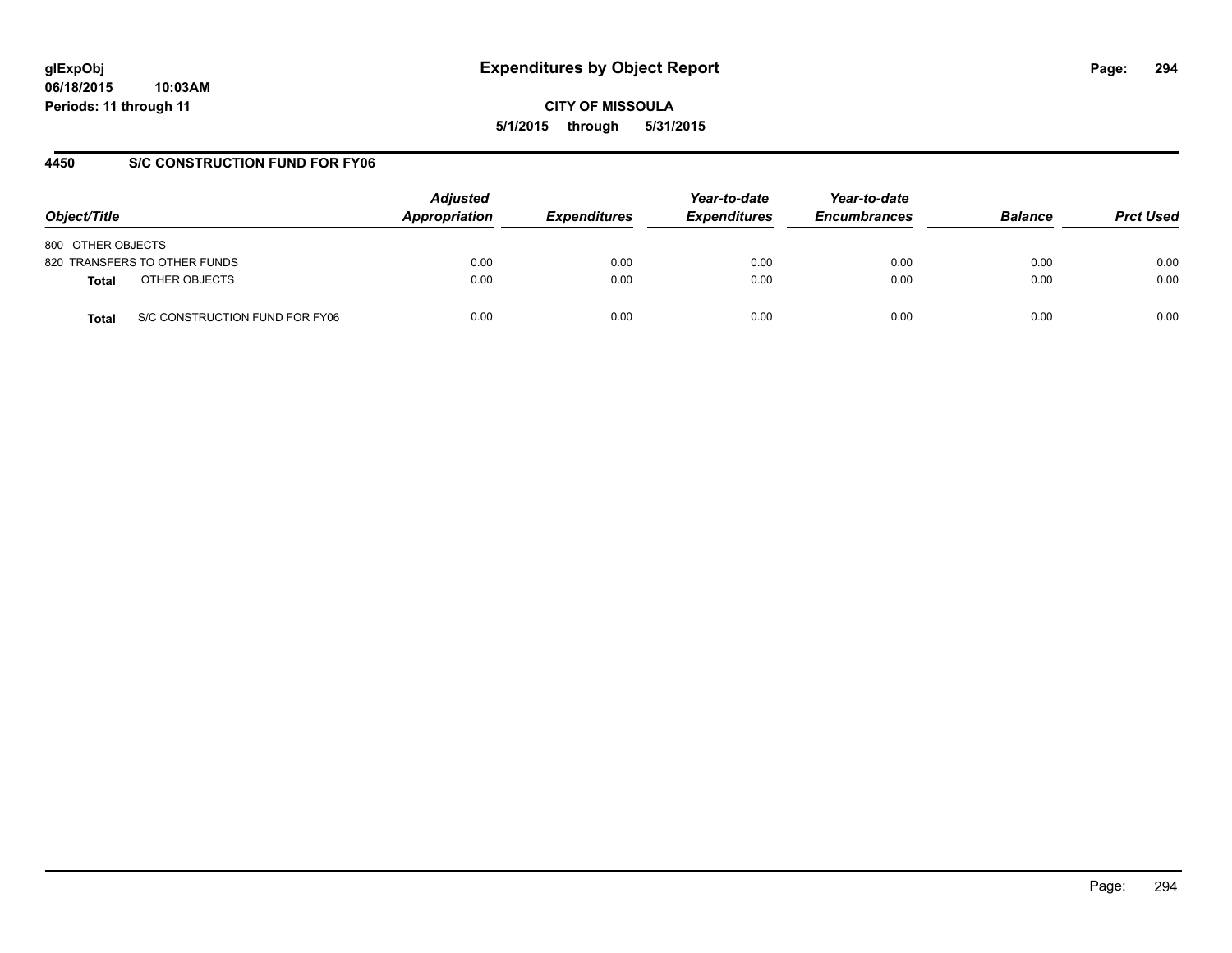**06/18/2015 10:03AM Periods: 11 through 11**

**CITY OF MISSOULA 5/1/2015 through 5/31/2015**

### **4450 S/C CONSTRUCTION FUND FOR FY06**

| Object/Title                            | <b>Adjusted</b><br>Appropriation | <b>Expenditures</b> | Year-to-date<br><b>Expenditures</b> | Year-to-date<br><b>Encumbrances</b> | <b>Balance</b> | <b>Prct Used</b> |
|-----------------------------------------|----------------------------------|---------------------|-------------------------------------|-------------------------------------|----------------|------------------|
| 800 OTHER OBJECTS                       |                                  |                     |                                     |                                     |                |                  |
| 820 TRANSFERS TO OTHER FUNDS            | 0.00                             | 0.00                | 0.00                                | 0.00                                | 0.00           | 0.00             |
| OTHER OBJECTS<br><b>Total</b>           | 0.00                             | 0.00                | 0.00                                | 0.00                                | 0.00           | 0.00             |
| S/C CONSTRUCTION FUND FOR FY06<br>Total | 0.00                             | 0.00                | 0.00                                | 0.00                                | 0.00           | 0.00             |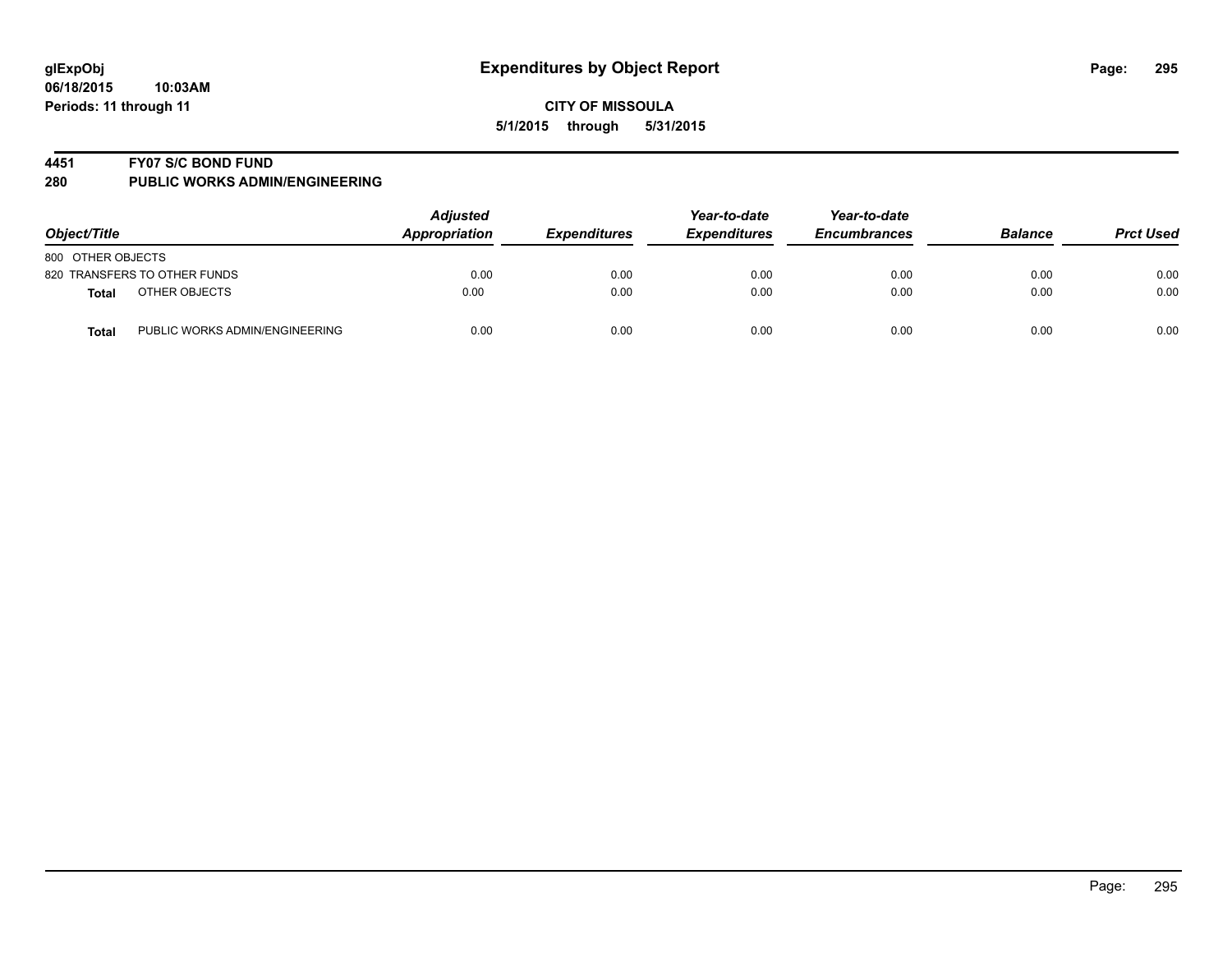### **4451 FY07 S/C BOND FUND**

| Object/Title                            | <b>Adjusted</b><br>Appropriation | <b>Expenditures</b> | Year-to-date<br><b>Expenditures</b> | Year-to-date<br><b>Encumbrances</b> | <b>Balance</b> | <b>Prct Used</b> |
|-----------------------------------------|----------------------------------|---------------------|-------------------------------------|-------------------------------------|----------------|------------------|
| 800 OTHER OBJECTS                       |                                  |                     |                                     |                                     |                |                  |
| 820 TRANSFERS TO OTHER FUNDS            | 0.00                             | 0.00                | 0.00                                | 0.00                                | 0.00           | 0.00             |
| OTHER OBJECTS<br>Total                  | 0.00                             | 0.00                | 0.00                                | 0.00                                | 0.00           | 0.00             |
| PUBLIC WORKS ADMIN/ENGINEERING<br>Total | 0.00                             | 0.00                | 0.00                                | 0.00                                | 0.00           | 0.00             |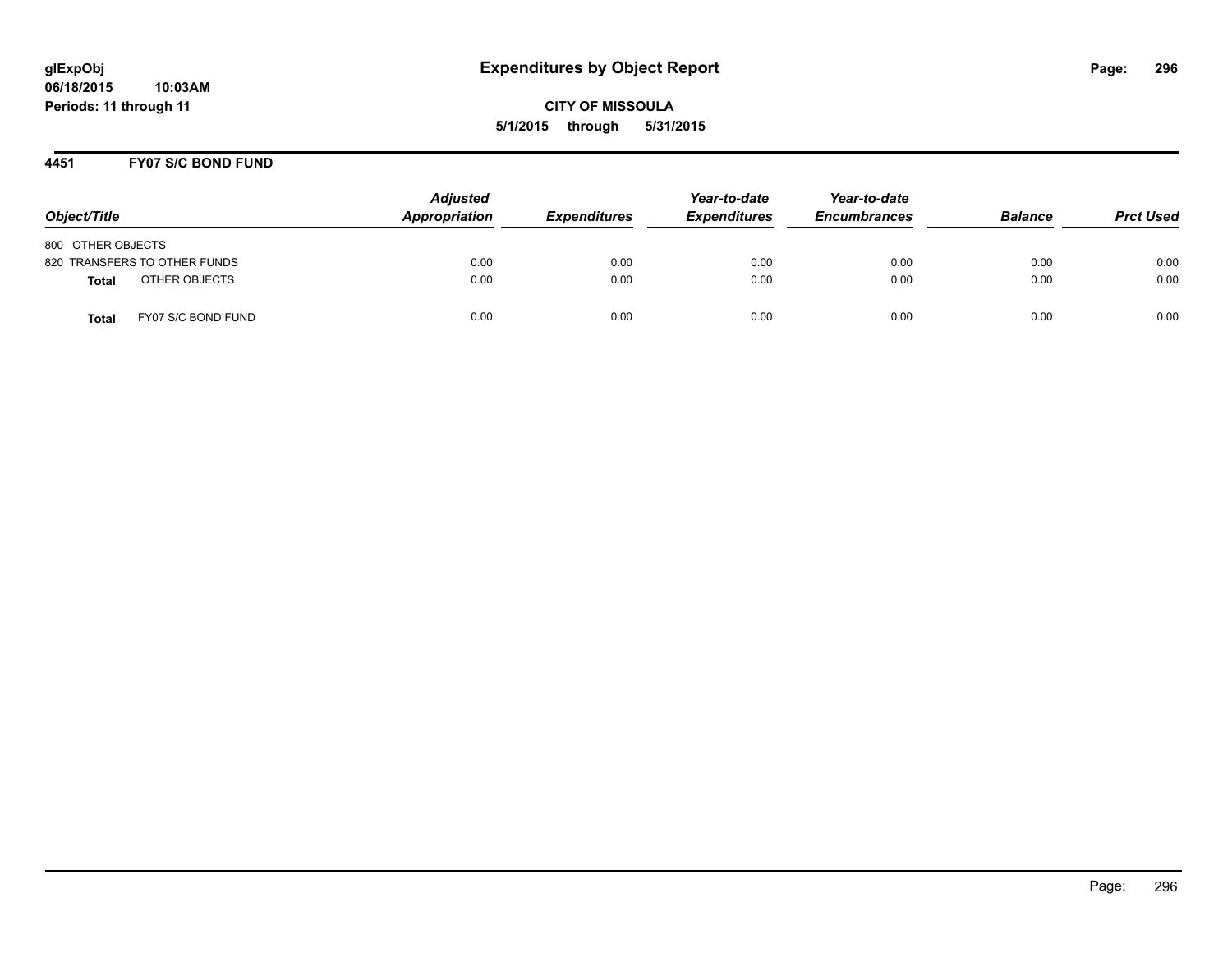### **4451 FY07 S/C BOND FUND**

| Object/Title                       | <b>Adjusted</b><br>Appropriation | <b>Expenditures</b> | Year-to-date<br><b>Expenditures</b> | Year-to-date<br><b>Encumbrances</b> | <b>Balance</b> | <b>Prct Used</b> |
|------------------------------------|----------------------------------|---------------------|-------------------------------------|-------------------------------------|----------------|------------------|
| 800 OTHER OBJECTS                  |                                  |                     |                                     |                                     |                |                  |
| 820 TRANSFERS TO OTHER FUNDS       | 0.00                             | 0.00                | 0.00                                | 0.00                                | 0.00           | 0.00             |
| OTHER OBJECTS<br><b>Total</b>      | 0.00                             | 0.00                | 0.00                                | 0.00                                | 0.00           | 0.00             |
| FY07 S/C BOND FUND<br><b>Total</b> | 0.00                             | 0.00                | 0.00                                | 0.00                                | 0.00           | 0.00             |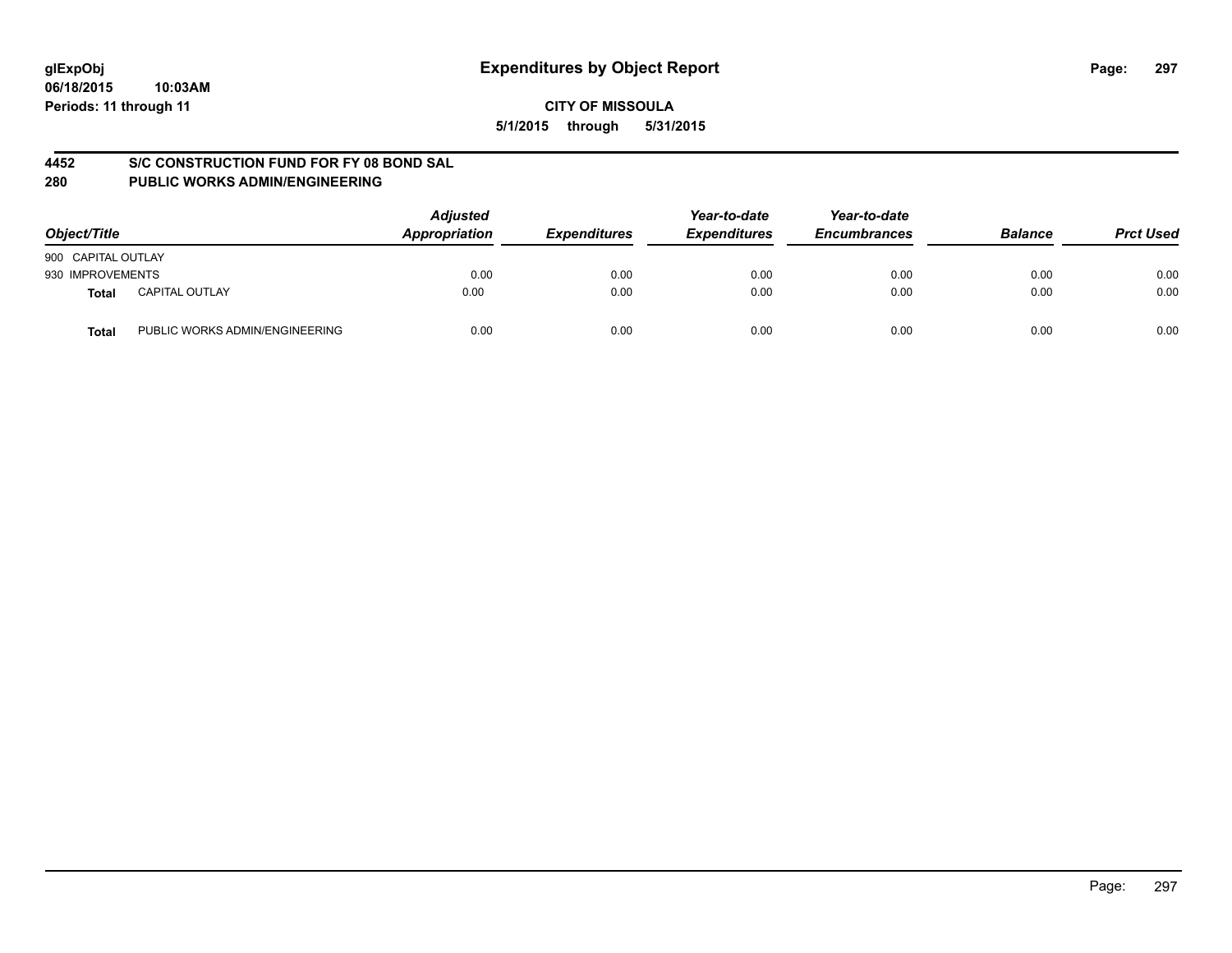### **4452 S/C CONSTRUCTION FUND FOR FY 08 BOND SAL**

| Object/Title                            | <b>Adjusted</b><br>Appropriation | <b>Expenditures</b> | Year-to-date<br><b>Expenditures</b> | Year-to-date<br><b>Encumbrances</b> | <b>Balance</b> | <b>Prct Used</b> |
|-----------------------------------------|----------------------------------|---------------------|-------------------------------------|-------------------------------------|----------------|------------------|
| 900 CAPITAL OUTLAY                      |                                  |                     |                                     |                                     |                |                  |
| 930 IMPROVEMENTS                        | 0.00                             | 0.00                | 0.00                                | 0.00                                | 0.00           | 0.00             |
| <b>CAPITAL OUTLAY</b><br>Total          | 0.00                             | 0.00                | 0.00                                | 0.00                                | 0.00           | 0.00             |
| PUBLIC WORKS ADMIN/ENGINEERING<br>Total | 0.00                             | 0.00                | 0.00                                | 0.00                                | 0.00           | 0.00             |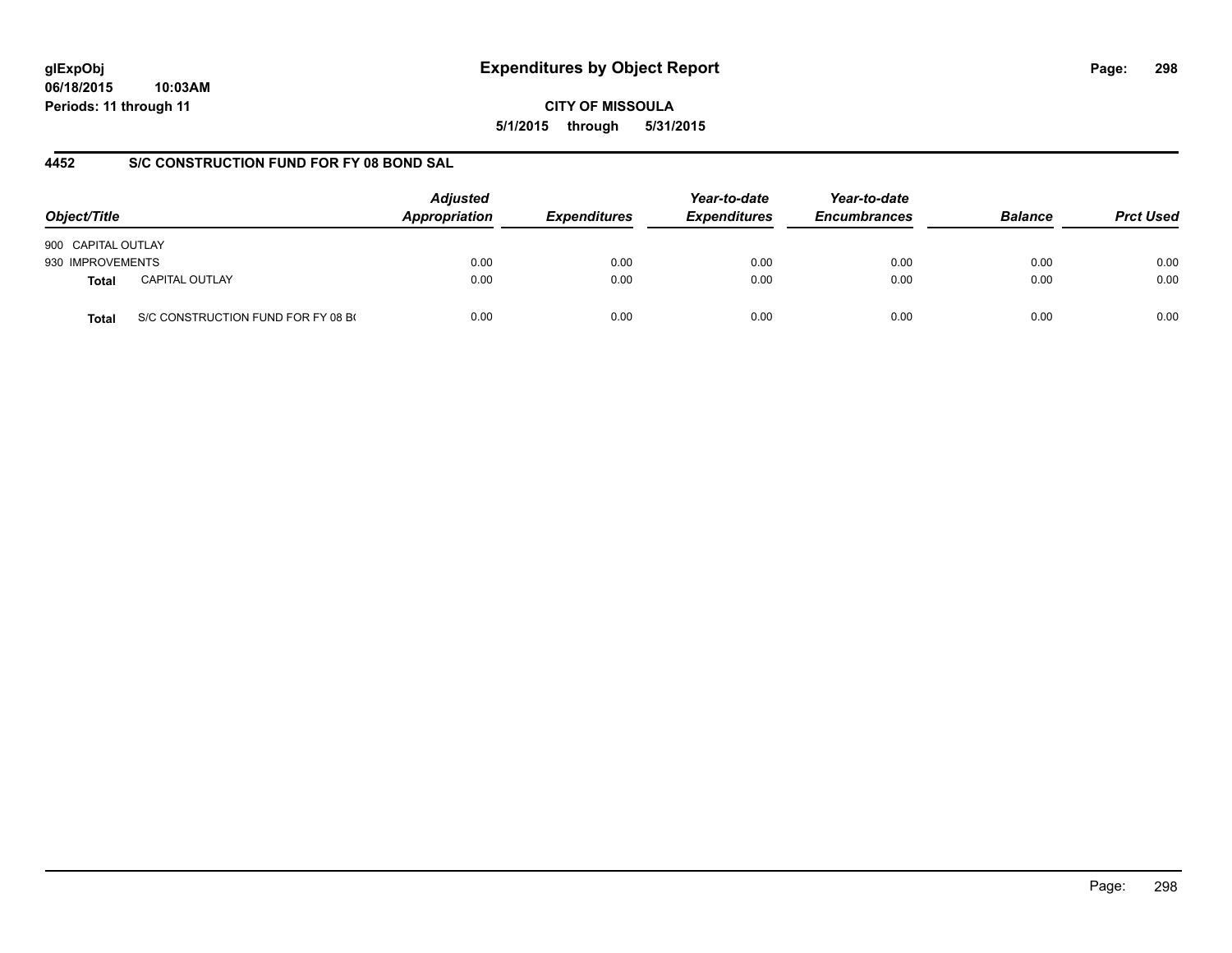# **glExpObj Expenditures by Object Report Page: 298**

**06/18/2015 10:03AM Periods: 11 through 11**

**CITY OF MISSOULA 5/1/2015 through 5/31/2015**

### **4452 S/C CONSTRUCTION FUND FOR FY 08 BOND SAL**

| Object/Title       |                                    | <b>Adjusted</b><br>Appropriation | <b>Expenditures</b> | Year-to-date<br><b>Expenditures</b> | Year-to-date<br><b>Encumbrances</b> | <b>Balance</b> | <b>Prct Used</b> |
|--------------------|------------------------------------|----------------------------------|---------------------|-------------------------------------|-------------------------------------|----------------|------------------|
| 900 CAPITAL OUTLAY |                                    |                                  |                     |                                     |                                     |                |                  |
| 930 IMPROVEMENTS   |                                    | 0.00                             | 0.00                | 0.00                                | 0.00                                | 0.00           | 0.00             |
| Total              | <b>CAPITAL OUTLAY</b>              | 0.00                             | 0.00                | 0.00                                | 0.00                                | 0.00           | 0.00             |
| Total              | S/C CONSTRUCTION FUND FOR FY 08 BO | 0.00                             | 0.00                | 0.00                                | 0.00                                | 0.00           | 0.00             |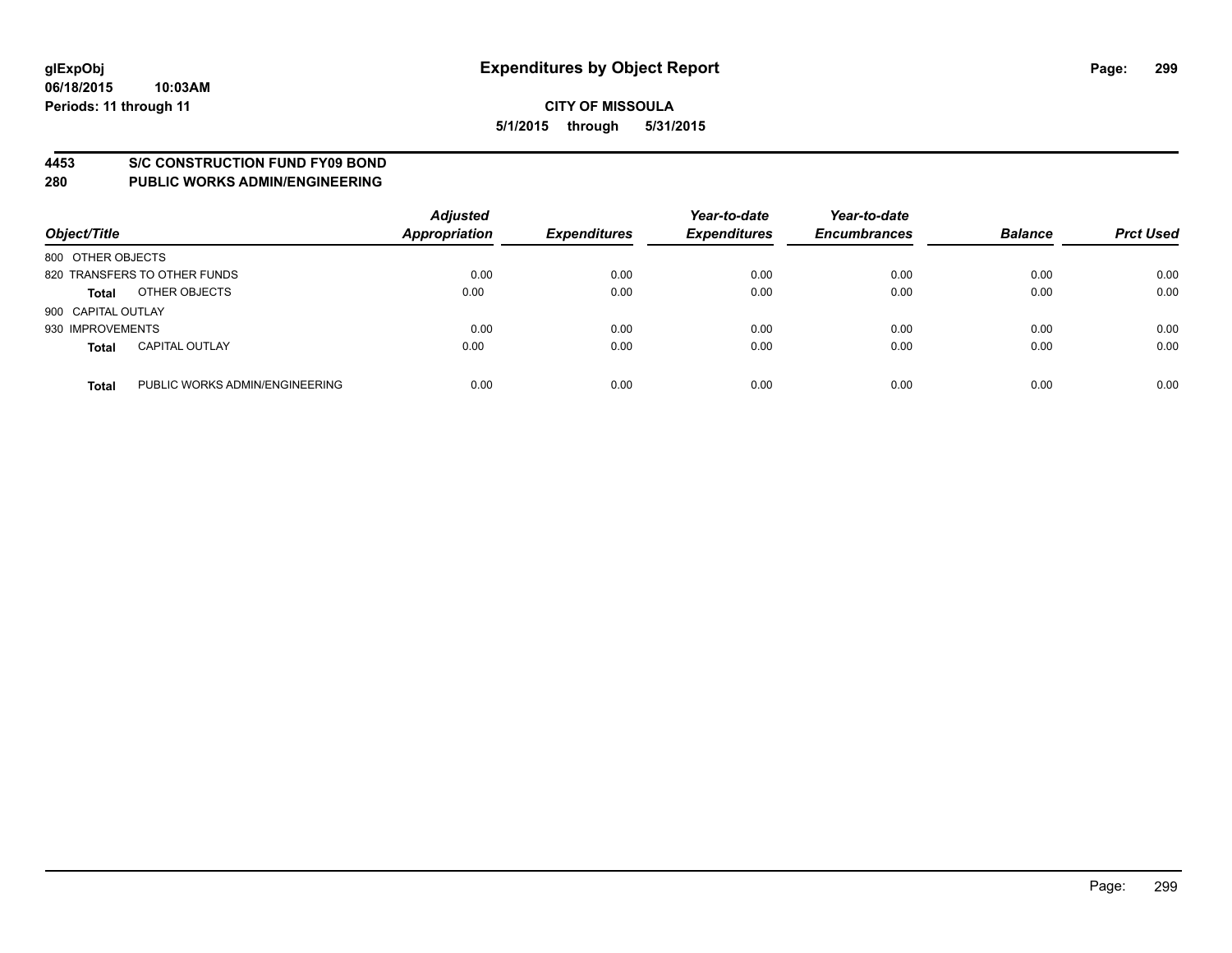### **4453 S/C CONSTRUCTION FUND FY09 BOND**

| Object/Title       |                                | <b>Adjusted</b><br>Appropriation | <b>Expenditures</b> | Year-to-date<br><b>Expenditures</b> | Year-to-date<br><b>Encumbrances</b> | <b>Balance</b> | <b>Prct Used</b> |
|--------------------|--------------------------------|----------------------------------|---------------------|-------------------------------------|-------------------------------------|----------------|------------------|
| 800 OTHER OBJECTS  |                                |                                  |                     |                                     |                                     |                |                  |
|                    | 820 TRANSFERS TO OTHER FUNDS   | 0.00                             | 0.00                | 0.00                                | 0.00                                | 0.00           | 0.00             |
| <b>Total</b>       | OTHER OBJECTS                  | 0.00                             | 0.00                | 0.00                                | 0.00                                | 0.00           | 0.00             |
| 900 CAPITAL OUTLAY |                                |                                  |                     |                                     |                                     |                |                  |
| 930 IMPROVEMENTS   |                                | 0.00                             | 0.00                | 0.00                                | 0.00                                | 0.00           | 0.00             |
| <b>Total</b>       | <b>CAPITAL OUTLAY</b>          | 0.00                             | 0.00                | 0.00                                | 0.00                                | 0.00           | 0.00             |
| <b>Total</b>       | PUBLIC WORKS ADMIN/ENGINEERING | 0.00                             | 0.00                | 0.00                                | 0.00                                | 0.00           | 0.00             |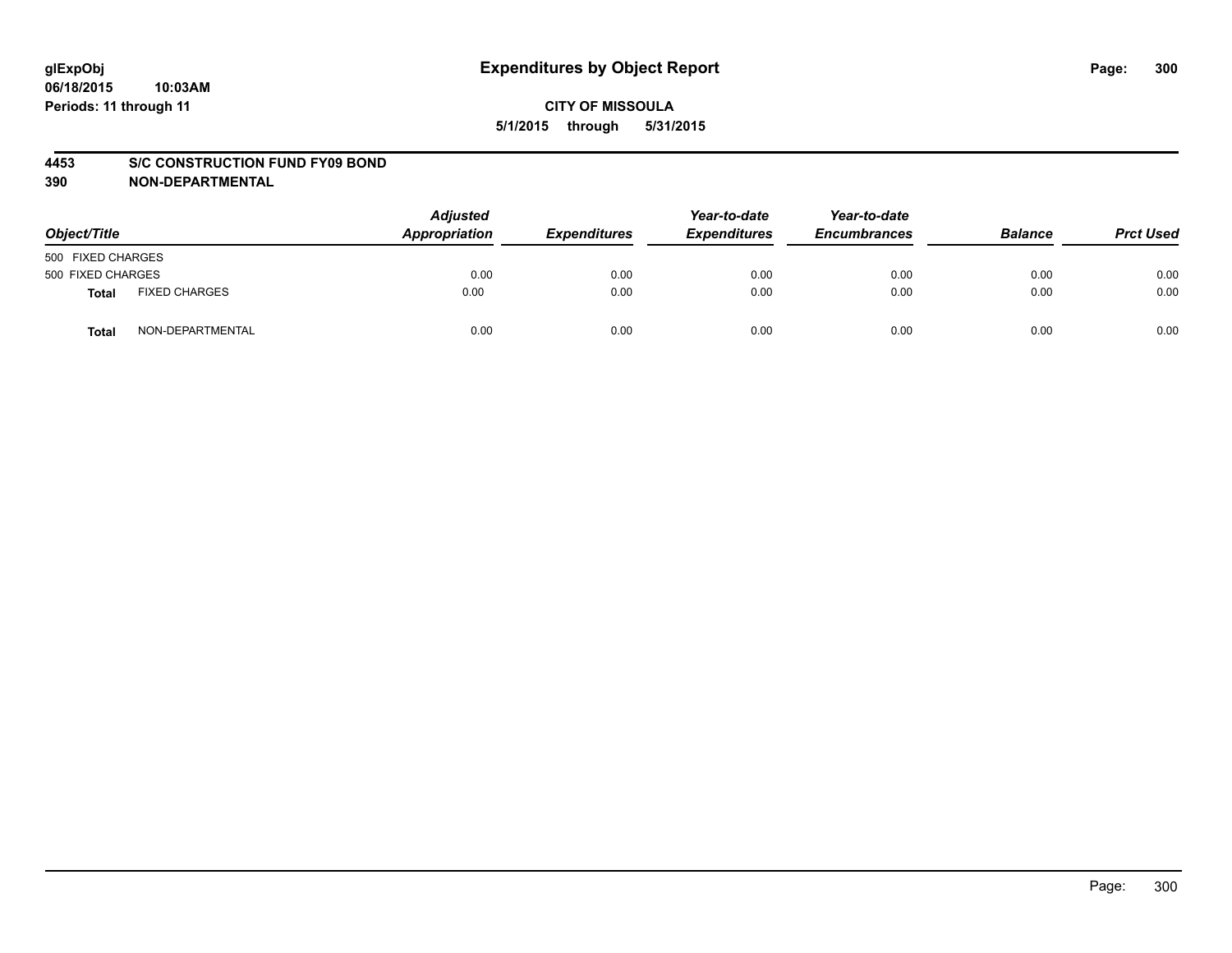### **4453 S/C CONSTRUCTION FUND FY09 BOND**

**390 NON-DEPARTMENTAL**

| Object/Title      |                      | <b>Adjusted</b><br>Appropriation | <b>Expenditures</b> | Year-to-date<br><b>Expenditures</b> | Year-to-date<br><b>Encumbrances</b> | <b>Balance</b> | <b>Prct Used</b> |
|-------------------|----------------------|----------------------------------|---------------------|-------------------------------------|-------------------------------------|----------------|------------------|
| 500 FIXED CHARGES |                      |                                  |                     |                                     |                                     |                |                  |
| 500 FIXED CHARGES |                      | 0.00                             | 0.00                | 0.00                                | 0.00                                | 0.00           | 0.00             |
| <b>Total</b>      | <b>FIXED CHARGES</b> | 0.00                             | 0.00                | 0.00                                | 0.00                                | 0.00           | 0.00             |
| Total             | NON-DEPARTMENTAL     | 0.00                             | 0.00                | 0.00                                | 0.00                                | 0.00           | 0.00             |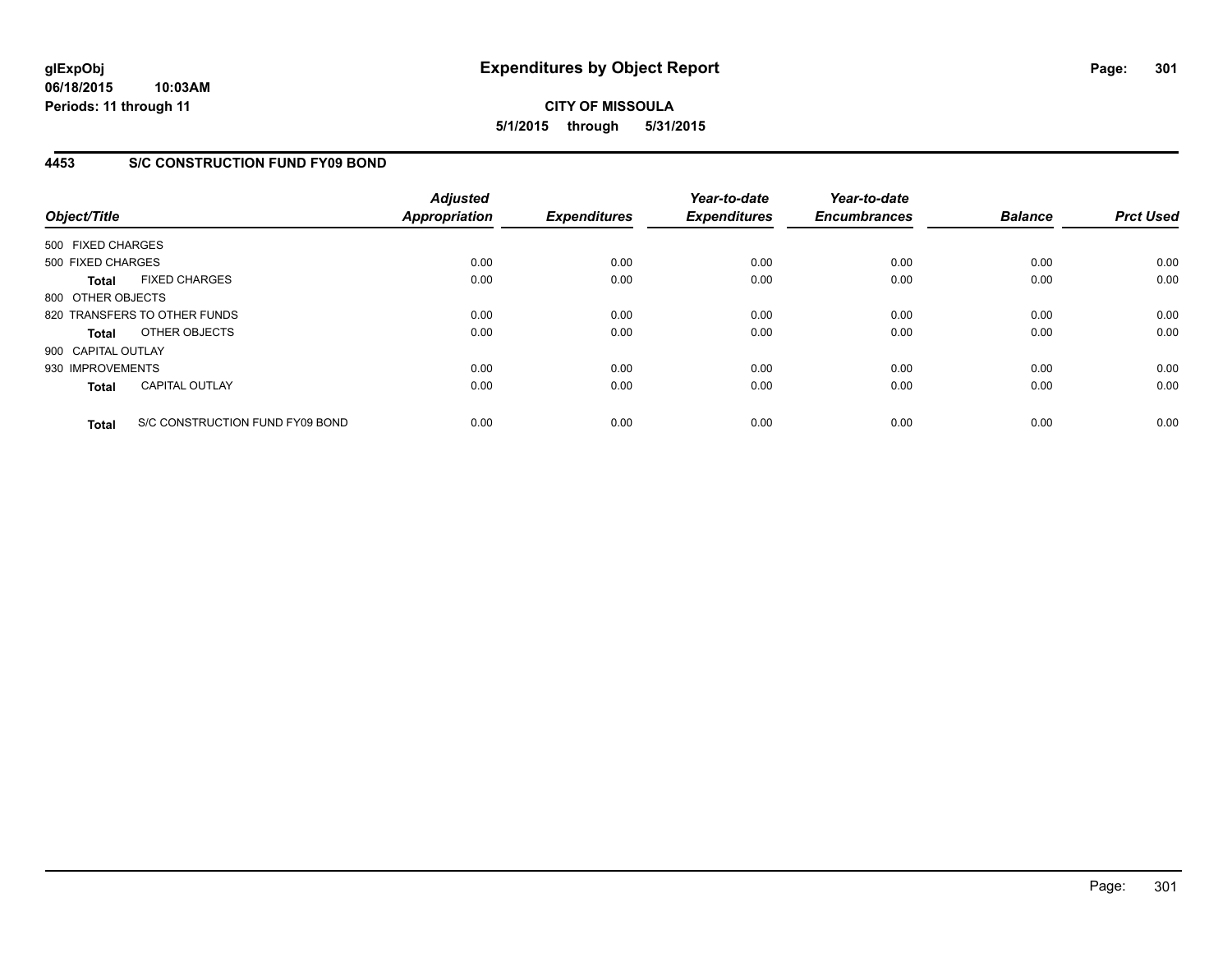### **4453 S/C CONSTRUCTION FUND FY09 BOND**

| Object/Title       |                                 | <b>Adjusted</b><br><b>Appropriation</b> | <b>Expenditures</b> | Year-to-date<br><b>Expenditures</b> | Year-to-date<br><b>Encumbrances</b> | <b>Balance</b> | <b>Prct Used</b> |
|--------------------|---------------------------------|-----------------------------------------|---------------------|-------------------------------------|-------------------------------------|----------------|------------------|
| 500 FIXED CHARGES  |                                 |                                         |                     |                                     |                                     |                |                  |
| 500 FIXED CHARGES  |                                 | 0.00                                    | 0.00                | 0.00                                | 0.00                                | 0.00           | 0.00             |
| <b>Total</b>       | <b>FIXED CHARGES</b>            | 0.00                                    | 0.00                | 0.00                                | 0.00                                | 0.00           | 0.00             |
| 800 OTHER OBJECTS  |                                 |                                         |                     |                                     |                                     |                |                  |
|                    | 820 TRANSFERS TO OTHER FUNDS    | 0.00                                    | 0.00                | 0.00                                | 0.00                                | 0.00           | 0.00             |
| <b>Total</b>       | OTHER OBJECTS                   | 0.00                                    | 0.00                | 0.00                                | 0.00                                | 0.00           | 0.00             |
| 900 CAPITAL OUTLAY |                                 |                                         |                     |                                     |                                     |                |                  |
| 930 IMPROVEMENTS   |                                 | 0.00                                    | 0.00                | 0.00                                | 0.00                                | 0.00           | 0.00             |
| <b>Total</b>       | <b>CAPITAL OUTLAY</b>           | 0.00                                    | 0.00                | 0.00                                | 0.00                                | 0.00           | 0.00             |
| <b>Total</b>       | S/C CONSTRUCTION FUND FY09 BOND | 0.00                                    | 0.00                | 0.00                                | 0.00                                | 0.00           | 0.00             |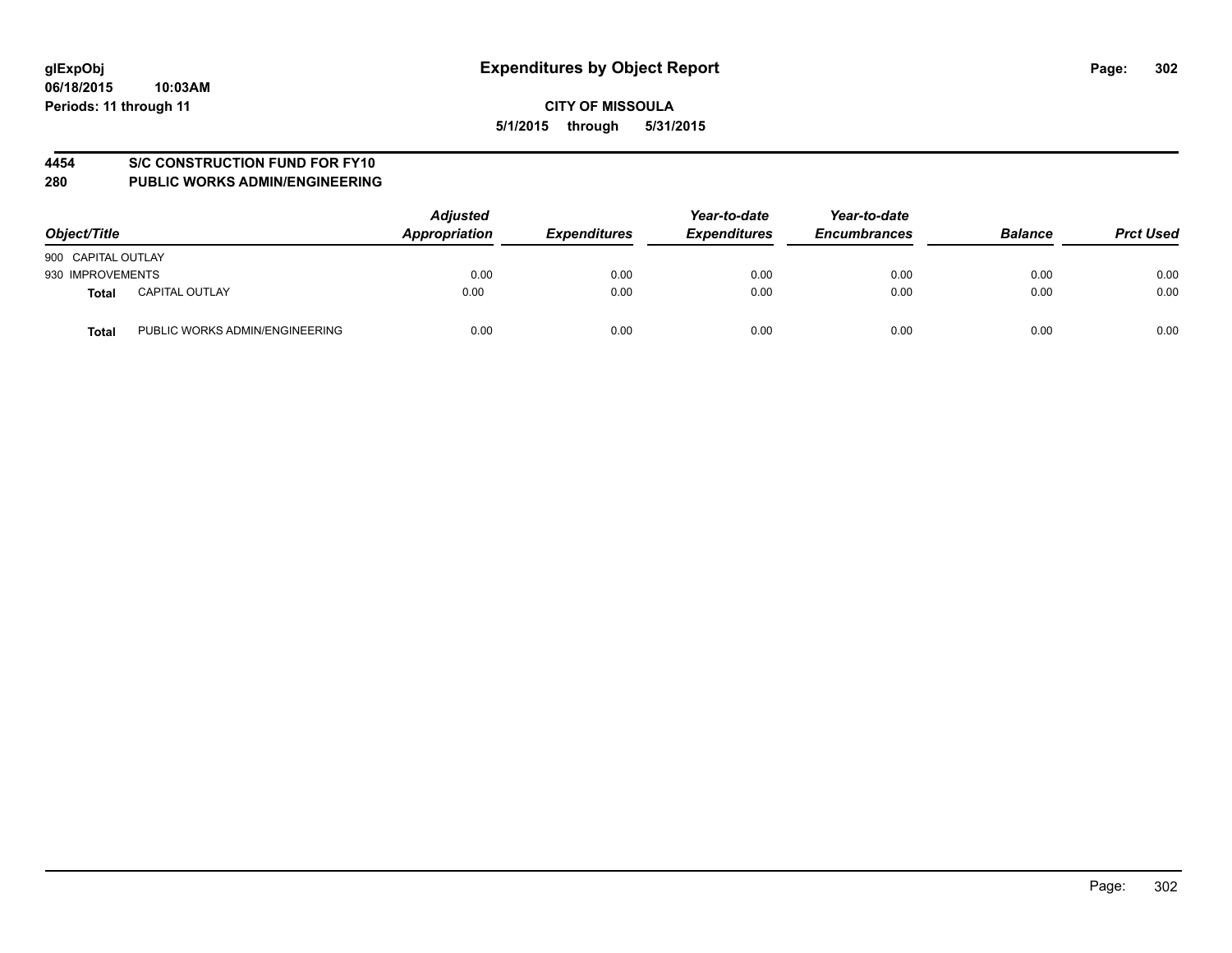### **4454 S/C CONSTRUCTION FUND FOR FY10**

| Object/Title       |                                | <b>Adjusted</b><br>Appropriation | <b>Expenditures</b> | Year-to-date<br><b>Expenditures</b> | Year-to-date<br><b>Encumbrances</b> | <b>Balance</b> | <b>Prct Used</b> |
|--------------------|--------------------------------|----------------------------------|---------------------|-------------------------------------|-------------------------------------|----------------|------------------|
| 900 CAPITAL OUTLAY |                                |                                  |                     |                                     |                                     |                |                  |
| 930 IMPROVEMENTS   |                                | 0.00                             | 0.00                | 0.00                                | 0.00                                | 0.00           | 0.00             |
| <b>Total</b>       | <b>CAPITAL OUTLAY</b>          | 0.00                             | 0.00                | 0.00                                | 0.00                                | 0.00           | 0.00             |
| <b>Total</b>       | PUBLIC WORKS ADMIN/ENGINEERING | 0.00                             | 0.00                | 0.00                                | 0.00                                | 0.00           | 0.00             |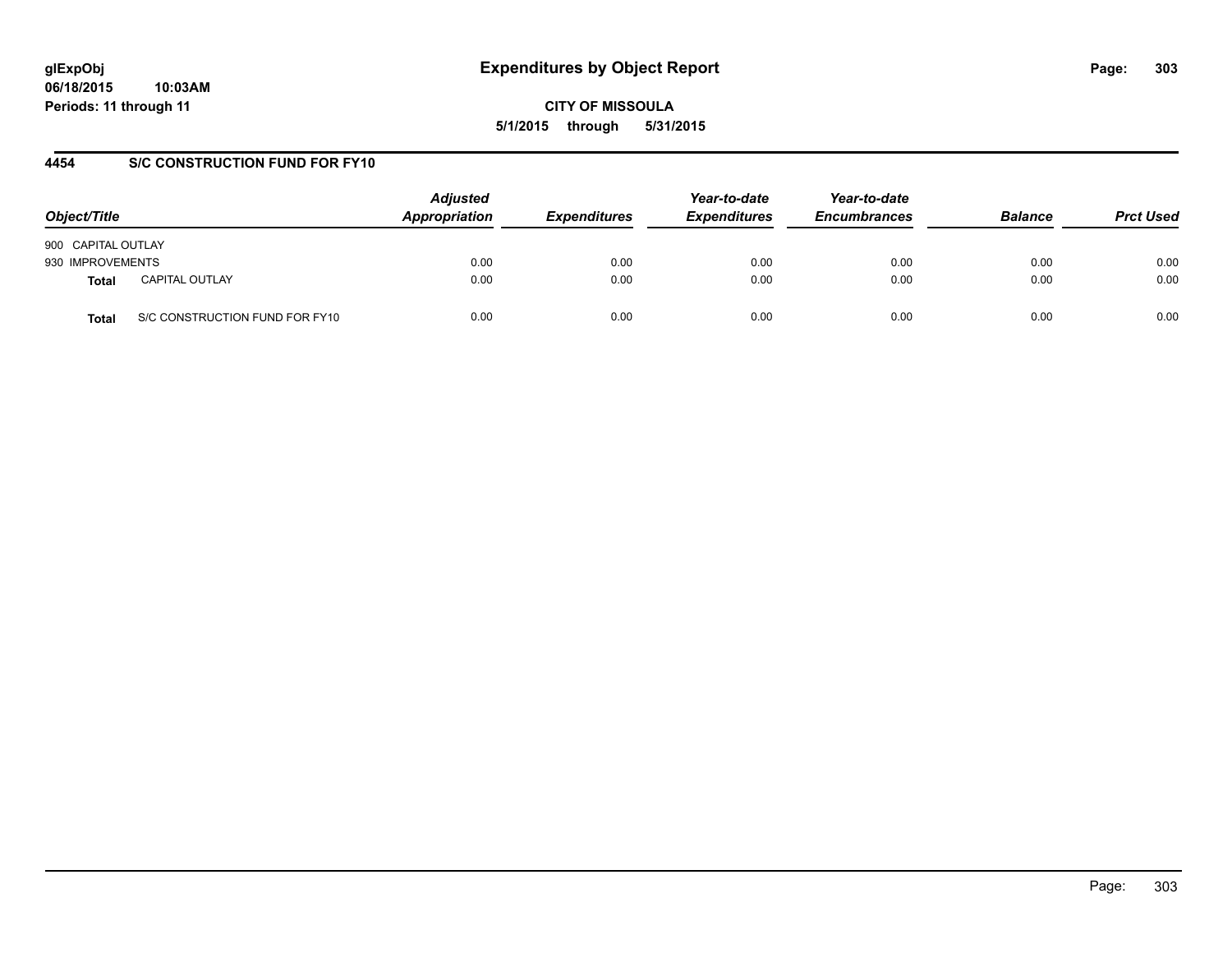### **4454 S/C CONSTRUCTION FUND FOR FY10**

| Object/Title       |                                | <b>Adjusted</b><br>Appropriation | <b>Expenditures</b> | Year-to-date<br><b>Expenditures</b> | Year-to-date<br><b>Encumbrances</b> | <b>Balance</b> | <b>Prct Used</b> |
|--------------------|--------------------------------|----------------------------------|---------------------|-------------------------------------|-------------------------------------|----------------|------------------|
| 900 CAPITAL OUTLAY |                                |                                  |                     |                                     |                                     |                |                  |
| 930 IMPROVEMENTS   |                                | 0.00                             | 0.00                | 0.00                                | 0.00                                | 0.00           | 0.00             |
| <b>Total</b>       | <b>CAPITAL OUTLAY</b>          | 0.00                             | 0.00                | 0.00                                | 0.00                                | 0.00           | 0.00             |
| Total              | S/C CONSTRUCTION FUND FOR FY10 | 0.00                             | 0.00                | 0.00                                | 0.00                                | 0.00           | 0.00             |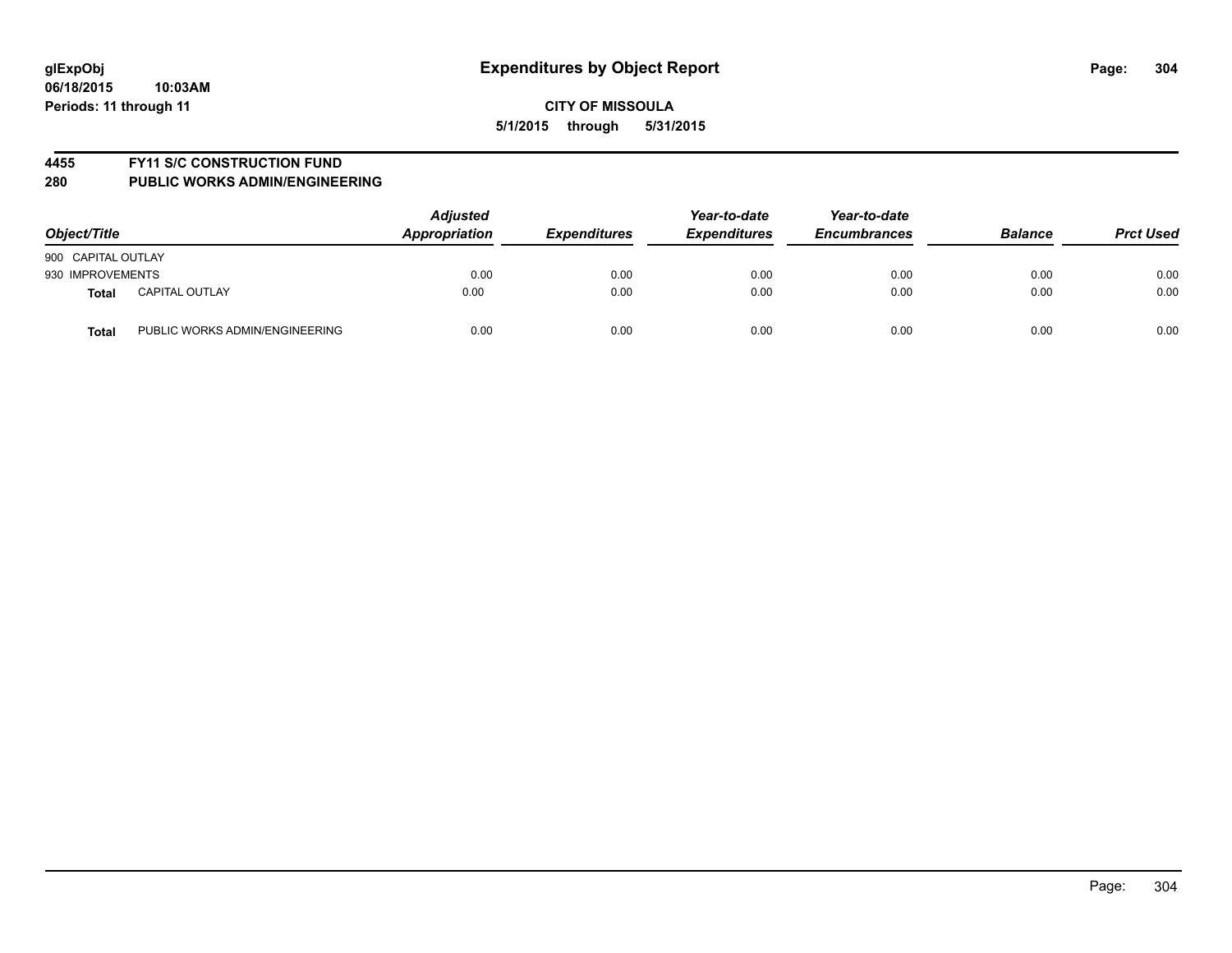### **4455 FY11 S/C CONSTRUCTION FUND**

| Object/Title                                   | <b>Adjusted</b><br>Appropriation | <b>Expenditures</b> | Year-to-date<br><b>Expenditures</b> | Year-to-date<br><b>Encumbrances</b> | <b>Balance</b> | <b>Prct Used</b> |
|------------------------------------------------|----------------------------------|---------------------|-------------------------------------|-------------------------------------|----------------|------------------|
| 900 CAPITAL OUTLAY                             |                                  |                     |                                     |                                     |                |                  |
| 930 IMPROVEMENTS                               | 0.00                             | 0.00                | 0.00                                | 0.00                                | 0.00           | 0.00             |
| <b>CAPITAL OUTLAY</b><br>Total                 | 0.00                             | 0.00                | 0.00                                | 0.00                                | 0.00           | 0.00             |
| PUBLIC WORKS ADMIN/ENGINEERING<br><b>Total</b> | 0.00                             | 0.00                | 0.00                                | 0.00                                | 0.00           | 0.00             |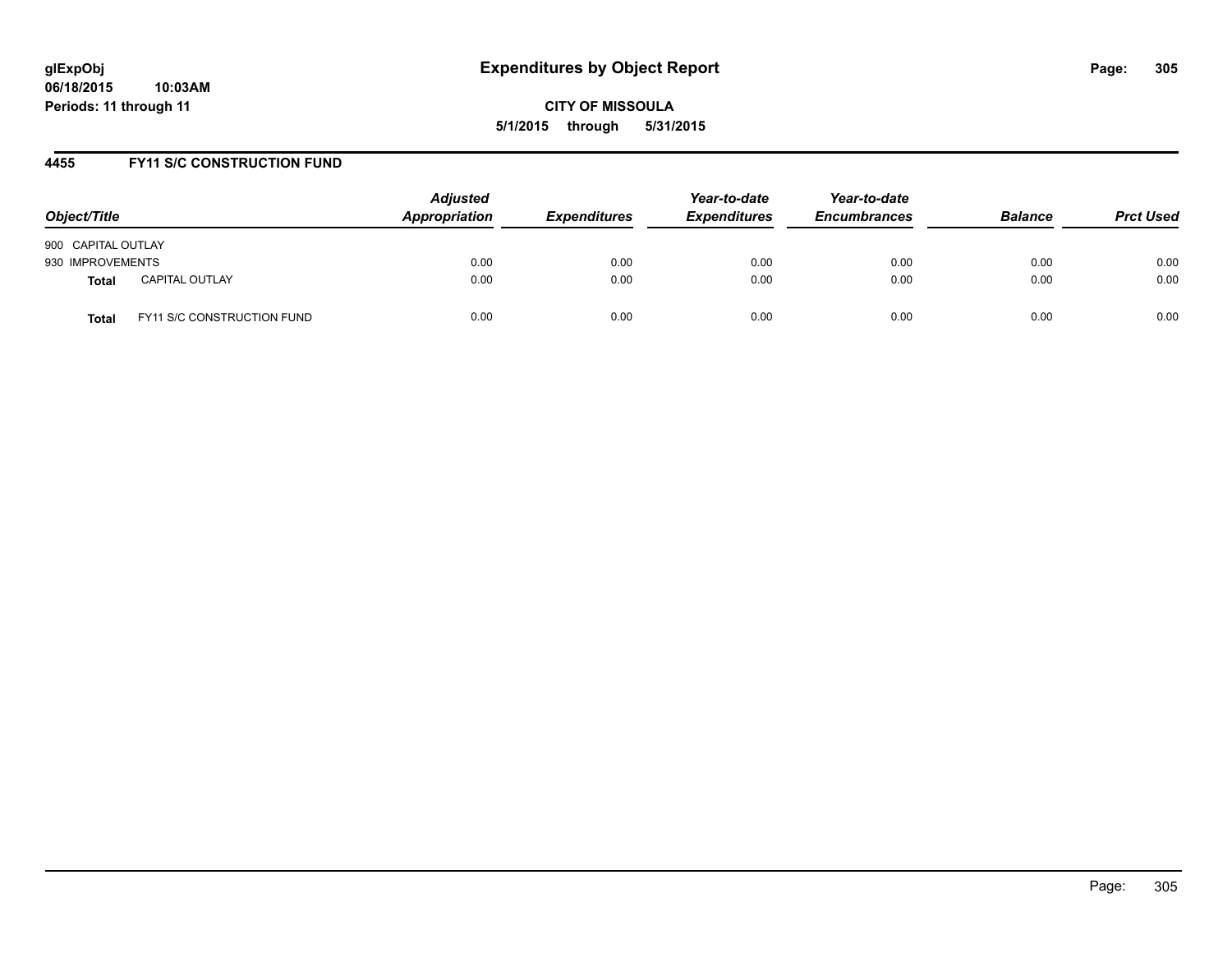### **4455 FY11 S/C CONSTRUCTION FUND**

| Object/Title                          | <b>Adjusted</b><br>Appropriation | <b>Expenditures</b> | Year-to-date<br><b>Expenditures</b> | Year-to-date<br><b>Encumbrances</b> | <b>Balance</b> | <b>Prct Used</b> |
|---------------------------------------|----------------------------------|---------------------|-------------------------------------|-------------------------------------|----------------|------------------|
| 900 CAPITAL OUTLAY                    |                                  |                     |                                     |                                     |                |                  |
| 930 IMPROVEMENTS                      | 0.00                             | 0.00                | 0.00                                | 0.00                                | 0.00           | 0.00             |
| <b>CAPITAL OUTLAY</b><br><b>Total</b> | 0.00                             | 0.00                | 0.00                                | 0.00                                | 0.00           | 0.00             |
| FY11 S/C CONSTRUCTION FUND<br>Total   | 0.00                             | 0.00                | 0.00                                | 0.00                                | 0.00           | 0.00             |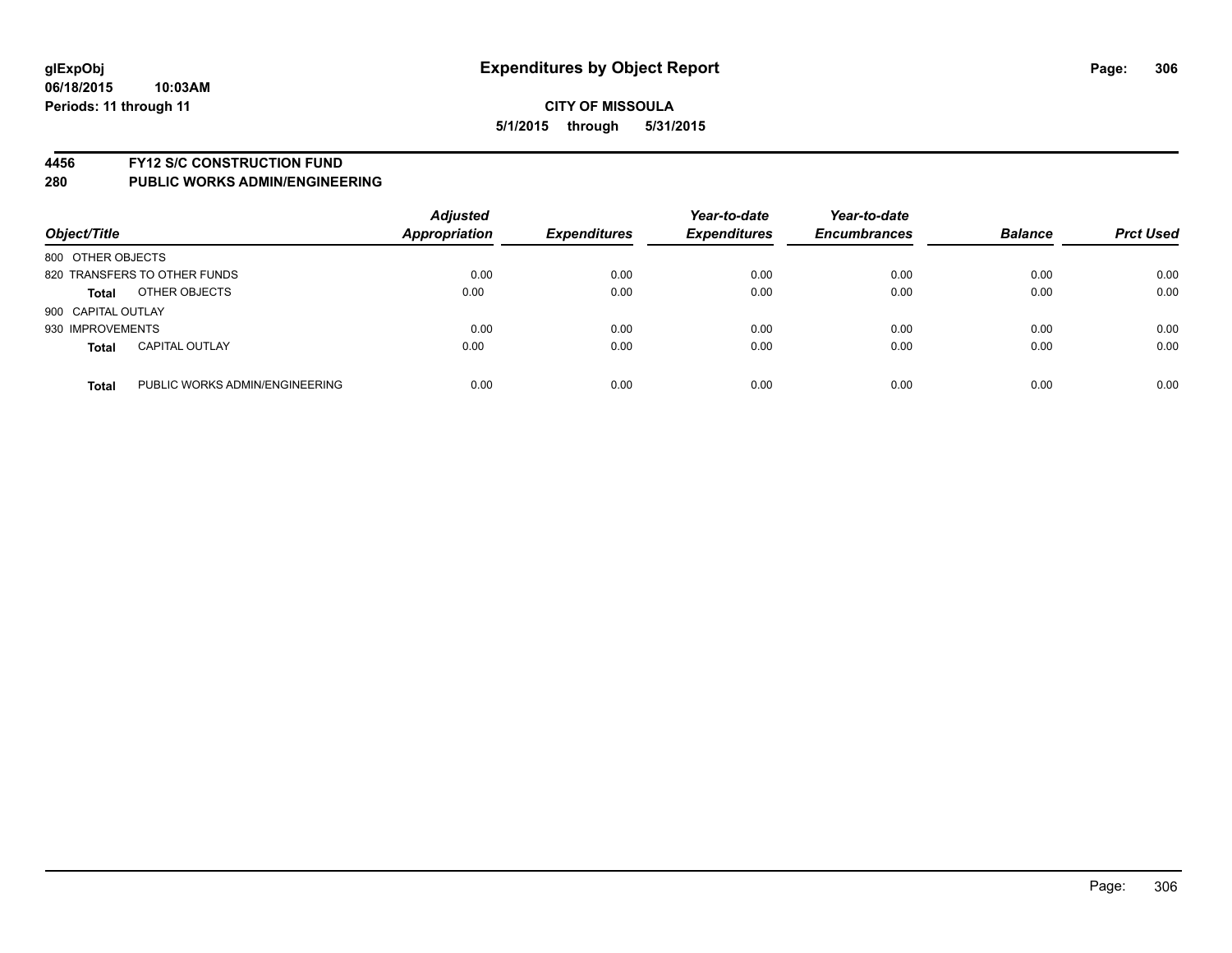### **4456 FY12 S/C CONSTRUCTION FUND**

| Object/Title                          |                                | <b>Adjusted</b><br><b>Appropriation</b> | <b>Expenditures</b> | Year-to-date<br><b>Expenditures</b> | Year-to-date<br><b>Encumbrances</b> | <b>Balance</b> | <b>Prct Used</b> |
|---------------------------------------|--------------------------------|-----------------------------------------|---------------------|-------------------------------------|-------------------------------------|----------------|------------------|
| 800 OTHER OBJECTS                     |                                |                                         |                     |                                     |                                     |                |                  |
| 820 TRANSFERS TO OTHER FUNDS          |                                | 0.00                                    | 0.00                | 0.00                                | 0.00                                | 0.00           | 0.00             |
| OTHER OBJECTS<br><b>Total</b>         |                                | 0.00                                    | 0.00                | 0.00                                | 0.00                                | 0.00           | 0.00             |
| 900 CAPITAL OUTLAY                    |                                |                                         |                     |                                     |                                     |                |                  |
| 930 IMPROVEMENTS                      |                                | 0.00                                    | 0.00                | 0.00                                | 0.00                                | 0.00           | 0.00             |
| <b>CAPITAL OUTLAY</b><br><b>Total</b> |                                | 0.00                                    | 0.00                | 0.00                                | 0.00                                | 0.00           | 0.00             |
| <b>Total</b>                          | PUBLIC WORKS ADMIN/ENGINEERING | 0.00                                    | 0.00                | 0.00                                | 0.00                                | 0.00           | 0.00             |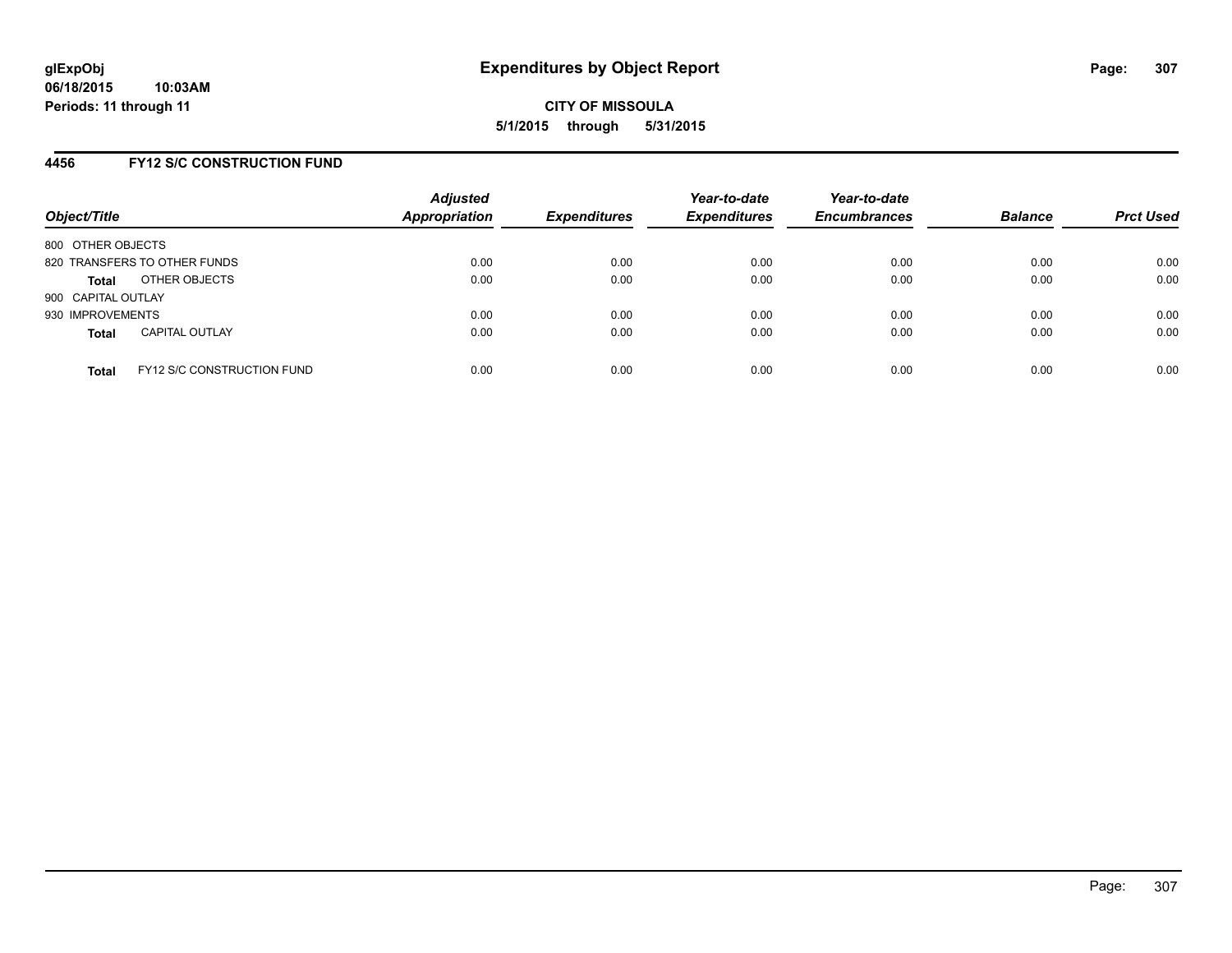### **4456 FY12 S/C CONSTRUCTION FUND**

| Object/Title       |                                   | <b>Adjusted</b><br><b>Appropriation</b> | <b>Expenditures</b> | Year-to-date<br><b>Expenditures</b> | Year-to-date<br><b>Encumbrances</b> | <b>Balance</b> | <b>Prct Used</b> |
|--------------------|-----------------------------------|-----------------------------------------|---------------------|-------------------------------------|-------------------------------------|----------------|------------------|
| 800 OTHER OBJECTS  |                                   |                                         |                     |                                     |                                     |                |                  |
|                    | 820 TRANSFERS TO OTHER FUNDS      | 0.00                                    | 0.00                | 0.00                                | 0.00                                | 0.00           | 0.00             |
| Total              | OTHER OBJECTS                     | 0.00                                    | 0.00                | 0.00                                | 0.00                                | 0.00           | 0.00             |
| 900 CAPITAL OUTLAY |                                   |                                         |                     |                                     |                                     |                |                  |
| 930 IMPROVEMENTS   |                                   | 0.00                                    | 0.00                | 0.00                                | 0.00                                | 0.00           | 0.00             |
| <b>Total</b>       | <b>CAPITAL OUTLAY</b>             | 0.00                                    | 0.00                | 0.00                                | 0.00                                | 0.00           | 0.00             |
| <b>Total</b>       | <b>FY12 S/C CONSTRUCTION FUND</b> | 0.00                                    | 0.00                | 0.00                                | 0.00                                | 0.00           | 0.00             |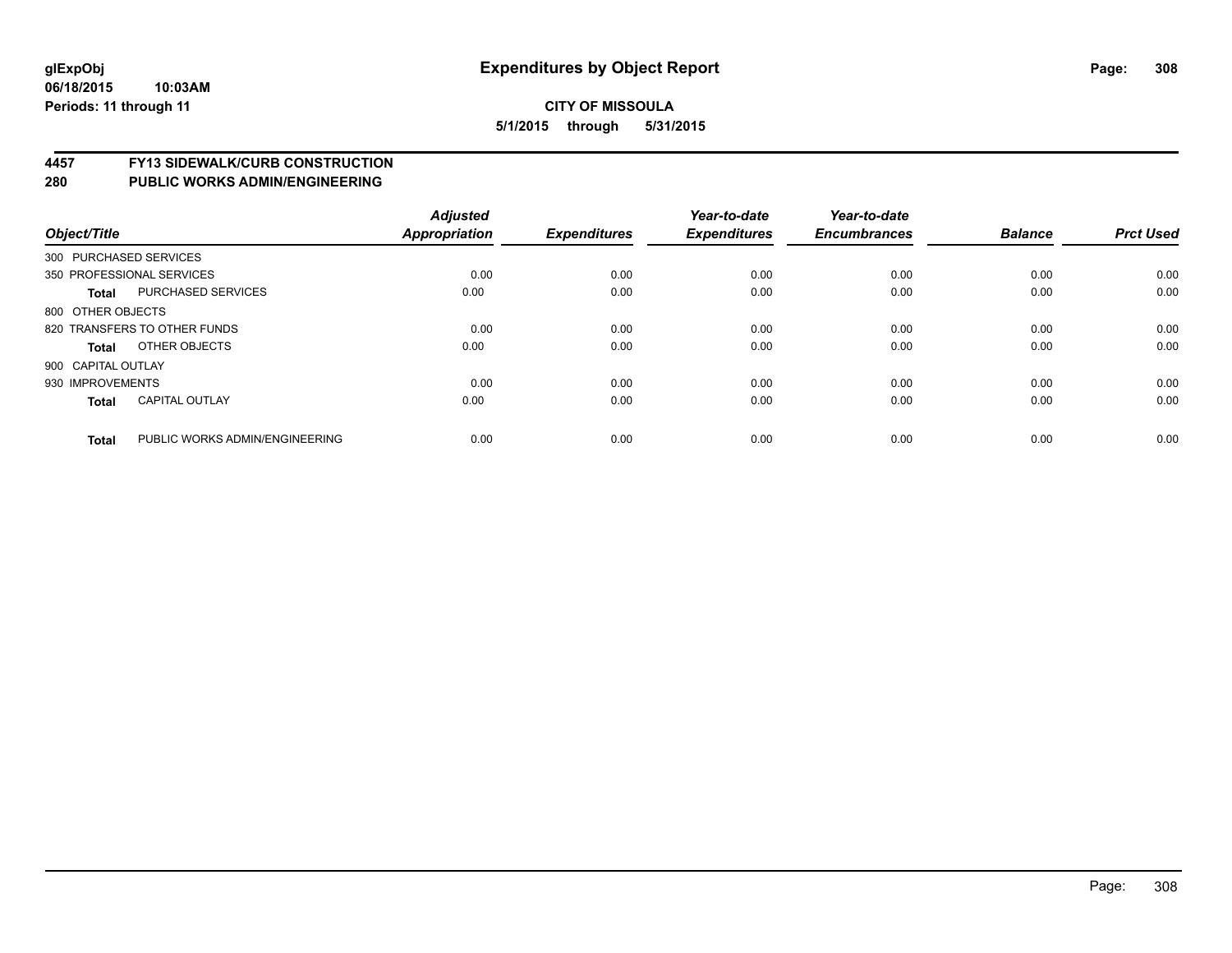# **4457 FY13 SIDEWALK/CURB CONSTRUCTION**

| Object/Title           |                                | <b>Adjusted</b><br>Appropriation | <b>Expenditures</b> | Year-to-date<br><b>Expenditures</b> | Year-to-date<br><b>Encumbrances</b> | <b>Balance</b> | <b>Prct Used</b> |
|------------------------|--------------------------------|----------------------------------|---------------------|-------------------------------------|-------------------------------------|----------------|------------------|
| 300 PURCHASED SERVICES |                                |                                  |                     |                                     |                                     |                |                  |
|                        | 350 PROFESSIONAL SERVICES      | 0.00                             | 0.00                | 0.00                                | 0.00                                | 0.00           | 0.00             |
| <b>Total</b>           | <b>PURCHASED SERVICES</b>      | 0.00                             | 0.00                | 0.00                                | 0.00                                | 0.00           | 0.00             |
| 800 OTHER OBJECTS      |                                |                                  |                     |                                     |                                     |                |                  |
|                        | 820 TRANSFERS TO OTHER FUNDS   | 0.00                             | 0.00                | 0.00                                | 0.00                                | 0.00           | 0.00             |
| Total                  | OTHER OBJECTS                  | 0.00                             | 0.00                | 0.00                                | 0.00                                | 0.00           | 0.00             |
| 900 CAPITAL OUTLAY     |                                |                                  |                     |                                     |                                     |                |                  |
| 930 IMPROVEMENTS       |                                | 0.00                             | 0.00                | 0.00                                | 0.00                                | 0.00           | 0.00             |
| <b>Total</b>           | <b>CAPITAL OUTLAY</b>          | 0.00                             | 0.00                | 0.00                                | 0.00                                | 0.00           | 0.00             |
|                        |                                |                                  |                     |                                     |                                     |                |                  |
| <b>Total</b>           | PUBLIC WORKS ADMIN/ENGINEERING | 0.00                             | 0.00                | 0.00                                | 0.00                                | 0.00           | 0.00             |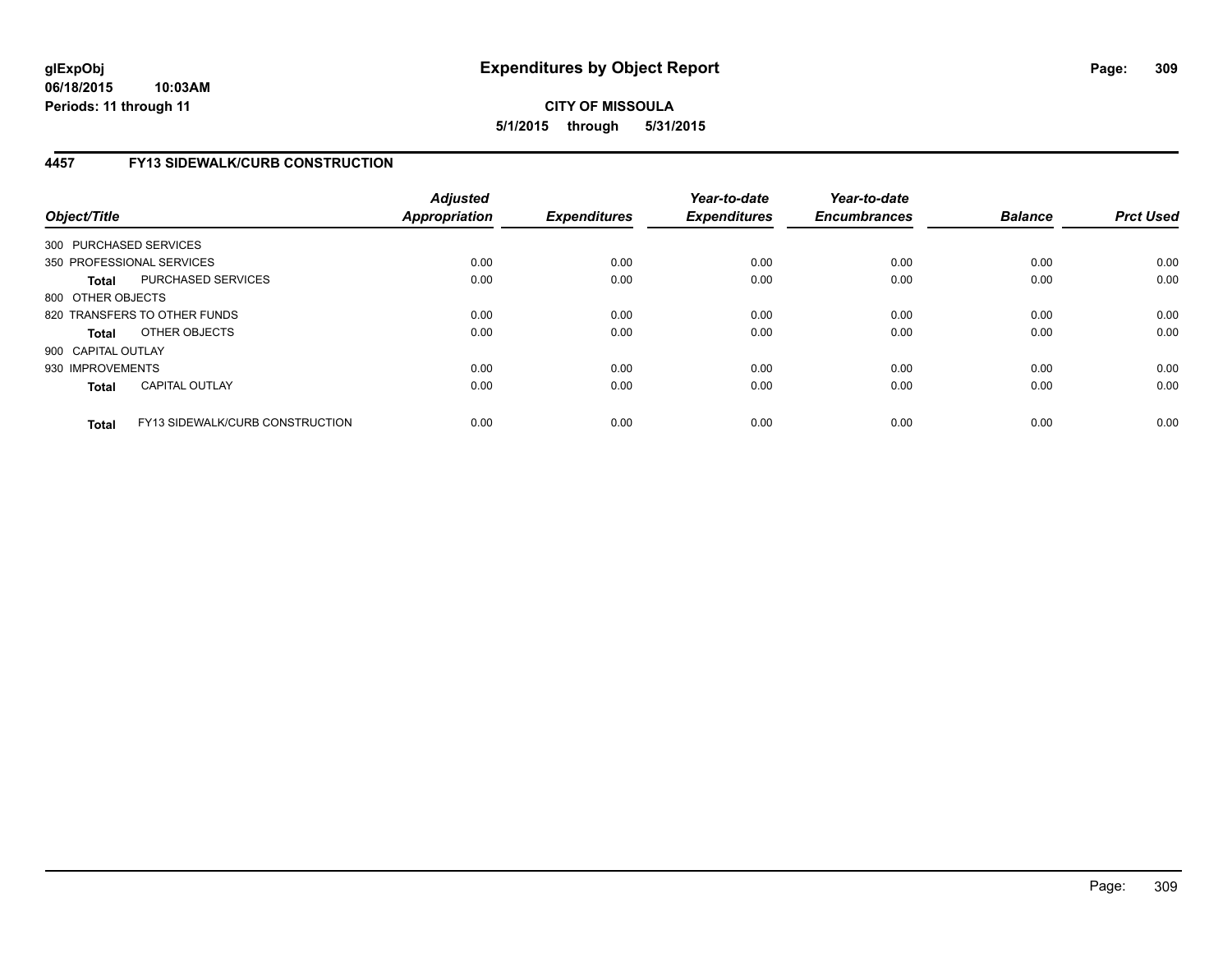# **4457 FY13 SIDEWALK/CURB CONSTRUCTION**

| Object/Title       |                                        | <b>Adjusted</b><br>Appropriation | <b>Expenditures</b> | Year-to-date<br><b>Expenditures</b> | Year-to-date<br><b>Encumbrances</b> | <b>Balance</b> | <b>Prct Used</b> |
|--------------------|----------------------------------------|----------------------------------|---------------------|-------------------------------------|-------------------------------------|----------------|------------------|
|                    | 300 PURCHASED SERVICES                 |                                  |                     |                                     |                                     |                |                  |
|                    | 350 PROFESSIONAL SERVICES              | 0.00                             | 0.00                | 0.00                                | 0.00                                | 0.00           | 0.00             |
| <b>Total</b>       | PURCHASED SERVICES                     | 0.00                             | 0.00                | 0.00                                | 0.00                                | 0.00           | 0.00             |
| 800 OTHER OBJECTS  |                                        |                                  |                     |                                     |                                     |                |                  |
|                    | 820 TRANSFERS TO OTHER FUNDS           | 0.00                             | 0.00                | 0.00                                | 0.00                                | 0.00           | 0.00             |
| <b>Total</b>       | OTHER OBJECTS                          | 0.00                             | 0.00                | 0.00                                | 0.00                                | 0.00           | 0.00             |
| 900 CAPITAL OUTLAY |                                        |                                  |                     |                                     |                                     |                |                  |
| 930 IMPROVEMENTS   |                                        | 0.00                             | 0.00                | 0.00                                | 0.00                                | 0.00           | 0.00             |
| <b>Total</b>       | <b>CAPITAL OUTLAY</b>                  | 0.00                             | 0.00                | 0.00                                | 0.00                                | 0.00           | 0.00             |
| <b>Total</b>       | <b>FY13 SIDEWALK/CURB CONSTRUCTION</b> | 0.00                             | 0.00                | 0.00                                | 0.00                                | 0.00           | 0.00             |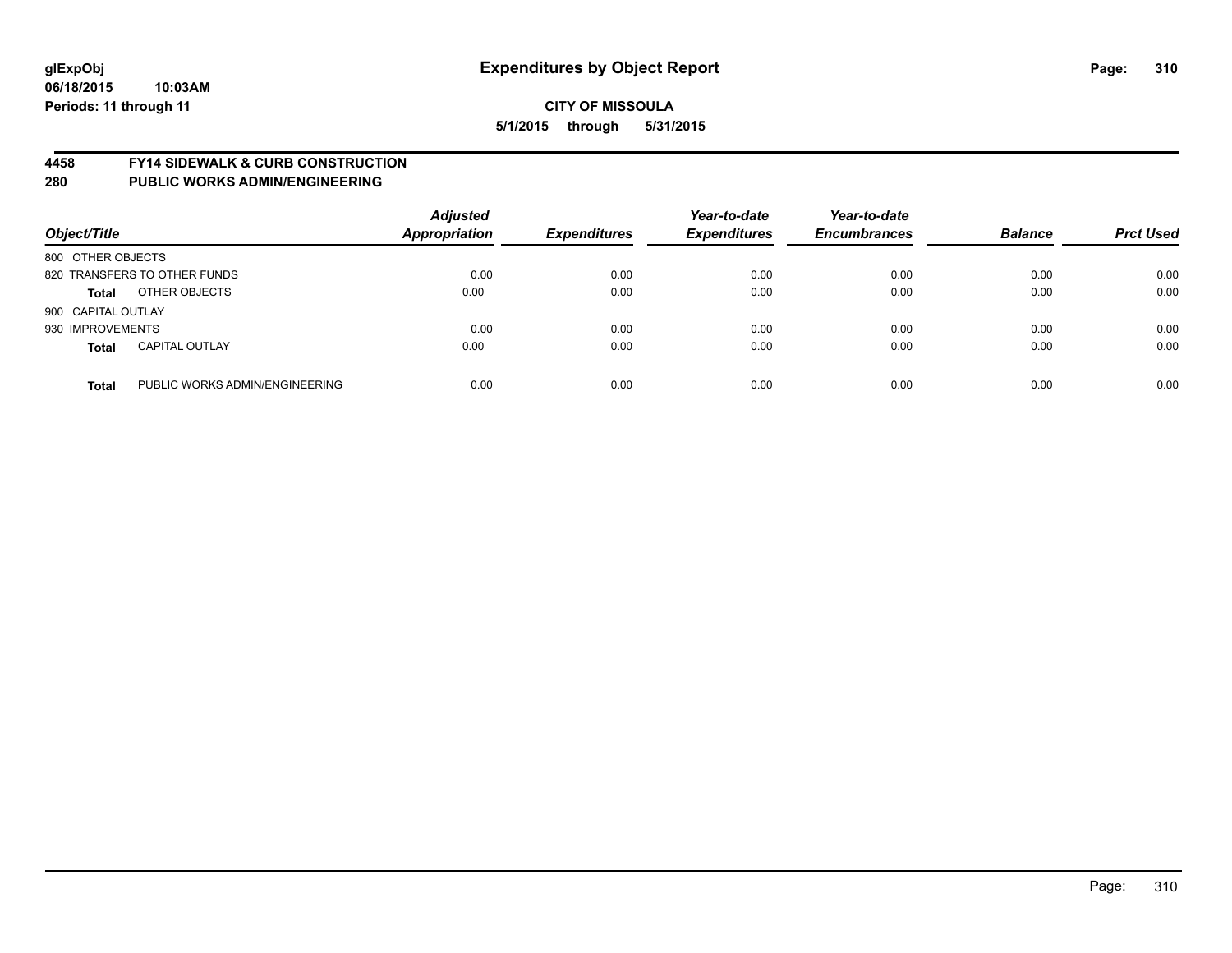### **4458 FY14 SIDEWALK & CURB CONSTRUCTION**

| Object/Title       |                                | <b>Adjusted</b><br><b>Appropriation</b> | <b>Expenditures</b> | Year-to-date<br><b>Expenditures</b> | Year-to-date<br><b>Encumbrances</b> | <b>Balance</b> | <b>Prct Used</b> |
|--------------------|--------------------------------|-----------------------------------------|---------------------|-------------------------------------|-------------------------------------|----------------|------------------|
| 800 OTHER OBJECTS  |                                |                                         |                     |                                     |                                     |                |                  |
|                    | 820 TRANSFERS TO OTHER FUNDS   | 0.00                                    | 0.00                | 0.00                                | 0.00                                | 0.00           | 0.00             |
| <b>Total</b>       | OTHER OBJECTS                  | 0.00                                    | 0.00                | 0.00                                | 0.00                                | 0.00           | 0.00             |
| 900 CAPITAL OUTLAY |                                |                                         |                     |                                     |                                     |                |                  |
| 930 IMPROVEMENTS   |                                | 0.00                                    | 0.00                | 0.00                                | 0.00                                | 0.00           | 0.00             |
| <b>Total</b>       | <b>CAPITAL OUTLAY</b>          | 0.00                                    | 0.00                | 0.00                                | 0.00                                | 0.00           | 0.00             |
| <b>Total</b>       | PUBLIC WORKS ADMIN/ENGINEERING | 0.00                                    | 0.00                | 0.00                                | 0.00                                | 0.00           | 0.00             |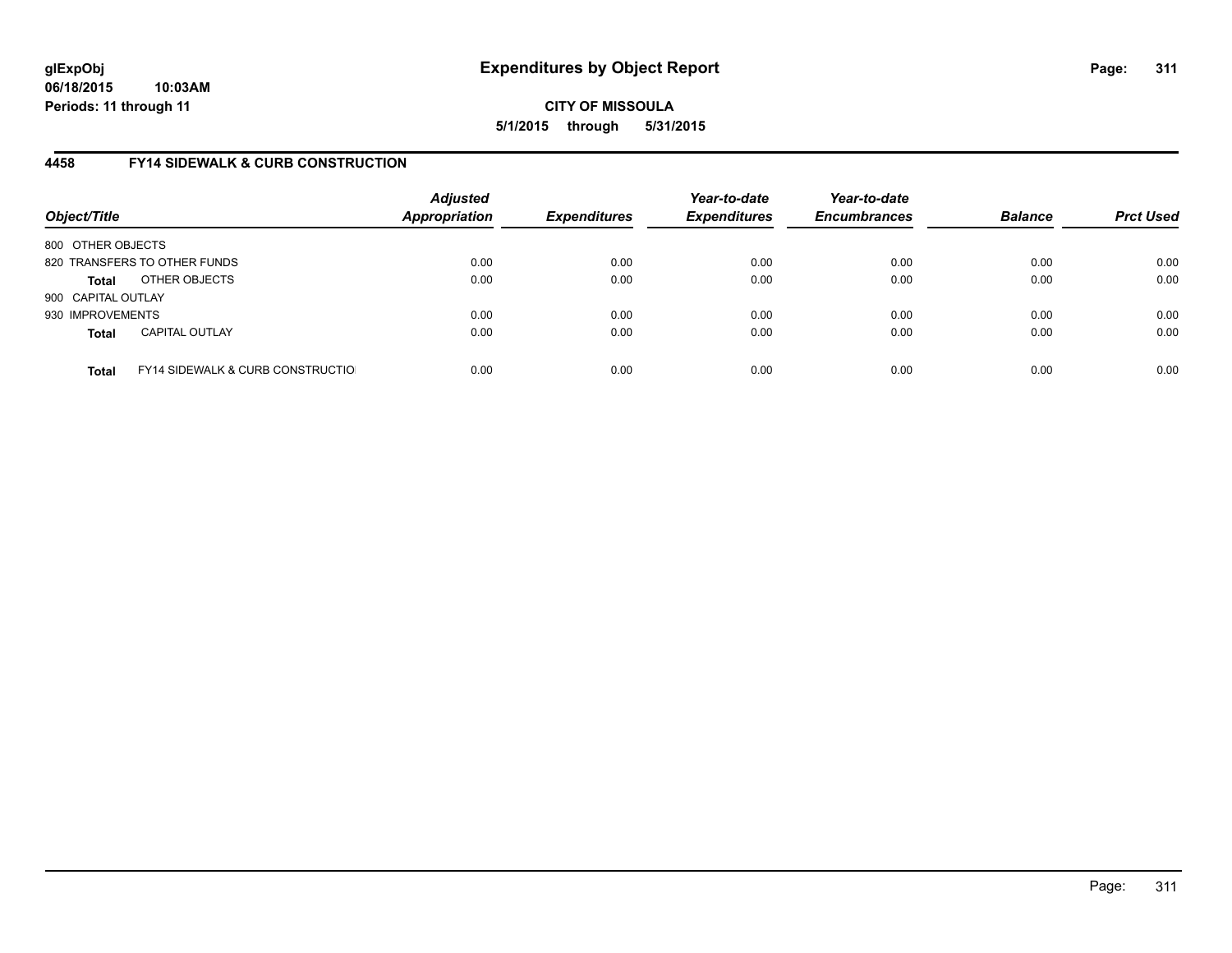# **4458 FY14 SIDEWALK & CURB CONSTRUCTION**

| Object/Title       |                                              | <b>Adjusted</b><br>Appropriation | <b>Expenditures</b> | Year-to-date<br><b>Expenditures</b> | Year-to-date<br><b>Encumbrances</b> | <b>Balance</b> | <b>Prct Used</b> |
|--------------------|----------------------------------------------|----------------------------------|---------------------|-------------------------------------|-------------------------------------|----------------|------------------|
| 800 OTHER OBJECTS  |                                              |                                  |                     |                                     |                                     |                |                  |
|                    | 820 TRANSFERS TO OTHER FUNDS                 | 0.00                             | 0.00                | 0.00                                | 0.00                                | 0.00           | 0.00             |
| Total              | OTHER OBJECTS                                | 0.00                             | 0.00                | 0.00                                | 0.00                                | 0.00           | 0.00             |
| 900 CAPITAL OUTLAY |                                              |                                  |                     |                                     |                                     |                |                  |
| 930 IMPROVEMENTS   |                                              | 0.00                             | 0.00                | 0.00                                | 0.00                                | 0.00           | 0.00             |
| <b>Total</b>       | <b>CAPITAL OUTLAY</b>                        | 0.00                             | 0.00                | 0.00                                | 0.00                                | 0.00           | 0.00             |
| <b>Total</b>       | <b>FY14 SIDEWALK &amp; CURB CONSTRUCTIOL</b> | 0.00                             | 0.00                | 0.00                                | 0.00                                | 0.00           | 0.00             |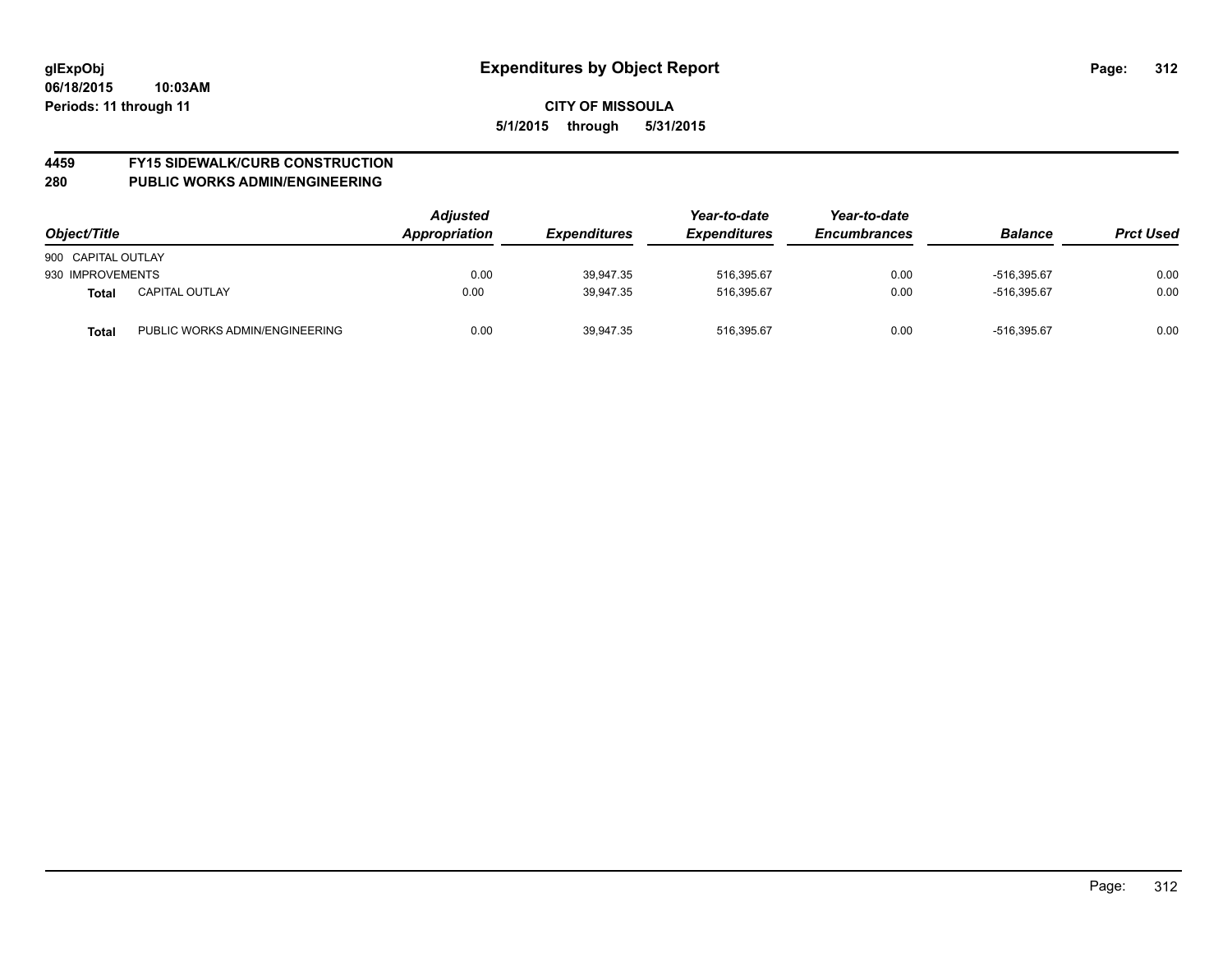# **4459 FY15 SIDEWALK/CURB CONSTRUCTION**

| Object/Title       |                                | <b>Adjusted</b><br>Appropriation | <b>Expenditures</b> | Year-to-date<br><b>Expenditures</b> | Year-to-date<br><b>Encumbrances</b> | <b>Balance</b> | <b>Prct Used</b> |
|--------------------|--------------------------------|----------------------------------|---------------------|-------------------------------------|-------------------------------------|----------------|------------------|
| 900 CAPITAL OUTLAY |                                |                                  |                     |                                     |                                     |                |                  |
| 930 IMPROVEMENTS   |                                | 0.00                             | 39.947.35           | 516.395.67                          | 0.00                                | -516.395.67    | 0.00             |
| <b>Total</b>       | <b>CAPITAL OUTLAY</b>          | 0.00                             | 39,947.35           | 516.395.67                          | 0.00                                | -516.395.67    | 0.00             |
| Total              | PUBLIC WORKS ADMIN/ENGINEERING | 0.00                             | 39,947.35           | 516.395.67                          | 0.00                                | -516.395.67    | 0.00             |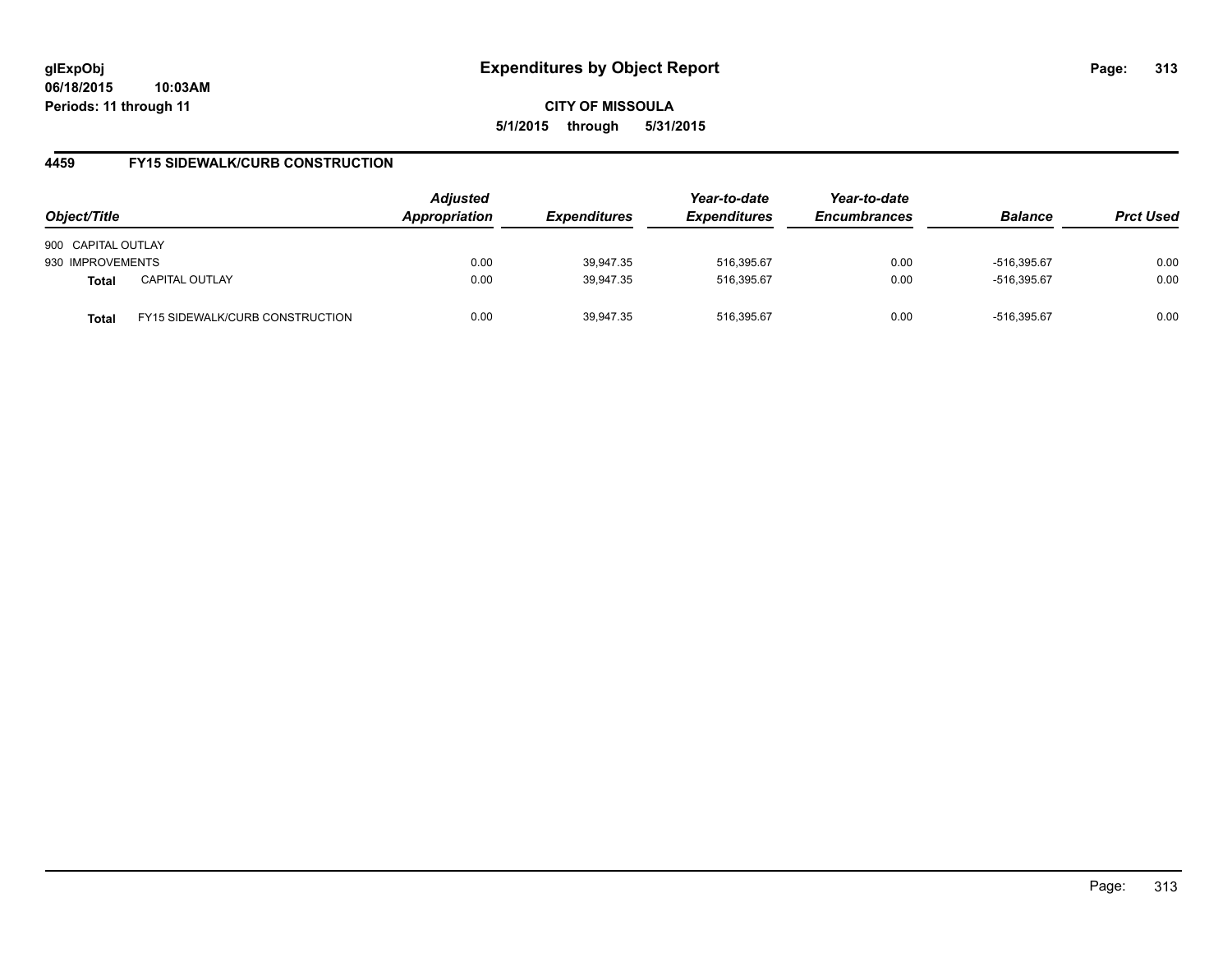**06/18/2015 10:03AM Periods: 11 through 11**

**CITY OF MISSOULA 5/1/2015 through 5/31/2015**

### **4459 FY15 SIDEWALK/CURB CONSTRUCTION**

| Object/Title       |                                        | <b>Adjusted</b><br><b>Appropriation</b> | <i><b>Expenditures</b></i> | Year-to-date<br><b>Expenditures</b> | Year-to-date<br><b>Encumbrances</b> | <b>Balance</b> | <b>Prct Used</b> |
|--------------------|----------------------------------------|-----------------------------------------|----------------------------|-------------------------------------|-------------------------------------|----------------|------------------|
| 900 CAPITAL OUTLAY |                                        |                                         |                            |                                     |                                     |                |                  |
| 930 IMPROVEMENTS   |                                        | 0.00                                    | 39.947.35                  | 516.395.67                          | 0.00                                | $-516.395.67$  | 0.00             |
| <b>Total</b>       | <b>CAPITAL OUTLAY</b>                  | 0.00                                    | 39,947.35                  | 516,395.67                          | 0.00                                | -516.395.67    | 0.00             |
| Total              | <b>FY15 SIDEWALK/CURB CONSTRUCTION</b> | 0.00                                    | 39,947.35                  | 516.395.67                          | 0.00                                | -516.395.67    | 0.00             |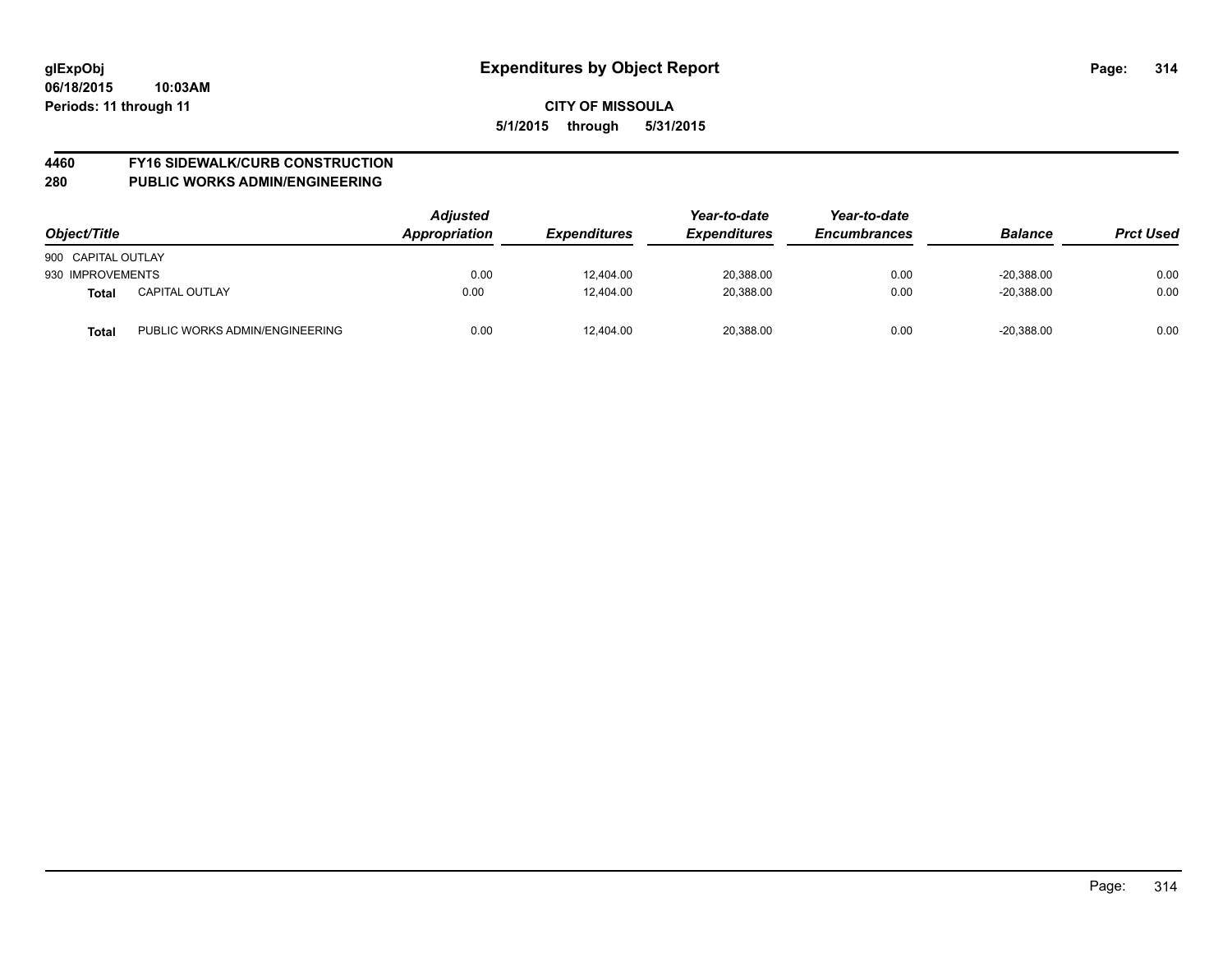# **4460 FY16 SIDEWALK/CURB CONSTRUCTION**

| Object/Title       |                                | <b>Adjusted</b><br>Appropriation<br><b>Expenditures</b> | Year-to-date<br><b>Expenditures</b> | Year-to-date<br><b>Encumbrances</b> | <b>Balance</b> | <b>Prct Used</b> |      |
|--------------------|--------------------------------|---------------------------------------------------------|-------------------------------------|-------------------------------------|----------------|------------------|------|
| 900 CAPITAL OUTLAY |                                |                                                         |                                     |                                     |                |                  |      |
| 930 IMPROVEMENTS   |                                | 0.00                                                    | 12,404.00                           | 20,388.00                           | 0.00           | $-20,388.00$     | 0.00 |
| <b>Total</b>       | <b>CAPITAL OUTLAY</b>          | 0.00                                                    | 12.404.00                           | 20.388.00                           | 0.00           | $-20.388.00$     | 0.00 |
| Total              | PUBLIC WORKS ADMIN/ENGINEERING | 0.00                                                    | 12,404.00                           | 20,388.00                           | 0.00           | $-20,388.00$     | 0.00 |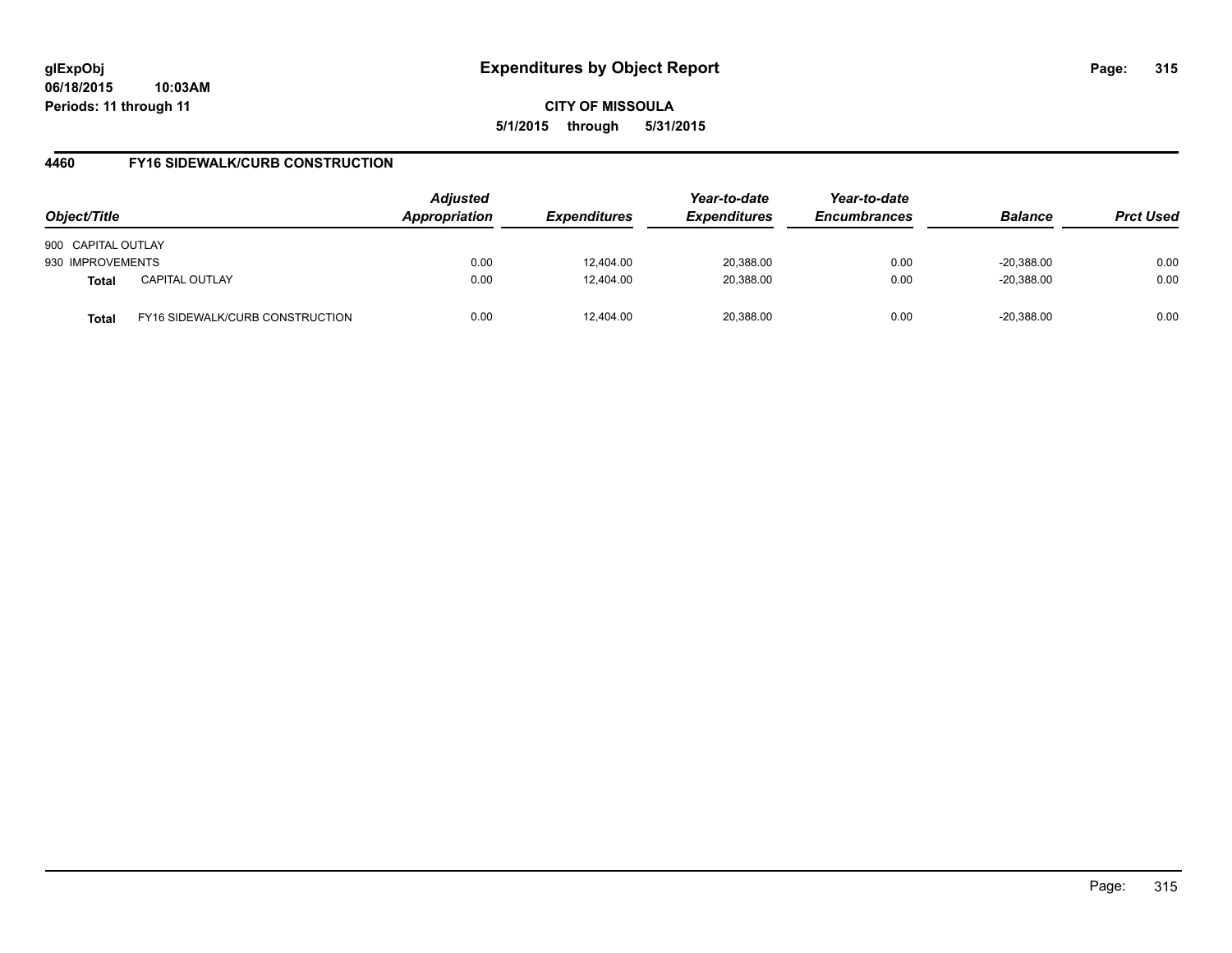**06/18/2015 10:03AM Periods: 11 through 11**

**CITY OF MISSOULA 5/1/2015 through 5/31/2015**

### **4460 FY16 SIDEWALK/CURB CONSTRUCTION**

| Object/Title       |                                 | <b>Adjusted</b><br><b>Appropriation</b> | <i><b>Expenditures</b></i> | Year-to-date<br><b>Expenditures</b> | Year-to-date<br><b>Encumbrances</b> | <b>Balance</b> | <b>Prct Used</b> |
|--------------------|---------------------------------|-----------------------------------------|----------------------------|-------------------------------------|-------------------------------------|----------------|------------------|
| 900 CAPITAL OUTLAY |                                 |                                         |                            |                                     |                                     |                |                  |
| 930 IMPROVEMENTS   |                                 | 0.00                                    | 12.404.00                  | 20,388.00                           | 0.00                                | $-20.388.00$   | 0.00             |
| <b>Total</b>       | <b>CAPITAL OUTLAY</b>           | 0.00                                    | 12,404.00                  | 20,388.00                           | 0.00                                | $-20,388.00$   | 0.00             |
| Total              | FY16 SIDEWALK/CURB CONSTRUCTION | 0.00                                    | 12.404.00                  | 20.388.00                           | 0.00                                | $-20.388.00$   | 0.00             |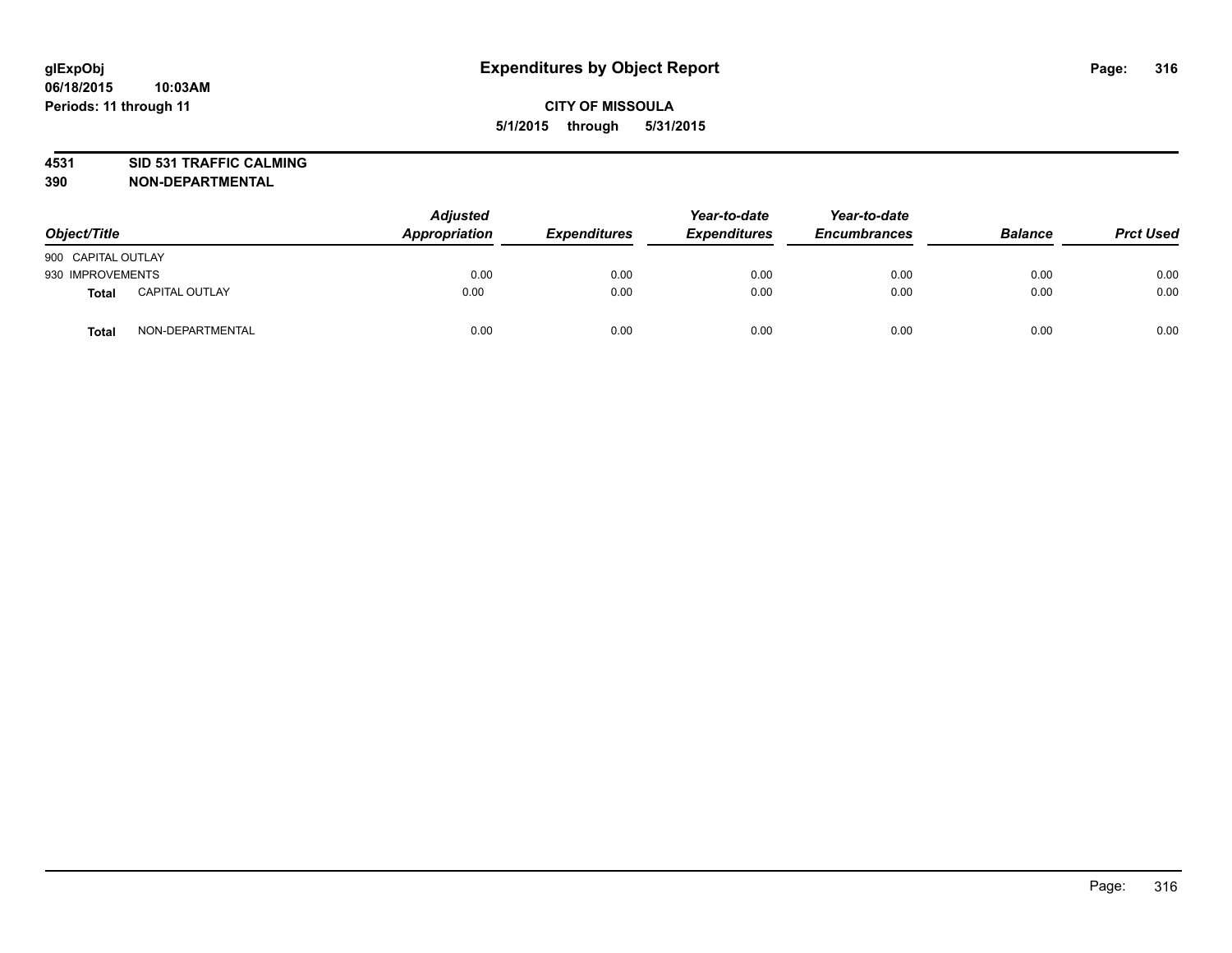# **4531 SID 531 TRAFFIC CALMING**

**390 NON-DEPARTMENTAL**

| Object/Title       |                       | <b>Adjusted</b><br>Appropriation | <b>Expenditures</b> | Year-to-date<br><b>Expenditures</b> | Year-to-date<br><b>Encumbrances</b> | <b>Balance</b> | <b>Prct Used</b> |
|--------------------|-----------------------|----------------------------------|---------------------|-------------------------------------|-------------------------------------|----------------|------------------|
| 900 CAPITAL OUTLAY |                       |                                  |                     |                                     |                                     |                |                  |
| 930 IMPROVEMENTS   |                       | 0.00                             | 0.00                | 0.00                                | 0.00                                | 0.00           | 0.00             |
| <b>Total</b>       | <b>CAPITAL OUTLAY</b> | 0.00                             | 0.00                | 0.00                                | 0.00                                | 0.00           | 0.00             |
| <b>Total</b>       | NON-DEPARTMENTAL      | 0.00                             | 0.00                | 0.00                                | 0.00                                | 0.00           | 0.00             |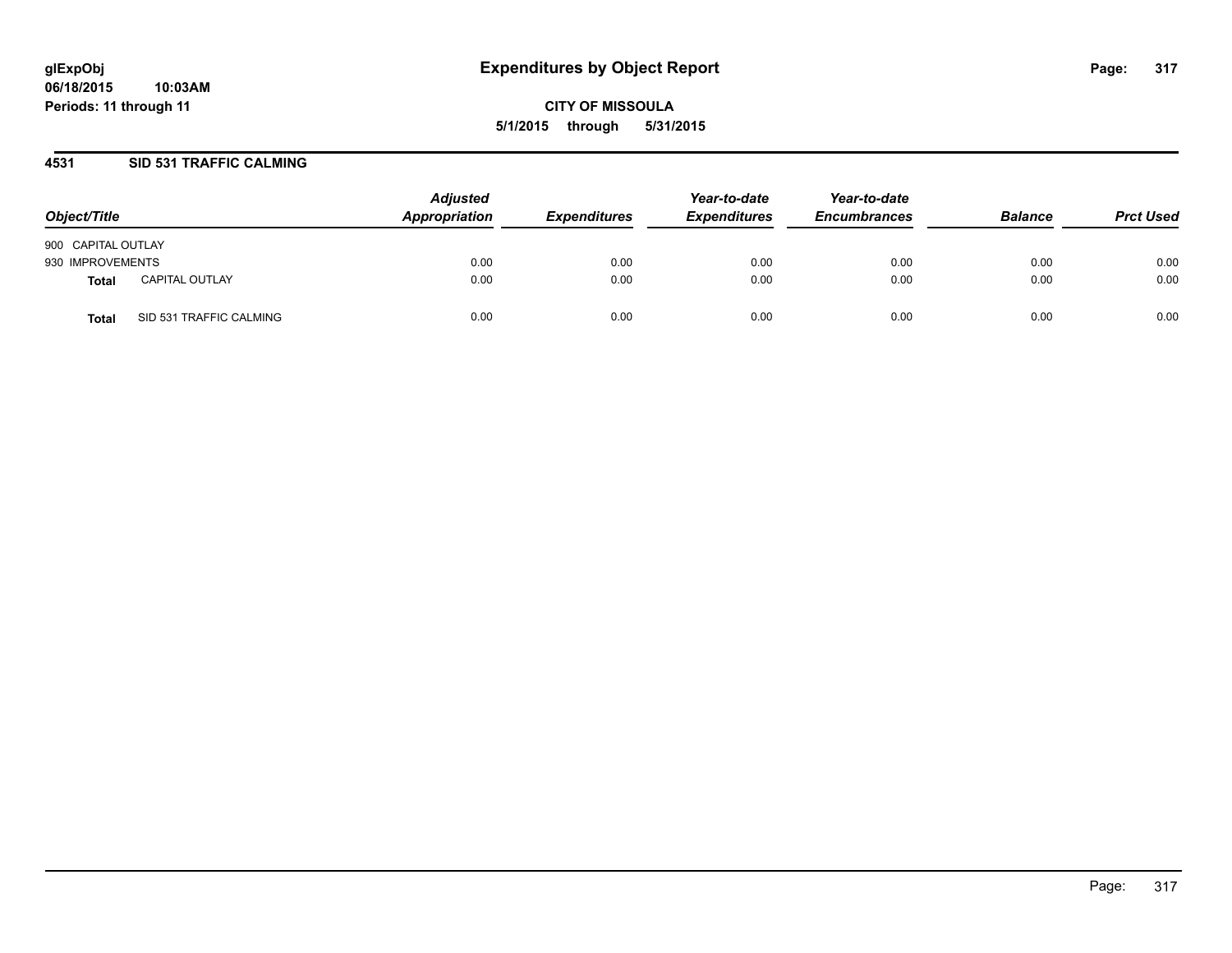### **4531 SID 531 TRAFFIC CALMING**

| Object/Title       |                         | <b>Adjusted</b><br>Appropriation | <b>Expenditures</b> | Year-to-date<br><b>Expenditures</b> | Year-to-date<br><b>Encumbrances</b> | <b>Balance</b> | <b>Prct Used</b> |
|--------------------|-------------------------|----------------------------------|---------------------|-------------------------------------|-------------------------------------|----------------|------------------|
| 900 CAPITAL OUTLAY |                         |                                  |                     |                                     |                                     |                |                  |
| 930 IMPROVEMENTS   |                         | 0.00                             | 0.00                | 0.00                                | 0.00                                | 0.00           | 0.00             |
| Total              | <b>CAPITAL OUTLAY</b>   | 0.00                             | 0.00                | 0.00                                | 0.00                                | 0.00           | 0.00             |
| <b>Total</b>       | SID 531 TRAFFIC CALMING | 0.00                             | 0.00                | 0.00                                | 0.00                                | 0.00           | 0.00             |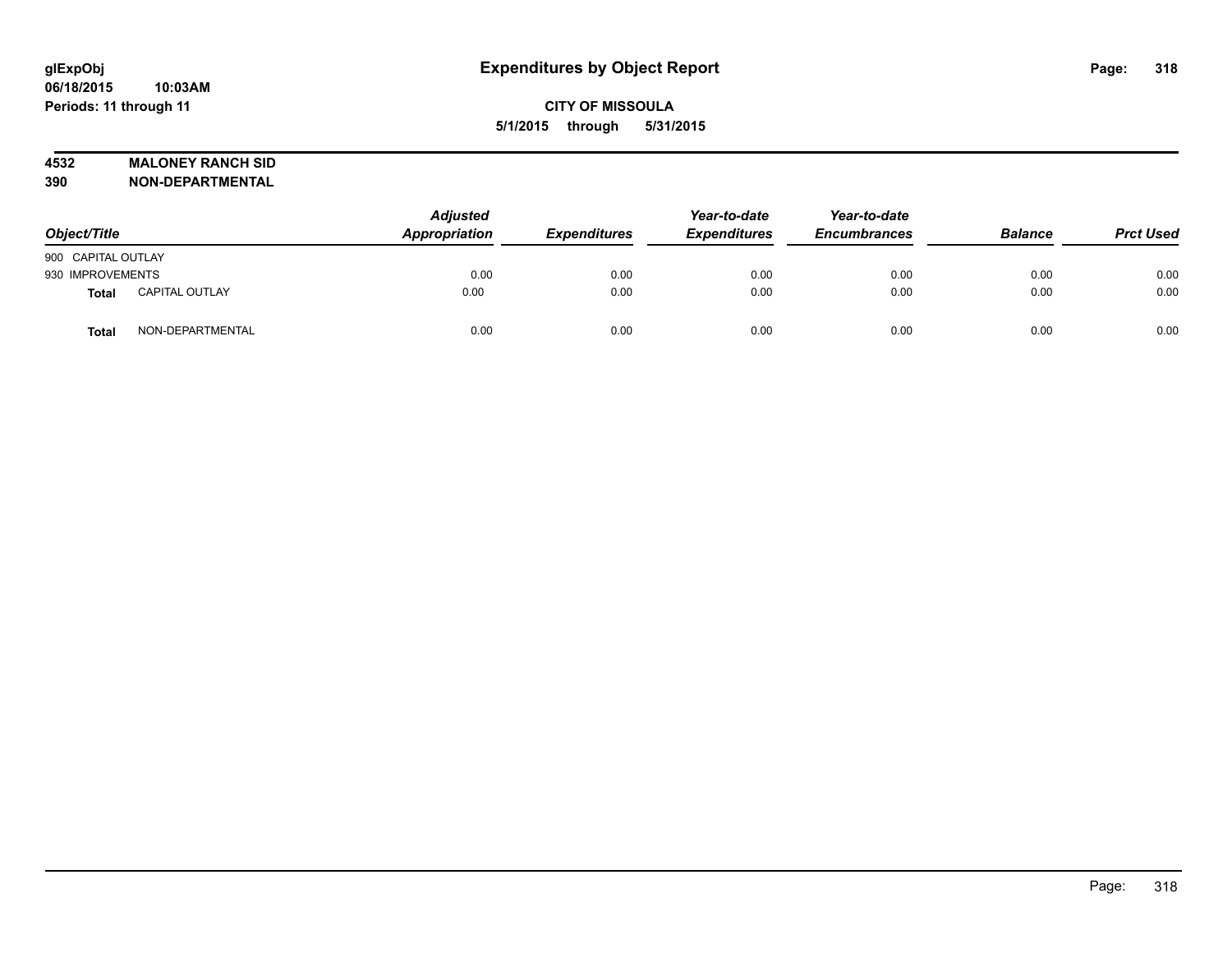### **4532 MALONEY RANCH SID**

**390 NON-DEPARTMENTAL**

| Object/Title       |                       | <b>Adjusted</b><br>Appropriation | <b>Expenditures</b> | Year-to-date<br><b>Expenditures</b> | Year-to-date<br><b>Encumbrances</b> | <b>Balance</b> | <b>Prct Used</b> |
|--------------------|-----------------------|----------------------------------|---------------------|-------------------------------------|-------------------------------------|----------------|------------------|
| 900 CAPITAL OUTLAY |                       |                                  |                     |                                     |                                     |                |                  |
| 930 IMPROVEMENTS   |                       | 0.00                             | 0.00                | 0.00                                | 0.00                                | 0.00           | 0.00             |
| Total              | <b>CAPITAL OUTLAY</b> | 0.00                             | 0.00                | 0.00                                | 0.00                                | 0.00           | 0.00             |
| <b>Total</b>       | NON-DEPARTMENTAL      | 0.00                             | 0.00                | 0.00                                | 0.00                                | 0.00           | 0.00             |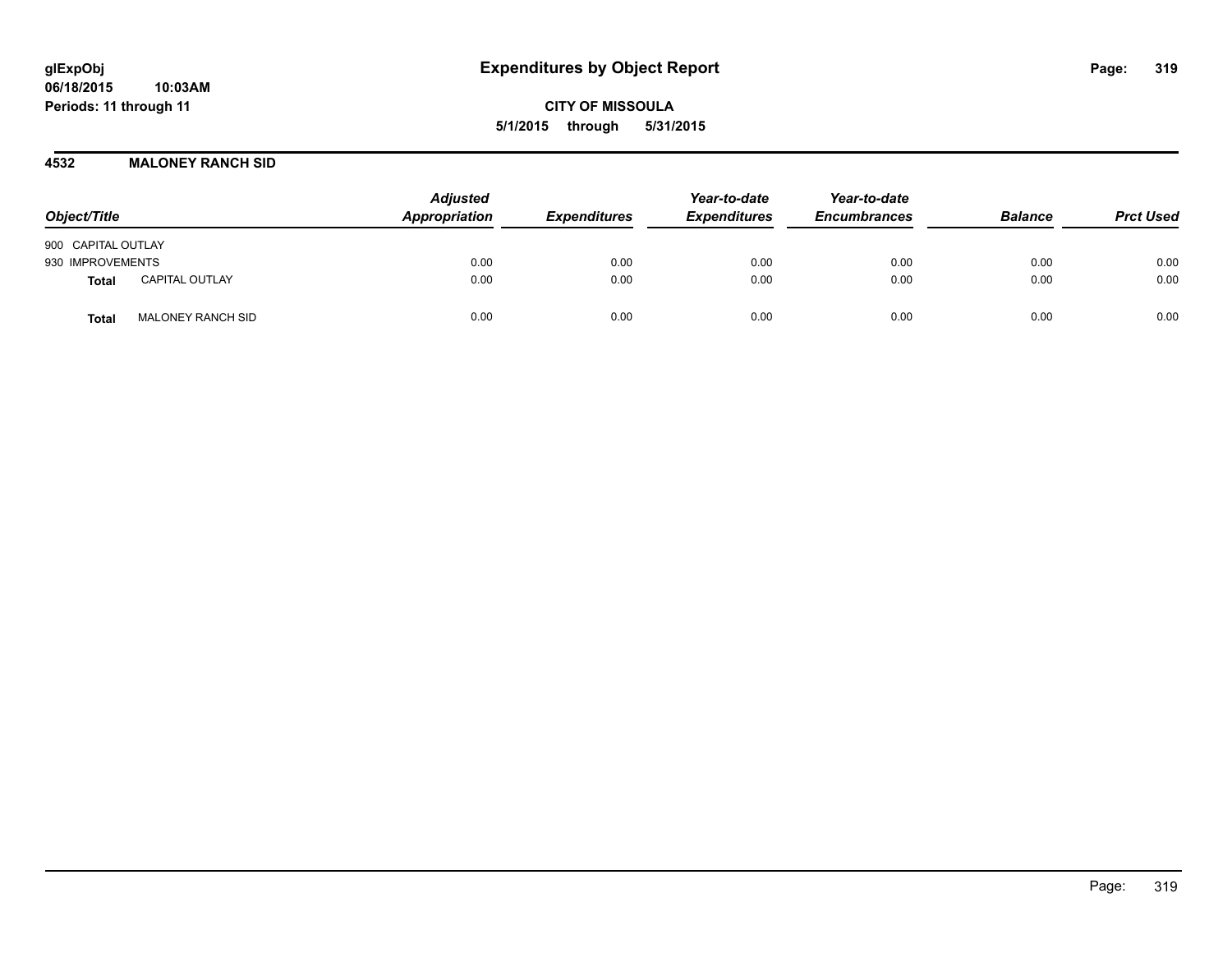**06/18/2015 10:03AM Periods: 11 through 11**

**CITY OF MISSOULA 5/1/2015 through 5/31/2015**

**4532 MALONEY RANCH SID**

| Object/Title                             | <b>Adjusted</b><br>Appropriation | <b>Expenditures</b> | Year-to-date<br><b>Expenditures</b> | Year-to-date<br><b>Encumbrances</b> | <b>Balance</b> | <b>Prct Used</b> |
|------------------------------------------|----------------------------------|---------------------|-------------------------------------|-------------------------------------|----------------|------------------|
| 900 CAPITAL OUTLAY                       |                                  |                     |                                     |                                     |                |                  |
| 930 IMPROVEMENTS                         | 0.00                             | 0.00                | 0.00                                | 0.00                                | 0.00           | 0.00             |
| CAPITAL OUTLAY<br><b>Total</b>           | 0.00                             | 0.00                | 0.00                                | 0.00                                | 0.00           | 0.00             |
| <b>MALONEY RANCH SID</b><br><b>Total</b> | 0.00                             | 0.00                | 0.00                                | 0.00                                | 0.00           | 0.00             |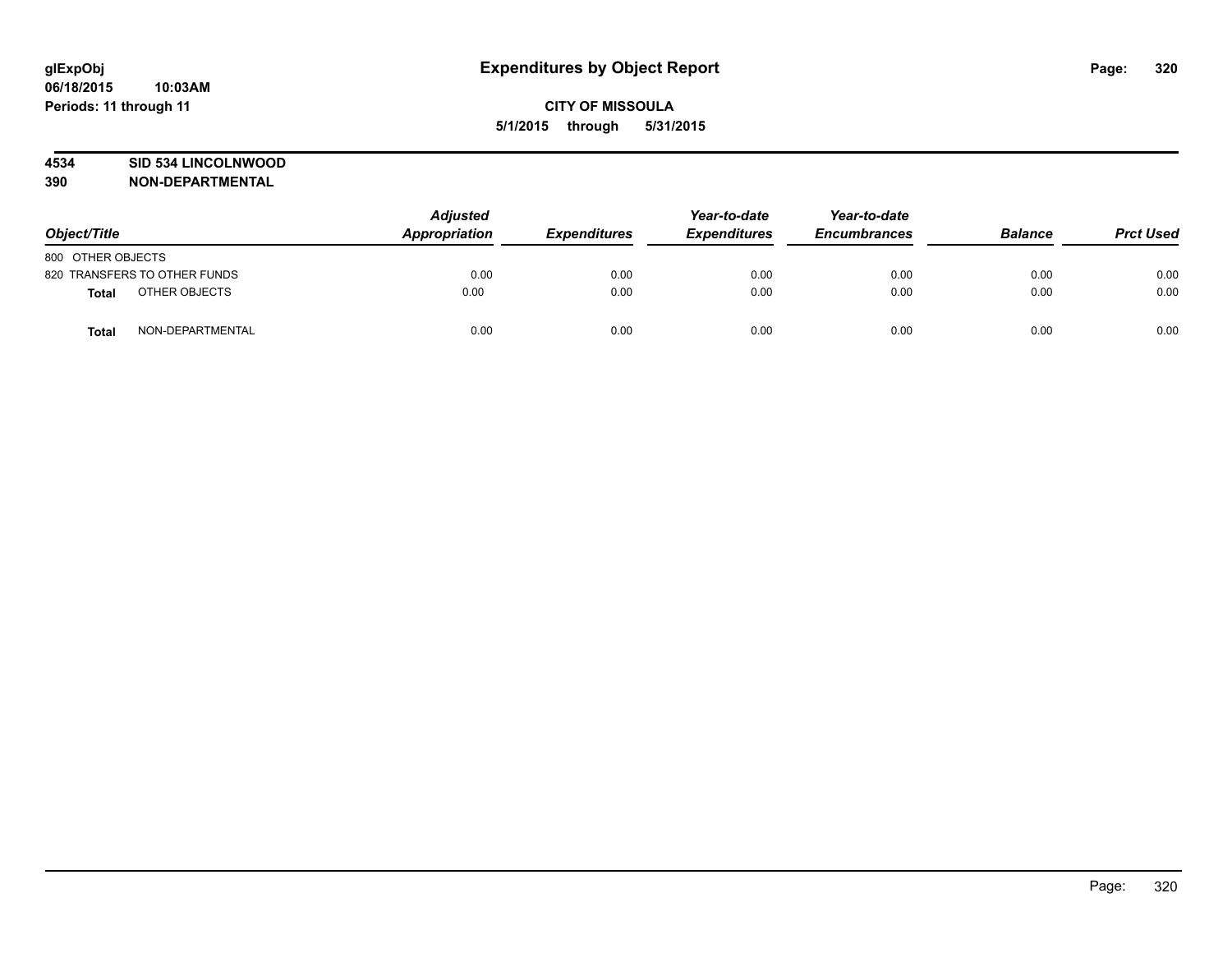### **4534 SID 534 LINCOLNWOOD**

**390 NON-DEPARTMENTAL**

| Object/Title      |                              | <b>Adjusted</b><br><b>Appropriation</b> | <b>Expenditures</b> | Year-to-date<br><b>Expenditures</b> | Year-to-date<br><b>Encumbrances</b> | <b>Balance</b> | <b>Prct Used</b> |
|-------------------|------------------------------|-----------------------------------------|---------------------|-------------------------------------|-------------------------------------|----------------|------------------|
| 800 OTHER OBJECTS |                              |                                         |                     |                                     |                                     |                |                  |
|                   | 820 TRANSFERS TO OTHER FUNDS | 0.00                                    | 0.00                | 0.00                                | 0.00                                | 0.00           | 0.00             |
| Total             | OTHER OBJECTS                | 0.00                                    | 0.00                | 0.00                                | 0.00                                | 0.00           | 0.00             |
| <b>Total</b>      | NON-DEPARTMENTAL             | 0.00                                    | 0.00                | 0.00                                | 0.00                                | 0.00           | 0.00             |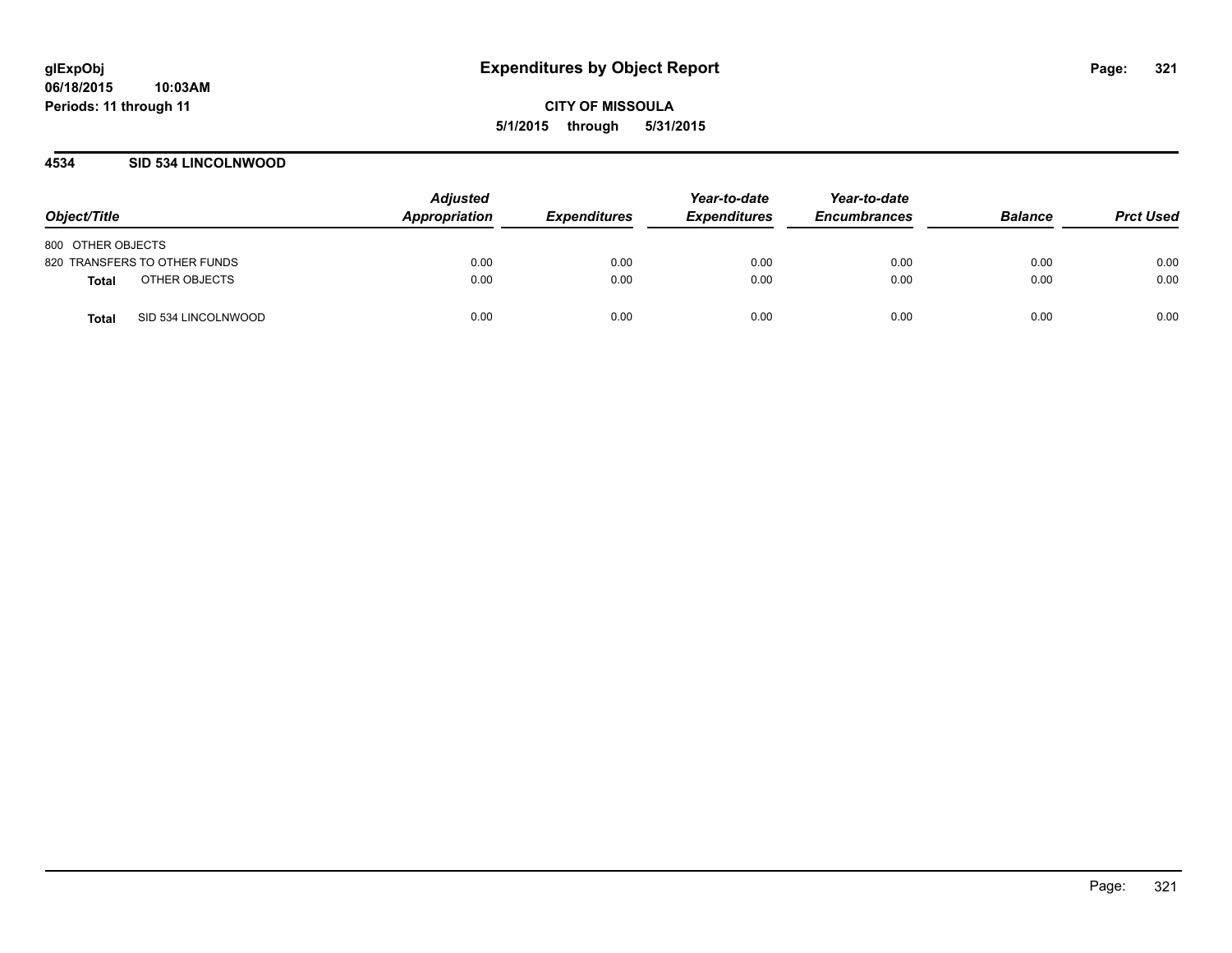### **4534 SID 534 LINCOLNWOOD**

| Object/Title                  | <b>Adjusted</b><br>Appropriation | <b>Expenditures</b> | Year-to-date<br><b>Expenditures</b> | Year-to-date<br><b>Encumbrances</b> | <b>Balance</b> | <b>Prct Used</b> |
|-------------------------------|----------------------------------|---------------------|-------------------------------------|-------------------------------------|----------------|------------------|
| 800 OTHER OBJECTS             |                                  |                     |                                     |                                     |                |                  |
| 820 TRANSFERS TO OTHER FUNDS  | 0.00                             | 0.00                | 0.00                                | 0.00                                | 0.00           | 0.00             |
| OTHER OBJECTS<br><b>Total</b> | 0.00                             | 0.00                | 0.00                                | 0.00                                | 0.00           | 0.00             |
| SID 534 LINCOLNWOOD<br>Total  | 0.00                             | 0.00                | 0.00                                | 0.00                                | 0.00           | 0.00             |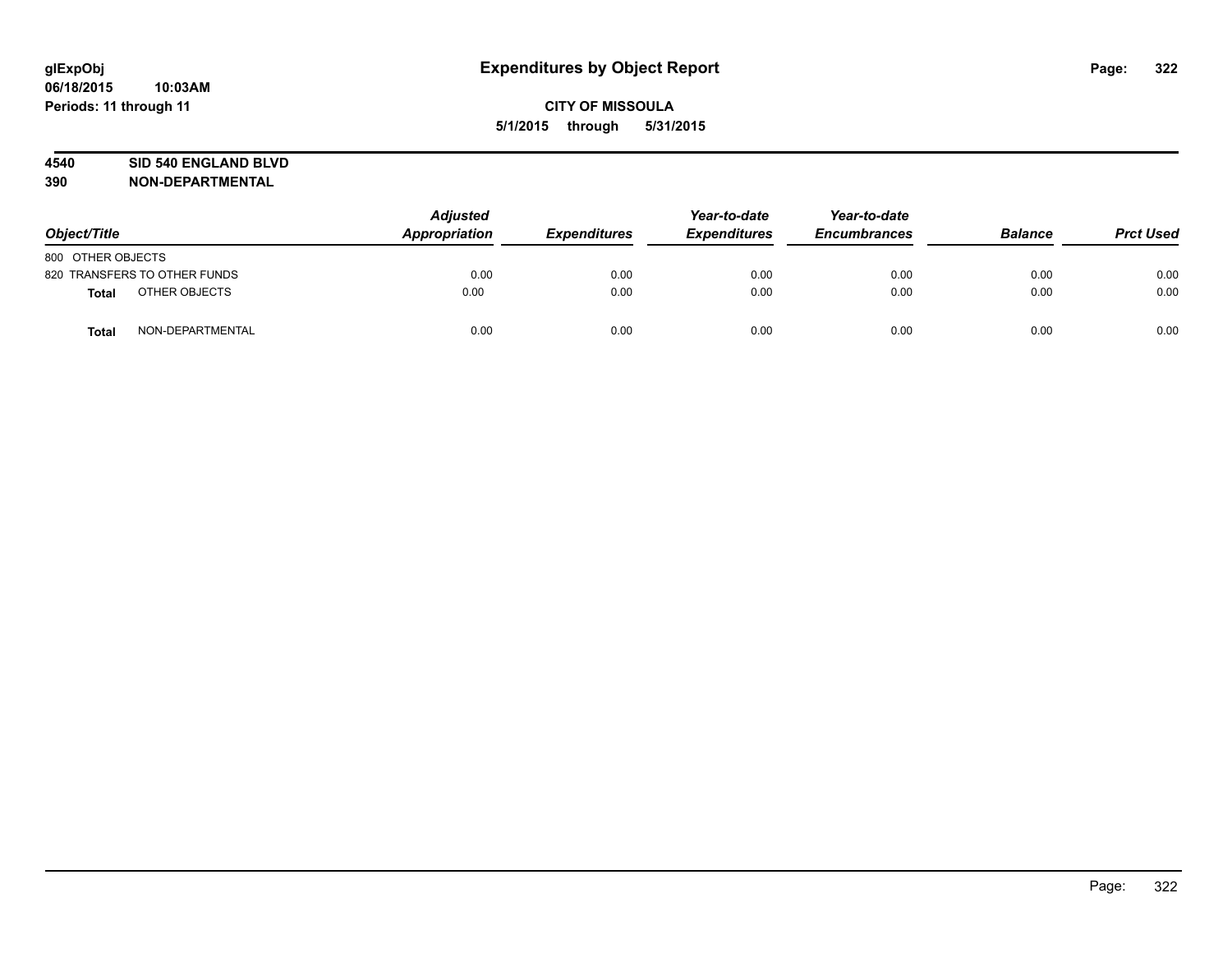### **4540 SID 540 ENGLAND BLVD**

**390 NON-DEPARTMENTAL**

| Object/Title                     |  | <b>Adjusted</b><br>Appropriation<br><b>Expenditures</b> | Year-to-date<br><b>Expenditures</b> | Year-to-date<br><b>Encumbrances</b> | <b>Balance</b> | <b>Prct Used</b> |      |
|----------------------------------|--|---------------------------------------------------------|-------------------------------------|-------------------------------------|----------------|------------------|------|
| 800 OTHER OBJECTS                |  |                                                         |                                     |                                     |                |                  |      |
| 820 TRANSFERS TO OTHER FUNDS     |  | 0.00                                                    | 0.00                                | 0.00                                | 0.00           | 0.00             | 0.00 |
| OTHER OBJECTS<br><b>Total</b>    |  | 0.00                                                    | 0.00                                | 0.00                                | 0.00           | 0.00             | 0.00 |
| NON-DEPARTMENTAL<br><b>Total</b> |  | 0.00                                                    | 0.00                                | 0.00                                | 0.00           | 0.00             | 0.00 |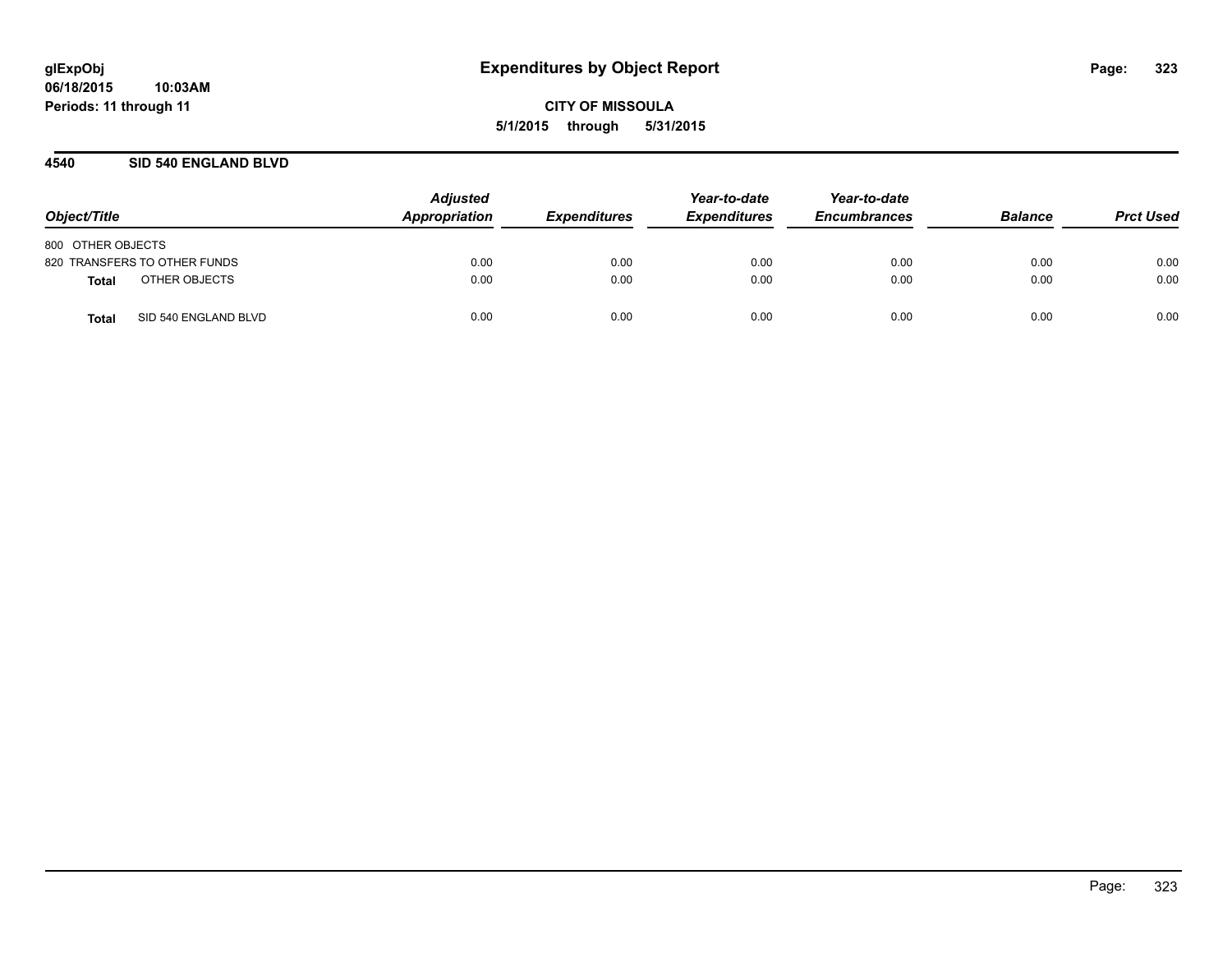### **4540 SID 540 ENGLAND BLVD**

| Object/Title                  | <b>Adjusted</b><br>Appropriation | <b>Expenditures</b> | Year-to-date<br><b>Expenditures</b> | Year-to-date<br><b>Encumbrances</b> | <b>Balance</b> | <b>Prct Used</b> |
|-------------------------------|----------------------------------|---------------------|-------------------------------------|-------------------------------------|----------------|------------------|
| 800 OTHER OBJECTS             |                                  |                     |                                     |                                     |                |                  |
| 820 TRANSFERS TO OTHER FUNDS  | 0.00                             | 0.00                | 0.00                                | 0.00                                | 0.00           | 0.00             |
| OTHER OBJECTS<br><b>Total</b> | 0.00                             | 0.00                | 0.00                                | 0.00                                | 0.00           | 0.00             |
| SID 540 ENGLAND BLVD<br>Total | 0.00                             | 0.00                | 0.00                                | 0.00                                | 0.00           | 0.00             |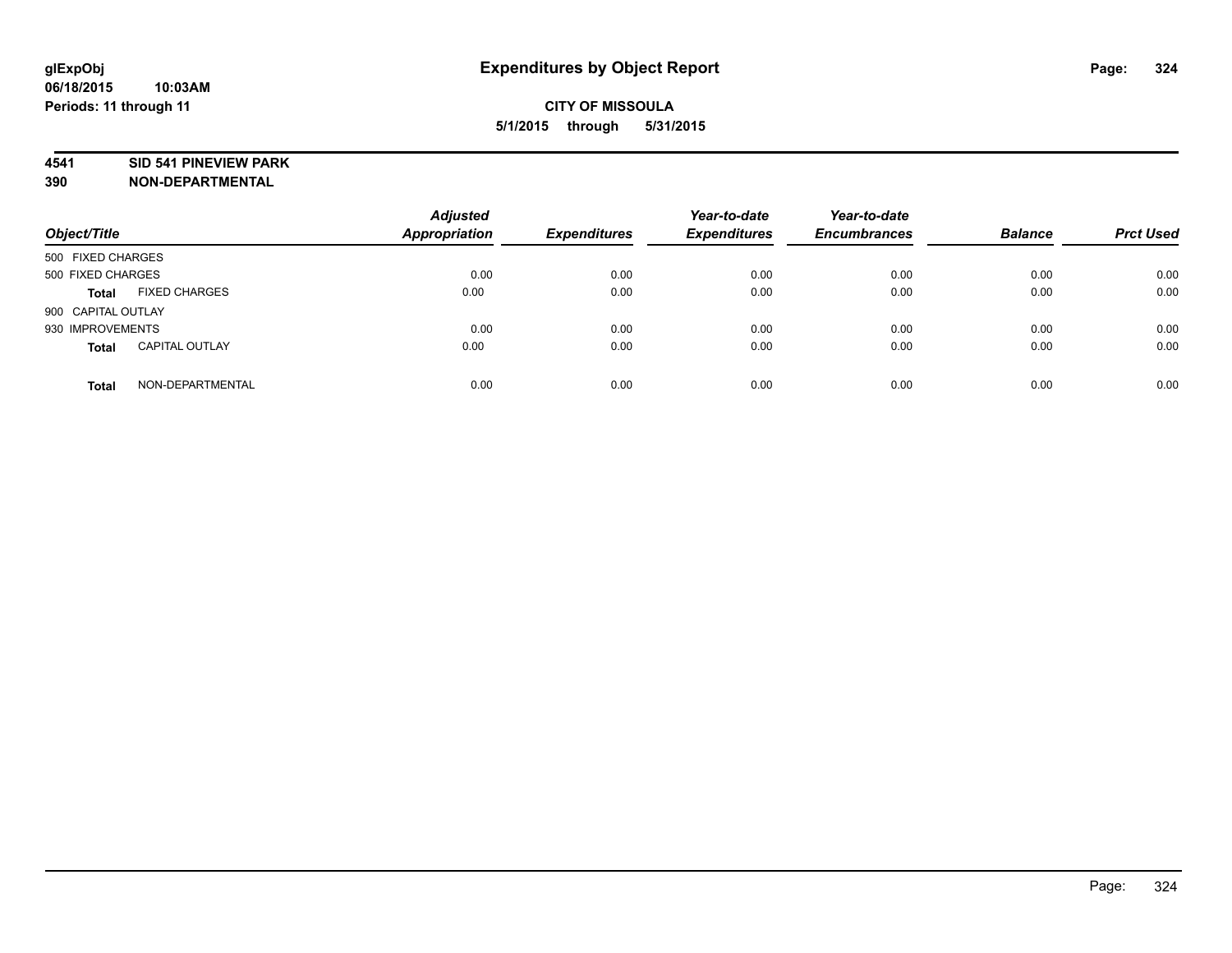### **4541 SID 541 PINEVIEW PARK**

**390 NON-DEPARTMENTAL**

| Object/Title                          | <b>Adjusted</b><br><b>Appropriation</b> | <b>Expenditures</b> | Year-to-date<br><b>Expenditures</b> | Year-to-date<br><b>Encumbrances</b> | <b>Balance</b> | <b>Prct Used</b> |
|---------------------------------------|-----------------------------------------|---------------------|-------------------------------------|-------------------------------------|----------------|------------------|
| 500 FIXED CHARGES                     |                                         |                     |                                     |                                     |                |                  |
| 500 FIXED CHARGES                     | 0.00                                    | 0.00                | 0.00                                | 0.00                                | 0.00           | 0.00             |
| <b>FIXED CHARGES</b><br><b>Total</b>  | 0.00                                    | 0.00                | 0.00                                | 0.00                                | 0.00           | 0.00             |
| 900 CAPITAL OUTLAY                    |                                         |                     |                                     |                                     |                |                  |
| 930 IMPROVEMENTS                      | 0.00                                    | 0.00                | 0.00                                | 0.00                                | 0.00           | 0.00             |
| <b>CAPITAL OUTLAY</b><br><b>Total</b> | 0.00                                    | 0.00                | 0.00                                | 0.00                                | 0.00           | 0.00             |
| NON-DEPARTMENTAL<br><b>Total</b>      | 0.00                                    | 0.00                | 0.00                                | 0.00                                | 0.00           | 0.00             |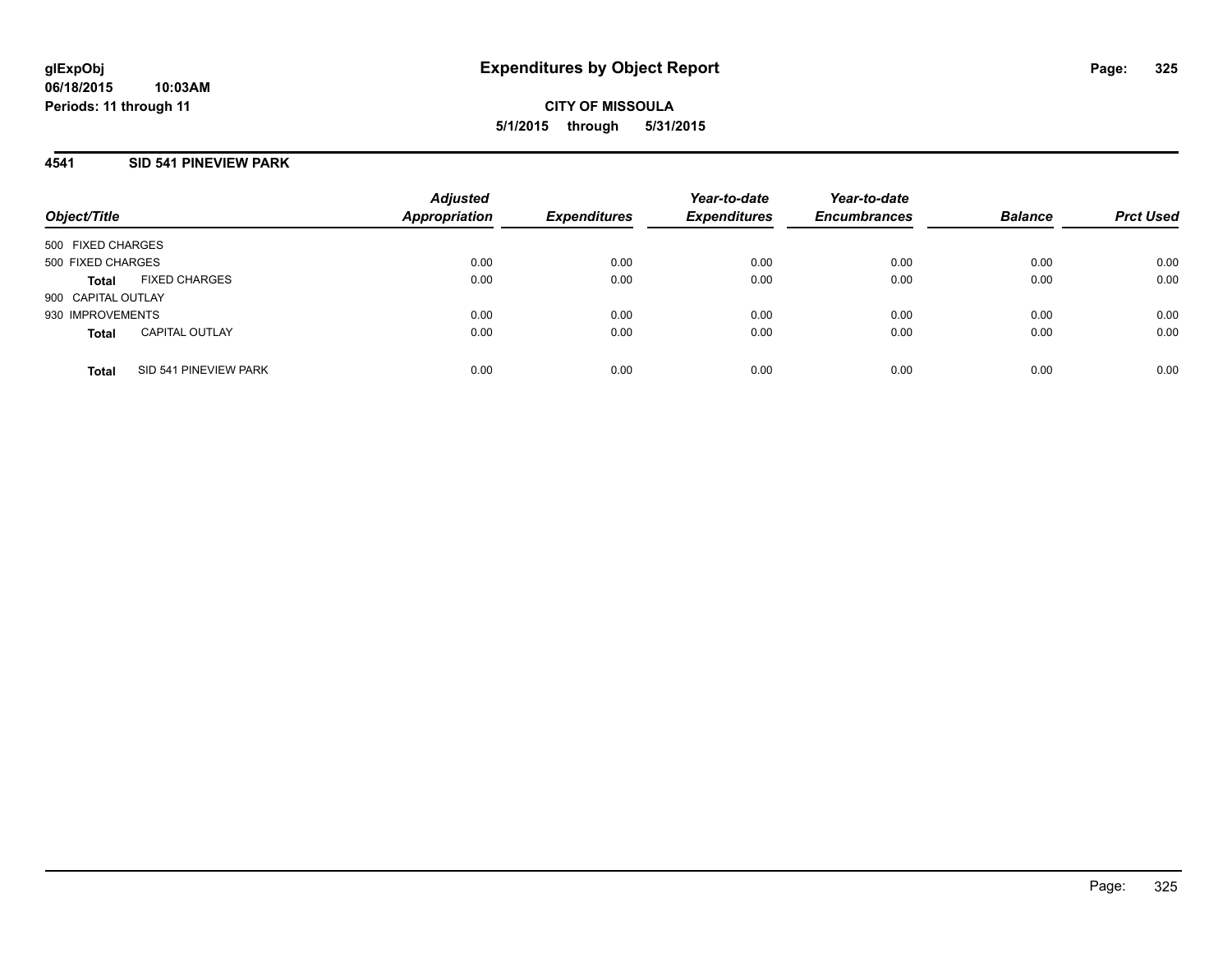#### **4541 SID 541 PINEVIEW PARK**

| Object/Title       |                       | <b>Adjusted</b><br><b>Appropriation</b> | <b>Expenditures</b> | Year-to-date<br><b>Expenditures</b> | Year-to-date<br><b>Encumbrances</b> | <b>Balance</b> | <b>Prct Used</b> |
|--------------------|-----------------------|-----------------------------------------|---------------------|-------------------------------------|-------------------------------------|----------------|------------------|
| 500 FIXED CHARGES  |                       |                                         |                     |                                     |                                     |                |                  |
| 500 FIXED CHARGES  |                       | 0.00                                    | 0.00                | 0.00                                | 0.00                                | 0.00           | 0.00             |
| Total              | <b>FIXED CHARGES</b>  | 0.00                                    | 0.00                | 0.00                                | 0.00                                | 0.00           | 0.00             |
| 900 CAPITAL OUTLAY |                       |                                         |                     |                                     |                                     |                |                  |
| 930 IMPROVEMENTS   |                       | 0.00                                    | 0.00                | 0.00                                | 0.00                                | 0.00           | 0.00             |
| <b>Total</b>       | <b>CAPITAL OUTLAY</b> | 0.00                                    | 0.00                | 0.00                                | 0.00                                | 0.00           | 0.00             |
| <b>Total</b>       | SID 541 PINEVIEW PARK | 0.00                                    | 0.00                | 0.00                                | 0.00                                | 0.00           | 0.00             |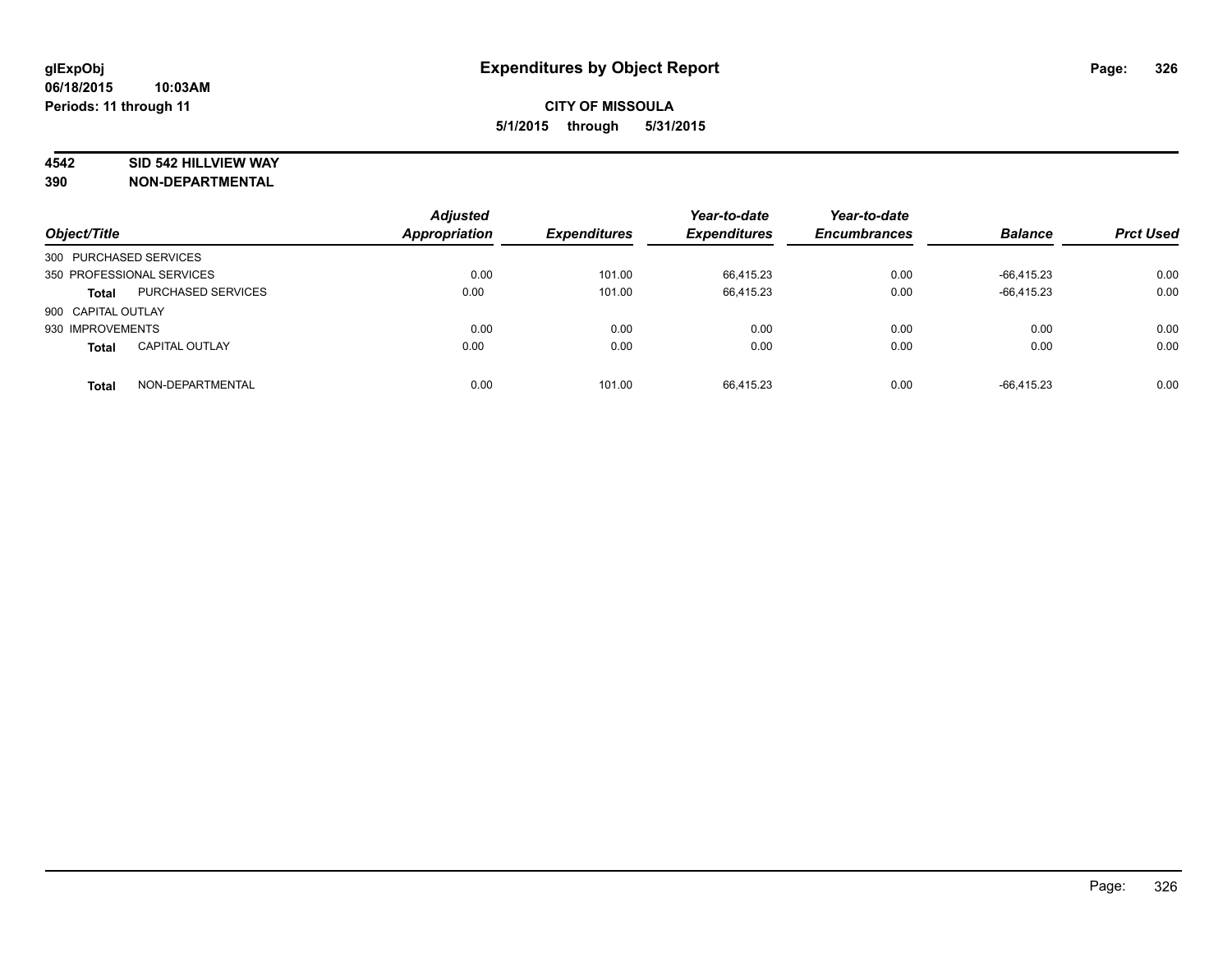# **4542 SID 542 HILLVIEW WAY**

| Object/Title           |                           | <b>Adjusted</b><br><b>Appropriation</b> | <b>Expenditures</b> | Year-to-date<br><b>Expenditures</b> | Year-to-date<br><b>Encumbrances</b> | <b>Balance</b> | <b>Prct Used</b> |
|------------------------|---------------------------|-----------------------------------------|---------------------|-------------------------------------|-------------------------------------|----------------|------------------|
| 300 PURCHASED SERVICES |                           |                                         |                     |                                     |                                     |                |                  |
|                        | 350 PROFESSIONAL SERVICES | 0.00                                    | 101.00              | 66.415.23                           | 0.00                                | $-66.415.23$   | 0.00             |
| <b>Total</b>           | <b>PURCHASED SERVICES</b> | 0.00                                    | 101.00              | 66,415.23                           | 0.00                                | $-66,415.23$   | 0.00             |
| 900 CAPITAL OUTLAY     |                           |                                         |                     |                                     |                                     |                |                  |
| 930 IMPROVEMENTS       |                           | 0.00                                    | 0.00                | 0.00                                | 0.00                                | 0.00           | 0.00             |
| <b>Total</b>           | <b>CAPITAL OUTLAY</b>     | 0.00                                    | 0.00                | 0.00                                | 0.00                                | 0.00           | 0.00             |
| <b>Total</b>           | NON-DEPARTMENTAL          | 0.00                                    | 101.00              | 66.415.23                           | 0.00                                | $-66.415.23$   | 0.00             |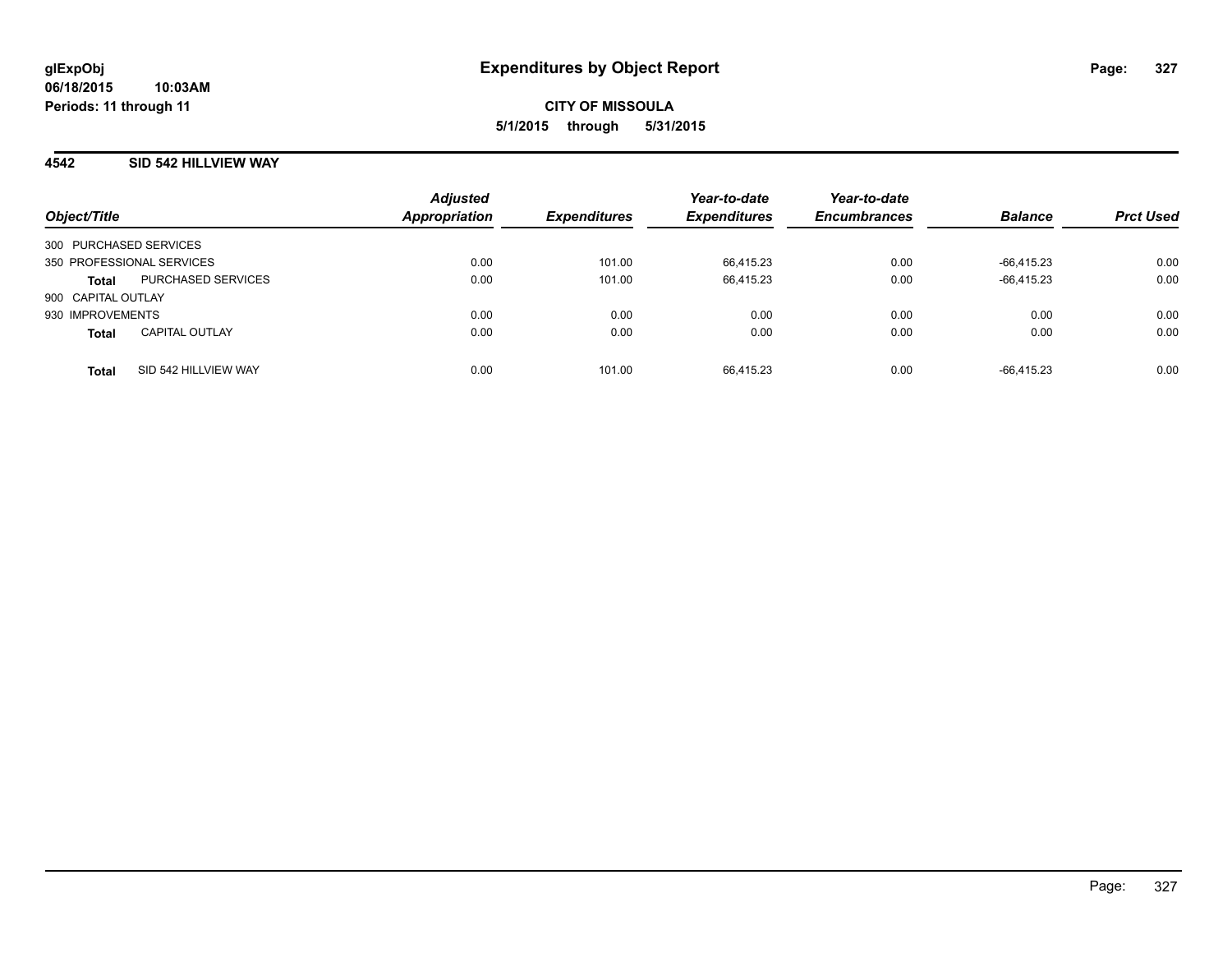## **4542 SID 542 HILLVIEW WAY**

| Object/Title           |                           | <b>Adjusted</b><br><b>Appropriation</b> | <b>Expenditures</b> | Year-to-date<br><b>Expenditures</b> | Year-to-date<br><b>Encumbrances</b> | <b>Balance</b> | <b>Prct Used</b> |
|------------------------|---------------------------|-----------------------------------------|---------------------|-------------------------------------|-------------------------------------|----------------|------------------|
| 300 PURCHASED SERVICES |                           |                                         |                     |                                     |                                     |                |                  |
|                        | 350 PROFESSIONAL SERVICES | 0.00                                    | 101.00              | 66.415.23                           | 0.00                                | $-66.415.23$   | 0.00             |
| <b>Total</b>           | PURCHASED SERVICES        | 0.00                                    | 101.00              | 66,415.23                           | 0.00                                | $-66.415.23$   | 0.00             |
| 900 CAPITAL OUTLAY     |                           |                                         |                     |                                     |                                     |                |                  |
| 930 IMPROVEMENTS       |                           | 0.00                                    | 0.00                | 0.00                                | 0.00                                | 0.00           | 0.00             |
| <b>Total</b>           | <b>CAPITAL OUTLAY</b>     | 0.00                                    | 0.00                | 0.00                                | 0.00                                | 0.00           | 0.00             |
| <b>Total</b>           | SID 542 HILLVIEW WAY      | 0.00                                    | 101.00              | 66.415.23                           | 0.00                                | $-66.415.23$   | 0.00             |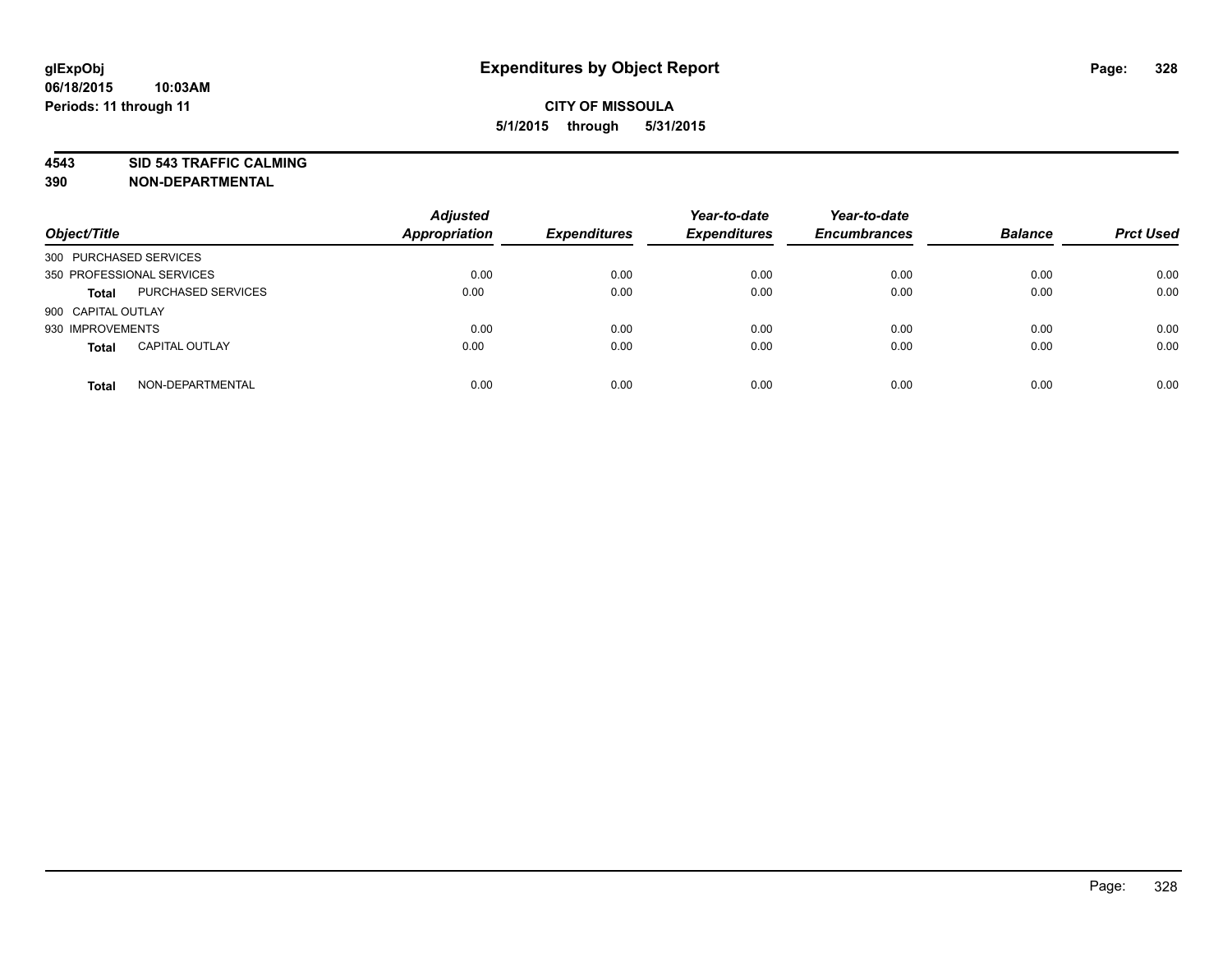**4543 SID 543 TRAFFIC CALMING**

| Object/Title           |                           | <b>Adjusted</b><br>Appropriation | <b>Expenditures</b> | Year-to-date<br><b>Expenditures</b> | Year-to-date<br><b>Encumbrances</b> | <b>Balance</b> | <b>Prct Used</b> |
|------------------------|---------------------------|----------------------------------|---------------------|-------------------------------------|-------------------------------------|----------------|------------------|
| 300 PURCHASED SERVICES |                           |                                  |                     |                                     |                                     |                |                  |
|                        | 350 PROFESSIONAL SERVICES | 0.00                             | 0.00                | 0.00                                | 0.00                                | 0.00           | 0.00             |
| <b>Total</b>           | PURCHASED SERVICES        | 0.00                             | 0.00                | 0.00                                | 0.00                                | 0.00           | 0.00             |
| 900 CAPITAL OUTLAY     |                           |                                  |                     |                                     |                                     |                |                  |
| 930 IMPROVEMENTS       |                           | 0.00                             | 0.00                | 0.00                                | 0.00                                | 0.00           | 0.00             |
| <b>Total</b>           | <b>CAPITAL OUTLAY</b>     | 0.00                             | 0.00                | 0.00                                | 0.00                                | 0.00           | 0.00             |
| <b>Total</b>           | NON-DEPARTMENTAL          | 0.00                             | 0.00                | 0.00                                | 0.00                                | 0.00           | 0.00             |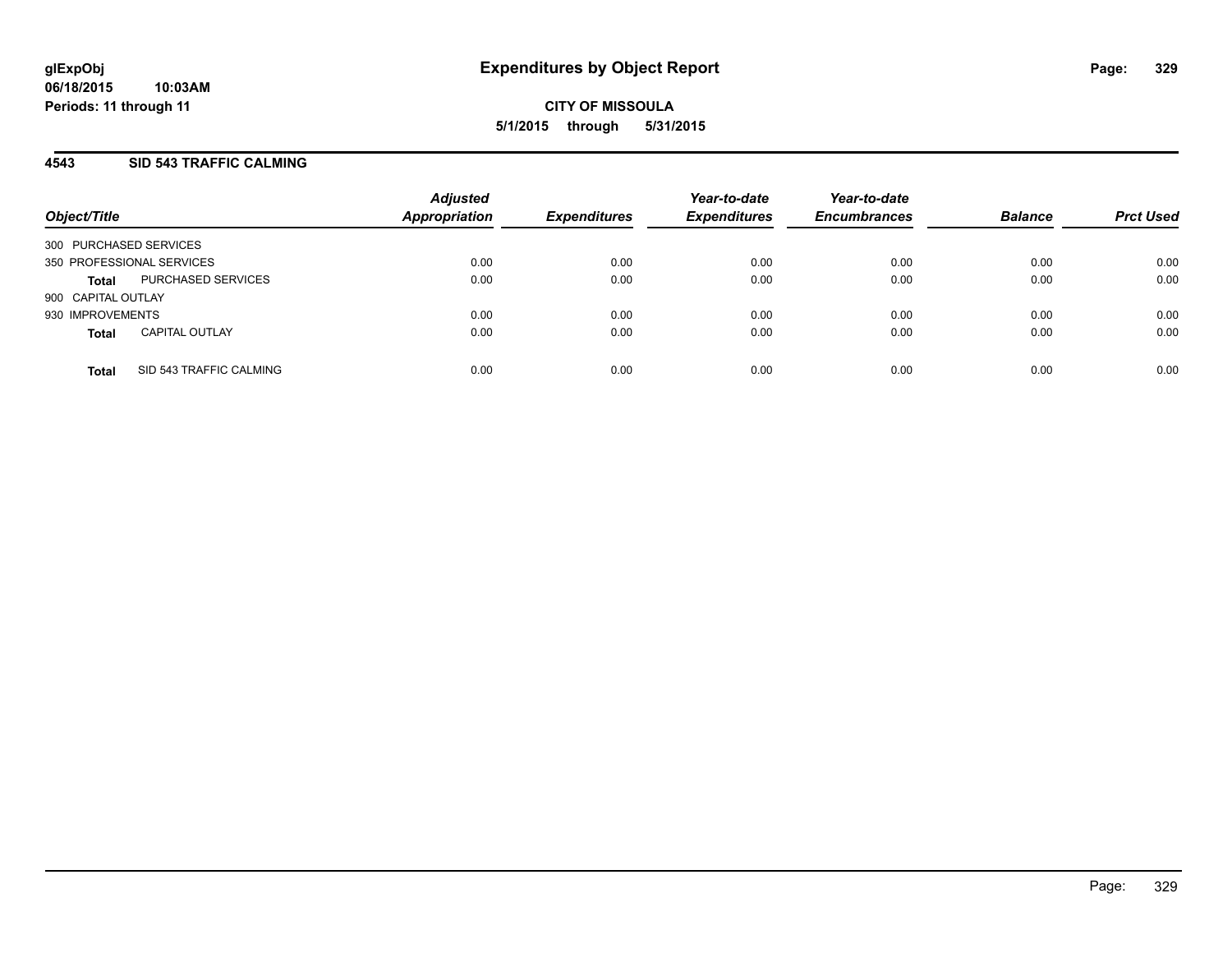## **4543 SID 543 TRAFFIC CALMING**

| Object/Title                            | <b>Adjusted</b><br><b>Appropriation</b> | <b>Expenditures</b> | Year-to-date<br><b>Expenditures</b> | Year-to-date<br><b>Encumbrances</b> | <b>Balance</b> | <b>Prct Used</b> |
|-----------------------------------------|-----------------------------------------|---------------------|-------------------------------------|-------------------------------------|----------------|------------------|
| 300 PURCHASED SERVICES                  |                                         |                     |                                     |                                     |                |                  |
| 350 PROFESSIONAL SERVICES               | 0.00                                    | 0.00                | 0.00                                | 0.00                                | 0.00           | 0.00             |
| PURCHASED SERVICES<br><b>Total</b>      | 0.00                                    | 0.00                | 0.00                                | 0.00                                | 0.00           | 0.00             |
| 900 CAPITAL OUTLAY                      |                                         |                     |                                     |                                     |                |                  |
| 930 IMPROVEMENTS                        | 0.00                                    | 0.00                | 0.00                                | 0.00                                | 0.00           | 0.00             |
| <b>CAPITAL OUTLAY</b><br><b>Total</b>   | 0.00                                    | 0.00                | 0.00                                | 0.00                                | 0.00           | 0.00             |
| SID 543 TRAFFIC CALMING<br><b>Total</b> | 0.00                                    | 0.00                | 0.00                                | 0.00                                | 0.00           | 0.00             |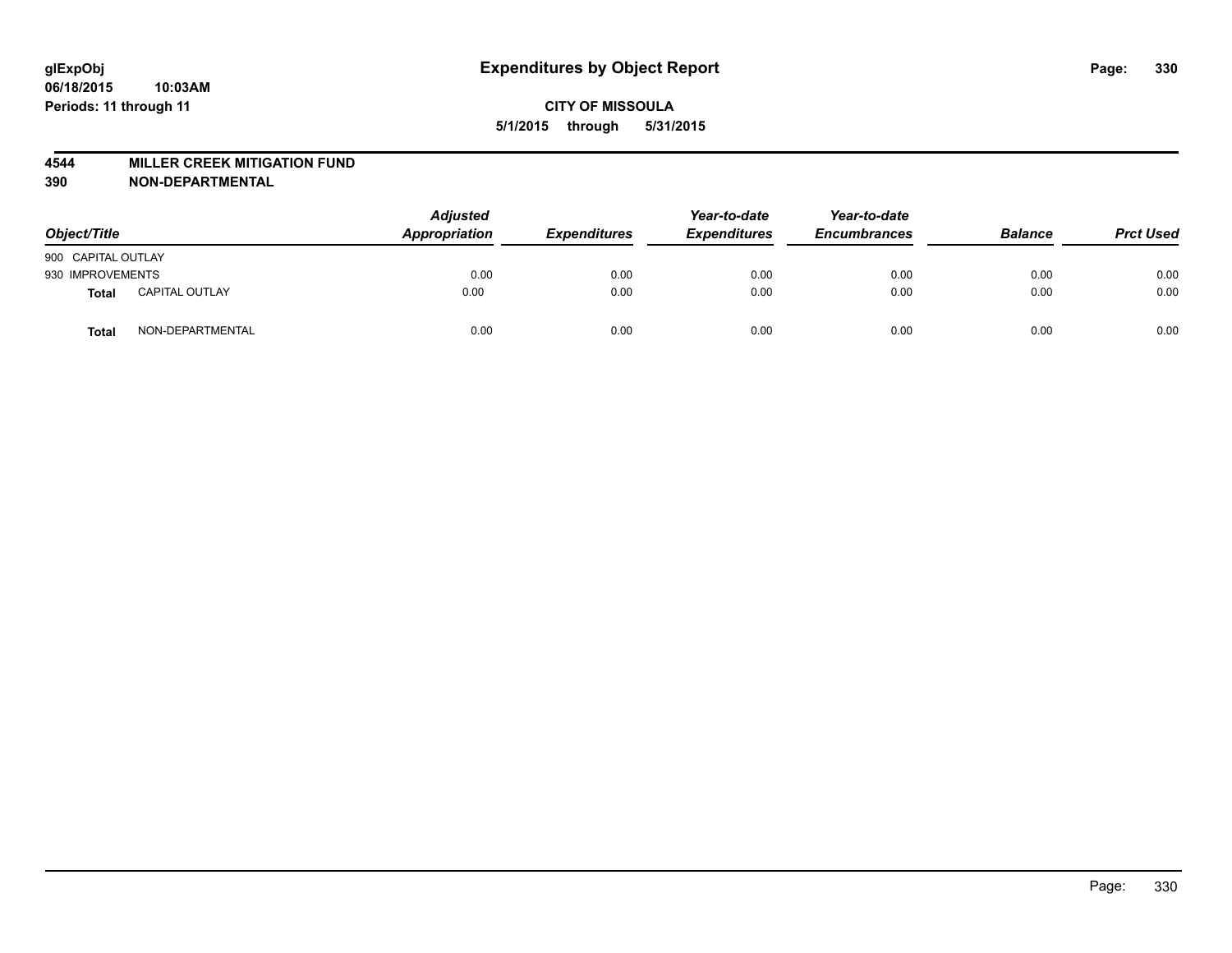#### **4544 MILLER CREEK MITIGATION FUND**

| Object/Title       |                       | <b>Adjusted</b><br>Appropriation | <b>Expenditures</b> | Year-to-date<br><b>Expenditures</b> | Year-to-date<br><b>Encumbrances</b> | <b>Balance</b> | <b>Prct Used</b> |
|--------------------|-----------------------|----------------------------------|---------------------|-------------------------------------|-------------------------------------|----------------|------------------|
| 900 CAPITAL OUTLAY |                       |                                  |                     |                                     |                                     |                |                  |
| 930 IMPROVEMENTS   |                       | 0.00                             | 0.00                | 0.00                                | 0.00                                | 0.00           | 0.00             |
| Total              | <b>CAPITAL OUTLAY</b> | 0.00                             | 0.00                | 0.00                                | 0.00                                | 0.00           | 0.00             |
| Total              | NON-DEPARTMENTAL      | 0.00                             | 0.00                | 0.00                                | 0.00                                | 0.00           | 0.00             |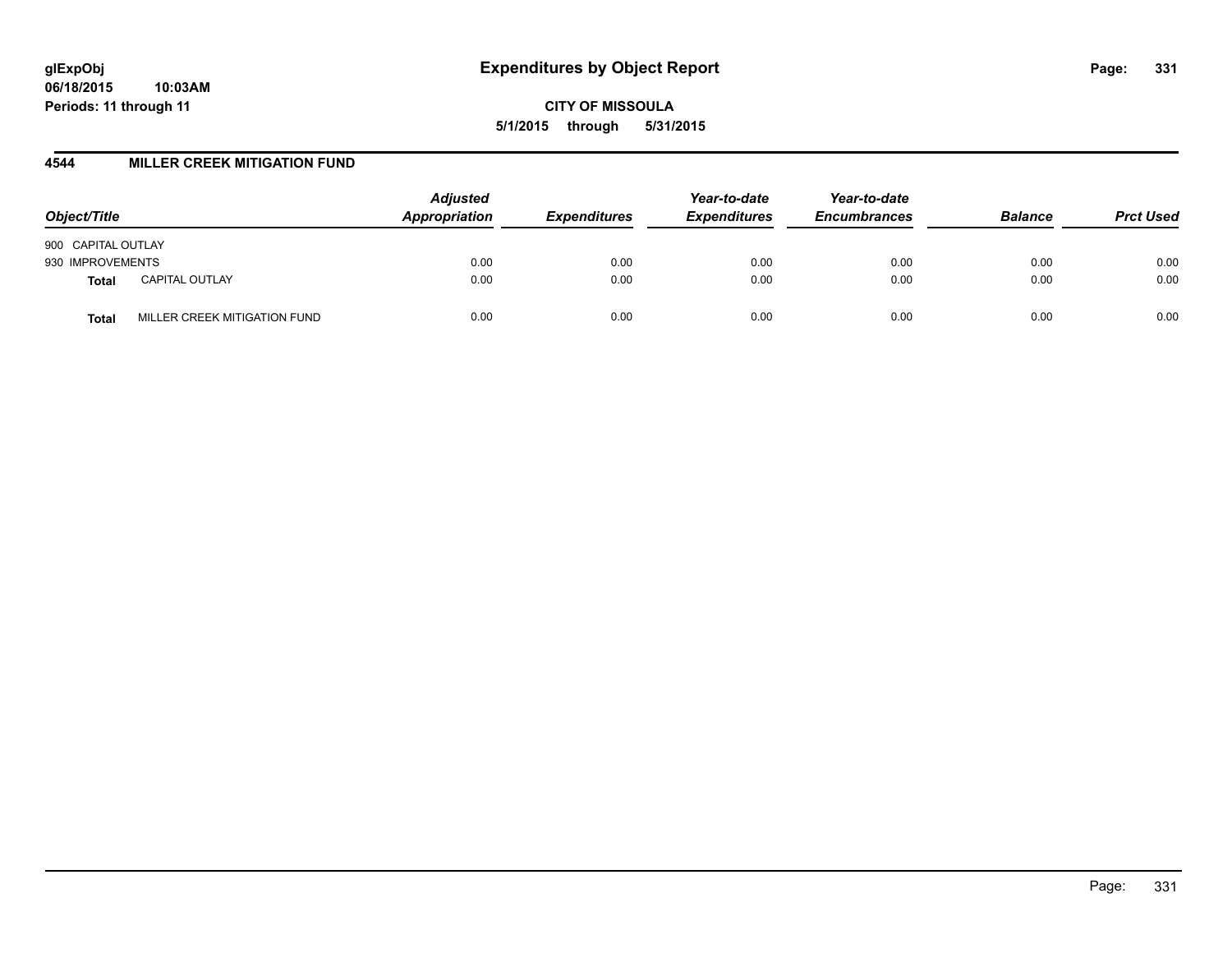#### **4544 MILLER CREEK MITIGATION FUND**

| Object/Title                          | <b>Adjusted</b><br><b>Appropriation</b> | <b>Expenditures</b> | Year-to-date<br><b>Expenditures</b> | Year-to-date<br><b>Encumbrances</b> | <b>Balance</b> | <b>Prct Used</b> |
|---------------------------------------|-----------------------------------------|---------------------|-------------------------------------|-------------------------------------|----------------|------------------|
| 900 CAPITAL OUTLAY                    |                                         |                     |                                     |                                     |                |                  |
| 930 IMPROVEMENTS                      | 0.00                                    | 0.00                | 0.00                                | 0.00                                | 0.00           | 0.00             |
| <b>CAPITAL OUTLAY</b><br><b>Total</b> | 0.00                                    | 0.00                | 0.00                                | 0.00                                | 0.00           | 0.00             |
| MILLER CREEK MITIGATION FUND<br>Total | 0.00                                    | 0.00                | 0.00                                | 0.00                                | 0.00           | 0.00             |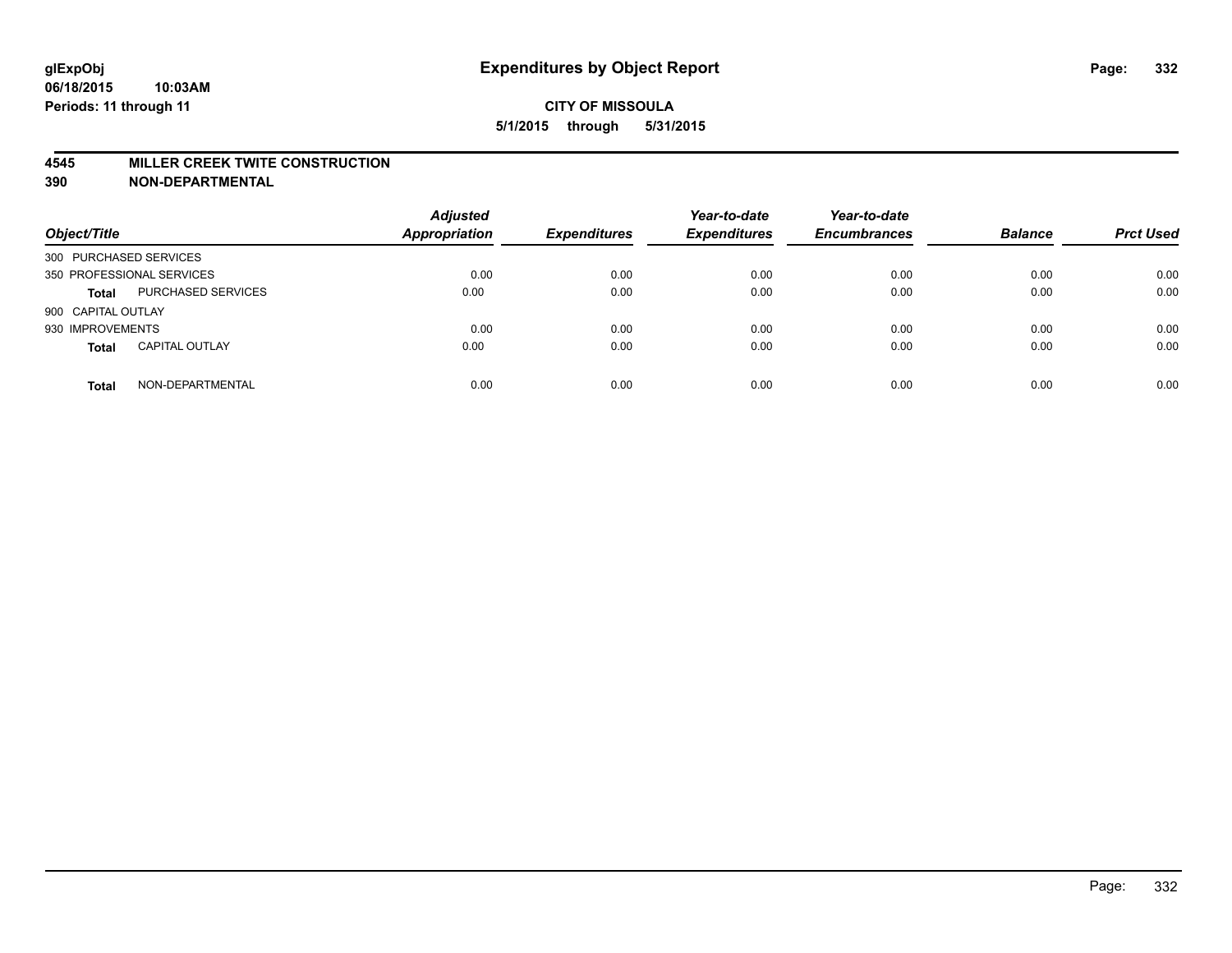#### **4545 MILLER CREEK TWITE CONSTRUCTION**

| Object/Title              |                       | <b>Adjusted</b><br>Appropriation | <b>Expenditures</b> | Year-to-date<br><b>Expenditures</b> | Year-to-date<br><b>Encumbrances</b> | <b>Balance</b> | <b>Prct Used</b> |
|---------------------------|-----------------------|----------------------------------|---------------------|-------------------------------------|-------------------------------------|----------------|------------------|
| 300 PURCHASED SERVICES    |                       |                                  |                     |                                     |                                     |                |                  |
| 350 PROFESSIONAL SERVICES |                       | 0.00                             | 0.00                | 0.00                                | 0.00                                | 0.00           | 0.00             |
| <b>Total</b>              | PURCHASED SERVICES    | 0.00                             | 0.00                | 0.00                                | 0.00                                | 0.00           | 0.00             |
| 900 CAPITAL OUTLAY        |                       |                                  |                     |                                     |                                     |                |                  |
| 930 IMPROVEMENTS          |                       | 0.00                             | 0.00                | 0.00                                | 0.00                                | 0.00           | 0.00             |
| <b>Total</b>              | <b>CAPITAL OUTLAY</b> | 0.00                             | 0.00                | 0.00                                | 0.00                                | 0.00           | 0.00             |
| <b>Total</b>              | NON-DEPARTMENTAL      | 0.00                             | 0.00                | 0.00                                | 0.00                                | 0.00           | 0.00             |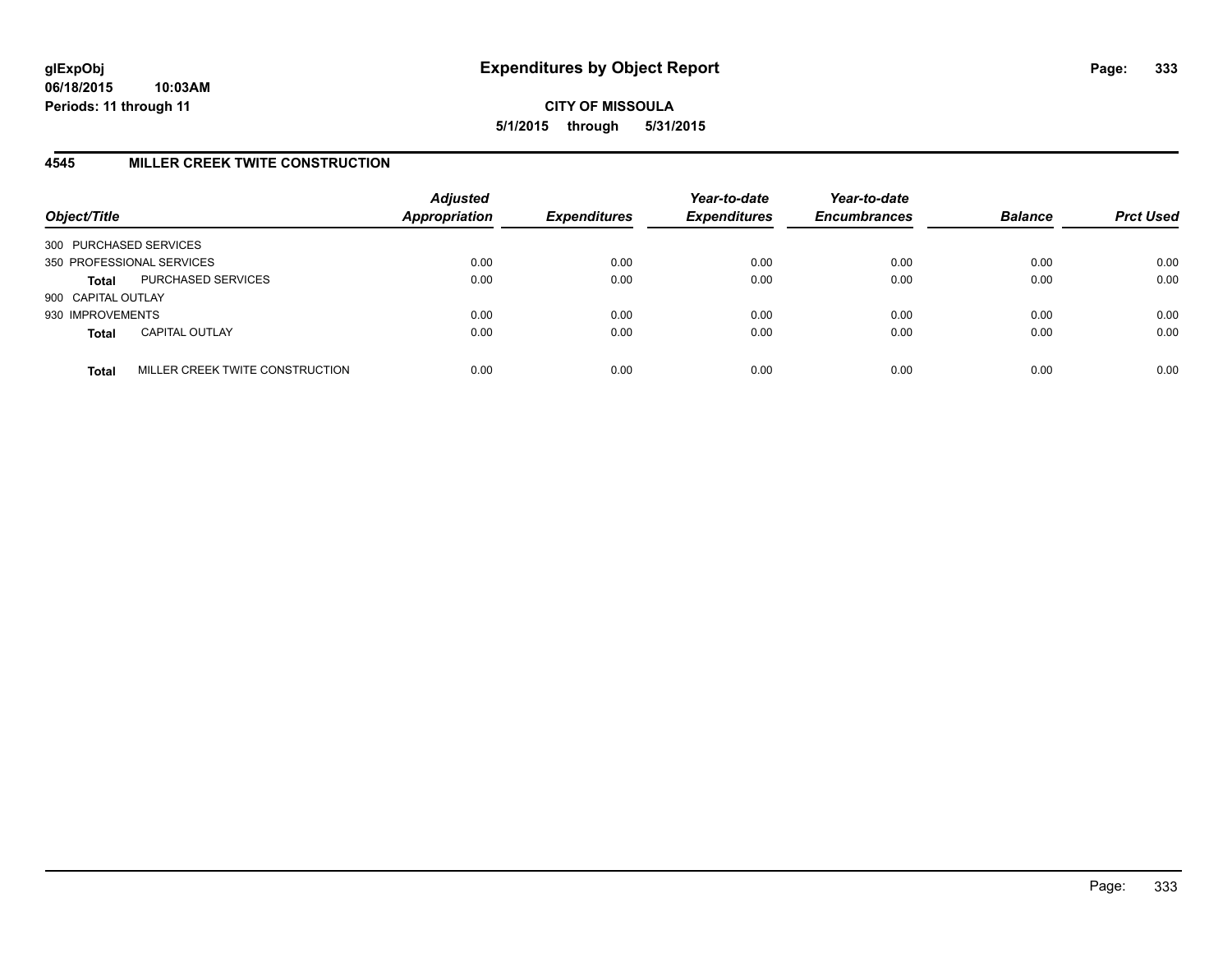# **4545 MILLER CREEK TWITE CONSTRUCTION**

| Object/Title           |                                 | <b>Adjusted</b><br><b>Appropriation</b> | <b>Expenditures</b> | Year-to-date<br><b>Expenditures</b> | Year-to-date<br><b>Encumbrances</b> | <b>Balance</b> | <b>Prct Used</b> |
|------------------------|---------------------------------|-----------------------------------------|---------------------|-------------------------------------|-------------------------------------|----------------|------------------|
| 300 PURCHASED SERVICES |                                 |                                         |                     |                                     |                                     |                |                  |
|                        | 350 PROFESSIONAL SERVICES       | 0.00                                    | 0.00                | 0.00                                | 0.00                                | 0.00           | 0.00             |
| <b>Total</b>           | PURCHASED SERVICES              | 0.00                                    | 0.00                | 0.00                                | 0.00                                | 0.00           | 0.00             |
| 900 CAPITAL OUTLAY     |                                 |                                         |                     |                                     |                                     |                |                  |
| 930 IMPROVEMENTS       |                                 | 0.00                                    | 0.00                | 0.00                                | 0.00                                | 0.00           | 0.00             |
| <b>Total</b>           | <b>CAPITAL OUTLAY</b>           | 0.00                                    | 0.00                | 0.00                                | 0.00                                | 0.00           | 0.00             |
| <b>Total</b>           | MILLER CREEK TWITE CONSTRUCTION | 0.00                                    | 0.00                | 0.00                                | 0.00                                | 0.00           | 0.00             |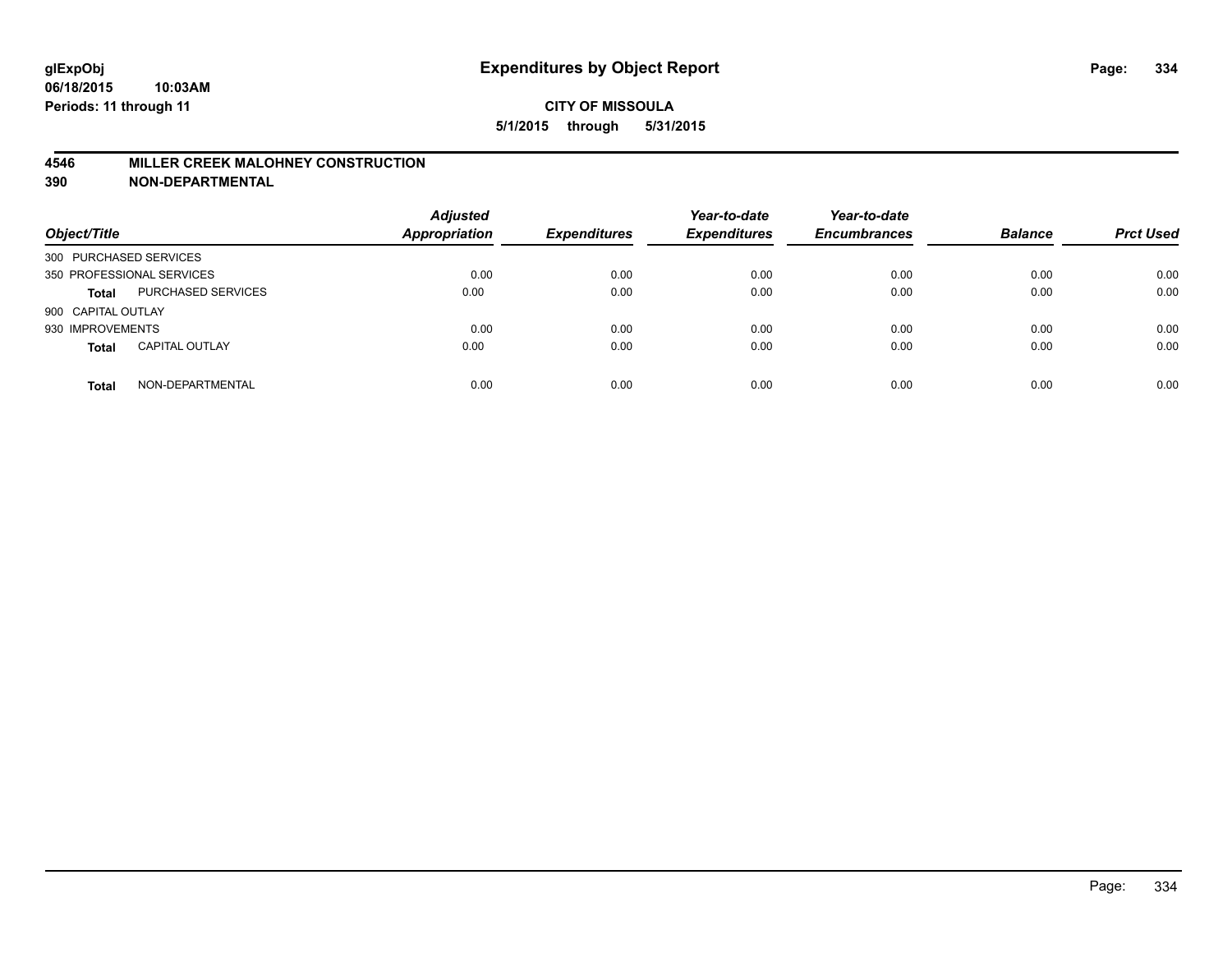## **4546 MILLER CREEK MALOHNEY CONSTRUCTION**

| Object/Title              |                       | <b>Adjusted</b><br>Appropriation | <b>Expenditures</b> | Year-to-date<br><b>Expenditures</b> | Year-to-date<br><b>Encumbrances</b> | <b>Balance</b> | <b>Prct Used</b> |
|---------------------------|-----------------------|----------------------------------|---------------------|-------------------------------------|-------------------------------------|----------------|------------------|
| 300 PURCHASED SERVICES    |                       |                                  |                     |                                     |                                     |                |                  |
| 350 PROFESSIONAL SERVICES |                       | 0.00                             | 0.00                | 0.00                                | 0.00                                | 0.00           | 0.00             |
| <b>Total</b>              | PURCHASED SERVICES    | 0.00                             | 0.00                | 0.00                                | 0.00                                | 0.00           | 0.00             |
| 900 CAPITAL OUTLAY        |                       |                                  |                     |                                     |                                     |                |                  |
| 930 IMPROVEMENTS          |                       | 0.00                             | 0.00                | 0.00                                | 0.00                                | 0.00           | 0.00             |
| <b>Total</b>              | <b>CAPITAL OUTLAY</b> | 0.00                             | 0.00                | 0.00                                | 0.00                                | 0.00           | 0.00             |
| <b>Total</b>              | NON-DEPARTMENTAL      | 0.00                             | 0.00                | 0.00                                | 0.00                                | 0.00           | 0.00             |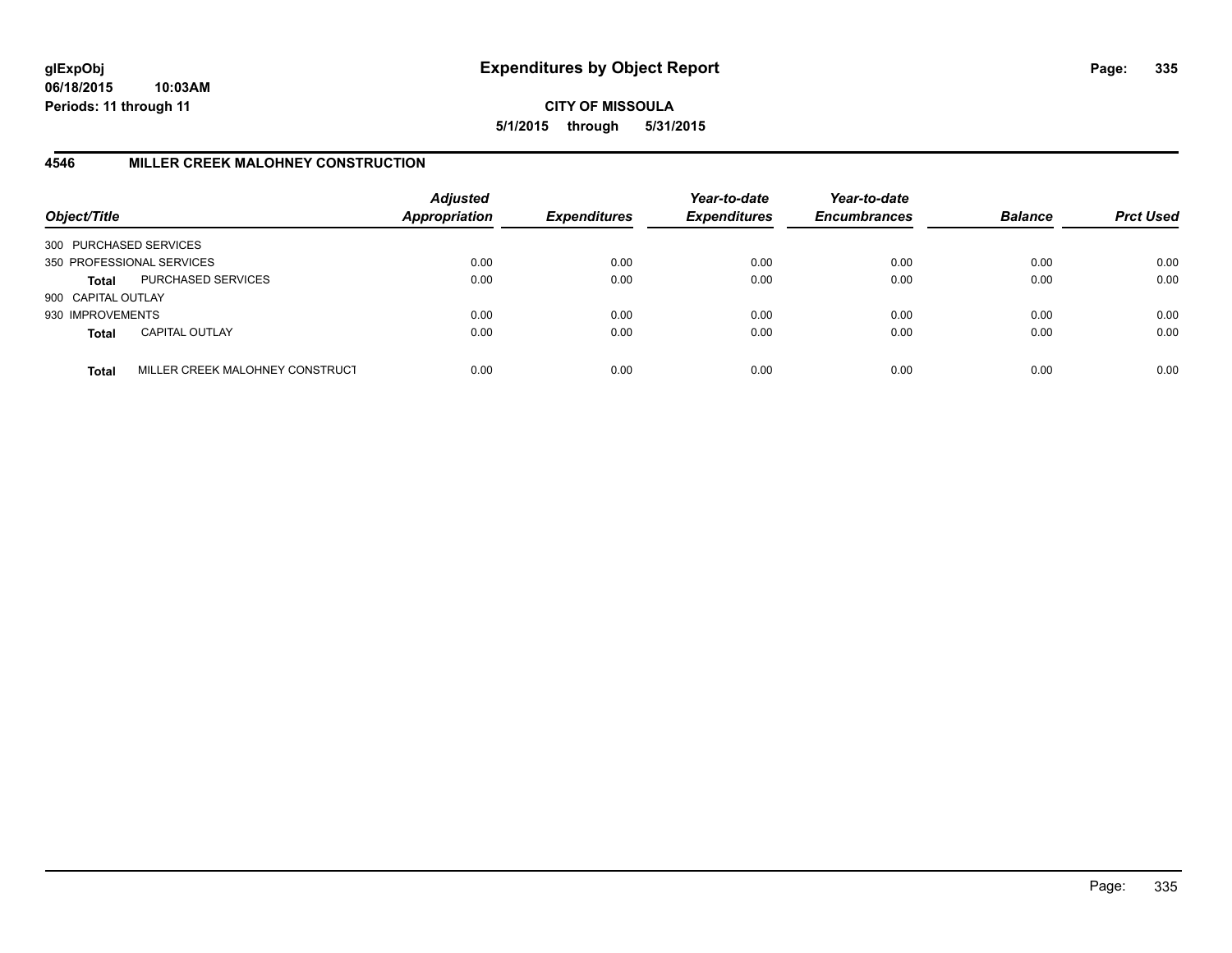**06/18/2015 10:03AM Periods: 11 through 11**

**CITY OF MISSOULA 5/1/2015 through 5/31/2015**

# **4546 MILLER CREEK MALOHNEY CONSTRUCTION**

| Object/Title           |                                 | <b>Adjusted</b><br><b>Appropriation</b> | <b>Expenditures</b> | Year-to-date<br><b>Expenditures</b> | Year-to-date<br><b>Encumbrances</b> | <b>Balance</b> | <b>Prct Used</b> |
|------------------------|---------------------------------|-----------------------------------------|---------------------|-------------------------------------|-------------------------------------|----------------|------------------|
| 300 PURCHASED SERVICES |                                 |                                         |                     |                                     |                                     |                |                  |
|                        | 350 PROFESSIONAL SERVICES       | 0.00                                    | 0.00                | 0.00                                | 0.00                                | 0.00           | 0.00             |
| Total                  | PURCHASED SERVICES              | 0.00                                    | 0.00                | 0.00                                | 0.00                                | 0.00           | 0.00             |
| 900 CAPITAL OUTLAY     |                                 |                                         |                     |                                     |                                     |                |                  |
| 930 IMPROVEMENTS       |                                 | 0.00                                    | 0.00                | 0.00                                | 0.00                                | 0.00           | 0.00             |
| <b>Total</b>           | <b>CAPITAL OUTLAY</b>           | 0.00                                    | 0.00                | 0.00                                | 0.00                                | 0.00           | 0.00             |
| <b>Total</b>           | MILLER CREEK MALOHNEY CONSTRUCT | 0.00                                    | 0.00                | 0.00                                | 0.00                                | 0.00           | 0.00             |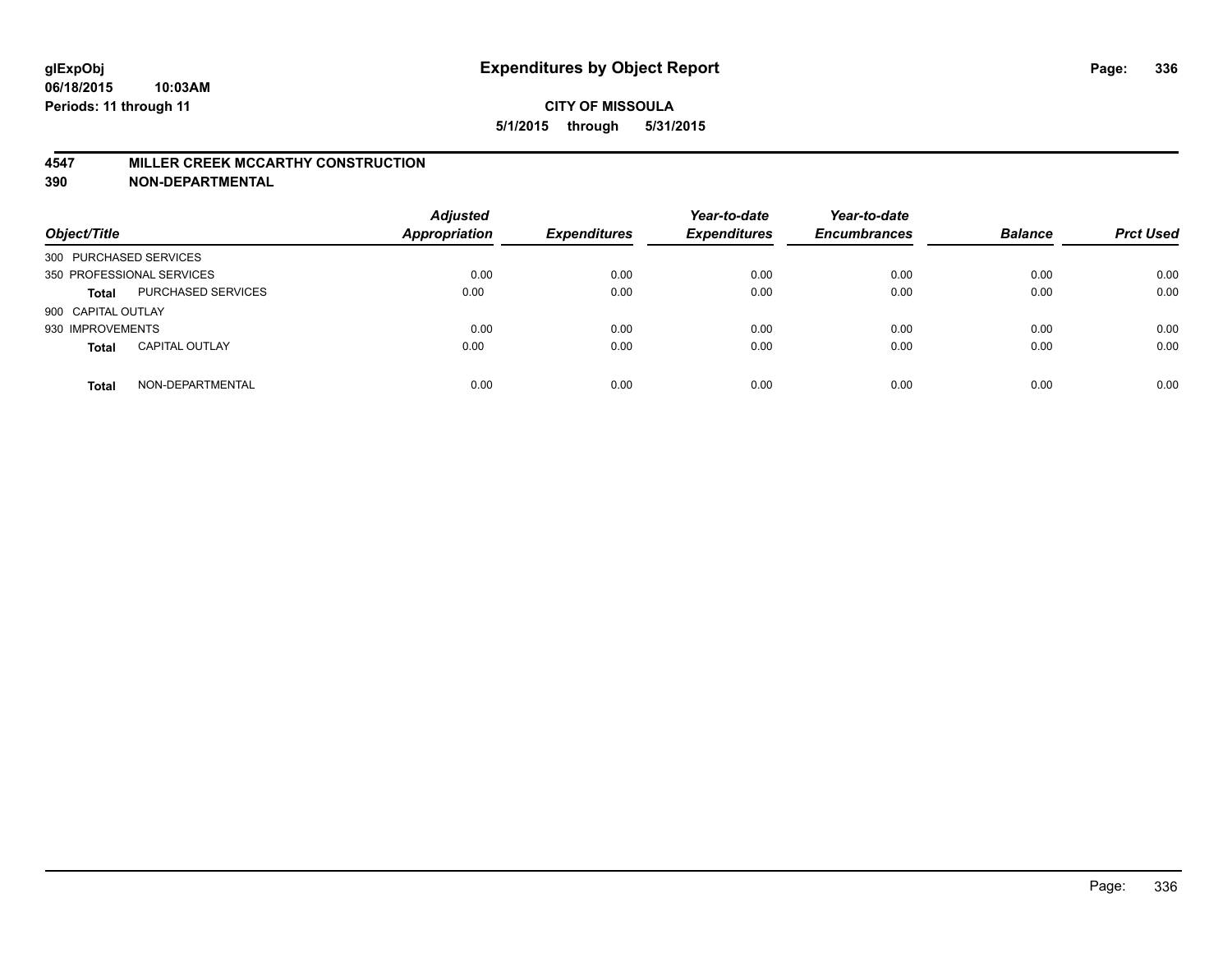#### **4547 MILLER CREEK MCCARTHY CONSTRUCTION**

| Object/Title              |                       | <b>Adjusted</b><br>Appropriation | <b>Expenditures</b> | Year-to-date<br><b>Expenditures</b> | Year-to-date<br><b>Encumbrances</b> | <b>Balance</b> | <b>Prct Used</b> |
|---------------------------|-----------------------|----------------------------------|---------------------|-------------------------------------|-------------------------------------|----------------|------------------|
| 300 PURCHASED SERVICES    |                       |                                  |                     |                                     |                                     |                |                  |
| 350 PROFESSIONAL SERVICES |                       | 0.00                             | 0.00                | 0.00                                | 0.00                                | 0.00           | 0.00             |
| <b>Total</b>              | PURCHASED SERVICES    | 0.00                             | 0.00                | 0.00                                | 0.00                                | 0.00           | 0.00             |
| 900 CAPITAL OUTLAY        |                       |                                  |                     |                                     |                                     |                |                  |
| 930 IMPROVEMENTS          |                       | 0.00                             | 0.00                | 0.00                                | 0.00                                | 0.00           | 0.00             |
| <b>Total</b>              | <b>CAPITAL OUTLAY</b> | 0.00                             | 0.00                | 0.00                                | 0.00                                | 0.00           | 0.00             |
| <b>Total</b>              | NON-DEPARTMENTAL      | 0.00                             | 0.00                | 0.00                                | 0.00                                | 0.00           | 0.00             |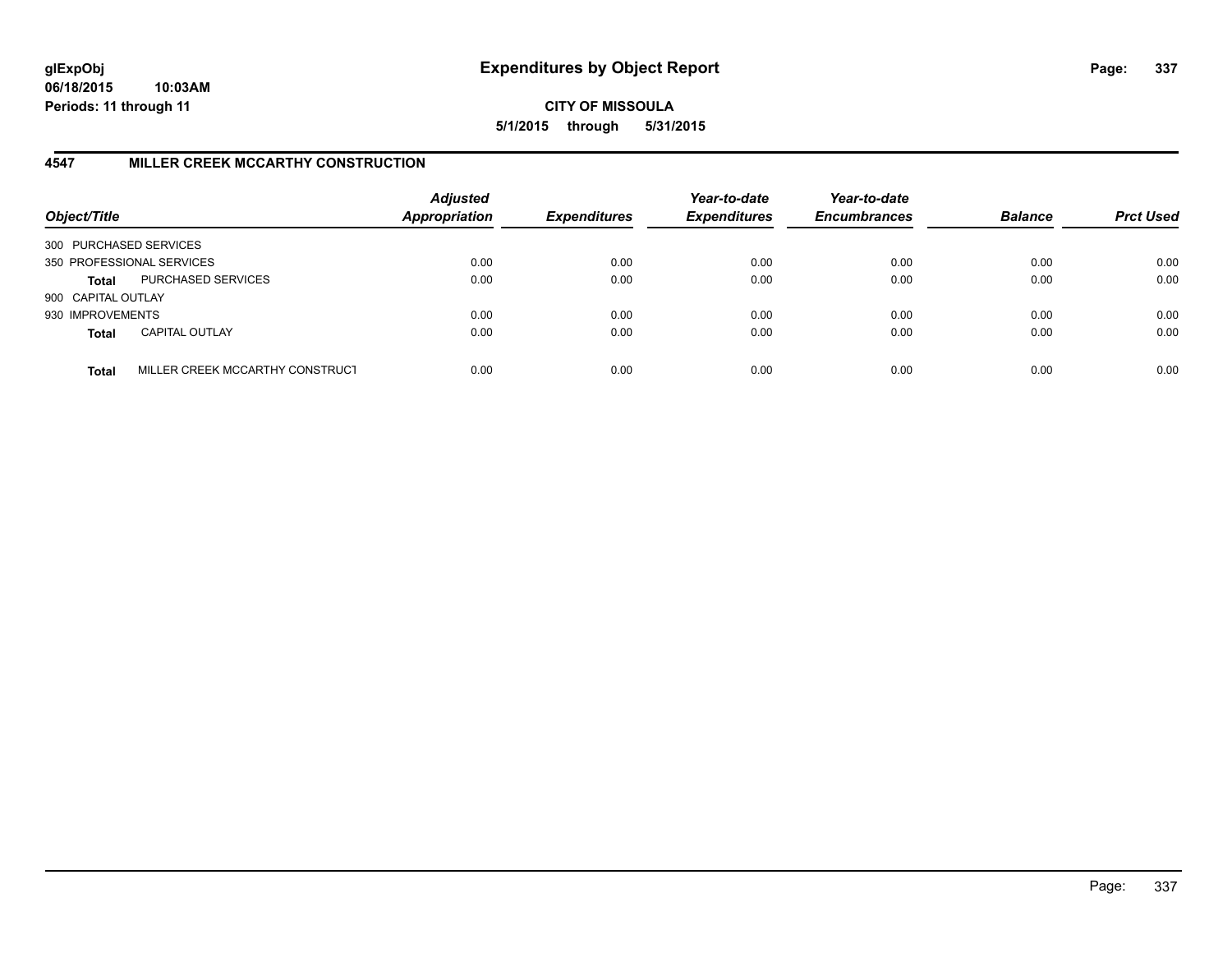**06/18/2015 10:03AM Periods: 11 through 11**

**CITY OF MISSOULA 5/1/2015 through 5/31/2015**

# **4547 MILLER CREEK MCCARTHY CONSTRUCTION**

| Object/Title           |                                 | <b>Adjusted</b><br><b>Appropriation</b> | <b>Expenditures</b> | Year-to-date<br><b>Expenditures</b> | Year-to-date<br><b>Encumbrances</b> | <b>Balance</b> | <b>Prct Used</b> |
|------------------------|---------------------------------|-----------------------------------------|---------------------|-------------------------------------|-------------------------------------|----------------|------------------|
| 300 PURCHASED SERVICES |                                 |                                         |                     |                                     |                                     |                |                  |
|                        | 350 PROFESSIONAL SERVICES       | 0.00                                    | 0.00                | 0.00                                | 0.00                                | 0.00           | 0.00             |
| Total                  | PURCHASED SERVICES              | 0.00                                    | 0.00                | 0.00                                | 0.00                                | 0.00           | 0.00             |
| 900 CAPITAL OUTLAY     |                                 |                                         |                     |                                     |                                     |                |                  |
| 930 IMPROVEMENTS       |                                 | 0.00                                    | 0.00                | 0.00                                | 0.00                                | 0.00           | 0.00             |
| <b>Total</b>           | <b>CAPITAL OUTLAY</b>           | 0.00                                    | 0.00                | 0.00                                | 0.00                                | 0.00           | 0.00             |
| <b>Total</b>           | MILLER CREEK MCCARTHY CONSTRUCT | 0.00                                    | 0.00                | 0.00                                | 0.00                                | 0.00           | 0.00             |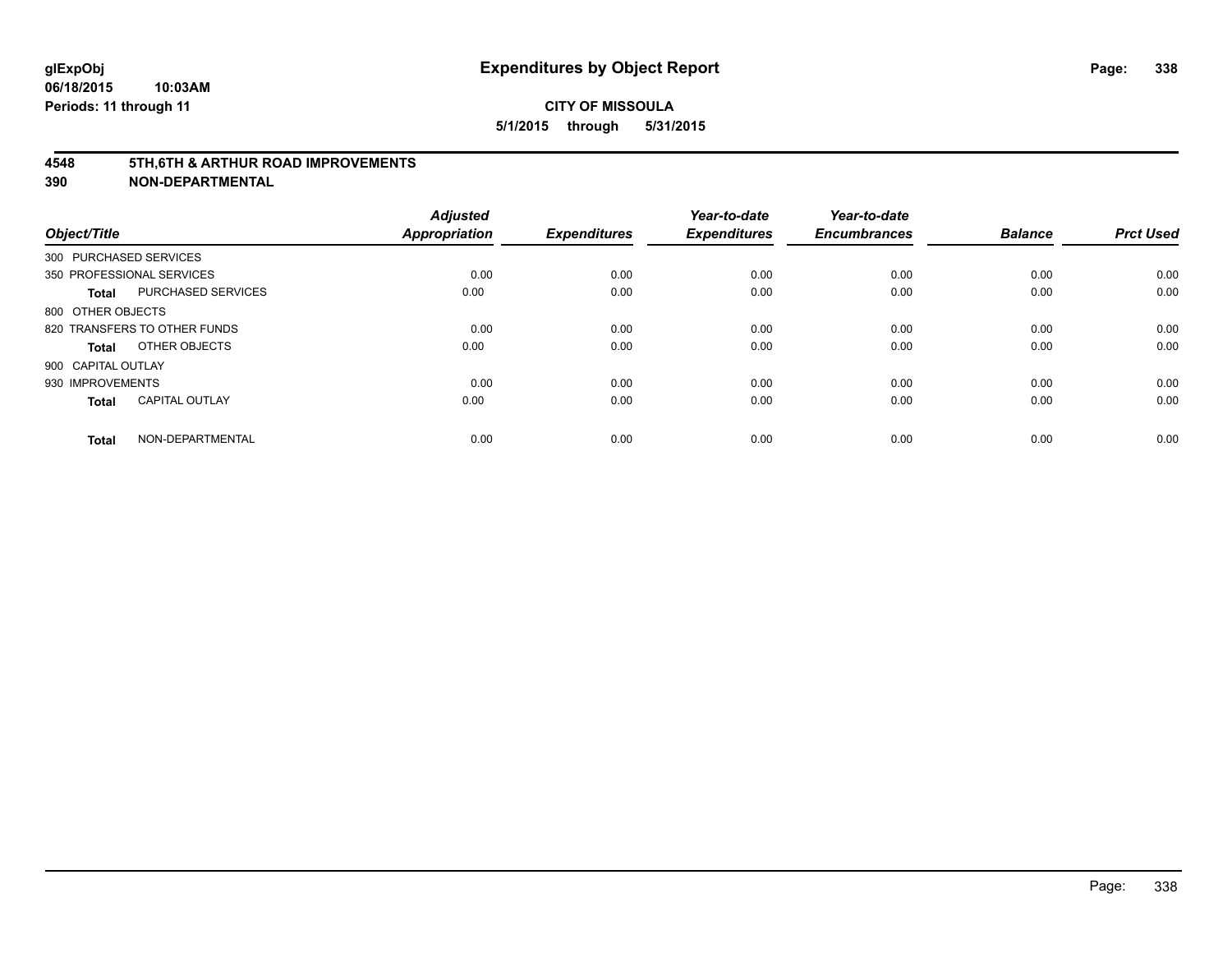#### **4548 5TH,6TH & ARTHUR ROAD IMPROVEMENTS**

| Object/Title           |                              | <b>Adjusted</b><br><b>Appropriation</b> | <b>Expenditures</b> | Year-to-date<br><b>Expenditures</b> | Year-to-date<br><b>Encumbrances</b> | <b>Balance</b> | <b>Prct Used</b> |
|------------------------|------------------------------|-----------------------------------------|---------------------|-------------------------------------|-------------------------------------|----------------|------------------|
| 300 PURCHASED SERVICES |                              |                                         |                     |                                     |                                     |                |                  |
|                        | 350 PROFESSIONAL SERVICES    | 0.00                                    | 0.00                | 0.00                                | 0.00                                | 0.00           | 0.00             |
| <b>Total</b>           | PURCHASED SERVICES           | 0.00                                    | 0.00                | 0.00                                | 0.00                                | 0.00           | 0.00             |
| 800 OTHER OBJECTS      |                              |                                         |                     |                                     |                                     |                |                  |
|                        | 820 TRANSFERS TO OTHER FUNDS | 0.00                                    | 0.00                | 0.00                                | 0.00                                | 0.00           | 0.00             |
| Total                  | OTHER OBJECTS                | 0.00                                    | 0.00                | 0.00                                | 0.00                                | 0.00           | 0.00             |
| 900 CAPITAL OUTLAY     |                              |                                         |                     |                                     |                                     |                |                  |
| 930 IMPROVEMENTS       |                              | 0.00                                    | 0.00                | 0.00                                | 0.00                                | 0.00           | 0.00             |
| Total                  | <b>CAPITAL OUTLAY</b>        | 0.00                                    | 0.00                | 0.00                                | 0.00                                | 0.00           | 0.00             |
| <b>Total</b>           | NON-DEPARTMENTAL             | 0.00                                    | 0.00                | 0.00                                | 0.00                                | 0.00           | 0.00             |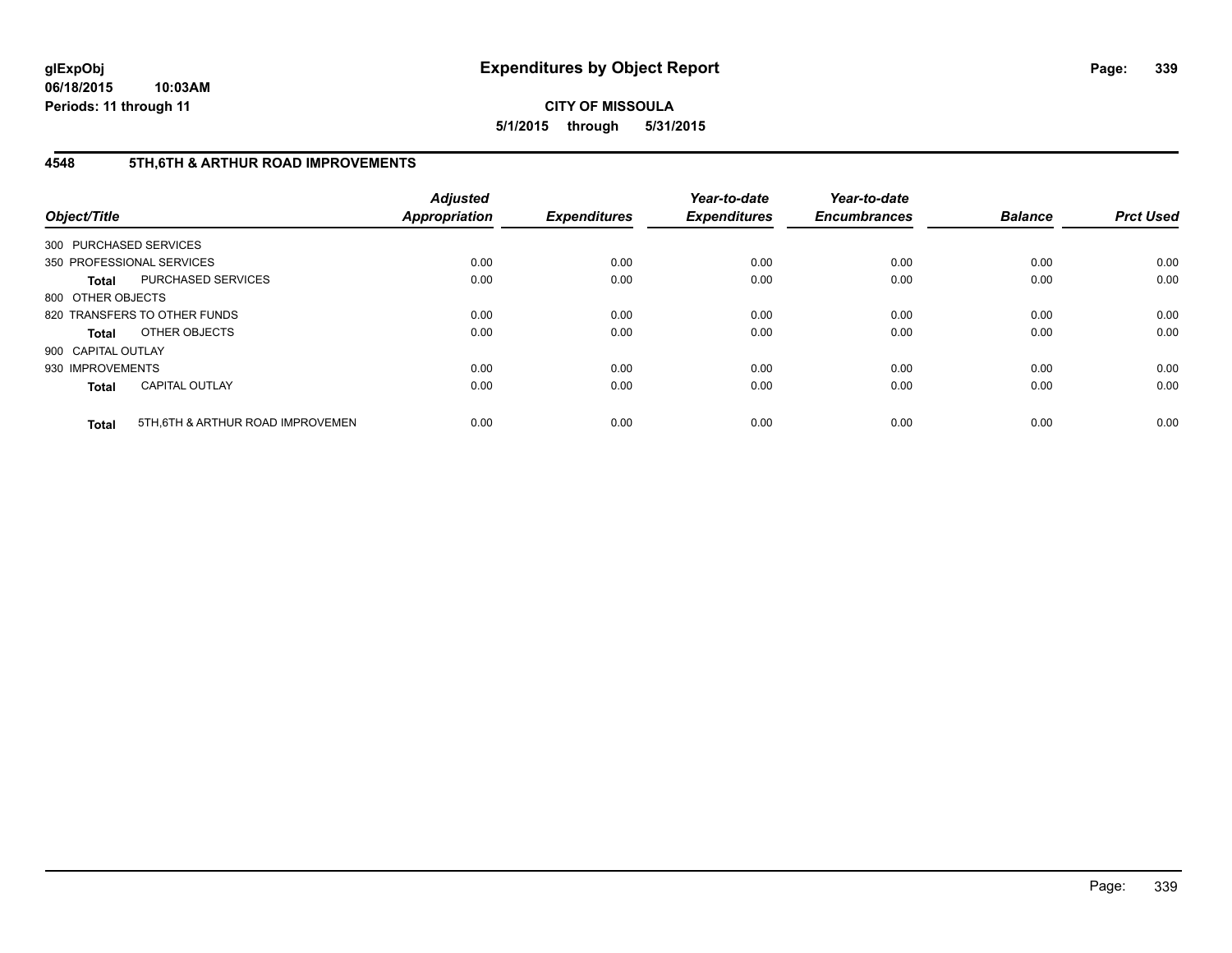# **4548 5TH,6TH & ARTHUR ROAD IMPROVEMENTS**

| Object/Title           |                                  | <b>Adjusted</b><br><b>Appropriation</b> | <b>Expenditures</b> | Year-to-date<br><b>Expenditures</b> | Year-to-date<br><b>Encumbrances</b> | <b>Balance</b> | <b>Prct Used</b> |
|------------------------|----------------------------------|-----------------------------------------|---------------------|-------------------------------------|-------------------------------------|----------------|------------------|
| 300 PURCHASED SERVICES |                                  |                                         |                     |                                     |                                     |                |                  |
|                        | 350 PROFESSIONAL SERVICES        | 0.00                                    | 0.00                | 0.00                                | 0.00                                | 0.00           | 0.00             |
| <b>Total</b>           | <b>PURCHASED SERVICES</b>        | 0.00                                    | 0.00                | 0.00                                | 0.00                                | 0.00           | 0.00             |
| 800 OTHER OBJECTS      |                                  |                                         |                     |                                     |                                     |                |                  |
|                        | 820 TRANSFERS TO OTHER FUNDS     | 0.00                                    | 0.00                | 0.00                                | 0.00                                | 0.00           | 0.00             |
| <b>Total</b>           | OTHER OBJECTS                    | 0.00                                    | 0.00                | 0.00                                | 0.00                                | 0.00           | 0.00             |
| 900 CAPITAL OUTLAY     |                                  |                                         |                     |                                     |                                     |                |                  |
| 930 IMPROVEMENTS       |                                  | 0.00                                    | 0.00                | 0.00                                | 0.00                                | 0.00           | 0.00             |
| <b>Total</b>           | <b>CAPITAL OUTLAY</b>            | 0.00                                    | 0.00                | 0.00                                | 0.00                                | 0.00           | 0.00             |
| <b>Total</b>           | 5TH.6TH & ARTHUR ROAD IMPROVEMEN | 0.00                                    | 0.00                | 0.00                                | 0.00                                | 0.00           | 0.00             |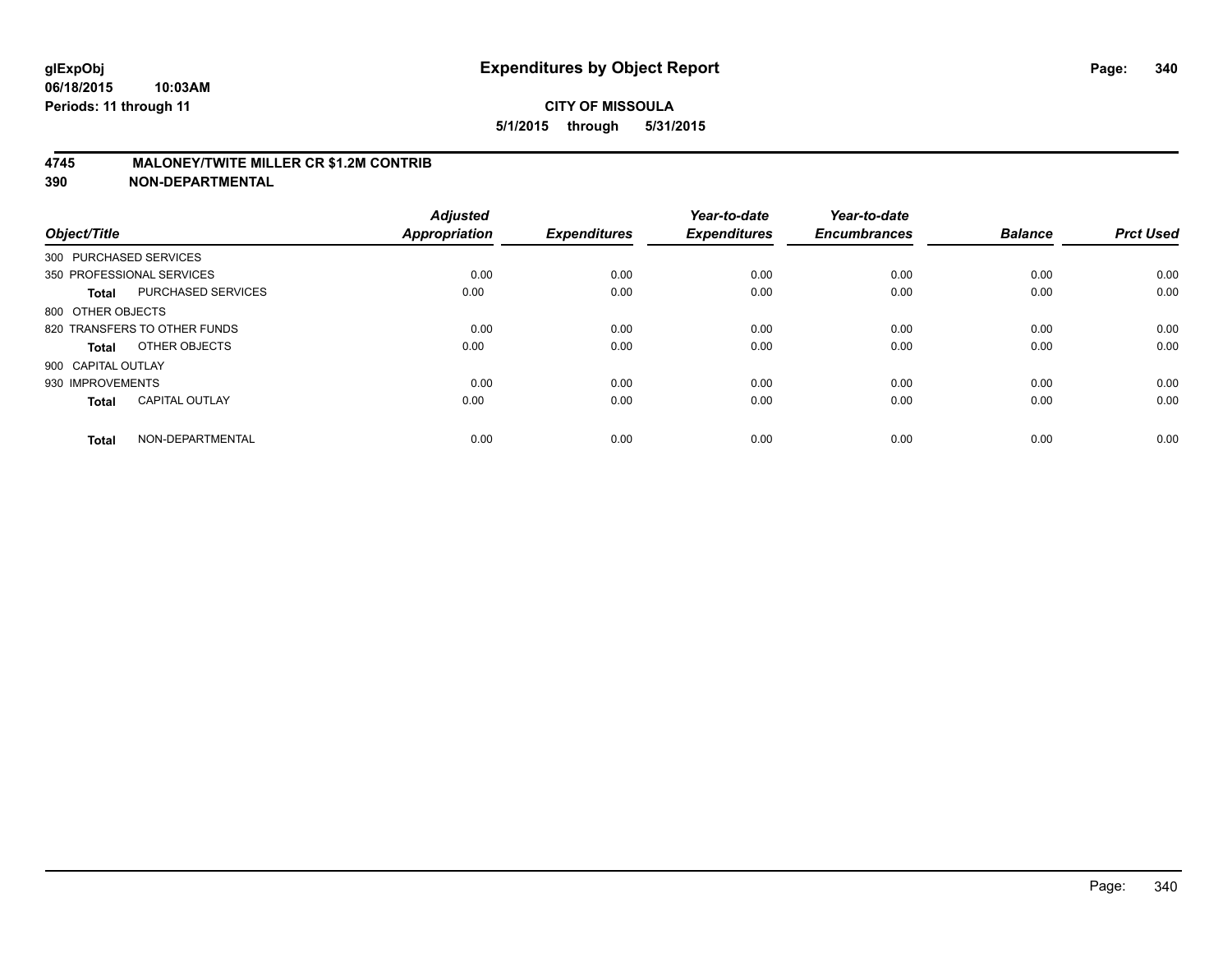## **4745 MALONEY/TWITE MILLER CR \$1.2M CONTRIB**

| Object/Title           |                              | <b>Adjusted</b><br><b>Appropriation</b> | <b>Expenditures</b> | Year-to-date<br><b>Expenditures</b> | Year-to-date<br><b>Encumbrances</b> | <b>Balance</b> | <b>Prct Used</b> |
|------------------------|------------------------------|-----------------------------------------|---------------------|-------------------------------------|-------------------------------------|----------------|------------------|
| 300 PURCHASED SERVICES |                              |                                         |                     |                                     |                                     |                |                  |
|                        | 350 PROFESSIONAL SERVICES    | 0.00                                    | 0.00                | 0.00                                | 0.00                                | 0.00           | 0.00             |
| <b>Total</b>           | PURCHASED SERVICES           | 0.00                                    | 0.00                | 0.00                                | 0.00                                | 0.00           | 0.00             |
| 800 OTHER OBJECTS      |                              |                                         |                     |                                     |                                     |                |                  |
|                        | 820 TRANSFERS TO OTHER FUNDS | 0.00                                    | 0.00                | 0.00                                | 0.00                                | 0.00           | 0.00             |
| Total                  | OTHER OBJECTS                | 0.00                                    | 0.00                | 0.00                                | 0.00                                | 0.00           | 0.00             |
| 900 CAPITAL OUTLAY     |                              |                                         |                     |                                     |                                     |                |                  |
| 930 IMPROVEMENTS       |                              | 0.00                                    | 0.00                | 0.00                                | 0.00                                | 0.00           | 0.00             |
| Total                  | <b>CAPITAL OUTLAY</b>        | 0.00                                    | 0.00                | 0.00                                | 0.00                                | 0.00           | 0.00             |
| <b>Total</b>           | NON-DEPARTMENTAL             | 0.00                                    | 0.00                | 0.00                                | 0.00                                | 0.00           | 0.00             |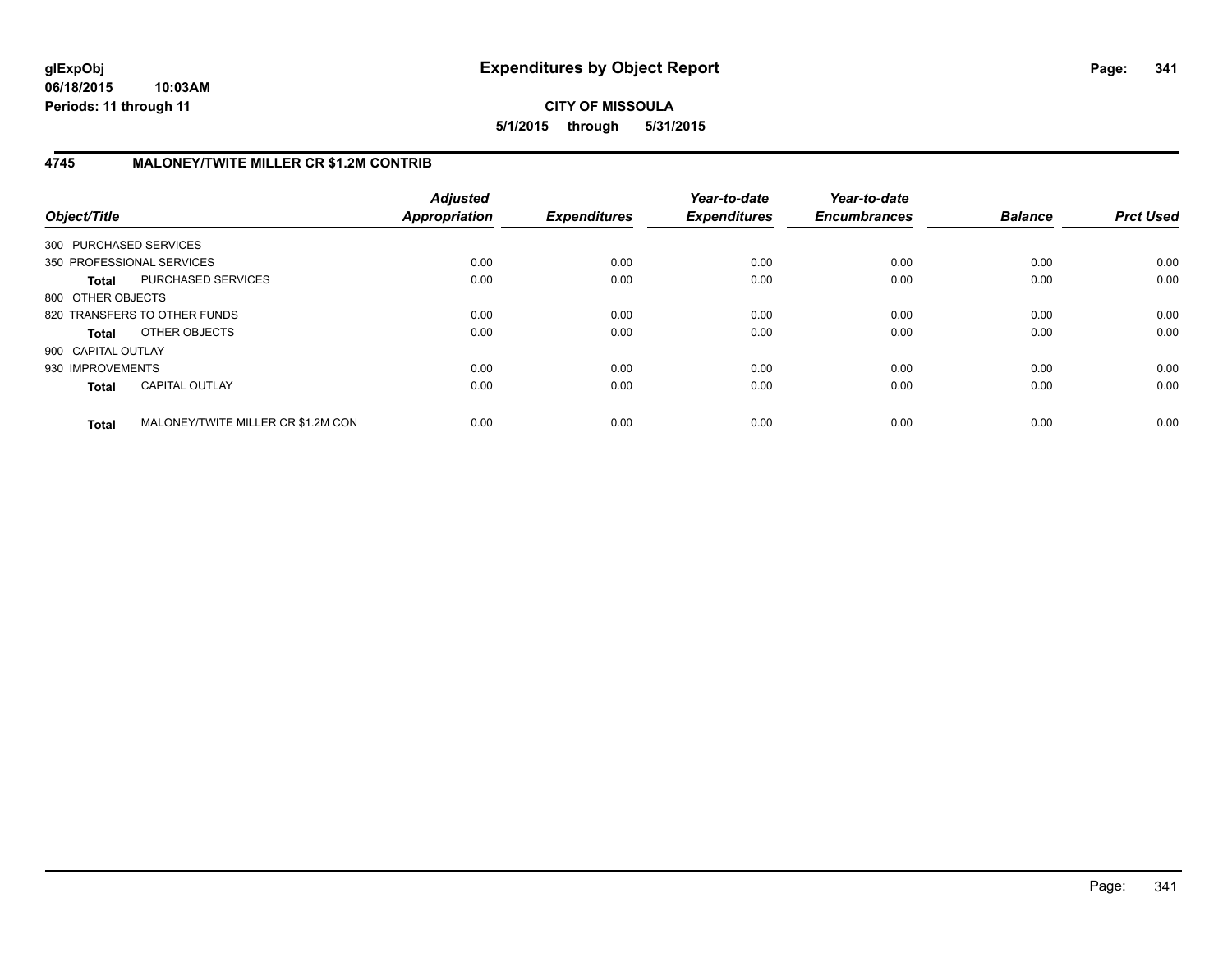**06/18/2015 10:03AM Periods: 11 through 11**

**CITY OF MISSOULA 5/1/2015 through 5/31/2015**

# **4745 MALONEY/TWITE MILLER CR \$1.2M CONTRIB**

| Object/Title           |                                    | <b>Adjusted</b><br>Appropriation | <b>Expenditures</b> | Year-to-date<br><b>Expenditures</b> | Year-to-date<br><b>Encumbrances</b> | <b>Balance</b> | <b>Prct Used</b> |
|------------------------|------------------------------------|----------------------------------|---------------------|-------------------------------------|-------------------------------------|----------------|------------------|
| 300 PURCHASED SERVICES |                                    |                                  |                     |                                     |                                     |                |                  |
|                        | 350 PROFESSIONAL SERVICES          | 0.00                             | 0.00                | 0.00                                | 0.00                                | 0.00           | 0.00             |
| <b>Total</b>           | PURCHASED SERVICES                 | 0.00                             | 0.00                | 0.00                                | 0.00                                | 0.00           | 0.00             |
| 800 OTHER OBJECTS      |                                    |                                  |                     |                                     |                                     |                |                  |
|                        | 820 TRANSFERS TO OTHER FUNDS       | 0.00                             | 0.00                | 0.00                                | 0.00                                | 0.00           | 0.00             |
| <b>Total</b>           | OTHER OBJECTS                      | 0.00                             | 0.00                | 0.00                                | 0.00                                | 0.00           | 0.00             |
| 900 CAPITAL OUTLAY     |                                    |                                  |                     |                                     |                                     |                |                  |
| 930 IMPROVEMENTS       |                                    | 0.00                             | 0.00                | 0.00                                | 0.00                                | 0.00           | 0.00             |
| <b>Total</b>           | <b>CAPITAL OUTLAY</b>              | 0.00                             | 0.00                | 0.00                                | 0.00                                | 0.00           | 0.00             |
| <b>Total</b>           | MALONEY/TWITE MILLER CR \$1.2M CON | 0.00                             | 0.00                | 0.00                                | 0.00                                | 0.00           | 0.00             |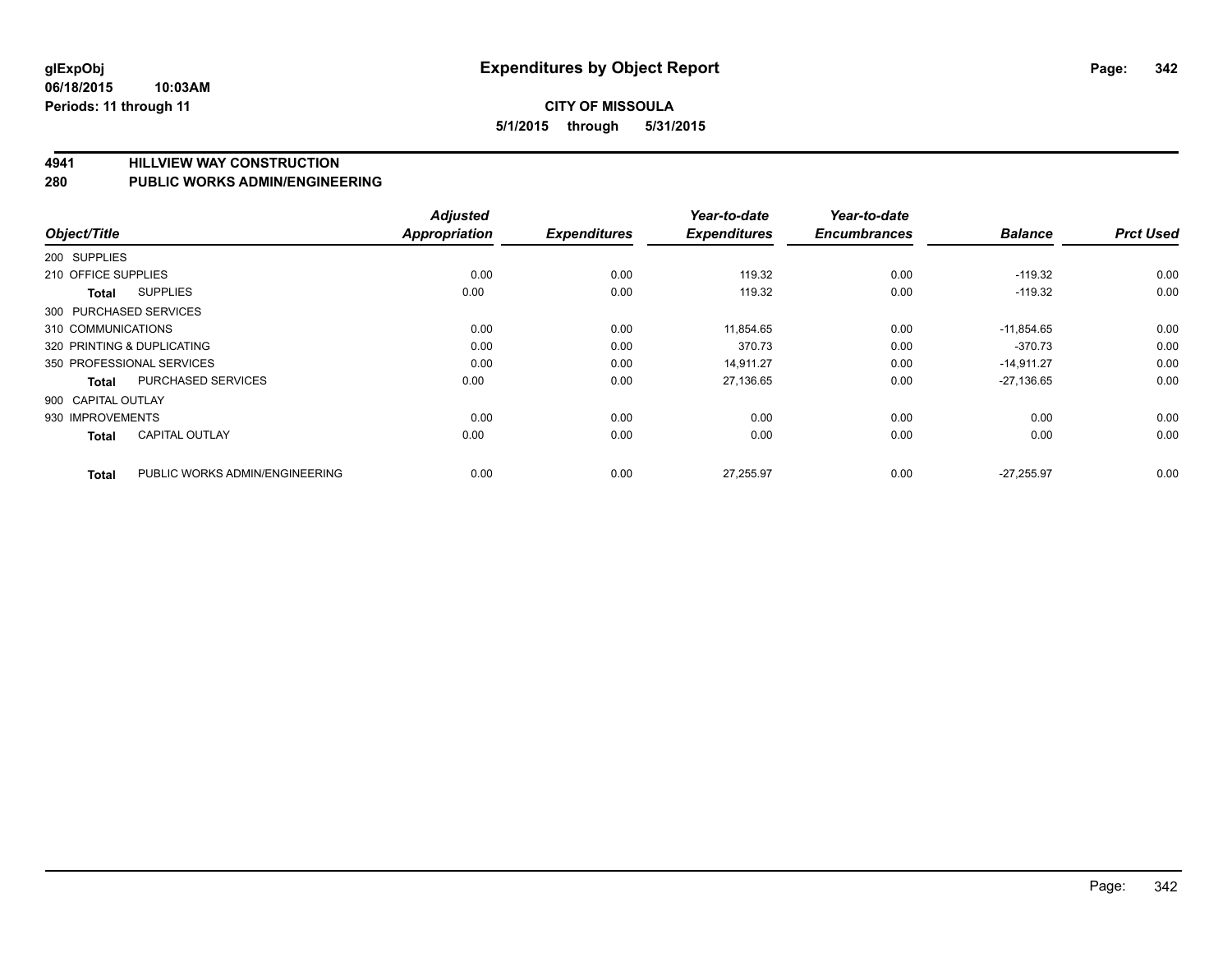**4941 HILLVIEW WAY CONSTRUCTION**

**280 PUBLIC WORKS ADMIN/ENGINEERING**

| Object/Title |                                                | <b>Adjusted</b><br><b>Appropriation</b> | <b>Expenditures</b> | Year-to-date<br><b>Expenditures</b> | Year-to-date<br><b>Encumbrances</b> | <b>Balance</b> | <b>Prct Used</b> |
|--------------|------------------------------------------------|-----------------------------------------|---------------------|-------------------------------------|-------------------------------------|----------------|------------------|
| 200 SUPPLIES |                                                |                                         |                     |                                     |                                     |                |                  |
|              |                                                |                                         |                     |                                     |                                     |                |                  |
|              | 210 OFFICE SUPPLIES                            | 0.00                                    | 0.00                | 119.32                              | 0.00                                | $-119.32$      | 0.00             |
|              | <b>SUPPLIES</b><br>Total                       | 0.00                                    | 0.00                | 119.32                              | 0.00                                | $-119.32$      | 0.00             |
|              | 300 PURCHASED SERVICES                         |                                         |                     |                                     |                                     |                |                  |
|              | 310 COMMUNICATIONS                             | 0.00                                    | 0.00                | 11,854.65                           | 0.00                                | $-11,854.65$   | 0.00             |
|              | 320 PRINTING & DUPLICATING                     | 0.00                                    | 0.00                | 370.73                              | 0.00                                | $-370.73$      | 0.00             |
|              | 350 PROFESSIONAL SERVICES                      | 0.00                                    | 0.00                | 14.911.27                           | 0.00                                | $-14,911.27$   | 0.00             |
|              | PURCHASED SERVICES<br><b>Total</b>             | 0.00                                    | 0.00                | 27,136.65                           | 0.00                                | $-27,136.65$   | 0.00             |
|              | 900 CAPITAL OUTLAY                             |                                         |                     |                                     |                                     |                |                  |
|              | 930 IMPROVEMENTS                               | 0.00                                    | 0.00                | 0.00                                | 0.00                                | 0.00           | 0.00             |
|              | <b>CAPITAL OUTLAY</b><br><b>Total</b>          | 0.00                                    | 0.00                | 0.00                                | 0.00                                | 0.00           | 0.00             |
|              | PUBLIC WORKS ADMIN/ENGINEERING<br><b>Total</b> | 0.00                                    | 0.00                | 27,255.97                           | 0.00                                | $-27,255.97$   | 0.00             |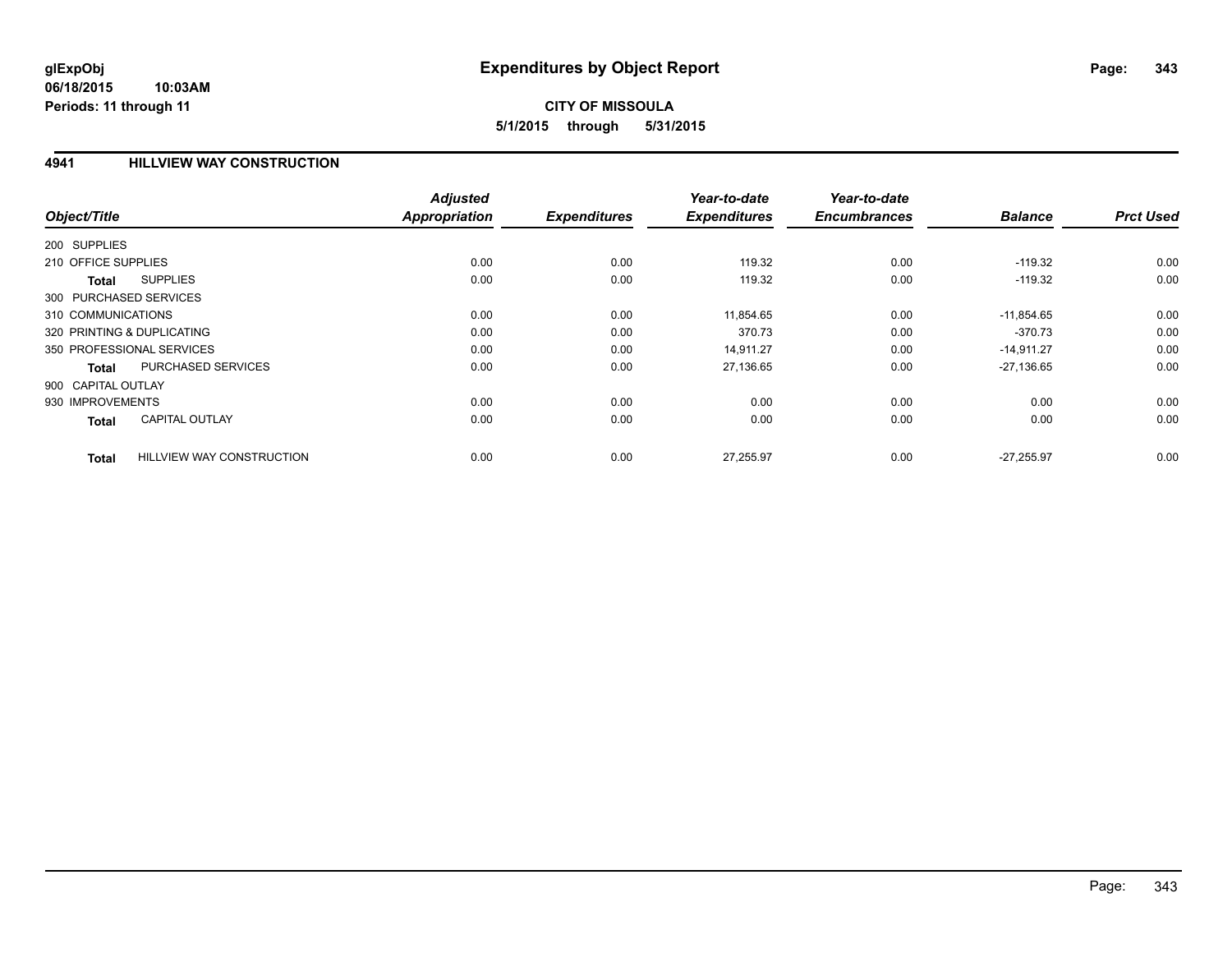## **4941 HILLVIEW WAY CONSTRUCTION**

|                                           | <b>Adjusted</b>      |                     | Year-to-date        | Year-to-date        |                |                  |
|-------------------------------------------|----------------------|---------------------|---------------------|---------------------|----------------|------------------|
| Object/Title                              | <b>Appropriation</b> | <b>Expenditures</b> | <b>Expenditures</b> | <b>Encumbrances</b> | <b>Balance</b> | <b>Prct Used</b> |
| 200 SUPPLIES                              |                      |                     |                     |                     |                |                  |
| 210 OFFICE SUPPLIES                       | 0.00                 | 0.00                | 119.32              | 0.00                | $-119.32$      | 0.00             |
| <b>SUPPLIES</b><br><b>Total</b>           | 0.00                 | 0.00                | 119.32              | 0.00                | $-119.32$      | 0.00             |
| 300 PURCHASED SERVICES                    |                      |                     |                     |                     |                |                  |
| 310 COMMUNICATIONS                        | 0.00                 | 0.00                | 11,854.65           | 0.00                | $-11,854.65$   | 0.00             |
| 320 PRINTING & DUPLICATING                | 0.00                 | 0.00                | 370.73              | 0.00                | $-370.73$      | 0.00             |
| 350 PROFESSIONAL SERVICES                 | 0.00                 | 0.00                | 14,911.27           | 0.00                | $-14,911.27$   | 0.00             |
| PURCHASED SERVICES<br>Total               | 0.00                 | 0.00                | 27,136.65           | 0.00                | $-27,136.65$   | 0.00             |
| 900 CAPITAL OUTLAY                        |                      |                     |                     |                     |                |                  |
| 930 IMPROVEMENTS                          | 0.00                 | 0.00                | 0.00                | 0.00                | 0.00           | 0.00             |
| <b>CAPITAL OUTLAY</b><br><b>Total</b>     | 0.00                 | 0.00                | 0.00                | 0.00                | 0.00           | 0.00             |
| <b>HILLVIEW WAY CONSTRUCTION</b><br>Total | 0.00                 | 0.00                | 27,255.97           | 0.00                | $-27.255.97$   | 0.00             |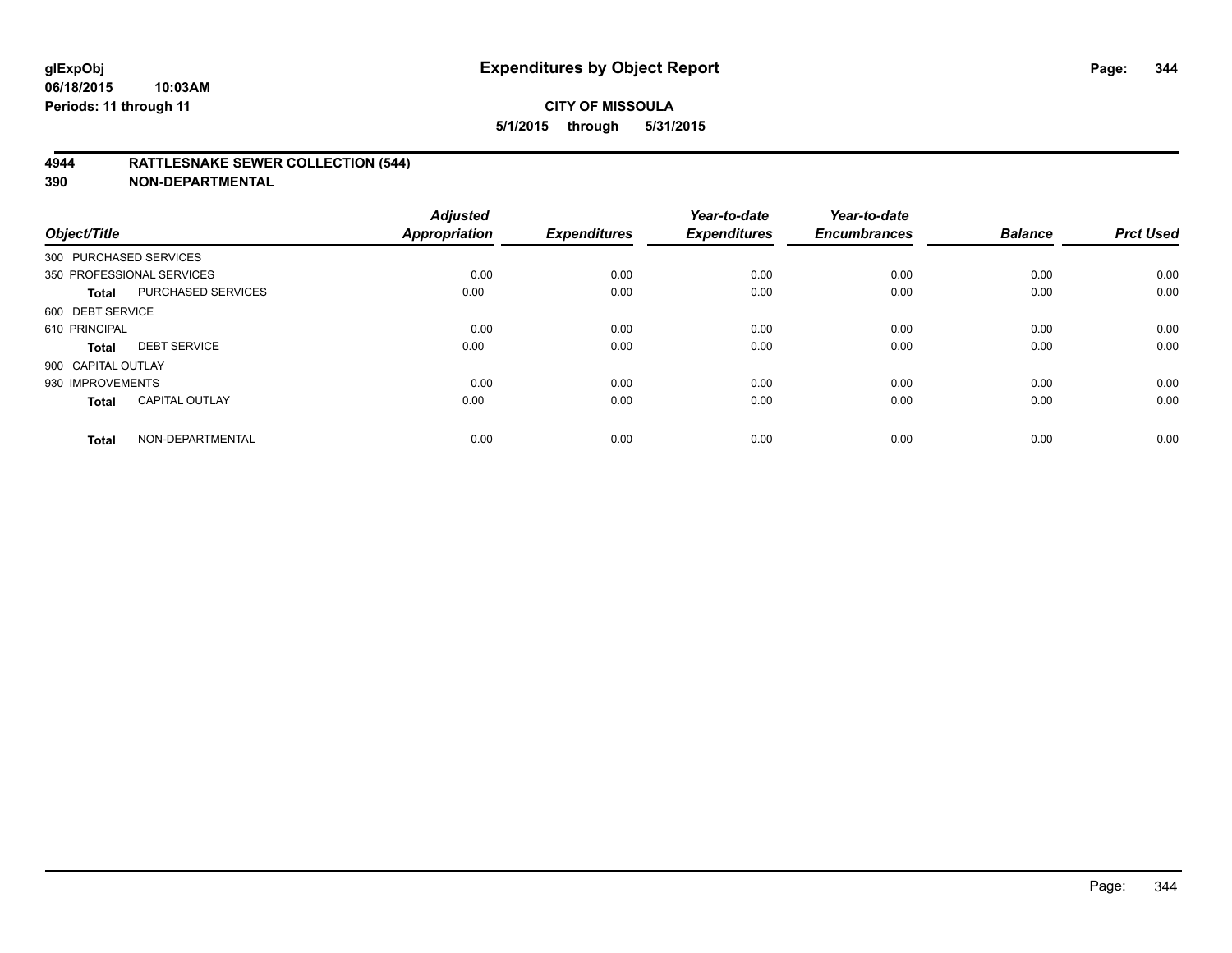## **4944 RATTLESNAKE SEWER COLLECTION (544)**

| Object/Title           |                           | <b>Adjusted</b><br><b>Appropriation</b> | <b>Expenditures</b> | Year-to-date<br><b>Expenditures</b> | Year-to-date<br><b>Encumbrances</b> | <b>Balance</b> | <b>Prct Used</b> |
|------------------------|---------------------------|-----------------------------------------|---------------------|-------------------------------------|-------------------------------------|----------------|------------------|
| 300 PURCHASED SERVICES |                           |                                         |                     |                                     |                                     |                |                  |
|                        | 350 PROFESSIONAL SERVICES | 0.00                                    | 0.00                | 0.00                                | 0.00                                | 0.00           | 0.00             |
| <b>Total</b>           | PURCHASED SERVICES        | 0.00                                    | 0.00                | 0.00                                | 0.00                                | 0.00           | 0.00             |
| 600 DEBT SERVICE       |                           |                                         |                     |                                     |                                     |                |                  |
| 610 PRINCIPAL          |                           | 0.00                                    | 0.00                | 0.00                                | 0.00                                | 0.00           | 0.00             |
| <b>Total</b>           | <b>DEBT SERVICE</b>       | 0.00                                    | 0.00                | 0.00                                | 0.00                                | 0.00           | 0.00             |
| 900 CAPITAL OUTLAY     |                           |                                         |                     |                                     |                                     |                |                  |
| 930 IMPROVEMENTS       |                           | 0.00                                    | 0.00                | 0.00                                | 0.00                                | 0.00           | 0.00             |
| <b>Total</b>           | <b>CAPITAL OUTLAY</b>     | 0.00                                    | 0.00                | 0.00                                | 0.00                                | 0.00           | 0.00             |
| <b>Total</b>           | NON-DEPARTMENTAL          | 0.00                                    | 0.00                | 0.00                                | 0.00                                | 0.00           | 0.00             |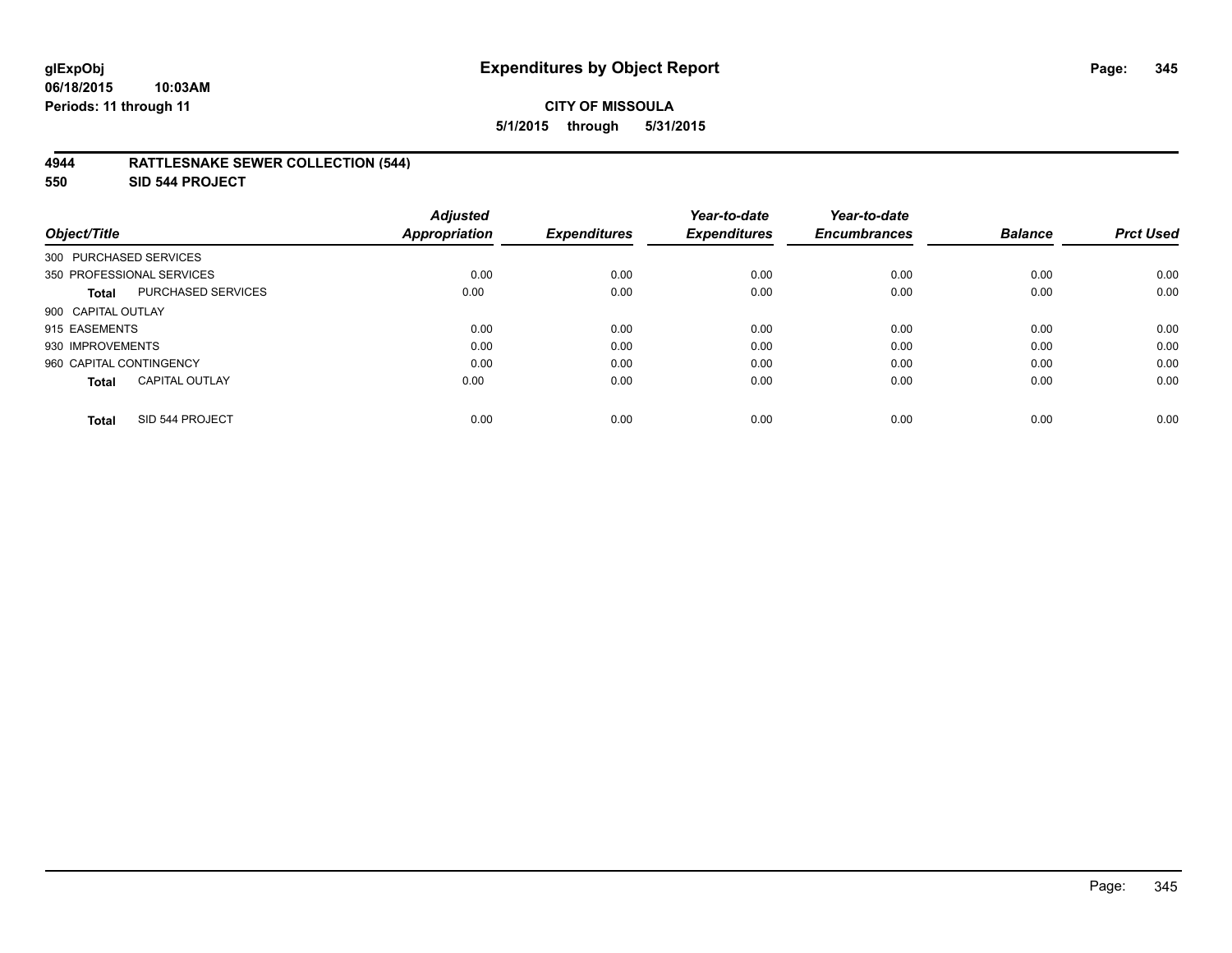#### **06/18/2015 10:03AM Periods: 11 through 11**

## **CITY OF MISSOULA 5/1/2015 through 5/31/2015**

## **4944 RATTLESNAKE SEWER COLLECTION (544)**

**550 SID 544 PROJECT**

| Object/Title                          | <b>Adjusted</b><br><b>Appropriation</b> | <b>Expenditures</b> | Year-to-date<br><b>Expenditures</b> | Year-to-date<br><b>Encumbrances</b> | <b>Balance</b> | <b>Prct Used</b> |
|---------------------------------------|-----------------------------------------|---------------------|-------------------------------------|-------------------------------------|----------------|------------------|
| 300 PURCHASED SERVICES                |                                         |                     |                                     |                                     |                |                  |
| 350 PROFESSIONAL SERVICES             | 0.00                                    | 0.00                | 0.00                                | 0.00                                | 0.00           | 0.00             |
| PURCHASED SERVICES<br><b>Total</b>    | 0.00                                    | 0.00                | 0.00                                | 0.00                                | 0.00           | 0.00             |
| 900 CAPITAL OUTLAY                    |                                         |                     |                                     |                                     |                |                  |
| 915 EASEMENTS                         | 0.00                                    | 0.00                | 0.00                                | 0.00                                | 0.00           | 0.00             |
| 930 IMPROVEMENTS                      | 0.00                                    | 0.00                | 0.00                                | 0.00                                | 0.00           | 0.00             |
| 960 CAPITAL CONTINGENCY               | 0.00                                    | 0.00                | 0.00                                | 0.00                                | 0.00           | 0.00             |
| <b>CAPITAL OUTLAY</b><br><b>Total</b> | 0.00                                    | 0.00                | 0.00                                | 0.00                                | 0.00           | 0.00             |
| SID 544 PROJECT<br><b>Total</b>       | 0.00                                    | 0.00                | 0.00                                | 0.00                                | 0.00           | 0.00             |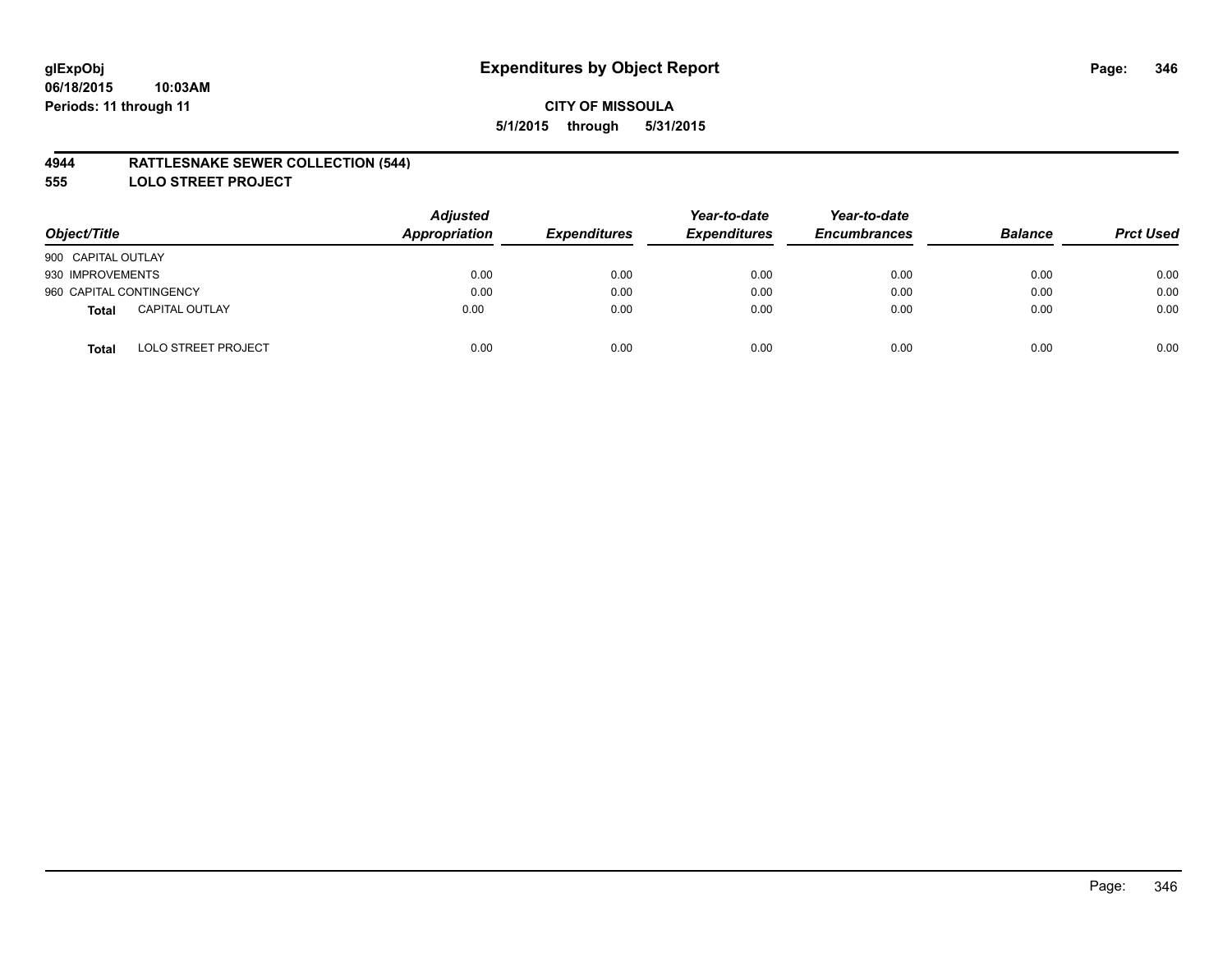## **4944 RATTLESNAKE SEWER COLLECTION (544)**

**555 LOLO STREET PROJECT**

| Object/Title                               | <b>Adjusted</b><br><b>Appropriation</b> | <b>Expenditures</b> | Year-to-date<br><b>Expenditures</b> | Year-to-date<br><b>Encumbrances</b> | <b>Balance</b> | <b>Prct Used</b> |
|--------------------------------------------|-----------------------------------------|---------------------|-------------------------------------|-------------------------------------|----------------|------------------|
| 900 CAPITAL OUTLAY                         |                                         |                     |                                     |                                     |                |                  |
| 930 IMPROVEMENTS                           | 0.00                                    | 0.00                | 0.00                                | 0.00                                | 0.00           | 0.00             |
| 960 CAPITAL CONTINGENCY                    | 0.00                                    | 0.00                | 0.00                                | 0.00                                | 0.00           | 0.00             |
| <b>CAPITAL OUTLAY</b><br>Total             | 0.00                                    | 0.00                | 0.00                                | 0.00                                | 0.00           | 0.00             |
| <b>LOLO STREET PROJECT</b><br><b>Total</b> | 0.00                                    | 0.00                | 0.00                                | 0.00                                | 0.00           | 0.00             |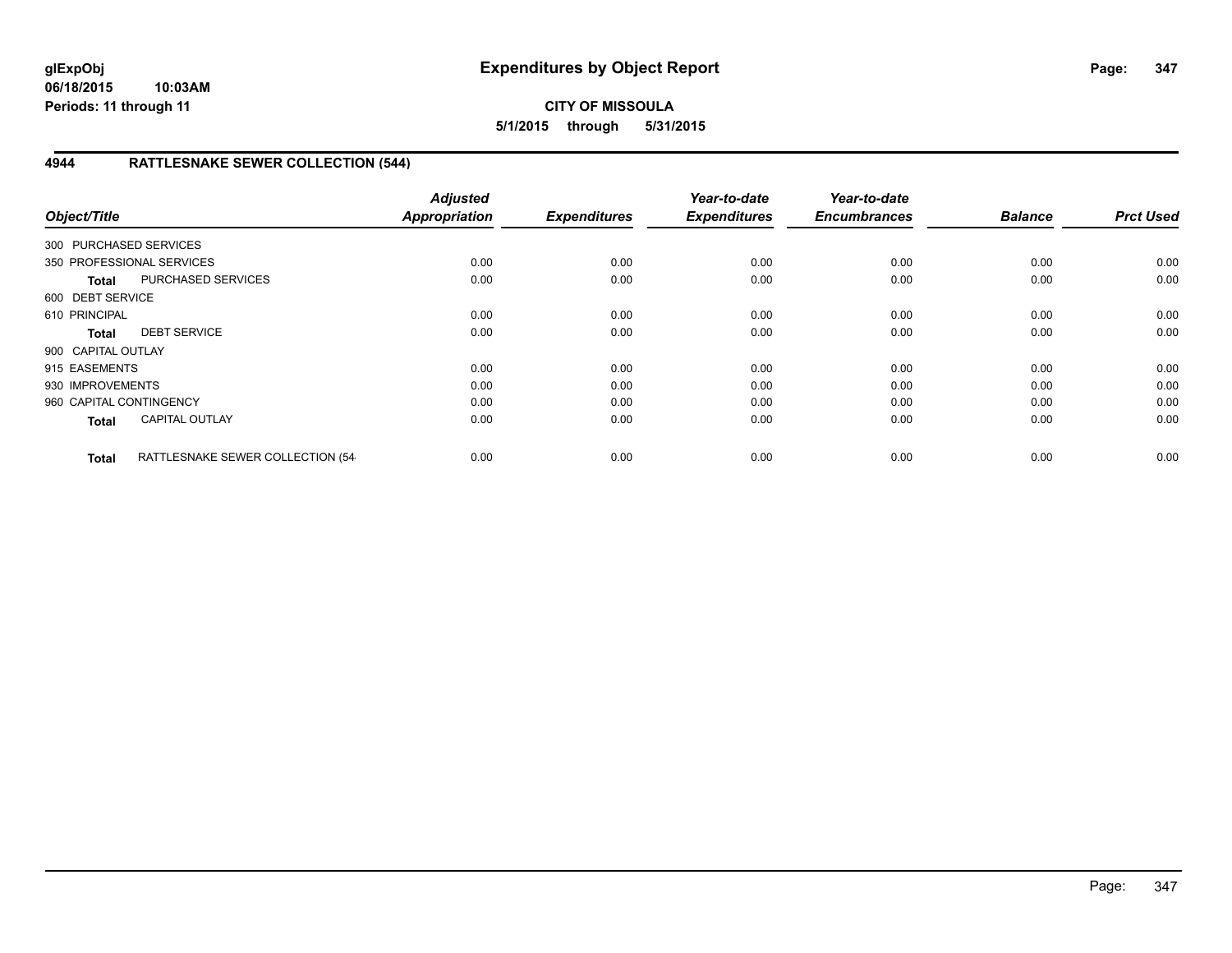# **4944 RATTLESNAKE SEWER COLLECTION (544)**

| Object/Title            |                                  | <b>Adjusted</b><br><b>Appropriation</b> | <b>Expenditures</b> | Year-to-date<br><b>Expenditures</b> | Year-to-date<br><b>Encumbrances</b> | <b>Balance</b> | <b>Prct Used</b> |
|-------------------------|----------------------------------|-----------------------------------------|---------------------|-------------------------------------|-------------------------------------|----------------|------------------|
| 300 PURCHASED SERVICES  |                                  |                                         |                     |                                     |                                     |                |                  |
|                         | 350 PROFESSIONAL SERVICES        | 0.00                                    | 0.00                | 0.00                                | 0.00                                | 0.00           | 0.00             |
| <b>Total</b>            | <b>PURCHASED SERVICES</b>        | 0.00                                    | 0.00                | 0.00                                | 0.00                                | 0.00           | 0.00             |
| 600 DEBT SERVICE        |                                  |                                         |                     |                                     |                                     |                |                  |
| 610 PRINCIPAL           |                                  | 0.00                                    | 0.00                | 0.00                                | 0.00                                | 0.00           | 0.00             |
| <b>Total</b>            | <b>DEBT SERVICE</b>              | 0.00                                    | 0.00                | 0.00                                | 0.00                                | 0.00           | 0.00             |
| 900 CAPITAL OUTLAY      |                                  |                                         |                     |                                     |                                     |                |                  |
| 915 EASEMENTS           |                                  | 0.00                                    | 0.00                | 0.00                                | 0.00                                | 0.00           | 0.00             |
| 930 IMPROVEMENTS        |                                  | 0.00                                    | 0.00                | 0.00                                | 0.00                                | 0.00           | 0.00             |
| 960 CAPITAL CONTINGENCY |                                  | 0.00                                    | 0.00                | 0.00                                | 0.00                                | 0.00           | 0.00             |
| <b>Total</b>            | <b>CAPITAL OUTLAY</b>            | 0.00                                    | 0.00                | 0.00                                | 0.00                                | 0.00           | 0.00             |
| <b>Total</b>            | RATTLESNAKE SEWER COLLECTION (54 | 0.00                                    | 0.00                | 0.00                                | 0.00                                | 0.00           | 0.00             |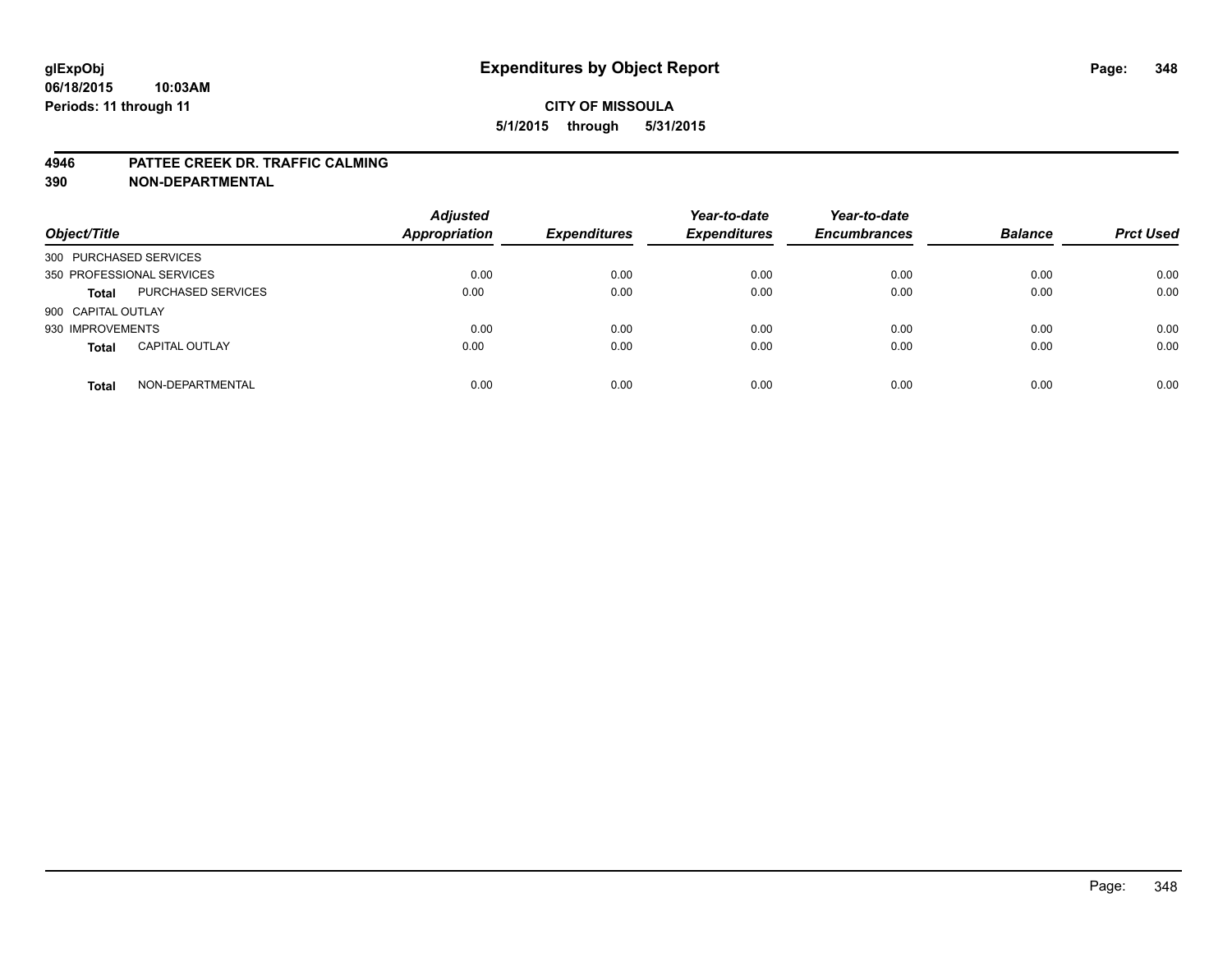#### **4946 PATTEE CREEK DR. TRAFFIC CALMING**

| Object/Title              |                           | <b>Adjusted</b><br><b>Appropriation</b> | <b>Expenditures</b> | Year-to-date<br><b>Expenditures</b> | Year-to-date<br><b>Encumbrances</b> | <b>Balance</b> | <b>Prct Used</b> |
|---------------------------|---------------------------|-----------------------------------------|---------------------|-------------------------------------|-------------------------------------|----------------|------------------|
| 300 PURCHASED SERVICES    |                           |                                         |                     |                                     |                                     |                |                  |
| 350 PROFESSIONAL SERVICES |                           | 0.00                                    | 0.00                | 0.00                                | 0.00                                | 0.00           | 0.00             |
| <b>Total</b>              | <b>PURCHASED SERVICES</b> | 0.00                                    | 0.00                | 0.00                                | 0.00                                | 0.00           | 0.00             |
| 900 CAPITAL OUTLAY        |                           |                                         |                     |                                     |                                     |                |                  |
| 930 IMPROVEMENTS          |                           | 0.00                                    | 0.00                | 0.00                                | 0.00                                | 0.00           | 0.00             |
| <b>Total</b>              | <b>CAPITAL OUTLAY</b>     | 0.00                                    | 0.00                | 0.00                                | 0.00                                | 0.00           | 0.00             |
| <b>Total</b>              | NON-DEPARTMENTAL          | 0.00                                    | 0.00                | 0.00                                | 0.00                                | 0.00           | 0.00             |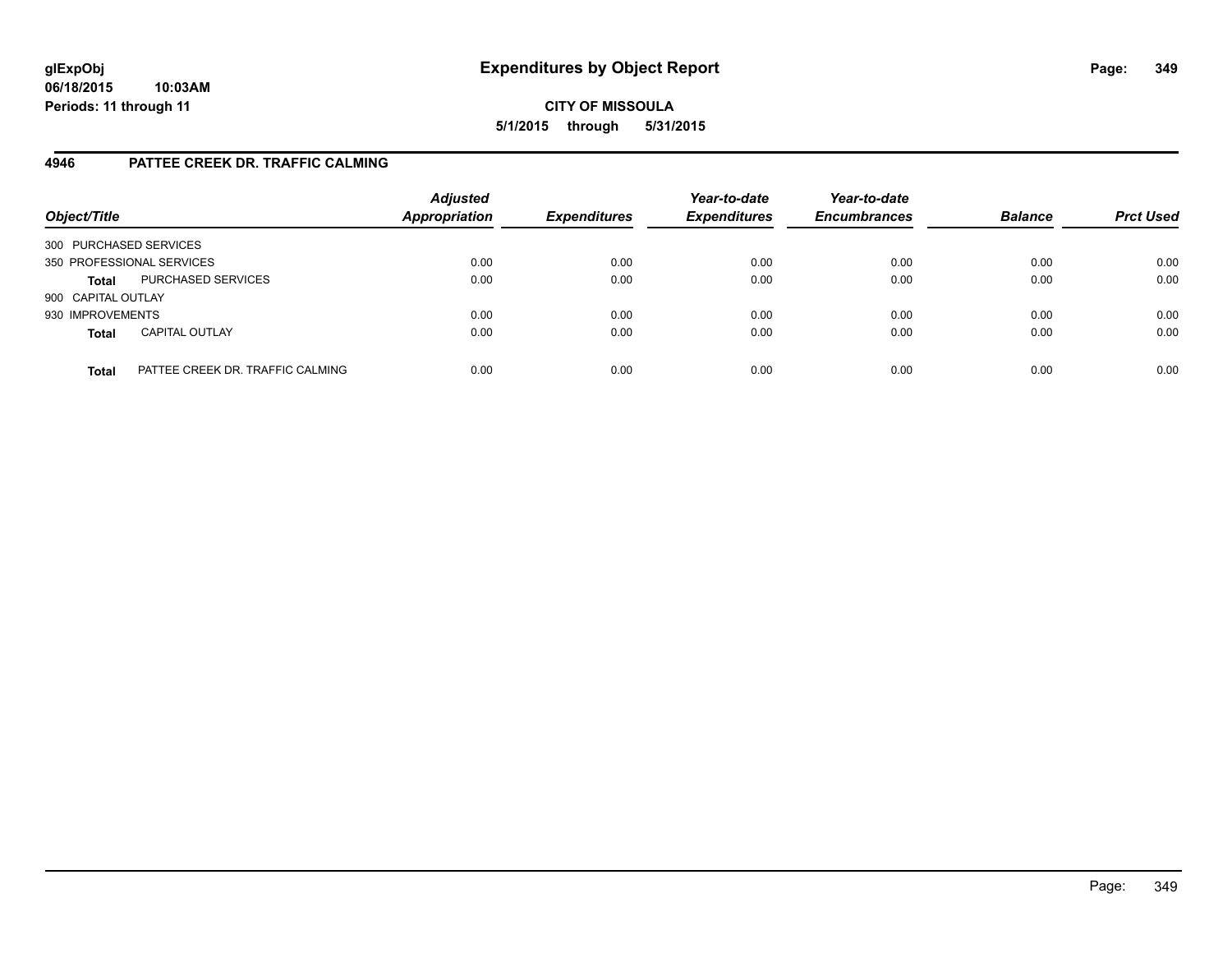# **4946 PATTEE CREEK DR. TRAFFIC CALMING**

| Object/Title           |                                  | <b>Adjusted</b><br><b>Appropriation</b> | <b>Expenditures</b> | Year-to-date<br><b>Expenditures</b> | Year-to-date<br><b>Encumbrances</b> | <b>Balance</b> | <b>Prct Used</b> |
|------------------------|----------------------------------|-----------------------------------------|---------------------|-------------------------------------|-------------------------------------|----------------|------------------|
| 300 PURCHASED SERVICES |                                  |                                         |                     |                                     |                                     |                |                  |
|                        | 350 PROFESSIONAL SERVICES        | 0.00                                    | 0.00                | 0.00                                | 0.00                                | 0.00           | 0.00             |
| <b>Total</b>           | PURCHASED SERVICES               | 0.00                                    | 0.00                | 0.00                                | 0.00                                | 0.00           | 0.00             |
| 900 CAPITAL OUTLAY     |                                  |                                         |                     |                                     |                                     |                |                  |
| 930 IMPROVEMENTS       |                                  | 0.00                                    | 0.00                | 0.00                                | 0.00                                | 0.00           | 0.00             |
| <b>Total</b>           | <b>CAPITAL OUTLAY</b>            | 0.00                                    | 0.00                | 0.00                                | 0.00                                | 0.00           | 0.00             |
| <b>Total</b>           | PATTEE CREEK DR. TRAFFIC CALMING | 0.00                                    | 0.00                | 0.00                                | 0.00                                | 0.00           | 0.00             |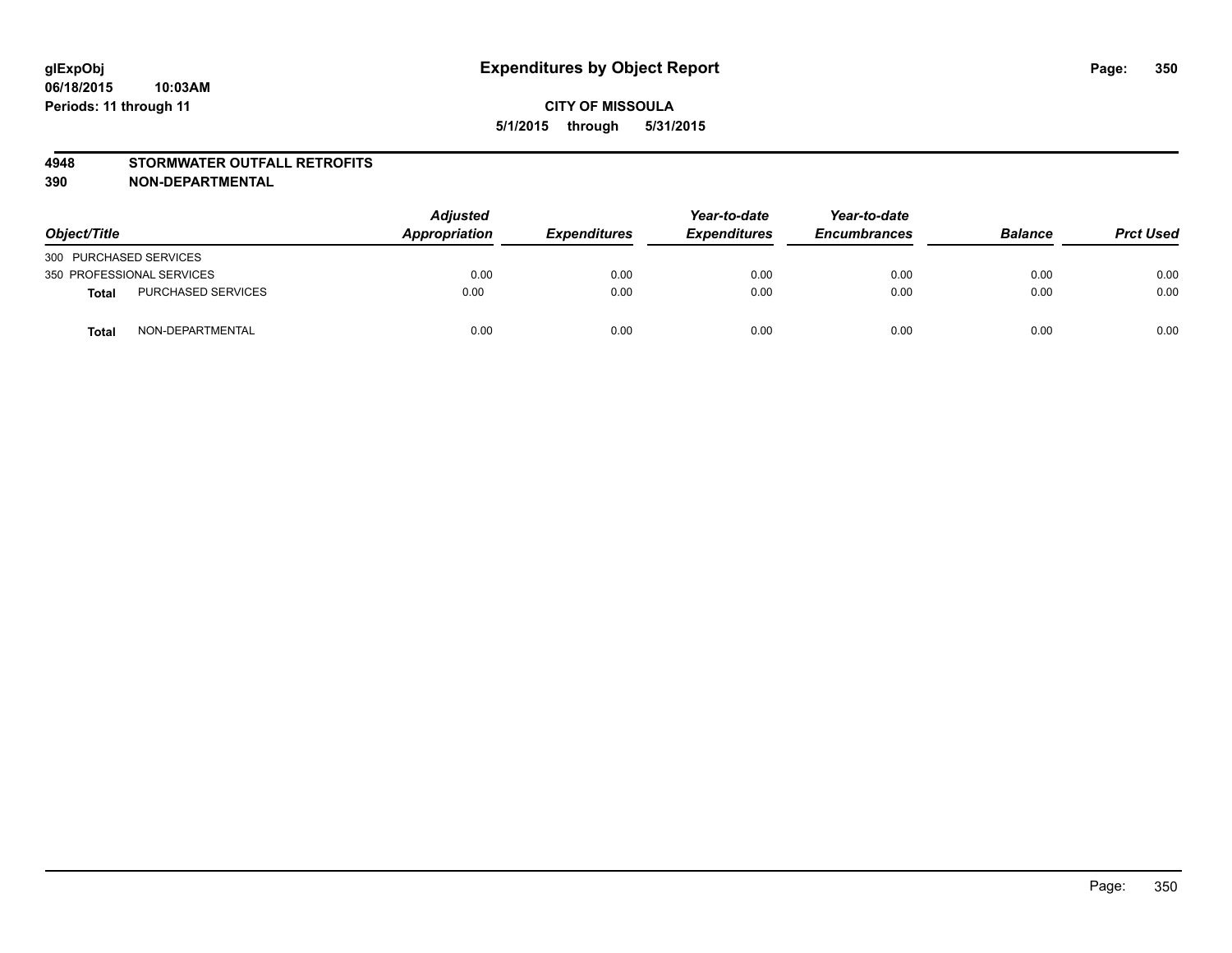#### **4948 STORMWATER OUTFALL RETROFITS**

| Object/Title              |                           | <b>Adjusted</b><br>Appropriation | <b>Expenditures</b> | Year-to-date<br><b>Expenditures</b> | Year-to-date<br><b>Encumbrances</b> | <b>Balance</b> | <b>Prct Used</b> |
|---------------------------|---------------------------|----------------------------------|---------------------|-------------------------------------|-------------------------------------|----------------|------------------|
| 300 PURCHASED SERVICES    |                           |                                  |                     |                                     |                                     |                |                  |
| 350 PROFESSIONAL SERVICES |                           | 0.00                             | 0.00                | 0.00                                | 0.00                                | 0.00           | 0.00             |
| <b>Total</b>              | <b>PURCHASED SERVICES</b> | 0.00                             | 0.00                | 0.00                                | 0.00                                | 0.00           | 0.00             |
| <b>Total</b>              | NON-DEPARTMENTAL          | 0.00                             | 0.00                | 0.00                                | 0.00                                | 0.00           | 0.00             |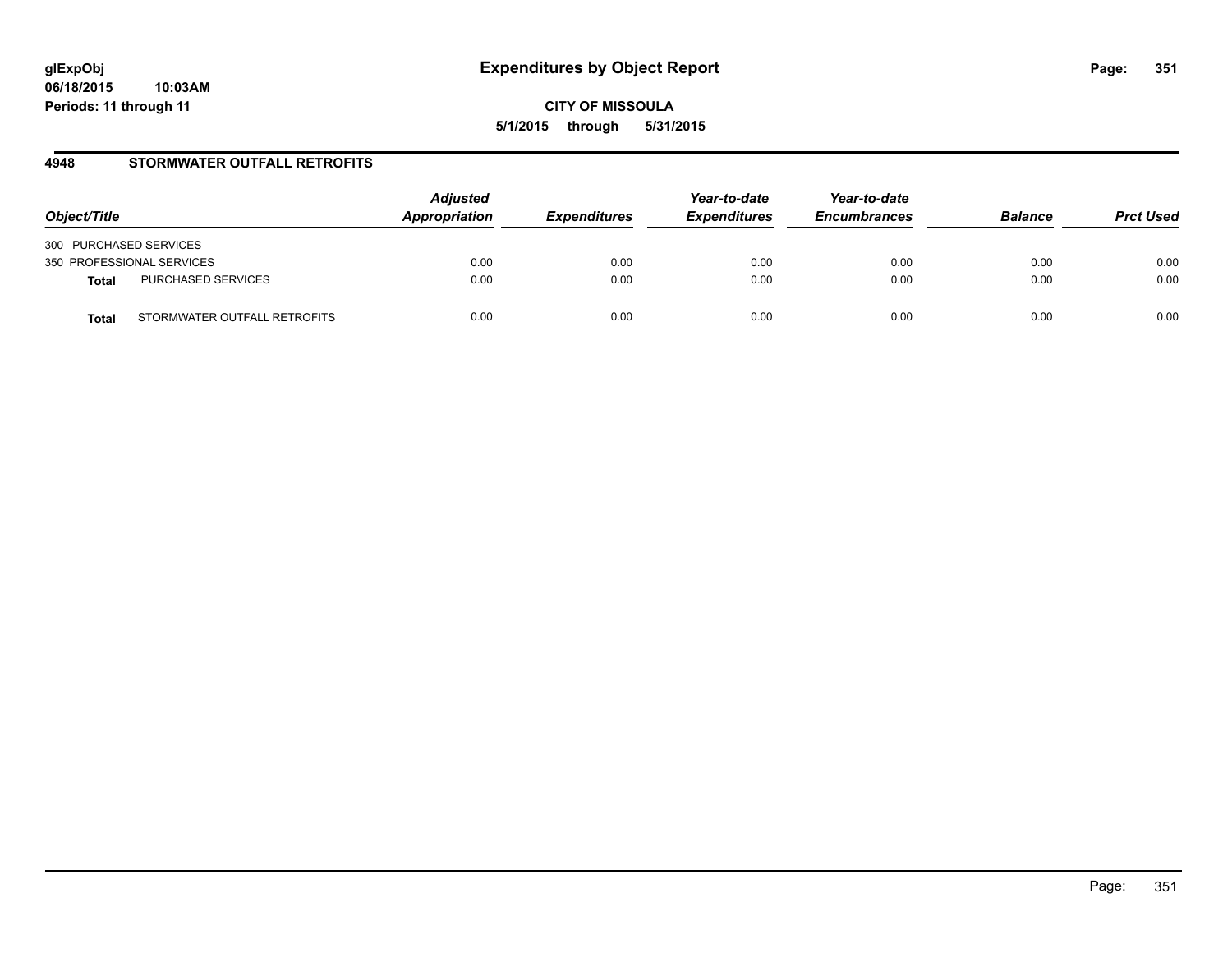## **4948 STORMWATER OUTFALL RETROFITS**

| Object/Title                                 | <b>Adjusted</b><br>Appropriation | <b>Expenditures</b> | Year-to-date<br><b>Expenditures</b> | Year-to-date<br><b>Encumbrances</b> | <b>Balance</b> | <b>Prct Used</b> |
|----------------------------------------------|----------------------------------|---------------------|-------------------------------------|-------------------------------------|----------------|------------------|
| 300 PURCHASED SERVICES                       |                                  |                     |                                     |                                     |                |                  |
| 350 PROFESSIONAL SERVICES                    | 0.00                             | 0.00                | 0.00                                | 0.00                                | 0.00           | 0.00             |
| PURCHASED SERVICES<br><b>Total</b>           | 0.00                             | 0.00                | 0.00                                | 0.00                                | 0.00           | 0.00             |
| STORMWATER OUTFALL RETROFITS<br><b>Total</b> | 0.00                             | 0.00                | 0.00                                | 0.00                                | 0.00           | 0.00             |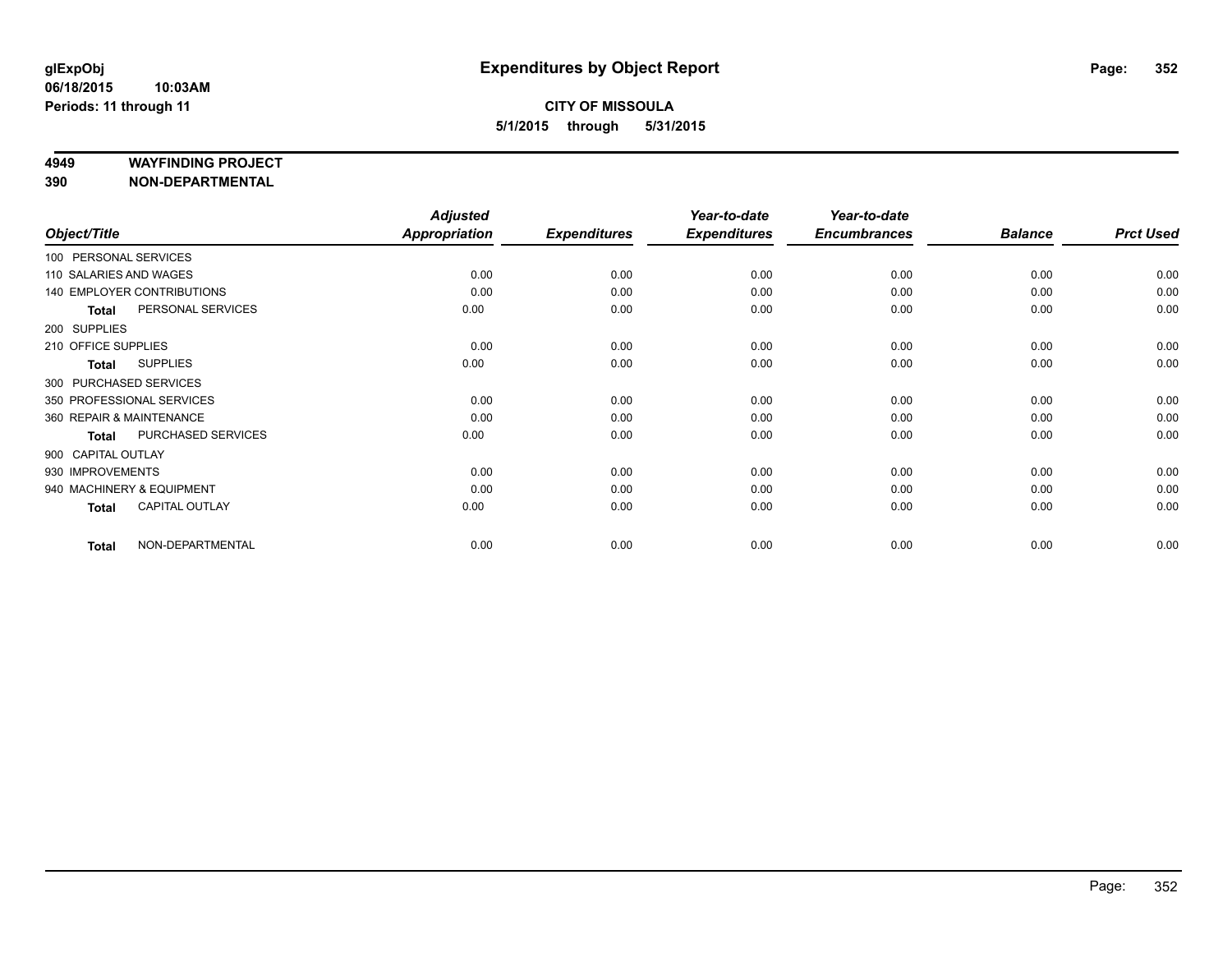#### **4949 WAYFINDING PROJECT**

|                          |                                   | <b>Adjusted</b>      |                     | Year-to-date        | Year-to-date        |                |                  |
|--------------------------|-----------------------------------|----------------------|---------------------|---------------------|---------------------|----------------|------------------|
| Object/Title             |                                   | <b>Appropriation</b> | <b>Expenditures</b> | <b>Expenditures</b> | <b>Encumbrances</b> | <b>Balance</b> | <b>Prct Used</b> |
| 100 PERSONAL SERVICES    |                                   |                      |                     |                     |                     |                |                  |
| 110 SALARIES AND WAGES   |                                   | 0.00                 | 0.00                | 0.00                | 0.00                | 0.00           | 0.00             |
|                          | <b>140 EMPLOYER CONTRIBUTIONS</b> | 0.00                 | 0.00                | 0.00                | 0.00                | 0.00           | 0.00             |
| <b>Total</b>             | PERSONAL SERVICES                 | 0.00                 | 0.00                | 0.00                | 0.00                | 0.00           | 0.00             |
| 200 SUPPLIES             |                                   |                      |                     |                     |                     |                |                  |
| 210 OFFICE SUPPLIES      |                                   | 0.00                 | 0.00                | 0.00                | 0.00                | 0.00           | 0.00             |
| <b>Total</b>             | <b>SUPPLIES</b>                   | 0.00                 | 0.00                | 0.00                | 0.00                | 0.00           | 0.00             |
| 300 PURCHASED SERVICES   |                                   |                      |                     |                     |                     |                |                  |
|                          | 350 PROFESSIONAL SERVICES         | 0.00                 | 0.00                | 0.00                | 0.00                | 0.00           | 0.00             |
| 360 REPAIR & MAINTENANCE |                                   | 0.00                 | 0.00                | 0.00                | 0.00                | 0.00           | 0.00             |
| <b>Total</b>             | PURCHASED SERVICES                | 0.00                 | 0.00                | 0.00                | 0.00                | 0.00           | 0.00             |
| 900 CAPITAL OUTLAY       |                                   |                      |                     |                     |                     |                |                  |
| 930 IMPROVEMENTS         |                                   | 0.00                 | 0.00                | 0.00                | 0.00                | 0.00           | 0.00             |
|                          | 940 MACHINERY & EQUIPMENT         | 0.00                 | 0.00                | 0.00                | 0.00                | 0.00           | 0.00             |
| <b>Total</b>             | <b>CAPITAL OUTLAY</b>             | 0.00                 | 0.00                | 0.00                | 0.00                | 0.00           | 0.00             |
| <b>Total</b>             | NON-DEPARTMENTAL                  | 0.00                 | 0.00                | 0.00                | 0.00                | 0.00           | 0.00             |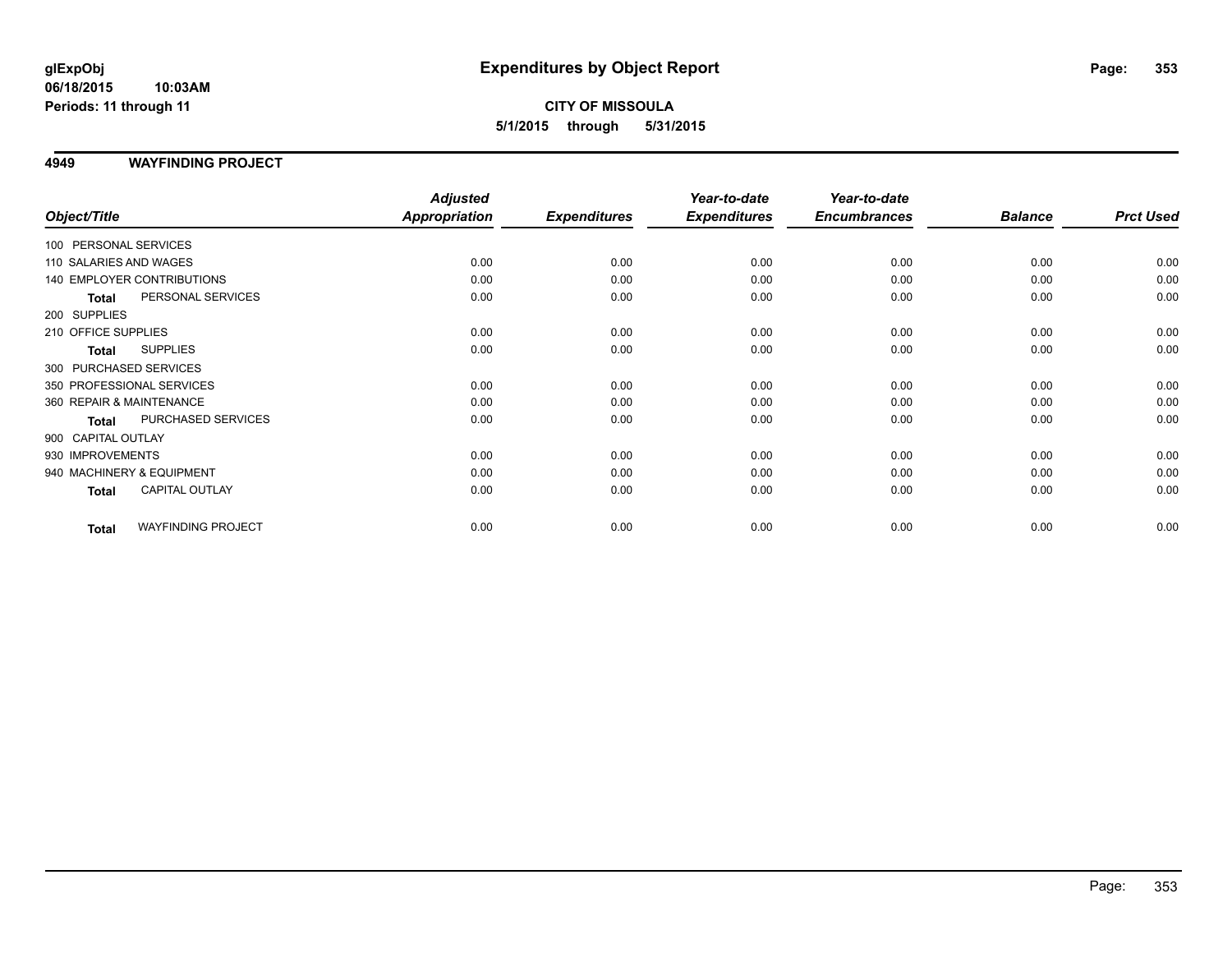#### **06/18/2015 10:03AM Periods: 11 through 11**

# **CITY OF MISSOULA 5/1/2015 through 5/31/2015**

## **4949 WAYFINDING PROJECT**

|                           |                                   | <b>Adjusted</b> |                     | Year-to-date        | Year-to-date        |                |                  |
|---------------------------|-----------------------------------|-----------------|---------------------|---------------------|---------------------|----------------|------------------|
| Object/Title              |                                   | Appropriation   | <b>Expenditures</b> | <b>Expenditures</b> | <b>Encumbrances</b> | <b>Balance</b> | <b>Prct Used</b> |
| 100 PERSONAL SERVICES     |                                   |                 |                     |                     |                     |                |                  |
| 110 SALARIES AND WAGES    |                                   | 0.00            | 0.00                | 0.00                | 0.00                | 0.00           | 0.00             |
|                           | <b>140 EMPLOYER CONTRIBUTIONS</b> | 0.00            | 0.00                | 0.00                | 0.00                | 0.00           | 0.00             |
| <b>Total</b>              | PERSONAL SERVICES                 | 0.00            | 0.00                | 0.00                | 0.00                | 0.00           | 0.00             |
| 200 SUPPLIES              |                                   |                 |                     |                     |                     |                |                  |
| 210 OFFICE SUPPLIES       |                                   | 0.00            | 0.00                | 0.00                | 0.00                | 0.00           | 0.00             |
| <b>Total</b>              | <b>SUPPLIES</b>                   | 0.00            | 0.00                | 0.00                | 0.00                | 0.00           | 0.00             |
| 300 PURCHASED SERVICES    |                                   |                 |                     |                     |                     |                |                  |
| 350 PROFESSIONAL SERVICES |                                   | 0.00            | 0.00                | 0.00                | 0.00                | 0.00           | 0.00             |
| 360 REPAIR & MAINTENANCE  |                                   | 0.00            | 0.00                | 0.00                | 0.00                | 0.00           | 0.00             |
| <b>Total</b>              | PURCHASED SERVICES                | 0.00            | 0.00                | 0.00                | 0.00                | 0.00           | 0.00             |
| 900 CAPITAL OUTLAY        |                                   |                 |                     |                     |                     |                |                  |
| 930 IMPROVEMENTS          |                                   | 0.00            | 0.00                | 0.00                | 0.00                | 0.00           | 0.00             |
| 940 MACHINERY & EQUIPMENT |                                   | 0.00            | 0.00                | 0.00                | 0.00                | 0.00           | 0.00             |
| <b>Total</b>              | <b>CAPITAL OUTLAY</b>             | 0.00            | 0.00                | 0.00                | 0.00                | 0.00           | 0.00             |
| <b>Total</b>              | <b>WAYFINDING PROJECT</b>         | 0.00            | 0.00                | 0.00                | 0.00                | 0.00           | 0.00             |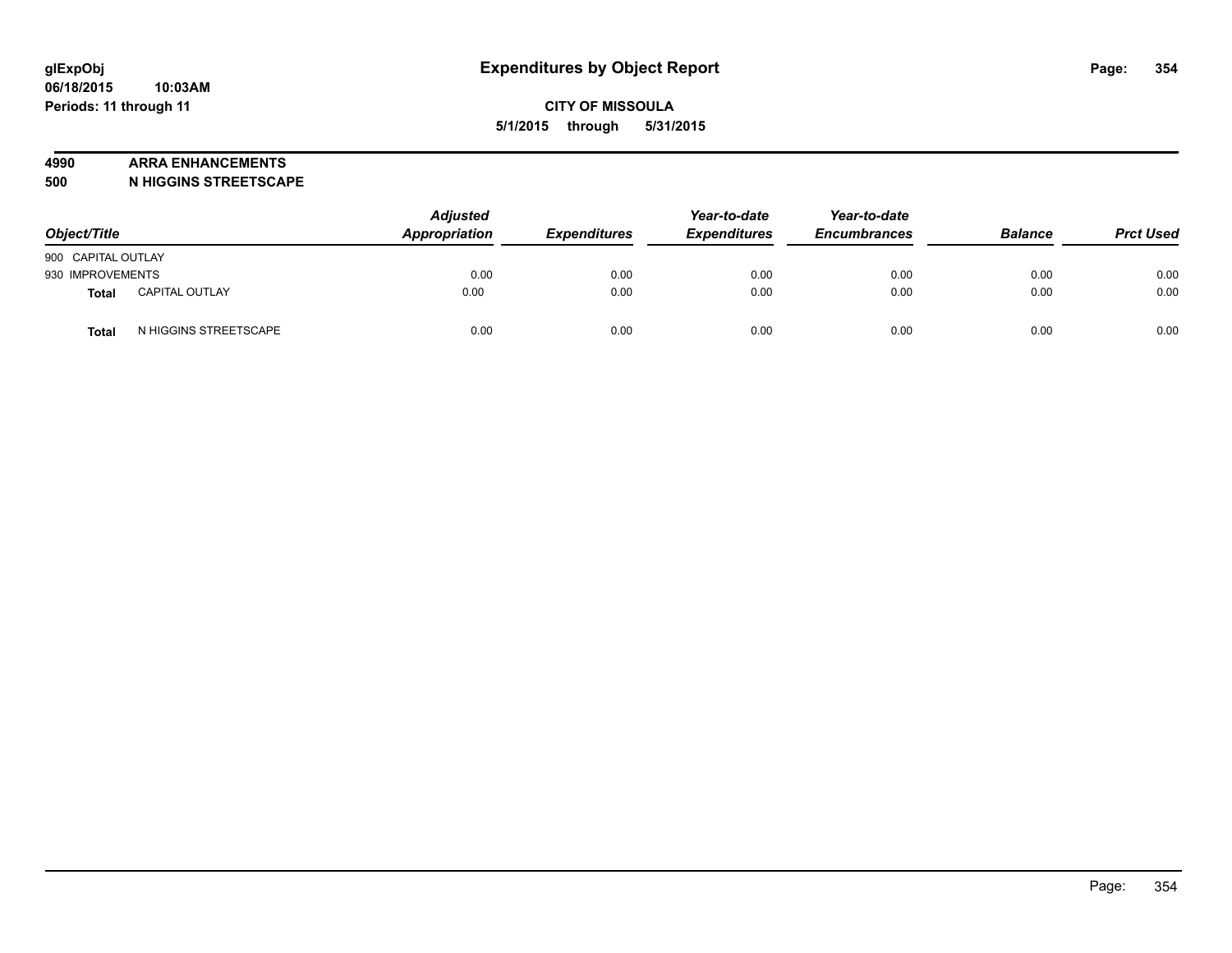#### **4990 ARRA ENHANCEMENTS**

**500 N HIGGINS STREETSCAPE**

| Object/Title       |                       | <b>Adjusted</b><br>Appropriation | <b>Expenditures</b> | Year-to-date<br><b>Expenditures</b> | Year-to-date<br><b>Encumbrances</b> | <b>Balance</b> | <b>Prct Used</b> |
|--------------------|-----------------------|----------------------------------|---------------------|-------------------------------------|-------------------------------------|----------------|------------------|
| 900 CAPITAL OUTLAY |                       |                                  |                     |                                     |                                     |                |                  |
| 930 IMPROVEMENTS   |                       | 0.00                             | 0.00                | 0.00                                | 0.00                                | 0.00           | 0.00             |
| <b>Total</b>       | <b>CAPITAL OUTLAY</b> | 0.00                             | 0.00                | 0.00                                | 0.00                                | 0.00           | 0.00             |
| Total              | N HIGGINS STREETSCAPE | 0.00                             | 0.00                | 0.00                                | 0.00                                | 0.00           | 0.00             |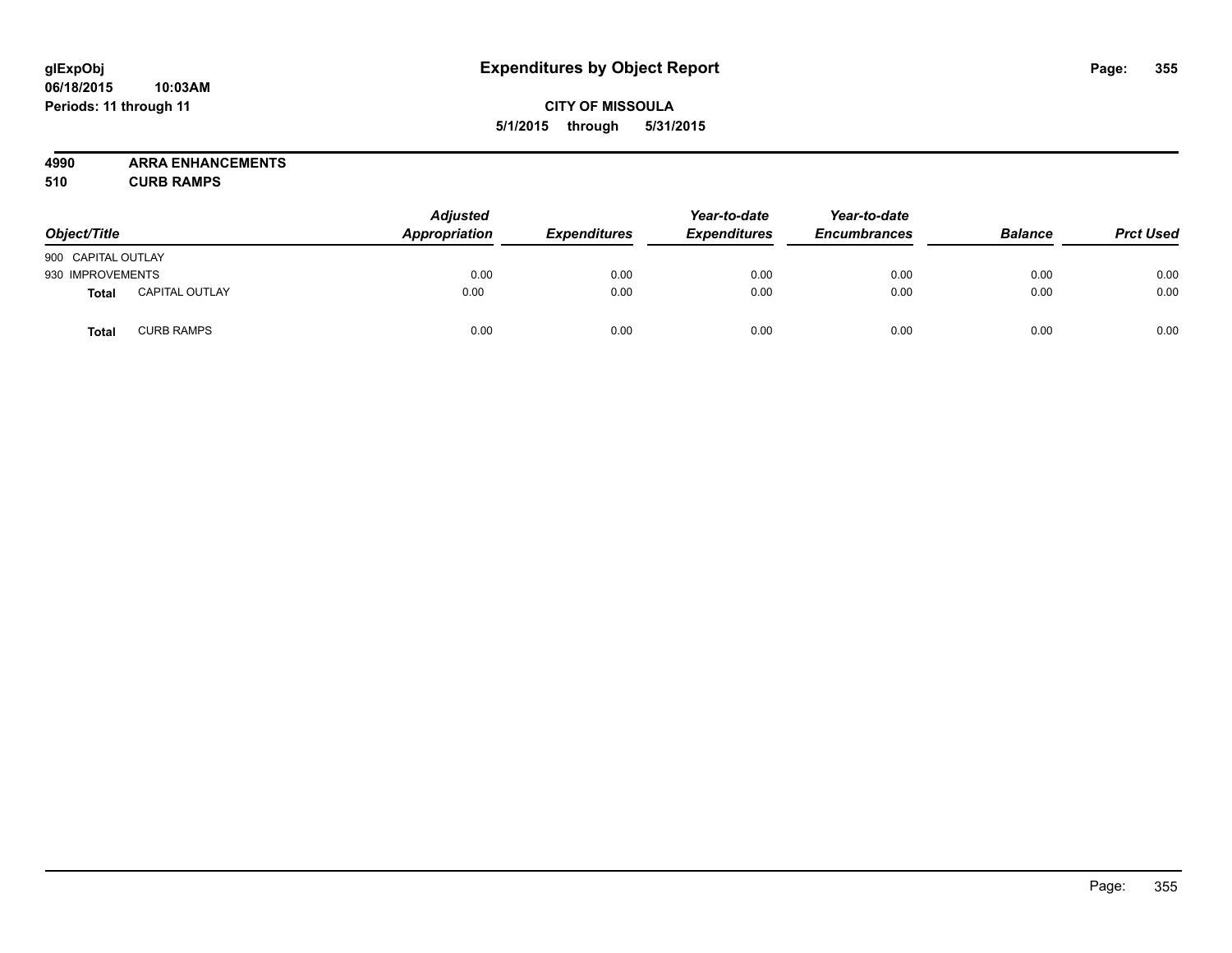#### **06/18/2015 10:03AM Periods: 11 through 11**

# **CITY OF MISSOULA 5/1/2015 through 5/31/2015**

**4990 ARRA ENHANCEMENTS**

**510 CURB RAMPS**

| Object/Title       |                       | <b>Adjusted</b><br>Appropriation | <b>Expenditures</b> | Year-to-date<br><b>Expenditures</b> | Year-to-date<br><b>Encumbrances</b> | <b>Balance</b> | <b>Prct Used</b> |
|--------------------|-----------------------|----------------------------------|---------------------|-------------------------------------|-------------------------------------|----------------|------------------|
| 900 CAPITAL OUTLAY |                       |                                  |                     |                                     |                                     |                |                  |
| 930 IMPROVEMENTS   |                       | 0.00                             | 0.00                | 0.00                                | 0.00                                | 0.00           | 0.00             |
| <b>Total</b>       | <b>CAPITAL OUTLAY</b> | 0.00                             | 0.00                | 0.00                                | 0.00                                | 0.00           | 0.00             |
| Total              | <b>CURB RAMPS</b>     | 0.00                             | 0.00                | 0.00                                | 0.00                                | 0.00           | 0.00             |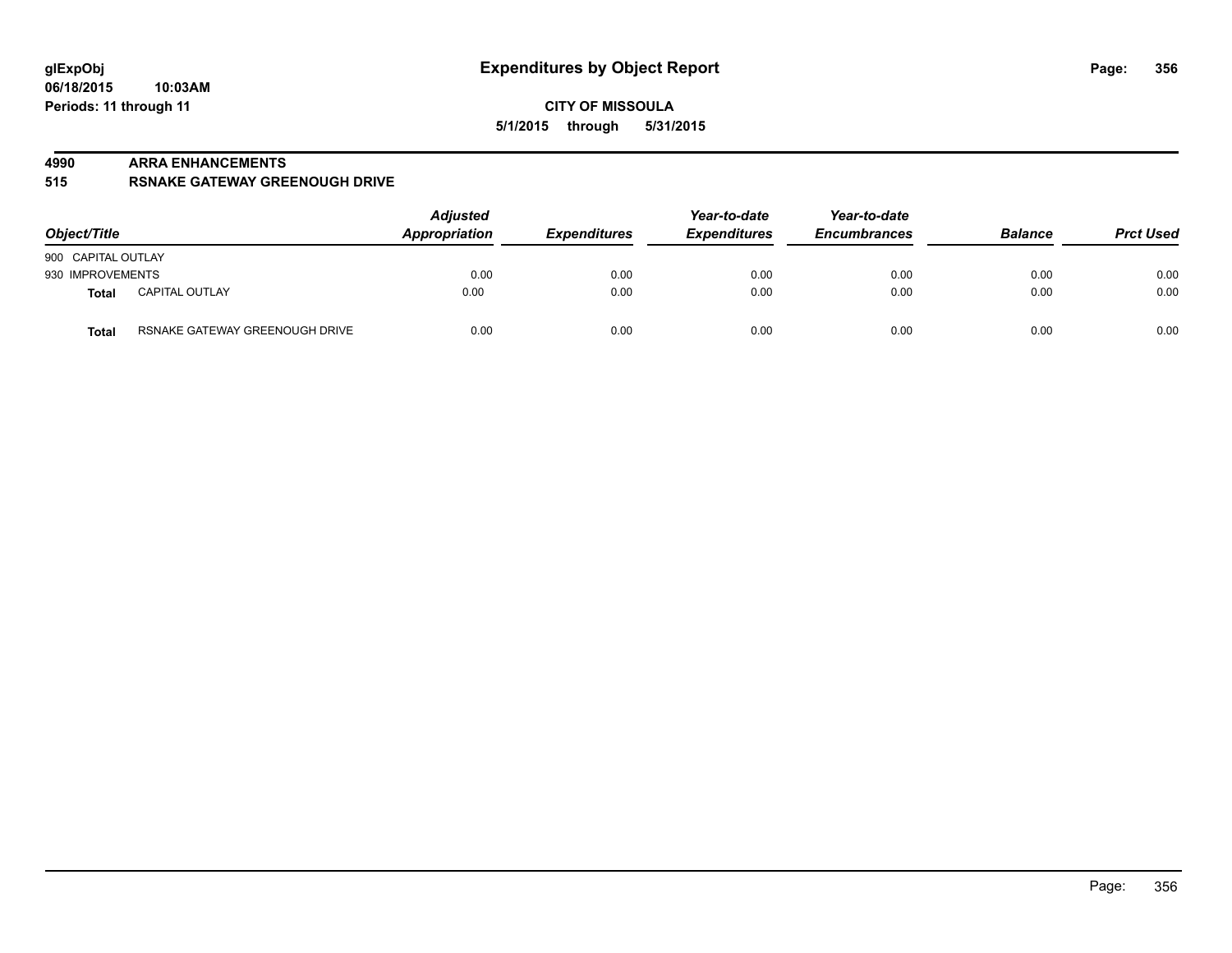#### **4990 ARRA ENHANCEMENTS**

**515 RSNAKE GATEWAY GREENOUGH DRIVE**

| Object/Title       |                                | <b>Adjusted</b><br>Appropriation | <b>Expenditures</b> | Year-to-date<br><b>Expenditures</b> | Year-to-date<br><b>Encumbrances</b> | <b>Balance</b> | <b>Prct Used</b> |
|--------------------|--------------------------------|----------------------------------|---------------------|-------------------------------------|-------------------------------------|----------------|------------------|
| 900 CAPITAL OUTLAY |                                |                                  |                     |                                     |                                     |                |                  |
| 930 IMPROVEMENTS   |                                | 0.00                             | 0.00                | 0.00                                | 0.00                                | 0.00           | 0.00             |
| Total              | <b>CAPITAL OUTLAY</b>          | 0.00                             | 0.00                | 0.00                                | 0.00                                | 0.00           | 0.00             |
| <b>Total</b>       | RSNAKE GATEWAY GREENOUGH DRIVE | 0.00                             | 0.00                | 0.00                                | 0.00                                | 0.00           | 0.00             |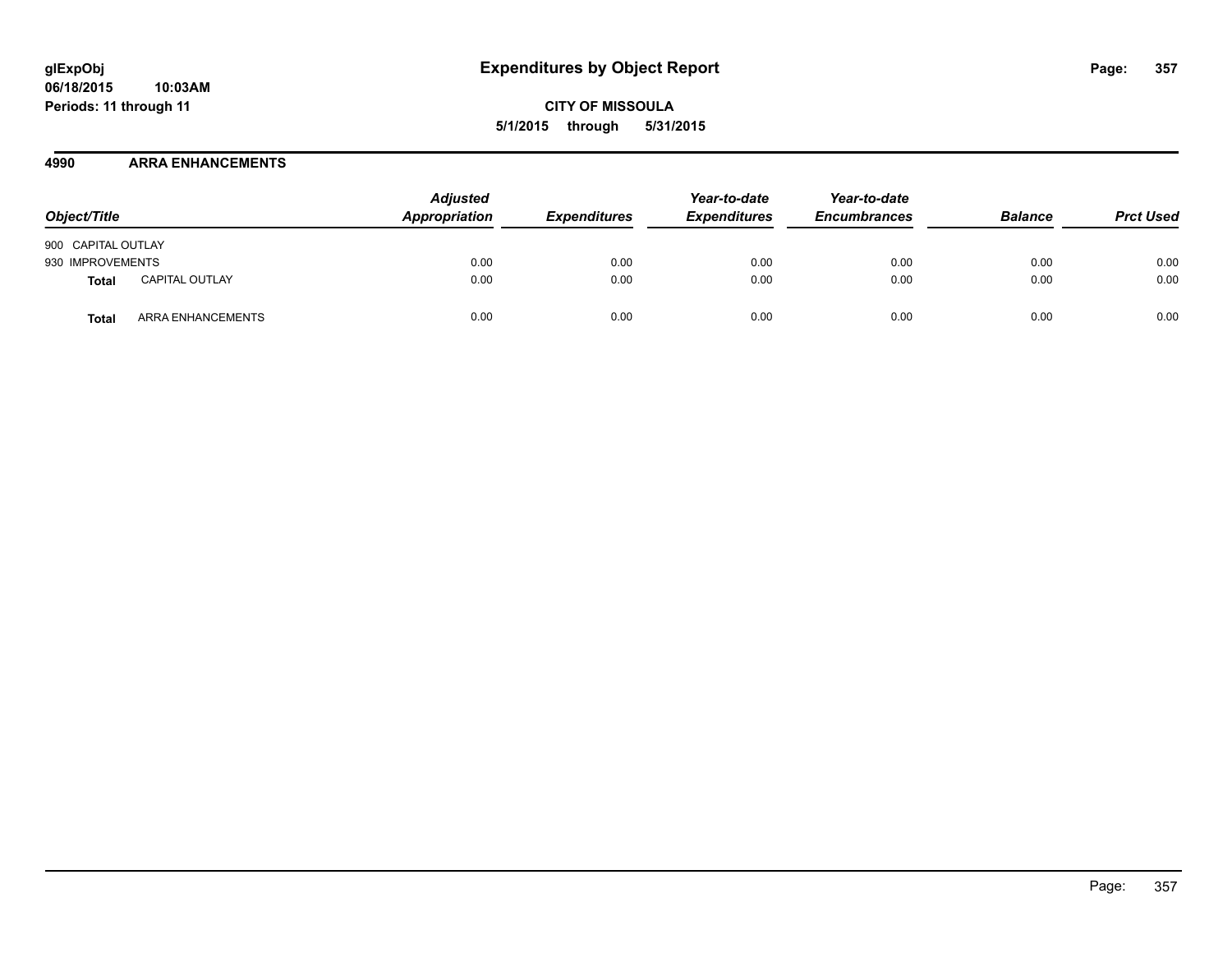## **4990 ARRA ENHANCEMENTS**

| Object/Title       |                       | <b>Adjusted</b><br>Appropriation | <b>Expenditures</b> | Year-to-date<br><b>Expenditures</b> | Year-to-date<br><b>Encumbrances</b> | <b>Balance</b> | <b>Prct Used</b> |
|--------------------|-----------------------|----------------------------------|---------------------|-------------------------------------|-------------------------------------|----------------|------------------|
| 900 CAPITAL OUTLAY |                       |                                  |                     |                                     |                                     |                |                  |
| 930 IMPROVEMENTS   |                       | 0.00                             | 0.00                | 0.00                                | 0.00                                | 0.00           | 0.00             |
| Total              | <b>CAPITAL OUTLAY</b> | 0.00                             | 0.00                | 0.00                                | 0.00                                | 0.00           | 0.00             |
| Total              | ARRA ENHANCEMENTS     | 0.00                             | 0.00                | 0.00                                | 0.00                                | 0.00           | 0.00             |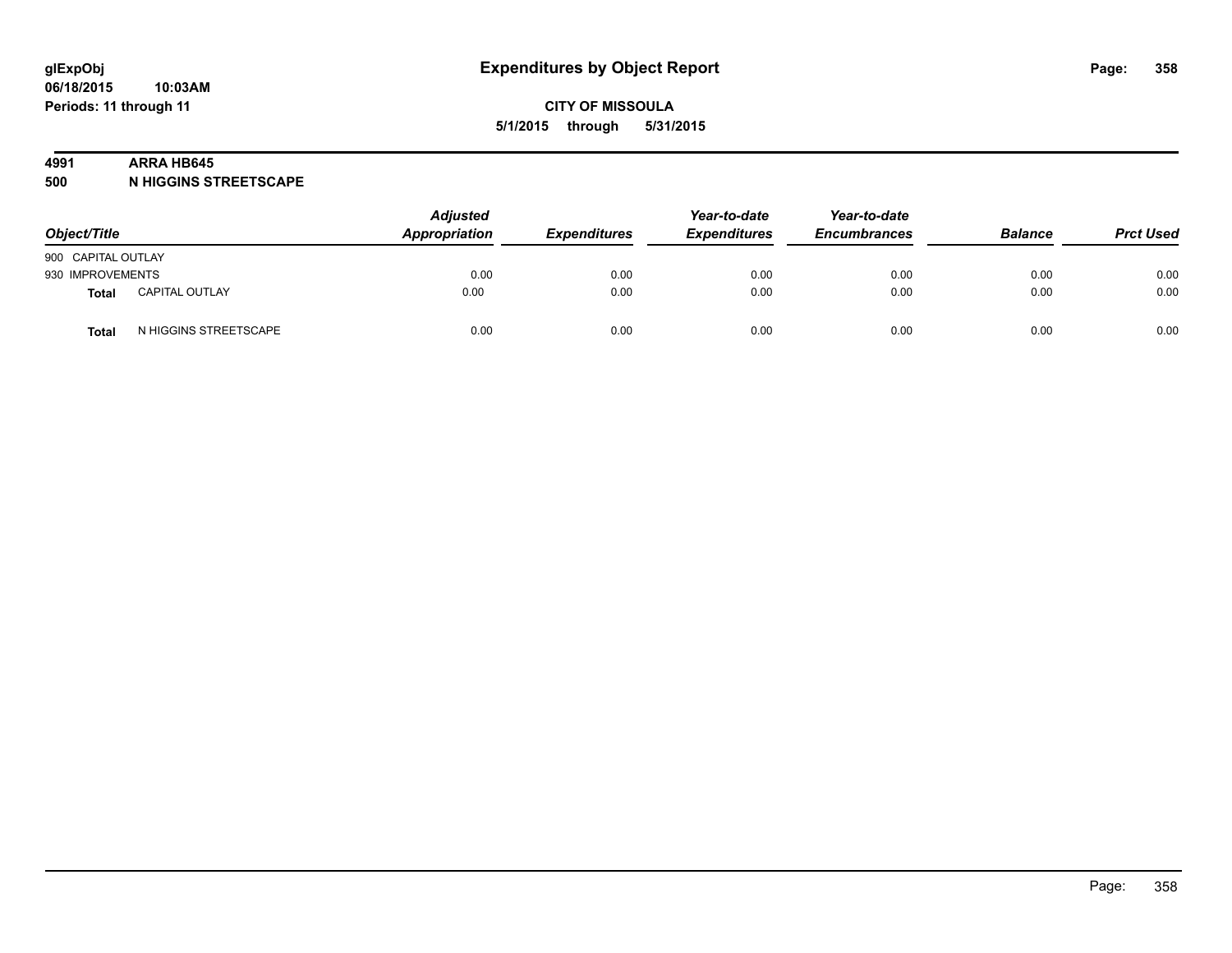#### **4991 ARRA HB645**

**500 N HIGGINS STREETSCAPE**

| Object/Title       |                       | <b>Adjusted</b><br>Appropriation | <b>Expenditures</b> | Year-to-date<br><b>Expenditures</b> | Year-to-date<br><b>Encumbrances</b> | <b>Balance</b> | <b>Prct Used</b> |
|--------------------|-----------------------|----------------------------------|---------------------|-------------------------------------|-------------------------------------|----------------|------------------|
| 900 CAPITAL OUTLAY |                       |                                  |                     |                                     |                                     |                |                  |
| 930 IMPROVEMENTS   |                       | 0.00                             | 0.00                | 0.00                                | 0.00                                | 0.00           | 0.00             |
| <b>Total</b>       | <b>CAPITAL OUTLAY</b> | 0.00                             | 0.00                | 0.00                                | 0.00                                | 0.00           | 0.00             |
| Total              | N HIGGINS STREETSCAPE | 0.00                             | 0.00                | 0.00                                | 0.00                                | 0.00           | 0.00             |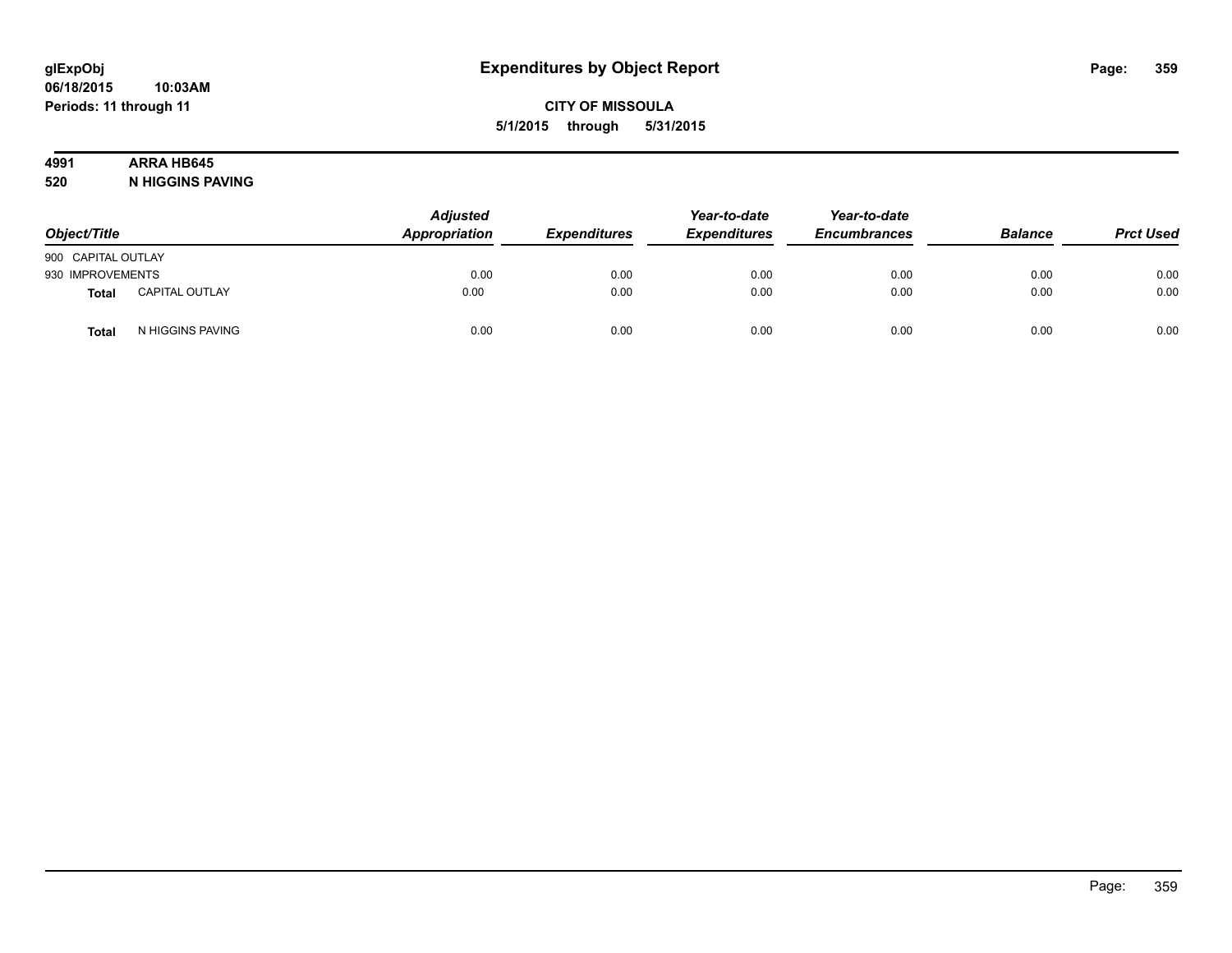# **4991 ARRA HB645**

**520 N HIGGINS PAVING**

| Object/Title       |                       | <b>Adjusted</b><br>Appropriation | <b>Expenditures</b> | Year-to-date<br><b>Expenditures</b> | Year-to-date<br><b>Encumbrances</b> | <b>Balance</b> | <b>Prct Used</b> |
|--------------------|-----------------------|----------------------------------|---------------------|-------------------------------------|-------------------------------------|----------------|------------------|
| 900 CAPITAL OUTLAY |                       |                                  |                     |                                     |                                     |                |                  |
| 930 IMPROVEMENTS   |                       | 0.00                             | 0.00                | 0.00                                | 0.00                                | 0.00           | 0.00             |
| Total              | <b>CAPITAL OUTLAY</b> | 0.00                             | 0.00                | 0.00                                | 0.00                                | 0.00           | 0.00             |
| <b>Total</b>       | N HIGGINS PAVING      | 0.00                             | 0.00                | 0.00                                | 0.00                                | 0.00           | 0.00             |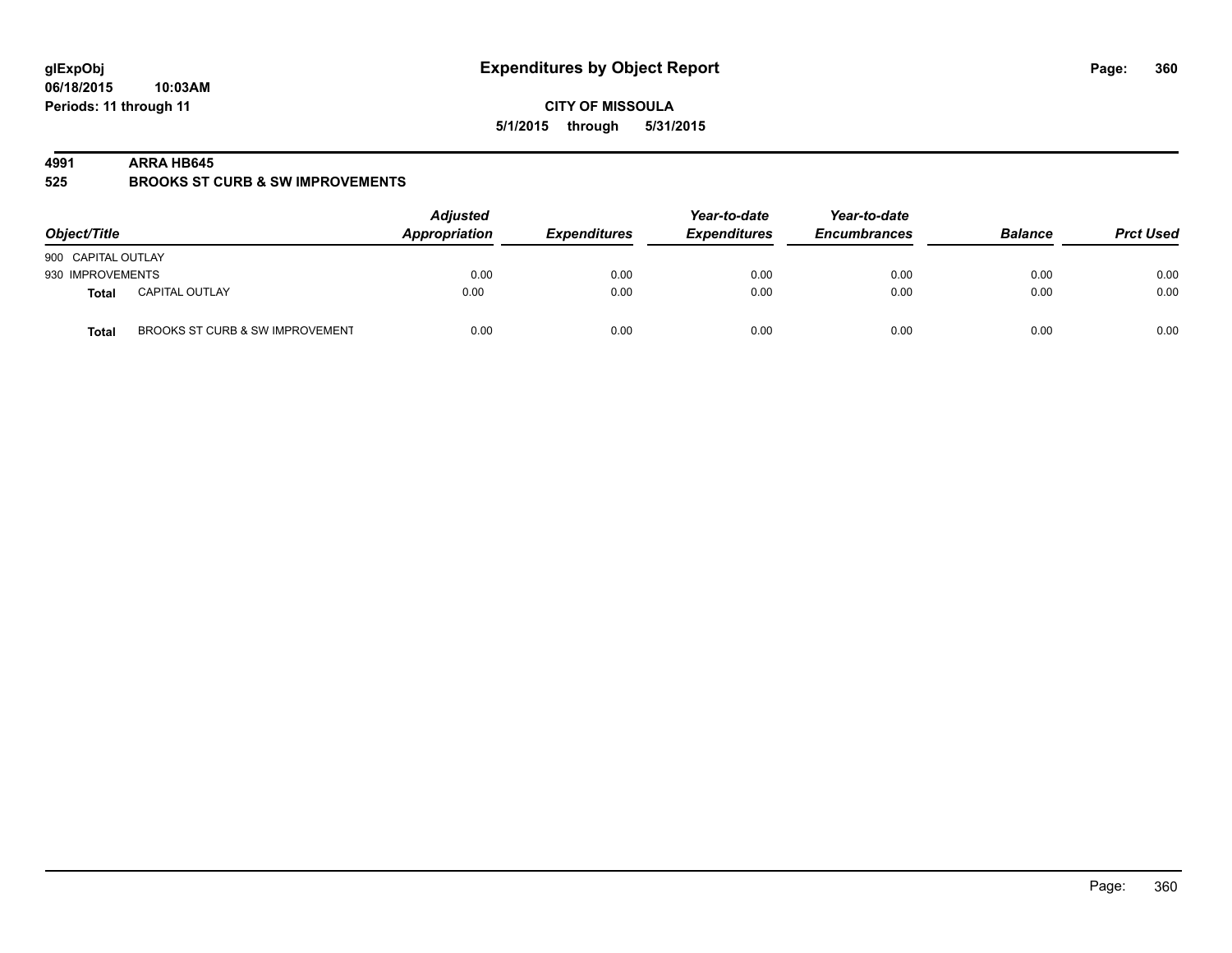**06/18/2015 10:03AM Periods: 11 through 11**

**CITY OF MISSOULA 5/1/2015 through 5/31/2015**

#### **4991 ARRA HB645**

**525 BROOKS ST CURB & SW IMPROVEMENTS**

| Object/Title       |                                 | <b>Adjusted</b><br>Appropriation | <b>Expenditures</b> | Year-to-date<br><b>Expenditures</b> | Year-to-date<br><b>Encumbrances</b> | <b>Balance</b> | <b>Prct Used</b> |
|--------------------|---------------------------------|----------------------------------|---------------------|-------------------------------------|-------------------------------------|----------------|------------------|
| 900 CAPITAL OUTLAY |                                 |                                  |                     |                                     |                                     |                |                  |
| 930 IMPROVEMENTS   |                                 | 0.00                             | 0.00                | 0.00                                | 0.00                                | 0.00           | 0.00             |
| Total              | <b>CAPITAL OUTLAY</b>           | 0.00                             | 0.00                | 0.00                                | 0.00                                | 0.00           | 0.00             |
| <b>Total</b>       | BROOKS ST CURB & SW IMPROVEMENT | 0.00                             | 0.00                | 0.00                                | 0.00                                | 0.00           | 0.00             |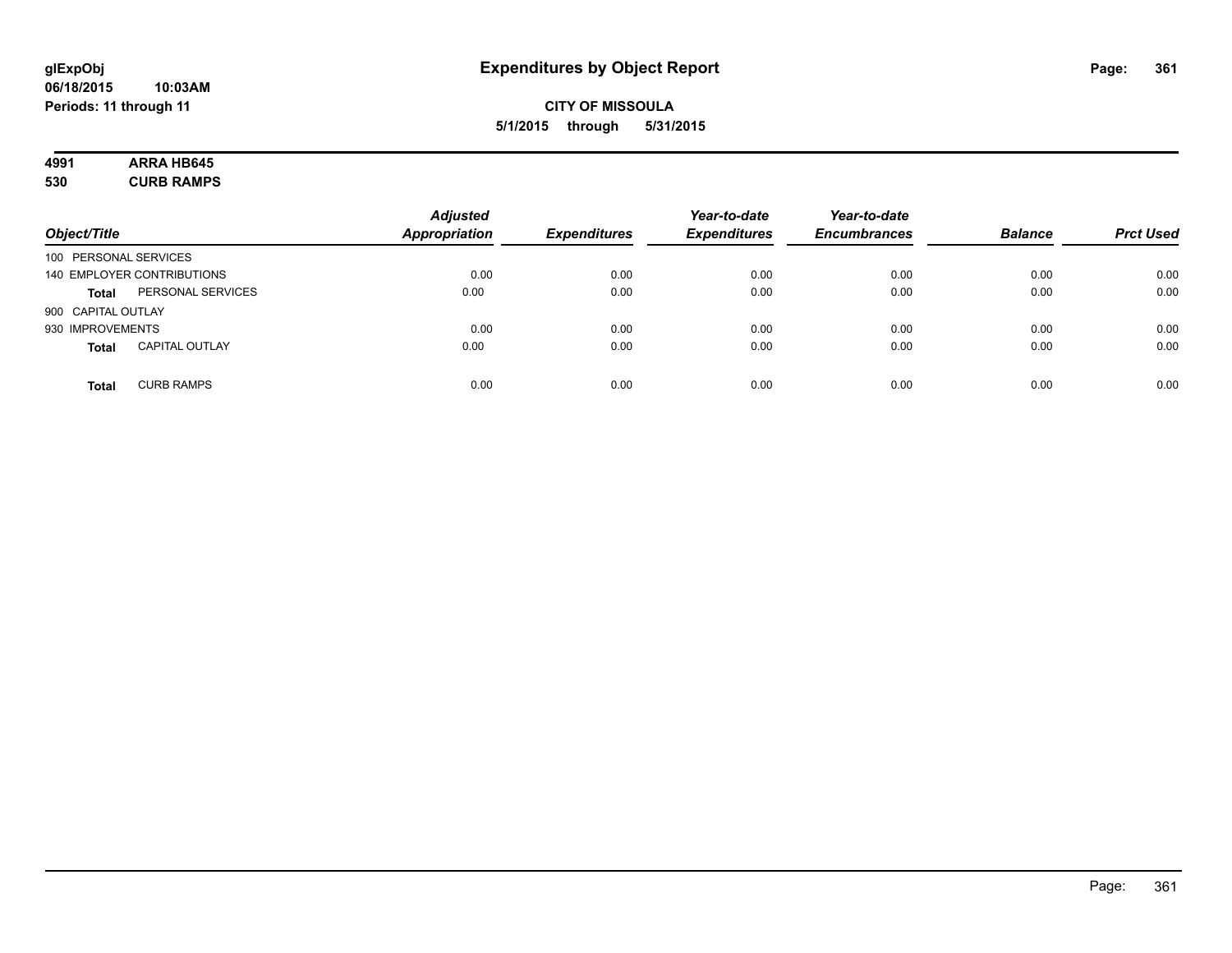## **CITY OF MISSOULA 5/1/2015 through 5/31/2015**

# **4991 ARRA HB645**

**530 CURB RAMPS**

| Object/Title                          | <b>Adjusted</b><br><b>Appropriation</b> | <b>Expenditures</b> | Year-to-date<br><b>Expenditures</b> | Year-to-date<br><b>Encumbrances</b> | <b>Balance</b> | <b>Prct Used</b> |
|---------------------------------------|-----------------------------------------|---------------------|-------------------------------------|-------------------------------------|----------------|------------------|
| 100 PERSONAL SERVICES                 |                                         |                     |                                     |                                     |                |                  |
| 140 EMPLOYER CONTRIBUTIONS            | 0.00                                    | 0.00                | 0.00                                | 0.00                                | 0.00           | 0.00             |
| PERSONAL SERVICES<br><b>Total</b>     | 0.00                                    | 0.00                | 0.00                                | 0.00                                | 0.00           | 0.00             |
| 900 CAPITAL OUTLAY                    |                                         |                     |                                     |                                     |                |                  |
| 930 IMPROVEMENTS                      | 0.00                                    | 0.00                | 0.00                                | 0.00                                | 0.00           | 0.00             |
| <b>CAPITAL OUTLAY</b><br><b>Total</b> | 0.00                                    | 0.00                | 0.00                                | 0.00                                | 0.00           | 0.00             |
| <b>CURB RAMPS</b><br><b>Total</b>     | 0.00                                    | 0.00                | 0.00                                | 0.00                                | 0.00           | 0.00             |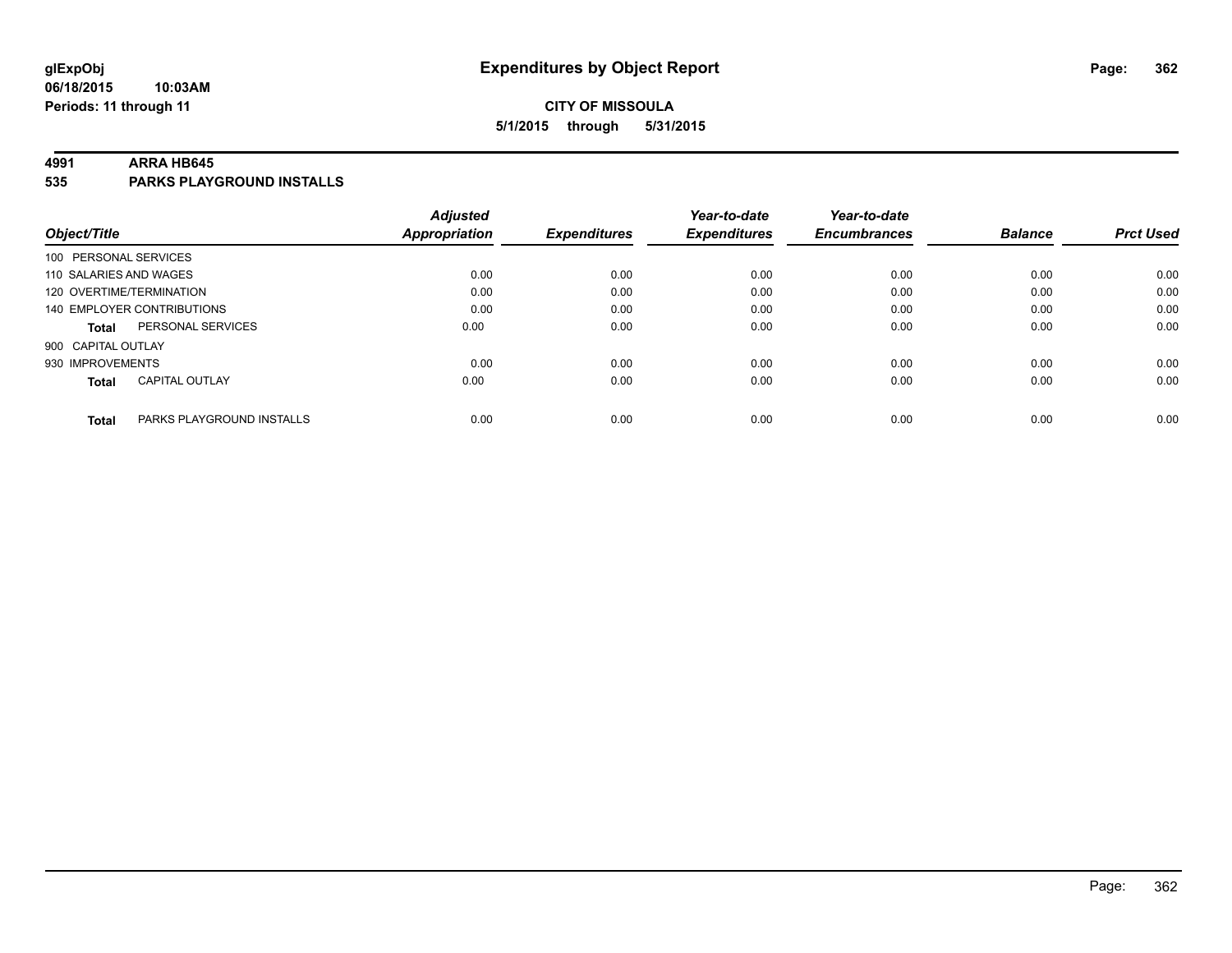### **CITY OF MISSOULA 5/1/2015 through 5/31/2015**

#### **4991 ARRA HB645**

**535 PARKS PLAYGROUND INSTALLS**

|                          |                                   | <b>Adjusted</b>      |                     | Year-to-date        | Year-to-date        |                |                  |
|--------------------------|-----------------------------------|----------------------|---------------------|---------------------|---------------------|----------------|------------------|
| Object/Title             |                                   | <b>Appropriation</b> | <b>Expenditures</b> | <b>Expenditures</b> | <b>Encumbrances</b> | <b>Balance</b> | <b>Prct Used</b> |
| 100 PERSONAL SERVICES    |                                   |                      |                     |                     |                     |                |                  |
| 110 SALARIES AND WAGES   |                                   | 0.00                 | 0.00                | 0.00                | 0.00                | 0.00           | 0.00             |
| 120 OVERTIME/TERMINATION |                                   | 0.00                 | 0.00                | 0.00                | 0.00                | 0.00           | 0.00             |
|                          | <b>140 EMPLOYER CONTRIBUTIONS</b> | 0.00                 | 0.00                | 0.00                | 0.00                | 0.00           | 0.00             |
| <b>Total</b>             | PERSONAL SERVICES                 | 0.00                 | 0.00                | 0.00                | 0.00                | 0.00           | 0.00             |
| 900 CAPITAL OUTLAY       |                                   |                      |                     |                     |                     |                |                  |
| 930 IMPROVEMENTS         |                                   | 0.00                 | 0.00                | 0.00                | 0.00                | 0.00           | 0.00             |
| <b>Total</b>             | <b>CAPITAL OUTLAY</b>             | 0.00                 | 0.00                | 0.00                | 0.00                | 0.00           | 0.00             |
| <b>Total</b>             | PARKS PLAYGROUND INSTALLS         | 0.00                 | 0.00                | 0.00                | 0.00                | 0.00           | 0.00             |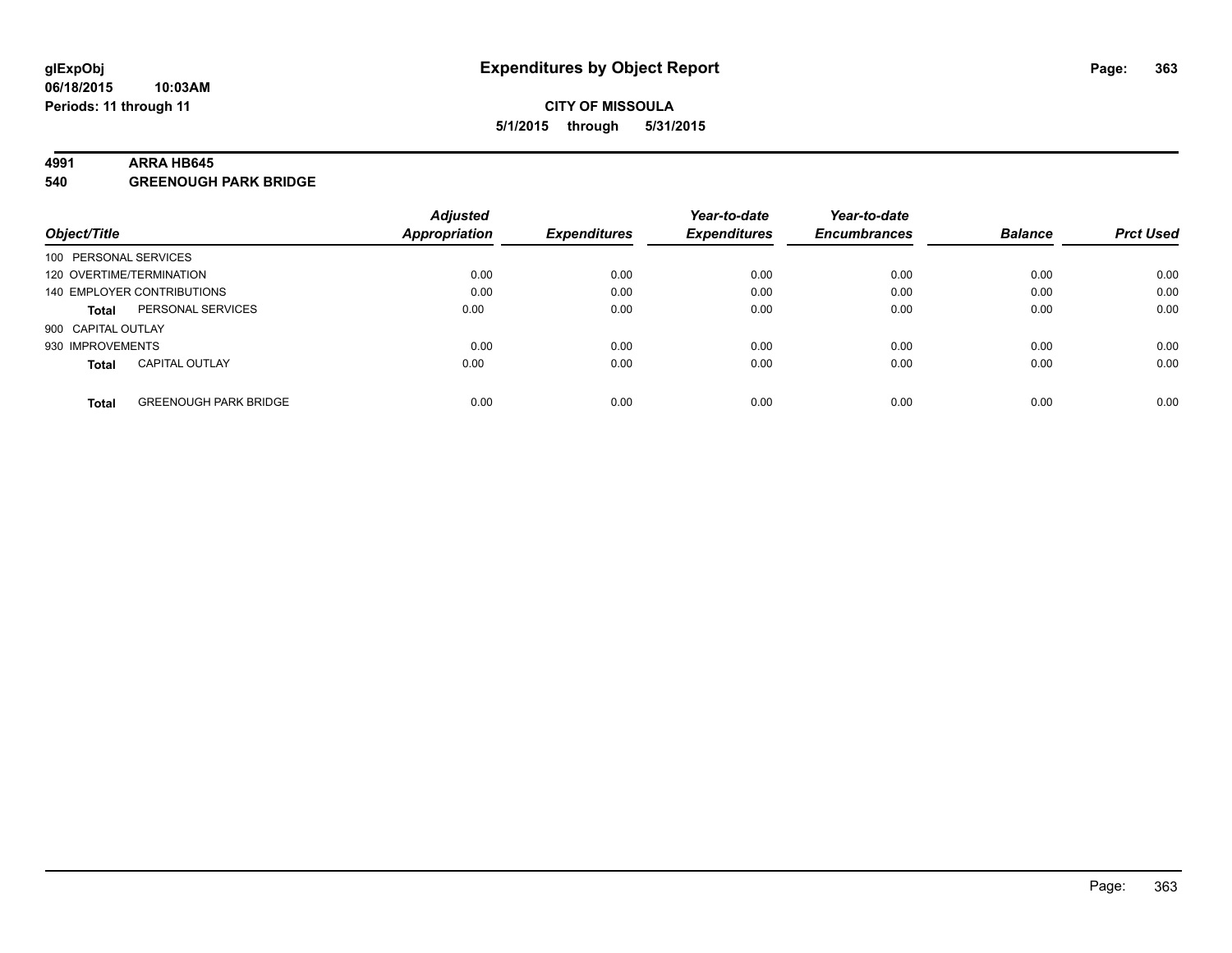#### **4991 ARRA HB645**

**540 GREENOUGH PARK BRIDGE**

|                          |                              | <b>Adjusted</b> |                     | Year-to-date        | Year-to-date        |                |                  |
|--------------------------|------------------------------|-----------------|---------------------|---------------------|---------------------|----------------|------------------|
| Object/Title             |                              | Appropriation   | <b>Expenditures</b> | <b>Expenditures</b> | <b>Encumbrances</b> | <b>Balance</b> | <b>Prct Used</b> |
| 100 PERSONAL SERVICES    |                              |                 |                     |                     |                     |                |                  |
| 120 OVERTIME/TERMINATION |                              | 0.00            | 0.00                | 0.00                | 0.00                | 0.00           | 0.00             |
|                          | 140 EMPLOYER CONTRIBUTIONS   | 0.00            | 0.00                | 0.00                | 0.00                | 0.00           | 0.00             |
| <b>Total</b>             | PERSONAL SERVICES            | 0.00            | 0.00                | 0.00                | 0.00                | 0.00           | 0.00             |
| 900 CAPITAL OUTLAY       |                              |                 |                     |                     |                     |                |                  |
| 930 IMPROVEMENTS         |                              | 0.00            | 0.00                | 0.00                | 0.00                | 0.00           | 0.00             |
| <b>Total</b>             | <b>CAPITAL OUTLAY</b>        | 0.00            | 0.00                | 0.00                | 0.00                | 0.00           | 0.00             |
| <b>Total</b>             | <b>GREENOUGH PARK BRIDGE</b> | 0.00            | 0.00                | 0.00                | 0.00                | 0.00           | 0.00             |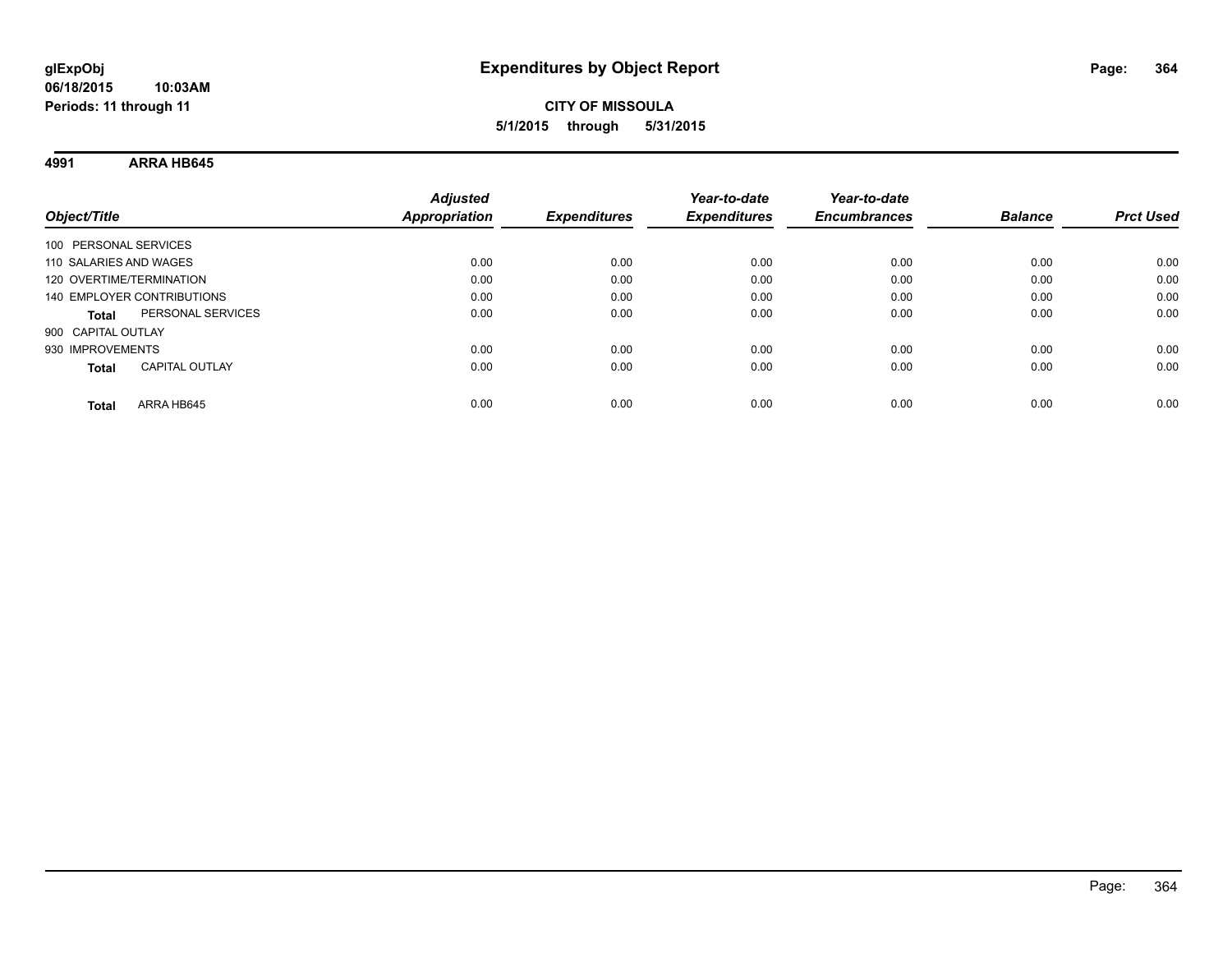**4991 ARRA HB645**

| Object/Title                          | <b>Adjusted</b><br><b>Appropriation</b> | <b>Expenditures</b> | Year-to-date<br><b>Expenditures</b> | Year-to-date<br><b>Encumbrances</b> | <b>Balance</b> | <b>Prct Used</b> |
|---------------------------------------|-----------------------------------------|---------------------|-------------------------------------|-------------------------------------|----------------|------------------|
| 100 PERSONAL SERVICES                 |                                         |                     |                                     |                                     |                |                  |
| 110 SALARIES AND WAGES                | 0.00                                    | 0.00                | 0.00                                | 0.00                                | 0.00           | 0.00             |
| 120 OVERTIME/TERMINATION              | 0.00                                    | 0.00                | 0.00                                | 0.00                                | 0.00           | 0.00             |
| 140 EMPLOYER CONTRIBUTIONS            | 0.00                                    | 0.00                | 0.00                                | 0.00                                | 0.00           | 0.00             |
| PERSONAL SERVICES<br><b>Total</b>     | 0.00                                    | 0.00                | 0.00                                | 0.00                                | 0.00           | 0.00             |
| 900 CAPITAL OUTLAY                    |                                         |                     |                                     |                                     |                |                  |
| 930 IMPROVEMENTS                      | 0.00                                    | 0.00                | 0.00                                | 0.00                                | 0.00           | 0.00             |
| <b>CAPITAL OUTLAY</b><br><b>Total</b> | 0.00                                    | 0.00                | 0.00                                | 0.00                                | 0.00           | 0.00             |
| ARRA HB645<br>Total                   | 0.00                                    | 0.00                | 0.00                                | 0.00                                | 0.00           | 0.00             |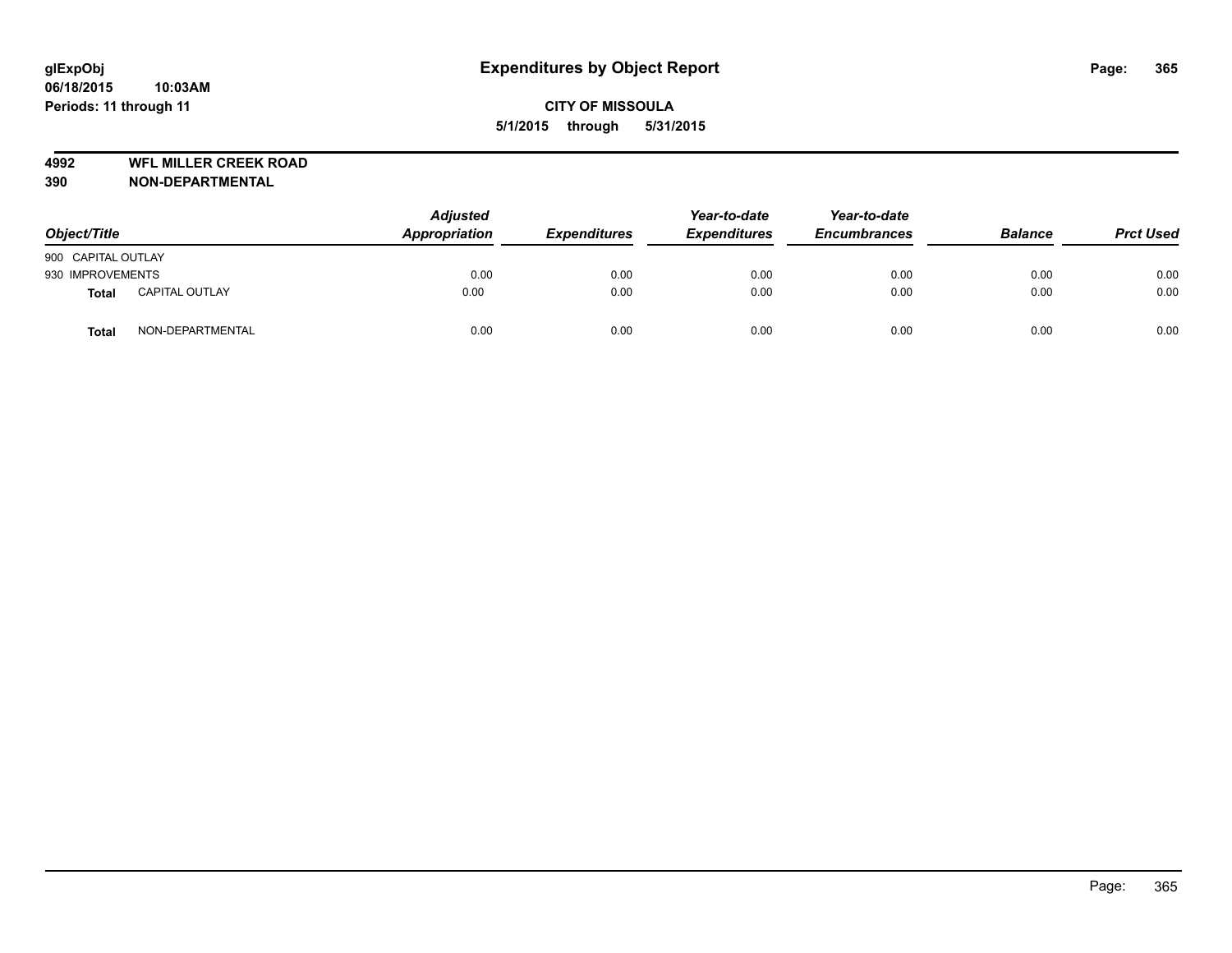**4992 WFL MILLER CREEK ROAD**

**390 NON-DEPARTMENTAL**

| Object/Title       |                       | <b>Adjusted</b><br>Appropriation | <b>Expenditures</b> | Year-to-date<br><b>Expenditures</b> | Year-to-date<br><b>Encumbrances</b> | <b>Balance</b> | <b>Prct Used</b> |
|--------------------|-----------------------|----------------------------------|---------------------|-------------------------------------|-------------------------------------|----------------|------------------|
| 900 CAPITAL OUTLAY |                       |                                  |                     |                                     |                                     |                |                  |
| 930 IMPROVEMENTS   |                       | 0.00                             | 0.00                | 0.00                                | 0.00                                | 0.00           | 0.00             |
| <b>Total</b>       | <b>CAPITAL OUTLAY</b> | 0.00                             | 0.00                | 0.00                                | 0.00                                | 0.00           | 0.00             |
| <b>Total</b>       | NON-DEPARTMENTAL      | 0.00                             | 0.00                | 0.00                                | 0.00                                | 0.00           | 0.00             |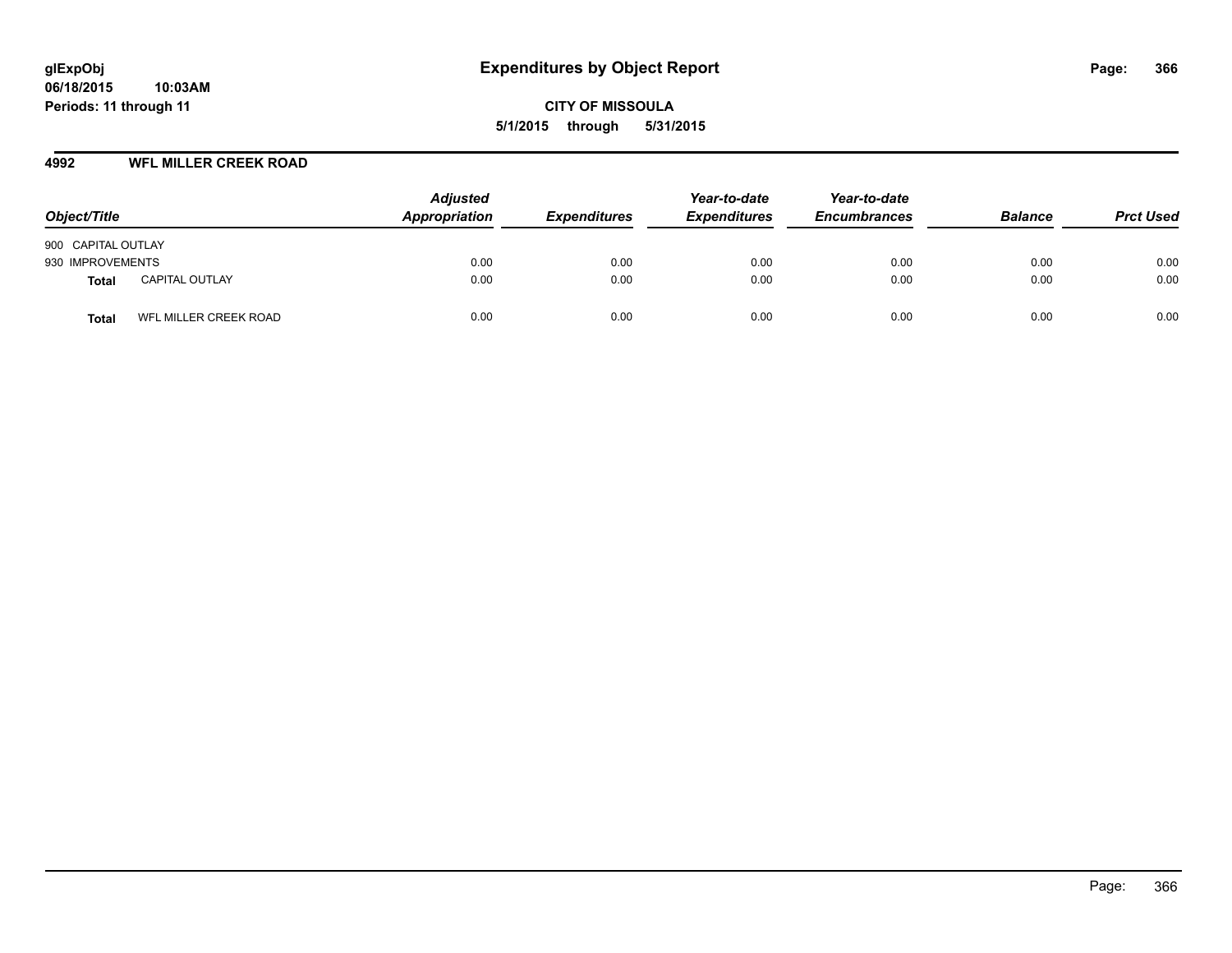#### **4992 WFL MILLER CREEK ROAD**

| Object/Title                   | <b>Adjusted</b><br>Appropriation | <b>Expenditures</b> | Year-to-date<br><b>Expenditures</b> | Year-to-date<br><b>Encumbrances</b> | <b>Balance</b> | <b>Prct Used</b> |
|--------------------------------|----------------------------------|---------------------|-------------------------------------|-------------------------------------|----------------|------------------|
| 900 CAPITAL OUTLAY             |                                  |                     |                                     |                                     |                |                  |
| 930 IMPROVEMENTS               | 0.00                             | 0.00                | 0.00                                | 0.00                                | 0.00           | 0.00             |
| <b>CAPITAL OUTLAY</b><br>Total | 0.00                             | 0.00                | 0.00                                | 0.00                                | 0.00           | 0.00             |
| WFL MILLER CREEK ROAD<br>Total | 0.00                             | 0.00                | 0.00                                | 0.00                                | 0.00           | 0.00             |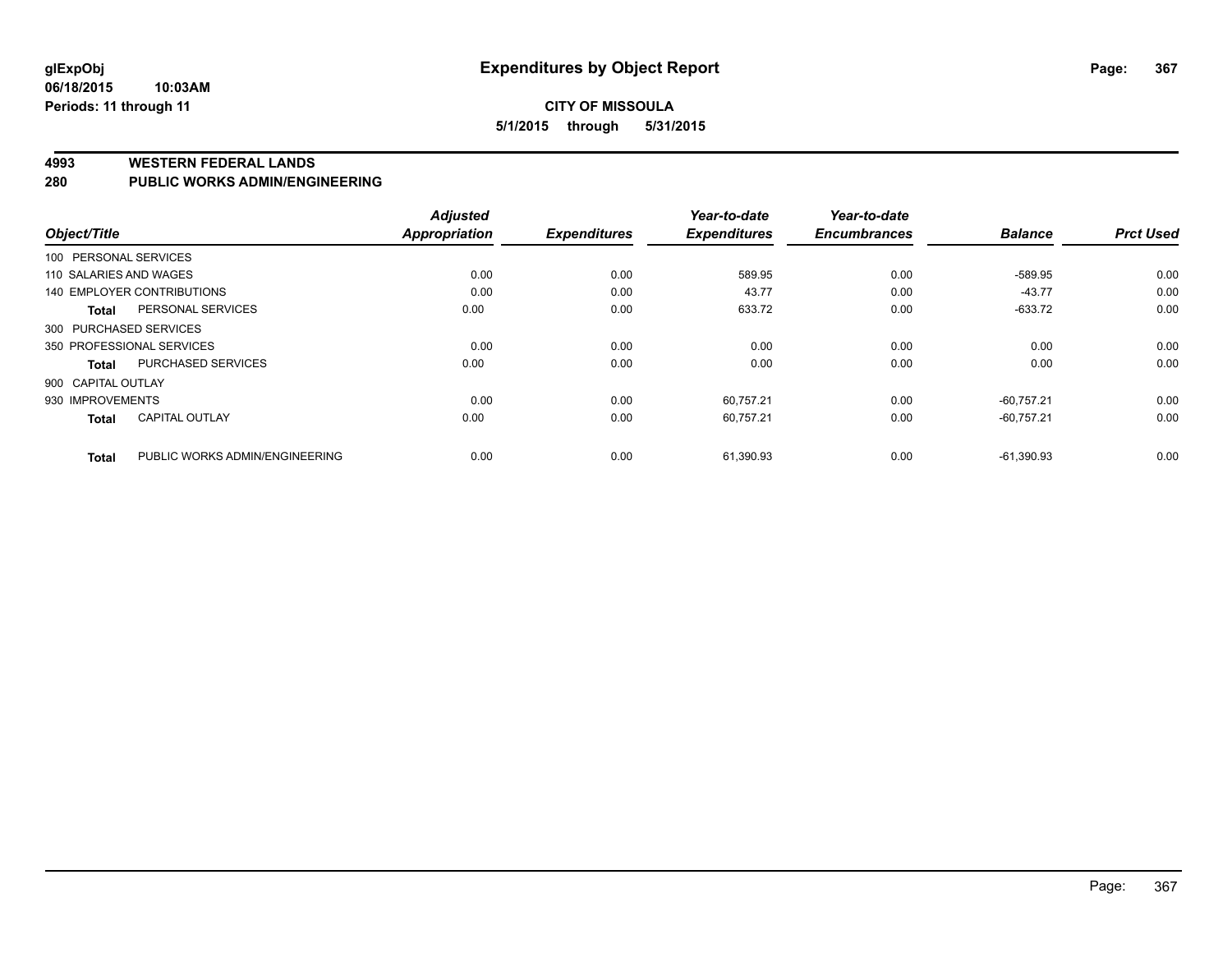### **CITY OF MISSOULA 5/1/2015 through 5/31/2015**

#### **4993 WESTERN FEDERAL LANDS**

#### **280 PUBLIC WORKS ADMIN/ENGINEERING**

| Object/Title           |                                | <b>Adjusted</b><br>Appropriation | <b>Expenditures</b> | Year-to-date<br><b>Expenditures</b> | Year-to-date<br><b>Encumbrances</b> | <b>Balance</b> | <b>Prct Used</b> |
|------------------------|--------------------------------|----------------------------------|---------------------|-------------------------------------|-------------------------------------|----------------|------------------|
| 100 PERSONAL SERVICES  |                                |                                  |                     |                                     |                                     |                |                  |
| 110 SALARIES AND WAGES |                                | 0.00                             | 0.00                | 589.95                              | 0.00                                | $-589.95$      | 0.00             |
|                        | 140 EMPLOYER CONTRIBUTIONS     | 0.00                             | 0.00                | 43.77                               | 0.00                                | $-43.77$       | 0.00             |
| <b>Total</b>           | PERSONAL SERVICES              | 0.00                             | 0.00                | 633.72                              | 0.00                                | $-633.72$      | 0.00             |
| 300 PURCHASED SERVICES |                                |                                  |                     |                                     |                                     |                |                  |
|                        | 350 PROFESSIONAL SERVICES      | 0.00                             | 0.00                | 0.00                                | 0.00                                | 0.00           | 0.00             |
| Total                  | <b>PURCHASED SERVICES</b>      | 0.00                             | 0.00                | 0.00                                | 0.00                                | 0.00           | 0.00             |
| 900 CAPITAL OUTLAY     |                                |                                  |                     |                                     |                                     |                |                  |
| 930 IMPROVEMENTS       |                                | 0.00                             | 0.00                | 60,757.21                           | 0.00                                | $-60,757.21$   | 0.00             |
| <b>Total</b>           | <b>CAPITAL OUTLAY</b>          | 0.00                             | 0.00                | 60.757.21                           | 0.00                                | $-60.757.21$   | 0.00             |
| <b>Total</b>           | PUBLIC WORKS ADMIN/ENGINEERING | 0.00                             | 0.00                | 61,390.93                           | 0.00                                | $-61.390.93$   | 0.00             |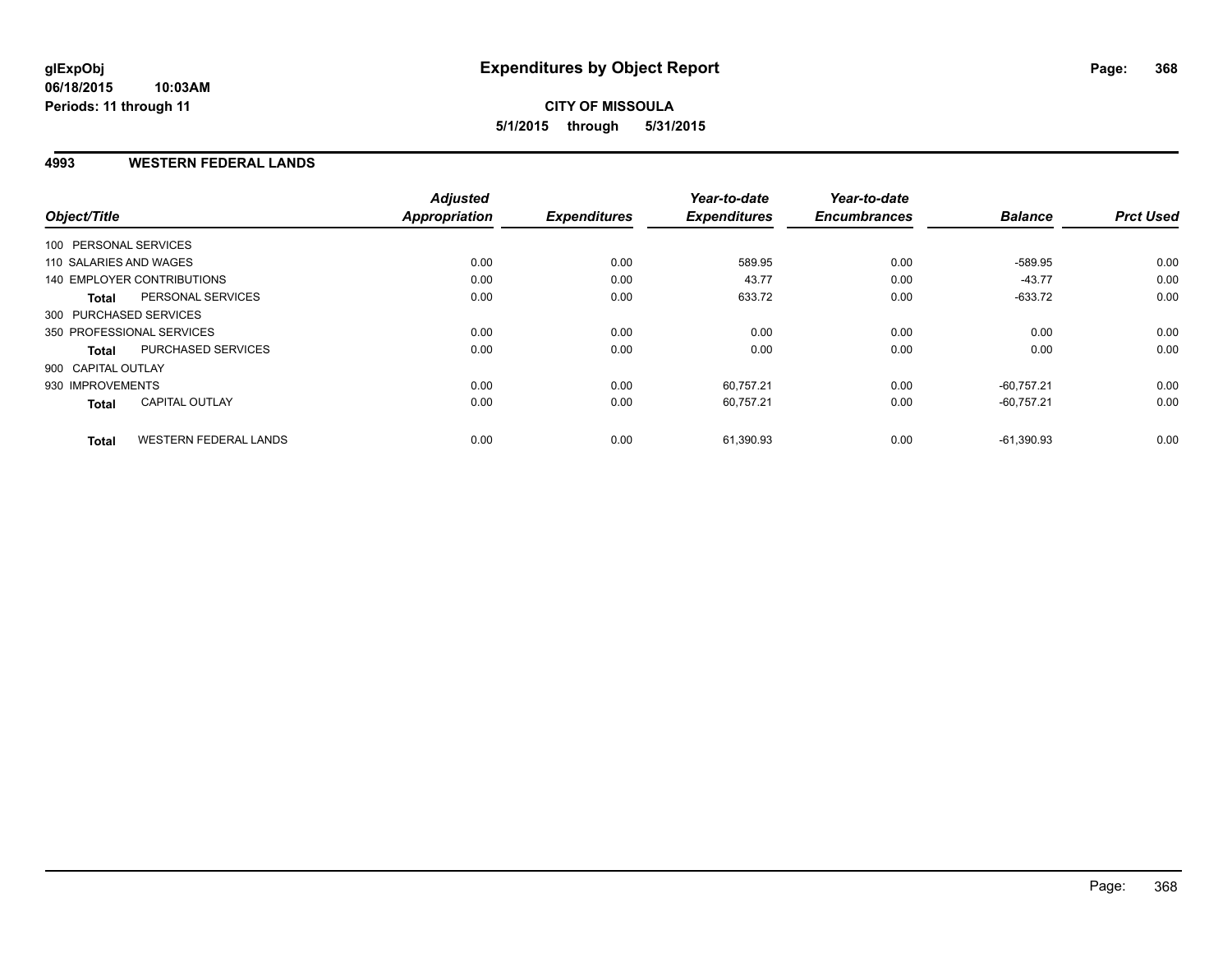#### **4993 WESTERN FEDERAL LANDS**

| Object/Title              |                              | <b>Adjusted</b><br><b>Appropriation</b> | <b>Expenditures</b> | Year-to-date<br><b>Expenditures</b> | Year-to-date<br><b>Encumbrances</b> | <b>Balance</b> | <b>Prct Used</b> |
|---------------------------|------------------------------|-----------------------------------------|---------------------|-------------------------------------|-------------------------------------|----------------|------------------|
| 100 PERSONAL SERVICES     |                              |                                         |                     |                                     |                                     |                |                  |
|                           |                              |                                         |                     |                                     |                                     |                |                  |
| 110 SALARIES AND WAGES    |                              | 0.00                                    | 0.00                | 589.95                              | 0.00                                | -589.95        | 0.00             |
|                           | 140 EMPLOYER CONTRIBUTIONS   | 0.00                                    | 0.00                | 43.77                               | 0.00                                | $-43.77$       | 0.00             |
| <b>Total</b>              | PERSONAL SERVICES            | 0.00                                    | 0.00                | 633.72                              | 0.00                                | $-633.72$      | 0.00             |
| 300 PURCHASED SERVICES    |                              |                                         |                     |                                     |                                     |                |                  |
| 350 PROFESSIONAL SERVICES |                              | 0.00                                    | 0.00                | 0.00                                | 0.00                                | 0.00           | 0.00             |
| <b>Total</b>              | PURCHASED SERVICES           | 0.00                                    | 0.00                | 0.00                                | 0.00                                | 0.00           | 0.00             |
| 900 CAPITAL OUTLAY        |                              |                                         |                     |                                     |                                     |                |                  |
| 930 IMPROVEMENTS          |                              | 0.00                                    | 0.00                | 60,757.21                           | 0.00                                | $-60.757.21$   | 0.00             |
| <b>Total</b>              | <b>CAPITAL OUTLAY</b>        | 0.00                                    | 0.00                | 60,757.21                           | 0.00                                | $-60,757.21$   | 0.00             |
| <b>Total</b>              | <b>WESTERN FEDERAL LANDS</b> | 0.00                                    | 0.00                | 61,390.93                           | 0.00                                | $-61,390.93$   | 0.00             |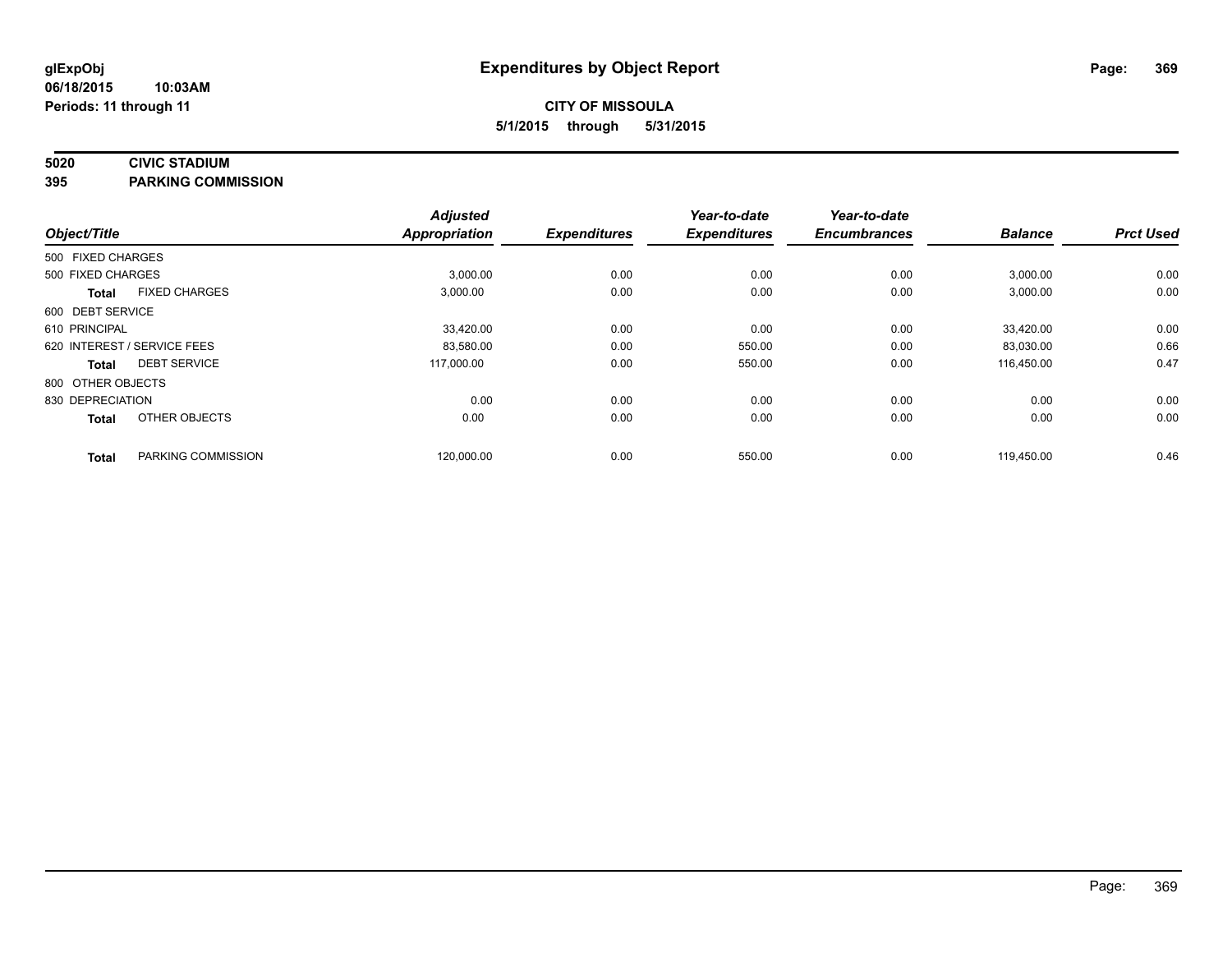### **5020 CIVIC STADIUM**

**395 PARKING COMMISSION**

| Object/Title      |                             | <b>Adjusted</b><br><b>Appropriation</b> | <b>Expenditures</b> | Year-to-date<br><b>Expenditures</b> | Year-to-date<br><b>Encumbrances</b> | <b>Balance</b> | <b>Prct Used</b> |
|-------------------|-----------------------------|-----------------------------------------|---------------------|-------------------------------------|-------------------------------------|----------------|------------------|
|                   |                             |                                         |                     |                                     |                                     |                |                  |
| 500 FIXED CHARGES |                             |                                         |                     |                                     |                                     |                |                  |
| 500 FIXED CHARGES |                             | 3,000.00                                | 0.00                | 0.00                                | 0.00                                | 3,000.00       | 0.00             |
| <b>Total</b>      | <b>FIXED CHARGES</b>        | 3,000.00                                | 0.00                | 0.00                                | 0.00                                | 3,000.00       | 0.00             |
| 600 DEBT SERVICE  |                             |                                         |                     |                                     |                                     |                |                  |
| 610 PRINCIPAL     |                             | 33,420.00                               | 0.00                | 0.00                                | 0.00                                | 33,420.00      | 0.00             |
|                   | 620 INTEREST / SERVICE FEES | 83,580.00                               | 0.00                | 550.00                              | 0.00                                | 83,030.00      | 0.66             |
| Total             | <b>DEBT SERVICE</b>         | 117.000.00                              | 0.00                | 550.00                              | 0.00                                | 116.450.00     | 0.47             |
| 800 OTHER OBJECTS |                             |                                         |                     |                                     |                                     |                |                  |
| 830 DEPRECIATION  |                             | 0.00                                    | 0.00                | 0.00                                | 0.00                                | 0.00           | 0.00             |
| <b>Total</b>      | OTHER OBJECTS               | 0.00                                    | 0.00                | 0.00                                | 0.00                                | 0.00           | 0.00             |
| <b>Total</b>      | PARKING COMMISSION          | 120,000.00                              | 0.00                | 550.00                              | 0.00                                | 119,450.00     | 0.46             |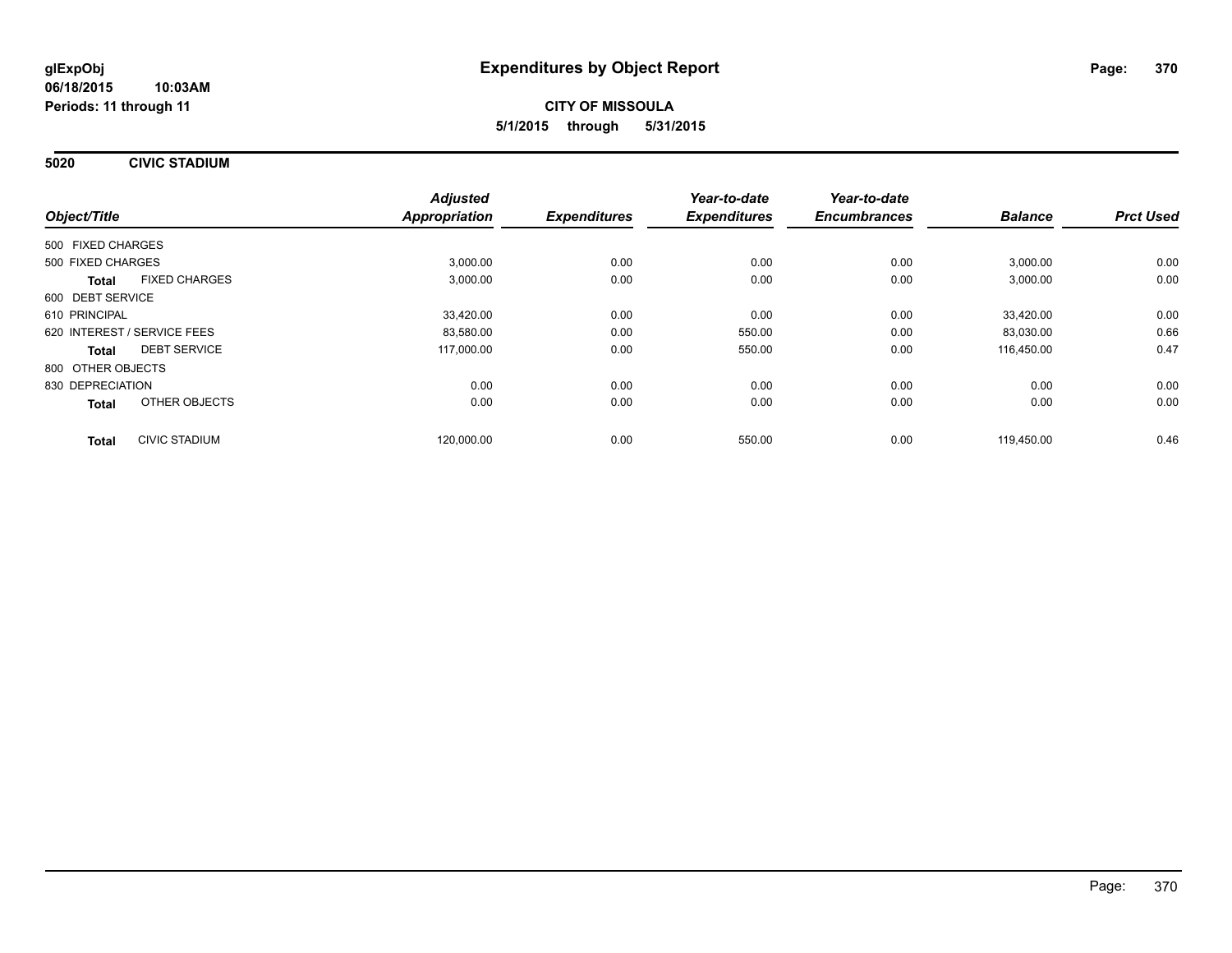**5020 CIVIC STADIUM**

|                                      | <b>Adjusted</b>      |                     | Year-to-date        | Year-to-date        |                |                  |
|--------------------------------------|----------------------|---------------------|---------------------|---------------------|----------------|------------------|
| Object/Title                         | <b>Appropriation</b> | <b>Expenditures</b> | <b>Expenditures</b> | <b>Encumbrances</b> | <b>Balance</b> | <b>Prct Used</b> |
| 500 FIXED CHARGES                    |                      |                     |                     |                     |                |                  |
| 500 FIXED CHARGES                    |                      | 3,000.00<br>0.00    | 0.00                | 0.00                | 3,000.00       | 0.00             |
| <b>FIXED CHARGES</b><br><b>Total</b> |                      | 3,000.00<br>0.00    | 0.00                | 0.00                | 3,000.00       | 0.00             |
| 600 DEBT SERVICE                     |                      |                     |                     |                     |                |                  |
| 610 PRINCIPAL                        | 33,420.00            | 0.00                | 0.00                | 0.00                | 33,420.00      | 0.00             |
| 620 INTEREST / SERVICE FEES          | 83,580.00            | 0.00                | 550.00              | 0.00                | 83,030.00      | 0.66             |
| <b>DEBT SERVICE</b><br><b>Total</b>  | 117,000.00           | 0.00                | 550.00              | 0.00                | 116,450.00     | 0.47             |
| 800 OTHER OBJECTS                    |                      |                     |                     |                     |                |                  |
| 830 DEPRECIATION                     |                      | 0.00<br>0.00        | 0.00                | 0.00                | 0.00           | 0.00             |
| OTHER OBJECTS<br>Total               |                      | 0.00<br>0.00        | 0.00                | 0.00                | 0.00           | 0.00             |
| <b>CIVIC STADIUM</b><br><b>Total</b> | 120.000.00           | 0.00                | 550.00              | 0.00                | 119.450.00     | 0.46             |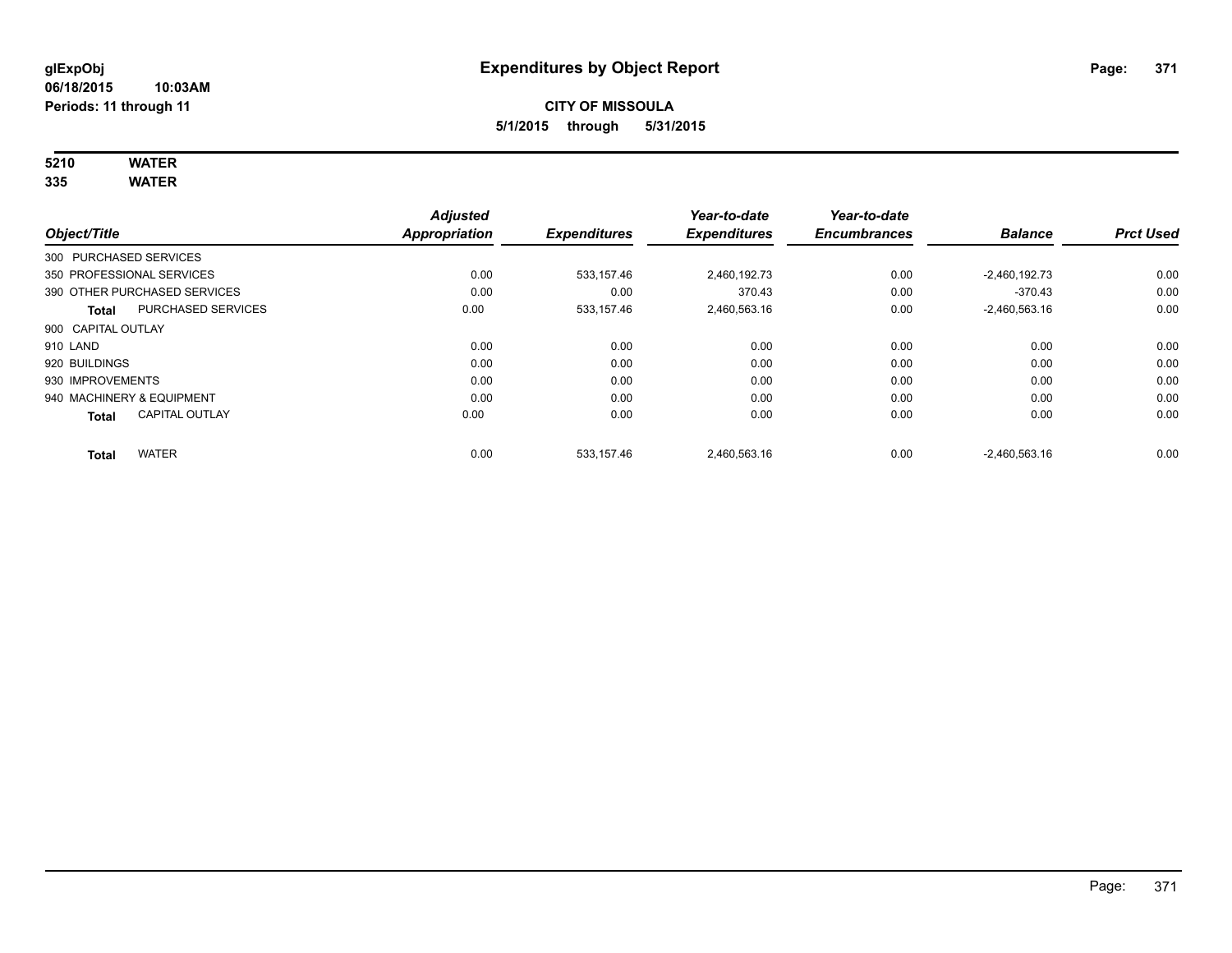# **5210 WATER**

**335 WATER**

|                        |                              | <b>Adjusted</b>      |                     | Year-to-date        | Year-to-date        |                 |                  |
|------------------------|------------------------------|----------------------|---------------------|---------------------|---------------------|-----------------|------------------|
| Object/Title           |                              | <b>Appropriation</b> | <b>Expenditures</b> | <b>Expenditures</b> | <b>Encumbrances</b> | <b>Balance</b>  | <b>Prct Used</b> |
| 300 PURCHASED SERVICES |                              |                      |                     |                     |                     |                 |                  |
|                        | 350 PROFESSIONAL SERVICES    | 0.00                 | 533,157.46          | 2,460,192.73        | 0.00                | $-2,460,192.73$ | 0.00             |
|                        | 390 OTHER PURCHASED SERVICES | 0.00                 | 0.00                | 370.43              | 0.00                | $-370.43$       | 0.00             |
| <b>Total</b>           | <b>PURCHASED SERVICES</b>    | 0.00                 | 533,157.46          | 2,460,563.16        | 0.00                | $-2,460,563.16$ | 0.00             |
| 900 CAPITAL OUTLAY     |                              |                      |                     |                     |                     |                 |                  |
| 910 LAND               |                              | 0.00                 | 0.00                | 0.00                | 0.00                | 0.00            | 0.00             |
| 920 BUILDINGS          |                              | 0.00                 | 0.00                | 0.00                | 0.00                | 0.00            | 0.00             |
| 930 IMPROVEMENTS       |                              | 0.00                 | 0.00                | 0.00                | 0.00                | 0.00            | 0.00             |
|                        | 940 MACHINERY & EQUIPMENT    | 0.00                 | 0.00                | 0.00                | 0.00                | 0.00            | 0.00             |
| <b>Total</b>           | <b>CAPITAL OUTLAY</b>        | 0.00                 | 0.00                | 0.00                | 0.00                | 0.00            | 0.00             |
| <b>Total</b>           | <b>WATER</b>                 | 0.00                 | 533.157.46          | 2,460,563.16        | 0.00                | $-2.460.563.16$ | 0.00             |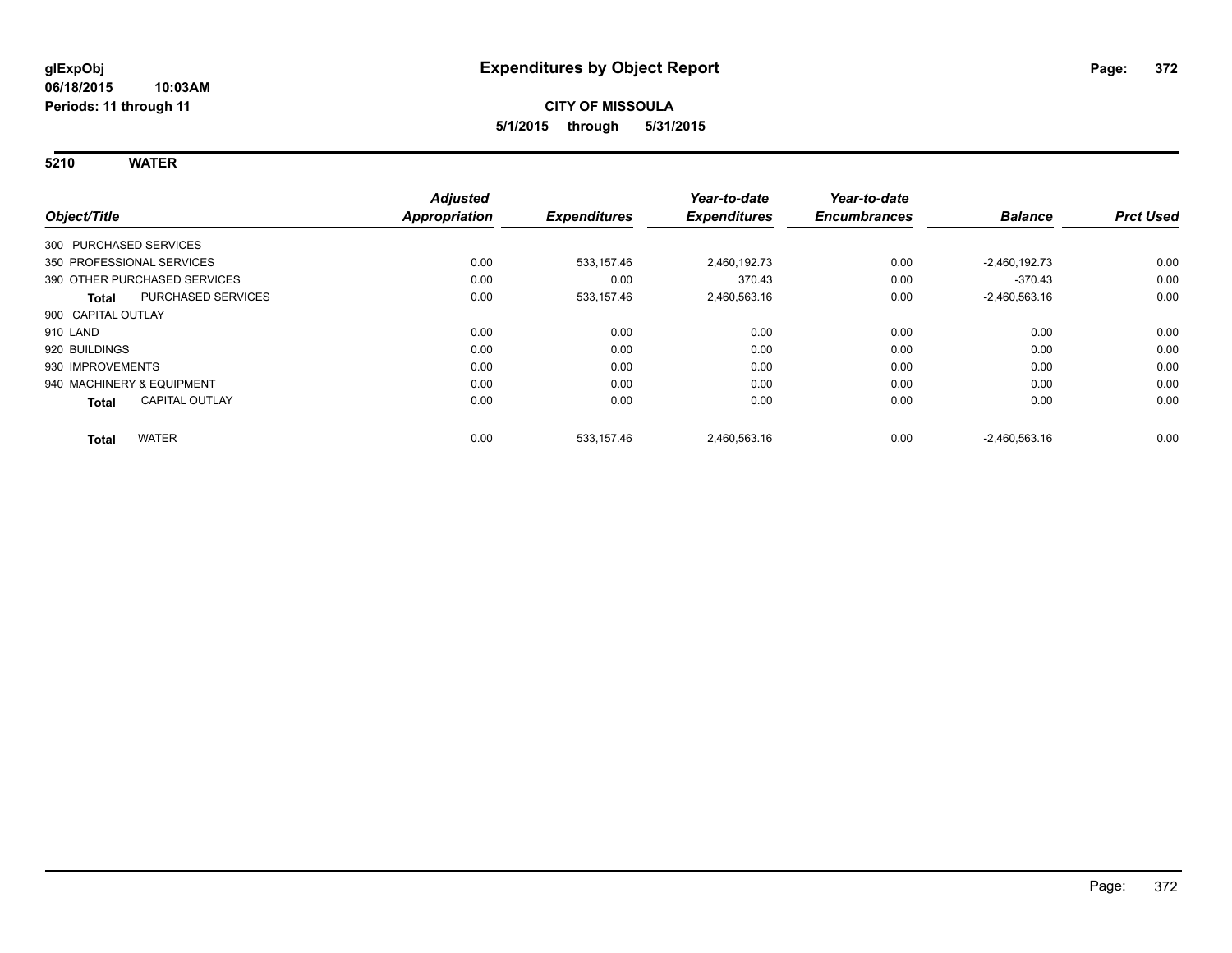**5210 WATER**

|                                       | <b>Adjusted</b>      |                     | Year-to-date        | Year-to-date        |                 |                  |
|---------------------------------------|----------------------|---------------------|---------------------|---------------------|-----------------|------------------|
| Object/Title                          | <b>Appropriation</b> | <b>Expenditures</b> | <b>Expenditures</b> | <b>Encumbrances</b> | <b>Balance</b>  | <b>Prct Used</b> |
| 300 PURCHASED SERVICES                |                      |                     |                     |                     |                 |                  |
| 350 PROFESSIONAL SERVICES             | 0.00                 | 533.157.46          | 2.460.192.73        | 0.00                | $-2,460,192.73$ | 0.00             |
| 390 OTHER PURCHASED SERVICES          | 0.00                 | 0.00                | 370.43              | 0.00                | $-370.43$       | 0.00             |
| <b>PURCHASED SERVICES</b><br>Total    | 0.00                 | 533,157.46          | 2,460,563.16        | 0.00                | $-2,460,563.16$ | 0.00             |
| 900 CAPITAL OUTLAY                    |                      |                     |                     |                     |                 |                  |
| 910 LAND                              | 0.00                 | 0.00                | 0.00                | 0.00                | 0.00            | 0.00             |
| 920 BUILDINGS                         | 0.00                 | 0.00                | 0.00                | 0.00                | 0.00            | 0.00             |
| 930 IMPROVEMENTS                      | 0.00                 | 0.00                | 0.00                | 0.00                | 0.00            | 0.00             |
| 940 MACHINERY & EQUIPMENT             | 0.00                 | 0.00                | 0.00                | 0.00                | 0.00            | 0.00             |
| <b>CAPITAL OUTLAY</b><br><b>Total</b> | 0.00                 | 0.00                | 0.00                | 0.00                | 0.00            | 0.00             |
| <b>WATER</b><br><b>Total</b>          | 0.00                 | 533,157.46          | 2,460,563.16        | 0.00                | $-2,460,563.16$ | 0.00             |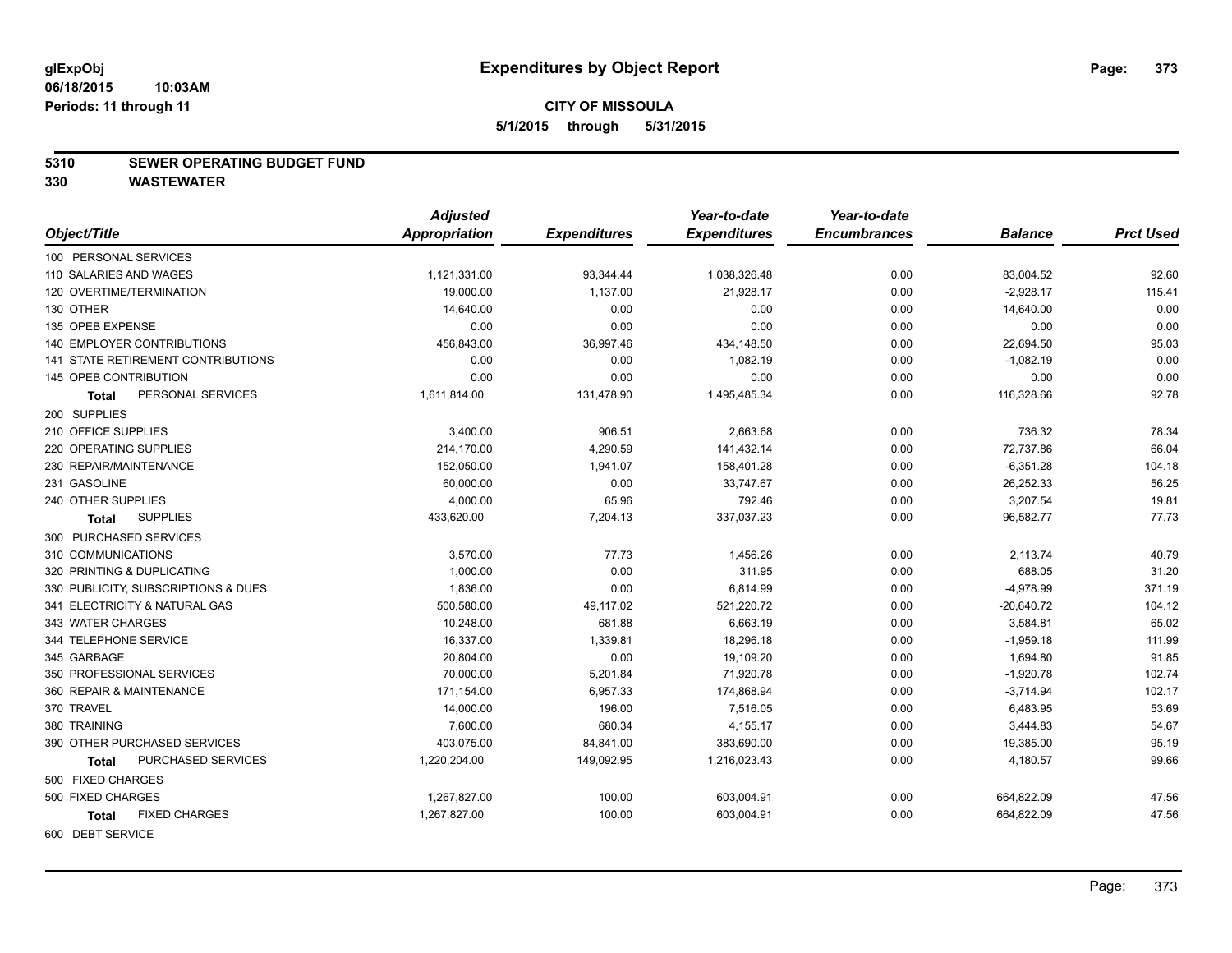#### **5310 SEWER OPERATING BUDGET FUND**

|                                      | <b>Adjusted</b>      |                     | Year-to-date        | Year-to-date        |                |                  |
|--------------------------------------|----------------------|---------------------|---------------------|---------------------|----------------|------------------|
| Object/Title                         | <b>Appropriation</b> | <b>Expenditures</b> | <b>Expenditures</b> | <b>Encumbrances</b> | <b>Balance</b> | <b>Prct Used</b> |
| 100 PERSONAL SERVICES                |                      |                     |                     |                     |                |                  |
| 110 SALARIES AND WAGES               | 1,121,331.00         | 93,344.44           | 1,038,326.48        | 0.00                | 83,004.52      | 92.60            |
| 120 OVERTIME/TERMINATION             | 19,000.00            | 1,137.00            | 21,928.17           | 0.00                | $-2,928.17$    | 115.41           |
| 130 OTHER                            | 14,640.00            | 0.00                | 0.00                | 0.00                | 14,640.00      | 0.00             |
| 135 OPEB EXPENSE                     | 0.00                 | 0.00                | 0.00                | 0.00                | 0.00           | 0.00             |
| <b>140 EMPLOYER CONTRIBUTIONS</b>    | 456,843.00           | 36,997.46           | 434,148.50          | 0.00                | 22,694.50      | 95.03            |
| 141 STATE RETIREMENT CONTRIBUTIONS   | 0.00                 | 0.00                | 1,082.19            | 0.00                | $-1,082.19$    | 0.00             |
| 145 OPEB CONTRIBUTION                | 0.00                 | 0.00                | 0.00                | 0.00                | 0.00           | 0.00             |
| PERSONAL SERVICES<br>Total           | 1,611,814.00         | 131,478.90          | 1,495,485.34        | 0.00                | 116,328.66     | 92.78            |
| 200 SUPPLIES                         |                      |                     |                     |                     |                |                  |
| 210 OFFICE SUPPLIES                  | 3,400.00             | 906.51              | 2,663.68            | 0.00                | 736.32         | 78.34            |
| 220 OPERATING SUPPLIES               | 214,170.00           | 4,290.59            | 141,432.14          | 0.00                | 72,737.86      | 66.04            |
| 230 REPAIR/MAINTENANCE               | 152,050.00           | 1,941.07            | 158,401.28          | 0.00                | $-6,351.28$    | 104.18           |
| 231 GASOLINE                         | 60,000.00            | 0.00                | 33,747.67           | 0.00                | 26,252.33      | 56.25            |
| 240 OTHER SUPPLIES                   | 4,000.00             | 65.96               | 792.46              | 0.00                | 3,207.54       | 19.81            |
| <b>SUPPLIES</b><br><b>Total</b>      | 433,620.00           | 7,204.13            | 337,037.23          | 0.00                | 96,582.77      | 77.73            |
| 300 PURCHASED SERVICES               |                      |                     |                     |                     |                |                  |
| 310 COMMUNICATIONS                   | 3,570.00             | 77.73               | 1,456.26            | 0.00                | 2,113.74       | 40.79            |
| 320 PRINTING & DUPLICATING           | 1,000.00             | 0.00                | 311.95              | 0.00                | 688.05         | 31.20            |
| 330 PUBLICITY, SUBSCRIPTIONS & DUES  | 1,836.00             | 0.00                | 6,814.99            | 0.00                | $-4,978.99$    | 371.19           |
| 341 ELECTRICITY & NATURAL GAS        | 500,580.00           | 49,117.02           | 521,220.72          | 0.00                | $-20,640.72$   | 104.12           |
| 343 WATER CHARGES                    | 10,248.00            | 681.88              | 6,663.19            | 0.00                | 3,584.81       | 65.02            |
| 344 TELEPHONE SERVICE                | 16,337.00            | 1,339.81            | 18,296.18           | 0.00                | $-1,959.18$    | 111.99           |
| 345 GARBAGE                          | 20,804.00            | 0.00                | 19,109.20           | 0.00                | 1,694.80       | 91.85            |
| 350 PROFESSIONAL SERVICES            | 70,000.00            | 5,201.84            | 71,920.78           | 0.00                | $-1,920.78$    | 102.74           |
| 360 REPAIR & MAINTENANCE             | 171,154.00           | 6,957.33            | 174,868.94          | 0.00                | $-3,714.94$    | 102.17           |
| 370 TRAVEL                           | 14,000.00            | 196.00              | 7,516.05            | 0.00                | 6,483.95       | 53.69            |
| 380 TRAINING                         | 7,600.00             | 680.34              | 4,155.17            | 0.00                | 3,444.83       | 54.67            |
| 390 OTHER PURCHASED SERVICES         | 403,075.00           | 84,841.00           | 383,690.00          | 0.00                | 19,385.00      | 95.19            |
| PURCHASED SERVICES<br><b>Total</b>   | 1,220,204.00         | 149,092.95          | 1,216,023.43        | 0.00                | 4,180.57       | 99.66            |
| 500 FIXED CHARGES                    |                      |                     |                     |                     |                |                  |
| 500 FIXED CHARGES                    | 1,267,827.00         | 100.00              | 603,004.91          | 0.00                | 664,822.09     | 47.56            |
| <b>FIXED CHARGES</b><br><b>Total</b> | 1,267,827.00         | 100.00              | 603,004.91          | 0.00                | 664,822.09     | 47.56            |
| 600 DEBT SERVICE                     |                      |                     |                     |                     |                |                  |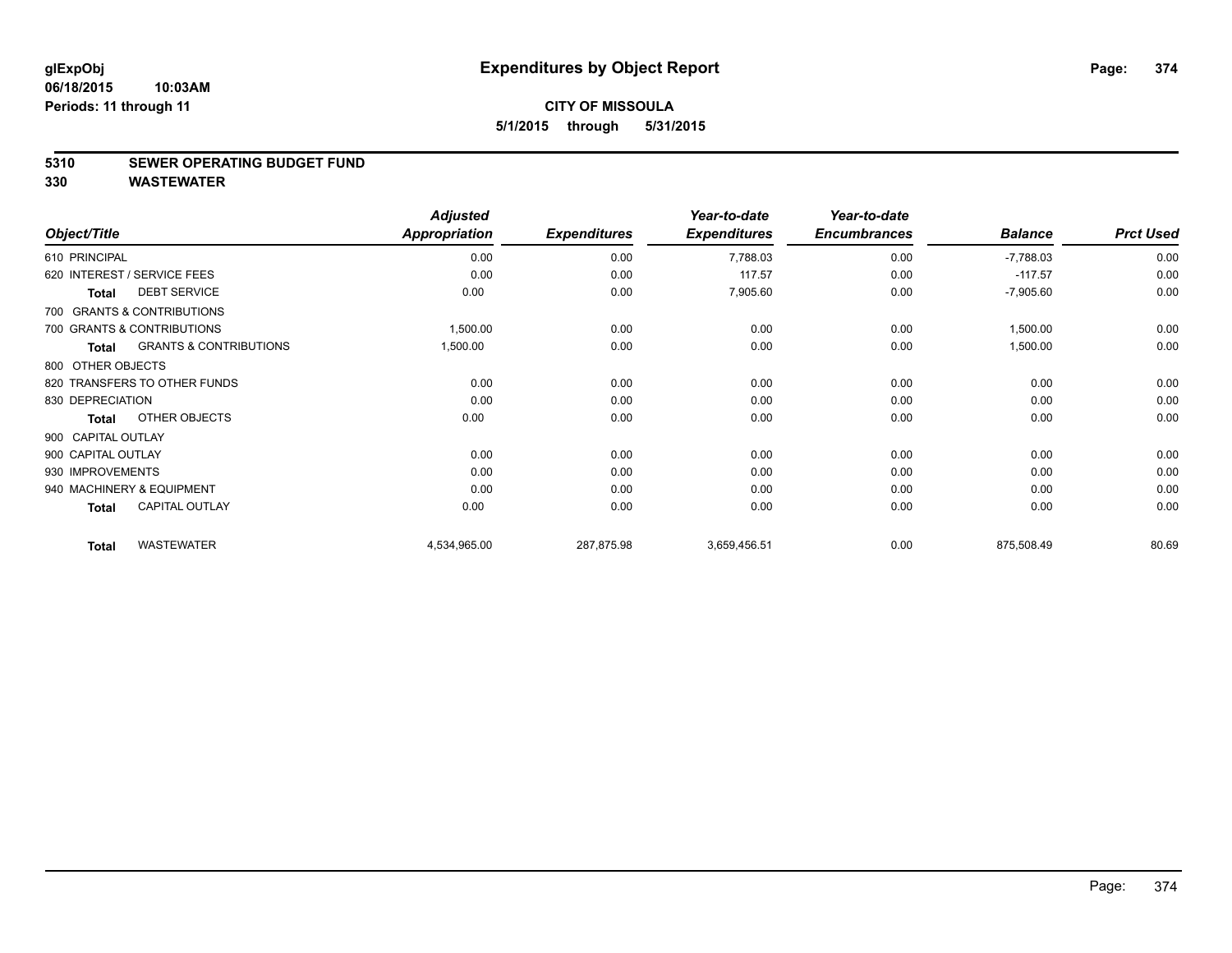#### **5310 SEWER OPERATING BUDGET FUND**

|                    |                                   | <b>Adjusted</b>      |                     | Year-to-date        | Year-to-date        |                |                  |
|--------------------|-----------------------------------|----------------------|---------------------|---------------------|---------------------|----------------|------------------|
| Object/Title       |                                   | <b>Appropriation</b> | <b>Expenditures</b> | <b>Expenditures</b> | <b>Encumbrances</b> | <b>Balance</b> | <b>Prct Used</b> |
| 610 PRINCIPAL      |                                   | 0.00                 | 0.00                | 7,788.03            | 0.00                | $-7,788.03$    | 0.00             |
|                    | 620 INTEREST / SERVICE FEES       | 0.00                 | 0.00                | 117.57              | 0.00                | $-117.57$      | 0.00             |
| <b>Total</b>       | <b>DEBT SERVICE</b>               | 0.00                 | 0.00                | 7,905.60            | 0.00                | $-7,905.60$    | 0.00             |
|                    | 700 GRANTS & CONTRIBUTIONS        |                      |                     |                     |                     |                |                  |
|                    | 700 GRANTS & CONTRIBUTIONS        | 1,500.00             | 0.00                | 0.00                | 0.00                | 1,500.00       | 0.00             |
| <b>Total</b>       | <b>GRANTS &amp; CONTRIBUTIONS</b> | 1,500.00             | 0.00                | 0.00                | 0.00                | 1,500.00       | 0.00             |
| 800 OTHER OBJECTS  |                                   |                      |                     |                     |                     |                |                  |
|                    | 820 TRANSFERS TO OTHER FUNDS      | 0.00                 | 0.00                | 0.00                | 0.00                | 0.00           | 0.00             |
| 830 DEPRECIATION   |                                   | 0.00                 | 0.00                | 0.00                | 0.00                | 0.00           | 0.00             |
| Total              | OTHER OBJECTS                     | 0.00                 | 0.00                | 0.00                | 0.00                | 0.00           | 0.00             |
| 900 CAPITAL OUTLAY |                                   |                      |                     |                     |                     |                |                  |
| 900 CAPITAL OUTLAY |                                   | 0.00                 | 0.00                | 0.00                | 0.00                | 0.00           | 0.00             |
| 930 IMPROVEMENTS   |                                   | 0.00                 | 0.00                | 0.00                | 0.00                | 0.00           | 0.00             |
|                    | 940 MACHINERY & EQUIPMENT         | 0.00                 | 0.00                | 0.00                | 0.00                | 0.00           | 0.00             |
| <b>Total</b>       | <b>CAPITAL OUTLAY</b>             | 0.00                 | 0.00                | 0.00                | 0.00                | 0.00           | 0.00             |
| <b>Total</b>       | <b>WASTEWATER</b>                 | 4,534,965.00         | 287,875.98          | 3,659,456.51        | 0.00                | 875,508.49     | 80.69            |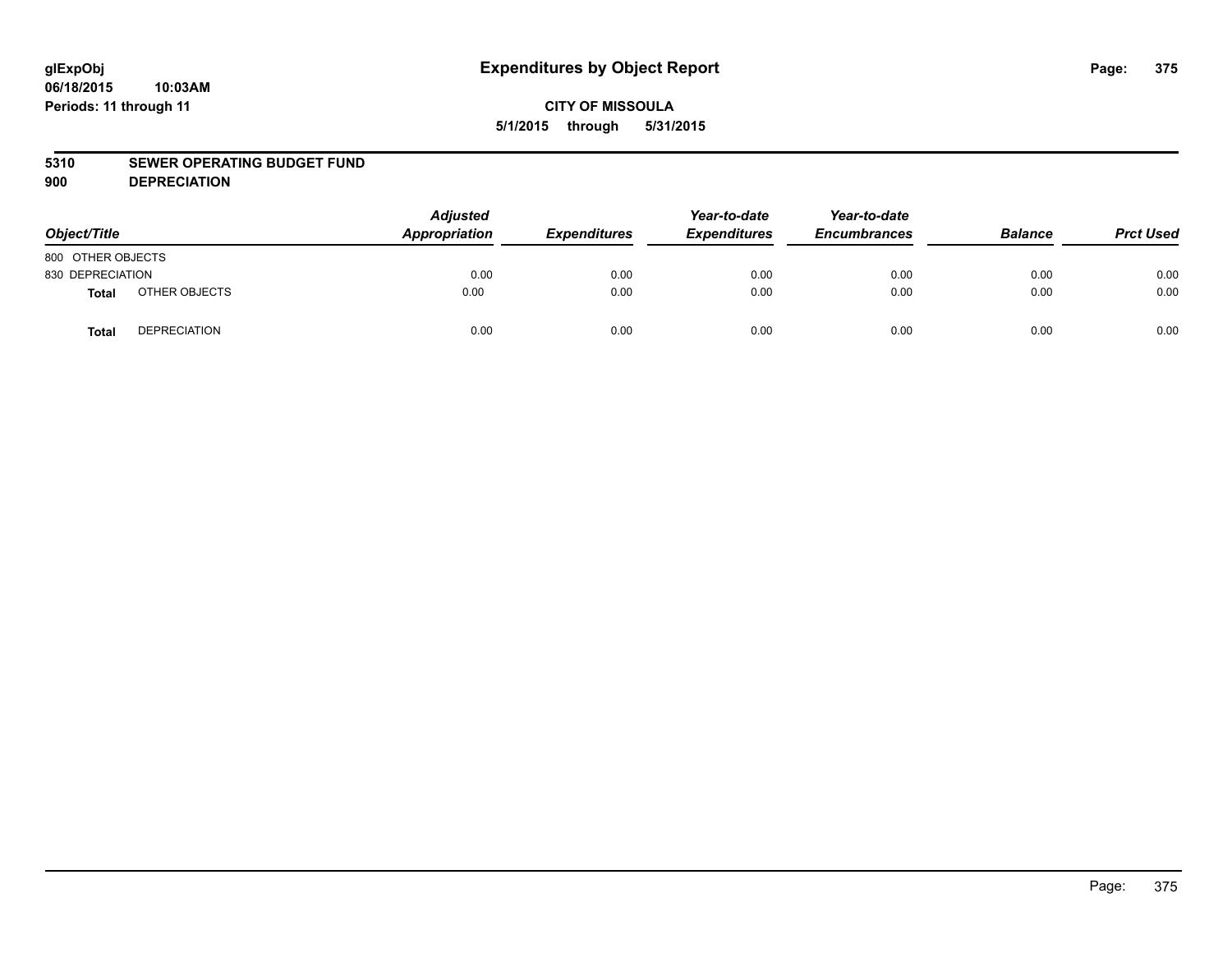## **CITY OF MISSOULA 5/1/2015 through 5/31/2015**

#### **5310 SEWER OPERATING BUDGET FUND**

**900 DEPRECIATION**

| Object/Title      |                     | <b>Adjusted</b><br>Appropriation | <b>Expenditures</b> | Year-to-date<br><b>Expenditures</b> | Year-to-date<br><b>Encumbrances</b> | <b>Balance</b> | <b>Prct Used</b> |
|-------------------|---------------------|----------------------------------|---------------------|-------------------------------------|-------------------------------------|----------------|------------------|
| 800 OTHER OBJECTS |                     |                                  |                     |                                     |                                     |                |                  |
| 830 DEPRECIATION  |                     | 0.00                             | 0.00                | 0.00                                | 0.00                                | 0.00           | 0.00             |
| Total             | OTHER OBJECTS       | 0.00                             | 0.00                | 0.00                                | 0.00                                | 0.00           | 0.00             |
| <b>Total</b>      | <b>DEPRECIATION</b> | 0.00                             | 0.00                | 0.00                                | 0.00                                | 0.00           | 0.00             |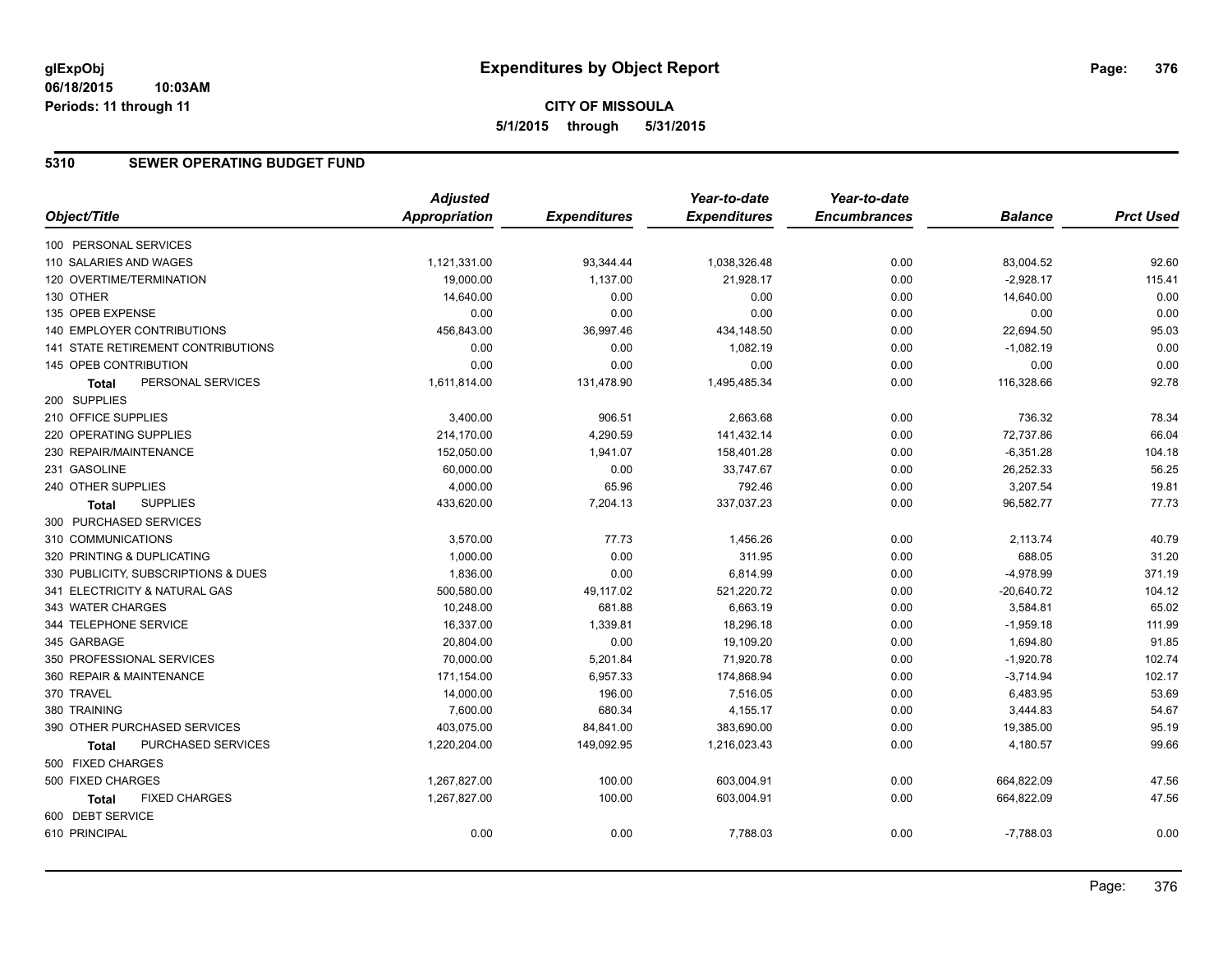## **5310 SEWER OPERATING BUDGET FUND**

|                                      | <b>Adjusted</b>      |                     | Year-to-date        | Year-to-date        |                |                  |
|--------------------------------------|----------------------|---------------------|---------------------|---------------------|----------------|------------------|
| Object/Title                         | <b>Appropriation</b> | <b>Expenditures</b> | <b>Expenditures</b> | <b>Encumbrances</b> | <b>Balance</b> | <b>Prct Used</b> |
| 100 PERSONAL SERVICES                |                      |                     |                     |                     |                |                  |
| 110 SALARIES AND WAGES               | 1,121,331.00         | 93,344.44           | 1,038,326.48        | 0.00                | 83,004.52      | 92.60            |
| 120 OVERTIME/TERMINATION             | 19,000.00            | 1,137.00            | 21,928.17           | 0.00                | $-2,928.17$    | 115.41           |
| 130 OTHER                            | 14,640.00            | 0.00                | 0.00                | 0.00                | 14,640.00      | 0.00             |
| 135 OPEB EXPENSE                     | 0.00                 | 0.00                | 0.00                | 0.00                | 0.00           | 0.00             |
| 140 EMPLOYER CONTRIBUTIONS           | 456,843.00           | 36,997.46           | 434,148.50          | 0.00                | 22,694.50      | 95.03            |
| 141 STATE RETIREMENT CONTRIBUTIONS   | 0.00                 | 0.00                | 1,082.19            | 0.00                | $-1,082.19$    | 0.00             |
| <b>145 OPEB CONTRIBUTION</b>         | 0.00                 | 0.00                | 0.00                | 0.00                | 0.00           | 0.00             |
| PERSONAL SERVICES<br><b>Total</b>    | 1,611,814.00         | 131,478.90          | 1,495,485.34        | 0.00                | 116,328.66     | 92.78            |
| 200 SUPPLIES                         |                      |                     |                     |                     |                |                  |
| 210 OFFICE SUPPLIES                  | 3,400.00             | 906.51              | 2,663.68            | 0.00                | 736.32         | 78.34            |
| 220 OPERATING SUPPLIES               | 214,170.00           | 4,290.59            | 141,432.14          | 0.00                | 72,737.86      | 66.04            |
| 230 REPAIR/MAINTENANCE               | 152,050.00           | 1,941.07            | 158,401.28          | 0.00                | $-6,351.28$    | 104.18           |
| 231 GASOLINE                         | 60,000.00            | 0.00                | 33,747.67           | 0.00                | 26,252.33      | 56.25            |
| 240 OTHER SUPPLIES                   | 4,000.00             | 65.96               | 792.46              | 0.00                | 3,207.54       | 19.81            |
| <b>SUPPLIES</b><br>Total             | 433,620.00           | 7,204.13            | 337,037.23          | 0.00                | 96,582.77      | 77.73            |
| 300 PURCHASED SERVICES               |                      |                     |                     |                     |                |                  |
| 310 COMMUNICATIONS                   | 3,570.00             | 77.73               | 1,456.26            | 0.00                | 2,113.74       | 40.79            |
| 320 PRINTING & DUPLICATING           | 1,000.00             | 0.00                | 311.95              | 0.00                | 688.05         | 31.20            |
| 330 PUBLICITY, SUBSCRIPTIONS & DUES  | 1,836.00             | 0.00                | 6,814.99            | 0.00                | $-4,978.99$    | 371.19           |
| 341 ELECTRICITY & NATURAL GAS        | 500,580.00           | 49,117.02           | 521,220.72          | 0.00                | $-20,640.72$   | 104.12           |
| 343 WATER CHARGES                    | 10,248.00            | 681.88              | 6,663.19            | 0.00                | 3,584.81       | 65.02            |
| 344 TELEPHONE SERVICE                | 16,337.00            | 1,339.81            | 18,296.18           | 0.00                | $-1,959.18$    | 111.99           |
| 345 GARBAGE                          | 20,804.00            | 0.00                | 19,109.20           | 0.00                | 1,694.80       | 91.85            |
| 350 PROFESSIONAL SERVICES            | 70,000.00            | 5,201.84            | 71,920.78           | 0.00                | $-1,920.78$    | 102.74           |
| 360 REPAIR & MAINTENANCE             | 171,154.00           | 6,957.33            | 174,868.94          | 0.00                | $-3,714.94$    | 102.17           |
| 370 TRAVEL                           | 14,000.00            | 196.00              | 7,516.05            | 0.00                | 6,483.95       | 53.69            |
| 380 TRAINING                         | 7,600.00             | 680.34              | 4,155.17            | 0.00                | 3,444.83       | 54.67            |
| 390 OTHER PURCHASED SERVICES         | 403,075.00           | 84,841.00           | 383,690.00          | 0.00                | 19,385.00      | 95.19            |
| PURCHASED SERVICES<br><b>Total</b>   | 1,220,204.00         | 149,092.95          | 1,216,023.43        | 0.00                | 4,180.57       | 99.66            |
| 500 FIXED CHARGES                    |                      |                     |                     |                     |                |                  |
| 500 FIXED CHARGES                    | 1,267,827.00         | 100.00              | 603,004.91          | 0.00                | 664,822.09     | 47.56            |
| <b>FIXED CHARGES</b><br><b>Total</b> | 1,267,827.00         | 100.00              | 603,004.91          | 0.00                | 664,822.09     | 47.56            |
| 600 DEBT SERVICE                     |                      |                     |                     |                     |                |                  |
| 610 PRINCIPAL                        | 0.00                 | 0.00                | 7,788.03            | 0.00                | $-7,788.03$    | 0.00             |
|                                      |                      |                     |                     |                     |                |                  |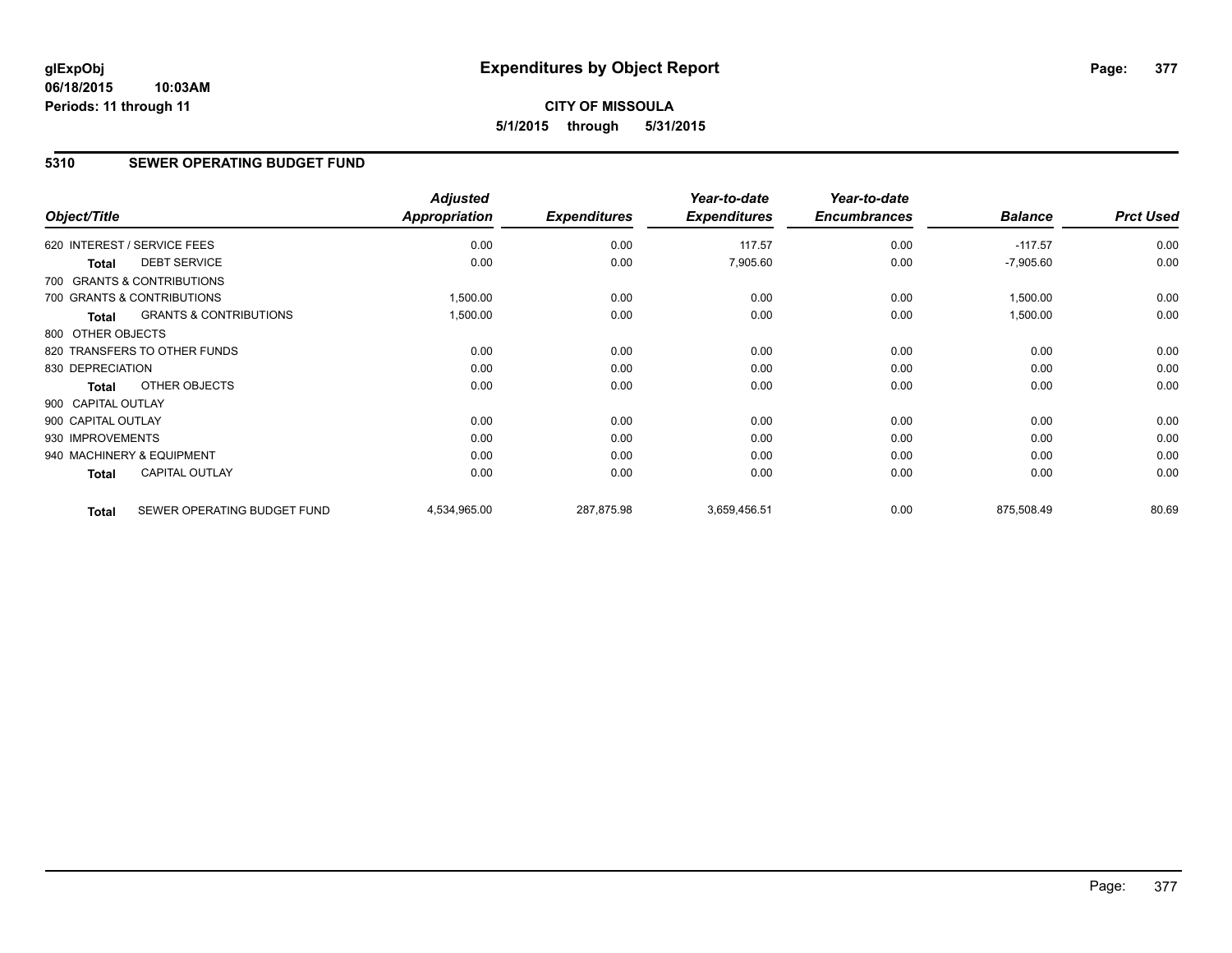# **CITY OF MISSOULA 5/1/2015 through 5/31/2015**

## **5310 SEWER OPERATING BUDGET FUND**

| Object/Title       |                                   | <b>Adjusted</b><br>Appropriation | <b>Expenditures</b> | Year-to-date<br><b>Expenditures</b> | Year-to-date<br><b>Encumbrances</b> | <b>Balance</b> | <b>Prct Used</b> |
|--------------------|-----------------------------------|----------------------------------|---------------------|-------------------------------------|-------------------------------------|----------------|------------------|
|                    | 620 INTEREST / SERVICE FEES       | 0.00                             | 0.00                | 117.57                              | 0.00                                | $-117.57$      | 0.00             |
| <b>Total</b>       | <b>DEBT SERVICE</b>               | 0.00                             | 0.00                | 7,905.60                            | 0.00                                | $-7,905.60$    | 0.00             |
|                    | 700 GRANTS & CONTRIBUTIONS        |                                  |                     |                                     |                                     |                |                  |
|                    | 700 GRANTS & CONTRIBUTIONS        | 1,500.00                         | 0.00                | 0.00                                | 0.00                                | 1,500.00       | 0.00             |
| <b>Total</b>       | <b>GRANTS &amp; CONTRIBUTIONS</b> | 1,500.00                         | 0.00                | 0.00                                | 0.00                                | 1,500.00       | 0.00             |
| 800 OTHER OBJECTS  |                                   |                                  |                     |                                     |                                     |                |                  |
|                    | 820 TRANSFERS TO OTHER FUNDS      | 0.00                             | 0.00                | 0.00                                | 0.00                                | 0.00           | 0.00             |
| 830 DEPRECIATION   |                                   | 0.00                             | 0.00                | 0.00                                | 0.00                                | 0.00           | 0.00             |
| Total              | OTHER OBJECTS                     | 0.00                             | 0.00                | 0.00                                | 0.00                                | 0.00           | 0.00             |
| 900 CAPITAL OUTLAY |                                   |                                  |                     |                                     |                                     |                |                  |
| 900 CAPITAL OUTLAY |                                   | 0.00                             | 0.00                | 0.00                                | 0.00                                | 0.00           | 0.00             |
| 930 IMPROVEMENTS   |                                   | 0.00                             | 0.00                | 0.00                                | 0.00                                | 0.00           | 0.00             |
|                    | 940 MACHINERY & EQUIPMENT         | 0.00                             | 0.00                | 0.00                                | 0.00                                | 0.00           | 0.00             |
| <b>Total</b>       | <b>CAPITAL OUTLAY</b>             | 0.00                             | 0.00                | 0.00                                | 0.00                                | 0.00           | 0.00             |
| <b>Total</b>       | SEWER OPERATING BUDGET FUND       | 4,534,965.00                     | 287,875.98          | 3,659,456.51                        | 0.00                                | 875,508.49     | 80.69            |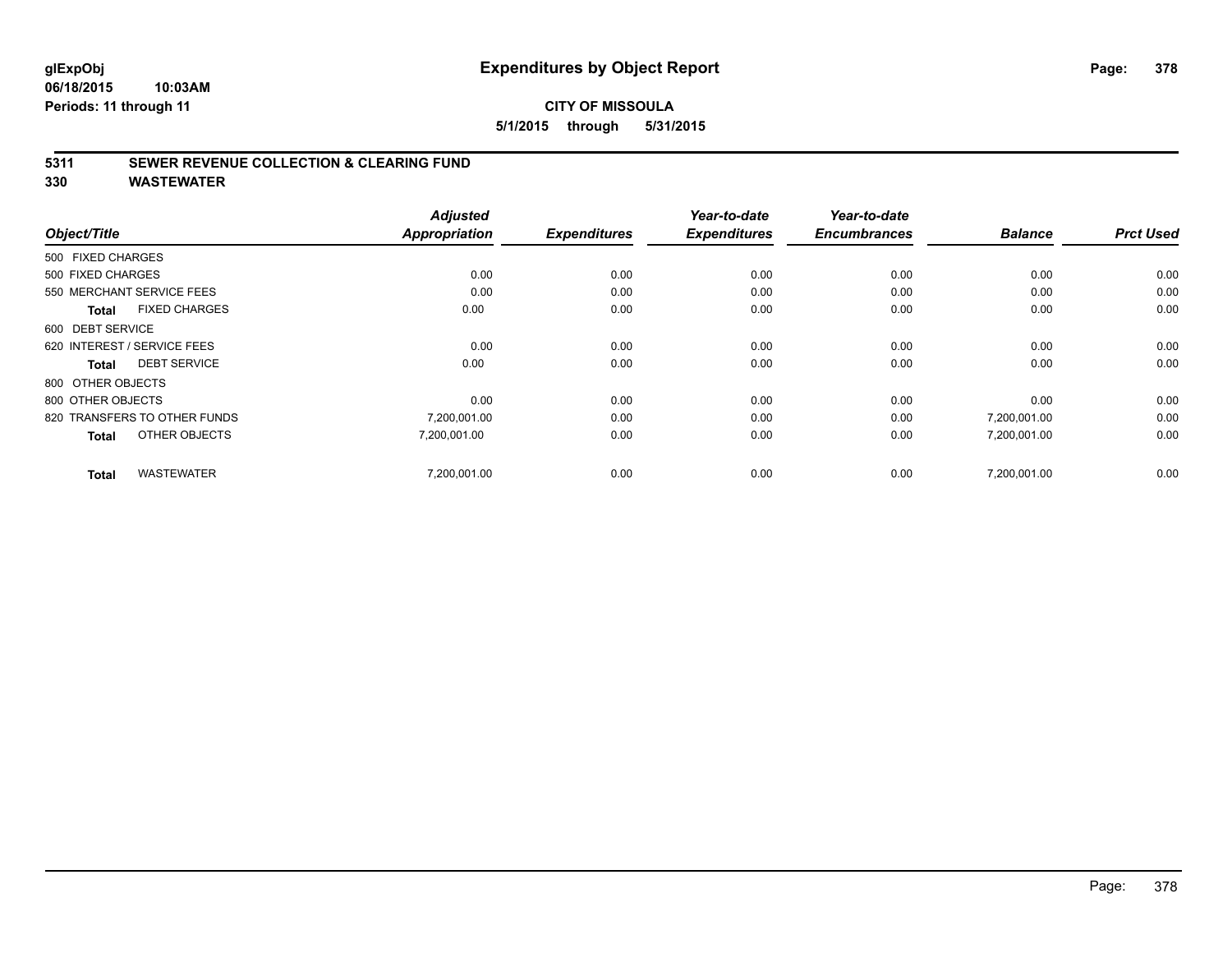### **CITY OF MISSOULA 5/1/2015 through 5/31/2015**

#### **5311 SEWER REVENUE COLLECTION & CLEARING FUND**

|                                      | <b>Adjusted</b>      |                     | Year-to-date        | Year-to-date<br><b>Encumbrances</b> | <b>Balance</b> | <b>Prct Used</b> |
|--------------------------------------|----------------------|---------------------|---------------------|-------------------------------------|----------------|------------------|
| Object/Title                         | <b>Appropriation</b> | <b>Expenditures</b> | <b>Expenditures</b> |                                     |                |                  |
| 500 FIXED CHARGES                    |                      |                     |                     |                                     |                |                  |
| 500 FIXED CHARGES                    | 0.00                 | 0.00                | 0.00                | 0.00                                | 0.00           | 0.00             |
| 550 MERCHANT SERVICE FEES            | 0.00                 | 0.00                | 0.00                | 0.00                                | 0.00           | 0.00             |
| <b>FIXED CHARGES</b><br><b>Total</b> | 0.00                 | 0.00                | 0.00                | 0.00                                | 0.00           | 0.00             |
| 600 DEBT SERVICE                     |                      |                     |                     |                                     |                |                  |
| 620 INTEREST / SERVICE FEES          | 0.00                 | 0.00                | 0.00                | 0.00                                | 0.00           | 0.00             |
| <b>DEBT SERVICE</b><br><b>Total</b>  | 0.00                 | 0.00                | 0.00                | 0.00                                | 0.00           | 0.00             |
| 800 OTHER OBJECTS                    |                      |                     |                     |                                     |                |                  |
| 800 OTHER OBJECTS                    | 0.00                 | 0.00                | 0.00                | 0.00                                | 0.00           | 0.00             |
| 820 TRANSFERS TO OTHER FUNDS         | 7,200,001.00         | 0.00                | 0.00                | 0.00                                | 7,200,001.00   | 0.00             |
| OTHER OBJECTS<br><b>Total</b>        | 7,200,001.00         | 0.00                | 0.00                | 0.00                                | 7,200,001.00   | 0.00             |
| <b>WASTEWATER</b><br><b>Total</b>    | 7,200,001.00         | 0.00                | 0.00                | 0.00                                | 7,200,001.00   | 0.00             |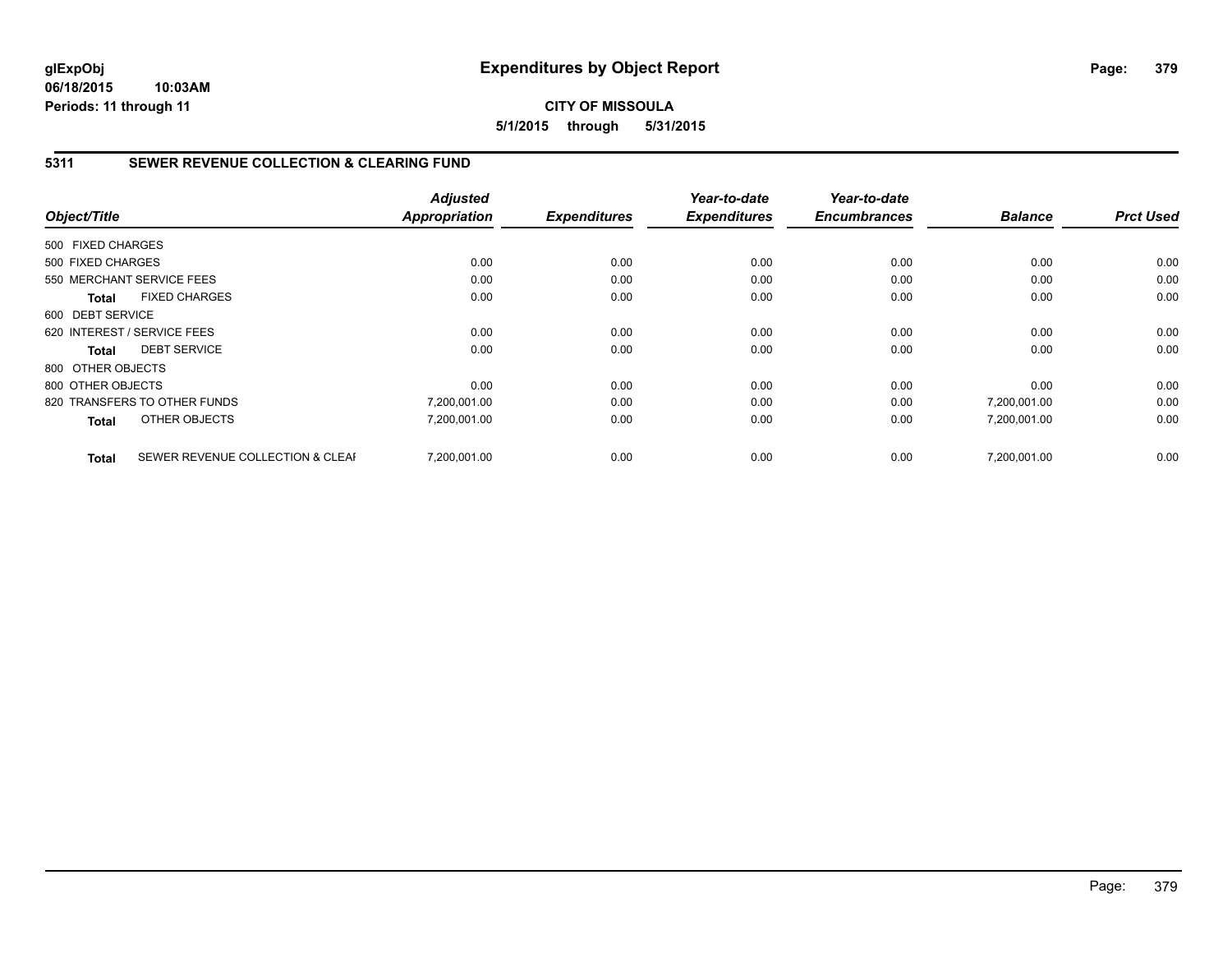## **CITY OF MISSOULA 5/1/2015 through 5/31/2015**

## **5311 SEWER REVENUE COLLECTION & CLEARING FUND**

|                   |                                  | <b>Adjusted</b> |                     | Year-to-date        | Year-to-date        |                | <b>Prct Used</b> |
|-------------------|----------------------------------|-----------------|---------------------|---------------------|---------------------|----------------|------------------|
| Object/Title      |                                  | Appropriation   | <b>Expenditures</b> | <b>Expenditures</b> | <b>Encumbrances</b> | <b>Balance</b> |                  |
| 500 FIXED CHARGES |                                  |                 |                     |                     |                     |                |                  |
| 500 FIXED CHARGES |                                  | 0.00            | 0.00                | 0.00                | 0.00                | 0.00           | 0.00             |
|                   | 550 MERCHANT SERVICE FEES        | 0.00            | 0.00                | 0.00                | 0.00                | 0.00           | 0.00             |
| Total             | <b>FIXED CHARGES</b>             | 0.00            | 0.00                | 0.00                | 0.00                | 0.00           | 0.00             |
| 600 DEBT SERVICE  |                                  |                 |                     |                     |                     |                |                  |
|                   | 620 INTEREST / SERVICE FEES      | 0.00            | 0.00                | 0.00                | 0.00                | 0.00           | 0.00             |
| Total             | <b>DEBT SERVICE</b>              | 0.00            | 0.00                | 0.00                | 0.00                | 0.00           | 0.00             |
| 800 OTHER OBJECTS |                                  |                 |                     |                     |                     |                |                  |
| 800 OTHER OBJECTS |                                  | 0.00            | 0.00                | 0.00                | 0.00                | 0.00           | 0.00             |
|                   | 820 TRANSFERS TO OTHER FUNDS     | 7,200,001.00    | 0.00                | 0.00                | 0.00                | 7,200,001.00   | 0.00             |
| <b>Total</b>      | OTHER OBJECTS                    | 7,200,001.00    | 0.00                | 0.00                | 0.00                | 7,200,001.00   | 0.00             |
| <b>Total</b>      | SEWER REVENUE COLLECTION & CLEAF | 7.200.001.00    | 0.00                | 0.00                | 0.00                | 7.200.001.00   | 0.00             |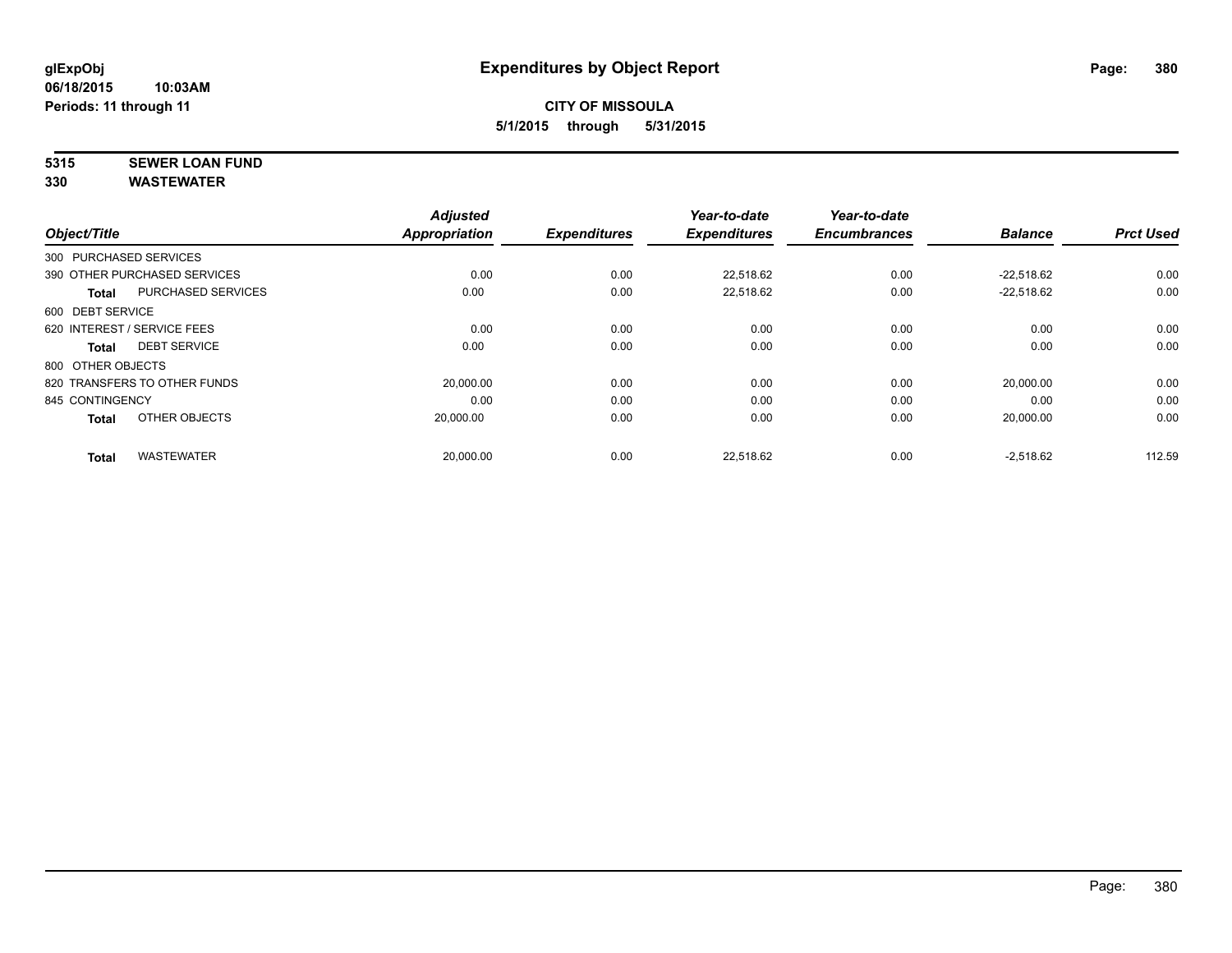# **5315 SEWER LOAN FUND**

| Object/Title           |                              | <b>Adjusted</b><br><b>Appropriation</b> | <b>Expenditures</b> | Year-to-date<br><b>Expenditures</b> | Year-to-date<br><b>Encumbrances</b> | <b>Balance</b> | <b>Prct Used</b> |
|------------------------|------------------------------|-----------------------------------------|---------------------|-------------------------------------|-------------------------------------|----------------|------------------|
|                        |                              |                                         |                     |                                     |                                     |                |                  |
| 300 PURCHASED SERVICES |                              |                                         |                     |                                     |                                     |                |                  |
|                        | 390 OTHER PURCHASED SERVICES | 0.00                                    | 0.00                | 22.518.62                           | 0.00                                | $-22.518.62$   | 0.00             |
| <b>Total</b>           | <b>PURCHASED SERVICES</b>    | 0.00                                    | 0.00                | 22.518.62                           | 0.00                                | $-22.518.62$   | 0.00             |
| 600 DEBT SERVICE       |                              |                                         |                     |                                     |                                     |                |                  |
|                        | 620 INTEREST / SERVICE FEES  | 0.00                                    | 0.00                | 0.00                                | 0.00                                | 0.00           | 0.00             |
| <b>Total</b>           | <b>DEBT SERVICE</b>          | 0.00                                    | 0.00                | 0.00                                | 0.00                                | 0.00           | 0.00             |
| 800 OTHER OBJECTS      |                              |                                         |                     |                                     |                                     |                |                  |
|                        | 820 TRANSFERS TO OTHER FUNDS | 20,000.00                               | 0.00                | 0.00                                | 0.00                                | 20,000.00      | 0.00             |
| 845 CONTINGENCY        |                              | 0.00                                    | 0.00                | 0.00                                | 0.00                                | 0.00           | 0.00             |
| <b>Total</b>           | OTHER OBJECTS                | 20.000.00                               | 0.00                | 0.00                                | 0.00                                | 20,000.00      | 0.00             |
| <b>Total</b>           | <b>WASTEWATER</b>            | 20,000.00                               | 0.00                | 22,518.62                           | 0.00                                | $-2,518.62$    | 112.59           |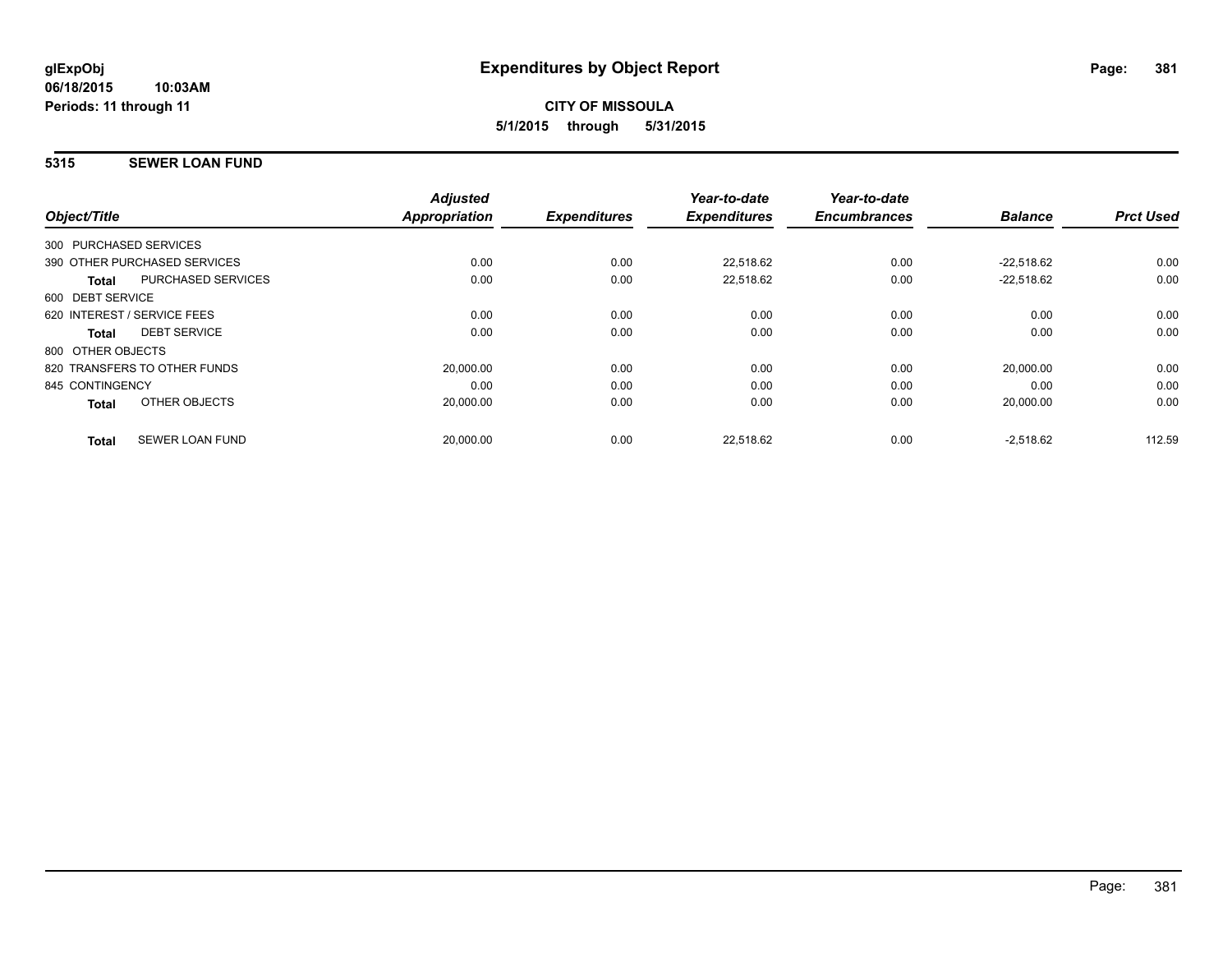## **5315 SEWER LOAN FUND**

|                                           | <b>Adjusted</b>      |                     | Year-to-date        | Year-to-date        |                |                  |
|-------------------------------------------|----------------------|---------------------|---------------------|---------------------|----------------|------------------|
| Object/Title                              | <b>Appropriation</b> | <b>Expenditures</b> | <b>Expenditures</b> | <b>Encumbrances</b> | <b>Balance</b> | <b>Prct Used</b> |
| 300 PURCHASED SERVICES                    |                      |                     |                     |                     |                |                  |
| 390 OTHER PURCHASED SERVICES              | 0.00                 | 0.00                | 22,518.62           | 0.00                | $-22,518.62$   | 0.00             |
| <b>PURCHASED SERVICES</b><br><b>Total</b> | 0.00                 | 0.00                | 22.518.62           | 0.00                | $-22.518.62$   | 0.00             |
| 600 DEBT SERVICE                          |                      |                     |                     |                     |                |                  |
| 620 INTEREST / SERVICE FEES               | 0.00                 | 0.00                | 0.00                | 0.00                | 0.00           | 0.00             |
| <b>DEBT SERVICE</b><br><b>Total</b>       | 0.00                 | 0.00                | 0.00                | 0.00                | 0.00           | 0.00             |
| 800 OTHER OBJECTS                         |                      |                     |                     |                     |                |                  |
| 820 TRANSFERS TO OTHER FUNDS              | 20,000.00            | 0.00                | 0.00                | 0.00                | 20,000.00      | 0.00             |
| 845 CONTINGENCY                           | 0.00                 | 0.00                | 0.00                | 0.00                | 0.00           | 0.00             |
| OTHER OBJECTS<br><b>Total</b>             | 20,000.00            | 0.00                | 0.00                | 0.00                | 20,000.00      | 0.00             |
| <b>SEWER LOAN FUND</b><br><b>Total</b>    | 20,000.00            | 0.00                | 22,518.62           | 0.00                | $-2,518.62$    | 112.59           |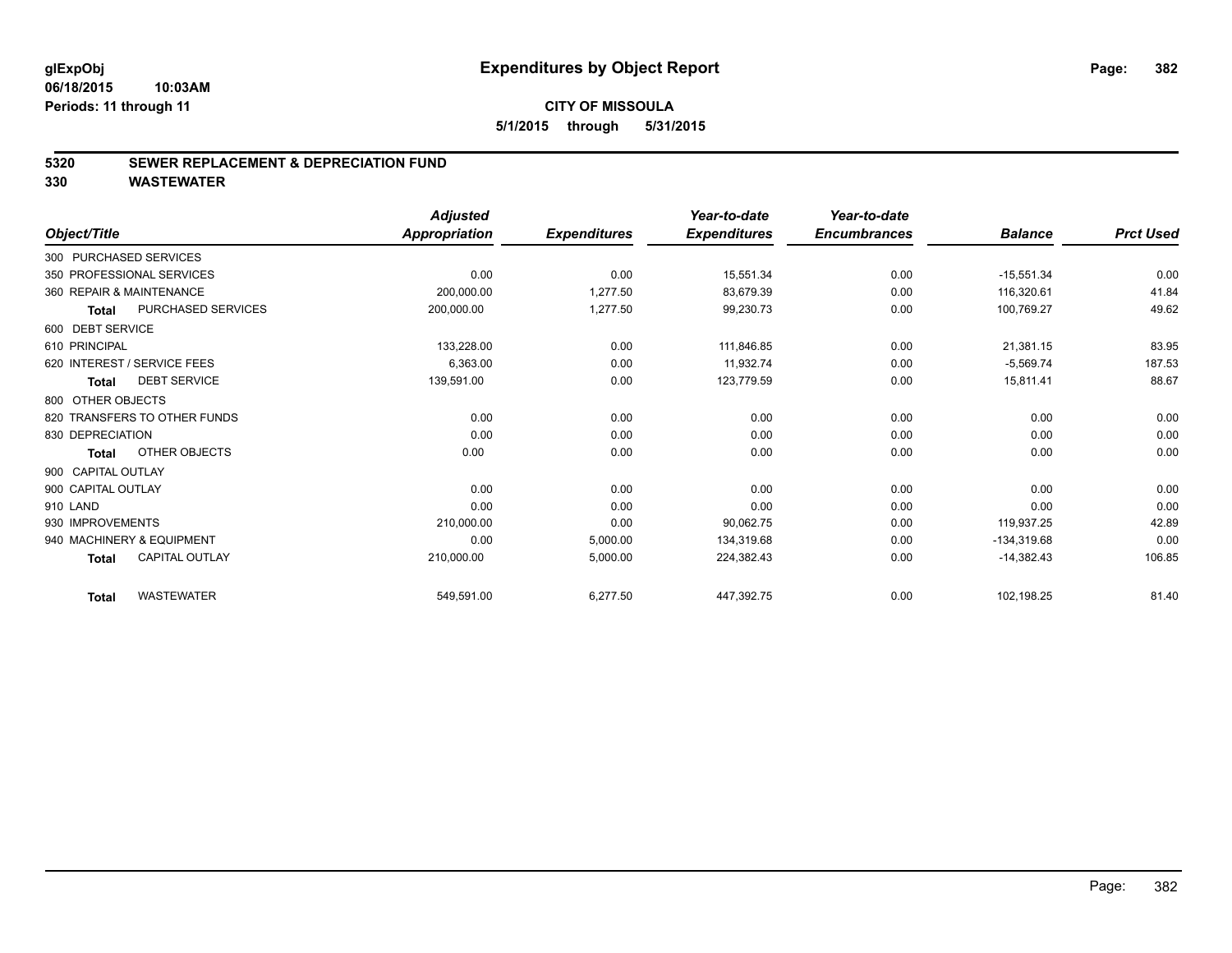#### **5320 SEWER REPLACEMENT & DEPRECIATION FUND**

|                                       | <b>Adjusted</b>      |                     | Year-to-date        | Year-to-date        |                |                  |
|---------------------------------------|----------------------|---------------------|---------------------|---------------------|----------------|------------------|
| Object/Title                          | <b>Appropriation</b> | <b>Expenditures</b> | <b>Expenditures</b> | <b>Encumbrances</b> | <b>Balance</b> | <b>Prct Used</b> |
| 300 PURCHASED SERVICES                |                      |                     |                     |                     |                |                  |
| 350 PROFESSIONAL SERVICES             | 0.00                 | 0.00                | 15,551.34           | 0.00                | $-15,551.34$   | 0.00             |
| 360 REPAIR & MAINTENANCE              | 200,000.00           | 1,277.50            | 83,679.39           | 0.00                | 116,320.61     | 41.84            |
| PURCHASED SERVICES<br><b>Total</b>    | 200,000.00           | 1,277.50            | 99,230.73           | 0.00                | 100,769.27     | 49.62            |
| 600 DEBT SERVICE                      |                      |                     |                     |                     |                |                  |
| 610 PRINCIPAL                         | 133,228.00           | 0.00                | 111,846.85          | 0.00                | 21,381.15      | 83.95            |
| 620 INTEREST / SERVICE FEES           | 6,363.00             | 0.00                | 11,932.74           | 0.00                | $-5,569.74$    | 187.53           |
| <b>DEBT SERVICE</b><br><b>Total</b>   | 139,591.00           | 0.00                | 123,779.59          | 0.00                | 15,811.41      | 88.67            |
| 800 OTHER OBJECTS                     |                      |                     |                     |                     |                |                  |
| 820 TRANSFERS TO OTHER FUNDS          | 0.00                 | 0.00                | 0.00                | 0.00                | 0.00           | 0.00             |
| 830 DEPRECIATION                      | 0.00                 | 0.00                | 0.00                | 0.00                | 0.00           | 0.00             |
| OTHER OBJECTS<br><b>Total</b>         | 0.00                 | 0.00                | 0.00                | 0.00                | 0.00           | 0.00             |
| 900 CAPITAL OUTLAY                    |                      |                     |                     |                     |                |                  |
| 900 CAPITAL OUTLAY                    | 0.00                 | 0.00                | 0.00                | 0.00                | 0.00           | 0.00             |
| 910 LAND                              | 0.00                 | 0.00                | 0.00                | 0.00                | 0.00           | 0.00             |
| 930 IMPROVEMENTS                      | 210,000.00           | 0.00                | 90,062.75           | 0.00                | 119.937.25     | 42.89            |
| 940 MACHINERY & EQUIPMENT             | 0.00                 | 5,000.00            | 134,319.68          | 0.00                | $-134,319.68$  | 0.00             |
| <b>CAPITAL OUTLAY</b><br><b>Total</b> | 210,000.00           | 5,000.00            | 224,382.43          | 0.00                | $-14,382.43$   | 106.85           |
| <b>WASTEWATER</b><br><b>Total</b>     | 549,591.00           | 6,277.50            | 447,392.75          | 0.00                | 102,198.25     | 81.40            |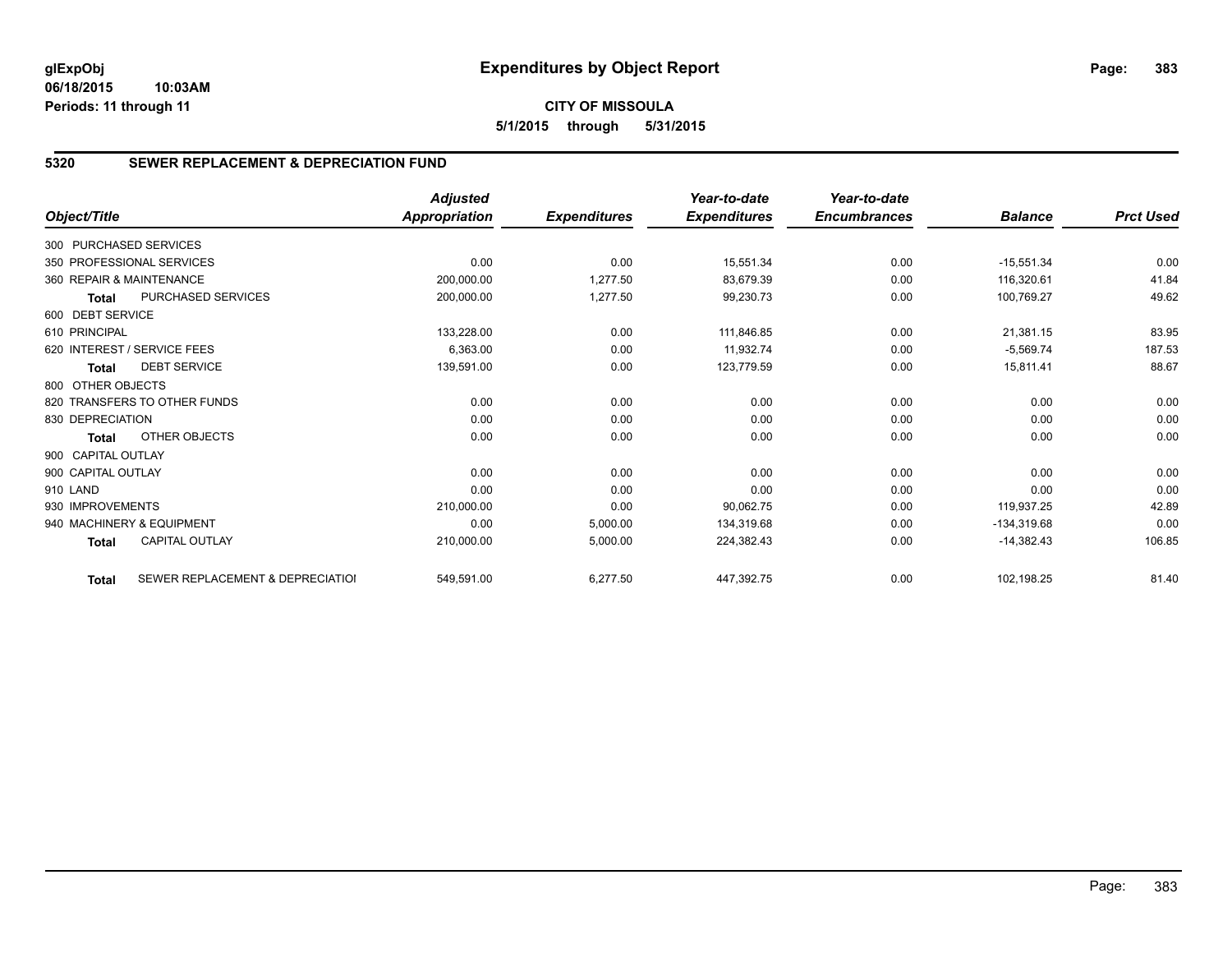## **5320 SEWER REPLACEMENT & DEPRECIATION FUND**

|                        |                                  | <b>Adjusted</b>      |                     | Year-to-date        | Year-to-date        |                |                  |
|------------------------|----------------------------------|----------------------|---------------------|---------------------|---------------------|----------------|------------------|
| Object/Title           |                                  | <b>Appropriation</b> | <b>Expenditures</b> | <b>Expenditures</b> | <b>Encumbrances</b> | <b>Balance</b> | <b>Prct Used</b> |
| 300 PURCHASED SERVICES |                                  |                      |                     |                     |                     |                |                  |
|                        | 350 PROFESSIONAL SERVICES        | 0.00                 | 0.00                | 15,551.34           | 0.00                | $-15,551.34$   | 0.00             |
|                        | 360 REPAIR & MAINTENANCE         | 200,000.00           | 1,277.50            | 83,679.39           | 0.00                | 116,320.61     | 41.84            |
| <b>Total</b>           | PURCHASED SERVICES               | 200,000.00           | 1,277.50            | 99,230.73           | 0.00                | 100,769.27     | 49.62            |
| 600 DEBT SERVICE       |                                  |                      |                     |                     |                     |                |                  |
| 610 PRINCIPAL          |                                  | 133,228.00           | 0.00                | 111,846.85          | 0.00                | 21,381.15      | 83.95            |
|                        | 620 INTEREST / SERVICE FEES      | 6,363.00             | 0.00                | 11.932.74           | 0.00                | $-5,569.74$    | 187.53           |
| <b>Total</b>           | <b>DEBT SERVICE</b>              | 139,591.00           | 0.00                | 123,779.59          | 0.00                | 15,811.41      | 88.67            |
| 800 OTHER OBJECTS      |                                  |                      |                     |                     |                     |                |                  |
|                        | 820 TRANSFERS TO OTHER FUNDS     | 0.00                 | 0.00                | 0.00                | 0.00                | 0.00           | 0.00             |
| 830 DEPRECIATION       |                                  | 0.00                 | 0.00                | 0.00                | 0.00                | 0.00           | 0.00             |
| <b>Total</b>           | OTHER OBJECTS                    | 0.00                 | 0.00                | 0.00                | 0.00                | 0.00           | 0.00             |
| 900 CAPITAL OUTLAY     |                                  |                      |                     |                     |                     |                |                  |
| 900 CAPITAL OUTLAY     |                                  | 0.00                 | 0.00                | 0.00                | 0.00                | 0.00           | 0.00             |
| 910 LAND               |                                  | 0.00                 | 0.00                | 0.00                | 0.00                | 0.00           | 0.00             |
| 930 IMPROVEMENTS       |                                  | 210,000.00           | 0.00                | 90,062.75           | 0.00                | 119,937.25     | 42.89            |
|                        | 940 MACHINERY & EQUIPMENT        | 0.00                 | 5,000.00            | 134,319.68          | 0.00                | $-134,319.68$  | 0.00             |
| <b>Total</b>           | <b>CAPITAL OUTLAY</b>            | 210,000.00           | 5,000.00            | 224,382.43          | 0.00                | $-14,382.43$   | 106.85           |
| <b>Total</b>           | SEWER REPLACEMENT & DEPRECIATION | 549,591.00           | 6,277.50            | 447,392.75          | 0.00                | 102,198.25     | 81.40            |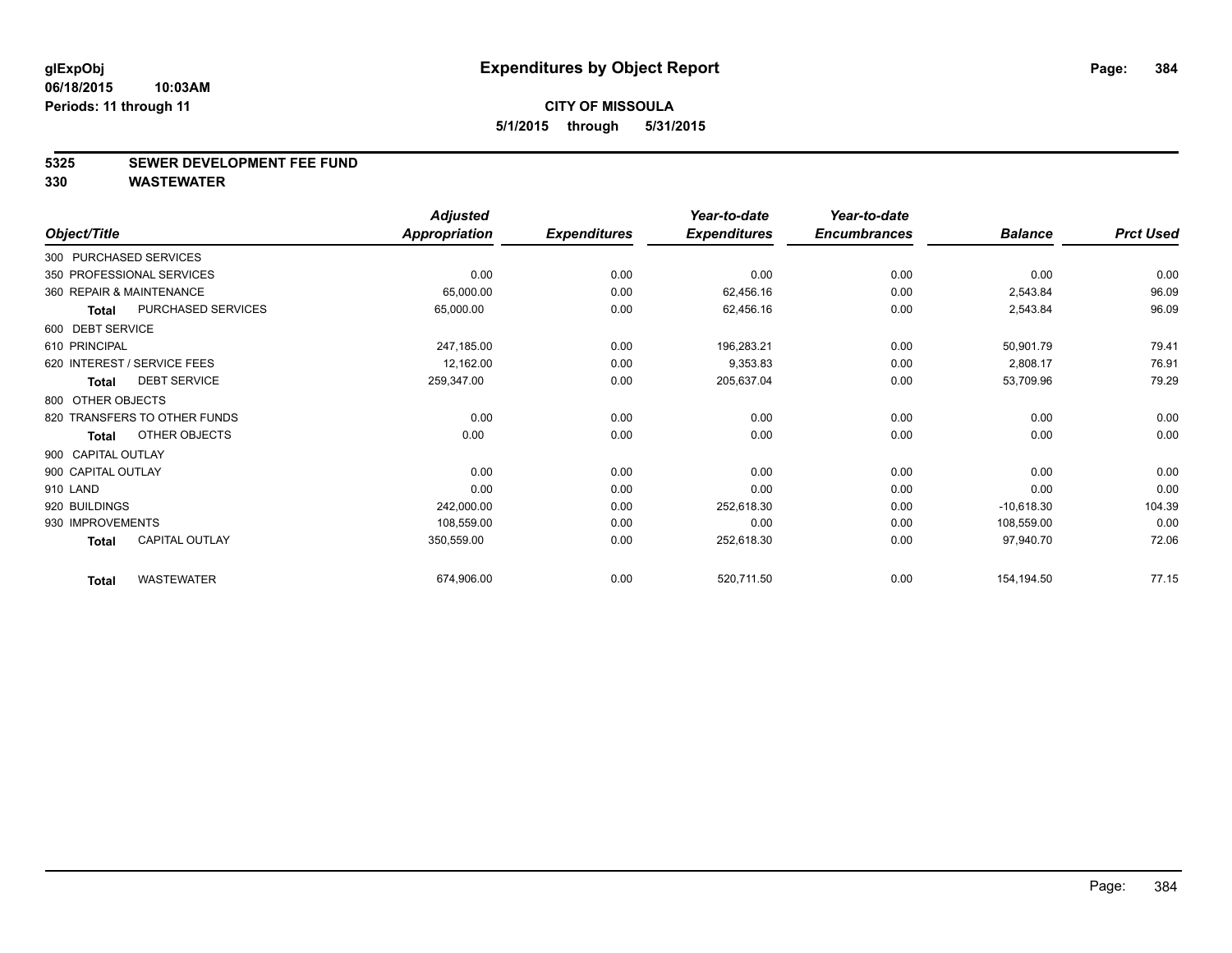#### **5325 SEWER DEVELOPMENT FEE FUND**

|                                       |                    | <b>Adjusted</b> |                     | Year-to-date        | Year-to-date        |                |                  |
|---------------------------------------|--------------------|-----------------|---------------------|---------------------|---------------------|----------------|------------------|
| Object/Title                          |                    | Appropriation   | <b>Expenditures</b> | <b>Expenditures</b> | <b>Encumbrances</b> | <b>Balance</b> | <b>Prct Used</b> |
| 300 PURCHASED SERVICES                |                    |                 |                     |                     |                     |                |                  |
| 350 PROFESSIONAL SERVICES             |                    | 0.00            | 0.00                | 0.00                | 0.00                | 0.00           | 0.00             |
| 360 REPAIR & MAINTENANCE              |                    | 65,000.00       | 0.00                | 62,456.16           | 0.00                | 2,543.84       | 96.09            |
| <b>Total</b>                          | PURCHASED SERVICES | 65,000.00       | 0.00                | 62,456.16           | 0.00                | 2,543.84       | 96.09            |
| 600 DEBT SERVICE                      |                    |                 |                     |                     |                     |                |                  |
| 610 PRINCIPAL                         |                    | 247,185.00      | 0.00                | 196,283.21          | 0.00                | 50,901.79      | 79.41            |
| 620 INTEREST / SERVICE FEES           |                    | 12,162.00       | 0.00                | 9,353.83            | 0.00                | 2,808.17       | 76.91            |
| <b>DEBT SERVICE</b><br><b>Total</b>   |                    | 259,347.00      | 0.00                | 205,637.04          | 0.00                | 53,709.96      | 79.29            |
| 800 OTHER OBJECTS                     |                    |                 |                     |                     |                     |                |                  |
| 820 TRANSFERS TO OTHER FUNDS          |                    | 0.00            | 0.00                | 0.00                | 0.00                | 0.00           | 0.00             |
| OTHER OBJECTS<br><b>Total</b>         |                    | 0.00            | 0.00                | 0.00                | 0.00                | 0.00           | 0.00             |
| 900 CAPITAL OUTLAY                    |                    |                 |                     |                     |                     |                |                  |
| 900 CAPITAL OUTLAY                    |                    | 0.00            | 0.00                | 0.00                | 0.00                | 0.00           | 0.00             |
| 910 LAND                              |                    | 0.00            | 0.00                | 0.00                | 0.00                | 0.00           | 0.00             |
| 920 BUILDINGS                         |                    | 242,000.00      | 0.00                | 252,618.30          | 0.00                | $-10,618.30$   | 104.39           |
| 930 IMPROVEMENTS                      |                    | 108,559.00      | 0.00                | 0.00                | 0.00                | 108,559.00     | 0.00             |
| <b>CAPITAL OUTLAY</b><br><b>Total</b> |                    | 350,559.00      | 0.00                | 252,618.30          | 0.00                | 97,940.70      | 72.06            |
| <b>WASTEWATER</b><br><b>Total</b>     |                    | 674,906.00      | 0.00                | 520,711.50          | 0.00                | 154,194.50     | 77.15            |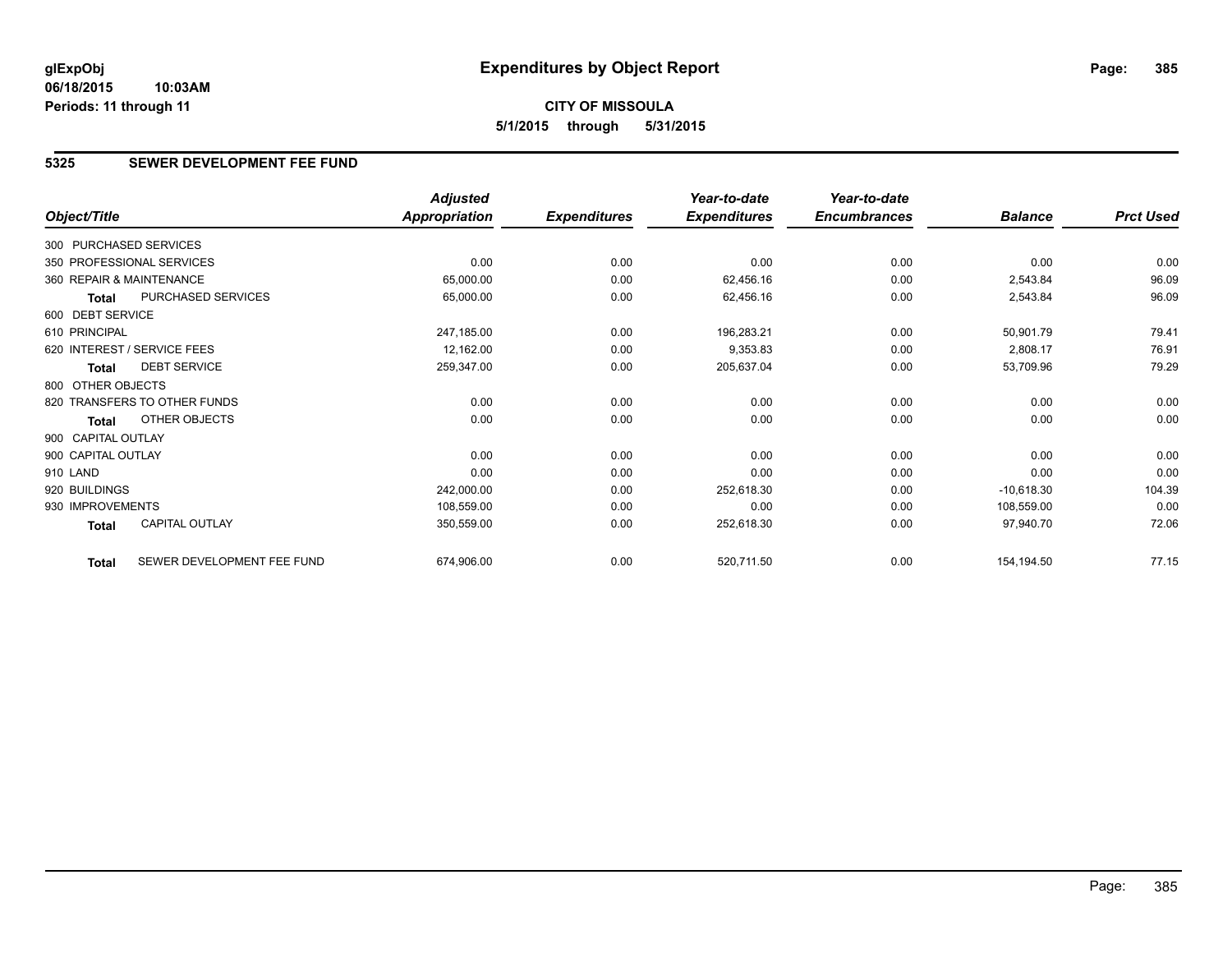# **CITY OF MISSOULA 5/1/2015 through 5/31/2015**

## **5325 SEWER DEVELOPMENT FEE FUND**

|                          |                              | <b>Adjusted</b>      |                     | Year-to-date        | Year-to-date        |                |                  |
|--------------------------|------------------------------|----------------------|---------------------|---------------------|---------------------|----------------|------------------|
| Object/Title             |                              | <b>Appropriation</b> | <b>Expenditures</b> | <b>Expenditures</b> | <b>Encumbrances</b> | <b>Balance</b> | <b>Prct Used</b> |
| 300 PURCHASED SERVICES   |                              |                      |                     |                     |                     |                |                  |
|                          | 350 PROFESSIONAL SERVICES    | 0.00                 | 0.00                | 0.00                | 0.00                | 0.00           | 0.00             |
| 360 REPAIR & MAINTENANCE |                              | 65,000.00            | 0.00                | 62,456.16           | 0.00                | 2,543.84       | 96.09            |
| Total                    | PURCHASED SERVICES           | 65,000.00            | 0.00                | 62,456.16           | 0.00                | 2,543.84       | 96.09            |
| 600 DEBT SERVICE         |                              |                      |                     |                     |                     |                |                  |
| 610 PRINCIPAL            |                              | 247,185.00           | 0.00                | 196,283.21          | 0.00                | 50,901.79      | 79.41            |
|                          | 620 INTEREST / SERVICE FEES  | 12,162.00            | 0.00                | 9,353.83            | 0.00                | 2,808.17       | 76.91            |
| <b>Total</b>             | <b>DEBT SERVICE</b>          | 259,347.00           | 0.00                | 205,637.04          | 0.00                | 53,709.96      | 79.29            |
| 800 OTHER OBJECTS        |                              |                      |                     |                     |                     |                |                  |
|                          | 820 TRANSFERS TO OTHER FUNDS | 0.00                 | 0.00                | 0.00                | 0.00                | 0.00           | 0.00             |
| Total                    | OTHER OBJECTS                | 0.00                 | 0.00                | 0.00                | 0.00                | 0.00           | 0.00             |
| 900 CAPITAL OUTLAY       |                              |                      |                     |                     |                     |                |                  |
| 900 CAPITAL OUTLAY       |                              | 0.00                 | 0.00                | 0.00                | 0.00                | 0.00           | 0.00             |
| 910 LAND                 |                              | 0.00                 | 0.00                | 0.00                | 0.00                | 0.00           | 0.00             |
| 920 BUILDINGS            |                              | 242,000.00           | 0.00                | 252,618.30          | 0.00                | $-10,618.30$   | 104.39           |
| 930 IMPROVEMENTS         |                              | 108,559.00           | 0.00                | 0.00                | 0.00                | 108,559.00     | 0.00             |
| Total                    | <b>CAPITAL OUTLAY</b>        | 350,559.00           | 0.00                | 252,618.30          | 0.00                | 97,940.70      | 72.06            |
| <b>Total</b>             | SEWER DEVELOPMENT FEE FUND   | 674,906.00           | 0.00                | 520,711.50          | 0.00                | 154,194.50     | 77.15            |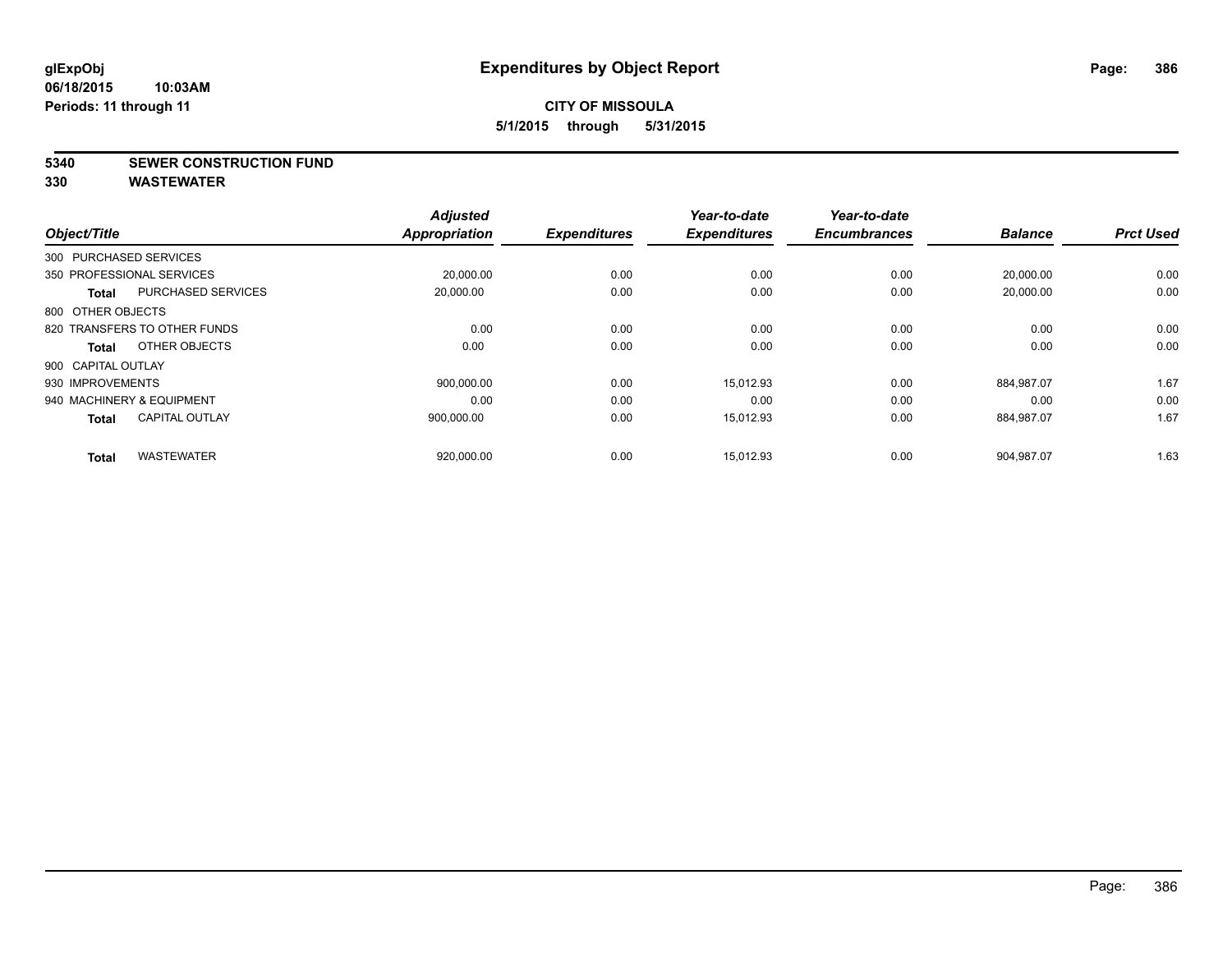**5340 SEWER CONSTRUCTION FUND**

|                    |                              | <b>Adjusted</b>      |                     | Year-to-date        | Year-to-date<br><b>Encumbrances</b> | <b>Balance</b> | <b>Prct Used</b> |
|--------------------|------------------------------|----------------------|---------------------|---------------------|-------------------------------------|----------------|------------------|
| Object/Title       |                              | <b>Appropriation</b> | <b>Expenditures</b> | <b>Expenditures</b> |                                     |                |                  |
|                    | 300 PURCHASED SERVICES       |                      |                     |                     |                                     |                |                  |
|                    | 350 PROFESSIONAL SERVICES    | 20,000.00            | 0.00                | 0.00                | 0.00                                | 20,000.00      | 0.00             |
| <b>Total</b>       | <b>PURCHASED SERVICES</b>    | 20,000.00            | 0.00                | 0.00                | 0.00                                | 20,000.00      | 0.00             |
| 800 OTHER OBJECTS  |                              |                      |                     |                     |                                     |                |                  |
|                    | 820 TRANSFERS TO OTHER FUNDS | 0.00                 | 0.00                | 0.00                | 0.00                                | 0.00           | 0.00             |
| Total              | OTHER OBJECTS                | 0.00                 | 0.00                | 0.00                | 0.00                                | 0.00           | 0.00             |
| 900 CAPITAL OUTLAY |                              |                      |                     |                     |                                     |                |                  |
| 930 IMPROVEMENTS   |                              | 900,000.00           | 0.00                | 15.012.93           | 0.00                                | 884,987.07     | 1.67             |
|                    | 940 MACHINERY & EQUIPMENT    | 0.00                 | 0.00                | 0.00                | 0.00                                | 0.00           | 0.00             |
| <b>Total</b>       | <b>CAPITAL OUTLAY</b>        | 900.000.00           | 0.00                | 15.012.93           | 0.00                                | 884,987.07     | 1.67             |
| <b>Total</b>       | <b>WASTEWATER</b>            | 920,000.00           | 0.00                | 15,012.93           | 0.00                                | 904,987.07     | 1.63             |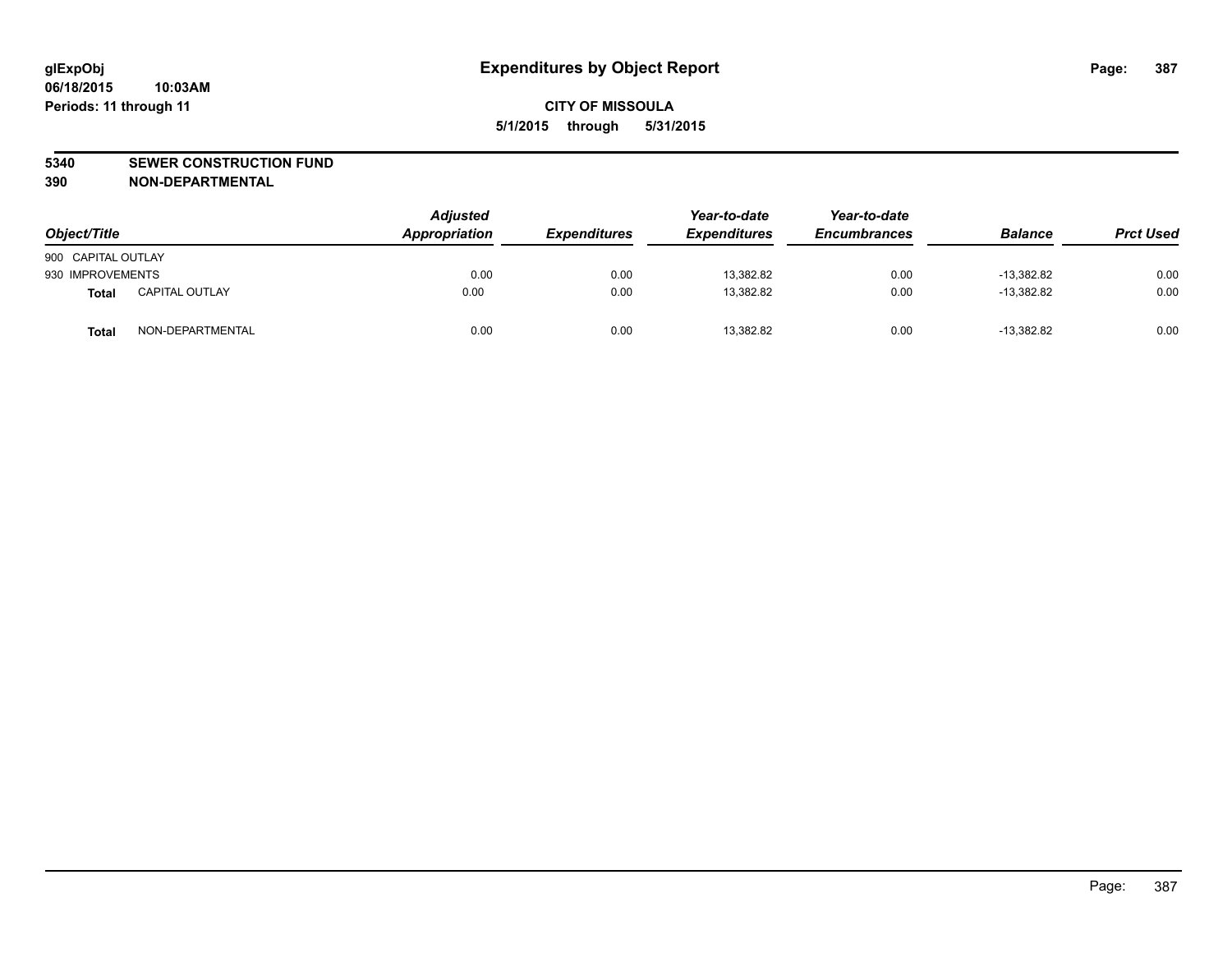#### **5340 SEWER CONSTRUCTION FUND**

**390 NON-DEPARTMENTAL**

| Object/Title       |                       | <b>Adjusted</b><br>Appropriation | <b>Expenditures</b> | Year-to-date<br><b>Expenditures</b> | Year-to-date<br><b>Encumbrances</b> | <b>Balance</b> | <b>Prct Used</b> |
|--------------------|-----------------------|----------------------------------|---------------------|-------------------------------------|-------------------------------------|----------------|------------------|
| 900 CAPITAL OUTLAY |                       |                                  |                     |                                     |                                     |                |                  |
| 930 IMPROVEMENTS   |                       | 0.00                             | 0.00                | 13,382.82                           | 0.00                                | $-13.382.82$   | 0.00             |
| Total              | <b>CAPITAL OUTLAY</b> | 0.00                             | 0.00                | 13,382.82                           | 0.00                                | $-13,382.82$   | 0.00             |
| <b>Total</b>       | NON-DEPARTMENTAL      | 0.00                             | 0.00                | 13,382.82                           | 0.00                                | $-13.382.82$   | 0.00             |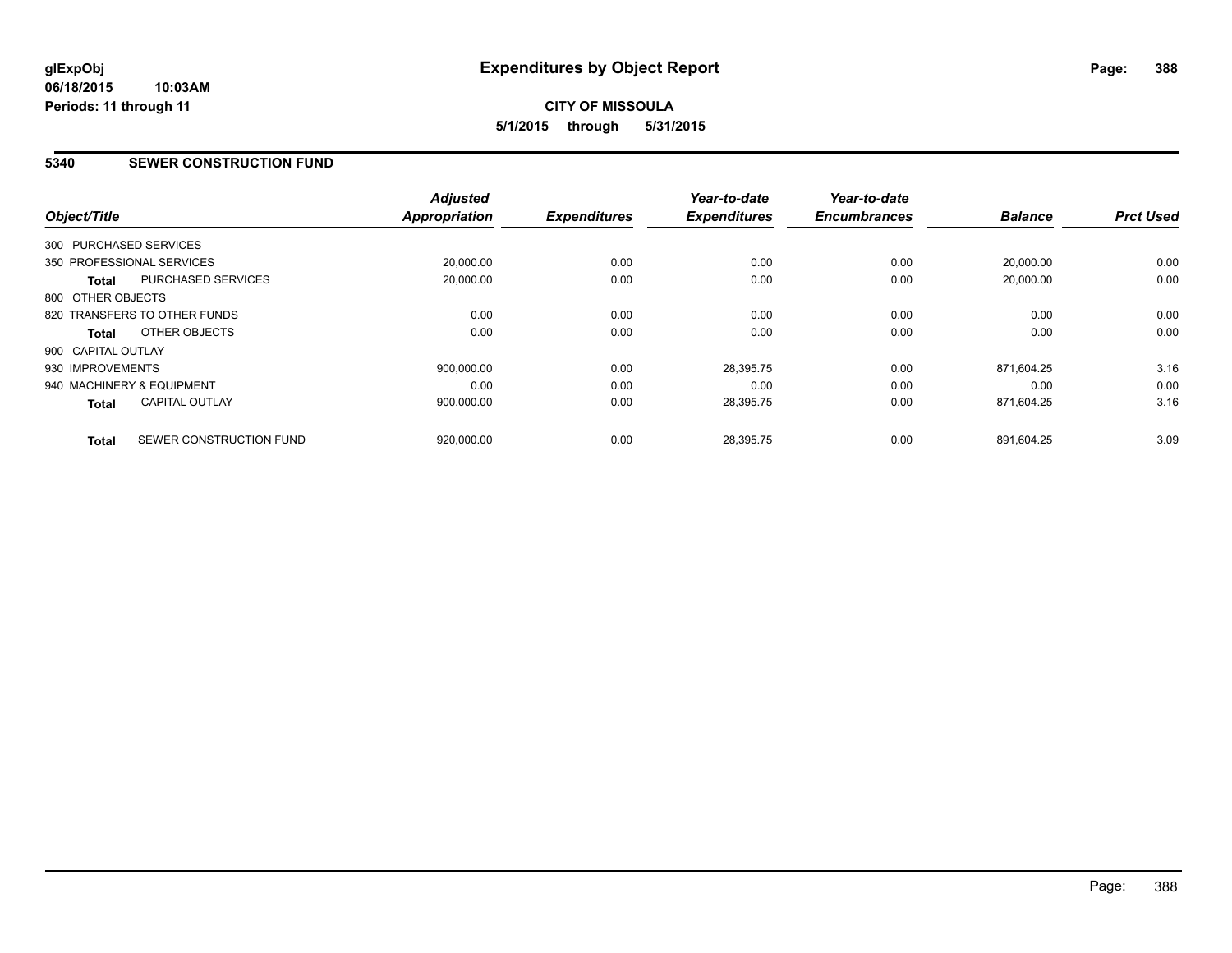# **CITY OF MISSOULA 5/1/2015 through 5/31/2015**

#### **5340 SEWER CONSTRUCTION FUND**

| Object/Title                 |                           | <b>Adjusted</b><br>Appropriation | <b>Expenditures</b> | Year-to-date<br><b>Expenditures</b> | Year-to-date<br><b>Encumbrances</b> | <b>Balance</b> | <b>Prct Used</b> |
|------------------------------|---------------------------|----------------------------------|---------------------|-------------------------------------|-------------------------------------|----------------|------------------|
| 300 PURCHASED SERVICES       |                           |                                  |                     |                                     |                                     |                |                  |
| 350 PROFESSIONAL SERVICES    |                           | 20,000.00                        | 0.00                | 0.00                                | 0.00                                | 20.000.00      | 0.00             |
| <b>Total</b>                 | <b>PURCHASED SERVICES</b> | 20,000.00                        | 0.00                | 0.00                                | 0.00                                | 20,000.00      | 0.00             |
| 800 OTHER OBJECTS            |                           |                                  |                     |                                     |                                     |                |                  |
| 820 TRANSFERS TO OTHER FUNDS |                           | 0.00                             | 0.00                | 0.00                                | 0.00                                | 0.00           | 0.00             |
| Total                        | OTHER OBJECTS             | 0.00                             | 0.00                | 0.00                                | 0.00                                | 0.00           | 0.00             |
| 900 CAPITAL OUTLAY           |                           |                                  |                     |                                     |                                     |                |                  |
| 930 IMPROVEMENTS             |                           | 900,000.00                       | 0.00                | 28,395.75                           | 0.00                                | 871,604.25     | 3.16             |
| 940 MACHINERY & EQUIPMENT    |                           | 0.00                             | 0.00                | 0.00                                | 0.00                                | 0.00           | 0.00             |
| <b>Total</b>                 | <b>CAPITAL OUTLAY</b>     | 900,000.00                       | 0.00                | 28,395.75                           | 0.00                                | 871,604.25     | 3.16             |
| <b>Total</b>                 | SEWER CONSTRUCTION FUND   | 920.000.00                       | 0.00                | 28.395.75                           | 0.00                                | 891.604.25     | 3.09             |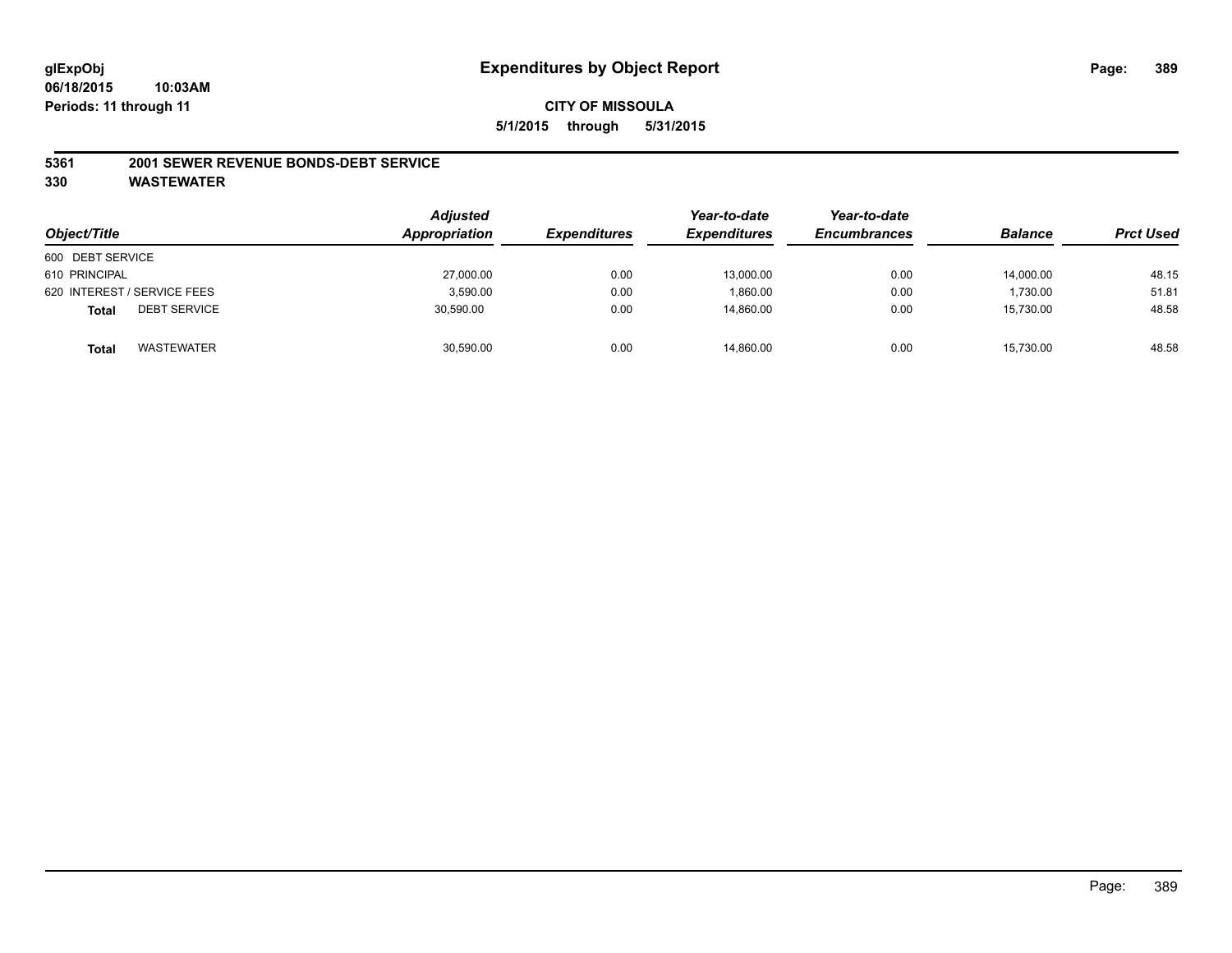#### **5361 2001 SEWER REVENUE BONDS-DEBT SERVICE**

| Object/Title                        | <b>Adjusted</b><br>Appropriation | <b>Expenditures</b> | Year-to-date<br><b>Expenditures</b> | Year-to-date<br><b>Encumbrances</b> | <b>Balance</b> | <b>Prct Used</b> |
|-------------------------------------|----------------------------------|---------------------|-------------------------------------|-------------------------------------|----------------|------------------|
| 600 DEBT SERVICE                    |                                  |                     |                                     |                                     |                |                  |
| 610 PRINCIPAL                       | 27,000.00                        | 0.00                | 13,000.00                           | 0.00                                | 14,000.00      | 48.15            |
| 620 INTEREST / SERVICE FEES         | 3,590.00                         | 0.00                | 1,860.00                            | 0.00                                | 1.730.00       | 51.81            |
| <b>DEBT SERVICE</b><br><b>Total</b> | 30,590.00                        | 0.00                | 14.860.00                           | 0.00                                | 15,730.00      | 48.58            |
| WASTEWATER<br>Total                 | 30,590.00                        | 0.00                | 14,860.00                           | 0.00                                | 15,730.00      | 48.58            |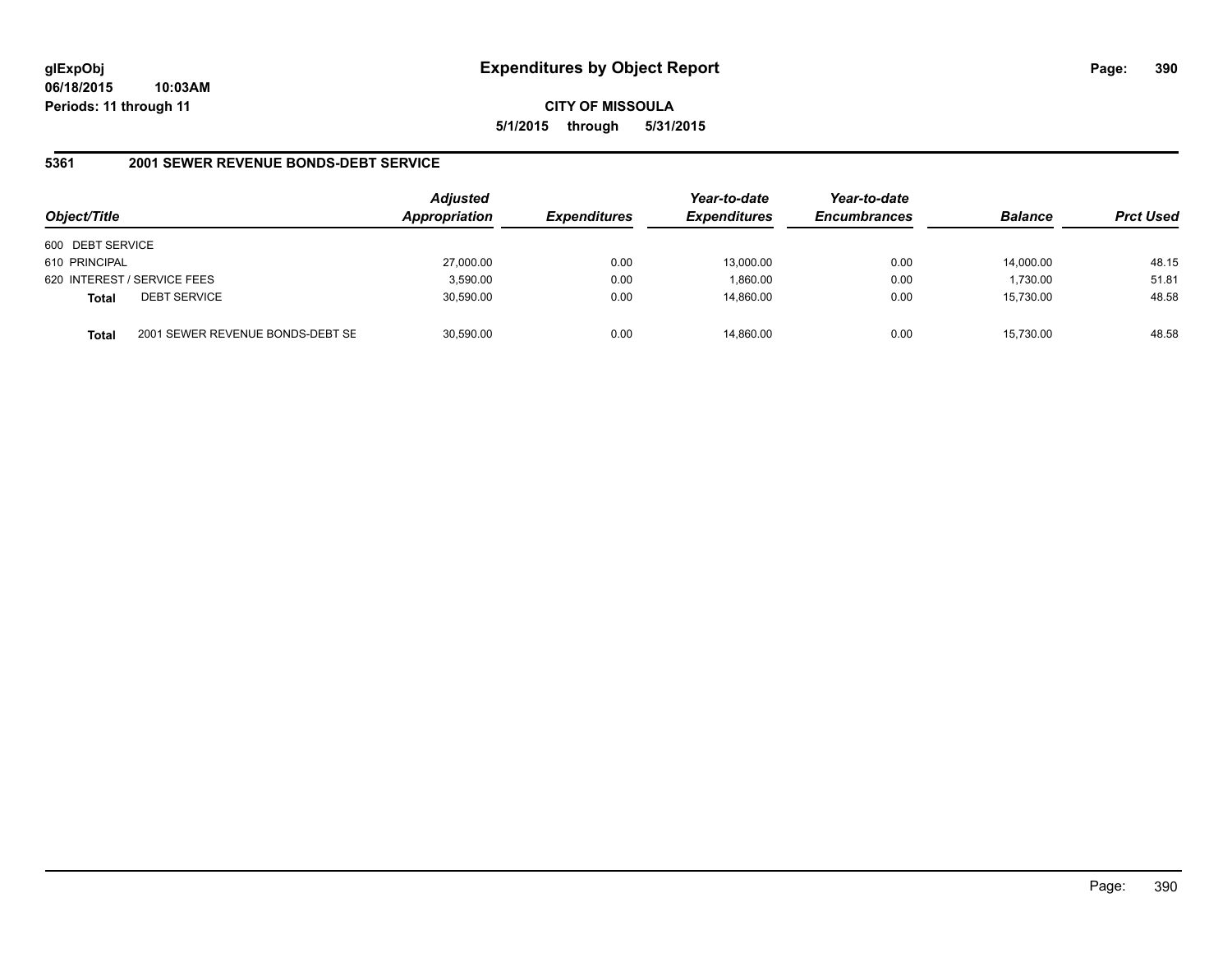**CITY OF MISSOULA 5/1/2015 through 5/31/2015**

### **5361 2001 SEWER REVENUE BONDS-DEBT SERVICE**

| Object/Title     |                                  | <b>Adjusted</b><br>Appropriation | <b>Expenditures</b> | Year-to-date<br><b>Expenditures</b> | Year-to-date<br><b>Encumbrances</b> | <b>Balance</b> | <b>Prct Used</b> |
|------------------|----------------------------------|----------------------------------|---------------------|-------------------------------------|-------------------------------------|----------------|------------------|
| 600 DEBT SERVICE |                                  |                                  |                     |                                     |                                     |                |                  |
| 610 PRINCIPAL    |                                  | 27,000.00                        | 0.00                | 13,000.00                           | 0.00                                | 14.000.00      | 48.15            |
|                  | 620 INTEREST / SERVICE FEES      | 3,590.00                         | 0.00                | 1.860.00                            | 0.00                                | 1,730.00       | 51.81            |
| <b>Total</b>     | <b>DEBT SERVICE</b>              | 30,590.00                        | 0.00                | 14.860.00                           | 0.00                                | 15,730.00      | 48.58            |
| Total            | 2001 SEWER REVENUE BONDS-DEBT SE | 30,590.00                        | 0.00                | 14.860.00                           | 0.00                                | 15,730.00      | 48.58            |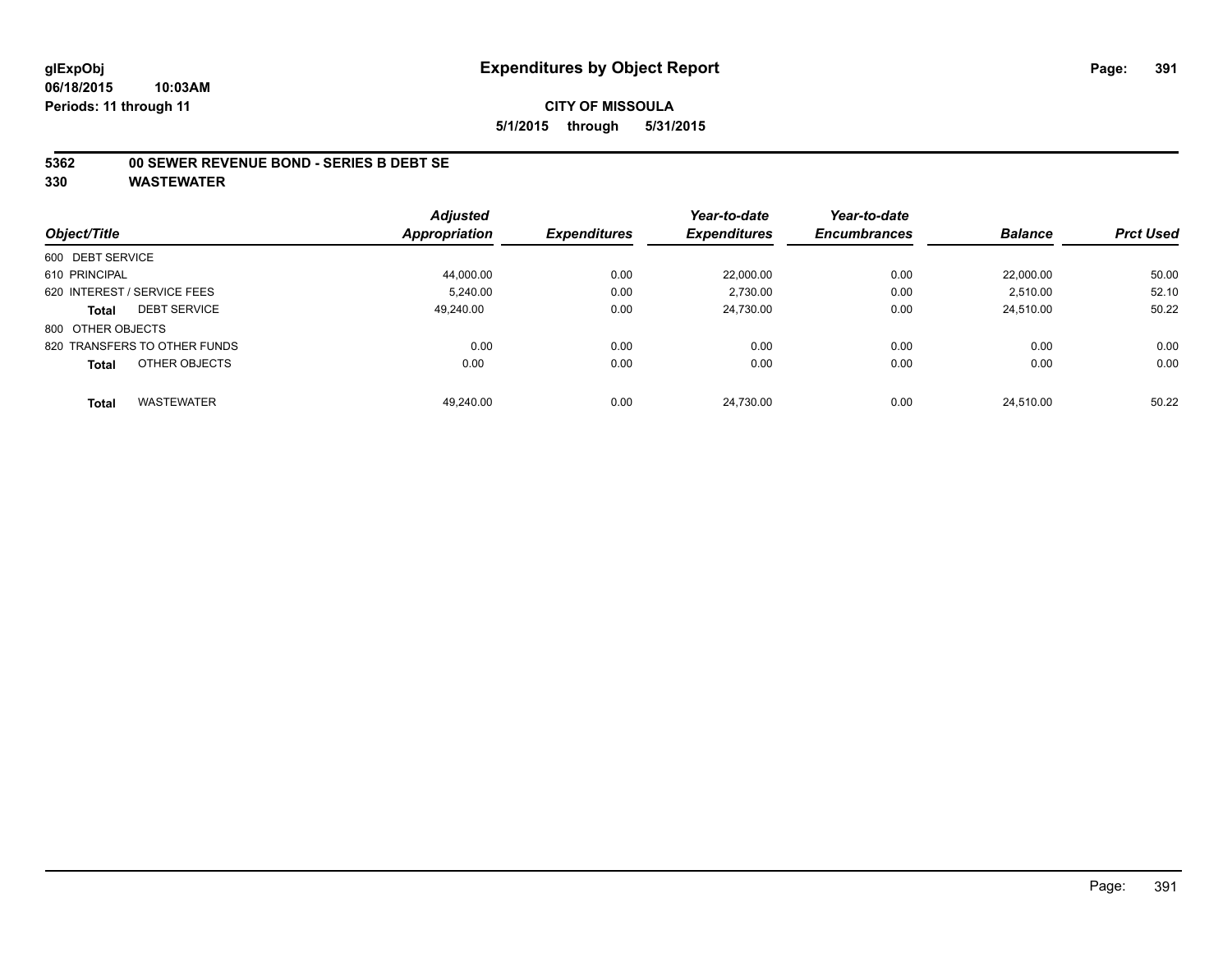#### **5362 00 SEWER REVENUE BOND - SERIES B DEBT SE**

|                                   | <b>Adjusted</b> |                     | Year-to-date        | Year-to-date        |                |                  |
|-----------------------------------|-----------------|---------------------|---------------------|---------------------|----------------|------------------|
| Object/Title                      | Appropriation   | <b>Expenditures</b> | <b>Expenditures</b> | <b>Encumbrances</b> | <b>Balance</b> | <b>Prct Used</b> |
| 600 DEBT SERVICE                  |                 |                     |                     |                     |                |                  |
| 610 PRINCIPAL                     | 44.000.00       | 0.00                | 22.000.00           | 0.00                | 22.000.00      | 50.00            |
| 620 INTEREST / SERVICE FEES       | 5.240.00        | 0.00                | 2,730.00            | 0.00                | 2,510.00       | 52.10            |
| <b>DEBT SERVICE</b><br>Total      | 49.240.00       | 0.00                | 24,730.00           | 0.00                | 24.510.00      | 50.22            |
| 800 OTHER OBJECTS                 |                 |                     |                     |                     |                |                  |
| 820 TRANSFERS TO OTHER FUNDS      | 0.00            | 0.00                | 0.00                | 0.00                | 0.00           | 0.00             |
| OTHER OBJECTS<br><b>Total</b>     | 0.00            | 0.00                | 0.00                | 0.00                | 0.00           | 0.00             |
| <b>WASTEWATER</b><br><b>Total</b> | 49.240.00       | 0.00                | 24.730.00           | 0.00                | 24.510.00      | 50.22            |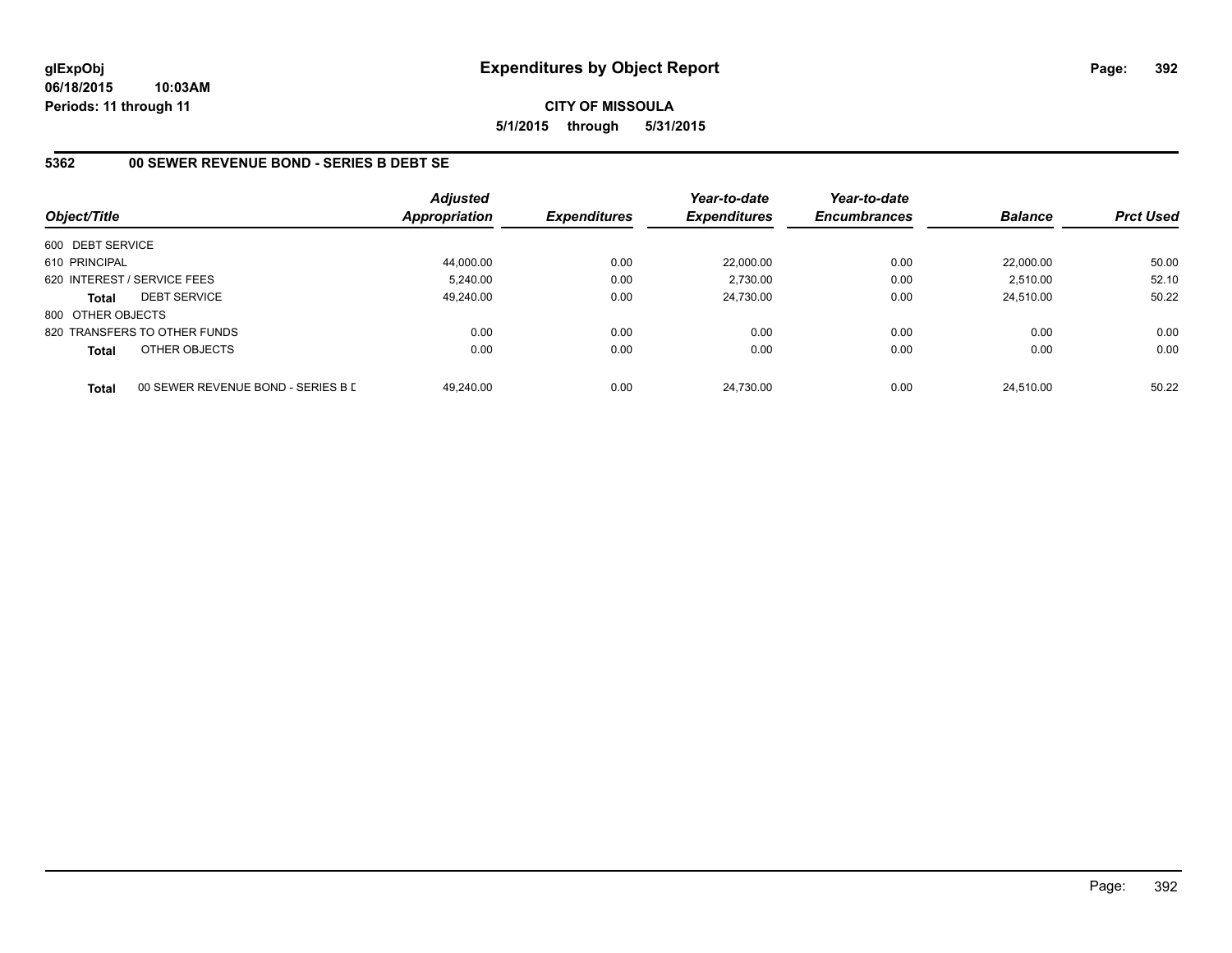**CITY OF MISSOULA 5/1/2015 through 5/31/2015**

## **5362 00 SEWER REVENUE BOND - SERIES B DEBT SE**

| Object/Title      |                                    | <b>Adjusted</b><br><b>Appropriation</b> | <b>Expenditures</b> | Year-to-date<br><b>Expenditures</b> | Year-to-date<br><b>Encumbrances</b> | <b>Balance</b> | <b>Prct Used</b> |
|-------------------|------------------------------------|-----------------------------------------|---------------------|-------------------------------------|-------------------------------------|----------------|------------------|
| 600 DEBT SERVICE  |                                    |                                         |                     |                                     |                                     |                |                  |
| 610 PRINCIPAL     |                                    | 44,000.00                               | 0.00                | 22,000.00                           | 0.00                                | 22.000.00      | 50.00            |
|                   | 620 INTEREST / SERVICE FEES        | 5.240.00                                | 0.00                | 2.730.00                            | 0.00                                | 2,510.00       | 52.10            |
| <b>Total</b>      | <b>DEBT SERVICE</b>                | 49.240.00                               | 0.00                | 24.730.00                           | 0.00                                | 24.510.00      | 50.22            |
| 800 OTHER OBJECTS |                                    |                                         |                     |                                     |                                     |                |                  |
|                   | 820 TRANSFERS TO OTHER FUNDS       | 0.00                                    | 0.00                | 0.00                                | 0.00                                | 0.00           | 0.00             |
| <b>Total</b>      | OTHER OBJECTS                      | 0.00                                    | 0.00                | 0.00                                | 0.00                                | 0.00           | 0.00             |
| <b>Total</b>      | 00 SEWER REVENUE BOND - SERIES B D | 49.240.00                               | 0.00                | 24.730.00                           | 0.00                                | 24.510.00      | 50.22            |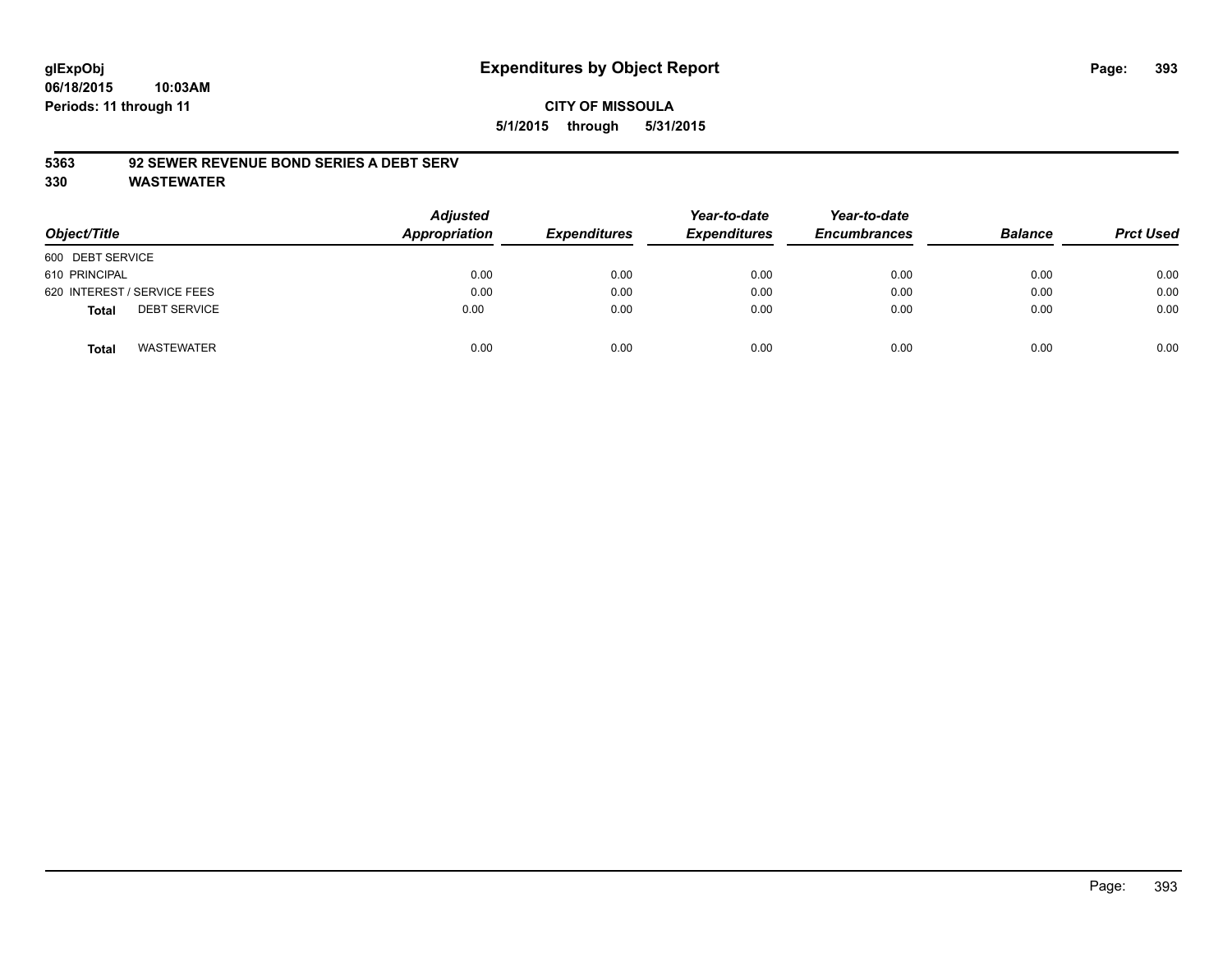### **CITY OF MISSOULA 5/1/2015 through 5/31/2015**

#### **5363 92 SEWER REVENUE BOND SERIES A DEBT SERV**

| Object/Title                        | <b>Adjusted</b><br><b>Appropriation</b> | <b>Expenditures</b> | Year-to-date<br><b>Expenditures</b> | Year-to-date<br><b>Encumbrances</b> | <b>Balance</b> | <b>Prct Used</b> |
|-------------------------------------|-----------------------------------------|---------------------|-------------------------------------|-------------------------------------|----------------|------------------|
| 600 DEBT SERVICE                    |                                         |                     |                                     |                                     |                |                  |
| 610 PRINCIPAL                       | 0.00                                    | 0.00                | 0.00                                | 0.00                                | 0.00           | 0.00             |
| 620 INTEREST / SERVICE FEES         | 0.00                                    | 0.00                | 0.00                                | 0.00                                | 0.00           | 0.00             |
| <b>DEBT SERVICE</b><br><b>Total</b> | 0.00                                    | 0.00                | 0.00                                | 0.00                                | 0.00           | 0.00             |
| WASTEWATER<br><b>Total</b>          | 0.00                                    | 0.00                | 0.00                                | 0.00                                | 0.00           | 0.00             |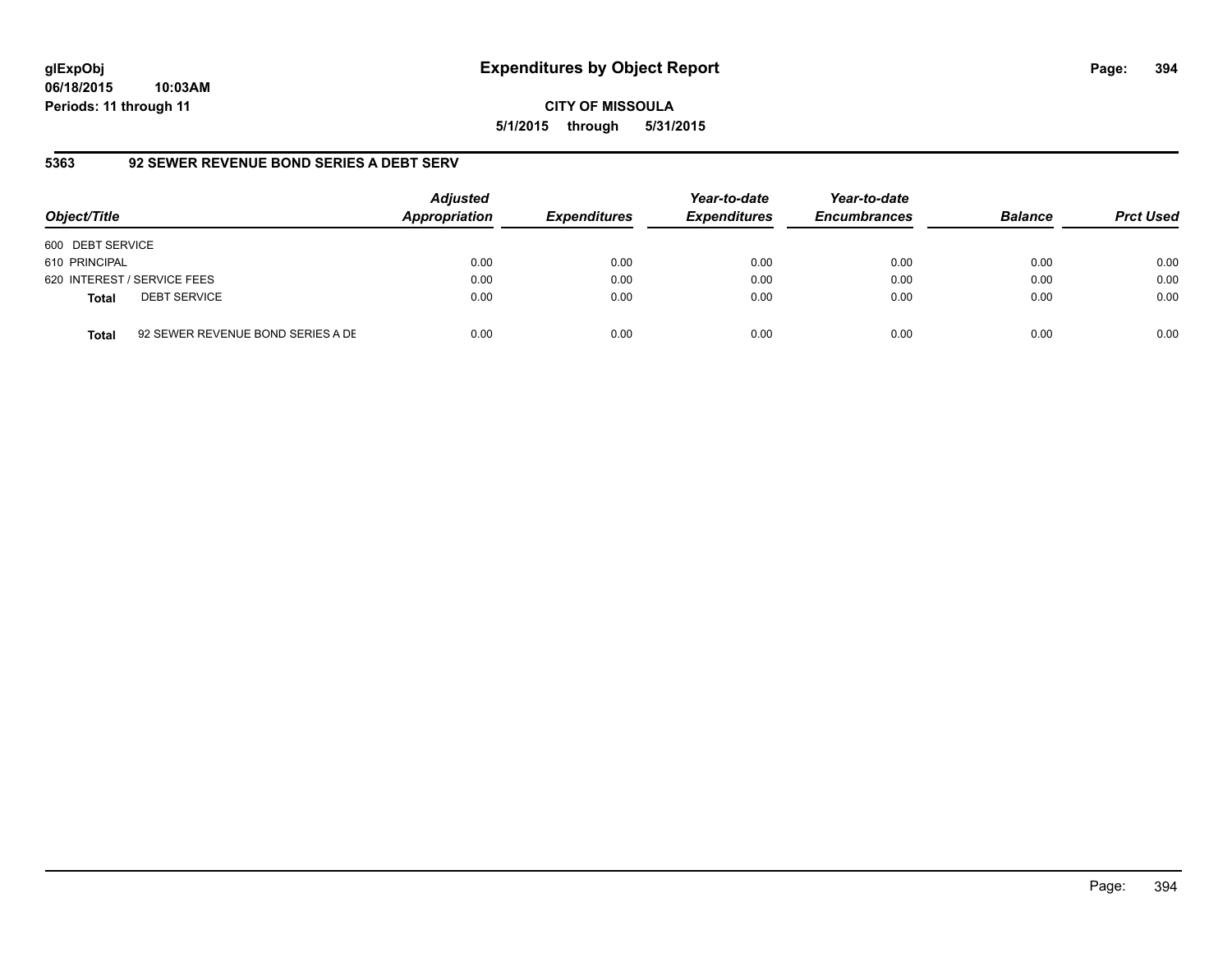# **glExpObj Expenditures by Object Report Page: 394**

**06/18/2015 10:03AM Periods: 11 through 11**

**CITY OF MISSOULA 5/1/2015 through 5/31/2015**

## **5363 92 SEWER REVENUE BOND SERIES A DEBT SERV**

| Object/Title     |                                   | <b>Adjusted</b><br>Appropriation | <b>Expenditures</b> | Year-to-date<br><b>Expenditures</b> | Year-to-date<br><b>Encumbrances</b> | <b>Balance</b> | <b>Prct Used</b> |
|------------------|-----------------------------------|----------------------------------|---------------------|-------------------------------------|-------------------------------------|----------------|------------------|
| 600 DEBT SERVICE |                                   |                                  |                     |                                     |                                     |                |                  |
| 610 PRINCIPAL    |                                   | 0.00                             | 0.00                | 0.00                                | 0.00                                | 0.00           | 0.00             |
|                  | 620 INTEREST / SERVICE FEES       | 0.00                             | 0.00                | 0.00                                | 0.00                                | 0.00           | 0.00             |
| <b>Total</b>     | <b>DEBT SERVICE</b>               | 0.00                             | 0.00                | 0.00                                | 0.00                                | 0.00           | 0.00             |
| <b>Total</b>     | 92 SEWER REVENUE BOND SERIES A DE | 0.00                             | 0.00                | 0.00                                | 0.00                                | 0.00           | 0.00             |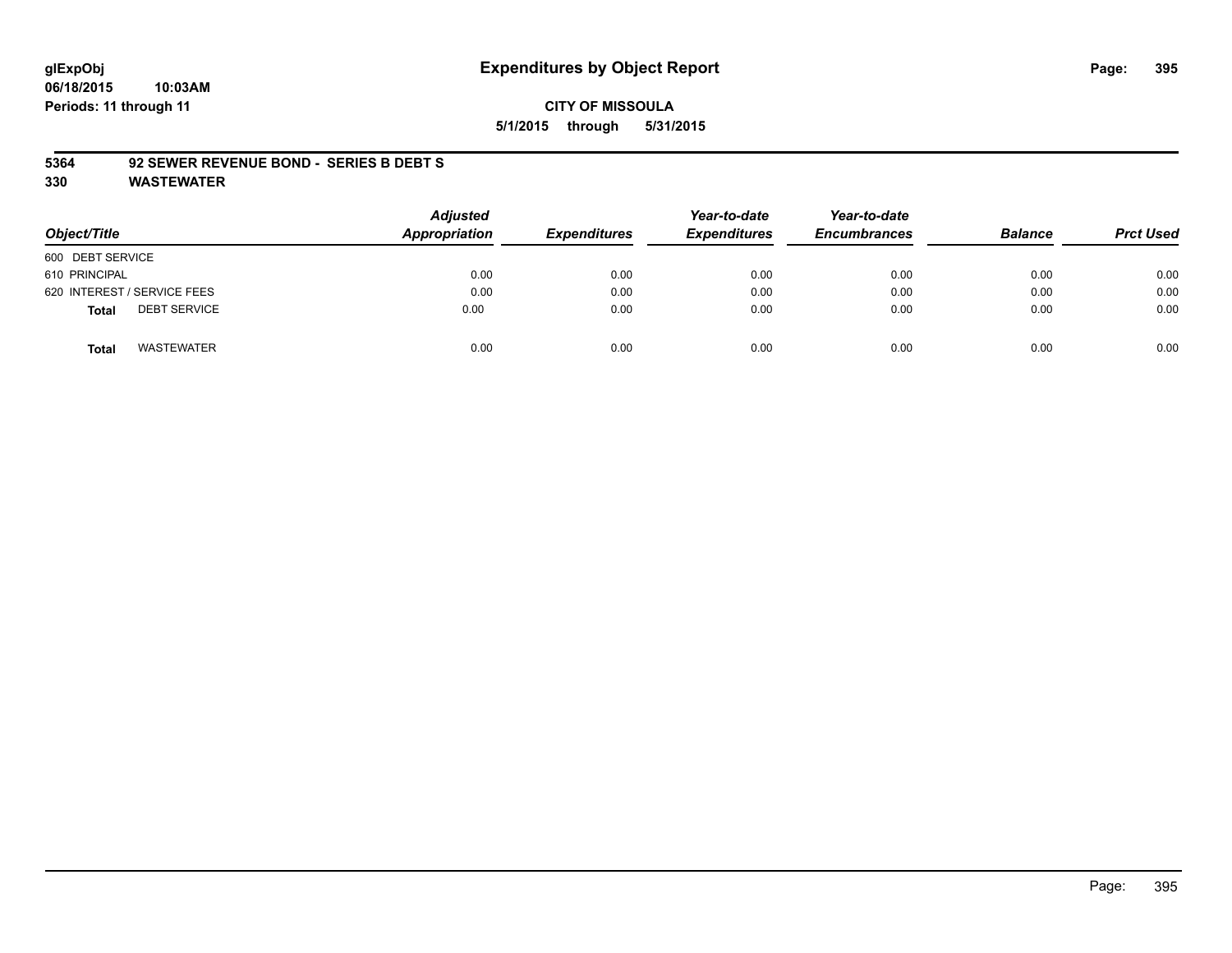# **glExpObj Expenditures by Object Report Page: 395**

**06/18/2015 10:03AM Periods: 11 through 11**

#### **CITY OF MISSOULA 5/1/2015 through 5/31/2015**

#### **5364 92 SEWER REVENUE BOND - SERIES B DEBT S**

| Object/Title                        | Adjusted<br>Appropriation | <b>Expenditures</b> | Year-to-date<br><b>Expenditures</b> | Year-to-date<br><b>Encumbrances</b> | <b>Balance</b> | <b>Prct Used</b> |
|-------------------------------------|---------------------------|---------------------|-------------------------------------|-------------------------------------|----------------|------------------|
| 600 DEBT SERVICE                    |                           |                     |                                     |                                     |                |                  |
| 610 PRINCIPAL                       | 0.00                      | 0.00                | 0.00                                | 0.00                                | 0.00           | 0.00             |
| 620 INTEREST / SERVICE FEES         | 0.00                      | 0.00                | 0.00                                | 0.00                                | 0.00           | 0.00             |
| <b>DEBT SERVICE</b><br><b>Total</b> | 0.00                      | 0.00                | 0.00                                | 0.00                                | 0.00           | 0.00             |
| <b>WASTEWATER</b><br><b>Total</b>   | 0.00                      | 0.00                | 0.00                                | 0.00                                | 0.00           | 0.00             |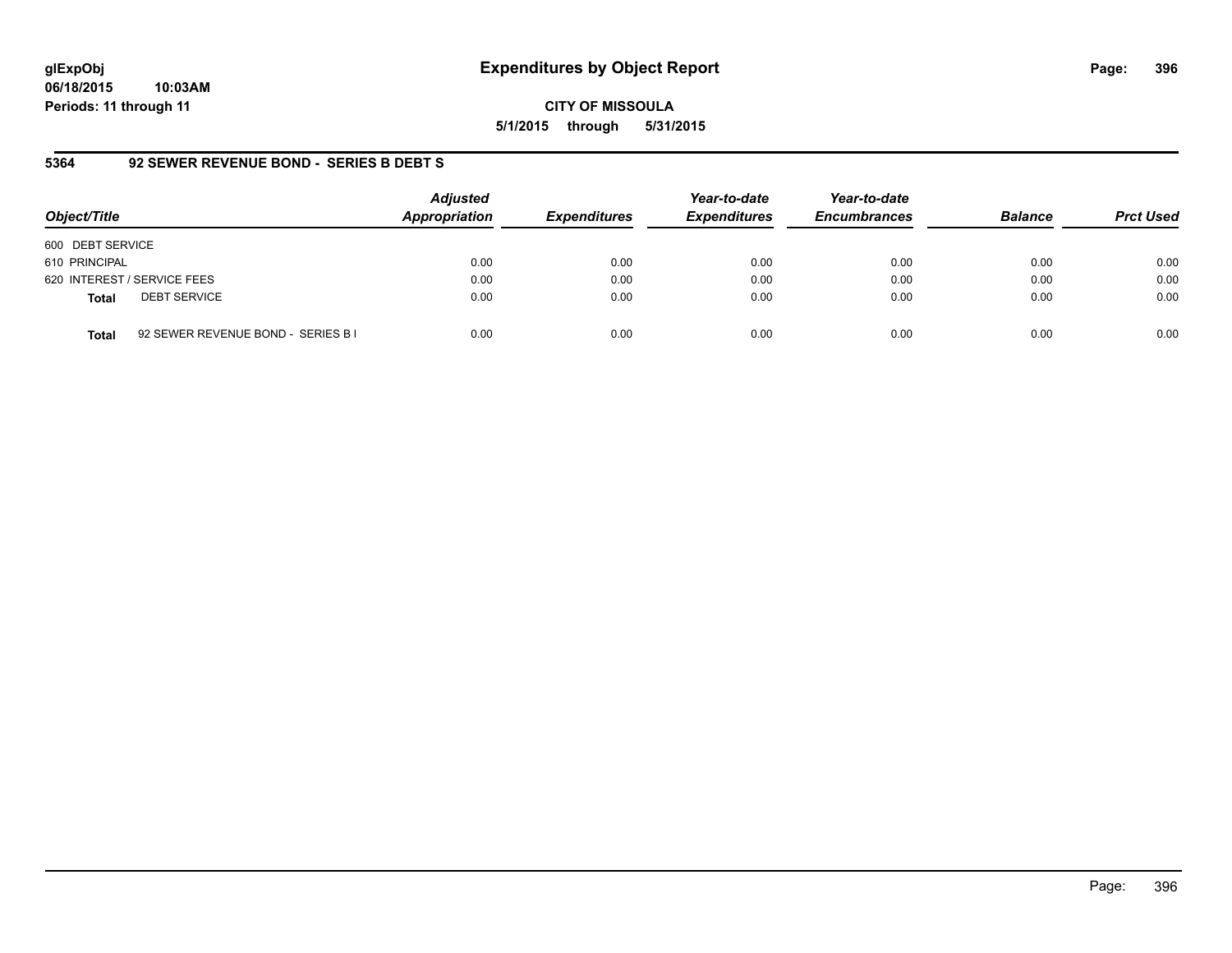**CITY OF MISSOULA 5/1/2015 through 5/31/2015**

### **5364 92 SEWER REVENUE BOND - SERIES B DEBT S**

| Object/Title                        | <b>Adjusted</b><br>Appropriation           | <b>Expenditures</b> | Year-to-date<br><b>Expenditures</b> | Year-to-date<br><b>Encumbrances</b> | <b>Balance</b> | <b>Prct Used</b> |
|-------------------------------------|--------------------------------------------|---------------------|-------------------------------------|-------------------------------------|----------------|------------------|
| 600 DEBT SERVICE                    |                                            |                     |                                     |                                     |                |                  |
| 610 PRINCIPAL                       | 0.00                                       | 0.00                | 0.00                                | 0.00                                | 0.00           | 0.00             |
| 620 INTEREST / SERVICE FEES         | 0.00                                       | 0.00                | 0.00                                | 0.00                                | 0.00           | 0.00             |
| <b>DEBT SERVICE</b><br><b>Total</b> | 0.00                                       | 0.00                | 0.00                                | 0.00                                | 0.00           | 0.00             |
| <b>Total</b>                        | 0.00<br>92 SEWER REVENUE BOND - SERIES B I | 0.00                | 0.00                                | 0.00                                | 0.00           | 0.00             |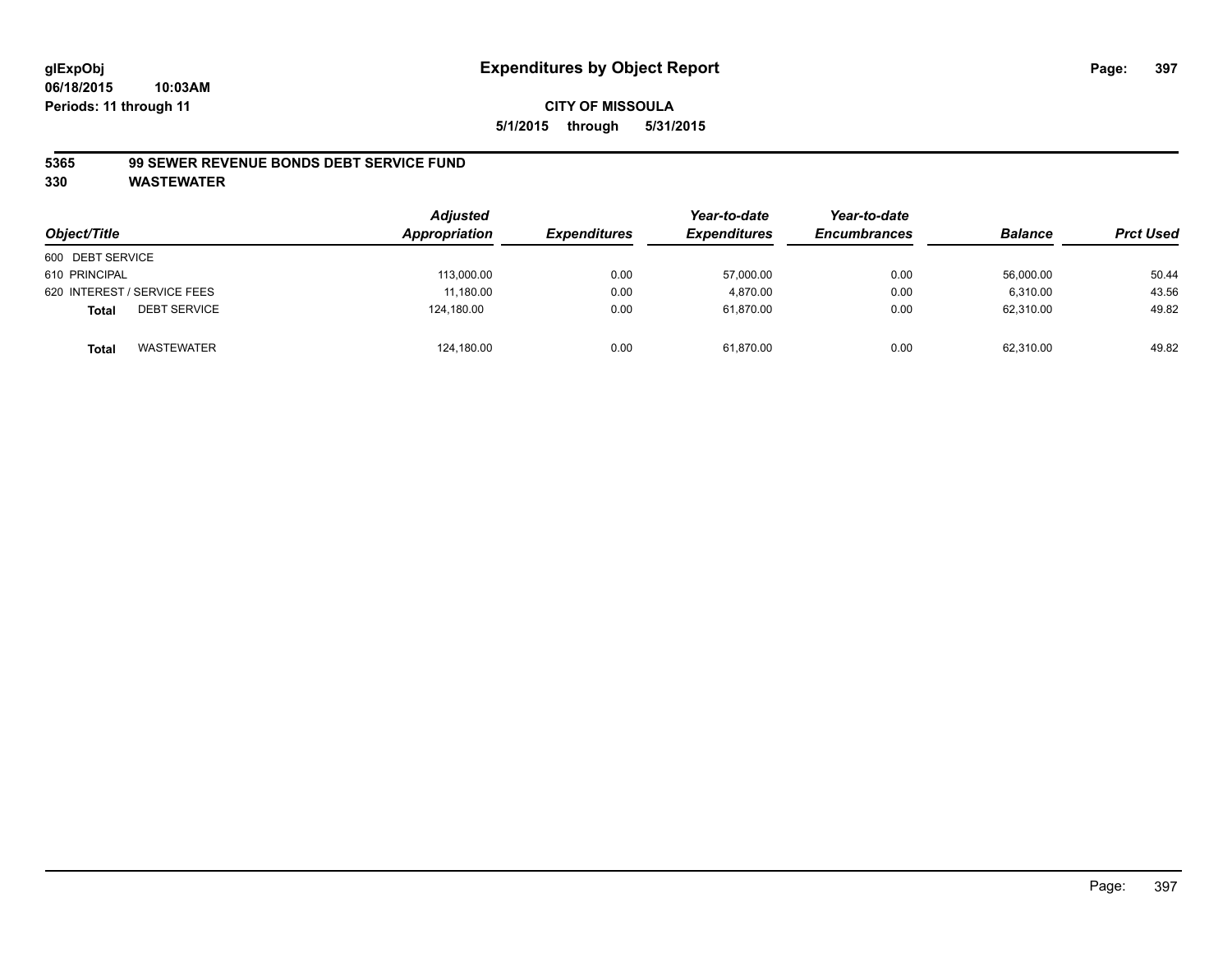### **5365 99 SEWER REVENUE BONDS DEBT SERVICE FUND**

| Object/Title                 | <b>Adjusted</b><br>Appropriation | <b>Expenditures</b> | Year-to-date<br><b>Expenditures</b> | Year-to-date<br><b>Encumbrances</b> | <b>Balance</b> | <b>Prct Used</b> |
|------------------------------|----------------------------------|---------------------|-------------------------------------|-------------------------------------|----------------|------------------|
| 600 DEBT SERVICE             |                                  |                     |                                     |                                     |                |                  |
| 610 PRINCIPAL                | 113,000.00                       | 0.00                | 57,000.00                           | 0.00                                | 56,000.00      | 50.44            |
| 620 INTEREST / SERVICE FEES  | 11.180.00                        | 0.00                | 4.870.00                            | 0.00                                | 6.310.00       | 43.56            |
| <b>DEBT SERVICE</b><br>Total | 124,180.00                       | 0.00                | 61.870.00                           | 0.00                                | 62.310.00      | 49.82            |
| WASTEWATER<br>Total          | 124,180.00                       | 0.00                | 61,870.00                           | 0.00                                | 62,310.00      | 49.82            |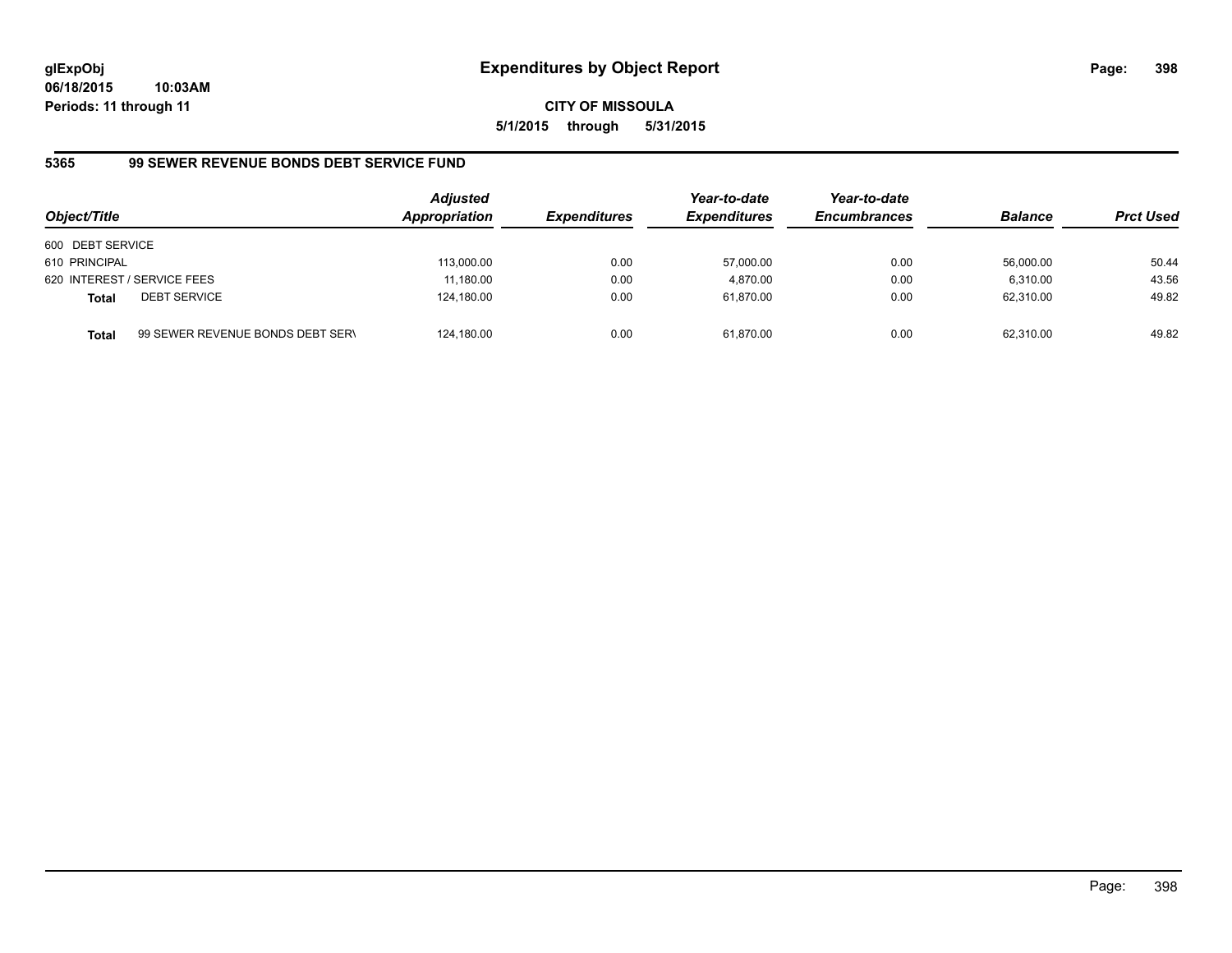**06/18/2015 10:03AM Periods: 11 through 11**

**CITY OF MISSOULA 5/1/2015 through 5/31/2015**

# **5365 99 SEWER REVENUE BONDS DEBT SERVICE FUND**

| Object/Title     |                                  | <b>Adjusted</b><br>Appropriation | <b>Expenditures</b> | Year-to-date<br><b>Expenditures</b> | Year-to-date<br><b>Encumbrances</b> | <b>Balance</b> | <b>Prct Used</b> |
|------------------|----------------------------------|----------------------------------|---------------------|-------------------------------------|-------------------------------------|----------------|------------------|
| 600 DEBT SERVICE |                                  |                                  |                     |                                     |                                     |                |                  |
| 610 PRINCIPAL    |                                  | 113,000.00                       | 0.00                | 57,000.00                           | 0.00                                | 56,000.00      | 50.44            |
|                  | 620 INTEREST / SERVICE FEES      | 11.180.00                        | 0.00                | 4.870.00                            | 0.00                                | 6.310.00       | 43.56            |
| <b>Total</b>     | <b>DEBT SERVICE</b>              | 124,180.00                       | 0.00                | 61,870.00                           | 0.00                                | 62,310.00      | 49.82            |
| <b>Total</b>     | 99 SEWER REVENUE BONDS DEBT SERV | 124,180.00                       | 0.00                | 61,870.00                           | 0.00                                | 62,310.00      | 49.82            |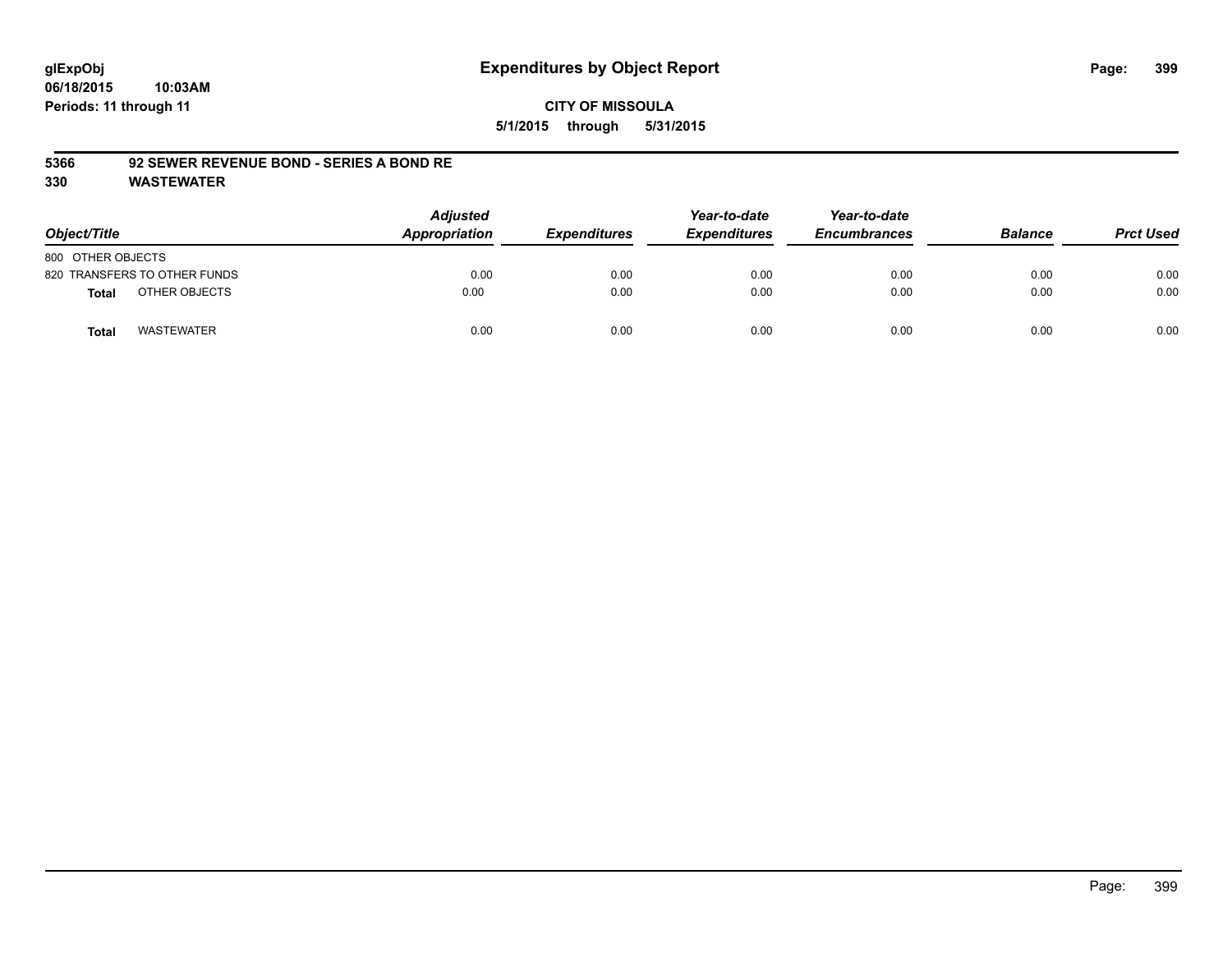### **5366 92 SEWER REVENUE BOND - SERIES A BOND RE**

| Object/Title      |                              | <b>Adjusted</b><br>Appropriation | <b>Expenditures</b> | Year-to-date<br><b>Expenditures</b> | Year-to-date<br><b>Encumbrances</b> | <b>Balance</b> | <b>Prct Used</b> |
|-------------------|------------------------------|----------------------------------|---------------------|-------------------------------------|-------------------------------------|----------------|------------------|
| 800 OTHER OBJECTS |                              |                                  |                     |                                     |                                     |                |                  |
|                   | 820 TRANSFERS TO OTHER FUNDS | 0.00                             | 0.00                | 0.00                                | 0.00                                | 0.00           | 0.00             |
| <b>Total</b>      | OTHER OBJECTS                | 0.00                             | 0.00                | 0.00                                | 0.00                                | 0.00           | 0.00             |
| <b>Total</b>      | <b>WASTEWATER</b>            | 0.00                             | 0.00                | 0.00                                | 0.00                                | 0.00           | 0.00             |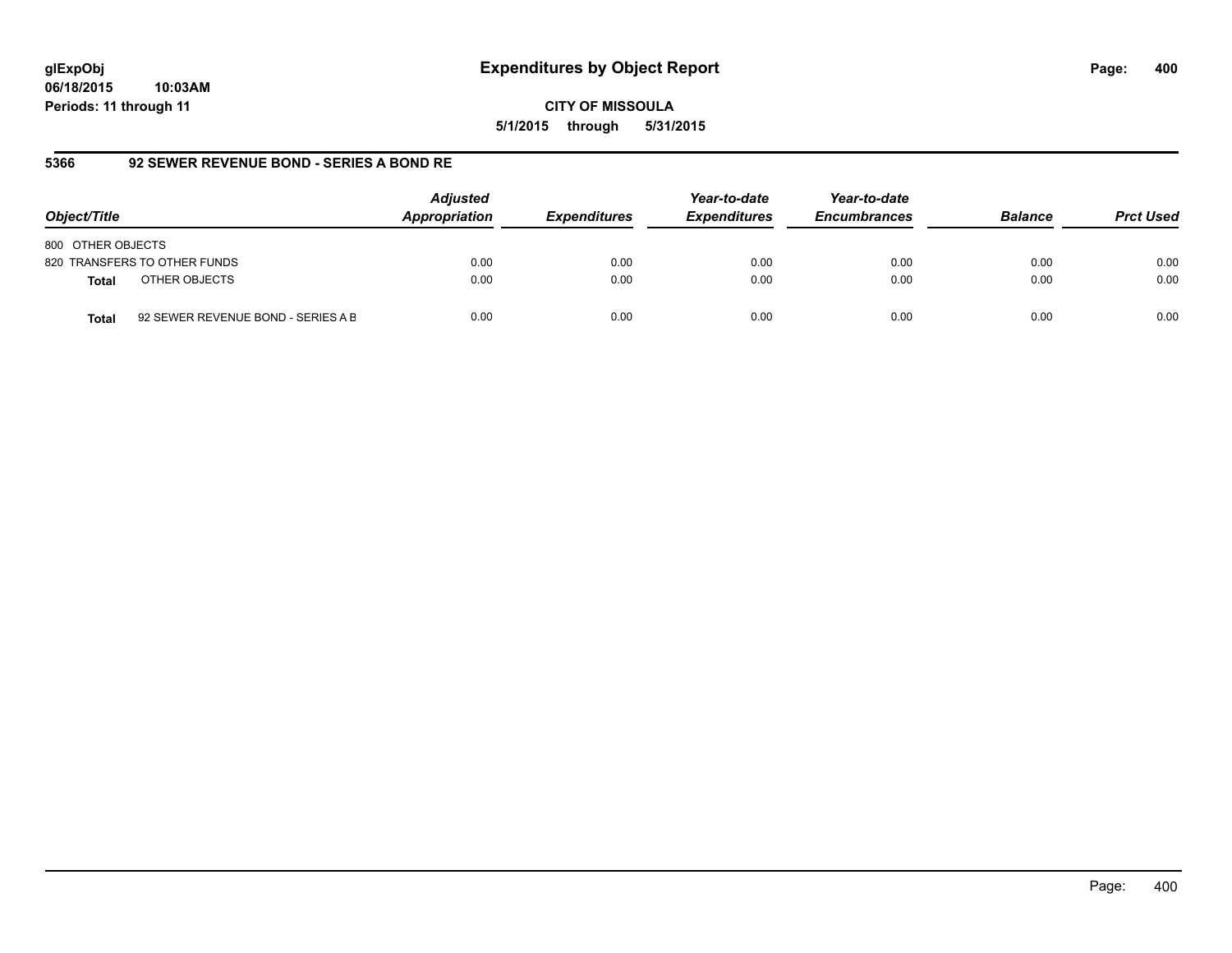**06/18/2015 10:03AM Periods: 11 through 11**

**CITY OF MISSOULA 5/1/2015 through 5/31/2015**

# **5366 92 SEWER REVENUE BOND - SERIES A BOND RE**

| Object/Title                                       | <b>Adjusted</b><br>Appropriation | <b>Expenditures</b> | Year-to-date<br><b>Expenditures</b> | Year-to-date<br><b>Encumbrances</b> | <b>Balance</b> | <b>Prct Used</b> |
|----------------------------------------------------|----------------------------------|---------------------|-------------------------------------|-------------------------------------|----------------|------------------|
| 800 OTHER OBJECTS                                  |                                  |                     |                                     |                                     |                |                  |
| 820 TRANSFERS TO OTHER FUNDS                       | 0.00                             | 0.00                | 0.00                                | 0.00                                | 0.00           | 0.00             |
| OTHER OBJECTS<br><b>Total</b>                      | 0.00                             | 0.00                | 0.00                                | 0.00                                | 0.00           | 0.00             |
| 92 SEWER REVENUE BOND - SERIES A B<br><b>Total</b> | 0.00                             | 0.00                | 0.00                                | 0.00                                | 0.00           | 0.00             |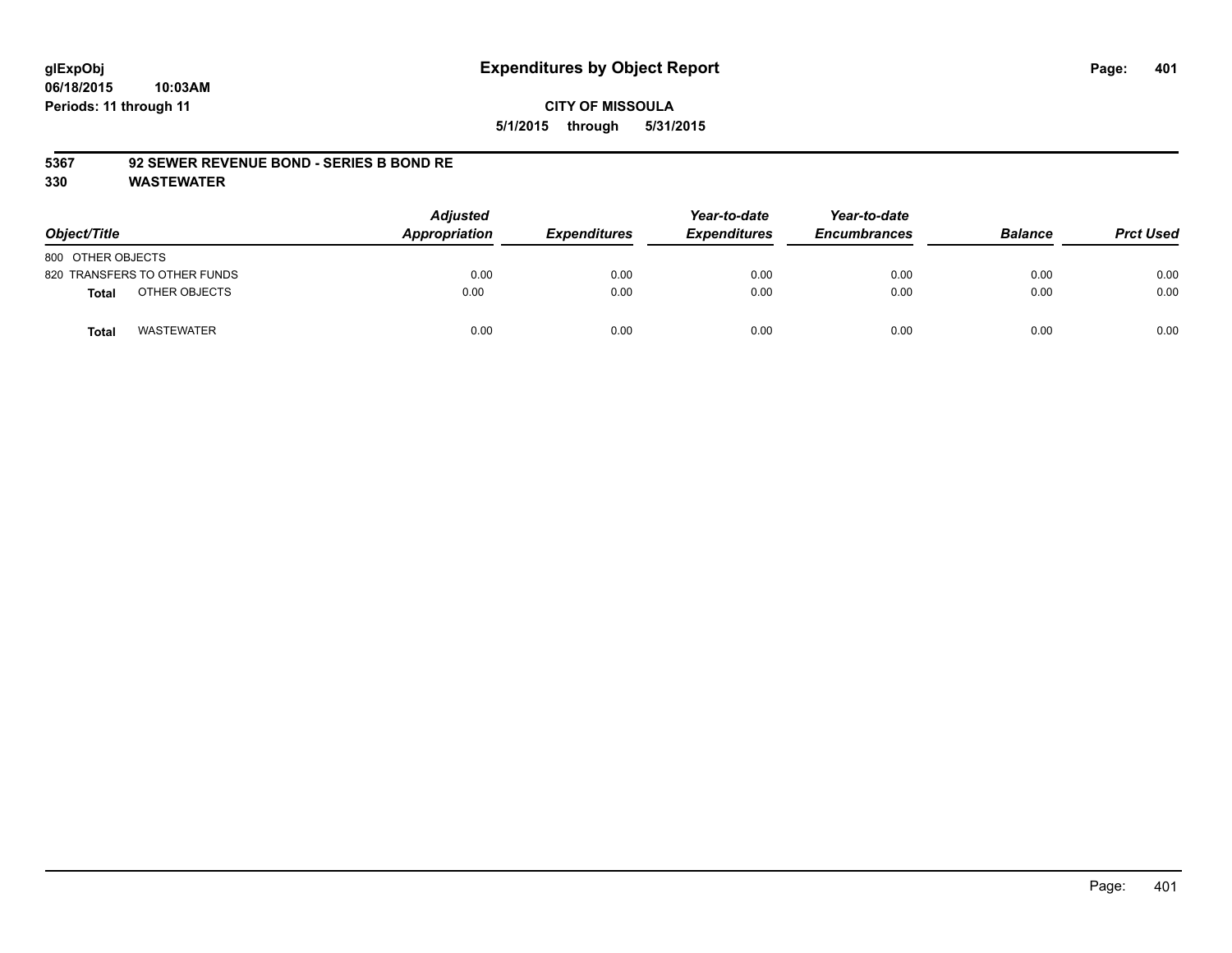### **5367 92 SEWER REVENUE BOND - SERIES B BOND RE**

| Object/Title                 | <b>Adjusted</b><br>Appropriation | <b>Expenditures</b> | Year-to-date<br><b>Expenditures</b> | Year-to-date<br><b>Encumbrances</b> | <b>Balance</b> | <b>Prct Used</b> |
|------------------------------|----------------------------------|---------------------|-------------------------------------|-------------------------------------|----------------|------------------|
| 800 OTHER OBJECTS            |                                  |                     |                                     |                                     |                |                  |
| 820 TRANSFERS TO OTHER FUNDS | 0.00                             | 0.00                | 0.00                                | 0.00                                | 0.00           | 0.00             |
| OTHER OBJECTS<br>Total       | 0.00                             | 0.00                | 0.00                                | 0.00                                | 0.00           | 0.00             |
| <b>WASTEWATER</b><br>Total   | 0.00                             | 0.00                | 0.00                                | 0.00                                | 0.00           | 0.00             |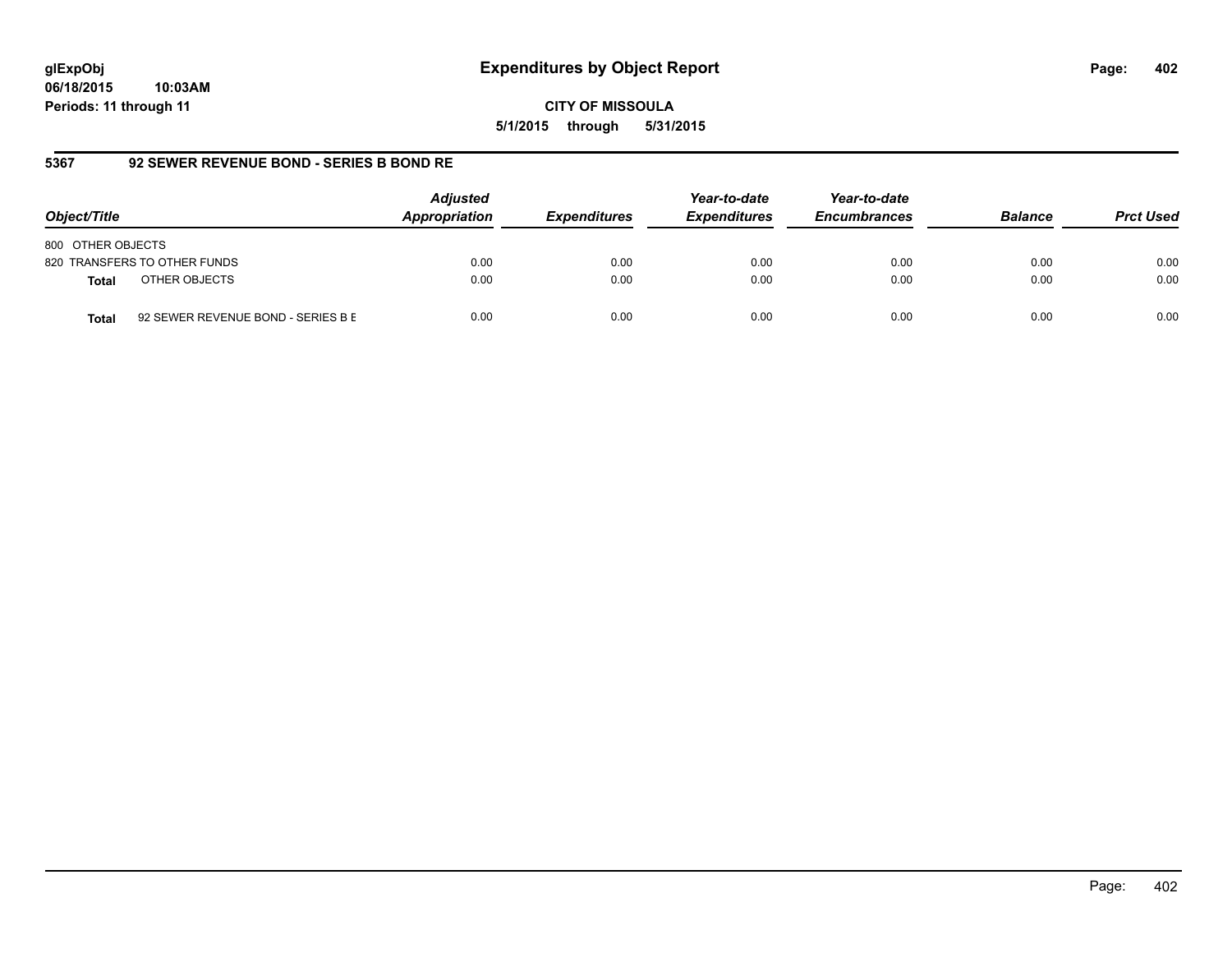**06/18/2015 10:03AM Periods: 11 through 11**

**CITY OF MISSOULA 5/1/2015 through 5/31/2015**

# **5367 92 SEWER REVENUE BOND - SERIES B BOND RE**

| Object/Title                                       | <b>Adjusted</b><br>Appropriation | <b>Expenditures</b> | Year-to-date<br><b>Expenditures</b> | Year-to-date<br><b>Encumbrances</b> | <b>Balance</b> | <b>Prct Used</b> |
|----------------------------------------------------|----------------------------------|---------------------|-------------------------------------|-------------------------------------|----------------|------------------|
| 800 OTHER OBJECTS                                  |                                  |                     |                                     |                                     |                |                  |
| 820 TRANSFERS TO OTHER FUNDS                       | 0.00                             | 0.00                | 0.00                                | 0.00                                | 0.00           | 0.00             |
| OTHER OBJECTS<br><b>Total</b>                      | 0.00                             | 0.00                | 0.00                                | 0.00                                | 0.00           | 0.00             |
| 92 SEWER REVENUE BOND - SERIES B E<br><b>Total</b> | 0.00                             | 0.00                | 0.00                                | 0.00                                | 0.00           | 0.00             |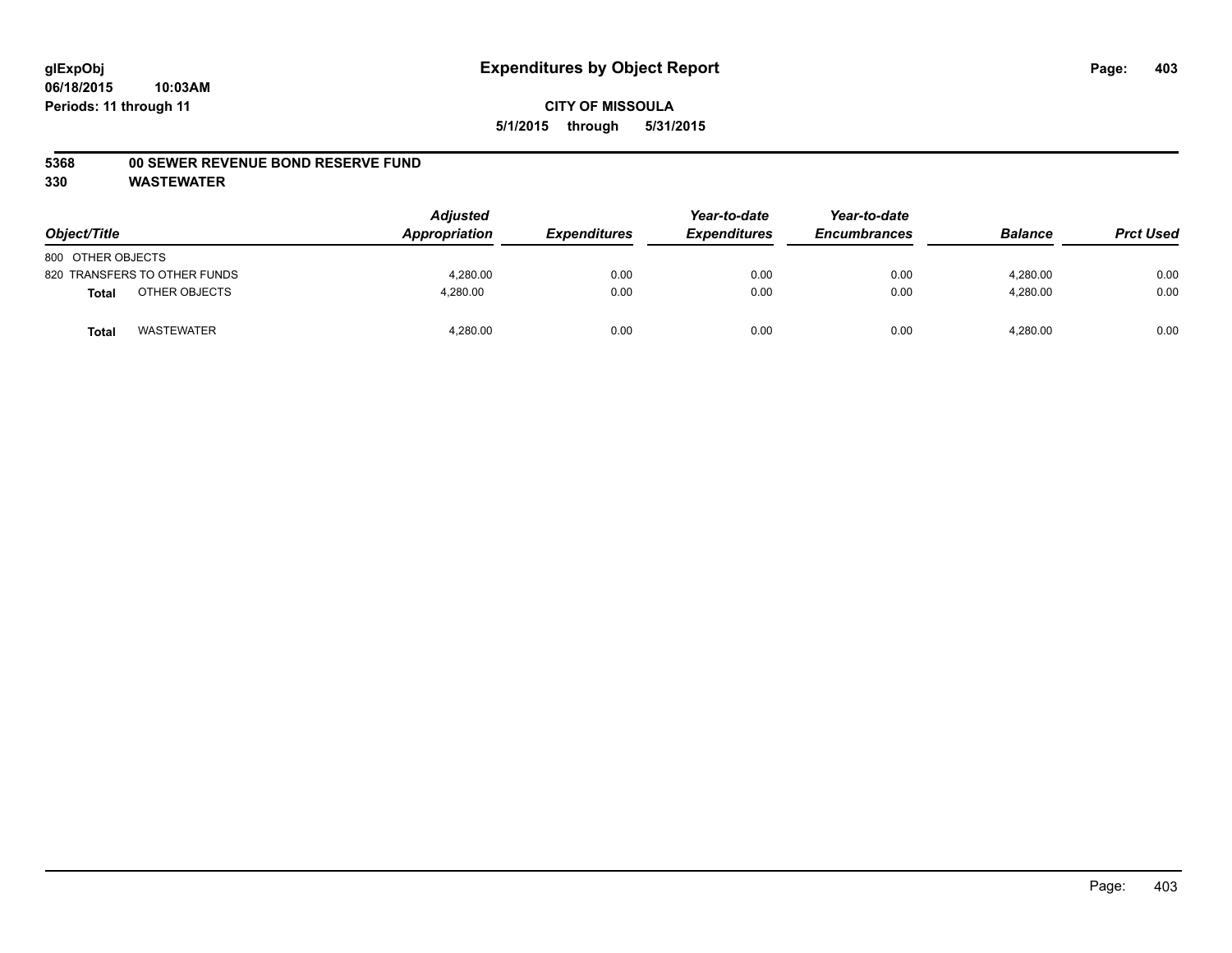#### **5368 00 SEWER REVENUE BOND RESERVE FUND**

| Object/Title                  | <b>Adjusted</b><br>Appropriation | <b>Expenditures</b> | Year-to-date<br><b>Expenditures</b> | Year-to-date<br><b>Encumbrances</b> | <b>Balance</b> | <b>Prct Used</b> |
|-------------------------------|----------------------------------|---------------------|-------------------------------------|-------------------------------------|----------------|------------------|
| 800 OTHER OBJECTS             |                                  |                     |                                     |                                     |                |                  |
| 820 TRANSFERS TO OTHER FUNDS  | 4.280.00                         | 0.00                | 0.00                                | 0.00                                | 4.280.00       | 0.00             |
| OTHER OBJECTS<br><b>Total</b> | 4,280.00                         | 0.00                | 0.00                                | 0.00                                | 4,280.00       | 0.00             |
| <b>WASTEWATER</b><br>Tota     | 4,280.00                         | 0.00                | 0.00                                | 0.00                                | 4,280.00       | 0.00             |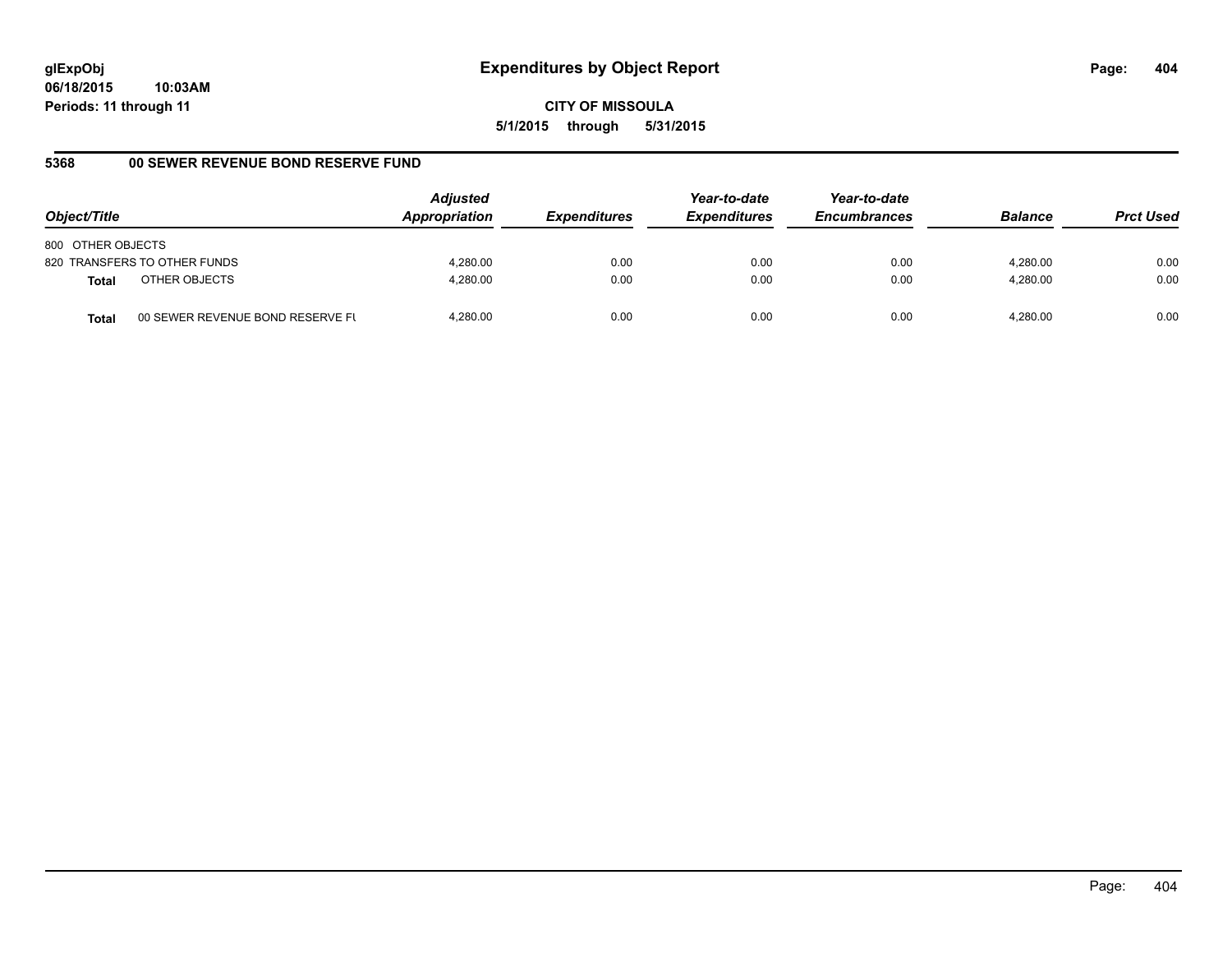**06/18/2015 10:03AM Periods: 11 through 11**

**CITY OF MISSOULA 5/1/2015 through 5/31/2015**

## **5368 00 SEWER REVENUE BOND RESERVE FUND**

| Object/Title                                     | <b>Adjusted</b><br>Appropriation | <i><b>Expenditures</b></i> | Year-to-date<br><b>Expenditures</b> | Year-to-date<br><b>Encumbrances</b> | <b>Balance</b> | <b>Prct Used</b> |
|--------------------------------------------------|----------------------------------|----------------------------|-------------------------------------|-------------------------------------|----------------|------------------|
| 800 OTHER OBJECTS                                |                                  |                            |                                     |                                     |                |                  |
| 820 TRANSFERS TO OTHER FUNDS                     | 4,280.00                         | 0.00                       | 0.00                                | 0.00                                | 4,280.00       | 0.00             |
| OTHER OBJECTS<br><b>Total</b>                    | 4,280.00                         | 0.00                       | 0.00                                | 0.00                                | 4,280.00       | 0.00             |
| 00 SEWER REVENUE BOND RESERVE FL<br><b>Total</b> | 4.280.00                         | 0.00                       | 0.00                                | 0.00                                | 4.280.00       | 0.00             |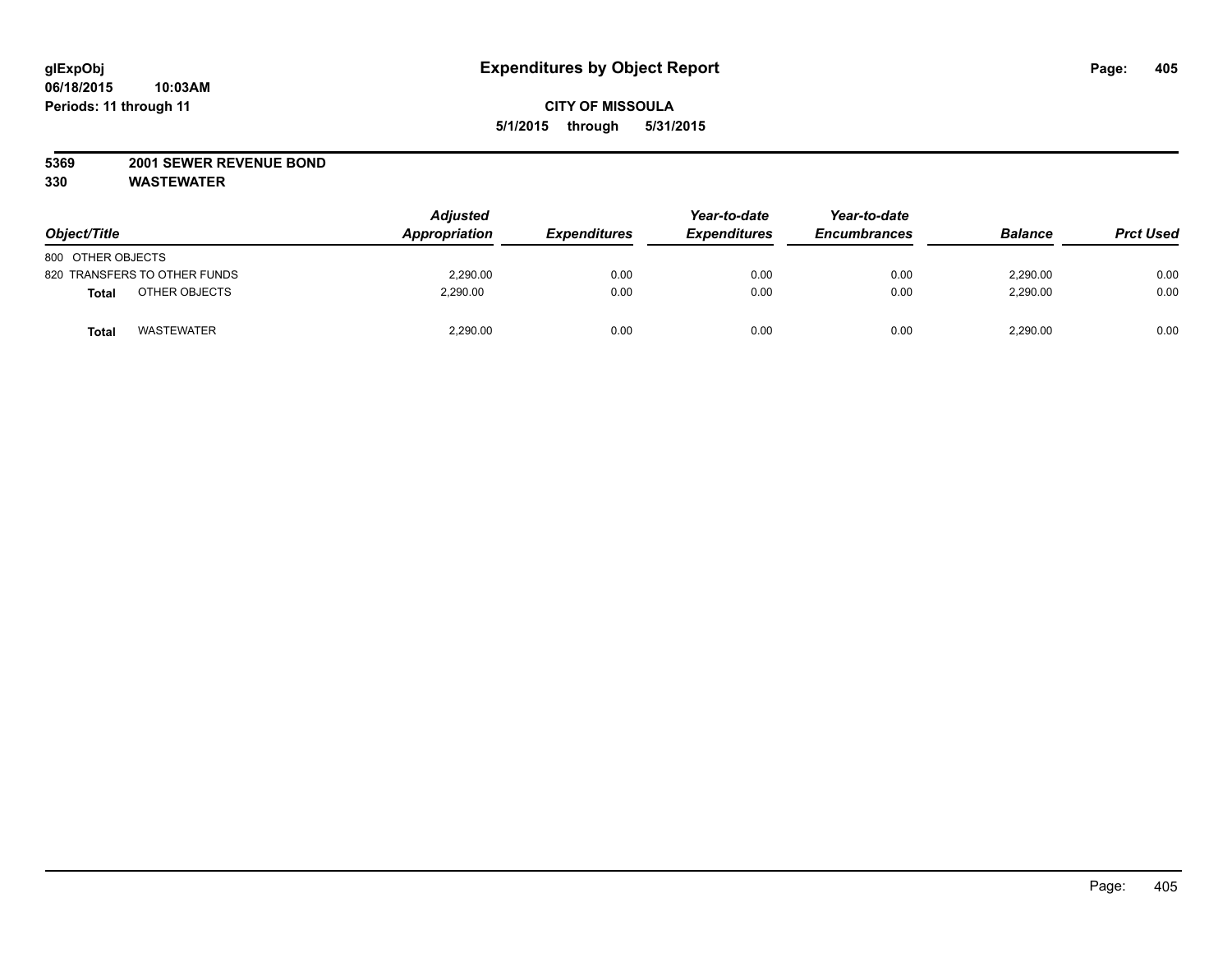### **5369 2001 SEWER REVENUE BOND**

| Object/Title                  | <b>Adjusted</b><br>Appropriation | <b>Expenditures</b> | Year-to-date<br><b>Expenditures</b> | Year-to-date<br><b>Encumbrances</b> | <b>Balance</b> | <b>Prct Used</b> |
|-------------------------------|----------------------------------|---------------------|-------------------------------------|-------------------------------------|----------------|------------------|
| 800 OTHER OBJECTS             |                                  |                     |                                     |                                     |                |                  |
| 820 TRANSFERS TO OTHER FUNDS  | 2,290.00                         | 0.00                | 0.00                                | 0.00                                | 2,290.00       | 0.00             |
| OTHER OBJECTS<br><b>Total</b> | 2,290.00                         | 0.00                | 0.00                                | 0.00                                | 2,290.00       | 0.00             |
| <b>WASTEWATER</b><br>Tota     | 2,290.00                         | 0.00                | 0.00                                | 0.00                                | 2,290.00       | 0.00             |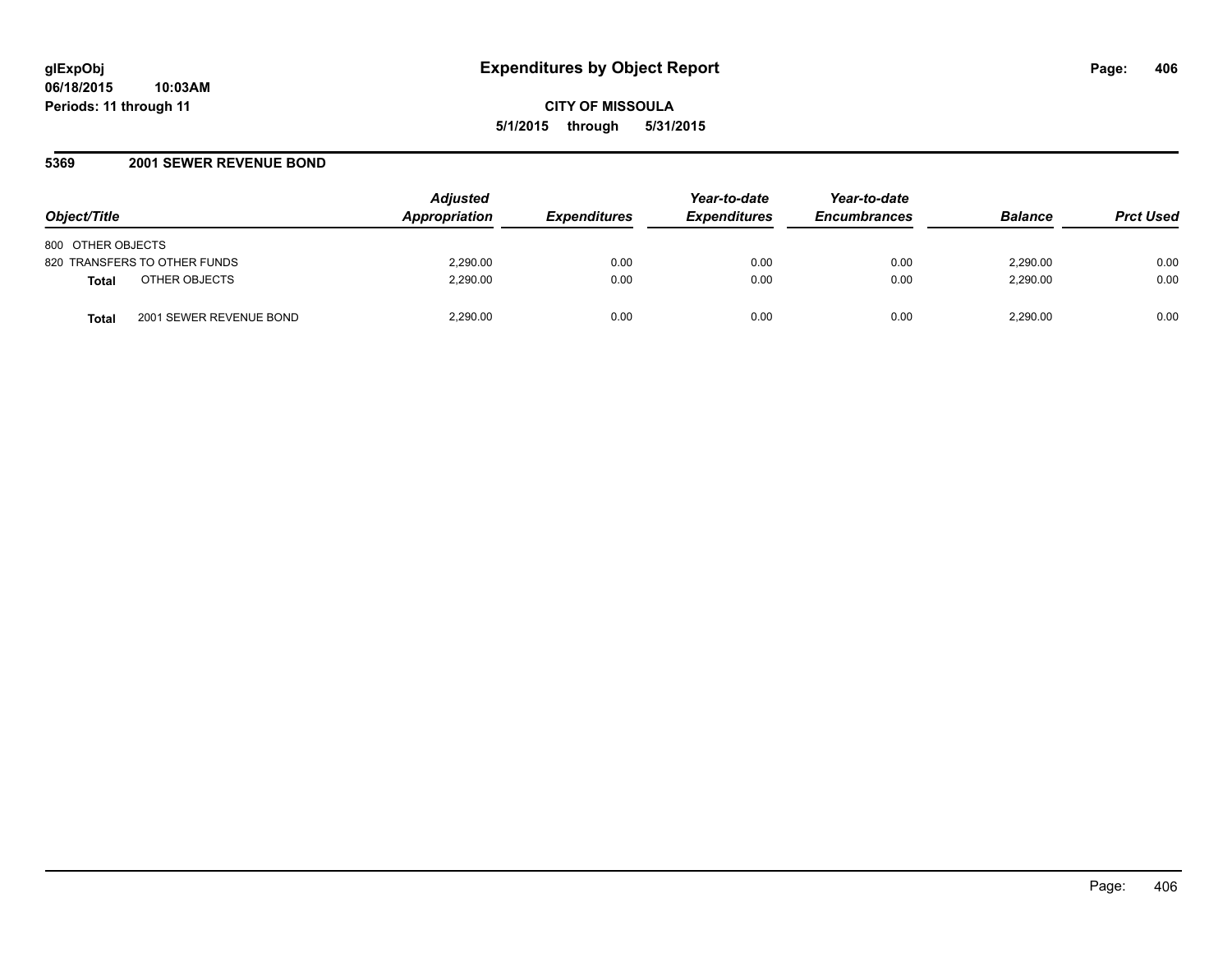### **5369 2001 SEWER REVENUE BOND**

| Object/Title                                 | <b>Adjusted</b><br><b>Appropriation</b> | <i><b>Expenditures</b></i> | Year-to-date<br><b>Expenditures</b> | Year-to-date<br><b>Encumbrances</b> | <b>Balance</b> | <b>Prct Used</b> |
|----------------------------------------------|-----------------------------------------|----------------------------|-------------------------------------|-------------------------------------|----------------|------------------|
| 800 OTHER OBJECTS                            |                                         |                            |                                     |                                     |                |                  |
| 820 TRANSFERS TO OTHER FUNDS                 | 2,290.00                                | 0.00                       | 0.00                                | 0.00                                | 2.290.00       | 0.00             |
| OTHER OBJECTS<br><b>Total</b>                | 2.290.00                                | 0.00                       | 0.00                                | 0.00                                | 2.290.00       | 0.00             |
| 2001 SEWER REVENUE BOND<br>Tota <sub>i</sub> | 2.290.00                                | 0.00                       | 0.00                                | 0.00                                | 2,290.00       | 0.00             |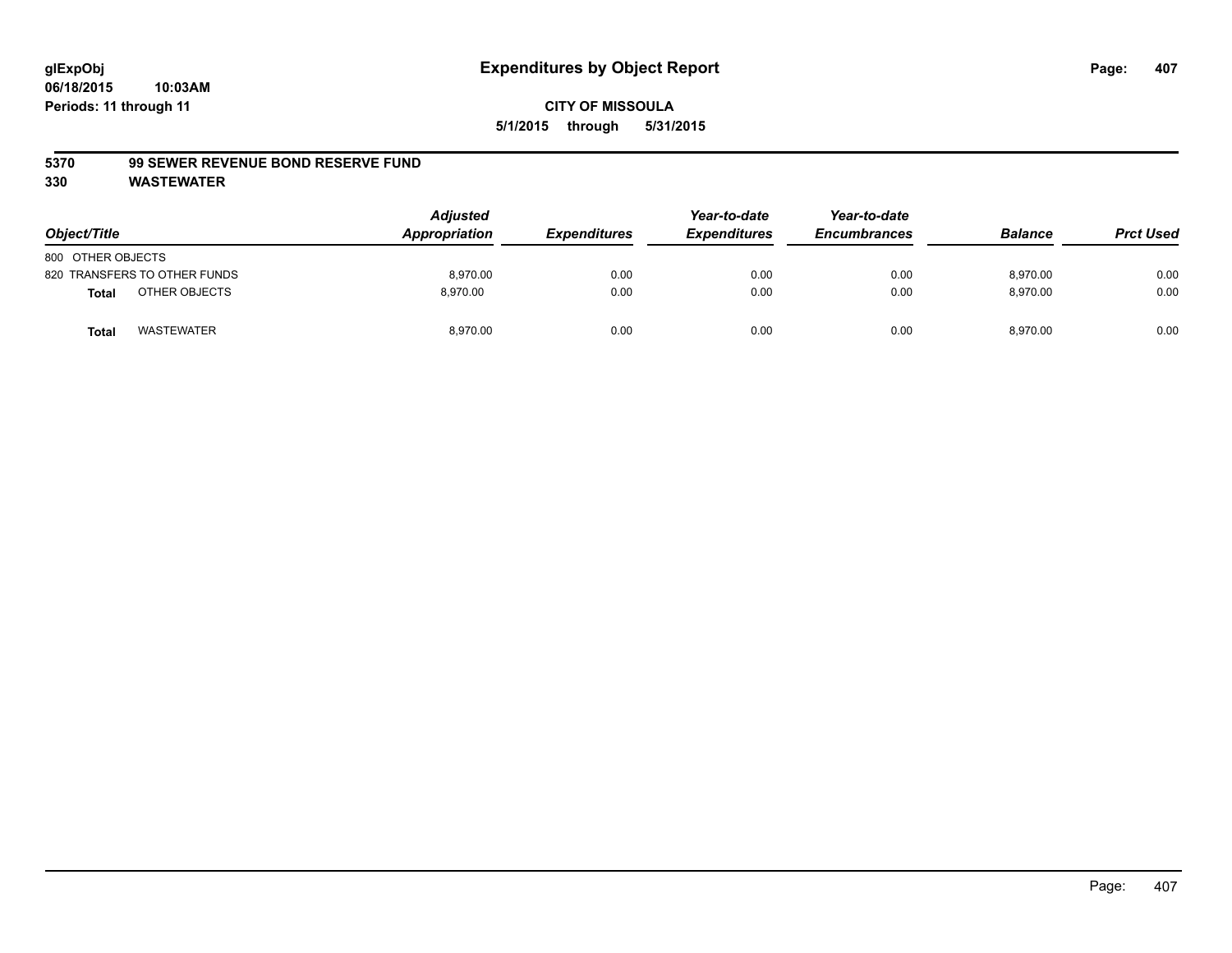#### **5370 99 SEWER REVENUE BOND RESERVE FUND**

| Object/Title                      | <b>Adjusted</b><br>Appropriation | <b>Expenditures</b> | Year-to-date<br><b>Expenditures</b> | Year-to-date<br><b>Encumbrances</b> | <b>Balance</b> | <b>Prct Used</b> |
|-----------------------------------|----------------------------------|---------------------|-------------------------------------|-------------------------------------|----------------|------------------|
| 800 OTHER OBJECTS                 |                                  |                     |                                     |                                     |                |                  |
| 820 TRANSFERS TO OTHER FUNDS      | 8.970.00                         | 0.00                | 0.00                                | 0.00                                | 8.970.00       | 0.00             |
| OTHER OBJECTS<br><b>Total</b>     | 8.970.00                         | 0.00                | 0.00                                | 0.00                                | 8,970.00       | 0.00             |
| <b>WASTEWATER</b><br><b>Total</b> | 8,970.00                         | 0.00                | 0.00                                | 0.00                                | 8,970.00       | 0.00             |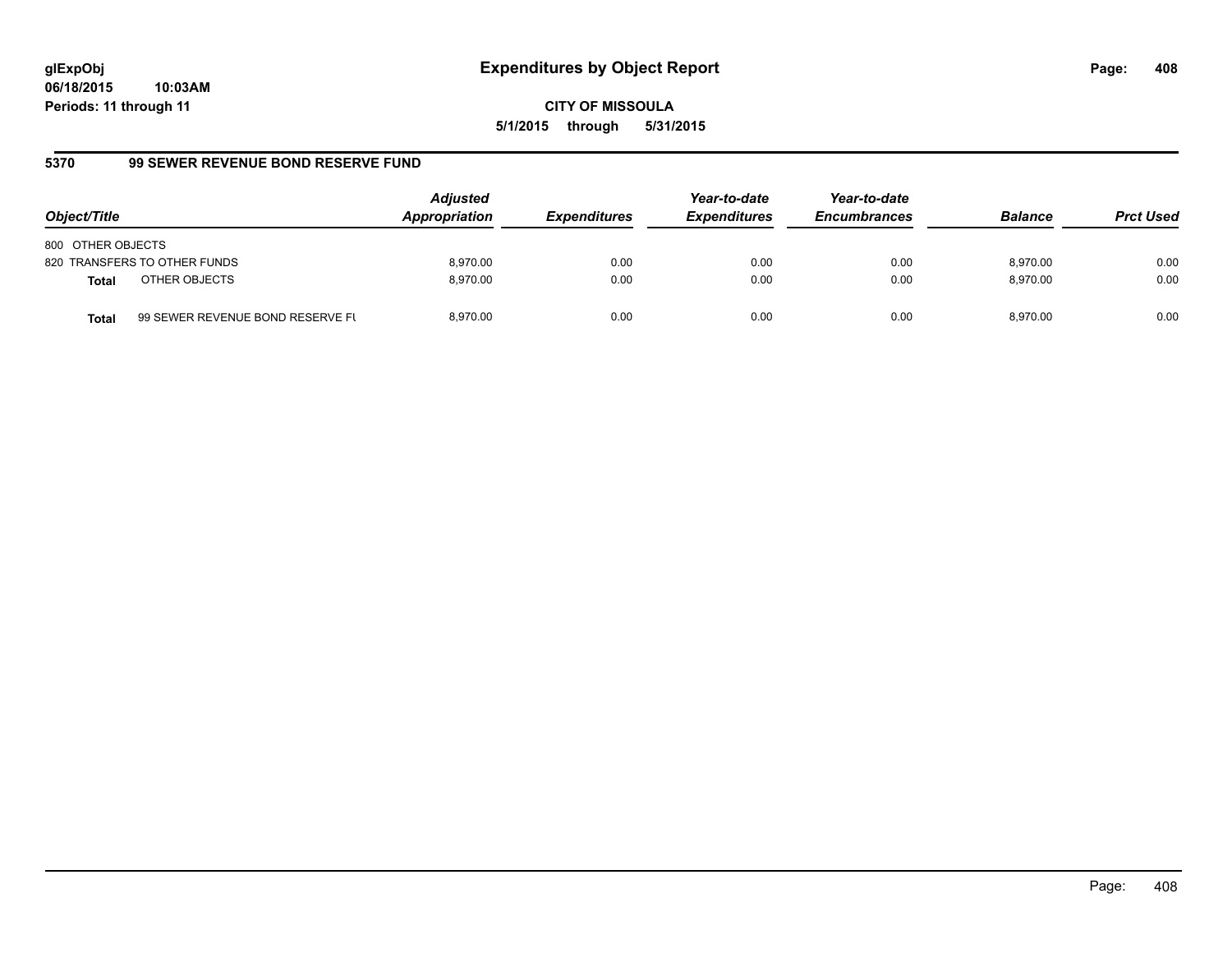**06/18/2015 10:03AM Periods: 11 through 11**

**CITY OF MISSOULA 5/1/2015 through 5/31/2015**

## **5370 99 SEWER REVENUE BOND RESERVE FUND**

| Object/Title                  |                                  | <b>Adjusted</b><br>Appropriation | <b>Expenditures</b> | Year-to-date<br><b>Expenditures</b> | Year-to-date<br><b>Encumbrances</b> | <b>Balance</b> | <b>Prct Used</b> |
|-------------------------------|----------------------------------|----------------------------------|---------------------|-------------------------------------|-------------------------------------|----------------|------------------|
| 800 OTHER OBJECTS             |                                  |                                  |                     |                                     |                                     |                |                  |
| 820 TRANSFERS TO OTHER FUNDS  |                                  | 8.970.00                         | 0.00                | 0.00                                | 0.00                                | 8.970.00       | 0.00             |
| OTHER OBJECTS<br><b>Total</b> |                                  | 8.970.00                         | 0.00                | 0.00                                | 0.00                                | 8.970.00       | 0.00             |
| <b>Total</b>                  | 99 SEWER REVENUE BOND RESERVE FL | 8.970.00                         | 0.00                | 0.00                                | 0.00                                | 8.970.00       | 0.00             |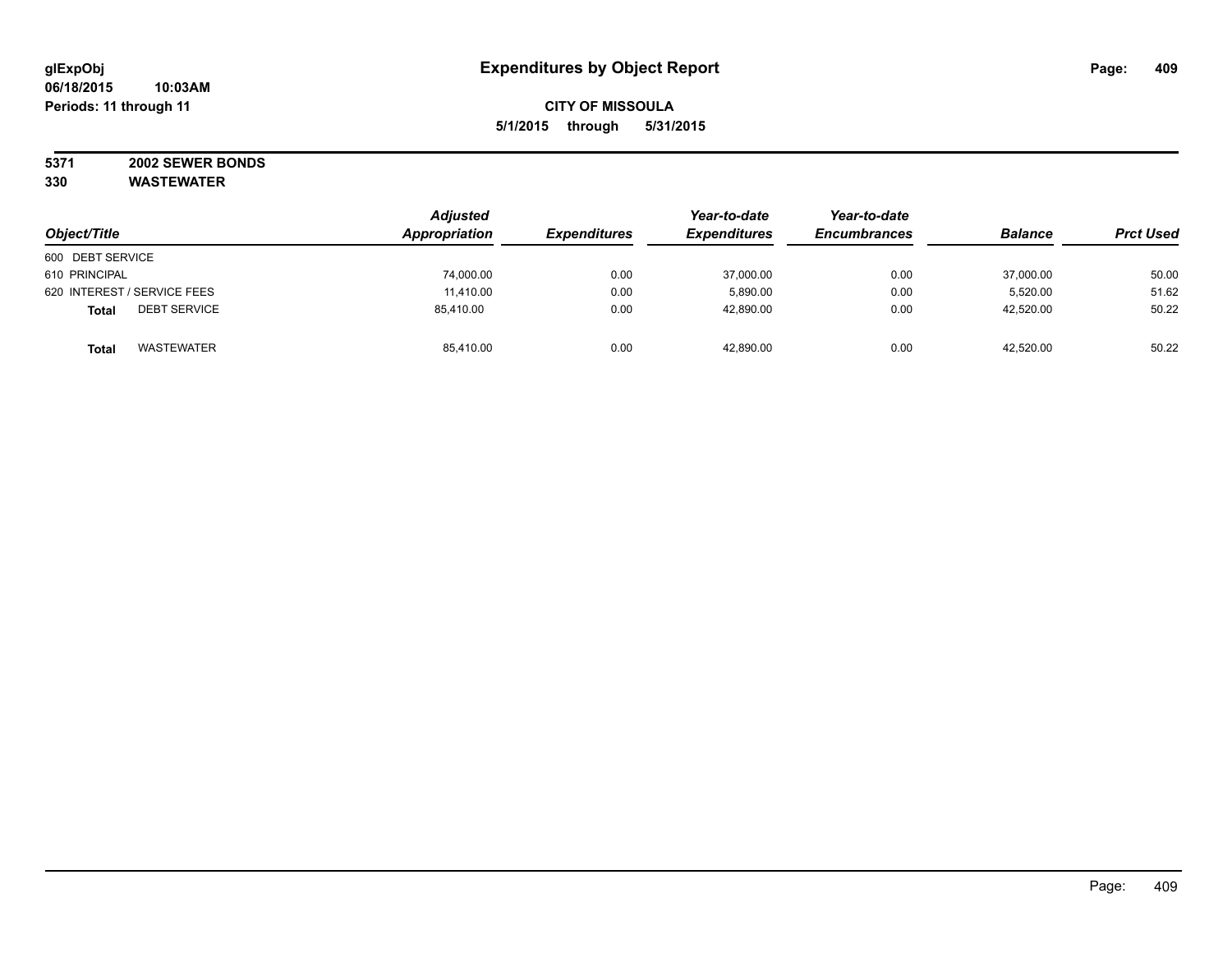#### **5371 2002 SEWER BONDS 330 WASTEWATER**

|                                     | <b>Adjusted</b> | Year-to-date        | Year-to-date        |                     |                |                  |
|-------------------------------------|-----------------|---------------------|---------------------|---------------------|----------------|------------------|
| Object/Title                        | Appropriation   | <b>Expenditures</b> | <b>Expenditures</b> | <b>Encumbrances</b> | <b>Balance</b> | <b>Prct Used</b> |
| 600 DEBT SERVICE                    |                 |                     |                     |                     |                |                  |
| 610 PRINCIPAL                       | 74,000.00       | 0.00                | 37,000.00           | 0.00                | 37,000.00      | 50.00            |
| 620 INTEREST / SERVICE FEES         | 11,410.00       | 0.00                | 5,890.00            | 0.00                | 5,520.00       | 51.62            |
| <b>DEBT SERVICE</b><br><b>Total</b> | 85,410.00       | 0.00                | 42,890.00           | 0.00                | 42,520.00      | 50.22            |
| <b>WASTEWATER</b><br><b>Total</b>   | 85,410.00       | 0.00                | 42.890.00           | 0.00                | 42,520.00      | 50.22            |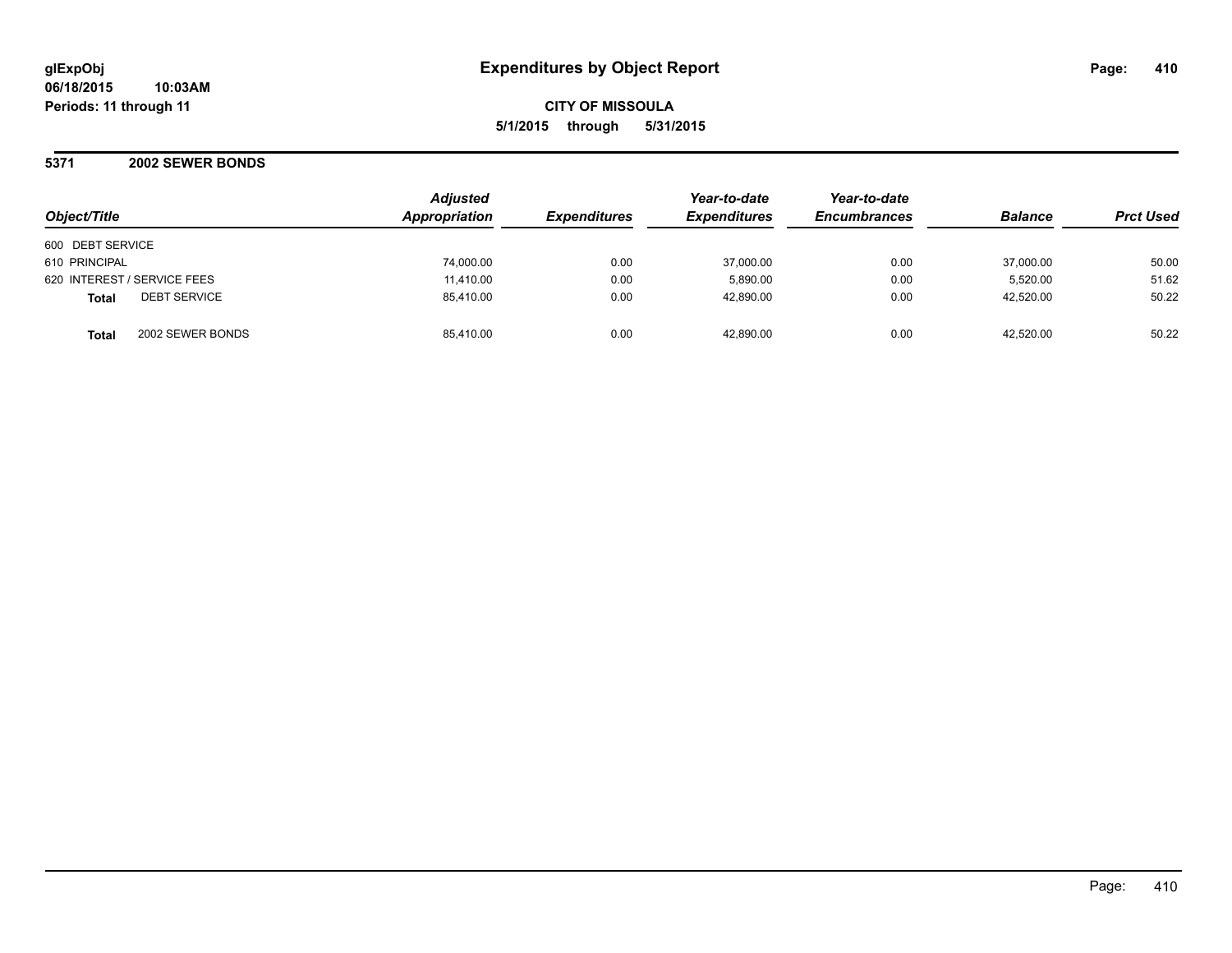**06/18/2015 10:03AM Periods: 11 through 11**

**CITY OF MISSOULA 5/1/2015 through 5/31/2015**

**5371 2002 SEWER BONDS**

| Object/Title                        | Adjusted<br>Appropriation | <b>Expenditures</b> | Year-to-date<br><b>Expenditures</b> | Year-to-date<br><b>Encumbrances</b> | <b>Balance</b> | <b>Prct Used</b> |
|-------------------------------------|---------------------------|---------------------|-------------------------------------|-------------------------------------|----------------|------------------|
| 600 DEBT SERVICE                    |                           |                     |                                     |                                     |                |                  |
| 610 PRINCIPAL                       | 74,000.00                 | 0.00                | 37,000.00                           | 0.00                                | 37,000.00      | 50.00            |
| 620 INTEREST / SERVICE FEES         | 11,410.00                 | 0.00                | 5,890.00                            | 0.00                                | 5,520.00       | 51.62            |
| <b>DEBT SERVICE</b><br><b>Total</b> | 85,410.00                 | 0.00                | 42,890.00                           | 0.00                                | 42,520.00      | 50.22            |
| 2002 SEWER BONDS<br><b>Total</b>    | 85.410.00                 | 0.00                | 42.890.00                           | 0.00                                | 42.520.00      | 50.22            |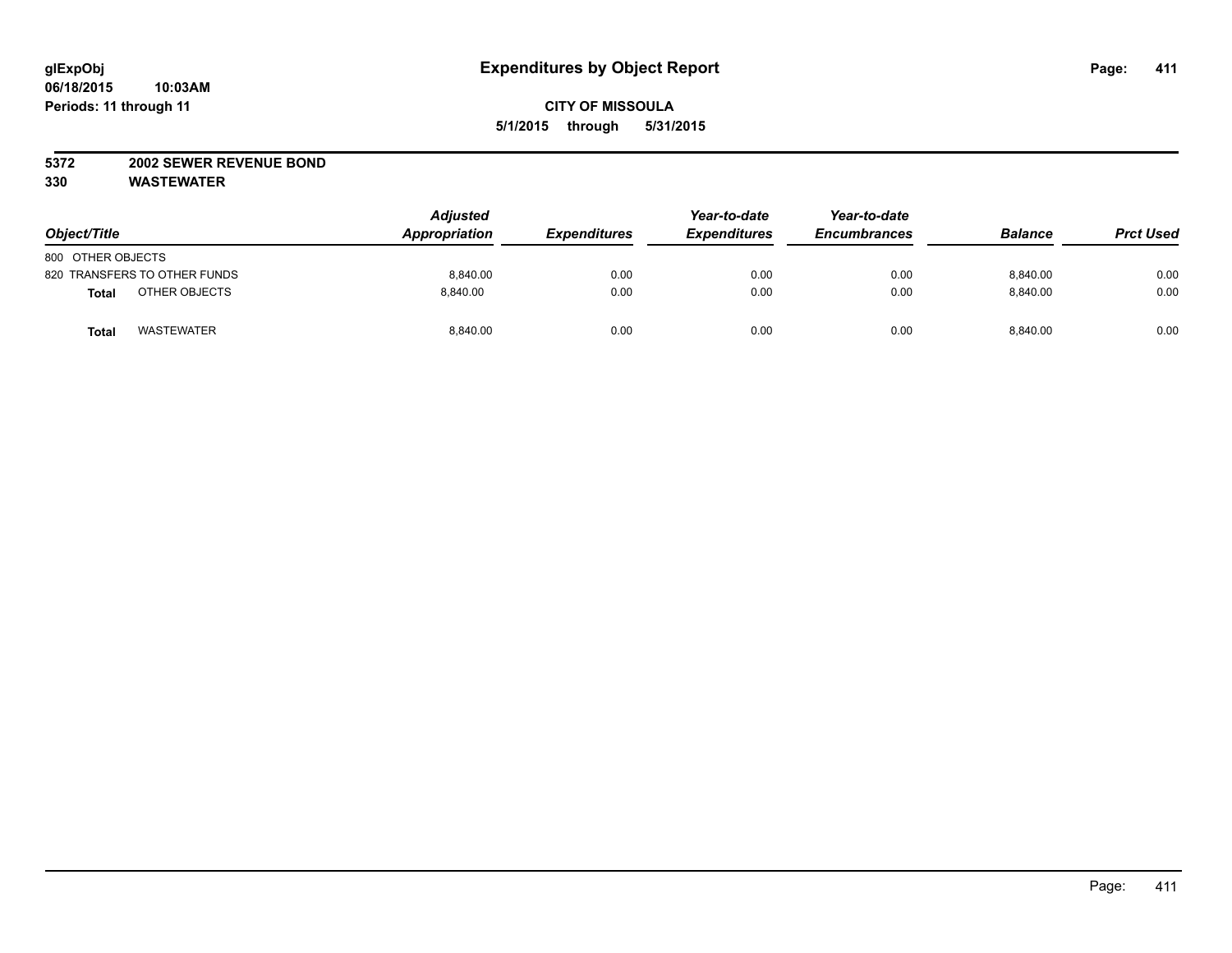#### **5372 2002 SEWER REVENUE BOND**

| Object/Title                 | <b>Adjusted</b><br>Appropriation | <b>Expenditures</b> | Year-to-date<br><b>Expenditures</b> | Year-to-date<br><b>Encumbrances</b> | <b>Balance</b> | <b>Prct Used</b> |
|------------------------------|----------------------------------|---------------------|-------------------------------------|-------------------------------------|----------------|------------------|
| 800 OTHER OBJECTS            |                                  |                     |                                     |                                     |                |                  |
| 820 TRANSFERS TO OTHER FUNDS | 8.840.00                         | 0.00                | 0.00                                | 0.00                                | 8,840.00       | 0.00             |
| OTHER OBJECTS<br>Total       | 8.840.00                         | 0.00                | 0.00                                | 0.00                                | 8.840.00       | 0.00             |
| <b>WASTEWATER</b><br>Total   | 8,840.00                         | 0.00                | 0.00                                | 0.00                                | 8.840.00       | 0.00             |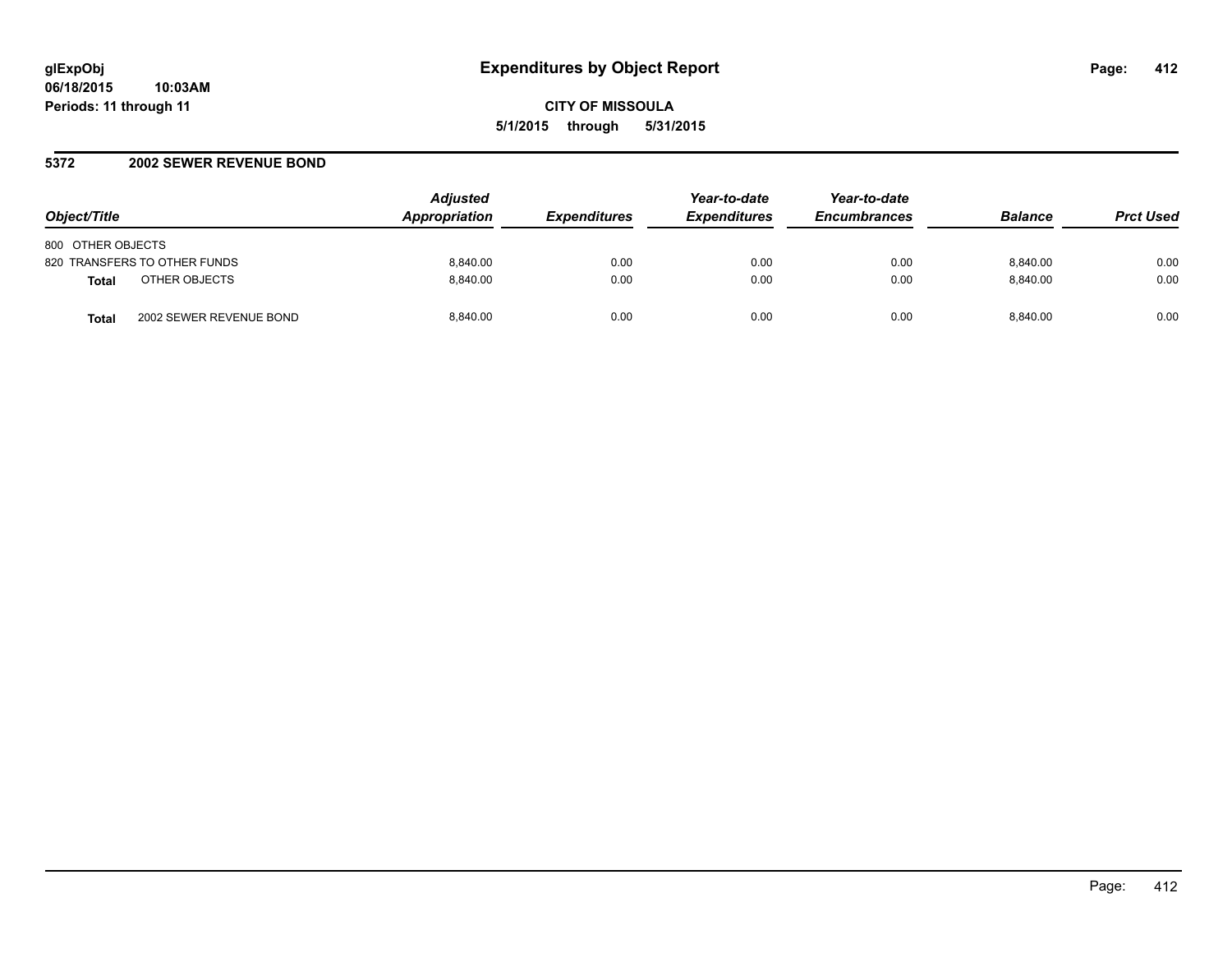### **5372 2002 SEWER REVENUE BOND**

| Object/Title                            | <b>Adjusted</b><br>Appropriation | <i><b>Expenditures</b></i> | Year-to-date<br><b>Expenditures</b> | Year-to-date<br><b>Encumbrances</b> | <b>Balance</b> | <b>Prct Used</b> |
|-----------------------------------------|----------------------------------|----------------------------|-------------------------------------|-------------------------------------|----------------|------------------|
| 800 OTHER OBJECTS                       |                                  |                            |                                     |                                     |                |                  |
| 820 TRANSFERS TO OTHER FUNDS            | 8.840.00                         | 0.00                       | 0.00                                | 0.00                                | 8.840.00       | 0.00             |
| OTHER OBJECTS<br><b>Total</b>           | 8.840.00                         | 0.00                       | 0.00                                | 0.00                                | 8.840.00       | 0.00             |
| 2002 SEWER REVENUE BOND<br><b>Total</b> | 8.840.00                         | 0.00                       | 0.00                                | 0.00                                | 8.840.00       | 0.00             |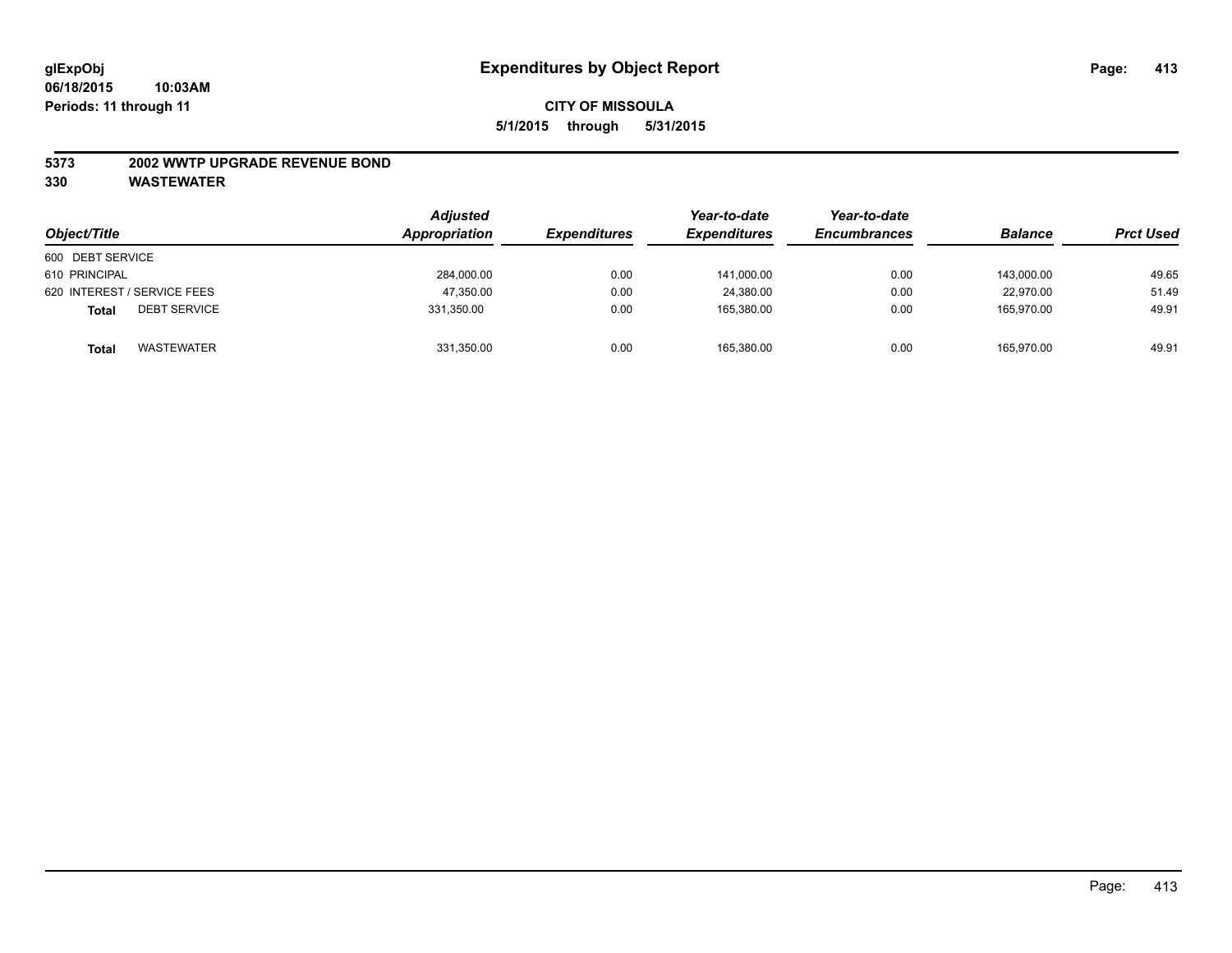#### **5373 2002 WWTP UPGRADE REVENUE BOND**

| Object/Title                        | <b>Adjusted</b><br>Appropriation | <i><b>Expenditures</b></i> | Year-to-date<br><b>Expenditures</b> | Year-to-date<br><b>Encumbrances</b> | <b>Balance</b> | <b>Prct Used</b> |
|-------------------------------------|----------------------------------|----------------------------|-------------------------------------|-------------------------------------|----------------|------------------|
| 600 DEBT SERVICE                    |                                  |                            |                                     |                                     |                |                  |
| 610 PRINCIPAL                       | 284,000.00                       | 0.00                       | 141,000.00                          | 0.00                                | 143.000.00     | 49.65            |
| 620 INTEREST / SERVICE FEES         | 47,350.00                        | 0.00                       | 24.380.00                           | 0.00                                | 22.970.00      | 51.49            |
| <b>DEBT SERVICE</b><br><b>Total</b> | 331,350.00                       | 0.00                       | 165.380.00                          | 0.00                                | 165.970.00     | 49.91            |
| <b>WASTEWATER</b><br><b>Total</b>   | 331,350.00                       | 0.00                       | 165,380.00                          | 0.00                                | 165,970.00     | 49.91            |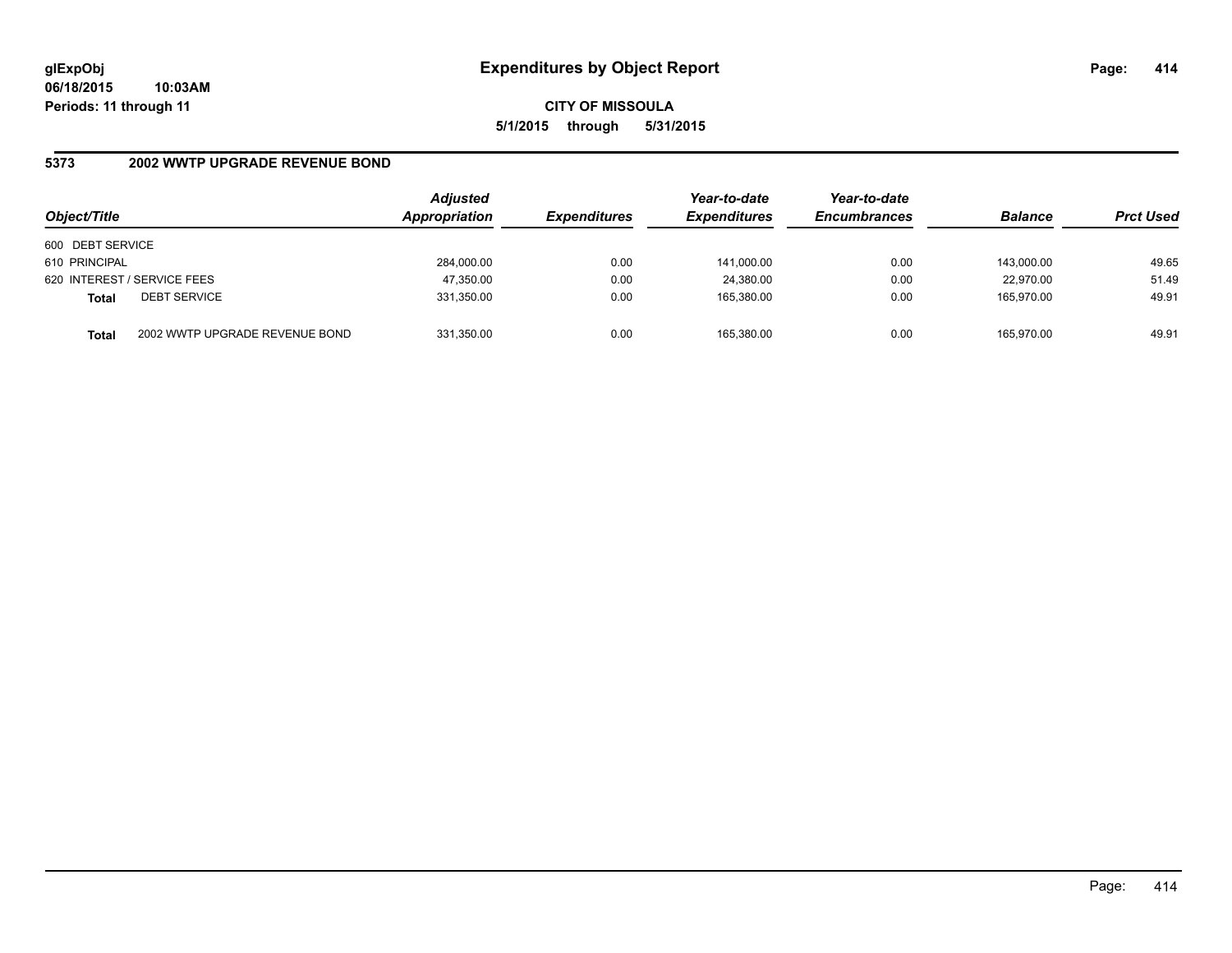## **5373 2002 WWTP UPGRADE REVENUE BOND**

| Object/Title     |                                | <b>Adjusted</b><br>Appropriation | <b>Expenditures</b> | Year-to-date<br><b>Expenditures</b> | Year-to-date<br><b>Encumbrances</b> | <b>Balance</b> | <b>Prct Used</b> |
|------------------|--------------------------------|----------------------------------|---------------------|-------------------------------------|-------------------------------------|----------------|------------------|
| 600 DEBT SERVICE |                                |                                  |                     |                                     |                                     |                |                  |
| 610 PRINCIPAL    |                                | 284,000.00                       | 0.00                | 141.000.00                          | 0.00                                | 143.000.00     | 49.65            |
|                  | 620 INTEREST / SERVICE FEES    | 47,350.00                        | 0.00                | 24,380.00                           | 0.00                                | 22,970.00      | 51.49            |
| <b>Total</b>     | <b>DEBT SERVICE</b>            | 331,350.00                       | 0.00                | 165.380.00                          | 0.00                                | 165.970.00     | 49.91            |
| <b>Total</b>     | 2002 WWTP UPGRADE REVENUE BOND | 331,350.00                       | 0.00                | 165,380.00                          | 0.00                                | 165.970.00     | 49.91            |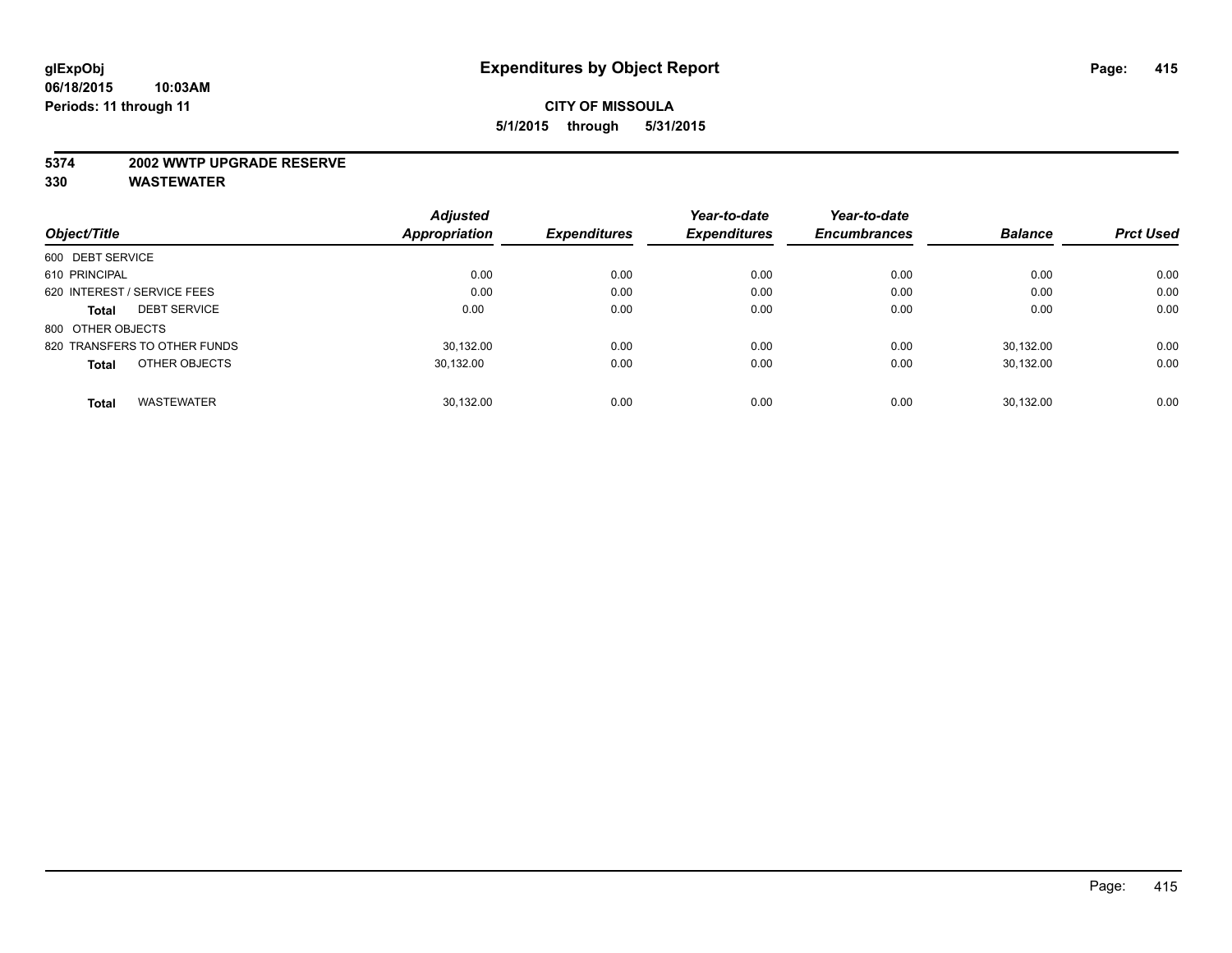#### **5374 2002 WWTP UPGRADE RESERVE**

|                                     | <b>Adjusted</b>      |                     | Year-to-date        | Year-to-date        |                |                  |
|-------------------------------------|----------------------|---------------------|---------------------|---------------------|----------------|------------------|
| Object/Title                        | <b>Appropriation</b> | <b>Expenditures</b> | <b>Expenditures</b> | <b>Encumbrances</b> | <b>Balance</b> | <b>Prct Used</b> |
| 600 DEBT SERVICE                    |                      |                     |                     |                     |                |                  |
| 610 PRINCIPAL                       | 0.00                 | 0.00                | 0.00                | 0.00                | 0.00           | 0.00             |
| 620 INTEREST / SERVICE FEES         | 0.00                 | 0.00                | 0.00                | 0.00                | 0.00           | 0.00             |
| <b>DEBT SERVICE</b><br><b>Total</b> | 0.00                 | 0.00                | 0.00                | 0.00                | 0.00           | 0.00             |
| 800 OTHER OBJECTS                   |                      |                     |                     |                     |                |                  |
| 820 TRANSFERS TO OTHER FUNDS        | 30,132.00            | 0.00                | 0.00                | 0.00                | 30.132.00      | 0.00             |
| OTHER OBJECTS<br><b>Total</b>       | 30,132.00            | 0.00                | 0.00                | 0.00                | 30,132.00      | 0.00             |
| <b>WASTEWATER</b><br><b>Total</b>   | 30.132.00            | 0.00                | 0.00                | 0.00                | 30.132.00      | 0.00             |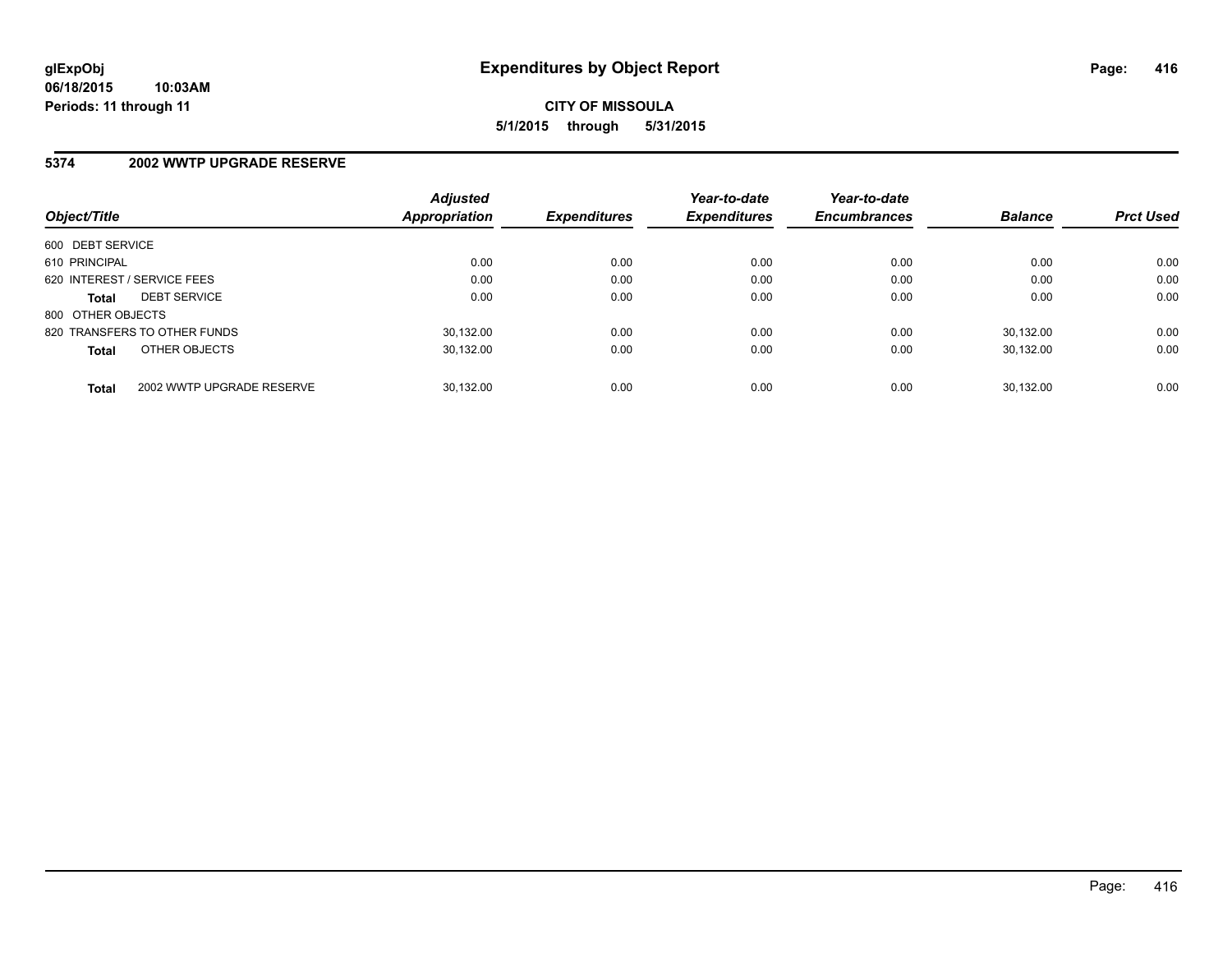### **5374 2002 WWTP UPGRADE RESERVE**

| Object/Title                 |                           | <b>Adjusted</b><br><b>Appropriation</b> | <b>Expenditures</b> | Year-to-date<br><b>Expenditures</b> | Year-to-date<br><b>Encumbrances</b> | <b>Balance</b> | <b>Prct Used</b> |
|------------------------------|---------------------------|-----------------------------------------|---------------------|-------------------------------------|-------------------------------------|----------------|------------------|
| 600 DEBT SERVICE             |                           |                                         |                     |                                     |                                     |                |                  |
| 610 PRINCIPAL                |                           | 0.00                                    | 0.00                | 0.00                                | 0.00                                | 0.00           | 0.00             |
| 620 INTEREST / SERVICE FEES  |                           | 0.00                                    | 0.00                | 0.00                                | 0.00                                | 0.00           | 0.00             |
| <b>Total</b>                 | <b>DEBT SERVICE</b>       | 0.00                                    | 0.00                | 0.00                                | 0.00                                | 0.00           | 0.00             |
| 800 OTHER OBJECTS            |                           |                                         |                     |                                     |                                     |                |                  |
| 820 TRANSFERS TO OTHER FUNDS |                           | 30.132.00                               | 0.00                | 0.00                                | 0.00                                | 30.132.00      | 0.00             |
| <b>Total</b>                 | OTHER OBJECTS             | 30.132.00                               | 0.00                | 0.00                                | 0.00                                | 30.132.00      | 0.00             |
| <b>Total</b>                 | 2002 WWTP UPGRADE RESERVE | 30.132.00                               | 0.00                | 0.00                                | 0.00                                | 30.132.00      | 0.00             |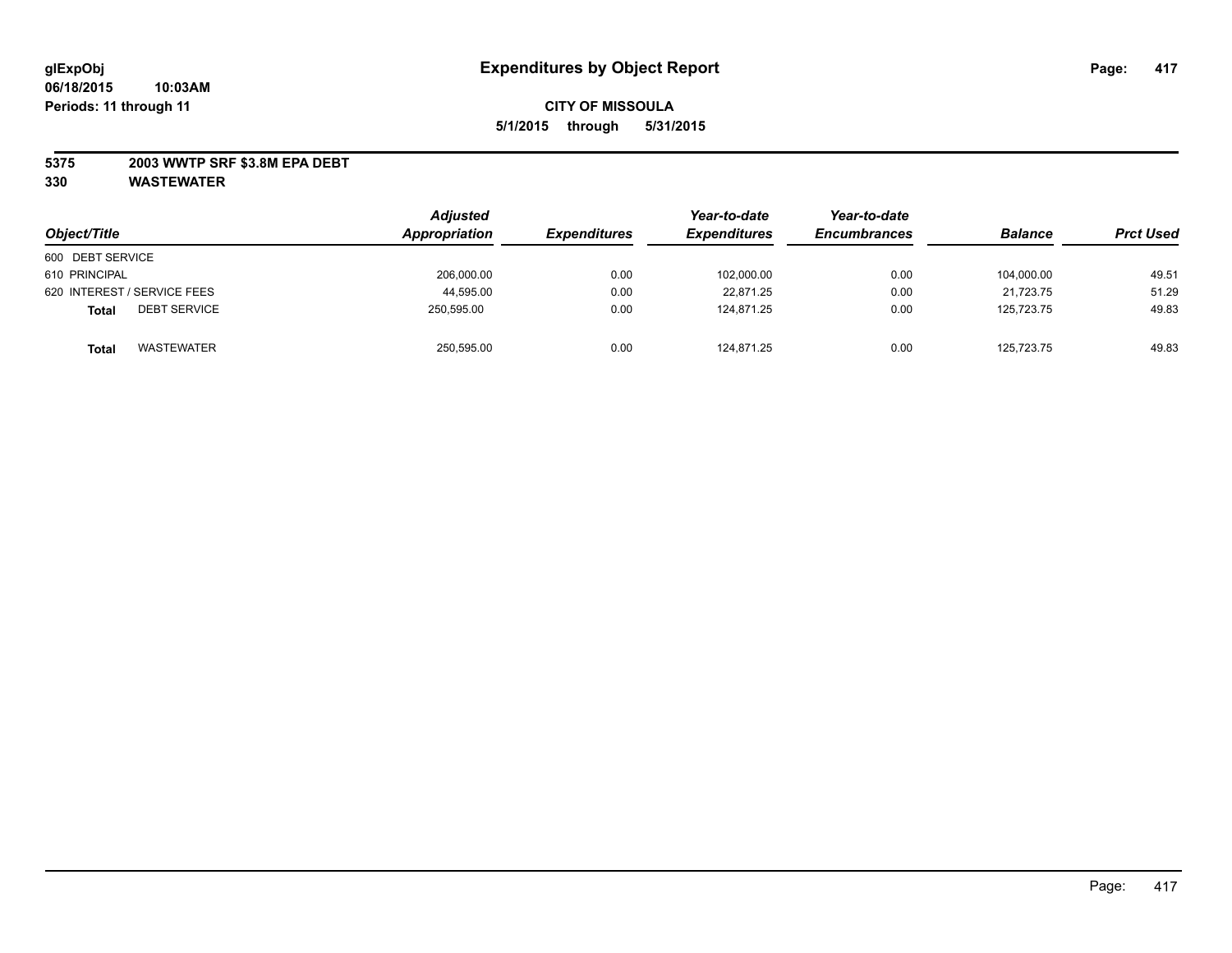### **5375 2003 WWTP SRF \$3.8M EPA DEBT**

| Object/Title                        | <b>Adjusted</b><br>Appropriation | <b>Expenditures</b> | Year-to-date<br><i><b>Expenditures</b></i> | Year-to-date<br><b>Encumbrances</b> | <b>Balance</b> | <b>Prct Used</b> |
|-------------------------------------|----------------------------------|---------------------|--------------------------------------------|-------------------------------------|----------------|------------------|
| 600 DEBT SERVICE                    |                                  |                     |                                            |                                     |                |                  |
| 610 PRINCIPAL                       | 206,000.00                       | 0.00                | 102,000.00                                 | 0.00                                | 104.000.00     | 49.51            |
| 620 INTEREST / SERVICE FEES         | 44,595.00                        | 0.00                | 22,871.25                                  | 0.00                                | 21.723.75      | 51.29            |
| <b>DEBT SERVICE</b><br><b>Total</b> | 250.595.00                       | 0.00                | 124.871.25                                 | 0.00                                | 125.723.75     | 49.83            |
| <b>WASTEWATER</b><br><b>Total</b>   | 250,595.00                       | 0.00                | 124,871.25                                 | 0.00                                | 125,723.75     | 49.83            |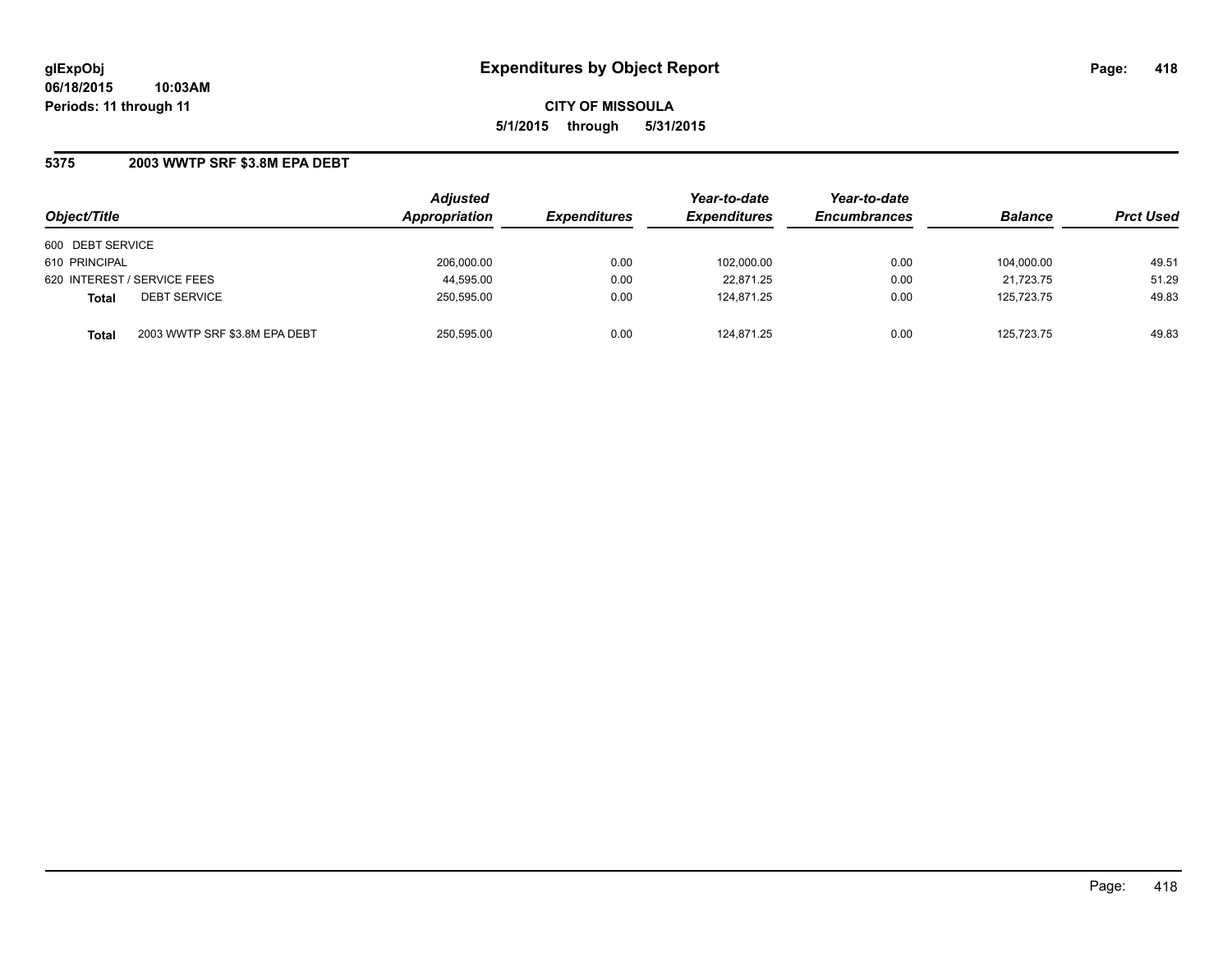### **5375 2003 WWTP SRF \$3.8M EPA DEBT**

| Object/Title                                  | <b>Adjusted</b><br>Appropriation | <b>Expenditures</b> | Year-to-date<br><b>Expenditures</b> | Year-to-date<br><b>Encumbrances</b> | <b>Balance</b> | <b>Prct Used</b> |
|-----------------------------------------------|----------------------------------|---------------------|-------------------------------------|-------------------------------------|----------------|------------------|
| 600 DEBT SERVICE                              |                                  |                     |                                     |                                     |                |                  |
| 610 PRINCIPAL                                 | 206,000.00                       | 0.00                | 102,000.00                          | 0.00                                | 104.000.00     | 49.51            |
| 620 INTEREST / SERVICE FEES                   | 44,595.00                        | 0.00                | 22,871.25                           | 0.00                                | 21.723.75      | 51.29            |
| <b>DEBT SERVICE</b><br><b>Total</b>           | 250.595.00                       | 0.00                | 124.871.25                          | 0.00                                | 125.723.75     | 49.83            |
| 2003 WWTP SRF \$3.8M EPA DEBT<br><b>Total</b> | 250.595.00                       | 0.00                | 124.871.25                          | 0.00                                | 125.723.75     | 49.83            |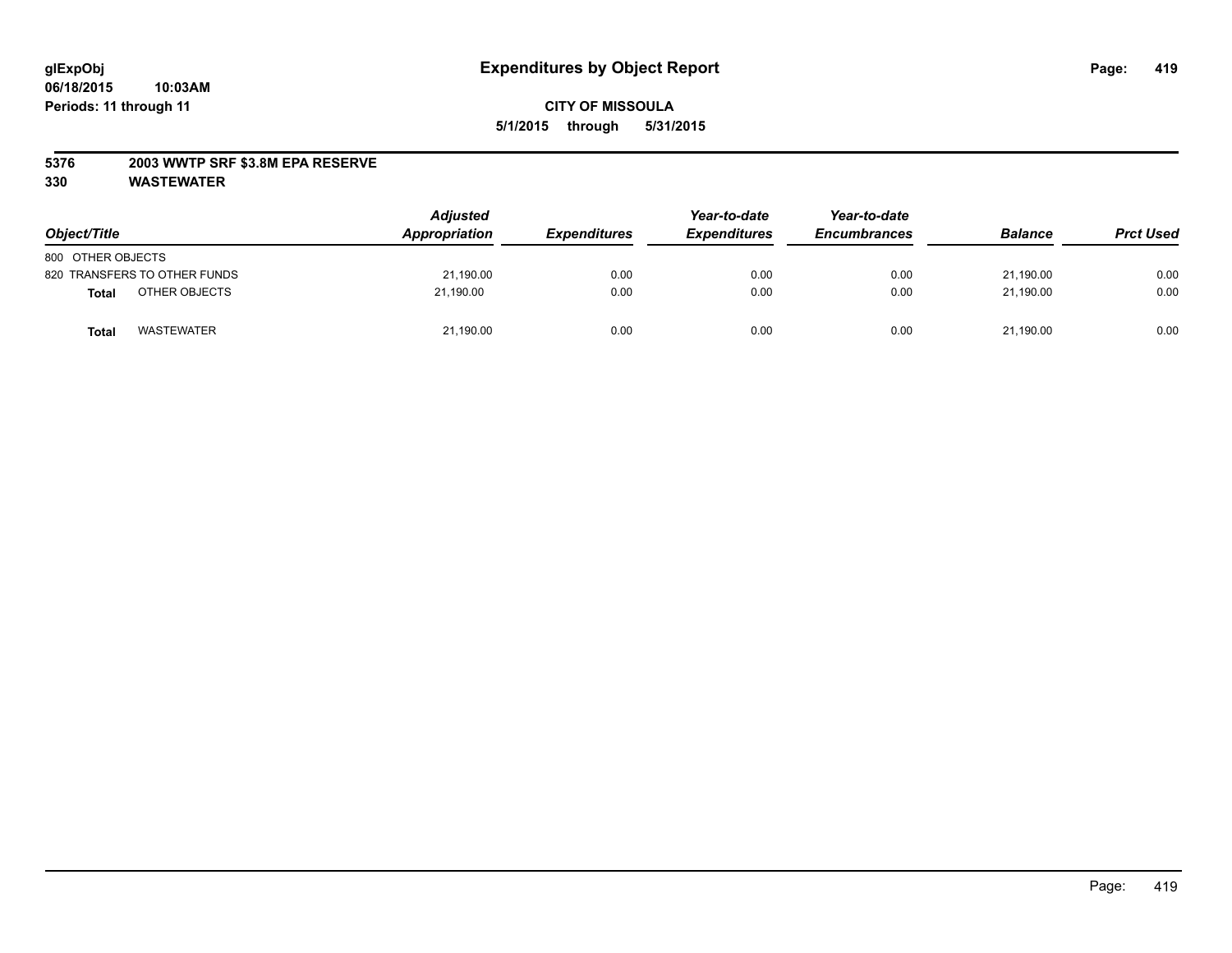### **5376 2003 WWTP SRF \$3.8M EPA RESERVE**

| Object/Title                      | <b>Adjusted</b><br>Appropriation | <i><b>Expenditures</b></i> | Year-to-date<br><b>Expenditures</b> | Year-to-date<br><b>Encumbrances</b> | <b>Balance</b> | <b>Prct Used</b> |
|-----------------------------------|----------------------------------|----------------------------|-------------------------------------|-------------------------------------|----------------|------------------|
| 800 OTHER OBJECTS                 |                                  |                            |                                     |                                     |                |                  |
| 820 TRANSFERS TO OTHER FUNDS      | 21,190.00                        | 0.00                       | 0.00                                | 0.00                                | 21,190.00      | 0.00             |
| OTHER OBJECTS<br><b>Total</b>     | 21,190.00                        | 0.00                       | 0.00                                | 0.00                                | 21.190.00      | 0.00             |
| <b>WASTEWATER</b><br><b>Total</b> | 21,190.00                        | 0.00                       | 0.00                                | 0.00                                | 21,190.00      | 0.00             |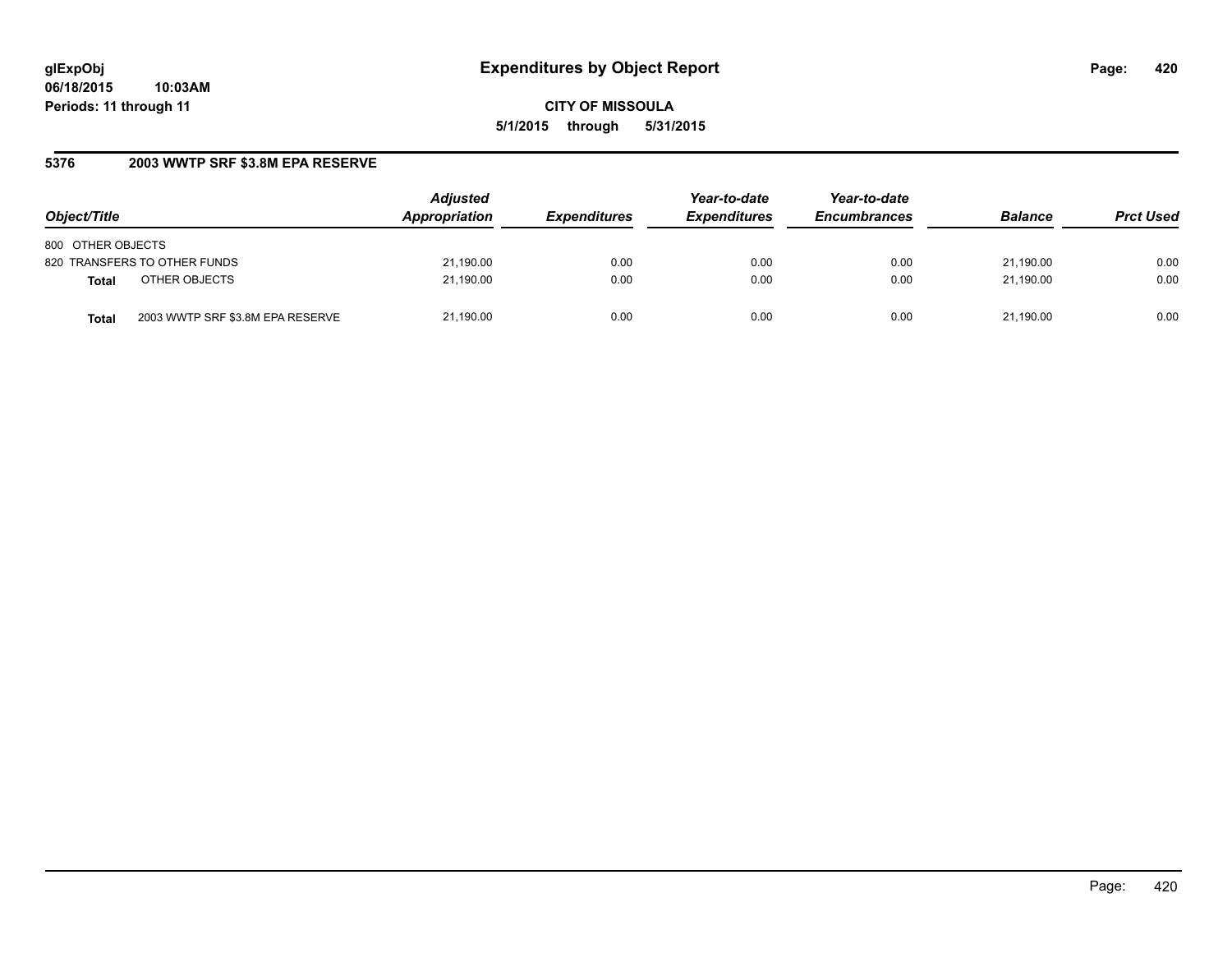## **5376 2003 WWTP SRF \$3.8M EPA RESERVE**

| Object/Title                              | <b>Adjusted</b><br>Appropriation | <b>Expenditures</b> | Year-to-date<br><b>Expenditures</b> | Year-to-date<br><b>Encumbrances</b> | <b>Balance</b> | <b>Prct Used</b> |
|-------------------------------------------|----------------------------------|---------------------|-------------------------------------|-------------------------------------|----------------|------------------|
| 800 OTHER OBJECTS                         |                                  |                     |                                     |                                     |                |                  |
| 820 TRANSFERS TO OTHER FUNDS              | 21,190.00                        | 0.00                | 0.00                                | 0.00                                | 21.190.00      | 0.00             |
| OTHER OBJECTS<br><b>Total</b>             | 21,190.00                        | 0.00                | 0.00                                | 0.00                                | 21.190.00      | 0.00             |
| 2003 WWTP SRF \$3.8M EPA RESERVE<br>Total | 21,190.00                        | 0.00                | 0.00                                | 0.00                                | 21.190.00      | 0.00             |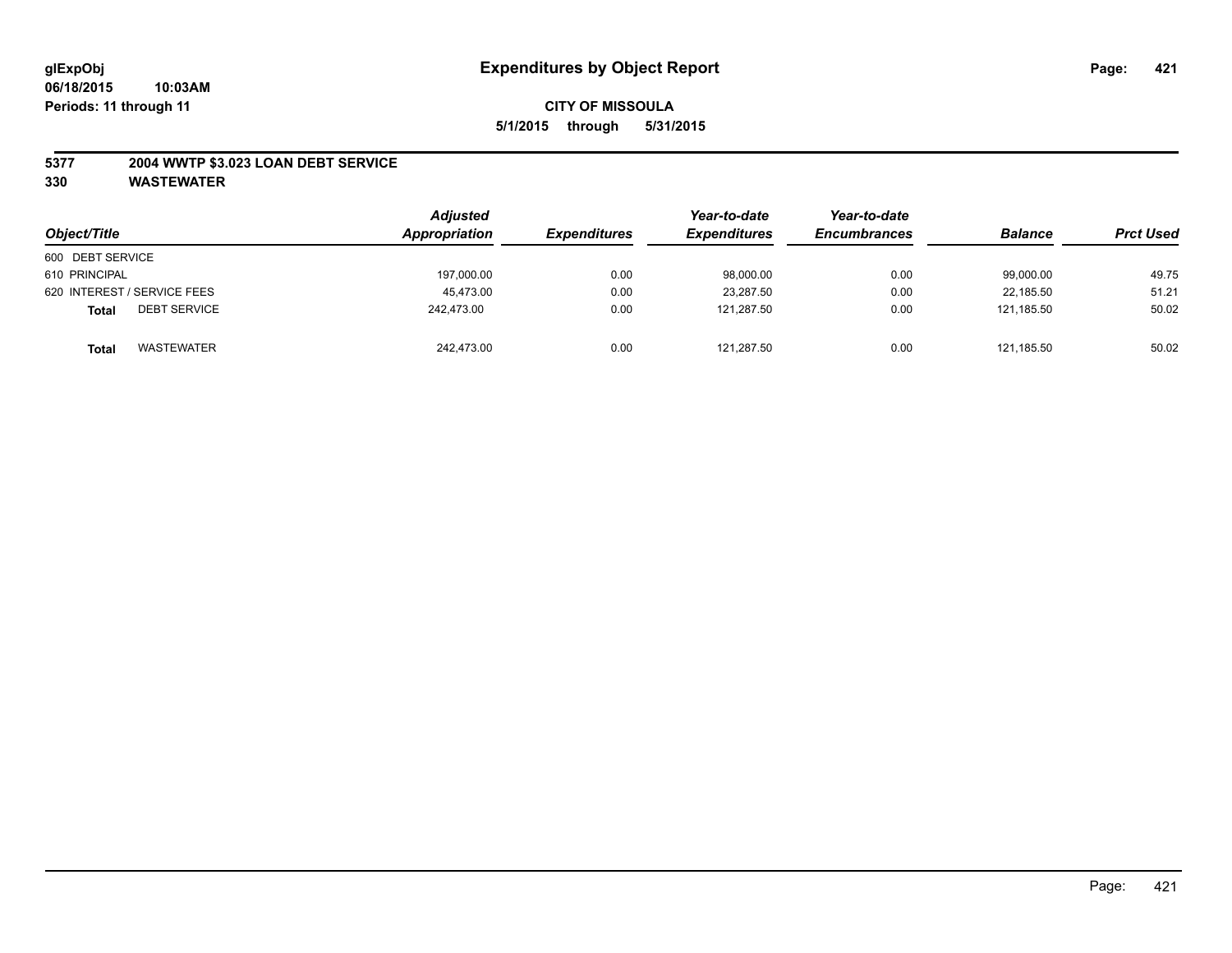### **5377 2004 WWTP \$3.023 LOAN DEBT SERVICE**

| Object/Title                        | <b>Adjusted</b><br>Appropriation | <i><b>Expenditures</b></i> | Year-to-date<br><b>Expenditures</b> | Year-to-date<br><b>Encumbrances</b> | <b>Balance</b> | <b>Prct Used</b> |
|-------------------------------------|----------------------------------|----------------------------|-------------------------------------|-------------------------------------|----------------|------------------|
| 600 DEBT SERVICE                    |                                  |                            |                                     |                                     |                |                  |
| 610 PRINCIPAL                       | 197,000.00                       | 0.00                       | 98,000.00                           | 0.00                                | 99,000.00      | 49.75            |
| 620 INTEREST / SERVICE FEES         | 45.473.00                        | 0.00                       | 23,287.50                           | 0.00                                | 22.185.50      | 51.21            |
| <b>DEBT SERVICE</b><br><b>Total</b> | 242.473.00                       | 0.00                       | 121.287.50                          | 0.00                                | 121.185.50     | 50.02            |
| WASTEWATER<br><b>Total</b>          | 242.473.00                       | 0.00                       | 121,287.50                          | 0.00                                | 121.185.50     | 50.02            |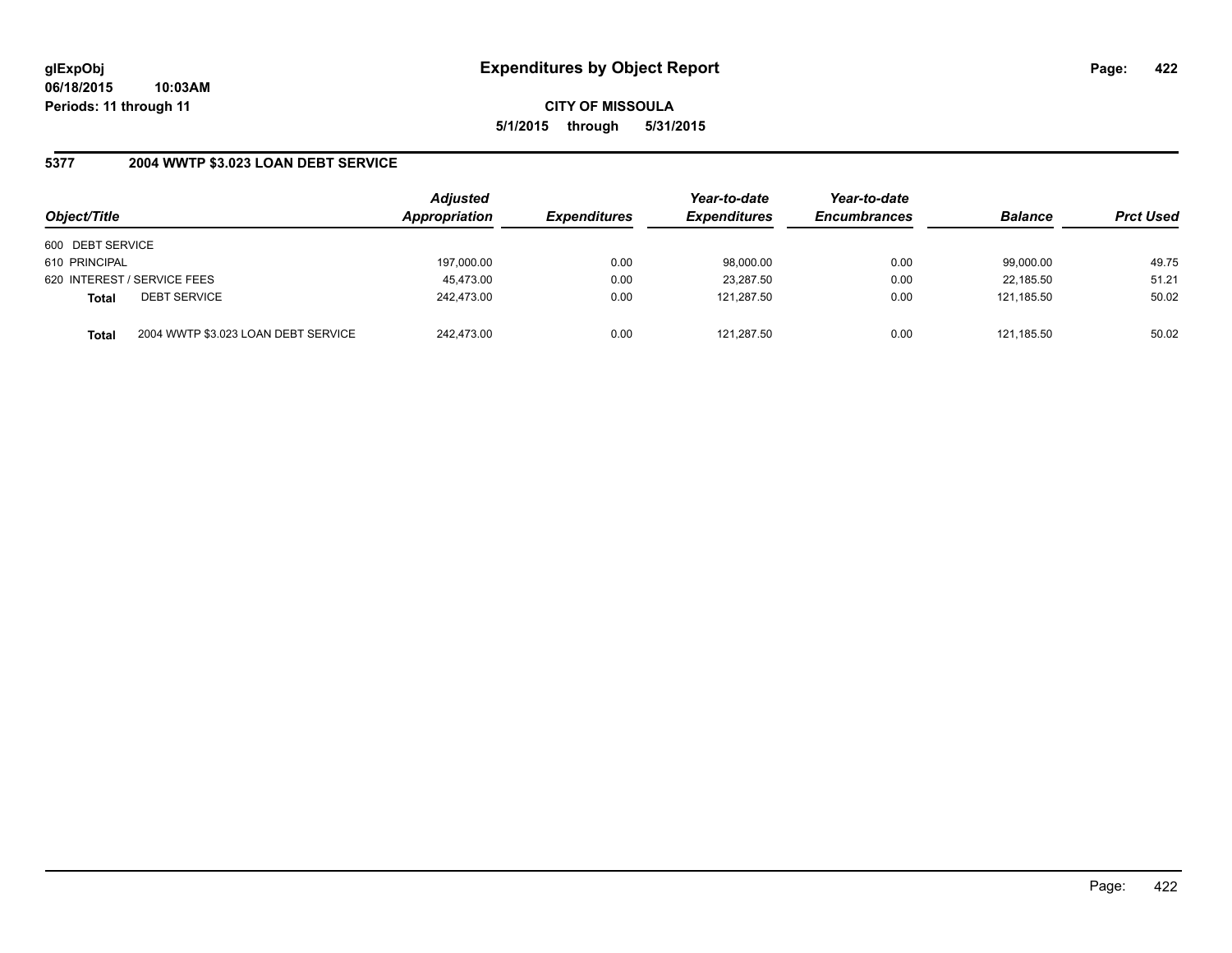### **5377 2004 WWTP \$3.023 LOAN DEBT SERVICE**

| Object/Title     |                                     | <b>Adjusted</b><br>Appropriation | <b>Expenditures</b> | Year-to-date<br><b>Expenditures</b> | Year-to-date<br><b>Encumbrances</b> | <b>Balance</b> | <b>Prct Used</b> |
|------------------|-------------------------------------|----------------------------------|---------------------|-------------------------------------|-------------------------------------|----------------|------------------|
| 600 DEBT SERVICE |                                     |                                  |                     |                                     |                                     |                |                  |
| 610 PRINCIPAL    |                                     | 197,000.00                       | 0.00                | 98,000.00                           | 0.00                                | 99.000.00      | 49.75            |
|                  | 620 INTEREST / SERVICE FEES         | 45,473.00                        | 0.00                | 23,287.50                           | 0.00                                | 22.185.50      | 51.21            |
| <b>Total</b>     | <b>DEBT SERVICE</b>                 | 242.473.00                       | 0.00                | 121.287.50                          | 0.00                                | 121.185.50     | 50.02            |
| <b>Total</b>     | 2004 WWTP \$3.023 LOAN DEBT SERVICE | 242.473.00                       | 0.00                | 121,287.50                          | 0.00                                | 121.185.50     | 50.02            |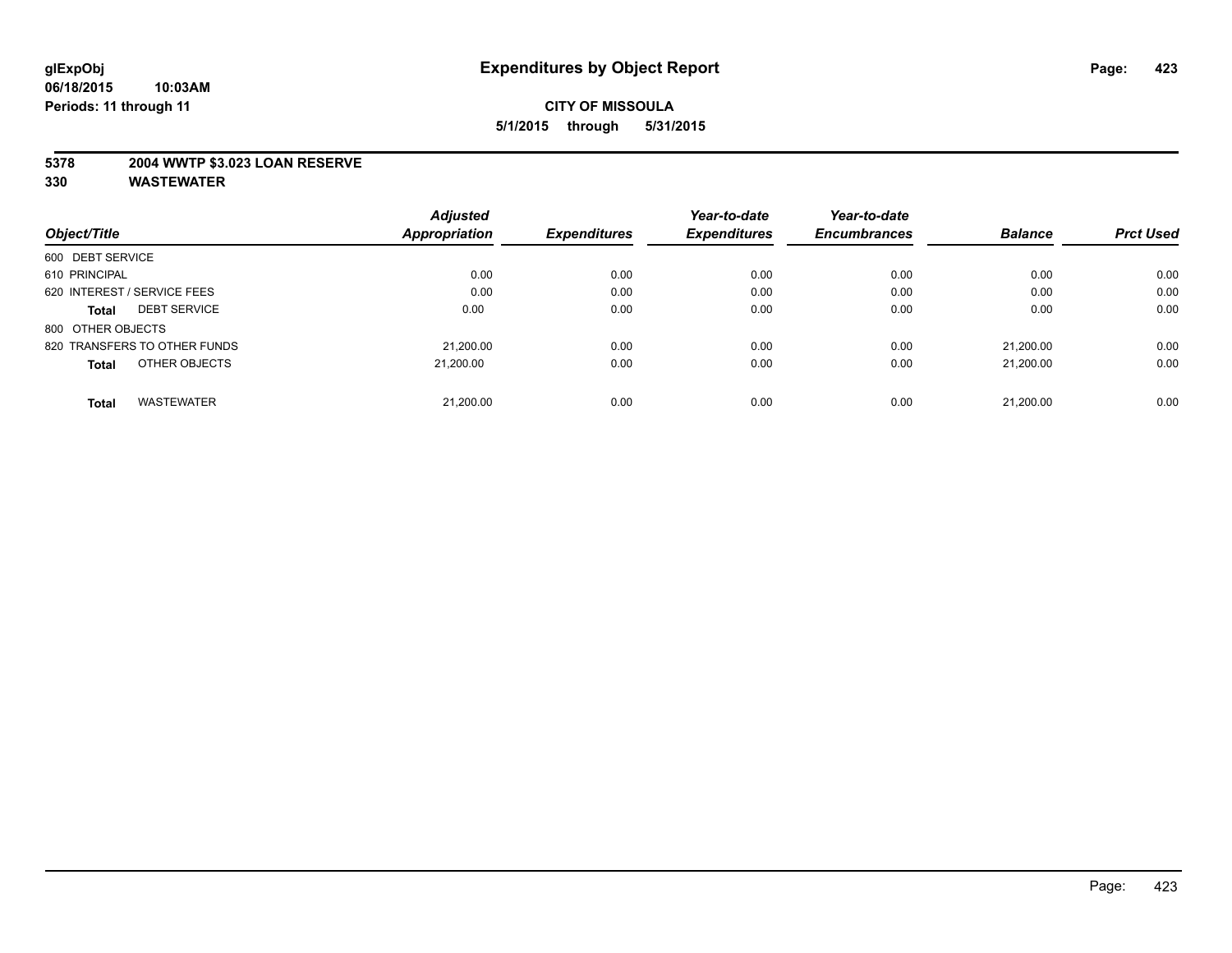### **5378 2004 WWTP \$3.023 LOAN RESERVE**

|                                     | <b>Adjusted</b>      |                     | Year-to-date        | Year-to-date        |                |                  |
|-------------------------------------|----------------------|---------------------|---------------------|---------------------|----------------|------------------|
| Object/Title                        | <b>Appropriation</b> | <b>Expenditures</b> | <b>Expenditures</b> | <b>Encumbrances</b> | <b>Balance</b> | <b>Prct Used</b> |
| 600 DEBT SERVICE                    |                      |                     |                     |                     |                |                  |
| 610 PRINCIPAL                       | 0.00                 | 0.00                | 0.00                | 0.00                | 0.00           | 0.00             |
| 620 INTEREST / SERVICE FEES         | 0.00                 | 0.00                | 0.00                | 0.00                | 0.00           | 0.00             |
| <b>DEBT SERVICE</b><br><b>Total</b> | 0.00                 | 0.00                | 0.00                | 0.00                | 0.00           | 0.00             |
| 800 OTHER OBJECTS                   |                      |                     |                     |                     |                |                  |
| 820 TRANSFERS TO OTHER FUNDS        | 21,200.00            | 0.00                | 0.00                | 0.00                | 21.200.00      | 0.00             |
| OTHER OBJECTS<br><b>Total</b>       | 21.200.00            | 0.00                | 0.00                | 0.00                | 21.200.00      | 0.00             |
| <b>WASTEWATER</b><br><b>Total</b>   | 21,200.00            | 0.00                | 0.00                | 0.00                | 21.200.00      | 0.00             |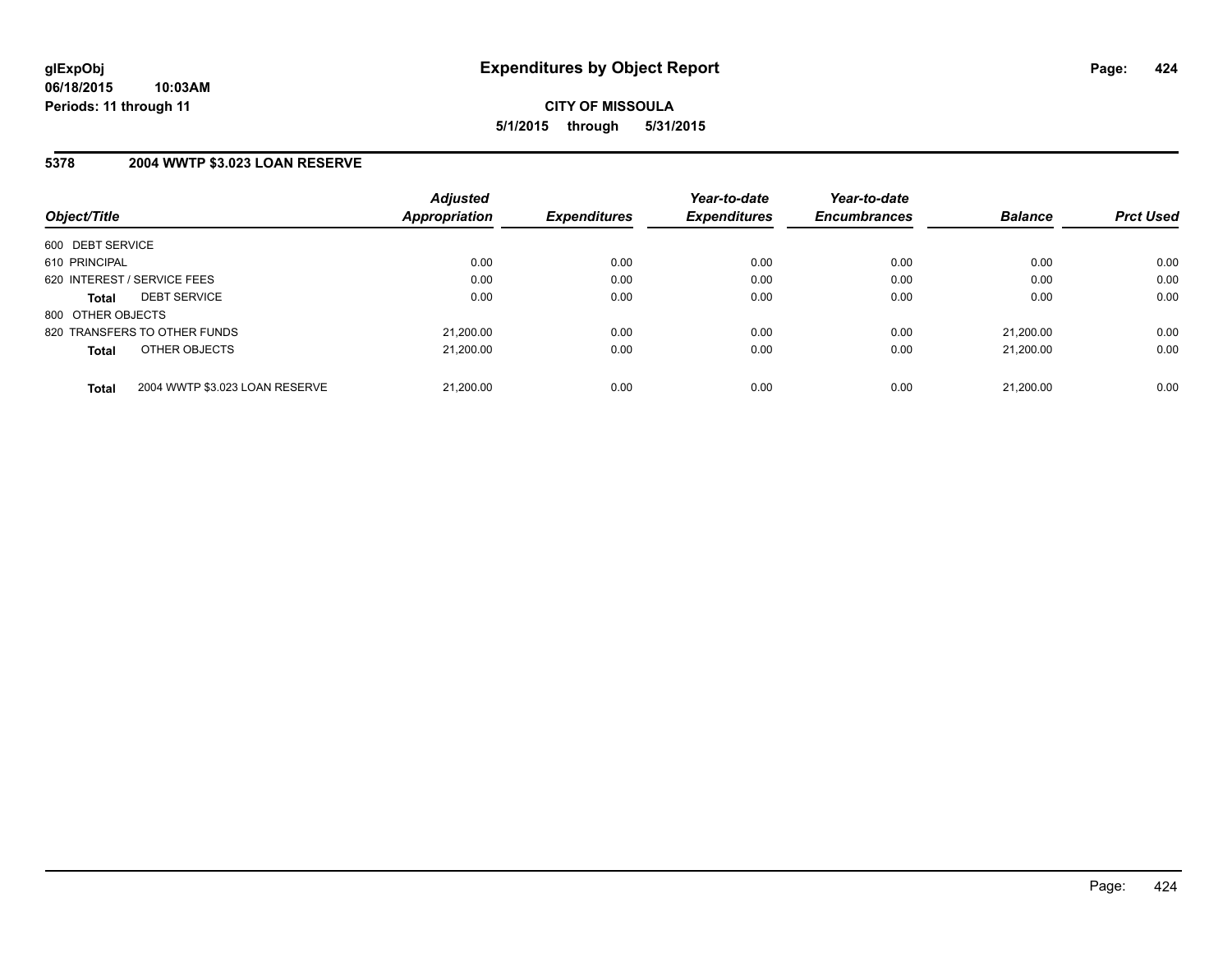### **5378 2004 WWTP \$3.023 LOAN RESERVE**

| Object/Title      |                                | <b>Adjusted</b><br><b>Appropriation</b> | <b>Expenditures</b> | Year-to-date<br><b>Expenditures</b> | Year-to-date<br><b>Encumbrances</b> | <b>Balance</b> | <b>Prct Used</b> |
|-------------------|--------------------------------|-----------------------------------------|---------------------|-------------------------------------|-------------------------------------|----------------|------------------|
|                   |                                |                                         |                     |                                     |                                     |                |                  |
| 600 DEBT SERVICE  |                                |                                         |                     |                                     |                                     |                |                  |
| 610 PRINCIPAL     |                                | 0.00                                    | 0.00                | 0.00                                | 0.00                                | 0.00           | 0.00             |
|                   | 620 INTEREST / SERVICE FEES    | 0.00                                    | 0.00                | 0.00                                | 0.00                                | 0.00           | 0.00             |
| <b>Total</b>      | <b>DEBT SERVICE</b>            | 0.00                                    | 0.00                | 0.00                                | 0.00                                | 0.00           | 0.00             |
| 800 OTHER OBJECTS |                                |                                         |                     |                                     |                                     |                |                  |
|                   | 820 TRANSFERS TO OTHER FUNDS   | 21,200.00                               | 0.00                | 0.00                                | 0.00                                | 21.200.00      | 0.00             |
| <b>Total</b>      | OTHER OBJECTS                  | 21.200.00                               | 0.00                | 0.00                                | 0.00                                | 21.200.00      | 0.00             |
| <b>Total</b>      | 2004 WWTP \$3.023 LOAN RESERVE | 21.200.00                               | 0.00                | 0.00                                | 0.00                                | 21.200.00      | 0.00             |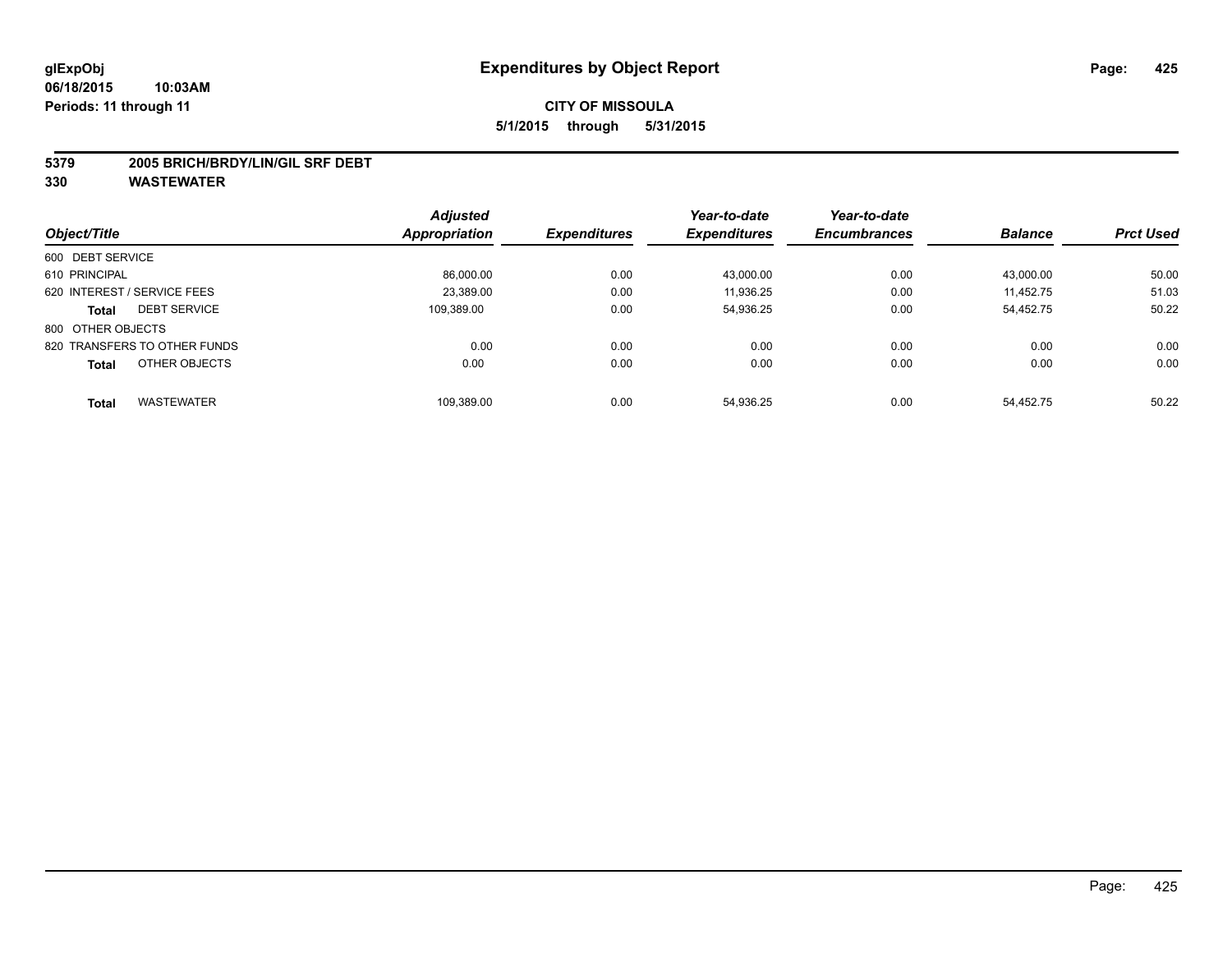#### **5379 2005 BRICH/BRDY/LIN/GIL SRF DEBT**

|                                   | <b>Adjusted</b> |                     | Year-to-date        | Year-to-date        |                |                  |
|-----------------------------------|-----------------|---------------------|---------------------|---------------------|----------------|------------------|
| Object/Title                      | Appropriation   | <b>Expenditures</b> | <b>Expenditures</b> | <b>Encumbrances</b> | <b>Balance</b> | <b>Prct Used</b> |
| 600 DEBT SERVICE                  |                 |                     |                     |                     |                |                  |
| 610 PRINCIPAL                     | 86,000.00       | 0.00                | 43.000.00           | 0.00                | 43,000.00      | 50.00            |
| 620 INTEREST / SERVICE FEES       | 23,389.00       | 0.00                | 11.936.25           | 0.00                | 11.452.75      | 51.03            |
| <b>DEBT SERVICE</b><br>Total      | 109.389.00      | 0.00                | 54,936.25           | 0.00                | 54,452.75      | 50.22            |
| 800 OTHER OBJECTS                 |                 |                     |                     |                     |                |                  |
| 820 TRANSFERS TO OTHER FUNDS      | 0.00            | 0.00                | 0.00                | 0.00                | 0.00           | 0.00             |
| OTHER OBJECTS<br><b>Total</b>     | 0.00            | 0.00                | 0.00                | 0.00                | 0.00           | 0.00             |
| <b>WASTEWATER</b><br><b>Total</b> | 109.389.00      | 0.00                | 54.936.25           | 0.00                | 54.452.75      | 50.22            |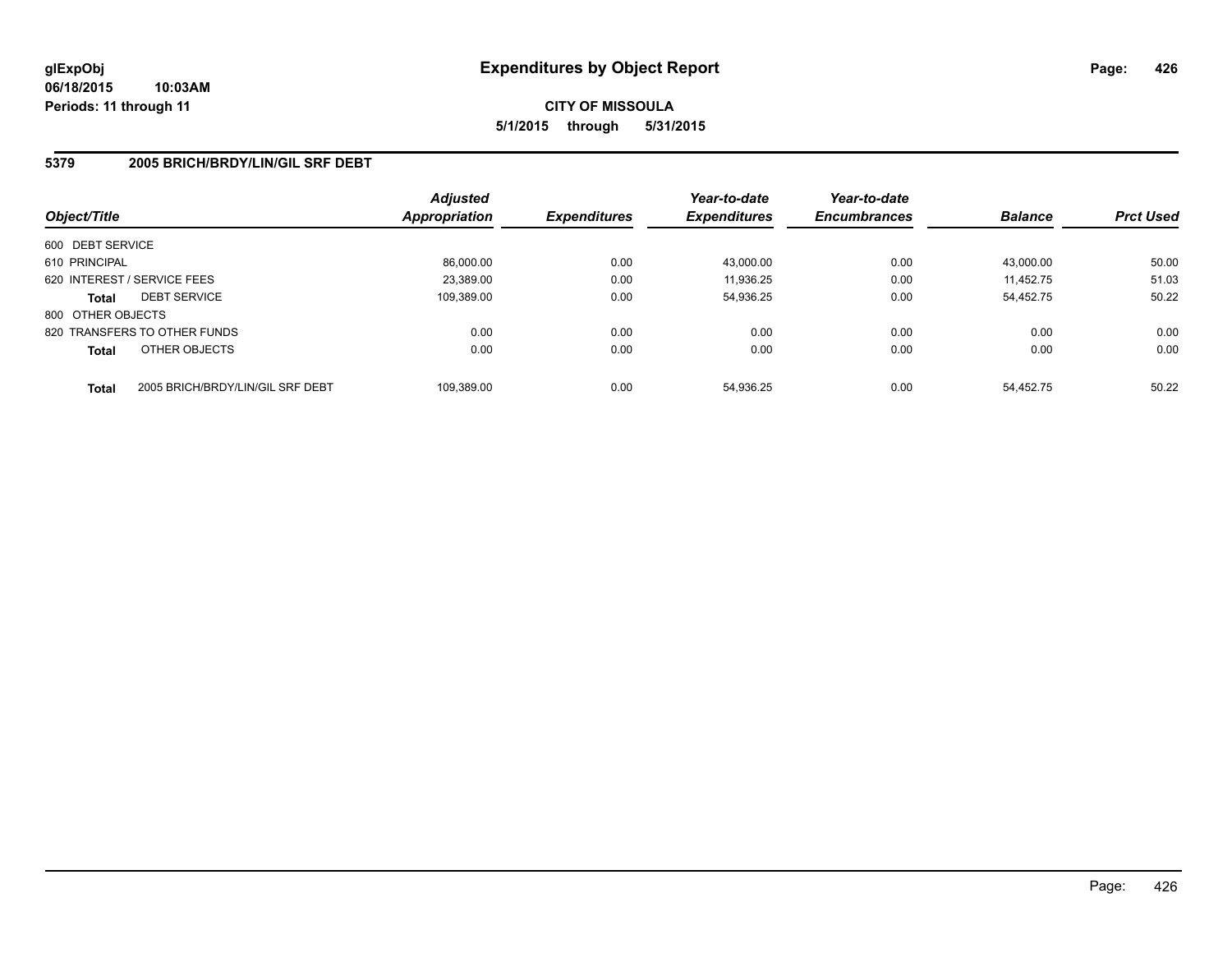### **5379 2005 BRICH/BRDY/LIN/GIL SRF DEBT**

| Object/Title      |                                  | <b>Adjusted</b><br><b>Appropriation</b> | <b>Expenditures</b> | Year-to-date<br><b>Expenditures</b> | Year-to-date<br><b>Encumbrances</b> | <b>Balance</b> | <b>Prct Used</b> |
|-------------------|----------------------------------|-----------------------------------------|---------------------|-------------------------------------|-------------------------------------|----------------|------------------|
| 600 DEBT SERVICE  |                                  |                                         |                     |                                     |                                     |                |                  |
| 610 PRINCIPAL     |                                  | 86,000.00                               | 0.00                | 43,000.00                           | 0.00                                | 43.000.00      | 50.00            |
|                   | 620 INTEREST / SERVICE FEES      | 23,389.00                               | 0.00                | 11,936.25                           | 0.00                                | 11.452.75      | 51.03            |
| <b>Total</b>      | <b>DEBT SERVICE</b>              | 109.389.00                              | 0.00                | 54,936.25                           | 0.00                                | 54.452.75      | 50.22            |
| 800 OTHER OBJECTS |                                  |                                         |                     |                                     |                                     |                |                  |
|                   | 820 TRANSFERS TO OTHER FUNDS     | 0.00                                    | 0.00                | 0.00                                | 0.00                                | 0.00           | 0.00             |
| <b>Total</b>      | OTHER OBJECTS                    | 0.00                                    | 0.00                | 0.00                                | 0.00                                | 0.00           | 0.00             |
| <b>Total</b>      | 2005 BRICH/BRDY/LIN/GIL SRF DEBT | 109.389.00                              | 0.00                | 54.936.25                           | 0.00                                | 54.452.75      | 50.22            |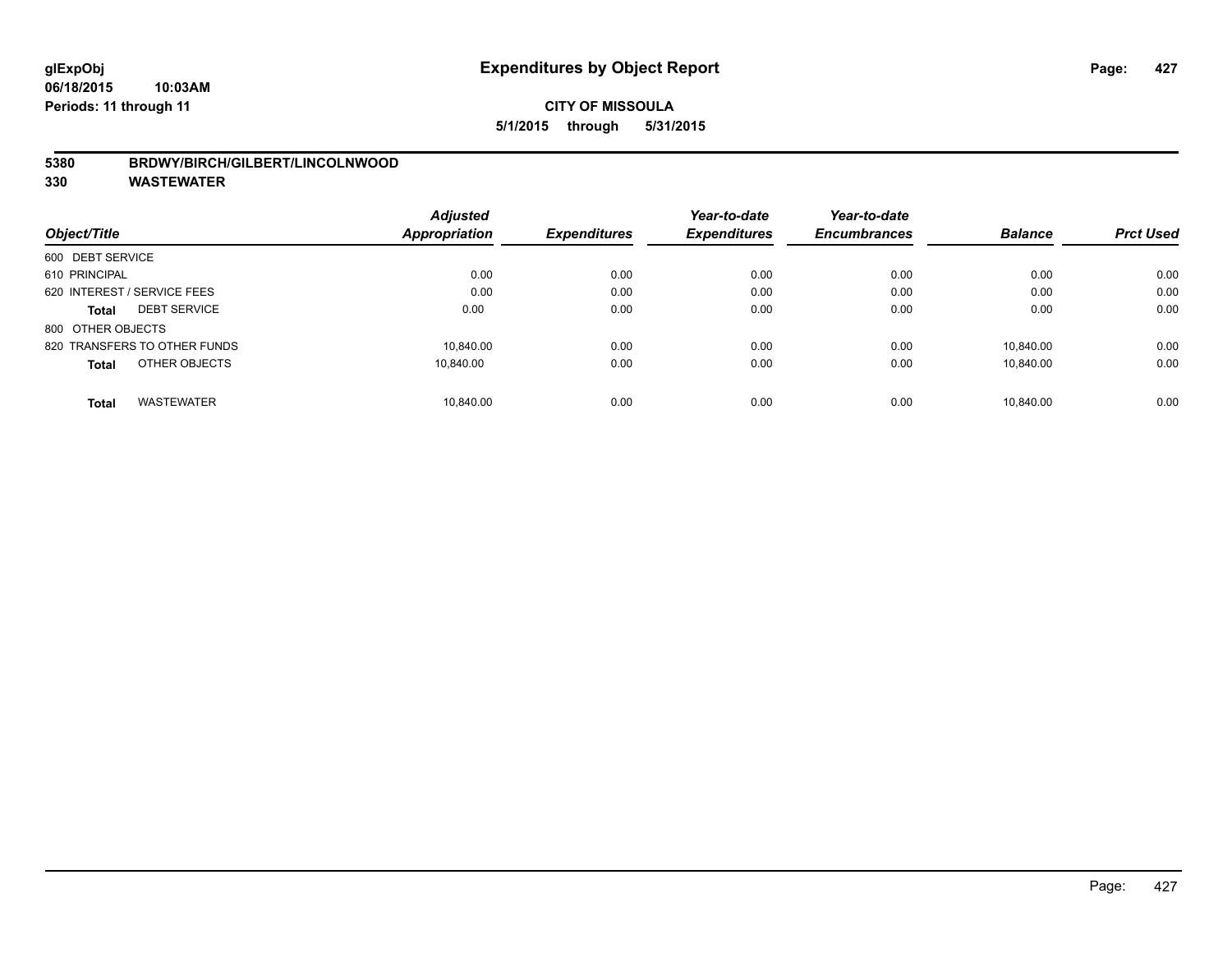### **5380 BRDWY/BIRCH/GILBERT/LINCOLNWOOD**

| Object/Title                      | <b>Adjusted</b><br><b>Appropriation</b> | <b>Expenditures</b> | Year-to-date<br><b>Expenditures</b> | Year-to-date<br><b>Encumbrances</b> | <b>Balance</b> | <b>Prct Used</b> |
|-----------------------------------|-----------------------------------------|---------------------|-------------------------------------|-------------------------------------|----------------|------------------|
|                                   |                                         |                     |                                     |                                     |                |                  |
| 600 DEBT SERVICE                  |                                         |                     |                                     |                                     |                |                  |
| 610 PRINCIPAL                     | 0.00                                    | 0.00                | 0.00                                | 0.00                                | 0.00           | 0.00             |
| 620 INTEREST / SERVICE FEES       | 0.00                                    | 0.00                | 0.00                                | 0.00                                | 0.00           | 0.00             |
| <b>DEBT SERVICE</b><br>Total      | 0.00                                    | 0.00                | 0.00                                | 0.00                                | 0.00           | 0.00             |
| 800 OTHER OBJECTS                 |                                         |                     |                                     |                                     |                |                  |
| 820 TRANSFERS TO OTHER FUNDS      | 10.840.00                               | 0.00                | 0.00                                | 0.00                                | 10.840.00      | 0.00             |
| OTHER OBJECTS<br><b>Total</b>     | 10.840.00                               | 0.00                | 0.00                                | 0.00                                | 10.840.00      | 0.00             |
| <b>WASTEWATER</b><br><b>Total</b> | 10.840.00                               | 0.00                | 0.00                                | 0.00                                | 10.840.00      | 0.00             |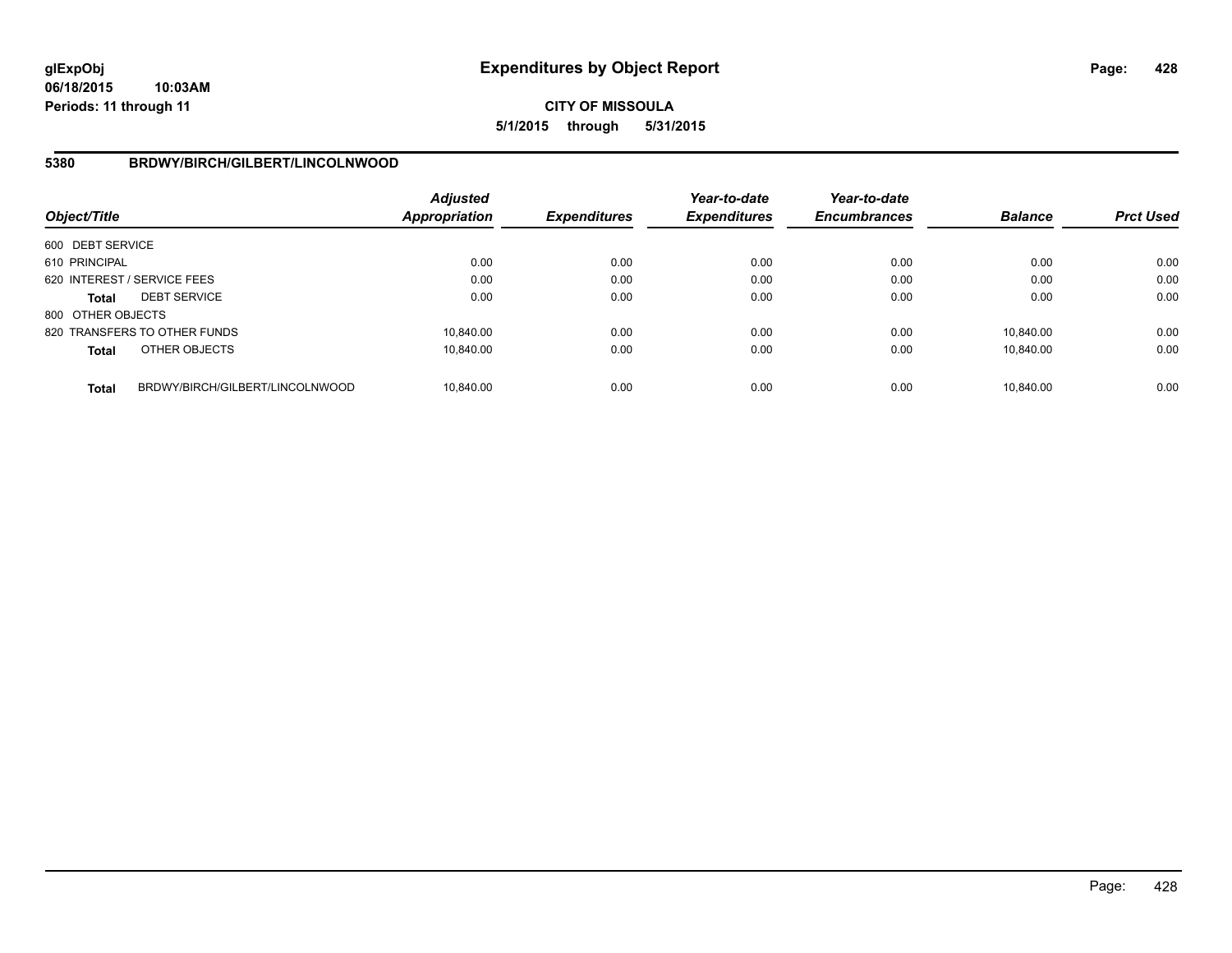## **5380 BRDWY/BIRCH/GILBERT/LINCOLNWOOD**

| Object/Title                |                                 | Adjusted<br>Appropriation | <b>Expenditures</b> | Year-to-date<br><b>Expenditures</b> | Year-to-date<br><b>Encumbrances</b> | <b>Balance</b> | <b>Prct Used</b> |
|-----------------------------|---------------------------------|---------------------------|---------------------|-------------------------------------|-------------------------------------|----------------|------------------|
| 600 DEBT SERVICE            |                                 |                           |                     |                                     |                                     |                |                  |
| 610 PRINCIPAL               |                                 | 0.00                      | 0.00                | 0.00                                | 0.00                                | 0.00           | 0.00             |
| 620 INTEREST / SERVICE FEES |                                 | 0.00                      | 0.00                | 0.00                                | 0.00                                | 0.00           | 0.00             |
| <b>Total</b>                | <b>DEBT SERVICE</b>             | 0.00                      | 0.00                | 0.00                                | 0.00                                | 0.00           | 0.00             |
| 800 OTHER OBJECTS           |                                 |                           |                     |                                     |                                     |                |                  |
|                             | 820 TRANSFERS TO OTHER FUNDS    | 10.840.00                 | 0.00                | 0.00                                | 0.00                                | 10.840.00      | 0.00             |
| Total                       | OTHER OBJECTS                   | 10.840.00                 | 0.00                | 0.00                                | 0.00                                | 10,840.00      | 0.00             |
| <b>Total</b>                | BRDWY/BIRCH/GILBERT/LINCOLNWOOD | 10.840.00                 | 0.00                | 0.00                                | 0.00                                | 10.840.00      | 0.00             |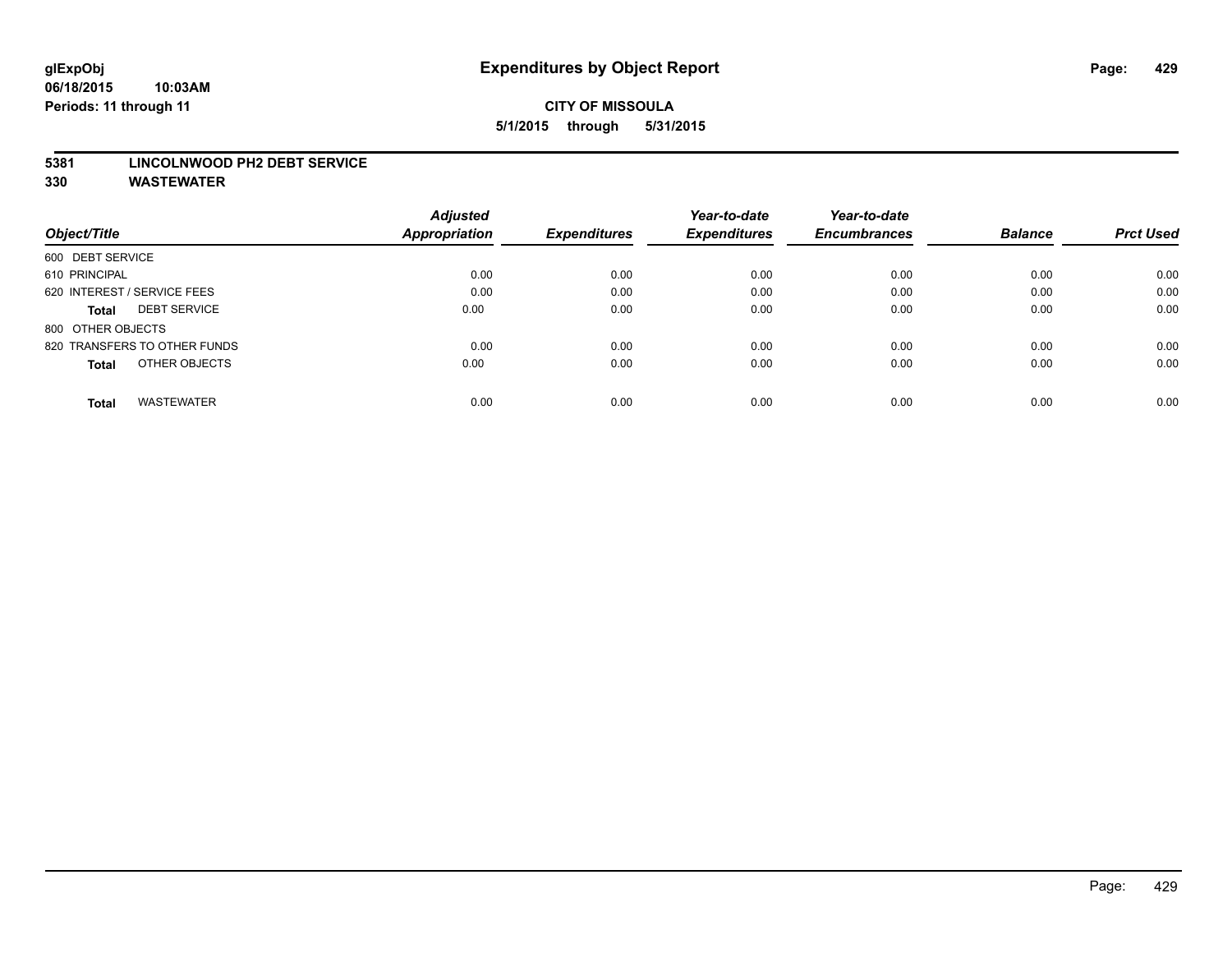#### **5381 LINCOLNWOOD PH2 DEBT SERVICE**

|                                     | <b>Adjusted</b> |                     | Year-to-date        | Year-to-date        |                |                  |
|-------------------------------------|-----------------|---------------------|---------------------|---------------------|----------------|------------------|
| Object/Title                        | Appropriation   | <b>Expenditures</b> | <b>Expenditures</b> | <b>Encumbrances</b> | <b>Balance</b> | <b>Prct Used</b> |
| 600 DEBT SERVICE                    |                 |                     |                     |                     |                |                  |
| 610 PRINCIPAL                       | 0.00            | 0.00                | 0.00                | 0.00                | 0.00           | 0.00             |
| 620 INTEREST / SERVICE FEES         | 0.00            | 0.00                | 0.00                | 0.00                | 0.00           | 0.00             |
| <b>DEBT SERVICE</b><br><b>Total</b> | 0.00            | 0.00                | 0.00                | 0.00                | 0.00           | 0.00             |
| 800 OTHER OBJECTS                   |                 |                     |                     |                     |                |                  |
| 820 TRANSFERS TO OTHER FUNDS        | 0.00            | 0.00                | 0.00                | 0.00                | 0.00           | 0.00             |
| OTHER OBJECTS<br><b>Total</b>       | 0.00            | 0.00                | 0.00                | 0.00                | 0.00           | 0.00             |
| <b>WASTEWATER</b><br>Total          | 0.00            | 0.00                | 0.00                | 0.00                | 0.00           | 0.00             |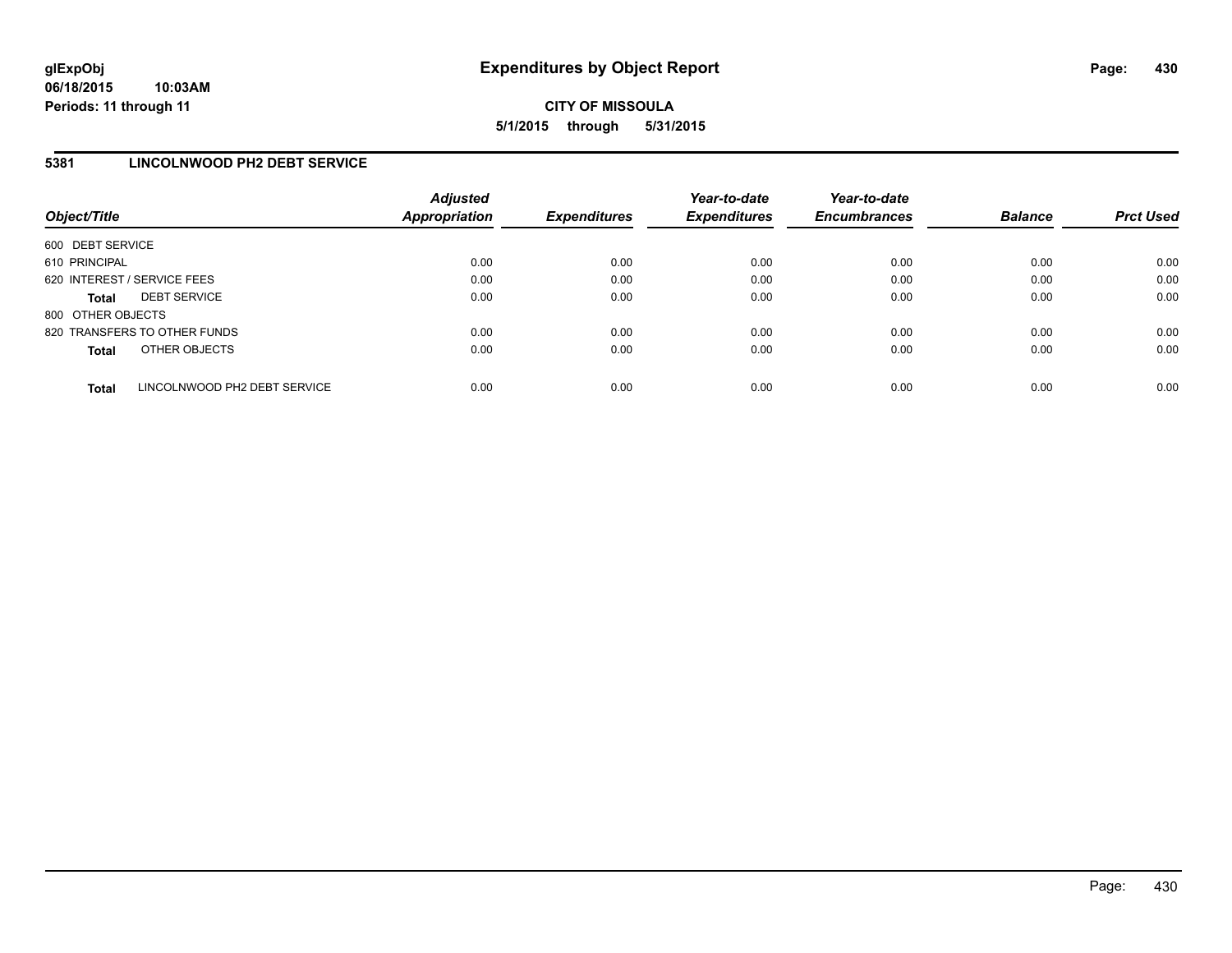## **5381 LINCOLNWOOD PH2 DEBT SERVICE**

| Object/Title      |                              | <b>Adjusted</b><br><b>Appropriation</b> | <b>Expenditures</b> | Year-to-date<br><b>Expenditures</b> | Year-to-date<br><b>Encumbrances</b> | <b>Balance</b> | <b>Prct Used</b> |
|-------------------|------------------------------|-----------------------------------------|---------------------|-------------------------------------|-------------------------------------|----------------|------------------|
| 600 DEBT SERVICE  |                              |                                         |                     |                                     |                                     |                |                  |
| 610 PRINCIPAL     |                              | 0.00                                    | 0.00                | 0.00                                | 0.00                                | 0.00           | 0.00             |
|                   | 620 INTEREST / SERVICE FEES  | 0.00                                    | 0.00                | 0.00                                | 0.00                                | 0.00           | 0.00             |
| <b>Total</b>      | <b>DEBT SERVICE</b>          | 0.00                                    | 0.00                | 0.00                                | 0.00                                | 0.00           | 0.00             |
| 800 OTHER OBJECTS |                              |                                         |                     |                                     |                                     |                |                  |
|                   | 820 TRANSFERS TO OTHER FUNDS | 0.00                                    | 0.00                | 0.00                                | 0.00                                | 0.00           | 0.00             |
| <b>Total</b>      | OTHER OBJECTS                | 0.00                                    | 0.00                | 0.00                                | 0.00                                | 0.00           | 0.00             |
| <b>Total</b>      | LINCOLNWOOD PH2 DEBT SERVICE | 0.00                                    | 0.00                | 0.00                                | 0.00                                | 0.00           | 0.00             |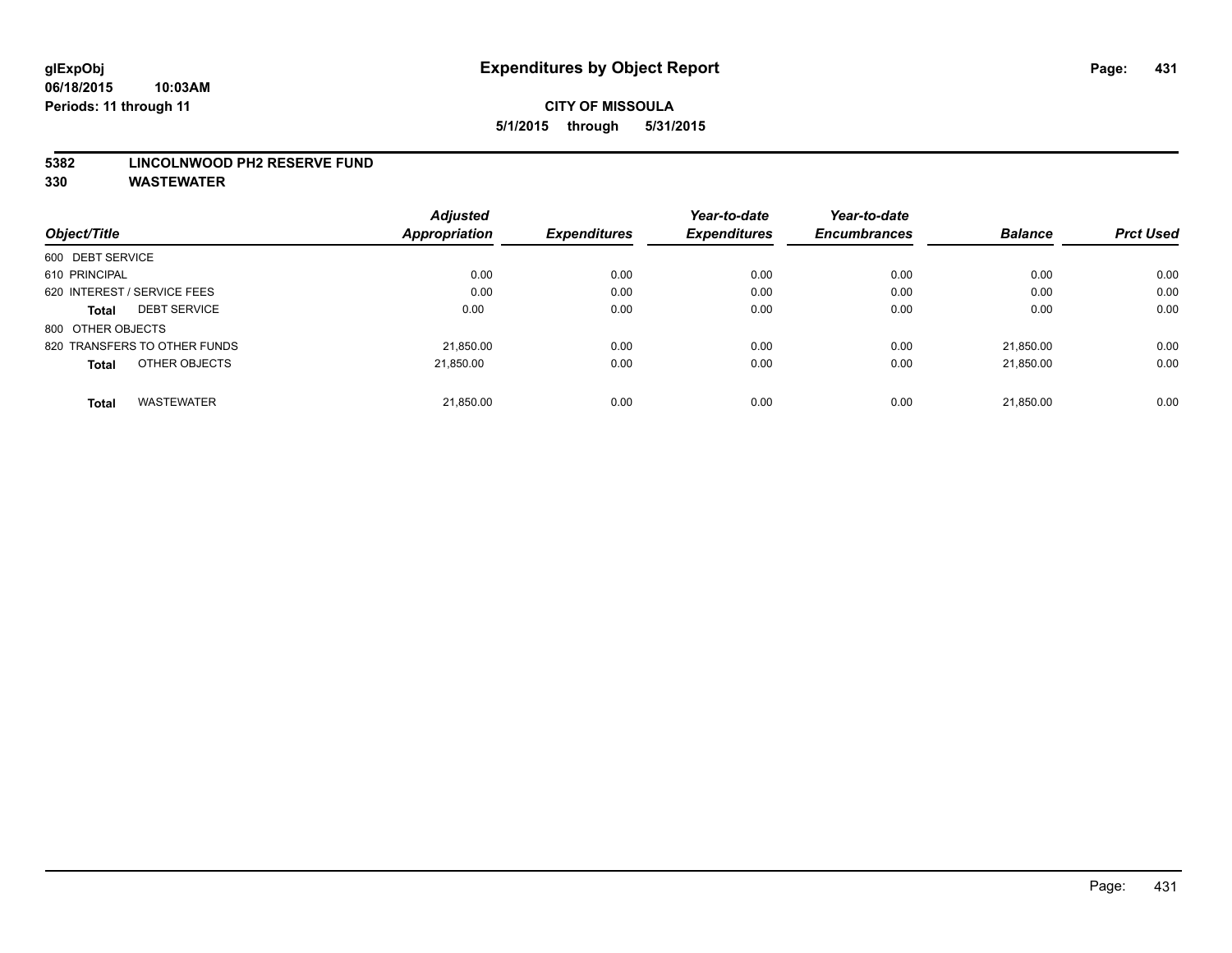#### **5382 LINCOLNWOOD PH2 RESERVE FUND**

|                                   | <b>Adjusted</b> |                     | Year-to-date        | Year-to-date        |                |                  |
|-----------------------------------|-----------------|---------------------|---------------------|---------------------|----------------|------------------|
| Object/Title                      | Appropriation   | <b>Expenditures</b> | <b>Expenditures</b> | <b>Encumbrances</b> | <b>Balance</b> | <b>Prct Used</b> |
| 600 DEBT SERVICE                  |                 |                     |                     |                     |                |                  |
| 610 PRINCIPAL                     | 0.00            | 0.00                | 0.00                | 0.00                | 0.00           | 0.00             |
| 620 INTEREST / SERVICE FEES       | 0.00            | 0.00                | 0.00                | 0.00                | 0.00           | 0.00             |
| <b>DEBT SERVICE</b><br>Total      | 0.00            | 0.00                | 0.00                | 0.00                | 0.00           | 0.00             |
| 800 OTHER OBJECTS                 |                 |                     |                     |                     |                |                  |
| 820 TRANSFERS TO OTHER FUNDS      | 21,850.00       | 0.00                | 0.00                | 0.00                | 21.850.00      | 0.00             |
| OTHER OBJECTS<br><b>Total</b>     | 21,850.00       | 0.00                | 0.00                | 0.00                | 21.850.00      | 0.00             |
| <b>WASTEWATER</b><br><b>Total</b> | 21,850.00       | 0.00                | 0.00                | 0.00                | 21.850.00      | 0.00             |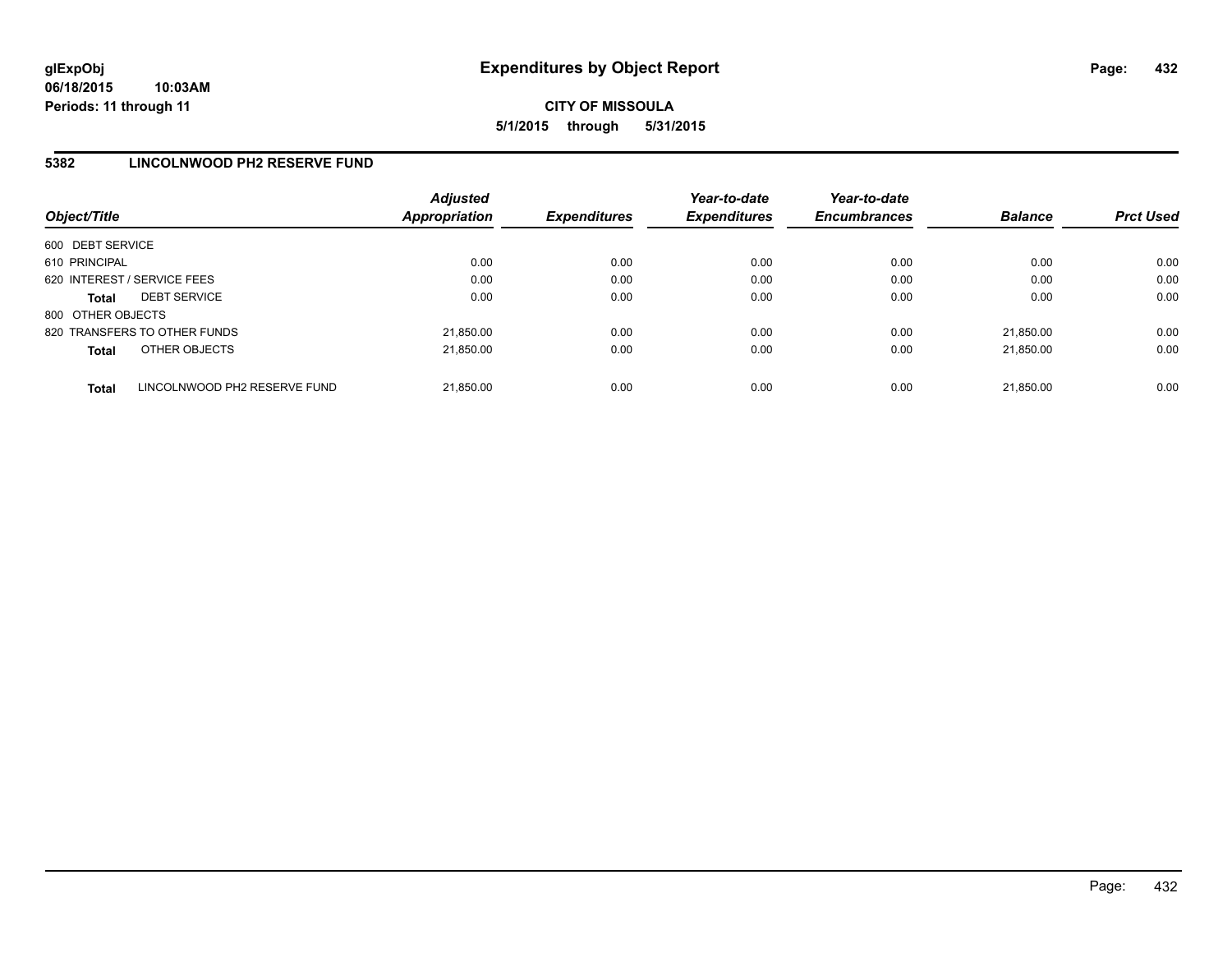## **5382 LINCOLNWOOD PH2 RESERVE FUND**

| Object/Title                |                              | <b>Adjusted</b><br><b>Appropriation</b> | <b>Expenditures</b> | Year-to-date<br><b>Expenditures</b> | Year-to-date<br><b>Encumbrances</b> | <b>Balance</b> | <b>Prct Used</b> |
|-----------------------------|------------------------------|-----------------------------------------|---------------------|-------------------------------------|-------------------------------------|----------------|------------------|
| 600 DEBT SERVICE            |                              |                                         |                     |                                     |                                     |                |                  |
| 610 PRINCIPAL               |                              | 0.00                                    | 0.00                | 0.00                                | 0.00                                | 0.00           | 0.00             |
| 620 INTEREST / SERVICE FEES |                              | 0.00                                    | 0.00                | 0.00                                | 0.00                                | 0.00           | 0.00             |
| <b>Total</b>                | <b>DEBT SERVICE</b>          | 0.00                                    | 0.00                | 0.00                                | 0.00                                | 0.00           | 0.00             |
| 800 OTHER OBJECTS           |                              |                                         |                     |                                     |                                     |                |                  |
|                             | 820 TRANSFERS TO OTHER FUNDS | 21.850.00                               | 0.00                | 0.00                                | 0.00                                | 21.850.00      | 0.00             |
| <b>Total</b>                | OTHER OBJECTS                | 21,850.00                               | 0.00                | 0.00                                | 0.00                                | 21.850.00      | 0.00             |
| <b>Total</b>                | LINCOLNWOOD PH2 RESERVE FUND | 21,850.00                               | 0.00                | 0.00                                | 0.00                                | 21.850.00      | 0.00             |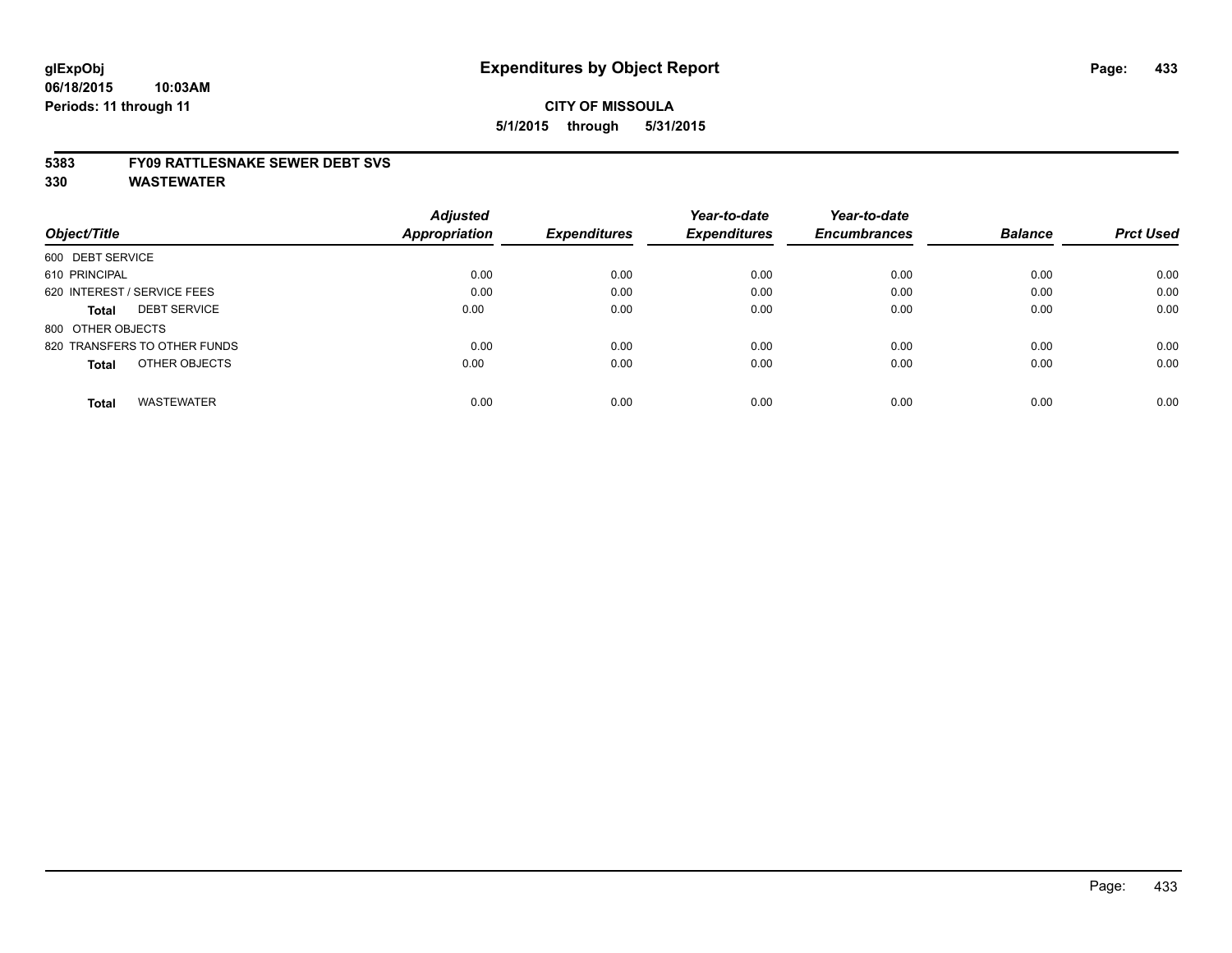#### **5383 FY09 RATTLESNAKE SEWER DEBT SVS**

**330 WASTEWATER**

|                                     | <b>Adjusted</b> |                     | Year-to-date        | Year-to-date        |                |                  |
|-------------------------------------|-----------------|---------------------|---------------------|---------------------|----------------|------------------|
| Object/Title                        | Appropriation   | <b>Expenditures</b> | <b>Expenditures</b> | <b>Encumbrances</b> | <b>Balance</b> | <b>Prct Used</b> |
| 600 DEBT SERVICE                    |                 |                     |                     |                     |                |                  |
| 610 PRINCIPAL                       | 0.00            | 0.00                | 0.00                | 0.00                | 0.00           | 0.00             |
| 620 INTEREST / SERVICE FEES         | 0.00            | 0.00                | 0.00                | 0.00                | 0.00           | 0.00             |
| <b>DEBT SERVICE</b><br><b>Total</b> | 0.00            | 0.00                | 0.00                | 0.00                | 0.00           | 0.00             |
| 800 OTHER OBJECTS                   |                 |                     |                     |                     |                |                  |
| 820 TRANSFERS TO OTHER FUNDS        | 0.00            | 0.00                | 0.00                | 0.00                | 0.00           | 0.00             |
| OTHER OBJECTS<br><b>Total</b>       | 0.00            | 0.00                | 0.00                | 0.00                | 0.00           | 0.00             |
| <b>WASTEWATER</b><br><b>Total</b>   | 0.00            | 0.00                | 0.00                | 0.00                | 0.00           | 0.00             |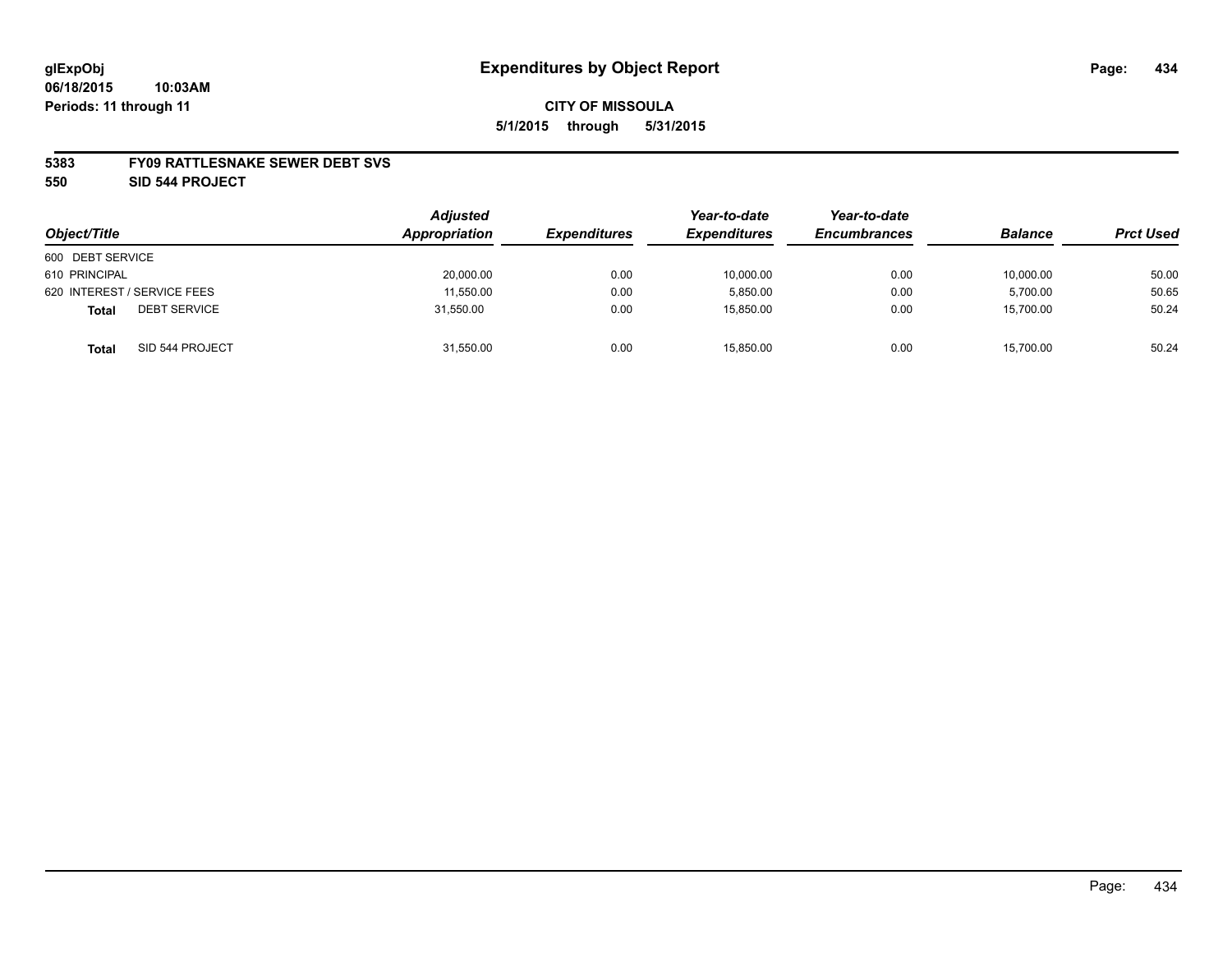#### **5383 FY09 RATTLESNAKE SEWER DEBT SVS**

**550 SID 544 PROJECT**

| Object/Title                        | <b>Adjusted</b><br>Appropriation | <b>Expenditures</b> | Year-to-date<br><b>Expenditures</b> | Year-to-date<br><b>Encumbrances</b> | <b>Balance</b> | <b>Prct Used</b> |
|-------------------------------------|----------------------------------|---------------------|-------------------------------------|-------------------------------------|----------------|------------------|
| 600 DEBT SERVICE                    |                                  |                     |                                     |                                     |                |                  |
| 610 PRINCIPAL                       | 20,000.00                        | 0.00                | 10,000.00                           | 0.00                                | 10,000.00      | 50.00            |
| 620 INTEREST / SERVICE FEES         | 11,550.00                        | 0.00                | 5,850.00                            | 0.00                                | 5,700.00       | 50.65            |
| <b>DEBT SERVICE</b><br><b>Total</b> | 31.550.00                        | 0.00                | 15.850.00                           | 0.00                                | 15.700.00      | 50.24            |
| SID 544 PROJECT<br><b>Total</b>     | 31,550.00                        | 0.00                | 15.850.00                           | 0.00                                | 15,700.00      | 50.24            |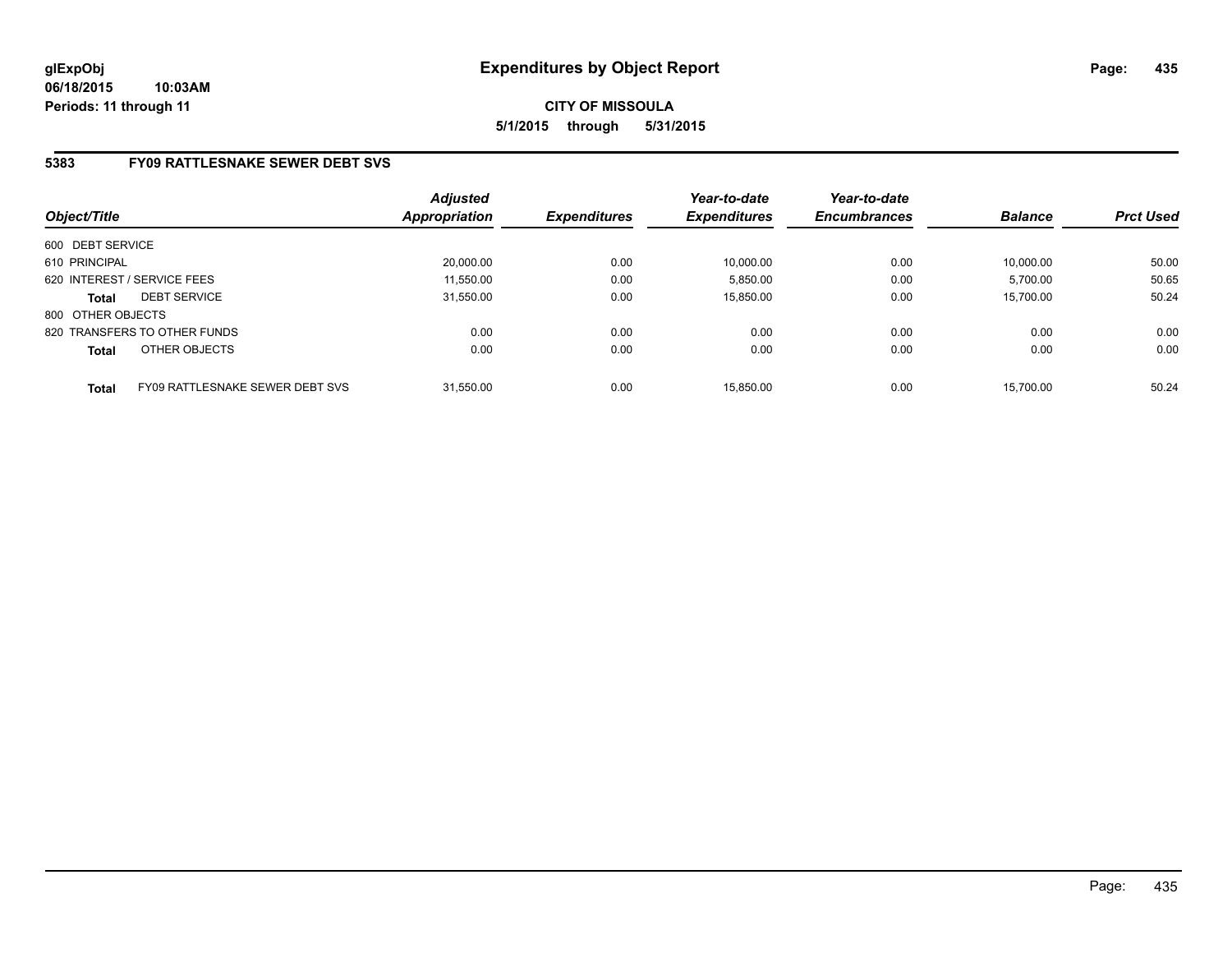# **5383 FY09 RATTLESNAKE SEWER DEBT SVS**

| Object/Title      |                                 | <b>Adjusted</b><br><b>Appropriation</b> | <b>Expenditures</b> | Year-to-date<br><b>Expenditures</b> | Year-to-date<br><b>Encumbrances</b> | <b>Balance</b> | <b>Prct Used</b> |
|-------------------|---------------------------------|-----------------------------------------|---------------------|-------------------------------------|-------------------------------------|----------------|------------------|
| 600 DEBT SERVICE  |                                 |                                         |                     |                                     |                                     |                |                  |
| 610 PRINCIPAL     |                                 | 20,000.00                               | 0.00                | 10,000.00                           | 0.00                                | 10.000.00      | 50.00            |
|                   | 620 INTEREST / SERVICE FEES     | 11,550.00                               | 0.00                | 5,850.00                            | 0.00                                | 5,700.00       | 50.65            |
| <b>Total</b>      | <b>DEBT SERVICE</b>             | 31.550.00                               | 0.00                | 15.850.00                           | 0.00                                | 15.700.00      | 50.24            |
| 800 OTHER OBJECTS |                                 |                                         |                     |                                     |                                     |                |                  |
|                   | 820 TRANSFERS TO OTHER FUNDS    | 0.00                                    | 0.00                | 0.00                                | 0.00                                | 0.00           | 0.00             |
| <b>Total</b>      | OTHER OBJECTS                   | 0.00                                    | 0.00                | 0.00                                | 0.00                                | 0.00           | 0.00             |
| <b>Total</b>      | FY09 RATTLESNAKE SEWER DEBT SVS | 31.550.00                               | 0.00                | 15.850.00                           | 0.00                                | 15.700.00      | 50.24            |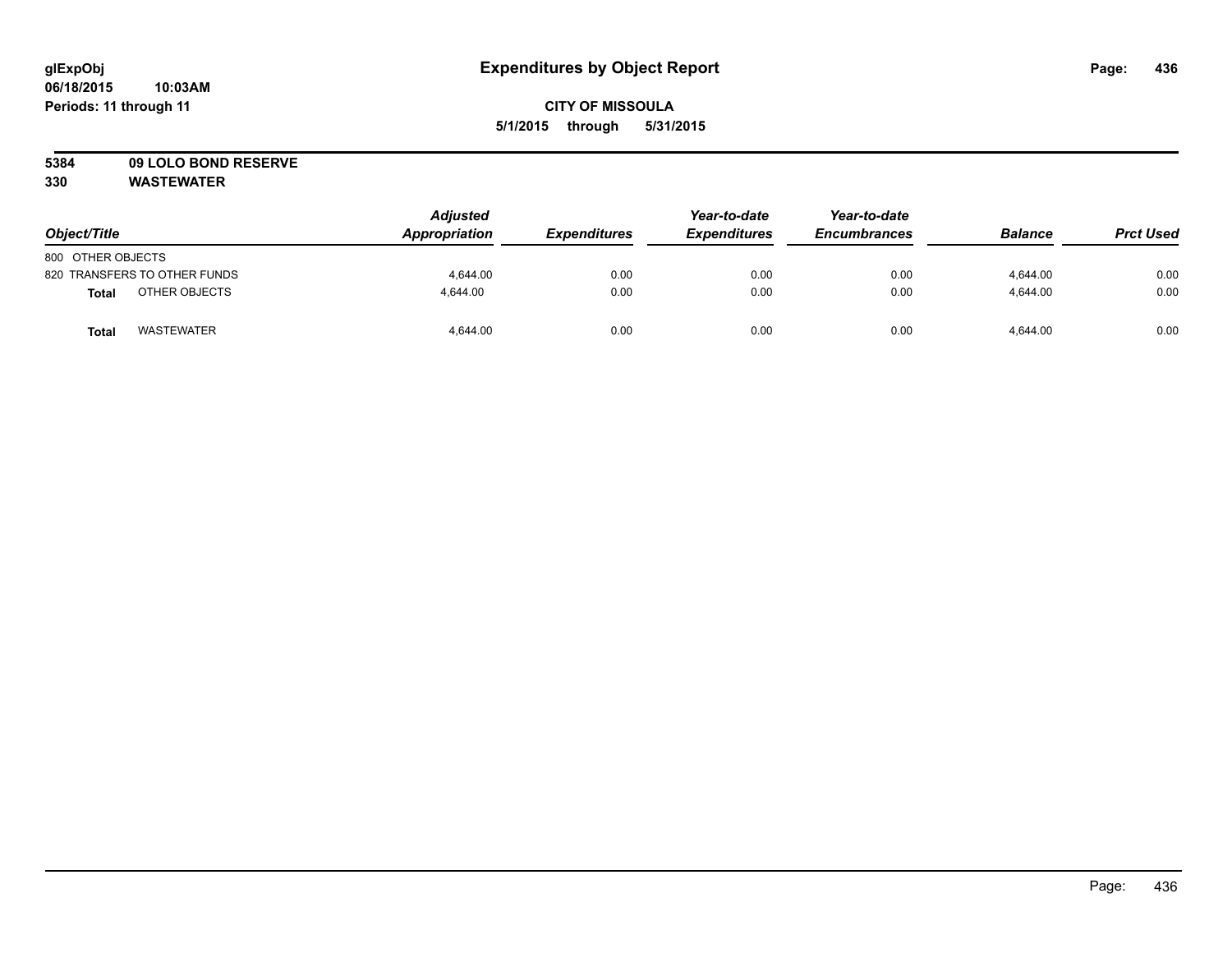# **5384 09 LOLO BOND RESERVE**

**330 WASTEWATER**

| Object/Title                 | <b>Adjusted</b><br>Appropriation | <b>Expenditures</b> | Year-to-date<br><b>Expenditures</b> | Year-to-date<br><b>Encumbrances</b> | <b>Balance</b> | <b>Prct Used</b> |
|------------------------------|----------------------------------|---------------------|-------------------------------------|-------------------------------------|----------------|------------------|
| 800 OTHER OBJECTS            |                                  |                     |                                     |                                     |                |                  |
| 820 TRANSFERS TO OTHER FUNDS | 4.644.00                         | 0.00                | 0.00                                | 0.00                                | 4.644.00       | 0.00             |
| OTHER OBJECTS<br>Total       | 4.644.00                         | 0.00                | 0.00                                | 0.00                                | 4,644.00       | 0.00             |
| <b>WASTEWATER</b><br>Total   | 4,644.00                         | 0.00                | 0.00                                | 0.00                                | 4.644.00       | 0.00             |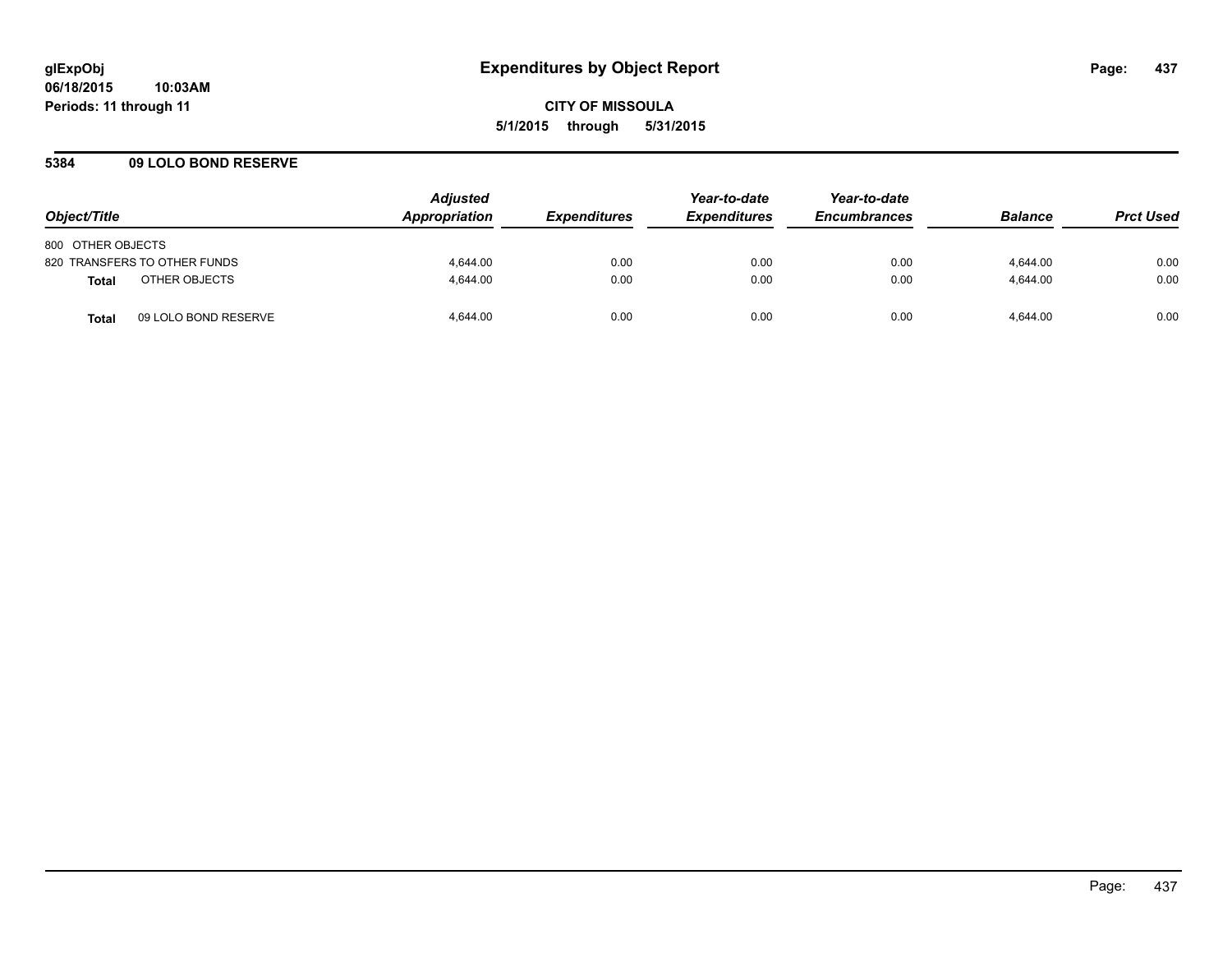### **5384 09 LOLO BOND RESERVE**

| Object/Title                  | <b>Adjusted</b><br>Appropriation | <i><b>Expenditures</b></i> | Year-to-date<br><b>Expenditures</b> | Year-to-date<br><b>Encumbrances</b> | <b>Balance</b> | <b>Prct Used</b> |
|-------------------------------|----------------------------------|----------------------------|-------------------------------------|-------------------------------------|----------------|------------------|
| 800 OTHER OBJECTS             |                                  |                            |                                     |                                     |                |                  |
| 820 TRANSFERS TO OTHER FUNDS  | 4.644.00                         | 0.00                       | 0.00                                | 0.00                                | 4.644.00       | 0.00             |
| OTHER OBJECTS<br>Total        | 4.644.00                         | 0.00                       | 0.00                                | 0.00                                | 4.644.00       | 0.00             |
| 09 LOLO BOND RESERVE<br>Total | 4.644.00                         | 0.00                       | 0.00                                | 0.00                                | 4.644.00       | 0.00             |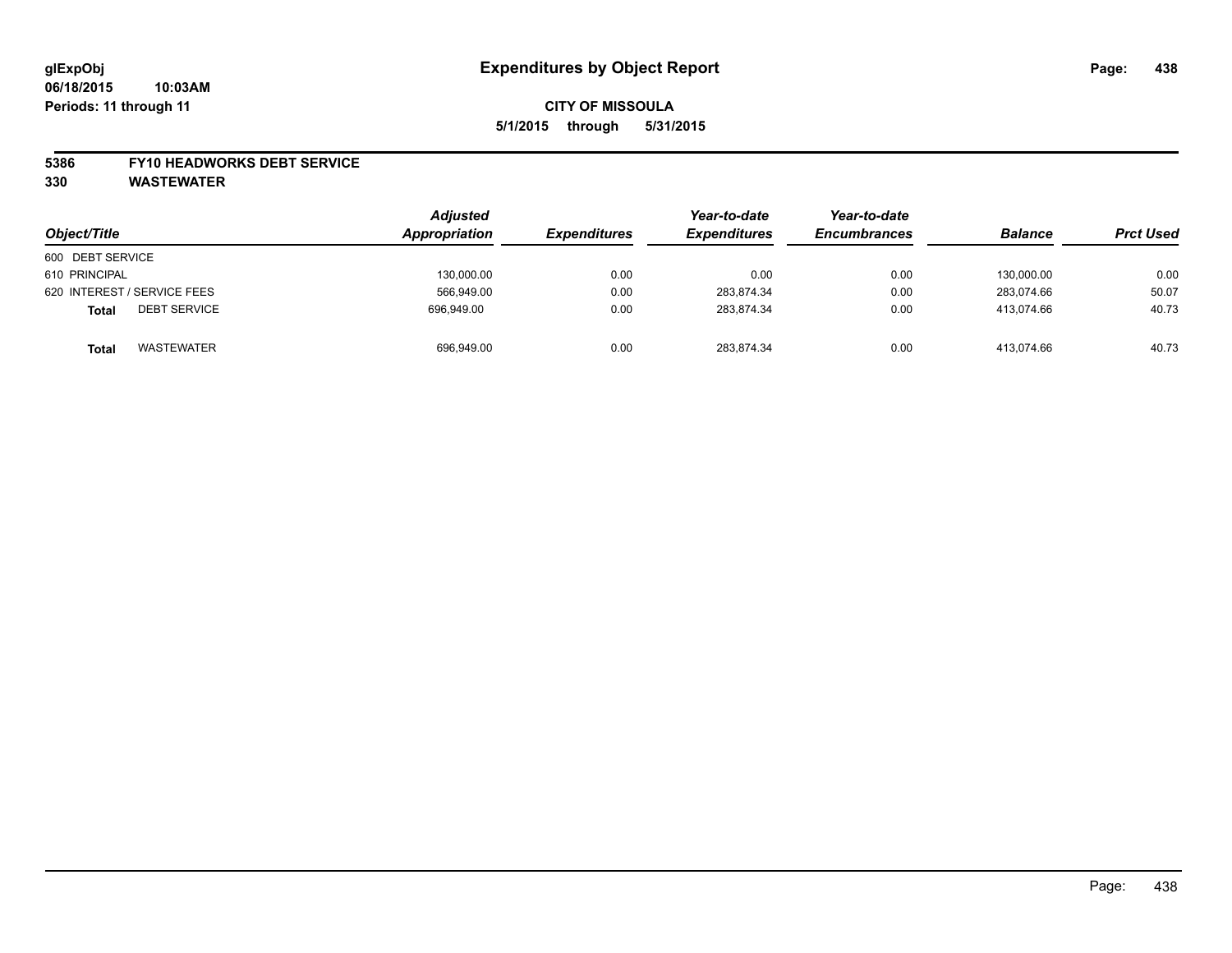#### **5386 FY10 HEADWORKS DEBT SERVICE**

**330 WASTEWATER**

| Object/Title                        | Adjusted<br>Appropriation | <b>Expenditures</b> | Year-to-date<br><b>Expenditures</b> | Year-to-date<br><b>Encumbrances</b> | <b>Balance</b> | <b>Prct Used</b> |
|-------------------------------------|---------------------------|---------------------|-------------------------------------|-------------------------------------|----------------|------------------|
| 600 DEBT SERVICE                    |                           |                     |                                     |                                     |                |                  |
| 610 PRINCIPAL                       | 130,000.00                | 0.00                | 0.00                                | 0.00                                | 130.000.00     | 0.00             |
| 620 INTEREST / SERVICE FEES         | 566,949.00                | 0.00                | 283.874.34                          | 0.00                                | 283.074.66     | 50.07            |
| <b>DEBT SERVICE</b><br><b>Total</b> | 696.949.00                | 0.00                | 283.874.34                          | 0.00                                | 413.074.66     | 40.73            |
| <b>WASTEWATER</b><br><b>Total</b>   | 696,949.00                | 0.00                | 283,874.34                          | 0.00                                | 413.074.66     | 40.73            |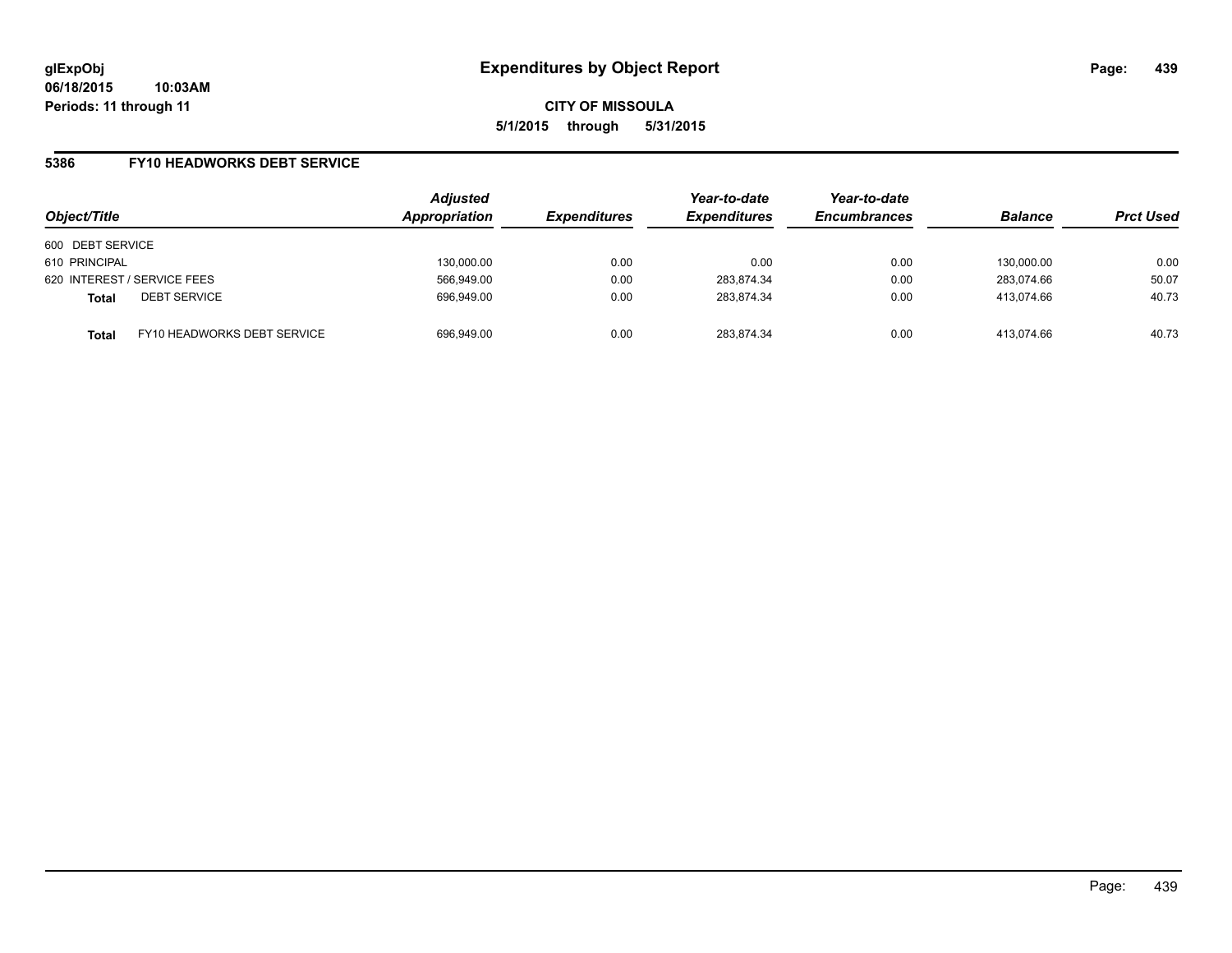### **5386 FY10 HEADWORKS DEBT SERVICE**

| Object/Title     |                             | <b>Adjusted</b><br>Appropriation | <b>Expenditures</b> | Year-to-date<br><b>Expenditures</b> | Year-to-date<br><b>Encumbrances</b> | <b>Balance</b> | <b>Prct Used</b> |
|------------------|-----------------------------|----------------------------------|---------------------|-------------------------------------|-------------------------------------|----------------|------------------|
| 600 DEBT SERVICE |                             |                                  |                     |                                     |                                     |                |                  |
| 610 PRINCIPAL    |                             | 130,000.00                       | 0.00                | 0.00                                | 0.00                                | 130.000.00     | 0.00             |
|                  | 620 INTEREST / SERVICE FEES | 566,949.00                       | 0.00                | 283,874.34                          | 0.00                                | 283.074.66     | 50.07            |
| <b>Total</b>     | <b>DEBT SERVICE</b>         | 696.949.00                       | 0.00                | 283,874.34                          | 0.00                                | 413.074.66     | 40.73            |
| <b>Total</b>     | FY10 HEADWORKS DEBT SERVICE | 696.949.00                       | 0.00                | 283.874.34                          | 0.00                                | 413.074.66     | 40.73            |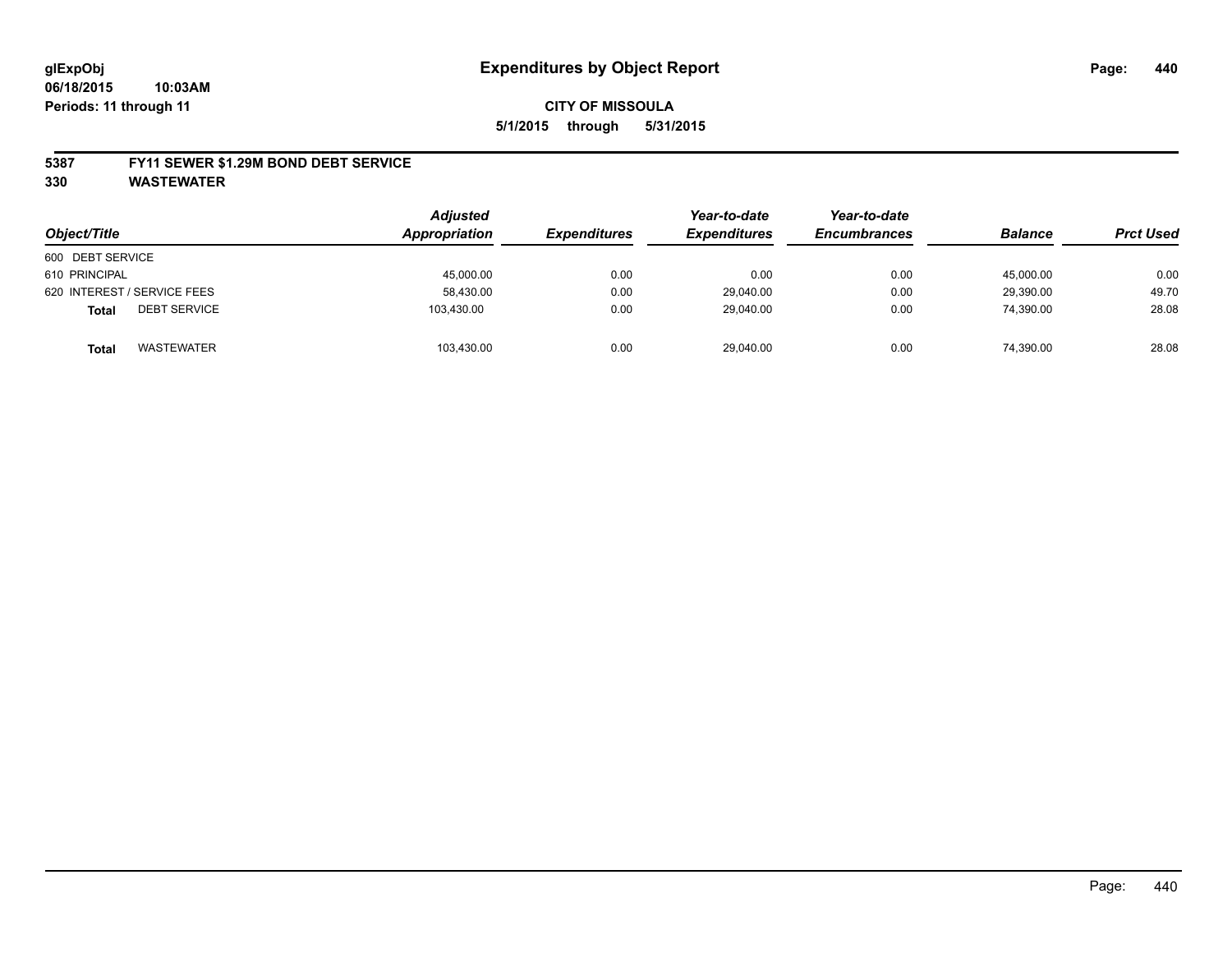#### **5387 FY11 SEWER \$1.29M BOND DEBT SERVICE**

**330 WASTEWATER**

| Object/Title                        | Adjusted<br>Appropriation | <b>Expenditures</b> | Year-to-date<br><b>Expenditures</b> | Year-to-date<br><b>Encumbrances</b> | <b>Balance</b> | <b>Prct Used</b> |
|-------------------------------------|---------------------------|---------------------|-------------------------------------|-------------------------------------|----------------|------------------|
| 600 DEBT SERVICE                    |                           |                     |                                     |                                     |                |                  |
| 610 PRINCIPAL                       | 45,000.00                 | 0.00                | 0.00                                | 0.00                                | 45,000.00      | 0.00             |
| 620 INTEREST / SERVICE FEES         | 58,430.00                 | 0.00                | 29,040.00                           | 0.00                                | 29.390.00      | 49.70            |
| <b>DEBT SERVICE</b><br><b>Total</b> | 103.430.00                | 0.00                | 29.040.00                           | 0.00                                | 74.390.00      | 28.08            |
| <b>WASTEWATER</b><br><b>Total</b>   | 103,430.00                | 0.00                | 29,040.00                           | 0.00                                | 74,390.00      | 28.08            |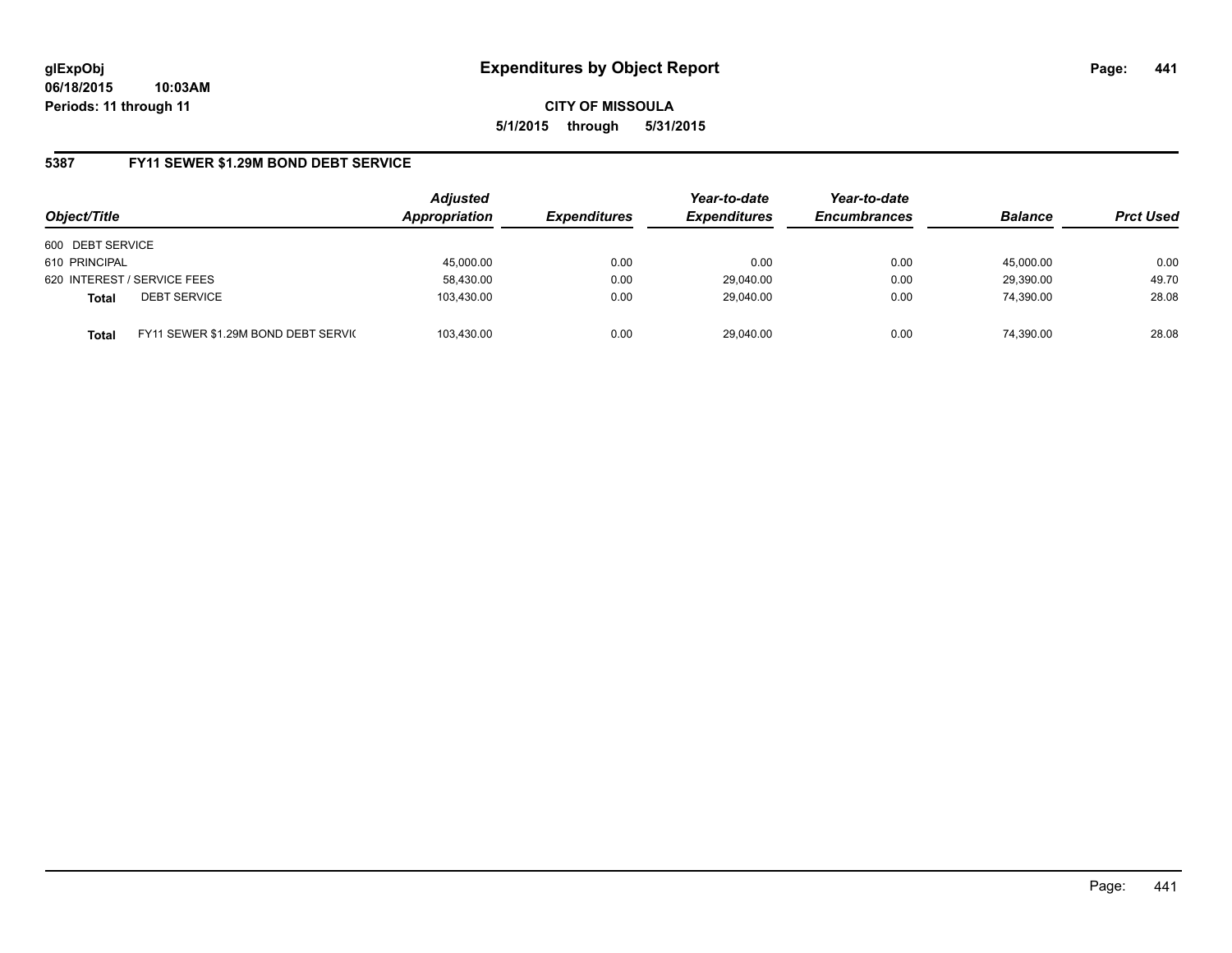### **5387 FY11 SEWER \$1.29M BOND DEBT SERVICE**

| Object/Title     |                                      | <b>Adjusted</b><br>Appropriation | <b>Expenditures</b> | Year-to-date<br><b>Expenditures</b> | Year-to-date<br><b>Encumbrances</b> | <b>Balance</b> | <b>Prct Used</b> |
|------------------|--------------------------------------|----------------------------------|---------------------|-------------------------------------|-------------------------------------|----------------|------------------|
| 600 DEBT SERVICE |                                      |                                  |                     |                                     |                                     |                |                  |
| 610 PRINCIPAL    |                                      | 45,000.00                        | 0.00                | 0.00                                | 0.00                                | 45.000.00      | 0.00             |
|                  | 620 INTEREST / SERVICE FEES          | 58,430.00                        | 0.00                | 29,040.00                           | 0.00                                | 29,390.00      | 49.70            |
| <b>Total</b>     | <b>DEBT SERVICE</b>                  | 103,430.00                       | 0.00                | 29.040.00                           | 0.00                                | 74.390.00      | 28.08            |
| <b>Total</b>     | FY11 SEWER \$1.29M BOND DEBT SERVICE | 103.430.00                       | 0.00                | 29.040.00                           | 0.00                                | 74.390.00      | 28.08            |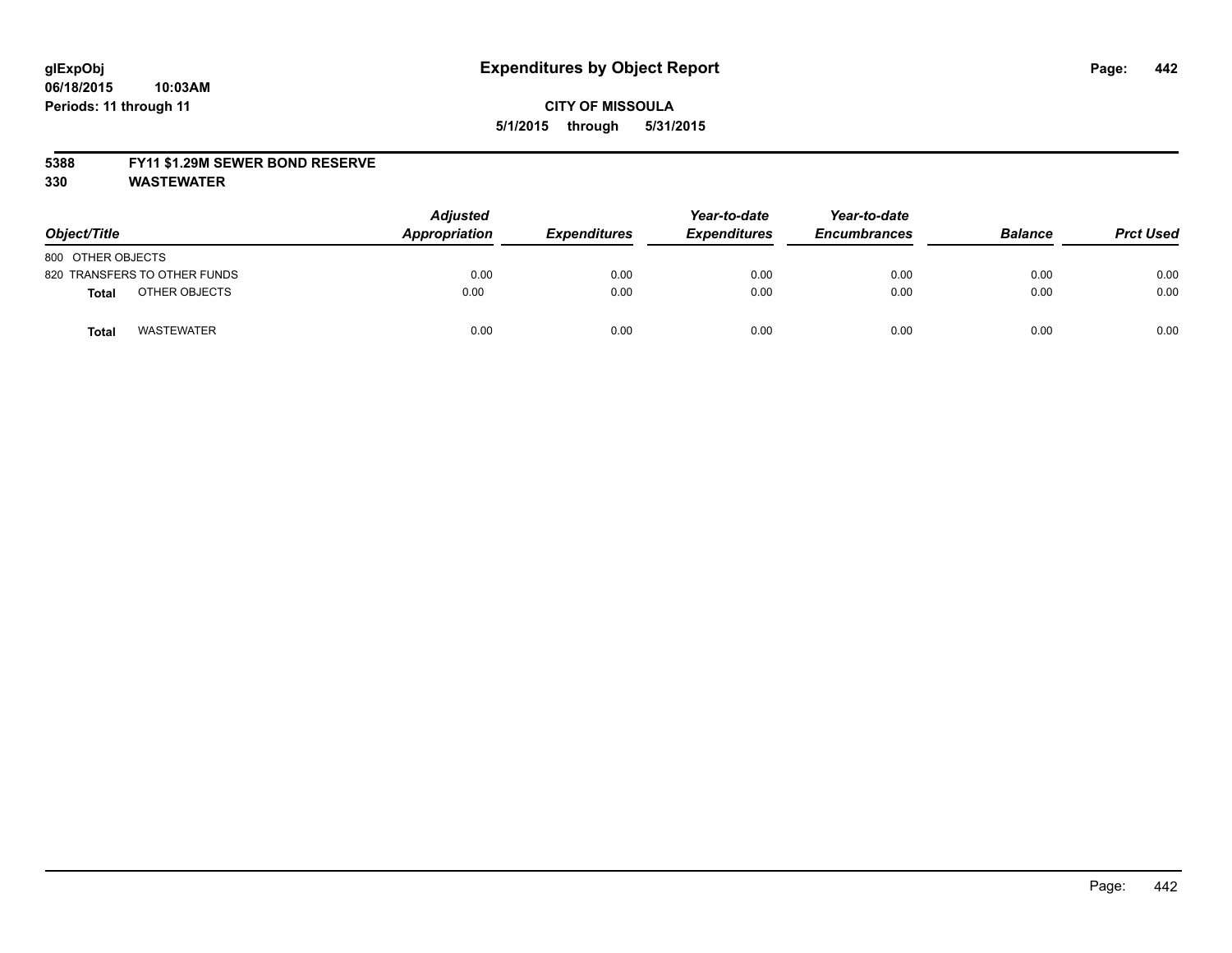#### **5388 FY11 \$1.29M SEWER BOND RESERVE**

**330 WASTEWATER**

| Object/Title                      | <b>Adjusted</b><br>Appropriation | <b>Expenditures</b> | Year-to-date<br><b>Expenditures</b> | Year-to-date<br><b>Encumbrances</b> | <b>Balance</b> | <b>Prct Used</b> |
|-----------------------------------|----------------------------------|---------------------|-------------------------------------|-------------------------------------|----------------|------------------|
| 800 OTHER OBJECTS                 |                                  |                     |                                     |                                     |                |                  |
| 820 TRANSFERS TO OTHER FUNDS      | 0.00                             | 0.00                | 0.00                                | 0.00                                | 0.00           | 0.00             |
| OTHER OBJECTS<br><b>Total</b>     | 0.00                             | 0.00                | 0.00                                | 0.00                                | 0.00           | 0.00             |
| <b>WASTEWATER</b><br><b>Total</b> | 0.00                             | 0.00                | 0.00                                | 0.00                                | 0.00           | 0.00             |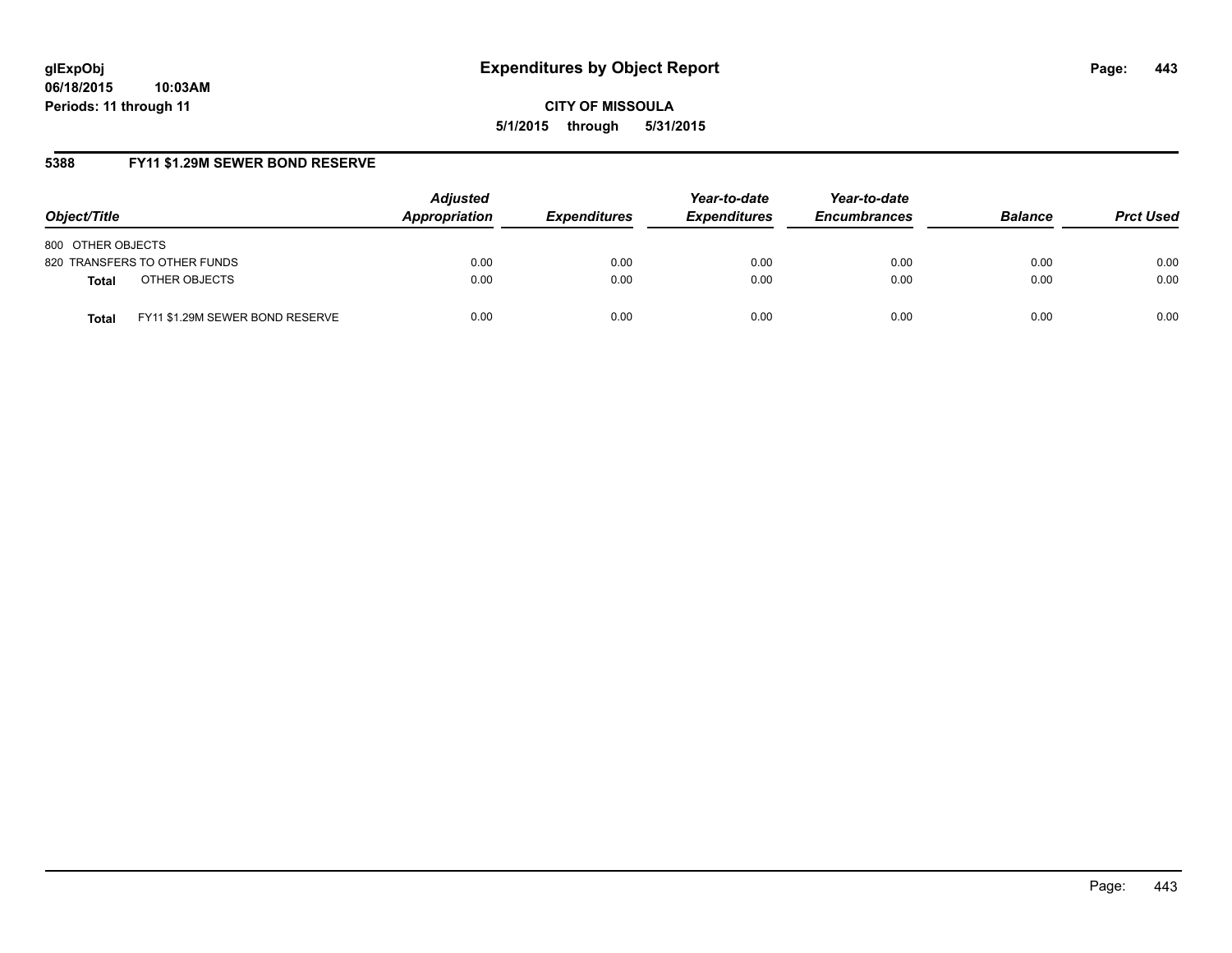**06/18/2015 10:03AM Periods: 11 through 11**

**CITY OF MISSOULA 5/1/2015 through 5/31/2015**

# **5388 FY11 \$1.29M SEWER BOND RESERVE**

| Object/Title                                    | <b>Adjusted</b><br>Appropriation | <b>Expenditures</b> | Year-to-date<br><b>Expenditures</b> | Year-to-date<br><b>Encumbrances</b> | <b>Balance</b> | <b>Prct Used</b> |
|-------------------------------------------------|----------------------------------|---------------------|-------------------------------------|-------------------------------------|----------------|------------------|
| 800 OTHER OBJECTS                               |                                  |                     |                                     |                                     |                |                  |
| 820 TRANSFERS TO OTHER FUNDS                    | 0.00                             | 0.00                | 0.00                                | 0.00                                | 0.00           | 0.00             |
| OTHER OBJECTS<br><b>Total</b>                   | 0.00                             | 0.00                | 0.00                                | 0.00                                | 0.00           | 0.00             |
| FY11 \$1.29M SEWER BOND RESERVE<br><b>Total</b> | 0.00                             | 0.00                | 0.00                                | 0.00                                | 0.00           | 0.00             |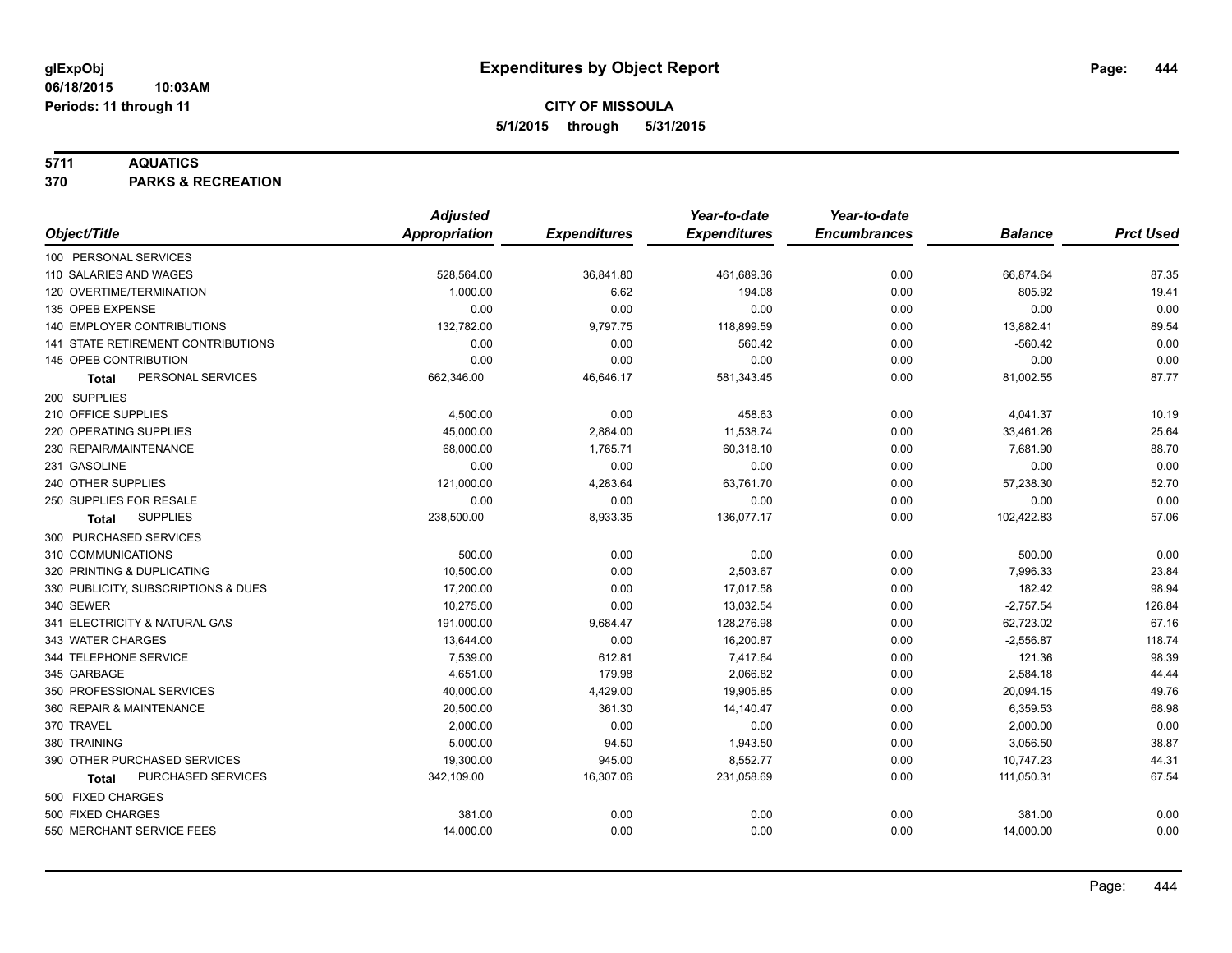### **5711 AQUATICS**

**370 PARKS & RECREATION**

|                                     | <b>Adjusted</b> |                     | Year-to-date        | Year-to-date        |                |                  |
|-------------------------------------|-----------------|---------------------|---------------------|---------------------|----------------|------------------|
| Object/Title                        | Appropriation   | <b>Expenditures</b> | <b>Expenditures</b> | <b>Encumbrances</b> | <b>Balance</b> | <b>Prct Used</b> |
| 100 PERSONAL SERVICES               |                 |                     |                     |                     |                |                  |
| 110 SALARIES AND WAGES              | 528,564.00      | 36,841.80           | 461,689.36          | 0.00                | 66,874.64      | 87.35            |
| 120 OVERTIME/TERMINATION            | 1,000.00        | 6.62                | 194.08              | 0.00                | 805.92         | 19.41            |
| 135 OPEB EXPENSE                    | 0.00            | 0.00                | 0.00                | 0.00                | 0.00           | 0.00             |
| <b>140 EMPLOYER CONTRIBUTIONS</b>   | 132,782.00      | 9,797.75            | 118,899.59          | 0.00                | 13,882.41      | 89.54            |
| 141 STATE RETIREMENT CONTRIBUTIONS  | 0.00            | 0.00                | 560.42              | 0.00                | $-560.42$      | 0.00             |
| 145 OPEB CONTRIBUTION               | 0.00            | 0.00                | 0.00                | 0.00                | 0.00           | 0.00             |
| PERSONAL SERVICES<br>Total          | 662,346.00      | 46,646.17           | 581,343.45          | 0.00                | 81,002.55      | 87.77            |
| 200 SUPPLIES                        |                 |                     |                     |                     |                |                  |
| 210 OFFICE SUPPLIES                 | 4,500.00        | 0.00                | 458.63              | 0.00                | 4,041.37       | 10.19            |
| 220 OPERATING SUPPLIES              | 45,000.00       | 2,884.00            | 11,538.74           | 0.00                | 33,461.26      | 25.64            |
| 230 REPAIR/MAINTENANCE              | 68,000.00       | 1,765.71            | 60,318.10           | 0.00                | 7,681.90       | 88.70            |
| 231 GASOLINE                        | 0.00            | 0.00                | 0.00                | 0.00                | 0.00           | 0.00             |
| 240 OTHER SUPPLIES                  | 121,000.00      | 4,283.64            | 63,761.70           | 0.00                | 57,238.30      | 52.70            |
| 250 SUPPLIES FOR RESALE             | 0.00            | 0.00                | 0.00                | 0.00                | 0.00           | 0.00             |
| <b>SUPPLIES</b><br>Total            | 238,500.00      | 8,933.35            | 136,077.17          | 0.00                | 102,422.83     | 57.06            |
| 300 PURCHASED SERVICES              |                 |                     |                     |                     |                |                  |
| 310 COMMUNICATIONS                  | 500.00          | 0.00                | 0.00                | 0.00                | 500.00         | 0.00             |
| 320 PRINTING & DUPLICATING          | 10,500.00       | 0.00                | 2,503.67            | 0.00                | 7,996.33       | 23.84            |
| 330 PUBLICITY, SUBSCRIPTIONS & DUES | 17,200.00       | 0.00                | 17,017.58           | 0.00                | 182.42         | 98.94            |
| 340 SEWER                           | 10,275.00       | 0.00                | 13,032.54           | 0.00                | $-2,757.54$    | 126.84           |
| 341 ELECTRICITY & NATURAL GAS       | 191,000.00      | 9,684.47            | 128,276.98          | 0.00                | 62,723.02      | 67.16            |
| 343 WATER CHARGES                   | 13,644.00       | 0.00                | 16,200.87           | 0.00                | $-2,556.87$    | 118.74           |
| 344 TELEPHONE SERVICE               | 7,539.00        | 612.81              | 7,417.64            | 0.00                | 121.36         | 98.39            |
| 345 GARBAGE                         | 4.651.00        | 179.98              | 2,066.82            | 0.00                | 2,584.18       | 44.44            |
| 350 PROFESSIONAL SERVICES           | 40,000.00       | 4,429.00            | 19,905.85           | 0.00                | 20,094.15      | 49.76            |
| 360 REPAIR & MAINTENANCE            | 20,500.00       | 361.30              | 14,140.47           | 0.00                | 6,359.53       | 68.98            |
| 370 TRAVEL                          | 2,000.00        | 0.00                | 0.00                | 0.00                | 2,000.00       | 0.00             |
| 380 TRAINING                        | 5,000.00        | 94.50               | 1,943.50            | 0.00                | 3,056.50       | 38.87            |
| 390 OTHER PURCHASED SERVICES        | 19,300.00       | 945.00              | 8,552.77            | 0.00                | 10,747.23      | 44.31            |
| PURCHASED SERVICES<br>Total         | 342,109.00      | 16,307.06           | 231,058.69          | 0.00                | 111,050.31     | 67.54            |
| 500 FIXED CHARGES                   |                 |                     |                     |                     |                |                  |
| 500 FIXED CHARGES                   | 381.00          | 0.00                | 0.00                | 0.00                | 381.00         | 0.00             |
| 550 MERCHANT SERVICE FEES           | 14,000.00       | 0.00                | 0.00                | 0.00                | 14,000.00      | 0.00             |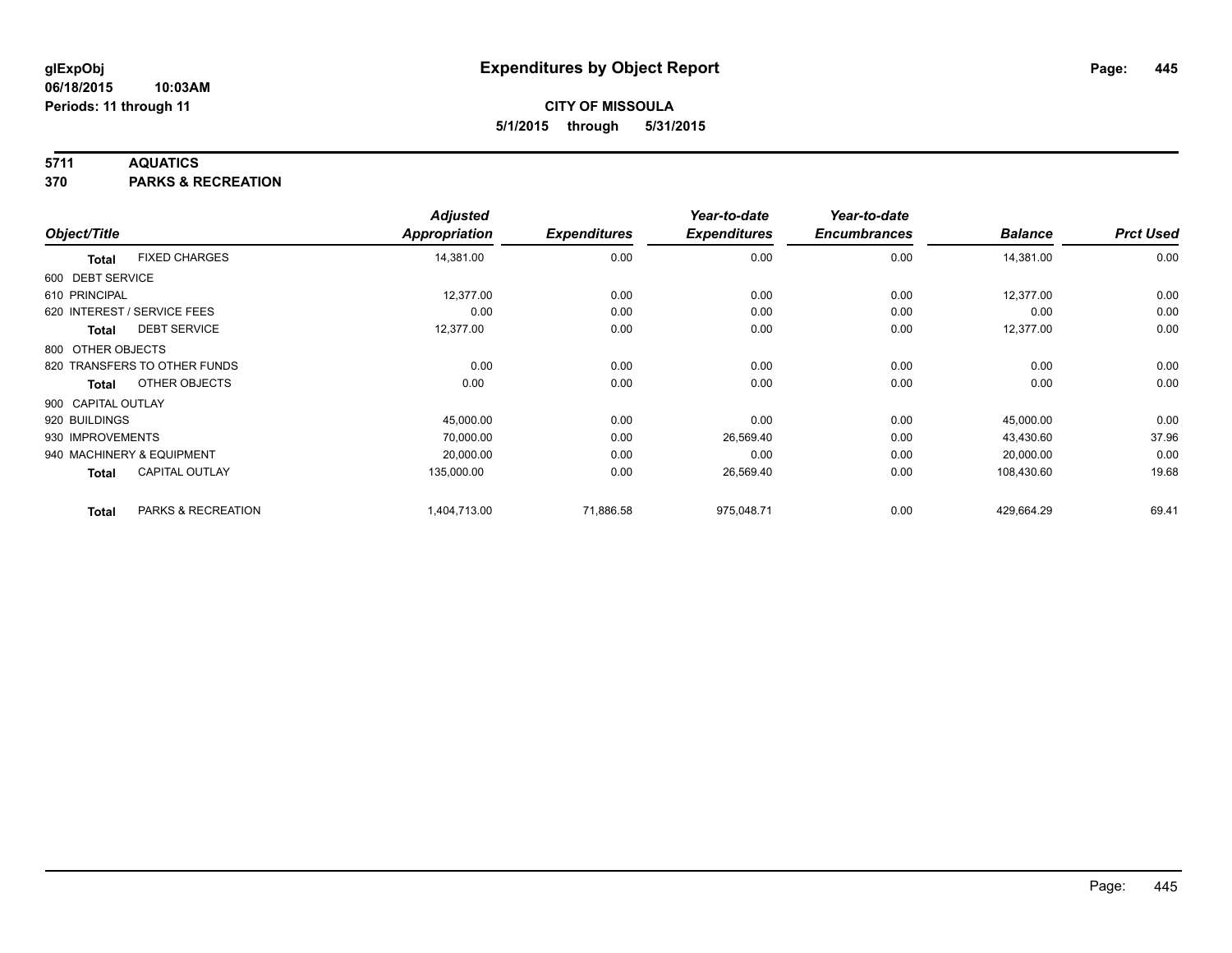### **5711 AQUATICS**

**370 PARKS & RECREATION**

|                    |                              | <b>Adjusted</b> |                     | Year-to-date        | Year-to-date        |                |                  |
|--------------------|------------------------------|-----------------|---------------------|---------------------|---------------------|----------------|------------------|
| Object/Title       |                              | Appropriation   | <b>Expenditures</b> | <b>Expenditures</b> | <b>Encumbrances</b> | <b>Balance</b> | <b>Prct Used</b> |
| <b>Total</b>       | <b>FIXED CHARGES</b>         | 14,381.00       | 0.00                | 0.00                | 0.00                | 14,381.00      | 0.00             |
| 600 DEBT SERVICE   |                              |                 |                     |                     |                     |                |                  |
| 610 PRINCIPAL      |                              | 12,377.00       | 0.00                | 0.00                | 0.00                | 12,377.00      | 0.00             |
|                    | 620 INTEREST / SERVICE FEES  | 0.00            | 0.00                | 0.00                | 0.00                | 0.00           | 0.00             |
| Total              | <b>DEBT SERVICE</b>          | 12,377.00       | 0.00                | 0.00                | 0.00                | 12,377.00      | 0.00             |
| 800 OTHER OBJECTS  |                              |                 |                     |                     |                     |                |                  |
|                    | 820 TRANSFERS TO OTHER FUNDS | 0.00            | 0.00                | 0.00                | 0.00                | 0.00           | 0.00             |
| <b>Total</b>       | OTHER OBJECTS                | 0.00            | 0.00                | 0.00                | 0.00                | 0.00           | 0.00             |
| 900 CAPITAL OUTLAY |                              |                 |                     |                     |                     |                |                  |
| 920 BUILDINGS      |                              | 45,000.00       | 0.00                | 0.00                | 0.00                | 45,000.00      | 0.00             |
| 930 IMPROVEMENTS   |                              | 70,000.00       | 0.00                | 26,569.40           | 0.00                | 43,430.60      | 37.96            |
|                    | 940 MACHINERY & EQUIPMENT    | 20,000.00       | 0.00                | 0.00                | 0.00                | 20,000.00      | 0.00             |
| <b>Total</b>       | <b>CAPITAL OUTLAY</b>        | 135,000.00      | 0.00                | 26,569.40           | 0.00                | 108,430.60     | 19.68            |
| <b>Total</b>       | PARKS & RECREATION           | 1,404,713.00    | 71,886.58           | 975,048.71          | 0.00                | 429,664.29     | 69.41            |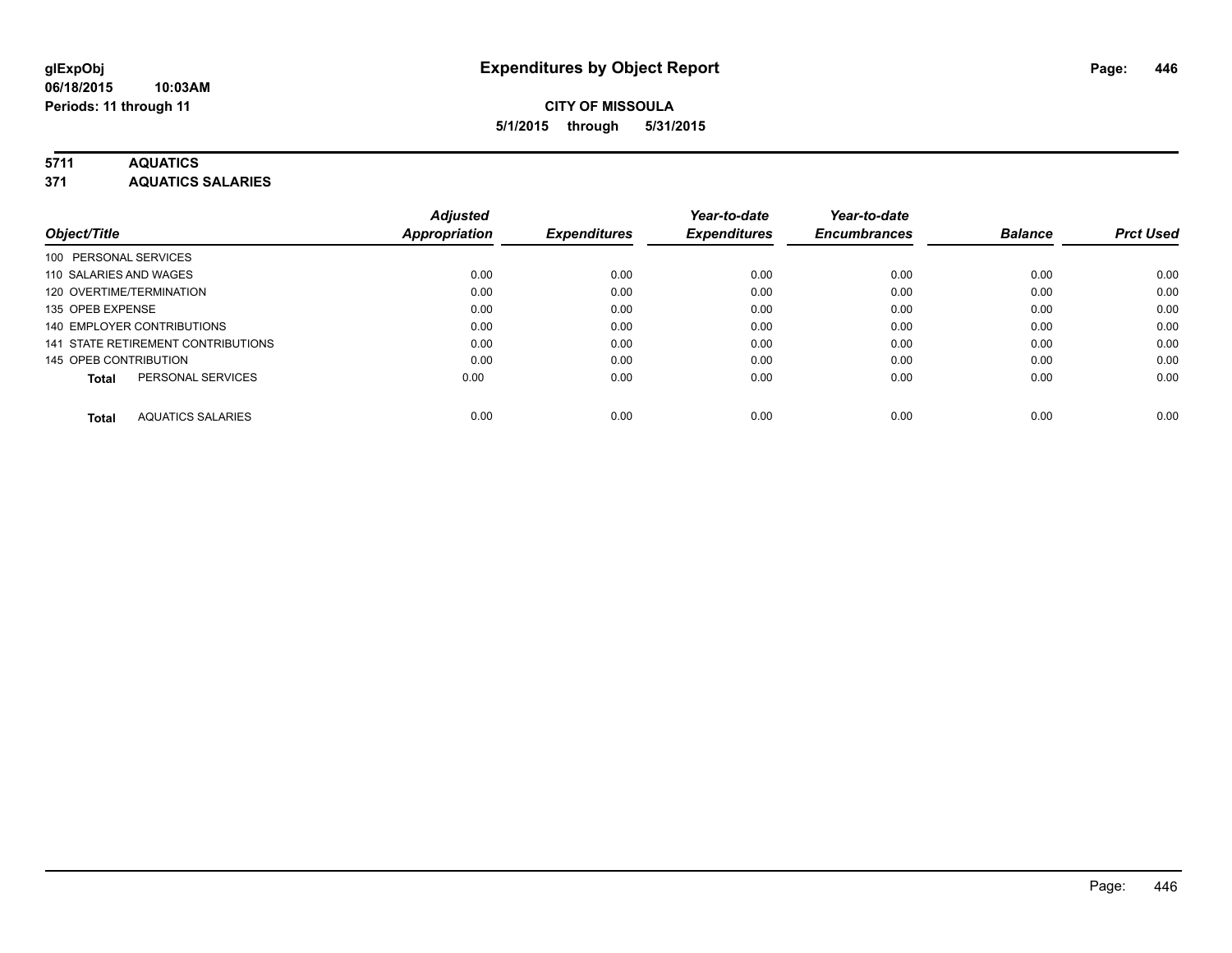### **5711 AQUATICS**

**371 AQUATICS SALARIES**

| Object/Title                             | <b>Adjusted</b><br>Appropriation | <b>Expenditures</b> | Year-to-date<br><b>Expenditures</b> | Year-to-date<br><b>Encumbrances</b> | <b>Balance</b> | <b>Prct Used</b> |
|------------------------------------------|----------------------------------|---------------------|-------------------------------------|-------------------------------------|----------------|------------------|
|                                          |                                  |                     |                                     |                                     |                |                  |
| 100 PERSONAL SERVICES                    |                                  |                     |                                     |                                     |                |                  |
| 110 SALARIES AND WAGES                   | 0.00                             | 0.00                | 0.00                                | 0.00                                | 0.00           | 0.00             |
| 120 OVERTIME/TERMINATION                 | 0.00                             | 0.00                | 0.00                                | 0.00                                | 0.00           | 0.00             |
| 135 OPEB EXPENSE                         | 0.00                             | 0.00                | 0.00                                | 0.00                                | 0.00           | 0.00             |
| 140 EMPLOYER CONTRIBUTIONS               | 0.00                             | 0.00                | 0.00                                | 0.00                                | 0.00           | 0.00             |
| 141 STATE RETIREMENT CONTRIBUTIONS       | 0.00                             | 0.00                | 0.00                                | 0.00                                | 0.00           | 0.00             |
| 145 OPEB CONTRIBUTION                    | 0.00                             | 0.00                | 0.00                                | 0.00                                | 0.00           | 0.00             |
| PERSONAL SERVICES<br><b>Total</b>        | 0.00                             | 0.00                | 0.00                                | 0.00                                | 0.00           | 0.00             |
| <b>AQUATICS SALARIES</b><br><b>Total</b> | 0.00                             | 0.00                | 0.00                                | 0.00                                | 0.00           | 0.00             |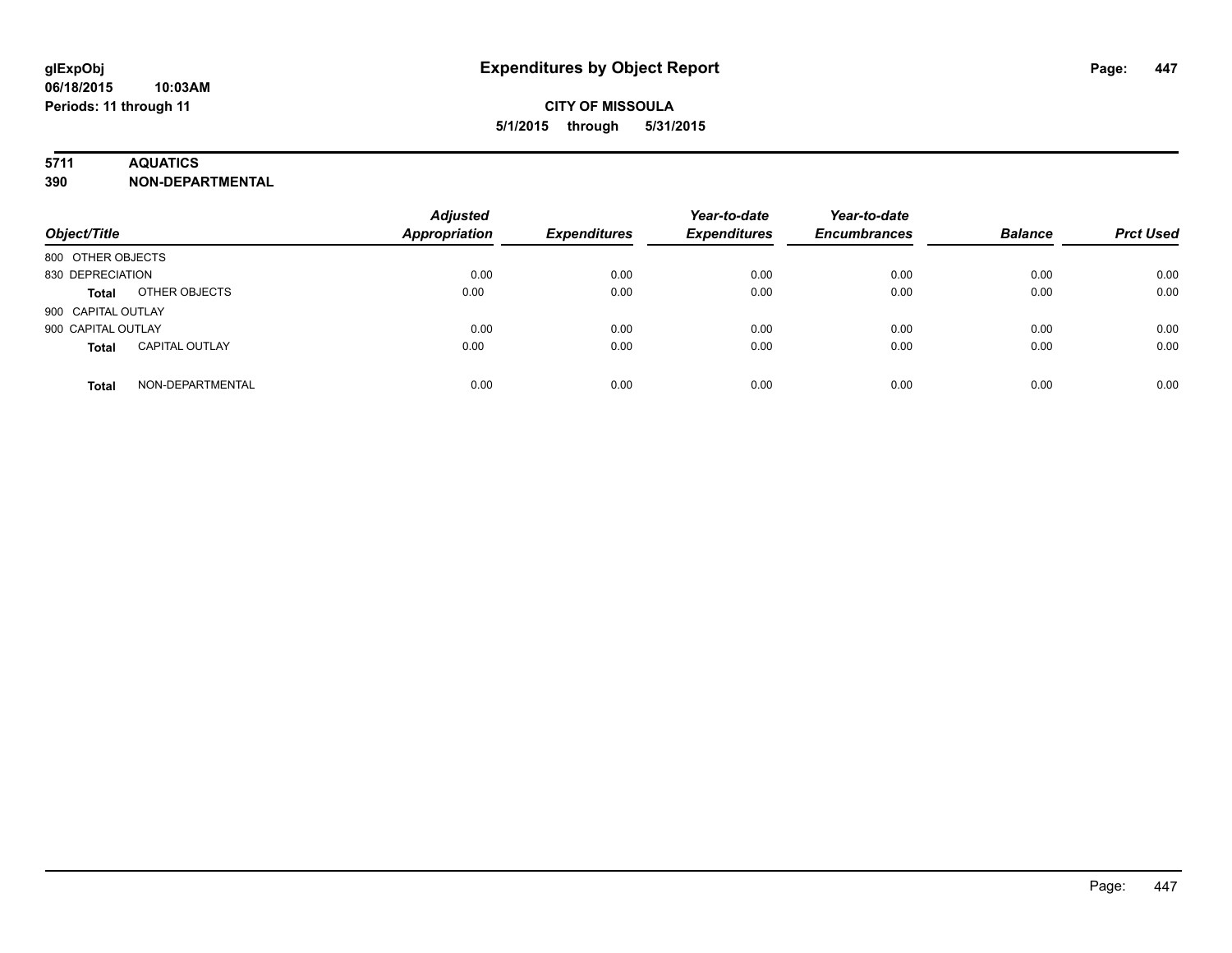### **5711 AQUATICS**

**390 NON-DEPARTMENTAL**

| Object/Title                          | <b>Adjusted</b><br><b>Appropriation</b> | <b>Expenditures</b> | Year-to-date<br><b>Expenditures</b> | Year-to-date<br><b>Encumbrances</b> | <b>Balance</b> | <b>Prct Used</b> |
|---------------------------------------|-----------------------------------------|---------------------|-------------------------------------|-------------------------------------|----------------|------------------|
| 800 OTHER OBJECTS                     |                                         |                     |                                     |                                     |                |                  |
| 830 DEPRECIATION                      | 0.00                                    | 0.00                | 0.00                                | 0.00                                | 0.00           | 0.00             |
| OTHER OBJECTS<br><b>Total</b>         | 0.00                                    | 0.00                | 0.00                                | 0.00                                | 0.00           | 0.00             |
| 900 CAPITAL OUTLAY                    |                                         |                     |                                     |                                     |                |                  |
| 900 CAPITAL OUTLAY                    | 0.00                                    | 0.00                | 0.00                                | 0.00                                | 0.00           | 0.00             |
| <b>CAPITAL OUTLAY</b><br><b>Total</b> | 0.00                                    | 0.00                | 0.00                                | 0.00                                | 0.00           | 0.00             |
| NON-DEPARTMENTAL<br><b>Total</b>      | 0.00                                    | 0.00                | 0.00                                | 0.00                                | 0.00           | 0.00             |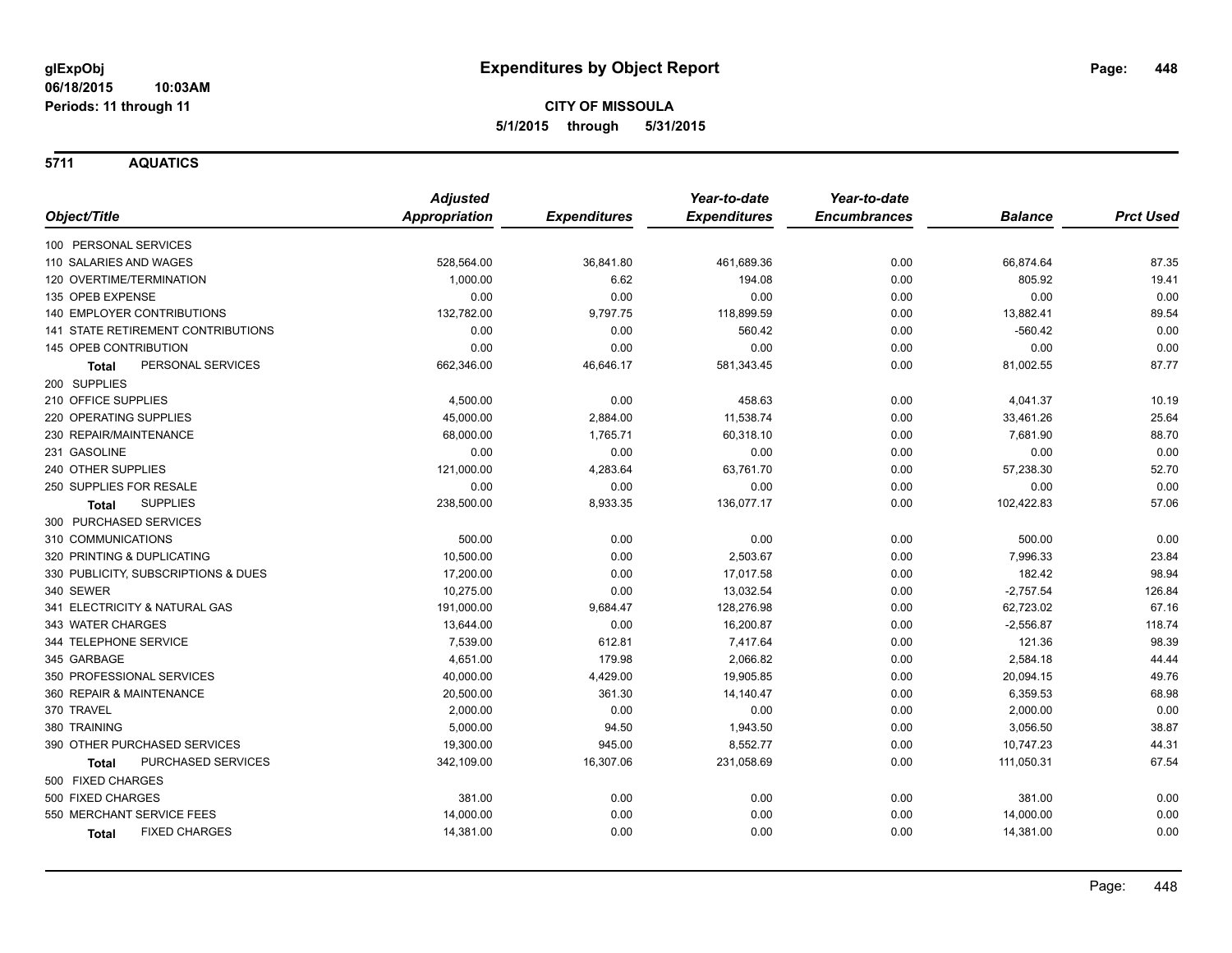**5711 AQUATICS**

|                                           |                    | <b>Adjusted</b>      |                     | Year-to-date        | Year-to-date        |                |                  |
|-------------------------------------------|--------------------|----------------------|---------------------|---------------------|---------------------|----------------|------------------|
| Object/Title                              |                    | <b>Appropriation</b> | <b>Expenditures</b> | <b>Expenditures</b> | <b>Encumbrances</b> | <b>Balance</b> | <b>Prct Used</b> |
| 100 PERSONAL SERVICES                     |                    |                      |                     |                     |                     |                |                  |
| 110 SALARIES AND WAGES                    |                    | 528,564.00           | 36,841.80           | 461,689.36          | 0.00                | 66,874.64      | 87.35            |
| 120 OVERTIME/TERMINATION                  |                    | 1,000.00             | 6.62                | 194.08              | 0.00                | 805.92         | 19.41            |
| 135 OPEB EXPENSE                          |                    | 0.00                 | 0.00                | 0.00                | 0.00                | 0.00           | 0.00             |
| 140 EMPLOYER CONTRIBUTIONS                |                    | 132,782.00           | 9,797.75            | 118,899.59          | 0.00                | 13,882.41      | 89.54            |
| <b>141 STATE RETIREMENT CONTRIBUTIONS</b> |                    | 0.00                 | 0.00                | 560.42              | 0.00                | $-560.42$      | 0.00             |
| 145 OPEB CONTRIBUTION                     |                    | 0.00                 | 0.00                | 0.00                | 0.00                | 0.00           | 0.00             |
| <b>Total</b>                              | PERSONAL SERVICES  | 662,346.00           | 46,646.17           | 581,343.45          | 0.00                | 81,002.55      | 87.77            |
| 200 SUPPLIES                              |                    |                      |                     |                     |                     |                |                  |
| 210 OFFICE SUPPLIES                       |                    | 4,500.00             | 0.00                | 458.63              | 0.00                | 4,041.37       | 10.19            |
| 220 OPERATING SUPPLIES                    |                    | 45,000.00            | 2,884.00            | 11,538.74           | 0.00                | 33,461.26      | 25.64            |
| 230 REPAIR/MAINTENANCE                    |                    | 68,000.00            | 1,765.71            | 60,318.10           | 0.00                | 7,681.90       | 88.70            |
| 231 GASOLINE                              |                    | 0.00                 | 0.00                | 0.00                | 0.00                | 0.00           | 0.00             |
| 240 OTHER SUPPLIES                        |                    | 121,000.00           | 4,283.64            | 63,761.70           | 0.00                | 57,238.30      | 52.70            |
| 250 SUPPLIES FOR RESALE                   |                    | 0.00                 | 0.00                | 0.00                | 0.00                | 0.00           | 0.00             |
| <b>SUPPLIES</b><br>Total                  |                    | 238,500.00           | 8,933.35            | 136,077.17          | 0.00                | 102,422.83     | 57.06            |
| 300 PURCHASED SERVICES                    |                    |                      |                     |                     |                     |                |                  |
| 310 COMMUNICATIONS                        |                    | 500.00               | 0.00                | 0.00                | 0.00                | 500.00         | 0.00             |
| 320 PRINTING & DUPLICATING                |                    | 10,500.00            | 0.00                | 2,503.67            | 0.00                | 7,996.33       | 23.84            |
| 330 PUBLICITY, SUBSCRIPTIONS & DUES       |                    | 17,200.00            | 0.00                | 17,017.58           | 0.00                | 182.42         | 98.94            |
| 340 SEWER                                 |                    | 10,275.00            | 0.00                | 13,032.54           | 0.00                | $-2,757.54$    | 126.84           |
| 341 ELECTRICITY & NATURAL GAS             |                    | 191,000.00           | 9,684.47            | 128,276.98          | 0.00                | 62,723.02      | 67.16            |
| 343 WATER CHARGES                         |                    | 13,644.00            | 0.00                | 16,200.87           | 0.00                | $-2,556.87$    | 118.74           |
| 344 TELEPHONE SERVICE                     |                    | 7,539.00             | 612.81              | 7,417.64            | 0.00                | 121.36         | 98.39            |
| 345 GARBAGE                               |                    | 4,651.00             | 179.98              | 2,066.82            | 0.00                | 2,584.18       | 44.44            |
| 350 PROFESSIONAL SERVICES                 |                    | 40,000.00            | 4,429.00            | 19,905.85           | 0.00                | 20,094.15      | 49.76            |
| 360 REPAIR & MAINTENANCE                  |                    | 20,500.00            | 361.30              | 14,140.47           | 0.00                | 6,359.53       | 68.98            |
| 370 TRAVEL                                |                    | 2,000.00             | 0.00                | 0.00                | 0.00                | 2,000.00       | 0.00             |
| 380 TRAINING                              |                    | 5,000.00             | 94.50               | 1,943.50            | 0.00                | 3,056.50       | 38.87            |
| 390 OTHER PURCHASED SERVICES              |                    | 19,300.00            | 945.00              | 8,552.77            | 0.00                | 10,747.23      | 44.31            |
| Total                                     | PURCHASED SERVICES | 342,109.00           | 16,307.06           | 231,058.69          | 0.00                | 111,050.31     | 67.54            |
| 500 FIXED CHARGES                         |                    |                      |                     |                     |                     |                |                  |
| 500 FIXED CHARGES                         |                    | 381.00               | 0.00                | 0.00                | 0.00                | 381.00         | 0.00             |
| 550 MERCHANT SERVICE FEES                 |                    | 14,000.00            | 0.00                | 0.00                | 0.00                | 14,000.00      | 0.00             |
| <b>FIXED CHARGES</b><br>Total             |                    | 14,381.00            | 0.00                | 0.00                | 0.00                | 14,381.00      | 0.00             |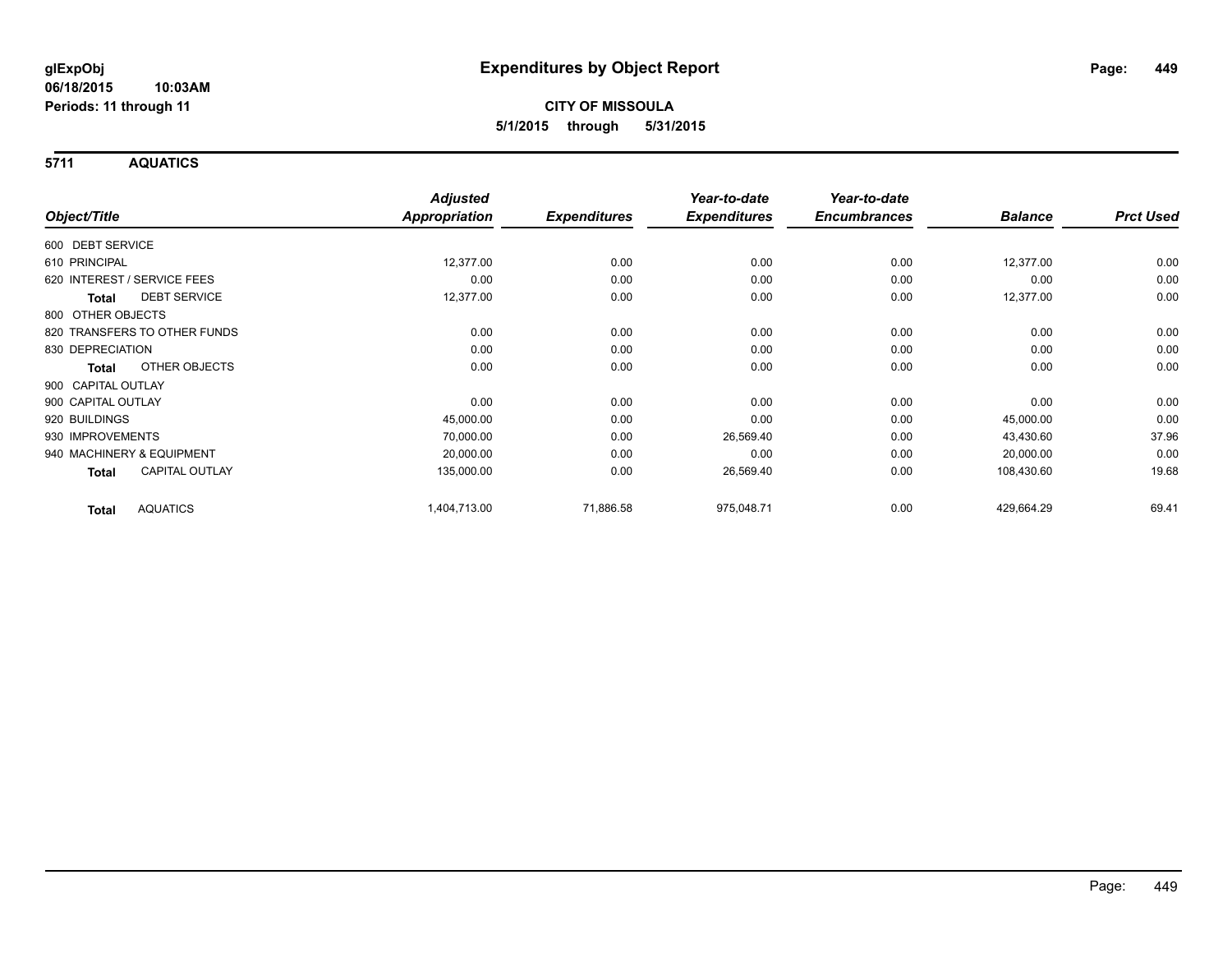**5711 AQUATICS**

|                                       | <b>Adjusted</b> |                     | Year-to-date        | Year-to-date        |                |                  |
|---------------------------------------|-----------------|---------------------|---------------------|---------------------|----------------|------------------|
| Object/Title                          | Appropriation   | <b>Expenditures</b> | <b>Expenditures</b> | <b>Encumbrances</b> | <b>Balance</b> | <b>Prct Used</b> |
| 600 DEBT SERVICE                      |                 |                     |                     |                     |                |                  |
| 610 PRINCIPAL                         | 12,377.00       | 0.00                | 0.00                | 0.00                | 12,377.00      | 0.00             |
| 620 INTEREST / SERVICE FEES           | 0.00            | 0.00                | 0.00                | 0.00                | 0.00           | 0.00             |
| <b>DEBT SERVICE</b><br><b>Total</b>   | 12,377.00       | 0.00                | 0.00                | 0.00                | 12,377.00      | 0.00             |
| 800 OTHER OBJECTS                     |                 |                     |                     |                     |                |                  |
| 820 TRANSFERS TO OTHER FUNDS          | 0.00            | 0.00                | 0.00                | 0.00                | 0.00           | 0.00             |
| 830 DEPRECIATION                      | 0.00            | 0.00                | 0.00                | 0.00                | 0.00           | 0.00             |
| OTHER OBJECTS<br>Total                | 0.00            | 0.00                | 0.00                | 0.00                | 0.00           | 0.00             |
| 900 CAPITAL OUTLAY                    |                 |                     |                     |                     |                |                  |
| 900 CAPITAL OUTLAY                    | 0.00            | 0.00                | 0.00                | 0.00                | 0.00           | 0.00             |
| 920 BUILDINGS                         | 45,000.00       | 0.00                | 0.00                | 0.00                | 45,000.00      | 0.00             |
| 930 IMPROVEMENTS                      | 70,000.00       | 0.00                | 26,569.40           | 0.00                | 43,430.60      | 37.96            |
| 940 MACHINERY & EQUIPMENT             | 20,000.00       | 0.00                | 0.00                | 0.00                | 20,000.00      | 0.00             |
| <b>CAPITAL OUTLAY</b><br><b>Total</b> | 135,000.00      | 0.00                | 26,569.40           | 0.00                | 108,430.60     | 19.68            |
| <b>AQUATICS</b><br><b>Total</b>       | 1,404,713.00    | 71,886.58           | 975,048.71          | 0.00                | 429,664.29     | 69.41            |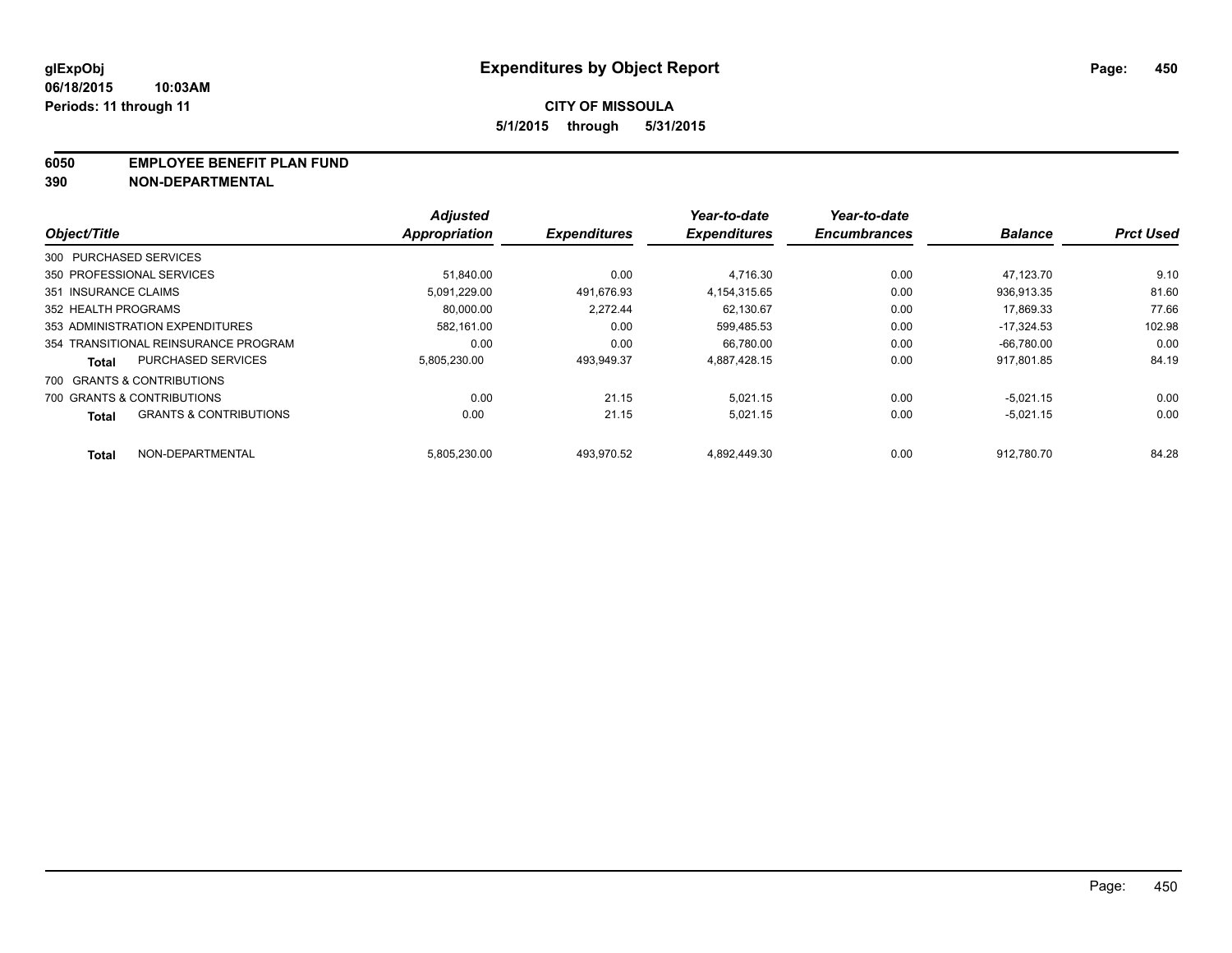#### **6050 EMPLOYEE BENEFIT PLAN FUND**

**390 NON-DEPARTMENTAL**

|                                                   | <b>Adjusted</b> |                     | Year-to-date        | Year-to-date        |                |                  |
|---------------------------------------------------|-----------------|---------------------|---------------------|---------------------|----------------|------------------|
| Object/Title                                      | Appropriation   | <b>Expenditures</b> | <b>Expenditures</b> | <b>Encumbrances</b> | <b>Balance</b> | <b>Prct Used</b> |
| 300 PURCHASED SERVICES                            |                 |                     |                     |                     |                |                  |
| 350 PROFESSIONAL SERVICES                         | 51,840.00       | 0.00                | 4,716.30            | 0.00                | 47.123.70      | 9.10             |
| 351 INSURANCE CLAIMS                              | 5.091.229.00    | 491.676.93          | 4,154,315.65        | 0.00                | 936.913.35     | 81.60            |
| 352 HEALTH PROGRAMS                               | 80.000.00       | 2.272.44            | 62.130.67           | 0.00                | 17.869.33      | 77.66            |
| 353 ADMINISTRATION EXPENDITURES                   | 582.161.00      | 0.00                | 599,485.53          | 0.00                | $-17.324.53$   | 102.98           |
| 354 TRANSITIONAL REINSURANCE PROGRAM              | 0.00            | 0.00                | 66.780.00           | 0.00                | $-66.780.00$   | 0.00             |
| PURCHASED SERVICES<br><b>Total</b>                | 5.805.230.00    | 493.949.37          | 4.887.428.15        | 0.00                | 917.801.85     | 84.19            |
| 700 GRANTS & CONTRIBUTIONS                        |                 |                     |                     |                     |                |                  |
| 700 GRANTS & CONTRIBUTIONS                        | 0.00            | 21.15               | 5.021.15            | 0.00                | $-5.021.15$    | 0.00             |
| <b>GRANTS &amp; CONTRIBUTIONS</b><br><b>Total</b> | 0.00            | 21.15               | 5.021.15            | 0.00                | $-5,021.15$    | 0.00             |
| NON-DEPARTMENTAL<br>Total                         | 5,805,230.00    | 493.970.52          | 4,892,449.30        | 0.00                | 912.780.70     | 84.28            |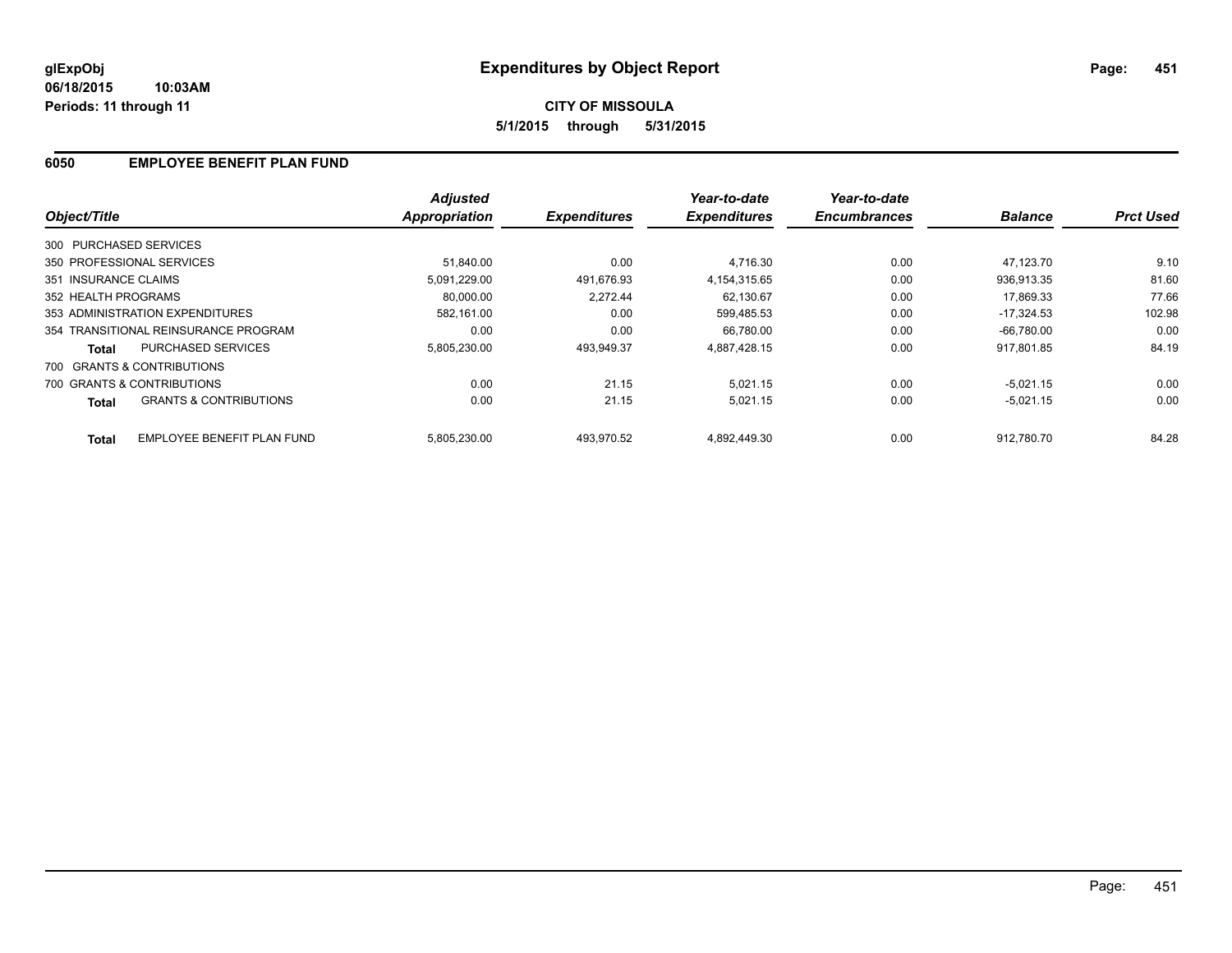### **6050 EMPLOYEE BENEFIT PLAN FUND**

|                                                   | <b>Adjusted</b> |                     | Year-to-date        | Year-to-date        |                |                  |
|---------------------------------------------------|-----------------|---------------------|---------------------|---------------------|----------------|------------------|
| Object/Title                                      | Appropriation   | <b>Expenditures</b> | <b>Expenditures</b> | <b>Encumbrances</b> | <b>Balance</b> | <b>Prct Used</b> |
| 300 PURCHASED SERVICES                            |                 |                     |                     |                     |                |                  |
| 350 PROFESSIONAL SERVICES                         | 51.840.00       | 0.00                | 4.716.30            | 0.00                | 47.123.70      | 9.10             |
| 351 INSURANCE CLAIMS                              | 5,091,229.00    | 491.676.93          | 4.154.315.65        | 0.00                | 936.913.35     | 81.60            |
| 352 HEALTH PROGRAMS                               | 80.000.00       | 2.272.44            | 62,130.67           | 0.00                | 17.869.33      | 77.66            |
| 353 ADMINISTRATION EXPENDITURES                   | 582.161.00      | 0.00                | 599.485.53          | 0.00                | $-17.324.53$   | 102.98           |
| 354 TRANSITIONAL REINSURANCE PROGRAM              | 0.00            | 0.00                | 66.780.00           | 0.00                | $-66.780.00$   | 0.00             |
| <b>PURCHASED SERVICES</b><br><b>Total</b>         | 5.805.230.00    | 493.949.37          | 4.887.428.15        | 0.00                | 917.801.85     | 84.19            |
| 700 GRANTS & CONTRIBUTIONS                        |                 |                     |                     |                     |                |                  |
| 700 GRANTS & CONTRIBUTIONS                        | 0.00            | 21.15               | 5.021.15            | 0.00                | $-5.021.15$    | 0.00             |
| <b>GRANTS &amp; CONTRIBUTIONS</b><br><b>Total</b> | 0.00            | 21.15               | 5,021.15            | 0.00                | $-5,021.15$    | 0.00             |
| <b>EMPLOYEE BENEFIT PLAN FUND</b><br><b>Total</b> | 5.805.230.00    | 493.970.52          | 4,892,449.30        | 0.00                | 912.780.70     | 84.28            |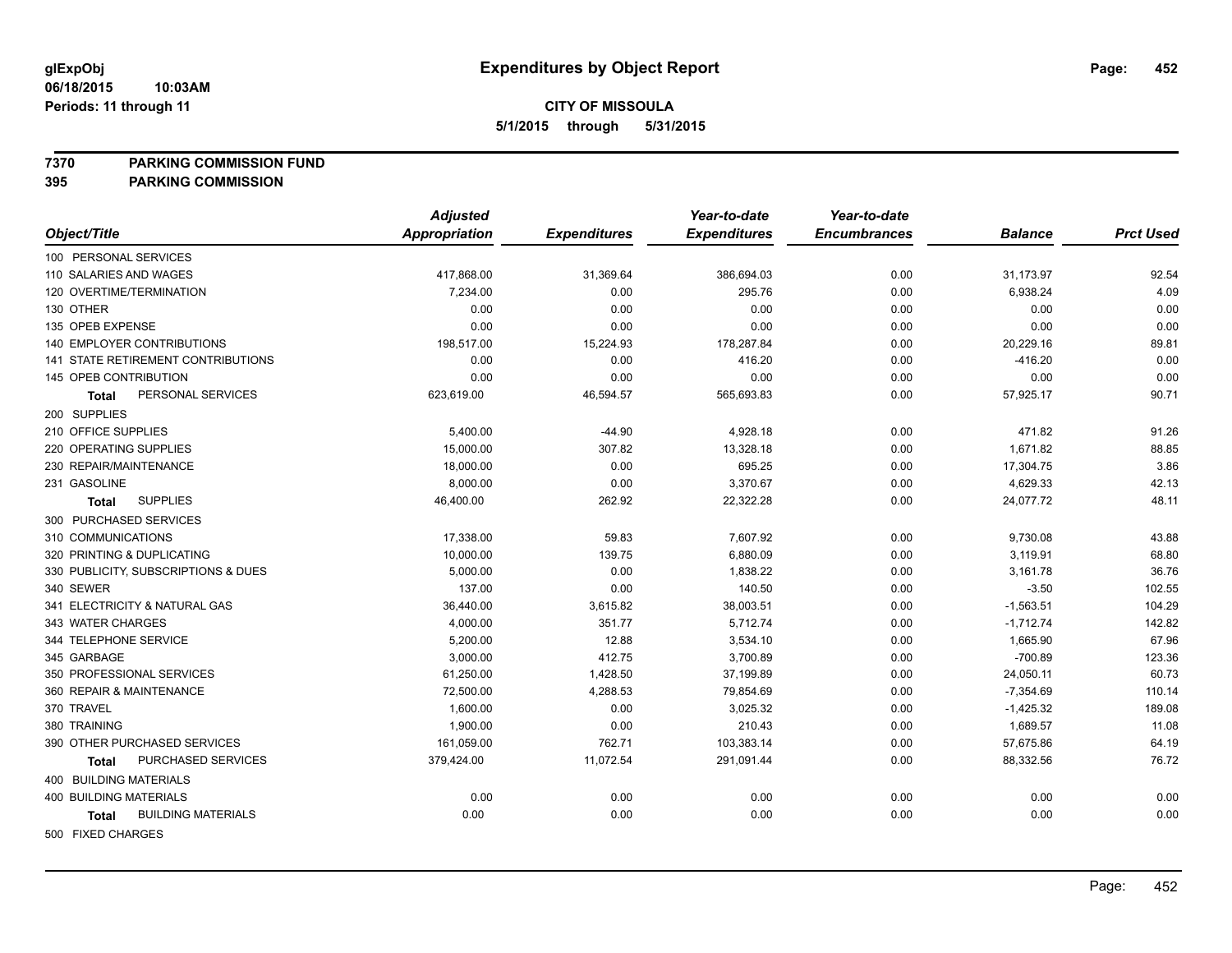#### **7370 PARKING COMMISSION FUND**

|                                           | <b>Adjusted</b>      |                     | Year-to-date        | Year-to-date        |                |                  |
|-------------------------------------------|----------------------|---------------------|---------------------|---------------------|----------------|------------------|
| Object/Title                              | <b>Appropriation</b> | <b>Expenditures</b> | <b>Expenditures</b> | <b>Encumbrances</b> | <b>Balance</b> | <b>Prct Used</b> |
| 100 PERSONAL SERVICES                     |                      |                     |                     |                     |                |                  |
| 110 SALARIES AND WAGES                    | 417,868.00           | 31,369.64           | 386,694.03          | 0.00                | 31,173.97      | 92.54            |
| 120 OVERTIME/TERMINATION                  | 7,234.00             | 0.00                | 295.76              | 0.00                | 6,938.24       | 4.09             |
| 130 OTHER                                 | 0.00                 | 0.00                | 0.00                | 0.00                | 0.00           | 0.00             |
| 135 OPEB EXPENSE                          | 0.00                 | 0.00                | 0.00                | 0.00                | 0.00           | 0.00             |
| 140 EMPLOYER CONTRIBUTIONS                | 198,517.00           | 15,224.93           | 178,287.84          | 0.00                | 20,229.16      | 89.81            |
| 141 STATE RETIREMENT CONTRIBUTIONS        | 0.00                 | 0.00                | 416.20              | 0.00                | $-416.20$      | 0.00             |
| 145 OPEB CONTRIBUTION                     | 0.00                 | 0.00                | 0.00                | 0.00                | 0.00           | 0.00             |
| PERSONAL SERVICES<br>Total                | 623,619.00           | 46,594.57           | 565,693.83          | 0.00                | 57,925.17      | 90.71            |
| 200 SUPPLIES                              |                      |                     |                     |                     |                |                  |
| 210 OFFICE SUPPLIES                       | 5,400.00             | $-44.90$            | 4,928.18            | 0.00                | 471.82         | 91.26            |
| 220 OPERATING SUPPLIES                    | 15,000.00            | 307.82              | 13,328.18           | 0.00                | 1,671.82       | 88.85            |
| 230 REPAIR/MAINTENANCE                    | 18,000.00            | 0.00                | 695.25              | 0.00                | 17,304.75      | 3.86             |
| 231 GASOLINE                              | 8,000.00             | 0.00                | 3,370.67            | 0.00                | 4,629.33       | 42.13            |
| <b>SUPPLIES</b><br>Total                  | 46,400.00            | 262.92              | 22,322.28           | 0.00                | 24,077.72      | 48.11            |
| 300 PURCHASED SERVICES                    |                      |                     |                     |                     |                |                  |
| 310 COMMUNICATIONS                        | 17,338.00            | 59.83               | 7,607.92            | 0.00                | 9,730.08       | 43.88            |
| 320 PRINTING & DUPLICATING                | 10,000.00            | 139.75              | 6,880.09            | 0.00                | 3,119.91       | 68.80            |
| 330 PUBLICITY, SUBSCRIPTIONS & DUES       | 5,000.00             | 0.00                | 1,838.22            | 0.00                | 3,161.78       | 36.76            |
| 340 SEWER                                 | 137.00               | 0.00                | 140.50              | 0.00                | $-3.50$        | 102.55           |
| 341 ELECTRICITY & NATURAL GAS             | 36,440.00            | 3,615.82            | 38,003.51           | 0.00                | $-1,563.51$    | 104.29           |
| 343 WATER CHARGES                         | 4,000.00             | 351.77              | 5,712.74            | 0.00                | $-1,712.74$    | 142.82           |
| 344 TELEPHONE SERVICE                     | 5,200.00             | 12.88               | 3,534.10            | 0.00                | 1,665.90       | 67.96            |
| 345 GARBAGE                               | 3,000.00             | 412.75              | 3,700.89            | 0.00                | $-700.89$      | 123.36           |
| 350 PROFESSIONAL SERVICES                 | 61,250.00            | 1,428.50            | 37,199.89           | 0.00                | 24,050.11      | 60.73            |
| 360 REPAIR & MAINTENANCE                  | 72,500.00            | 4,288.53            | 79,854.69           | 0.00                | $-7,354.69$    | 110.14           |
| 370 TRAVEL                                | 1,600.00             | 0.00                | 3,025.32            | 0.00                | $-1,425.32$    | 189.08           |
| 380 TRAINING                              | 1,900.00             | 0.00                | 210.43              | 0.00                | 1,689.57       | 11.08            |
| 390 OTHER PURCHASED SERVICES              | 161,059.00           | 762.71              | 103,383.14          | 0.00                | 57,675.86      | 64.19            |
| PURCHASED SERVICES<br><b>Total</b>        | 379,424.00           | 11,072.54           | 291,091.44          | 0.00                | 88,332.56      | 76.72            |
| 400 BUILDING MATERIALS                    |                      |                     |                     |                     |                |                  |
| <b>400 BUILDING MATERIALS</b>             | 0.00                 | 0.00                | 0.00                | 0.00                | 0.00           | 0.00             |
| <b>BUILDING MATERIALS</b><br><b>Total</b> | 0.00                 | 0.00                | 0.00                | 0.00                | 0.00           | 0.00             |
| 500 FIXED CHARGES                         |                      |                     |                     |                     |                |                  |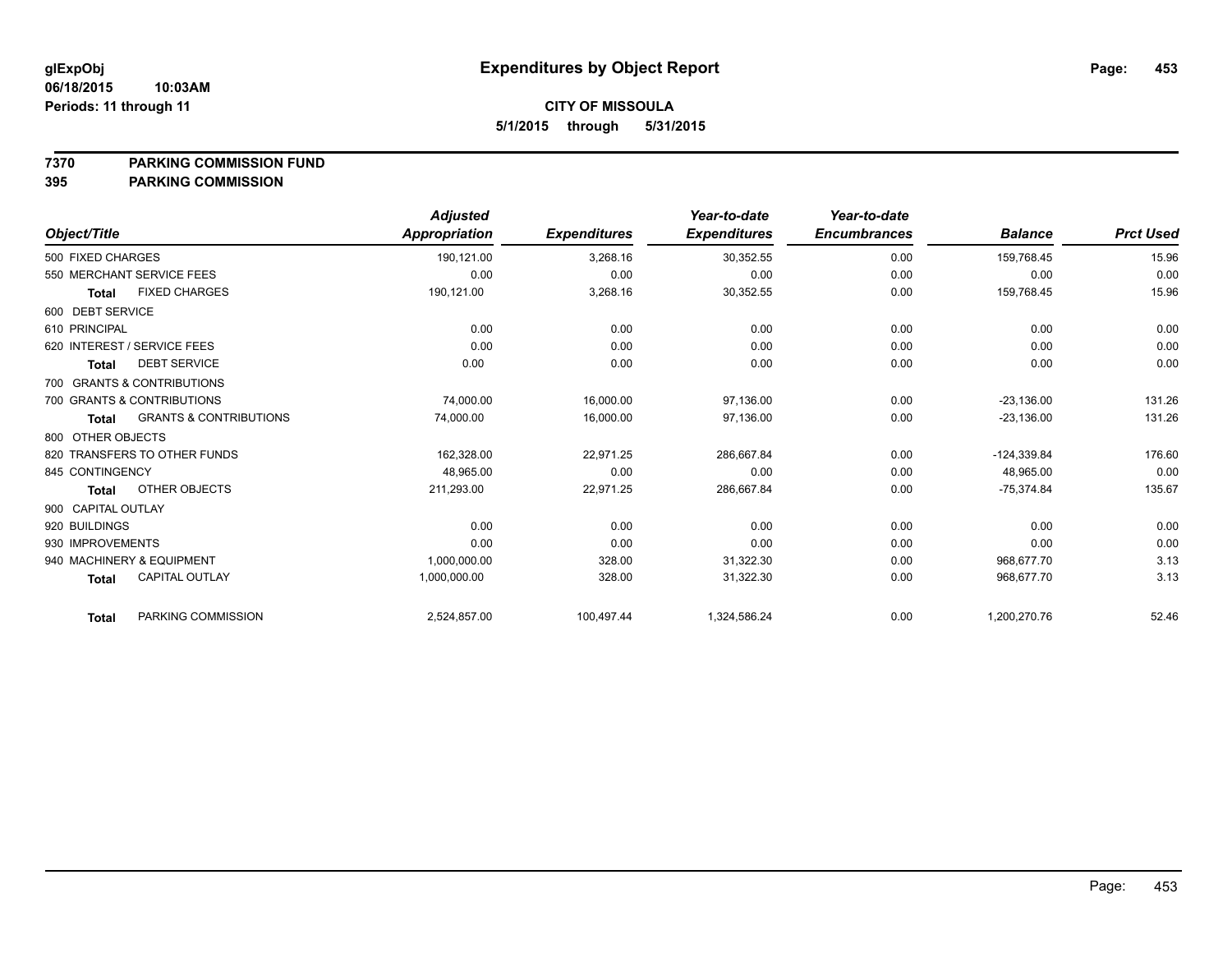#### **7370 PARKING COMMISSION FUND**

|                             |                                   | <b>Adjusted</b> |                     | Year-to-date        | Year-to-date        |                |                  |
|-----------------------------|-----------------------------------|-----------------|---------------------|---------------------|---------------------|----------------|------------------|
| Object/Title                |                                   | Appropriation   | <b>Expenditures</b> | <b>Expenditures</b> | <b>Encumbrances</b> | <b>Balance</b> | <b>Prct Used</b> |
| 500 FIXED CHARGES           |                                   | 190,121.00      | 3,268.16            | 30,352.55           | 0.00                | 159,768.45     | 15.96            |
|                             | 550 MERCHANT SERVICE FEES         | 0.00            | 0.00                | 0.00                | 0.00                | 0.00           | 0.00             |
| <b>Total</b>                | <b>FIXED CHARGES</b>              | 190,121.00      | 3,268.16            | 30,352.55           | 0.00                | 159,768.45     | 15.96            |
| 600 DEBT SERVICE            |                                   |                 |                     |                     |                     |                |                  |
| 610 PRINCIPAL               |                                   | 0.00            | 0.00                | 0.00                | 0.00                | 0.00           | 0.00             |
| 620 INTEREST / SERVICE FEES |                                   | 0.00            | 0.00                | 0.00                | 0.00                | 0.00           | 0.00             |
| <b>Total</b>                | <b>DEBT SERVICE</b>               | 0.00            | 0.00                | 0.00                | 0.00                | 0.00           | 0.00             |
|                             | 700 GRANTS & CONTRIBUTIONS        |                 |                     |                     |                     |                |                  |
|                             | 700 GRANTS & CONTRIBUTIONS        | 74,000.00       | 16,000.00           | 97,136.00           | 0.00                | $-23,136.00$   | 131.26           |
| <b>Total</b>                | <b>GRANTS &amp; CONTRIBUTIONS</b> | 74,000.00       | 16,000.00           | 97,136.00           | 0.00                | $-23,136.00$   | 131.26           |
| 800 OTHER OBJECTS           |                                   |                 |                     |                     |                     |                |                  |
|                             | 820 TRANSFERS TO OTHER FUNDS      | 162,328.00      | 22,971.25           | 286,667.84          | 0.00                | $-124,339.84$  | 176.60           |
| 845 CONTINGENCY             |                                   | 48,965.00       | 0.00                | 0.00                | 0.00                | 48,965.00      | 0.00             |
| <b>Total</b>                | OTHER OBJECTS                     | 211,293.00      | 22,971.25           | 286,667.84          | 0.00                | $-75,374.84$   | 135.67           |
| 900 CAPITAL OUTLAY          |                                   |                 |                     |                     |                     |                |                  |
| 920 BUILDINGS               |                                   | 0.00            | 0.00                | 0.00                | 0.00                | 0.00           | 0.00             |
| 930 IMPROVEMENTS            |                                   | 0.00            | 0.00                | 0.00                | 0.00                | 0.00           | 0.00             |
| 940 MACHINERY & EQUIPMENT   |                                   | 1,000,000.00    | 328.00              | 31,322.30           | 0.00                | 968,677.70     | 3.13             |
| <b>Total</b>                | <b>CAPITAL OUTLAY</b>             | 1,000,000.00    | 328.00              | 31,322.30           | 0.00                | 968,677.70     | 3.13             |
| <b>Total</b>                | PARKING COMMISSION                | 2,524,857.00    | 100,497.44          | 1,324,586.24        | 0.00                | 1,200,270.76   | 52.46            |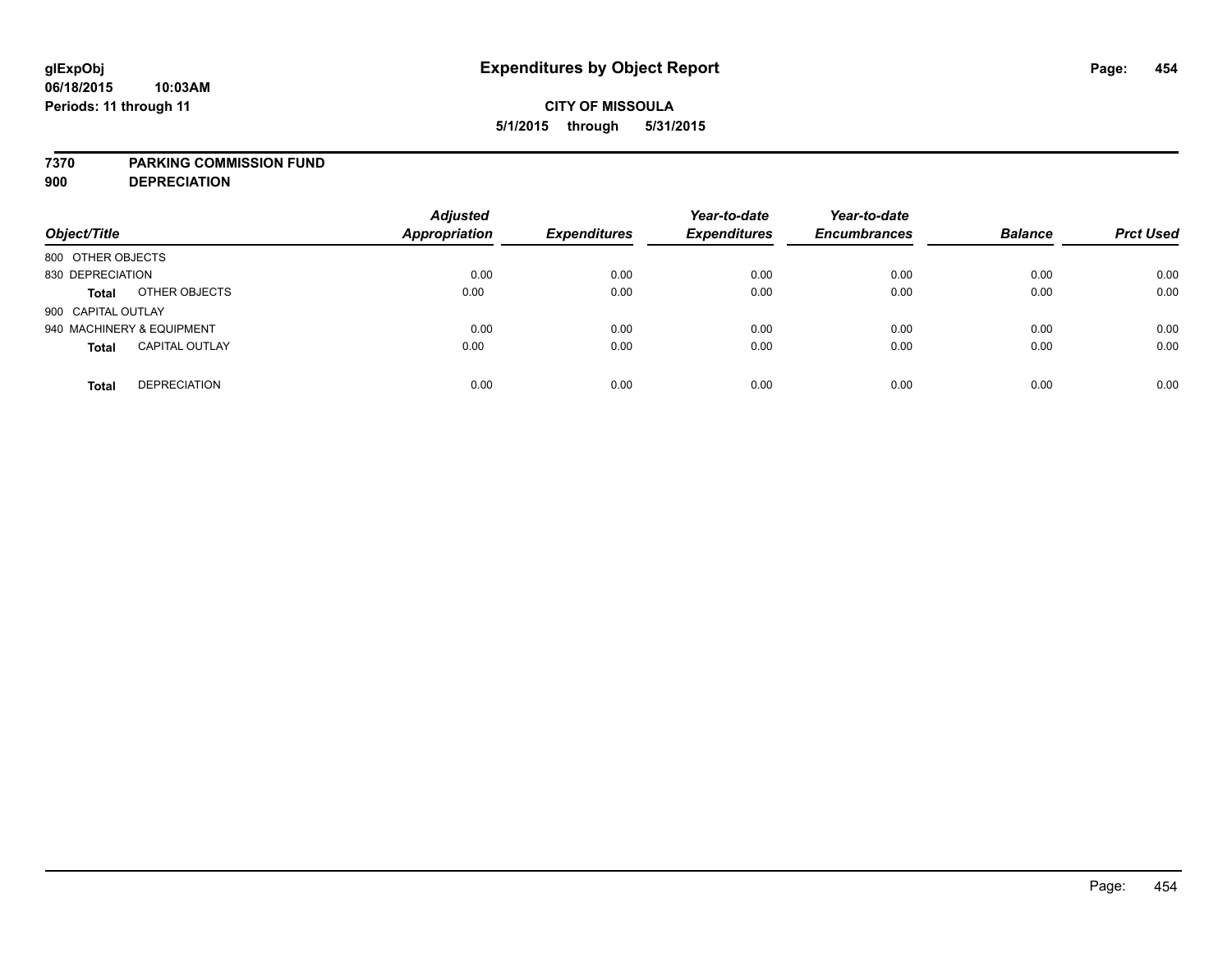#### **7370 PARKING COMMISSION FUND**

**900 DEPRECIATION**

| Object/Title                          | <b>Adjusted</b><br><b>Appropriation</b> | <b>Expenditures</b> | Year-to-date<br><b>Expenditures</b> | Year-to-date<br><b>Encumbrances</b> | <b>Balance</b> | <b>Prct Used</b> |
|---------------------------------------|-----------------------------------------|---------------------|-------------------------------------|-------------------------------------|----------------|------------------|
| 800 OTHER OBJECTS                     |                                         |                     |                                     |                                     |                |                  |
| 830 DEPRECIATION                      |                                         | 0.00                | 0.00<br>0.00                        | 0.00                                | 0.00           | 0.00             |
| OTHER OBJECTS<br>Total                | 0.00                                    |                     | 0.00<br>0.00                        | 0.00                                | 0.00           | 0.00             |
| 900 CAPITAL OUTLAY                    |                                         |                     |                                     |                                     |                |                  |
| 940 MACHINERY & EQUIPMENT             |                                         | 0.00                | 0.00<br>0.00                        | 0.00                                | 0.00           | 0.00             |
| <b>CAPITAL OUTLAY</b><br><b>Total</b> | 0.00                                    |                     | 0.00<br>0.00                        | 0.00                                | 0.00           | 0.00             |
| <b>DEPRECIATION</b><br><b>Total</b>   |                                         | 0.00                | 0.00<br>0.00                        | 0.00                                | 0.00           | 0.00             |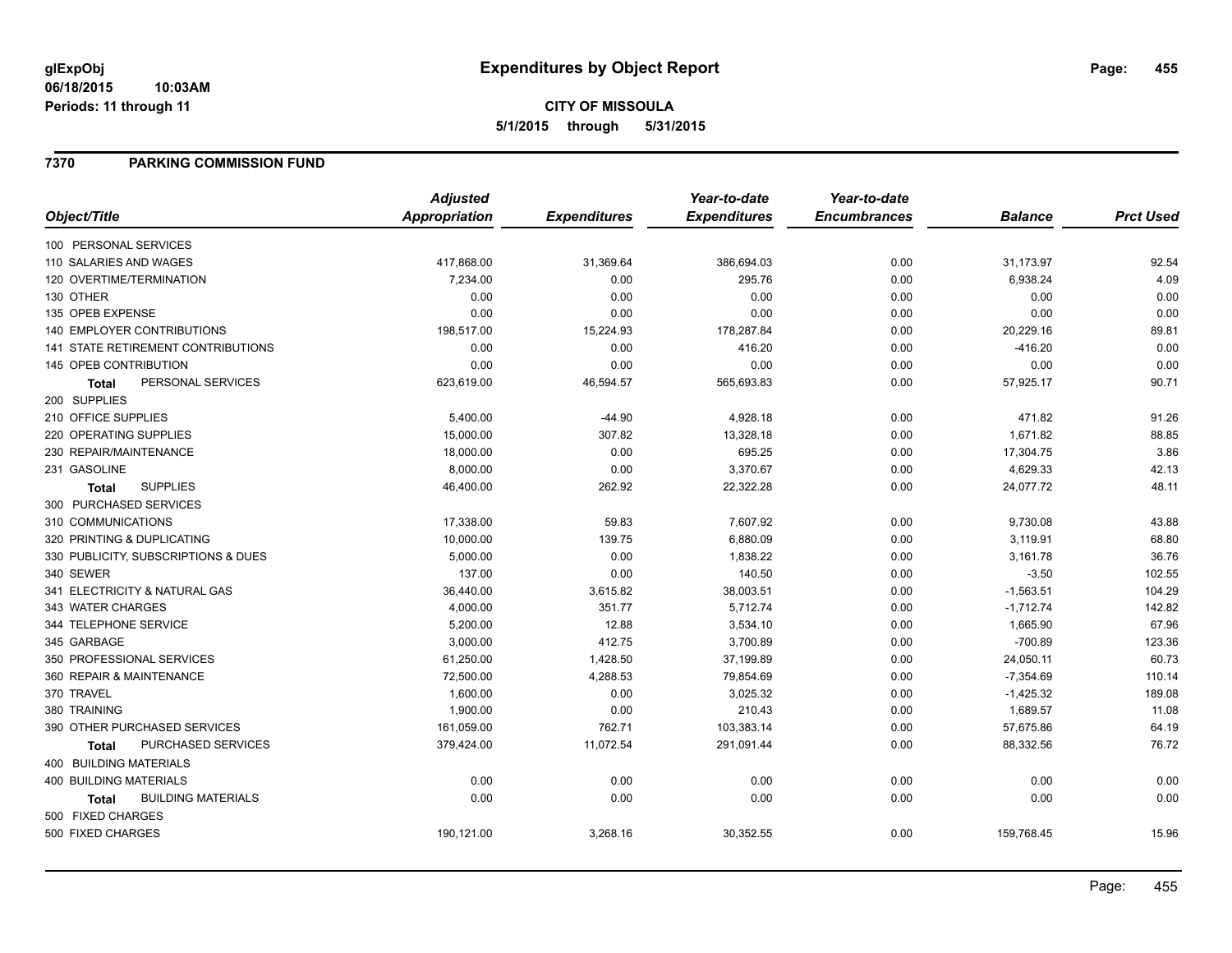#### **06/18/2015 10:03AM Periods: 11 through 11**

### **7370 PARKING COMMISSION FUND**

|                                           | <b>Adjusted</b>      |                     | Year-to-date        | Year-to-date        |                |                  |
|-------------------------------------------|----------------------|---------------------|---------------------|---------------------|----------------|------------------|
| Object/Title                              | <b>Appropriation</b> | <b>Expenditures</b> | <b>Expenditures</b> | <b>Encumbrances</b> | <b>Balance</b> | <b>Prct Used</b> |
| 100 PERSONAL SERVICES                     |                      |                     |                     |                     |                |                  |
| 110 SALARIES AND WAGES                    | 417,868.00           | 31,369.64           | 386,694.03          | 0.00                | 31,173.97      | 92.54            |
| 120 OVERTIME/TERMINATION                  | 7,234.00             | 0.00                | 295.76              | 0.00                | 6,938.24       | 4.09             |
| 130 OTHER                                 | 0.00                 | 0.00                | 0.00                | 0.00                | 0.00           | 0.00             |
| 135 OPEB EXPENSE                          | 0.00                 | 0.00                | 0.00                | 0.00                | 0.00           | 0.00             |
| 140 EMPLOYER CONTRIBUTIONS                | 198,517.00           | 15,224.93           | 178,287.84          | 0.00                | 20,229.16      | 89.81            |
| <b>141 STATE RETIREMENT CONTRIBUTIONS</b> | 0.00                 | 0.00                | 416.20              | 0.00                | $-416.20$      | 0.00             |
| 145 OPEB CONTRIBUTION                     | 0.00                 | 0.00                | 0.00                | 0.00                | 0.00           | 0.00             |
| PERSONAL SERVICES<br>Total                | 623,619.00           | 46,594.57           | 565,693.83          | 0.00                | 57,925.17      | 90.71            |
| 200 SUPPLIES                              |                      |                     |                     |                     |                |                  |
| 210 OFFICE SUPPLIES                       | 5,400.00             | $-44.90$            | 4,928.18            | 0.00                | 471.82         | 91.26            |
| 220 OPERATING SUPPLIES                    | 15,000.00            | 307.82              | 13,328.18           | 0.00                | 1,671.82       | 88.85            |
| 230 REPAIR/MAINTENANCE                    | 18,000.00            | 0.00                | 695.25              | 0.00                | 17,304.75      | 3.86             |
| 231 GASOLINE                              | 8,000.00             | 0.00                | 3,370.67            | 0.00                | 4,629.33       | 42.13            |
| <b>SUPPLIES</b><br><b>Total</b>           | 46,400.00            | 262.92              | 22,322.28           | 0.00                | 24,077.72      | 48.11            |
| 300 PURCHASED SERVICES                    |                      |                     |                     |                     |                |                  |
| 310 COMMUNICATIONS                        | 17,338.00            | 59.83               | 7,607.92            | 0.00                | 9,730.08       | 43.88            |
| 320 PRINTING & DUPLICATING                | 10,000.00            | 139.75              | 6,880.09            | 0.00                | 3,119.91       | 68.80            |
| 330 PUBLICITY, SUBSCRIPTIONS & DUES       | 5,000.00             | 0.00                | 1,838.22            | 0.00                | 3,161.78       | 36.76            |
| 340 SEWER                                 | 137.00               | 0.00                | 140.50              | 0.00                | $-3.50$        | 102.55           |
| 341 ELECTRICITY & NATURAL GAS             | 36,440.00            | 3,615.82            | 38,003.51           | 0.00                | $-1,563.51$    | 104.29           |
| 343 WATER CHARGES                         | 4,000.00             | 351.77              | 5,712.74            | 0.00                | $-1,712.74$    | 142.82           |
| 344 TELEPHONE SERVICE                     | 5,200.00             | 12.88               | 3,534.10            | 0.00                | 1,665.90       | 67.96            |
| 345 GARBAGE                               | 3,000.00             | 412.75              | 3,700.89            | 0.00                | $-700.89$      | 123.36           |
| 350 PROFESSIONAL SERVICES                 | 61,250.00            | 1,428.50            | 37,199.89           | 0.00                | 24,050.11      | 60.73            |
| 360 REPAIR & MAINTENANCE                  | 72,500.00            | 4,288.53            | 79,854.69           | 0.00                | $-7,354.69$    | 110.14           |
| 370 TRAVEL                                | 1,600.00             | 0.00                | 3,025.32            | 0.00                | $-1,425.32$    | 189.08           |
| 380 TRAINING                              | 1,900.00             | 0.00                | 210.43              | 0.00                | 1,689.57       | 11.08            |
| 390 OTHER PURCHASED SERVICES              | 161,059.00           | 762.71              | 103,383.14          | 0.00                | 57,675.86      | 64.19            |
| PURCHASED SERVICES<br>Total               | 379,424.00           | 11,072.54           | 291,091.44          | 0.00                | 88,332.56      | 76.72            |
| 400 BUILDING MATERIALS                    |                      |                     |                     |                     |                |                  |
| 400 BUILDING MATERIALS                    | 0.00                 | 0.00                | 0.00                | 0.00                | 0.00           | 0.00             |
| <b>BUILDING MATERIALS</b><br>Total        | 0.00                 | 0.00                | 0.00                | 0.00                | 0.00           | 0.00             |
| 500 FIXED CHARGES                         |                      |                     |                     |                     |                |                  |
| 500 FIXED CHARGES                         | 190,121.00           | 3,268.16            | 30,352.55           | 0.00                | 159,768.45     | 15.96            |
|                                           |                      |                     |                     |                     |                |                  |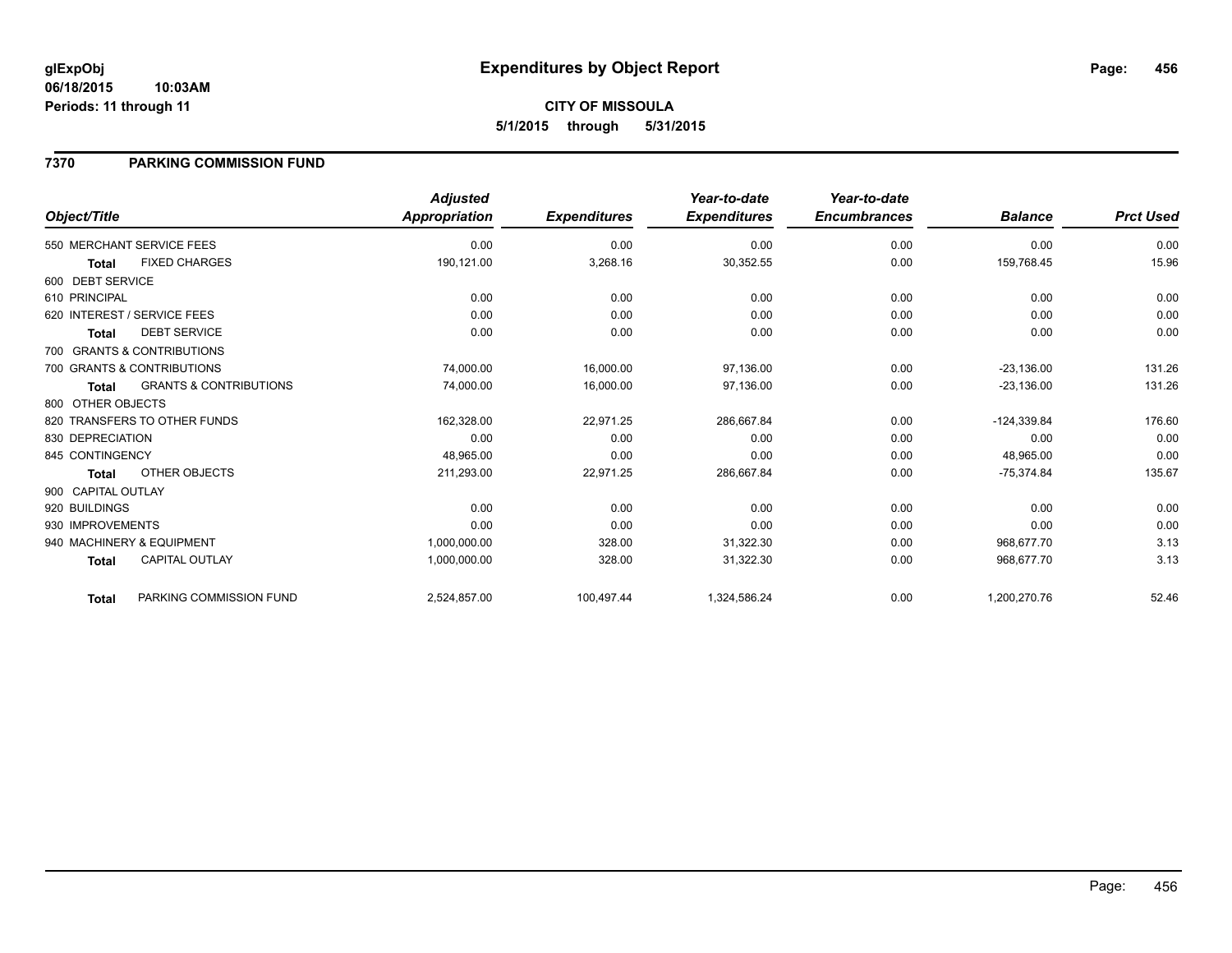#### **06/18/2015 10:03AM Periods: 11 through 11**

# **CITY OF MISSOULA 5/1/2015 through 5/31/2015**

### **7370 PARKING COMMISSION FUND**

|                    |                                   | <b>Adjusted</b> |                     | Year-to-date        | Year-to-date        |                |                  |
|--------------------|-----------------------------------|-----------------|---------------------|---------------------|---------------------|----------------|------------------|
| Object/Title       |                                   | Appropriation   | <b>Expenditures</b> | <b>Expenditures</b> | <b>Encumbrances</b> | <b>Balance</b> | <b>Prct Used</b> |
|                    | 550 MERCHANT SERVICE FEES         | 0.00            | 0.00                | 0.00                | 0.00                | 0.00           | 0.00             |
| <b>Total</b>       | <b>FIXED CHARGES</b>              | 190,121.00      | 3,268.16            | 30,352.55           | 0.00                | 159,768.45     | 15.96            |
| 600 DEBT SERVICE   |                                   |                 |                     |                     |                     |                |                  |
| 610 PRINCIPAL      |                                   | 0.00            | 0.00                | 0.00                | 0.00                | 0.00           | 0.00             |
|                    | 620 INTEREST / SERVICE FEES       | 0.00            | 0.00                | 0.00                | 0.00                | 0.00           | 0.00             |
| <b>Total</b>       | <b>DEBT SERVICE</b>               | 0.00            | 0.00                | 0.00                | 0.00                | 0.00           | 0.00             |
|                    | 700 GRANTS & CONTRIBUTIONS        |                 |                     |                     |                     |                |                  |
|                    | 700 GRANTS & CONTRIBUTIONS        | 74,000.00       | 16,000.00           | 97,136.00           | 0.00                | $-23,136.00$   | 131.26           |
| <b>Total</b>       | <b>GRANTS &amp; CONTRIBUTIONS</b> | 74,000.00       | 16,000.00           | 97,136.00           | 0.00                | $-23,136.00$   | 131.26           |
| 800 OTHER OBJECTS  |                                   |                 |                     |                     |                     |                |                  |
|                    | 820 TRANSFERS TO OTHER FUNDS      | 162,328.00      | 22,971.25           | 286,667.84          | 0.00                | $-124,339.84$  | 176.60           |
| 830 DEPRECIATION   |                                   | 0.00            | 0.00                | 0.00                | 0.00                | 0.00           | 0.00             |
| 845 CONTINGENCY    |                                   | 48.965.00       | 0.00                | 0.00                | 0.00                | 48.965.00      | 0.00             |
| <b>Total</b>       | <b>OTHER OBJECTS</b>              | 211,293.00      | 22,971.25           | 286,667.84          | 0.00                | $-75,374.84$   | 135.67           |
| 900 CAPITAL OUTLAY |                                   |                 |                     |                     |                     |                |                  |
| 920 BUILDINGS      |                                   | 0.00            | 0.00                | 0.00                | 0.00                | 0.00           | 0.00             |
| 930 IMPROVEMENTS   |                                   | 0.00            | 0.00                | 0.00                | 0.00                | 0.00           | 0.00             |
|                    | 940 MACHINERY & EQUIPMENT         | 1,000,000.00    | 328.00              | 31,322.30           | 0.00                | 968,677.70     | 3.13             |
| <b>Total</b>       | <b>CAPITAL OUTLAY</b>             | 1,000,000.00    | 328.00              | 31,322.30           | 0.00                | 968.677.70     | 3.13             |
| <b>Total</b>       | PARKING COMMISSION FUND           | 2,524,857.00    | 100,497.44          | 1,324,586.24        | 0.00                | 1,200,270.76   | 52.46            |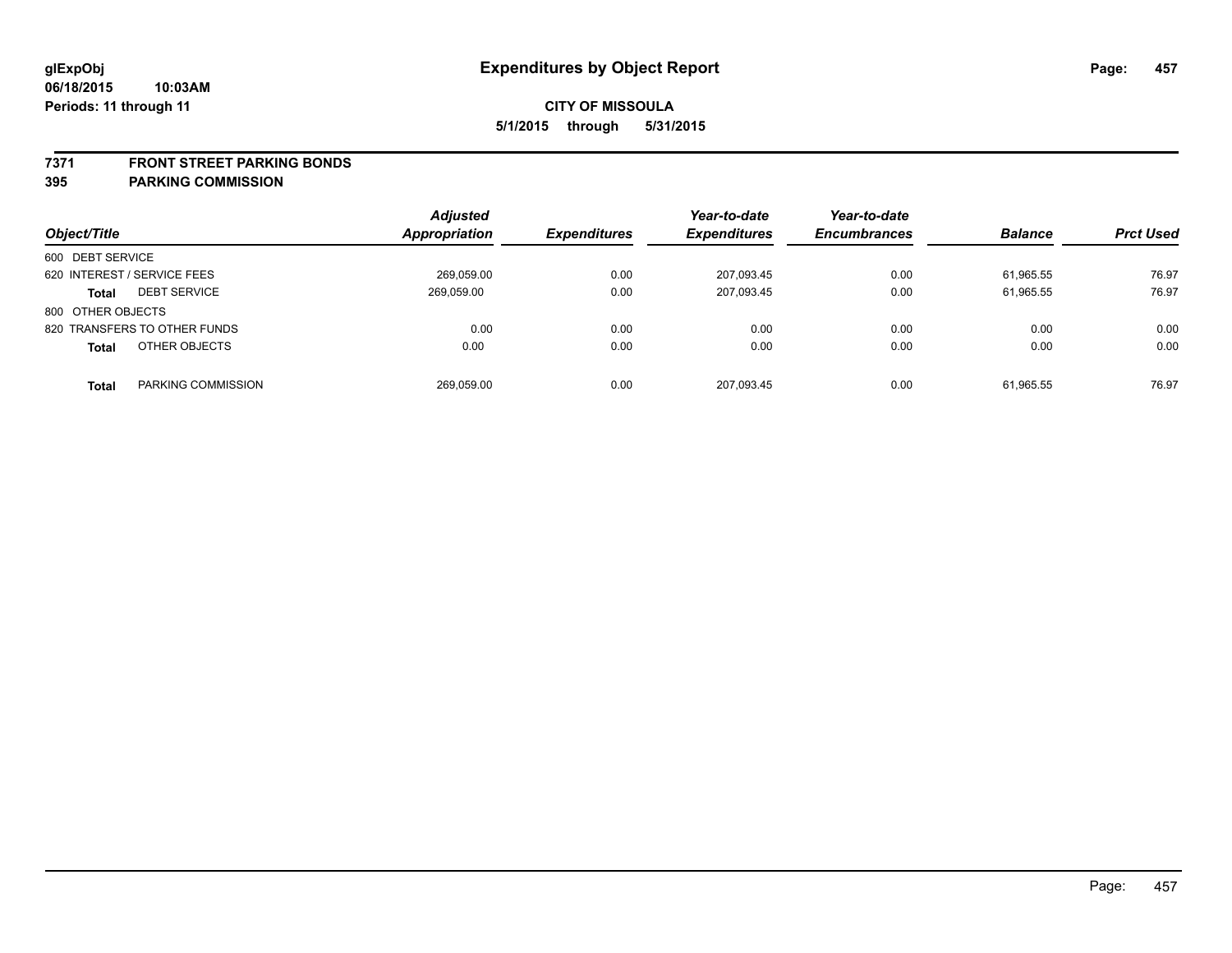#### **7371 FRONT STREET PARKING BONDS**

| Object/Title                        | <b>Adjusted</b><br>Appropriation | <b>Expenditures</b> | Year-to-date<br><b>Expenditures</b> | Year-to-date<br><b>Encumbrances</b> | <b>Balance</b> | <b>Prct Used</b> |
|-------------------------------------|----------------------------------|---------------------|-------------------------------------|-------------------------------------|----------------|------------------|
| 600 DEBT SERVICE                    |                                  |                     |                                     |                                     |                |                  |
| 620 INTEREST / SERVICE FEES         | 269.059.00                       | 0.00                | 207.093.45                          | 0.00                                | 61.965.55      | 76.97            |
| <b>DEBT SERVICE</b><br><b>Total</b> | 269,059.00                       | 0.00                | 207,093.45                          | 0.00                                | 61,965.55      | 76.97            |
| 800 OTHER OBJECTS                   |                                  |                     |                                     |                                     |                |                  |
| 820 TRANSFERS TO OTHER FUNDS        | 0.00                             | 0.00                | 0.00                                | 0.00                                | 0.00           | 0.00             |
| OTHER OBJECTS<br><b>Total</b>       | 0.00                             | 0.00                | 0.00                                | 0.00                                | 0.00           | 0.00             |
| PARKING COMMISSION<br><b>Total</b>  | 269,059.00                       | 0.00                | 207,093.45                          | 0.00                                | 61,965.55      | 76.97            |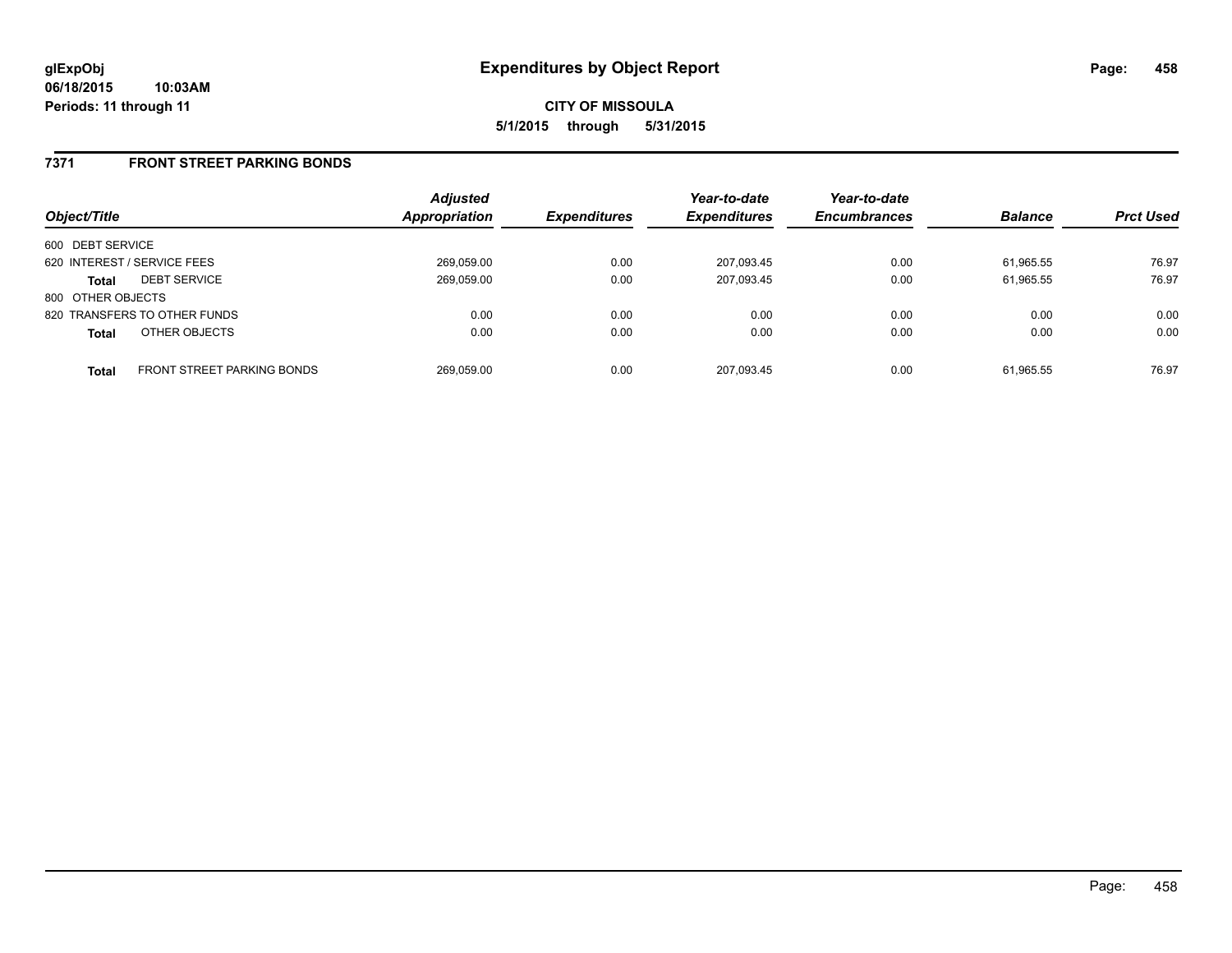### **7371 FRONT STREET PARKING BONDS**

| Object/Title                |                                   | <b>Adjusted</b><br><b>Appropriation</b> | <b>Expenditures</b> | Year-to-date<br><b>Expenditures</b> | Year-to-date<br><b>Encumbrances</b> | <b>Balance</b> | <b>Prct Used</b> |
|-----------------------------|-----------------------------------|-----------------------------------------|---------------------|-------------------------------------|-------------------------------------|----------------|------------------|
| 600 DEBT SERVICE            |                                   |                                         |                     |                                     |                                     |                |                  |
| 620 INTEREST / SERVICE FEES |                                   | 269,059.00                              | 0.00                | 207,093.45                          | 0.00                                | 61.965.55      | 76.97            |
| <b>Total</b>                | <b>DEBT SERVICE</b>               | 269,059.00                              | 0.00                | 207,093.45                          | 0.00                                | 61.965.55      | 76.97            |
| 800 OTHER OBJECTS           |                                   |                                         |                     |                                     |                                     |                |                  |
|                             | 820 TRANSFERS TO OTHER FUNDS      | 0.00                                    | 0.00                | 0.00                                | 0.00                                | 0.00           | 0.00             |
| <b>Total</b>                | OTHER OBJECTS                     | 0.00                                    | 0.00                | 0.00                                | 0.00                                | 0.00           | 0.00             |
| <b>Total</b>                | <b>FRONT STREET PARKING BONDS</b> | 269.059.00                              | 0.00                | 207,093.45                          | 0.00                                | 61.965.55      | 76.97            |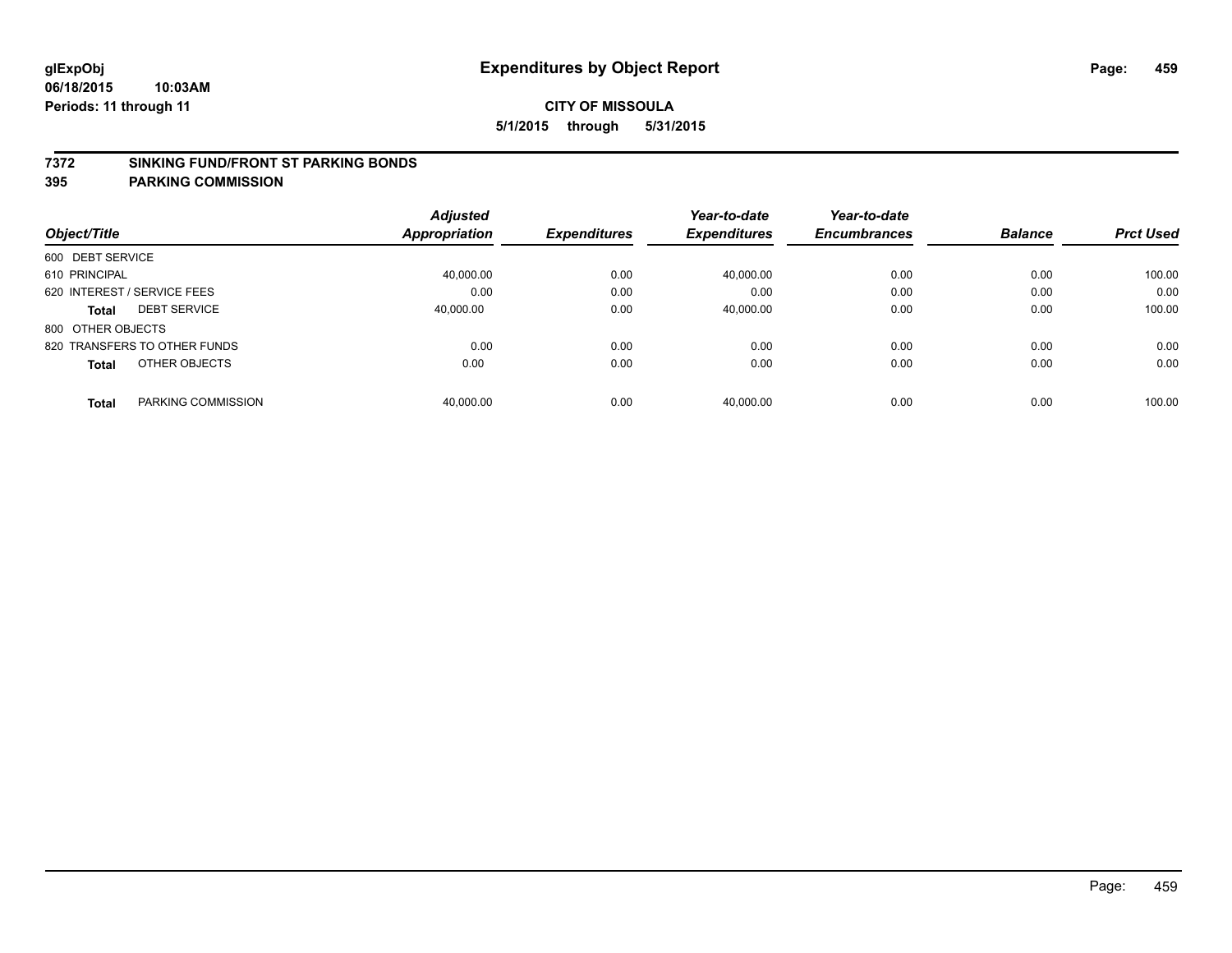#### **7372 SINKING FUND/FRONT ST PARKING BONDS**

| Object/Title                       | <b>Adjusted</b><br>Appropriation | <b>Expenditures</b> | Year-to-date<br><b>Expenditures</b> | Year-to-date<br><b>Encumbrances</b> | <b>Balance</b> | <b>Prct Used</b> |
|------------------------------------|----------------------------------|---------------------|-------------------------------------|-------------------------------------|----------------|------------------|
| 600 DEBT SERVICE                   |                                  |                     |                                     |                                     |                |                  |
| 610 PRINCIPAL                      | 40.000.00                        | 0.00                | 40.000.00                           | 0.00                                | 0.00           | 100.00           |
| 620 INTEREST / SERVICE FEES        | 0.00                             | 0.00                | 0.00                                | 0.00                                | 0.00           | 0.00             |
| <b>DEBT SERVICE</b><br>Total       | 40,000.00                        | 0.00                | 40,000.00                           | 0.00                                | 0.00           | 100.00           |
| 800 OTHER OBJECTS                  |                                  |                     |                                     |                                     |                |                  |
| 820 TRANSFERS TO OTHER FUNDS       | 0.00                             | 0.00                | 0.00                                | 0.00                                | 0.00           | 0.00             |
| OTHER OBJECTS<br><b>Total</b>      | 0.00                             | 0.00                | 0.00                                | 0.00                                | 0.00           | 0.00             |
| PARKING COMMISSION<br><b>Total</b> | 40,000.00                        | 0.00                | 40.000.00                           | 0.00                                | 0.00           | 100.00           |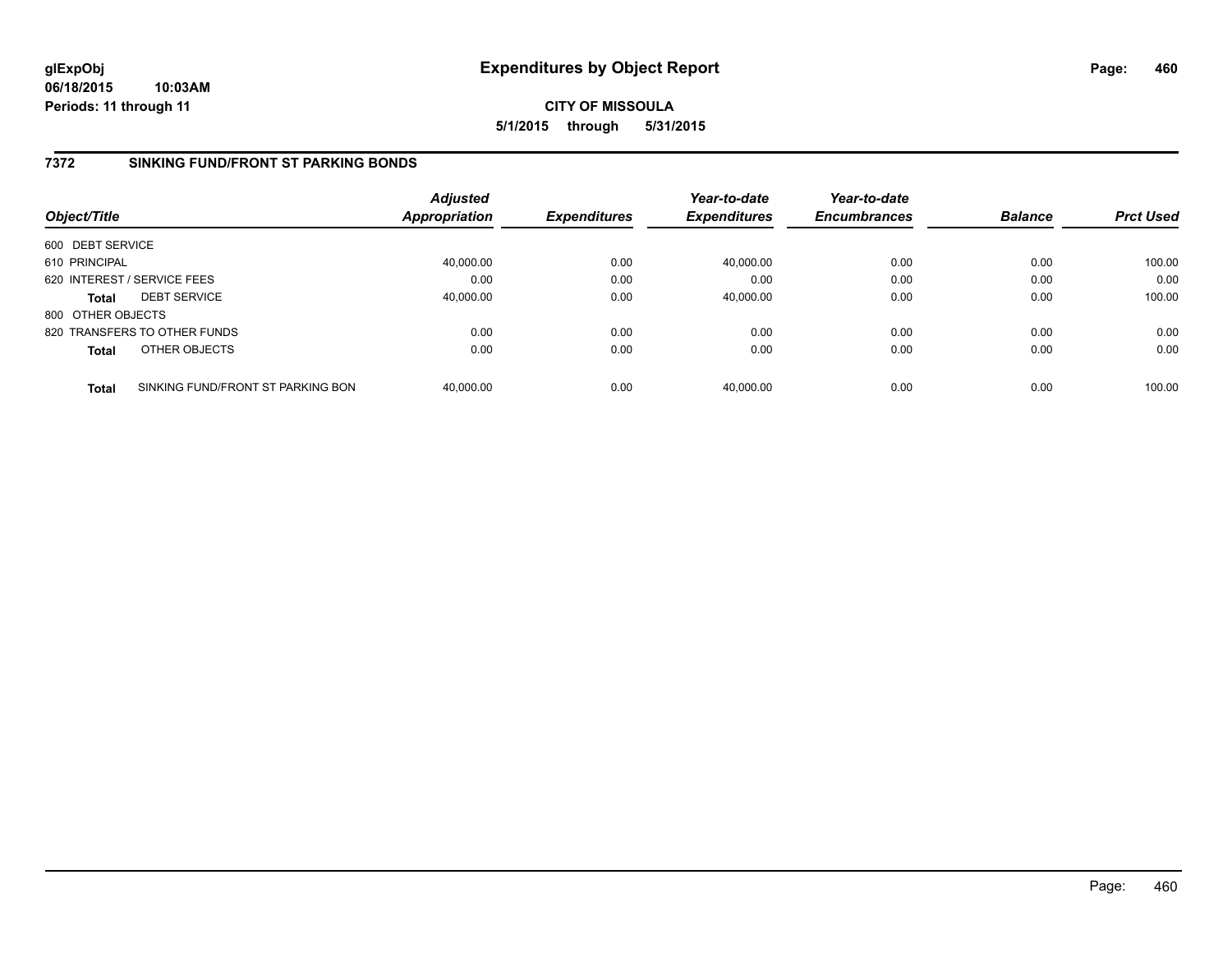**06/18/2015 10:03AM Periods: 11 through 11**

**CITY OF MISSOULA 5/1/2015 through 5/31/2015**

### **7372 SINKING FUND/FRONT ST PARKING BONDS**

| Object/Title      |                                   | <b>Adjusted</b><br><b>Appropriation</b> | <b>Expenditures</b> | Year-to-date<br><b>Expenditures</b> | Year-to-date<br><b>Encumbrances</b> | <b>Balance</b> | <b>Prct Used</b> |
|-------------------|-----------------------------------|-----------------------------------------|---------------------|-------------------------------------|-------------------------------------|----------------|------------------|
| 600 DEBT SERVICE  |                                   |                                         |                     |                                     |                                     |                |                  |
| 610 PRINCIPAL     |                                   | 40,000.00                               | 0.00                | 40,000.00                           | 0.00                                | 0.00           | 100.00           |
|                   | 620 INTEREST / SERVICE FEES       | 0.00                                    | 0.00                | 0.00                                | 0.00                                | 0.00           | 0.00             |
| <b>Total</b>      | <b>DEBT SERVICE</b>               | 40,000.00                               | 0.00                | 40,000.00                           | 0.00                                | 0.00           | 100.00           |
| 800 OTHER OBJECTS |                                   |                                         |                     |                                     |                                     |                |                  |
|                   | 820 TRANSFERS TO OTHER FUNDS      | 0.00                                    | 0.00                | 0.00                                | 0.00                                | 0.00           | 0.00             |
| <b>Total</b>      | OTHER OBJECTS                     | 0.00                                    | 0.00                | 0.00                                | 0.00                                | 0.00           | 0.00             |
| <b>Total</b>      | SINKING FUND/FRONT ST PARKING BON | 40,000.00                               | 0.00                | 40.000.00                           | 0.00                                | 0.00           | 100.00           |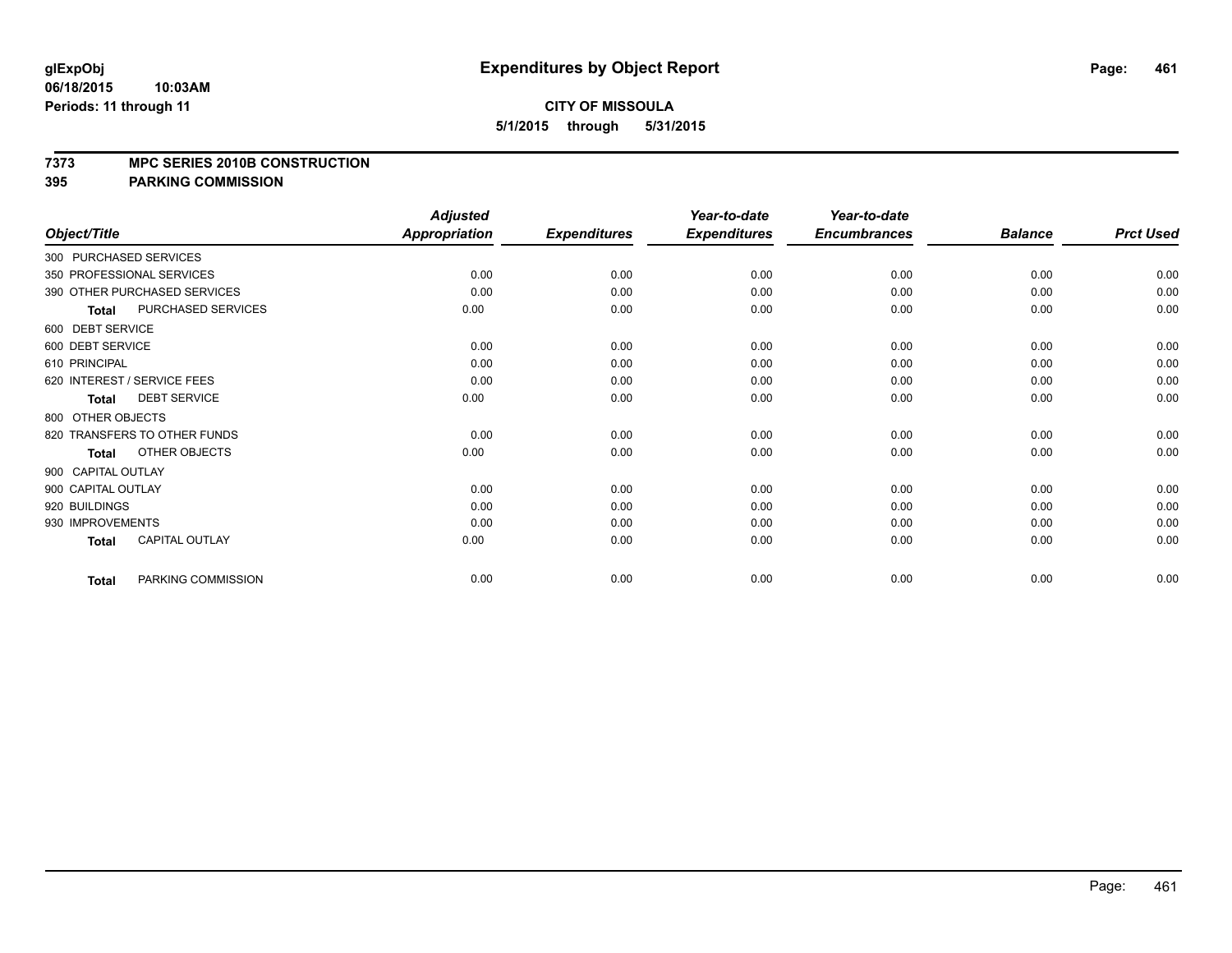#### **7373 MPC SERIES 2010B CONSTRUCTION**

|                    |                              | <b>Adjusted</b>      |                     | Year-to-date        | Year-to-date        |                |                  |
|--------------------|------------------------------|----------------------|---------------------|---------------------|---------------------|----------------|------------------|
| Object/Title       |                              | <b>Appropriation</b> | <b>Expenditures</b> | <b>Expenditures</b> | <b>Encumbrances</b> | <b>Balance</b> | <b>Prct Used</b> |
|                    | 300 PURCHASED SERVICES       |                      |                     |                     |                     |                |                  |
|                    | 350 PROFESSIONAL SERVICES    | 0.00                 | 0.00                | 0.00                | 0.00                | 0.00           | 0.00             |
|                    | 390 OTHER PURCHASED SERVICES | 0.00                 | 0.00                | 0.00                | 0.00                | 0.00           | 0.00             |
| <b>Total</b>       | PURCHASED SERVICES           | 0.00                 | 0.00                | 0.00                | 0.00                | 0.00           | 0.00             |
| 600 DEBT SERVICE   |                              |                      |                     |                     |                     |                |                  |
| 600 DEBT SERVICE   |                              | 0.00                 | 0.00                | 0.00                | 0.00                | 0.00           | 0.00             |
| 610 PRINCIPAL      |                              | 0.00                 | 0.00                | 0.00                | 0.00                | 0.00           | 0.00             |
|                    | 620 INTEREST / SERVICE FEES  | 0.00                 | 0.00                | 0.00                | 0.00                | 0.00           | 0.00             |
| <b>Total</b>       | <b>DEBT SERVICE</b>          | 0.00                 | 0.00                | 0.00                | 0.00                | 0.00           | 0.00             |
| 800 OTHER OBJECTS  |                              |                      |                     |                     |                     |                |                  |
|                    | 820 TRANSFERS TO OTHER FUNDS | 0.00                 | 0.00                | 0.00                | 0.00                | 0.00           | 0.00             |
| <b>Total</b>       | OTHER OBJECTS                | 0.00                 | 0.00                | 0.00                | 0.00                | 0.00           | 0.00             |
| 900 CAPITAL OUTLAY |                              |                      |                     |                     |                     |                |                  |
| 900 CAPITAL OUTLAY |                              | 0.00                 | 0.00                | 0.00                | 0.00                | 0.00           | 0.00             |
| 920 BUILDINGS      |                              | 0.00                 | 0.00                | 0.00                | 0.00                | 0.00           | 0.00             |
| 930 IMPROVEMENTS   |                              | 0.00                 | 0.00                | 0.00                | 0.00                | 0.00           | 0.00             |
| <b>Total</b>       | <b>CAPITAL OUTLAY</b>        | 0.00                 | 0.00                | 0.00                | 0.00                | 0.00           | 0.00             |
| <b>Total</b>       | PARKING COMMISSION           | 0.00                 | 0.00                | 0.00                | 0.00                | 0.00           | 0.00             |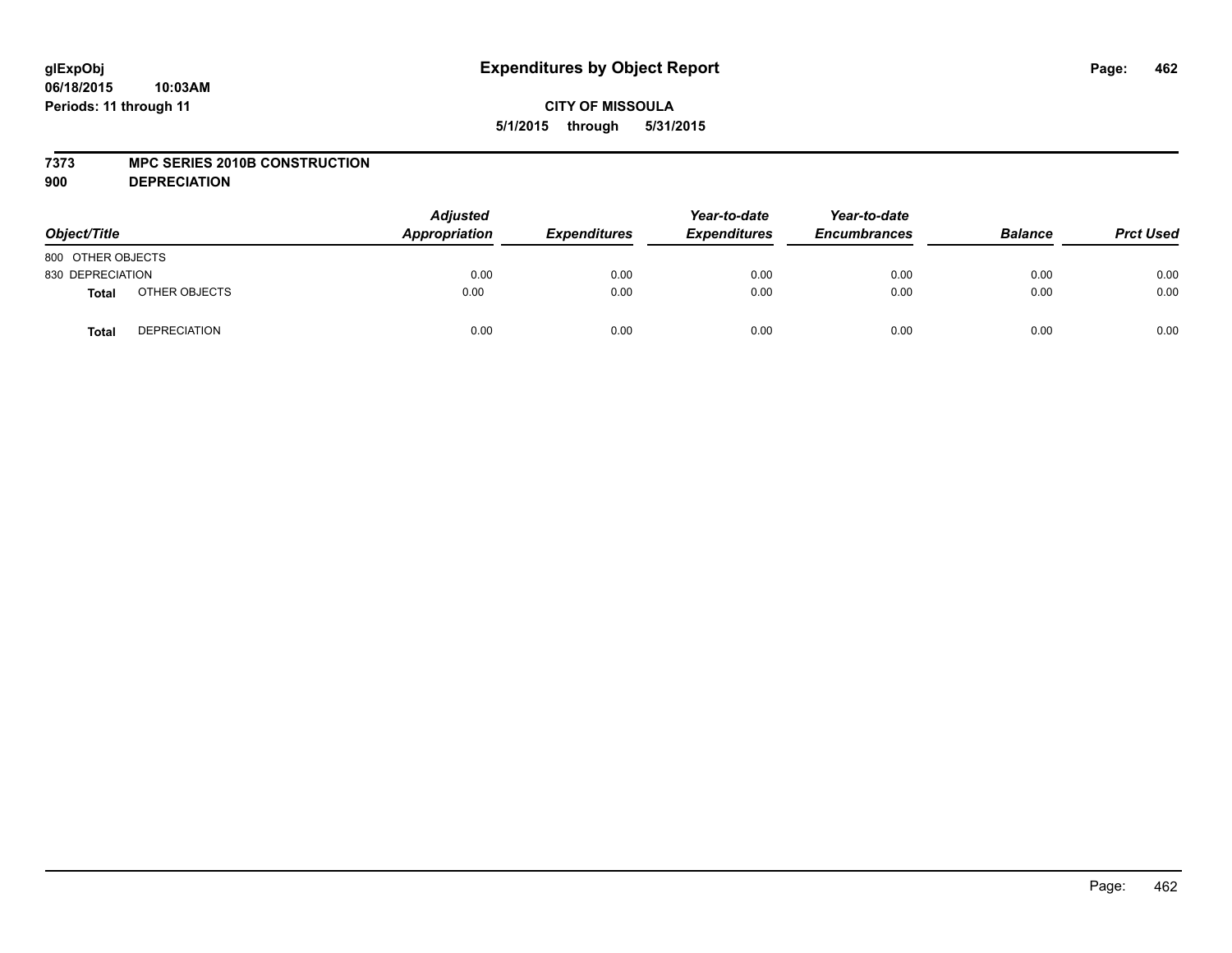#### **7373 MPC SERIES 2010B CONSTRUCTION**

**900 DEPRECIATION**

| Object/Title      |                     | <b>Adjusted</b><br>Appropriation | <b>Expenditures</b> | Year-to-date<br><b>Expenditures</b> | Year-to-date<br><b>Encumbrances</b> | <b>Balance</b> | <b>Prct Used</b> |
|-------------------|---------------------|----------------------------------|---------------------|-------------------------------------|-------------------------------------|----------------|------------------|
| 800 OTHER OBJECTS |                     |                                  |                     |                                     |                                     |                |                  |
| 830 DEPRECIATION  |                     | 0.00                             | 0.00                | 0.00                                | 0.00                                | 0.00           | 0.00             |
| <b>Total</b>      | OTHER OBJECTS       | 0.00                             | 0.00                | 0.00                                | 0.00                                | 0.00           | 0.00             |
| <b>Total</b>      | <b>DEPRECIATION</b> | 0.00                             | 0.00                | 0.00                                | 0.00                                | 0.00           | 0.00             |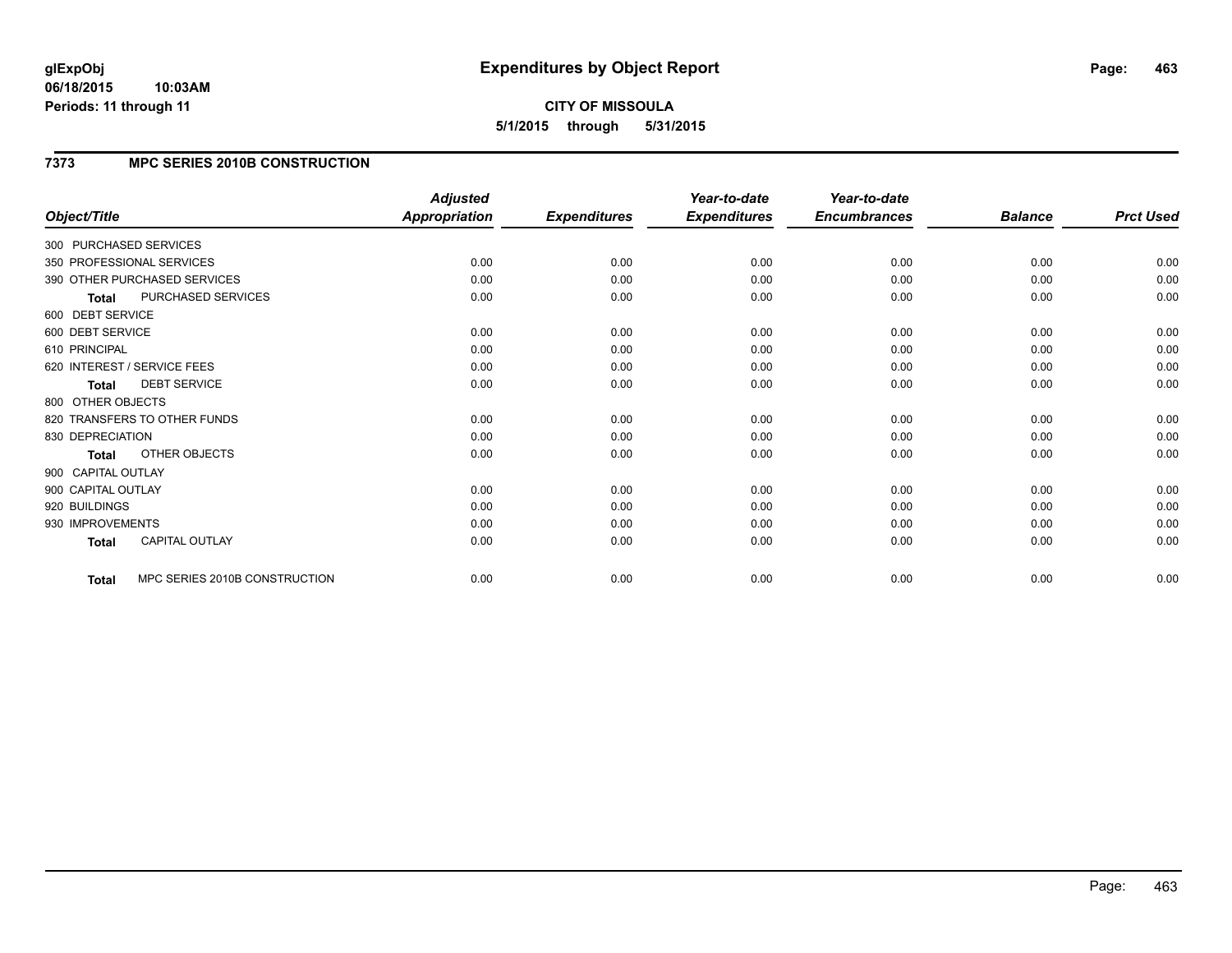#### **06/18/2015 10:03AM Periods: 11 through 11**

**CITY OF MISSOULA 5/1/2015 through 5/31/2015**

# **7373 MPC SERIES 2010B CONSTRUCTION**

|                    |                               | <b>Adjusted</b>      |                     | Year-to-date        | Year-to-date        |                |                  |
|--------------------|-------------------------------|----------------------|---------------------|---------------------|---------------------|----------------|------------------|
| Object/Title       |                               | <b>Appropriation</b> | <b>Expenditures</b> | <b>Expenditures</b> | <b>Encumbrances</b> | <b>Balance</b> | <b>Prct Used</b> |
|                    | 300 PURCHASED SERVICES        |                      |                     |                     |                     |                |                  |
|                    | 350 PROFESSIONAL SERVICES     | 0.00                 | 0.00                | 0.00                | 0.00                | 0.00           | 0.00             |
|                    | 390 OTHER PURCHASED SERVICES  | 0.00                 | 0.00                | 0.00                | 0.00                | 0.00           | 0.00             |
| <b>Total</b>       | PURCHASED SERVICES            | 0.00                 | 0.00                | 0.00                | 0.00                | 0.00           | 0.00             |
| 600 DEBT SERVICE   |                               |                      |                     |                     |                     |                |                  |
| 600 DEBT SERVICE   |                               | 0.00                 | 0.00                | 0.00                | 0.00                | 0.00           | 0.00             |
| 610 PRINCIPAL      |                               | 0.00                 | 0.00                | 0.00                | 0.00                | 0.00           | 0.00             |
|                    | 620 INTEREST / SERVICE FEES   | 0.00                 | 0.00                | 0.00                | 0.00                | 0.00           | 0.00             |
| <b>Total</b>       | <b>DEBT SERVICE</b>           | 0.00                 | 0.00                | 0.00                | 0.00                | 0.00           | 0.00             |
| 800 OTHER OBJECTS  |                               |                      |                     |                     |                     |                |                  |
|                    | 820 TRANSFERS TO OTHER FUNDS  | 0.00                 | 0.00                | 0.00                | 0.00                | 0.00           | 0.00             |
| 830 DEPRECIATION   |                               | 0.00                 | 0.00                | 0.00                | 0.00                | 0.00           | 0.00             |
| <b>Total</b>       | OTHER OBJECTS                 | 0.00                 | 0.00                | 0.00                | 0.00                | 0.00           | 0.00             |
| 900 CAPITAL OUTLAY |                               |                      |                     |                     |                     |                |                  |
| 900 CAPITAL OUTLAY |                               | 0.00                 | 0.00                | 0.00                | 0.00                | 0.00           | 0.00             |
| 920 BUILDINGS      |                               | 0.00                 | 0.00                | 0.00                | 0.00                | 0.00           | 0.00             |
| 930 IMPROVEMENTS   |                               | 0.00                 | 0.00                | 0.00                | 0.00                | 0.00           | 0.00             |
| <b>Total</b>       | <b>CAPITAL OUTLAY</b>         | 0.00                 | 0.00                | 0.00                | 0.00                | 0.00           | 0.00             |
| <b>Total</b>       | MPC SERIES 2010B CONSTRUCTION | 0.00                 | 0.00                | 0.00                | 0.00                | 0.00           | 0.00             |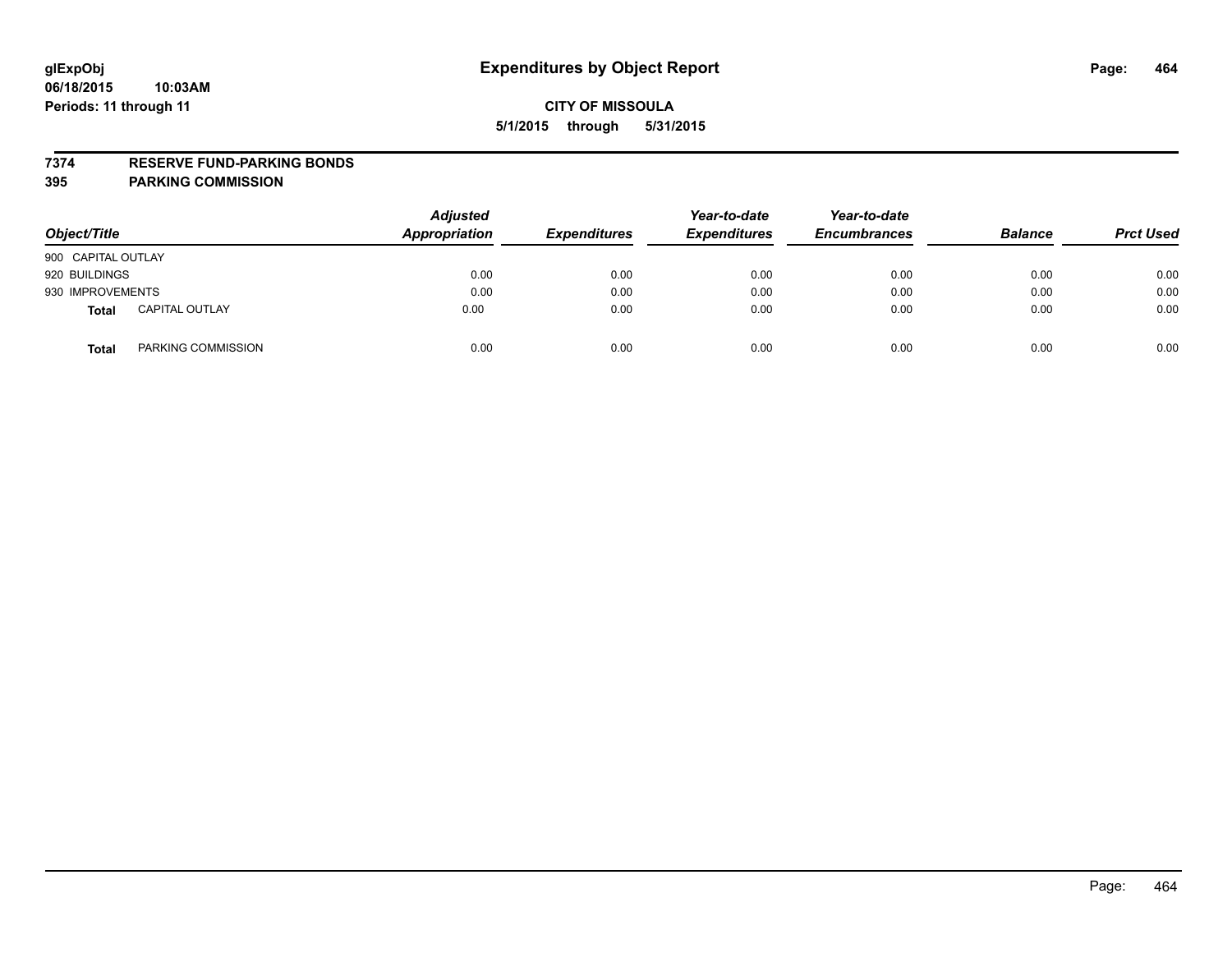#### **7374 RESERVE FUND-PARKING BONDS**

| Object/Title       |                       | <b>Adjusted</b><br><b>Appropriation</b> | <b>Expenditures</b> | Year-to-date<br><b>Expenditures</b> | Year-to-date<br><b>Encumbrances</b> | <b>Balance</b> | <b>Prct Used</b> |
|--------------------|-----------------------|-----------------------------------------|---------------------|-------------------------------------|-------------------------------------|----------------|------------------|
| 900 CAPITAL OUTLAY |                       |                                         |                     |                                     |                                     |                |                  |
| 920 BUILDINGS      |                       | 0.00                                    | 0.00                | 0.00                                | 0.00                                | 0.00           | 0.00             |
| 930 IMPROVEMENTS   |                       | 0.00                                    | 0.00                | 0.00                                | 0.00                                | 0.00           | 0.00             |
| <b>Total</b>       | <b>CAPITAL OUTLAY</b> | 0.00                                    | 0.00                | 0.00                                | 0.00                                | 0.00           | 0.00             |
| <b>Total</b>       | PARKING COMMISSION    | 0.00                                    | 0.00                | 0.00                                | 0.00                                | 0.00           | 0.00             |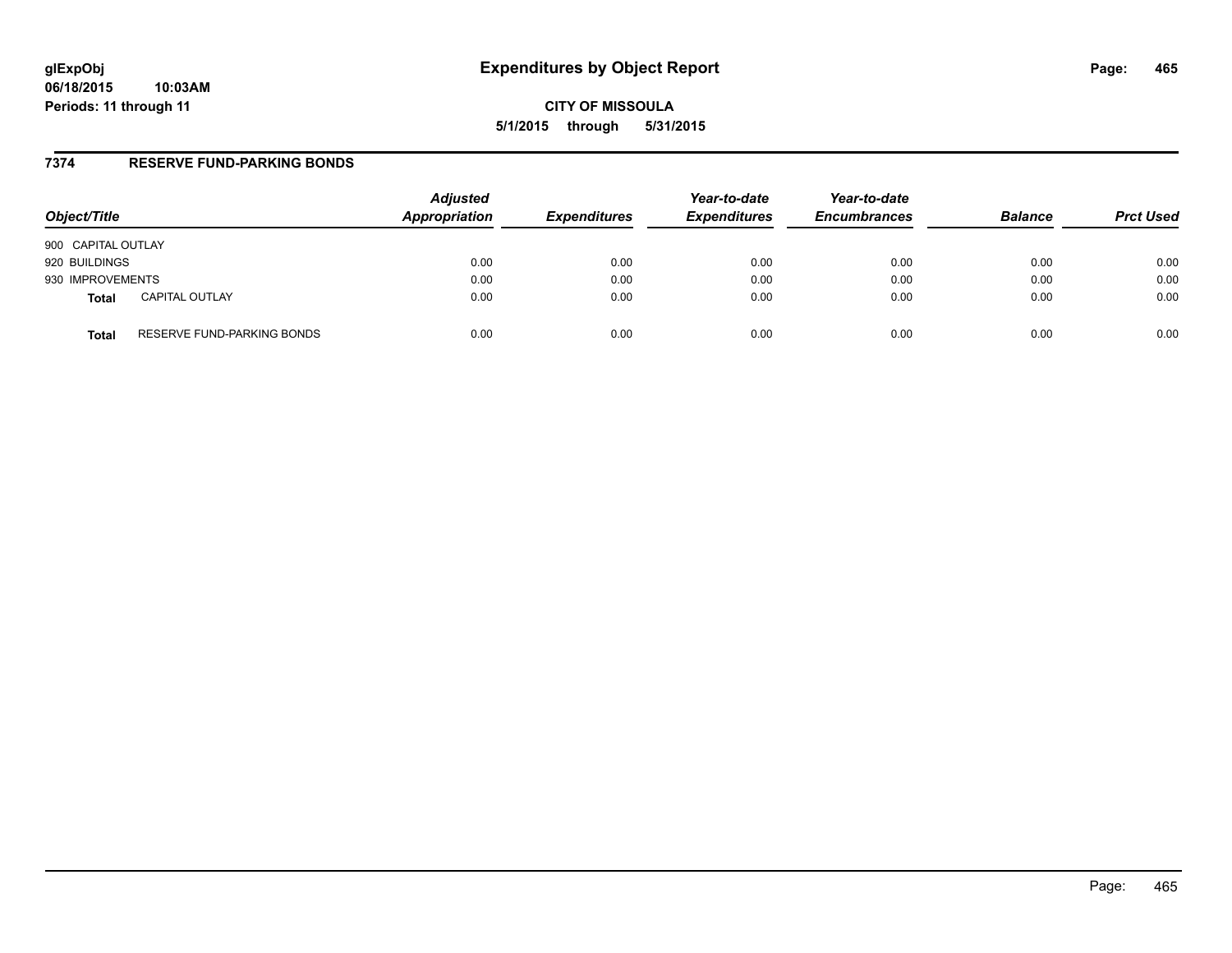### **7374 RESERVE FUND-PARKING BONDS**

| Object/Title       |                            | <b>Adjusted</b><br>Appropriation | <b>Expenditures</b> | Year-to-date<br><b>Expenditures</b> | Year-to-date<br><b>Encumbrances</b> | <b>Balance</b> | <b>Prct Used</b> |
|--------------------|----------------------------|----------------------------------|---------------------|-------------------------------------|-------------------------------------|----------------|------------------|
| 900 CAPITAL OUTLAY |                            |                                  |                     |                                     |                                     |                |                  |
| 920 BUILDINGS      |                            | 0.00                             | 0.00                | 0.00                                | 0.00                                | 0.00           | 0.00             |
| 930 IMPROVEMENTS   |                            | 0.00                             | 0.00                | 0.00                                | 0.00                                | 0.00           | 0.00             |
| <b>Total</b>       | <b>CAPITAL OUTLAY</b>      | 0.00                             | 0.00                | 0.00                                | 0.00                                | 0.00           | 0.00             |
| <b>Total</b>       | RESERVE FUND-PARKING BONDS | 0.00                             | 0.00                | 0.00                                | 0.00                                | 0.00           | 0.00             |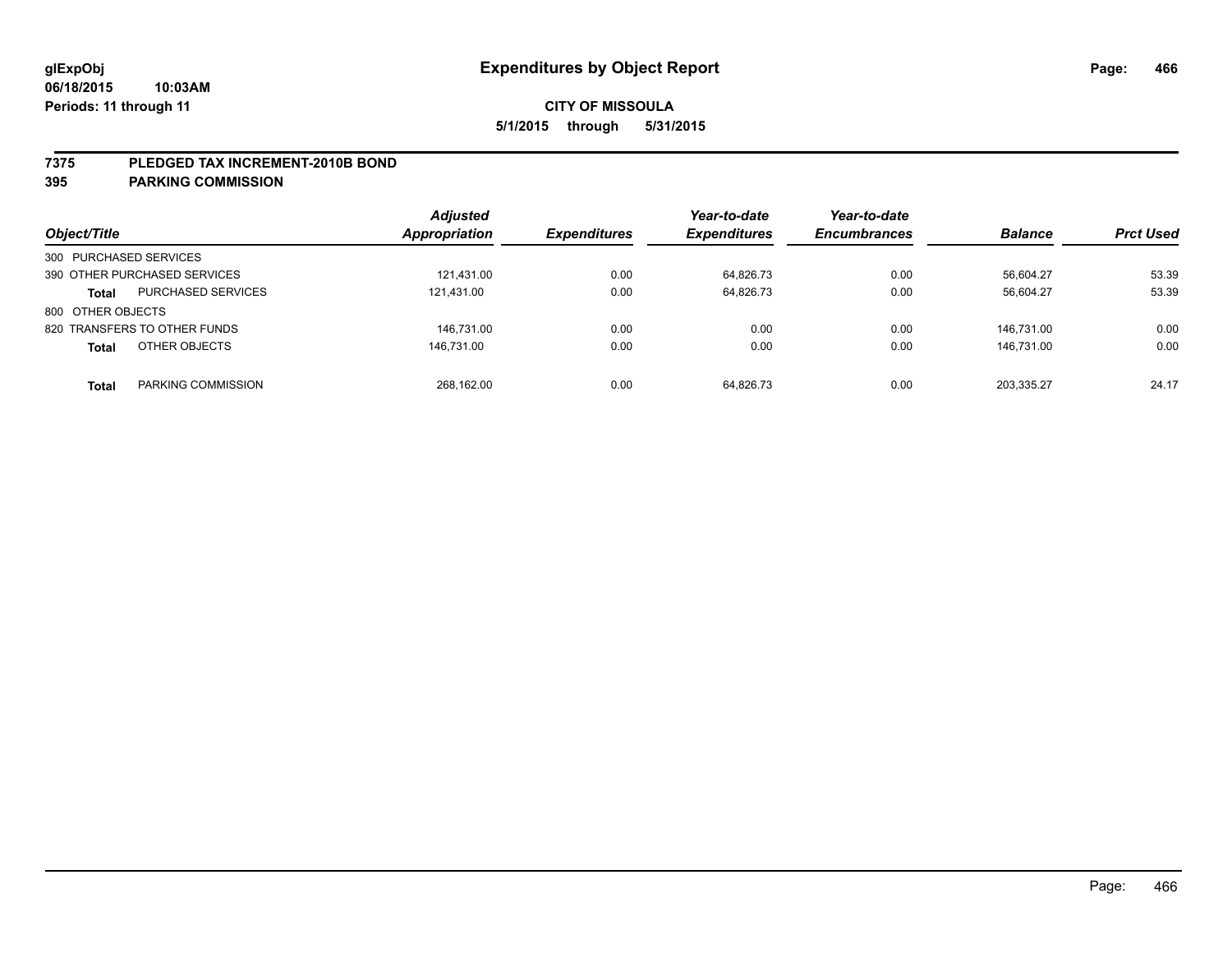#### **7375 PLEDGED TAX INCREMENT-2010B BOND**

| Object/Title                              | <b>Adjusted</b><br><b>Appropriation</b> | <b>Expenditures</b> | Year-to-date<br><b>Expenditures</b> | Year-to-date<br><b>Encumbrances</b> | <b>Balance</b> | <b>Prct Used</b> |
|-------------------------------------------|-----------------------------------------|---------------------|-------------------------------------|-------------------------------------|----------------|------------------|
| 300 PURCHASED SERVICES                    |                                         |                     |                                     |                                     |                |                  |
| 390 OTHER PURCHASED SERVICES              | 121,431.00                              | 0.00                | 64,826.73                           | 0.00                                | 56,604.27      | 53.39            |
| <b>PURCHASED SERVICES</b><br><b>Total</b> | 121,431.00                              | 0.00                | 64,826.73                           | 0.00                                | 56.604.27      | 53.39            |
| 800 OTHER OBJECTS                         |                                         |                     |                                     |                                     |                |                  |
| 820 TRANSFERS TO OTHER FUNDS              | 146.731.00                              | 0.00                | 0.00                                | 0.00                                | 146.731.00     | 0.00             |
| OTHER OBJECTS<br><b>Total</b>             | 146.731.00                              | 0.00                | 0.00                                | 0.00                                | 146.731.00     | 0.00             |
| PARKING COMMISSION<br>Total               | 268.162.00                              | 0.00                | 64.826.73                           | 0.00                                | 203.335.27     | 24.17            |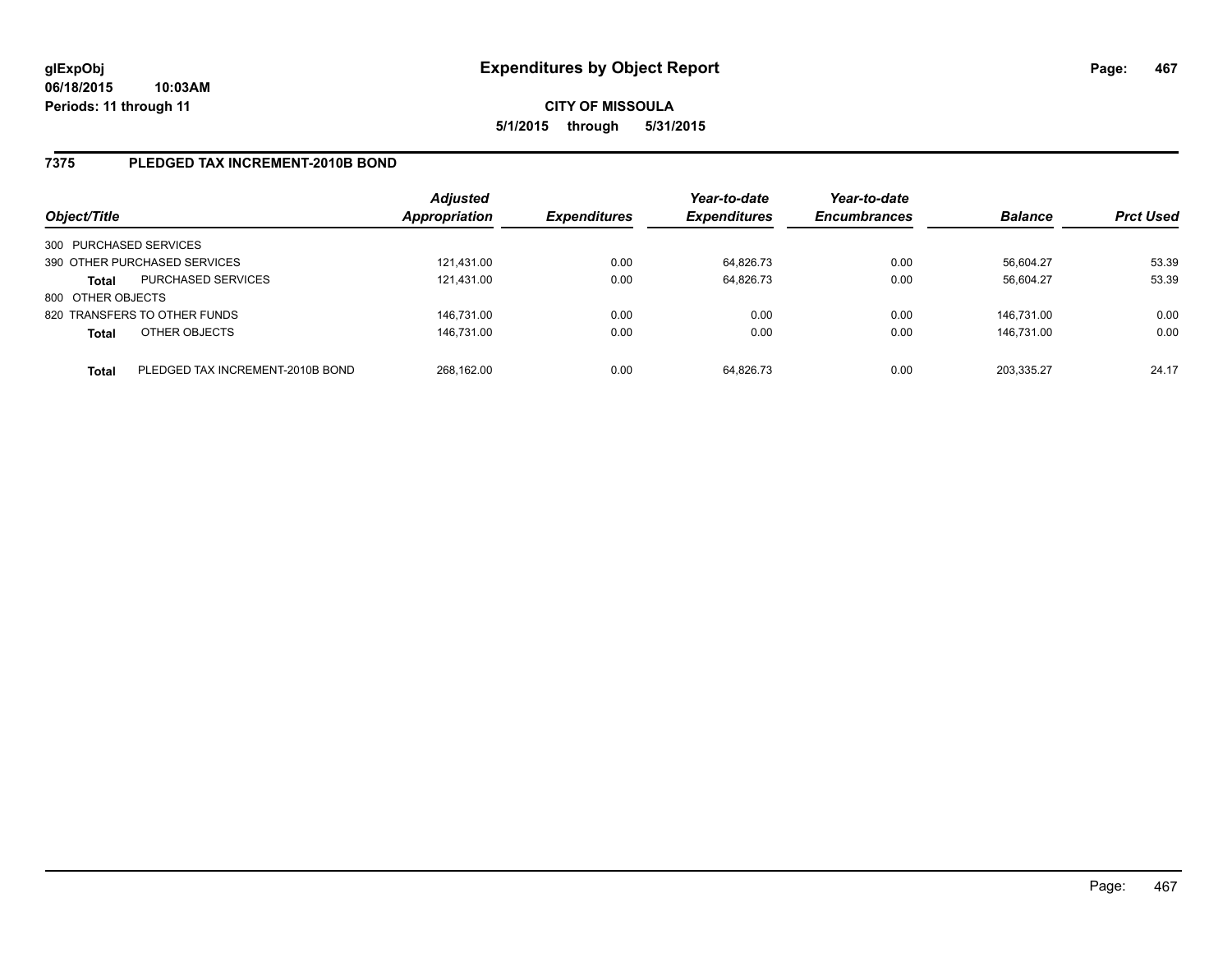# **7375 PLEDGED TAX INCREMENT-2010B BOND**

| Object/Title           |                                  | <b>Adjusted</b><br>Appropriation | <b>Expenditures</b> | Year-to-date<br><b>Expenditures</b> | Year-to-date<br><b>Encumbrances</b> | <b>Balance</b> | <b>Prct Used</b> |
|------------------------|----------------------------------|----------------------------------|---------------------|-------------------------------------|-------------------------------------|----------------|------------------|
| 300 PURCHASED SERVICES |                                  |                                  |                     |                                     |                                     |                |                  |
|                        | 390 OTHER PURCHASED SERVICES     | 121.431.00                       | 0.00                | 64,826.73                           | 0.00                                | 56,604.27      | 53.39            |
| <b>Total</b>           | <b>PURCHASED SERVICES</b>        | 121.431.00                       | 0.00                | 64.826.73                           | 0.00                                | 56.604.27      | 53.39            |
| 800 OTHER OBJECTS      |                                  |                                  |                     |                                     |                                     |                |                  |
|                        | 820 TRANSFERS TO OTHER FUNDS     | 146.731.00                       | 0.00                | 0.00                                | 0.00                                | 146.731.00     | 0.00             |
| <b>Total</b>           | OTHER OBJECTS                    | 146.731.00                       | 0.00                | 0.00                                | 0.00                                | 146.731.00     | 0.00             |
| <b>Total</b>           | PLEDGED TAX INCREMENT-2010B BOND | 268.162.00                       | 0.00                | 64.826.73                           | 0.00                                | 203.335.27     | 24.17            |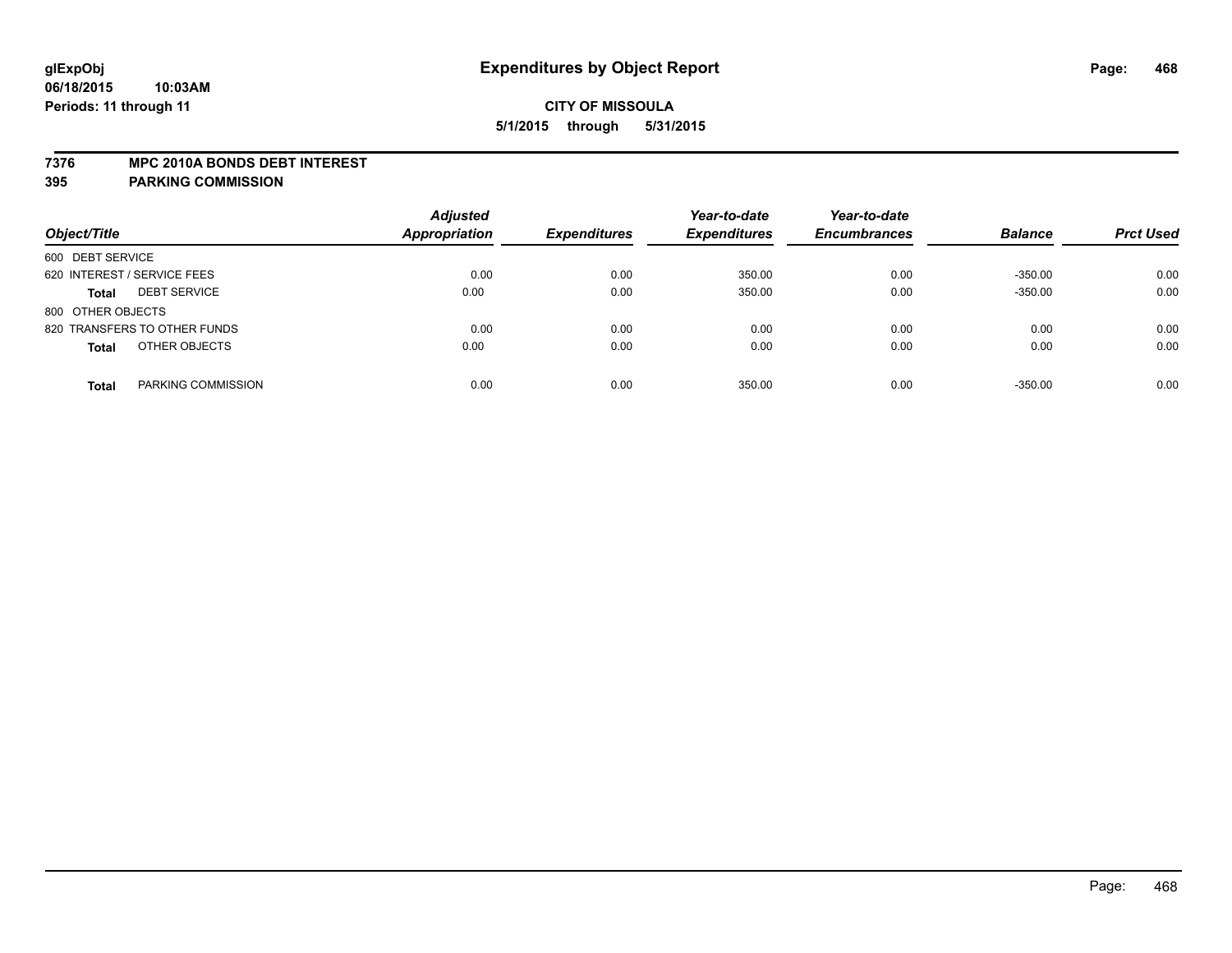#### **7376 MPC 2010A BONDS DEBT INTEREST**

| Object/Title                        | <b>Adjusted</b><br><b>Appropriation</b> | <b>Expenditures</b> | Year-to-date<br><b>Expenditures</b> | Year-to-date<br><b>Encumbrances</b> | <b>Balance</b> | <b>Prct Used</b> |
|-------------------------------------|-----------------------------------------|---------------------|-------------------------------------|-------------------------------------|----------------|------------------|
| 600 DEBT SERVICE                    |                                         |                     |                                     |                                     |                |                  |
| 620 INTEREST / SERVICE FEES         | 0.00                                    | 0.00                | 350.00                              | 0.00                                | $-350.00$      | 0.00             |
| <b>DEBT SERVICE</b><br><b>Total</b> | 0.00                                    | 0.00                | 350.00                              | 0.00                                | $-350.00$      | 0.00             |
| 800 OTHER OBJECTS                   |                                         |                     |                                     |                                     |                |                  |
| 820 TRANSFERS TO OTHER FUNDS        | 0.00                                    | 0.00                | 0.00                                | 0.00                                | 0.00           | 0.00             |
| OTHER OBJECTS<br><b>Total</b>       | 0.00                                    | 0.00                | 0.00                                | 0.00                                | 0.00           | 0.00             |
|                                     |                                         |                     |                                     |                                     |                |                  |
| PARKING COMMISSION<br><b>Total</b>  | 0.00                                    | 0.00                | 350.00                              | 0.00                                | $-350.00$      | 0.00             |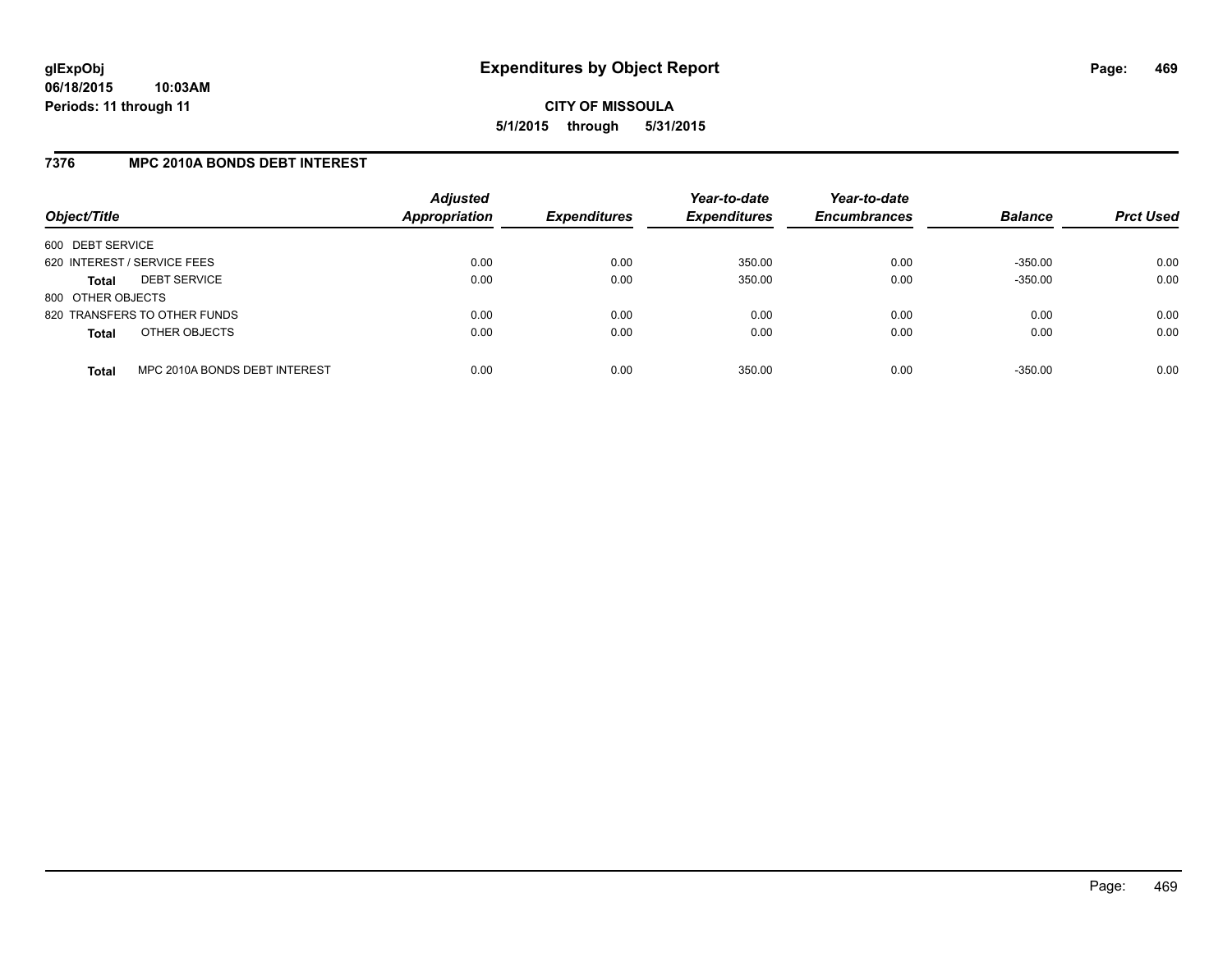### **7376 MPC 2010A BONDS DEBT INTEREST**

| Object/Title                |                               | <b>Adjusted</b><br>Appropriation | <b>Expenditures</b> | Year-to-date<br><b>Expenditures</b> | Year-to-date<br><b>Encumbrances</b> | <b>Balance</b> | <b>Prct Used</b> |
|-----------------------------|-------------------------------|----------------------------------|---------------------|-------------------------------------|-------------------------------------|----------------|------------------|
| 600 DEBT SERVICE            |                               |                                  |                     |                                     |                                     |                |                  |
| 620 INTEREST / SERVICE FEES |                               | 0.00                             | 0.00                | 350.00                              | 0.00                                | $-350.00$      | 0.00             |
| <b>Total</b>                | <b>DEBT SERVICE</b>           | 0.00                             | 0.00                | 350.00                              | 0.00                                | $-350.00$      | 0.00             |
| 800 OTHER OBJECTS           |                               |                                  |                     |                                     |                                     |                |                  |
|                             | 820 TRANSFERS TO OTHER FUNDS  | 0.00                             | 0.00                | 0.00                                | 0.00                                | 0.00           | 0.00             |
| <b>Total</b>                | OTHER OBJECTS                 | 0.00                             | 0.00                | 0.00                                | 0.00                                | 0.00           | 0.00             |
| <b>Total</b>                | MPC 2010A BONDS DEBT INTEREST | 0.00                             | 0.00                | 350.00                              | 0.00                                | $-350.00$      | 0.00             |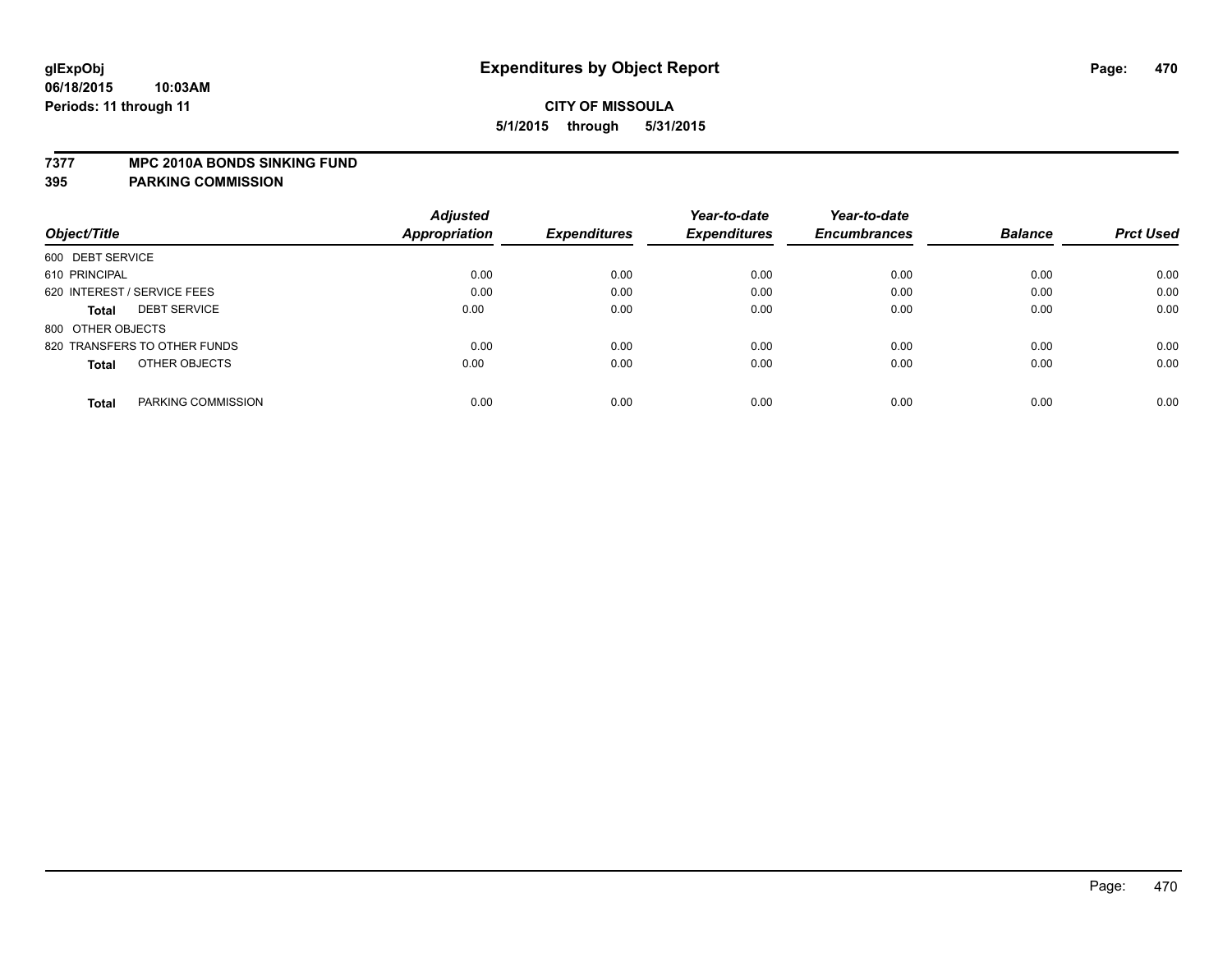#### **7377 MPC 2010A BONDS SINKING FUND**

**395 PARKING COMMISSION**

|                                     | <b>Adjusted</b> |                     | Year-to-date        | Year-to-date        |                |                  |
|-------------------------------------|-----------------|---------------------|---------------------|---------------------|----------------|------------------|
| Object/Title                        | Appropriation   | <b>Expenditures</b> | <b>Expenditures</b> | <b>Encumbrances</b> | <b>Balance</b> | <b>Prct Used</b> |
| 600 DEBT SERVICE                    |                 |                     |                     |                     |                |                  |
| 610 PRINCIPAL                       | 0.00            | 0.00                | 0.00                | 0.00                | 0.00           | 0.00             |
| 620 INTEREST / SERVICE FEES         | 0.00            | 0.00                | 0.00                | 0.00                | 0.00           | 0.00             |
| <b>DEBT SERVICE</b><br><b>Total</b> | 0.00            | 0.00                | 0.00                | 0.00                | 0.00           | 0.00             |
| 800 OTHER OBJECTS                   |                 |                     |                     |                     |                |                  |
| 820 TRANSFERS TO OTHER FUNDS        | 0.00            | 0.00                | 0.00                | 0.00                | 0.00           | 0.00             |
| OTHER OBJECTS<br><b>Total</b>       | 0.00            | 0.00                | 0.00                | 0.00                | 0.00           | 0.00             |
| PARKING COMMISSION<br>Total         | 0.00            | 0.00                | 0.00                | 0.00                | 0.00           | 0.00             |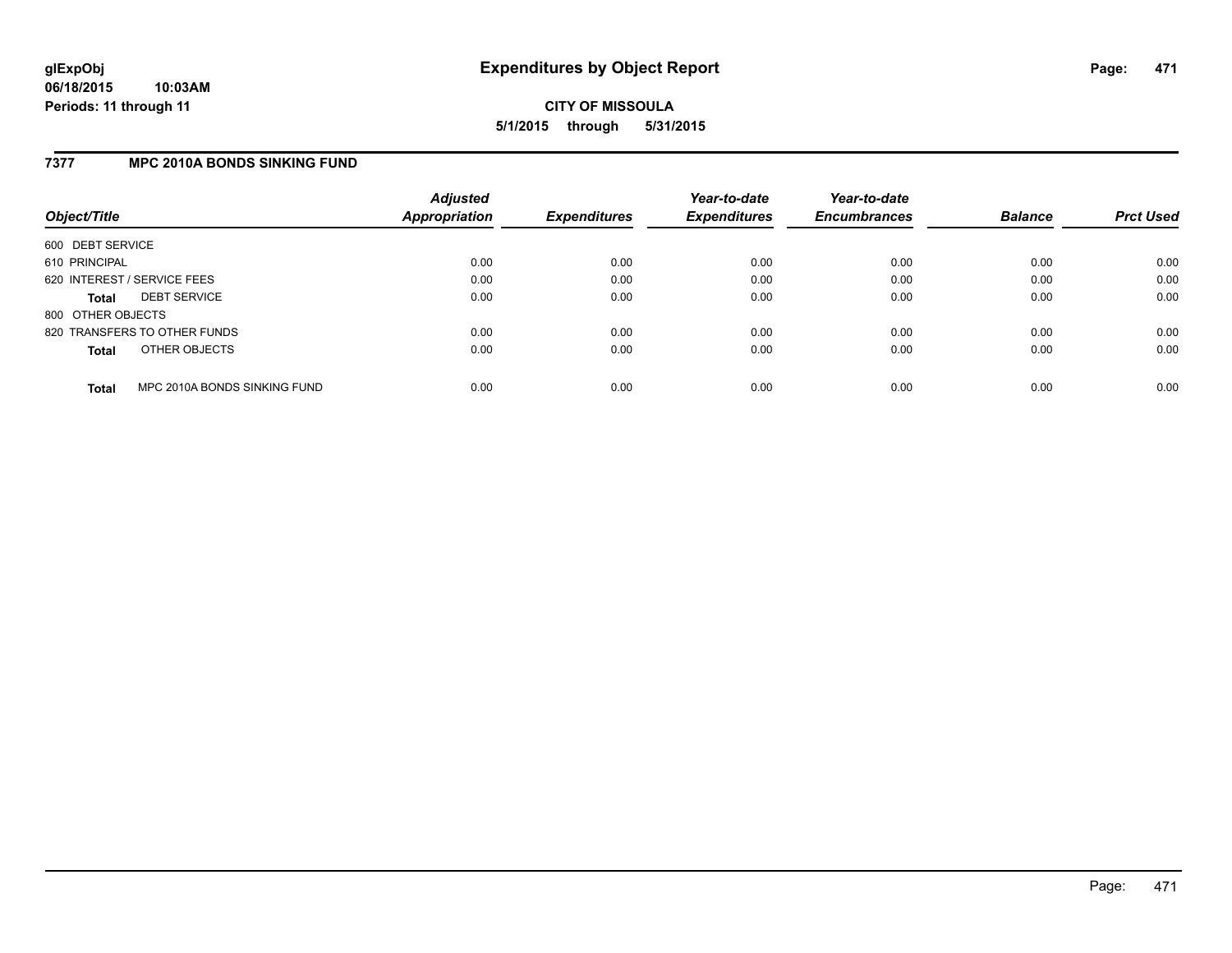### **7377 MPC 2010A BONDS SINKING FUND**

| Object/Title                |                              | <b>Adjusted</b><br><b>Appropriation</b> | <b>Expenditures</b> | Year-to-date<br><b>Expenditures</b> | Year-to-date<br><b>Encumbrances</b> | <b>Balance</b> | <b>Prct Used</b> |
|-----------------------------|------------------------------|-----------------------------------------|---------------------|-------------------------------------|-------------------------------------|----------------|------------------|
| 600 DEBT SERVICE            |                              |                                         |                     |                                     |                                     |                |                  |
| 610 PRINCIPAL               |                              | 0.00                                    | 0.00                | 0.00                                | 0.00                                | 0.00           | 0.00             |
| 620 INTEREST / SERVICE FEES |                              | 0.00                                    | 0.00                | 0.00                                | 0.00                                | 0.00           | 0.00             |
| <b>Total</b>                | <b>DEBT SERVICE</b>          | 0.00                                    | 0.00                | 0.00                                | 0.00                                | 0.00           | 0.00             |
| 800 OTHER OBJECTS           |                              |                                         |                     |                                     |                                     |                |                  |
|                             | 820 TRANSFERS TO OTHER FUNDS | 0.00                                    | 0.00                | 0.00                                | 0.00                                | 0.00           | 0.00             |
| <b>Total</b>                | OTHER OBJECTS                | 0.00                                    | 0.00                | 0.00                                | 0.00                                | 0.00           | 0.00             |
| <b>Total</b>                | MPC 2010A BONDS SINKING FUND | 0.00                                    | 0.00                | 0.00                                | 0.00                                | 0.00           | 0.00             |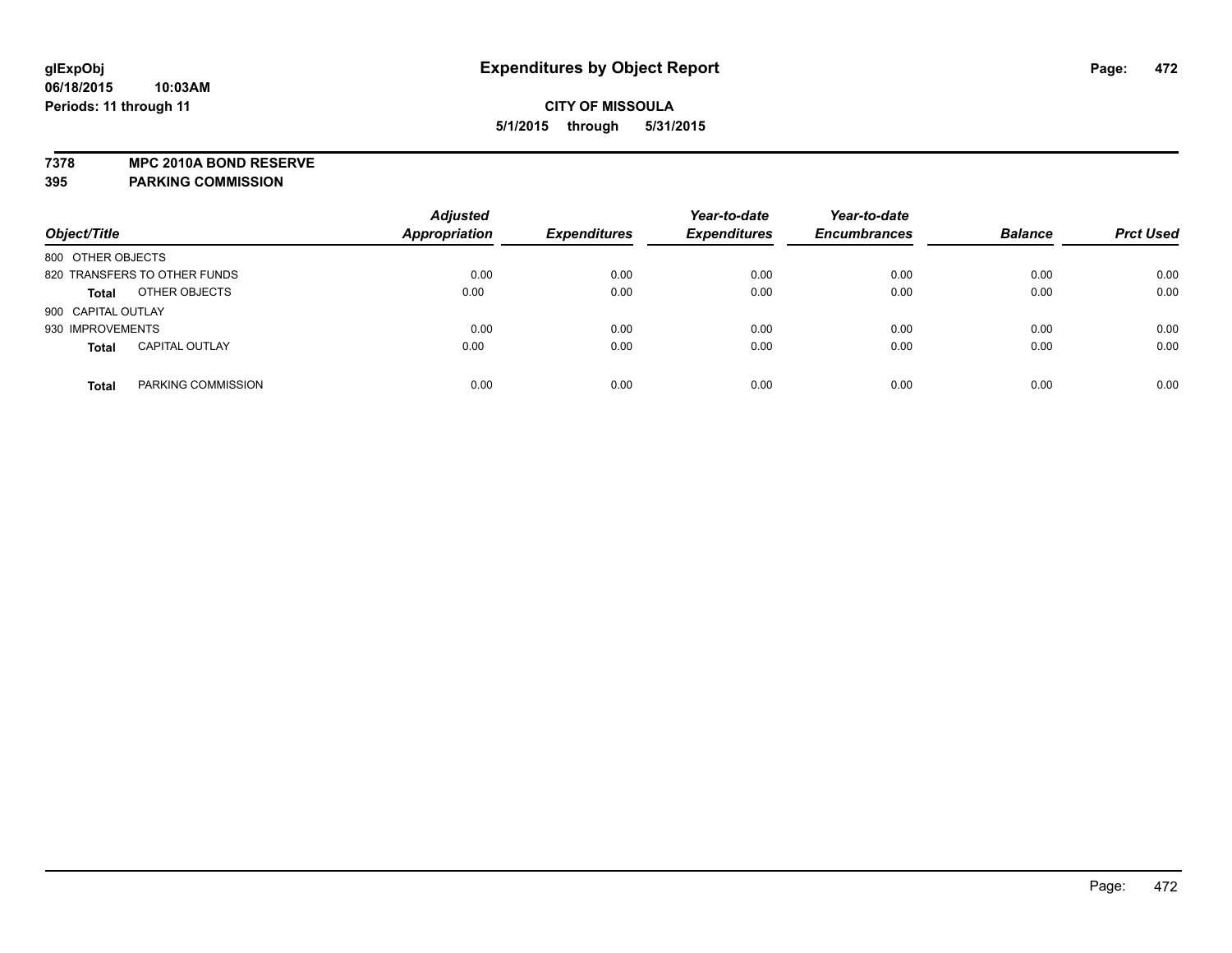**7378 MPC 2010A BOND RESERVE**

**395 PARKING COMMISSION**

| Object/Title                          | <b>Adjusted</b><br><b>Appropriation</b> | <b>Expenditures</b> | Year-to-date<br><b>Expenditures</b> | Year-to-date<br><b>Encumbrances</b> | <b>Balance</b> | <b>Prct Used</b> |
|---------------------------------------|-----------------------------------------|---------------------|-------------------------------------|-------------------------------------|----------------|------------------|
| 800 OTHER OBJECTS                     |                                         |                     |                                     |                                     |                |                  |
| 820 TRANSFERS TO OTHER FUNDS          | 0.00                                    | 0.00                | 0.00                                | 0.00                                | 0.00           | 0.00             |
| OTHER OBJECTS<br><b>Total</b>         | 0.00                                    | 0.00                | 0.00                                | 0.00                                | 0.00           | 0.00             |
| 900 CAPITAL OUTLAY                    |                                         |                     |                                     |                                     |                |                  |
| 930 IMPROVEMENTS                      | 0.00                                    | 0.00                | 0.00                                | 0.00                                | 0.00           | 0.00             |
| <b>CAPITAL OUTLAY</b><br><b>Total</b> | 0.00                                    | 0.00                | 0.00                                | 0.00                                | 0.00           | 0.00             |
| PARKING COMMISSION<br>Total           | 0.00                                    | 0.00                | 0.00                                | 0.00                                | 0.00           | 0.00             |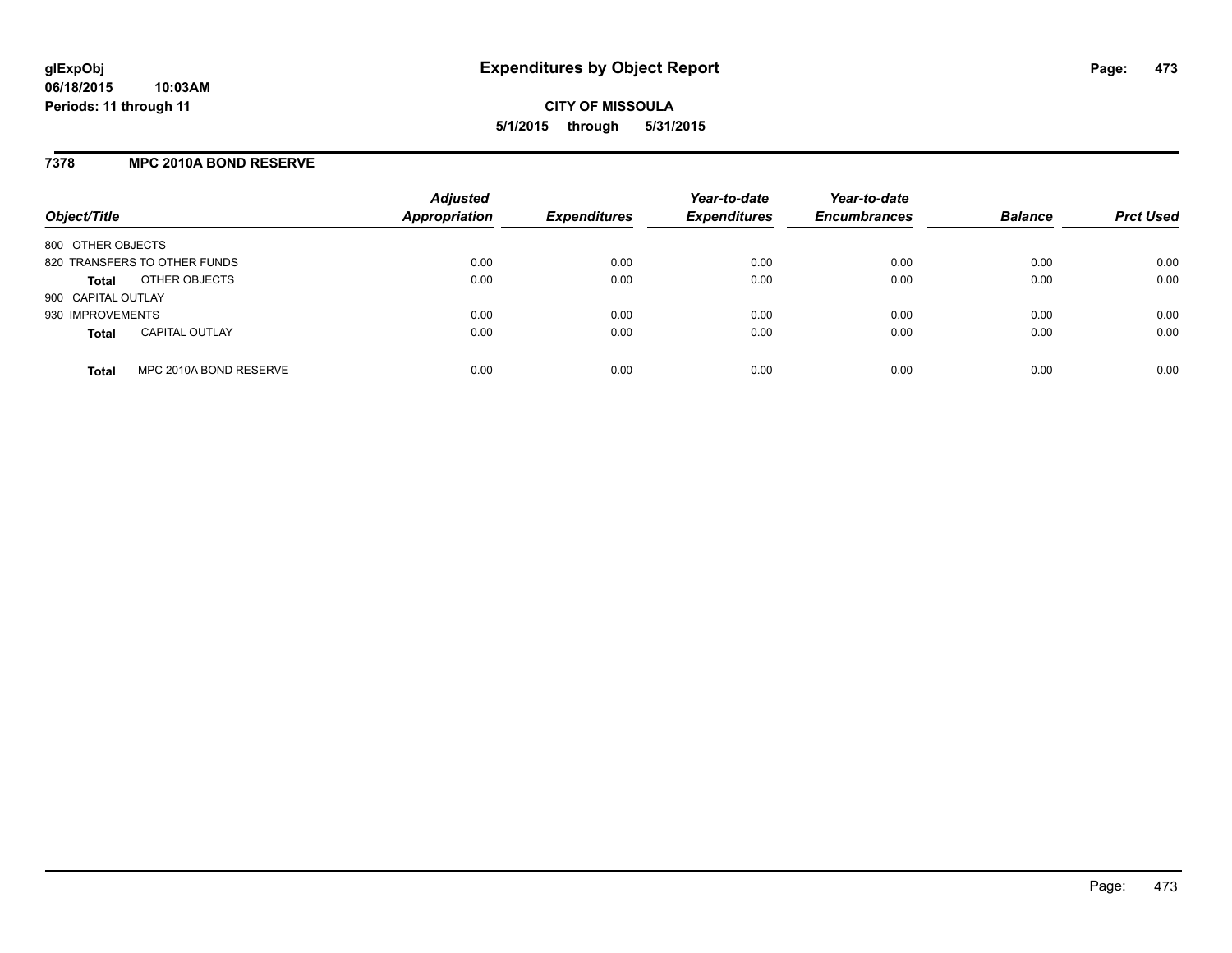#### **7378 MPC 2010A BOND RESERVE**

| Object/Title                           | <b>Adjusted</b><br><b>Appropriation</b> | <b>Expenditures</b> | Year-to-date<br><b>Expenditures</b> | Year-to-date<br><b>Encumbrances</b> | <b>Balance</b> | <b>Prct Used</b> |
|----------------------------------------|-----------------------------------------|---------------------|-------------------------------------|-------------------------------------|----------------|------------------|
| 800 OTHER OBJECTS                      |                                         |                     |                                     |                                     |                |                  |
| 820 TRANSFERS TO OTHER FUNDS           | 0.00                                    | 0.00                | 0.00                                | 0.00                                | 0.00           | 0.00             |
| OTHER OBJECTS<br><b>Total</b>          | 0.00                                    | 0.00                | 0.00                                | 0.00                                | 0.00           | 0.00             |
| 900 CAPITAL OUTLAY                     |                                         |                     |                                     |                                     |                |                  |
| 930 IMPROVEMENTS                       | 0.00                                    | 0.00                | 0.00                                | 0.00                                | 0.00           | 0.00             |
| <b>CAPITAL OUTLAY</b><br><b>Total</b>  | 0.00                                    | 0.00                | 0.00                                | 0.00                                | 0.00           | 0.00             |
| MPC 2010A BOND RESERVE<br><b>Total</b> | 0.00                                    | 0.00                | 0.00                                | 0.00                                | 0.00           | 0.00             |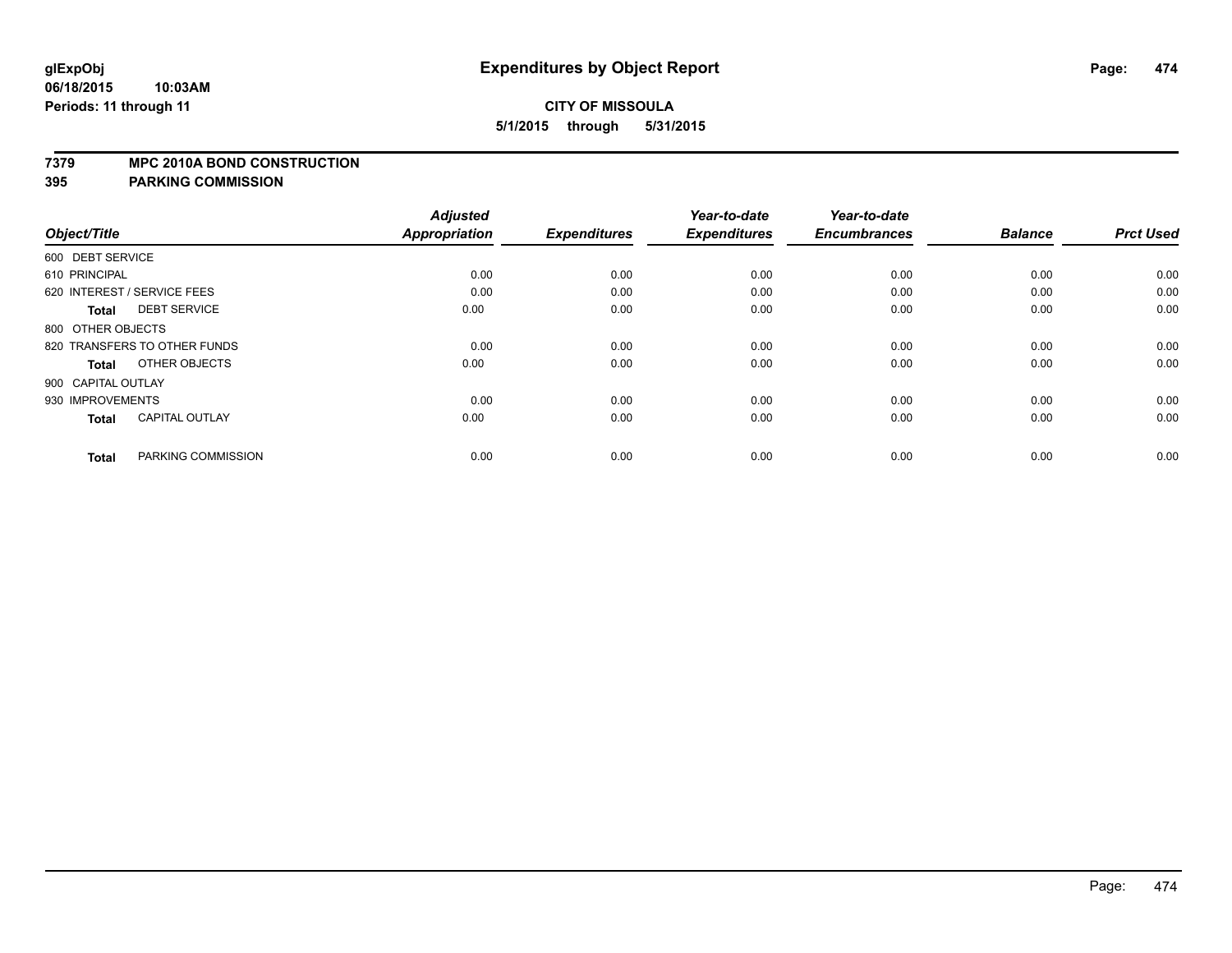#### **7379 MPC 2010A BOND CONSTRUCTION**

#### **395 PARKING COMMISSION**

| Object/Title                          | <b>Adjusted</b><br><b>Appropriation</b> | <b>Expenditures</b> | Year-to-date<br><b>Expenditures</b> | Year-to-date<br><b>Encumbrances</b> | <b>Balance</b> | <b>Prct Used</b> |
|---------------------------------------|-----------------------------------------|---------------------|-------------------------------------|-------------------------------------|----------------|------------------|
| 600 DEBT SERVICE                      |                                         |                     |                                     |                                     |                |                  |
|                                       |                                         |                     |                                     |                                     |                |                  |
| 610 PRINCIPAL                         | 0.00                                    | 0.00                | 0.00                                | 0.00                                | 0.00           | 0.00             |
| 620 INTEREST / SERVICE FEES           | 0.00                                    | 0.00                | 0.00                                | 0.00                                | 0.00           | 0.00             |
| <b>DEBT SERVICE</b><br>Total          | 0.00                                    | 0.00                | 0.00                                | 0.00                                | 0.00           | 0.00             |
| 800 OTHER OBJECTS                     |                                         |                     |                                     |                                     |                |                  |
| 820 TRANSFERS TO OTHER FUNDS          | 0.00                                    | 0.00                | 0.00                                | 0.00                                | 0.00           | 0.00             |
| OTHER OBJECTS<br><b>Total</b>         | 0.00                                    | 0.00                | 0.00                                | 0.00                                | 0.00           | 0.00             |
| 900 CAPITAL OUTLAY                    |                                         |                     |                                     |                                     |                |                  |
| 930 IMPROVEMENTS                      | 0.00                                    | 0.00                | 0.00                                | 0.00                                | 0.00           | 0.00             |
| <b>CAPITAL OUTLAY</b><br><b>Total</b> | 0.00                                    | 0.00                | 0.00                                | 0.00                                | 0.00           | 0.00             |
|                                       |                                         |                     |                                     |                                     |                |                  |
| PARKING COMMISSION<br><b>Total</b>    | 0.00                                    | 0.00                | 0.00                                | 0.00                                | 0.00           | 0.00             |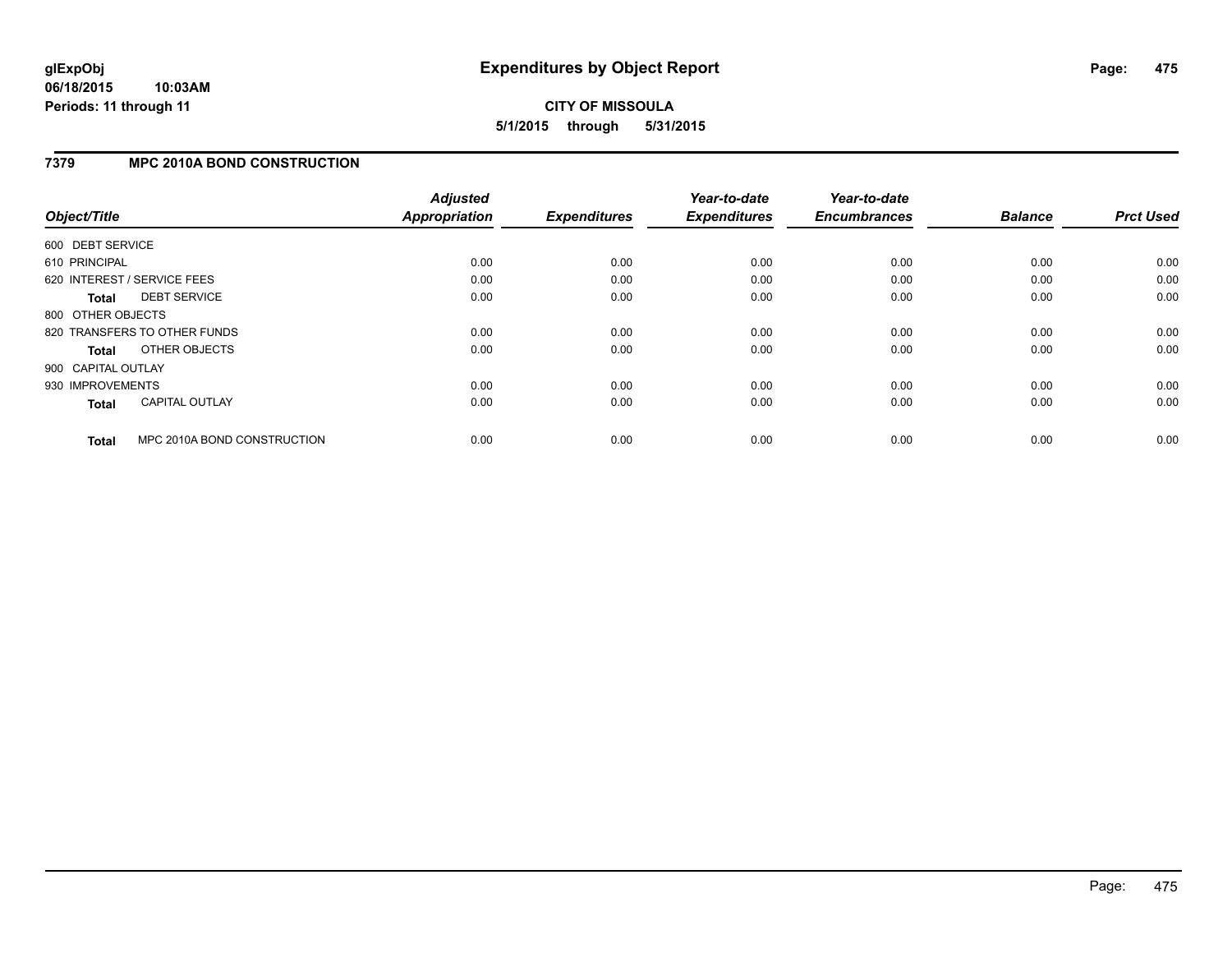# **CITY OF MISSOULA 5/1/2015 through 5/31/2015**

#### **7379 MPC 2010A BOND CONSTRUCTION**

| Object/Title       |                              | <b>Adjusted</b><br>Appropriation | <b>Expenditures</b> | Year-to-date<br><b>Expenditures</b> | Year-to-date<br><b>Encumbrances</b> | <b>Balance</b> | <b>Prct Used</b> |
|--------------------|------------------------------|----------------------------------|---------------------|-------------------------------------|-------------------------------------|----------------|------------------|
| 600 DEBT SERVICE   |                              |                                  |                     |                                     |                                     |                |                  |
| 610 PRINCIPAL      |                              | 0.00                             | 0.00                | 0.00                                | 0.00                                | 0.00           | 0.00             |
|                    | 620 INTEREST / SERVICE FEES  | 0.00                             | 0.00                | 0.00                                | 0.00                                | 0.00           | 0.00             |
| Total              | <b>DEBT SERVICE</b>          | 0.00                             | 0.00                | 0.00                                | 0.00                                | 0.00           | 0.00             |
| 800 OTHER OBJECTS  |                              |                                  |                     |                                     |                                     |                |                  |
|                    | 820 TRANSFERS TO OTHER FUNDS | 0.00                             | 0.00                | 0.00                                | 0.00                                | 0.00           | 0.00             |
| Total              | OTHER OBJECTS                | 0.00                             | 0.00                | 0.00                                | 0.00                                | 0.00           | 0.00             |
| 900 CAPITAL OUTLAY |                              |                                  |                     |                                     |                                     |                |                  |
| 930 IMPROVEMENTS   |                              | 0.00                             | 0.00                | 0.00                                | 0.00                                | 0.00           | 0.00             |
| <b>Total</b>       | <b>CAPITAL OUTLAY</b>        | 0.00                             | 0.00                | 0.00                                | 0.00                                | 0.00           | 0.00             |
| <b>Total</b>       | MPC 2010A BOND CONSTRUCTION  | 0.00                             | 0.00                | 0.00                                | 0.00                                | 0.00           | 0.00             |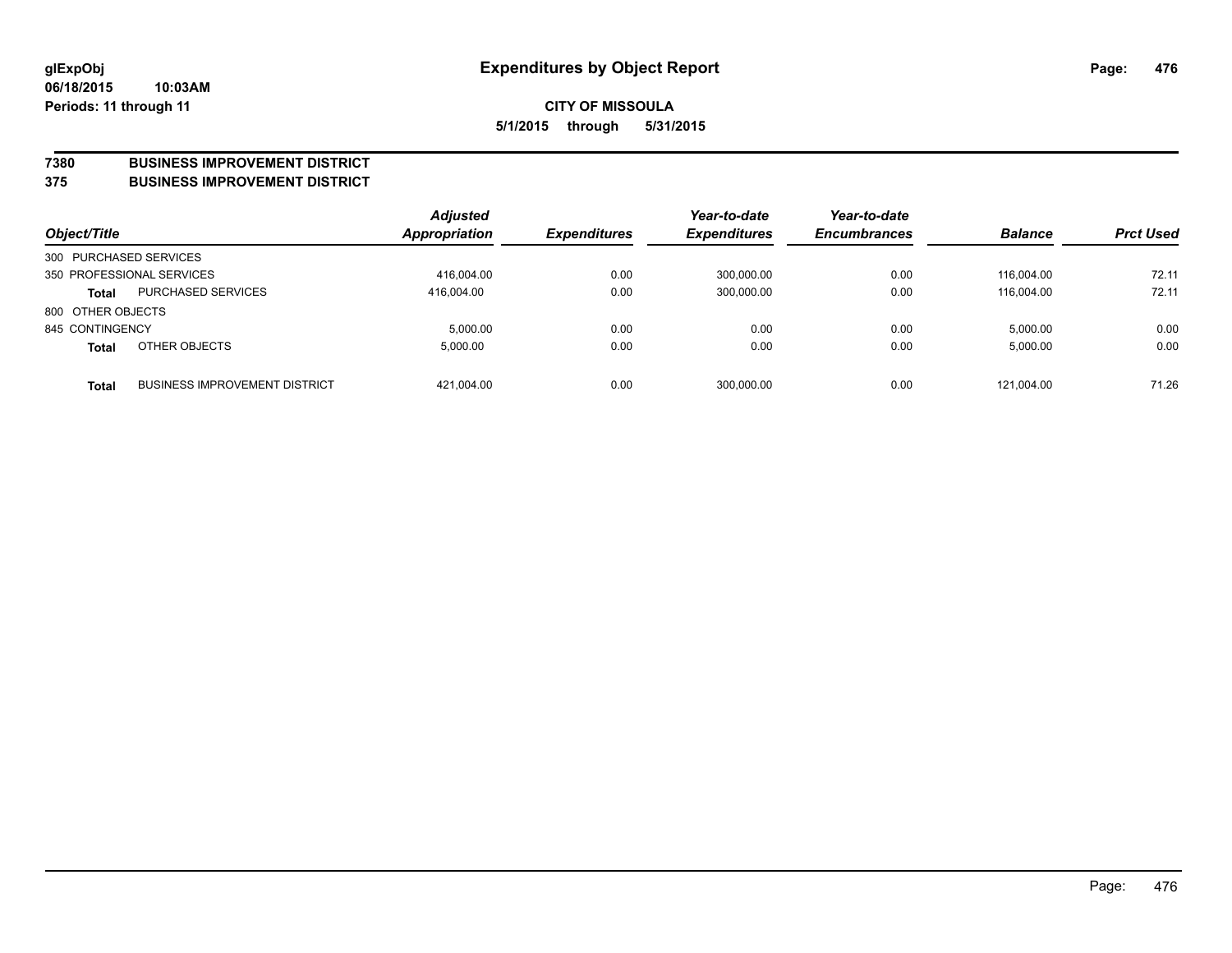#### **7380 BUSINESS IMPROVEMENT DISTRICT**

**375 BUSINESS IMPROVEMENT DISTRICT**

| Object/Title           |                                      | <b>Adjusted</b><br><b>Appropriation</b> | <b>Expenditures</b> | Year-to-date<br><b>Expenditures</b> | Year-to-date<br><b>Encumbrances</b> | <b>Balance</b> | <b>Prct Used</b> |
|------------------------|--------------------------------------|-----------------------------------------|---------------------|-------------------------------------|-------------------------------------|----------------|------------------|
| 300 PURCHASED SERVICES |                                      |                                         |                     |                                     |                                     |                |                  |
|                        | 350 PROFESSIONAL SERVICES            | 416,004.00                              | 0.00                | 300,000.00                          | 0.00                                | 116.004.00     | 72.11            |
| <b>Total</b>           | <b>PURCHASED SERVICES</b>            | 416.004.00                              | 0.00                | 300,000.00                          | 0.00                                | 116.004.00     | 72.11            |
| 800 OTHER OBJECTS      |                                      |                                         |                     |                                     |                                     |                |                  |
| 845 CONTINGENCY        |                                      | 5,000.00                                | 0.00                | 0.00                                | 0.00                                | 5,000.00       | 0.00             |
| <b>Total</b>           | OTHER OBJECTS                        | 5,000.00                                | 0.00                | 0.00                                | 0.00                                | 5,000.00       | 0.00             |
| <b>Total</b>           | <b>BUSINESS IMPROVEMENT DISTRICT</b> | 421,004.00                              | 0.00                | 300,000.00                          | 0.00                                | 121,004.00     | 71.26            |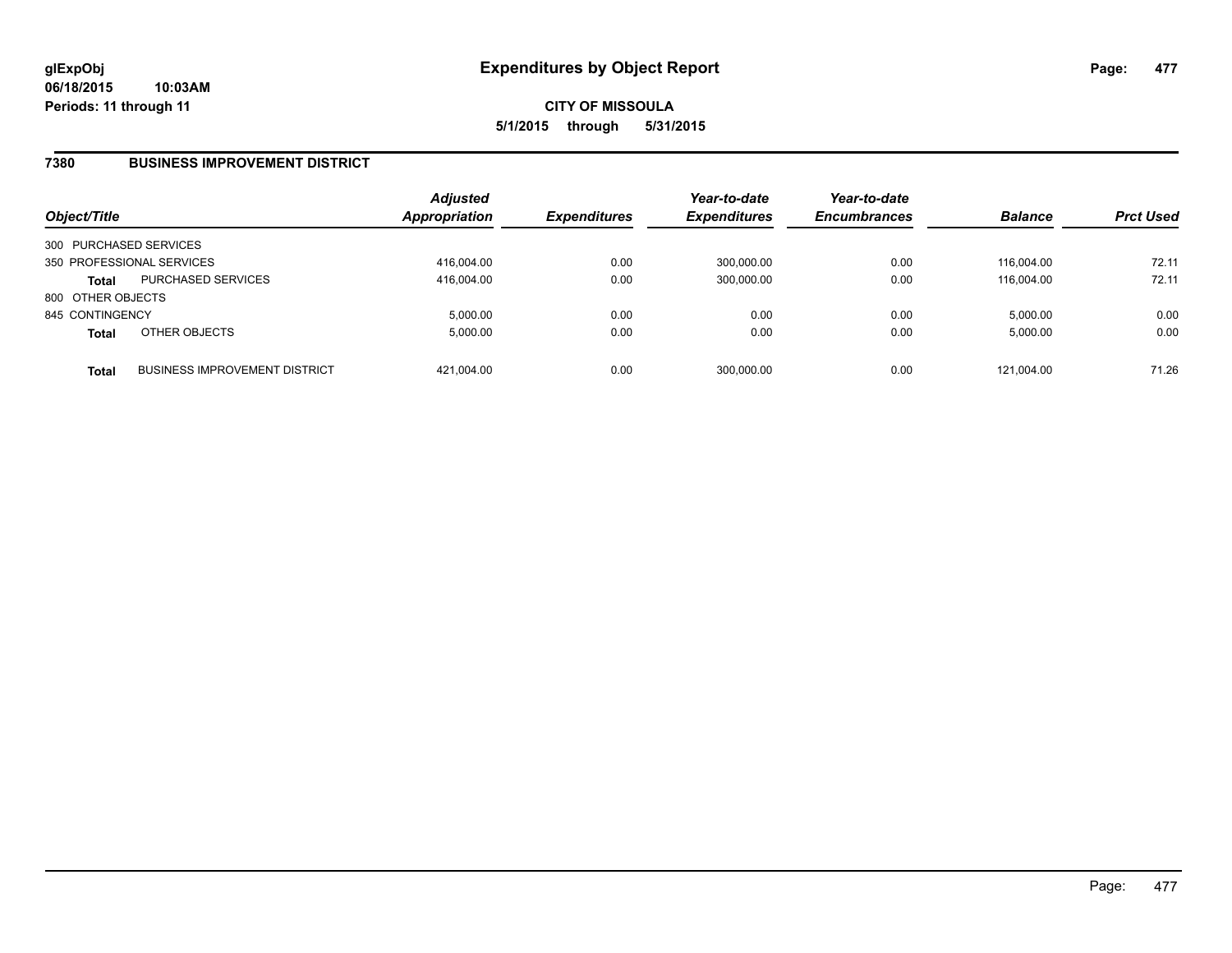### **7380 BUSINESS IMPROVEMENT DISTRICT**

| Object/Title              |                                      | <b>Adjusted</b><br>Appropriation | <b>Expenditures</b> | Year-to-date<br><b>Expenditures</b> | Year-to-date<br><b>Encumbrances</b> | <b>Balance</b> | <b>Prct Used</b> |
|---------------------------|--------------------------------------|----------------------------------|---------------------|-------------------------------------|-------------------------------------|----------------|------------------|
| 300 PURCHASED SERVICES    |                                      |                                  |                     |                                     |                                     |                |                  |
| 350 PROFESSIONAL SERVICES |                                      | 416,004.00                       | 0.00                | 300,000.00                          | 0.00                                | 116.004.00     | 72.11            |
| <b>Total</b>              | <b>PURCHASED SERVICES</b>            | 416.004.00                       | 0.00                | 300,000.00                          | 0.00                                | 116.004.00     | 72.11            |
| 800 OTHER OBJECTS         |                                      |                                  |                     |                                     |                                     |                |                  |
| 845 CONTINGENCY           |                                      | 5.000.00                         | 0.00                | 0.00                                | 0.00                                | 5,000.00       | 0.00             |
| <b>Total</b>              | OTHER OBJECTS                        | 5.000.00                         | 0.00                | 0.00                                | 0.00                                | 5,000.00       | 0.00             |
| <b>Total</b>              | <b>BUSINESS IMPROVEMENT DISTRICT</b> | 421.004.00                       | 0.00                | 300,000.00                          | 0.00                                | 121.004.00     | 71.26            |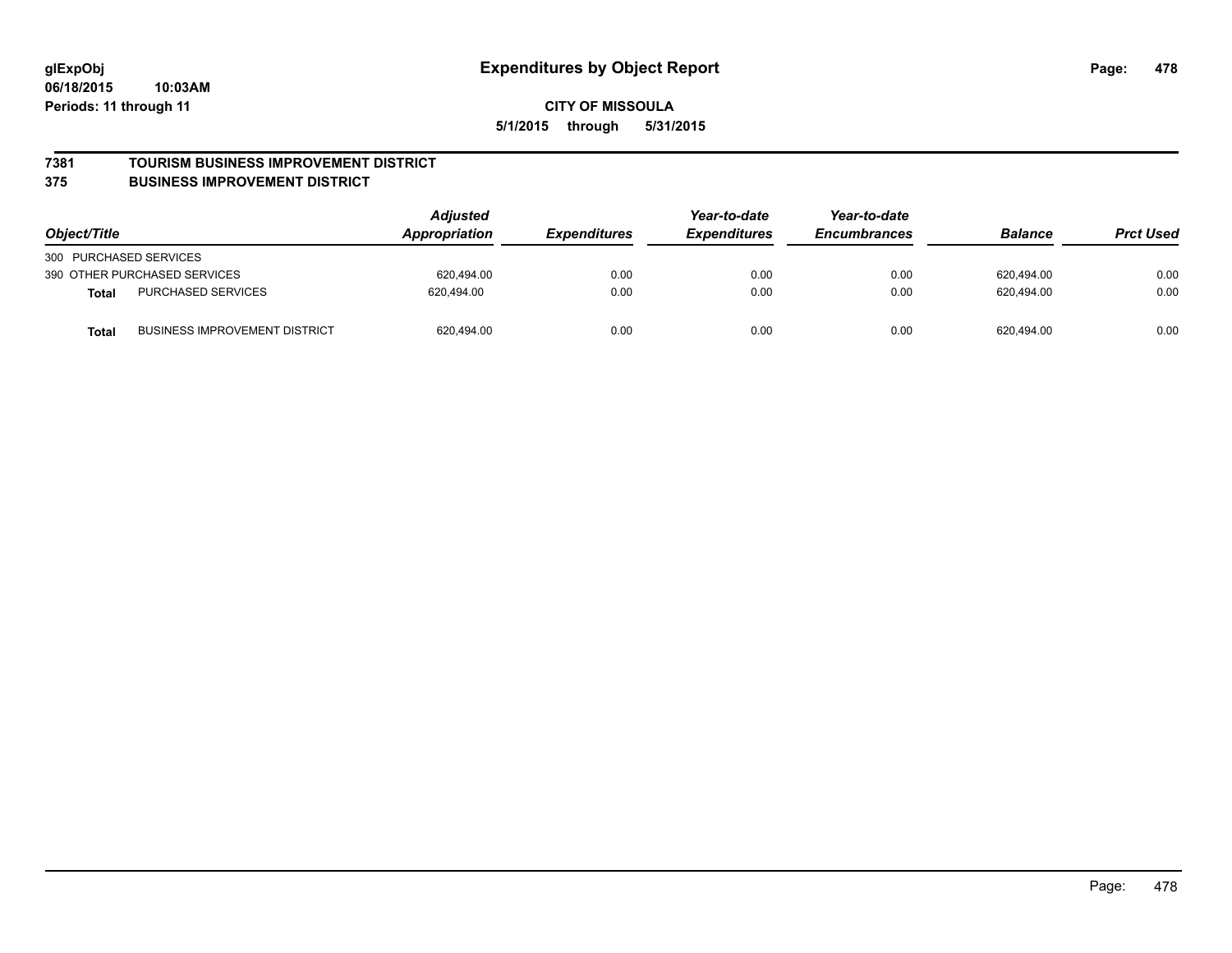#### **7381 TOURISM BUSINESS IMPROVEMENT DISTRICT**

#### **375 BUSINESS IMPROVEMENT DISTRICT**

| Object/Title                                         | <b>Adjusted</b><br>Appropriation | <i><b>Expenditures</b></i> | Year-to-date<br><b>Expenditures</b> | Year-to-date<br><b>Encumbrances</b> | <b>Balance</b> | <b>Prct Used</b> |
|------------------------------------------------------|----------------------------------|----------------------------|-------------------------------------|-------------------------------------|----------------|------------------|
| 300 PURCHASED SERVICES                               |                                  |                            |                                     |                                     |                |                  |
| 390 OTHER PURCHASED SERVICES                         | 620.494.00                       | 0.00                       | 0.00                                | 0.00                                | 620,494.00     | 0.00             |
| <b>PURCHASED SERVICES</b><br><b>Total</b>            | 620.494.00                       | 0.00                       | 0.00                                | 0.00                                | 620.494.00     | 0.00             |
| <b>BUSINESS IMPROVEMENT DISTRICT</b><br><b>Total</b> | 620,494.00                       | 0.00                       | 0.00                                | 0.00                                | 620,494.00     | 0.00             |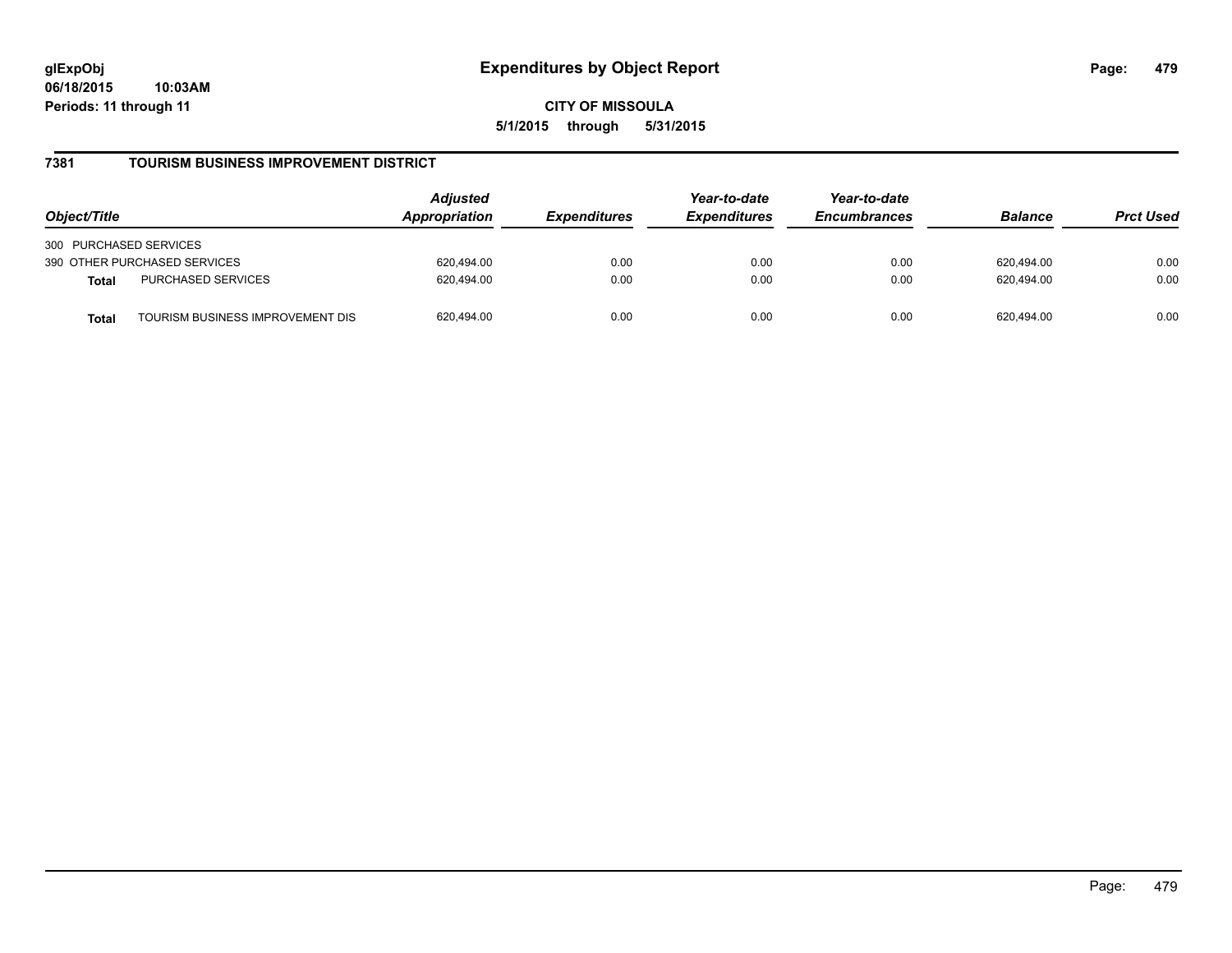**CITY OF MISSOULA 5/1/2015 through 5/31/2015**

### **7381 TOURISM BUSINESS IMPROVEMENT DISTRICT**

| Object/Title                                     | <b>Adjusted</b><br>Appropriation<br><i><b>Expenditures</b></i> | Year-to-date<br><b>Expenditures</b> | Year-to-date<br><b>Encumbrances</b> | <b>Balance</b> | <b>Prct Used</b> |      |
|--------------------------------------------------|----------------------------------------------------------------|-------------------------------------|-------------------------------------|----------------|------------------|------|
| 300 PURCHASED SERVICES                           |                                                                |                                     |                                     |                |                  |      |
| 390 OTHER PURCHASED SERVICES                     | 620.494.00                                                     | 0.00                                | 0.00                                | 0.00           | 620.494.00       | 0.00 |
| <b>PURCHASED SERVICES</b><br><b>Total</b>        | 620.494.00                                                     | 0.00                                | 0.00                                | 0.00           | 620.494.00       | 0.00 |
| TOURISM BUSINESS IMPROVEMENT DIS<br><b>Total</b> | 620,494.00                                                     | 0.00                                | 0.00                                | 0.00           | 620.494.00       | 0.00 |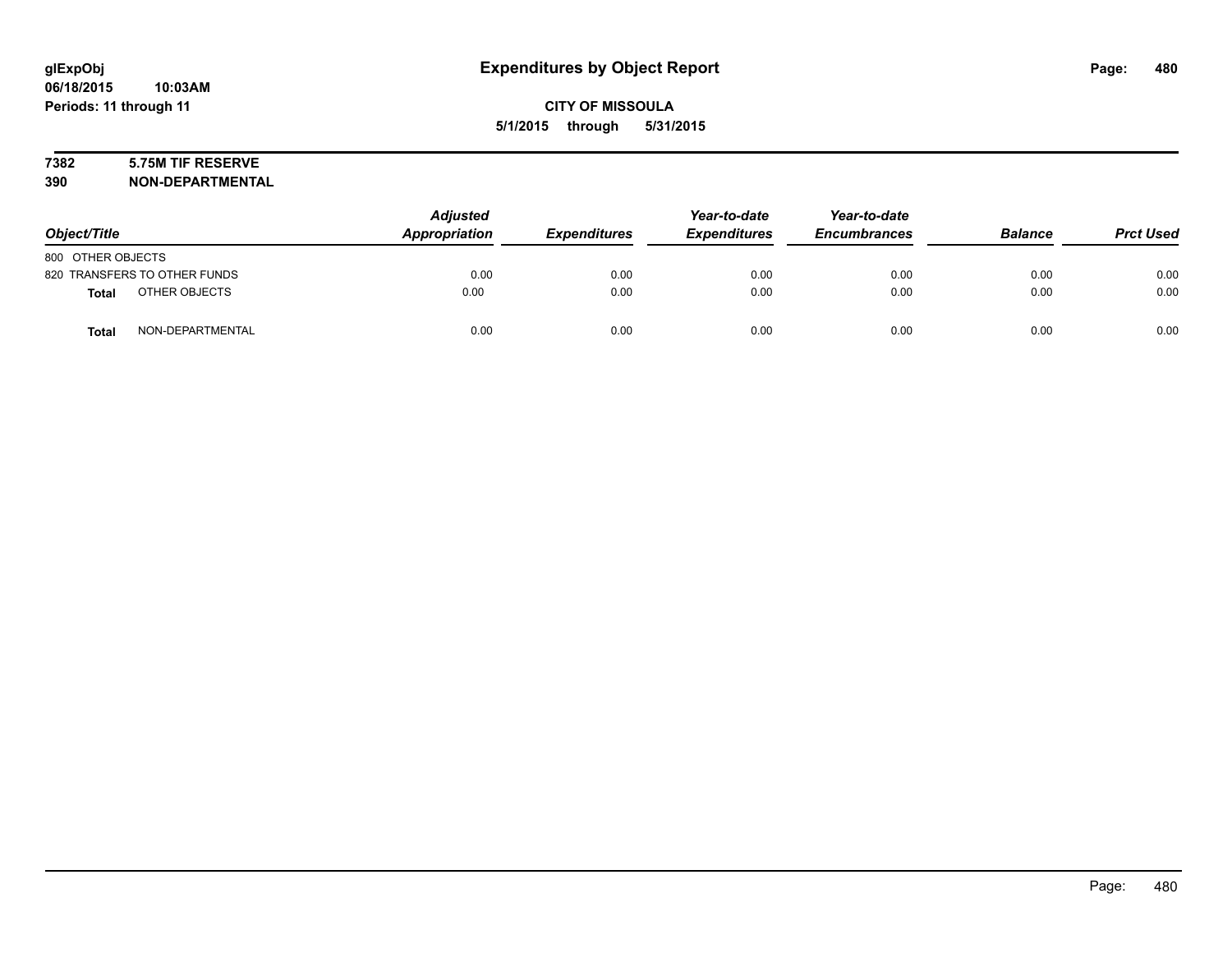# **7382 5.75M TIF RESERVE**

**390 NON-DEPARTMENTAL**

| Object/Title      |                              | <b>Adjusted</b><br>Appropriation | <b>Expenditures</b> | Year-to-date<br><b>Expenditures</b> | Year-to-date<br><b>Encumbrances</b> | <b>Balance</b> | <b>Prct Used</b> |
|-------------------|------------------------------|----------------------------------|---------------------|-------------------------------------|-------------------------------------|----------------|------------------|
| 800 OTHER OBJECTS |                              |                                  |                     |                                     |                                     |                |                  |
|                   | 820 TRANSFERS TO OTHER FUNDS | 0.00                             | 0.00                | 0.00                                | 0.00                                | 0.00           | 0.00             |
| <b>Total</b>      | OTHER OBJECTS                | 0.00                             | 0.00                | 0.00                                | 0.00                                | 0.00           | 0.00             |
| <b>Total</b>      | NON-DEPARTMENTAL             | 0.00                             | 0.00                | 0.00                                | 0.00                                | 0.00           | 0.00             |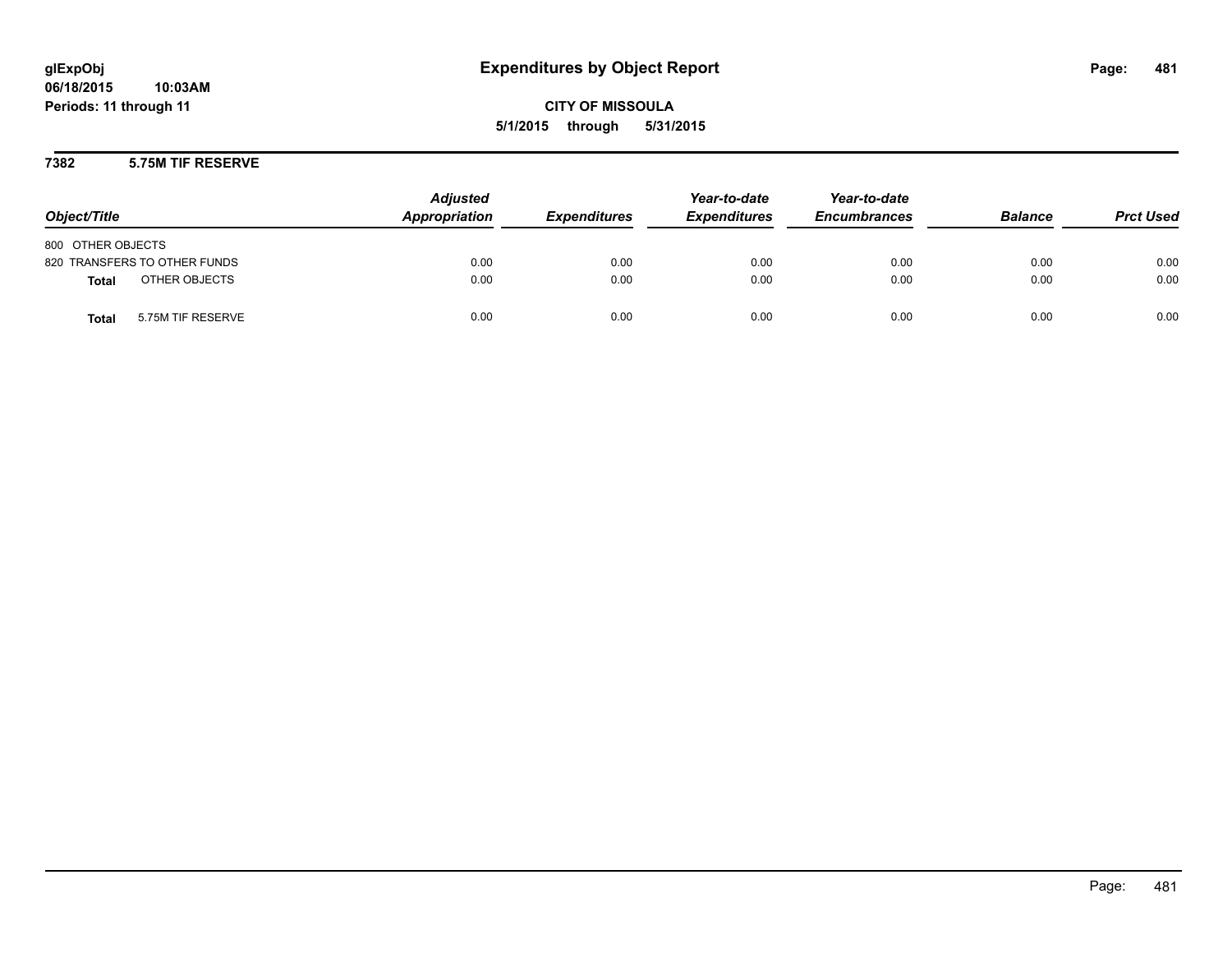#### **7382 5.75M TIF RESERVE**

| Object/Title                      | <b>Adjusted</b><br>Appropriation | <b>Expenditures</b> | Year-to-date<br><b>Expenditures</b> | Year-to-date<br><b>Encumbrances</b> | <b>Balance</b> | <b>Prct Used</b> |
|-----------------------------------|----------------------------------|---------------------|-------------------------------------|-------------------------------------|----------------|------------------|
| 800 OTHER OBJECTS                 |                                  |                     |                                     |                                     |                |                  |
| 820 TRANSFERS TO OTHER FUNDS      | 0.00                             | 0.00                | 0.00                                | 0.00                                | 0.00           | 0.00             |
| OTHER OBJECTS<br><b>Total</b>     | 0.00                             | 0.00                | 0.00                                | 0.00                                | 0.00           | 0.00             |
| 5.75M TIF RESERVE<br><b>Total</b> | 0.00                             | 0.00                | 0.00                                | 0.00                                | 0.00           | 0.00             |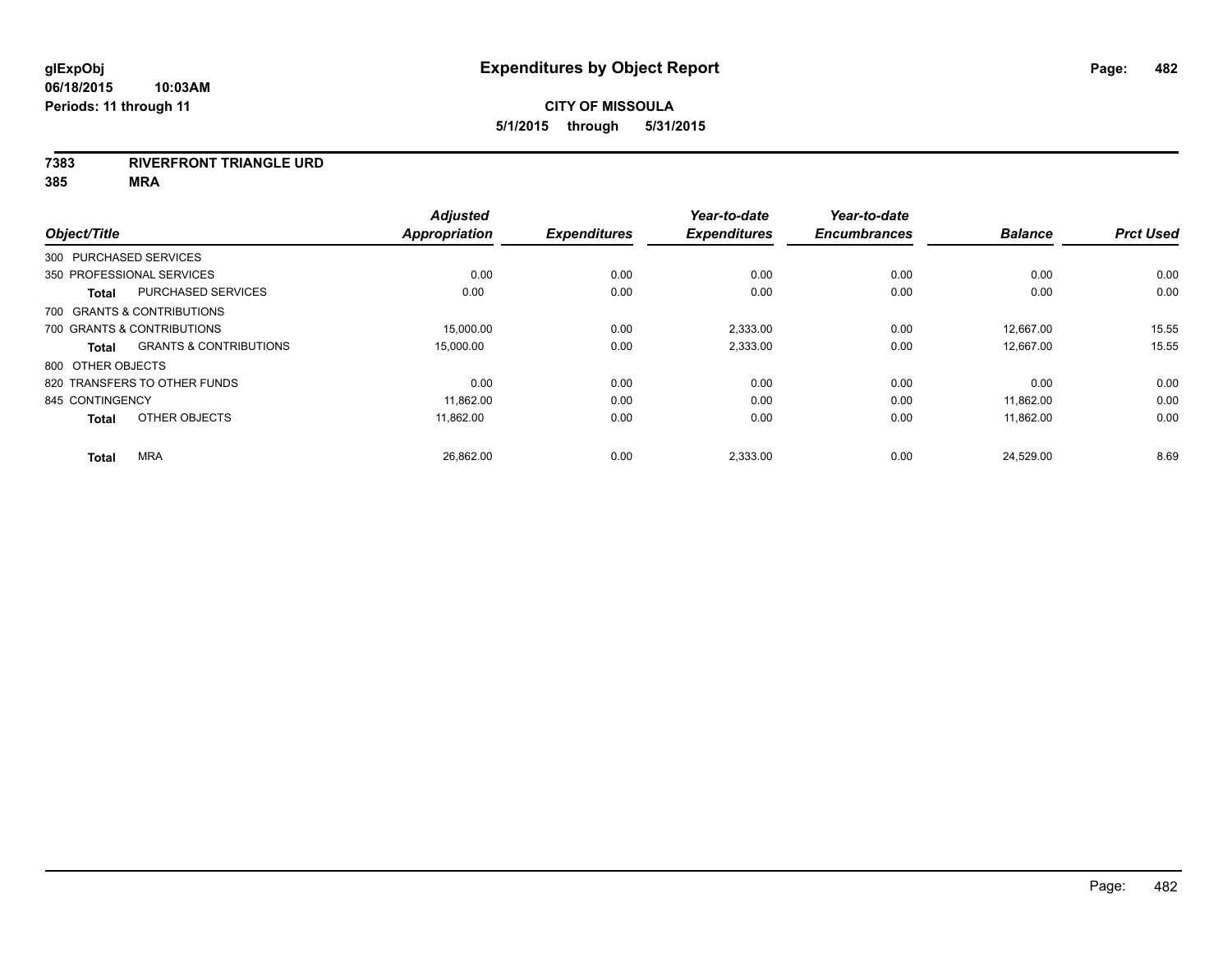#### **7383 RIVERFRONT TRIANGLE URD**

| Object/Title           |                                   | <b>Adjusted</b><br><b>Appropriation</b> | <b>Expenditures</b> | Year-to-date<br><b>Expenditures</b> | Year-to-date<br><b>Encumbrances</b> | <b>Balance</b> | <b>Prct Used</b> |
|------------------------|-----------------------------------|-----------------------------------------|---------------------|-------------------------------------|-------------------------------------|----------------|------------------|
| 300 PURCHASED SERVICES |                                   |                                         |                     |                                     |                                     |                |                  |
|                        | 350 PROFESSIONAL SERVICES         | 0.00                                    | 0.00                | 0.00                                | 0.00                                | 0.00           | 0.00             |
| <b>Total</b>           | <b>PURCHASED SERVICES</b>         | 0.00                                    | 0.00                | 0.00                                | 0.00                                | 0.00           | 0.00             |
|                        | 700 GRANTS & CONTRIBUTIONS        |                                         |                     |                                     |                                     |                |                  |
|                        | 700 GRANTS & CONTRIBUTIONS        | 15,000.00                               | 0.00                | 2,333.00                            | 0.00                                | 12,667.00      | 15.55            |
| Total                  | <b>GRANTS &amp; CONTRIBUTIONS</b> | 15,000.00                               | 0.00                | 2,333.00                            | 0.00                                | 12,667.00      | 15.55            |
| 800 OTHER OBJECTS      |                                   |                                         |                     |                                     |                                     |                |                  |
|                        | 820 TRANSFERS TO OTHER FUNDS      | 0.00                                    | 0.00                | 0.00                                | 0.00                                | 0.00           | 0.00             |
| 845 CONTINGENCY        |                                   | 11,862.00                               | 0.00                | 0.00                                | 0.00                                | 11,862.00      | 0.00             |
| <b>Total</b>           | OTHER OBJECTS                     | 11,862.00                               | 0.00                | 0.00                                | 0.00                                | 11,862.00      | 0.00             |
|                        |                                   |                                         |                     |                                     |                                     |                |                  |
| <b>Total</b>           | <b>MRA</b>                        | 26,862.00                               | 0.00                | 2,333.00                            | 0.00                                | 24,529.00      | 8.69             |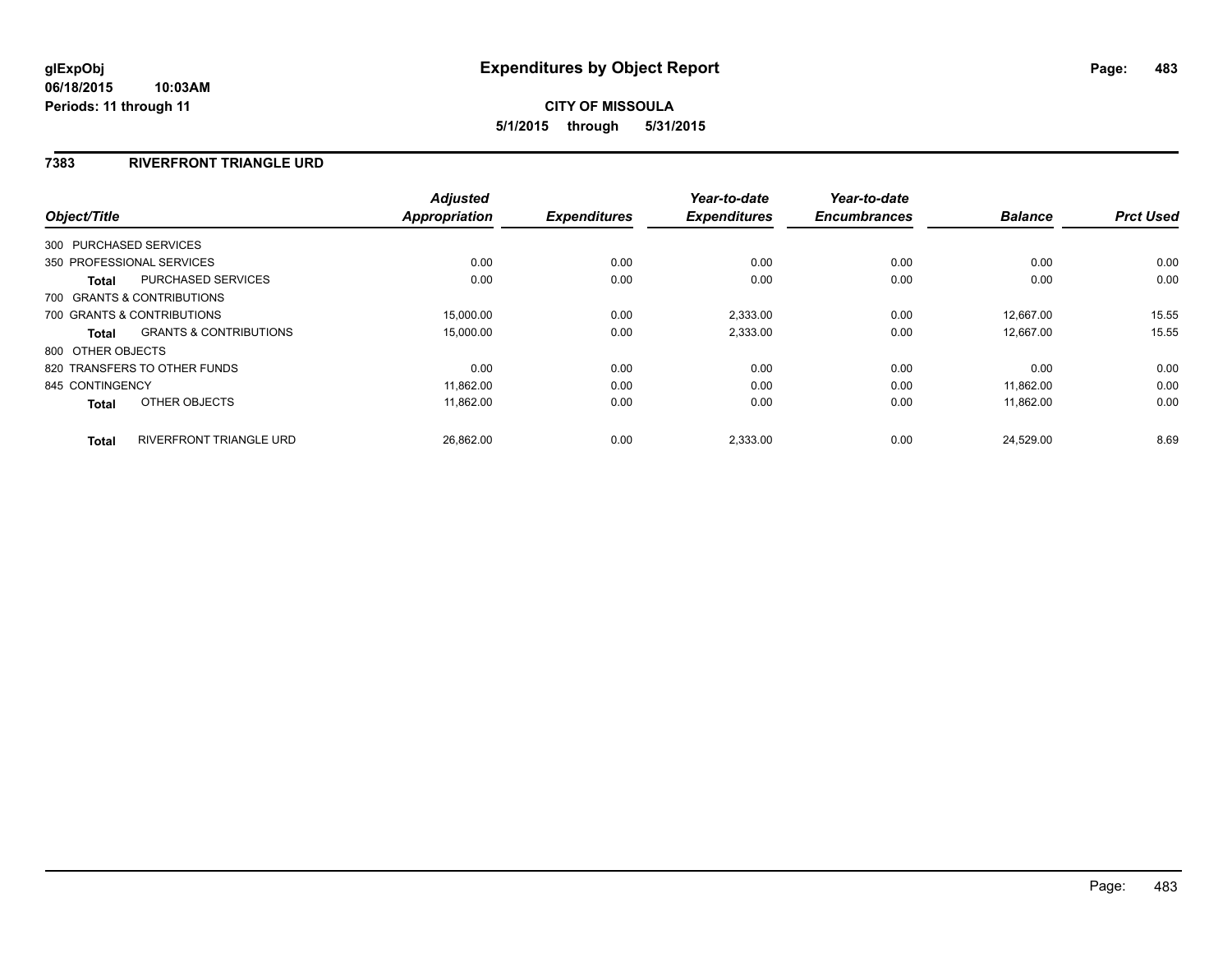### **7383 RIVERFRONT TRIANGLE URD**

| Object/Title           |                                   | <b>Adjusted</b><br>Appropriation | <b>Expenditures</b> | Year-to-date<br><b>Expenditures</b> | Year-to-date<br><b>Encumbrances</b> | <b>Balance</b> | <b>Prct Used</b> |
|------------------------|-----------------------------------|----------------------------------|---------------------|-------------------------------------|-------------------------------------|----------------|------------------|
|                        |                                   |                                  |                     |                                     |                                     |                |                  |
| 300 PURCHASED SERVICES |                                   |                                  |                     |                                     |                                     |                |                  |
|                        | 350 PROFESSIONAL SERVICES         | 0.00                             | 0.00                | 0.00                                | 0.00                                | 0.00           | 0.00             |
| <b>Total</b>           | <b>PURCHASED SERVICES</b>         | 0.00                             | 0.00                | 0.00                                | 0.00                                | 0.00           | 0.00             |
|                        | 700 GRANTS & CONTRIBUTIONS        |                                  |                     |                                     |                                     |                |                  |
|                        | 700 GRANTS & CONTRIBUTIONS        | 15,000.00                        | 0.00                | 2,333.00                            | 0.00                                | 12.667.00      | 15.55            |
| Total                  | <b>GRANTS &amp; CONTRIBUTIONS</b> | 15,000.00                        | 0.00                | 2,333.00                            | 0.00                                | 12.667.00      | 15.55            |
| 800 OTHER OBJECTS      |                                   |                                  |                     |                                     |                                     |                |                  |
|                        | 820 TRANSFERS TO OTHER FUNDS      | 0.00                             | 0.00                | 0.00                                | 0.00                                | 0.00           | 0.00             |
| 845 CONTINGENCY        |                                   | 11.862.00                        | 0.00                | 0.00                                | 0.00                                | 11.862.00      | 0.00             |
| <b>Total</b>           | OTHER OBJECTS                     | 11,862.00                        | 0.00                | 0.00                                | 0.00                                | 11.862.00      | 0.00             |
| <b>Total</b>           | <b>RIVERFRONT TRIANGLE URD</b>    | 26,862.00                        | 0.00                | 2,333.00                            | 0.00                                | 24,529.00      | 8.69             |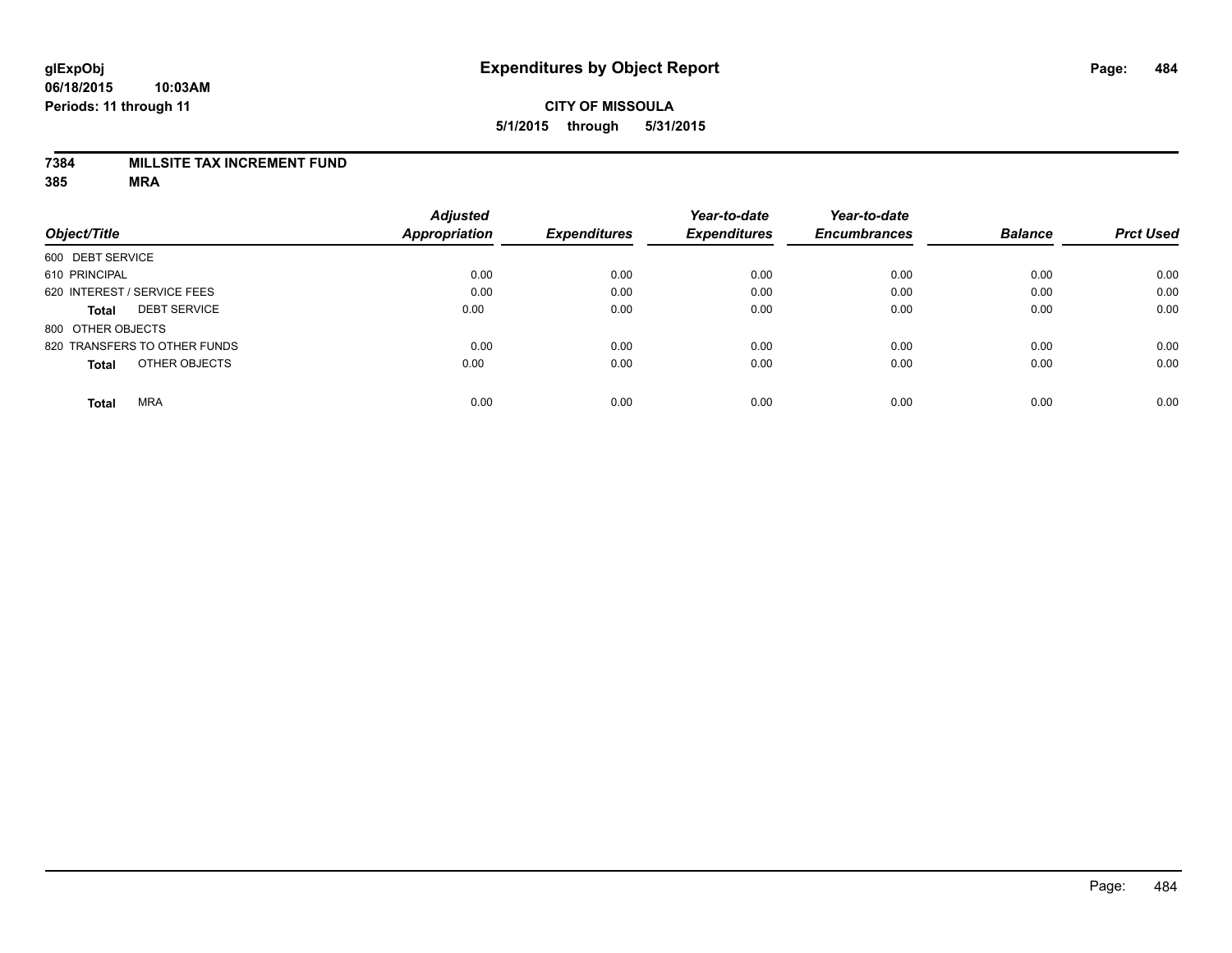#### **7384 MILLSITE TAX INCREMENT FUND**

|                                     | <b>Adjusted</b>      |                     | Year-to-date        | Year-to-date        |                |                  |
|-------------------------------------|----------------------|---------------------|---------------------|---------------------|----------------|------------------|
| Object/Title                        | <b>Appropriation</b> | <b>Expenditures</b> | <b>Expenditures</b> | <b>Encumbrances</b> | <b>Balance</b> | <b>Prct Used</b> |
| 600 DEBT SERVICE                    |                      |                     |                     |                     |                |                  |
| 610 PRINCIPAL                       | 0.00                 | 0.00                | 0.00                | 0.00                | 0.00           | 0.00             |
| 620 INTEREST / SERVICE FEES         | 0.00                 | 0.00                | 0.00                | 0.00                | 0.00           | 0.00             |
| <b>DEBT SERVICE</b><br><b>Total</b> | 0.00                 | 0.00                | 0.00                | 0.00                | 0.00           | 0.00             |
| 800 OTHER OBJECTS                   |                      |                     |                     |                     |                |                  |
| 820 TRANSFERS TO OTHER FUNDS        | 0.00                 | 0.00                | 0.00                | 0.00                | 0.00           | 0.00             |
| OTHER OBJECTS<br><b>Total</b>       | 0.00                 | 0.00                | 0.00                | 0.00                | 0.00           | 0.00             |
| <b>MRA</b><br><b>Total</b>          | 0.00                 | 0.00                | 0.00                | 0.00                | 0.00           | 0.00             |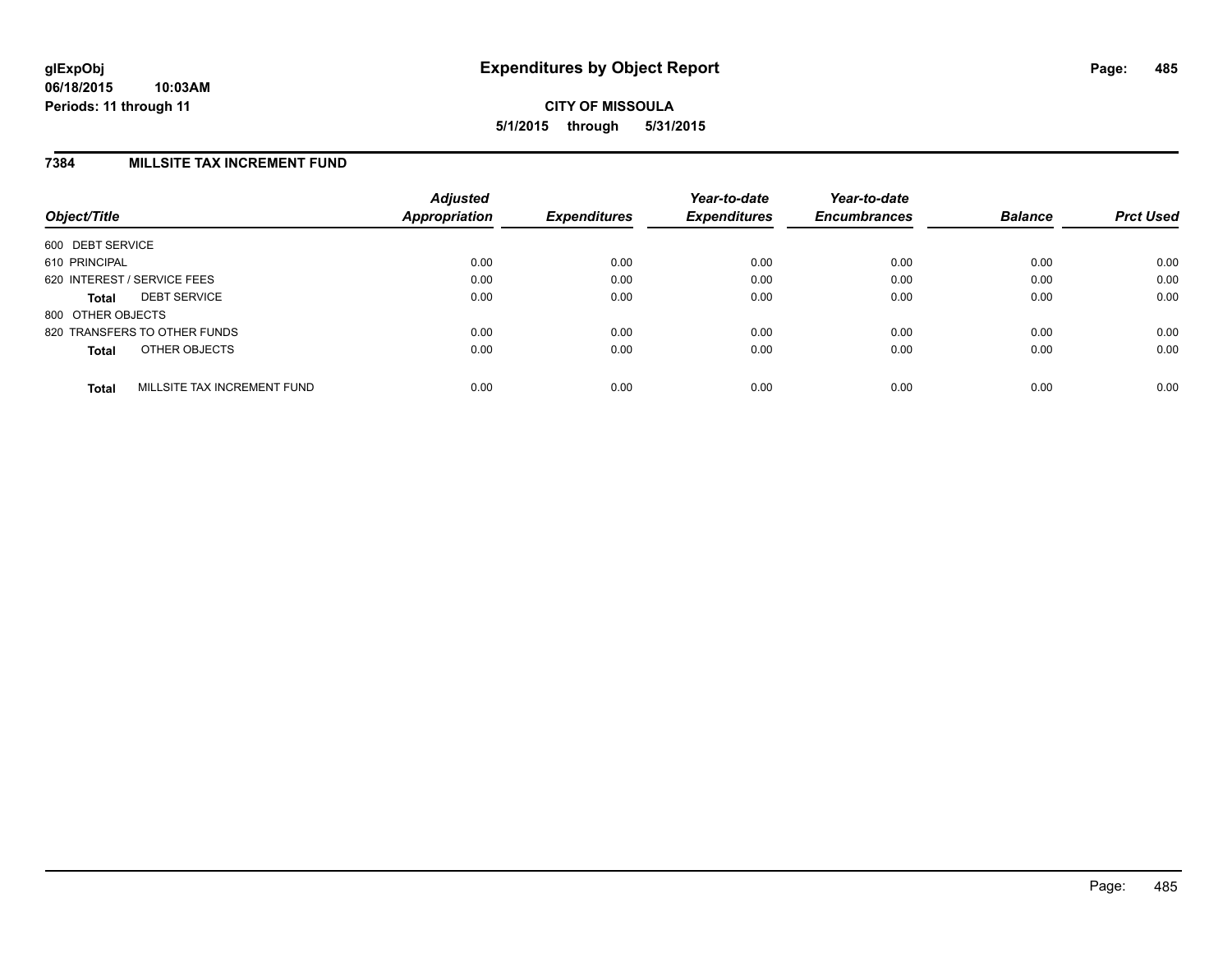#### **7384 MILLSITE TAX INCREMENT FUND**

| Object/Title      |                              | <b>Adjusted</b><br>Appropriation | <b>Expenditures</b> | Year-to-date<br><b>Expenditures</b> | Year-to-date<br><b>Encumbrances</b> | <b>Balance</b> | <b>Prct Used</b> |
|-------------------|------------------------------|----------------------------------|---------------------|-------------------------------------|-------------------------------------|----------------|------------------|
| 600 DEBT SERVICE  |                              |                                  |                     |                                     |                                     |                |                  |
| 610 PRINCIPAL     |                              | 0.00                             | 0.00                | 0.00                                | 0.00                                | 0.00           | 0.00             |
|                   | 620 INTEREST / SERVICE FEES  | 0.00                             | 0.00                | 0.00                                | 0.00                                | 0.00           | 0.00             |
| <b>Total</b>      | <b>DEBT SERVICE</b>          | 0.00                             | 0.00                | 0.00                                | 0.00                                | 0.00           | 0.00             |
| 800 OTHER OBJECTS |                              |                                  |                     |                                     |                                     |                |                  |
|                   | 820 TRANSFERS TO OTHER FUNDS | 0.00                             | 0.00                | 0.00                                | 0.00                                | 0.00           | 0.00             |
| <b>Total</b>      | OTHER OBJECTS                | 0.00                             | 0.00                | 0.00                                | 0.00                                | 0.00           | 0.00             |
| <b>Total</b>      | MILLSITE TAX INCREMENT FUND  | 0.00                             | 0.00                | 0.00                                | 0.00                                | 0.00           | 0.00             |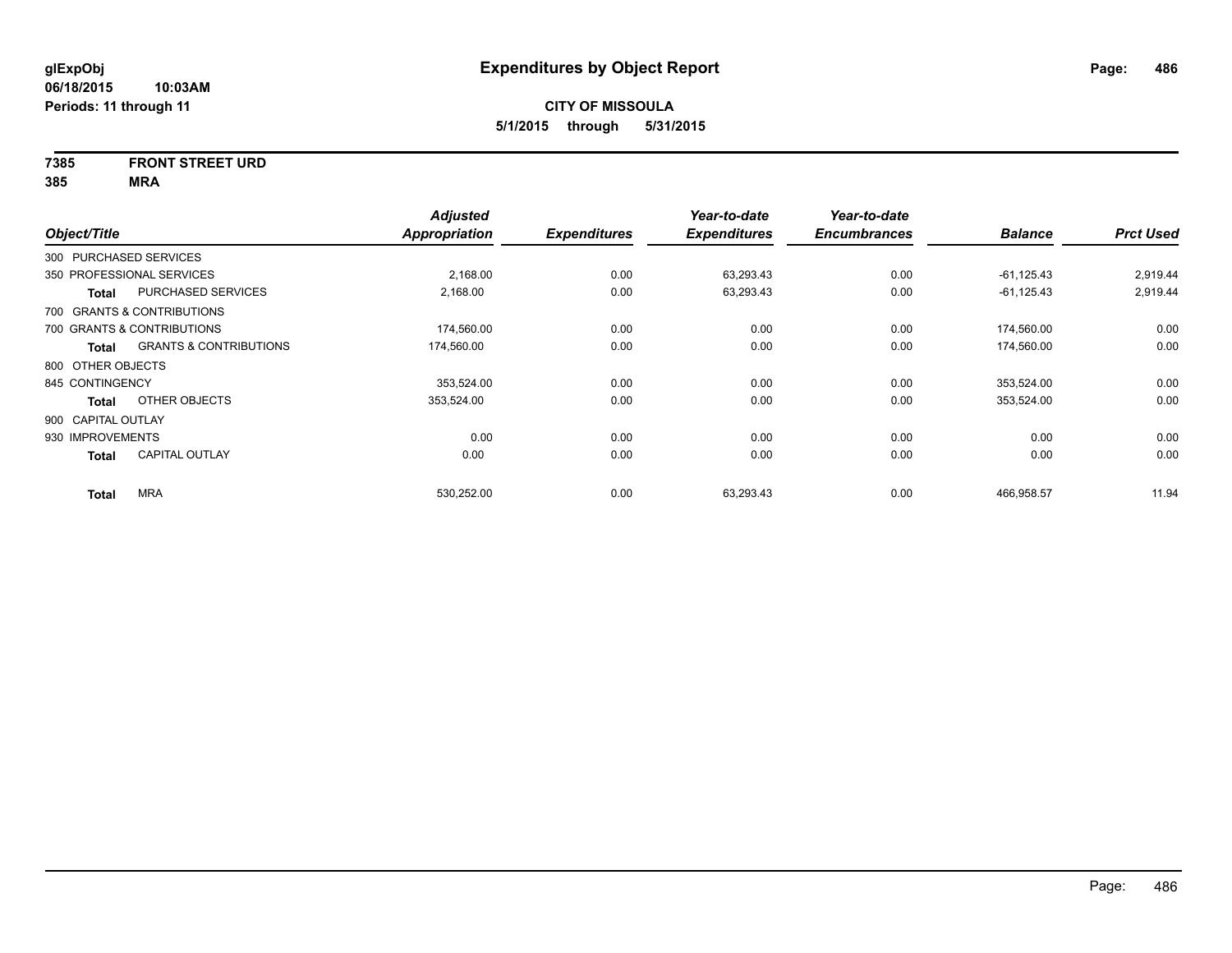# **7385 FRONT STREET URD**

| Object/Title           |                                   | <b>Adjusted</b><br>Appropriation | <b>Expenditures</b> | Year-to-date<br><b>Expenditures</b> | Year-to-date<br><b>Encumbrances</b> | <b>Balance</b> | <b>Prct Used</b> |
|------------------------|-----------------------------------|----------------------------------|---------------------|-------------------------------------|-------------------------------------|----------------|------------------|
| 300 PURCHASED SERVICES |                                   |                                  |                     |                                     |                                     |                |                  |
|                        | 350 PROFESSIONAL SERVICES         | 2,168.00                         | 0.00                | 63,293.43                           | 0.00                                | $-61, 125.43$  | 2,919.44         |
| <b>Total</b>           | PURCHASED SERVICES                | 2,168.00                         | 0.00                | 63,293.43                           | 0.00                                | $-61, 125.43$  | 2,919.44         |
|                        | 700 GRANTS & CONTRIBUTIONS        |                                  |                     |                                     |                                     |                |                  |
|                        | 700 GRANTS & CONTRIBUTIONS        | 174,560.00                       | 0.00                | 0.00                                | 0.00                                | 174,560.00     | 0.00             |
| <b>Total</b>           | <b>GRANTS &amp; CONTRIBUTIONS</b> | 174,560.00                       | 0.00                | 0.00                                | 0.00                                | 174,560.00     | 0.00             |
| 800 OTHER OBJECTS      |                                   |                                  |                     |                                     |                                     |                |                  |
| 845 CONTINGENCY        |                                   | 353,524.00                       | 0.00                | 0.00                                | 0.00                                | 353,524.00     | 0.00             |
| <b>Total</b>           | OTHER OBJECTS                     | 353,524.00                       | 0.00                | 0.00                                | 0.00                                | 353,524.00     | 0.00             |
| 900 CAPITAL OUTLAY     |                                   |                                  |                     |                                     |                                     |                |                  |
| 930 IMPROVEMENTS       |                                   | 0.00                             | 0.00                | 0.00                                | 0.00                                | 0.00           | 0.00             |
| <b>Total</b>           | <b>CAPITAL OUTLAY</b>             | 0.00                             | 0.00                | 0.00                                | 0.00                                | 0.00           | 0.00             |
| <b>Total</b>           | <b>MRA</b>                        | 530,252.00                       | 0.00                | 63,293.43                           | 0.00                                | 466,958.57     | 11.94            |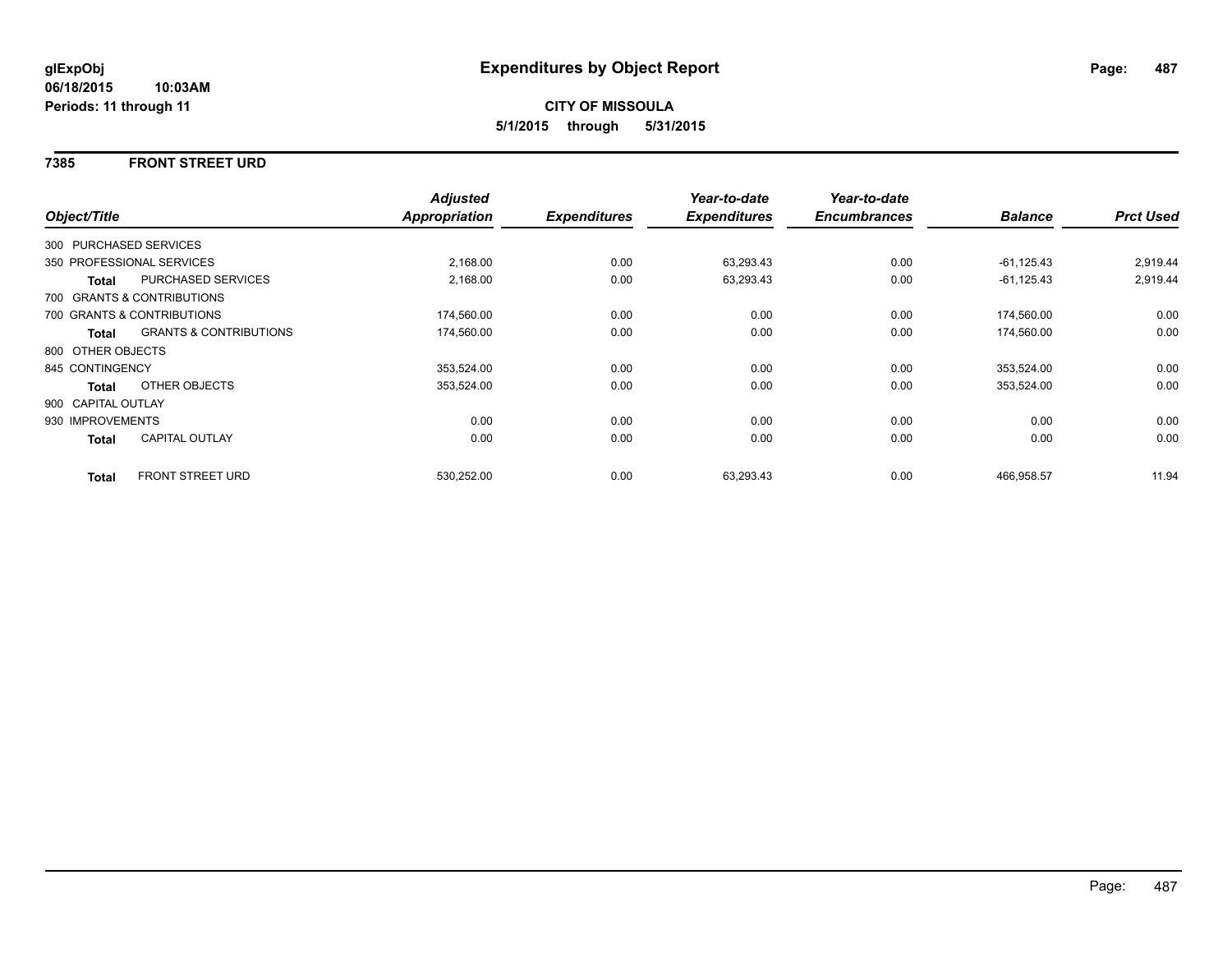#### **7385 FRONT STREET URD**

|                    |                                   | <b>Adjusted</b> |                     | Year-to-date        | Year-to-date        |                |                  |
|--------------------|-----------------------------------|-----------------|---------------------|---------------------|---------------------|----------------|------------------|
| Object/Title       |                                   | Appropriation   | <b>Expenditures</b> | <b>Expenditures</b> | <b>Encumbrances</b> | <b>Balance</b> | <b>Prct Used</b> |
|                    | 300 PURCHASED SERVICES            |                 |                     |                     |                     |                |                  |
|                    | 350 PROFESSIONAL SERVICES         | 2,168.00        | 0.00                | 63,293.43           | 0.00                | $-61, 125.43$  | 2,919.44         |
| <b>Total</b>       | <b>PURCHASED SERVICES</b>         | 2,168.00        | 0.00                | 63,293.43           | 0.00                | $-61, 125.43$  | 2,919.44         |
|                    | 700 GRANTS & CONTRIBUTIONS        |                 |                     |                     |                     |                |                  |
|                    | 700 GRANTS & CONTRIBUTIONS        | 174,560.00      | 0.00                | 0.00                | 0.00                | 174,560.00     | 0.00             |
| <b>Total</b>       | <b>GRANTS &amp; CONTRIBUTIONS</b> | 174,560.00      | 0.00                | 0.00                | 0.00                | 174,560.00     | 0.00             |
| 800 OTHER OBJECTS  |                                   |                 |                     |                     |                     |                |                  |
| 845 CONTINGENCY    |                                   | 353,524.00      | 0.00                | 0.00                | 0.00                | 353,524.00     | 0.00             |
| <b>Total</b>       | OTHER OBJECTS                     | 353,524.00      | 0.00                | 0.00                | 0.00                | 353,524.00     | 0.00             |
| 900 CAPITAL OUTLAY |                                   |                 |                     |                     |                     |                |                  |
| 930 IMPROVEMENTS   |                                   | 0.00            | 0.00                | 0.00                | 0.00                | 0.00           | 0.00             |
| Total              | <b>CAPITAL OUTLAY</b>             | 0.00            | 0.00                | 0.00                | 0.00                | 0.00           | 0.00             |
| <b>Total</b>       | <b>FRONT STREET URD</b>           | 530,252.00      | 0.00                | 63,293.43           | 0.00                | 466,958.57     | 11.94            |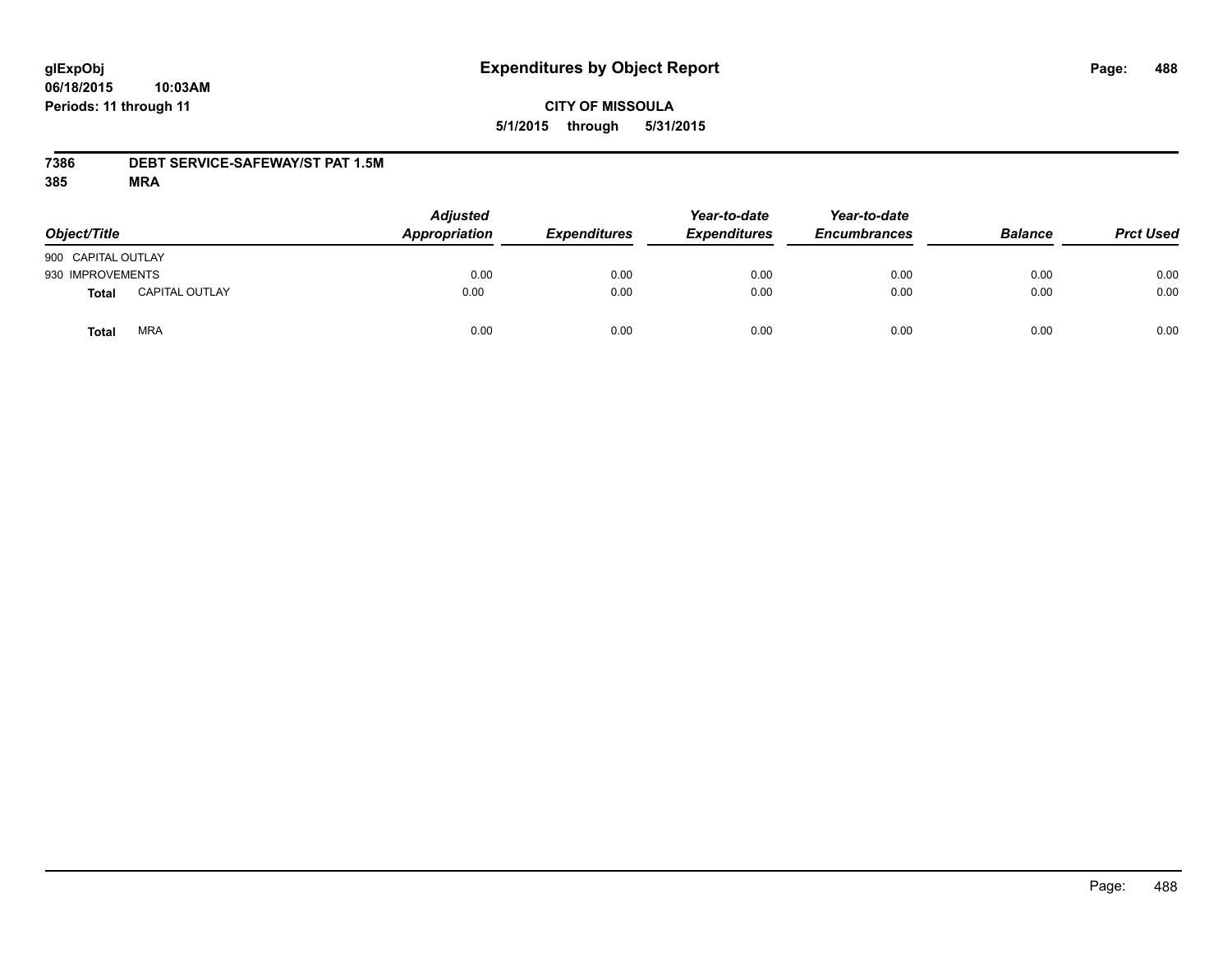# **CITY OF MISSOULA 5/1/2015 through 5/31/2015**

### **7386 DEBT SERVICE-SAFEWAY/ST PAT 1.5M**

| Object/Title       |                       | <b>Adjusted</b><br>Appropriation | <b>Expenditures</b> | Year-to-date<br><b>Expenditures</b> | Year-to-date<br><b>Encumbrances</b> | <b>Balance</b> | <b>Prct Used</b> |
|--------------------|-----------------------|----------------------------------|---------------------|-------------------------------------|-------------------------------------|----------------|------------------|
| 900 CAPITAL OUTLAY |                       |                                  |                     |                                     |                                     |                |                  |
| 930 IMPROVEMENTS   |                       | 0.00                             | 0.00                | 0.00                                | 0.00                                | 0.00           | 0.00             |
| Total              | <b>CAPITAL OUTLAY</b> | 0.00                             | 0.00                | 0.00                                | 0.00                                | 0.00           | 0.00             |
| Total              | <b>MRA</b>            | 0.00                             | 0.00                | 0.00                                | 0.00                                | 0.00           | 0.00             |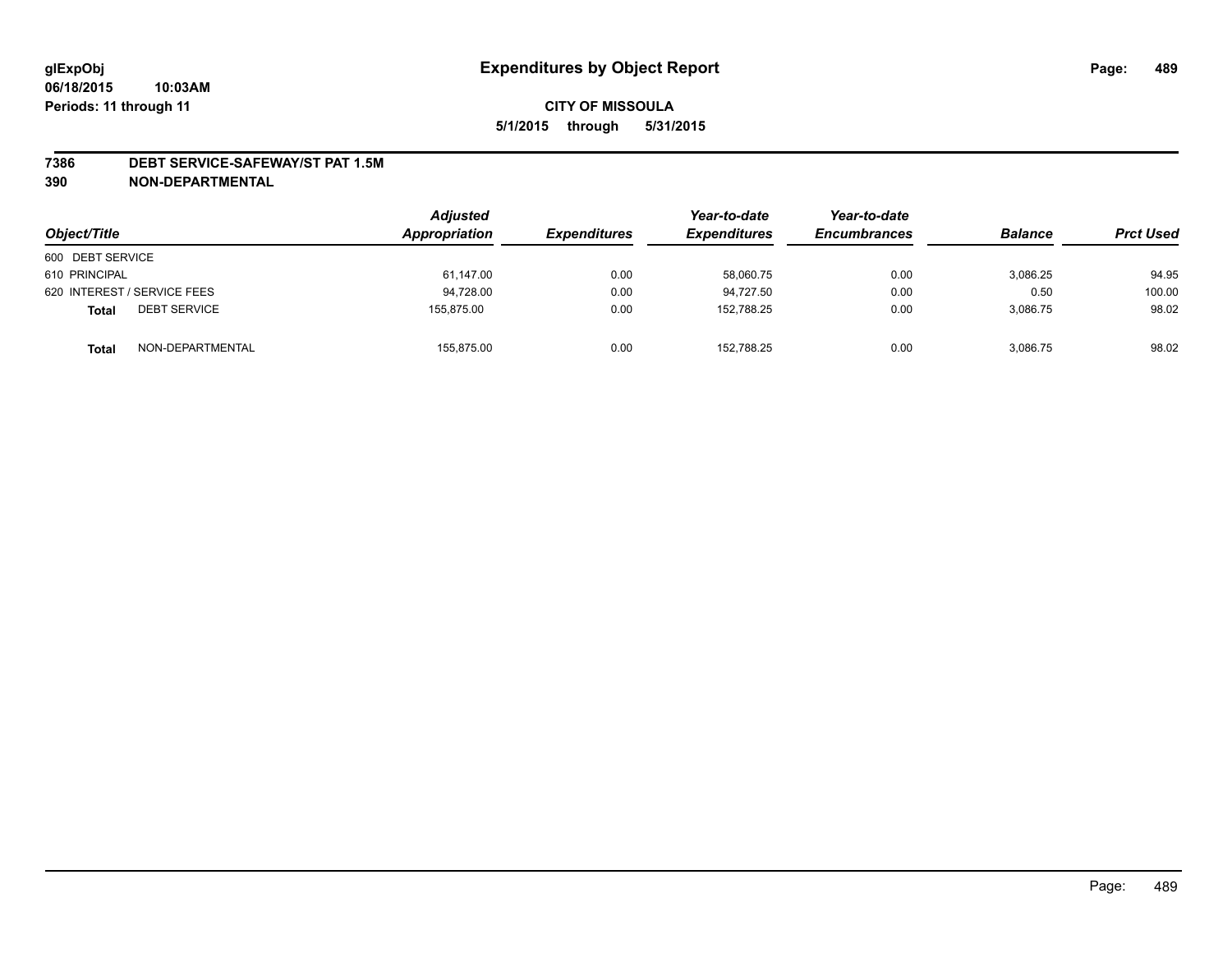#### **7386 DEBT SERVICE-SAFEWAY/ST PAT 1.5M**

**390 NON-DEPARTMENTAL**

| Object/Title                        | <b>Adjusted</b><br>Appropriation | <b>Expenditures</b> | Year-to-date<br><b>Expenditures</b> | Year-to-date<br><b>Encumbrances</b> | <b>Balance</b> | <b>Prct Used</b> |
|-------------------------------------|----------------------------------|---------------------|-------------------------------------|-------------------------------------|----------------|------------------|
| 600 DEBT SERVICE                    |                                  |                     |                                     |                                     |                |                  |
| 610 PRINCIPAL                       | 61,147.00                        | 0.00                | 58.060.75                           | 0.00                                | 3,086.25       | 94.95            |
| 620 INTEREST / SERVICE FEES         | 94.728.00                        | 0.00                | 94.727.50                           | 0.00                                | 0.50           | 100.00           |
| <b>DEBT SERVICE</b><br><b>Total</b> | 155.875.00                       | 0.00                | 152.788.25                          | 0.00                                | 3,086.75       | 98.02            |
| NON-DEPARTMENTAL<br><b>Total</b>    | 155,875.00                       | 0.00                | 152.788.25                          | 0.00                                | 3,086.75       | 98.02            |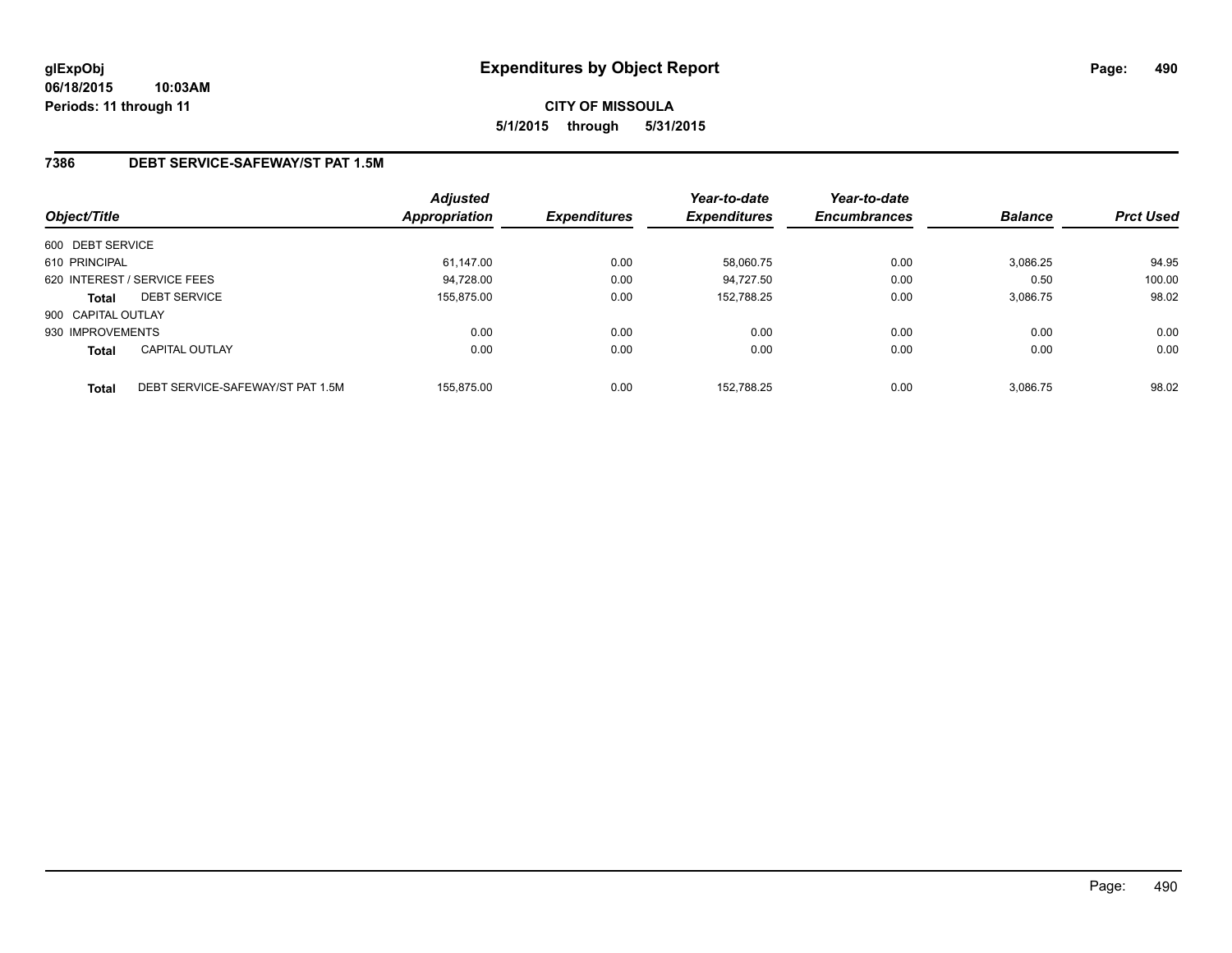# **CITY OF MISSOULA 5/1/2015 through 5/31/2015**

## **7386 DEBT SERVICE-SAFEWAY/ST PAT 1.5M**

| Object/Title       |                                  | Adjusted<br><b>Appropriation</b> | <b>Expenditures</b> | Year-to-date<br><b>Expenditures</b> | Year-to-date<br><b>Encumbrances</b> | <b>Balance</b> | <b>Prct Used</b> |
|--------------------|----------------------------------|----------------------------------|---------------------|-------------------------------------|-------------------------------------|----------------|------------------|
| 600 DEBT SERVICE   |                                  |                                  |                     |                                     |                                     |                |                  |
| 610 PRINCIPAL      |                                  | 61,147.00                        | 0.00                | 58,060.75                           | 0.00                                | 3,086.25       | 94.95            |
|                    | 620 INTEREST / SERVICE FEES      | 94.728.00                        | 0.00                | 94.727.50                           | 0.00                                | 0.50           | 100.00           |
| <b>Total</b>       | <b>DEBT SERVICE</b>              | 155.875.00                       | 0.00                | 152.788.25                          | 0.00                                | 3,086.75       | 98.02            |
| 900 CAPITAL OUTLAY |                                  |                                  |                     |                                     |                                     |                |                  |
| 930 IMPROVEMENTS   |                                  | 0.00                             | 0.00                | 0.00                                | 0.00                                | 0.00           | 0.00             |
| <b>Total</b>       | <b>CAPITAL OUTLAY</b>            | 0.00                             | 0.00                | 0.00                                | 0.00                                | 0.00           | 0.00             |
| <b>Total</b>       | DEBT SERVICE-SAFEWAY/ST PAT 1.5M | 155.875.00                       | 0.00                | 152.788.25                          | 0.00                                | 3,086.75       | 98.02            |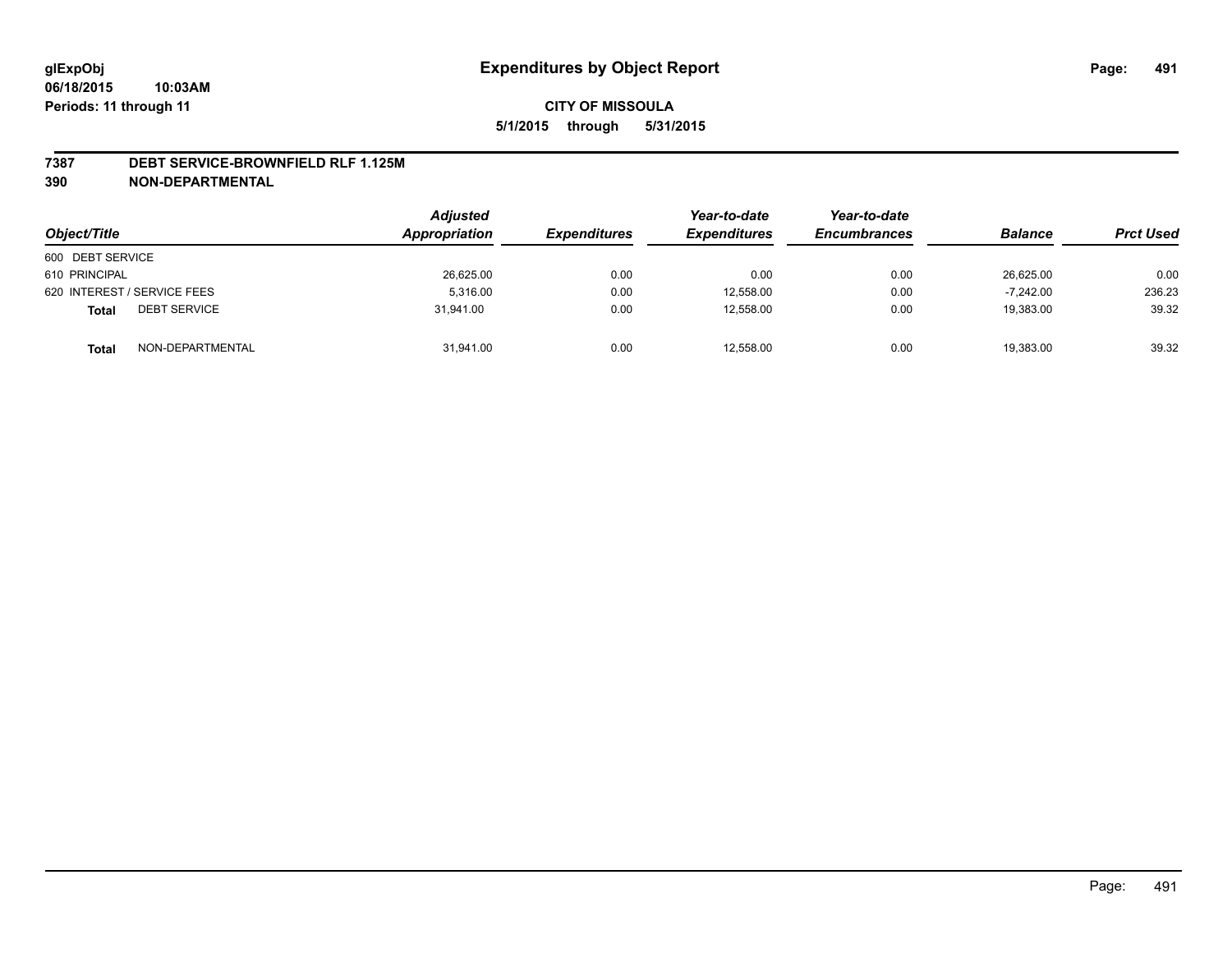#### **7387 DEBT SERVICE-BROWNFIELD RLF 1.125M**

**390 NON-DEPARTMENTAL**

| Object/Title                        | <b>Adjusted</b><br>Appropriation | <i><b>Expenditures</b></i> | Year-to-date<br><b>Expenditures</b> | Year-to-date<br><b>Encumbrances</b> | <b>Balance</b> | <b>Prct Used</b> |
|-------------------------------------|----------------------------------|----------------------------|-------------------------------------|-------------------------------------|----------------|------------------|
| 600 DEBT SERVICE                    |                                  |                            |                                     |                                     |                |                  |
| 610 PRINCIPAL                       | 26,625.00                        | 0.00                       | 0.00                                | 0.00                                | 26.625.00      | 0.00             |
| 620 INTEREST / SERVICE FEES         | 5.316.00                         | 0.00                       | 12,558.00                           | 0.00                                | $-7.242.00$    | 236.23           |
| <b>DEBT SERVICE</b><br><b>Total</b> | 31.941.00                        | 0.00                       | 12,558.00                           | 0.00                                | 19,383.00      | 39.32            |
| NON-DEPARTMENTAL<br><b>Total</b>    | 31,941.00                        | 0.00                       | 12,558.00                           | 0.00                                | 19,383.00      | 39.32            |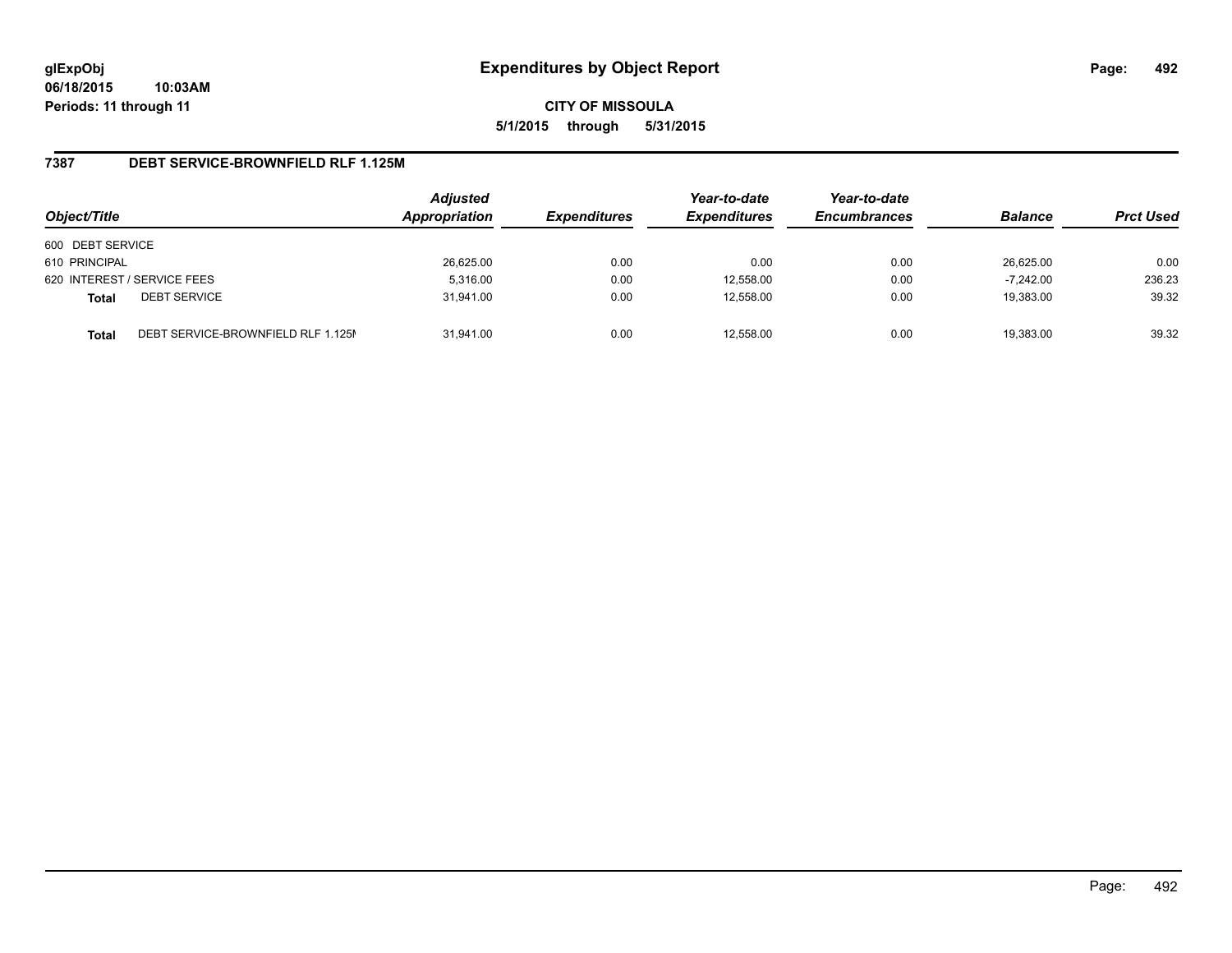**CITY OF MISSOULA 5/1/2015 through 5/31/2015**

### **7387 DEBT SERVICE-BROWNFIELD RLF 1.125M**

| Object/Title                                       | <b>Adjusted</b><br>Appropriation | <b>Expenditures</b> | Year-to-date<br><b>Expenditures</b> | Year-to-date<br><b>Encumbrances</b> | <b>Balance</b> | <b>Prct Used</b> |
|----------------------------------------------------|----------------------------------|---------------------|-------------------------------------|-------------------------------------|----------------|------------------|
| 600 DEBT SERVICE                                   |                                  |                     |                                     |                                     |                |                  |
| 610 PRINCIPAL                                      | 26,625.00                        | 0.00                | 0.00                                | 0.00                                | 26,625.00      | 0.00             |
| 620 INTEREST / SERVICE FEES                        | 5,316.00                         | 0.00                | 12,558.00                           | 0.00                                | $-7.242.00$    | 236.23           |
| <b>DEBT SERVICE</b><br><b>Total</b>                | 31.941.00                        | 0.00                | 12.558.00                           | 0.00                                | 19,383.00      | 39.32            |
| DEBT SERVICE-BROWNFIELD RLF 1.125M<br><b>Total</b> | 31.941.00                        | 0.00                | 12.558.00                           | 0.00                                | 19.383.00      | 39.32            |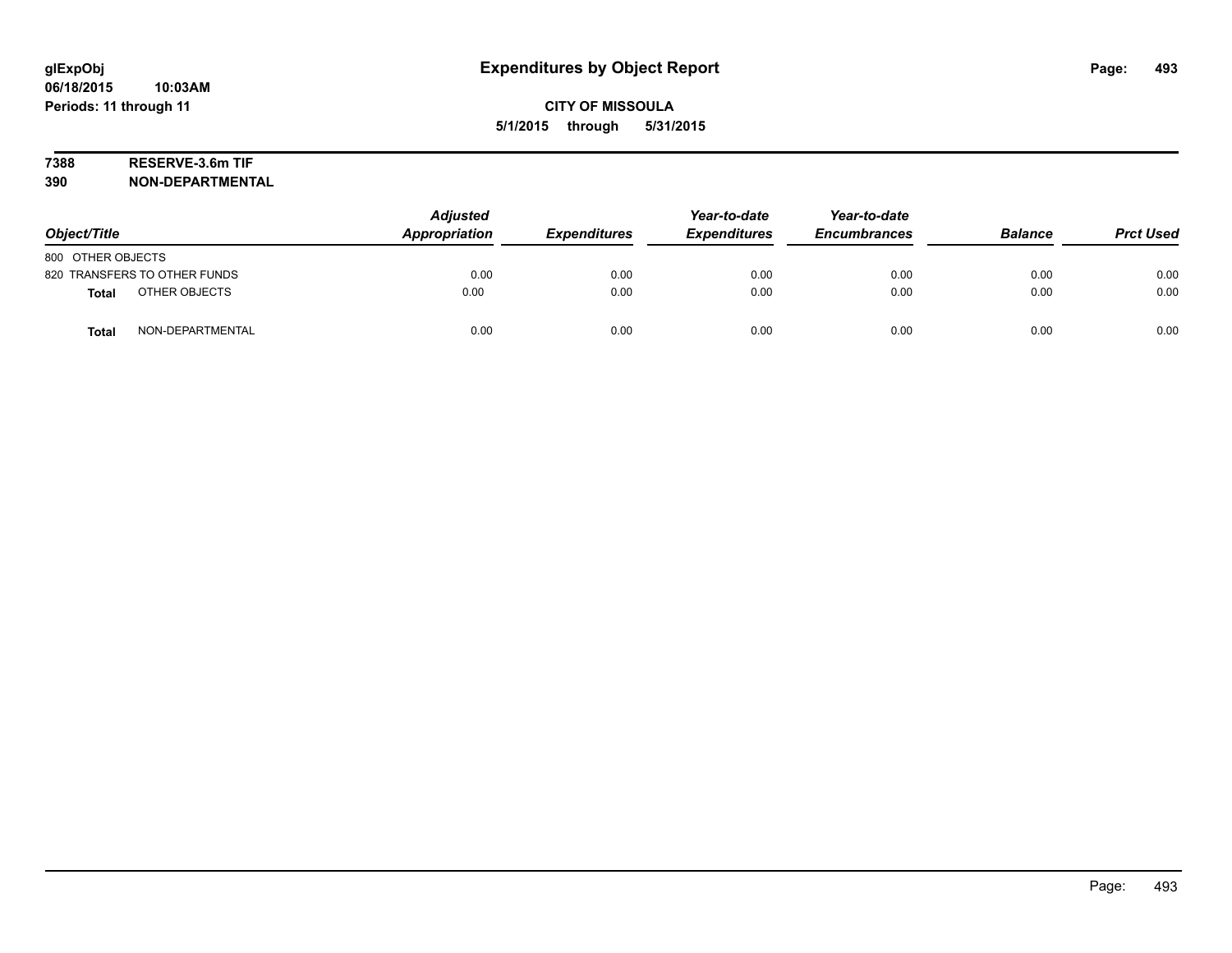# **7388 RESERVE-3.6m TIF**

**390 NON-DEPARTMENTAL**

| Object/Title                     | <b>Adjusted</b><br>Appropriation | <b>Expenditures</b> | Year-to-date<br><b>Expenditures</b> | Year-to-date<br><b>Encumbrances</b> | <b>Balance</b> | <b>Prct Used</b> |
|----------------------------------|----------------------------------|---------------------|-------------------------------------|-------------------------------------|----------------|------------------|
| 800 OTHER OBJECTS                |                                  |                     |                                     |                                     |                |                  |
| 820 TRANSFERS TO OTHER FUNDS     | 0.00                             | 0.00                | 0.00                                | 0.00                                | 0.00           | 0.00             |
| OTHER OBJECTS<br><b>Total</b>    | 0.00                             | 0.00                | 0.00                                | 0.00                                | 0.00           | 0.00             |
| NON-DEPARTMENTAL<br><b>Total</b> | 0.00                             | 0.00                | 0.00                                | 0.00                                | 0.00           | 0.00             |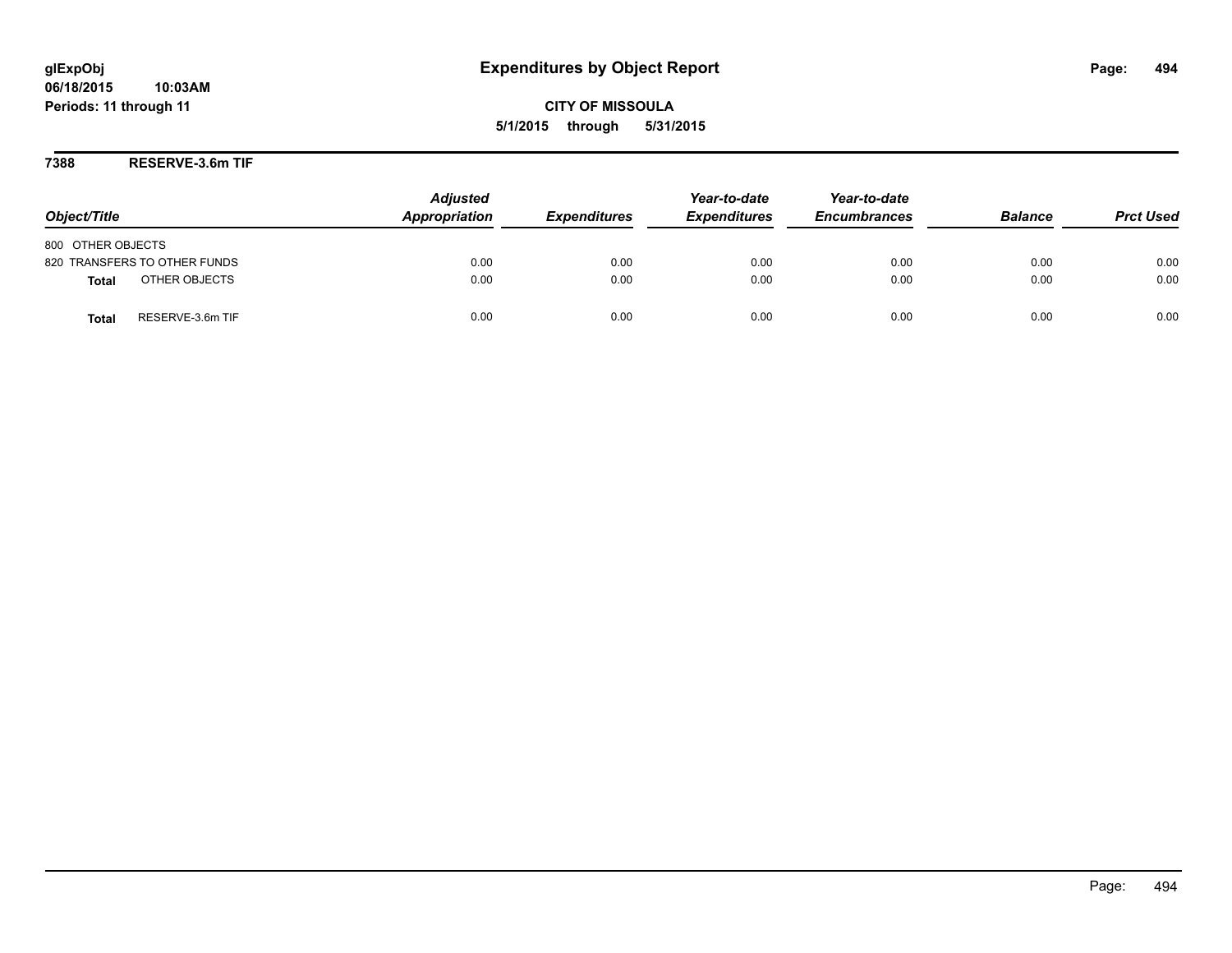**CITY OF MISSOULA 5/1/2015 through 5/31/2015**

**7388 RESERVE-3.6m TIF**

| Object/Title                     | <b>Adjusted</b><br>Appropriation | <b>Expenditures</b> | Year-to-date<br><b>Expenditures</b> | Year-to-date<br><b>Encumbrances</b> | <b>Balance</b> | <b>Prct Used</b> |
|----------------------------------|----------------------------------|---------------------|-------------------------------------|-------------------------------------|----------------|------------------|
| 800 OTHER OBJECTS                |                                  |                     |                                     |                                     |                |                  |
| 820 TRANSFERS TO OTHER FUNDS     | 0.00                             | 0.00                | 0.00                                | 0.00                                | 0.00           | 0.00             |
| OTHER OBJECTS<br><b>Total</b>    | 0.00                             | 0.00                | 0.00                                | 0.00                                | 0.00           | 0.00             |
| RESERVE-3.6m TIF<br><b>Total</b> | 0.00                             | 0.00                | 0.00                                | 0.00                                | 0.00           | 0.00             |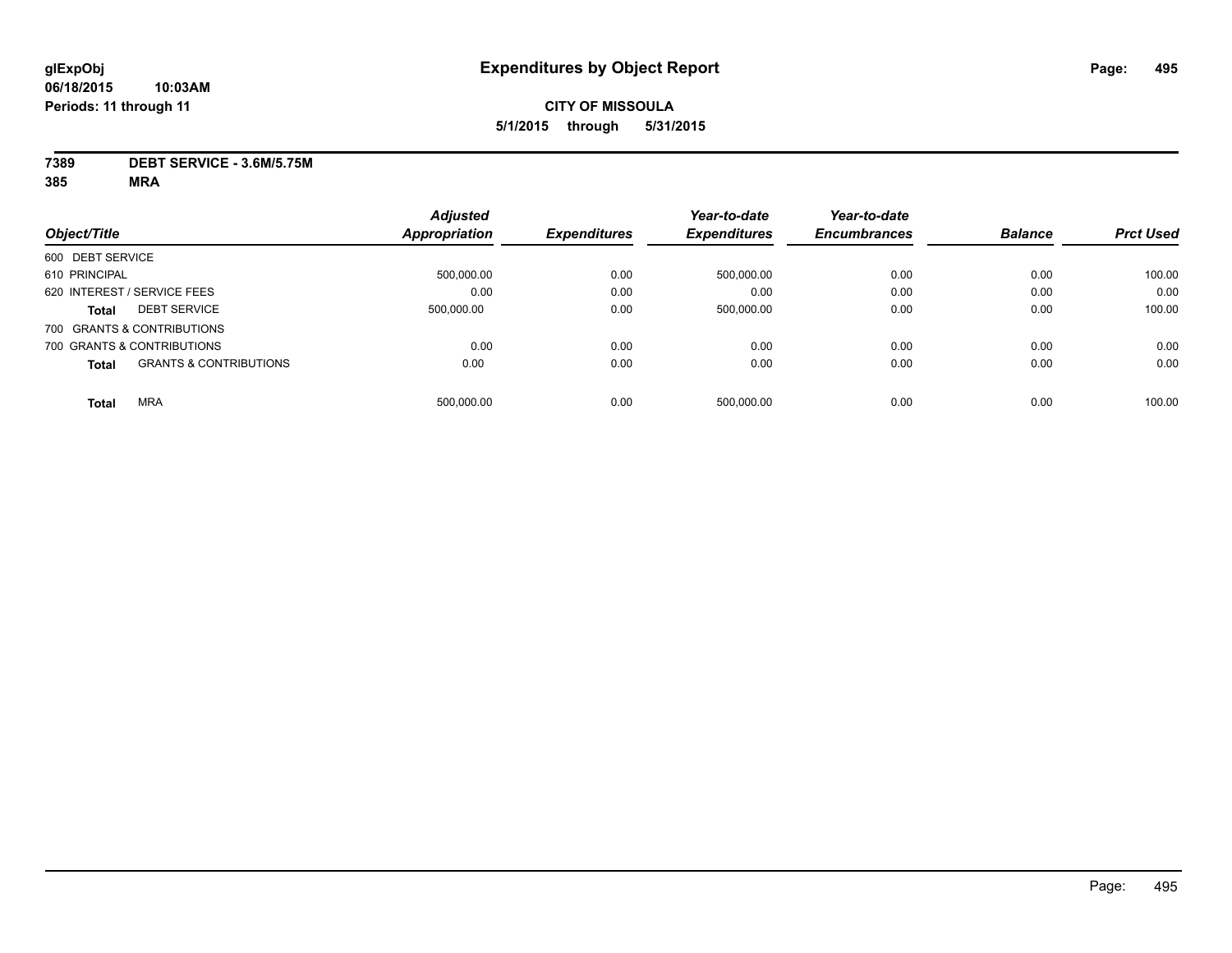**7389 DEBT SERVICE - 3.6M/5.75M**

|                                                   | <b>Adjusted</b>      |                     | Year-to-date        | Year-to-date        |                |                  |
|---------------------------------------------------|----------------------|---------------------|---------------------|---------------------|----------------|------------------|
| Object/Title                                      | <b>Appropriation</b> | <b>Expenditures</b> | <b>Expenditures</b> | <b>Encumbrances</b> | <b>Balance</b> | <b>Prct Used</b> |
| 600 DEBT SERVICE                                  |                      |                     |                     |                     |                |                  |
| 610 PRINCIPAL                                     | 500,000.00           | 0.00                | 500,000.00          | 0.00                | 0.00           | 100.00           |
| 620 INTEREST / SERVICE FEES                       | 0.00                 | 0.00                | 0.00                | 0.00                | 0.00           | 0.00             |
| <b>DEBT SERVICE</b><br><b>Total</b>               | 500.000.00           | 0.00                | 500,000.00          | 0.00                | 0.00           | 100.00           |
| 700 GRANTS & CONTRIBUTIONS                        |                      |                     |                     |                     |                |                  |
| 700 GRANTS & CONTRIBUTIONS                        | 0.00                 | 0.00                | 0.00                | 0.00                | 0.00           | 0.00             |
| <b>GRANTS &amp; CONTRIBUTIONS</b><br><b>Total</b> | 0.00                 | 0.00                | 0.00                | 0.00                | 0.00           | 0.00             |
| <b>MRA</b><br><b>Total</b>                        | 500.000.00           | 0.00                | 500.000.00          | 0.00                | 0.00           | 100.00           |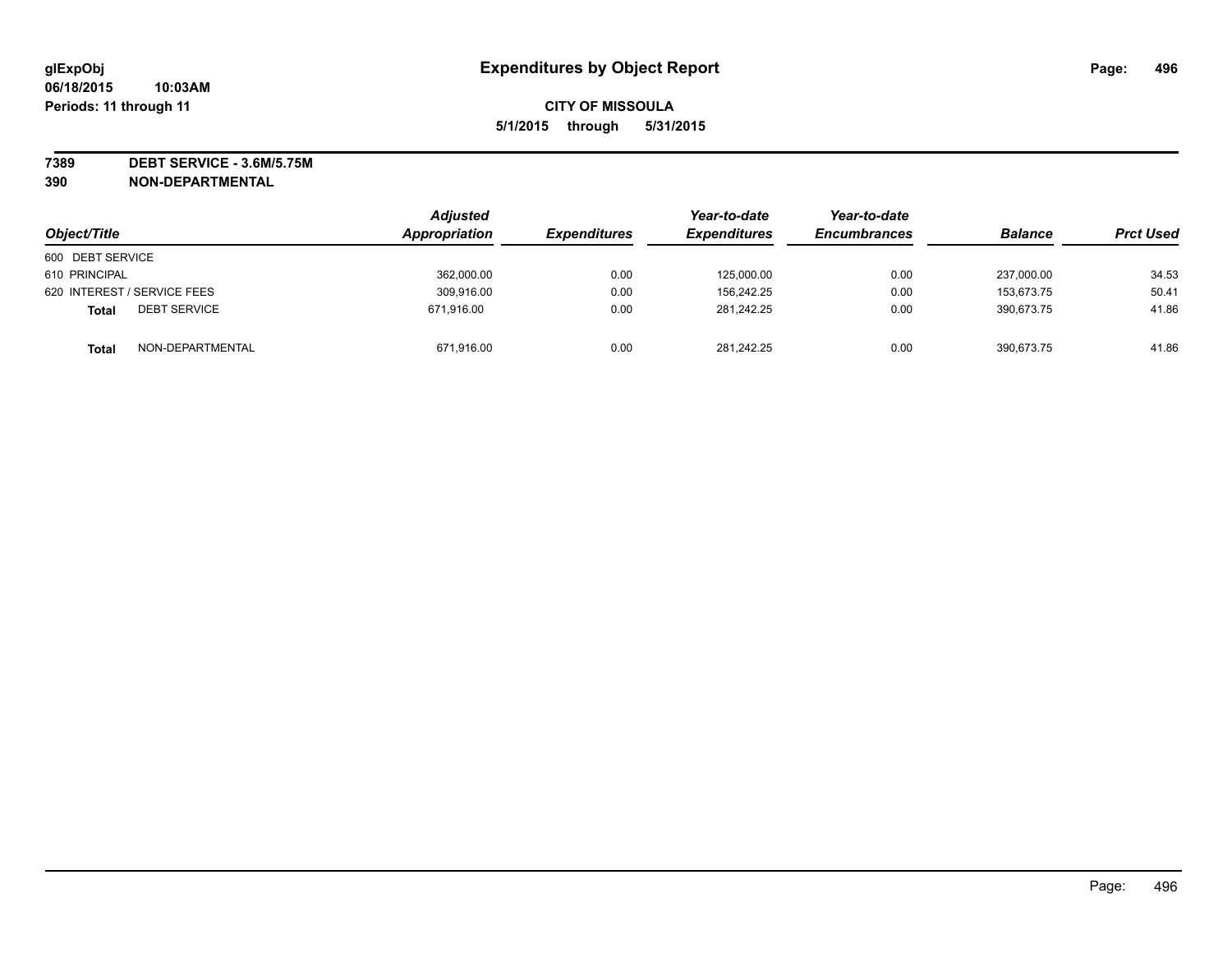**7389 DEBT SERVICE - 3.6M/5.75M**

**390 NON-DEPARTMENTAL**

|                                     | <b>Adjusted</b> |                     | Year-to-date        | Year-to-date        | <b>Balance</b> |                  |
|-------------------------------------|-----------------|---------------------|---------------------|---------------------|----------------|------------------|
| Object/Title                        | Appropriation   | <b>Expenditures</b> | <b>Expenditures</b> | <b>Encumbrances</b> |                | <b>Prct Used</b> |
| 600 DEBT SERVICE                    |                 |                     |                     |                     |                |                  |
| 610 PRINCIPAL                       | 362,000.00      | 0.00                | 125,000.00          | 0.00                | 237.000.00     | 34.53            |
| 620 INTEREST / SERVICE FEES         | 309,916.00      | 0.00                | 156,242.25          | 0.00                | 153.673.75     | 50.41            |
| <b>DEBT SERVICE</b><br><b>Total</b> | 671.916.00      | 0.00                | 281,242.25          | 0.00                | 390,673.75     | 41.86            |
| NON-DEPARTMENTAL<br><b>Total</b>    | 671,916.00      | 0.00                | 281.242.25          | 0.00                | 390.673.75     | 41.86            |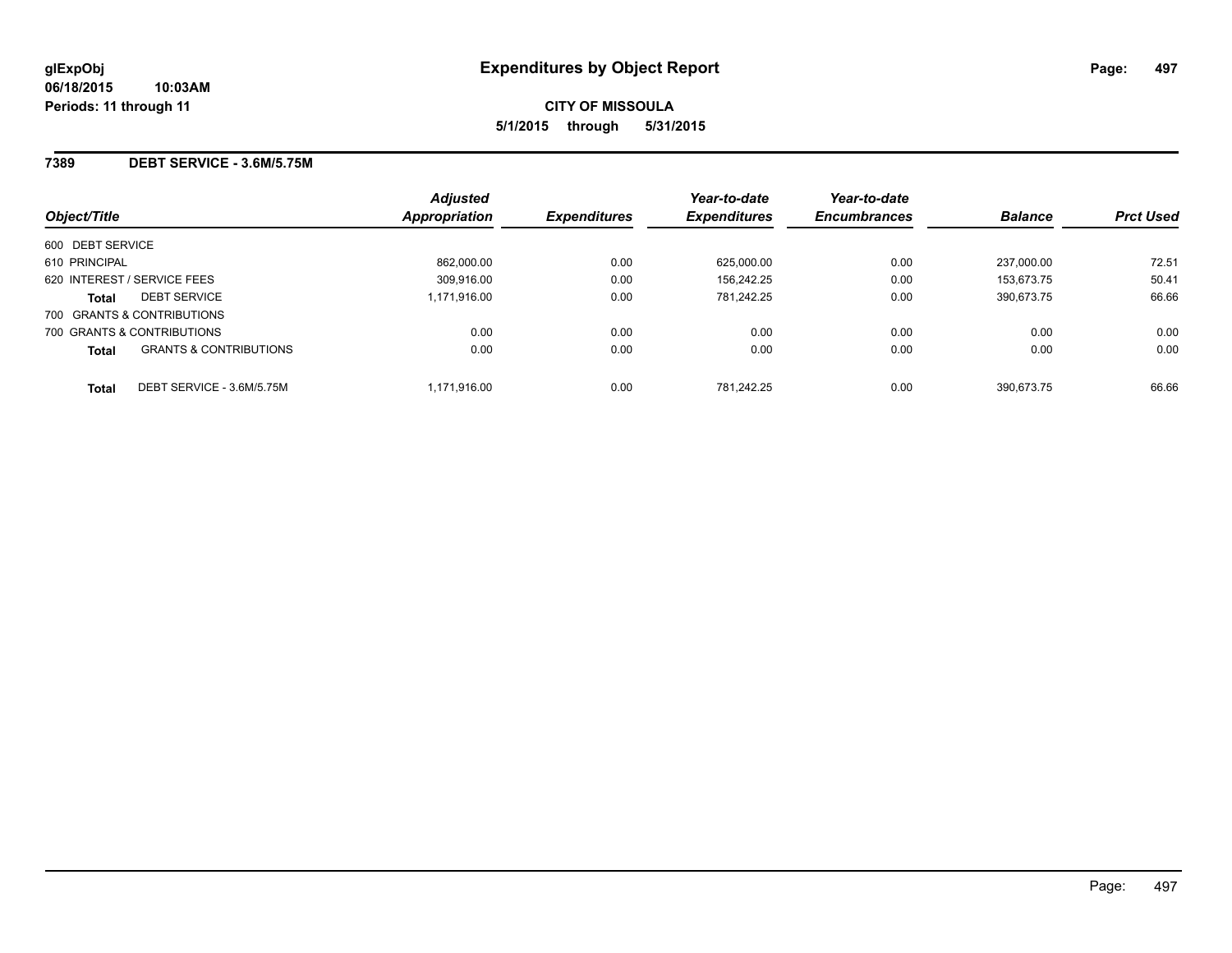#### **7389 DEBT SERVICE - 3.6M/5.75M**

| Object/Title     |                                   | <b>Adjusted</b><br><b>Appropriation</b> | <b>Expenditures</b> | Year-to-date<br><b>Expenditures</b> | Year-to-date<br><b>Encumbrances</b> | <b>Balance</b> | <b>Prct Used</b> |
|------------------|-----------------------------------|-----------------------------------------|---------------------|-------------------------------------|-------------------------------------|----------------|------------------|
| 600 DEBT SERVICE |                                   |                                         |                     |                                     |                                     |                |                  |
| 610 PRINCIPAL    |                                   | 862.000.00                              | 0.00                | 625.000.00                          | 0.00                                | 237.000.00     | 72.51            |
|                  | 620 INTEREST / SERVICE FEES       | 309.916.00                              | 0.00                | 156.242.25                          | 0.00                                | 153.673.75     | 50.41            |
| <b>Total</b>     | <b>DEBT SERVICE</b>               | 1,171,916.00                            | 0.00                | 781.242.25                          | 0.00                                | 390.673.75     | 66.66            |
|                  | 700 GRANTS & CONTRIBUTIONS        |                                         |                     |                                     |                                     |                |                  |
|                  | 700 GRANTS & CONTRIBUTIONS        | 0.00                                    | 0.00                | 0.00                                | 0.00                                | 0.00           | 0.00             |
| <b>Total</b>     | <b>GRANTS &amp; CONTRIBUTIONS</b> | 0.00                                    | 0.00                | 0.00                                | 0.00                                | 0.00           | 0.00             |
| <b>Total</b>     | DEBT SERVICE - 3.6M/5.75M         | 1.171.916.00                            | 0.00                | 781.242.25                          | 0.00                                | 390.673.75     | 66.66            |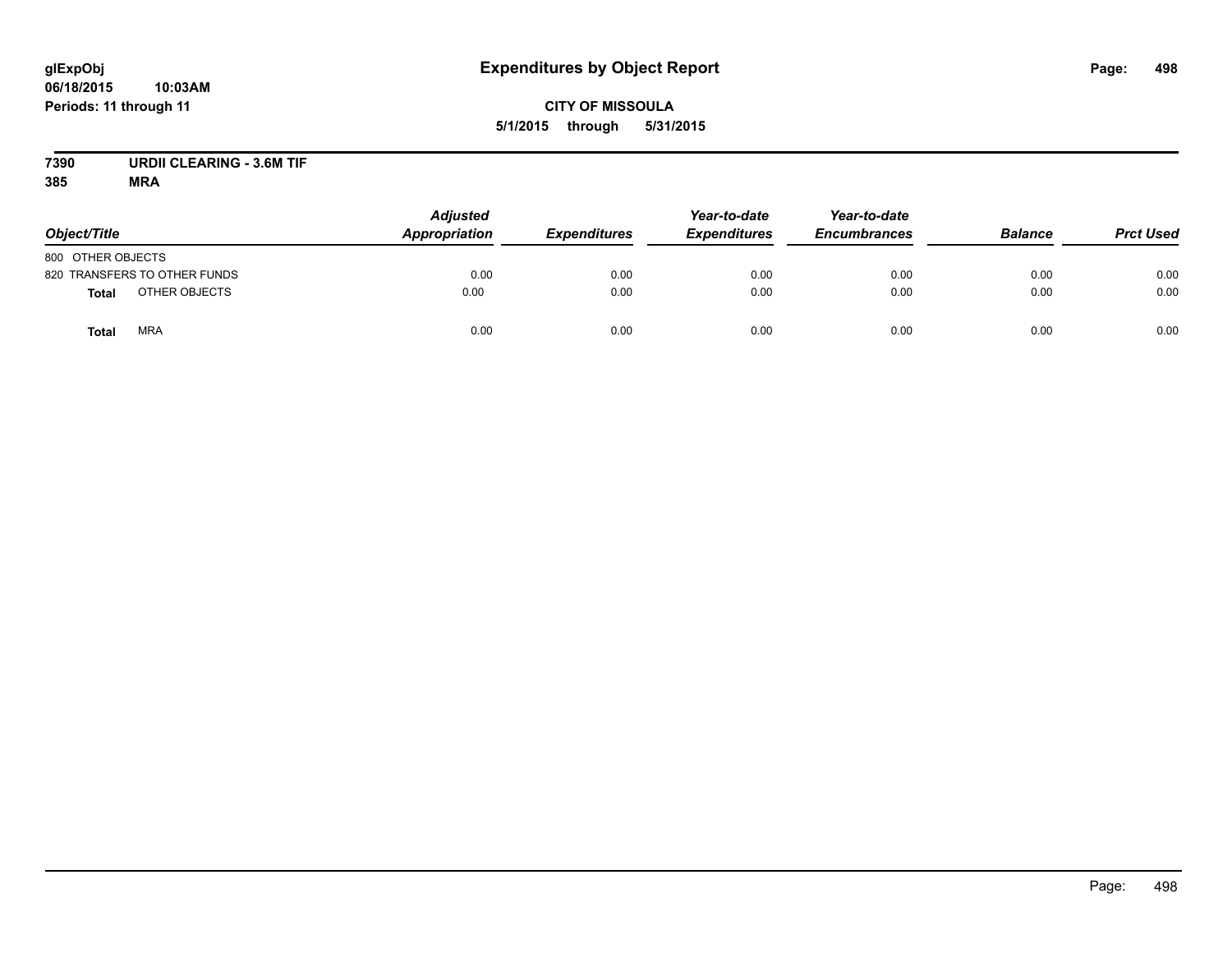# **CITY OF MISSOULA 5/1/2015 through 5/31/2015**

# **7390 URDII CLEARING - 3.6M TIF**

| Object/Title                  | <b>Adjusted</b><br><b>Appropriation</b> | <b>Expenditures</b> | Year-to-date<br><b>Expenditures</b> | Year-to-date<br><b>Encumbrances</b> | <b>Balance</b> | <b>Prct Used</b> |
|-------------------------------|-----------------------------------------|---------------------|-------------------------------------|-------------------------------------|----------------|------------------|
| 800 OTHER OBJECTS             |                                         |                     |                                     |                                     |                |                  |
| 820 TRANSFERS TO OTHER FUNDS  | 0.00                                    | 0.00                | 0.00                                | 0.00                                | 0.00           | 0.00             |
| OTHER OBJECTS<br><b>Total</b> | 0.00                                    | 0.00                | 0.00                                | 0.00                                | 0.00           | 0.00             |
| <b>MRA</b><br><b>Total</b>    | 0.00                                    | 0.00                | 0.00                                | 0.00                                | 0.00           | 0.00             |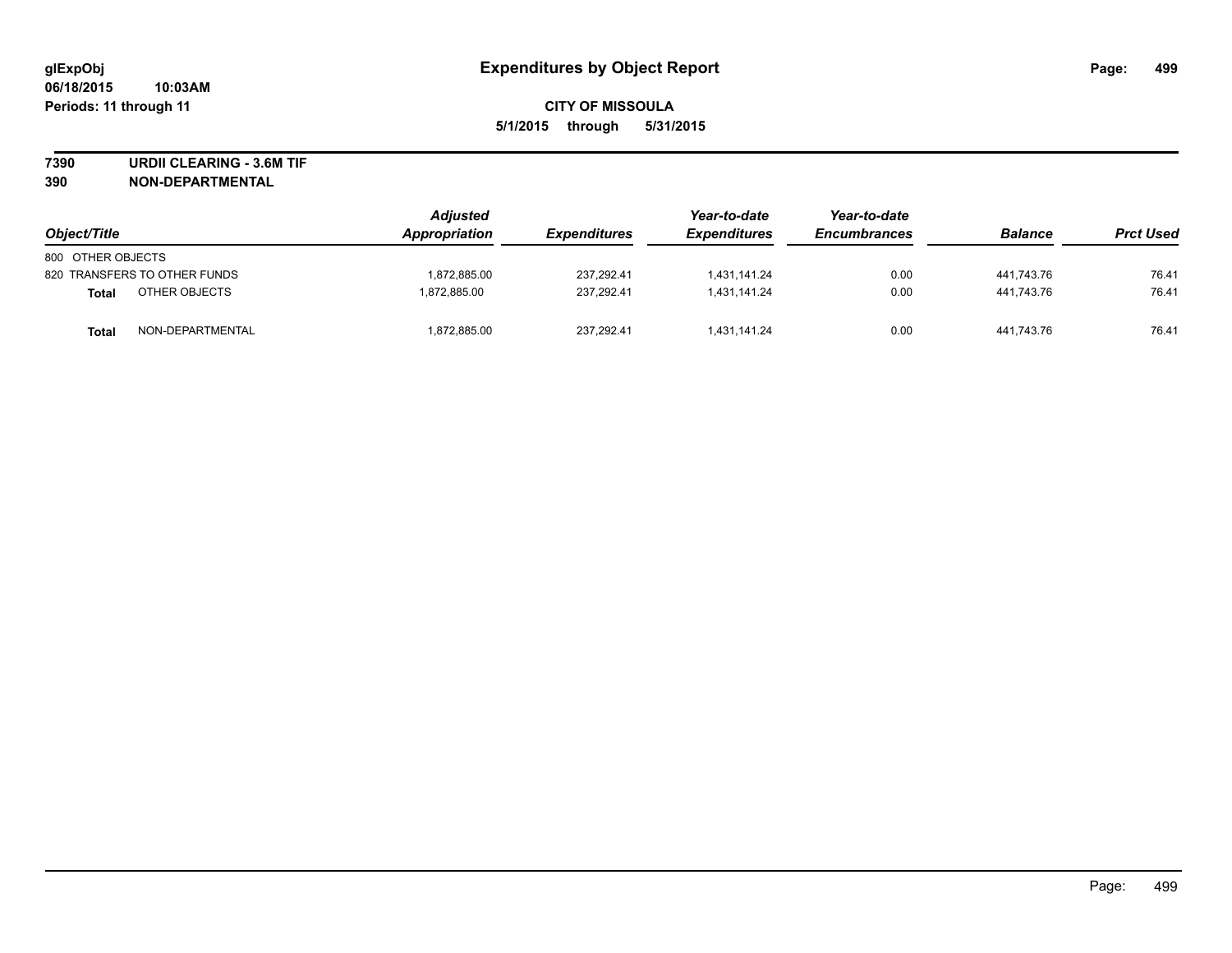**7390 URDII CLEARING - 3.6M TIF**

**390 NON-DEPARTMENTAL**

| Object/Title      |                              | <b>Adjusted</b><br>Appropriation | <b>Expenditures</b> | Year-to-date<br><b>Expenditures</b> | Year-to-date<br><b>Encumbrances</b> | <b>Balance</b> | <b>Prct Used</b> |
|-------------------|------------------------------|----------------------------------|---------------------|-------------------------------------|-------------------------------------|----------------|------------------|
| 800 OTHER OBJECTS |                              |                                  |                     |                                     |                                     |                |                  |
|                   | 820 TRANSFERS TO OTHER FUNDS | 1.872.885.00                     | 237.292.41          | 1,431,141.24                        | 0.00                                | 441.743.76     | 76.41            |
| <b>Total</b>      | OTHER OBJECTS                | 1.872.885.00                     | 237.292.41          | 1.431.141.24                        | 0.00                                | 441.743.76     | 76.41            |
| <b>Total</b>      | NON-DEPARTMENTAL             | 1.872.885.00                     | 237.292.41          | 1.431.141.24                        | 0.00                                | 441.743.76     | 76.41            |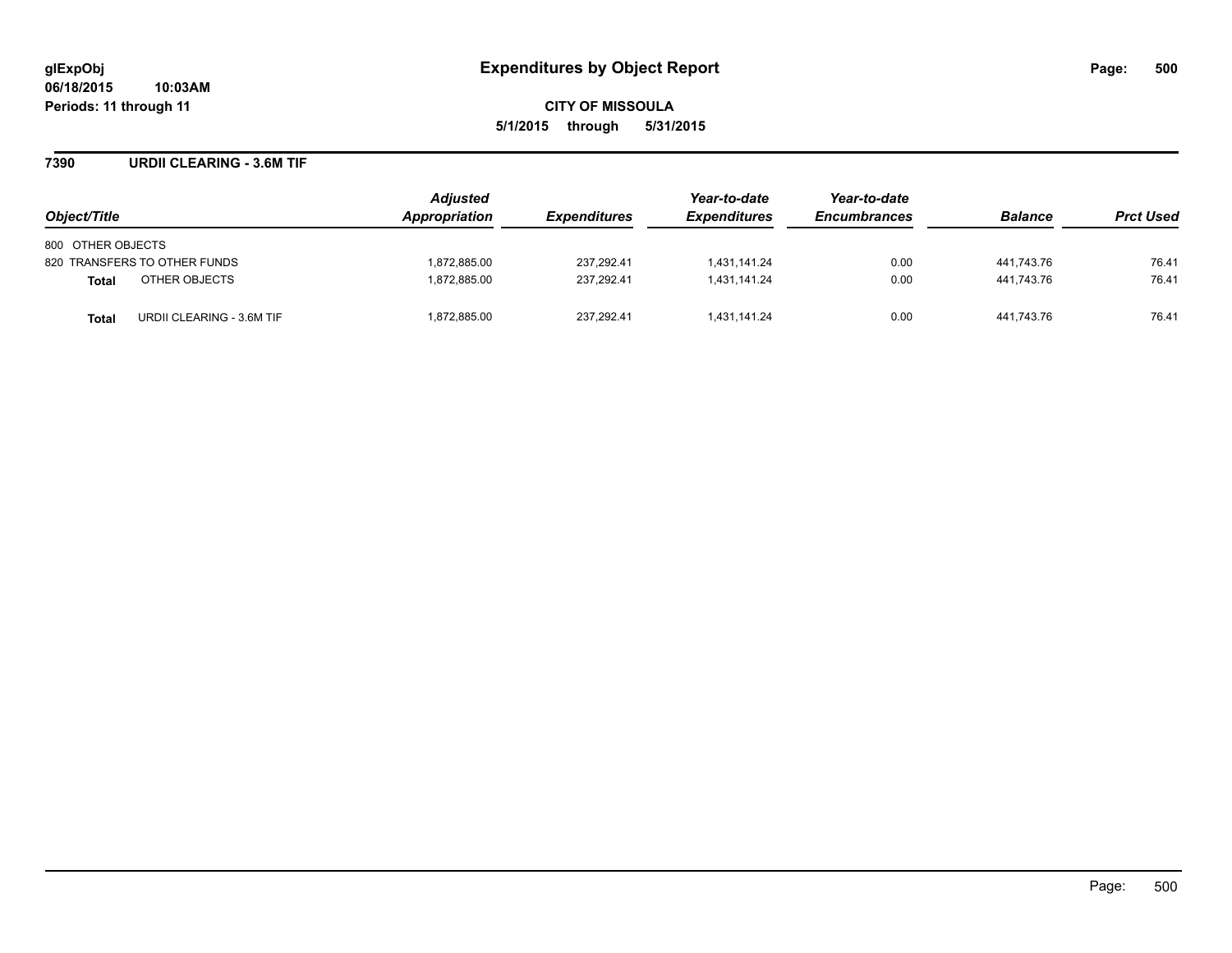**7390 URDII CLEARING - 3.6M TIF**

| Object/Title                       | Adjusted<br>Appropriation | <b>Expenditures</b> | Year-to-date<br><b>Expenditures</b> | Year-to-date<br><b>Encumbrances</b> | <b>Balance</b> | <b>Prct Used</b> |
|------------------------------------|---------------------------|---------------------|-------------------------------------|-------------------------------------|----------------|------------------|
| 800 OTHER OBJECTS                  |                           |                     |                                     |                                     |                |                  |
| 820 TRANSFERS TO OTHER FUNDS       | 1,872,885.00              | 237.292.41          | 1,431,141.24                        | 0.00                                | 441,743.76     | 76.41            |
| OTHER OBJECTS<br><b>Total</b>      | 1,872,885.00              | 237.292.41          | 1,431,141.24                        | 0.00                                | 441.743.76     | 76.41            |
| URDII CLEARING - 3.6M TIF<br>Total | 1,872,885.00              | 237,292.41          | 1,431,141.24                        | 0.00                                | 441,743.76     | 76.41            |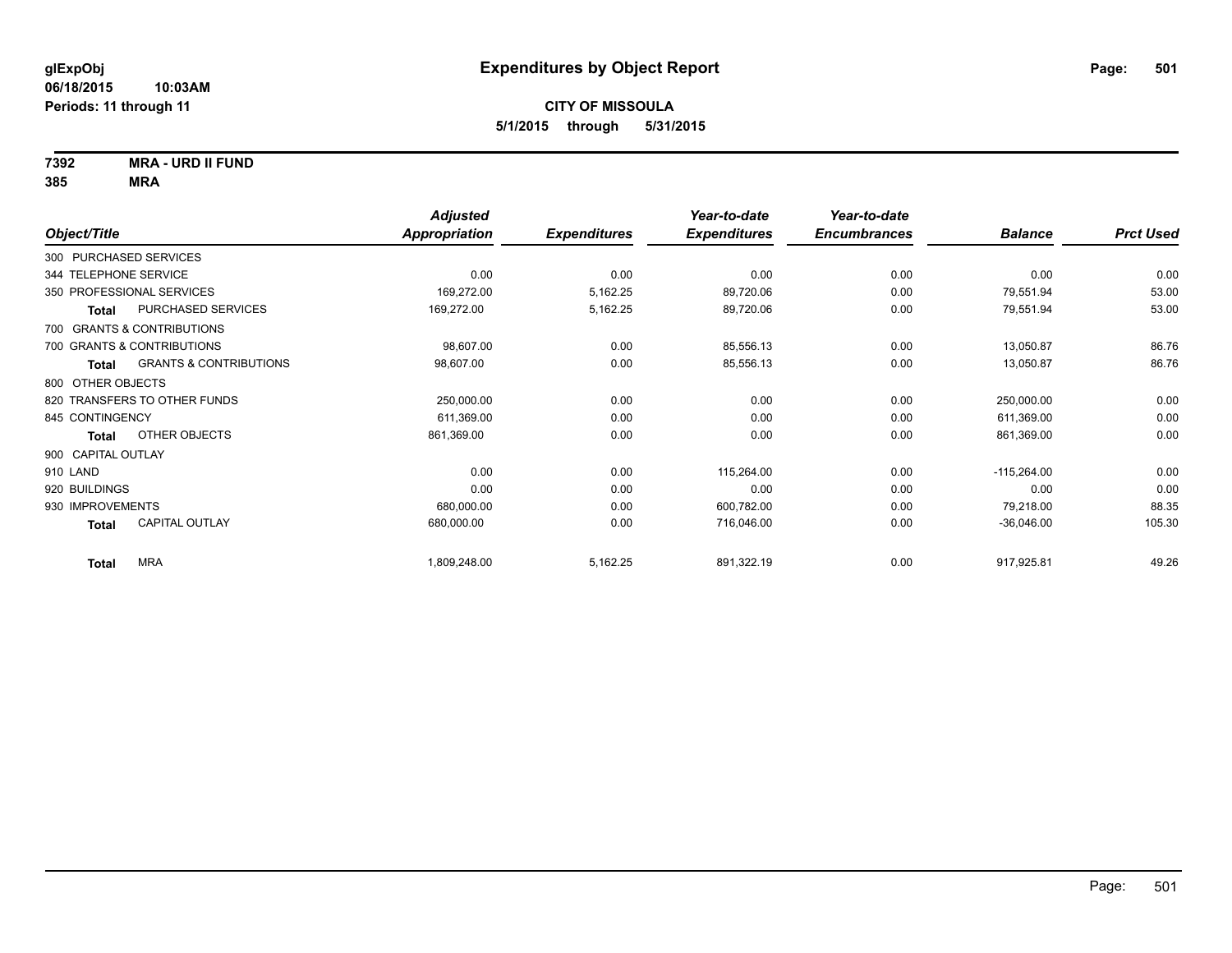**7392 MRA - URD II FUND**

|                        |                                   | <b>Adjusted</b>      |                     | Year-to-date        | Year-to-date        |                |                  |
|------------------------|-----------------------------------|----------------------|---------------------|---------------------|---------------------|----------------|------------------|
| Object/Title           |                                   | <b>Appropriation</b> | <b>Expenditures</b> | <b>Expenditures</b> | <b>Encumbrances</b> | <b>Balance</b> | <b>Prct Used</b> |
| 300 PURCHASED SERVICES |                                   |                      |                     |                     |                     |                |                  |
| 344 TELEPHONE SERVICE  |                                   | 0.00                 | 0.00                | 0.00                | 0.00                | 0.00           | 0.00             |
|                        | 350 PROFESSIONAL SERVICES         | 169,272.00           | 5,162.25            | 89,720.06           | 0.00                | 79,551.94      | 53.00            |
| <b>Total</b>           | PURCHASED SERVICES                | 169,272.00           | 5,162.25            | 89,720.06           | 0.00                | 79,551.94      | 53.00            |
|                        | 700 GRANTS & CONTRIBUTIONS        |                      |                     |                     |                     |                |                  |
|                        | 700 GRANTS & CONTRIBUTIONS        | 98,607.00            | 0.00                | 85,556.13           | 0.00                | 13,050.87      | 86.76            |
| Total                  | <b>GRANTS &amp; CONTRIBUTIONS</b> | 98,607.00            | 0.00                | 85,556.13           | 0.00                | 13,050.87      | 86.76            |
| 800 OTHER OBJECTS      |                                   |                      |                     |                     |                     |                |                  |
|                        | 820 TRANSFERS TO OTHER FUNDS      | 250,000.00           | 0.00                | 0.00                | 0.00                | 250,000.00     | 0.00             |
| 845 CONTINGENCY        |                                   | 611,369.00           | 0.00                | 0.00                | 0.00                | 611,369.00     | 0.00             |
| <b>Total</b>           | OTHER OBJECTS                     | 861,369.00           | 0.00                | 0.00                | 0.00                | 861,369.00     | 0.00             |
| 900 CAPITAL OUTLAY     |                                   |                      |                     |                     |                     |                |                  |
| 910 LAND               |                                   | 0.00                 | 0.00                | 115,264.00          | 0.00                | $-115,264.00$  | 0.00             |
| 920 BUILDINGS          |                                   | 0.00                 | 0.00                | 0.00                | 0.00                | 0.00           | 0.00             |
| 930 IMPROVEMENTS       |                                   | 680,000.00           | 0.00                | 600,782.00          | 0.00                | 79,218.00      | 88.35            |
| <b>Total</b>           | CAPITAL OUTLAY                    | 680,000.00           | 0.00                | 716,046.00          | 0.00                | $-36,046.00$   | 105.30           |
| <b>Total</b>           | <b>MRA</b>                        | 1,809,248.00         | 5,162.25            | 891,322.19          | 0.00                | 917,925.81     | 49.26            |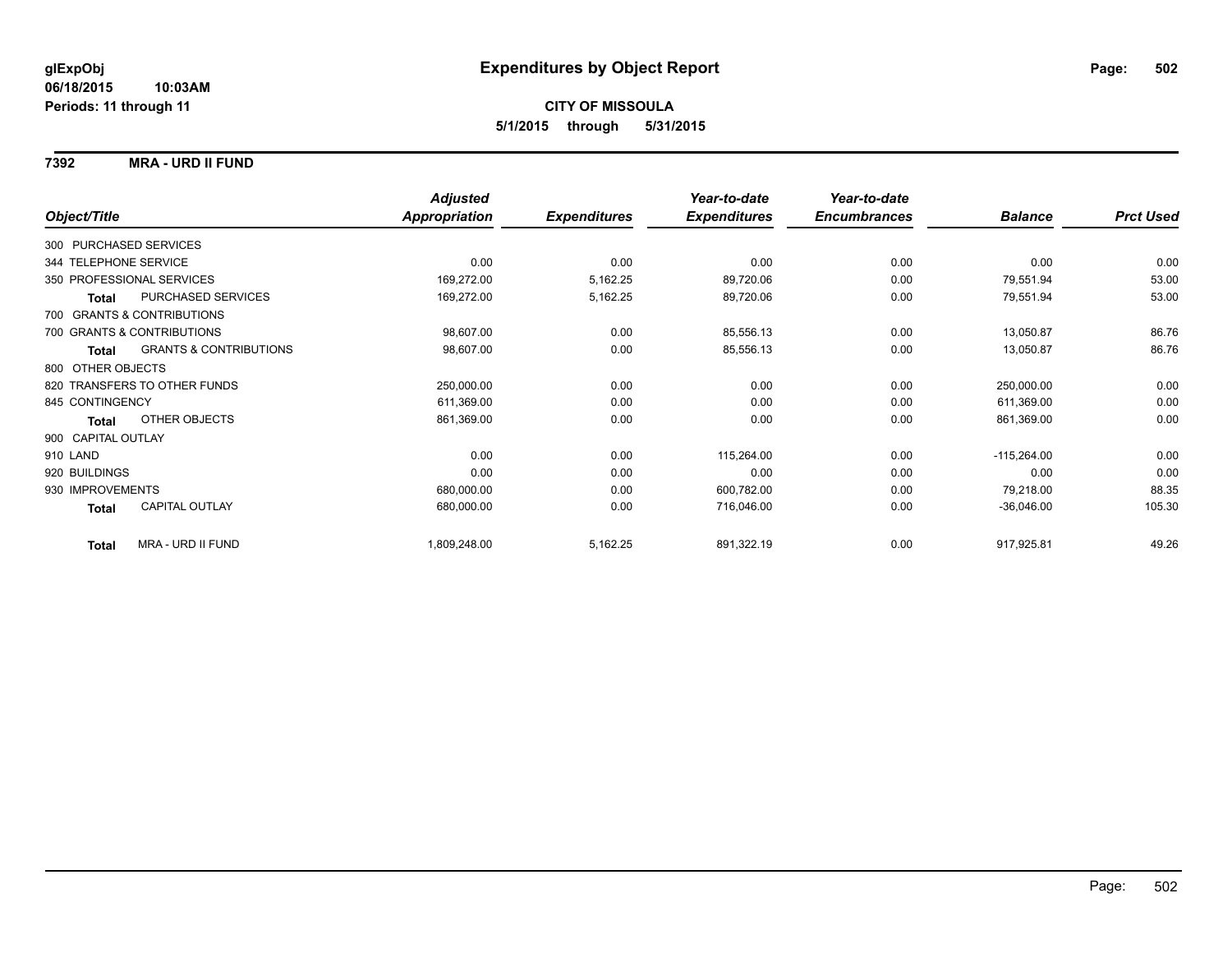#### **7392 MRA - URD II FUND**

|                                            |                      | <b>Adjusted</b> |                     | Year-to-date        | Year-to-date        |                |                  |
|--------------------------------------------|----------------------|-----------------|---------------------|---------------------|---------------------|----------------|------------------|
| Object/Title                               | <b>Appropriation</b> |                 | <b>Expenditures</b> | <b>Expenditures</b> | <b>Encumbrances</b> | <b>Balance</b> | <b>Prct Used</b> |
| 300 PURCHASED SERVICES                     |                      |                 |                     |                     |                     |                |                  |
| 344 TELEPHONE SERVICE                      |                      | 0.00            | 0.00                | 0.00                | 0.00                | 0.00           | 0.00             |
| 350 PROFESSIONAL SERVICES                  |                      | 169,272.00      | 5,162.25            | 89,720.06           | 0.00                | 79,551.94      | 53.00            |
| PURCHASED SERVICES<br><b>Total</b>         |                      | 169,272.00      | 5,162.25            | 89,720.06           | 0.00                | 79,551.94      | 53.00            |
| 700 GRANTS & CONTRIBUTIONS                 |                      |                 |                     |                     |                     |                |                  |
| 700 GRANTS & CONTRIBUTIONS                 |                      | 98,607.00       | 0.00                | 85,556.13           | 0.00                | 13,050.87      | 86.76            |
| <b>GRANTS &amp; CONTRIBUTIONS</b><br>Total |                      | 98,607.00       | 0.00                | 85,556.13           | 0.00                | 13,050.87      | 86.76            |
| 800 OTHER OBJECTS                          |                      |                 |                     |                     |                     |                |                  |
| 820 TRANSFERS TO OTHER FUNDS               |                      | 250,000.00      | 0.00                | 0.00                | 0.00                | 250,000.00     | 0.00             |
| 845 CONTINGENCY                            |                      | 611,369.00      | 0.00                | 0.00                | 0.00                | 611,369.00     | 0.00             |
| OTHER OBJECTS<br>Total                     |                      | 861,369.00      | 0.00                | 0.00                | 0.00                | 861,369.00     | 0.00             |
| 900 CAPITAL OUTLAY                         |                      |                 |                     |                     |                     |                |                  |
| 910 LAND                                   |                      | 0.00            | 0.00                | 115,264.00          | 0.00                | $-115,264.00$  | 0.00             |
| 920 BUILDINGS                              |                      | 0.00            | 0.00                | 0.00                | 0.00                | 0.00           | 0.00             |
| 930 IMPROVEMENTS                           |                      | 680,000.00      | 0.00                | 600,782.00          | 0.00                | 79,218.00      | 88.35            |
| <b>CAPITAL OUTLAY</b><br>Total             |                      | 680,000.00      | 0.00                | 716,046.00          | 0.00                | $-36,046.00$   | 105.30           |
| MRA - URD II FUND<br><b>Total</b>          |                      | 1,809,248.00    | 5,162.25            | 891,322.19          | 0.00                | 917,925.81     | 49.26            |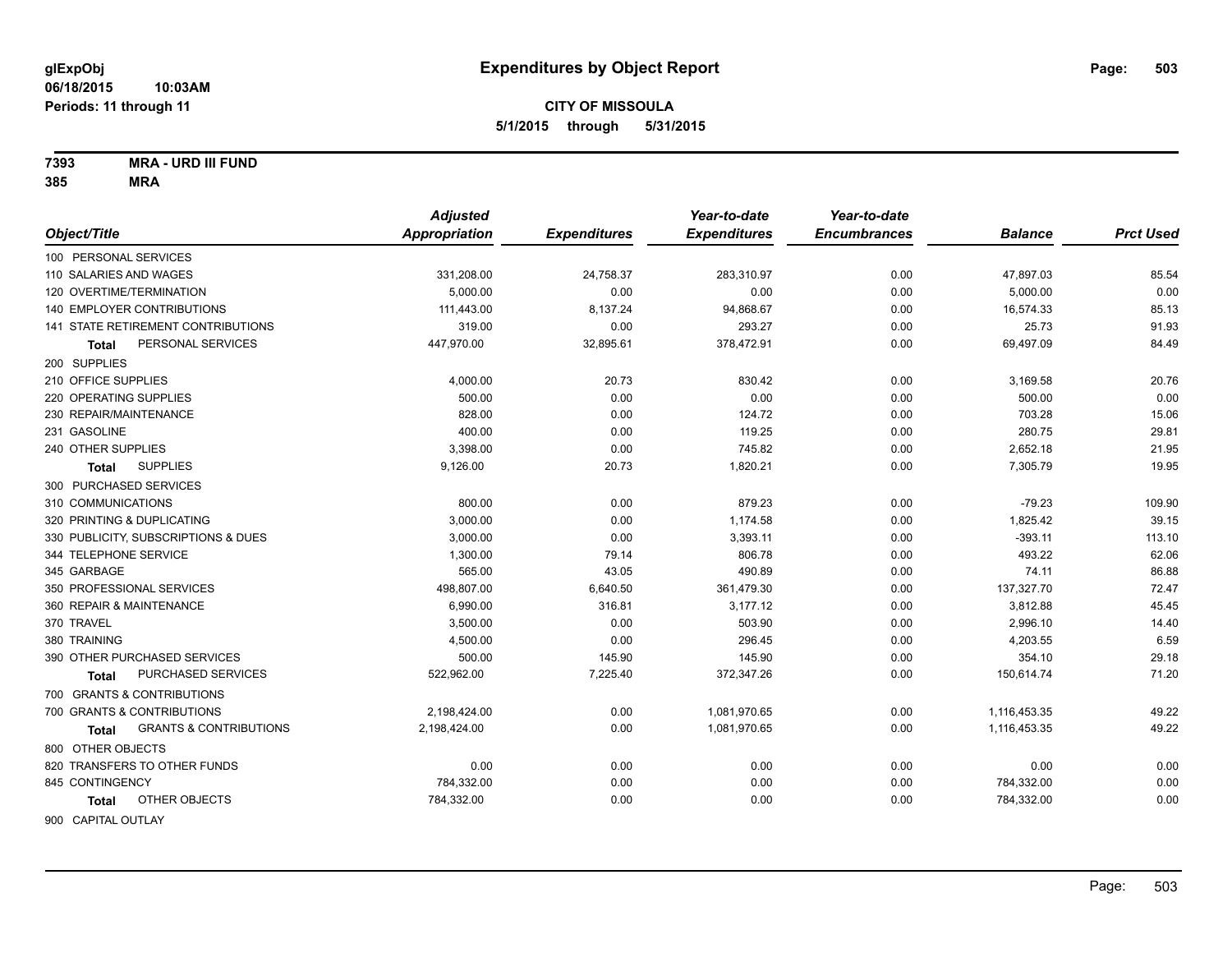**7393 MRA - URD III FUND**

|                                                   | <b>Adjusted</b>      |                     | Year-to-date        | Year-to-date        |                |                  |
|---------------------------------------------------|----------------------|---------------------|---------------------|---------------------|----------------|------------------|
| Object/Title                                      | <b>Appropriation</b> | <b>Expenditures</b> | <b>Expenditures</b> | <b>Encumbrances</b> | <b>Balance</b> | <b>Prct Used</b> |
| 100 PERSONAL SERVICES                             |                      |                     |                     |                     |                |                  |
| 110 SALARIES AND WAGES                            | 331,208.00           | 24,758.37           | 283,310.97          | 0.00                | 47,897.03      | 85.54            |
| 120 OVERTIME/TERMINATION                          | 5.000.00             | 0.00                | 0.00                | 0.00                | 5,000.00       | 0.00             |
| <b>140 EMPLOYER CONTRIBUTIONS</b>                 | 111,443.00           | 8,137.24            | 94,868.67           | 0.00                | 16,574.33      | 85.13            |
| <b>141 STATE RETIREMENT CONTRIBUTIONS</b>         | 319.00               | 0.00                | 293.27              | 0.00                | 25.73          | 91.93            |
| PERSONAL SERVICES<br>Total                        | 447,970.00           | 32,895.61           | 378,472.91          | 0.00                | 69,497.09      | 84.49            |
| 200 SUPPLIES                                      |                      |                     |                     |                     |                |                  |
| 210 OFFICE SUPPLIES                               | 4,000.00             | 20.73               | 830.42              | 0.00                | 3,169.58       | 20.76            |
| 220 OPERATING SUPPLIES                            | 500.00               | 0.00                | 0.00                | 0.00                | 500.00         | 0.00             |
| 230 REPAIR/MAINTENANCE                            | 828.00               | 0.00                | 124.72              | 0.00                | 703.28         | 15.06            |
| 231 GASOLINE                                      | 400.00               | 0.00                | 119.25              | 0.00                | 280.75         | 29.81            |
| 240 OTHER SUPPLIES                                | 3,398.00             | 0.00                | 745.82              | 0.00                | 2,652.18       | 21.95            |
| <b>SUPPLIES</b><br><b>Total</b>                   | 9,126.00             | 20.73               | 1,820.21            | 0.00                | 7,305.79       | 19.95            |
| 300 PURCHASED SERVICES                            |                      |                     |                     |                     |                |                  |
| 310 COMMUNICATIONS                                | 800.00               | 0.00                | 879.23              | 0.00                | $-79.23$       | 109.90           |
| 320 PRINTING & DUPLICATING                        | 3,000.00             | 0.00                | 1,174.58            | 0.00                | 1,825.42       | 39.15            |
| 330 PUBLICITY, SUBSCRIPTIONS & DUES               | 3,000.00             | 0.00                | 3,393.11            | 0.00                | $-393.11$      | 113.10           |
| 344 TELEPHONE SERVICE                             | 1,300.00             | 79.14               | 806.78              | 0.00                | 493.22         | 62.06            |
| 345 GARBAGE                                       | 565.00               | 43.05               | 490.89              | 0.00                | 74.11          | 86.88            |
| 350 PROFESSIONAL SERVICES                         | 498,807.00           | 6,640.50            | 361,479.30          | 0.00                | 137,327.70     | 72.47            |
| 360 REPAIR & MAINTENANCE                          | 6.990.00             | 316.81              | 3,177.12            | 0.00                | 3,812.88       | 45.45            |
| 370 TRAVEL                                        | 3,500.00             | 0.00                | 503.90              | 0.00                | 2,996.10       | 14.40            |
| 380 TRAINING                                      | 4,500.00             | 0.00                | 296.45              | 0.00                | 4,203.55       | 6.59             |
| 390 OTHER PURCHASED SERVICES                      | 500.00               | 145.90              | 145.90              | 0.00                | 354.10         | 29.18            |
| PURCHASED SERVICES<br><b>Total</b>                | 522,962.00           | 7,225.40            | 372,347.26          | 0.00                | 150,614.74     | 71.20            |
| 700 GRANTS & CONTRIBUTIONS                        |                      |                     |                     |                     |                |                  |
| 700 GRANTS & CONTRIBUTIONS                        | 2,198,424.00         | 0.00                | 1,081,970.65        | 0.00                | 1,116,453.35   | 49.22            |
| <b>GRANTS &amp; CONTRIBUTIONS</b><br><b>Total</b> | 2,198,424.00         | 0.00                | 1,081,970.65        | 0.00                | 1,116,453.35   | 49.22            |
| 800 OTHER OBJECTS                                 |                      |                     |                     |                     |                |                  |
| 820 TRANSFERS TO OTHER FUNDS                      | 0.00                 | 0.00                | 0.00                | 0.00                | 0.00           | 0.00             |
| 845 CONTINGENCY                                   | 784,332.00           | 0.00                | 0.00                | 0.00                | 784,332.00     | 0.00             |
| OTHER OBJECTS<br>Total                            | 784,332.00           | 0.00                | 0.00                | 0.00                | 784,332.00     | 0.00             |
| 900 CAPITAL OUTLAY                                |                      |                     |                     |                     |                |                  |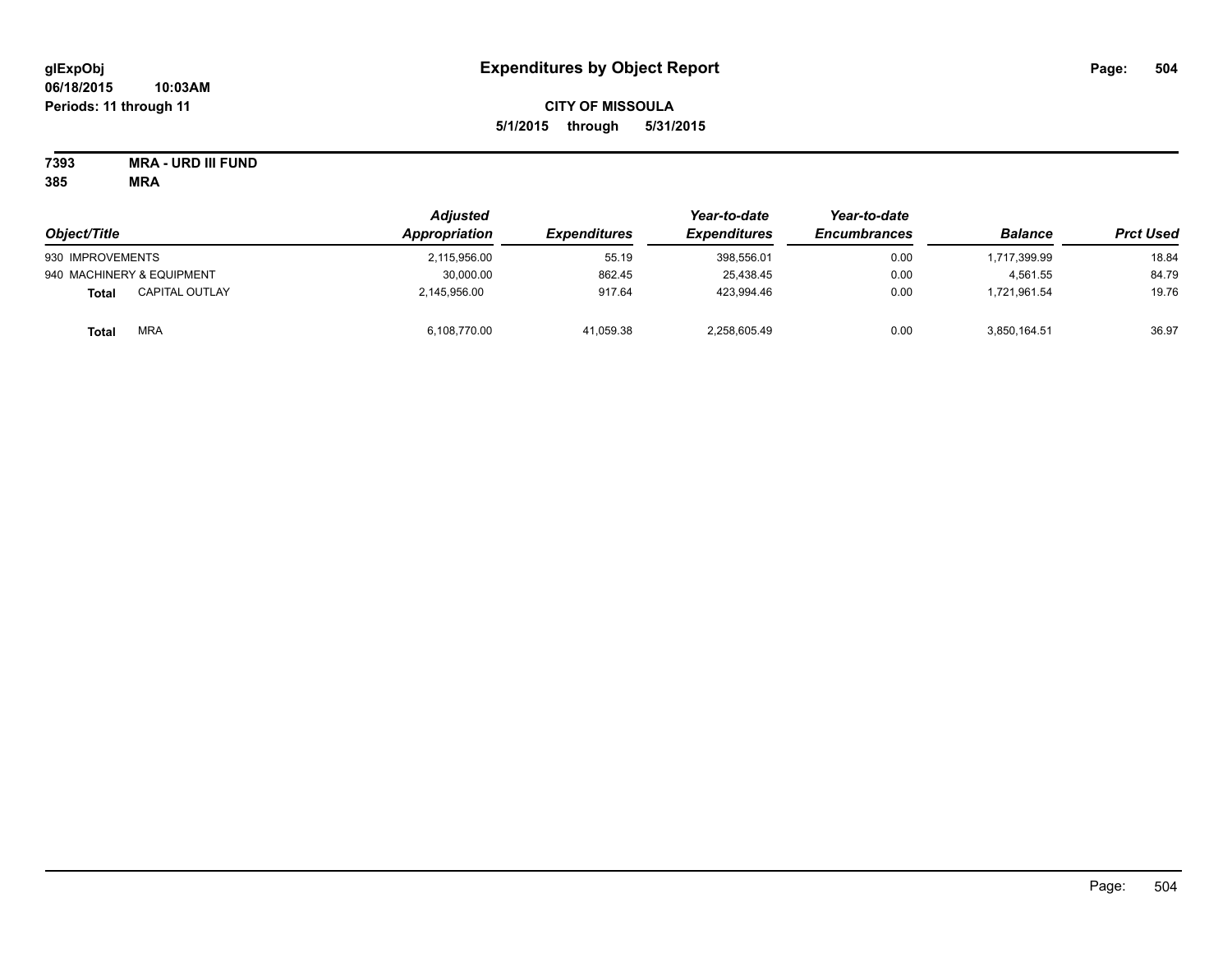# **CITY OF MISSOULA 5/1/2015 through 5/31/2015**

**7393 MRA - URD III FUND**

| Object/Title                          | Adjusted<br>Appropriation | <i><b>Expenditures</b></i> | Year-to-date<br><b>Expenditures</b> | Year-to-date<br><b>Encumbrances</b> | <b>Balance</b> | <b>Prct Used</b> |
|---------------------------------------|---------------------------|----------------------------|-------------------------------------|-------------------------------------|----------------|------------------|
| 930 IMPROVEMENTS                      | 2,115,956.00              | 55.19                      | 398.556.01                          | 0.00                                | 1,717,399.99   | 18.84            |
| 940 MACHINERY & EQUIPMENT             | 30,000.00                 | 862.45                     | 25,438.45                           | 0.00                                | 4.561.55       | 84.79            |
| <b>CAPITAL OUTLAY</b><br><b>Total</b> | 2,145,956.00              | 917.64                     | 423,994.46                          | 0.00                                | 1.721.961.54   | 19.76            |
| <b>MRA</b><br>Total                   | 6,108,770.00              | 41,059.38                  | 2,258,605.49                        | 0.00                                | 3,850,164.51   | 36.97            |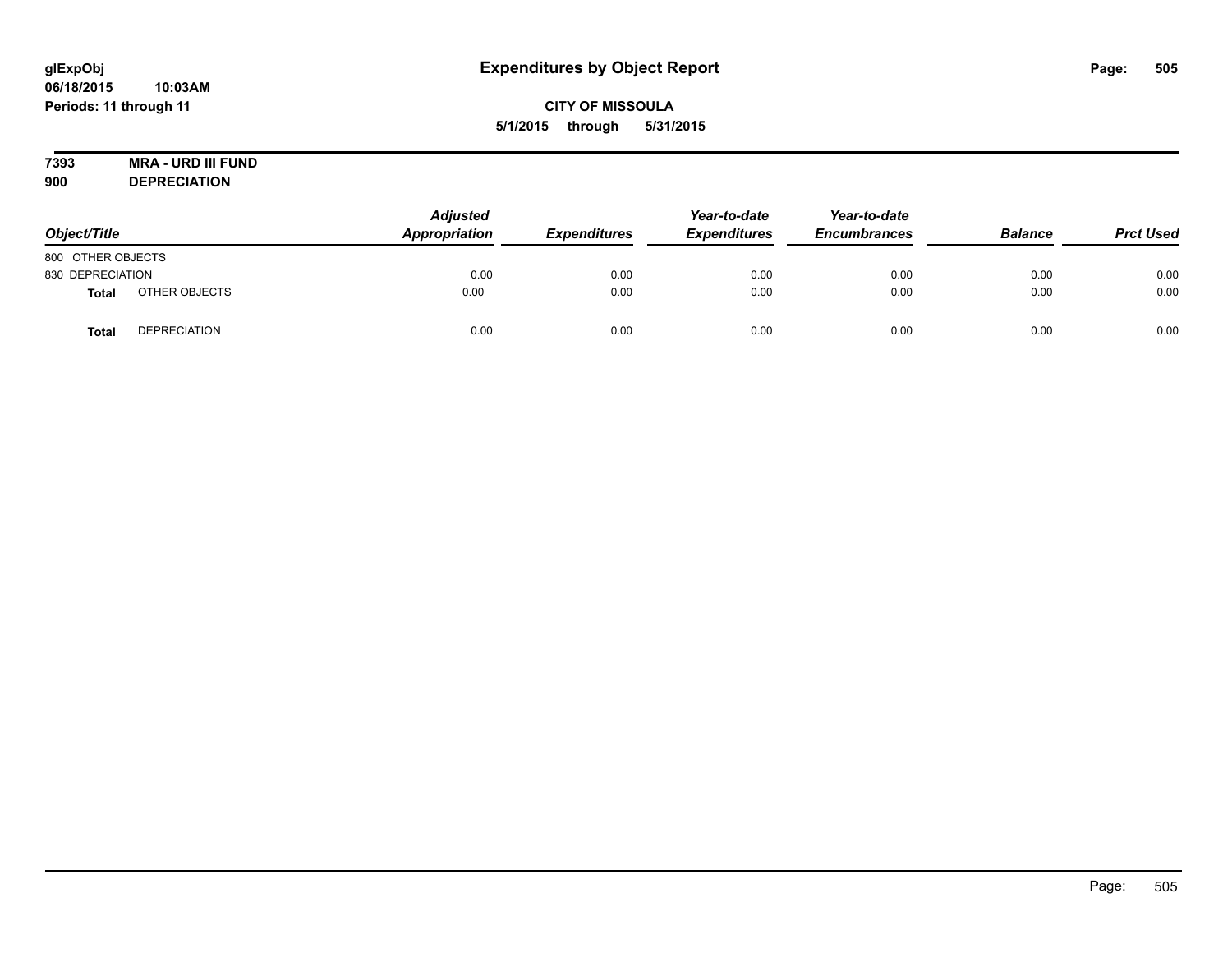# **7393 MRA - URD III FUND**

**900 DEPRECIATION**

| Object/Title      |                     | <b>Adjusted</b><br>Appropriation | <b>Expenditures</b> | Year-to-date<br><b>Expenditures</b> | Year-to-date<br><b>Encumbrances</b> | <b>Balance</b> | <b>Prct Used</b> |
|-------------------|---------------------|----------------------------------|---------------------|-------------------------------------|-------------------------------------|----------------|------------------|
| 800 OTHER OBJECTS |                     |                                  |                     |                                     |                                     |                |                  |
| 830 DEPRECIATION  |                     | 0.00                             | 0.00                | 0.00                                | 0.00                                | 0.00           | 0.00             |
| Total             | OTHER OBJECTS       | 0.00                             | 0.00                | 0.00                                | 0.00                                | 0.00           | 0.00             |
| Tota              | <b>DEPRECIATION</b> | 0.00                             | 0.00                | 0.00                                | 0.00                                | 0.00           | 0.00             |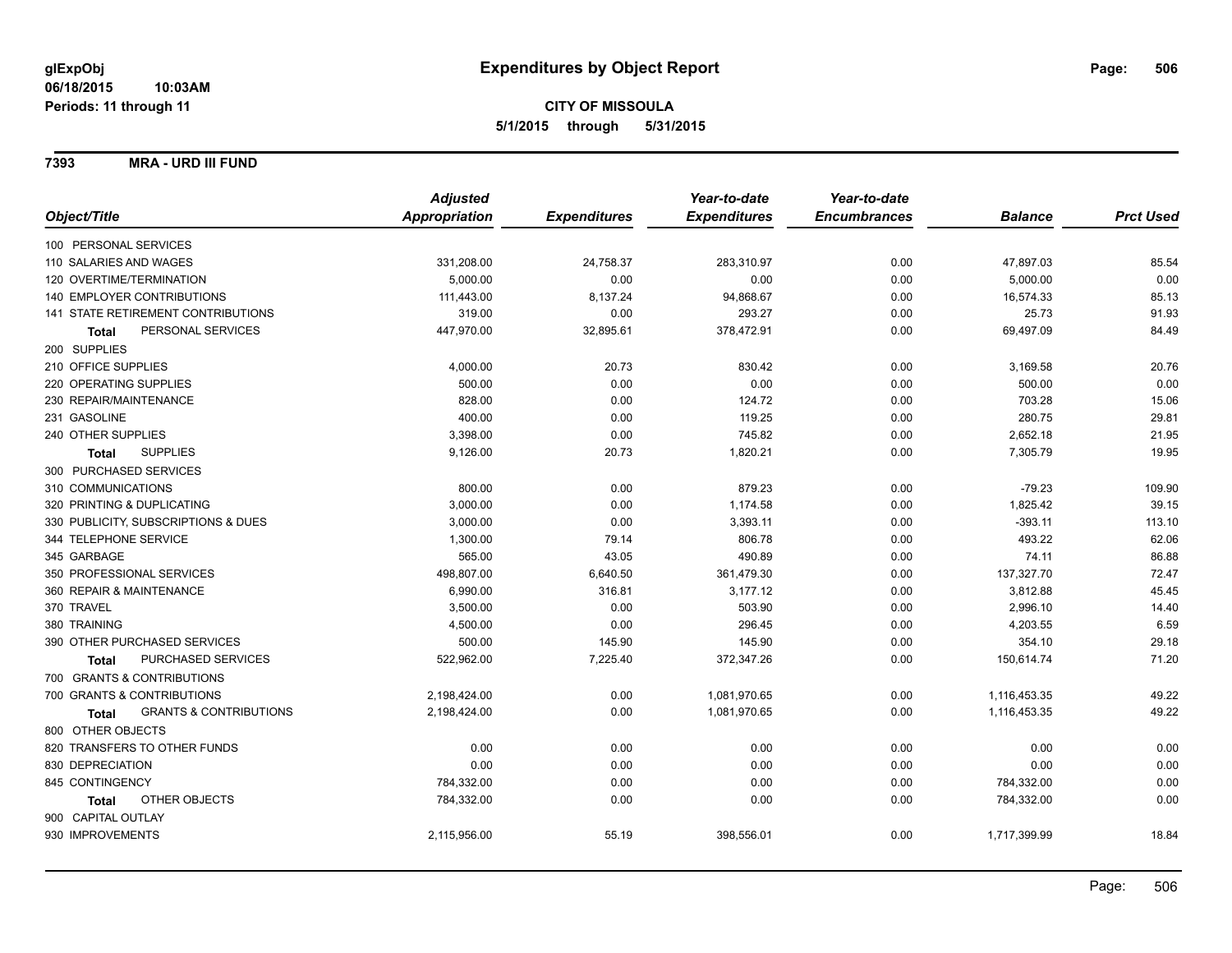**7393 MRA - URD III FUND**

|                                            | <b>Adjusted</b>      |                     | Year-to-date        | Year-to-date        |                |                  |
|--------------------------------------------|----------------------|---------------------|---------------------|---------------------|----------------|------------------|
| Object/Title                               | <b>Appropriation</b> | <b>Expenditures</b> | <b>Expenditures</b> | <b>Encumbrances</b> | <b>Balance</b> | <b>Prct Used</b> |
| 100 PERSONAL SERVICES                      |                      |                     |                     |                     |                |                  |
| 110 SALARIES AND WAGES                     | 331,208.00           | 24,758.37           | 283,310.97          | 0.00                | 47,897.03      | 85.54            |
| 120 OVERTIME/TERMINATION                   | 5,000.00             | 0.00                | 0.00                | 0.00                | 5,000.00       | 0.00             |
| 140 EMPLOYER CONTRIBUTIONS                 | 111,443.00           | 8,137.24            | 94,868.67           | 0.00                | 16,574.33      | 85.13            |
| 141 STATE RETIREMENT CONTRIBUTIONS         | 319.00               | 0.00                | 293.27              | 0.00                | 25.73          | 91.93            |
| PERSONAL SERVICES<br><b>Total</b>          | 447,970.00           | 32,895.61           | 378,472.91          | 0.00                | 69,497.09      | 84.49            |
| 200 SUPPLIES                               |                      |                     |                     |                     |                |                  |
| 210 OFFICE SUPPLIES                        | 4,000.00             | 20.73               | 830.42              | 0.00                | 3,169.58       | 20.76            |
| 220 OPERATING SUPPLIES                     | 500.00               | 0.00                | 0.00                | 0.00                | 500.00         | 0.00             |
| 230 REPAIR/MAINTENANCE                     | 828.00               | 0.00                | 124.72              | 0.00                | 703.28         | 15.06            |
| 231 GASOLINE                               | 400.00               | 0.00                | 119.25              | 0.00                | 280.75         | 29.81            |
| 240 OTHER SUPPLIES                         | 3,398.00             | 0.00                | 745.82              | 0.00                | 2,652.18       | 21.95            |
| <b>SUPPLIES</b><br>Total                   | 9,126.00             | 20.73               | 1,820.21            | 0.00                | 7,305.79       | 19.95            |
| 300 PURCHASED SERVICES                     |                      |                     |                     |                     |                |                  |
| 310 COMMUNICATIONS                         | 800.00               | 0.00                | 879.23              | 0.00                | $-79.23$       | 109.90           |
| 320 PRINTING & DUPLICATING                 | 3,000.00             | 0.00                | 1,174.58            | 0.00                | 1,825.42       | 39.15            |
| 330 PUBLICITY, SUBSCRIPTIONS & DUES        | 3,000.00             | 0.00                | 3,393.11            | 0.00                | $-393.11$      | 113.10           |
| 344 TELEPHONE SERVICE                      | 1,300.00             | 79.14               | 806.78              | 0.00                | 493.22         | 62.06            |
| 345 GARBAGE                                | 565.00               | 43.05               | 490.89              | 0.00                | 74.11          | 86.88            |
| 350 PROFESSIONAL SERVICES                  | 498,807.00           | 6,640.50            | 361,479.30          | 0.00                | 137,327.70     | 72.47            |
| 360 REPAIR & MAINTENANCE                   | 6,990.00             | 316.81              | 3,177.12            | 0.00                | 3,812.88       | 45.45            |
| 370 TRAVEL                                 | 3,500.00             | 0.00                | 503.90              | 0.00                | 2,996.10       | 14.40            |
| 380 TRAINING                               | 4,500.00             | 0.00                | 296.45              | 0.00                | 4,203.55       | 6.59             |
| 390 OTHER PURCHASED SERVICES               | 500.00               | 145.90              | 145.90              | 0.00                | 354.10         | 29.18            |
| PURCHASED SERVICES<br><b>Total</b>         | 522,962.00           | 7,225.40            | 372,347.26          | 0.00                | 150,614.74     | 71.20            |
| 700 GRANTS & CONTRIBUTIONS                 |                      |                     |                     |                     |                |                  |
| 700 GRANTS & CONTRIBUTIONS                 | 2,198,424.00         | 0.00                | 1,081,970.65        | 0.00                | 1,116,453.35   | 49.22            |
| <b>GRANTS &amp; CONTRIBUTIONS</b><br>Total | 2,198,424.00         | 0.00                | 1,081,970.65        | 0.00                | 1,116,453.35   | 49.22            |
| 800 OTHER OBJECTS                          |                      |                     |                     |                     |                |                  |
| 820 TRANSFERS TO OTHER FUNDS               | 0.00                 | 0.00                | 0.00                | 0.00                | 0.00           | 0.00             |
| 830 DEPRECIATION                           | 0.00                 | 0.00                | 0.00                | 0.00                | 0.00           | 0.00             |
| 845 CONTINGENCY                            | 784,332.00           | 0.00                | 0.00                | 0.00                | 784,332.00     | 0.00             |
| OTHER OBJECTS<br>Total                     | 784,332.00           | 0.00                | 0.00                | 0.00                | 784,332.00     | 0.00             |
| 900 CAPITAL OUTLAY                         |                      |                     |                     |                     |                |                  |
| 930 IMPROVEMENTS                           | 2,115,956.00         | 55.19               | 398,556.01          | 0.00                | 1,717,399.99   | 18.84            |
|                                            |                      |                     |                     |                     |                |                  |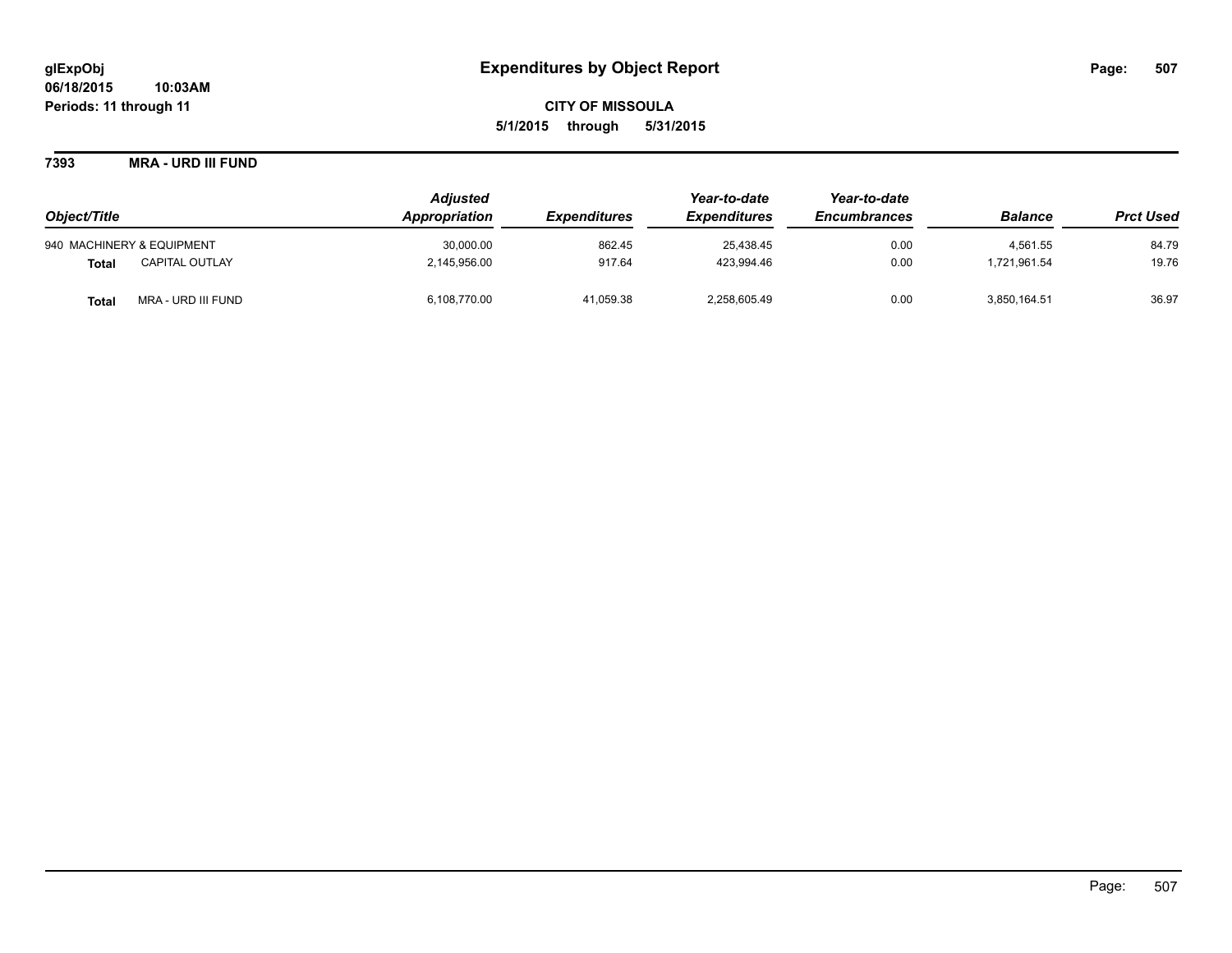**7393 MRA - URD III FUND**

|                                       | <b>Adjusted</b> |                            | Year-to-date               | Year-to-date        |                |                  |
|---------------------------------------|-----------------|----------------------------|----------------------------|---------------------|----------------|------------------|
| Object/Title                          | Appropriation   | <i><b>Expenditures</b></i> | <i><b>Expenditures</b></i> | <b>Encumbrances</b> | <b>Balance</b> | <b>Prct Used</b> |
| 940 MACHINERY & EQUIPMENT             | 30,000.00       | 862.45                     | 25.438.45                  | 0.00                | 4.561.55       | 84.79            |
| <b>CAPITAL OUTLAY</b><br><b>Total</b> | 2,145,956.00    | 917.64                     | 423.994.46                 | 0.00                | .721.961.54    | 19.76            |
| MRA - URD III FUND<br><b>Total</b>    | 6,108,770.00    | 41,059.38                  | 2,258,605.49               | 0.00                | 3,850,164.51   | 36.97            |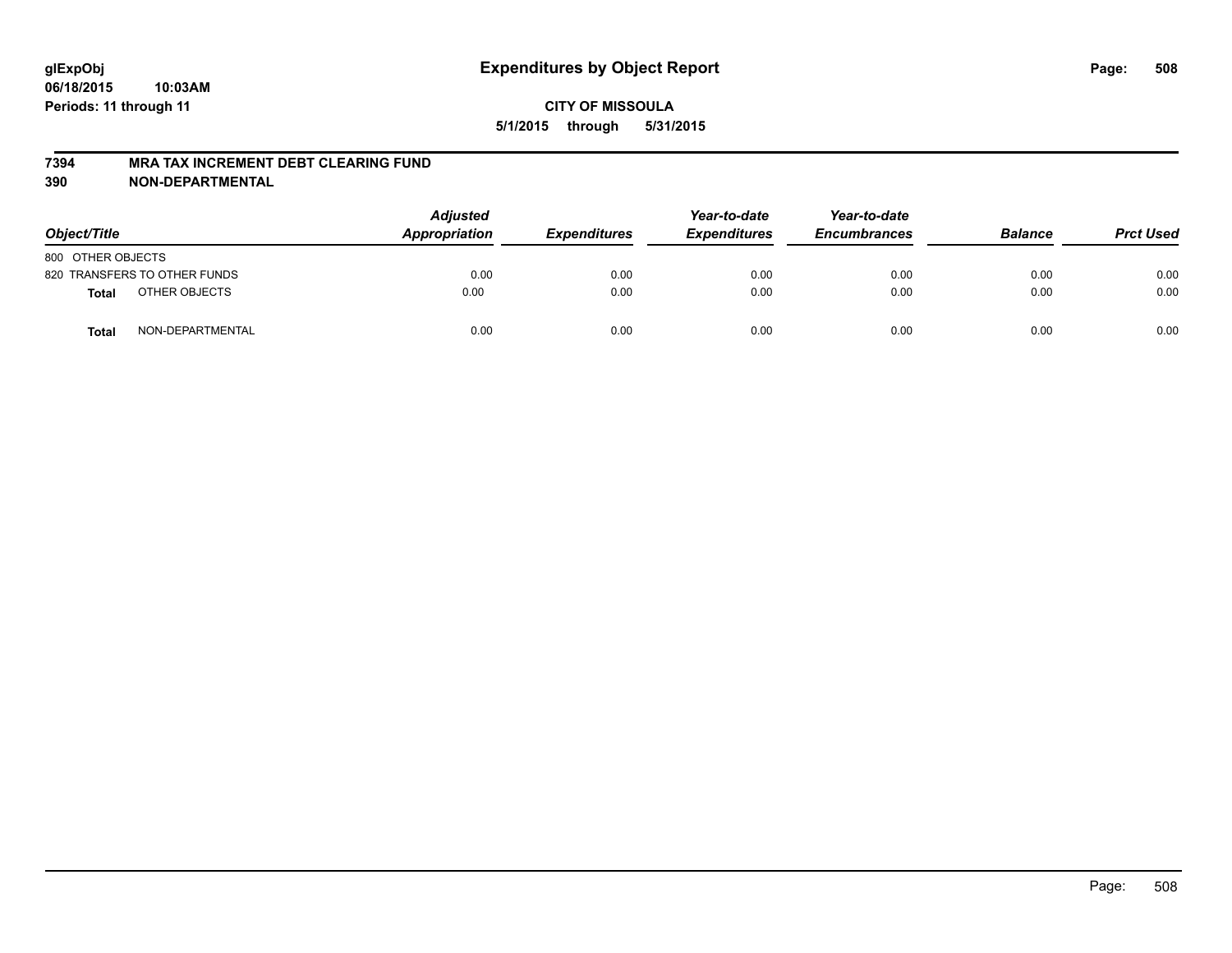#### **7394 MRA TAX INCREMENT DEBT CLEARING FUND**

**390 NON-DEPARTMENTAL**

| Object/Title                     |  | <b>Adjusted</b><br><b>Appropriation</b> | <b>Expenditures</b> | Year-to-date<br><b>Expenditures</b> | Year-to-date<br><b>Encumbrances</b> | <b>Balance</b> | <b>Prct Used</b> |
|----------------------------------|--|-----------------------------------------|---------------------|-------------------------------------|-------------------------------------|----------------|------------------|
| 800 OTHER OBJECTS                |  |                                         |                     |                                     |                                     |                |                  |
| 820 TRANSFERS TO OTHER FUNDS     |  | 0.00                                    | 0.00                | 0.00                                | 0.00                                | 0.00           | 0.00             |
| OTHER OBJECTS<br><b>Total</b>    |  | 0.00                                    | 0.00                | 0.00                                | 0.00                                | 0.00           | 0.00             |
| NON-DEPARTMENTAL<br><b>Total</b> |  | 0.00                                    | 0.00                | 0.00                                | 0.00                                | 0.00           | 0.00             |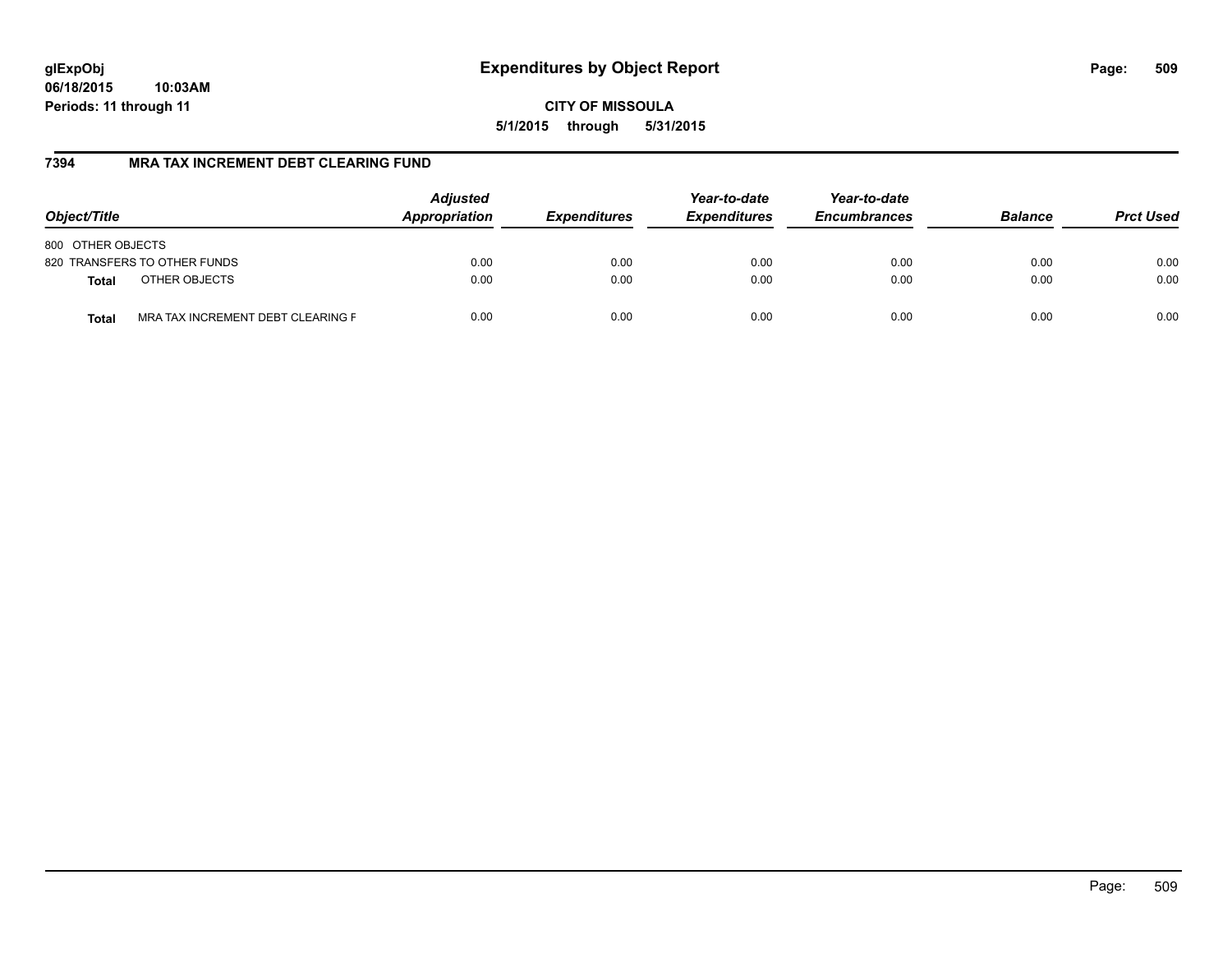**06/18/2015 10:03AM Periods: 11 through 11**

**CITY OF MISSOULA 5/1/2015 through 5/31/2015**

# **7394 MRA TAX INCREMENT DEBT CLEARING FUND**

| Object/Title                               | <b>Adjusted</b><br>Appropriation | <b>Expenditures</b> | Year-to-date<br><b>Expenditures</b> | Year-to-date<br><b>Encumbrances</b> | <b>Balance</b> | <b>Prct Used</b> |
|--------------------------------------------|----------------------------------|---------------------|-------------------------------------|-------------------------------------|----------------|------------------|
| 800 OTHER OBJECTS                          |                                  |                     |                                     |                                     |                |                  |
| 820 TRANSFERS TO OTHER FUNDS               | 0.00                             | 0.00                | 0.00                                | 0.00                                | 0.00           | 0.00             |
| OTHER OBJECTS<br><b>Total</b>              | 0.00                             | 0.00                | 0.00                                | 0.00                                | 0.00           | 0.00             |
| MRA TAX INCREMENT DEBT CLEARING F<br>Total | 0.00                             | 0.00                | 0.00                                | 0.00                                | 0.00           | 0.00             |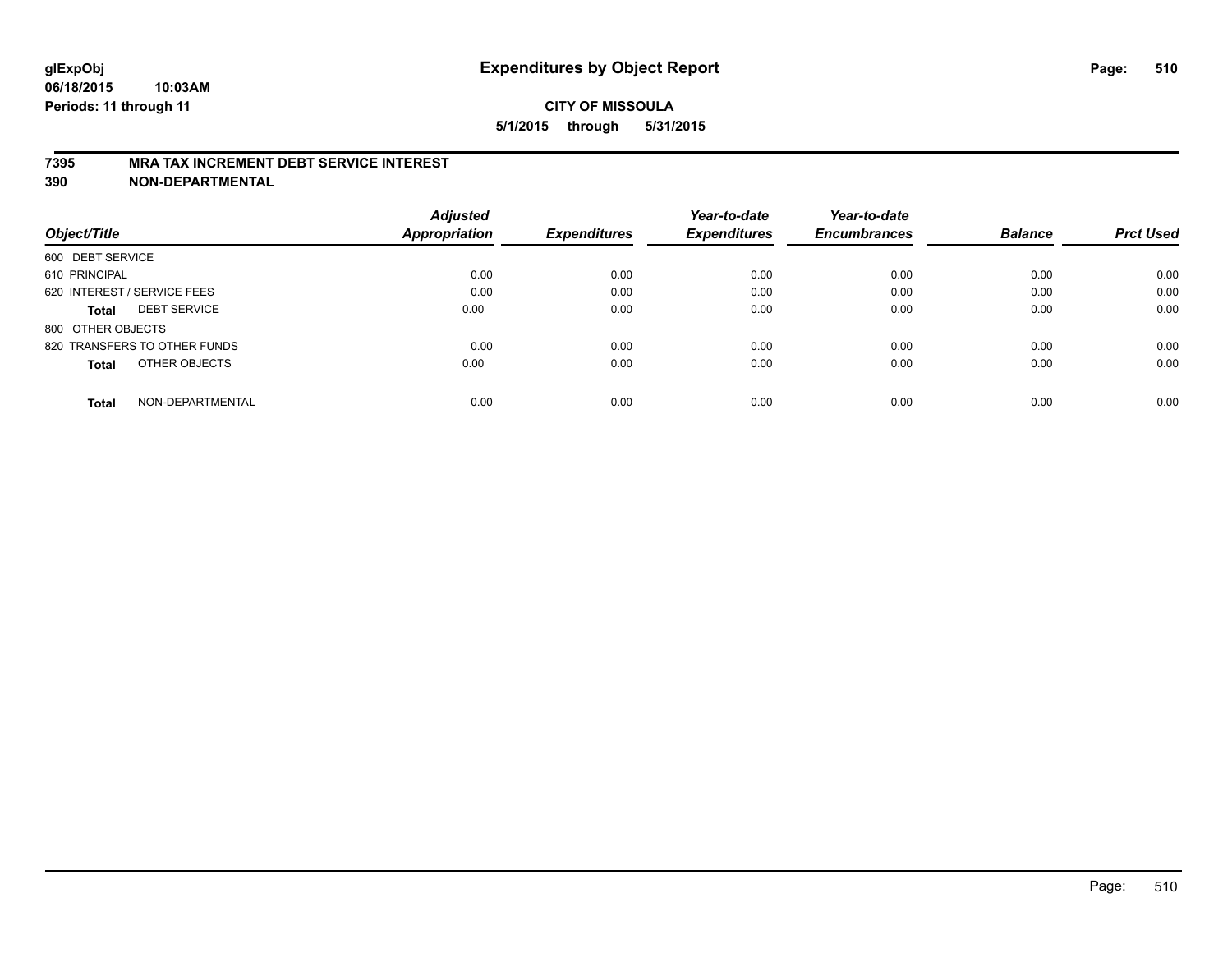### **7395 MRA TAX INCREMENT DEBT SERVICE INTEREST**

**390 NON-DEPARTMENTAL**

|                                     | <b>Adjusted</b><br><b>Appropriation</b> | <b>Expenditures</b> | Year-to-date<br><b>Expenditures</b> | Year-to-date<br><b>Encumbrances</b> | <b>Balance</b> | <b>Prct Used</b> |
|-------------------------------------|-----------------------------------------|---------------------|-------------------------------------|-------------------------------------|----------------|------------------|
| Object/Title                        |                                         |                     |                                     |                                     |                |                  |
| 600 DEBT SERVICE                    |                                         |                     |                                     |                                     |                |                  |
| 610 PRINCIPAL                       | 0.00                                    | 0.00                | 0.00                                | 0.00                                | 0.00           | 0.00             |
| 620 INTEREST / SERVICE FEES         | 0.00                                    | 0.00                | 0.00                                | 0.00                                | 0.00           | 0.00             |
| <b>DEBT SERVICE</b><br><b>Total</b> | 0.00                                    | 0.00                | 0.00                                | 0.00                                | 0.00           | 0.00             |
| 800 OTHER OBJECTS                   |                                         |                     |                                     |                                     |                |                  |
| 820 TRANSFERS TO OTHER FUNDS        | 0.00                                    | 0.00                | 0.00                                | 0.00                                | 0.00           | 0.00             |
| OTHER OBJECTS<br><b>Total</b>       | 0.00                                    | 0.00                | 0.00                                | 0.00                                | 0.00           | 0.00             |
| NON-DEPARTMENTAL<br><b>Total</b>    | 0.00                                    | 0.00                | 0.00                                | 0.00                                | 0.00           | 0.00             |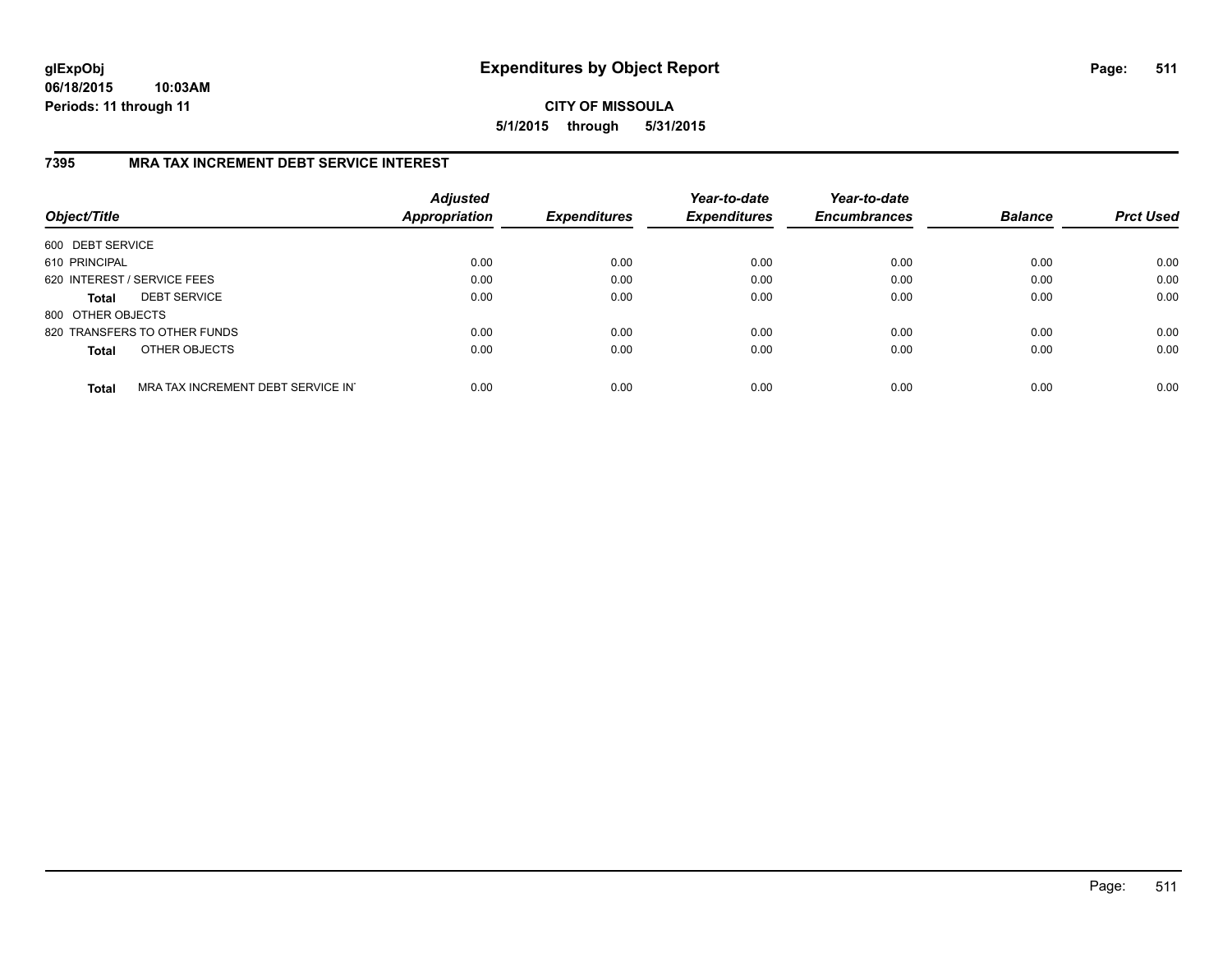**06/18/2015 10:03AM Periods: 11 through 11**

### **CITY OF MISSOULA 5/1/2015 through 5/31/2015**

# **7395 MRA TAX INCREMENT DEBT SERVICE INTEREST**

| Object/Title      |                                   | <b>Adjusted</b><br><b>Appropriation</b> | <b>Expenditures</b> | Year-to-date<br><b>Expenditures</b> | Year-to-date<br><b>Encumbrances</b> | <b>Balance</b> | <b>Prct Used</b> |
|-------------------|-----------------------------------|-----------------------------------------|---------------------|-------------------------------------|-------------------------------------|----------------|------------------|
| 600 DEBT SERVICE  |                                   |                                         |                     |                                     |                                     |                |                  |
| 610 PRINCIPAL     |                                   | 0.00                                    | 0.00                | 0.00                                | 0.00                                | 0.00           | 0.00             |
|                   | 620 INTEREST / SERVICE FEES       | 0.00                                    | 0.00                | 0.00                                | 0.00                                | 0.00           | 0.00             |
| <b>Total</b>      | <b>DEBT SERVICE</b>               | 0.00                                    | 0.00                | 0.00                                | 0.00                                | 0.00           | 0.00             |
| 800 OTHER OBJECTS |                                   |                                         |                     |                                     |                                     |                |                  |
|                   | 820 TRANSFERS TO OTHER FUNDS      | 0.00                                    | 0.00                | 0.00                                | 0.00                                | 0.00           | 0.00             |
| <b>Total</b>      | OTHER OBJECTS                     | 0.00                                    | 0.00                | 0.00                                | 0.00                                | 0.00           | 0.00             |
| <b>Total</b>      | MRA TAX INCREMENT DEBT SERVICE IN | 0.00                                    | 0.00                | 0.00                                | 0.00                                | 0.00           | 0.00             |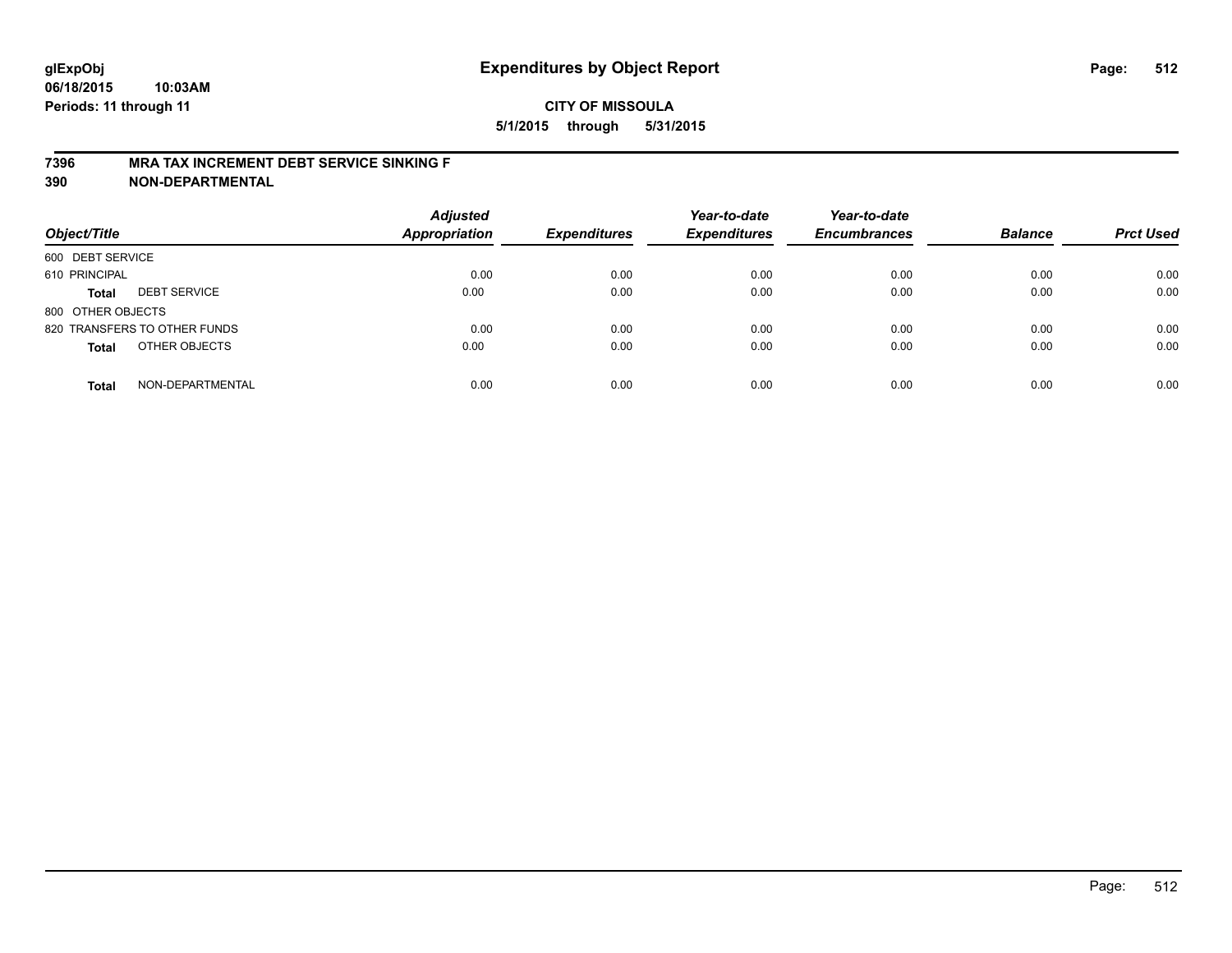### **7396 MRA TAX INCREMENT DEBT SERVICE SINKING F**

**390 NON-DEPARTMENTAL**

| Object/Title      |                              | <b>Adjusted</b><br><b>Appropriation</b> | <b>Expenditures</b> | Year-to-date<br><b>Expenditures</b> | Year-to-date<br><b>Encumbrances</b> | <b>Balance</b> | <b>Prct Used</b> |
|-------------------|------------------------------|-----------------------------------------|---------------------|-------------------------------------|-------------------------------------|----------------|------------------|
| 600 DEBT SERVICE  |                              |                                         |                     |                                     |                                     |                |                  |
| 610 PRINCIPAL     |                              | 0.00                                    | 0.00                | 0.00                                | 0.00                                | 0.00           | 0.00             |
| <b>Total</b>      | <b>DEBT SERVICE</b>          | 0.00                                    | 0.00                | 0.00                                | 0.00                                | 0.00           | 0.00             |
| 800 OTHER OBJECTS |                              |                                         |                     |                                     |                                     |                |                  |
|                   | 820 TRANSFERS TO OTHER FUNDS | 0.00                                    | 0.00                | 0.00                                | 0.00                                | 0.00           | 0.00             |
| <b>Total</b>      | OTHER OBJECTS                | 0.00                                    | 0.00                | 0.00                                | 0.00                                | 0.00           | 0.00             |
| <b>Total</b>      | NON-DEPARTMENTAL             | 0.00                                    | 0.00                | 0.00                                | 0.00                                | 0.00           | 0.00             |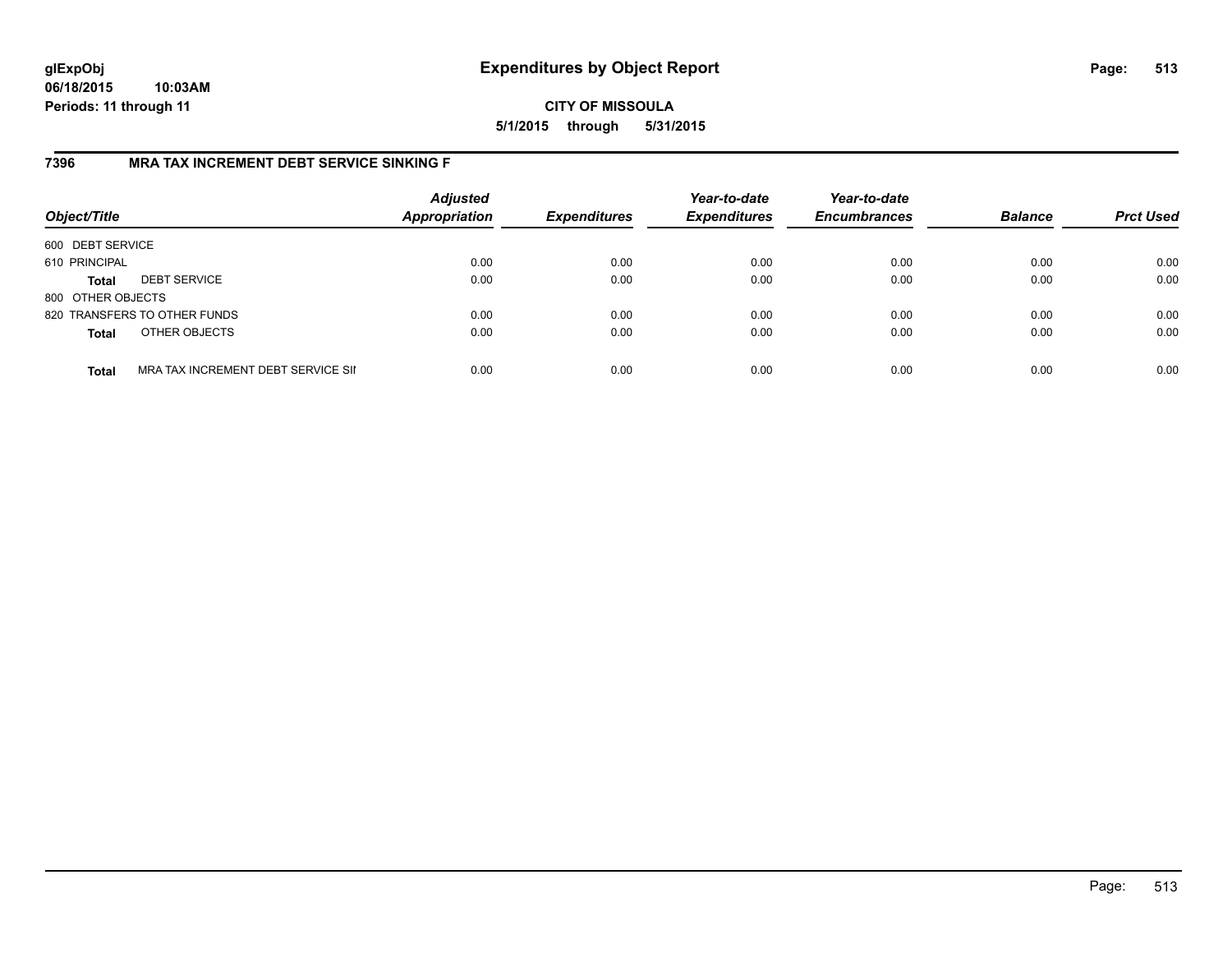**06/18/2015 10:03AM Periods: 11 through 11**

**CITY OF MISSOULA 5/1/2015 through 5/31/2015**

### **7396 MRA TAX INCREMENT DEBT SERVICE SINKING F**

| Object/Title      |                                    | <b>Adjusted</b><br><b>Appropriation</b> | <b>Expenditures</b> | Year-to-date<br><b>Expenditures</b> | Year-to-date<br><b>Encumbrances</b> | <b>Balance</b> | <b>Prct Used</b> |
|-------------------|------------------------------------|-----------------------------------------|---------------------|-------------------------------------|-------------------------------------|----------------|------------------|
| 600 DEBT SERVICE  |                                    |                                         |                     |                                     |                                     |                |                  |
| 610 PRINCIPAL     |                                    | 0.00                                    | 0.00                | 0.00                                | 0.00                                | 0.00           | 0.00             |
| <b>Total</b>      | <b>DEBT SERVICE</b>                | 0.00                                    | 0.00                | 0.00                                | 0.00                                | 0.00           | 0.00             |
| 800 OTHER OBJECTS |                                    |                                         |                     |                                     |                                     |                |                  |
|                   | 820 TRANSFERS TO OTHER FUNDS       | 0.00                                    | 0.00                | 0.00                                | 0.00                                | 0.00           | 0.00             |
| <b>Total</b>      | OTHER OBJECTS                      | 0.00                                    | 0.00                | 0.00                                | 0.00                                | 0.00           | 0.00             |
| <b>Total</b>      | MRA TAX INCREMENT DEBT SERVICE SII | 0.00                                    | 0.00                | 0.00                                | 0.00                                | 0.00           | 0.00             |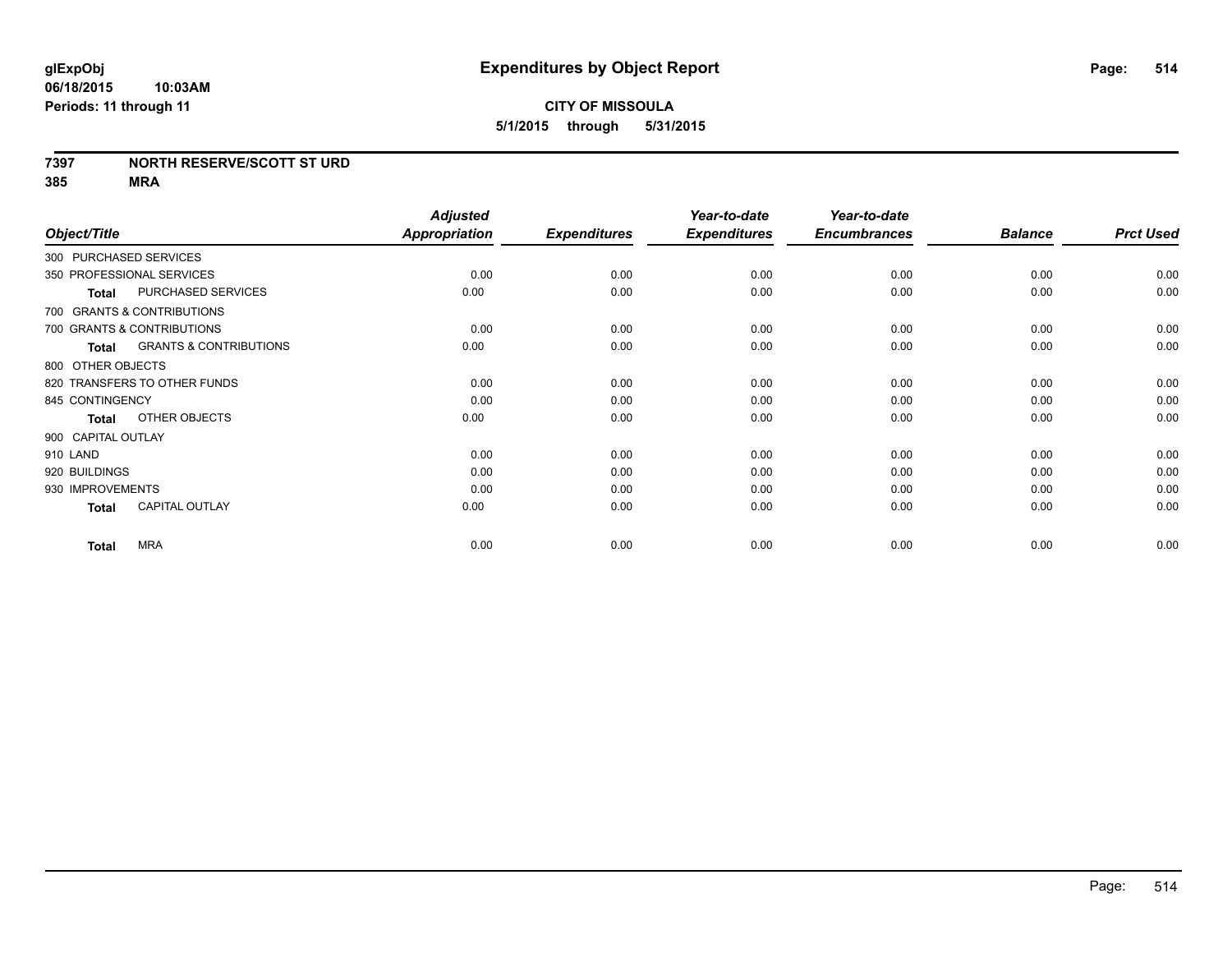### **7397 NORTH RESERVE/SCOTT ST URD**

**385 MRA**

| Object/Title                                      | <b>Adjusted</b><br><b>Appropriation</b> | <b>Expenditures</b> | Year-to-date<br><b>Expenditures</b> | Year-to-date<br><b>Encumbrances</b> | <b>Balance</b> | <b>Prct Used</b> |
|---------------------------------------------------|-----------------------------------------|---------------------|-------------------------------------|-------------------------------------|----------------|------------------|
| 300 PURCHASED SERVICES                            |                                         |                     |                                     |                                     |                |                  |
| 350 PROFESSIONAL SERVICES                         | 0.00                                    | 0.00                | 0.00                                | 0.00                                | 0.00           | 0.00             |
| PURCHASED SERVICES<br><b>Total</b>                | 0.00                                    | 0.00                | 0.00                                | 0.00                                | 0.00           | 0.00             |
| 700 GRANTS & CONTRIBUTIONS                        |                                         |                     |                                     |                                     |                |                  |
| 700 GRANTS & CONTRIBUTIONS                        | 0.00                                    | 0.00                | 0.00                                | 0.00                                | 0.00           | 0.00             |
| <b>GRANTS &amp; CONTRIBUTIONS</b><br><b>Total</b> | 0.00                                    | 0.00                | 0.00                                | 0.00                                | 0.00           | 0.00             |
| 800 OTHER OBJECTS                                 |                                         |                     |                                     |                                     |                |                  |
| 820 TRANSFERS TO OTHER FUNDS                      | 0.00                                    | 0.00                | 0.00                                | 0.00                                | 0.00           | 0.00             |
| 845 CONTINGENCY                                   | 0.00                                    | 0.00                | 0.00                                | 0.00                                | 0.00           | 0.00             |
| OTHER OBJECTS<br><b>Total</b>                     | 0.00                                    | 0.00                | 0.00                                | 0.00                                | 0.00           | 0.00             |
| 900 CAPITAL OUTLAY                                |                                         |                     |                                     |                                     |                |                  |
| 910 LAND                                          | 0.00                                    | 0.00                | 0.00                                | 0.00                                | 0.00           | 0.00             |
| 920 BUILDINGS                                     | 0.00                                    | 0.00                | 0.00                                | 0.00                                | 0.00           | 0.00             |
| 930 IMPROVEMENTS                                  | 0.00                                    | 0.00                | 0.00                                | 0.00                                | 0.00           | 0.00             |
| <b>CAPITAL OUTLAY</b><br><b>Total</b>             | 0.00                                    | 0.00                | 0.00                                | 0.00                                | 0.00           | 0.00             |
| <b>MRA</b><br><b>Total</b>                        | 0.00                                    | 0.00                | 0.00                                | 0.00                                | 0.00           | 0.00             |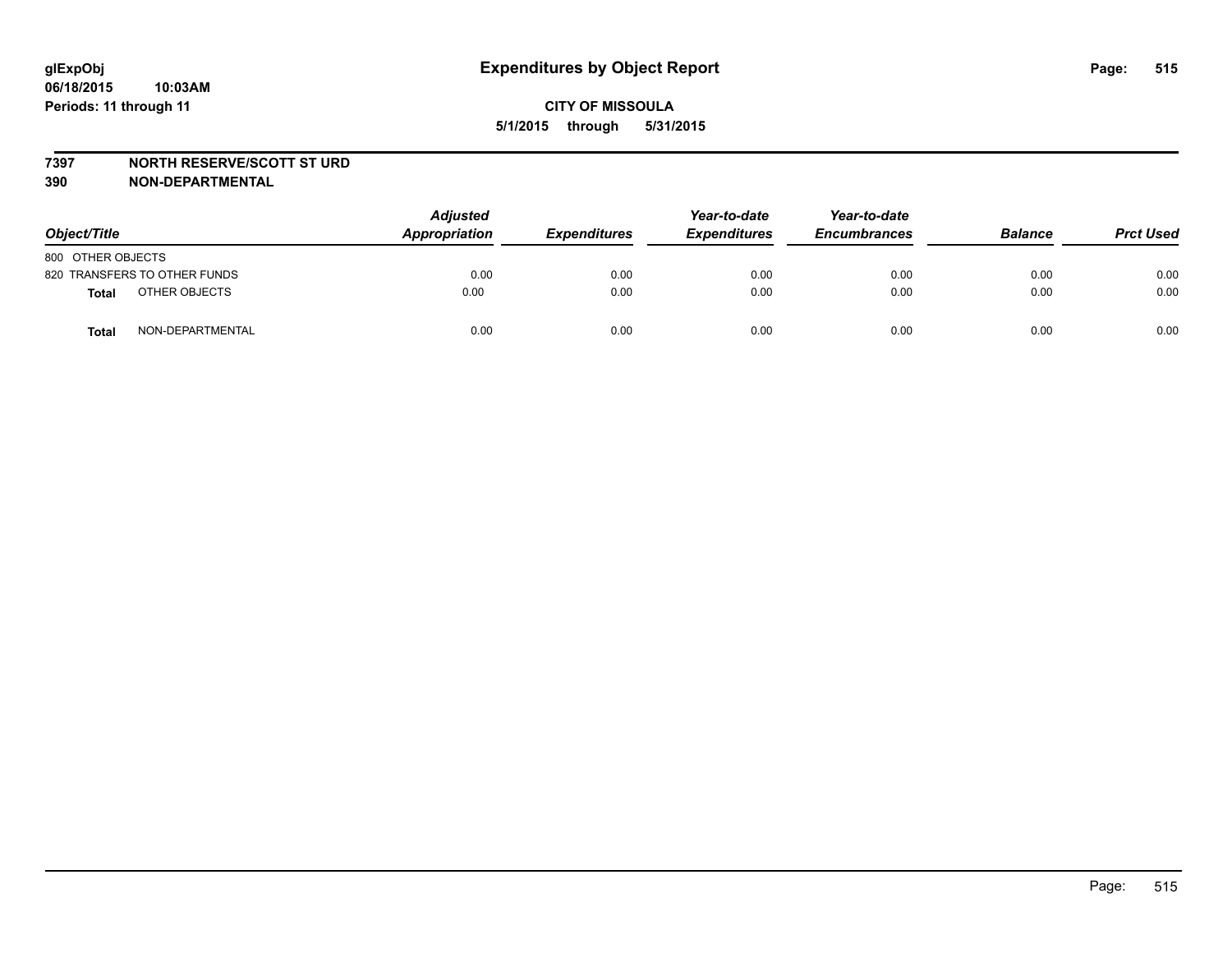### **7397 NORTH RESERVE/SCOTT ST URD**

**390 NON-DEPARTMENTAL**

| Object/Title      |                              | <b>Adjusted</b><br>Appropriation | <b>Expenditures</b> | Year-to-date<br><b>Expenditures</b> | Year-to-date<br><b>Encumbrances</b> | <b>Balance</b> | <b>Prct Used</b> |
|-------------------|------------------------------|----------------------------------|---------------------|-------------------------------------|-------------------------------------|----------------|------------------|
| 800 OTHER OBJECTS |                              |                                  |                     |                                     |                                     |                |                  |
|                   | 820 TRANSFERS TO OTHER FUNDS | 0.00                             | 0.00                | 0.00                                | 0.00                                | 0.00           | 0.00             |
| <b>Total</b>      | OTHER OBJECTS                | 0.00                             | 0.00                | 0.00                                | 0.00                                | 0.00           | 0.00             |
| <b>Total</b>      | NON-DEPARTMENTAL             | 0.00                             | 0.00                | 0.00                                | 0.00                                | 0.00           | 0.00             |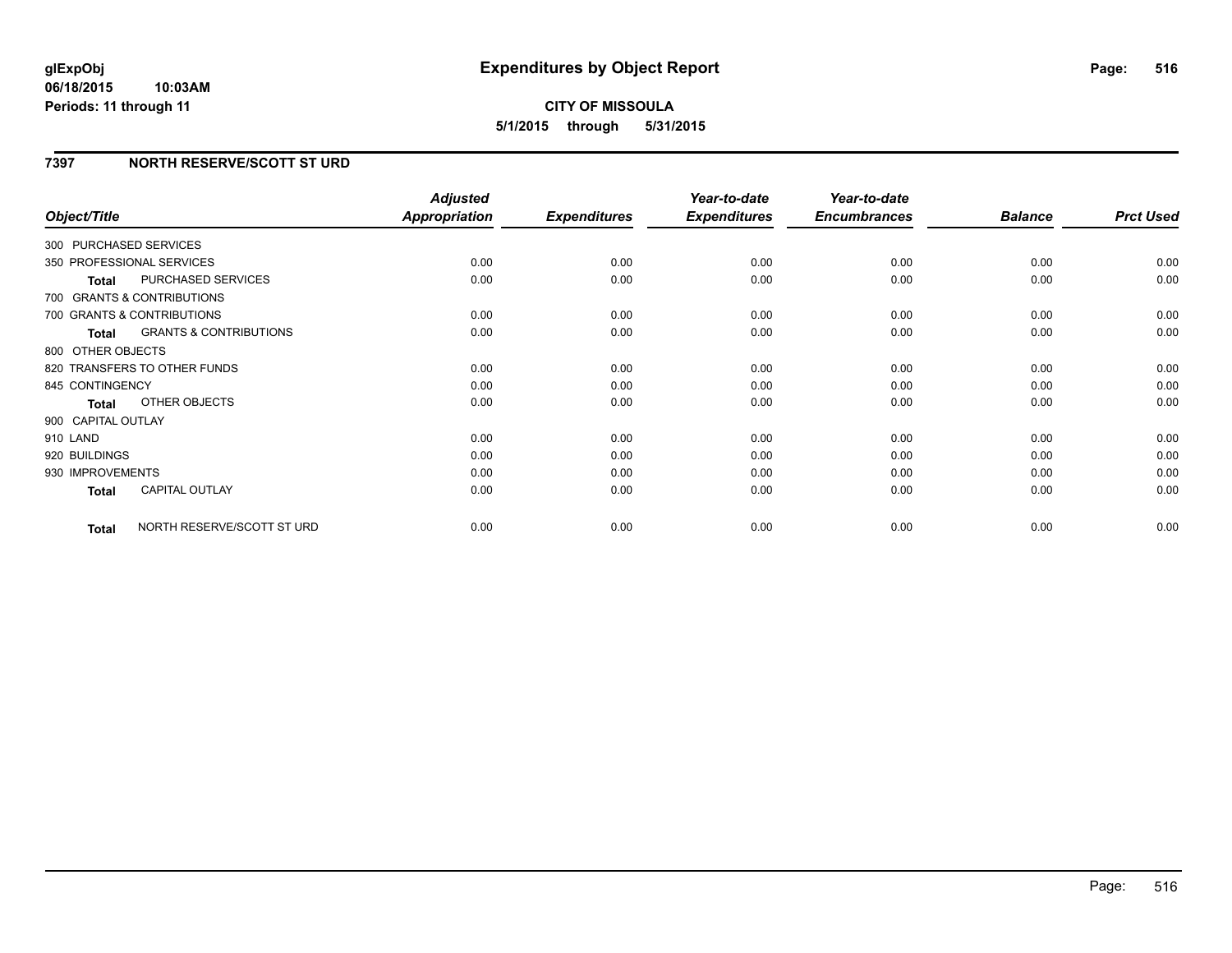### **06/18/2015 10:03AM Periods: 11 through 11**

# **CITY OF MISSOULA 5/1/2015 through 5/31/2015**

### **7397 NORTH RESERVE/SCOTT ST URD**

|                    |                                   | <b>Adjusted</b>      |                     | Year-to-date        | Year-to-date        |                |                  |
|--------------------|-----------------------------------|----------------------|---------------------|---------------------|---------------------|----------------|------------------|
| Object/Title       |                                   | <b>Appropriation</b> | <b>Expenditures</b> | <b>Expenditures</b> | <b>Encumbrances</b> | <b>Balance</b> | <b>Prct Used</b> |
|                    | 300 PURCHASED SERVICES            |                      |                     |                     |                     |                |                  |
|                    | 350 PROFESSIONAL SERVICES         | 0.00                 | 0.00                | 0.00                | 0.00                | 0.00           | 0.00             |
| <b>Total</b>       | PURCHASED SERVICES                | 0.00                 | 0.00                | 0.00                | 0.00                | 0.00           | 0.00             |
|                    | 700 GRANTS & CONTRIBUTIONS        |                      |                     |                     |                     |                |                  |
|                    | 700 GRANTS & CONTRIBUTIONS        | 0.00                 | 0.00                | 0.00                | 0.00                | 0.00           | 0.00             |
| <b>Total</b>       | <b>GRANTS &amp; CONTRIBUTIONS</b> | 0.00                 | 0.00                | 0.00                | 0.00                | 0.00           | 0.00             |
| 800 OTHER OBJECTS  |                                   |                      |                     |                     |                     |                |                  |
|                    | 820 TRANSFERS TO OTHER FUNDS      | 0.00                 | 0.00                | 0.00                | 0.00                | 0.00           | 0.00             |
| 845 CONTINGENCY    |                                   | 0.00                 | 0.00                | 0.00                | 0.00                | 0.00           | 0.00             |
| <b>Total</b>       | <b>OTHER OBJECTS</b>              | 0.00                 | 0.00                | 0.00                | 0.00                | 0.00           | 0.00             |
| 900 CAPITAL OUTLAY |                                   |                      |                     |                     |                     |                |                  |
| 910 LAND           |                                   | 0.00                 | 0.00                | 0.00                | 0.00                | 0.00           | 0.00             |
| 920 BUILDINGS      |                                   | 0.00                 | 0.00                | 0.00                | 0.00                | 0.00           | 0.00             |
| 930 IMPROVEMENTS   |                                   | 0.00                 | 0.00                | 0.00                | 0.00                | 0.00           | 0.00             |
| <b>Total</b>       | CAPITAL OUTLAY                    | 0.00                 | 0.00                | 0.00                | 0.00                | 0.00           | 0.00             |
| <b>Total</b>       | NORTH RESERVE/SCOTT ST URD        | 0.00                 | 0.00                | 0.00                | 0.00                | 0.00           | 0.00             |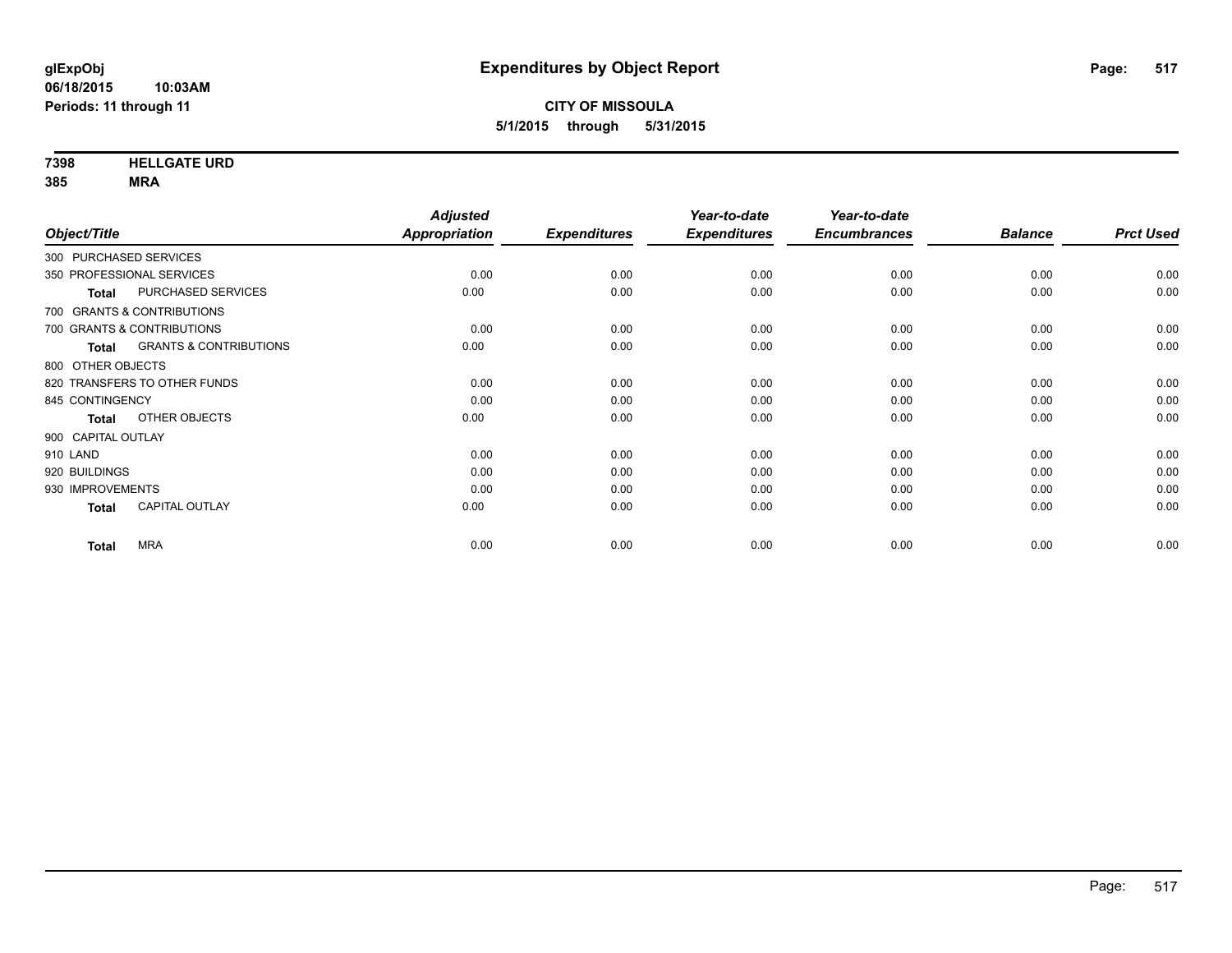**7398 HELLGATE URD**

**385 MRA**

|                                            | <b>Adjusted</b> |                     | Year-to-date        | Year-to-date        |                |                  |
|--------------------------------------------|-----------------|---------------------|---------------------|---------------------|----------------|------------------|
| Object/Title                               | Appropriation   | <b>Expenditures</b> | <b>Expenditures</b> | <b>Encumbrances</b> | <b>Balance</b> | <b>Prct Used</b> |
| 300 PURCHASED SERVICES                     |                 |                     |                     |                     |                |                  |
| 350 PROFESSIONAL SERVICES                  | 0.00            | 0.00                | 0.00                | 0.00                | 0.00           | 0.00             |
| PURCHASED SERVICES<br><b>Total</b>         | 0.00            | 0.00                | 0.00                | 0.00                | 0.00           | 0.00             |
| 700 GRANTS & CONTRIBUTIONS                 |                 |                     |                     |                     |                |                  |
| 700 GRANTS & CONTRIBUTIONS                 | 0.00            | 0.00                | 0.00                | 0.00                | 0.00           | 0.00             |
| <b>GRANTS &amp; CONTRIBUTIONS</b><br>Total | 0.00            | 0.00                | 0.00                | 0.00                | 0.00           | 0.00             |
| 800 OTHER OBJECTS                          |                 |                     |                     |                     |                |                  |
| 820 TRANSFERS TO OTHER FUNDS               | 0.00            | 0.00                | 0.00                | 0.00                | 0.00           | 0.00             |
| 845 CONTINGENCY                            | 0.00            | 0.00                | 0.00                | 0.00                | 0.00           | 0.00             |
| OTHER OBJECTS<br><b>Total</b>              | 0.00            | 0.00                | 0.00                | 0.00                | 0.00           | 0.00             |
| 900 CAPITAL OUTLAY                         |                 |                     |                     |                     |                |                  |
| 910 LAND                                   | 0.00            | 0.00                | 0.00                | 0.00                | 0.00           | 0.00             |
| 920 BUILDINGS                              | 0.00            | 0.00                | 0.00                | 0.00                | 0.00           | 0.00             |
| 930 IMPROVEMENTS                           | 0.00            | 0.00                | 0.00                | 0.00                | 0.00           | 0.00             |
| <b>CAPITAL OUTLAY</b><br><b>Total</b>      | 0.00            | 0.00                | 0.00                | 0.00                | 0.00           | 0.00             |
| <b>MRA</b><br><b>Total</b>                 | 0.00            | 0.00                | 0.00                | 0.00                | 0.00           | 0.00             |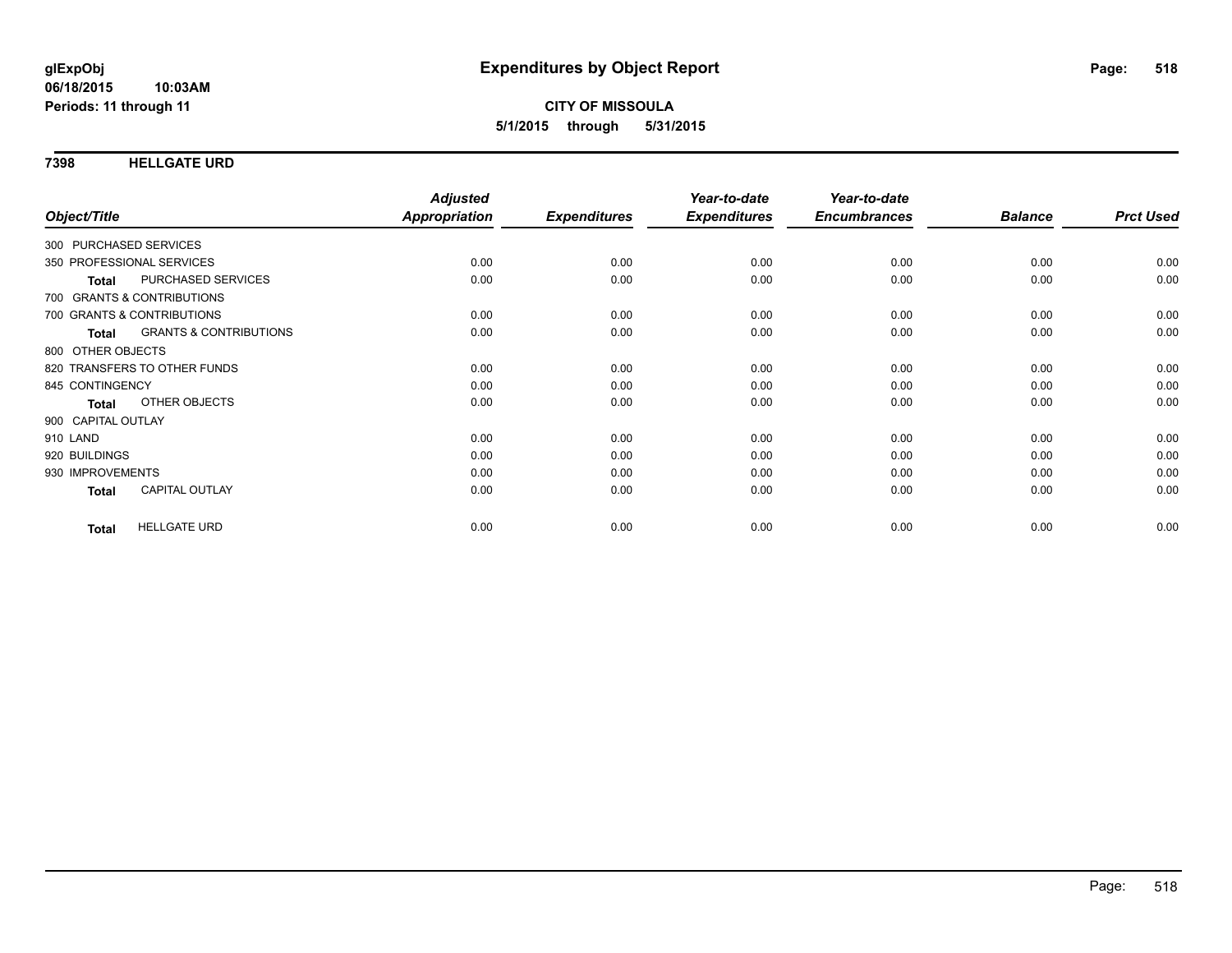### **7398 HELLGATE URD**

|                        |                                   | <b>Adjusted</b>      |                     | Year-to-date        | Year-to-date        |                |                  |
|------------------------|-----------------------------------|----------------------|---------------------|---------------------|---------------------|----------------|------------------|
| Object/Title           |                                   | <b>Appropriation</b> | <b>Expenditures</b> | <b>Expenditures</b> | <b>Encumbrances</b> | <b>Balance</b> | <b>Prct Used</b> |
| 300 PURCHASED SERVICES |                                   |                      |                     |                     |                     |                |                  |
|                        | 350 PROFESSIONAL SERVICES         | 0.00                 | 0.00                | 0.00                | 0.00                | 0.00           | 0.00             |
| <b>Total</b>           | PURCHASED SERVICES                | 0.00                 | 0.00                | 0.00                | 0.00                | 0.00           | 0.00             |
|                        | 700 GRANTS & CONTRIBUTIONS        |                      |                     |                     |                     |                |                  |
|                        | 700 GRANTS & CONTRIBUTIONS        | 0.00                 | 0.00                | 0.00                | 0.00                | 0.00           | 0.00             |
| <b>Total</b>           | <b>GRANTS &amp; CONTRIBUTIONS</b> | 0.00                 | 0.00                | 0.00                | 0.00                | 0.00           | 0.00             |
| 800 OTHER OBJECTS      |                                   |                      |                     |                     |                     |                |                  |
|                        | 820 TRANSFERS TO OTHER FUNDS      | 0.00                 | 0.00                | 0.00                | 0.00                | 0.00           | 0.00             |
| 845 CONTINGENCY        |                                   | 0.00                 | 0.00                | 0.00                | 0.00                | 0.00           | 0.00             |
| <b>Total</b>           | <b>OTHER OBJECTS</b>              | 0.00                 | 0.00                | 0.00                | 0.00                | 0.00           | 0.00             |
| 900 CAPITAL OUTLAY     |                                   |                      |                     |                     |                     |                |                  |
| 910 LAND               |                                   | 0.00                 | 0.00                | 0.00                | 0.00                | 0.00           | 0.00             |
| 920 BUILDINGS          |                                   | 0.00                 | 0.00                | 0.00                | 0.00                | 0.00           | 0.00             |
| 930 IMPROVEMENTS       |                                   | 0.00                 | 0.00                | 0.00                | 0.00                | 0.00           | 0.00             |
| <b>Total</b>           | CAPITAL OUTLAY                    | 0.00                 | 0.00                | 0.00                | 0.00                | 0.00           | 0.00             |
| <b>Total</b>           | <b>HELLGATE URD</b>               | 0.00                 | 0.00                | 0.00                | 0.00                | 0.00           | 0.00             |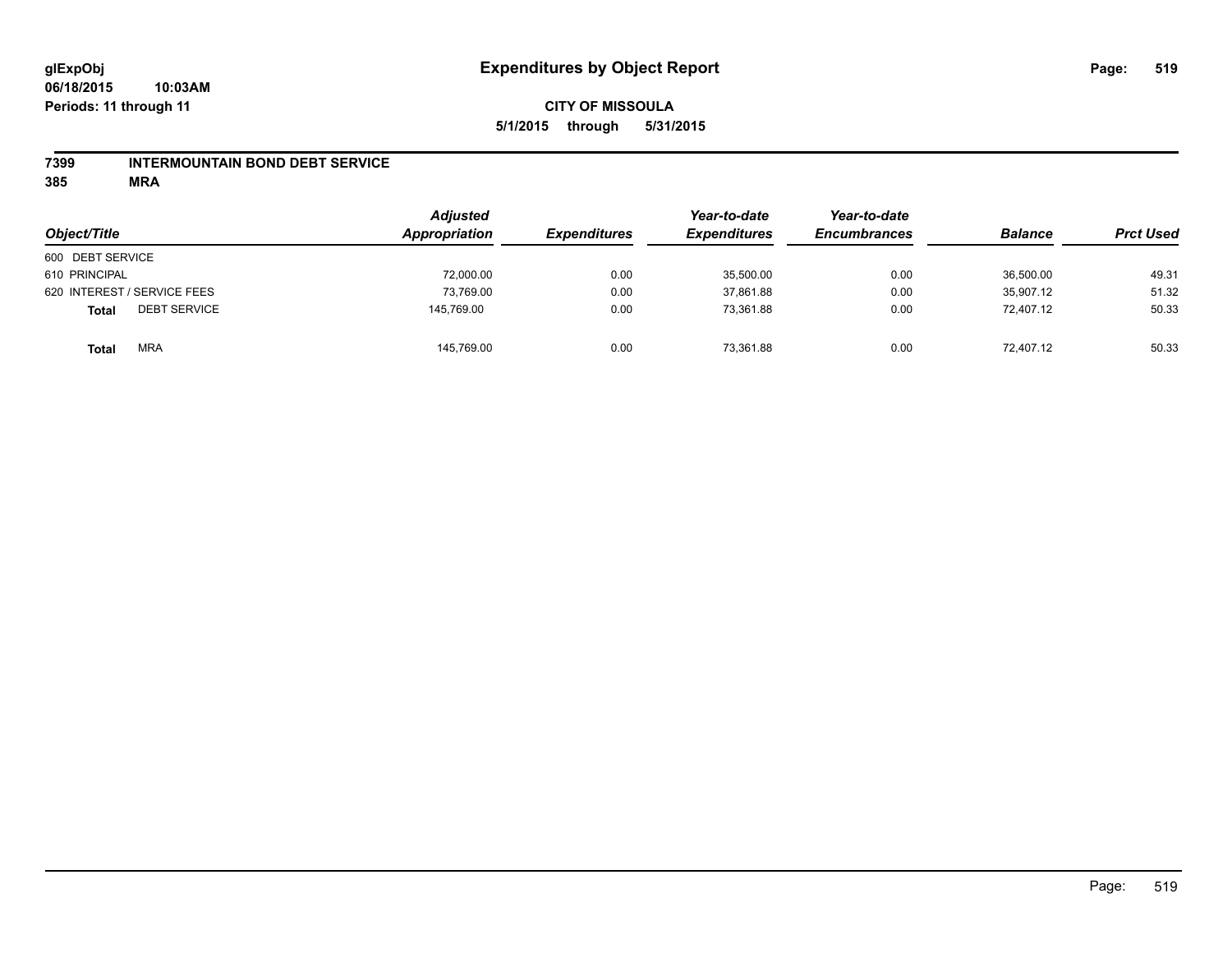### **7399 INTERMOUNTAIN BOND DEBT SERVICE**

**385 MRA**

| Object/Title                        | <b>Adjusted</b><br>Appropriation | <b>Expenditures</b> | Year-to-date<br><b>Expenditures</b> | Year-to-date<br><b>Encumbrances</b> | <b>Balance</b> | <b>Prct Used</b> |
|-------------------------------------|----------------------------------|---------------------|-------------------------------------|-------------------------------------|----------------|------------------|
| 600 DEBT SERVICE                    |                                  |                     |                                     |                                     |                |                  |
| 610 PRINCIPAL                       | 72,000.00                        | 0.00                | 35,500.00                           | 0.00                                | 36,500.00      | 49.31            |
| 620 INTEREST / SERVICE FEES         | 73,769.00                        | 0.00                | 37,861.88                           | 0.00                                | 35,907.12      | 51.32            |
| <b>DEBT SERVICE</b><br><b>Total</b> | 145,769.00                       | 0.00                | 73.361.88                           | 0.00                                | 72.407.12      | 50.33            |
| <b>MRA</b><br><b>Total</b>          | 145,769.00                       | 0.00                | 73,361.88                           | 0.00                                | 72.407.12      | 50.33            |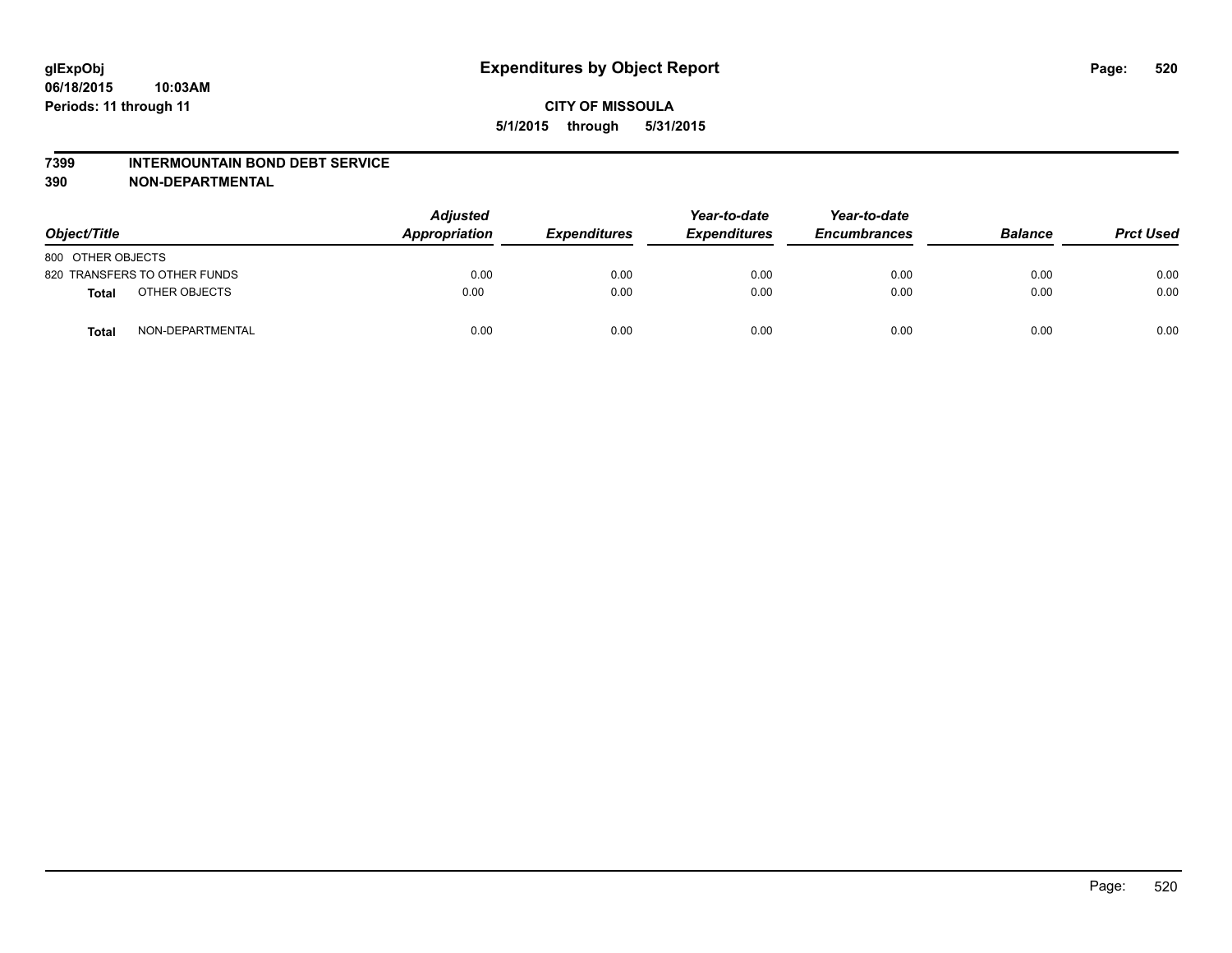#### **7399 INTERMOUNTAIN BOND DEBT SERVICE**

**390 NON-DEPARTMENTAL**

| Object/Title                     | <b>Adjusted</b><br>Appropriation | <b>Expenditures</b> | Year-to-date<br><b>Expenditures</b> | Year-to-date<br><b>Encumbrances</b> | <b>Balance</b> | <b>Prct Used</b> |
|----------------------------------|----------------------------------|---------------------|-------------------------------------|-------------------------------------|----------------|------------------|
| 800 OTHER OBJECTS                |                                  |                     |                                     |                                     |                |                  |
| 820 TRANSFERS TO OTHER FUNDS     | 0.00                             | 0.00                | 0.00                                | 0.00                                | 0.00           | 0.00             |
| OTHER OBJECTS<br><b>Total</b>    | 0.00                             | 0.00                | 0.00                                | 0.00                                | 0.00           | 0.00             |
| NON-DEPARTMENTAL<br><b>Total</b> | 0.00                             | 0.00                | 0.00                                | 0.00                                | 0.00           | 0.00             |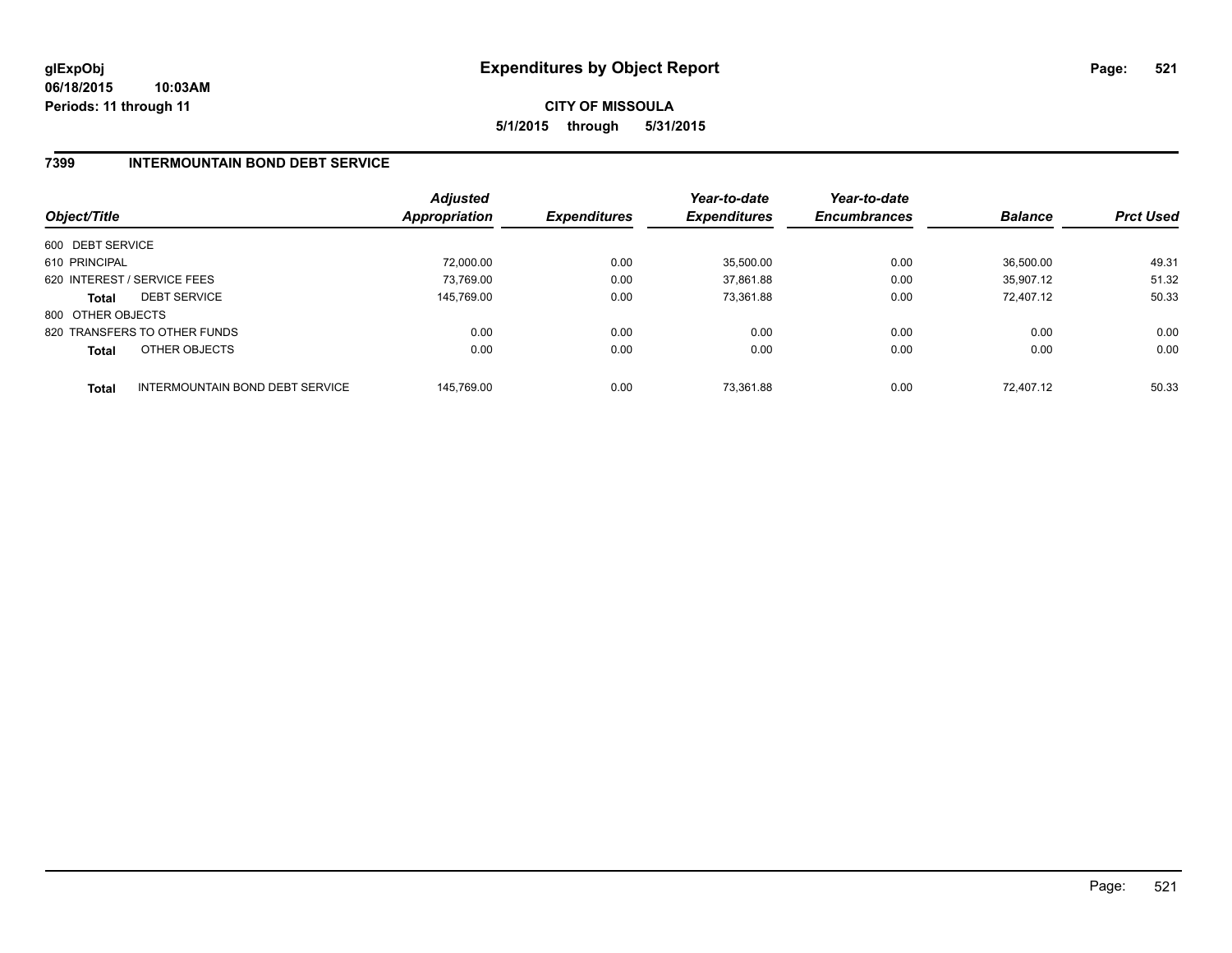# **7399 INTERMOUNTAIN BOND DEBT SERVICE**

| Object/Title                |                                 | <b>Adjusted</b><br>Appropriation | <b>Expenditures</b> | Year-to-date<br><b>Expenditures</b> | Year-to-date<br><b>Encumbrances</b> | <b>Balance</b> | <b>Prct Used</b> |
|-----------------------------|---------------------------------|----------------------------------|---------------------|-------------------------------------|-------------------------------------|----------------|------------------|
| 600 DEBT SERVICE            |                                 |                                  |                     |                                     |                                     |                |                  |
| 610 PRINCIPAL               |                                 | 72.000.00                        | 0.00                | 35,500.00                           | 0.00                                | 36,500.00      | 49.31            |
| 620 INTEREST / SERVICE FEES |                                 | 73.769.00                        | 0.00                | 37.861.88                           | 0.00                                | 35.907.12      | 51.32            |
| <b>Total</b>                | <b>DEBT SERVICE</b>             | 145,769.00                       | 0.00                | 73,361.88                           | 0.00                                | 72.407.12      | 50.33            |
| 800 OTHER OBJECTS           |                                 |                                  |                     |                                     |                                     |                |                  |
|                             | 820 TRANSFERS TO OTHER FUNDS    | 0.00                             | 0.00                | 0.00                                | 0.00                                | 0.00           | 0.00             |
| <b>Total</b>                | OTHER OBJECTS                   | 0.00                             | 0.00                | 0.00                                | 0.00                                | 0.00           | 0.00             |
| <b>Total</b>                | INTERMOUNTAIN BOND DEBT SERVICE | 145,769.00                       | 0.00                | 73.361.88                           | 0.00                                | 72.407.12      | 50.33            |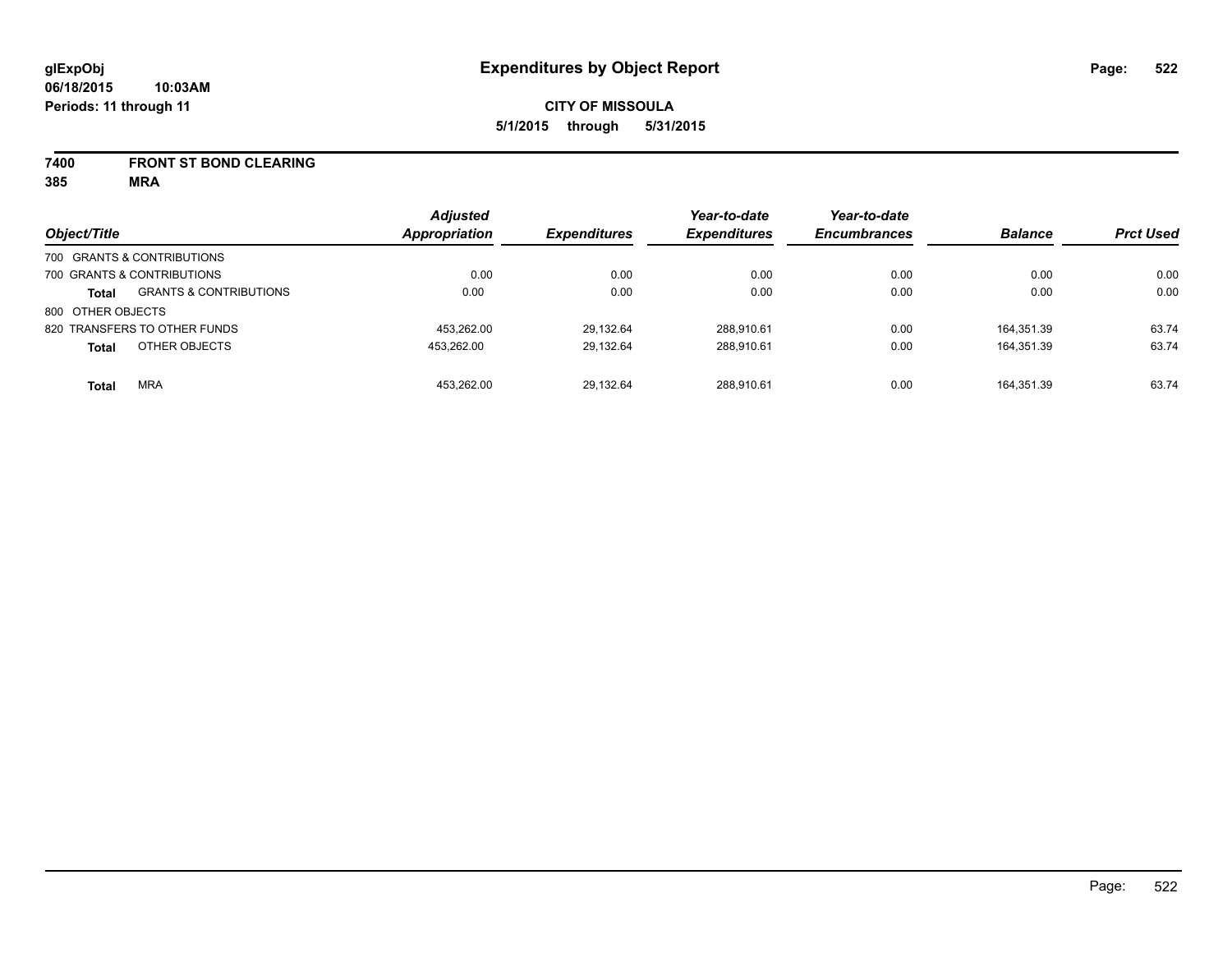**7400 FRONT ST BOND CLEARING**

**385 MRA**

| Object/Title               |                                   | <b>Adjusted</b><br><b>Appropriation</b> | <b>Expenditures</b> | Year-to-date<br><b>Expenditures</b> | Year-to-date<br><b>Encumbrances</b> | <b>Balance</b> | <b>Prct Used</b> |
|----------------------------|-----------------------------------|-----------------------------------------|---------------------|-------------------------------------|-------------------------------------|----------------|------------------|
| 700 GRANTS & CONTRIBUTIONS |                                   |                                         |                     |                                     |                                     |                |                  |
| 700 GRANTS & CONTRIBUTIONS |                                   | 0.00                                    | 0.00                | 0.00                                | 0.00                                | 0.00           | 0.00             |
| <b>Total</b>               | <b>GRANTS &amp; CONTRIBUTIONS</b> | 0.00                                    | 0.00                | 0.00                                | 0.00                                | 0.00           | 0.00             |
| 800 OTHER OBJECTS          |                                   |                                         |                     |                                     |                                     |                |                  |
|                            | 820 TRANSFERS TO OTHER FUNDS      | 453.262.00                              | 29.132.64           | 288.910.61                          | 0.00                                | 164.351.39     | 63.74            |
| <b>Total</b>               | OTHER OBJECTS                     | 453.262.00                              | 29,132.64           | 288,910.61                          | 0.00                                | 164.351.39     | 63.74            |
| <b>Total</b>               | <b>MRA</b>                        | 453.262.00                              | 29.132.64           | 288.910.61                          | 0.00                                | 164.351.39     | 63.74            |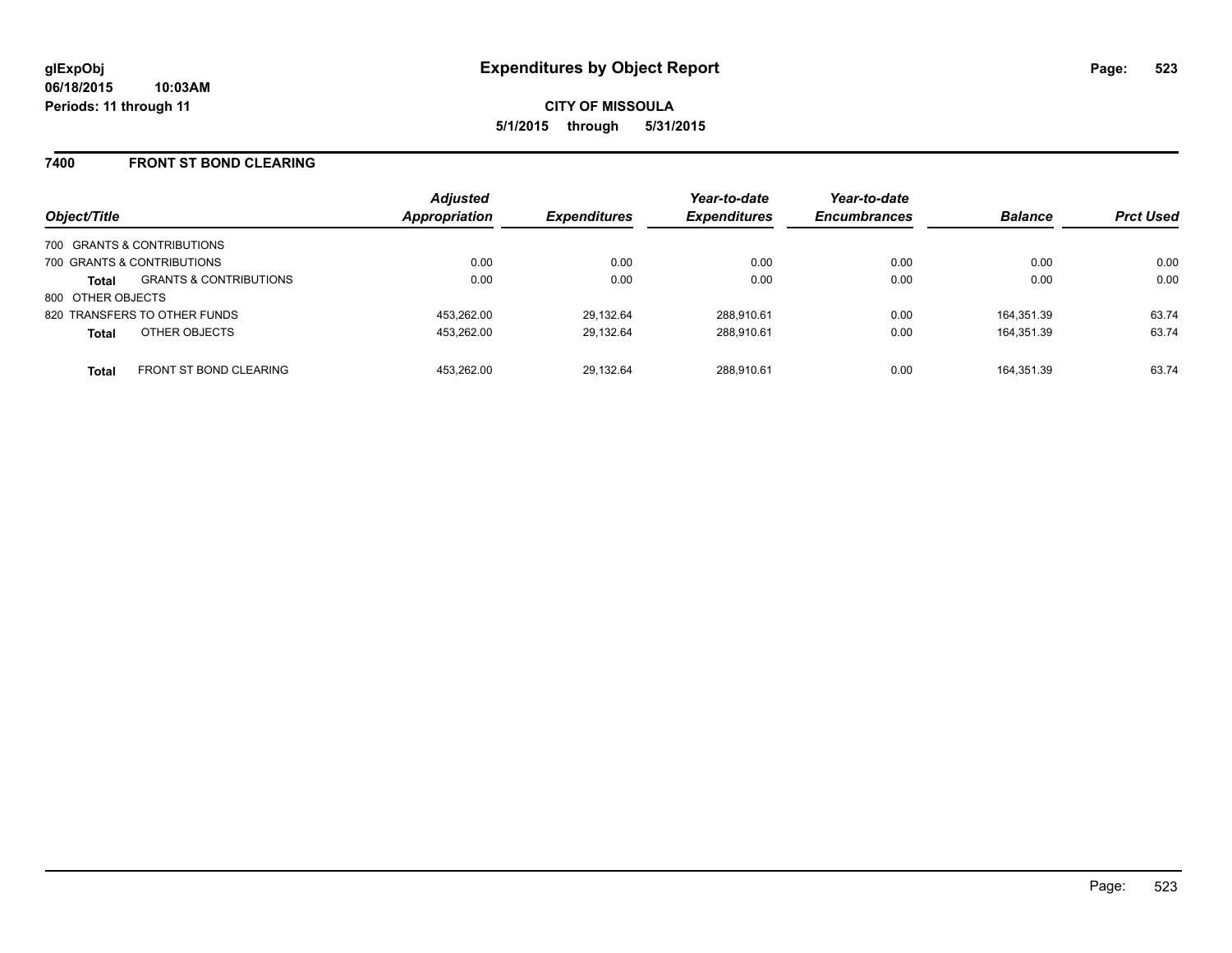### **7400 FRONT ST BOND CLEARING**

| Object/Title                                      | <b>Adjusted</b><br>Appropriation | <b>Expenditures</b> | Year-to-date<br><b>Expenditures</b> | Year-to-date<br><b>Encumbrances</b> | <b>Balance</b> | <b>Prct Used</b> |
|---------------------------------------------------|----------------------------------|---------------------|-------------------------------------|-------------------------------------|----------------|------------------|
| 700 GRANTS & CONTRIBUTIONS                        |                                  |                     |                                     |                                     |                |                  |
| 700 GRANTS & CONTRIBUTIONS                        | 0.00                             | 0.00                | 0.00                                | 0.00                                | 0.00           | 0.00             |
| <b>GRANTS &amp; CONTRIBUTIONS</b><br><b>Total</b> | 0.00                             | 0.00                | 0.00                                | 0.00                                | 0.00           | 0.00             |
| 800 OTHER OBJECTS                                 |                                  |                     |                                     |                                     |                |                  |
| 820 TRANSFERS TO OTHER FUNDS                      | 453.262.00                       | 29,132.64           | 288.910.61                          | 0.00                                | 164.351.39     | 63.74            |
| OTHER OBJECTS<br><b>Total</b>                     | 453.262.00                       | 29.132.64           | 288,910.61                          | 0.00                                | 164.351.39     | 63.74            |
| <b>FRONT ST BOND CLEARING</b><br><b>Total</b>     | 453.262.00                       | 29.132.64           | 288.910.61                          | 0.00                                | 164.351.39     | 63.74            |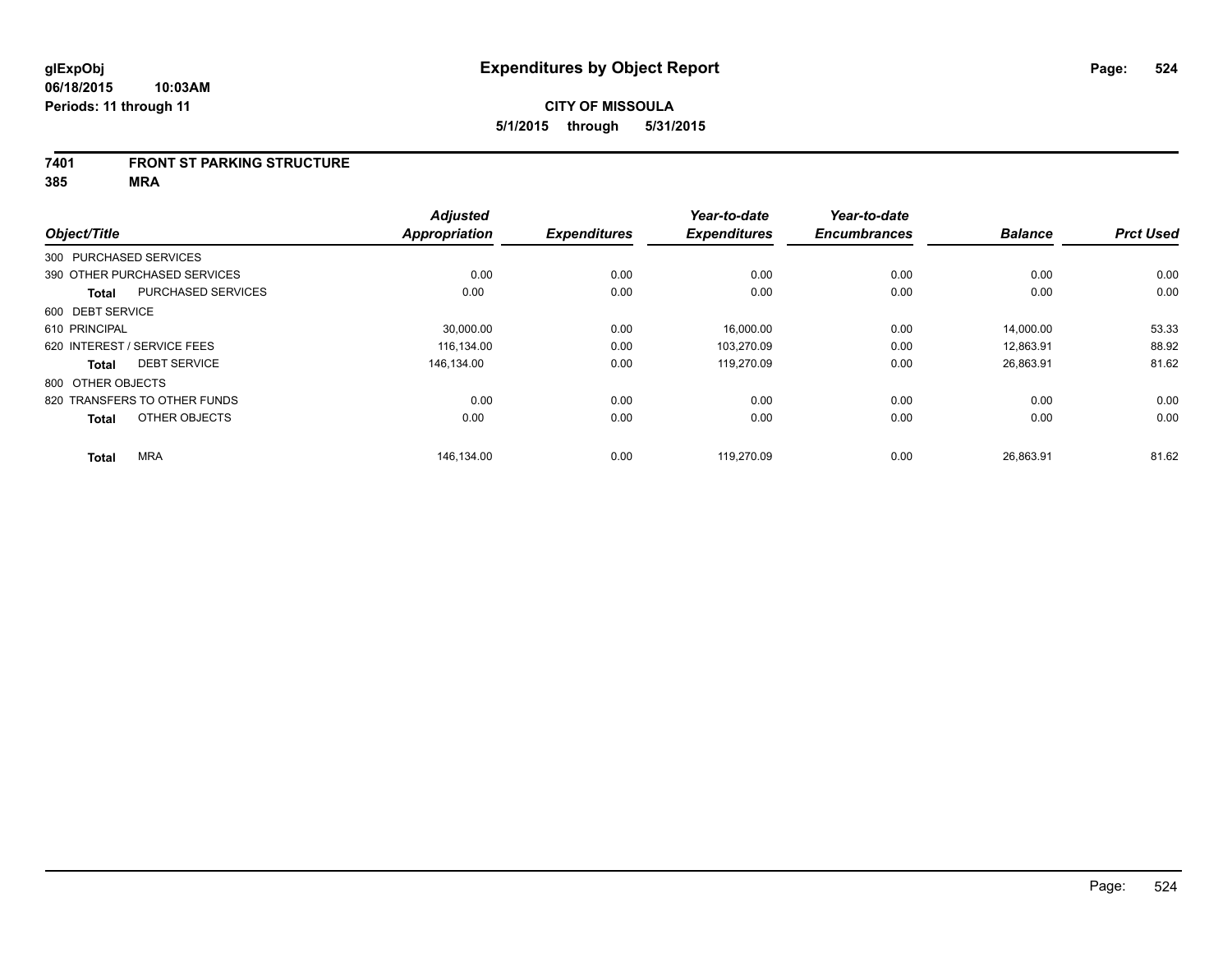#### **7401 FRONT ST PARKING STRUCTURE**

**385 MRA**

| Object/Title                              | <b>Adjusted</b><br><b>Appropriation</b> | <b>Expenditures</b> | Year-to-date<br><b>Expenditures</b> | Year-to-date<br><b>Encumbrances</b> | <b>Balance</b> | <b>Prct Used</b> |
|-------------------------------------------|-----------------------------------------|---------------------|-------------------------------------|-------------------------------------|----------------|------------------|
| 300 PURCHASED SERVICES                    |                                         |                     |                                     |                                     |                |                  |
|                                           |                                         |                     |                                     |                                     |                |                  |
| 390 OTHER PURCHASED SERVICES              | 0.00                                    | 0.00                | 0.00                                | 0.00                                | 0.00           | 0.00             |
| <b>PURCHASED SERVICES</b><br><b>Total</b> | 0.00                                    | 0.00                | 0.00                                | 0.00                                | 0.00           | 0.00             |
| 600 DEBT SERVICE                          |                                         |                     |                                     |                                     |                |                  |
| 610 PRINCIPAL                             | 30,000.00                               | 0.00                | 16,000.00                           | 0.00                                | 14,000.00      | 53.33            |
| 620 INTEREST / SERVICE FEES               | 116.134.00                              | 0.00                | 103.270.09                          | 0.00                                | 12.863.91      | 88.92            |
| <b>DEBT SERVICE</b><br><b>Total</b>       | 146.134.00                              | 0.00                | 119,270.09                          | 0.00                                | 26,863.91      | 81.62            |
| 800 OTHER OBJECTS                         |                                         |                     |                                     |                                     |                |                  |
| 820 TRANSFERS TO OTHER FUNDS              | 0.00                                    | 0.00                | 0.00                                | 0.00                                | 0.00           | 0.00             |
| OTHER OBJECTS<br><b>Total</b>             | 0.00                                    | 0.00                | 0.00                                | 0.00                                | 0.00           | 0.00             |
| <b>MRA</b>                                | 146,134.00                              | 0.00                | 119,270.09                          | 0.00                                | 26,863.91      | 81.62            |
| <b>Total</b>                              |                                         |                     |                                     |                                     |                |                  |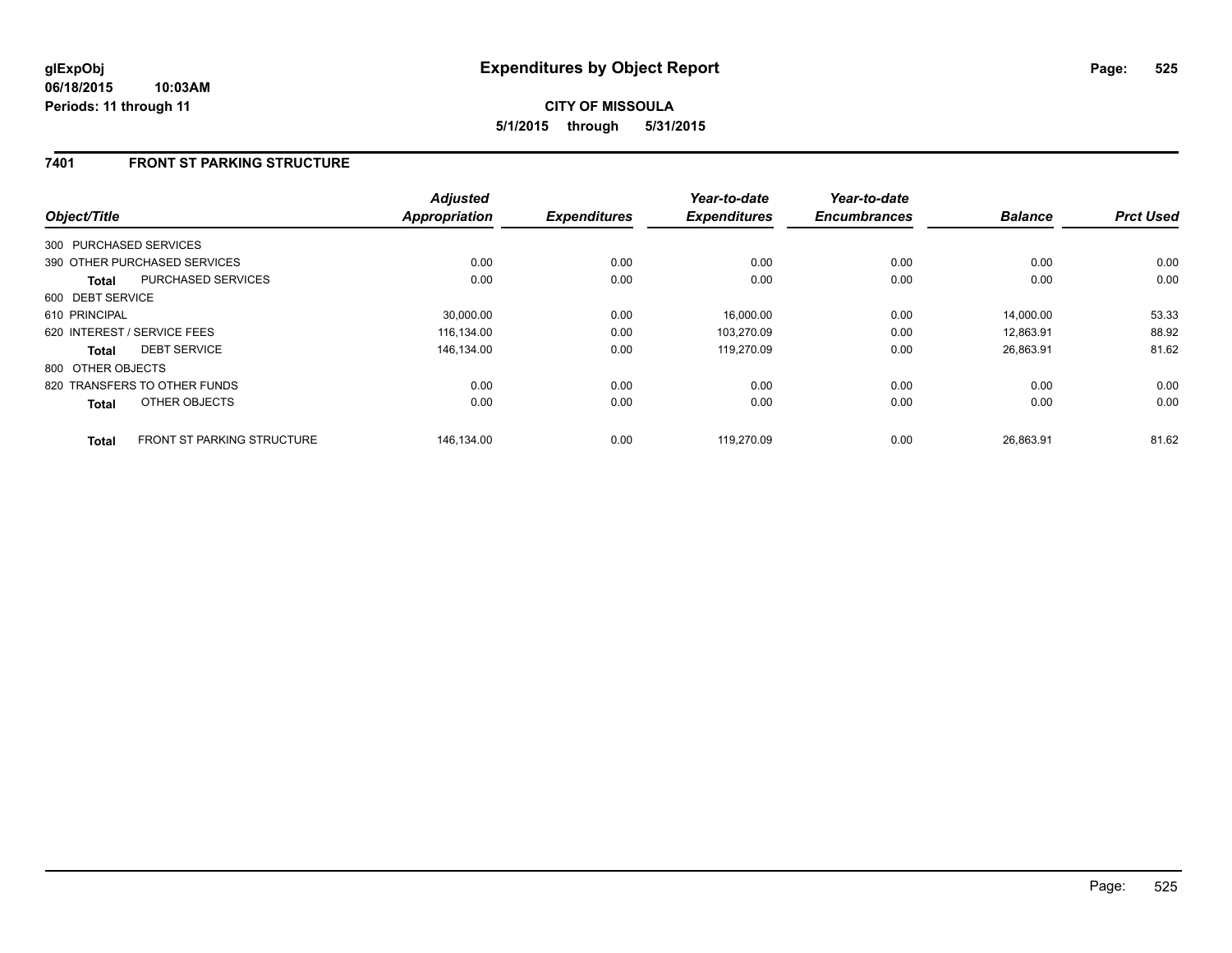# **7401 FRONT ST PARKING STRUCTURE**

| Object/Title                 |                                   | <b>Adjusted</b><br><b>Appropriation</b> | <b>Expenditures</b> | Year-to-date<br><b>Expenditures</b> | Year-to-date<br><b>Encumbrances</b> | <b>Balance</b> | <b>Prct Used</b> |
|------------------------------|-----------------------------------|-----------------------------------------|---------------------|-------------------------------------|-------------------------------------|----------------|------------------|
| 300 PURCHASED SERVICES       |                                   |                                         |                     |                                     |                                     |                |                  |
| 390 OTHER PURCHASED SERVICES |                                   | 0.00                                    | 0.00                | 0.00                                | 0.00                                | 0.00           | 0.00             |
| <b>Total</b>                 | <b>PURCHASED SERVICES</b>         | 0.00                                    | 0.00                | 0.00                                | 0.00                                | 0.00           | 0.00             |
| 600 DEBT SERVICE             |                                   |                                         |                     |                                     |                                     |                |                  |
| 610 PRINCIPAL                |                                   | 30.000.00                               | 0.00                | 16,000.00                           | 0.00                                | 14.000.00      | 53.33            |
| 620 INTEREST / SERVICE FEES  |                                   | 116,134.00                              | 0.00                | 103,270.09                          | 0.00                                | 12,863.91      | 88.92            |
| Total                        | <b>DEBT SERVICE</b>               | 146,134.00                              | 0.00                | 119,270.09                          | 0.00                                | 26,863.91      | 81.62            |
| 800 OTHER OBJECTS            |                                   |                                         |                     |                                     |                                     |                |                  |
| 820 TRANSFERS TO OTHER FUNDS |                                   | 0.00                                    | 0.00                | 0.00                                | 0.00                                | 0.00           | 0.00             |
| <b>Total</b>                 | OTHER OBJECTS                     | 0.00                                    | 0.00                | 0.00                                | 0.00                                | 0.00           | 0.00             |
| <b>Total</b>                 | <b>FRONT ST PARKING STRUCTURE</b> | 146.134.00                              | 0.00                | 119.270.09                          | 0.00                                | 26.863.91      | 81.62            |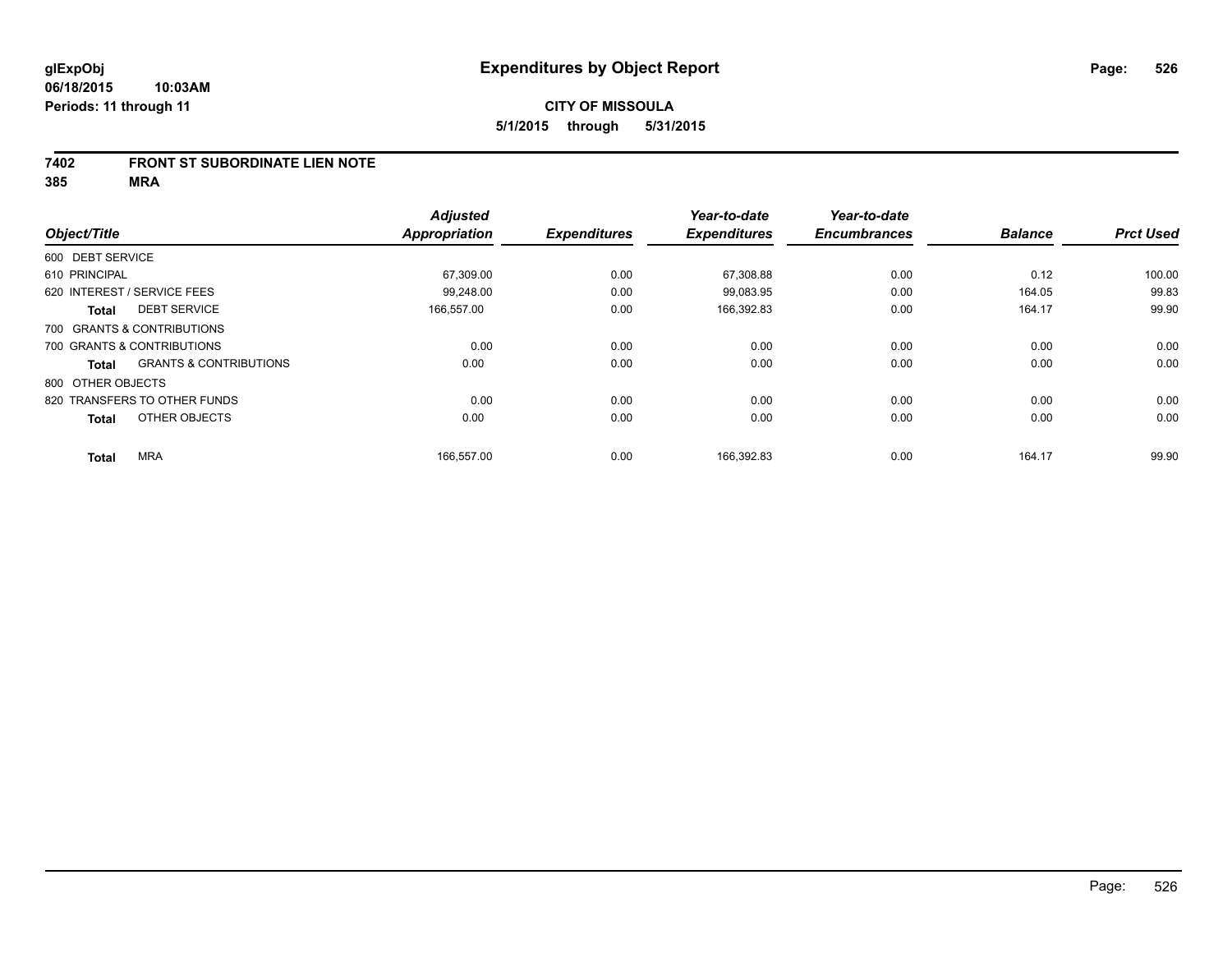### **7402 FRONT ST SUBORDINATE LIEN NOTE**

**385 MRA**

|                   |                                   | <b>Adjusted</b>      |                     | Year-to-date        | Year-to-date        |                |                  |
|-------------------|-----------------------------------|----------------------|---------------------|---------------------|---------------------|----------------|------------------|
| Object/Title      |                                   | <b>Appropriation</b> | <b>Expenditures</b> | <b>Expenditures</b> | <b>Encumbrances</b> | <b>Balance</b> | <b>Prct Used</b> |
| 600 DEBT SERVICE  |                                   |                      |                     |                     |                     |                |                  |
| 610 PRINCIPAL     |                                   | 67,309.00            | 0.00                | 67,308.88           | 0.00                | 0.12           | 100.00           |
|                   | 620 INTEREST / SERVICE FEES       | 99,248.00            | 0.00                | 99,083.95           | 0.00                | 164.05         | 99.83            |
| <b>Total</b>      | <b>DEBT SERVICE</b>               | 166,557.00           | 0.00                | 166,392.83          | 0.00                | 164.17         | 99.90            |
|                   | 700 GRANTS & CONTRIBUTIONS        |                      |                     |                     |                     |                |                  |
|                   | 700 GRANTS & CONTRIBUTIONS        | 0.00                 | 0.00                | 0.00                | 0.00                | 0.00           | 0.00             |
| Total             | <b>GRANTS &amp; CONTRIBUTIONS</b> | 0.00                 | 0.00                | 0.00                | 0.00                | 0.00           | 0.00             |
| 800 OTHER OBJECTS |                                   |                      |                     |                     |                     |                |                  |
|                   | 820 TRANSFERS TO OTHER FUNDS      | 0.00                 | 0.00                | 0.00                | 0.00                | 0.00           | 0.00             |
| <b>Total</b>      | OTHER OBJECTS                     | 0.00                 | 0.00                | 0.00                | 0.00                | 0.00           | 0.00             |
| <b>Total</b>      | <b>MRA</b>                        | 166,557.00           | 0.00                | 166,392.83          | 0.00                | 164.17         | 99.90            |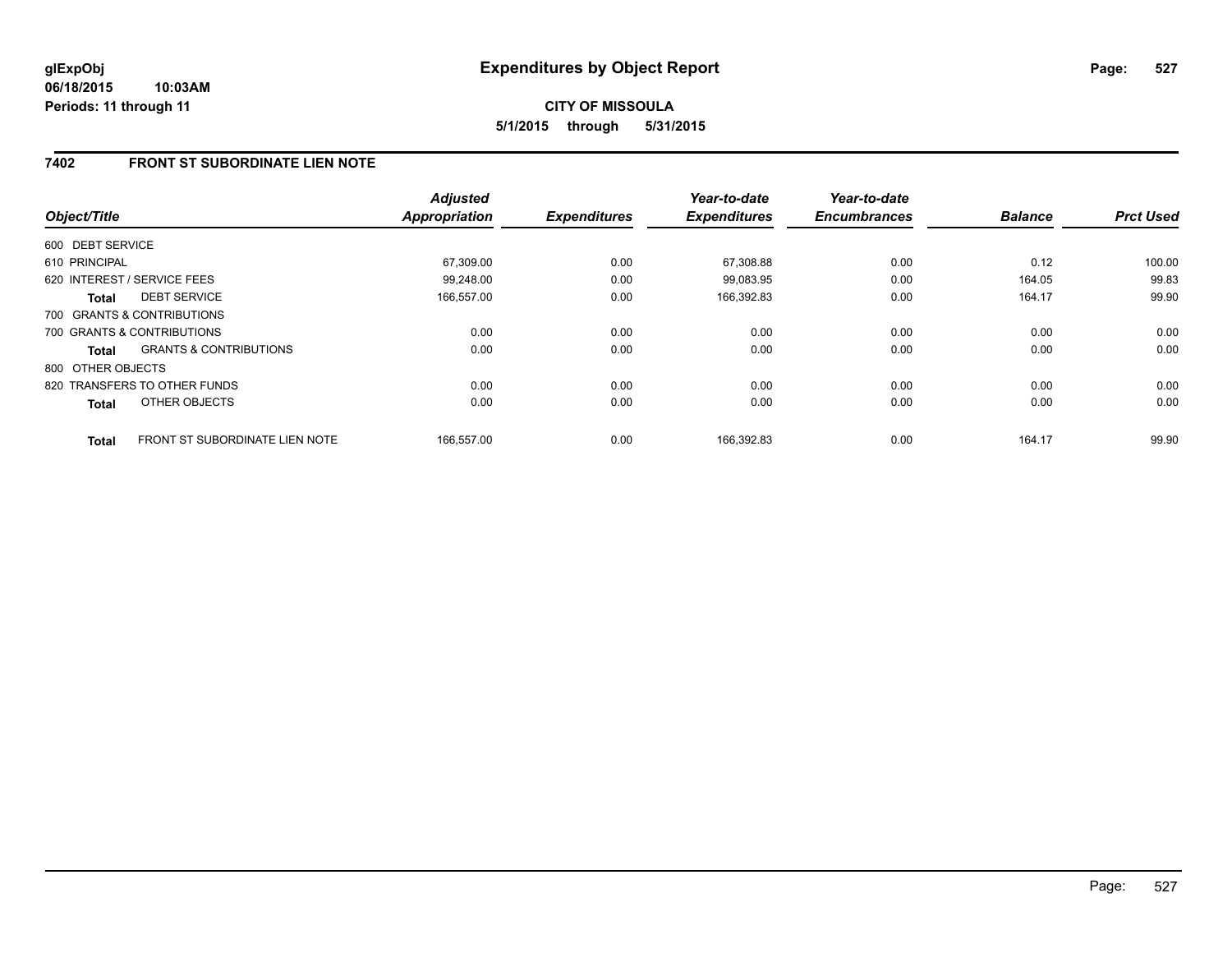#### **06/18/2015 10:03AM Periods: 11 through 11**

# **CITY OF MISSOULA 5/1/2015 through 5/31/2015**

# **7402 FRONT ST SUBORDINATE LIEN NOTE**

| Object/Title      |                                       | <b>Adjusted</b><br><b>Appropriation</b> | <b>Expenditures</b> | Year-to-date<br><b>Expenditures</b> | Year-to-date<br><b>Encumbrances</b> | <b>Balance</b> | <b>Prct Used</b> |
|-------------------|---------------------------------------|-----------------------------------------|---------------------|-------------------------------------|-------------------------------------|----------------|------------------|
| 600 DEBT SERVICE  |                                       |                                         |                     |                                     |                                     |                |                  |
|                   |                                       |                                         |                     |                                     |                                     |                |                  |
| 610 PRINCIPAL     |                                       | 67,309.00                               | 0.00                | 67,308.88                           | 0.00                                | 0.12           | 100.00           |
|                   | 620 INTEREST / SERVICE FEES           | 99,248.00                               | 0.00                | 99,083.95                           | 0.00                                | 164.05         | 99.83            |
| Total             | <b>DEBT SERVICE</b>                   | 166,557.00                              | 0.00                | 166,392.83                          | 0.00                                | 164.17         | 99.90            |
|                   | 700 GRANTS & CONTRIBUTIONS            |                                         |                     |                                     |                                     |                |                  |
|                   | 700 GRANTS & CONTRIBUTIONS            | 0.00                                    | 0.00                | 0.00                                | 0.00                                | 0.00           | 0.00             |
| Total             | <b>GRANTS &amp; CONTRIBUTIONS</b>     | 0.00                                    | 0.00                | 0.00                                | 0.00                                | 0.00           | 0.00             |
| 800 OTHER OBJECTS |                                       |                                         |                     |                                     |                                     |                |                  |
|                   | 820 TRANSFERS TO OTHER FUNDS          | 0.00                                    | 0.00                | 0.00                                | 0.00                                | 0.00           | 0.00             |
| <b>Total</b>      | OTHER OBJECTS                         | 0.00                                    | 0.00                | 0.00                                | 0.00                                | 0.00           | 0.00             |
| <b>Total</b>      | <b>FRONT ST SUBORDINATE LIEN NOTE</b> | 166,557.00                              | 0.00                | 166,392.83                          | 0.00                                | 164.17         | 99.90            |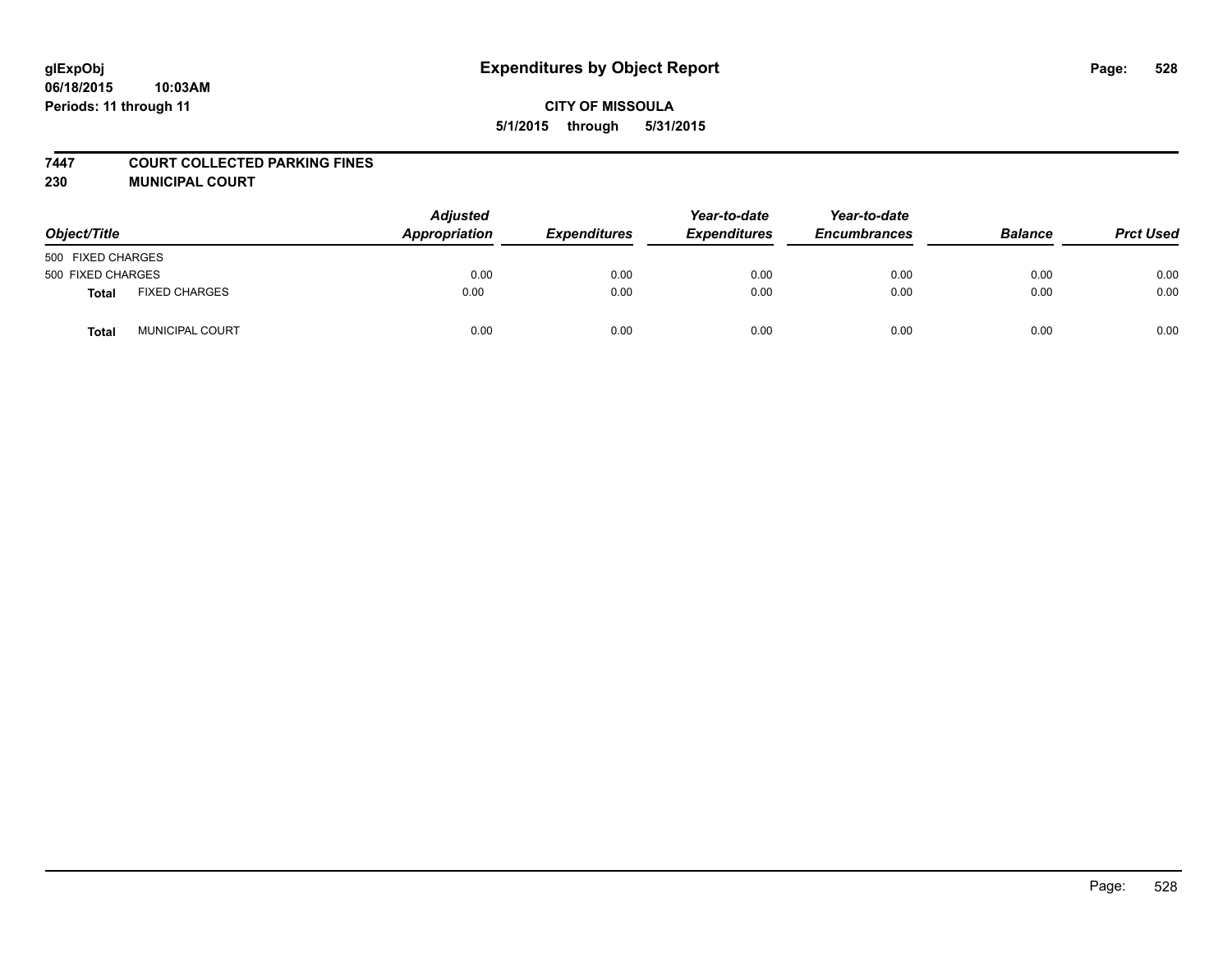#### **7447 COURT COLLECTED PARKING FINES**

**230 MUNICIPAL COURT**

| Object/Title      |                        | <b>Adjusted</b><br>Appropriation | <b>Expenditures</b> | Year-to-date<br><b>Expenditures</b> | Year-to-date<br><b>Encumbrances</b> | <b>Balance</b> | <b>Prct Used</b> |
|-------------------|------------------------|----------------------------------|---------------------|-------------------------------------|-------------------------------------|----------------|------------------|
| 500 FIXED CHARGES |                        |                                  |                     |                                     |                                     |                |                  |
| 500 FIXED CHARGES |                        | 0.00                             | 0.00                | 0.00                                | 0.00                                | 0.00           | 0.00             |
| Total             | <b>FIXED CHARGES</b>   | 0.00                             | 0.00                | 0.00                                | 0.00                                | 0.00           | 0.00             |
| <b>Total</b>      | <b>MUNICIPAL COURT</b> | 0.00                             | 0.00                | 0.00                                | 0.00                                | 0.00           | 0.00             |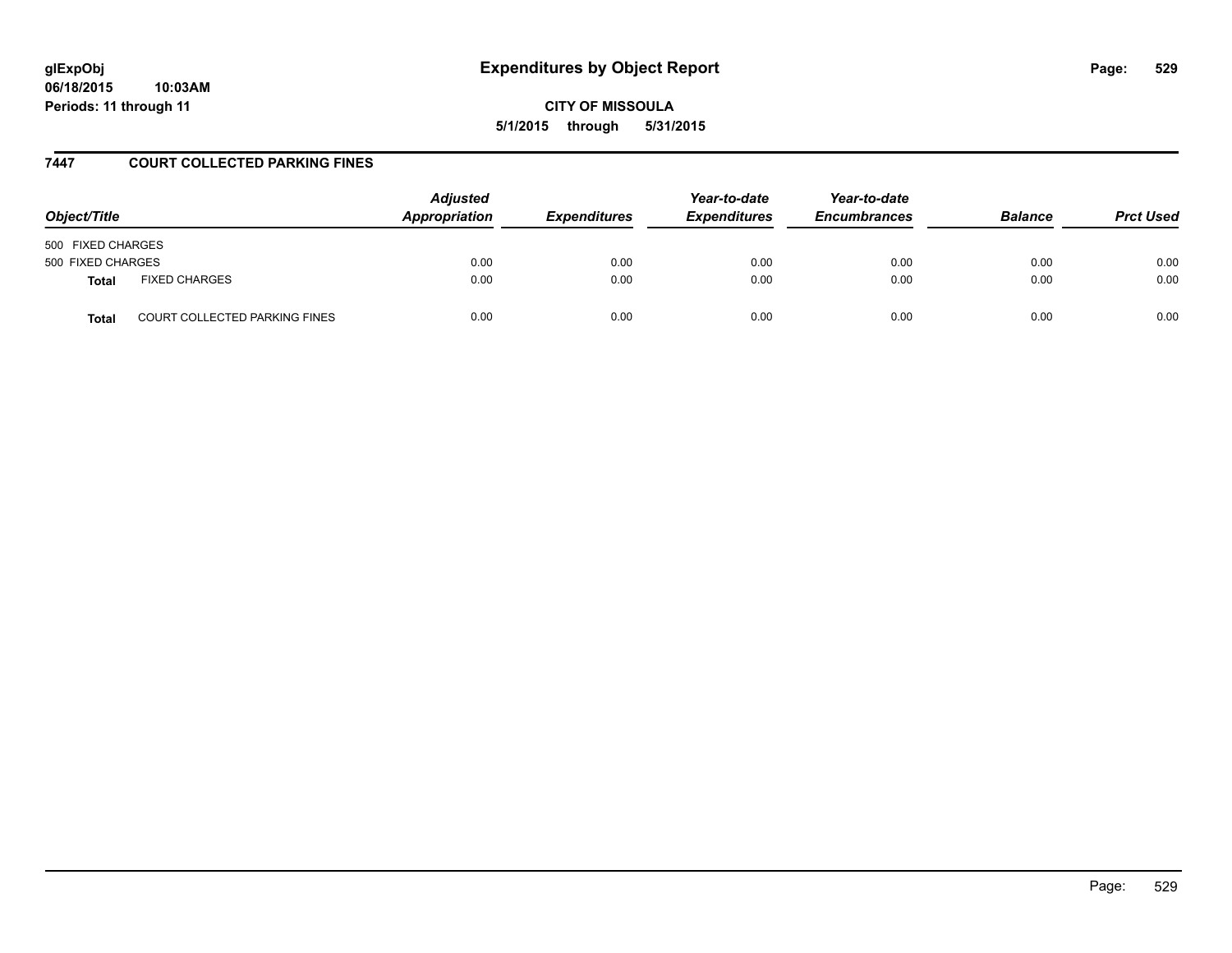**06/18/2015 10:03AM Periods: 11 through 11**

**CITY OF MISSOULA 5/1/2015 through 5/31/2015**

### **7447 COURT COLLECTED PARKING FINES**

| Object/Title                                         | <b>Adjusted</b><br>Appropriation | <b>Expenditures</b> | Year-to-date<br><b>Expenditures</b> | Year-to-date<br><b>Encumbrances</b> | <b>Balance</b> | <b>Prct Used</b> |
|------------------------------------------------------|----------------------------------|---------------------|-------------------------------------|-------------------------------------|----------------|------------------|
| 500 FIXED CHARGES                                    |                                  |                     |                                     |                                     |                |                  |
| 500 FIXED CHARGES                                    | 0.00                             | 0.00                | 0.00                                | 0.00                                | 0.00           | 0.00             |
| <b>FIXED CHARGES</b><br><b>Total</b>                 | 0.00                             | 0.00                | 0.00                                | 0.00                                | 0.00           | 0.00             |
| <b>COURT COLLECTED PARKING FINES</b><br><b>Total</b> | 0.00                             | 0.00                | 0.00                                | 0.00                                | 0.00           | 0.00             |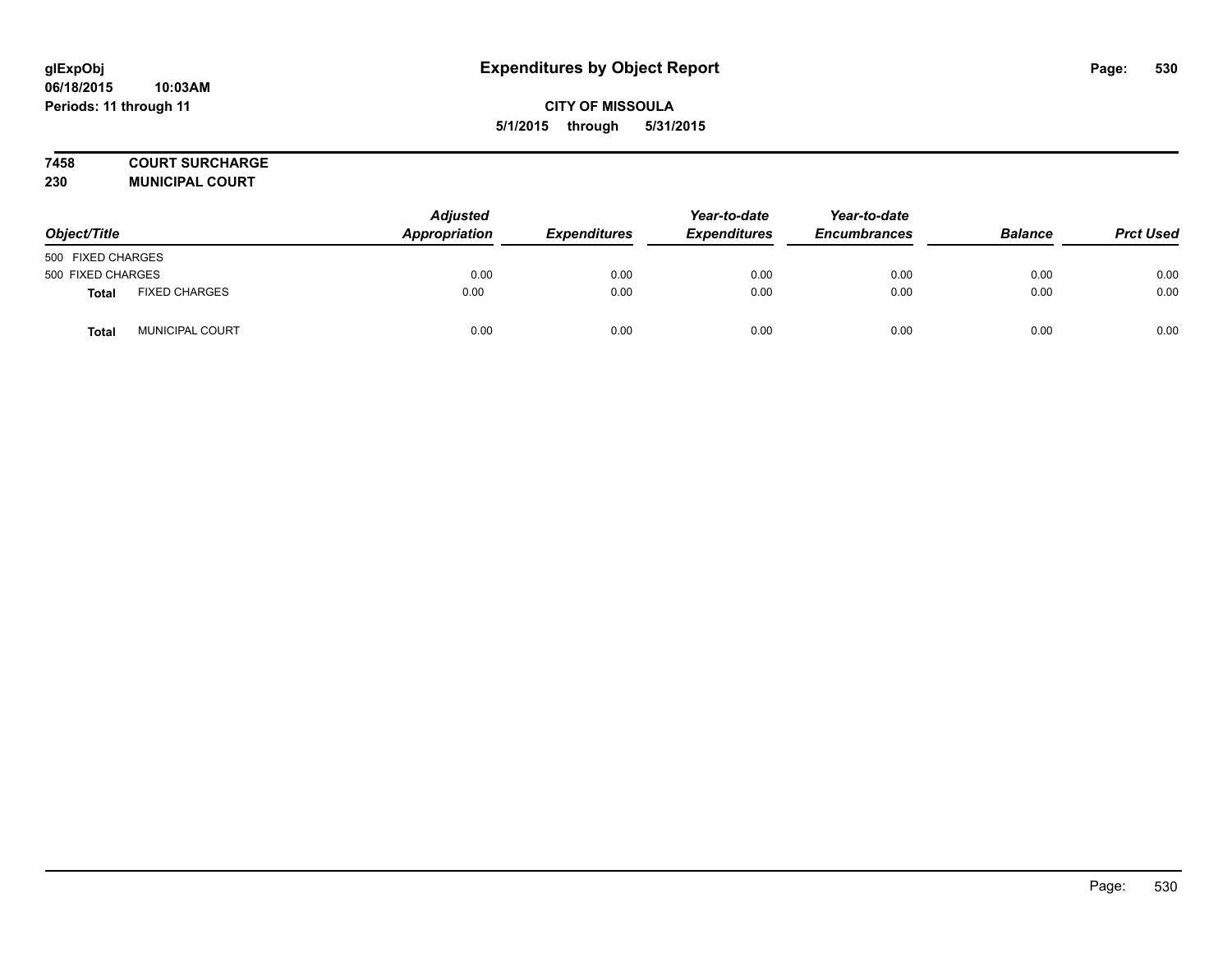# **7458 COURT SURCHARGE**

**230 MUNICIPAL COURT**

| Object/Title      |                        | <b>Adjusted</b><br>Appropriation | <b>Expenditures</b> | Year-to-date<br><b>Expenditures</b> | Year-to-date<br><b>Encumbrances</b> | <b>Balance</b> | <b>Prct Used</b> |
|-------------------|------------------------|----------------------------------|---------------------|-------------------------------------|-------------------------------------|----------------|------------------|
| 500 FIXED CHARGES |                        |                                  |                     |                                     |                                     |                |                  |
| 500 FIXED CHARGES |                        | 0.00                             | 0.00                | 0.00                                | 0.00                                | 0.00           | 0.00             |
| <b>Total</b>      | <b>FIXED CHARGES</b>   | 0.00                             | 0.00                | 0.00                                | 0.00                                | 0.00           | 0.00             |
| Total             | <b>MUNICIPAL COURT</b> | 0.00                             | 0.00                | 0.00                                | 0.00                                | 0.00           | 0.00             |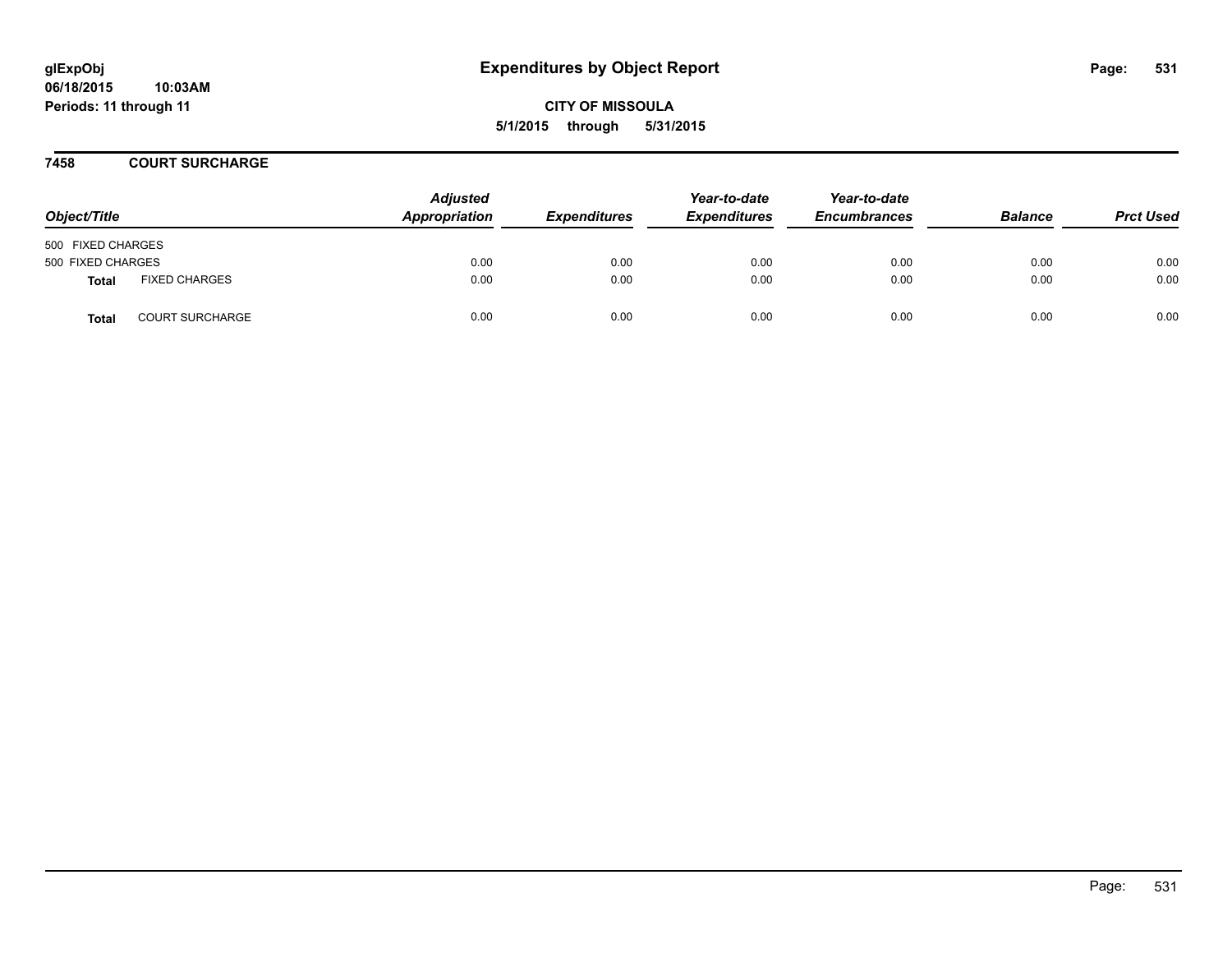**06/18/2015 10:03AM Periods: 11 through 11**

**CITY OF MISSOULA 5/1/2015 through 5/31/2015**

**7458 COURT SURCHARGE**

| Object/Title      |                        | <b>Adjusted</b><br>Appropriation | <b>Expenditures</b> | Year-to-date<br><b>Expenditures</b> | Year-to-date<br><b>Encumbrances</b> | <b>Balance</b> | <b>Prct Used</b> |
|-------------------|------------------------|----------------------------------|---------------------|-------------------------------------|-------------------------------------|----------------|------------------|
| 500 FIXED CHARGES |                        |                                  |                     |                                     |                                     |                |                  |
| 500 FIXED CHARGES |                        | 0.00                             | 0.00                | 0.00                                | 0.00                                | 0.00           | 0.00             |
| Total             | <b>FIXED CHARGES</b>   | 0.00                             | 0.00                | 0.00                                | 0.00                                | 0.00           | 0.00             |
| <b>Total</b>      | <b>COURT SURCHARGE</b> | 0.00                             | 0.00                | 0.00                                | 0.00                                | 0.00           | 0.00             |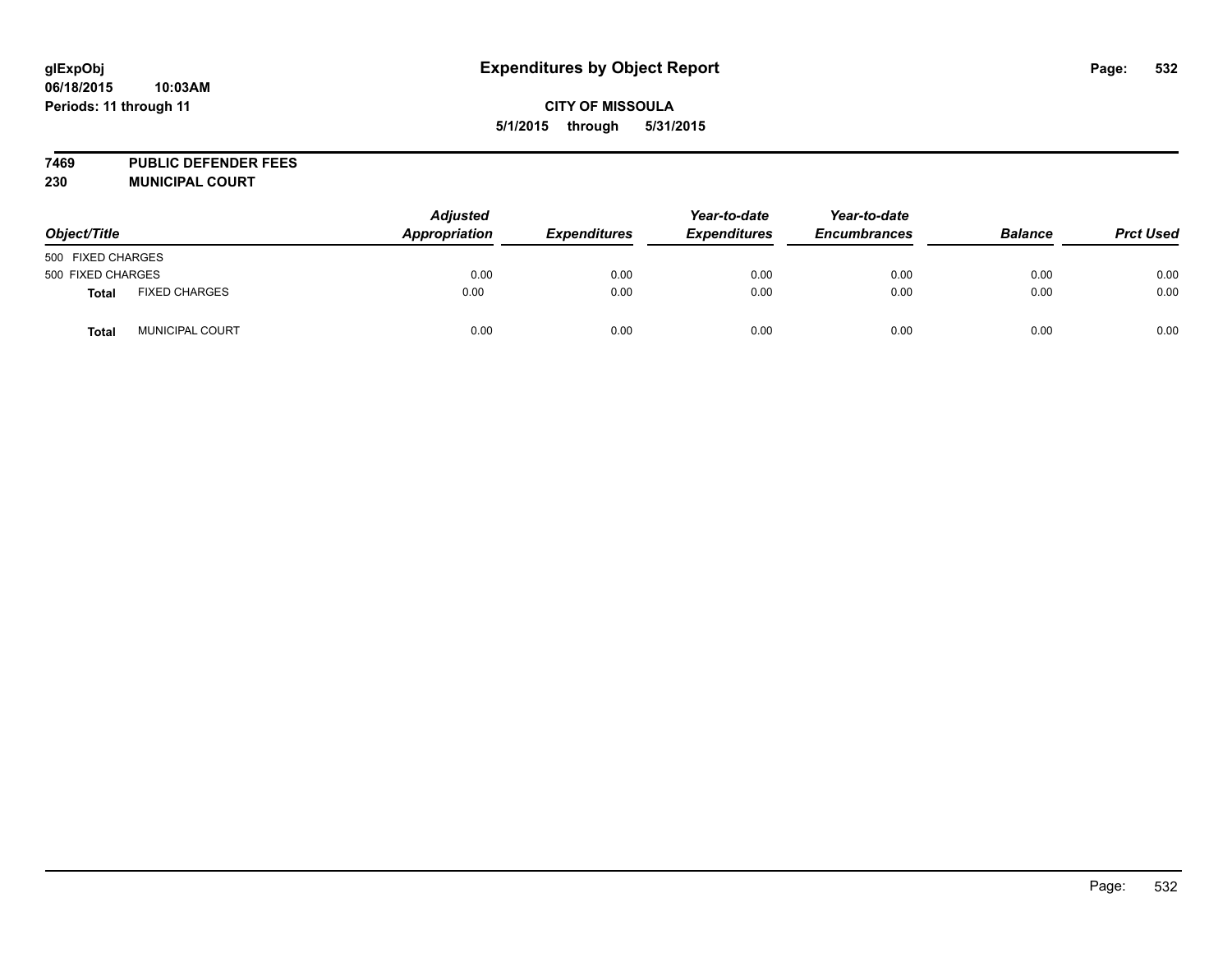**7469 PUBLIC DEFENDER FEES 230 MUNICIPAL COURT**

| Object/Title      |                      | <b>Adjusted</b><br>Appropriation | <b>Expenditures</b> | Year-to-date<br><b>Expenditures</b> | Year-to-date<br><b>Encumbrances</b> | <b>Balance</b> | <b>Prct Used</b> |
|-------------------|----------------------|----------------------------------|---------------------|-------------------------------------|-------------------------------------|----------------|------------------|
| 500 FIXED CHARGES |                      |                                  |                     |                                     |                                     |                |                  |
| 500 FIXED CHARGES |                      | 0.00                             | 0.00                | 0.00                                | 0.00                                | 0.00           | 0.00             |
| Total             | <b>FIXED CHARGES</b> | 0.00                             | 0.00                | 0.00                                | 0.00                                | 0.00           | 0.00             |
| <b>Total</b>      | MUNICIPAL COURT      | 0.00                             | 0.00                | 0.00                                | 0.00                                | 0.00           | 0.00             |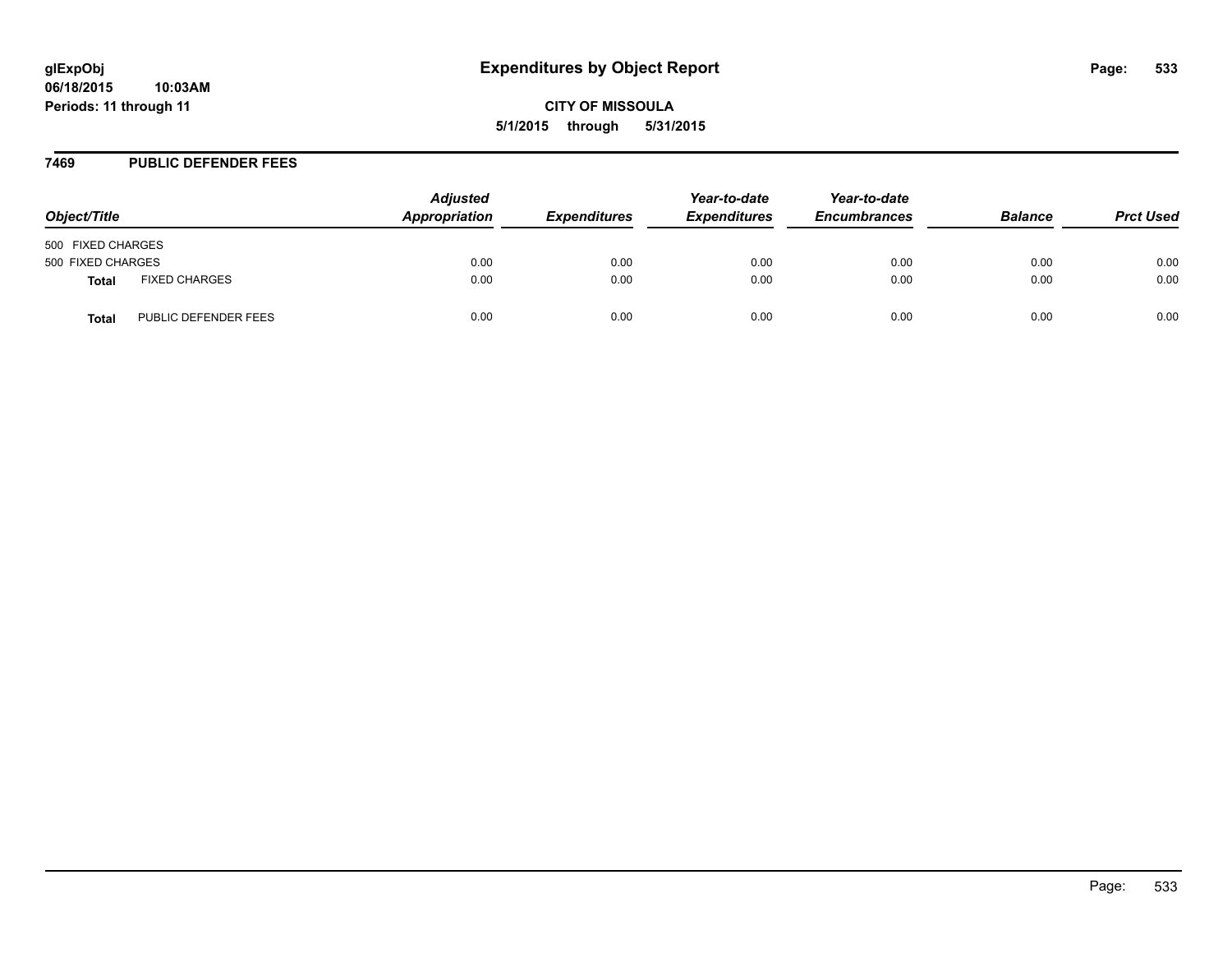### **7469 PUBLIC DEFENDER FEES**

| Object/Title      |                      | <b>Adjusted</b><br>Appropriation | <b>Expenditures</b> | Year-to-date<br><b>Expenditures</b> | Year-to-date<br><b>Encumbrances</b> | <b>Balance</b> | <b>Prct Used</b> |
|-------------------|----------------------|----------------------------------|---------------------|-------------------------------------|-------------------------------------|----------------|------------------|
| 500 FIXED CHARGES |                      |                                  |                     |                                     |                                     |                |                  |
| 500 FIXED CHARGES |                      | 0.00                             | 0.00                | 0.00                                | 0.00                                | 0.00           | 0.00             |
| <b>Total</b>      | <b>FIXED CHARGES</b> | 0.00                             | 0.00                | 0.00                                | 0.00                                | 0.00           | 0.00             |
| <b>Total</b>      | PUBLIC DEFENDER FEES | 0.00                             | 0.00                | 0.00                                | 0.00                                | 0.00           | 0.00             |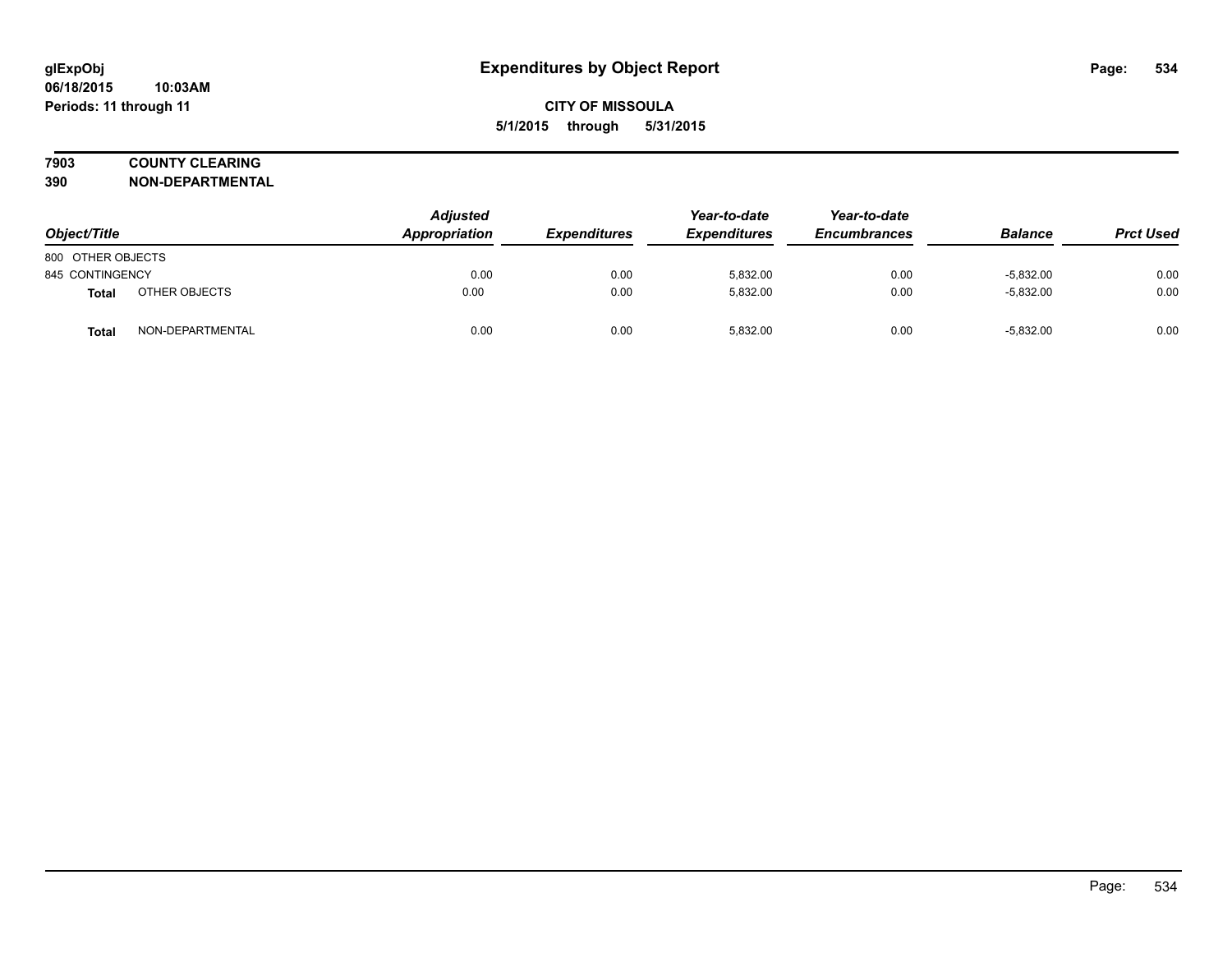# **7903 COUNTY CLEARING**

**390 NON-DEPARTMENTAL**

| Object/Title      |                  | Adjusted<br>Appropriation | <b>Expenditures</b> | Year-to-date<br><b>Expenditures</b> | Year-to-date<br><b>Encumbrances</b> | <b>Balance</b> | <b>Prct Used</b> |
|-------------------|------------------|---------------------------|---------------------|-------------------------------------|-------------------------------------|----------------|------------------|
| 800 OTHER OBJECTS |                  |                           |                     |                                     |                                     |                |                  |
| 845 CONTINGENCY   |                  | 0.00                      | 0.00                | 5,832.00                            | 0.00                                | $-5,832.00$    | 0.00             |
| <b>Total</b>      | OTHER OBJECTS    | 0.00                      | 0.00                | 5,832.00                            | 0.00                                | $-5,832.00$    | 0.00             |
| Total             | NON-DEPARTMENTAL | 0.00                      | 0.00                | 5,832.00                            | 0.00                                | $-5,832.00$    | 0.00             |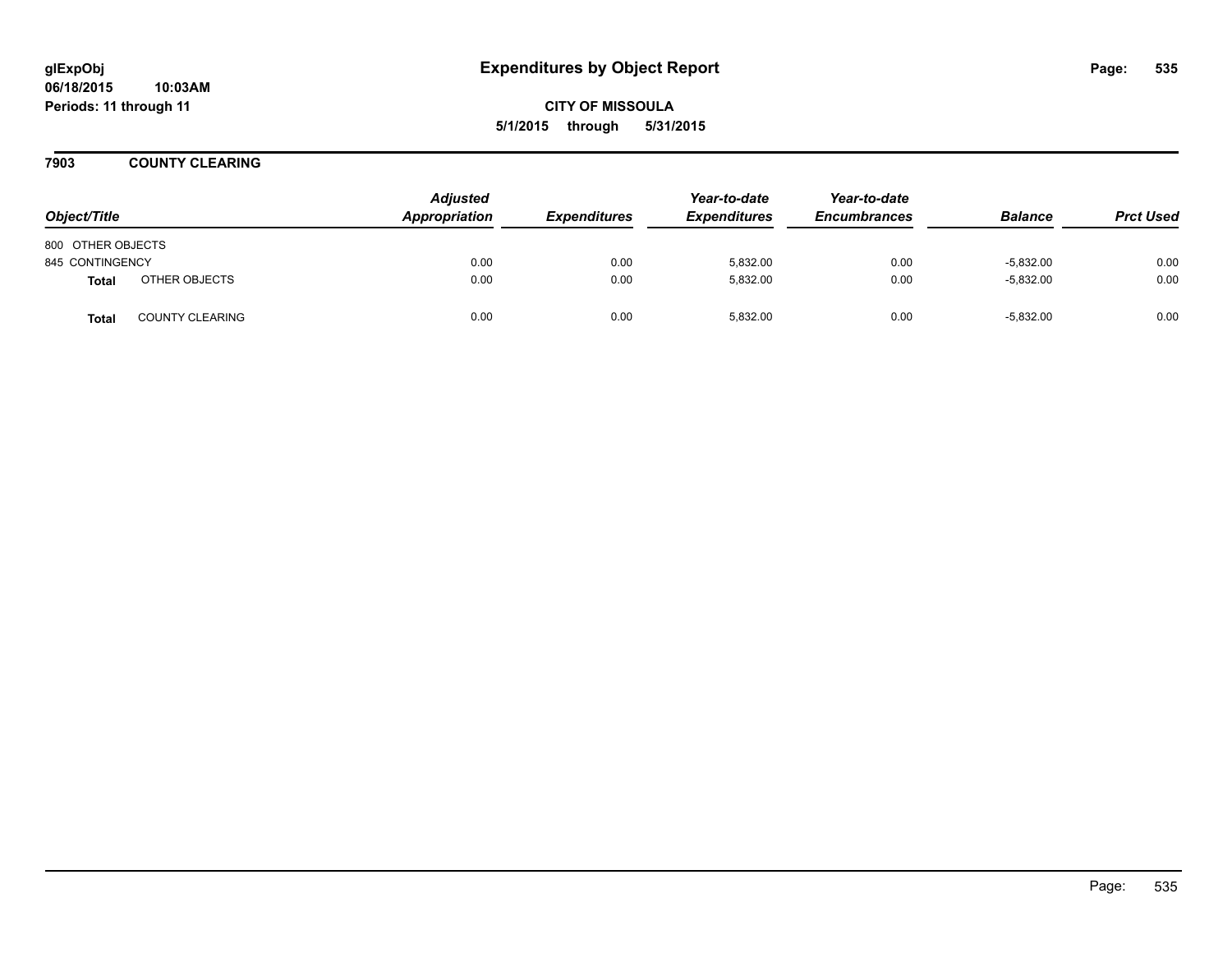**7903 COUNTY CLEARING**

| Object/Title      |                        | <b>Adjusted</b><br>Appropriation | <b>Expenditures</b> | Year-to-date<br><b>Expenditures</b> | Year-to-date<br><b>Encumbrances</b> | <b>Balance</b> | <b>Prct Used</b> |
|-------------------|------------------------|----------------------------------|---------------------|-------------------------------------|-------------------------------------|----------------|------------------|
| 800 OTHER OBJECTS |                        |                                  |                     |                                     |                                     |                |                  |
| 845 CONTINGENCY   |                        | 0.00                             | 0.00                | 5,832.00                            | 0.00                                | $-5,832.00$    | 0.00             |
| <b>Total</b>      | OTHER OBJECTS          | 0.00                             | 0.00                | 5,832.00                            | 0.00                                | $-5,832.00$    | 0.00             |
| <b>Total</b>      | <b>COUNTY CLEARING</b> | 0.00                             | 0.00                | 5,832.00                            | 0.00                                | $-5,832.00$    | 0.00             |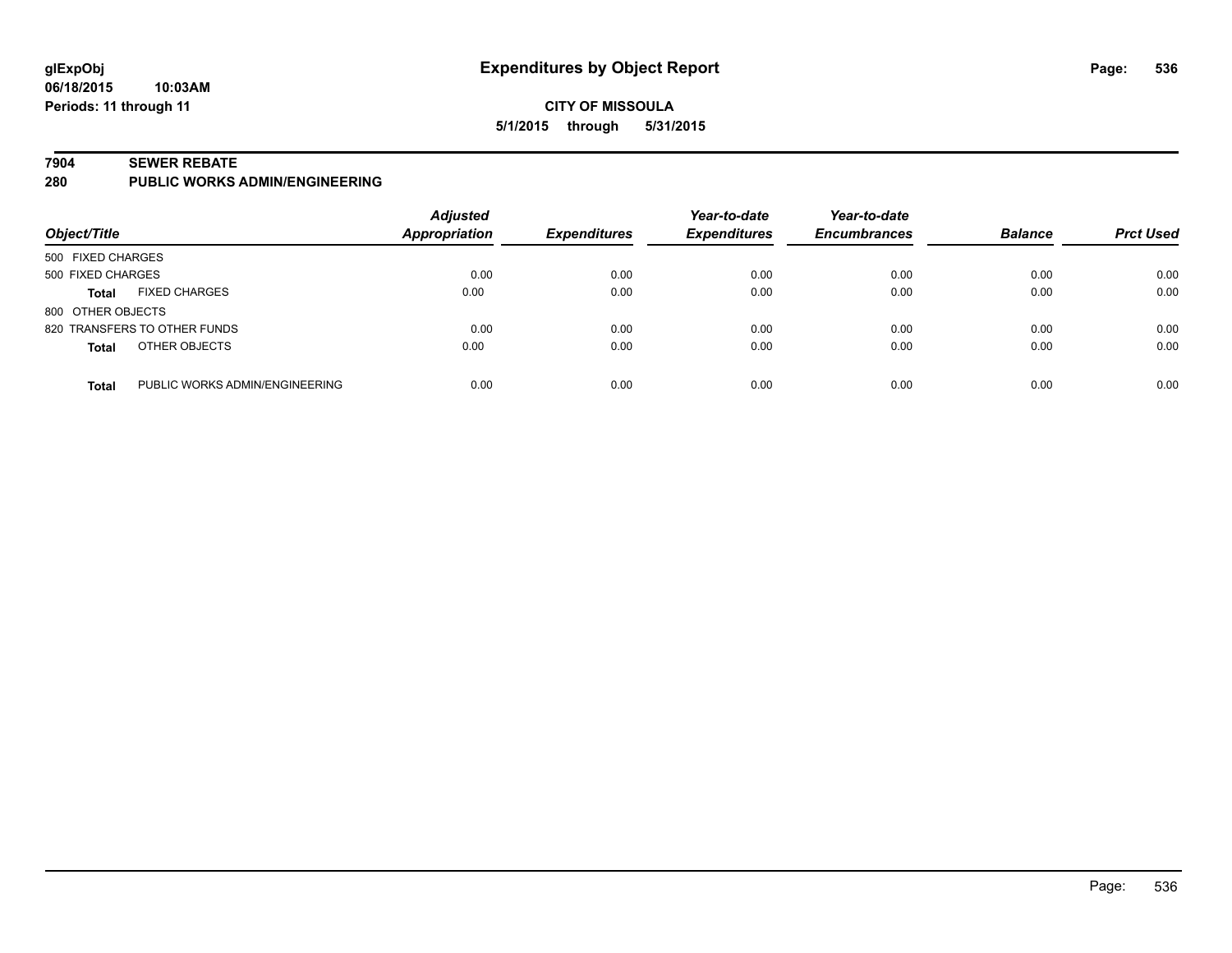#### **7904 SEWER REBATE**

**280 PUBLIC WORKS ADMIN/ENGINEERING**

| Object/Title                                   | <b>Adjusted</b><br><b>Appropriation</b> | <b>Expenditures</b> | Year-to-date<br><b>Expenditures</b> | Year-to-date<br><b>Encumbrances</b> | <b>Balance</b> | <b>Prct Used</b> |
|------------------------------------------------|-----------------------------------------|---------------------|-------------------------------------|-------------------------------------|----------------|------------------|
| 500 FIXED CHARGES                              |                                         |                     |                                     |                                     |                |                  |
| 500 FIXED CHARGES                              | 0.00                                    | 0.00                | 0.00                                | 0.00                                | 0.00           | 0.00             |
| <b>FIXED CHARGES</b><br><b>Total</b>           | 0.00                                    | 0.00                | 0.00                                | 0.00                                | 0.00           | 0.00             |
| 800 OTHER OBJECTS                              |                                         |                     |                                     |                                     |                |                  |
| 820 TRANSFERS TO OTHER FUNDS                   | 0.00                                    | 0.00                | 0.00                                | 0.00                                | 0.00           | 0.00             |
| OTHER OBJECTS<br><b>Total</b>                  | 0.00                                    | 0.00                | 0.00                                | 0.00                                | 0.00           | 0.00             |
| PUBLIC WORKS ADMIN/ENGINEERING<br><b>Total</b> | 0.00                                    | 0.00                | 0.00                                | 0.00                                | 0.00           | 0.00             |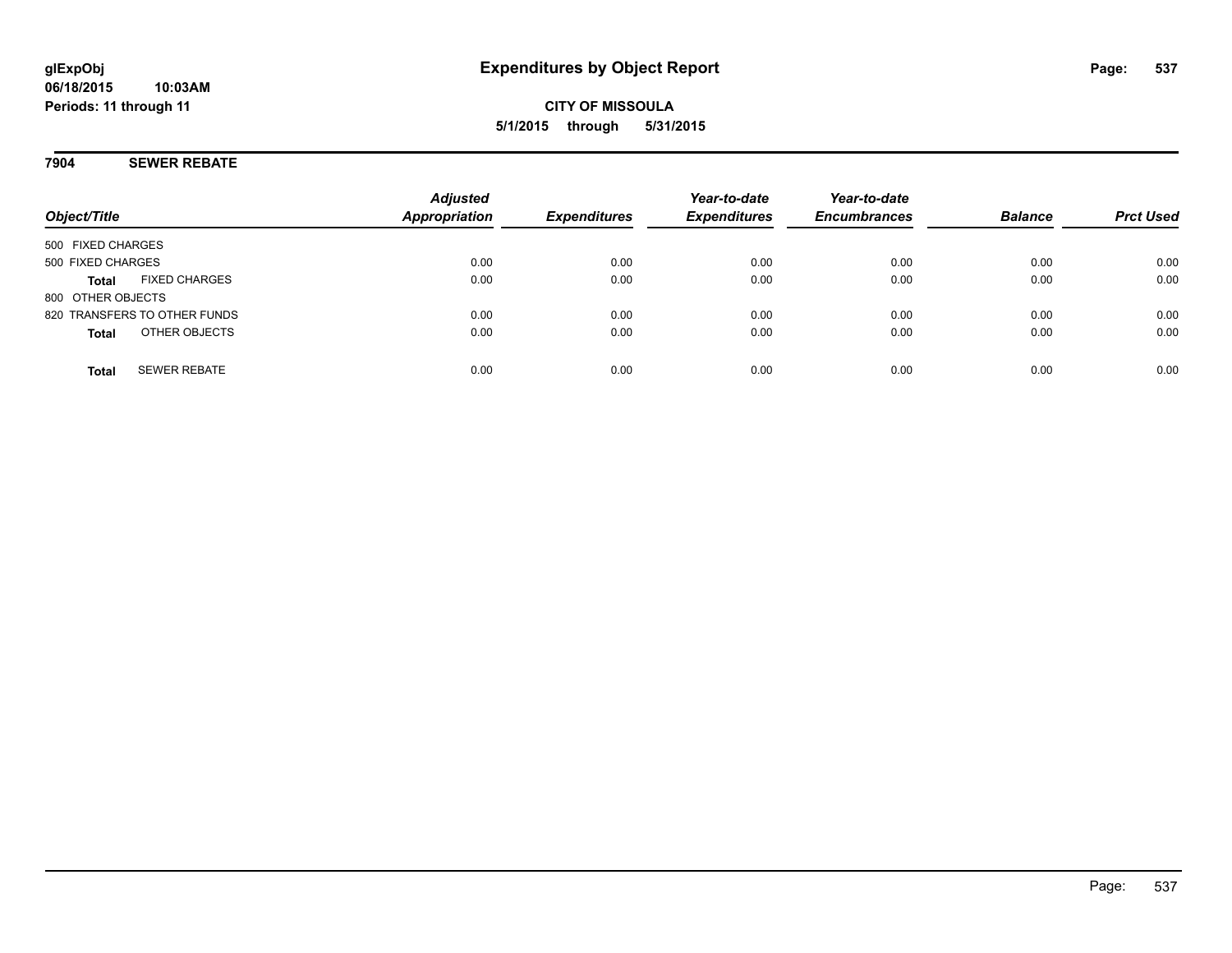### **7904 SEWER REBATE**

**Periods: 11 through 11**

**06/18/2015**

| Object/Title                         | <b>Adjusted</b><br><b>Appropriation</b> | <b>Expenditures</b> | Year-to-date<br><b>Expenditures</b> | Year-to-date<br><b>Encumbrances</b> | <b>Balance</b> | <b>Prct Used</b> |
|--------------------------------------|-----------------------------------------|---------------------|-------------------------------------|-------------------------------------|----------------|------------------|
| 500 FIXED CHARGES                    |                                         |                     |                                     |                                     |                |                  |
| 500 FIXED CHARGES                    | 0.00                                    | 0.00                | 0.00                                | 0.00                                | 0.00           | 0.00             |
| <b>FIXED CHARGES</b><br><b>Total</b> | 0.00                                    | 0.00                | 0.00                                | 0.00                                | 0.00           | 0.00             |
| 800 OTHER OBJECTS                    |                                         |                     |                                     |                                     |                |                  |
| 820 TRANSFERS TO OTHER FUNDS         | 0.00                                    | 0.00                | 0.00                                | 0.00                                | 0.00           | 0.00             |
| OTHER OBJECTS<br><b>Total</b>        | 0.00                                    | 0.00                | 0.00                                | 0.00                                | 0.00           | 0.00             |
| <b>SEWER REBATE</b><br><b>Total</b>  | 0.00                                    | 0.00                | 0.00                                | 0.00                                | 0.00           | 0.00             |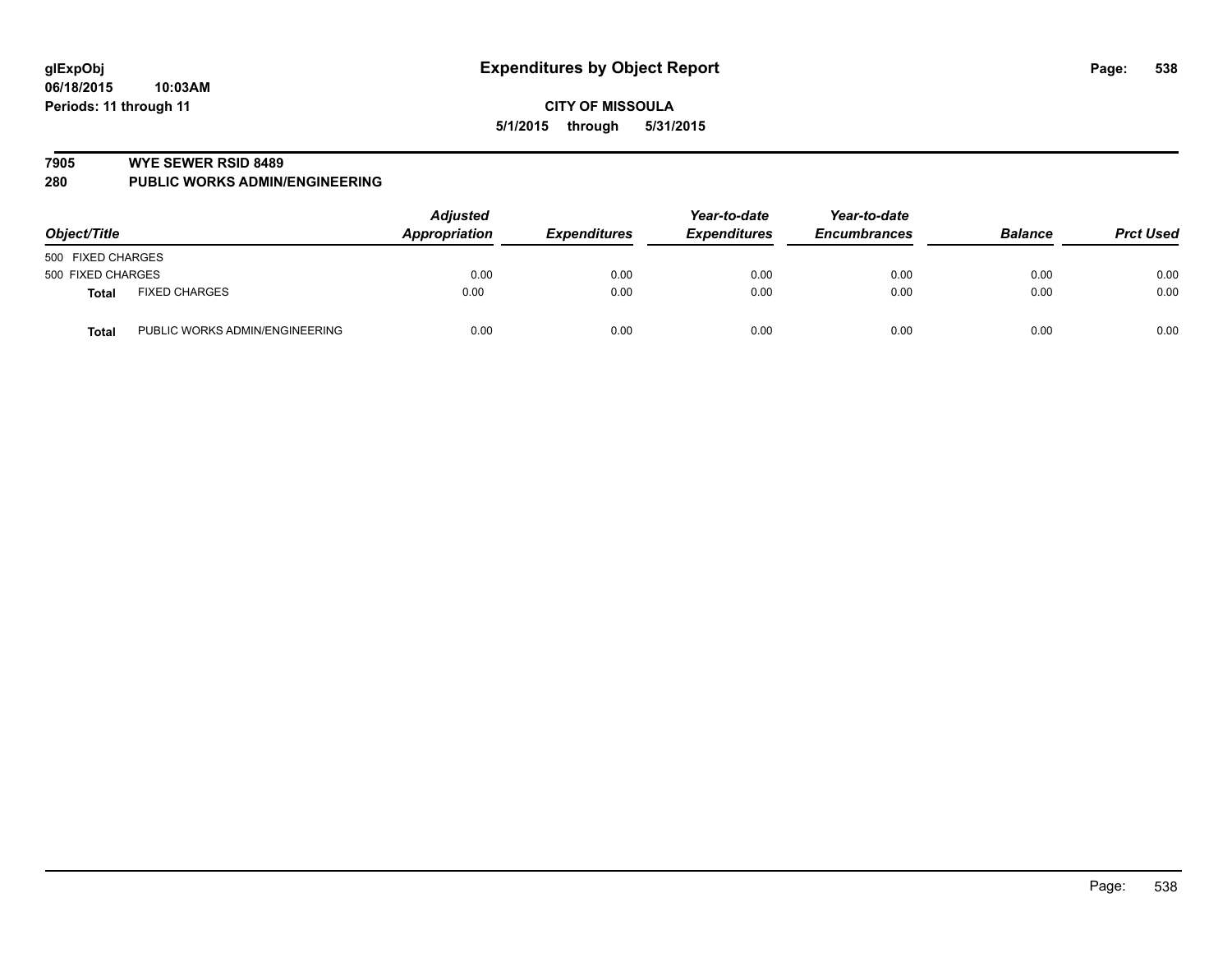#### **7905 WYE SEWER RSID 8489**

**280 PUBLIC WORKS ADMIN/ENGINEERING**

| Object/Title      |                                | <b>Adjusted</b><br>Appropriation | <b>Expenditures</b> | Year-to-date<br><b>Expenditures</b> | Year-to-date<br><b>Encumbrances</b> | <b>Balance</b> | <b>Prct Used</b> |
|-------------------|--------------------------------|----------------------------------|---------------------|-------------------------------------|-------------------------------------|----------------|------------------|
| 500 FIXED CHARGES |                                |                                  |                     |                                     |                                     |                |                  |
| 500 FIXED CHARGES |                                | 0.00                             | 0.00                | 0.00                                | 0.00                                | 0.00           | 0.00             |
| <b>Total</b>      | <b>FIXED CHARGES</b>           | 0.00                             | 0.00                | 0.00                                | 0.00                                | 0.00           | 0.00             |
| <b>Total</b>      | PUBLIC WORKS ADMIN/ENGINEERING | 0.00                             | 0.00                | 0.00                                | 0.00                                | 0.00           | 0.00             |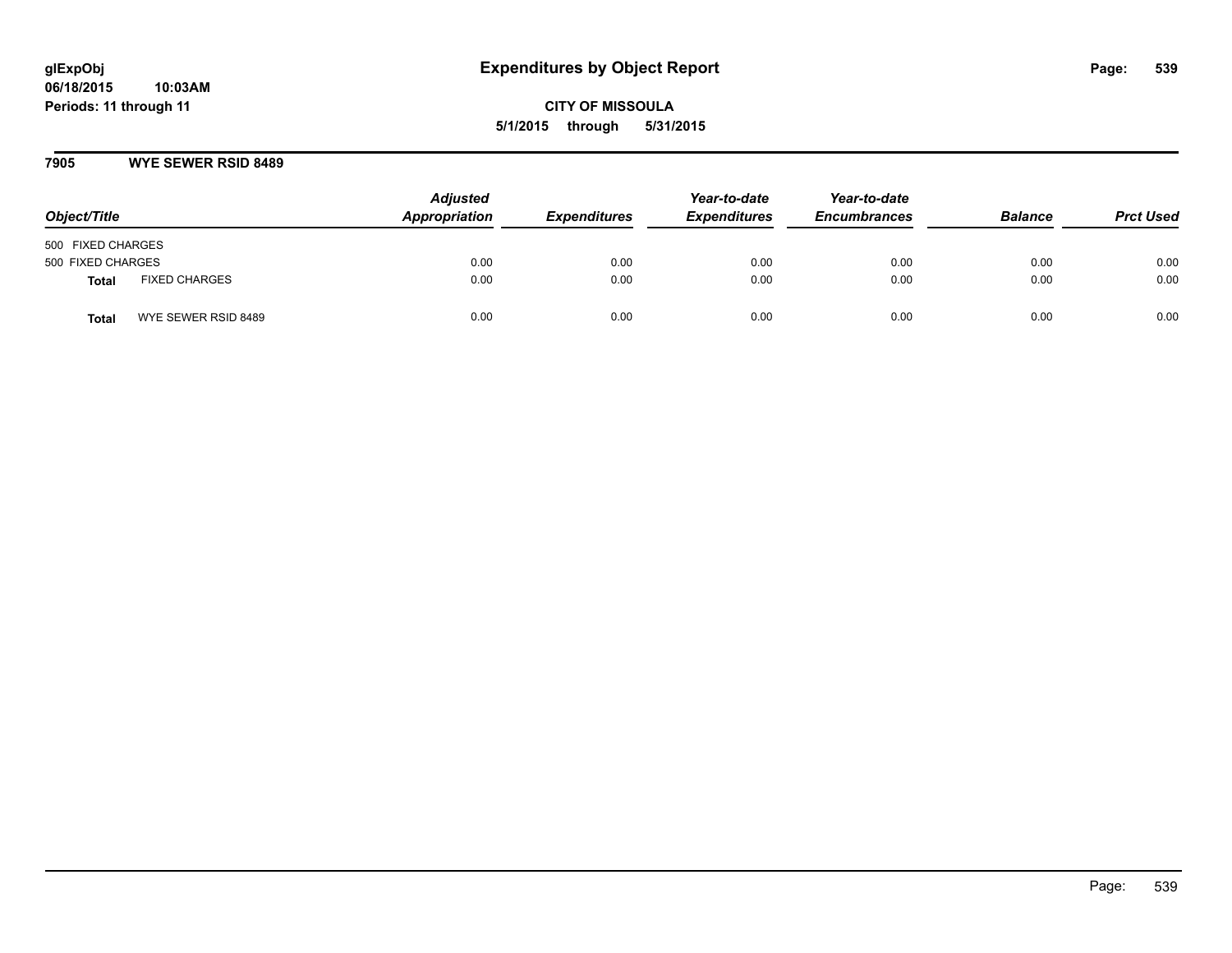### **7905 WYE SEWER RSID 8489**

| Object/Title      |                      | <b>Adjusted</b><br>Appropriation | <b>Expenditures</b> | Year-to-date<br><b>Expenditures</b> | Year-to-date<br><b>Encumbrances</b> | <b>Balance</b> | <b>Prct Used</b> |
|-------------------|----------------------|----------------------------------|---------------------|-------------------------------------|-------------------------------------|----------------|------------------|
| 500 FIXED CHARGES |                      |                                  |                     |                                     |                                     |                |                  |
| 500 FIXED CHARGES |                      | 0.00                             | 0.00                | 0.00                                | 0.00                                | 0.00           | 0.00             |
| <b>Total</b>      | <b>FIXED CHARGES</b> | 0.00                             | 0.00                | 0.00                                | 0.00                                | 0.00           | 0.00             |
| <b>Total</b>      | WYE SEWER RSID 8489  | 0.00                             | 0.00                | 0.00                                | 0.00                                | 0.00           | 0.00             |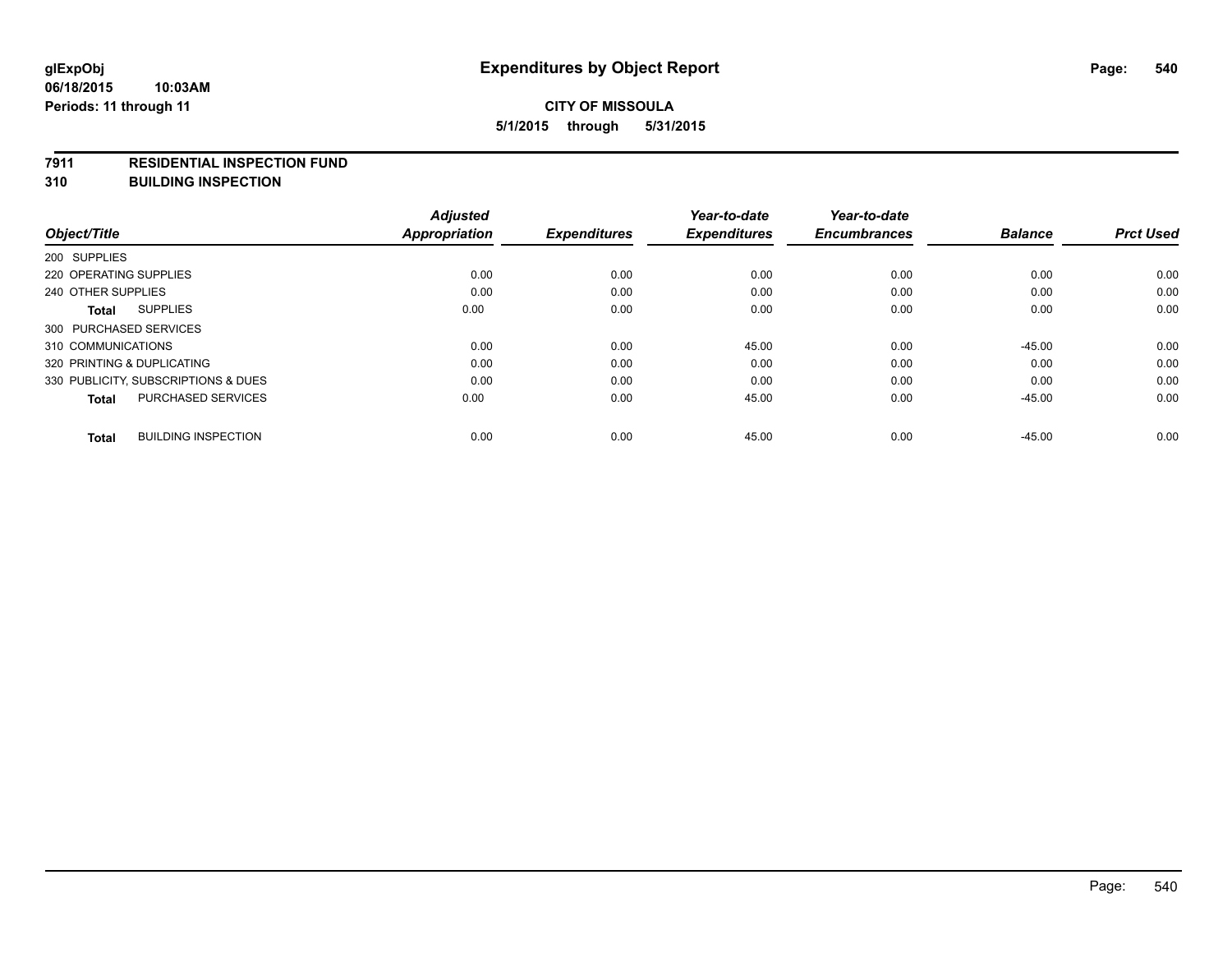#### **7911 RESIDENTIAL INSPECTION FUND**

**310 BUILDING INSPECTION**

|                                            | <b>Adjusted</b> |                     | Year-to-date        | Year-to-date        |                |                  |
|--------------------------------------------|-----------------|---------------------|---------------------|---------------------|----------------|------------------|
| Object/Title                               | Appropriation   | <b>Expenditures</b> | <b>Expenditures</b> | <b>Encumbrances</b> | <b>Balance</b> | <b>Prct Used</b> |
| 200 SUPPLIES                               |                 |                     |                     |                     |                |                  |
| 220 OPERATING SUPPLIES                     | 0.00            | 0.00                | 0.00                | 0.00                | 0.00           | 0.00             |
| 240 OTHER SUPPLIES                         | 0.00            | 0.00                | 0.00                | 0.00                | 0.00           | 0.00             |
| <b>SUPPLIES</b><br><b>Total</b>            | 0.00            | 0.00                | 0.00                | 0.00                | 0.00           | 0.00             |
| 300 PURCHASED SERVICES                     |                 |                     |                     |                     |                |                  |
| 310 COMMUNICATIONS                         | 0.00            | 0.00                | 45.00               | 0.00                | $-45.00$       | 0.00             |
| 320 PRINTING & DUPLICATING                 | 0.00            | 0.00                | 0.00                | 0.00                | 0.00           | 0.00             |
| 330 PUBLICITY, SUBSCRIPTIONS & DUES        | 0.00            | 0.00                | 0.00                | 0.00                | 0.00           | 0.00             |
| <b>PURCHASED SERVICES</b><br><b>Total</b>  | 0.00            | 0.00                | 45.00               | 0.00                | $-45.00$       | 0.00             |
| <b>BUILDING INSPECTION</b><br><b>Total</b> | 0.00            | 0.00                | 45.00               | 0.00                | $-45.00$       | 0.00             |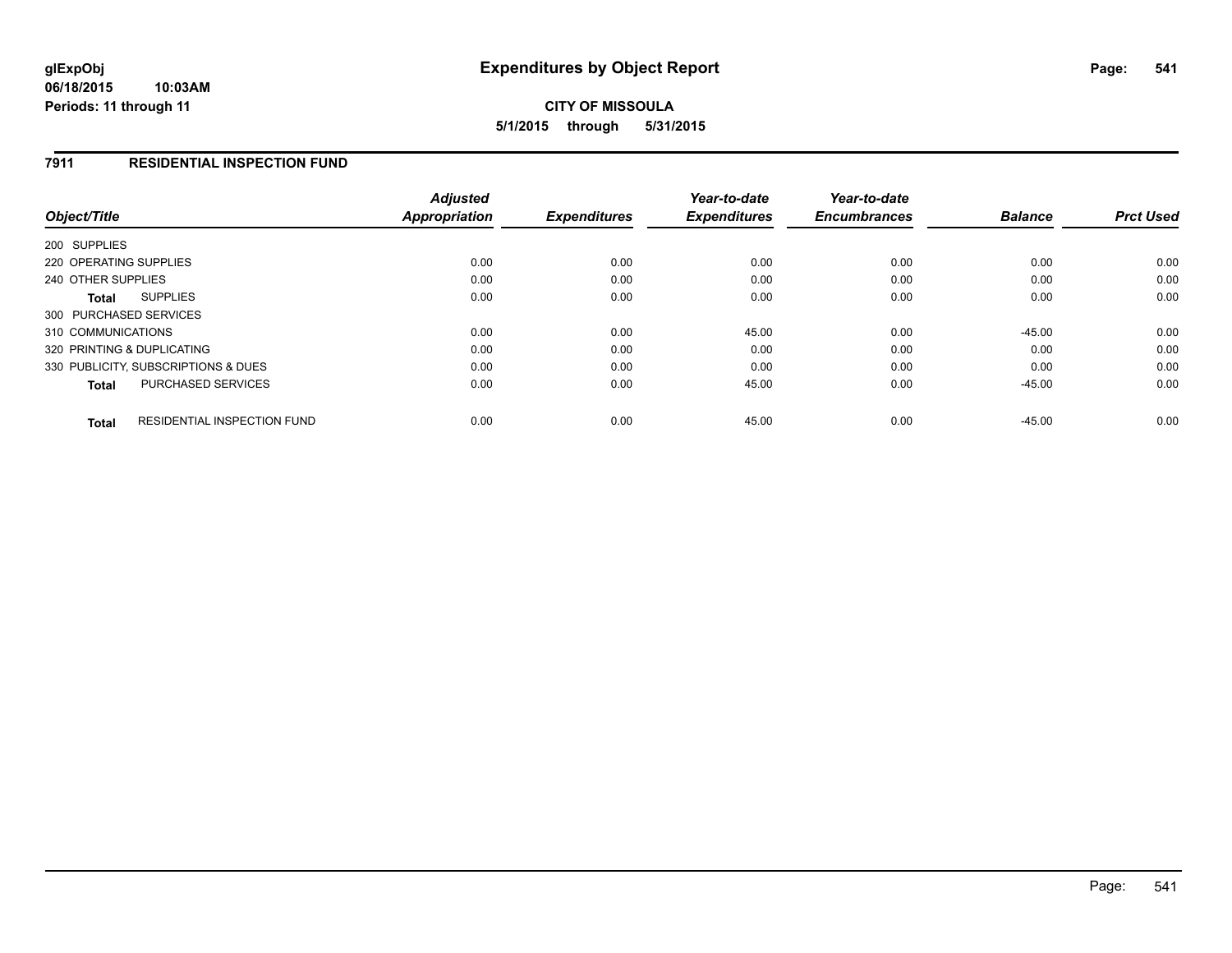#### **06/18/2015 10:03AM Periods: 11 through 11**

# **CITY OF MISSOULA 5/1/2015 through 5/31/2015**

## **7911 RESIDENTIAL INSPECTION FUND**

| Object/Title                                       | <b>Adjusted</b><br>Appropriation | <b>Expenditures</b> | Year-to-date<br><b>Expenditures</b> | Year-to-date<br><b>Encumbrances</b> | <b>Balance</b> | <b>Prct Used</b> |
|----------------------------------------------------|----------------------------------|---------------------|-------------------------------------|-------------------------------------|----------------|------------------|
| 200 SUPPLIES                                       |                                  |                     |                                     |                                     |                |                  |
|                                                    |                                  |                     |                                     |                                     |                |                  |
| 220 OPERATING SUPPLIES                             | 0.00                             | 0.00                | 0.00                                | 0.00                                | 0.00           | 0.00             |
| 240 OTHER SUPPLIES                                 | 0.00                             | 0.00                | 0.00                                | 0.00                                | 0.00           | 0.00             |
| <b>SUPPLIES</b><br>Total                           | 0.00                             | 0.00                | 0.00                                | 0.00                                | 0.00           | 0.00             |
| 300 PURCHASED SERVICES                             |                                  |                     |                                     |                                     |                |                  |
| 310 COMMUNICATIONS                                 | 0.00                             | 0.00                | 45.00                               | 0.00                                | $-45.00$       | 0.00             |
| 320 PRINTING & DUPLICATING                         | 0.00                             | 0.00                | 0.00                                | 0.00                                | 0.00           | 0.00             |
| 330 PUBLICITY, SUBSCRIPTIONS & DUES                | 0.00                             | 0.00                | 0.00                                | 0.00                                | 0.00           | 0.00             |
| <b>PURCHASED SERVICES</b><br><b>Total</b>          | 0.00                             | 0.00                | 45.00                               | 0.00                                | $-45.00$       | 0.00             |
| <b>RESIDENTIAL INSPECTION FUND</b><br><b>Total</b> | 0.00                             | 0.00                | 45.00                               | 0.00                                | $-45.00$       | 0.00             |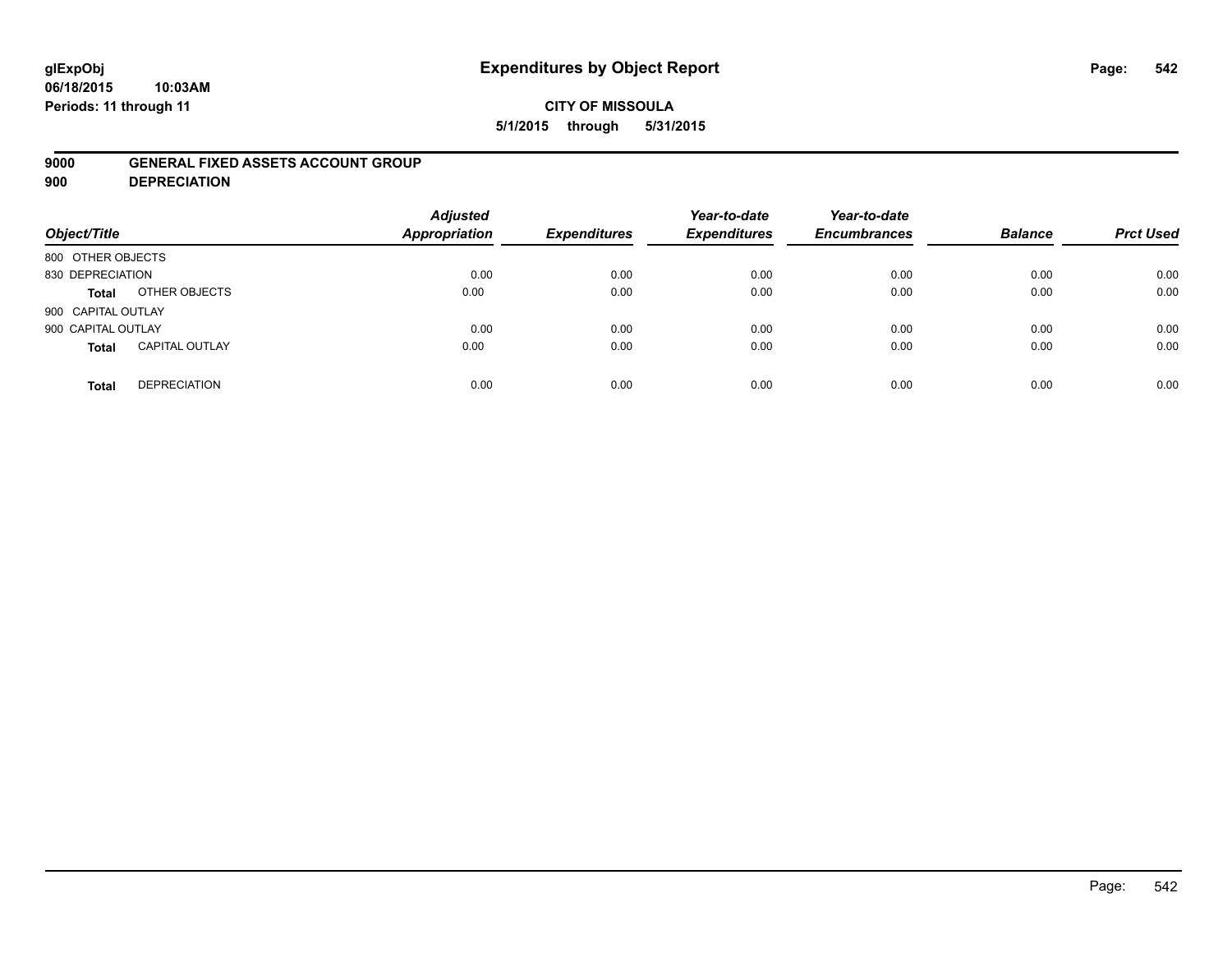#### **06/18/2015 10:03AM Periods: 11 through 11**

## **CITY OF MISSOULA 5/1/2015 through 5/31/2015**

## **9000 GENERAL FIXED ASSETS ACCOUNT GROUP**

**900 DEPRECIATION**

| Object/Title       |                       | <b>Adjusted</b><br>Appropriation | <b>Expenditures</b> | Year-to-date<br><b>Expenditures</b> | Year-to-date<br><b>Encumbrances</b> | <b>Balance</b> | <b>Prct Used</b> |
|--------------------|-----------------------|----------------------------------|---------------------|-------------------------------------|-------------------------------------|----------------|------------------|
| 800 OTHER OBJECTS  |                       |                                  |                     |                                     |                                     |                |                  |
| 830 DEPRECIATION   |                       | 0.00                             | 0.00                | 0.00                                | 0.00                                | 0.00           | 0.00             |
| Total              | OTHER OBJECTS         | 0.00                             | 0.00                | 0.00                                | 0.00                                | 0.00           | 0.00             |
| 900 CAPITAL OUTLAY |                       |                                  |                     |                                     |                                     |                |                  |
| 900 CAPITAL OUTLAY |                       | 0.00                             | 0.00                | 0.00                                | 0.00                                | 0.00           | 0.00             |
| <b>Total</b>       | <b>CAPITAL OUTLAY</b> | 0.00                             | 0.00                | 0.00                                | 0.00                                | 0.00           | 0.00             |
| <b>Total</b>       | <b>DEPRECIATION</b>   | 0.00                             | 0.00                | 0.00                                | 0.00                                | 0.00           | 0.00             |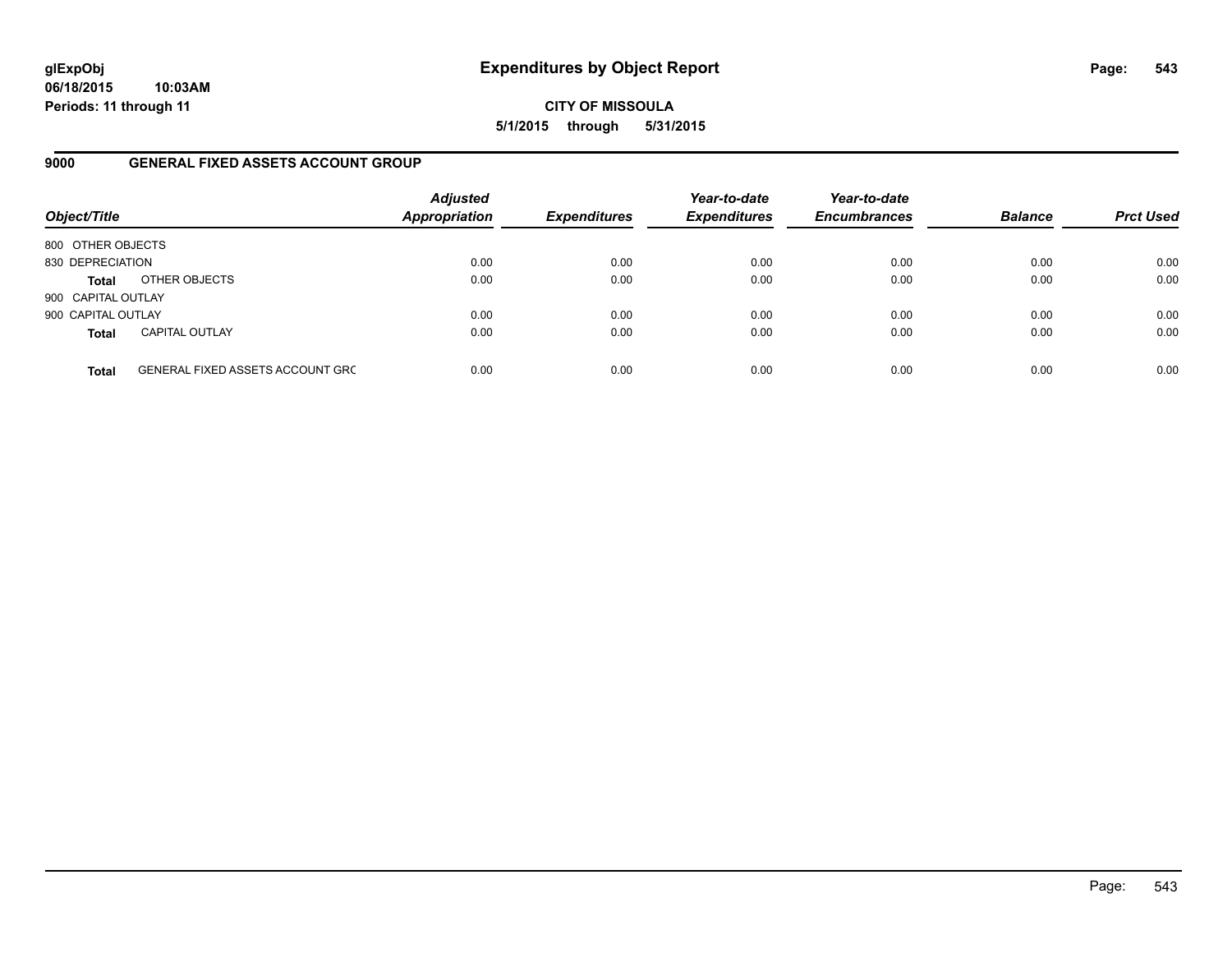**06/18/2015 10:03AM Periods: 11 through 11**

**CITY OF MISSOULA 5/1/2015 through 5/31/2015**

## **9000 GENERAL FIXED ASSETS ACCOUNT GROUP**

| Object/Title       |                                         | <b>Adjusted</b><br><b>Appropriation</b> | <b>Expenditures</b> | Year-to-date<br><b>Expenditures</b> | Year-to-date<br><b>Encumbrances</b> | <b>Balance</b> | <b>Prct Used</b> |
|--------------------|-----------------------------------------|-----------------------------------------|---------------------|-------------------------------------|-------------------------------------|----------------|------------------|
| 800 OTHER OBJECTS  |                                         |                                         |                     |                                     |                                     |                |                  |
| 830 DEPRECIATION   |                                         | 0.00                                    | 0.00                | 0.00                                | 0.00                                | 0.00           | 0.00             |
| <b>Total</b>       | OTHER OBJECTS                           | 0.00                                    | 0.00                | 0.00                                | 0.00                                | 0.00           | 0.00             |
| 900 CAPITAL OUTLAY |                                         |                                         |                     |                                     |                                     |                |                  |
| 900 CAPITAL OUTLAY |                                         | 0.00                                    | 0.00                | 0.00                                | 0.00                                | 0.00           | 0.00             |
| <b>Total</b>       | <b>CAPITAL OUTLAY</b>                   | 0.00                                    | 0.00                | 0.00                                | 0.00                                | 0.00           | 0.00             |
| <b>Total</b>       | <b>GENERAL FIXED ASSETS ACCOUNT GRC</b> | 0.00                                    | 0.00                | 0.00                                | 0.00                                | 0.00           | 0.00             |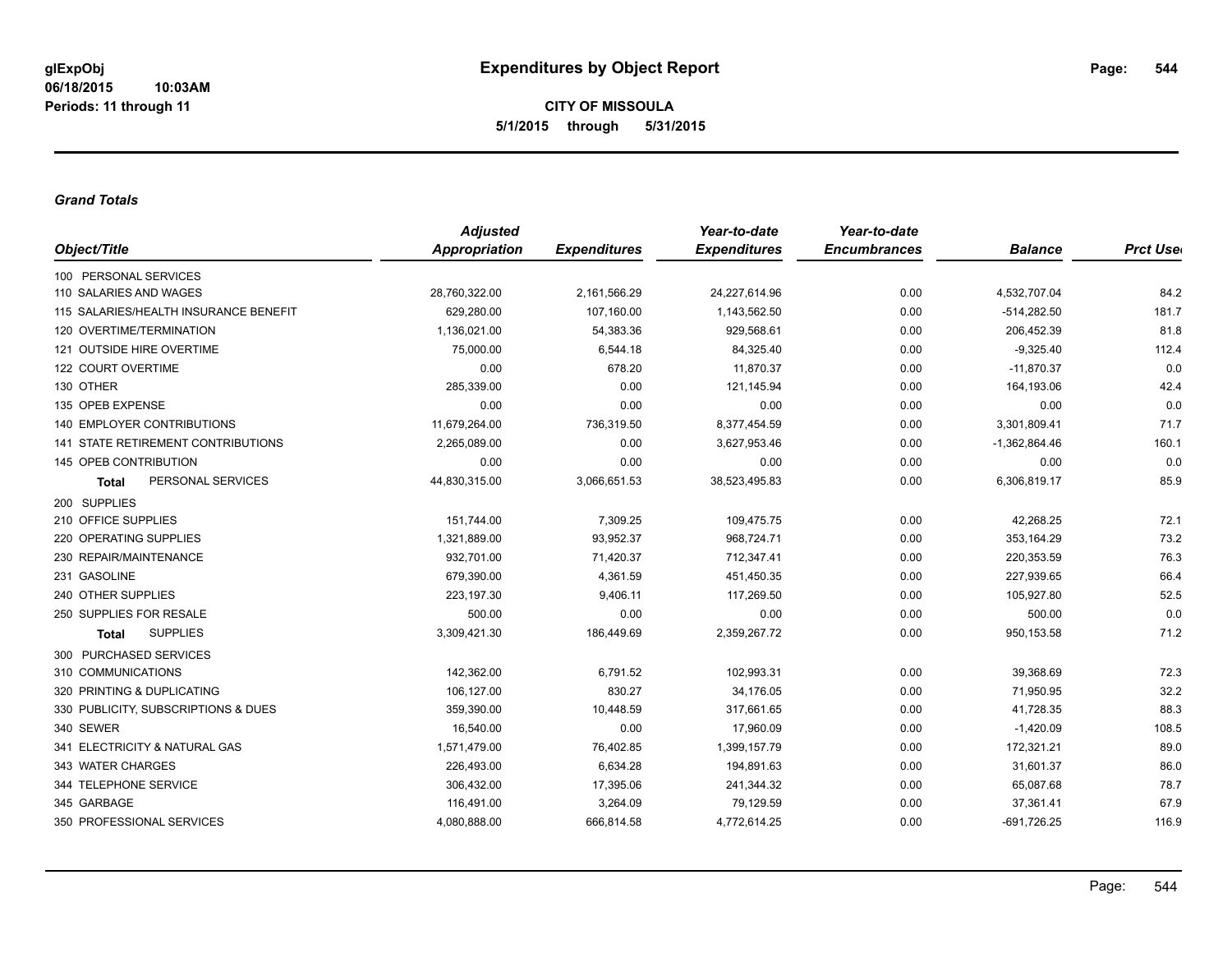**CITY OF MISSOULA 5/1/2015 through 5/31/2015**

#### *Grand Totals*

| Object/Title                          | <b>Adjusted</b> |                     | Year-to-date        | Year-to-date        |                 |                  |
|---------------------------------------|-----------------|---------------------|---------------------|---------------------|-----------------|------------------|
|                                       | Appropriation   | <b>Expenditures</b> | <b>Expenditures</b> | <b>Encumbrances</b> | <b>Balance</b>  | <b>Prct User</b> |
| 100 PERSONAL SERVICES                 |                 |                     |                     |                     |                 |                  |
| 110 SALARIES AND WAGES                | 28,760,322.00   | 2,161,566.29        | 24,227,614.96       | 0.00                | 4,532,707.04    | 84.2             |
| 115 SALARIES/HEALTH INSURANCE BENEFIT | 629,280.00      | 107,160.00          | 1,143,562.50        | 0.00                | $-514,282.50$   | 181.7            |
| 120 OVERTIME/TERMINATION              | 1,136,021.00    | 54,383.36           | 929,568.61          | 0.00                | 206,452.39      | 81.8             |
| 121 OUTSIDE HIRE OVERTIME             | 75,000.00       | 6,544.18            | 84,325.40           | 0.00                | $-9,325.40$     | 112.4            |
| 122 COURT OVERTIME                    | 0.00            | 678.20              | 11,870.37           | 0.00                | $-11,870.37$    | 0.0              |
| 130 OTHER                             | 285,339.00      | 0.00                | 121,145.94          | 0.00                | 164,193.06      | 42.4             |
| 135 OPEB EXPENSE                      | 0.00            | 0.00                | 0.00                | 0.00                | 0.00            | 0.0              |
| 140 EMPLOYER CONTRIBUTIONS            | 11,679,264.00   | 736,319.50          | 8,377,454.59        | 0.00                | 3,301,809.41    | 71.7             |
| 141 STATE RETIREMENT CONTRIBUTIONS    | 2,265,089.00    | 0.00                | 3,627,953.46        | 0.00                | $-1,362,864.46$ | 160.1            |
| 145 OPEB CONTRIBUTION                 | 0.00            | 0.00                | 0.00                | 0.00                | 0.00            | 0.0              |
| PERSONAL SERVICES<br><b>Total</b>     | 44,830,315.00   | 3,066,651.53        | 38,523,495.83       | 0.00                | 6,306,819.17    | 85.9             |
| 200 SUPPLIES                          |                 |                     |                     |                     |                 |                  |
| 210 OFFICE SUPPLIES                   | 151,744.00      | 7,309.25            | 109,475.75          | 0.00                | 42,268.25       | 72.1             |
| 220 OPERATING SUPPLIES                | 1,321,889.00    | 93,952.37           | 968,724.71          | 0.00                | 353,164.29      | 73.2             |
| 230 REPAIR/MAINTENANCE                | 932,701.00      | 71,420.37           | 712,347.41          | 0.00                | 220,353.59      | 76.3             |
| 231 GASOLINE                          | 679,390.00      | 4,361.59            | 451,450.35          | 0.00                | 227,939.65      | 66.4             |
| 240 OTHER SUPPLIES                    | 223,197.30      | 9,406.11            | 117,269.50          | 0.00                | 105,927.80      | 52.5             |
| 250 SUPPLIES FOR RESALE               | 500.00          | 0.00                | 0.00                | 0.00                | 500.00          | 0.0              |
| <b>SUPPLIES</b><br><b>Total</b>       | 3,309,421.30    | 186,449.69          | 2,359,267.72        | 0.00                | 950,153.58      | 71.2             |
| 300 PURCHASED SERVICES                |                 |                     |                     |                     |                 |                  |
| 310 COMMUNICATIONS                    | 142,362.00      | 6,791.52            | 102,993.31          | 0.00                | 39,368.69       | 72.3             |
| 320 PRINTING & DUPLICATING            | 106,127.00      | 830.27              | 34,176.05           | 0.00                | 71,950.95       | 32.2             |
| 330 PUBLICITY, SUBSCRIPTIONS & DUES   | 359,390.00      | 10,448.59           | 317.661.65          | 0.00                | 41,728.35       | 88.3             |
| 340 SEWER                             | 16,540.00       | 0.00                | 17,960.09           | 0.00                | $-1,420.09$     | 108.5            |
| 341 ELECTRICITY & NATURAL GAS         | 1,571,479.00    | 76,402.85           | 1,399,157.79        | 0.00                | 172,321.21      | 89.0             |
| 343 WATER CHARGES                     | 226,493.00      | 6,634.28            | 194,891.63          | 0.00                | 31,601.37       | 86.0             |
| 344 TELEPHONE SERVICE                 | 306,432.00      | 17,395.06           | 241,344.32          | 0.00                | 65,087.68       | 78.7             |
| 345 GARBAGE                           | 116,491.00      | 3,264.09            | 79,129.59           | 0.00                | 37,361.41       | 67.9             |
| 350 PROFESSIONAL SERVICES             | 4,080,888.00    | 666,814.58          | 4,772,614.25        | 0.00                | $-691,726.25$   | 116.9            |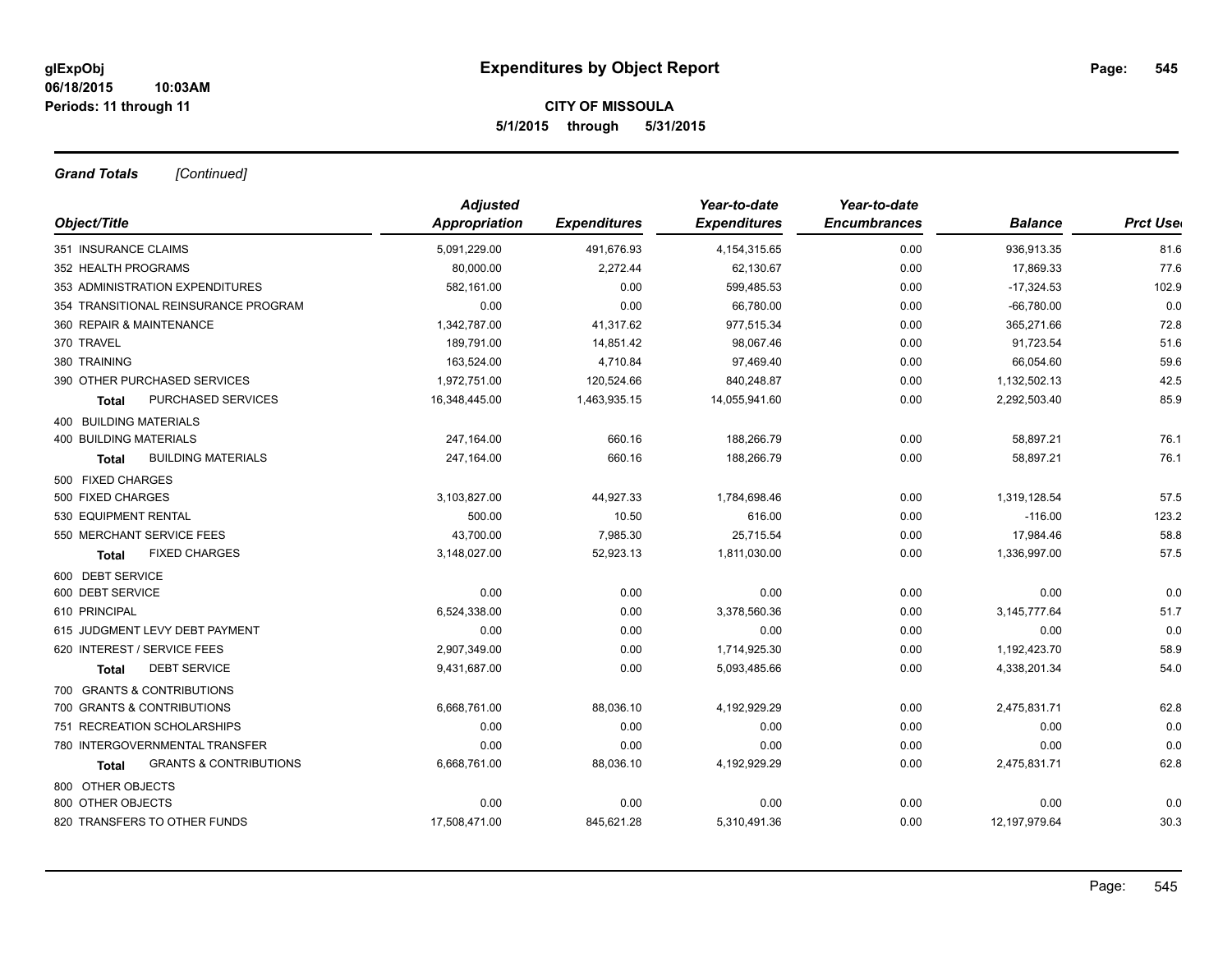# **CITY OF MISSOULA 5/1/2015 through 5/31/2015**

*Grand Totals [Continued]*

|                                            | <b>Adjusted</b> |                     | Year-to-date        | Year-to-date        |                |                 |
|--------------------------------------------|-----------------|---------------------|---------------------|---------------------|----------------|-----------------|
| Object/Title                               | Appropriation   | <b>Expenditures</b> | <b>Expenditures</b> | <b>Encumbrances</b> | <b>Balance</b> | <b>Prct Use</b> |
| 351 INSURANCE CLAIMS                       | 5,091,229.00    | 491,676.93          | 4, 154, 315.65      | 0.00                | 936,913.35     | 81.6            |
| 352 HEALTH PROGRAMS                        | 80,000.00       | 2,272.44            | 62,130.67           | 0.00                | 17,869.33      | 77.6            |
| 353 ADMINISTRATION EXPENDITURES            | 582,161.00      | 0.00                | 599,485.53          | 0.00                | $-17,324.53$   | 102.9           |
| 354 TRANSITIONAL REINSURANCE PROGRAM       | 0.00            | 0.00                | 66,780.00           | 0.00                | $-66,780.00$   | 0.0             |
| 360 REPAIR & MAINTENANCE                   | 1,342,787.00    | 41,317.62           | 977,515.34          | 0.00                | 365,271.66     | 72.8            |
| 370 TRAVEL                                 | 189,791.00      | 14,851.42           | 98,067.46           | 0.00                | 91,723.54      | 51.6            |
| 380 TRAINING                               | 163,524.00      | 4,710.84            | 97,469.40           | 0.00                | 66,054.60      | 59.6            |
| 390 OTHER PURCHASED SERVICES               | 1,972,751.00    | 120,524.66          | 840,248.87          | 0.00                | 1,132,502.13   | 42.5            |
| PURCHASED SERVICES<br><b>Total</b>         | 16,348,445.00   | 1,463,935.15        | 14,055,941.60       | 0.00                | 2,292,503.40   | 85.9            |
| <b>400 BUILDING MATERIALS</b>              |                 |                     |                     |                     |                |                 |
| <b>400 BUILDING MATERIALS</b>              | 247,164.00      | 660.16              | 188,266.79          | 0.00                | 58,897.21      | 76.1            |
| <b>BUILDING MATERIALS</b><br><b>Total</b>  | 247,164.00      | 660.16              | 188,266.79          | 0.00                | 58,897.21      | 76.1            |
| 500 FIXED CHARGES                          |                 |                     |                     |                     |                |                 |
| 500 FIXED CHARGES                          | 3,103,827.00    | 44,927.33           | 1,784,698.46        | 0.00                | 1,319,128.54   | 57.5            |
| 530 EQUIPMENT RENTAL                       | 500.00          | 10.50               | 616.00              | 0.00                | $-116.00$      | 123.2           |
| 550 MERCHANT SERVICE FEES                  | 43,700.00       | 7,985.30            | 25,715.54           | 0.00                | 17,984.46      | 58.8            |
| <b>FIXED CHARGES</b><br><b>Total</b>       | 3,148,027.00    | 52,923.13           | 1,811,030.00        | 0.00                | 1,336,997.00   | 57.5            |
| 600 DEBT SERVICE                           |                 |                     |                     |                     |                |                 |
| 600 DEBT SERVICE                           | 0.00            | 0.00                | 0.00                | 0.00                | 0.00           | 0.0             |
| 610 PRINCIPAL                              | 6,524,338.00    | 0.00                | 3,378,560.36        | 0.00                | 3, 145, 777.64 | 51.7            |
| 615 JUDGMENT LEVY DEBT PAYMENT             | 0.00            | 0.00                | 0.00                | 0.00                | 0.00           | 0.0             |
| 620 INTEREST / SERVICE FEES                | 2,907,349.00    | 0.00                | 1,714,925.30        | 0.00                | 1,192,423.70   | 58.9            |
| <b>DEBT SERVICE</b><br><b>Total</b>        | 9,431,687.00    | 0.00                | 5,093,485.66        | 0.00                | 4,338,201.34   | 54.0            |
| 700 GRANTS & CONTRIBUTIONS                 |                 |                     |                     |                     |                |                 |
| 700 GRANTS & CONTRIBUTIONS                 | 6,668,761.00    | 88,036.10           | 4,192,929.29        | 0.00                | 2,475,831.71   | 62.8            |
| 751 RECREATION SCHOLARSHIPS                | 0.00            | 0.00                | 0.00                | 0.00                | 0.00           | 0.0             |
| 780 INTERGOVERNMENTAL TRANSFER             | 0.00            | 0.00                | 0.00                | 0.00                | 0.00           | 0.0             |
| <b>GRANTS &amp; CONTRIBUTIONS</b><br>Total | 6,668,761.00    | 88,036.10           | 4,192,929.29        | 0.00                | 2,475,831.71   | 62.8            |
| 800 OTHER OBJECTS                          |                 |                     |                     |                     |                |                 |
| 800 OTHER OBJECTS                          | 0.00            | 0.00                | 0.00                | 0.00                | 0.00           | 0.0             |
| 820 TRANSFERS TO OTHER FUNDS               | 17,508,471.00   | 845,621.28          | 5,310,491.36        | 0.00                | 12,197,979.64  | 30.3            |
|                                            |                 |                     |                     |                     |                |                 |